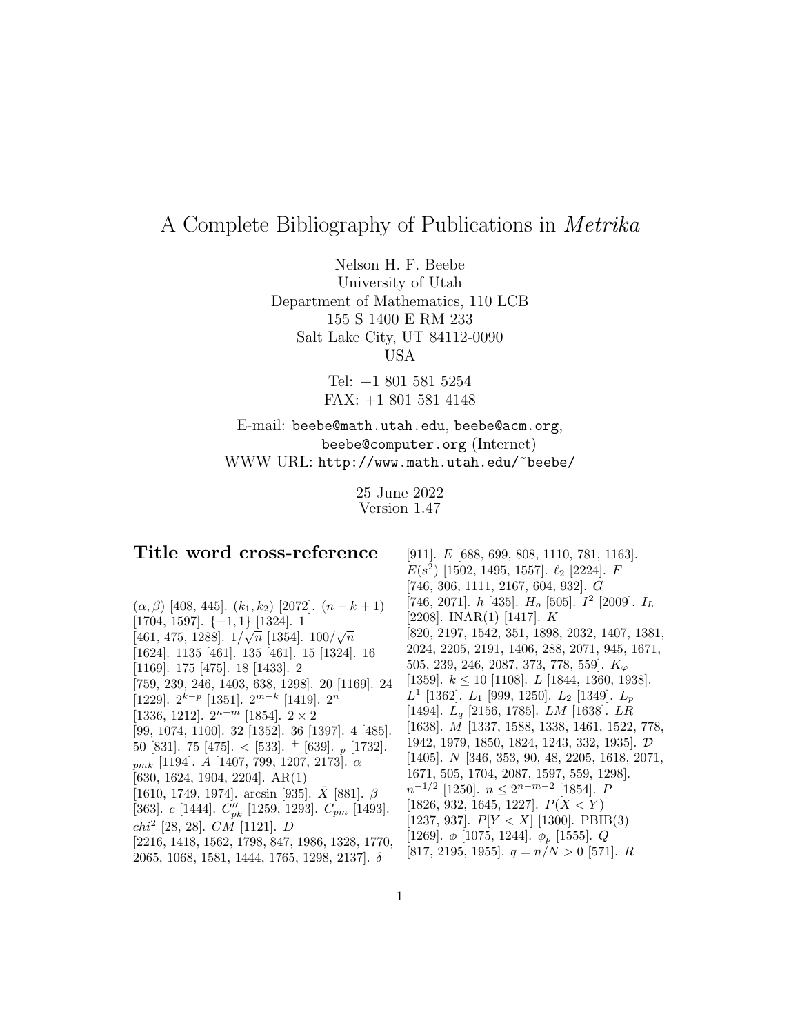# A Complete Bibliography of Publications in Metrika

Nelson H. F. Beebe University of Utah Department of Mathematics, 110 LCB 155 S 1400 E RM 233 Salt Lake City, UT 84112-0090 USA

> Tel: +1 801 581 5254 FAX: +1 801 581 4148

## E-mail: beebe@math.utah.edu, beebe@acm.org, beebe@computer.org (Internet) WWW URL: http://www.math.utah.edu/~beebe/

25 June 2022 Version 1.47

## **Title word cross-reference**

 $(\alpha, \beta)$  [408, 445].  $(k_1, k_2)$  [2072].  $(n - k + 1)$ [1704, 1597]. {−1, 1} [1324]. 1  $[1704, 1357]$ .  $\{-1, 1\}$   $[1324]$ . 1<br> $[461, 475, 1288]$ .  $1/\sqrt{n}$  [1354].  $100/\sqrt{n}$ [1624]. 1135 [461]. 135 [461]. 15 [1324]. 16 [1169]. 175 [475]. 18 [1433]. 2 [759, 239, 246, 1403, 638, 1298]. 20 [1169]. 24 [1229].  $2^{k-p}$  [1351].  $2^{m-k}$  [1419].  $2^n$ [1336, 1212].  $2^{n-m}$  [1854].  $2 \times 2$ [99, 1074, 1100]. 32 [1352]. 36 [1397]. 4 [485]. 50 [831]. 75 [475].  $\lt$  [533].  $+$  [639].  $_p$  [1732].  $_{pmk}$  [1194]. A [1407, 799, 1207, 2173].  $\alpha$ [630, 1624, 1904, 2204]. AR(1) [1610, 1749, 1974]. arcsin [935].  $\bar{X}$  [881].  $\beta$ [363].  $c$  [1444].  $C_{pk}''$  [1259, 1293].  $C_{pm}$  [1493].  $chi^2$  [28, 28].  $CM$  [1121].  $D$ [2216, 1418, 1562, 1798, 847, 1986, 1328, 1770, 2065, 1068, 1581, 1444, 1765, 1298, 2137]. δ

[911]. E [688, 699, 808, 1110, 781, 1163].  $E(s^2)$  [1502, 1495, 1557].  $\ell_2$  [2224]. F [746, 306, 1111, 2167, 604, 932]. G [746, 2071].  $h$  [435].  $H_o$  [505].  $I^2$  [2009].  $I_L$  $[2208]$ . INAR $(1)$   $[1417]$ . K [820, 2197, 1542, 351, 1898, 2032, 1407, 1381, 2024, 2205, 2191, 1406, 288, 2071, 945, 1671, 505, 239, 246, 2087, 373, 778, 559].  $K_{\varphi}$ [1359].  $k \le 10$  [1108].  $L$  [1844, 1360, 1938].  $L^1$  [1362].  $L_1$  [999, 1250].  $L_2$  [1349].  $L_p$ [1494].  $L_q$  [2156, 1785].  $LM$  [1638].  $LR$ [1638]. M [1337, 1588, 1338, 1461, 1522, 778, 1942, 1979, 1850, 1824, 1243, 332, 1935]. D [1405]. N [346, 353, 90, 48, 2205, 1618, 2071, 1671, 505, 1704, 2087, 1597, 559, 1298].  $n^{-1/2}$  [1250].  $n \leq 2^{n-m-2}$  [1854]. P [1826, 932, 1645, 1227].  $P(X \le Y)$ [1237, 937].  $P[Y < X]$  [1300]. PBIB(3) [1269].  $\phi$  [1075, 1244].  $\phi_p$  [1555]. Q [817, 2195, 1955].  $q = n/N > 0$  [571]. R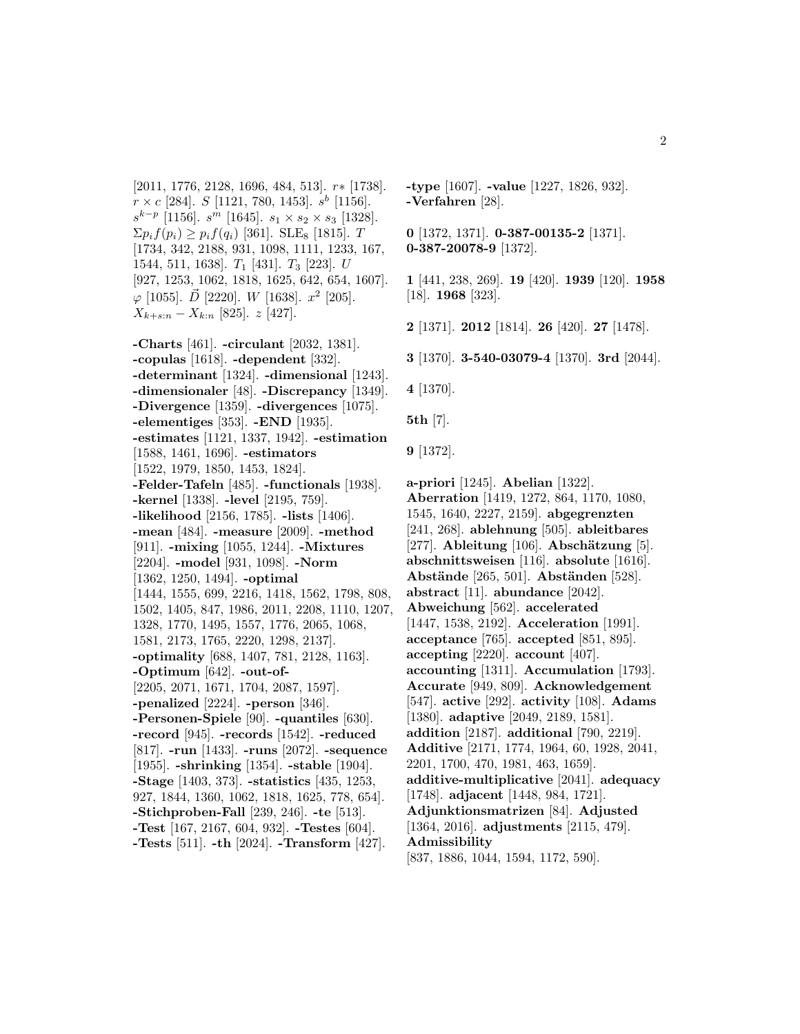[2011, 1776, 2128, 1696, 484, 513]. r∗ [1738].  $r \times c$  [284]. S [1121, 780, 1453].  $s^b$  [1156].  $s^{k-p}$  [1156].  $s^m$  [1645].  $s_1 \times s_2 \times s_3$  [1328].  $\sum p_i f(p_i) \geq p_i f(q_i)$  [361]. SLE<sub>8</sub> [1815]. T [1734, 342, 2188, 931, 1098, 1111, 1233, 167, 1544, 511, 1638].  $T_1$  [431].  $T_3$  [223]. U [927, 1253, 1062, 1818, 1625, 642, 654, 1607].  $\varphi$  [1055].  $\vec{D}$  [2220]. W [1638].  $x^2$  [205].  $X_{k+s:n} - X_{k:n}$  [825].  $z$  [427].

**-Charts** [461]. **-circulant** [2032, 1381]. **-copulas** [1618]. **-dependent** [332]. **-determinant** [1324]. **-dimensional** [1243]. **-dimensionaler** [48]. **-Discrepancy** [1349]. **-Divergence** [1359]. **-divergences** [1075]. **-elementiges** [353]. **-END** [1935]. **-estimates** [1121, 1337, 1942]. **-estimation** [1588, 1461, 1696]. **-estimators** [1522, 1979, 1850, 1453, 1824]. **-Felder-Tafeln** [485]. **-functionals** [1938]. **-kernel** [1338]. **-level** [2195, 759]. **-likelihood** [2156, 1785]. **-lists** [1406]. **-mean** [484]. **-measure** [2009]. **-method** [911]. **-mixing** [1055, 1244]. **-Mixtures** [2204]. **-model** [931, 1098]. **-Norm** [1362, 1250, 1494]. **-optimal** [1444, 1555, 699, 2216, 1418, 1562, 1798, 808, 1502, 1405, 847, 1986, 2011, 2208, 1110, 1207, 1328, 1770, 1495, 1557, 1776, 2065, 1068, 1581, 2173, 1765, 2220, 1298, 2137]. **-optimality** [688, 1407, 781, 2128, 1163]. **-Optimum** [642]. **-out-of-** [2205, 2071, 1671, 1704, 2087, 1597]. **-penalized** [2224]. **-person** [346]. **-Personen-Spiele** [90]. **-quantiles** [630]. **-record** [945]. **-records** [1542]. **-reduced** [817]. **-run** [1433]. **-runs** [2072]. **-sequence** [1955]. **-shrinking** [1354]. **-stable** [1904]. **-Stage** [1403, 373]. **-statistics** [435, 1253, 927, 1844, 1360, 1062, 1818, 1625, 778, 654]. **-Stichproben-Fall** [239, 246]. **-te** [513]. **-Test** [167, 2167, 604, 932]. **-Testes** [604]. **-Tests** [511]. **-th** [2024]. **-Transform** [427].

**-type** [1607]. **-value** [1227, 1826, 932]. **-Verfahren** [28].

**0** [1372, 1371]. **0-387-00135-2** [1371]. **0-387-20078-9** [1372].

**1** [441, 238, 269]. **19** [420]. **1939** [120]. **1958** [18]. **1968** [323].

**2** [1371]. **2012** [1814]. **26** [420]. **27** [1478].

**3** [1370]. **3-540-03079-4** [1370]. **3rd** [2044].

**4** [1370].

**5th** [7].

**9** [1372].

**a-priori** [1245]. **Abelian** [1322]. **Aberration** [1419, 1272, 864, 1170, 1080, 1545, 1640, 2227, 2159]. **abgegrenzten** [241, 268]. **ablehnung** [505]. **ableitbares** [277]. **Ableitung** [106]. **Abschätzung** [5]. **abschnittsweisen** [116]. **absolute** [1616]. **Abstände** [265, 501]. **Abständen** [528]. **abstract** [11]. **abundance** [2042]. **Abweichung** [562]. **accelerated** [1447, 1538, 2192]. **Acceleration** [1991]. **acceptance** [765]. **accepted** [851, 895]. **accepting** [2220]. **account** [407]. **accounting** [1311]. **Accumulation** [1793]. **Accurate** [949, 809]. **Acknowledgement** [547]. **active** [292]. **activity** [108]. **Adams** [1380]. **adaptive** [2049, 2189, 1581]. **addition** [2187]. **additional** [790, 2219]. **Additive** [2171, 1774, 1964, 60, 1928, 2041, 2201, 1700, 470, 1981, 463, 1659]. **additive-multiplicative** [2041]. **adequacy** [1748]. **adjacent** [1448, 984, 1721]. **Adjunktionsmatrizen** [84]. **Adjusted** [1364, 2016]. **adjustments** [2115, 479]. **Admissibility** [837, 1886, 1044, 1594, 1172, 590].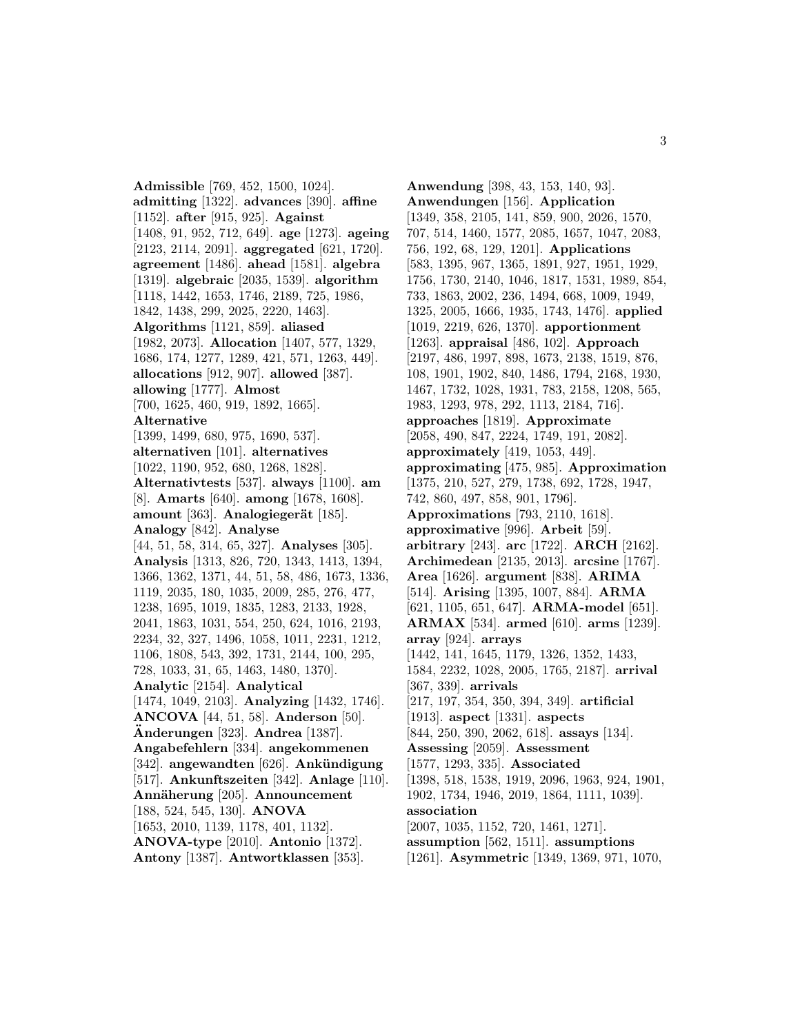**Admissible** [769, 452, 1500, 1024]. **admitting** [1322]. **advances** [390]. **affine** [1152]. **after** [915, 925]. **Against** [1408, 91, 952, 712, 649]. **age** [1273]. **ageing** [2123, 2114, 2091]. **aggregated** [621, 1720]. **agreement** [1486]. **ahead** [1581]. **algebra** [1319]. **algebraic** [2035, 1539]. **algorithm** [1118, 1442, 1653, 1746, 2189, 725, 1986, 1842, 1438, 299, 2025, 2220, 1463]. **Algorithms** [1121, 859]. **aliased** [1982, 2073]. **Allocation** [1407, 577, 1329, 1686, 174, 1277, 1289, 421, 571, 1263, 449]. **allocations** [912, 907]. **allowed** [387]. **allowing** [1777]. **Almost** [700, 1625, 460, 919, 1892, 1665]. **Alternative** [1399, 1499, 680, 975, 1690, 537]. **alternativen** [101]. **alternatives** [1022, 1190, 952, 680, 1268, 1828]. **Alternativtests** [537]. **always** [1100]. **am** [8]. **Amarts** [640]. **among** [1678, 1608]. **amount** [363]. **Analogiegerät** [185]. **Analogy** [842]. **Analyse** [44, 51, 58, 314, 65, 327]. **Analyses** [305]. **Analysis** [1313, 826, 720, 1343, 1413, 1394, 1366, 1362, 1371, 44, 51, 58, 486, 1673, 1336, 1119, 2035, 180, 1035, 2009, 285, 276, 477, 1238, 1695, 1019, 1835, 1283, 2133, 1928, 2041, 1863, 1031, 554, 250, 624, 1016, 2193, 2234, 32, 327, 1496, 1058, 1011, 2231, 1212, 1106, 1808, 543, 392, 1731, 2144, 100, 295, 728, 1033, 31, 65, 1463, 1480, 1370]. **Analytic** [2154]. **Analytical** [1474, 1049, 2103]. **Analyzing** [1432, 1746]. **ANCOVA** [44, 51, 58]. **Anderson** [50]. **Anderungen ¨** [323]. **Andrea** [1387]. **Angabefehlern** [334]. **angekommenen** [342]. **angewandten** [626]. **Ankündigung** [517]. **Ankunftszeiten** [342]. **Anlage** [110]. **Ann¨aherung** [205]. **Announcement** [188, 524, 545, 130]. **ANOVA** [1653, 2010, 1139, 1178, 401, 1132]. **ANOVA-type** [2010]. **Antonio** [1372]. **Antony** [1387]. **Antwortklassen** [353].

**Anwendung** [398, 43, 153, 140, 93]. **Anwendungen** [156]. **Application** [1349, 358, 2105, 141, 859, 900, 2026, 1570, 707, 514, 1460, 1577, 2085, 1657, 1047, 2083, 756, 192, 68, 129, 1201]. **Applications** [583, 1395, 967, 1365, 1891, 927, 1951, 1929, 1756, 1730, 2140, 1046, 1817, 1531, 1989, 854, 733, 1863, 2002, 236, 1494, 668, 1009, 1949, 1325, 2005, 1666, 1935, 1743, 1476]. **applied** [1019, 2219, 626, 1370]. **apportionment** [1263]. **appraisal** [486, 102]. **Approach** [2197, 486, 1997, 898, 1673, 2138, 1519, 876, 108, 1901, 1902, 840, 1486, 1794, 2168, 1930, 1467, 1732, 1028, 1931, 783, 2158, 1208, 565, 1983, 1293, 978, 292, 1113, 2184, 716]. **approaches** [1819]. **Approximate** [2058, 490, 847, 2224, 1749, 191, 2082]. **approximately** [419, 1053, 449]. **approximating** [475, 985]. **Approximation** [1375, 210, 527, 279, 1738, 692, 1728, 1947, 742, 860, 497, 858, 901, 1796]. **Approximations** [793, 2110, 1618]. **approximative** [996]. **Arbeit** [59]. **arbitrary** [243]. **arc** [1722]. **ARCH** [2162]. **Archimedean** [2135, 2013]. **arcsine** [1767]. **Area** [1626]. **argument** [838]. **ARIMA** [514]. **Arising** [1395, 1007, 884]. **ARMA** [621, 1105, 651, 647]. **ARMA-model** [651]. **ARMAX** [534]. **armed** [610]. **arms** [1239]. **array** [924]. **arrays** [1442, 141, 1645, 1179, 1326, 1352, 1433, 1584, 2232, 1028, 2005, 1765, 2187]. **arrival** [367, 339]. **arrivals** [217, 197, 354, 350, 394, 349]. **artificial** [1913]. **aspect** [1331]. **aspects** [844, 250, 390, 2062, 618]. **assays** [134]. **Assessing** [2059]. **Assessment** [1577, 1293, 335]. **Associated** [1398, 518, 1538, 1919, 2096, 1963, 924, 1901, 1902, 1734, 1946, 2019, 1864, 1111, 1039]. **association** [2007, 1035, 1152, 720, 1461, 1271]. **assumption** [562, 1511]. **assumptions** [1261]. **Asymmetric** [1349, 1369, 971, 1070,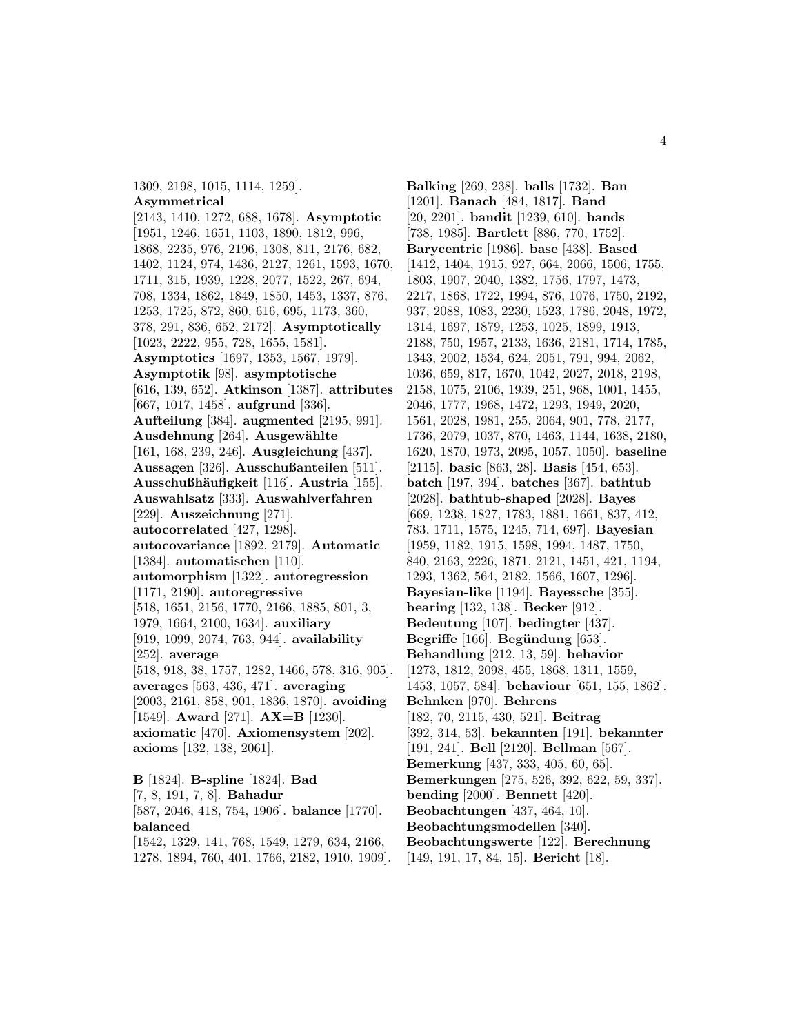1309, 2198, 1015, 1114, 1259]. **Asymmetrical** [2143, 1410, 1272, 688, 1678]. **Asymptotic** [1951, 1246, 1651, 1103, 1890, 1812, 996, 1868, 2235, 976, 2196, 1308, 811, 2176, 682, 1402, 1124, 974, 1436, 2127, 1261, 1593, 1670, 1711, 315, 1939, 1228, 2077, 1522, 267, 694, 708, 1334, 1862, 1849, 1850, 1453, 1337, 876, 1253, 1725, 872, 860, 616, 695, 1173, 360, 378, 291, 836, 652, 2172]. **Asymptotically** [1023, 2222, 955, 728, 1655, 1581]. **Asymptotics** [1697, 1353, 1567, 1979]. **Asymptotik** [98]. **asymptotische** [616, 139, 652]. **Atkinson** [1387]. **attributes** [667, 1017, 1458]. **aufgrund** [336]. **Aufteilung** [384]. **augmented** [2195, 991]. Ausdehnung<sup>[264]</sup>. Ausgewählte [161, 168, 239, 246]. **Ausgleichung** [437]. **Aussagen** [326]. **Ausschußanteilen** [511]. **Ausschußh¨aufigkeit** [116]. **Austria** [155]. **Auswahlsatz** [333]. **Auswahlverfahren** [229]. **Auszeichnung** [271]. **autocorrelated** [427, 1298]. **autocovariance** [1892, 2179]. **Automatic** [1384]. **automatischen** [110]. **automorphism** [1322]. **autoregression** [1171, 2190]. **autoregressive** [518, 1651, 2156, 1770, 2166, 1885, 801, 3, 1979, 1664, 2100, 1634]. **auxiliary** [919, 1099, 2074, 763, 944]. **availability** [252]. **average** [518, 918, 38, 1757, 1282, 1466, 578, 316, 905]. **averages** [563, 436, 471]. **averaging** [2003, 2161, 858, 901, 1836, 1870]. **avoiding** [1549]. **Award** [271]. **AX=B** [1230]. **axiomatic** [470]. **Axiomensystem** [202]. **axioms** [132, 138, 2061]. **B** [1824]. **B-spline** [1824]. **Bad** [7, 8, 191, 7, 8]. **Bahadur**

[587, 2046, 418, 754, 1906]. **balance** [1770]. **balanced** [1542, 1329, 141, 768, 1549, 1279, 634, 2166, 1278, 1894, 760, 401, 1766, 2182, 1910, 1909].

**Balking** [269, 238]. **balls** [1732]. **Ban** [1201]. **Banach** [484, 1817]. **Band** [20, 2201]. **bandit** [1239, 610]. **bands** [738, 1985]. **Bartlett** [886, 770, 1752]. **Barycentric** [1986]. **base** [438]. **Based** [1412, 1404, 1915, 927, 664, 2066, 1506, 1755, 1803, 1907, 2040, 1382, 1756, 1797, 1473, 2217, 1868, 1722, 1994, 876, 1076, 1750, 2192, 937, 2088, 1083, 2230, 1523, 1786, 2048, 1972, 1314, 1697, 1879, 1253, 1025, 1899, 1913, 2188, 750, 1957, 2133, 1636, 2181, 1714, 1785, 1343, 2002, 1534, 624, 2051, 791, 994, 2062, 1036, 659, 817, 1670, 1042, 2027, 2018, 2198, 2158, 1075, 2106, 1939, 251, 968, 1001, 1455, 2046, 1777, 1968, 1472, 1293, 1949, 2020, 1561, 2028, 1981, 255, 2064, 901, 778, 2177, 1736, 2079, 1037, 870, 1463, 1144, 1638, 2180, 1620, 1870, 1973, 2095, 1057, 1050]. **baseline** [2115]. **basic** [863, 28]. **Basis** [454, 653]. **batch** [197, 394]. **batches** [367]. **bathtub** [2028]. **bathtub-shaped** [2028]. **Bayes** [669, 1238, 1827, 1783, 1881, 1661, 837, 412, 783, 1711, 1575, 1245, 714, 697]. **Bayesian** [1959, 1182, 1915, 1598, 1994, 1487, 1750, 840, 2163, 2226, 1871, 2121, 1451, 421, 1194, 1293, 1362, 564, 2182, 1566, 1607, 1296]. **Bayesian-like** [1194]. **Bayessche** [355]. **bearing** [132, 138]. **Becker** [912]. **Bedeutung** [107]. **bedingter** [437]. **Begriffe** [166]. **Begündung** [653]. **Behandlung** [212, 13, 59]. **behavior** [1273, 1812, 2098, 455, 1868, 1311, 1559, 1453, 1057, 584]. **behaviour** [651, 155, 1862]. **Behnken** [970]. **Behrens** [182, 70, 2115, 430, 521]. **Beitrag** [392, 314, 53]. **bekannten** [191]. **bekannter** [191, 241]. **Bell** [2120]. **Bellman** [567]. **Bemerkung** [437, 333, 405, 60, 65]. **Bemerkungen** [275, 526, 392, 622, 59, 337]. **bending** [2000]. **Bennett** [420]. **Beobachtungen** [437, 464, 10]. **Beobachtungsmodellen** [340]. **Beobachtungswerte** [122]. **Berechnung** [149, 191, 17, 84, 15]. **Bericht** [18].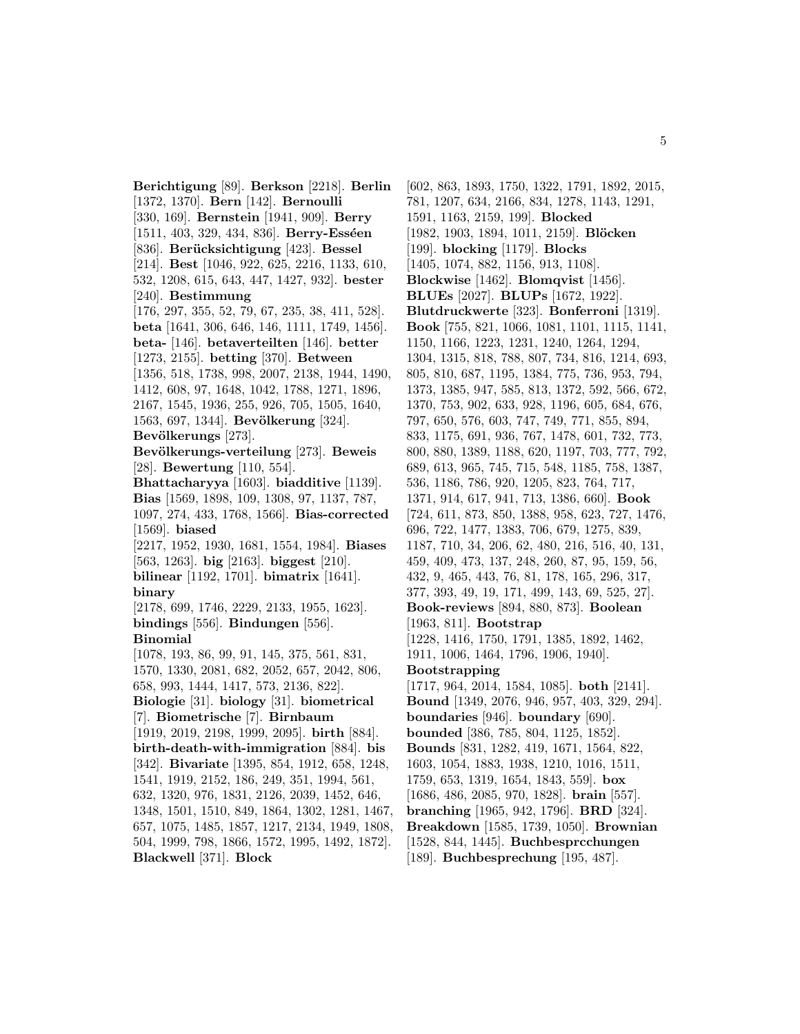**Berichtigung** [89]. **Berkson** [2218]. **Berlin** [1372, 1370]. **Bern** [142]. **Bernoulli** [330, 169]. **Bernstein** [1941, 909]. **Berry** [1511, 403, 329, 434, 836]. **Berry-Esséen** [836]. **Berücksichtigung** [423]. **Bessel** [214]. **Best** [1046, 922, 625, 2216, 1133, 610, 532, 1208, 615, 643, 447, 1427, 932]. **bester** [240]. **Bestimmung** [176, 297, 355, 52, 79, 67, 235, 38, 411, 528]. **beta** [1641, 306, 646, 146, 1111, 1749, 1456]. **beta-** [146]. **betaverteilten** [146]. **better** [1273, 2155]. **betting** [370]. **Between** [1356, 518, 1738, 998, 2007, 2138, 1944, 1490, 1412, 608, 97, 1648, 1042, 1788, 1271, 1896, 2167, 1545, 1936, 255, 926, 705, 1505, 1640, 1563, 697, 1344]. **Bevölkerung** [324]. Bevölkerungs [273]. Bevölkerungs-verteilung<sup>[273]</sup>. Beweis [28]. **Bewertung** [110, 554]. **Bhattacharyya** [1603]. **biadditive** [1139]. **Bias** [1569, 1898, 109, 1308, 97, 1137, 787, 1097, 274, 433, 1768, 1566]. **Bias-corrected** [1569]. **biased** [2217, 1952, 1930, 1681, 1554, 1984]. **Biases** [563, 1263]. **big** [2163]. **biggest** [210]. **bilinear** [1192, 1701]. **bimatrix** [1641]. **binary** [2178, 699, 1746, 2229, 2133, 1955, 1623]. **bindings** [556]. **Bindungen** [556]. **Binomial** [1078, 193, 86, 99, 91, 145, 375, 561, 831, 1570, 1330, 2081, 682, 2052, 657, 2042, 806, 658, 993, 1444, 1417, 573, 2136, 822]. **Biologie** [31]. **biology** [31]. **biometrical** [7]. **Biometrische** [7]. **Birnbaum** [1919, 2019, 2198, 1999, 2095]. **birth** [884]. **birth-death-with-immigration** [884]. **bis** [342]. **Bivariate** [1395, 854, 1912, 658, 1248, 1541, 1919, 2152, 186, 249, 351, 1994, 561, 632, 1320, 976, 1831, 2126, 2039, 1452, 646, 1348, 1501, 1510, 849, 1864, 1302, 1281, 1467, 657, 1075, 1485, 1857, 1217, 2134, 1949, 1808, 504, 1999, 798, 1866, 1572, 1995, 1492, 1872]. **Blackwell** [371]. **Block**

[602, 863, 1893, 1750, 1322, 1791, 1892, 2015, 781, 1207, 634, 2166, 834, 1278, 1143, 1291, 1591, 1163, 2159, 199]. **Blocked** [1982, 1903, 1894, 1011, 2159]. **Blöcken** [199]. **blocking** [1179]. **Blocks** [1405, 1074, 882, 1156, 913, 1108]. **Blockwise** [1462]. **Blomqvist** [1456]. **BLUEs** [2027]. **BLUPs** [1672, 1922]. **Blutdruckwerte** [323]. **Bonferroni** [1319]. **Book** [755, 821, 1066, 1081, 1101, 1115, 1141, 1150, 1166, 1223, 1231, 1240, 1264, 1294, 1304, 1315, 818, 788, 807, 734, 816, 1214, 693, 805, 810, 687, 1195, 1384, 775, 736, 953, 794, 1373, 1385, 947, 585, 813, 1372, 592, 566, 672, 1370, 753, 902, 633, 928, 1196, 605, 684, 676, 797, 650, 576, 603, 747, 749, 771, 855, 894, 833, 1175, 691, 936, 767, 1478, 601, 732, 773, 800, 880, 1389, 1188, 620, 1197, 703, 777, 792, 689, 613, 965, 745, 715, 548, 1185, 758, 1387, 536, 1186, 786, 920, 1205, 823, 764, 717, 1371, 914, 617, 941, 713, 1386, 660]. **Book** [724, 611, 873, 850, 1388, 958, 623, 727, 1476, 696, 722, 1477, 1383, 706, 679, 1275, 839, 1187, 710, 34, 206, 62, 480, 216, 516, 40, 131, 459, 409, 473, 137, 248, 260, 87, 95, 159, 56, 432, 9, 465, 443, 76, 81, 178, 165, 296, 317, 377, 393, 49, 19, 171, 499, 143, 69, 525, 27]. **Book-reviews** [894, 880, 873]. **Boolean** [1963, 811]. **Bootstrap** [1228, 1416, 1750, 1791, 1385, 1892, 1462, 1911, 1006, 1464, 1796, 1906, 1940]. **Bootstrapping** [1717, 964, 2014, 1584, 1085]. **both** [2141]. **Bound** [1349, 2076, 946, 957, 403, 329, 294]. **boundaries** [946]. **boundary** [690]. **bounded** [386, 785, 804, 1125, 1852]. **Bounds** [831, 1282, 419, 1671, 1564, 822, 1603, 1054, 1883, 1938, 1210, 1016, 1511, 1759, 653, 1319, 1654, 1843, 559]. **box** [1686, 486, 2085, 970, 1828]. **brain** [557]. **branching** [1965, 942, 1796]. **BRD** [324]. **Breakdown** [1585, 1739, 1050]. **Brownian** [1528, 844, 1445]. **Buchbesprcchungen** [189]. **Buchbesprechung** [195, 487].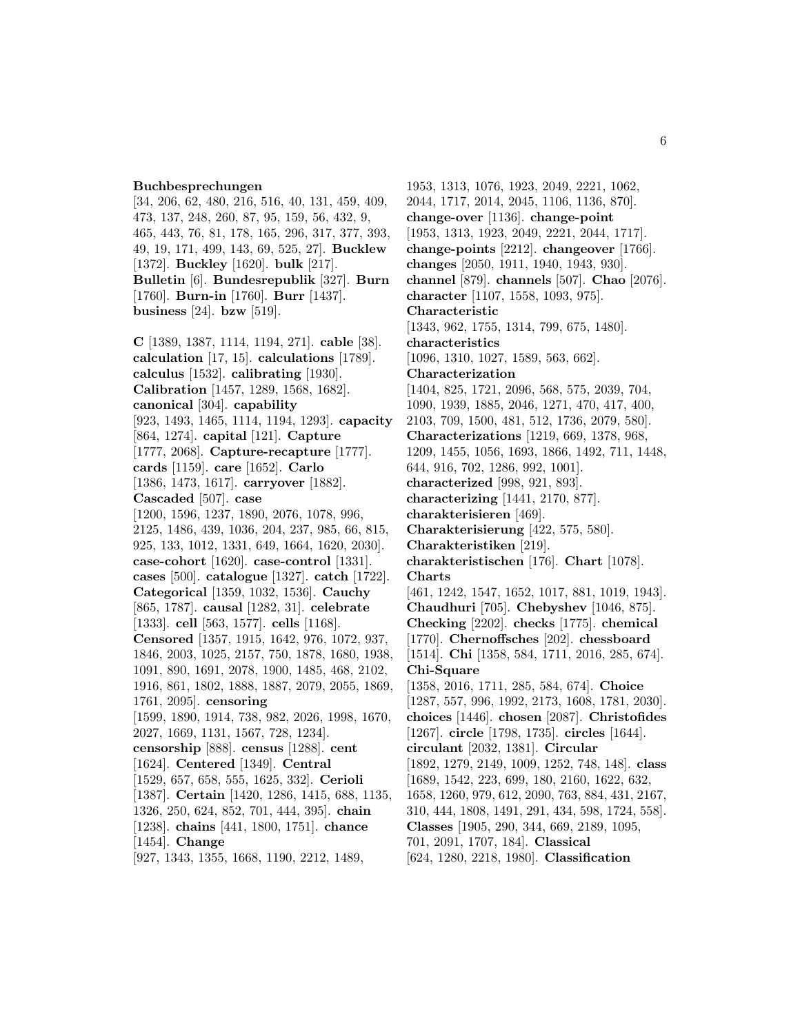#### **Buchbesprechungen**

[34, 206, 62, 480, 216, 516, 40, 131, 459, 409, 473, 137, 248, 260, 87, 95, 159, 56, 432, 9, 465, 443, 76, 81, 178, 165, 296, 317, 377, 393, 49, 19, 171, 499, 143, 69, 525, 27]. **Bucklew** [1372]. **Buckley** [1620]. **bulk** [217]. **Bulletin** [6]. **Bundesrepublik** [327]. **Burn** [1760]. **Burn-in** [1760]. **Burr** [1437]. **business** [24]. **bzw** [519].

**C** [1389, 1387, 1114, 1194, 271]. **cable** [38]. **calculation** [17, 15]. **calculations** [1789]. **calculus** [1532]. **calibrating** [1930]. **Calibration** [1457, 1289, 1568, 1682]. **canonical** [304]. **capability** [923, 1493, 1465, 1114, 1194, 1293]. **capacity** [864, 1274]. **capital** [121]. **Capture** [1777, 2068]. **Capture-recapture** [1777]. **cards** [1159]. **care** [1652]. **Carlo** [1386, 1473, 1617]. **carryover** [1882]. **Cascaded** [507]. **case** [1200, 1596, 1237, 1890, 2076, 1078, 996, 2125, 1486, 439, 1036, 204, 237, 985, 66, 815, 925, 133, 1012, 1331, 649, 1664, 1620, 2030]. **case-cohort** [1620]. **case-control** [1331]. **cases** [500]. **catalogue** [1327]. **catch** [1722]. **Categorical** [1359, 1032, 1536]. **Cauchy** [865, 1787]. **causal** [1282, 31]. **celebrate** [1333]. **cell** [563, 1577]. **cells** [1168]. **Censored** [1357, 1915, 1642, 976, 1072, 937, 1846, 2003, 1025, 2157, 750, 1878, 1680, 1938, 1091, 890, 1691, 2078, 1900, 1485, 468, 2102, 1916, 861, 1802, 1888, 1887, 2079, 2055, 1869, 1761, 2095]. **censoring** [1599, 1890, 1914, 738, 982, 2026, 1998, 1670, 2027, 1669, 1131, 1567, 728, 1234]. **censorship** [888]. **census** [1288]. **cent** [1624]. **Centered** [1349]. **Central** [1529, 657, 658, 555, 1625, 332]. **Cerioli** [1387]. **Certain** [1420, 1286, 1415, 688, 1135, 1326, 250, 624, 852, 701, 444, 395]. **chain** [1238]. **chains** [441, 1800, 1751]. **chance** [1454]. **Change** [927, 1343, 1355, 1668, 1190, 2212, 1489,

1953, 1313, 1076, 1923, 2049, 2221, 1062, 2044, 1717, 2014, 2045, 1106, 1136, 870]. **change-over** [1136]. **change-point** [1953, 1313, 1923, 2049, 2221, 2044, 1717]. **change-points** [2212]. **changeover** [1766]. **changes** [2050, 1911, 1940, 1943, 930]. **channel** [879]. **channels** [507]. **Chao** [2076]. **character** [1107, 1558, 1093, 975]. **Characteristic** [1343, 962, 1755, 1314, 799, 675, 1480]. **characteristics** [1096, 1310, 1027, 1589, 563, 662]. **Characterization** [1404, 825, 1721, 2096, 568, 575, 2039, 704, 1090, 1939, 1885, 2046, 1271, 470, 417, 400, 2103, 709, 1500, 481, 512, 1736, 2079, 580]. **Characterizations** [1219, 669, 1378, 968, 1209, 1455, 1056, 1693, 1866, 1492, 711, 1448, 644, 916, 702, 1286, 992, 1001]. **characterized** [998, 921, 893]. **characterizing** [1441, 2170, 877]. **charakterisieren** [469]. **Charakterisierung** [422, 575, 580]. **Charakteristiken** [219]. **charakteristischen** [176]. **Chart** [1078]. **Charts** [461, 1242, 1547, 1652, 1017, 881, 1019, 1943]. **Chaudhuri** [705]. **Chebyshev** [1046, 875]. **Checking** [2202]. **checks** [1775]. **chemical** [1770]. **Chernoffsches** [202]. **chessboard** [1514]. **Chi** [1358, 584, 1711, 2016, 285, 674]. **Chi-Square** [1358, 2016, 1711, 285, 584, 674]. **Choice** [1287, 557, 996, 1992, 2173, 1608, 1781, 2030]. **choices** [1446]. **chosen** [2087]. **Christofides** [1267]. **circle** [1798, 1735]. **circles** [1644]. **circulant** [2032, 1381]. **Circular** [1892, 1279, 2149, 1009, 1252, 748, 148]. **class** [1689, 1542, 223, 699, 180, 2160, 1622, 632, 1658, 1260, 979, 612, 2090, 763, 884, 431, 2167, 310, 444, 1808, 1491, 291, 434, 598, 1724, 558]. **Classes** [1905, 290, 344, 669, 2189, 1095, 701, 2091, 1707, 184]. **Classical** [624, 1280, 2218, 1980]. **Classification**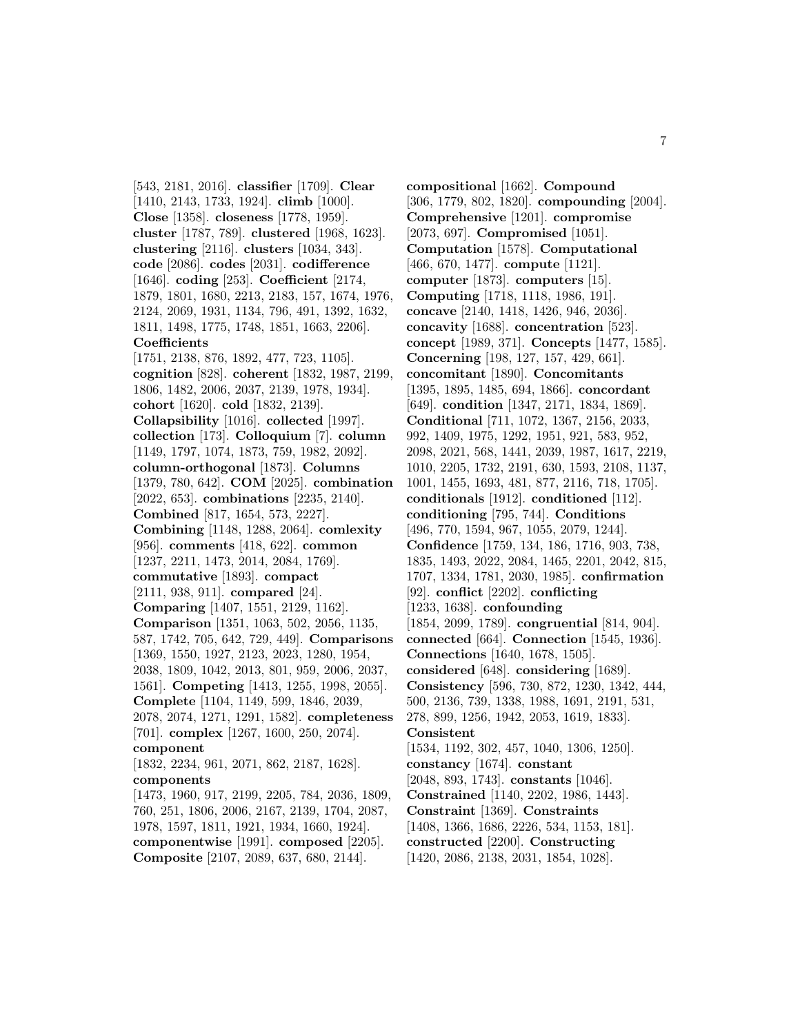[543, 2181, 2016]. **classifier** [1709]. **Clear** [1410, 2143, 1733, 1924]. **climb** [1000]. **Close** [1358]. **closeness** [1778, 1959]. **cluster** [1787, 789]. **clustered** [1968, 1623]. **clustering** [2116]. **clusters** [1034, 343]. **code** [2086]. **codes** [2031]. **codifference** [1646]. **coding** [253]. **Coefficient** [2174, 1879, 1801, 1680, 2213, 2183, 157, 1674, 1976, 2124, 2069, 1931, 1134, 796, 491, 1392, 1632, 1811, 1498, 1775, 1748, 1851, 1663, 2206]. **Coefficients** [1751, 2138, 876, 1892, 477, 723, 1105]. **cognition** [828]. **coherent** [1832, 1987, 2199, 1806, 1482, 2006, 2037, 2139, 1978, 1934]. **cohort** [1620]. **cold** [1832, 2139]. **Collapsibility** [1016]. **collected** [1997]. **collection** [173]. **Colloquium** [7]. **column** [1149, 1797, 1074, 1873, 759, 1982, 2092]. **column-orthogonal** [1873]. **Columns** [1379, 780, 642]. **COM** [2025]. **combination** [2022, 653]. **combinations** [2235, 2140]. **Combined** [817, 1654, 573, 2227]. **Combining** [1148, 1288, 2064]. **comlexity** [956]. **comments** [418, 622]. **common** [1237, 2211, 1473, 2014, 2084, 1769]. **commutative** [1893]. **compact** [2111, 938, 911]. **compared** [24]. **Comparing** [1407, 1551, 2129, 1162]. **Comparison** [1351, 1063, 502, 2056, 1135, 587, 1742, 705, 642, 729, 449]. **Comparisons** [1369, 1550, 1927, 2123, 2023, 1280, 1954, 2038, 1809, 1042, 2013, 801, 959, 2006, 2037, 1561]. **Competing** [1413, 1255, 1998, 2055]. **Complete** [1104, 1149, 599, 1846, 2039, 2078, 2074, 1271, 1291, 1582]. **completeness** [701]. **complex** [1267, 1600, 250, 2074]. **component** [1832, 2234, 961, 2071, 862, 2187, 1628]. **components** [1473, 1960, 917, 2199, 2205, 784, 2036, 1809, 760, 251, 1806, 2006, 2167, 2139, 1704, 2087, 1978, 1597, 1811, 1921, 1934, 1660, 1924]. **componentwise** [1991]. **composed** [2205]. **Composite** [2107, 2089, 637, 680, 2144].

**compositional** [1662]. **Compound** [306, 1779, 802, 1820]. **compounding** [2004]. **Comprehensive** [1201]. **compromise** [2073, 697]. **Compromised** [1051]. **Computation** [1578]. **Computational** [466, 670, 1477]. **compute** [1121]. **computer** [1873]. **computers** [15]. **Computing** [1718, 1118, 1986, 191]. **concave** [2140, 1418, 1426, 946, 2036]. **concavity** [1688]. **concentration** [523]. **concept** [1989, 371]. **Concepts** [1477, 1585]. **Concerning** [198, 127, 157, 429, 661]. **concomitant** [1890]. **Concomitants** [1395, 1895, 1485, 694, 1866]. **concordant** [649]. **condition** [1347, 2171, 1834, 1869]. **Conditional** [711, 1072, 1367, 2156, 2033, 992, 1409, 1975, 1292, 1951, 921, 583, 952, 2098, 2021, 568, 1441, 2039, 1987, 1617, 2219, 1010, 2205, 1732, 2191, 630, 1593, 2108, 1137, 1001, 1455, 1693, 481, 877, 2116, 718, 1705]. **conditionals** [1912]. **conditioned** [112]. **conditioning** [795, 744]. **Conditions** [496, 770, 1594, 967, 1055, 2079, 1244]. **Confidence** [1759, 134, 186, 1716, 903, 738, 1835, 1493, 2022, 2084, 1465, 2201, 2042, 815, 1707, 1334, 1781, 2030, 1985]. **confirmation** [92]. **conflict** [2202]. **conflicting** [1233, 1638]. **confounding** [1854, 2099, 1789]. **congruential** [814, 904]. **connected** [664]. **Connection** [1545, 1936]. **Connections** [1640, 1678, 1505]. **considered** [648]. **considering** [1689]. **Consistency** [596, 730, 872, 1230, 1342, 444, 500, 2136, 739, 1338, 1988, 1691, 2191, 531, 278, 899, 1256, 1942, 2053, 1619, 1833]. **Consistent** [1534, 1192, 302, 457, 1040, 1306, 1250]. **constancy** [1674]. **constant** [2048, 893, 1743]. **constants** [1046]. **Constrained** [1140, 2202, 1986, 1443]. **Constraint** [1369]. **Constraints** [1408, 1366, 1686, 2226, 534, 1153, 181]. **constructed** [2200]. **Constructing** [1420, 2086, 2138, 2031, 1854, 1028].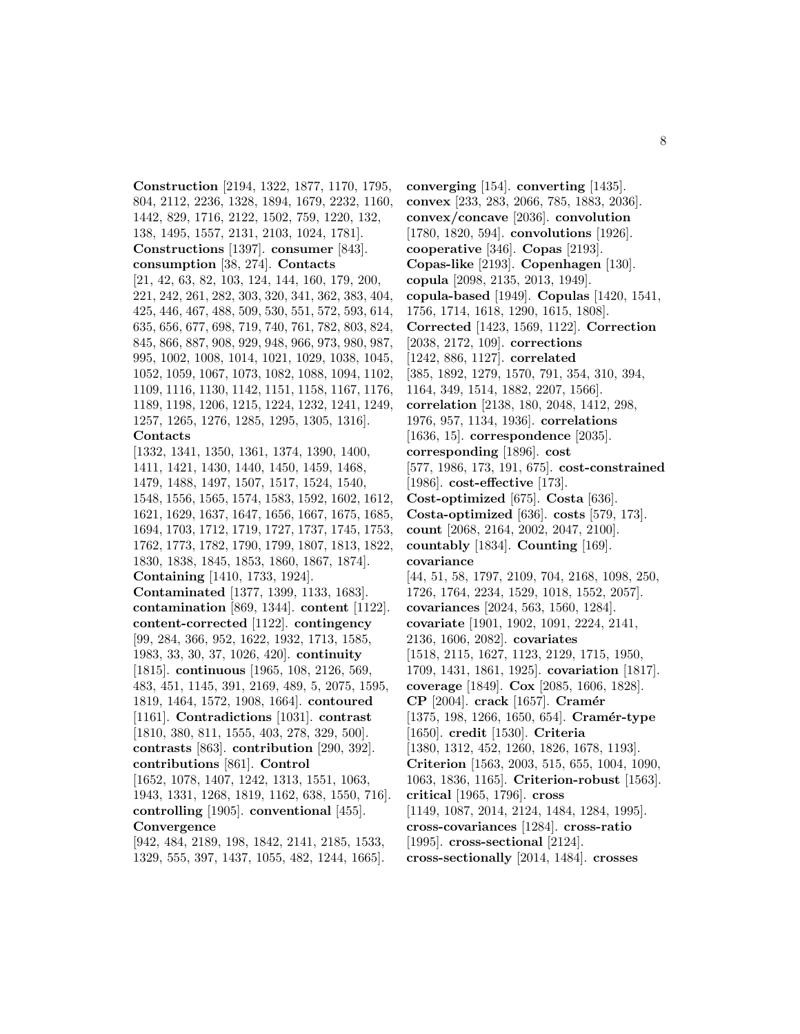**Construction** [2194, 1322, 1877, 1170, 1795, 804, 2112, 2236, 1328, 1894, 1679, 2232, 1160, 1442, 829, 1716, 2122, 1502, 759, 1220, 132, 138, 1495, 1557, 2131, 2103, 1024, 1781]. **Constructions** [1397]. **consumer** [843]. **consumption** [38, 274]. **Contacts** [21, 42, 63, 82, 103, 124, 144, 160, 179, 200, 221, 242, 261, 282, 303, 320, 341, 362, 383, 404, 425, 446, 467, 488, 509, 530, 551, 572, 593, 614, 635, 656, 677, 698, 719, 740, 761, 782, 803, 824, 845, 866, 887, 908, 929, 948, 966, 973, 980, 987, 995, 1002, 1008, 1014, 1021, 1029, 1038, 1045, 1052, 1059, 1067, 1073, 1082, 1088, 1094, 1102, 1109, 1116, 1130, 1142, 1151, 1158, 1167, 1176, 1189, 1198, 1206, 1215, 1224, 1232, 1241, 1249, 1257, 1265, 1276, 1285, 1295, 1305, 1316]. **Contacts** [1332, 1341, 1350, 1361, 1374, 1390, 1400, 1411, 1421, 1430, 1440, 1450, 1459, 1468, 1479, 1488, 1497, 1507, 1517, 1524, 1540, 1548, 1556, 1565, 1574, 1583, 1592, 1602, 1612, 1621, 1629, 1637, 1647, 1656, 1667, 1675, 1685, 1694, 1703, 1712, 1719, 1727, 1737, 1745, 1753, 1762, 1773, 1782, 1790, 1799, 1807, 1813, 1822, 1830, 1838, 1845, 1853, 1860, 1867, 1874]. **Containing** [1410, 1733, 1924]. **Contaminated** [1377, 1399, 1133, 1683]. **contamination** [869, 1344]. **content** [1122]. **content-corrected** [1122]. **contingency** [99, 284, 366, 952, 1622, 1932, 1713, 1585, 1983, 33, 30, 37, 1026, 420]. **continuity** [1815]. **continuous** [1965, 108, 2126, 569, 483, 451, 1145, 391, 2169, 489, 5, 2075, 1595, 1819, 1464, 1572, 1908, 1664]. **contoured** [1161]. **Contradictions** [1031]. **contrast** [1810, 380, 811, 1555, 403, 278, 329, 500]. **contrasts** [863]. **contribution** [290, 392]. **contributions** [861]. **Control** [1652, 1078, 1407, 1242, 1313, 1551, 1063, 1943, 1331, 1268, 1819, 1162, 638, 1550, 716]. **controlling** [1905]. **conventional** [455]. **Convergence**

[942, 484, 2189, 198, 1842, 2141, 2185, 1533, 1329, 555, 397, 1437, 1055, 482, 1244, 1665].

**converging** [154]. **converting** [1435]. **convex** [233, 283, 2066, 785, 1883, 2036]. **convex/concave** [2036]. **convolution** [1780, 1820, 594]. **convolutions** [1926]. **cooperative** [346]. **Copas** [2193]. **Copas-like** [2193]. **Copenhagen** [130]. **copula** [2098, 2135, 2013, 1949]. **copula-based** [1949]. **Copulas** [1420, 1541, 1756, 1714, 1618, 1290, 1615, 1808]. **Corrected** [1423, 1569, 1122]. **Correction** [2038, 2172, 109]. **corrections** [1242, 886, 1127]. **correlated** [385, 1892, 1279, 1570, 791, 354, 310, 394, 1164, 349, 1514, 1882, 2207, 1566]. **correlation** [2138, 180, 2048, 1412, 298, 1976, 957, 1134, 1936]. **correlations** [1636, 15]. **correspondence** [2035]. **corresponding** [1896]. **cost** [577, 1986, 173, 191, 675]. **cost-constrained** [1986]. **cost-effective** [173]. **Cost-optimized** [675]. **Costa** [636]. **Costa-optimized** [636]. **costs** [579, 173]. **count** [2068, 2164, 2002, 2047, 2100]. **countably** [1834]. **Counting** [169]. **covariance** [44, 51, 58, 1797, 2109, 704, 2168, 1098, 250, 1726, 1764, 2234, 1529, 1018, 1552, 2057]. **covariances** [2024, 563, 1560, 1284]. **covariate** [1901, 1902, 1091, 2224, 2141, 2136, 1606, 2082]. **covariates** [1518, 2115, 1627, 1123, 2129, 1715, 1950, 1709, 1431, 1861, 1925]. **covariation** [1817]. **coverage** [1849]. **Cox** [2085, 1606, 1828]. **CP** [2004]. **crack** [1657]. **Cram´er** [1375, 198, 1266, 1650, 654]. **Cramér-type** [1650]. **credit** [1530]. **Criteria** [1380, 1312, 452, 1260, 1826, 1678, 1193]. **Criterion** [1563, 2003, 515, 655, 1004, 1090, 1063, 1836, 1165]. **Criterion-robust** [1563]. **critical** [1965, 1796]. **cross** [1149, 1087, 2014, 2124, 1484, 1284, 1995]. **cross-covariances** [1284]. **cross-ratio** [1995]. **cross-sectional** [2124]. **cross-sectionally** [2014, 1484]. **crosses**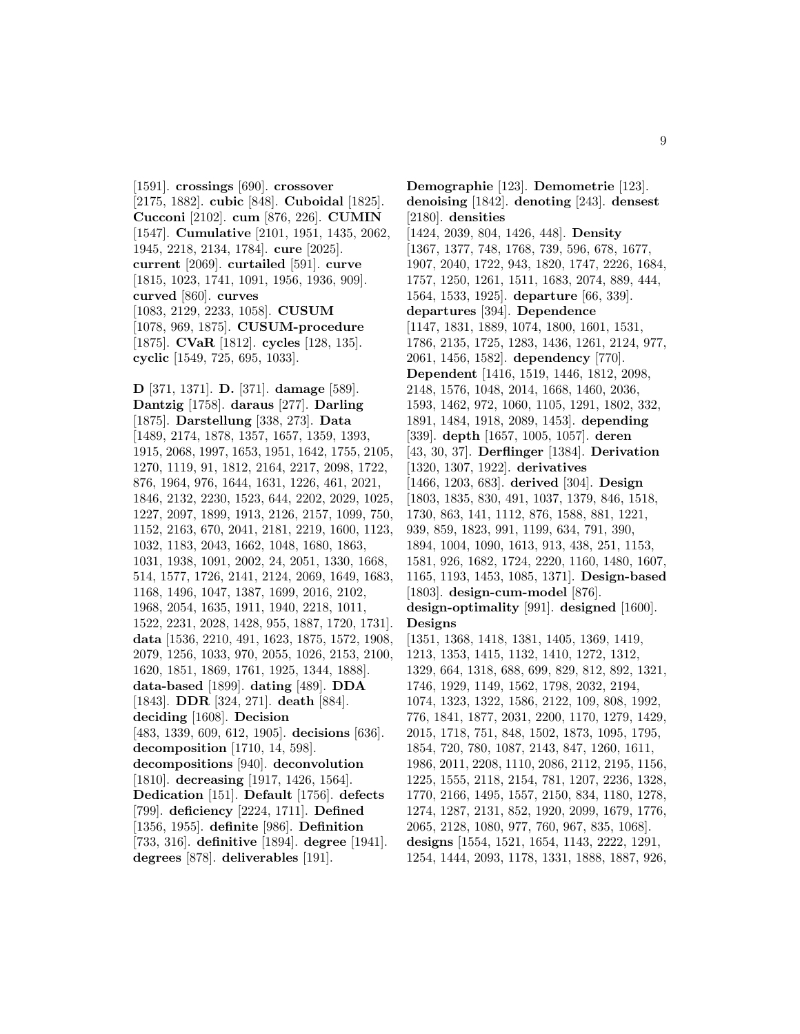[1591]. **crossings** [690]. **crossover** [2175, 1882]. **cubic** [848]. **Cuboidal** [1825]. **Cucconi** [2102]. **cum** [876, 226]. **CUMIN** [1547]. **Cumulative** [2101, 1951, 1435, 2062, 1945, 2218, 2134, 1784]. **cure** [2025]. **current** [2069]. **curtailed** [591]. **curve** [1815, 1023, 1741, 1091, 1956, 1936, 909]. **curved** [860]. **curves** [1083, 2129, 2233, 1058]. **CUSUM** [1078, 969, 1875]. **CUSUM-procedure** [1875]. **CVaR** [1812]. **cycles** [128, 135]. **cyclic** [1549, 725, 695, 1033].

**D** [371, 1371]. **D.** [371]. **damage** [589]. **Dantzig** [1758]. **daraus** [277]. **Darling** [1875]. **Darstellung** [338, 273]. **Data** [1489, 2174, 1878, 1357, 1657, 1359, 1393, 1915, 2068, 1997, 1653, 1951, 1642, 1755, 2105, 1270, 1119, 91, 1812, 2164, 2217, 2098, 1722, 876, 1964, 976, 1644, 1631, 1226, 461, 2021, 1846, 2132, 2230, 1523, 644, 2202, 2029, 1025, 1227, 2097, 1899, 1913, 2126, 2157, 1099, 750, 1152, 2163, 670, 2041, 2181, 2219, 1600, 1123, 1032, 1183, 2043, 1662, 1048, 1680, 1863, 1031, 1938, 1091, 2002, 24, 2051, 1330, 1668, 514, 1577, 1726, 2141, 2124, 2069, 1649, 1683, 1168, 1496, 1047, 1387, 1699, 2016, 2102, 1968, 2054, 1635, 1911, 1940, 2218, 1011, 1522, 2231, 2028, 1428, 955, 1887, 1720, 1731]. **data** [1536, 2210, 491, 1623, 1875, 1572, 1908, 2079, 1256, 1033, 970, 2055, 1026, 2153, 2100, 1620, 1851, 1869, 1761, 1925, 1344, 1888]. **data-based** [1899]. **dating** [489]. **DDA** [1843]. **DDR** [324, 271]. **death** [884]. **deciding** [1608]. **Decision** [483, 1339, 609, 612, 1905]. **decisions** [636]. **decomposition** [1710, 14, 598]. **decompositions** [940]. **deconvolution** [1810]. **decreasing** [1917, 1426, 1564]. **Dedication** [151]. **Default** [1756]. **defects** [799]. **deficiency** [2224, 1711]. **Defined** [1356, 1955]. **definite** [986]. **Definition** [733, 316]. **definitive** [1894]. **degree** [1941]. **degrees** [878]. **deliverables** [191].

**Demographie** [123]. **Demometrie** [123]. **denoising** [1842]. **denoting** [243]. **densest** [2180]. **densities** [1424, 2039, 804, 1426, 448]. **Density** [1367, 1377, 748, 1768, 739, 596, 678, 1677, 1907, 2040, 1722, 943, 1820, 1747, 2226, 1684, 1757, 1250, 1261, 1511, 1683, 2074, 889, 444, 1564, 1533, 1925]. **departure** [66, 339]. **departures** [394]. **Dependence** [1147, 1831, 1889, 1074, 1800, 1601, 1531, 1786, 2135, 1725, 1283, 1436, 1261, 2124, 977, 2061, 1456, 1582]. **dependency** [770]. **Dependent** [1416, 1519, 1446, 1812, 2098, 2148, 1576, 1048, 2014, 1668, 1460, 2036, 1593, 1462, 972, 1060, 1105, 1291, 1802, 332, 1891, 1484, 1918, 2089, 1453]. **depending** [339]. **depth** [1657, 1005, 1057]. **deren** [43, 30, 37]. **Derflinger** [1384]. **Derivation** [1320, 1307, 1922]. **derivatives** [1466, 1203, 683]. **derived** [304]. **Design** [1803, 1835, 830, 491, 1037, 1379, 846, 1518, 1730, 863, 141, 1112, 876, 1588, 881, 1221, 939, 859, 1823, 991, 1199, 634, 791, 390, 1894, 1004, 1090, 1613, 913, 438, 251, 1153, 1581, 926, 1682, 1724, 2220, 1160, 1480, 1607, 1165, 1193, 1453, 1085, 1371]. **Design-based** [1803]. **design-cum-model** [876]. **design-optimality** [991]. **designed** [1600]. **Designs** [1351, 1368, 1418, 1381, 1405, 1369, 1419, 1213, 1353, 1415, 1132, 1410, 1272, 1312, 1329, 664, 1318, 688, 699, 829, 812, 892, 1321, 1746, 1929, 1149, 1562, 1798, 2032, 2194, 1074, 1323, 1322, 1586, 2122, 109, 808, 1992, 776, 1841, 1877, 2031, 2200, 1170, 1279, 1429, 2015, 1718, 751, 848, 1502, 1873, 1095, 1795, 1854, 720, 780, 1087, 2143, 847, 1260, 1611, 1986, 2011, 2208, 1110, 2086, 2112, 2195, 1156, 1225, 1555, 2118, 2154, 781, 1207, 2236, 1328, 1770, 2166, 1495, 1557, 2150, 834, 1180, 1278, 1274, 1287, 2131, 852, 1920, 2099, 1679, 1776, 2065, 2128, 1080, 977, 760, 967, 835, 1068]. **designs** [1554, 1521, 1654, 1143, 2222, 1291, 1254, 1444, 2093, 1178, 1331, 1888, 1887, 926,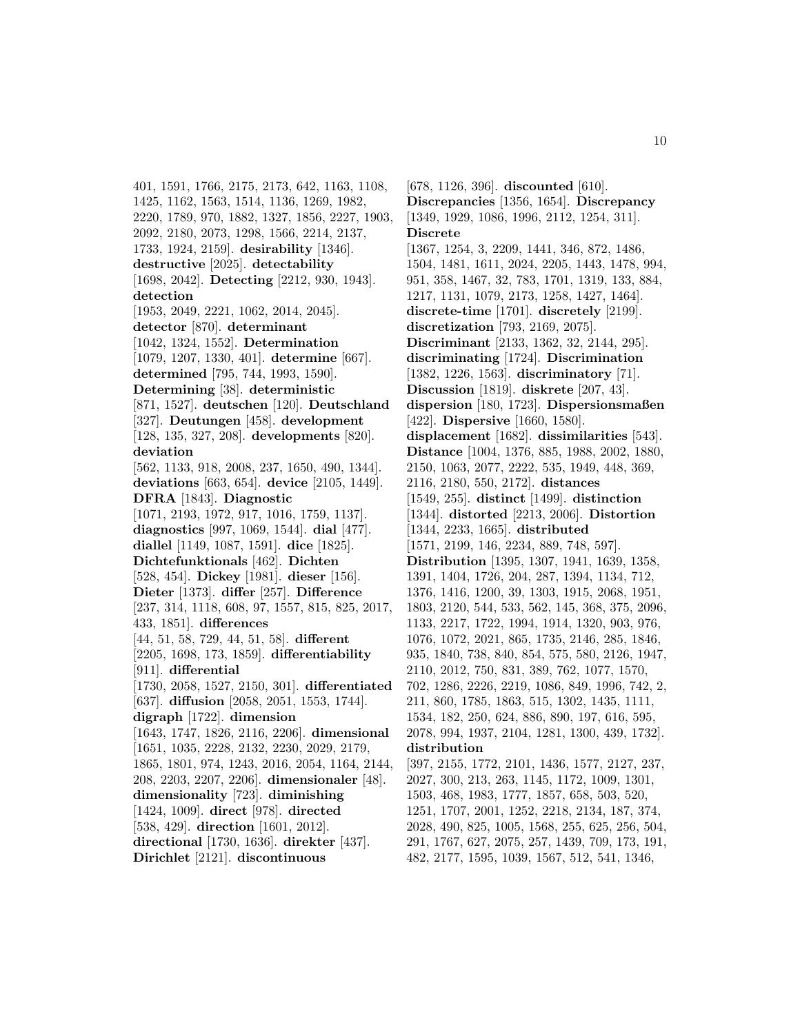401, 1591, 1766, 2175, 2173, 642, 1163, 1108, 1425, 1162, 1563, 1514, 1136, 1269, 1982, 2220, 1789, 970, 1882, 1327, 1856, 2227, 1903, 2092, 2180, 2073, 1298, 1566, 2214, 2137, 1733, 1924, 2159]. **desirability** [1346]. **destructive** [2025]. **detectability** [1698, 2042]. **Detecting** [2212, 930, 1943]. **detection** [1953, 2049, 2221, 1062, 2014, 2045]. **detector** [870]. **determinant** [1042, 1324, 1552]. **Determination** [1079, 1207, 1330, 401]. **determine** [667]. **determined** [795, 744, 1993, 1590]. **Determining** [38]. **deterministic** [871, 1527]. **deutschen** [120]. **Deutschland** [327]. **Deutungen** [458]. **development** [128, 135, 327, 208]. **developments** [820]. **deviation** [562, 1133, 918, 2008, 237, 1650, 490, 1344]. **deviations** [663, 654]. **device** [2105, 1449]. **DFRA** [1843]. **Diagnostic** [1071, 2193, 1972, 917, 1016, 1759, 1137]. **diagnostics** [997, 1069, 1544]. **dial** [477]. **diallel** [1149, 1087, 1591]. **dice** [1825]. **Dichtefunktionals** [462]. **Dichten** [528, 454]. **Dickey** [1981]. **dieser** [156]. **Dieter** [1373]. **differ** [257]. **Difference** [237, 314, 1118, 608, 97, 1557, 815, 825, 2017, 433, 1851]. **differences** [44, 51, 58, 729, 44, 51, 58]. **different** [2205, 1698, 173, 1859]. **differentiability** [911]. **differential** [1730, 2058, 1527, 2150, 301]. **differentiated** [637]. **diffusion** [2058, 2051, 1553, 1744]. **digraph** [1722]. **dimension** [1643, 1747, 1826, 2116, 2206]. **dimensional** [1651, 1035, 2228, 2132, 2230, 2029, 2179, 1865, 1801, 974, 1243, 2016, 2054, 1164, 2144, 208, 2203, 2207, 2206]. **dimensionaler** [48]. **dimensionality** [723]. **diminishing** [1424, 1009]. **direct** [978]. **directed** [538, 429]. **direction** [1601, 2012]. **directional** [1730, 1636]. **direkter** [437]. **Dirichlet** [2121]. **discontinuous**

[678, 1126, 396]. **discounted** [610]. **Discrepancies** [1356, 1654]. **Discrepancy** [1349, 1929, 1086, 1996, 2112, 1254, 311]. **Discrete** [1367, 1254, 3, 2209, 1441, 346, 872, 1486, 1504, 1481, 1611, 2024, 2205, 1443, 1478, 994, 951, 358, 1467, 32, 783, 1701, 1319, 133, 884, 1217, 1131, 1079, 2173, 1258, 1427, 1464]. **discrete-time** [1701]. **discretely** [2199]. **discretization** [793, 2169, 2075]. **Discriminant** [2133, 1362, 32, 2144, 295]. **discriminating** [1724]. **Discrimination** [1382, 1226, 1563]. **discriminatory** [71]. **Discussion** [1819]. **diskrete** [207, 43]. **dispersion** [180, 1723]. **Dispersionsmaßen** [422]. **Dispersive** [1660, 1580]. **displacement** [1682]. **dissimilarities** [543]. **Distance** [1004, 1376, 885, 1988, 2002, 1880, 2150, 1063, 2077, 2222, 535, 1949, 448, 369, 2116, 2180, 550, 2172]. **distances** [1549, 255]. **distinct** [1499]. **distinction** [1344]. **distorted** [2213, 2006]. **Distortion** [1344, 2233, 1665]. **distributed** [1571, 2199, 146, 2234, 889, 748, 597]. **Distribution** [1395, 1307, 1941, 1639, 1358, 1391, 1404, 1726, 204, 287, 1394, 1134, 712, 1376, 1416, 1200, 39, 1303, 1915, 2068, 1951, 1803, 2120, 544, 533, 562, 145, 368, 375, 2096, 1133, 2217, 1722, 1994, 1914, 1320, 903, 976, 1076, 1072, 2021, 865, 1735, 2146, 285, 1846, 935, 1840, 738, 840, 854, 575, 580, 2126, 1947, 2110, 2012, 750, 831, 389, 762, 1077, 1570, 702, 1286, 2226, 2219, 1086, 849, 1996, 742, 2, 211, 860, 1785, 1863, 515, 1302, 1435, 1111, 1534, 182, 250, 624, 886, 890, 197, 616, 595, 2078, 994, 1937, 2104, 1281, 1300, 439, 1732]. **distribution** [397, 2155, 1772, 2101, 1436, 1577, 2127, 237, 2027, 300, 213, 263, 1145, 1172, 1009, 1301, 1503, 468, 1983, 1777, 1857, 658, 503, 520, 1251, 1707, 2001, 1252, 2218, 2134, 187, 374, 2028, 490, 825, 1005, 1568, 255, 625, 256, 504, 291, 1767, 627, 2075, 257, 1439, 709, 173, 191, 482, 2177, 1595, 1039, 1567, 512, 541, 1346,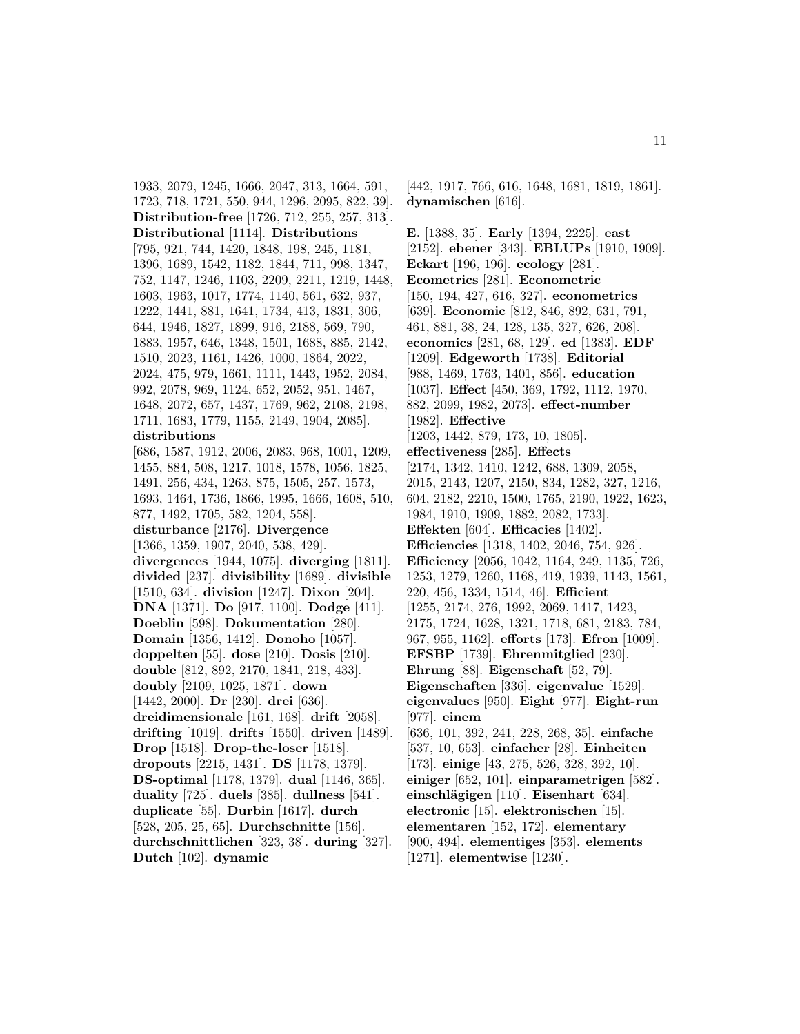1933, 2079, 1245, 1666, 2047, 313, 1664, 591, 1723, 718, 1721, 550, 944, 1296, 2095, 822, 39]. **Distribution-free** [1726, 712, 255, 257, 313]. **Distributional** [1114]. **Distributions** [795, 921, 744, 1420, 1848, 198, 245, 1181, 1396, 1689, 1542, 1182, 1844, 711, 998, 1347, 752, 1147, 1246, 1103, 2209, 2211, 1219, 1448, 1603, 1963, 1017, 1774, 1140, 561, 632, 937, 1222, 1441, 881, 1641, 1734, 413, 1831, 306, 644, 1946, 1827, 1899, 916, 2188, 569, 790, 1883, 1957, 646, 1348, 1501, 1688, 885, 2142, 1510, 2023, 1161, 1426, 1000, 1864, 2022, 2024, 475, 979, 1661, 1111, 1443, 1952, 2084, 992, 2078, 969, 1124, 652, 2052, 951, 1467, 1648, 2072, 657, 1437, 1769, 962, 2108, 2198, 1711, 1683, 1779, 1155, 2149, 1904, 2085]. **distributions** [686, 1587, 1912, 2006, 2083, 968, 1001, 1209, 1455, 884, 508, 1217, 1018, 1578, 1056, 1825, 1491, 256, 434, 1263, 875, 1505, 257, 1573, 1693, 1464, 1736, 1866, 1995, 1666, 1608, 510, 877, 1492, 1705, 582, 1204, 558]. **disturbance** [2176]. **Divergence** [1366, 1359, 1907, 2040, 538, 429]. **divergences** [1944, 1075]. **diverging** [1811]. **divided** [237]. **divisibility** [1689]. **divisible** [1510, 634]. **division** [1247]. **Dixon** [204]. **DNA** [1371]. **Do** [917, 1100]. **Dodge** [411]. **Doeblin** [598]. **Dokumentation** [280]. **Domain** [1356, 1412]. **Donoho** [1057]. **doppelten** [55]. **dose** [210]. **Dosis** [210]. **double** [812, 892, 2170, 1841, 218, 433]. **doubly** [2109, 1025, 1871]. **down** [1442, 2000]. **Dr** [230]. **drei** [636]. **dreidimensionale** [161, 168]. **drift** [2058]. **drifting** [1019]. **drifts** [1550]. **driven** [1489]. **Drop** [1518]. **Drop-the-loser** [1518]. **dropouts** [2215, 1431]. **DS** [1178, 1379]. **DS-optimal** [1178, 1379]. **dual** [1146, 365]. **duality** [725]. **duels** [385]. **dullness** [541]. **duplicate** [55]. **Durbin** [1617]. **durch** [528, 205, 25, 65]. **Durchschnitte** [156]. **durchschnittlichen** [323, 38]. **during** [327]. **Dutch** [102]. **dynamic**

[442, 1917, 766, 616, 1648, 1681, 1819, 1861]. **dynamischen** [616].

**E.** [1388, 35]. **Early** [1394, 2225]. **east** [2152]. **ebener** [343]. **EBLUPs** [1910, 1909]. **Eckart** [196, 196]. **ecology** [281]. **Ecometrics** [281]. **Econometric** [150, 194, 427, 616, 327]. **econometrics** [639]. **Economic** [812, 846, 892, 631, 791, 461, 881, 38, 24, 128, 135, 327, 626, 208]. **economics** [281, 68, 129]. **ed** [1383]. **EDF** [1209]. **Edgeworth** [1738]. **Editorial** [988, 1469, 1763, 1401, 856]. **education** [1037]. **Effect** [450, 369, 1792, 1112, 1970, 882, 2099, 1982, 2073]. **effect-number** [1982]. **Effective** [1203, 1442, 879, 173, 10, 1805]. **effectiveness** [285]. **Effects** [2174, 1342, 1410, 1242, 688, 1309, 2058, 2015, 2143, 1207, 2150, 834, 1282, 327, 1216, 604, 2182, 2210, 1500, 1765, 2190, 1922, 1623, 1984, 1910, 1909, 1882, 2082, 1733]. **Effekten** [604]. **Efficacies** [1402]. **Efficiencies** [1318, 1402, 2046, 754, 926]. **Efficiency** [2056, 1042, 1164, 249, 1135, 726, 1253, 1279, 1260, 1168, 419, 1939, 1143, 1561, 220, 456, 1334, 1514, 46]. **Efficient** [1255, 2174, 276, 1992, 2069, 1417, 1423, 2175, 1724, 1628, 1321, 1718, 681, 2183, 784, 967, 955, 1162]. **efforts** [173]. **Efron** [1009]. **EFSBP** [1739]. **Ehrenmitglied** [230]. **Ehrung** [88]. **Eigenschaft** [52, 79]. **Eigenschaften** [336]. **eigenvalue** [1529]. **eigenvalues** [950]. **Eight** [977]. **Eight-run** [977]. **einem** [636, 101, 392, 241, 228, 268, 35]. **einfache** [537, 10, 653]. **einfacher** [28]. **Einheiten** [173]. **einige** [43, 275, 526, 328, 392, 10]. **einiger** [652, 101]. **einparametrigen** [582]. **einschlägigen** [110]. **Eisenhart** [634]. **electronic** [15]. **elektronischen** [15]. **elementaren** [152, 172]. **elementary** [900, 494]. **elementiges** [353]. **elements** [1271]. **elementwise** [1230].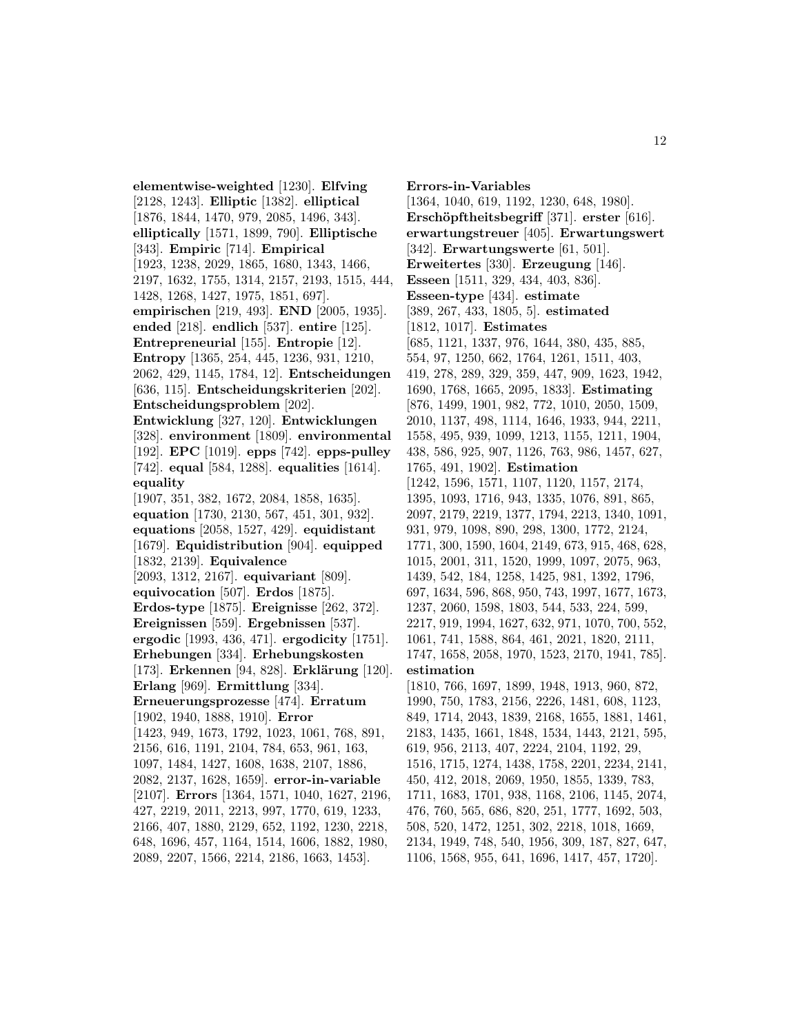**elementwise-weighted** [1230]. **Elfving** [2128, 1243]. **Elliptic** [1382]. **elliptical** [1876, 1844, 1470, 979, 2085, 1496, 343]. **elliptically** [1571, 1899, 790]. **Elliptische** [343]. **Empiric** [714]. **Empirical** [1923, 1238, 2029, 1865, 1680, 1343, 1466, 2197, 1632, 1755, 1314, 2157, 2193, 1515, 444, 1428, 1268, 1427, 1975, 1851, 697]. **empirischen** [219, 493]. **END** [2005, 1935]. **ended** [218]. **endlich** [537]. **entire** [125]. **Entrepreneurial** [155]. **Entropie** [12]. **Entropy** [1365, 254, 445, 1236, 931, 1210, 2062, 429, 1145, 1784, 12]. **Entscheidungen** [636, 115]. **Entscheidungskriterien** [202]. **Entscheidungsproblem** [202]. **Entwicklung** [327, 120]. **Entwicklungen** [328]. **environment** [1809]. **environmental** [192]. **EPC** [1019]. **epps** [742]. **epps-pulley** [742]. **equal** [584, 1288]. **equalities** [1614]. **equality** [1907, 351, 382, 1672, 2084, 1858, 1635]. **equation** [1730, 2130, 567, 451, 301, 932]. **equations** [2058, 1527, 429]. **equidistant** [1679]. **Equidistribution** [904]. **equipped** [1832, 2139]. **Equivalence** [2093, 1312, 2167]. **equivariant** [809]. **equivocation** [507]. **Erdos** [1875]. **Erdos-type** [1875]. **Ereignisse** [262, 372]. **Ereignissen** [559]. **Ergebnissen** [537]. **ergodic** [1993, 436, 471]. **ergodicity** [1751]. **Erhebungen** [334]. **Erhebungskosten** [173]. **Erkennen** [94, 828]. **Erklärung** [120]. **Erlang** [969]. **Ermittlung** [334]. **Erneuerungsprozesse** [474]. **Erratum** [1902, 1940, 1888, 1910]. **Error** [1423, 949, 1673, 1792, 1023, 1061, 768, 891, 2156, 616, 1191, 2104, 784, 653, 961, 163, 1097, 1484, 1427, 1608, 1638, 2107, 1886, 2082, 2137, 1628, 1659]. **error-in-variable** [2107]. **Errors** [1364, 1571, 1040, 1627, 2196, 427, 2219, 2011, 2213, 997, 1770, 619, 1233, 2166, 407, 1880, 2129, 652, 1192, 1230, 2218, 648, 1696, 457, 1164, 1514, 1606, 1882, 1980, 2089, 2207, 1566, 2214, 2186, 1663, 1453].

**Errors-in-Variables** [1364, 1040, 619, 1192, 1230, 648, 1980]. **Ersch¨opftheitsbegriff** [371]. **erster** [616]. **erwartungstreuer** [405]. **Erwartungswert** [342]. **Erwartungswerte** [61, 501]. **Erweitertes** [330]. **Erzeugung** [146]. **Esseen** [1511, 329, 434, 403, 836]. **Esseen-type** [434]. **estimate** [389, 267, 433, 1805, 5]. **estimated** [1812, 1017]. **Estimates** [685, 1121, 1337, 976, 1644, 380, 435, 885, 554, 97, 1250, 662, 1764, 1261, 1511, 403, 419, 278, 289, 329, 359, 447, 909, 1623, 1942, 1690, 1768, 1665, 2095, 1833]. **Estimating** [876, 1499, 1901, 982, 772, 1010, 2050, 1509, 2010, 1137, 498, 1114, 1646, 1933, 944, 2211, 1558, 495, 939, 1099, 1213, 1155, 1211, 1904, 438, 586, 925, 907, 1126, 763, 986, 1457, 627, 1765, 491, 1902]. **Estimation** [1242, 1596, 1571, 1107, 1120, 1157, 2174, 1395, 1093, 1716, 943, 1335, 1076, 891, 865, 2097, 2179, 2219, 1377, 1794, 2213, 1340, 1091, 931, 979, 1098, 890, 298, 1300, 1772, 2124, 1771, 300, 1590, 1604, 2149, 673, 915, 468, 628, 1015, 2001, 311, 1520, 1999, 1097, 2075, 963, 1439, 542, 184, 1258, 1425, 981, 1392, 1796, 697, 1634, 596, 868, 950, 743, 1997, 1677, 1673, 1237, 2060, 1598, 1803, 544, 533, 224, 599, 2217, 919, 1994, 1627, 632, 971, 1070, 700, 552, 1061, 741, 1588, 864, 461, 2021, 1820, 2111, 1747, 1658, 2058, 1970, 1523, 2170, 1941, 785]. **estimation** [1810, 766, 1697, 1899, 1948, 1913, 960, 872, 1990, 750, 1783, 2156, 2226, 1481, 608, 1123, 849, 1714, 2043, 1839, 2168, 1655, 1881, 1461, 2183, 1435, 1661, 1848, 1534, 1443, 2121, 595, 619, 956, 2113, 407, 2224, 2104, 1192, 29, 1516, 1715, 1274, 1438, 1758, 2201, 2234, 2141, 450, 412, 2018, 2069, 1950, 1855, 1339, 783, 1711, 1683, 1701, 938, 1168, 2106, 1145, 2074, 476, 760, 565, 686, 820, 251, 1777, 1692, 503, 508, 520, 1472, 1251, 302, 2218, 1018, 1669, 2134, 1949, 748, 540, 1956, 309, 187, 827, 647,

1106, 1568, 955, 641, 1696, 1417, 457, 1720].

12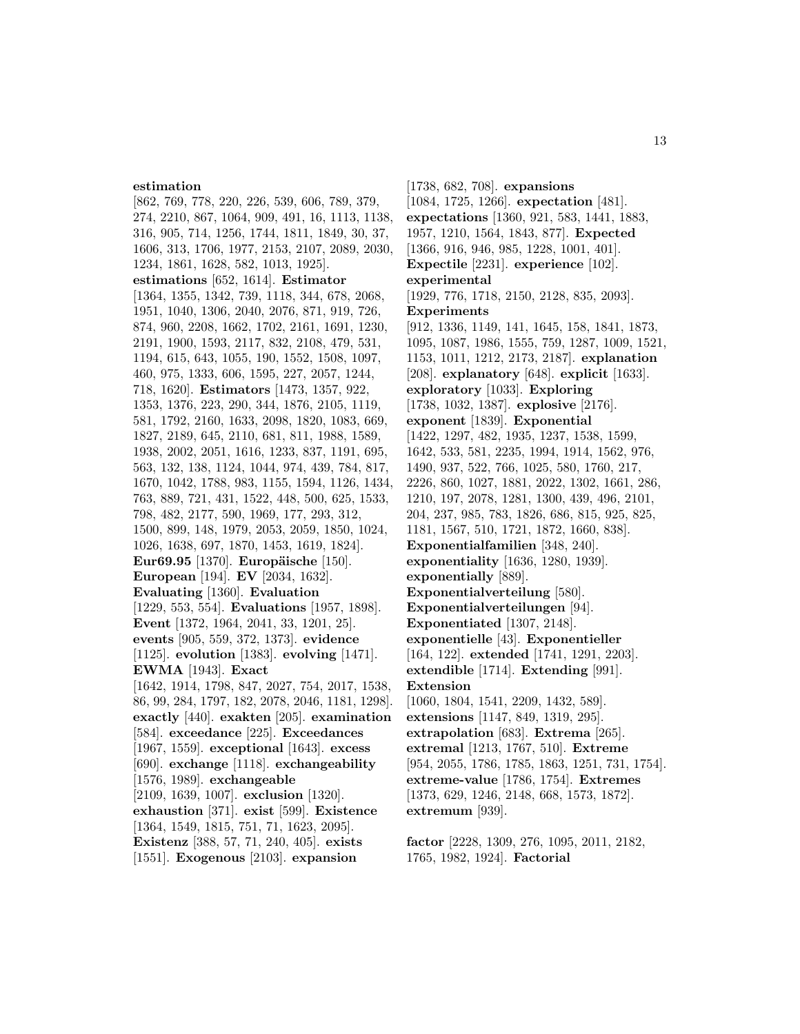### **estimation**

[862, 769, 778, 220, 226, 539, 606, 789, 379, 274, 2210, 867, 1064, 909, 491, 16, 1113, 1138, 316, 905, 714, 1256, 1744, 1811, 1849, 30, 37, 1606, 313, 1706, 1977, 2153, 2107, 2089, 2030, 1234, 1861, 1628, 582, 1013, 1925]. **estimations** [652, 1614]. **Estimator** [1364, 1355, 1342, 739, 1118, 344, 678, 2068, 1951, 1040, 1306, 2040, 2076, 871, 919, 726, 874, 960, 2208, 1662, 1702, 2161, 1691, 1230, 2191, 1900, 1593, 2117, 832, 2108, 479, 531, 1194, 615, 643, 1055, 190, 1552, 1508, 1097, 460, 975, 1333, 606, 1595, 227, 2057, 1244, 718, 1620]. **Estimators** [1473, 1357, 922, 1353, 1376, 223, 290, 344, 1876, 2105, 1119, 581, 1792, 2160, 1633, 2098, 1820, 1083, 669, 1827, 2189, 645, 2110, 681, 811, 1988, 1589, 1938, 2002, 2051, 1616, 1233, 837, 1191, 695, 563, 132, 138, 1124, 1044, 974, 439, 784, 817, 1670, 1042, 1788, 983, 1155, 1594, 1126, 1434, 763, 889, 721, 431, 1522, 448, 500, 625, 1533, 798, 482, 2177, 590, 1969, 177, 293, 312, 1500, 899, 148, 1979, 2053, 2059, 1850, 1024, 1026, 1638, 697, 1870, 1453, 1619, 1824]. **Eur69.95** [1370]. **Europäische** [150]. **European** [194]. **EV** [2034, 1632]. **Evaluating** [1360]. **Evaluation** [1229, 553, 554]. **Evaluations** [1957, 1898]. **Event** [1372, 1964, 2041, 33, 1201, 25]. **events** [905, 559, 372, 1373]. **evidence** [1125]. **evolution** [1383]. **evolving** [1471]. **EWMA** [1943]. **Exact** [1642, 1914, 1798, 847, 2027, 754, 2017, 1538, 86, 99, 284, 1797, 182, 2078, 2046, 1181, 1298]. **exactly** [440]. **exakten** [205]. **examination** [584]. **exceedance** [225]. **Exceedances** [1967, 1559]. **exceptional** [1643]. **excess** [690]. **exchange** [1118]. **exchangeability** [1576, 1989]. **exchangeable** [2109, 1639, 1007]. **exclusion** [1320]. **exhaustion** [371]. **exist** [599]. **Existence** [1364, 1549, 1815, 751, 71, 1623, 2095]. **Existenz** [388, 57, 71, 240, 405]. **exists** [1551]. **Exogenous** [2103]. **expansion**

[1738, 682, 708]. **expansions** [1084, 1725, 1266]. **expectation** [481]. **expectations** [1360, 921, 583, 1441, 1883, 1957, 1210, 1564, 1843, 877]. **Expected** [1366, 916, 946, 985, 1228, 1001, 401]. **Expectile** [2231]. **experience** [102]. **experimental** [1929, 776, 1718, 2150, 2128, 835, 2093]. **Experiments** [912, 1336, 1149, 141, 1645, 158, 1841, 1873, 1095, 1087, 1986, 1555, 759, 1287, 1009, 1521, 1153, 1011, 1212, 2173, 2187]. **explanation** [208]. **explanatory** [648]. **explicit** [1633]. **exploratory** [1033]. **Exploring** [1738, 1032, 1387]. **explosive** [2176]. **exponent** [1839]. **Exponential** [1422, 1297, 482, 1935, 1237, 1538, 1599, 1642, 533, 581, 2235, 1994, 1914, 1562, 976, 1490, 937, 522, 766, 1025, 580, 1760, 217, 2226, 860, 1027, 1881, 2022, 1302, 1661, 286, 1210, 197, 2078, 1281, 1300, 439, 496, 2101, 204, 237, 985, 783, 1826, 686, 815, 925, 825, 1181, 1567, 510, 1721, 1872, 1660, 838]. **Exponentialfamilien** [348, 240]. **exponentiality** [1636, 1280, 1939]. **exponentially** [889]. **Exponentialverteilung** [580]. **Exponentialverteilungen** [94]. **Exponentiated** [1307, 2148]. **exponentielle** [43]. **Exponentieller** [164, 122]. **extended** [1741, 1291, 2203]. **extendible** [1714]. **Extending** [991]. **Extension** [1060, 1804, 1541, 2209, 1432, 589]. **extensions** [1147, 849, 1319, 295]. **extrapolation** [683]. **Extrema** [265]. **extremal** [1213, 1767, 510]. **Extreme** [954, 2055, 1786, 1785, 1863, 1251, 731, 1754]. **extreme-value** [1786, 1754]. **Extremes** [1373, 629, 1246, 2148, 668, 1573, 1872]. **extremum** [939].

**factor** [2228, 1309, 276, 1095, 2011, 2182, 1765, 1982, 1924]. **Factorial**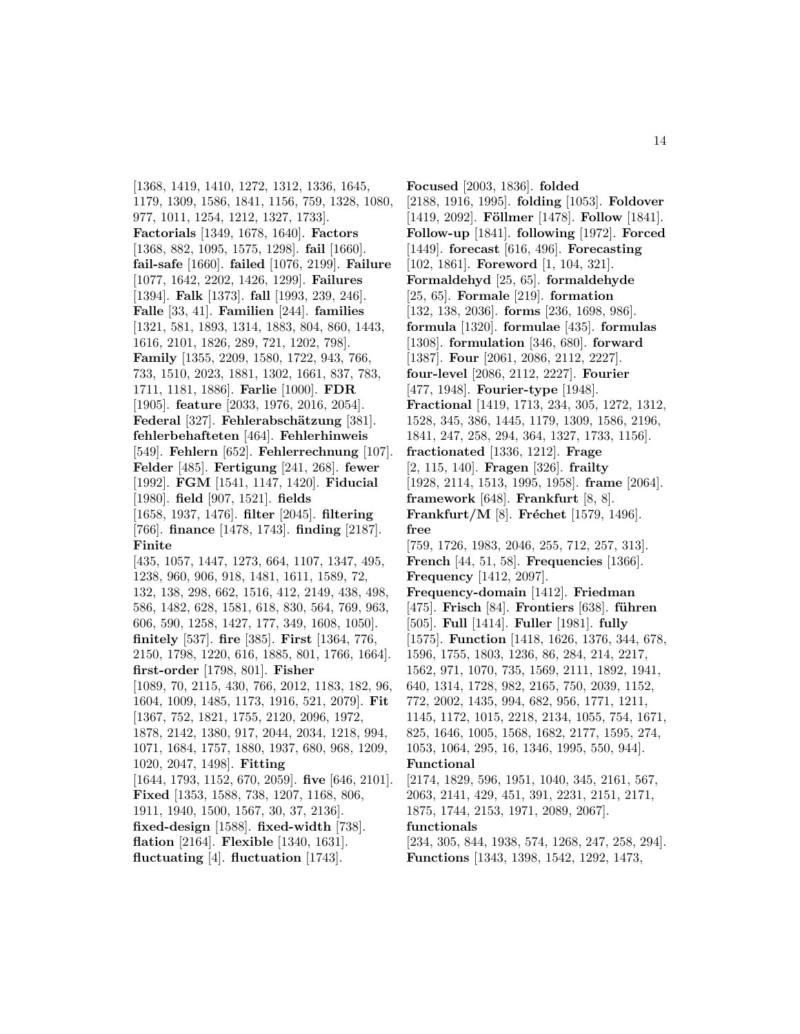[1368, 1419, 1410, 1272, 1312, 1336, 1645, 1179, 1309, 1586, 1841, 1156, 759, 1328, 1080, 977, 1011, 1254, 1212, 1327, 1733]. **Factorials** [1349, 1678, 1640]. **Factors** [1368, 882, 1095, 1575, 1298]. **fail** [1660]. **fail-safe** [1660]. **failed** [1076, 2199]. **Failure** [1077, 1642, 2202, 1426, 1299]. **Failures** [1394]. **Falk** [1373]. **fall** [1993, 239, 246]. **Falle** [33, 41]. **Familien** [244]. **families** [1321, 581, 1893, 1314, 1883, 804, 860, 1443, 1616, 2101, 1826, 289, 721, 1202, 798]. **Family** [1355, 2209, 1580, 1722, 943, 766, 733, 1510, 2023, 1881, 1302, 1661, 837, 783, 1711, 1181, 1886]. **Farlie** [1000]. **FDR** [1905]. **feature** [2033, 1976, 2016, 2054]. **Federal** [327]. **Fehlerabschätzung** [381]. **fehlerbehafteten** [464]. **Fehlerhinweis** [549]. **Fehlern** [652]. **Fehlerrechnung** [107]. **Felder** [485]. **Fertigung** [241, 268]. **fewer** [1992]. **FGM** [1541, 1147, 1420]. **Fiducial** [1980]. **field** [907, 1521]. **fields** [1658, 1937, 1476]. **filter** [2045]. **filtering** [766]. **finance** [1478, 1743]. **finding** [2187]. **Finite** [435, 1057, 1447, 1273, 664, 1107, 1347, 495,

1238, 960, 906, 918, 1481, 1611, 1589, 72, 132, 138, 298, 662, 1516, 412, 2149, 438, 498, 586, 1482, 628, 1581, 618, 830, 564, 769, 963, 606, 590, 1258, 1427, 177, 349, 1608, 1050]. **finitely** [537]. **fire** [385]. **First** [1364, 776, 2150, 1798, 1220, 616, 1885, 801, 1766, 1664]. **first-order** [1798, 801]. **Fisher** [1089, 70, 2115, 430, 766, 2012, 1183, 182, 96, 1604, 1009, 1485, 1173, 1916, 521, 2079]. **Fit** [1367, 752, 1821, 1755, 2120, 2096, 1972, 1878, 2142, 1380, 917, 2044, 2034, 1218, 994, 1071, 1684, 1757, 1880, 1937, 680, 968, 1209, 1020, 2047, 1498]. **Fitting** [1644, 1793, 1152, 670, 2059]. **five** [646, 2101]. **Fixed** [1353, 1588, 738, 1207, 1168, 806, 1911, 1940, 1500, 1567, 30, 37, 2136]. **fixed-design** [1588]. **fixed-width** [738]. **flation** [2164]. **Flexible** [1340, 1631]. **fluctuating** [4]. **fluctuation** [1743].

**Focused** [2003, 1836]. **folded** [2188, 1916, 1995]. **folding** [1053]. **Foldover** [1419, 2092]. **Föllmer** [1478]. **Follow** [1841]. **Follow-up** [1841]. **following** [1972]. **Forced** [1449]. **forecast** [616, 496]. **Forecasting** [102, 1861]. **Foreword** [1, 104, 321]. **Formaldehyd** [25, 65]. **formaldehyde** [25, 65]. **Formale** [219]. **formation** [132, 138, 2036]. **forms** [236, 1698, 986]. **formula** [1320]. **formulae** [435]. **formulas** [1308]. **formulation** [346, 680]. **forward** [1387]. **Four** [2061, 2086, 2112, 2227]. **four-level** [2086, 2112, 2227]. **Fourier** [477, 1948]. **Fourier-type** [1948]. **Fractional** [1419, 1713, 234, 305, 1272, 1312, 1528, 345, 386, 1445, 1179, 1309, 1586, 2196, 1841, 247, 258, 294, 364, 1327, 1733, 1156]. **fractionated** [1336, 1212]. **Frage** [2, 115, 140]. **Fragen** [326]. **frailty** [1928, 2114, 1513, 1995, 1958]. **frame** [2064]. **framework** [648]. **Frankfurt** [8, 8]. **Frankfurt/M** [8]. **Fréchet** [1579, 1496]. **free** [759, 1726, 1983, 2046, 255, 712, 257, 313]. **French** [44, 51, 58]. **Frequencies** [1366]. **Frequency** [1412, 2097]. **Frequency-domain** [1412]. **Friedman** [475]. **Frisch** [84]. **Frontiers** [638]. **f¨uhren** [505]. **Full** [1414]. **Fuller** [1981]. **fully** [1575]. **Function** [1418, 1626, 1376, 344, 678, 1596, 1755, 1803, 1236, 86, 284, 214, 2217, 1562, 971, 1070, 735, 1569, 2111, 1892, 1941, 640, 1314, 1728, 982, 2165, 750, 2039, 1152, 772, 2002, 1435, 994, 682, 956, 1771, 1211, 1145, 1172, 1015, 2218, 2134, 1055, 754, 1671, 825, 1646, 1005, 1568, 1682, 2177, 1595, 274, 1053, 1064, 295, 16, 1346, 1995, 550, 944]. **Functional** [2174, 1829, 596, 1951, 1040, 345, 2161, 567, 2063, 2141, 429, 451, 391, 2231, 2151, 2171, 1875, 1744, 2153, 1971, 2089, 2067]. **functionals** [234, 305, 844, 1938, 574, 1268, 247, 258, 294].

**Functions** [1343, 1398, 1542, 1292, 1473,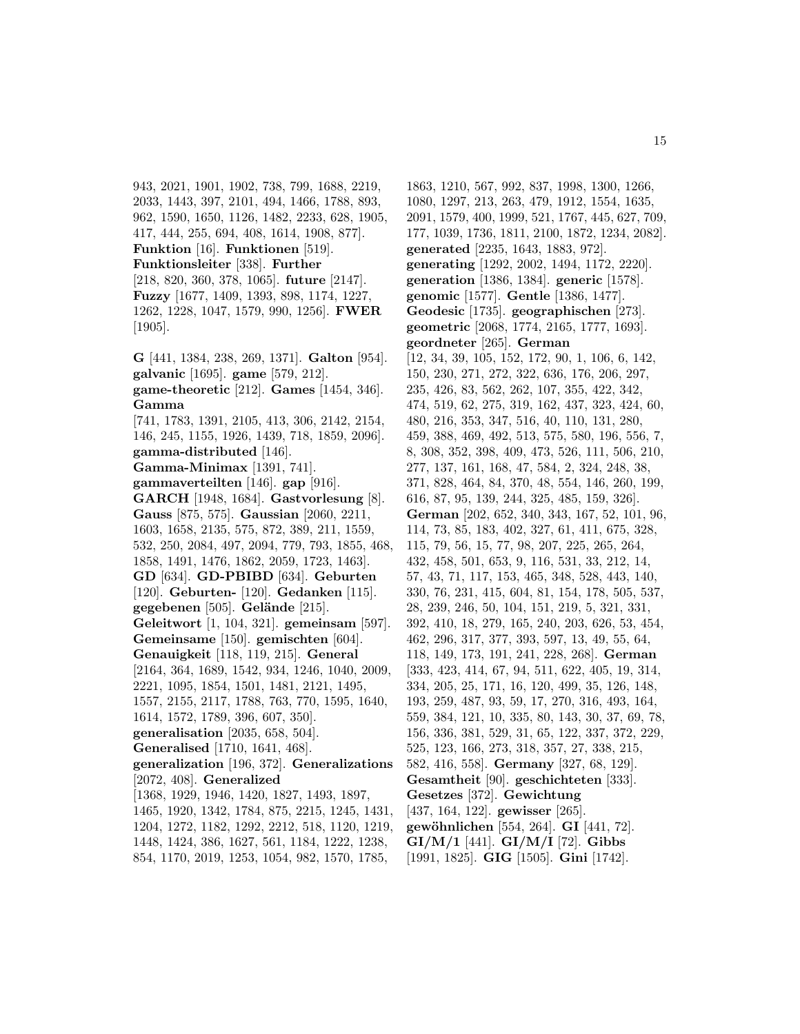943, 2021, 1901, 1902, 738, 799, 1688, 2219, 2033, 1443, 397, 2101, 494, 1466, 1788, 893, 962, 1590, 1650, 1126, 1482, 2233, 628, 1905, 417, 444, 255, 694, 408, 1614, 1908, 877]. **Funktion** [16]. **Funktionen** [519]. **Funktionsleiter** [338]. **Further** [218, 820, 360, 378, 1065]. **future** [2147]. **Fuzzy** [1677, 1409, 1393, 898, 1174, 1227, 1262, 1228, 1047, 1579, 990, 1256]. **FWER** [1905].

**G** [441, 1384, 238, 269, 1371]. **Galton** [954].

**galvanic** [1695]. **game** [579, 212]. **game-theoretic** [212]. **Games** [1454, 346]. **Gamma** [741, 1783, 1391, 2105, 413, 306, 2142, 2154, 146, 245, 1155, 1926, 1439, 718, 1859, 2096]. **gamma-distributed** [146]. **Gamma-Minimax** [1391, 741]. **gammaverteilten** [146]. **gap** [916]. **GARCH** [1948, 1684]. **Gastvorlesung** [8]. **Gauss** [875, 575]. **Gaussian** [2060, 2211, 1603, 1658, 2135, 575, 872, 389, 211, 1559, 532, 250, 2084, 497, 2094, 779, 793, 1855, 468, 1858, 1491, 1476, 1862, 2059, 1723, 1463]. **GD** [634]. **GD-PBIBD** [634]. **Geburten** [120]. **Geburten-** [120]. **Gedanken** [115]. **gegebenen** [505]. **Gelände** [215]. **Geleitwort** [1, 104, 321]. **gemeinsam** [597]. **Gemeinsame** [150]. **gemischten** [604]. **Genauigkeit** [118, 119, 215]. **General** [2164, 364, 1689, 1542, 934, 1246, 1040, 2009, 2221, 1095, 1854, 1501, 1481, 2121, 1495, 1557, 2155, 2117, 1788, 763, 770, 1595, 1640, 1614, 1572, 1789, 396, 607, 350]. **generalisation** [2035, 658, 504]. **Generalised** [1710, 1641, 468]. **generalization** [196, 372]. **Generalizations** [2072, 408]. **Generalized** [1368, 1929, 1946, 1420, 1827, 1493, 1897, 1465, 1920, 1342, 1784, 875, 2215, 1245, 1431, 1204, 1272, 1182, 1292, 2212, 518, 1120, 1219, 1448, 1424, 386, 1627, 561, 1184, 1222, 1238, 854, 1170, 2019, 1253, 1054, 982, 1570, 1785,

1863, 1210, 567, 992, 837, 1998, 1300, 1266, 1080, 1297, 213, 263, 479, 1912, 1554, 1635, 2091, 1579, 400, 1999, 521, 1767, 445, 627, 709, 177, 1039, 1736, 1811, 2100, 1872, 1234, 2082]. **generated** [2235, 1643, 1883, 972]. **generating** [1292, 2002, 1494, 1172, 2220]. **generation** [1386, 1384]. **generic** [1578]. **genomic** [1577]. **Gentle** [1386, 1477]. **Geodesic** [1735]. **geographischen** [273]. **geometric** [2068, 1774, 2165, 1777, 1693]. **geordneter** [265]. **German** [12, 34, 39, 105, 152, 172, 90, 1, 106, 6, 142, 150, 230, 271, 272, 322, 636, 176, 206, 297, 235, 426, 83, 562, 262, 107, 355, 422, 342, 474, 519, 62, 275, 319, 162, 437, 323, 424, 60, 480, 216, 353, 347, 516, 40, 110, 131, 280, 459, 388, 469, 492, 513, 575, 580, 196, 556, 7, 8, 308, 352, 398, 409, 473, 526, 111, 506, 210, 277, 137, 161, 168, 47, 584, 2, 324, 248, 38, 371, 828, 464, 84, 370, 48, 554, 146, 260, 199, 616, 87, 95, 139, 244, 325, 485, 159, 326]. **German** [202, 652, 340, 343, 167, 52, 101, 96, 114, 73, 85, 183, 402, 327, 61, 411, 675, 328, 115, 79, 56, 15, 77, 98, 207, 225, 265, 264, 432, 458, 501, 653, 9, 116, 531, 33, 212, 14, 57, 43, 71, 117, 153, 465, 348, 528, 443, 140, 330, 76, 231, 415, 604, 81, 154, 178, 505, 537, 28, 239, 246, 50, 104, 151, 219, 5, 321, 331, 392, 410, 18, 279, 165, 240, 203, 626, 53, 454, 462, 296, 317, 377, 393, 597, 13, 49, 55, 64, 118, 149, 173, 191, 241, 228, 268]. **German** [333, 423, 414, 67, 94, 511, 622, 405, 19, 314, 334, 205, 25, 171, 16, 120, 499, 35, 126, 148, 193, 259, 487, 93, 59, 17, 270, 316, 493, 164, 559, 384, 121, 10, 335, 80, 143, 30, 37, 69, 78, 156, 336, 381, 529, 31, 65, 122, 337, 372, 229, 525, 123, 166, 273, 318, 357, 27, 338, 215, 582, 416, 558]. **Germany** [327, 68, 129]. **Gesamtheit** [90]. **geschichteten** [333]. **Gesetzes** [372]. **Gewichtung** [437, 164, 122]. **gewisser** [265]. **gew¨ohnlichen** [554, 264]. **GI** [441, 72]. **GI/M/1** [441]. **GI/M/I** [72]. **Gibbs** [1991, 1825]. **GIG** [1505]. **Gini** [1742].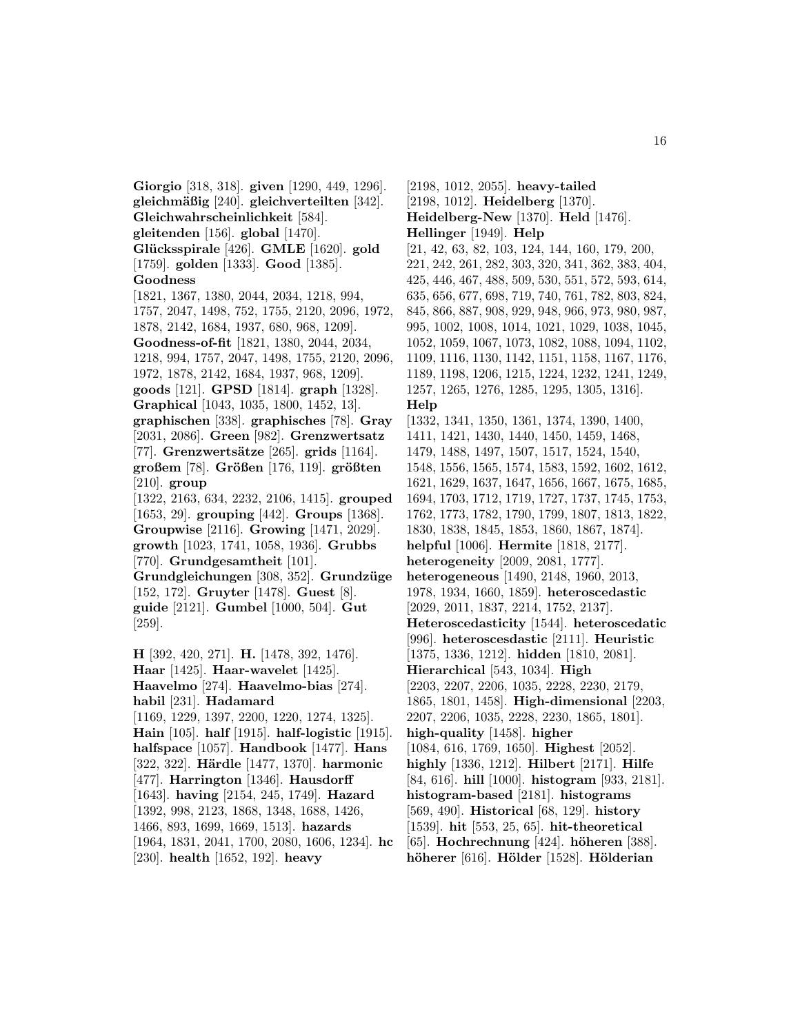**Giorgio** [318, 318]. **given** [1290, 449, 1296]. **gleichm¨aßig** [240]. **gleichverteilten** [342]. **Gleichwahrscheinlichkeit** [584]. **gleitenden** [156]. **global** [1470]. **Gl¨ucksspirale** [426]. **GMLE** [1620]. **gold** [1759]. **golden** [1333]. **Good** [1385]. **Goodness** [1821, 1367, 1380, 2044, 2034, 1218, 994, 1757, 2047, 1498, 752, 1755, 2120, 2096, 1972, 1878, 2142, 1684, 1937, 680, 968, 1209]. **Goodness-of-fit** [1821, 1380, 2044, 2034, 1218, 994, 1757, 2047, 1498, 1755, 2120, 2096, 1972, 1878, 2142, 1684, 1937, 968, 1209]. **goods** [121]. **GPSD** [1814]. **graph** [1328]. **Graphical** [1043, 1035, 1800, 1452, 13]. **graphischen** [338]. **graphisches** [78]. **Gray** [2031, 2086]. **Green** [982]. **Grenzwertsatz** [77]. **Grenzwerts¨atze** [265]. **grids** [1164]. **großem** [78]. **Gr¨oßen** [176, 119]. **gr¨oßten** [210]. **group** [1322, 2163, 634, 2232, 2106, 1415]. **grouped** [1653, 29]. **grouping** [442]. **Groups** [1368]. **Groupwise** [2116]. **Growing** [1471, 2029]. **growth** [1023, 1741, 1058, 1936]. **Grubbs** [770]. **Grundgesamtheit** [101]. **Grundgleichungen** [308, 352]. **Grundz¨uge** [152, 172]. **Gruyter** [1478]. **Guest** [8]. **guide** [2121]. **Gumbel** [1000, 504]. **Gut** [259]. **H** [392, 420, 271]. **H.** [1478, 392, 1476]. **Haar** [1425]. **Haar-wavelet** [1425]. **Haavelmo** [274]. **Haavelmo-bias** [274]. **habil** [231]. **Hadamard** [1169, 1229, 1397, 2200, 1220, 1274, 1325]. **Hain** [105]. **half** [1915]. **half-logistic** [1915]. **halfspace** [1057]. **Handbook** [1477]. **Hans** [322, 322]. **H¨ardle** [1477, 1370]. **harmonic** [477]. **Harrington** [1346]. **Hausdorff**

[1964, 1831, 2041, 1700, 2080, 1606, 1234]. **hc Heidelberg-New** [1370]. **Held** [1476]. **Hellinger** [1949]. **Help** [21, 42, 63, 82, 103, 124, 144, 160, 179, 200, 221, 242, 261, 282, 303, 320, 341, 362, 383, 404, 425, 446, 467, 488, 509, 530, 551, 572, 593, 614, 635, 656, 677, 698, 719, 740, 761, 782, 803, 824, 845, 866, 887, 908, 929, 948, 966, 973, 980, 987, 995, 1002, 1008, 1014, 1021, 1029, 1038, 1045, 1052, 1059, 1067, 1073, 1082, 1088, 1094, 1102, 1109, 1116, 1130, 1142, 1151, 1158, 1167, 1176, 1189, 1198, 1206, 1215, 1224, 1232, 1241, 1249, 1257, 1265, 1276, 1285, 1295, 1305, 1316]. **Help** [1332, 1341, 1350, 1361, 1374, 1390, 1400, 1411, 1421, 1430, 1440, 1450, 1459, 1468, 1479, 1488, 1497, 1507, 1517, 1524, 1540, 1548, 1556, 1565, 1574, 1583, 1592, 1602, 1612, 1621, 1629, 1637, 1647, 1656, 1667, 1675, 1685, 1694, 1703, 1712, 1719, 1727, 1737, 1745, 1753, 1762, 1773, 1782, 1790, 1799, 1807, 1813, 1822, 1830, 1838, 1845, 1853, 1860, 1867, 1874]. **helpful** [1006]. **Hermite** [1818, 2177]. **heterogeneity** [2009, 2081, 1777]. **heterogeneous** [1490, 2148, 1960, 2013, 1978, 1934, 1660, 1859]. **heteroscedastic** [2029, 2011, 1837, 2214, 1752, 2137]. **Heteroscedasticity** [1544]. **heteroscedatic** [996]. **heteroscesdastic** [2111]. **Heuristic** [1375, 1336, 1212]. **hidden** [1810, 2081]. **Hierarchical** [543, 1034]. **High** [2203, 2207, 2206, 1035, 2228, 2230, 2179, 1865, 1801, 1458]. **High-dimensional** [2203, 2207, 2206, 1035, 2228, 2230, 1865, 1801]. **high-quality** [1458]. **higher** [1084, 616, 1769, 1650]. **Highest** [2052]. **highly** [1336, 1212]. **Hilbert** [2171]. **Hilfe** [84, 616]. **hill** [1000]. **histogram** [933, 2181]. **histogram-based** [2181]. **histograms** [569, 490]. **Historical** [68, 129]. **history** [1539]. **hit** [553, 25, 65]. **hit-theoretical** [65]. **Hochrechnung** [424]. **höheren** [388].

[2198, 1012, 2055]. **heavy-tailed** [2198, 1012]. **Heidelberg** [1370].

[230]. **health** [1652, 192]. **heavy**

[1643]. **having** [2154, 245, 1749]. **Hazard** [1392, 998, 2123, 1868, 1348, 1688, 1426, 1466, 893, 1699, 1669, 1513]. **hazards**

**h¨oherer** [616]. **H¨older** [1528]. **H¨olderian**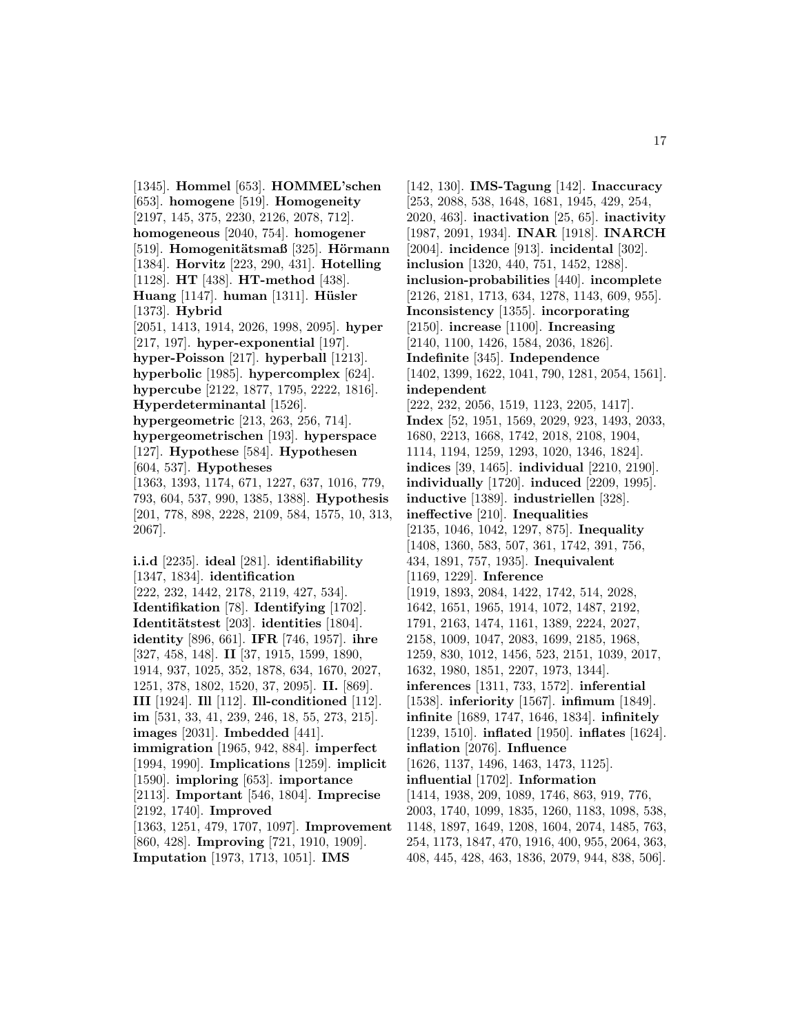[1345]. **Hommel** [653]. **HOMMEL'schen** [653]. **homogene** [519]. **Homogeneity** [2197, 145, 375, 2230, 2126, 2078, 712]. **homogeneous** [2040, 754]. **homogener** [519]. **Homogenitätsmaß** [325]. **Hörmann** [1384]. **Horvitz** [223, 290, 431]. **Hotelling** [1128]. **HT** [438]. **HT-method** [438]. **Huang** [1147]. **human** [1311]. **H¨usler** [1373]. **Hybrid** [2051, 1413, 1914, 2026, 1998, 2095]. **hyper** [217, 197]. **hyper-exponential** [197]. **hyper-Poisson** [217]. **hyperball** [1213]. **hyperbolic** [1985]. **hypercomplex** [624]. **hypercube** [2122, 1877, 1795, 2222, 1816]. **Hyperdeterminantal** [1526]. **hypergeometric** [213, 263, 256, 714]. **hypergeometrischen** [193]. **hyperspace** [127]. **Hypothese** [584]. **Hypothesen** [604, 537]. **Hypotheses** [1363, 1393, 1174, 671, 1227, 637, 1016, 779, 793, 604, 537, 990, 1385, 1388]. **Hypothesis** [201, 778, 898, 2228, 2109, 584, 1575, 10, 313, 2067].

**i.i.d** [2235]. **ideal** [281]. **identifiability** [1347, 1834]. **identification** [222, 232, 1442, 2178, 2119, 427, 534]. **Identifikation** [78]. **Identifying** [1702]. **Identit¨atstest** [203]. **identities** [1804]. **identity** [896, 661]. **IFR** [746, 1957]. **ihre** [327, 458, 148]. **II** [37, 1915, 1599, 1890, 1914, 937, 1025, 352, 1878, 634, 1670, 2027, 1251, 378, 1802, 1520, 37, 2095]. **II.** [869]. **III** [1924]. **Ill** [112]. **Ill-conditioned** [112]. **im** [531, 33, 41, 239, 246, 18, 55, 273, 215]. **images** [2031]. **Imbedded** [441]. **immigration** [1965, 942, 884]. **imperfect** [1994, 1990]. **Implications** [1259]. **implicit** [1590]. **imploring** [653]. **importance** [2113]. **Important** [546, 1804]. **Imprecise** [2192, 1740]. **Improved** [1363, 1251, 479, 1707, 1097]. **Improvement** [860, 428]. **Improving** [721, 1910, 1909]. **Imputation** [1973, 1713, 1051]. **IMS**

[142, 130]. **IMS-Tagung** [142]. **Inaccuracy** [253, 2088, 538, 1648, 1681, 1945, 429, 254, 2020, 463]. **inactivation** [25, 65]. **inactivity** [1987, 2091, 1934]. **INAR** [1918]. **INARCH** [2004]. **incidence** [913]. **incidental** [302]. **inclusion** [1320, 440, 751, 1452, 1288]. **inclusion-probabilities** [440]. **incomplete** [2126, 2181, 1713, 634, 1278, 1143, 609, 955]. **Inconsistency** [1355]. **incorporating** [2150]. **increase** [1100]. **Increasing** [2140, 1100, 1426, 1584, 2036, 1826]. **Indefinite** [345]. **Independence** [1402, 1399, 1622, 1041, 790, 1281, 2054, 1561]. **independent** [222, 232, 2056, 1519, 1123, 2205, 1417]. **Index** [52, 1951, 1569, 2029, 923, 1493, 2033, 1680, 2213, 1668, 1742, 2018, 2108, 1904, 1114, 1194, 1259, 1293, 1020, 1346, 1824]. **indices** [39, 1465]. **individual** [2210, 2190]. **individually** [1720]. **induced** [2209, 1995]. **inductive** [1389]. **industriellen** [328]. **ineffective** [210]. **Inequalities** [2135, 1046, 1042, 1297, 875]. **Inequality** [1408, 1360, 583, 507, 361, 1742, 391, 756, 434, 1891, 757, 1935]. **Inequivalent** [1169, 1229]. **Inference** [1919, 1893, 2084, 1422, 1742, 514, 2028, 1642, 1651, 1965, 1914, 1072, 1487, 2192, 1791, 2163, 1474, 1161, 1389, 2224, 2027, 2158, 1009, 1047, 2083, 1699, 2185, 1968, 1259, 830, 1012, 1456, 523, 2151, 1039, 2017, 1632, 1980, 1851, 2207, 1973, 1344]. **inferences** [1311, 733, 1572]. **inferential** [1538]. **inferiority** [1567]. **infimum** [1849]. **infinite** [1689, 1747, 1646, 1834]. **infinitely** [1239, 1510]. **inflated** [1950]. **inflates** [1624]. **inflation** [2076]. **Influence** [1626, 1137, 1496, 1463, 1473, 1125]. **influential** [1702]. **Information** [1414, 1938, 209, 1089, 1746, 863, 919, 776, 2003, 1740, 1099, 1835, 1260, 1183, 1098, 538, 1148, 1897, 1649, 1208, 1604, 2074, 1485, 763, 254, 1173, 1847, 470, 1916, 400, 955, 2064, 363, 408, 445, 428, 463, 1836, 2079, 944, 838, 506].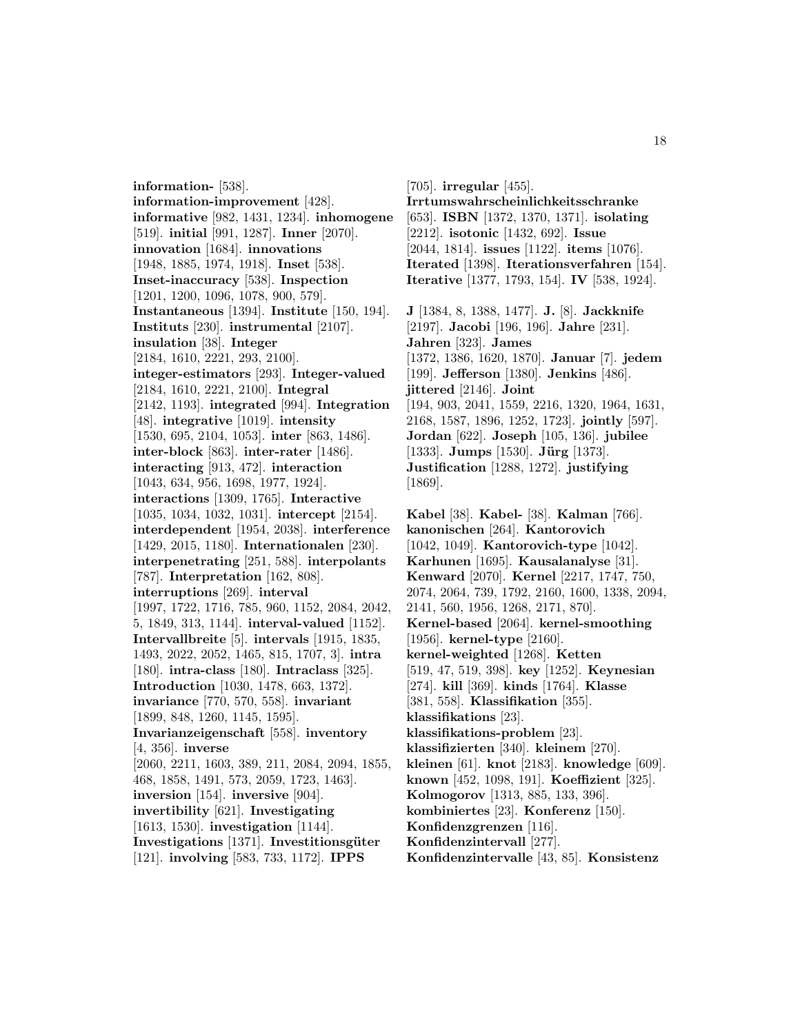**information-** [538]. **information-improvement** [428]. **informative** [982, 1431, 1234]. **inhomogene** [519]. **initial** [991, 1287]. **Inner** [2070]. **innovation** [1684]. **innovations** [1948, 1885, 1974, 1918]. **Inset** [538]. **Inset-inaccuracy** [538]. **Inspection** [1201, 1200, 1096, 1078, 900, 579]. **Instantaneous** [1394]. **Institute** [150, 194]. **Instituts** [230]. **instrumental** [2107]. **insulation** [38]. **Integer** [2184, 1610, 2221, 293, 2100]. **integer-estimators** [293]. **Integer-valued** [2184, 1610, 2221, 2100]. **Integral** [2142, 1193]. **integrated** [994]. **Integration** [48]. **integrative** [1019]. **intensity** [1530, 695, 2104, 1053]. **inter** [863, 1486]. **inter-block** [863]. **inter-rater** [1486]. **interacting** [913, 472]. **interaction** [1043, 634, 956, 1698, 1977, 1924]. **interactions** [1309, 1765]. **Interactive** [1035, 1034, 1032, 1031]. **intercept** [2154]. **interdependent** [1954, 2038]. **interference** [1429, 2015, 1180]. **Internationalen** [230]. **interpenetrating** [251, 588]. **interpolants** [787]. **Interpretation** [162, 808]. **interruptions** [269]. **interval** [1997, 1722, 1716, 785, 960, 1152, 2084, 2042, 5, 1849, 313, 1144]. **interval-valued** [1152]. **Intervallbreite** [5]. **intervals** [1915, 1835, 1493, 2022, 2052, 1465, 815, 1707, 3]. **intra** [180]. **intra-class** [180]. **Intraclass** [325]. **Introduction** [1030, 1478, 663, 1372]. **invariance** [770, 570, 558]. **invariant** [1899, 848, 1260, 1145, 1595]. **Invarianzeigenschaft** [558]. **inventory** [4, 356]. **inverse** [2060, 2211, 1603, 389, 211, 2084, 2094, 1855, 468, 1858, 1491, 573, 2059, 1723, 1463]. **inversion** [154]. **inversive** [904]. **invertibility** [621]. **Investigating** [1613, 1530]. **investigation** [1144]. **Investigations** [1371]. **Investitionsgüter** [121]. **involving** [583, 733, 1172]. **IPPS**

[705]. **irregular** [455]. **Irrtumswahrscheinlichkeitsschranke** [653]. **ISBN** [1372, 1370, 1371]. **isolating** [2212]. **isotonic** [1432, 692]. **Issue** [2044, 1814]. **issues** [1122]. **items** [1076]. **Iterated** [1398]. **Iterationsverfahren** [154]. **Iterative** [1377, 1793, 154]. **IV** [538, 1924]. **J** [1384, 8, 1388, 1477]. **J.** [8]. **Jackknife** [2197]. **Jacobi** [196, 196]. **Jahre** [231]. **Jahren** [323]. **James** [1372, 1386, 1620, 1870]. **Januar** [7]. **jedem** [199]. **Jefferson** [1380]. **Jenkins** [486]. **jittered** [2146]. **Joint** [194, 903, 2041, 1559, 2216, 1320, 1964, 1631,

2168, 1587, 1896, 1252, 1723]. **jointly** [597]. **Jordan** [622]. **Joseph** [105, 136]. **jubilee** [1333]. **Jumps** [1530]. **Jürg** [1373]. **Justification** [1288, 1272]. **justifying** [1869].

**Kabel** [38]. **Kabel-** [38]. **Kalman** [766]. **kanonischen** [264]. **Kantorovich** [1042, 1049]. **Kantorovich-type** [1042]. **Karhunen** [1695]. **Kausalanalyse** [31]. **Kenward** [2070]. **Kernel** [2217, 1747, 750, 2074, 2064, 739, 1792, 2160, 1600, 1338, 2094, 2141, 560, 1956, 1268, 2171, 870]. **Kernel-based** [2064]. **kernel-smoothing** [1956]. **kernel-type** [2160]. **kernel-weighted** [1268]. **Ketten** [519, 47, 519, 398]. **key** [1252]. **Keynesian** [274]. **kill** [369]. **kinds** [1764]. **Klasse** [381, 558]. **Klassifikation** [355]. **klassifikations** [23]. **klassifikations-problem** [23]. **klassifizierten** [340]. **kleinem** [270]. **kleinen** [61]. **knot** [2183]. **knowledge** [609]. **known** [452, 1098, 191]. **Koeffizient** [325]. **Kolmogorov** [1313, 885, 133, 396]. **kombiniertes** [23]. **Konferenz** [150]. **Konfidenzgrenzen** [116]. **Konfidenzintervall** [277]. **Konfidenzintervalle** [43, 85]. **Konsistenz**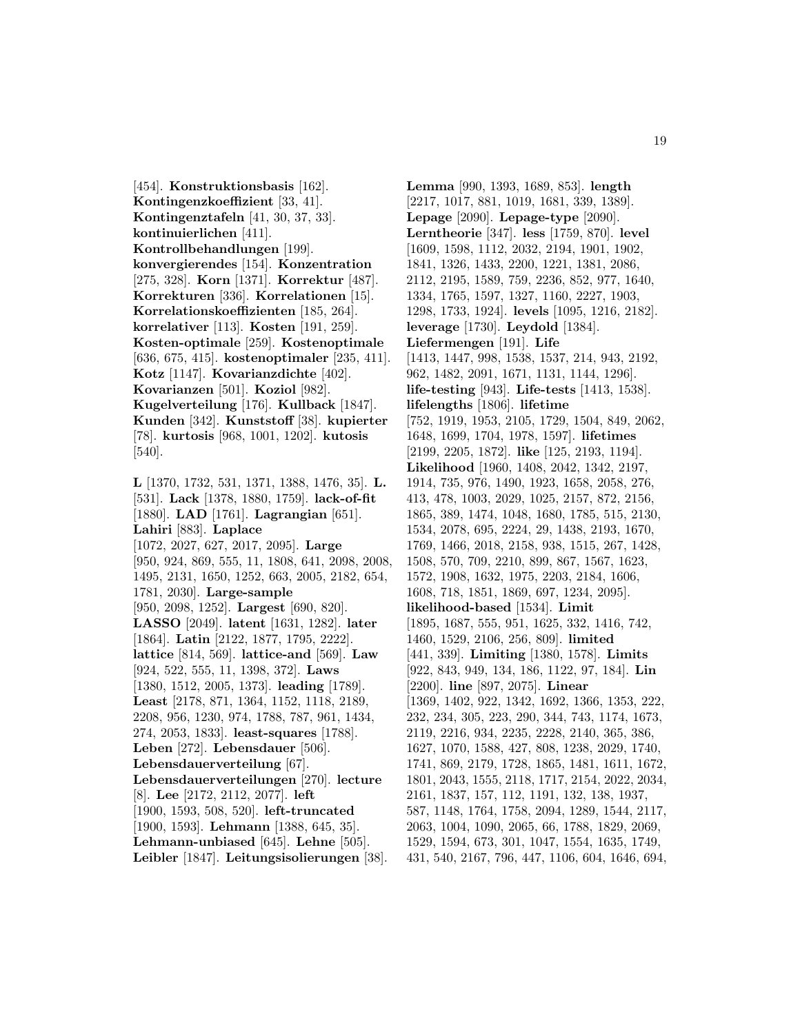[454]. **Konstruktionsbasis** [162]. **Kontingenzkoeffizient** [33, 41]. **Kontingenztafeln** [41, 30, 37, 33]. **kontinuierlichen** [411]. **Kontrollbehandlungen** [199]. **konvergierendes** [154]. **Konzentration** [275, 328]. **Korn** [1371]. **Korrektur** [487]. **Korrekturen** [336]. **Korrelationen** [15]. **Korrelationskoeffizienten** [185, 264]. **korrelativer** [113]. **Kosten** [191, 259]. **Kosten-optimale** [259]. **Kostenoptimale** [636, 675, 415]. **kostenoptimaler** [235, 411]. **Kotz** [1147]. **Kovarianzdichte** [402]. **Kovarianzen** [501]. **Koziol** [982]. **Kugelverteilung** [176]. **Kullback** [1847]. **Kunden** [342]. **Kunststoff** [38]. **kupierter** [78]. **kurtosis** [968, 1001, 1202]. **kutosis** [540].

**L** [1370, 1732, 531, 1371, 1388, 1476, 35]. **L.** [531]. **Lack** [1378, 1880, 1759]. **lack-of-fit** [1880]. **LAD** [1761]. **Lagrangian** [651]. **Lahiri** [883]. **Laplace** [1072, 2027, 627, 2017, 2095]. **Large** [950, 924, 869, 555, 11, 1808, 641, 2098, 2008, 1495, 2131, 1650, 1252, 663, 2005, 2182, 654, 1781, 2030]. **Large-sample** [950, 2098, 1252]. **Largest** [690, 820]. **LASSO** [2049]. **latent** [1631, 1282]. **later** [1864]. **Latin** [2122, 1877, 1795, 2222]. **lattice** [814, 569]. **lattice-and** [569]. **Law** [924, 522, 555, 11, 1398, 372]. **Laws** [1380, 1512, 2005, 1373]. **leading** [1789]. **Least** [2178, 871, 1364, 1152, 1118, 2189, 2208, 956, 1230, 974, 1788, 787, 961, 1434, 274, 2053, 1833]. **least-squares** [1788]. **Leben** [272]. **Lebensdauer** [506]. **Lebensdauerverteilung** [67]. **Lebensdauerverteilungen** [270]. **lecture** [8]. **Lee** [2172, 2112, 2077]. **left** [1900, 1593, 508, 520]. **left-truncated** [1900, 1593]. **Lehmann** [1388, 645, 35]. **Lehmann-unbiased** [645]. **Lehne** [505]. **Leibler** [1847]. **Leitungsisolierungen** [38].

**Lemma** [990, 1393, 1689, 853]. **length** [2217, 1017, 881, 1019, 1681, 339, 1389]. **Lepage** [2090]. **Lepage-type** [2090]. **Lerntheorie** [347]. **less** [1759, 870]. **level** [1609, 1598, 1112, 2032, 2194, 1901, 1902, 1841, 1326, 1433, 2200, 1221, 1381, 2086, 2112, 2195, 1589, 759, 2236, 852, 977, 1640, 1334, 1765, 1597, 1327, 1160, 2227, 1903, 1298, 1733, 1924]. **levels** [1095, 1216, 2182]. **leverage** [1730]. **Leydold** [1384]. **Liefermengen** [191]. **Life** [1413, 1447, 998, 1538, 1537, 214, 943, 2192, 962, 1482, 2091, 1671, 1131, 1144, 1296]. **life-testing** [943]. **Life-tests** [1413, 1538]. **lifelengths** [1806]. **lifetime** [752, 1919, 1953, 2105, 1729, 1504, 849, 2062, 1648, 1699, 1704, 1978, 1597]. **lifetimes** [2199, 2205, 1872]. **like** [125, 2193, 1194]. **Likelihood** [1960, 1408, 2042, 1342, 2197, 1914, 735, 976, 1490, 1923, 1658, 2058, 276, 413, 478, 1003, 2029, 1025, 2157, 872, 2156, 1865, 389, 1474, 1048, 1680, 1785, 515, 2130, 1534, 2078, 695, 2224, 29, 1438, 2193, 1670, 1769, 1466, 2018, 2158, 938, 1515, 267, 1428, 1508, 570, 709, 2210, 899, 867, 1567, 1623, 1572, 1908, 1632, 1975, 2203, 2184, 1606, 1608, 718, 1851, 1869, 697, 1234, 2095]. **likelihood-based** [1534]. **Limit** [1895, 1687, 555, 951, 1625, 332, 1416, 742, 1460, 1529, 2106, 256, 809]. **limited** [441, 339]. **Limiting** [1380, 1578]. **Limits** [922, 843, 949, 134, 186, 1122, 97, 184]. **Lin** [2200]. **line** [897, 2075]. **Linear** [1369, 1402, 922, 1342, 1692, 1366, 1353, 222, 232, 234, 305, 223, 290, 344, 743, 1174, 1673, 2119, 2216, 934, 2235, 2228, 2140, 365, 386, 1627, 1070, 1588, 427, 808, 1238, 2029, 1740, 1741, 869, 2179, 1728, 1865, 1481, 1611, 1672, 1801, 2043, 1555, 2118, 1717, 2154, 2022, 2034, 2161, 1837, 157, 112, 1191, 132, 138, 1937, 587, 1148, 1764, 1758, 2094, 1289, 1544, 2117, 2063, 1004, 1090, 2065, 66, 1788, 1829, 2069, 1529, 1594, 673, 301, 1047, 1554, 1635, 1749, 431, 540, 2167, 796, 447, 1106, 604, 1646, 694,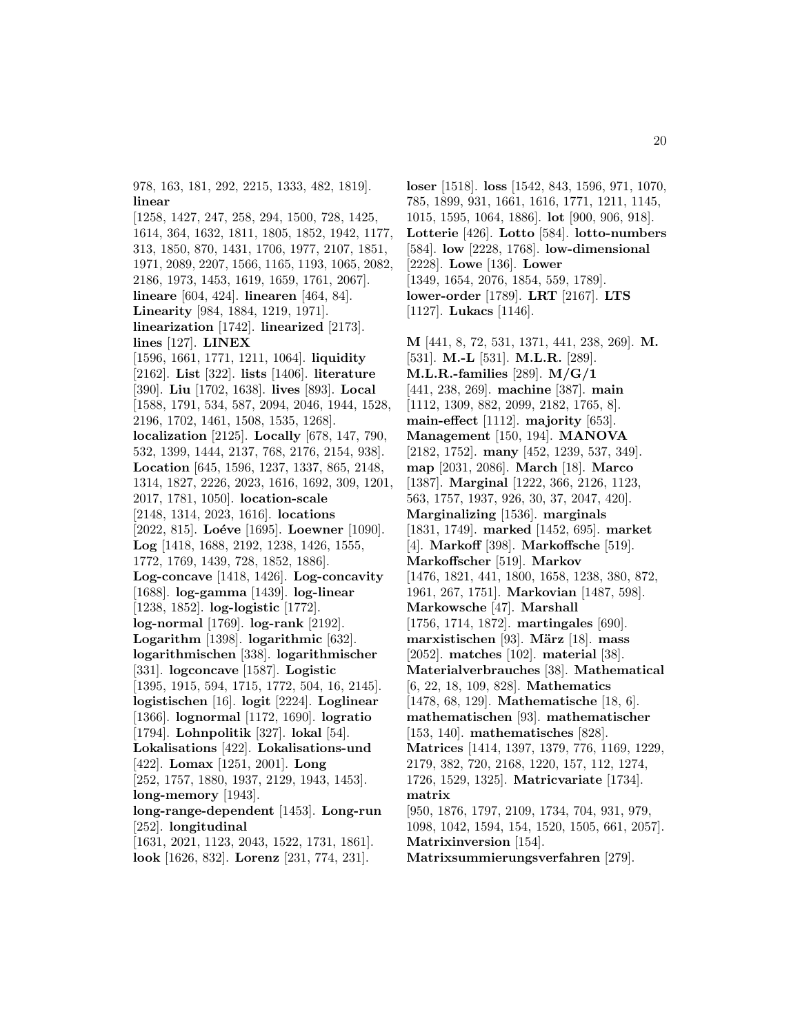978, 163, 181, 292, 2215, 1333, 482, 1819]. **linear**

[1258, 1427, 247, 258, 294, 1500, 728, 1425, 1614, 364, 1632, 1811, 1805, 1852, 1942, 1177, 313, 1850, 870, 1431, 1706, 1977, 2107, 1851, 1971, 2089, 2207, 1566, 1165, 1193, 1065, 2082, 2186, 1973, 1453, 1619, 1659, 1761, 2067]. **lineare** [604, 424]. **linearen** [464, 84]. **Linearity** [984, 1884, 1219, 1971]. **linearization** [1742]. **linearized** [2173]. **lines** [127]. **LINEX** [1596, 1661, 1771, 1211, 1064]. **liquidity** [2162]. **List** [322]. **lists** [1406]. **literature** [390]. **Liu** [1702, 1638]. **lives** [893]. **Local** [1588, 1791, 534, 587, 2094, 2046, 1944, 1528, 2196, 1702, 1461, 1508, 1535, 1268]. **localization** [2125]. **Locally** [678, 147, 790, 532, 1399, 1444, 2137, 768, 2176, 2154, 938]. **Location** [645, 1596, 1237, 1337, 865, 2148, 1314, 1827, 2226, 2023, 1616, 1692, 309, 1201, 2017, 1781, 1050]. **location-scale** [2148, 1314, 2023, 1616]. **locations** [2022, 815]. **Loéve** [1695]. **Loewner** [1090]. **Log** [1418, 1688, 2192, 1238, 1426, 1555, 1772, 1769, 1439, 728, 1852, 1886]. **Log-concave** [1418, 1426]. **Log-concavity** [1688]. **log-gamma** [1439]. **log-linear** [1238, 1852]. **log-logistic** [1772]. **log-normal** [1769]. **log-rank** [2192]. **Logarithm** [1398]. **logarithmic** [632]. **logarithmischen** [338]. **logarithmischer** [331]. **logconcave** [1587]. **Logistic** [1395, 1915, 594, 1715, 1772, 504, 16, 2145]. **logistischen** [16]. **logit** [2224]. **Loglinear** [1366]. **lognormal** [1172, 1690]. **logratio** [1794]. **Lohnpolitik** [327]. **lokal** [54]. **Lokalisations** [422]. **Lokalisations-und** [422]. **Lomax** [1251, 2001]. **Long** [252, 1757, 1880, 1937, 2129, 1943, 1453]. **long-memory** [1943]. **long-range-dependent** [1453]. **Long-run** [252]. **longitudinal** [1631, 2021, 1123, 2043, 1522, 1731, 1861].

**look** [1626, 832]. **Lorenz** [231, 774, 231].

**loser** [1518]. **loss** [1542, 843, 1596, 971, 1070, 785, 1899, 931, 1661, 1616, 1771, 1211, 1145, 1015, 1595, 1064, 1886]. **lot** [900, 906, 918]. **Lotterie** [426]. **Lotto** [584]. **lotto-numbers** [584]. **low** [2228, 1768]. **low-dimensional** [2228]. **Lowe** [136]. **Lower** [1349, 1654, 2076, 1854, 559, 1789]. **lower-order** [1789]. **LRT** [2167]. **LTS** [1127]. **Lukacs** [1146].

**M** [441, 8, 72, 531, 1371, 441, 238, 269]. **M.** [531]. **M.-L** [531]. **M.L.R.** [289]. **M.L.R.-families** [289]. **M/G/1** [441, 238, 269]. **machine** [387]. **main** [1112, 1309, 882, 2099, 2182, 1765, 8]. **main-effect** [1112]. **majority** [653]. **Management** [150, 194]. **MANOVA** [2182, 1752]. **many** [452, 1239, 537, 349]. **map** [2031, 2086]. **March** [18]. **Marco** [1387]. **Marginal** [1222, 366, 2126, 1123, 563, 1757, 1937, 926, 30, 37, 2047, 420]. **Marginalizing** [1536]. **marginals** [1831, 1749]. **marked** [1452, 695]. **market** [4]. **Markoff** [398]. **Markoffsche** [519]. **Markoffscher** [519]. **Markov** [1476, 1821, 441, 1800, 1658, 1238, 380, 872, 1961, 267, 1751]. **Markovian** [1487, 598]. **Markowsche** [47]. **Marshall** [1756, 1714, 1872]. **martingales** [690]. **marxistischen** [93]. **März** [18]. **mass** [2052]. **matches** [102]. **material** [38]. **Materialverbrauches** [38]. **Mathematical** [6, 22, 18, 109, 828]. **Mathematics** [1478, 68, 129]. **Mathematische** [18, 6]. **mathematischen** [93]. **mathematischer** [153, 140]. **mathematisches** [828]. **Matrices** [1414, 1397, 1379, 776, 1169, 1229, 2179, 382, 720, 2168, 1220, 157, 112, 1274, 1726, 1529, 1325]. **Matricvariate** [1734]. **matrix** [950, 1876, 1797, 2109, 1734, 704, 931, 979, 1098, 1042, 1594, 154, 1520, 1505, 661, 2057]. **Matrixinversion** [154].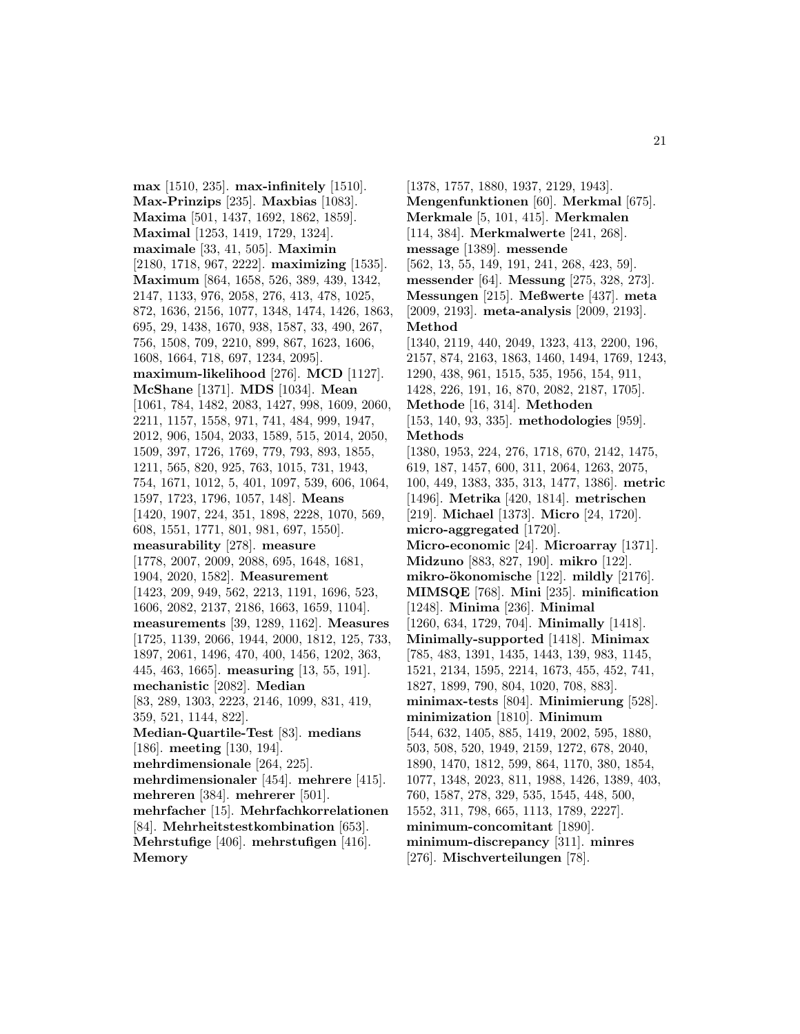**max** [1510, 235]. **max-infinitely** [1510]. **Max-Prinzips** [235]. **Maxbias** [1083]. **Maxima** [501, 1437, 1692, 1862, 1859]. **Maximal** [1253, 1419, 1729, 1324]. **maximale** [33, 41, 505]. **Maximin** [2180, 1718, 967, 2222]. **maximizing** [1535]. **Maximum** [864, 1658, 526, 389, 439, 1342, 2147, 1133, 976, 2058, 276, 413, 478, 1025, 872, 1636, 2156, 1077, 1348, 1474, 1426, 1863, 695, 29, 1438, 1670, 938, 1587, 33, 490, 267, 756, 1508, 709, 2210, 899, 867, 1623, 1606, 1608, 1664, 718, 697, 1234, 2095]. **maximum-likelihood** [276]. **MCD** [1127]. **McShane** [1371]. **MDS** [1034]. **Mean** [1061, 784, 1482, 2083, 1427, 998, 1609, 2060, 2211, 1157, 1558, 971, 741, 484, 999, 1947, 2012, 906, 1504, 2033, 1589, 515, 2014, 2050, 1509, 397, 1726, 1769, 779, 793, 893, 1855, 1211, 565, 820, 925, 763, 1015, 731, 1943, 754, 1671, 1012, 5, 401, 1097, 539, 606, 1064, 1597, 1723, 1796, 1057, 148]. **Means** [1420, 1907, 224, 351, 1898, 2228, 1070, 569, 608, 1551, 1771, 801, 981, 697, 1550]. **measurability** [278]. **measure** [1778, 2007, 2009, 2088, 695, 1648, 1681, 1904, 2020, 1582]. **Measurement** [1423, 209, 949, 562, 2213, 1191, 1696, 523, 1606, 2082, 2137, 2186, 1663, 1659, 1104]. **measurements** [39, 1289, 1162]. **Measures** [1725, 1139, 2066, 1944, 2000, 1812, 125, 733, 1897, 2061, 1496, 470, 400, 1456, 1202, 363, 445, 463, 1665]. **measuring** [13, 55, 191]. **mechanistic** [2082]. **Median** [83, 289, 1303, 2223, 2146, 1099, 831, 419, 359, 521, 1144, 822]. **Median-Quartile-Test** [83]. **medians** [186]. **meeting** [130, 194]. **mehrdimensionale** [264, 225]. **mehrdimensionaler** [454]. **mehrere** [415]. **mehreren** [384]. **mehrerer** [501]. **mehrfacher** [15]. **Mehrfachkorrelationen** [84]. **Mehrheitstestkombination** [653]. **Mehrstufige** [406]. **mehrstufigen** [416]. **Memory**

[1378, 1757, 1880, 1937, 2129, 1943]. **Mengenfunktionen** [60]. **Merkmal** [675]. **Merkmale** [5, 101, 415]. **Merkmalen** [114, 384]. **Merkmalwerte** [241, 268]. **message** [1389]. **messende** [562, 13, 55, 149, 191, 241, 268, 423, 59]. **messender** [64]. **Messung** [275, 328, 273]. **Messungen** [215]. **Meßwerte** [437]. **meta** [2009, 2193]. **meta-analysis** [2009, 2193]. **Method** [1340, 2119, 440, 2049, 1323, 413, 2200, 196, 2157, 874, 2163, 1863, 1460, 1494, 1769, 1243, 1290, 438, 961, 1515, 535, 1956, 154, 911, 1428, 226, 191, 16, 870, 2082, 2187, 1705]. **Methode** [16, 314]. **Methoden** [153, 140, 93, 335]. **methodologies** [959]. **Methods** [1380, 1953, 224, 276, 1718, 670, 2142, 1475, 619, 187, 1457, 600, 311, 2064, 1263, 2075, 100, 449, 1383, 335, 313, 1477, 1386]. **metric** [1496]. **Metrika** [420, 1814]. **metrischen** [219]. **Michael** [1373]. **Micro** [24, 1720]. **micro-aggregated** [1720]. **Micro-economic** [24]. **Microarray** [1371]. **Midzuno** [883, 827, 190]. **mikro** [122]. **mikro-ökonomische** [122]. **mildly** [2176]. **MIMSQE** [768]. **Mini** [235]. **minification** [1248]. **Minima** [236]. **Minimal** [1260, 634, 1729, 704]. **Minimally** [1418]. **Minimally-supported** [1418]. **Minimax** [785, 483, 1391, 1435, 1443, 139, 983, 1145, 1521, 2134, 1595, 2214, 1673, 455, 452, 741, 1827, 1899, 790, 804, 1020, 708, 883]. **minimax-tests** [804]. **Minimierung** [528]. **minimization** [1810]. **Minimum** [544, 632, 1405, 885, 1419, 2002, 595, 1880, 503, 508, 520, 1949, 2159, 1272, 678, 2040, 1890, 1470, 1812, 599, 864, 1170, 380, 1854, 1077, 1348, 2023, 811, 1988, 1426, 1389, 403, 760, 1587, 278, 329, 535, 1545, 448, 500, 1552, 311, 798, 665, 1113, 1789, 2227]. **minimum-concomitant** [1890]. **minimum-discrepancy** [311]. **minres** [276]. **Mischverteilungen** [78].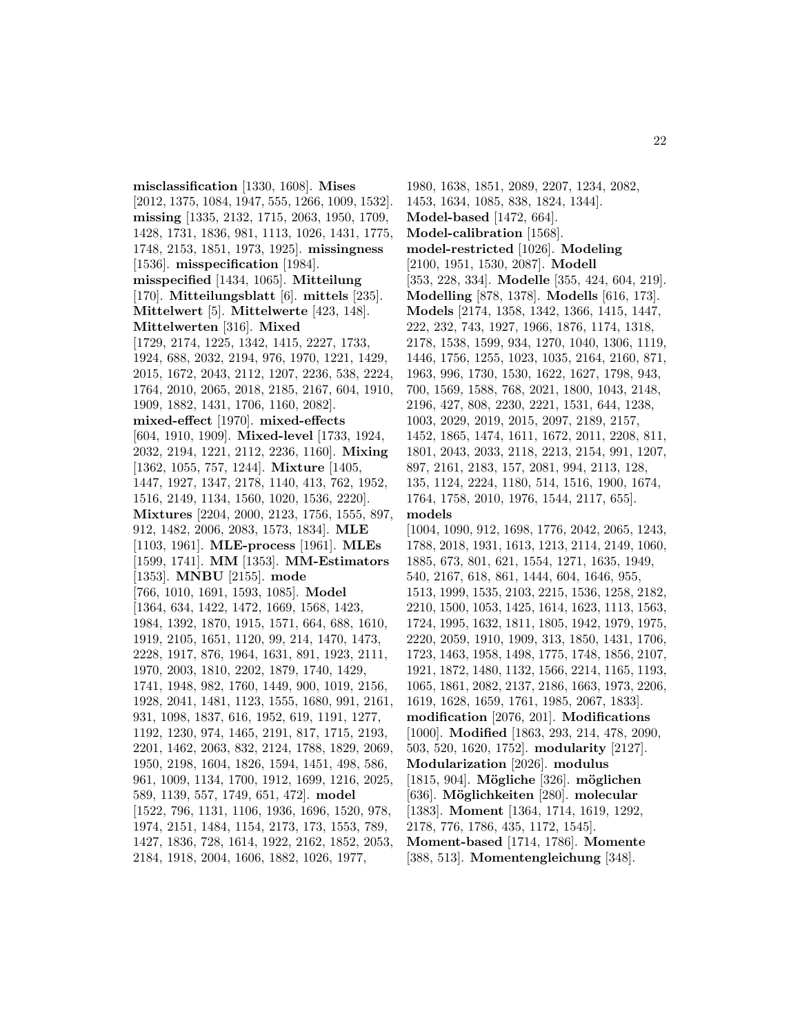**misclassification** [1330, 1608]. **Mises** [2012, 1375, 1084, 1947, 555, 1266, 1009, 1532]. **missing** [1335, 2132, 1715, 2063, 1950, 1709, 1428, 1731, 1836, 981, 1113, 1026, 1431, 1775, 1748, 2153, 1851, 1973, 1925]. **missingness** [1536]. **misspecification** [1984]. **misspecified** [1434, 1065]. **Mitteilung** [170]. **Mitteilungsblatt** [6]. **mittels** [235]. **Mittelwert** [5]. **Mittelwerte** [423, 148]. **Mittelwerten** [316]. **Mixed** [1729, 2174, 1225, 1342, 1415, 2227, 1733, 1924, 688, 2032, 2194, 976, 1970, 1221, 1429, 2015, 1672, 2043, 2112, 1207, 2236, 538, 2224, 1764, 2010, 2065, 2018, 2185, 2167, 604, 1910, 1909, 1882, 1431, 1706, 1160, 2082]. **mixed-effect** [1970]. **mixed-effects** [604, 1910, 1909]. **Mixed-level** [1733, 1924, 2032, 2194, 1221, 2112, 2236, 1160]. **Mixing** [1362, 1055, 757, 1244]. **Mixture** [1405, 1447, 1927, 1347, 2178, 1140, 413, 762, 1952, 1516, 2149, 1134, 1560, 1020, 1536, 2220]. **Mixtures** [2204, 2000, 2123, 1756, 1555, 897, 912, 1482, 2006, 2083, 1573, 1834]. **MLE** [1103, 1961]. **MLE-process** [1961]. **MLEs** [1599, 1741]. **MM** [1353]. **MM-Estimators** [1353]. **MNBU** [2155]. **mode** [766, 1010, 1691, 1593, 1085]. **Model** [1364, 634, 1422, 1472, 1669, 1568, 1423, 1984, 1392, 1870, 1915, 1571, 664, 688, 1610, 1919, 2105, 1651, 1120, 99, 214, 1470, 1473, 2228, 1917, 876, 1964, 1631, 891, 1923, 2111, 1970, 2003, 1810, 2202, 1879, 1740, 1429, 1741, 1948, 982, 1760, 1449, 900, 1019, 2156, 1928, 2041, 1481, 1123, 1555, 1680, 991, 2161, 931, 1098, 1837, 616, 1952, 619, 1191, 1277, 1192, 1230, 974, 1465, 2191, 817, 1715, 2193, 2201, 1462, 2063, 832, 2124, 1788, 1829, 2069, 1950, 2198, 1604, 1826, 1594, 1451, 498, 586, 961, 1009, 1134, 1700, 1912, 1699, 1216, 2025, 589, 1139, 557, 1749, 651, 472]. **model** [1522, 796, 1131, 1106, 1936, 1696, 1520, 978, 1974, 2151, 1484, 1154, 2173, 173, 1553, 789, 1427, 1836, 728, 1614, 1922, 2162, 1852, 2053, 2184, 1918, 2004, 1606, 1882, 1026, 1977,

1980, 1638, 1851, 2089, 2207, 1234, 2082, 1453, 1634, 1085, 838, 1824, 1344]. **Model-based** [1472, 664]. **Model-calibration** [1568]. **model-restricted** [1026]. **Modeling** [2100, 1951, 1530, 2087]. **Modell** [353, 228, 334]. **Modelle** [355, 424, 604, 219]. **Modelling** [878, 1378]. **Modells** [616, 173]. **Models** [2174, 1358, 1342, 1366, 1415, 1447, 222, 232, 743, 1927, 1966, 1876, 1174, 1318, 2178, 1538, 1599, 934, 1270, 1040, 1306, 1119, 1446, 1756, 1255, 1023, 1035, 2164, 2160, 871, 1963, 996, 1730, 1530, 1622, 1627, 1798, 943, 700, 1569, 1588, 768, 2021, 1800, 1043, 2148, 2196, 427, 808, 2230, 2221, 1531, 644, 1238, 1003, 2029, 2019, 2015, 2097, 2189, 2157, 1452, 1865, 1474, 1611, 1672, 2011, 2208, 811, 1801, 2043, 2033, 2118, 2213, 2154, 991, 1207, 897, 2161, 2183, 157, 2081, 994, 2113, 128, 135, 1124, 2224, 1180, 514, 1516, 1900, 1674, 1764, 1758, 2010, 1976, 1544, 2117, 655]. **models** [1004, 1090, 912, 1698, 1776, 2042, 2065, 1243, 1788, 2018, 1931, 1613, 1213, 2114, 2149, 1060, 1885, 673, 801, 621, 1554, 1271, 1635, 1949, 540, 2167, 618, 861, 1444, 604, 1646, 955, 1513, 1999, 1535, 2103, 2215, 1536, 1258, 2182, 2210, 1500, 1053, 1425, 1614, 1623, 1113, 1563, 1724, 1995, 1632, 1811, 1805, 1942, 1979, 1975, 2220, 2059, 1910, 1909, 313, 1850, 1431, 1706, 1723, 1463, 1958, 1498, 1775, 1748, 1856, 2107, 1921, 1872, 1480, 1132, 1566, 2214, 1165, 1193, 1065, 1861, 2082, 2137, 2186, 1663, 1973, 2206, 1619, 1628, 1659, 1761, 1985, 2067, 1833]. **modification** [2076, 201]. **Modifications** [1000]. **Modified** [1863, 293, 214, 478, 2090, 503, 520, 1620, 1752]. **modularity** [2127]. **Modularization** [2026]. **modulus** [1815, 904]. **M¨ogliche** [326]. **m¨oglichen** [636]. **M¨oglichkeiten** [280]. **molecular** [1383]. **Moment** [1364, 1714, 1619, 1292, 2178, 776, 1786, 435, 1172, 1545]. **Moment-based** [1714, 1786]. **Momente** [388, 513]. **Momentengleichung** [348].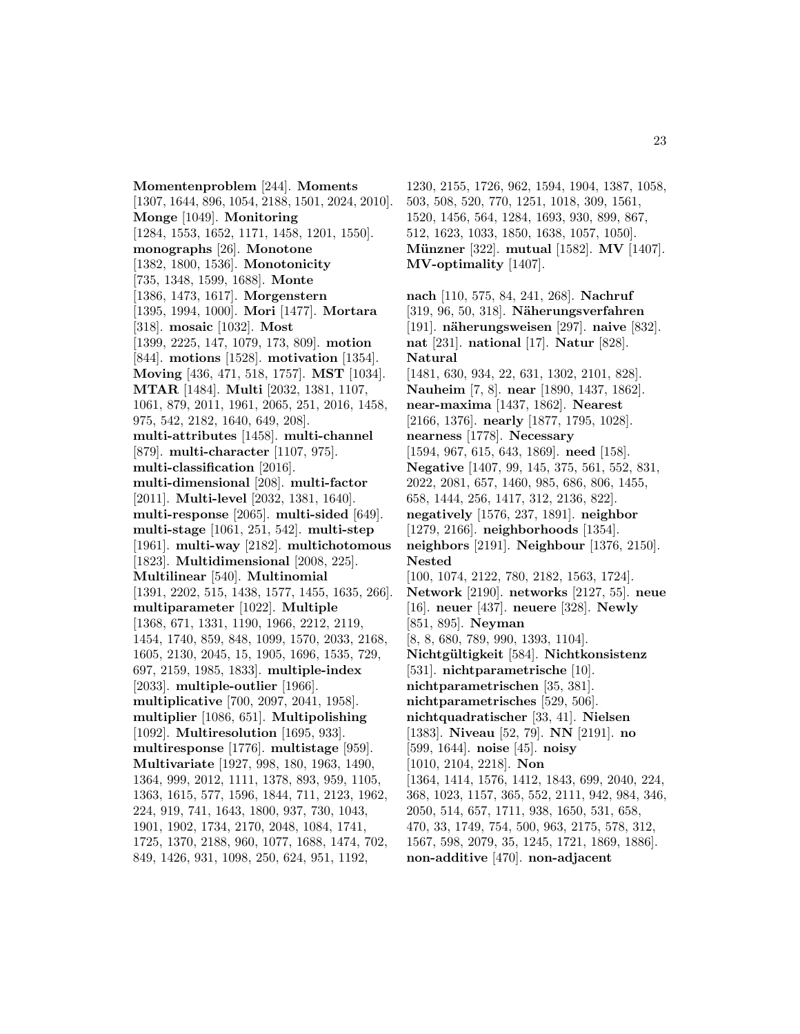**Momentenproblem** [244]. **Moments** [1307, 1644, 896, 1054, 2188, 1501, 2024, 2010]. **Monge** [1049]. **Monitoring** [1284, 1553, 1652, 1171, 1458, 1201, 1550]. **monographs** [26]. **Monotone** [1382, 1800, 1536]. **Monotonicity** [735, 1348, 1599, 1688]. **Monte** [1386, 1473, 1617]. **Morgenstern** [1395, 1994, 1000]. **Mori** [1477]. **Mortara** [318]. **mosaic** [1032]. **Most** [1399, 2225, 147, 1079, 173, 809]. **motion** [844]. **motions** [1528]. **motivation** [1354]. **Moving** [436, 471, 518, 1757]. **MST** [1034]. **MTAR** [1484]. **Multi** [2032, 1381, 1107, 1061, 879, 2011, 1961, 2065, 251, 2016, 1458, 975, 542, 2182, 1640, 649, 208]. **multi-attributes** [1458]. **multi-channel** [879]. **multi-character** [1107, 975]. **multi-classification** [2016]. **multi-dimensional** [208]. **multi-factor** [2011]. **Multi-level** [2032, 1381, 1640]. **multi-response** [2065]. **multi-sided** [649]. **multi-stage** [1061, 251, 542]. **multi-step** [1961]. **multi-way** [2182]. **multichotomous** [1823]. **Multidimensional** [2008, 225]. **Multilinear** [540]. **Multinomial** [1391, 2202, 515, 1438, 1577, 1455, 1635, 266]. **multiparameter** [1022]. **Multiple** [1368, 671, 1331, 1190, 1966, 2212, 2119, 1454, 1740, 859, 848, 1099, 1570, 2033, 2168, 1605, 2130, 2045, 15, 1905, 1696, 1535, 729, 697, 2159, 1985, 1833]. **multiple-index** [2033]. **multiple-outlier** [1966]. **multiplicative** [700, 2097, 2041, 1958]. **multiplier** [1086, 651]. **Multipolishing** [1092]. **Multiresolution** [1695, 933]. **multiresponse** [1776]. **multistage** [959]. **Multivariate** [1927, 998, 180, 1963, 1490, 1364, 999, 2012, 1111, 1378, 893, 959, 1105, 1363, 1615, 577, 1596, 1844, 711, 2123, 1962, 224, 919, 741, 1643, 1800, 937, 730, 1043, 1901, 1902, 1734, 2170, 2048, 1084, 1741, 1725, 1370, 2188, 960, 1077, 1688, 1474, 702, 849, 1426, 931, 1098, 250, 624, 951, 1192,

1230, 2155, 1726, 962, 1594, 1904, 1387, 1058, 503, 508, 520, 770, 1251, 1018, 309, 1561, 1520, 1456, 564, 1284, 1693, 930, 899, 867, 512, 1623, 1033, 1850, 1638, 1057, 1050]. **M¨unzner** [322]. **mutual** [1582]. **MV** [1407]. **MV-optimality** [1407].

**nach** [110, 575, 84, 241, 268]. **Nachruf** [319, 96, 50, 318]. **N¨aherungsverfahren** [191]. **n¨aherungsweisen** [297]. **naive** [832]. **nat** [231]. **national** [17]. **Natur** [828]. **Natural** [1481, 630, 934, 22, 631, 1302, 2101, 828]. **Nauheim** [7, 8]. **near** [1890, 1437, 1862]. **near-maxima** [1437, 1862]. **Nearest** [2166, 1376]. **nearly** [1877, 1795, 1028]. **nearness** [1778]. **Necessary** [1594, 967, 615, 643, 1869]. **need** [158]. **Negative** [1407, 99, 145, 375, 561, 552, 831, 2022, 2081, 657, 1460, 985, 686, 806, 1455, 658, 1444, 256, 1417, 312, 2136, 822]. **negatively** [1576, 237, 1891]. **neighbor** [1279, 2166]. **neighborhoods** [1354]. **neighbors** [2191]. **Neighbour** [1376, 2150]. **Nested** [100, 1074, 2122, 780, 2182, 1563, 1724]. **Network** [2190]. **networks** [2127, 55]. **neue** [16]. **neuer** [437]. **neuere** [328]. **Newly** [851, 895]. **Neyman** [8, 8, 680, 789, 990, 1393, 1104]. **Nichtg¨ultigkeit** [584]. **Nichtkonsistenz** [531]. **nichtparametrische** [10]. **nichtparametrischen** [35, 381]. **nichtparametrisches** [529, 506]. **nichtquadratischer** [33, 41]. **Nielsen** [1383]. **Niveau** [52, 79]. **NN** [2191]. **no** [599, 1644]. **noise** [45]. **noisy** [1010, 2104, 2218]. **Non** [1364, 1414, 1576, 1412, 1843, 699, 2040, 224, 368, 1023, 1157, 365, 552, 2111, 942, 984, 346, 2050, 514, 657, 1711, 938, 1650, 531, 658, 470, 33, 1749, 754, 500, 963, 2175, 578, 312, 1567, 598, 2079, 35, 1245, 1721, 1869, 1886]. **non-additive** [470]. **non-adjacent**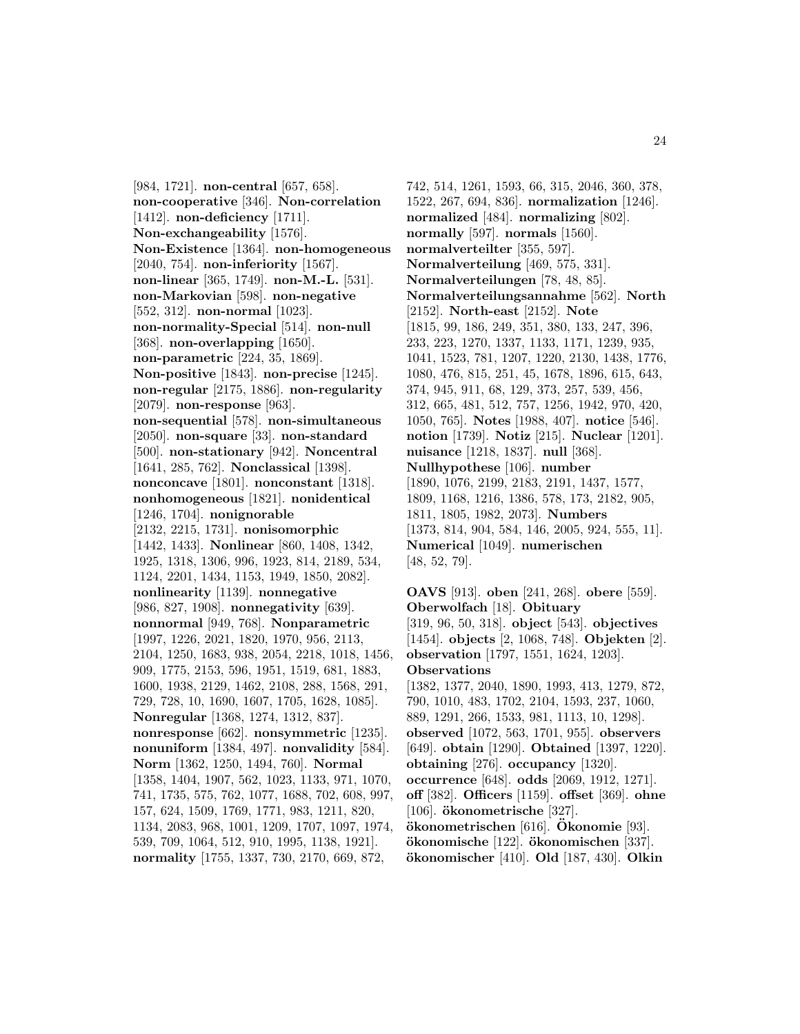[984, 1721]. **non-central** [657, 658]. **non-cooperative** [346]. **Non-correlation** [1412]. **non-deficiency** [1711]. **Non-exchangeability** [1576]. **Non-Existence** [1364]. **non-homogeneous** [2040, 754]. **non-inferiority** [1567]. **non-linear** [365, 1749]. **non-M.-L.** [531]. **non-Markovian** [598]. **non-negative** [552, 312]. **non-normal** [1023]. **non-normality-Special** [514]. **non-null** [368]. **non-overlapping** [1650]. **non-parametric** [224, 35, 1869]. **Non-positive** [1843]. **non-precise** [1245]. **non-regular** [2175, 1886]. **non-regularity** [2079]. **non-response** [963]. **non-sequential** [578]. **non-simultaneous** [2050]. **non-square** [33]. **non-standard** [500]. **non-stationary** [942]. **Noncentral** [1641, 285, 762]. **Nonclassical** [1398]. **nonconcave** [1801]. **nonconstant** [1318]. **nonhomogeneous** [1821]. **nonidentical** [1246, 1704]. **nonignorable** [2132, 2215, 1731]. **nonisomorphic** [1442, 1433]. **Nonlinear** [860, 1408, 1342, 1925, 1318, 1306, 996, 1923, 814, 2189, 534, 1124, 2201, 1434, 1153, 1949, 1850, 2082]. **nonlinearity** [1139]. **nonnegative** [986, 827, 1908]. **nonnegativity** [639]. **nonnormal** [949, 768]. **Nonparametric** [1997, 1226, 2021, 1820, 1970, 956, 2113, 2104, 1250, 1683, 938, 2054, 2218, 1018, 1456, 909, 1775, 2153, 596, 1951, 1519, 681, 1883, 1600, 1938, 2129, 1462, 2108, 288, 1568, 291, 729, 728, 10, 1690, 1607, 1705, 1628, 1085]. **Nonregular** [1368, 1274, 1312, 837]. **nonresponse** [662]. **nonsymmetric** [1235]. **nonuniform** [1384, 497]. **nonvalidity** [584]. **Norm** [1362, 1250, 1494, 760]. **Normal** [1358, 1404, 1907, 562, 1023, 1133, 971, 1070, 741, 1735, 575, 762, 1077, 1688, 702, 608, 997, 157, 624, 1509, 1769, 1771, 983, 1211, 820, 1134, 2083, 968, 1001, 1209, 1707, 1097, 1974, 539, 709, 1064, 512, 910, 1995, 1138, 1921]. **normality** [1755, 1337, 730, 2170, 669, 872,

742, 514, 1261, 1593, 66, 315, 2046, 360, 378, 1522, 267, 694, 836]. **normalization** [1246]. **normalized** [484]. **normalizing** [802]. **normally** [597]. **normals** [1560]. **normalverteilter** [355, 597]. **Normalverteilung** [469, 575, 331]. **Normalverteilungen** [78, 48, 85]. **Normalverteilungsannahme** [562]. **North** [2152]. **North-east** [2152]. **Note** [1815, 99, 186, 249, 351, 380, 133, 247, 396, 233, 223, 1270, 1337, 1133, 1171, 1239, 935, 1041, 1523, 781, 1207, 1220, 2130, 1438, 1776, 1080, 476, 815, 251, 45, 1678, 1896, 615, 643, 374, 945, 911, 68, 129, 373, 257, 539, 456, 312, 665, 481, 512, 757, 1256, 1942, 970, 420, 1050, 765]. **Notes** [1988, 407]. **notice** [546]. **notion** [1739]. **Notiz** [215]. **Nuclear** [1201]. **nuisance** [1218, 1837]. **null** [368]. **Nullhypothese** [106]. **number** [1890, 1076, 2199, 2183, 2191, 1437, 1577, 1809, 1168, 1216, 1386, 578, 173, 2182, 905, 1811, 1805, 1982, 2073]. **Numbers** [1373, 814, 904, 584, 146, 2005, 924, 555, 11]. **Numerical** [1049]. **numerischen** [48, 52, 79].

**OAVS** [913]. **oben** [241, 268]. **obere** [559]. **Oberwolfach** [18]. **Obituary** [319, 96, 50, 318]. **object** [543]. **objectives** [1454]. **objects** [2, 1068, 748]. **Objekten** [2]. **observation** [1797, 1551, 1624, 1203]. **Observations** [1382, 1377, 2040, 1890, 1993, 413, 1279, 872, 790, 1010, 483, 1702, 2104, 1593, 237, 1060, 889, 1291, 266, 1533, 981, 1113, 10, 1298]. **observed** [1072, 563, 1701, 955]. **observers** [649]. **obtain** [1290]. **Obtained** [1397, 1220]. **obtaining** [276]. **occupancy** [1320]. **occurrence** [648]. **odds** [2069, 1912, 1271]. **off** [382]. **Officers** [1159]. **offset** [369]. **ohne** [106]. **okonometrische ¨** [327]. **okonometrischen ¨** [616]. **Okonomie ¨** [93]. **okonomische ¨** [122]. **okonomischen ¨** [337]. **okonomischer ¨** [410]. **Old** [187, 430]. **Olkin**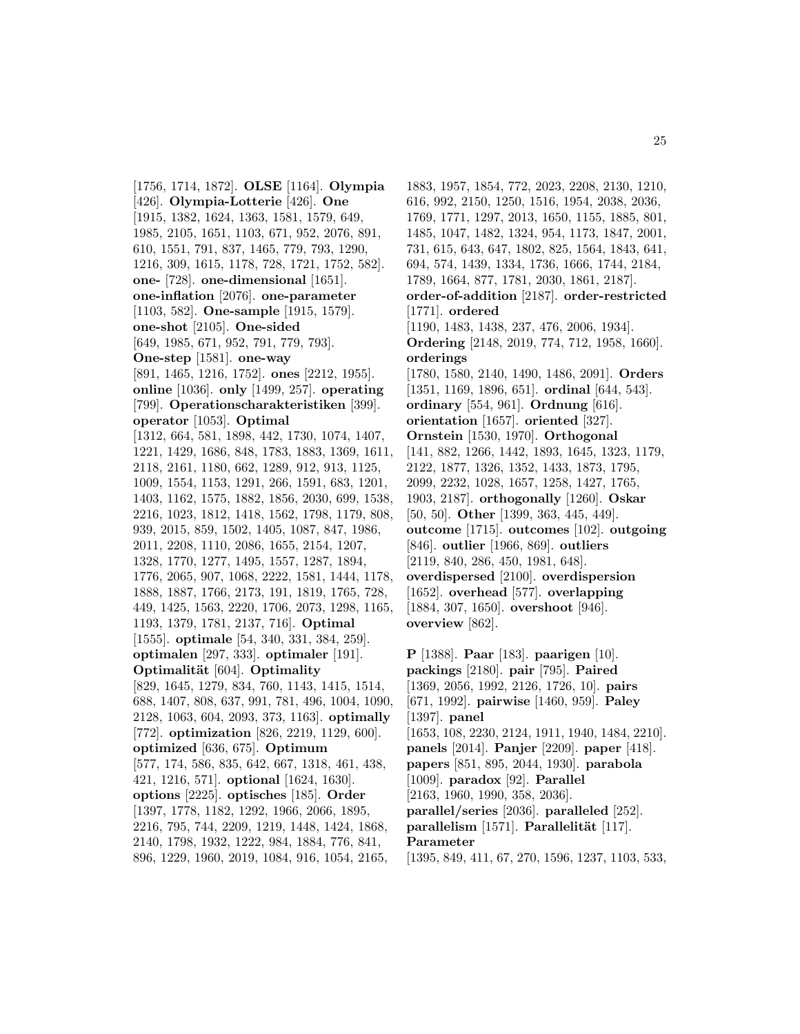[1756, 1714, 1872]. **OLSE** [1164]. **Olympia** [426]. **Olympia-Lotterie** [426]. **One** [1915, 1382, 1624, 1363, 1581, 1579, 649, 1985, 2105, 1651, 1103, 671, 952, 2076, 891, 610, 1551, 791, 837, 1465, 779, 793, 1290, 1216, 309, 1615, 1178, 728, 1721, 1752, 582]. **one-** [728]. **one-dimensional** [1651]. **one-inflation** [2076]. **one-parameter** [1103, 582]. **One-sample** [1915, 1579]. **one-shot** [2105]. **One-sided** [649, 1985, 671, 952, 791, 779, 793]. **One-step** [1581]. **one-way** [891, 1465, 1216, 1752]. **ones** [2212, 1955]. **online** [1036]. **only** [1499, 257]. **operating** [799]. **Operationscharakteristiken** [399]. **operator** [1053]. **Optimal** [1312, 664, 581, 1898, 442, 1730, 1074, 1407, 1221, 1429, 1686, 848, 1783, 1883, 1369, 1611, 2118, 2161, 1180, 662, 1289, 912, 913, 1125, 1009, 1554, 1153, 1291, 266, 1591, 683, 1201, 1403, 1162, 1575, 1882, 1856, 2030, 699, 1538, 2216, 1023, 1812, 1418, 1562, 1798, 1179, 808, 939, 2015, 859, 1502, 1405, 1087, 847, 1986, 2011, 2208, 1110, 2086, 1655, 2154, 1207, 1328, 1770, 1277, 1495, 1557, 1287, 1894, 1776, 2065, 907, 1068, 2222, 1581, 1444, 1178, 1888, 1887, 1766, 2173, 191, 1819, 1765, 728, 449, 1425, 1563, 2220, 1706, 2073, 1298, 1165, 1193, 1379, 1781, 2137, 716]. **Optimal** [1555]. **optimale** [54, 340, 331, 384, 259]. **optimalen** [297, 333]. **optimaler** [191]. **Optimalität** [604]. **Optimality** [829, 1645, 1279, 834, 760, 1143, 1415, 1514, 688, 1407, 808, 637, 991, 781, 496, 1004, 1090, 2128, 1063, 604, 2093, 373, 1163]. **optimally** [772]. **optimization** [826, 2219, 1129, 600]. **optimized** [636, 675]. **Optimum** [577, 174, 586, 835, 642, 667, 1318, 461, 438, 421, 1216, 571]. **optional** [1624, 1630]. **options** [2225]. **optisches** [185]. **Order** [1397, 1778, 1182, 1292, 1966, 2066, 1895, 2216, 795, 744, 2209, 1219, 1448, 1424, 1868, 2140, 1798, 1932, 1222, 984, 1884, 776, 841, 896, 1229, 1960, 2019, 1084, 916, 1054, 2165,

1883, 1957, 1854, 772, 2023, 2208, 2130, 1210, 616, 992, 2150, 1250, 1516, 1954, 2038, 2036, 1769, 1771, 1297, 2013, 1650, 1155, 1885, 801, 1485, 1047, 1482, 1324, 954, 1173, 1847, 2001, 731, 615, 643, 647, 1802, 825, 1564, 1843, 641, 694, 574, 1439, 1334, 1736, 1666, 1744, 2184, 1789, 1664, 877, 1781, 2030, 1861, 2187]. **order-of-addition** [2187]. **order-restricted** [1771]. **ordered** [1190, 1483, 1438, 237, 476, 2006, 1934]. **Ordering** [2148, 2019, 774, 712, 1958, 1660]. **orderings** [1780, 1580, 2140, 1490, 1486, 2091]. **Orders** [1351, 1169, 1896, 651]. **ordinal** [644, 543]. **ordinary** [554, 961]. **Ordnung** [616]. **orientation** [1657]. **oriented** [327]. **Ornstein** [1530, 1970]. **Orthogonal** [141, 882, 1266, 1442, 1893, 1645, 1323, 1179, 2122, 1877, 1326, 1352, 1433, 1873, 1795, 2099, 2232, 1028, 1657, 1258, 1427, 1765, 1903, 2187]. **orthogonally** [1260]. **Oskar** [50, 50]. **Other** [1399, 363, 445, 449]. **outcome** [1715]. **outcomes** [102]. **outgoing** [846]. **outlier** [1966, 869]. **outliers** [2119, 840, 286, 450, 1981, 648]. **overdispersed** [2100]. **overdispersion** [1652]. **overhead** [577]. **overlapping** [1884, 307, 1650]. **overshoot** [946]. **overview** [862].

**P** [1388]. **Paar** [183]. **paarigen** [10]. **packings** [2180]. **pair** [795]. **Paired** [1369, 2056, 1992, 2126, 1726, 10]. **pairs** [671, 1992]. **pairwise** [1460, 959]. **Paley** [1397]. **panel** [1653, 108, 2230, 2124, 1911, 1940, 1484, 2210]. **panels** [2014]. **Panjer** [2209]. **paper** [418]. **papers** [851, 895, 2044, 1930]. **parabola** [1009]. **paradox** [92]. **Parallel** [2163, 1960, 1990, 358, 2036]. **parallel/series** [2036]. **paralleled** [252]. **parallelism** [1571]. **Parallelität** [117]. **Parameter** [1395, 849, 411, 67, 270, 1596, 1237, 1103, 533,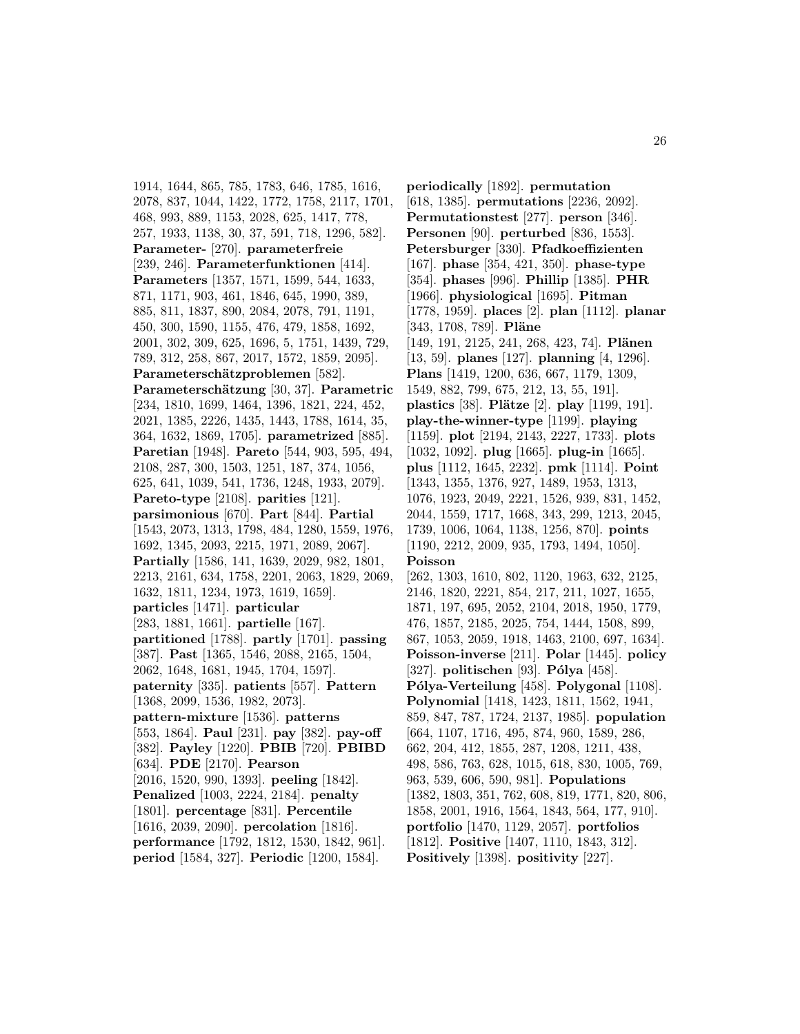1914, 1644, 865, 785, 1783, 646, 1785, 1616, 2078, 837, 1044, 1422, 1772, 1758, 2117, 1701, 468, 993, 889, 1153, 2028, 625, 1417, 778, 257, 1933, 1138, 30, 37, 591, 718, 1296, 582]. **Parameter-** [270]. **parameterfreie** [239, 246]. **Parameterfunktionen** [414]. **Parameters** [1357, 1571, 1599, 544, 1633, 871, 1171, 903, 461, 1846, 645, 1990, 389, 885, 811, 1837, 890, 2084, 2078, 791, 1191, 450, 300, 1590, 1155, 476, 479, 1858, 1692, 2001, 302, 309, 625, 1696, 5, 1751, 1439, 729, 789, 312, 258, 867, 2017, 1572, 1859, 2095]. Parameterschätzproblemen [582]. **Parametersch¨atzung** [30, 37]. **Parametric** [234, 1810, 1699, 1464, 1396, 1821, 224, 452, 2021, 1385, 2226, 1435, 1443, 1788, 1614, 35, 364, 1632, 1869, 1705]. **parametrized** [885]. **Paretian** [1948]. **Pareto** [544, 903, 595, 494, 2108, 287, 300, 1503, 1251, 187, 374, 1056, 625, 641, 1039, 541, 1736, 1248, 1933, 2079]. **Pareto-type** [2108]. **parities** [121]. **parsimonious** [670]. **Part** [844]. **Partial** [1543, 2073, 1313, 1798, 484, 1280, 1559, 1976, 1692, 1345, 2093, 2215, 1971, 2089, 2067]. **Partially** [1586, 141, 1639, 2029, 982, 1801, 2213, 2161, 634, 1758, 2201, 2063, 1829, 2069, 1632, 1811, 1234, 1973, 1619, 1659]. **particles** [1471]. **particular** [283, 1881, 1661]. **partielle** [167]. **partitioned** [1788]. **partly** [1701]. **passing** [387]. **Past** [1365, 1546, 2088, 2165, 1504, 2062, 1648, 1681, 1945, 1704, 1597]. **paternity** [335]. **patients** [557]. **Pattern** [1368, 2099, 1536, 1982, 2073]. **pattern-mixture** [1536]. **patterns** [553, 1864]. **Paul** [231]. **pay** [382]. **pay-off** [382]. **Payley** [1220]. **PBIB** [720]. **PBIBD** [634]. **PDE** [2170]. **Pearson** [2016, 1520, 990, 1393]. **peeling** [1842]. **Penalized** [1003, 2224, 2184]. **penalty** [1801]. **percentage** [831]. **Percentile** [1616, 2039, 2090]. **percolation** [1816]. **performance** [1792, 1812, 1530, 1842, 961]. **period** [1584, 327]. **Periodic** [1200, 1584].

**periodically** [1892]. **permutation** [618, 1385]. **permutations** [2236, 2092]. **Permutationstest** [277]. **person** [346]. **Personen** [90]. **perturbed** [836, 1553]. **Petersburger** [330]. **Pfadkoeffizienten** [167]. **phase** [354, 421, 350]. **phase-type** [354]. **phases** [996]. **Phillip** [1385]. **PHR** [1966]. **physiological** [1695]. **Pitman** [1778, 1959]. **places** [2]. **plan** [1112]. **planar** [343, 1708, 789]. **Pläne** [149, 191, 2125, 241, 268, 423, 74]. **Plänen** [13, 59]. **planes** [127]. **planning** [4, 1296]. **Plans** [1419, 1200, 636, 667, 1179, 1309, 1549, 882, 799, 675, 212, 13, 55, 191]. **plastics** [38]. **Plätze** [2]. **play** [1199, 191]. **play-the-winner-type** [1199]. **playing** [1159]. **plot** [2194, 2143, 2227, 1733]. **plots** [1032, 1092]. **plug** [1665]. **plug-in** [1665]. **plus** [1112, 1645, 2232]. **pmk** [1114]. **Point** [1343, 1355, 1376, 927, 1489, 1953, 1313, 1076, 1923, 2049, 2221, 1526, 939, 831, 1452, 2044, 1559, 1717, 1668, 343, 299, 1213, 2045, 1739, 1006, 1064, 1138, 1256, 870]. **points** [1190, 2212, 2009, 935, 1793, 1494, 1050]. **Poisson** [262, 1303, 1610, 802, 1120, 1963, 632, 2125, 2146, 1820, 2221, 854, 217, 211, 1027, 1655, 1871, 197, 695, 2052, 2104, 2018, 1950, 1779, 476, 1857, 2185, 2025, 754, 1444, 1508, 899, 867, 1053, 2059, 1918, 1463, 2100, 697, 1634]. **Poisson-inverse** [211]. **Polar** [1445]. **policy** [327]. **politischen** [93]. **Pólya** [458]. **P´olya-Verteilung** [458]. **Polygonal** [1108]. **Polynomial** [1418, 1423, 1811, 1562, 1941, 859, 847, 787, 1724, 2137, 1985]. **population** [664, 1107, 1716, 495, 874, 960, 1589, 286, 662, 204, 412, 1855, 287, 1208, 1211, 438, 498, 586, 763, 628, 1015, 618, 830, 1005, 769, 963, 539, 606, 590, 981]. **Populations** [1382, 1803, 351, 762, 608, 819, 1771, 820, 806, 1858, 2001, 1916, 1564, 1843, 564, 177, 910]. **portfolio** [1470, 1129, 2057]. **portfolios** [1812]. **Positive** [1407, 1110, 1843, 312]. **Positively** [1398]. **positivity** [227].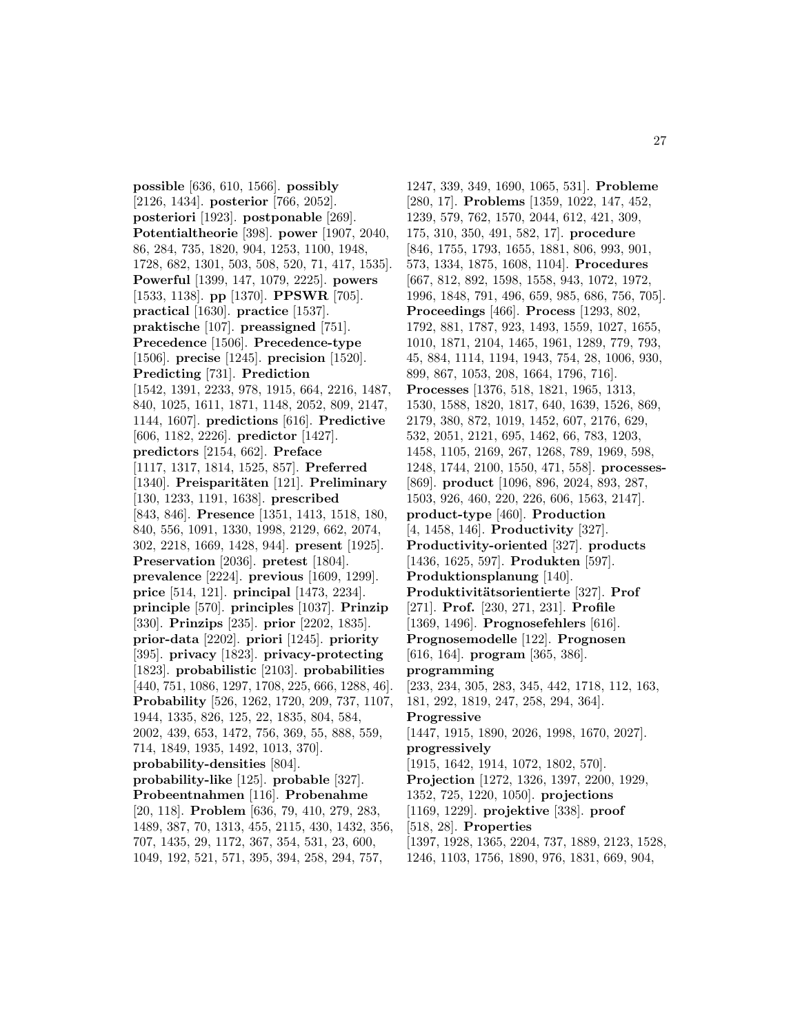**possible** [636, 610, 1566]. **possibly** [2126, 1434]. **posterior** [766, 2052]. **posteriori** [1923]. **postponable** [269]. **Potentialtheorie** [398]. **power** [1907, 2040, 86, 284, 735, 1820, 904, 1253, 1100, 1948, 1728, 682, 1301, 503, 508, 520, 71, 417, 1535]. **Powerful** [1399, 147, 1079, 2225]. **powers** [1533, 1138]. **pp** [1370]. **PPSWR** [705]. **practical** [1630]. **practice** [1537]. **praktische** [107]. **preassigned** [751]. **Precedence** [1506]. **Precedence-type** [1506]. **precise** [1245]. **precision** [1520]. **Predicting** [731]. **Prediction** [1542, 1391, 2233, 978, 1915, 664, 2216, 1487, 840, 1025, 1611, 1871, 1148, 2052, 809, 2147, 1144, 1607]. **predictions** [616]. **Predictive** [606, 1182, 2226]. **predictor** [1427]. **predictors** [2154, 662]. **Preface** [1117, 1317, 1814, 1525, 857]. **Preferred** [1340]. Preisparitäten [121]. Preliminary [130, 1233, 1191, 1638]. **prescribed** [843, 846]. **Presence** [1351, 1413, 1518, 180, 840, 556, 1091, 1330, 1998, 2129, 662, 2074, 302, 2218, 1669, 1428, 944]. **present** [1925]. **Preservation** [2036]. **pretest** [1804]. **prevalence** [2224]. **previous** [1609, 1299]. **price** [514, 121]. **principal** [1473, 2234]. **principle** [570]. **principles** [1037]. **Prinzip** [330]. **Prinzips** [235]. **prior** [2202, 1835]. **prior-data** [2202]. **priori** [1245]. **priority** [395]. **privacy** [1823]. **privacy-protecting** [1823]. **probabilistic** [2103]. **probabilities** [440, 751, 1086, 1297, 1708, 225, 666, 1288, 46]. **Probability** [526, 1262, 1720, 209, 737, 1107, 1944, 1335, 826, 125, 22, 1835, 804, 584, 2002, 439, 653, 1472, 756, 369, 55, 888, 559, 714, 1849, 1935, 1492, 1013, 370]. **probability-densities** [804]. **probability-like** [125]. **probable** [327]. **Probeentnahmen** [116]. **Probenahme** [20, 118]. **Problem** [636, 79, 410, 279, 283, 1489, 387, 70, 1313, 455, 2115, 430, 1432, 356, 707, 1435, 29, 1172, 367, 354, 531, 23, 600, 1049, 192, 521, 571, 395, 394, 258, 294, 757,

1247, 339, 349, 1690, 1065, 531]. **Probleme** [280, 17]. **Problems** [1359, 1022, 147, 452, 1239, 579, 762, 1570, 2044, 612, 421, 309, 175, 310, 350, 491, 582, 17]. **procedure** [846, 1755, 1793, 1655, 1881, 806, 993, 901, 573, 1334, 1875, 1608, 1104]. **Procedures** [667, 812, 892, 1598, 1558, 943, 1072, 1972, 1996, 1848, 791, 496, 659, 985, 686, 756, 705]. **Proceedings** [466]. **Process** [1293, 802, 1792, 881, 1787, 923, 1493, 1559, 1027, 1655, 1010, 1871, 2104, 1465, 1961, 1289, 779, 793, 45, 884, 1114, 1194, 1943, 754, 28, 1006, 930, 899, 867, 1053, 208, 1664, 1796, 716]. **Processes** [1376, 518, 1821, 1965, 1313, 1530, 1588, 1820, 1817, 640, 1639, 1526, 869, 2179, 380, 872, 1019, 1452, 607, 2176, 629, 532, 2051, 2121, 695, 1462, 66, 783, 1203, 1458, 1105, 2169, 267, 1268, 789, 1969, 598, 1248, 1744, 2100, 1550, 471, 558]. **processes-** [869]. **product** [1096, 896, 2024, 893, 287, 1503, 926, 460, 220, 226, 606, 1563, 2147]. **product-type** [460]. **Production** [4, 1458, 146]. **Productivity** [327]. **Productivity-oriented** [327]. **products** [1436, 1625, 597]. **Produkten** [597]. **Produktionsplanung** [140]. **Produktivitätsorientierte** [327]. **Prof** [271]. **Prof.** [230, 271, 231]. **Profile** [1369, 1496]. **Prognosefehlers** [616]. **Prognosemodelle** [122]. **Prognosen** [616, 164]. **program** [365, 386]. **programming** [233, 234, 305, 283, 345, 442, 1718, 112, 163, 181, 292, 1819, 247, 258, 294, 364]. **Progressive** [1447, 1915, 1890, 2026, 1998, 1670, 2027]. **progressively** [1915, 1642, 1914, 1072, 1802, 570]. **Projection** [1272, 1326, 1397, 2200, 1929, 1352, 725, 1220, 1050]. **projections** [1169, 1229]. **projektive** [338]. **proof** [518, 28]. **Properties** [1397, 1928, 1365, 2204, 737, 1889, 2123, 1528, 1246, 1103, 1756, 1890, 976, 1831, 669, 904,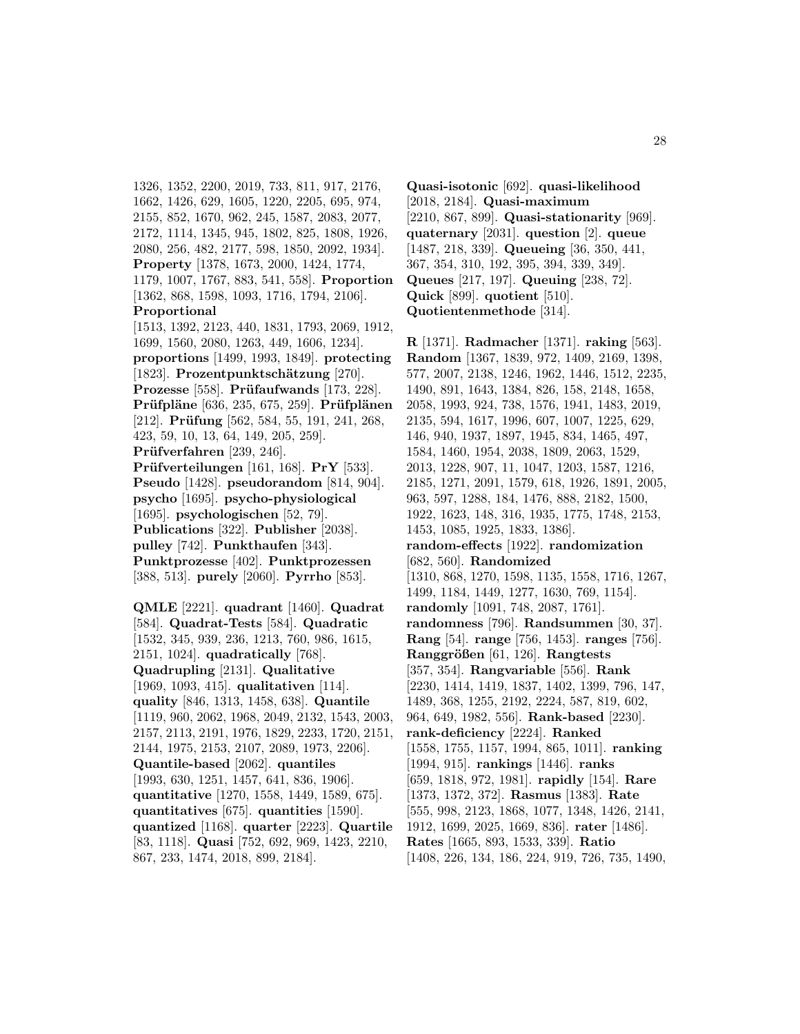1326, 1352, 2200, 2019, 733, 811, 917, 2176, 1662, 1426, 629, 1605, 1220, 2205, 695, 974, 2155, 852, 1670, 962, 245, 1587, 2083, 2077, 2172, 1114, 1345, 945, 1802, 825, 1808, 1926, 2080, 256, 482, 2177, 598, 1850, 2092, 1934]. **Property** [1378, 1673, 2000, 1424, 1774, 1179, 1007, 1767, 883, 541, 558]. **Proportion** [1362, 868, 1598, 1093, 1716, 1794, 2106]. **Proportional** [1513, 1392, 2123, 440, 1831, 1793, 2069, 1912, 1699, 1560, 2080, 1263, 449, 1606, 1234]. **proportions** [1499, 1993, 1849]. **protecting** [1823]. Prozentpunktschätzung [270]. **Prozesse** [558]. **Prüfaufwands** [173, 228]. **Prüfpläne** [636, 235, 675, 259]. **Prüfplänen** [212]. **Prüfung** [562, 584, 55, 191, 241, 268, 423, 59, 10, 13, 64, 149, 205, 259]. Prüfverfahren [239, 246]. **Pr¨ufverteilungen** [161, 168]. **PrY** [533]. **Pseudo** [1428]. **pseudorandom** [814, 904]. **psycho** [1695]. **psycho-physiological** [1695]. **psychologischen** [52, 79]. **Publications** [322]. **Publisher** [2038]. **pulley** [742]. **Punkthaufen** [343]. **Punktprozesse** [402]. **Punktprozessen** [388, 513]. **purely** [2060]. **Pyrrho** [853].

**QMLE** [2221]. **quadrant** [1460]. **Quadrat** [584]. **Quadrat-Tests** [584]. **Quadratic** [1532, 345, 939, 236, 1213, 760, 986, 1615, 2151, 1024]. **quadratically** [768]. **Quadrupling** [2131]. **Qualitative** [1969, 1093, 415]. **qualitativen** [114]. **quality** [846, 1313, 1458, 638]. **Quantile** [1119, 960, 2062, 1968, 2049, 2132, 1543, 2003, 2157, 2113, 2191, 1976, 1829, 2233, 1720, 2151, 2144, 1975, 2153, 2107, 2089, 1973, 2206]. **Quantile-based** [2062]. **quantiles** [1993, 630, 1251, 1457, 641, 836, 1906]. **quantitative** [1270, 1558, 1449, 1589, 675]. **quantitatives** [675]. **quantities** [1590]. **quantized** [1168]. **quarter** [2223]. **Quartile** [83, 1118]. **Quasi** [752, 692, 969, 1423, 2210, 867, 233, 1474, 2018, 899, 2184].

**Quasi-isotonic** [692]. **quasi-likelihood** [2018, 2184]. **Quasi-maximum** [2210, 867, 899]. **Quasi-stationarity** [969]. **quaternary** [2031]. **question** [2]. **queue** [1487, 218, 339]. **Queueing** [36, 350, 441, 367, 354, 310, 192, 395, 394, 339, 349]. **Queues** [217, 197]. **Queuing** [238, 72]. **Quick** [899]. **quotient** [510]. **Quotientenmethode** [314].

**R** [1371]. **Radmacher** [1371]. **raking** [563]. **Random** [1367, 1839, 972, 1409, 2169, 1398, 577, 2007, 2138, 1246, 1962, 1446, 1512, 2235, 1490, 891, 1643, 1384, 826, 158, 2148, 1658, 2058, 1993, 924, 738, 1576, 1941, 1483, 2019, 2135, 594, 1617, 1996, 607, 1007, 1225, 629, 146, 940, 1937, 1897, 1945, 834, 1465, 497, 1584, 1460, 1954, 2038, 1809, 2063, 1529, 2013, 1228, 907, 11, 1047, 1203, 1587, 1216, 2185, 1271, 2091, 1579, 618, 1926, 1891, 2005, 963, 597, 1288, 184, 1476, 888, 2182, 1500, 1922, 1623, 148, 316, 1935, 1775, 1748, 2153, 1453, 1085, 1925, 1833, 1386]. **random-effects** [1922]. **randomization** [682, 560]. **Randomized** [1310, 868, 1270, 1598, 1135, 1558, 1716, 1267, 1499, 1184, 1449, 1277, 1630, 769, 1154]. **randomly** [1091, 748, 2087, 1761]. **randomness** [796]. **Randsummen** [30, 37]. **Rang** [54]. **range** [756, 1453]. **ranges** [756]. **Ranggr¨oßen** [61, 126]. **Rangtests** [357, 354]. **Rangvariable** [556]. **Rank** [2230, 1414, 1419, 1837, 1402, 1399, 796, 147, 1489, 368, 1255, 2192, 2224, 587, 819, 602, 964, 649, 1982, 556]. **Rank-based** [2230]. **rank-deficiency** [2224]. **Ranked** [1558, 1755, 1157, 1994, 865, 1011]. **ranking** [1994, 915]. **rankings** [1446]. **ranks** [659, 1818, 972, 1981]. **rapidly** [154]. **Rare** [1373, 1372, 372]. **Rasmus** [1383]. **Rate** [555, 998, 2123, 1868, 1077, 1348, 1426, 2141, 1912, 1699, 2025, 1669, 836]. **rater** [1486]. **Rates** [1665, 893, 1533, 339]. **Ratio** [1408, 226, 134, 186, 224, 919, 726, 735, 1490,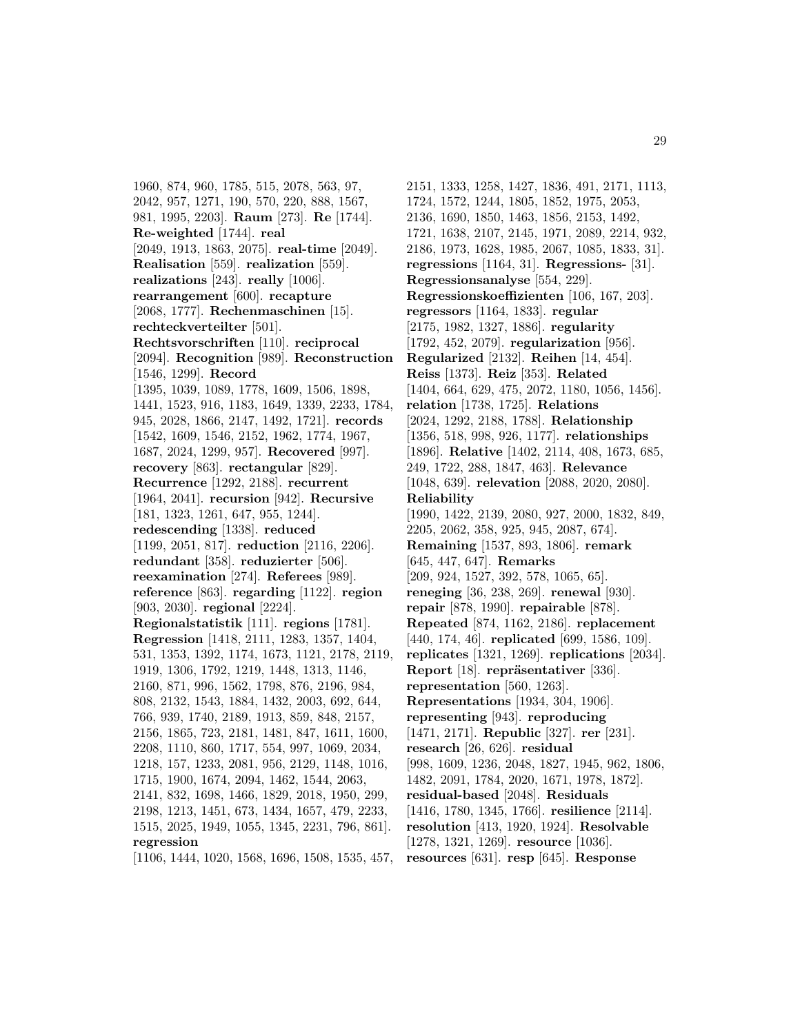1960, 874, 960, 1785, 515, 2078, 563, 97, 2042, 957, 1271, 190, 570, 220, 888, 1567, 981, 1995, 2203]. **Raum** [273]. **Re** [1744]. **Re-weighted** [1744]. **real** [2049, 1913, 1863, 2075]. **real-time** [2049]. **Realisation** [559]. **realization** [559]. **realizations** [243]. **really** [1006]. **rearrangement** [600]. **recapture** [2068, 1777]. **Rechenmaschinen** [15]. **rechteckverteilter** [501]. **Rechtsvorschriften** [110]. **reciprocal** [2094]. **Recognition** [989]. **Reconstruction** [1546, 1299]. **Record** [1395, 1039, 1089, 1778, 1609, 1506, 1898, 1441, 1523, 916, 1183, 1649, 1339, 2233, 1784, 945, 2028, 1866, 2147, 1492, 1721]. **records** [1542, 1609, 1546, 2152, 1962, 1774, 1967, 1687, 2024, 1299, 957]. **Recovered** [997]. **recovery** [863]. **rectangular** [829]. **Recurrence** [1292, 2188]. **recurrent** [1964, 2041]. **recursion** [942]. **Recursive** [181, 1323, 1261, 647, 955, 1244]. **redescending** [1338]. **reduced** [1199, 2051, 817]. **reduction** [2116, 2206]. **redundant** [358]. **reduzierter** [506]. **reexamination** [274]. **Referees** [989]. **reference** [863]. **regarding** [1122]. **region** [903, 2030]. **regional** [2224]. **Regionalstatistik** [111]. **regions** [1781]. **Regression** [1418, 2111, 1283, 1357, 1404, 531, 1353, 1392, 1174, 1673, 1121, 2178, 2119, 1919, 1306, 1792, 1219, 1448, 1313, 1146, 2160, 871, 996, 1562, 1798, 876, 2196, 984, 808, 2132, 1543, 1884, 1432, 2003, 692, 644, 766, 939, 1740, 2189, 1913, 859, 848, 2157, 2156, 1865, 723, 2181, 1481, 847, 1611, 1600, 2208, 1110, 860, 1717, 554, 997, 1069, 2034, 1218, 157, 1233, 2081, 956, 2129, 1148, 1016, 1715, 1900, 1674, 2094, 1462, 1544, 2063, 2141, 832, 1698, 1466, 1829, 2018, 1950, 299, 2198, 1213, 1451, 673, 1434, 1657, 479, 2233, 1515, 2025, 1949, 1055, 1345, 2231, 796, 861]. **regression** [1106, 1444, 1020, 1568, 1696, 1508, 1535, 457,

2151, 1333, 1258, 1427, 1836, 491, 2171, 1113, 1724, 1572, 1244, 1805, 1852, 1975, 2053, 2136, 1690, 1850, 1463, 1856, 2153, 1492, 1721, 1638, 2107, 2145, 1971, 2089, 2214, 932, 2186, 1973, 1628, 1985, 2067, 1085, 1833, 31]. **regressions** [1164, 31]. **Regressions-** [31]. **Regressionsanalyse** [554, 229]. **Regressionskoeffizienten** [106, 167, 203]. **regressors** [1164, 1833]. **regular** [2175, 1982, 1327, 1886]. **regularity** [1792, 452, 2079]. **regularization** [956]. **Regularized** [2132]. **Reihen** [14, 454]. **Reiss** [1373]. **Reiz** [353]. **Related** [1404, 664, 629, 475, 2072, 1180, 1056, 1456]. **relation** [1738, 1725]. **Relations** [2024, 1292, 2188, 1788]. **Relationship** [1356, 518, 998, 926, 1177]. **relationships** [1896]. **Relative** [1402, 2114, 408, 1673, 685, 249, 1722, 288, 1847, 463]. **Relevance** [1048, 639]. **relevation** [2088, 2020, 2080]. **Reliability** [1990, 1422, 2139, 2080, 927, 2000, 1832, 849, 2205, 2062, 358, 925, 945, 2087, 674]. **Remaining** [1537, 893, 1806]. **remark** [645, 447, 647]. **Remarks** [209, 924, 1527, 392, 578, 1065, 65]. **reneging** [36, 238, 269]. **renewal** [930]. **repair** [878, 1990]. **repairable** [878]. **Repeated** [874, 1162, 2186]. **replacement** [440, 174, 46]. **replicated** [699, 1586, 109]. **replicates** [1321, 1269]. **replications** [2034]. **Report** [18]. **repräsentativer** [336]. **representation** [560, 1263]. **Representations** [1934, 304, 1906]. **representing** [943]. **reproducing** [1471, 2171]. **Republic** [327]. **rer** [231]. **research** [26, 626]. **residual** [998, 1609, 1236, 2048, 1827, 1945, 962, 1806, 1482, 2091, 1784, 2020, 1671, 1978, 1872]. **residual-based** [2048]. **Residuals** [1416, 1780, 1345, 1766]. **resilience** [2114]. **resolution** [413, 1920, 1924]. **Resolvable** [1278, 1321, 1269]. **resource** [1036]. **resources** [631]. **resp** [645]. **Response**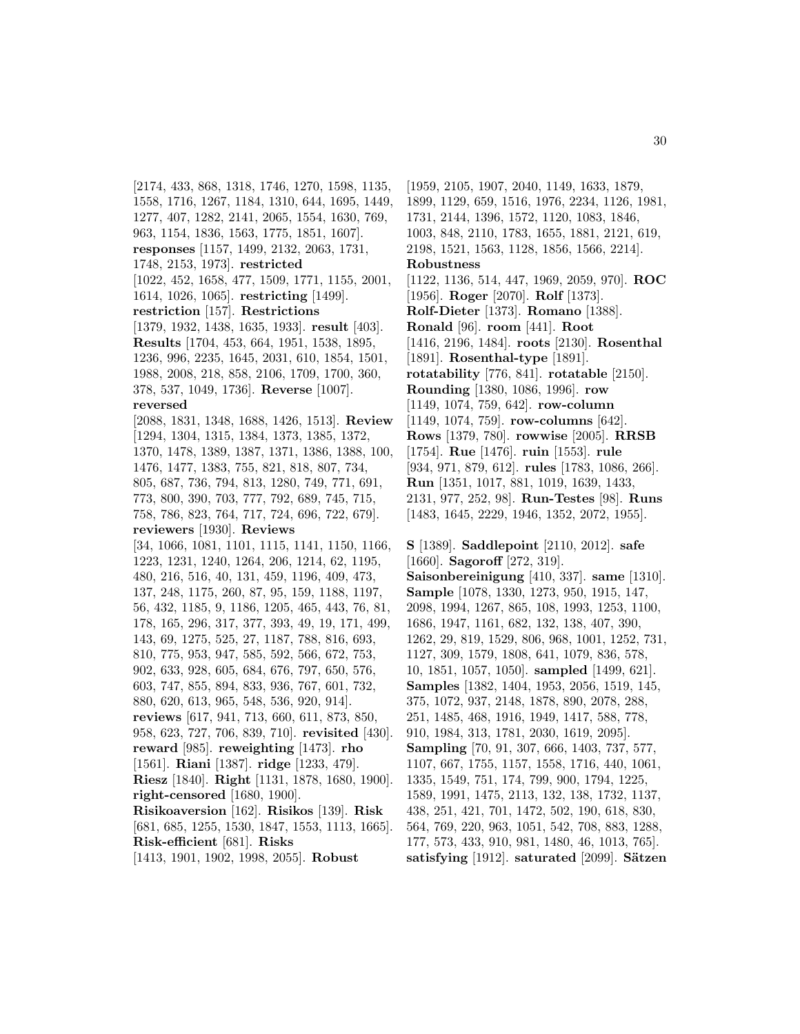[2174, 433, 868, 1318, 1746, 1270, 1598, 1135, 1558, 1716, 1267, 1184, 1310, 644, 1695, 1449, 1277, 407, 1282, 2141, 2065, 1554, 1630, 769, 963, 1154, 1836, 1563, 1775, 1851, 1607]. **responses** [1157, 1499, 2132, 2063, 1731, 1748, 2153, 1973]. **restricted** [1022, 452, 1658, 477, 1509, 1771, 1155, 2001, 1614, 1026, 1065]. **restricting** [1499]. **restriction** [157]. **Restrictions** [1379, 1932, 1438, 1635, 1933]. **result** [403]. **Results** [1704, 453, 664, 1951, 1538, 1895, 1236, 996, 2235, 1645, 2031, 610, 1854, 1501, 1988, 2008, 218, 858, 2106, 1709, 1700, 360, 378, 537, 1049, 1736]. **Reverse** [1007]. **reversed** [2088, 1831, 1348, 1688, 1426, 1513]. **Review** [1294, 1304, 1315, 1384, 1373, 1385, 1372, 1370, 1478, 1389, 1387, 1371, 1386, 1388, 100, 1476, 1477, 1383, 755, 821, 818, 807, 734, 805, 687, 736, 794, 813, 1280, 749, 771, 691, 773, 800, 390, 703, 777, 792, 689, 745, 715, 758, 786, 823, 764, 717, 724, 696, 722, 679]. **reviewers** [1930]. **Reviews** [34, 1066, 1081, 1101, 1115, 1141, 1150, 1166, 1223, 1231, 1240, 1264, 206, 1214, 62, 1195, 480, 216, 516, 40, 131, 459, 1196, 409, 473, 137, 248, 1175, 260, 87, 95, 159, 1188, 1197, 56, 432, 1185, 9, 1186, 1205, 465, 443, 76, 81, 178, 165, 296, 317, 377, 393, 49, 19, 171, 499, 143, 69, 1275, 525, 27, 1187, 788, 816, 693, 810, 775, 953, 947, 585, 592, 566, 672, 753, 902, 633, 928, 605, 684, 676, 797, 650, 576, 603, 747, 855, 894, 833, 936, 767, 601, 732, 880, 620, 613, 965, 548, 536, 920, 914]. **reviews** [617, 941, 713, 660, 611, 873, 850, 958, 623, 727, 706, 839, 710]. **revisited** [430]. **reward** [985]. **reweighting** [1473]. **rho** [1561]. **Riani** [1387]. **ridge** [1233, 479]. **Riesz** [1840]. **Right** [1131, 1878, 1680, 1900]. **right-censored** [1680, 1900]. **Risikoaversion** [162]. **Risikos** [139]. **Risk** [681, 685, 1255, 1530, 1847, 1553, 1113, 1665]. **Risk-efficient** [681]. **Risks** [1413, 1901, 1902, 1998, 2055]. **Robust**

[1959, 2105, 1907, 2040, 1149, 1633, 1879, 1899, 1129, 659, 1516, 1976, 2234, 1126, 1981, 1731, 2144, 1396, 1572, 1120, 1083, 1846, 1003, 848, 2110, 1783, 1655, 1881, 2121, 619, 2198, 1521, 1563, 1128, 1856, 1566, 2214]. **Robustness** [1122, 1136, 514, 447, 1969, 2059, 970]. **ROC** [1956]. **Roger** [2070]. **Rolf** [1373]. **Rolf-Dieter** [1373]. **Romano** [1388]. **Ronald** [96]. **room** [441]. **Root** [1416, 2196, 1484]. **roots** [2130]. **Rosenthal** [1891]. **Rosenthal-type** [1891]. **rotatability** [776, 841]. **rotatable** [2150]. **Rounding** [1380, 1086, 1996]. **row** [1149, 1074, 759, 642]. **row-column** [1149, 1074, 759]. **row-columns** [642]. **Rows** [1379, 780]. **rowwise** [2005]. **RRSB** [1754]. **Rue** [1476]. **ruin** [1553]. **rule** [934, 971, 879, 612]. **rules** [1783, 1086, 266]. **Run** [1351, 1017, 881, 1019, 1639, 1433, 2131, 977, 252, 98]. **Run-Testes** [98]. **Runs** [1483, 1645, 2229, 1946, 1352, 2072, 1955].

**S** [1389]. **Saddlepoint** [2110, 2012]. **safe** [1660]. **Sagoroff** [272, 319]. **Saisonbereinigung** [410, 337]. **same** [1310]. **Sample** [1078, 1330, 1273, 950, 1915, 147, 2098, 1994, 1267, 865, 108, 1993, 1253, 1100, 1686, 1947, 1161, 682, 132, 138, 407, 390, 1262, 29, 819, 1529, 806, 968, 1001, 1252, 731, 1127, 309, 1579, 1808, 641, 1079, 836, 578, 10, 1851, 1057, 1050]. **sampled** [1499, 621]. **Samples** [1382, 1404, 1953, 2056, 1519, 145, 375, 1072, 937, 2148, 1878, 890, 2078, 288, 251, 1485, 468, 1916, 1949, 1417, 588, 778, 910, 1984, 313, 1781, 2030, 1619, 2095]. **Sampling** [70, 91, 307, 666, 1403, 737, 577, 1107, 667, 1755, 1157, 1558, 1716, 440, 1061, 1335, 1549, 751, 174, 799, 900, 1794, 1225, 1589, 1991, 1475, 2113, 132, 138, 1732, 1137, 438, 251, 421, 701, 1472, 502, 190, 618, 830, 564, 769, 220, 963, 1051, 542, 708, 883, 1288, 177, 573, 433, 910, 981, 1480, 46, 1013, 765]. **satisfying** [1912]. **saturated** [2099]. **Sätzen**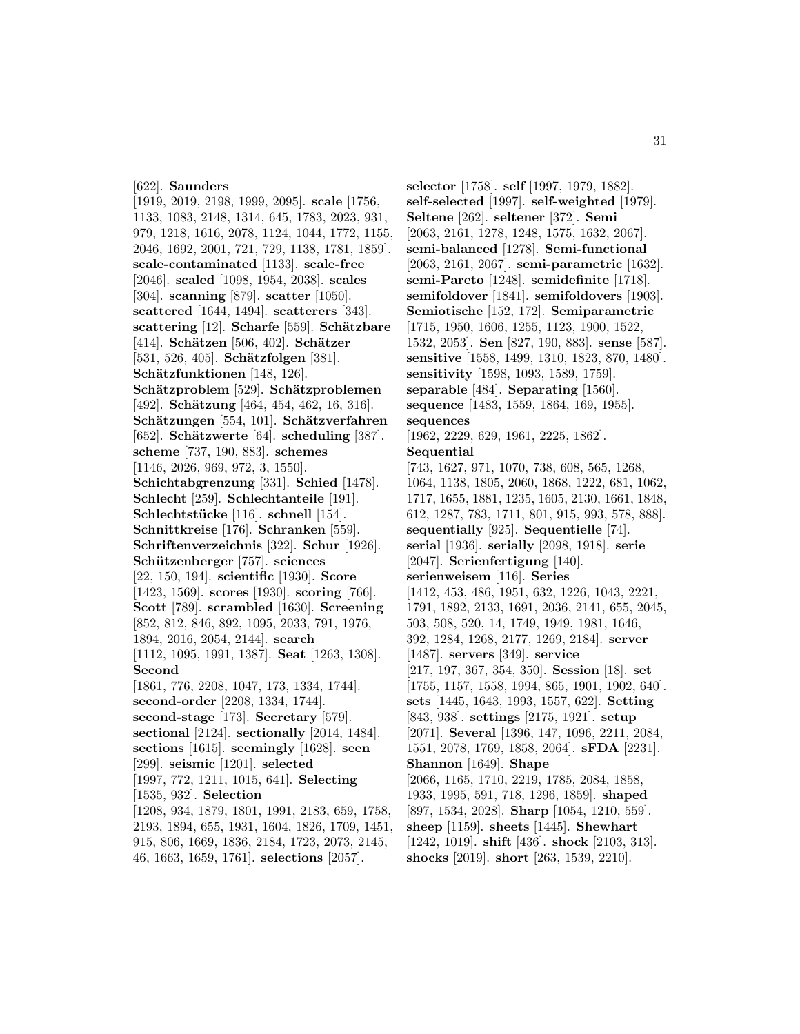#### [622]. **Saunders**

[1919, 2019, 2198, 1999, 2095]. **scale** [1756, 1133, 1083, 2148, 1314, 645, 1783, 2023, 931, 979, 1218, 1616, 2078, 1124, 1044, 1772, 1155, 2046, 1692, 2001, 721, 729, 1138, 1781, 1859]. **scale-contaminated** [1133]. **scale-free** [2046]. **scaled** [1098, 1954, 2038]. **scales** [304]. **scanning** [879]. **scatter** [1050]. **scattered** [1644, 1494]. **scatterers** [343]. **scattering** [12]. **Scharfe** [559]. **Schätzbare** [414]. **Schätzen** [506, 402]. **Schätzer** [531, 526, 405]. **Schätzfolgen** [381]. **Schätzfunktionen** [148, 126]. **Schätzproblem** [529]. **Schätzproblemen** [492]. **Schätzung** [464, 454, 462, 16, 316]. **Sch¨atzungen** [554, 101]. **Sch¨atzverfahren** [652]. **Schätzwerte** [64]. **scheduling** [387]. **scheme** [737, 190, 883]. **schemes** [1146, 2026, 969, 972, 3, 1550]. **Schichtabgrenzung** [331]. **Schied** [1478]. **Schlecht** [259]. **Schlechtanteile** [191]. **Schlechtst¨ucke** [116]. **schnell** [154]. **Schnittkreise** [176]. **Schranken** [559]. **Schriftenverzeichnis** [322]. **Schur** [1926]. **Sch¨utzenberger** [757]. **sciences** [22, 150, 194]. **scientific** [1930]. **Score** [1423, 1569]. **scores** [1930]. **scoring** [766]. **Scott** [789]. **scrambled** [1630]. **Screening** [852, 812, 846, 892, 1095, 2033, 791, 1976, 1894, 2016, 2054, 2144]. **search** [1112, 1095, 1991, 1387]. **Seat** [1263, 1308]. **Second** [1861, 776, 2208, 1047, 173, 1334, 1744]. **second-order** [2208, 1334, 1744]. **second-stage** [173]. **Secretary** [579]. **sectional** [2124]. **sectionally** [2014, 1484]. **sections** [1615]. **seemingly** [1628]. **seen** [299]. **seismic** [1201]. **selected** [1997, 772, 1211, 1015, 641]. **Selecting** [1535, 932]. **Selection** [1208, 934, 1879, 1801, 1991, 2183, 659, 1758, 2193, 1894, 655, 1931, 1604, 1826, 1709, 1451, 915, 806, 1669, 1836, 2184, 1723, 2073, 2145, 46, 1663, 1659, 1761]. **selections** [2057].

**selector** [1758]. **self** [1997, 1979, 1882]. **self-selected** [1997]. **self-weighted** [1979]. **Seltene** [262]. **seltener** [372]. **Semi** [2063, 2161, 1278, 1248, 1575, 1632, 2067]. **semi-balanced** [1278]. **Semi-functional** [2063, 2161, 2067]. **semi-parametric** [1632]. **semi-Pareto** [1248]. **semidefinite** [1718]. **semifoldover** [1841]. **semifoldovers** [1903]. **Semiotische** [152, 172]. **Semiparametric** [1715, 1950, 1606, 1255, 1123, 1900, 1522, 1532, 2053]. **Sen** [827, 190, 883]. **sense** [587]. **sensitive** [1558, 1499, 1310, 1823, 870, 1480]. **sensitivity** [1598, 1093, 1589, 1759]. **separable** [484]. **Separating** [1560]. **sequence** [1483, 1559, 1864, 169, 1955]. **sequences** [1962, 2229, 629, 1961, 2225, 1862]. **Sequential** [743, 1627, 971, 1070, 738, 608, 565, 1268, 1064, 1138, 1805, 2060, 1868, 1222, 681, 1062, 1717, 1655, 1881, 1235, 1605, 2130, 1661, 1848, 612, 1287, 783, 1711, 801, 915, 993, 578, 888]. **sequentially** [925]. **Sequentielle** [74]. **serial** [1936]. **serially** [2098, 1918]. **serie** [2047]. **Serienfertigung** [140]. **serienweisem** [116]. **Series** [1412, 453, 486, 1951, 632, 1226, 1043, 2221, 1791, 1892, 2133, 1691, 2036, 2141, 655, 2045, 503, 508, 520, 14, 1749, 1949, 1981, 1646, 392, 1284, 1268, 2177, 1269, 2184]. **server** [1487]. **servers** [349]. **service** [217, 197, 367, 354, 350]. **Session** [18]. **set** [1755, 1157, 1558, 1994, 865, 1901, 1902, 640]. **sets** [1445, 1643, 1993, 1557, 622]. **Setting** [843, 938]. **settings** [2175, 1921]. **setup** [2071]. **Several** [1396, 147, 1096, 2211, 2084, 1551, 2078, 1769, 1858, 2064]. **sFDA** [2231]. **Shannon** [1649]. **Shape** [2066, 1165, 1710, 2219, 1785, 2084, 1858, 1933, 1995, 591, 718, 1296, 1859]. **shaped** [897, 1534, 2028]. **Sharp** [1054, 1210, 559]. **sheep** [1159]. **sheets** [1445]. **Shewhart** [1242, 1019]. **shift** [436]. **shock** [2103, 313]. **shocks** [2019]. **short** [263, 1539, 2210].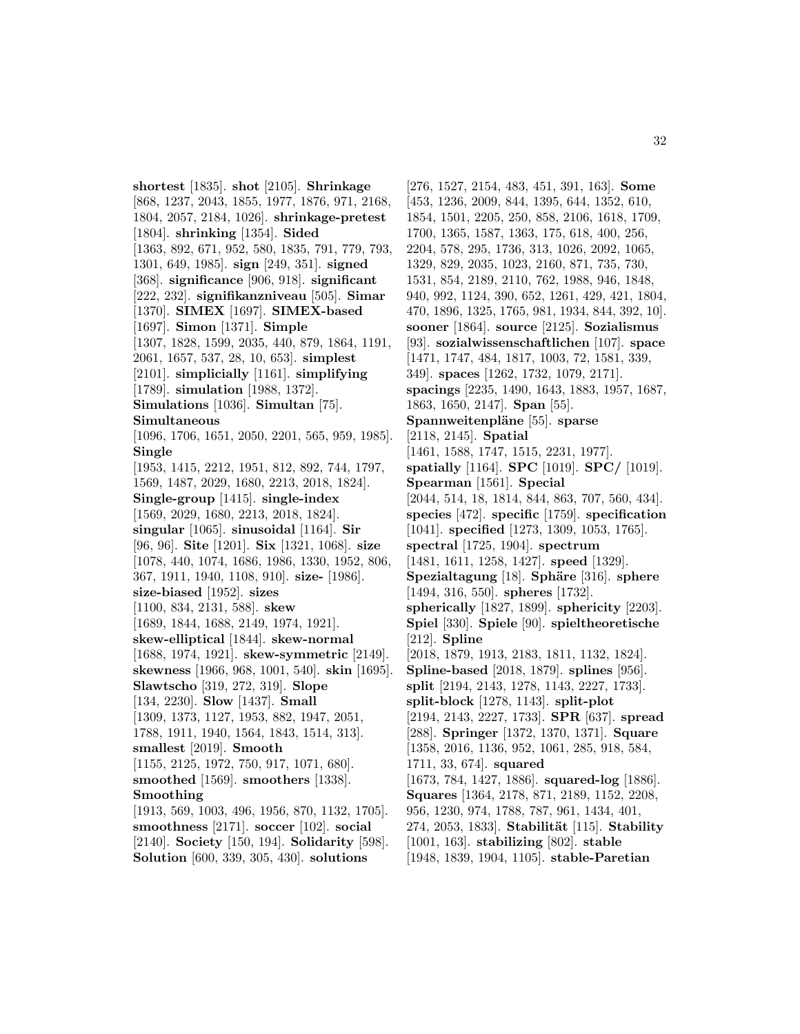**shortest** [1835]. **shot** [2105]. **Shrinkage** [868, 1237, 2043, 1855, 1977, 1876, 971, 2168, 1804, 2057, 2184, 1026]. **shrinkage-pretest** [1804]. **shrinking** [1354]. **Sided** [1363, 892, 671, 952, 580, 1835, 791, 779, 793, 1301, 649, 1985]. **sign** [249, 351]. **signed** [368]. **significance** [906, 918]. **significant** [222, 232]. **signifikanzniveau** [505]. **Simar** [1370]. **SIMEX** [1697]. **SIMEX-based** [1697]. **Simon** [1371]. **Simple** [1307, 1828, 1599, 2035, 440, 879, 1864, 1191, 2061, 1657, 537, 28, 10, 653]. **simplest** [2101]. **simplicially** [1161]. **simplifying** [1789]. **simulation** [1988, 1372]. **Simulations** [1036]. **Simultan** [75]. **Simultaneous** [1096, 1706, 1651, 2050, 2201, 565, 959, 1985]. **Single** [1953, 1415, 2212, 1951, 812, 892, 744, 1797, 1569, 1487, 2029, 1680, 2213, 2018, 1824]. **Single-group** [1415]. **single-index** [1569, 2029, 1680, 2213, 2018, 1824]. **singular** [1065]. **sinusoidal** [1164]. **Sir** [96, 96]. **Site** [1201]. **Six** [1321, 1068]. **size** [1078, 440, 1074, 1686, 1986, 1330, 1952, 806, 367, 1911, 1940, 1108, 910]. **size-** [1986]. **size-biased** [1952]. **sizes** [1100, 834, 2131, 588]. **skew** [1689, 1844, 1688, 2149, 1974, 1921]. **skew-elliptical** [1844]. **skew-normal** [1688, 1974, 1921]. **skew-symmetric** [2149]. **skewness** [1966, 968, 1001, 540]. **skin** [1695]. **Slawtscho** [319, 272, 319]. **Slope** [134, 2230]. **Slow** [1437]. **Small** [1309, 1373, 1127, 1953, 882, 1947, 2051, 1788, 1911, 1940, 1564, 1843, 1514, 313]. **smallest** [2019]. **Smooth** [1155, 2125, 1972, 750, 917, 1071, 680]. **smoothed** [1569]. **smoothers** [1338]. **Smoothing** [1913, 569, 1003, 496, 1956, 870, 1132, 1705]. **smoothness** [2171]. **soccer** [102]. **social** [2140]. **Society** [150, 194]. **Solidarity** [598]. **Solution** [600, 339, 305, 430]. **solutions**

[276, 1527, 2154, 483, 451, 391, 163]. **Some** [453, 1236, 2009, 844, 1395, 644, 1352, 610, 1854, 1501, 2205, 250, 858, 2106, 1618, 1709, 1700, 1365, 1587, 1363, 175, 618, 400, 256, 2204, 578, 295, 1736, 313, 1026, 2092, 1065, 1329, 829, 2035, 1023, 2160, 871, 735, 730, 1531, 854, 2189, 2110, 762, 1988, 946, 1848, 940, 992, 1124, 390, 652, 1261, 429, 421, 1804, 470, 1896, 1325, 1765, 981, 1934, 844, 392, 10]. **sooner** [1864]. **source** [2125]. **Sozialismus** [93]. **sozialwissenschaftlichen** [107]. **space** [1471, 1747, 484, 1817, 1003, 72, 1581, 339, 349]. **spaces** [1262, 1732, 1079, 2171]. **spacings** [2235, 1490, 1643, 1883, 1957, 1687, 1863, 1650, 2147]. **Span** [55]. **Spannweitenpläne** [55]. **sparse** [2118, 2145]. **Spatial** [1461, 1588, 1747, 1515, 2231, 1977]. **spatially** [1164]. **SPC** [1019]. **SPC/** [1019]. **Spearman** [1561]. **Special** [2044, 514, 18, 1814, 844, 863, 707, 560, 434]. **species** [472]. **specific** [1759]. **specification** [1041]. **specified** [1273, 1309, 1053, 1765]. **spectral** [1725, 1904]. **spectrum** [1481, 1611, 1258, 1427]. **speed** [1329]. **Spezialtagung** [18]. **Sphäre** [316]. **sphere** [1494, 316, 550]. **spheres** [1732]. **spherically** [1827, 1899]. **sphericity** [2203]. **Spiel** [330]. **Spiele** [90]. **spieltheoretische** [212]. **Spline** [2018, 1879, 1913, 2183, 1811, 1132, 1824]. **Spline-based** [2018, 1879]. **splines** [956]. **split** [2194, 2143, 1278, 1143, 2227, 1733]. **split-block** [1278, 1143]. **split-plot** [2194, 2143, 2227, 1733]. **SPR** [637]. **spread** [288]. **Springer** [1372, 1370, 1371]. **Square** [1358, 2016, 1136, 952, 1061, 285, 918, 584, 1711, 33, 674]. **squared** [1673, 784, 1427, 1886]. **squared-log** [1886]. **Squares** [1364, 2178, 871, 2189, 1152, 2208, 956, 1230, 974, 1788, 787, 961, 1434, 401, 274, 2053, 1833]. **Stabilit¨at** [115]. **Stability** [1001, 163]. **stabilizing** [802]. **stable** [1948, 1839, 1904, 1105]. **stable-Paretian**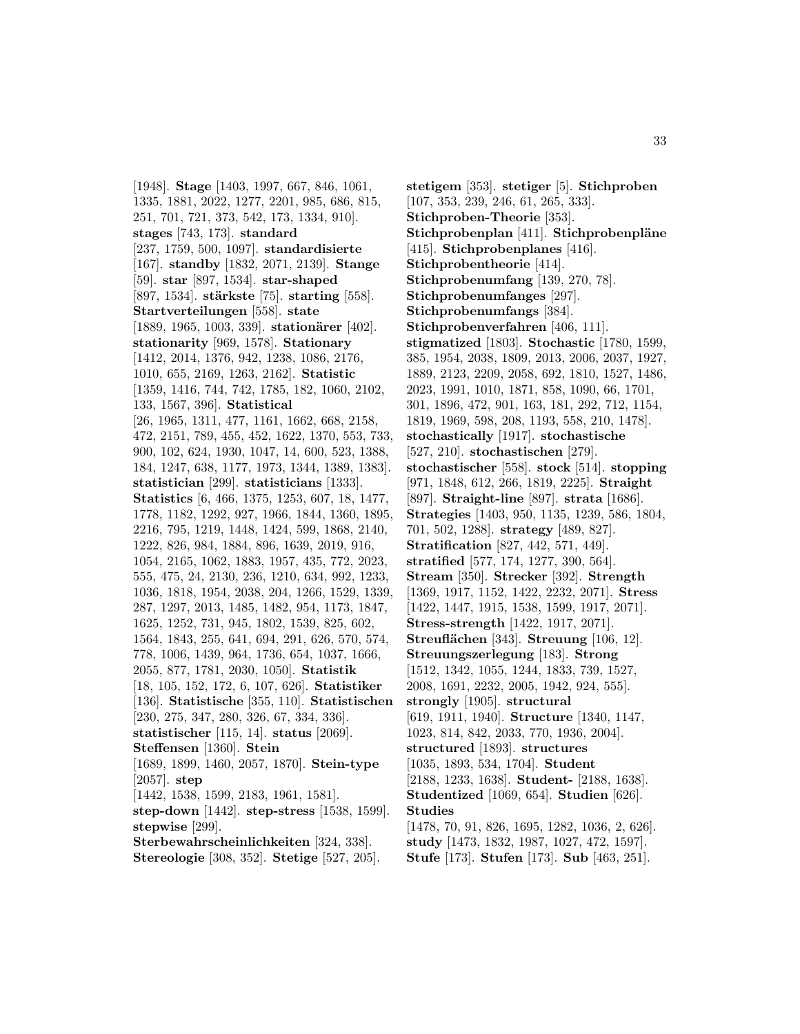[1948]. **Stage** [1403, 1997, 667, 846, 1061, 1335, 1881, 2022, 1277, 2201, 985, 686, 815, 251, 701, 721, 373, 542, 173, 1334, 910]. **stages** [743, 173]. **standard** [237, 1759, 500, 1097]. **standardisierte** [167]. **standby** [1832, 2071, 2139]. **Stange** [59]. **star** [897, 1534]. **star-shaped** [897, 1534]. **stärkste** [75]. **starting** [558]. **Startverteilungen** [558]. **state** [1889, 1965, 1003, 339]. **stationärer** [402]. **stationarity** [969, 1578]. **Stationary** [1412, 2014, 1376, 942, 1238, 1086, 2176, 1010, 655, 2169, 1263, 2162]. **Statistic** [1359, 1416, 744, 742, 1785, 182, 1060, 2102, 133, 1567, 396]. **Statistical** [26, 1965, 1311, 477, 1161, 1662, 668, 2158, 472, 2151, 789, 455, 452, 1622, 1370, 553, 733, 900, 102, 624, 1930, 1047, 14, 600, 523, 1388, 184, 1247, 638, 1177, 1973, 1344, 1389, 1383]. **statistician** [299]. **statisticians** [1333]. **Statistics** [6, 466, 1375, 1253, 607, 18, 1477, 1778, 1182, 1292, 927, 1966, 1844, 1360, 1895, 2216, 795, 1219, 1448, 1424, 599, 1868, 2140, 1222, 826, 984, 1884, 896, 1639, 2019, 916, 1054, 2165, 1062, 1883, 1957, 435, 772, 2023, 555, 475, 24, 2130, 236, 1210, 634, 992, 1233, 1036, 1818, 1954, 2038, 204, 1266, 1529, 1339, 287, 1297, 2013, 1485, 1482, 954, 1173, 1847, 1625, 1252, 731, 945, 1802, 1539, 825, 602, 1564, 1843, 255, 641, 694, 291, 626, 570, 574, 778, 1006, 1439, 964, 1736, 654, 1037, 1666, 2055, 877, 1781, 2030, 1050]. **Statistik** [18, 105, 152, 172, 6, 107, 626]. **Statistiker** [136]. **Statistische** [355, 110]. **Statistischen** [230, 275, 347, 280, 326, 67, 334, 336]. **statistischer** [115, 14]. **status** [2069]. **Steffensen** [1360]. **Stein** [1689, 1899, 1460, 2057, 1870]. **Stein-type** [2057]. **step** [1442, 1538, 1599, 2183, 1961, 1581]. **step-down** [1442]. **step-stress** [1538, 1599]. **stepwise** [299]. **Sterbewahrscheinlichkeiten** [324, 338]. **Stereologie** [308, 352]. **Stetige** [527, 205].

**stetigem** [353]. **stetiger** [5]. **Stichproben** [107, 353, 239, 246, 61, 265, 333]. **Stichproben-Theorie** [353]. **Stichprobenplan** [411]. **Stichprobenpläne** [415]. **Stichprobenplanes** [416]. **Stichprobentheorie** [414]. **Stichprobenumfang** [139, 270, 78]. **Stichprobenumfanges** [297]. **Stichprobenumfangs** [384]. **Stichprobenverfahren** [406, 111]. **stigmatized** [1803]. **Stochastic** [1780, 1599, 385, 1954, 2038, 1809, 2013, 2006, 2037, 1927, 1889, 2123, 2209, 2058, 692, 1810, 1527, 1486, 2023, 1991, 1010, 1871, 858, 1090, 66, 1701, 301, 1896, 472, 901, 163, 181, 292, 712, 1154, 1819, 1969, 598, 208, 1193, 558, 210, 1478]. **stochastically** [1917]. **stochastische** [527, 210]. **stochastischen** [279]. **stochastischer** [558]. **stock** [514]. **stopping** [971, 1848, 612, 266, 1819, 2225]. **Straight** [897]. **Straight-line** [897]. **strata** [1686]. **Strategies** [1403, 950, 1135, 1239, 586, 1804, 701, 502, 1288]. **strategy** [489, 827]. **Stratification** [827, 442, 571, 449]. **stratified** [577, 174, 1277, 390, 564]. **Stream** [350]. **Strecker** [392]. **Strength** [1369, 1917, 1152, 1422, 2232, 2071]. **Stress** [1422, 1447, 1915, 1538, 1599, 1917, 2071]. **Stress-strength** [1422, 1917, 2071]. **Streufl¨achen** [343]. **Streuung** [106, 12]. **Streuungszerlegung** [183]. **Strong** [1512, 1342, 1055, 1244, 1833, 739, 1527, 2008, 1691, 2232, 2005, 1942, 924, 555]. **strongly** [1905]. **structural** [619, 1911, 1940]. **Structure** [1340, 1147, 1023, 814, 842, 2033, 770, 1936, 2004]. **structured** [1893]. **structures** [1035, 1893, 534, 1704]. **Student** [2188, 1233, 1638]. **Student-** [2188, 1638]. **Studentized** [1069, 654]. **Studien** [626]. **Studies** [1478, 70, 91, 826, 1695, 1282, 1036, 2, 626]. **study** [1473, 1832, 1987, 1027, 472, 1597]. **Stufe** [173]. **Stufen** [173]. **Sub** [463, 251].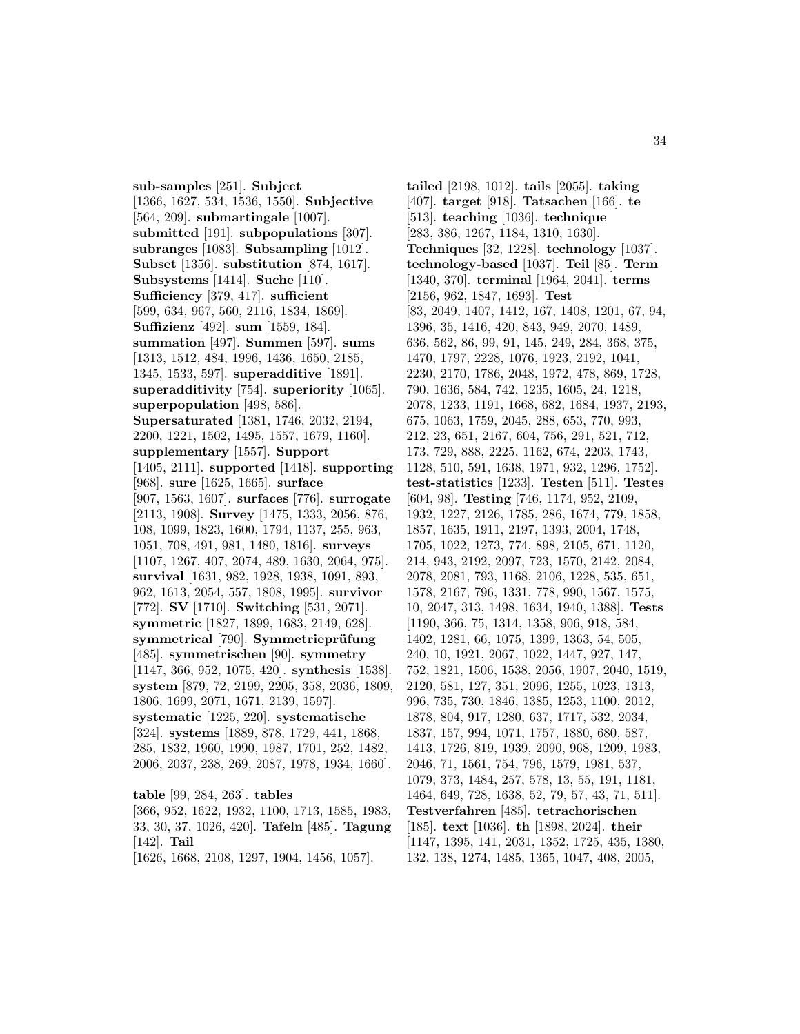**sub-samples** [251]. **Subject** [1366, 1627, 534, 1536, 1550]. **Subjective** [564, 209]. **submartingale** [1007]. **submitted** [191]. **subpopulations** [307]. **subranges** [1083]. **Subsampling** [1012]. **Subset** [1356]. **substitution** [874, 1617]. **Subsystems** [1414]. **Suche** [110]. **Sufficiency** [379, 417]. **sufficient** [599, 634, 967, 560, 2116, 1834, 1869]. **Suffizienz** [492]. **sum** [1559, 184]. **summation** [497]. **Summen** [597]. **sums** [1313, 1512, 484, 1996, 1436, 1650, 2185, 1345, 1533, 597]. **superadditive** [1891]. **superadditivity** [754]. **superiority** [1065]. **superpopulation** [498, 586]. **Supersaturated** [1381, 1746, 2032, 2194, 2200, 1221, 1502, 1495, 1557, 1679, 1160]. **supplementary** [1557]. **Support** [1405, 2111]. **supported** [1418]. **supporting** [968]. **sure** [1625, 1665]. **surface** [907, 1563, 1607]. **surfaces** [776]. **surrogate** [2113, 1908]. **Survey** [1475, 1333, 2056, 876, 108, 1099, 1823, 1600, 1794, 1137, 255, 963, 1051, 708, 491, 981, 1480, 1816]. **surveys** [1107, 1267, 407, 2074, 489, 1630, 2064, 975]. **survival** [1631, 982, 1928, 1938, 1091, 893, 962, 1613, 2054, 557, 1808, 1995]. **survivor** [772]. **SV** [1710]. **Switching** [531, 2071]. **symmetric** [1827, 1899, 1683, 2149, 628]. symmetrical<sup>[790]</sup>. Symmetrieprüfung [485]. **symmetrischen** [90]. **symmetry** [1147, 366, 952, 1075, 420]. **synthesis** [1538]. **system** [879, 72, 2199, 2205, 358, 2036, 1809, 1806, 1699, 2071, 1671, 2139, 1597]. **systematic** [1225, 220]. **systematische** [324]. **systems** [1889, 878, 1729, 441, 1868, 285, 1832, 1960, 1990, 1987, 1701, 252, 1482, 2006, 2037, 238, 269, 2087, 1978, 1934, 1660]. **table** [99, 284, 263]. **tables**

[366, 952, 1622, 1932, 1100, 1713, 1585, 1983, 33, 30, 37, 1026, 420]. **Tafeln** [485]. **Tagung** [142]. **Tail** [1626, 1668, 2108, 1297, 1904, 1456, 1057].

**tailed** [2198, 1012]. **tails** [2055]. **taking** [407]. **target** [918]. **Tatsachen** [166]. **te** [513]. **teaching** [1036]. **technique** [283, 386, 1267, 1184, 1310, 1630]. **Techniques** [32, 1228]. **technology** [1037]. **technology-based** [1037]. **Teil** [85]. **Term** [1340, 370]. **terminal** [1964, 2041]. **terms** [2156, 962, 1847, 1693]. **Test** [83, 2049, 1407, 1412, 167, 1408, 1201, 67, 94, 1396, 35, 1416, 420, 843, 949, 2070, 1489, 636, 562, 86, 99, 91, 145, 249, 284, 368, 375, 1470, 1797, 2228, 1076, 1923, 2192, 1041, 2230, 2170, 1786, 2048, 1972, 478, 869, 1728, 790, 1636, 584, 742, 1235, 1605, 24, 1218, 2078, 1233, 1191, 1668, 682, 1684, 1937, 2193, 675, 1063, 1759, 2045, 288, 653, 770, 993, 212, 23, 651, 2167, 604, 756, 291, 521, 712, 173, 729, 888, 2225, 1162, 674, 2203, 1743, 1128, 510, 591, 1638, 1971, 932, 1296, 1752]. **test-statistics** [1233]. **Testen** [511]. **Testes** [604, 98]. **Testing** [746, 1174, 952, 2109, 1932, 1227, 2126, 1785, 286, 1674, 779, 1858, 1857, 1635, 1911, 2197, 1393, 2004, 1748, 1705, 1022, 1273, 774, 898, 2105, 671, 1120, 214, 943, 2192, 2097, 723, 1570, 2142, 2084, 2078, 2081, 793, 1168, 2106, 1228, 535, 651, 1578, 2167, 796, 1331, 778, 990, 1567, 1575, 10, 2047, 313, 1498, 1634, 1940, 1388]. **Tests** [1190, 366, 75, 1314, 1358, 906, 918, 584, 1402, 1281, 66, 1075, 1399, 1363, 54, 505, 240, 10, 1921, 2067, 1022, 1447, 927, 147, 752, 1821, 1506, 1538, 2056, 1907, 2040, 1519, 2120, 581, 127, 351, 2096, 1255, 1023, 1313, 996, 735, 730, 1846, 1385, 1253, 1100, 2012, 1878, 804, 917, 1280, 637, 1717, 532, 2034, 1837, 157, 994, 1071, 1757, 1880, 680, 587, 1413, 1726, 819, 1939, 2090, 968, 1209, 1983, 2046, 71, 1561, 754, 796, 1579, 1981, 537, 1079, 373, 1484, 257, 578, 13, 55, 191, 1181, 1464, 649, 728, 1638, 52, 79, 57, 43, 71, 511]. **Testverfahren** [485]. **tetrachorischen** [185]. **text** [1036]. **th** [1898, 2024]. **their** [1147, 1395, 141, 2031, 1352, 1725, 435, 1380, 132, 138, 1274, 1485, 1365, 1047, 408, 2005,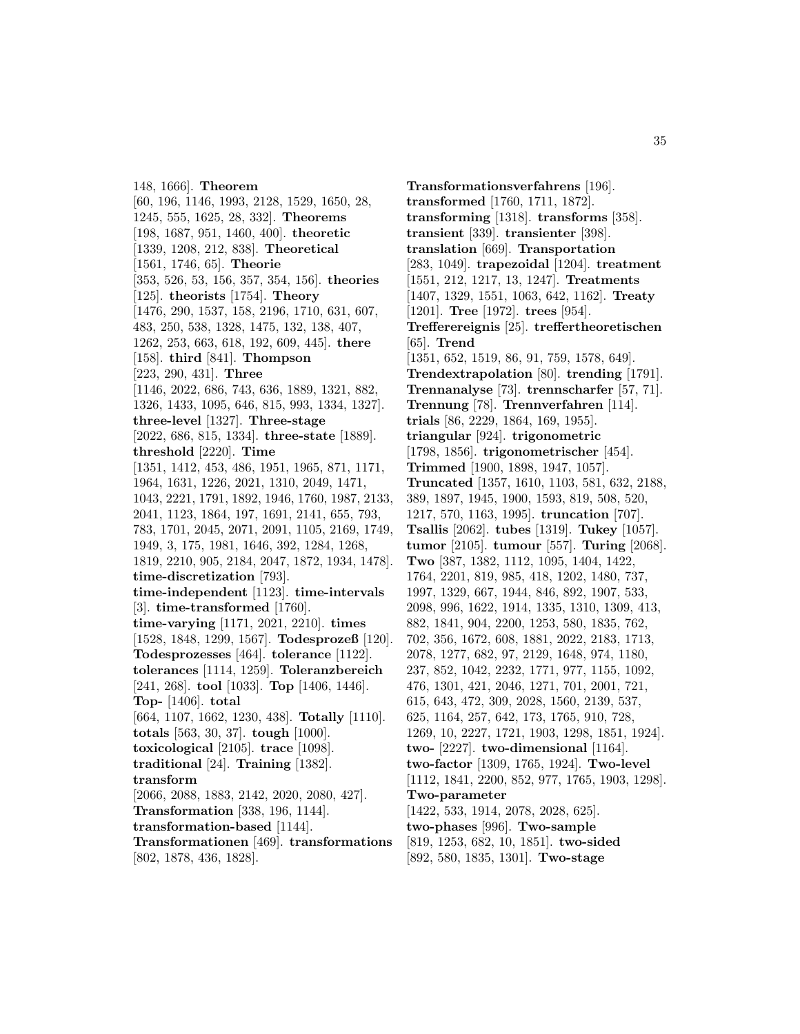148, 1666]. **Theorem** [60, 196, 1146, 1993, 2128, 1529, 1650, 28, 1245, 555, 1625, 28, 332]. **Theorems** [198, 1687, 951, 1460, 400]. **theoretic** [1339, 1208, 212, 838]. **Theoretical** [1561, 1746, 65]. **Theorie** [353, 526, 53, 156, 357, 354, 156]. **theories** [125]. **theorists** [1754]. **Theory** [1476, 290, 1537, 158, 2196, 1710, 631, 607, 483, 250, 538, 1328, 1475, 132, 138, 407, 1262, 253, 663, 618, 192, 609, 445]. **there** [158]. **third** [841]. **Thompson** [223, 290, 431]. **Three** [1146, 2022, 686, 743, 636, 1889, 1321, 882, 1326, 1433, 1095, 646, 815, 993, 1334, 1327]. **three-level** [1327]. **Three-stage** [2022, 686, 815, 1334]. **three-state** [1889]. **threshold** [2220]. **Time** [1351, 1412, 453, 486, 1951, 1965, 871, 1171, 1964, 1631, 1226, 2021, 1310, 2049, 1471, 1043, 2221, 1791, 1892, 1946, 1760, 1987, 2133, 2041, 1123, 1864, 197, 1691, 2141, 655, 793, 783, 1701, 2045, 2071, 2091, 1105, 2169, 1749, 1949, 3, 175, 1981, 1646, 392, 1284, 1268, 1819, 2210, 905, 2184, 2047, 1872, 1934, 1478]. **time-discretization** [793]. **time-independent** [1123]. **time-intervals** [3]. **time-transformed** [1760]. **time-varying** [1171, 2021, 2210]. **times** [1528, 1848, 1299, 1567]. **Todesprozeß** [120]. **Todesprozesses** [464]. **tolerance** [1122]. **tolerances** [1114, 1259]. **Toleranzbereich** [241, 268]. **tool** [1033]. **Top** [1406, 1446]. **Top-** [1406]. **total** [664, 1107, 1662, 1230, 438]. **Totally** [1110]. **totals** [563, 30, 37]. **tough** [1000]. **toxicological** [2105]. **trace** [1098]. **traditional** [24]. **Training** [1382]. **transform** [2066, 2088, 1883, 2142, 2020, 2080, 427]. **Transformation** [338, 196, 1144]. **transformation-based** [1144]. **Transformationen** [469]. **transformations** [802, 1878, 436, 1828].

**Transformationsverfahrens** [196]. **transformed** [1760, 1711, 1872]. **transforming** [1318]. **transforms** [358]. **transient** [339]. **transienter** [398]. **translation** [669]. **Transportation** [283, 1049]. **trapezoidal** [1204]. **treatment** [1551, 212, 1217, 13, 1247]. **Treatments** [1407, 1329, 1551, 1063, 642, 1162]. **Treaty** [1201]. **Tree** [1972]. **trees** [954]. **Trefferereignis** [25]. **treffertheoretischen** [65]. **Trend** [1351, 652, 1519, 86, 91, 759, 1578, 649]. **Trendextrapolation** [80]. **trending** [1791]. **Trennanalyse** [73]. **trennscharfer** [57, 71]. **Trennung** [78]. **Trennverfahren** [114]. **trials** [86, 2229, 1864, 169, 1955]. **triangular** [924]. **trigonometric** [1798, 1856]. **trigonometrischer** [454]. **Trimmed** [1900, 1898, 1947, 1057]. **Truncated** [1357, 1610, 1103, 581, 632, 2188, 389, 1897, 1945, 1900, 1593, 819, 508, 520, 1217, 570, 1163, 1995]. **truncation** [707]. **Tsallis** [2062]. **tubes** [1319]. **Tukey** [1057]. **tumor** [2105]. **tumour** [557]. **Turing** [2068]. **Two** [387, 1382, 1112, 1095, 1404, 1422, 1764, 2201, 819, 985, 418, 1202, 1480, 737, 1997, 1329, 667, 1944, 846, 892, 1907, 533, 2098, 996, 1622, 1914, 1335, 1310, 1309, 413, 882, 1841, 904, 2200, 1253, 580, 1835, 762, 702, 356, 1672, 608, 1881, 2022, 2183, 1713, 2078, 1277, 682, 97, 2129, 1648, 974, 1180, 237, 852, 1042, 2232, 1771, 977, 1155, 1092, 476, 1301, 421, 2046, 1271, 701, 2001, 721, 615, 643, 472, 309, 2028, 1560, 2139, 537, 625, 1164, 257, 642, 173, 1765, 910, 728, 1269, 10, 2227, 1721, 1903, 1298, 1851, 1924]. **two-** [2227]. **two-dimensional** [1164]. **two-factor** [1309, 1765, 1924]. **Two-level** [1112, 1841, 2200, 852, 977, 1765, 1903, 1298]. **Two-parameter** [1422, 533, 1914, 2078, 2028, 625]. **two-phases** [996]. **Two-sample** [819, 1253, 682, 10, 1851]. **two-sided** [892, 580, 1835, 1301]. **Two-stage**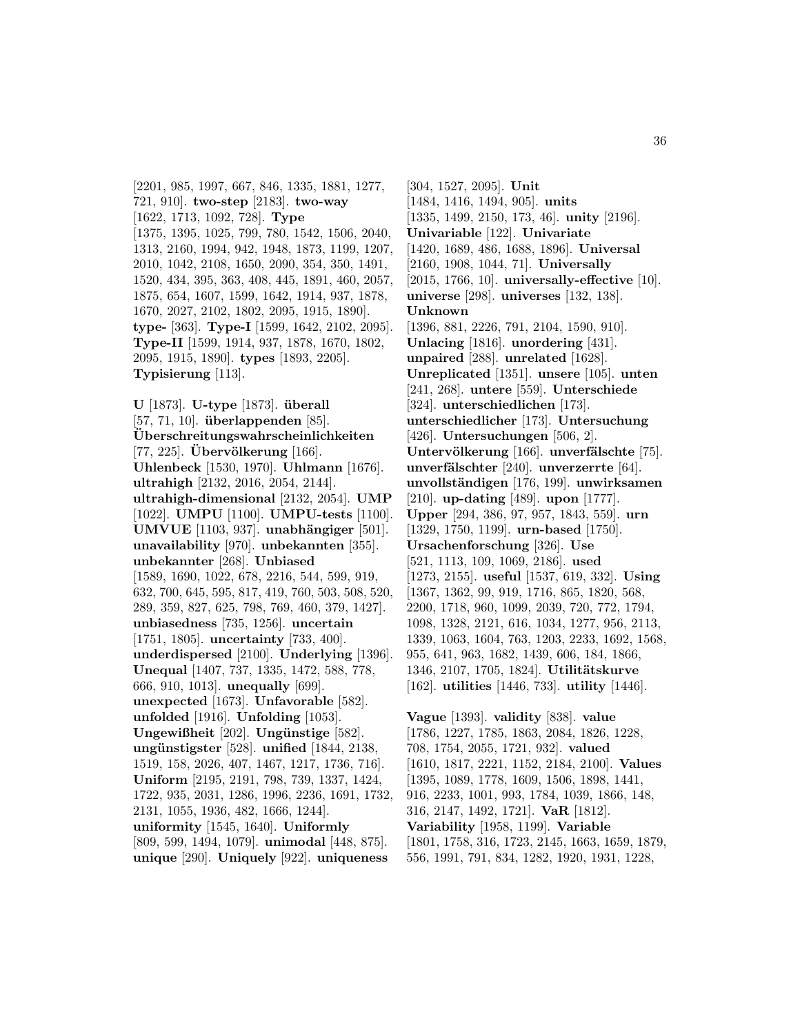[2201, 985, 1997, 667, 846, 1335, 1881, 1277, 721, 910]. **two-step** [2183]. **two-way** [1622, 1713, 1092, 728]. **Type** [1375, 1395, 1025, 799, 780, 1542, 1506, 2040, 1313, 2160, 1994, 942, 1948, 1873, 1199, 1207, 2010, 1042, 2108, 1650, 2090, 354, 350, 1491, 1520, 434, 395, 363, 408, 445, 1891, 460, 2057, 1875, 654, 1607, 1599, 1642, 1914, 937, 1878, 1670, 2027, 2102, 1802, 2095, 1915, 1890]. **type-** [363]. **Type-I** [1599, 1642, 2102, 2095]. **Type-II** [1599, 1914, 937, 1878, 1670, 1802, 2095, 1915, 1890]. **types** [1893, 2205]. **Typisierung** [113].

**U** [1873]. **U-type** [1873]. **uberall ¨** [57, 71, 10]. **überlappenden** [85]. **Uberschreitungswahrscheinlichkeiten ¨** [77, 225]. **Uberv¨ ¨ olkerung** [166]. **Uhlenbeck** [1530, 1970]. **Uhlmann** [1676]. **ultrahigh** [2132, 2016, 2054, 2144]. **ultrahigh-dimensional** [2132, 2054]. **UMP** [1022]. **UMPU** [1100]. **UMPU-tests** [1100]. **UMVUE** [1103, 937]. **unabh¨angiger** [501]. **unavailability** [970]. **unbekannten** [355]. **unbekannter** [268]. **Unbiased** [1589, 1690, 1022, 678, 2216, 544, 599, 919, 632, 700, 645, 595, 817, 419, 760, 503, 508, 520, 289, 359, 827, 625, 798, 769, 460, 379, 1427]. **unbiasedness** [735, 1256]. **uncertain** [1751, 1805]. **uncertainty** [733, 400]. **underdispersed** [2100]. **Underlying** [1396]. **Unequal** [1407, 737, 1335, 1472, 588, 778, 666, 910, 1013]. **unequally** [699]. **unexpected** [1673]. **Unfavorable** [582]. **unfolded** [1916]. **Unfolding** [1053]. **Ungewißheit** [202]. **Ungünstige** [582]. **ung¨unstigster** [528]. **unified** [1844, 2138, 1519, 158, 2026, 407, 1467, 1217, 1736, 716]. **Uniform** [2195, 2191, 798, 739, 1337, 1424, 1722, 935, 2031, 1286, 1996, 2236, 1691, 1732, 2131, 1055, 1936, 482, 1666, 1244]. **uniformity** [1545, 1640]. **Uniformly** [809, 599, 1494, 1079]. **unimodal** [448, 875]. **unique** [290]. **Uniquely** [922]. **uniqueness**

[304, 1527, 2095]. **Unit** [1484, 1416, 1494, 905]. **units** [1335, 1499, 2150, 173, 46]. **unity** [2196]. **Univariable** [122]. **Univariate** [1420, 1689, 486, 1688, 1896]. **Universal** [2160, 1908, 1044, 71]. **Universally** [2015, 1766, 10]. **universally-effective** [10]. **universe** [298]. **universes** [132, 138]. **Unknown** [1396, 881, 2226, 791, 2104, 1590, 910]. **Unlacing** [1816]. **unordering** [431]. **unpaired** [288]. **unrelated** [1628]. **Unreplicated** [1351]. **unsere** [105]. **unten** [241, 268]. **untere** [559]. **Unterschiede** [324]. **unterschiedlichen** [173]. **unterschiedlicher** [173]. **Untersuchung** [426]. **Untersuchungen** [506, 2]. Untervölkerung<sup>[166]</sup>. unverfälschte<sup>[75]</sup>. **unverfälschter** [240]. **unverzerrte** [64]. **unvollst¨andigen** [176, 199]. **unwirksamen** [210]. **up-dating** [489]. **upon** [1777]. **Upper** [294, 386, 97, 957, 1843, 559]. **urn** [1329, 1750, 1199]. **urn-based** [1750]. **Ursachenforschung** [326]. **Use** [521, 1113, 109, 1069, 2186]. **used** [1273, 2155]. **useful** [1537, 619, 332]. **Using** [1367, 1362, 99, 919, 1716, 865, 1820, 568, 2200, 1718, 960, 1099, 2039, 720, 772, 1794, 1098, 1328, 2121, 616, 1034, 1277, 956, 2113, 1339, 1063, 1604, 763, 1203, 2233, 1692, 1568, 955, 641, 963, 1682, 1439, 606, 184, 1866, 1346, 2107, 1705, 1824]. **Utilitätskurve** [162]. **utilities** [1446, 733]. **utility** [1446].

**Vague** [1393]. **validity** [838]. **value** [1786, 1227, 1785, 1863, 2084, 1826, 1228, 708, 1754, 2055, 1721, 932]. **valued** [1610, 1817, 2221, 1152, 2184, 2100]. **Values** [1395, 1089, 1778, 1609, 1506, 1898, 1441, 916, 2233, 1001, 993, 1784, 1039, 1866, 148, 316, 2147, 1492, 1721]. **VaR** [1812]. **Variability** [1958, 1199]. **Variable** [1801, 1758, 316, 1723, 2145, 1663, 1659, 1879, 556, 1991, 791, 834, 1282, 1920, 1931, 1228,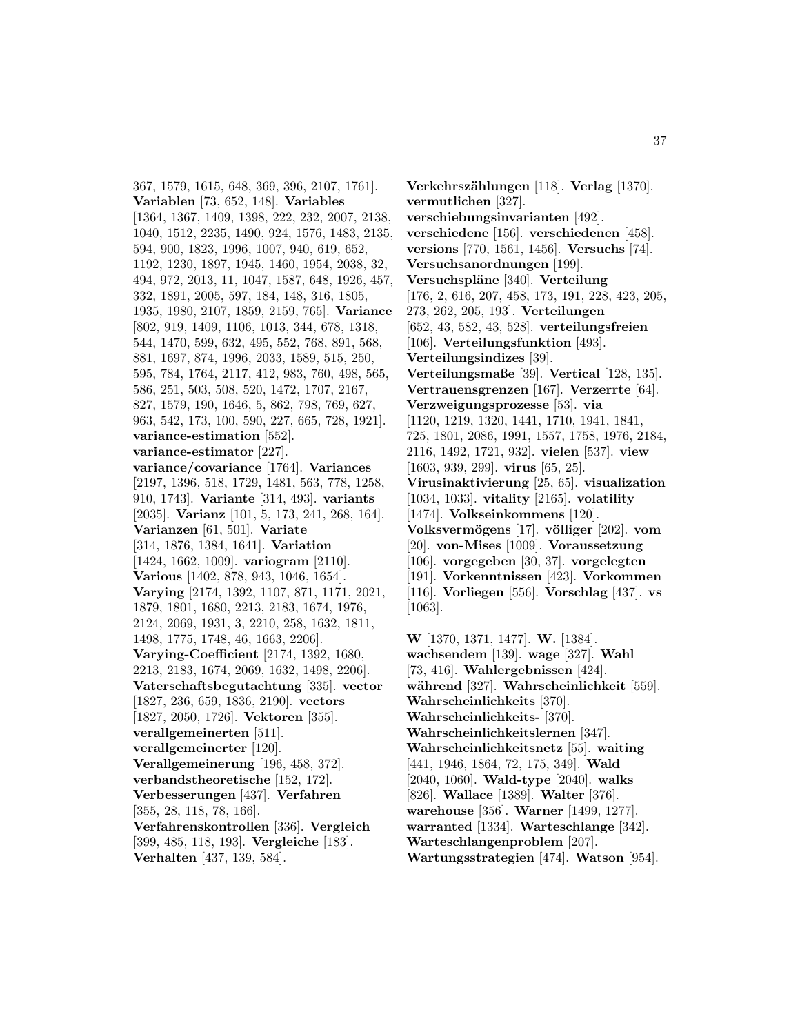367, 1579, 1615, 648, 369, 396, 2107, 1761]. **Variablen** [73, 652, 148]. **Variables** [1364, 1367, 1409, 1398, 222, 232, 2007, 2138, 1040, 1512, 2235, 1490, 924, 1576, 1483, 2135, 594, 900, 1823, 1996, 1007, 940, 619, 652, 1192, 1230, 1897, 1945, 1460, 1954, 2038, 32, 494, 972, 2013, 11, 1047, 1587, 648, 1926, 457, 332, 1891, 2005, 597, 184, 148, 316, 1805, 1935, 1980, 2107, 1859, 2159, 765]. **Variance** [802, 919, 1409, 1106, 1013, 344, 678, 1318, 544, 1470, 599, 632, 495, 552, 768, 891, 568, 881, 1697, 874, 1996, 2033, 1589, 515, 250, 595, 784, 1764, 2117, 412, 983, 760, 498, 565, 586, 251, 503, 508, 520, 1472, 1707, 2167, 827, 1579, 190, 1646, 5, 862, 798, 769, 627, 963, 542, 173, 100, 590, 227, 665, 728, 1921]. **variance-estimation** [552]. **variance-estimator** [227]. **variance/covariance** [1764]. **Variances** [2197, 1396, 518, 1729, 1481, 563, 778, 1258, 910, 1743]. **Variante** [314, 493]. **variants** [2035]. **Varianz** [101, 5, 173, 241, 268, 164]. **Varianzen** [61, 501]. **Variate** [314, 1876, 1384, 1641]. **Variation** [1424, 1662, 1009]. **variogram** [2110]. **Various** [1402, 878, 943, 1046, 1654]. **Varying** [2174, 1392, 1107, 871, 1171, 2021, 1879, 1801, 1680, 2213, 2183, 1674, 1976, 2124, 2069, 1931, 3, 2210, 258, 1632, 1811, 1498, 1775, 1748, 46, 1663, 2206]. **Varying-Coefficient** [2174, 1392, 1680, 2213, 2183, 1674, 2069, 1632, 1498, 2206]. **Vaterschaftsbegutachtung** [335]. **vector** [1827, 236, 659, 1836, 2190]. **vectors** [1827, 2050, 1726]. **Vektoren** [355]. **verallgemeinerten** [511]. **verallgemeinerter** [120]. **Verallgemeinerung** [196, 458, 372]. **verbandstheoretische** [152, 172]. **Verbesserungen** [437]. **Verfahren** [355, 28, 118, 78, 166]. **Verfahrenskontrollen** [336]. **Vergleich** [399, 485, 118, 193]. **Vergleiche** [183]. **Verhalten** [437, 139, 584].

**Verkehrsz¨ahlungen** [118]. **Verlag** [1370]. **vermutlichen** [327]. **verschiebungsinvarianten** [492]. **verschiedene** [156]. **verschiedenen** [458]. **versions** [770, 1561, 1456]. **Versuchs** [74]. **Versuchsanordnungen** [199]. **Versuchspl¨ane** [340]. **Verteilung** [176, 2, 616, 207, 458, 173, 191, 228, 423, 205, 273, 262, 205, 193]. **Verteilungen** [652, 43, 582, 43, 528]. **verteilungsfreien** [106]. **Verteilungsfunktion** [493]. **Verteilungsindizes** [39]. **Verteilungsmaße** [39]. **Vertical** [128, 135]. **Vertrauensgrenzen** [167]. **Verzerrte** [64]. **Verzweigungsprozesse** [53]. **via** [1120, 1219, 1320, 1441, 1710, 1941, 1841, 725, 1801, 2086, 1991, 1557, 1758, 1976, 2184, 2116, 1492, 1721, 932]. **vielen** [537]. **view** [1603, 939, 299]. **virus** [65, 25]. **Virusinaktivierung** [25, 65]. **visualization** [1034, 1033]. **vitality** [2165]. **volatility** [1474]. **Volkseinkommens** [120]. **Volksverm¨ogens** [17]. **v¨olliger** [202]. **vom** [20]. **von-Mises** [1009]. **Voraussetzung** [106]. **vorgegeben** [30, 37]. **vorgelegten** [191]. **Vorkenntnissen** [423]. **Vorkommen** [116]. **Vorliegen** [556]. **Vorschlag** [437]. **vs** [1063]. **W** [1370, 1371, 1477]. **W.** [1384].

**wachsendem** [139]. **wage** [327]. **Wahl** [73, 416]. **Wahlergebnissen** [424]. **w¨ahrend** [327]. **Wahrscheinlichkeit** [559]. **Wahrscheinlichkeits** [370]. **Wahrscheinlichkeits-** [370]. **Wahrscheinlichkeitslernen** [347]. **Wahrscheinlichkeitsnetz** [55]. **waiting** [441, 1946, 1864, 72, 175, 349]. **Wald** [2040, 1060]. **Wald-type** [2040]. **walks** [826]. **Wallace** [1389]. **Walter** [376]. **warehouse** [356]. **Warner** [1499, 1277]. **warranted** [1334]. **Warteschlange** [342]. **Warteschlangenproblem** [207]. **Wartungsstrategien** [474]. **Watson** [954].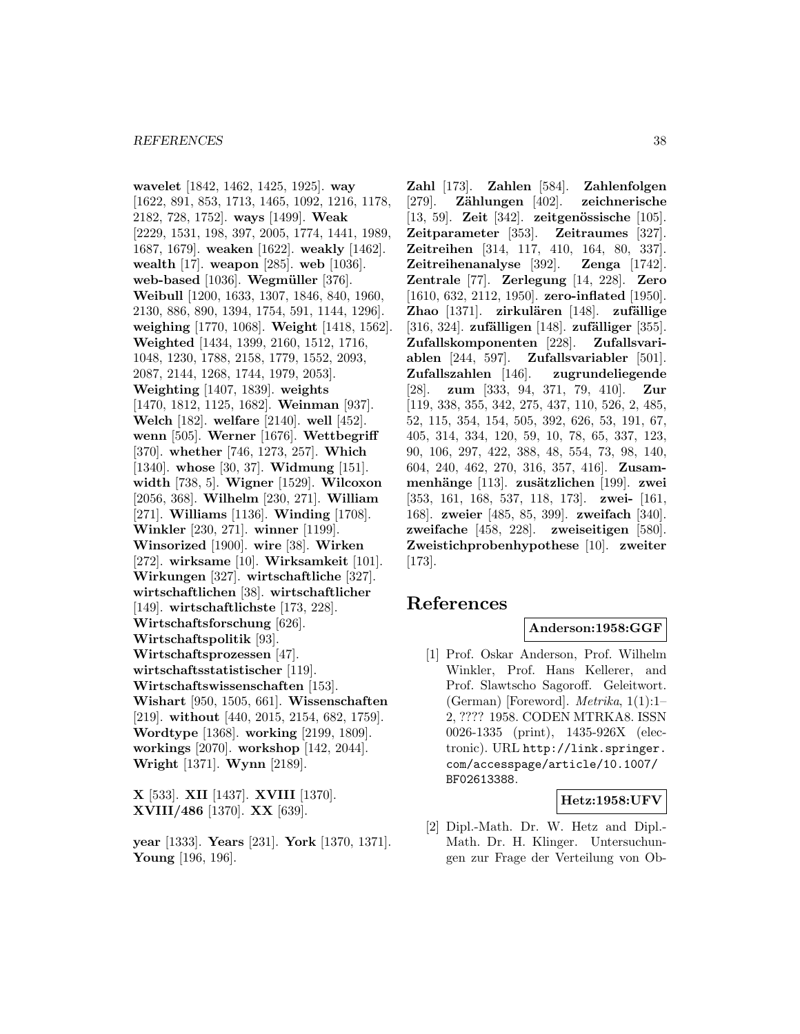**wavelet** [1842, 1462, 1425, 1925]. **way** [1622, 891, 853, 1713, 1465, 1092, 1216, 1178, 2182, 728, 1752]. **ways** [1499]. **Weak** [2229, 1531, 198, 397, 2005, 1774, 1441, 1989, 1687, 1679]. **weaken** [1622]. **weakly** [1462]. **wealth** [17]. **weapon** [285]. **web** [1036]. **web-based** [1036]. **Wegmüller** [376]. **Weibull** [1200, 1633, 1307, 1846, 840, 1960, 2130, 886, 890, 1394, 1754, 591, 1144, 1296]. **weighing** [1770, 1068]. **Weight** [1418, 1562]. **Weighted** [1434, 1399, 2160, 1512, 1716, 1048, 1230, 1788, 2158, 1779, 1552, 2093, 2087, 2144, 1268, 1744, 1979, 2053]. **Weighting** [1407, 1839]. **weights** [1470, 1812, 1125, 1682]. **Weinman** [937]. **Welch** [182]. **welfare** [2140]. **well** [452]. **wenn** [505]. **Werner** [1676]. **Wettbegriff** [370]. **whether** [746, 1273, 257]. **Which** [1340]. **whose** [30, 37]. **Widmung** [151]. **width** [738, 5]. **Wigner** [1529]. **Wilcoxon** [2056, 368]. **Wilhelm** [230, 271]. **William** [271]. **Williams** [1136]. **Winding** [1708]. **Winkler** [230, 271]. **winner** [1199]. **Winsorized** [1900]. **wire** [38]. **Wirken** [272]. **wirksame** [10]. **Wirksamkeit** [101]. **Wirkungen** [327]. **wirtschaftliche** [327]. **wirtschaftlichen** [38]. **wirtschaftlicher** [149]. **wirtschaftlichste** [173, 228]. **Wirtschaftsforschung** [626]. **Wirtschaftspolitik** [93]. **Wirtschaftsprozessen** [47]. **wirtschaftsstatistischer** [119]. **Wirtschaftswissenschaften** [153]. **Wishart** [950, 1505, 661]. **Wissenschaften** [219]. **without** [440, 2015, 2154, 682, 1759]. **Wordtype** [1368]. **working** [2199, 1809]. **workings** [2070]. **workshop** [142, 2044]. **Wright** [1371]. **Wynn** [2189].

**X** [533]. **XII** [1437]. **XVIII** [1370]. **XVIII/486** [1370]. **XX** [639].

**year** [1333]. **Years** [231]. **York** [1370, 1371]. **Young** [196, 196].

**Zahl** [173]. **Zahlen** [584]. **Zahlenfolgen** [279]. **Z¨ahlungen** [402]. **zeichnerische** [13, 59]. **Zeit** [342]. **zeitgenössische** [105]. **Zeitparameter** [353]. **Zeitraumes** [327]. **Zeitreihen** [314, 117, 410, 164, 80, 337]. **Zeitreihenanalyse** [392]. **Zenga** [1742]. **Zentrale** [77]. **Zerlegung** [14, 228]. **Zero** [1610, 632, 2112, 1950]. **zero-inflated** [1950]. **Zhao** [1371]. **zirkulären** [148]. **zufällige** [316, 324]. **zufälligen** [148]. **zufälliger** [355]. **Zufallskomponenten** [228]. **Zufallsvariablen** [244, 597]. **Zufallsvariabler** [501]. **Zufallszahlen** [146]. **zugrundeliegende** [28]. **zum** [333, 94, 371, 79, 410]. **Zur** [119, 338, 355, 342, 275, 437, 110, 526, 2, 485, 52, 115, 354, 154, 505, 392, 626, 53, 191, 67, 405, 314, 334, 120, 59, 10, 78, 65, 337, 123, 90, 106, 297, 422, 388, 48, 554, 73, 98, 140, 604, 240, 462, 270, 316, 357, 416]. **Zusammenh¨ange** [113]. **zus¨atzlichen** [199]. **zwei** [353, 161, 168, 537, 118, 173]. **zwei-** [161, 168]. **zweier** [485, 85, 399]. **zweifach** [340]. **zweifache** [458, 228]. **zweiseitigen** [580]. **Zweistichprobenhypothese** [10]. **zweiter** [173].

# **References**

## **Anderson:1958:GGF**

[1] Prof. Oskar Anderson, Prof. Wilhelm Winkler, Prof. Hans Kellerer, and Prof. Slawtscho Sagoroff. Geleitwort. (German) [Foreword]. Metrika, 1(1):1– 2, ???? 1958. CODEN MTRKA8. ISSN 0026-1335 (print), 1435-926X (electronic). URL http://link.springer. com/accesspage/article/10.1007/ BF02613388.

### **Hetz:1958:UFV**

[2] Dipl.-Math. Dr. W. Hetz and Dipl.- Math. Dr. H. Klinger. Untersuchungen zur Frage der Verteilung von Ob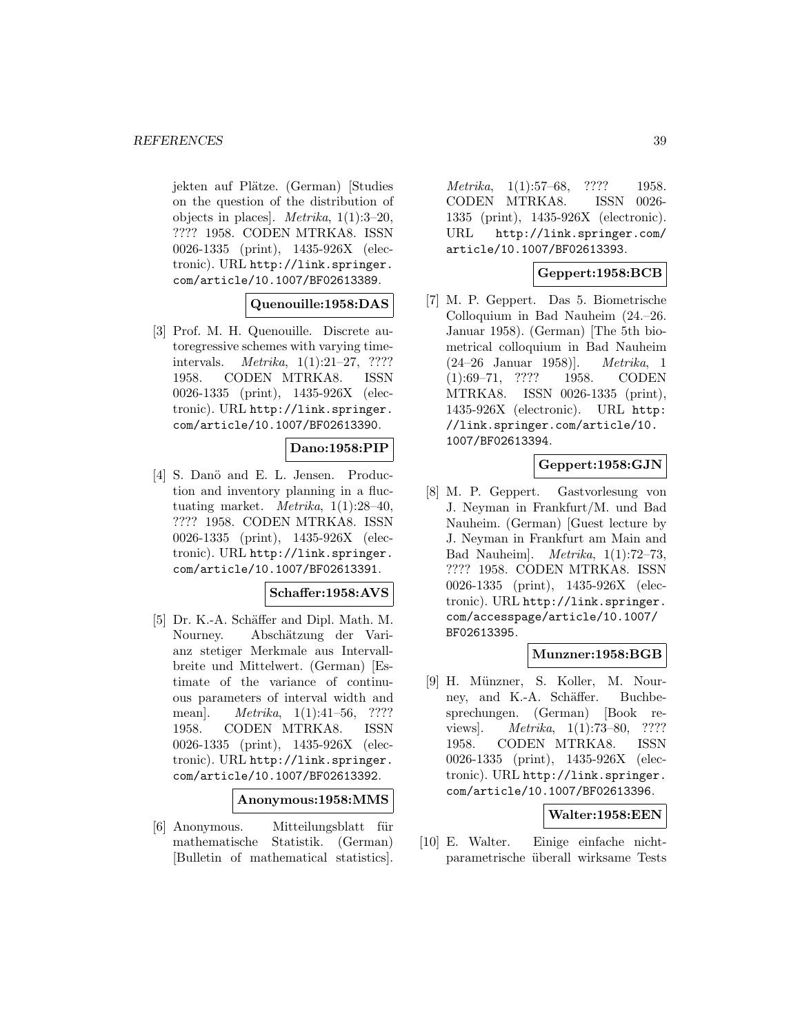jekten auf Plätze. (German) [Studies on the question of the distribution of objects in places]. Metrika, 1(1):3–20, ???? 1958. CODEN MTRKA8. ISSN 0026-1335 (print), 1435-926X (electronic). URL http://link.springer. com/article/10.1007/BF02613389.

## **Quenouille:1958:DAS**

[3] Prof. M. H. Quenouille. Discrete autoregressive schemes with varying timeintervals. Metrika, 1(1):21–27, ???? 1958. CODEN MTRKA8. ISSN 0026-1335 (print), 1435-926X (electronic). URL http://link.springer. com/article/10.1007/BF02613390.

## **Dano:1958:PIP**

[4] S. Danö and E. L. Jensen. Production and inventory planning in a fluctuating market. *Metrika*,  $1(1):28-40$ , ???? 1958. CODEN MTRKA8. ISSN 0026-1335 (print), 1435-926X (electronic). URL http://link.springer. com/article/10.1007/BF02613391.

### **Schaffer:1958:AVS**

[5] Dr. K.-A. Schäffer and Dipl. Math. M. Nourney. Abschätzung der Varianz stetiger Merkmale aus Intervallbreite und Mittelwert. (German) [Estimate of the variance of continuous parameters of interval width and mean]. Metrika, 1(1):41–56, ???? 1958. CODEN MTRKA8. ISSN 0026-1335 (print), 1435-926X (electronic). URL http://link.springer. com/article/10.1007/BF02613392.

## **Anonymous:1958:MMS**

[6] Anonymous. Mitteilungsblatt für mathematische Statistik. (German) [Bulletin of mathematical statistics].

Metrika, 1(1):57–68, ???? 1958. CODEN MTRKA8. ISSN 0026- 1335 (print), 1435-926X (electronic). URL http://link.springer.com/ article/10.1007/BF02613393.

## **Geppert:1958:BCB**

[7] M. P. Geppert. Das 5. Biometrische Colloquium in Bad Nauheim (24.–26. Januar 1958). (German) [The 5th biometrical colloquium in Bad Nauheim (24–26 Januar 1958)]. Metrika, 1 (1):69–71, ???? 1958. CODEN MTRKA8. ISSN 0026-1335 (print), 1435-926X (electronic). URL http: //link.springer.com/article/10. 1007/BF02613394.

## **Geppert:1958:GJN**

[8] M. P. Geppert. Gastvorlesung von J. Neyman in Frankfurt/M. und Bad Nauheim. (German) [Guest lecture by J. Neyman in Frankfurt am Main and Bad Nauheim]. Metrika, 1(1):72–73, ???? 1958. CODEN MTRKA8. ISSN 0026-1335 (print), 1435-926X (electronic). URL http://link.springer. com/accesspage/article/10.1007/ BF02613395.

### **Munzner:1958:BGB**

[9] H. Münzner, S. Koller, M. Nourney, and K.-A. Schäffer. Buchbesprechungen. (German) [Book reviews]. *Metrika*, 1(1):73–80, ???? 1958. CODEN MTRKA8. ISSN 0026-1335 (print), 1435-926X (electronic). URL http://link.springer. com/article/10.1007/BF02613396.

### **Walter:1958:EEN**

[10] E. Walter. Einige einfache nichtparametrische überall wirksame Tests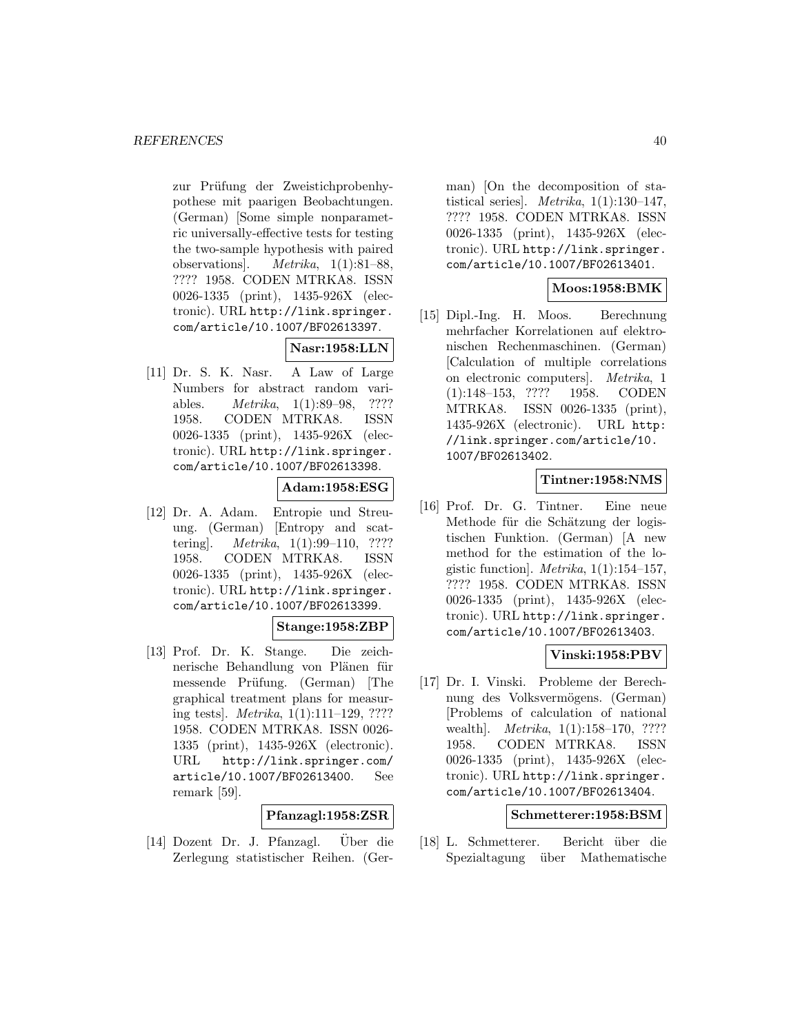zur Prüfung der Zweistichprobenhypothese mit paarigen Beobachtungen. (German) [Some simple nonparametric universally-effective tests for testing the two-sample hypothesis with paired observations]. Metrika, 1(1):81–88, ???? 1958. CODEN MTRKA8. ISSN 0026-1335 (print), 1435-926X (electronic). URL http://link.springer. com/article/10.1007/BF02613397.

# **Nasr:1958:LLN**

[11] Dr. S. K. Nasr. A Law of Large Numbers for abstract random variables. Metrika, 1(1):89–98, ???? 1958. CODEN MTRKA8. ISSN 0026-1335 (print), 1435-926X (electronic). URL http://link.springer. com/article/10.1007/BF02613398.

# **Adam:1958:ESG**

[12] Dr. A. Adam. Entropie und Streuung. (German) [Entropy and scattering]. Metrika, 1(1):99–110, ???? 1958. CODEN MTRKA8. ISSN 0026-1335 (print), 1435-926X (electronic). URL http://link.springer. com/article/10.1007/BF02613399.

### **Stange:1958:ZBP**

[13] Prof. Dr. K. Stange. Die zeichnerische Behandlung von Plänen für messende Prüfung. (German) [The graphical treatment plans for measuring tests]. Metrika, 1(1):111–129, ???? 1958. CODEN MTRKA8. ISSN 0026- 1335 (print), 1435-926X (electronic). URL http://link.springer.com/ article/10.1007/BF02613400. See remark [59].

# **Pfanzagl:1958:ZSR**

 $[14]$  Dozent Dr. J. Pfanzagl. Über die Zerlegung statistischer Reihen. (German) [On the decomposition of statistical series]. Metrika,  $1(1):130-147$ , ???? 1958. CODEN MTRKA8. ISSN 0026-1335 (print), 1435-926X (electronic). URL http://link.springer. com/article/10.1007/BF02613401.

# **Moos:1958:BMK**

[15] Dipl.-Ing. H. Moos. Berechnung mehrfacher Korrelationen auf elektronischen Rechenmaschinen. (German) [Calculation of multiple correlations on electronic computers]. Metrika, 1 (1):148–153, ???? 1958. CODEN MTRKA8. ISSN 0026-1335 (print), 1435-926X (electronic). URL http: //link.springer.com/article/10. 1007/BF02613402.

# **Tintner:1958:NMS**

[16] Prof. Dr. G. Tintner. Eine neue Methode für die Schätzung der logistischen Funktion. (German) [A new method for the estimation of the logistic function]. *Metrika*,  $1(1):154-157$ , ???? 1958. CODEN MTRKA8. ISSN 0026-1335 (print), 1435-926X (electronic). URL http://link.springer. com/article/10.1007/BF02613403.

# **Vinski:1958:PBV**

[17] Dr. I. Vinski. Probleme der Berechnung des Volksvermögens. (German) [Problems of calculation of national wealth. *Metrika*, 1(1):158–170, ???? 1958. CODEN MTRKA8. ISSN 0026-1335 (print), 1435-926X (electronic). URL http://link.springer. com/article/10.1007/BF02613404.

### **Schmetterer:1958:BSM**

[18] L. Schmetterer. Bericht ¨uber die Spezialtagung über Mathematische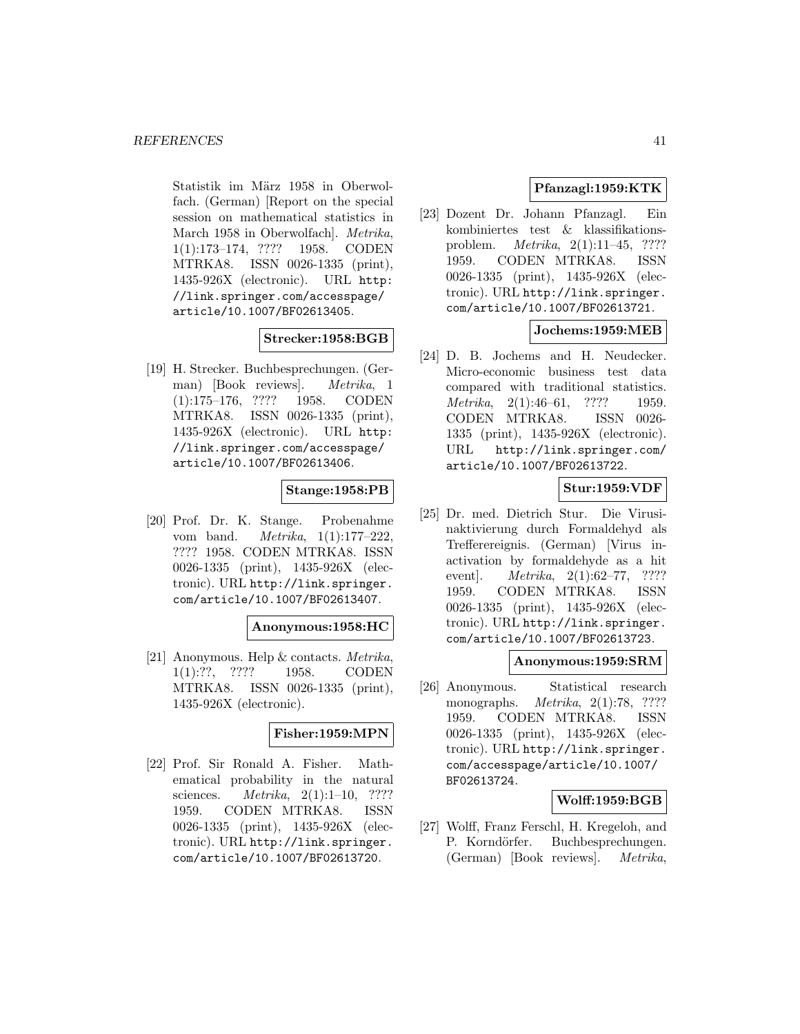Statistik im März 1958 in Oberwolfach. (German) [Report on the special session on mathematical statistics in March 1958 in Oberwolfach]. Metrika, 1(1):173–174, ???? 1958. CODEN MTRKA8. ISSN 0026-1335 (print), 1435-926X (electronic). URL http: //link.springer.com/accesspage/ article/10.1007/BF02613405.

### **Strecker:1958:BGB**

[19] H. Strecker. Buchbesprechungen. (German) [Book reviews]. Metrika, 1 (1):175–176, ???? 1958. CODEN MTRKA8. ISSN 0026-1335 (print), 1435-926X (electronic). URL http: //link.springer.com/accesspage/ article/10.1007/BF02613406.

### **Stange:1958:PB**

[20] Prof. Dr. K. Stange. Probenahme vom band. Metrika, 1(1):177–222, ???? 1958. CODEN MTRKA8. ISSN 0026-1335 (print), 1435-926X (electronic). URL http://link.springer. com/article/10.1007/BF02613407.

### **Anonymous:1958:HC**

[21] Anonymous. Help & contacts. Metrika, 1(1):??, ???? 1958. CODEN MTRKA8. ISSN 0026-1335 (print), 1435-926X (electronic).

### **Fisher:1959:MPN**

[22] Prof. Sir Ronald A. Fisher. Mathematical probability in the natural sciences. *Metrika*, 2(1):1–10, ???? 1959. CODEN MTRKA8. ISSN 0026-1335 (print), 1435-926X (electronic). URL http://link.springer. com/article/10.1007/BF02613720.

# **Pfanzagl:1959:KTK**

[23] Dozent Dr. Johann Pfanzagl. Ein kombiniertes test & klassifikationsproblem. Metrika, 2(1):11–45, ???? 1959. CODEN MTRKA8. ISSN 0026-1335 (print), 1435-926X (electronic). URL http://link.springer. com/article/10.1007/BF02613721.

## **Jochems:1959:MEB**

[24] D. B. Jochems and H. Neudecker. Micro-economic business test data compared with traditional statistics. Metrika, 2(1):46–61, ???? 1959. CODEN MTRKA8. ISSN 0026- 1335 (print), 1435-926X (electronic). URL http://link.springer.com/ article/10.1007/BF02613722.

# **Stur:1959:VDF**

[25] Dr. med. Dietrich Stur. Die Virusinaktivierung durch Formaldehyd als Trefferereignis. (German) [Virus inactivation by formaldehyde as a hit event]. *Metrika*, 2(1):62–77, ???? 1959. CODEN MTRKA8. ISSN 0026-1335 (print), 1435-926X (electronic). URL http://link.springer. com/article/10.1007/BF02613723.

### **Anonymous:1959:SRM**

[26] Anonymous. Statistical research monographs. Metrika, 2(1):78, ???? 1959. CODEN MTRKA8. ISSN 0026-1335 (print), 1435-926X (electronic). URL http://link.springer. com/accesspage/article/10.1007/ BF02613724.

# **Wolff:1959:BGB**

[27] Wolff, Franz Ferschl, H. Kregeloh, and P. Korndörfer. Buchbesprechungen. (German) [Book reviews]. Metrika,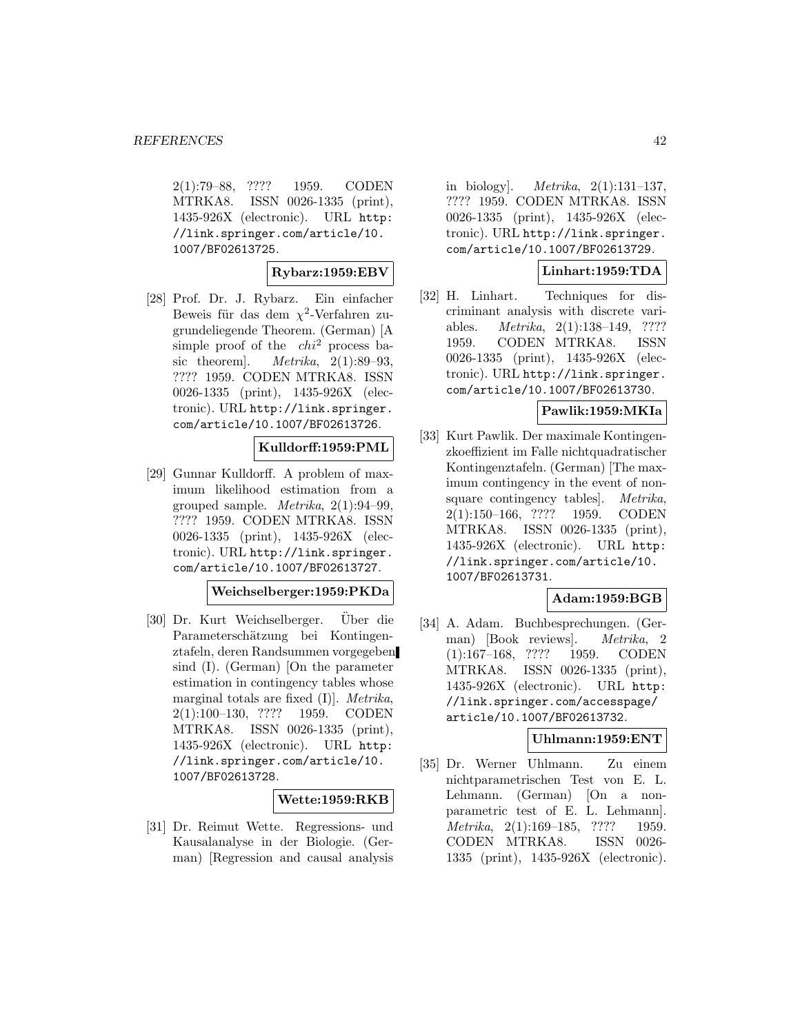2(1):79–88, ???? 1959. CODEN MTRKA8. ISSN 0026-1335 (print), 1435-926X (electronic). URL http: //link.springer.com/article/10. 1007/BF02613725.

## **Rybarz:1959:EBV**

[28] Prof. Dr. J. Rybarz. Ein einfacher Beweis für das dem  $\chi^2$ -Verfahren zugrundeliegende Theorem. (German) [A simple proof of the  $chi^2$  process basic theorem]. *Metrika*,  $2(1):89-93$ , ???? 1959. CODEN MTRKA8. ISSN 0026-1335 (print), 1435-926X (electronic). URL http://link.springer. com/article/10.1007/BF02613726.

### **Kulldorff:1959:PML**

[29] Gunnar Kulldorff. A problem of maximum likelihood estimation from a grouped sample. Metrika, 2(1):94–99, ???? 1959. CODEN MTRKA8. ISSN 0026-1335 (print), 1435-926X (electronic). URL http://link.springer. com/article/10.1007/BF02613727.

**Weichselberger:1959:PKDa**

[30] Dr. Kurt Weichselberger. Uber die Parameterschätzung bei Kontingenztafeln, deren Randsummen vorgegeben sind (I). (German) [On the parameter estimation in contingency tables whose marginal totals are fixed (I)]. Metrika, 2(1):100–130, ???? 1959. CODEN MTRKA8. ISSN 0026-1335 (print), 1435-926X (electronic). URL http: //link.springer.com/article/10. 1007/BF02613728.

### **Wette:1959:RKB**

[31] Dr. Reimut Wette. Regressions- und Kausalanalyse in der Biologie. (German) [Regression and causal analysis

in biology]. Metrika, 2(1):131–137, ???? 1959. CODEN MTRKA8. ISSN 0026-1335 (print), 1435-926X (electronic). URL http://link.springer. com/article/10.1007/BF02613729.

### **Linhart:1959:TDA**

[32] H. Linhart. Techniques for discriminant analysis with discrete variables. Metrika, 2(1):138–149, ???? 1959. CODEN MTRKA8. ISSN 0026-1335 (print), 1435-926X (electronic). URL http://link.springer. com/article/10.1007/BF02613730.

## **Pawlik:1959:MKIa**

[33] Kurt Pawlik. Der maximale Kontingenzkoeffizient im Falle nichtquadratischer Kontingenztafeln. (German) [The maximum contingency in the event of nonsquare contingency tables]. Metrika, 2(1):150–166, ???? 1959. CODEN MTRKA8. ISSN 0026-1335 (print), 1435-926X (electronic). URL http: //link.springer.com/article/10. 1007/BF02613731.

### **Adam:1959:BGB**

[34] A. Adam. Buchbesprechungen. (German) [Book reviews]. Metrika, 2 (1):167–168, ???? 1959. CODEN MTRKA8. ISSN 0026-1335 (print), 1435-926X (electronic). URL http: //link.springer.com/accesspage/ article/10.1007/BF02613732.

## **Uhlmann:1959:ENT**

[35] Dr. Werner Uhlmann. Zu einem nichtparametrischen Test von E. L. Lehmann. (German) [On a nonparametric test of E. L. Lehmann]. Metrika, 2(1):169–185, ???? 1959. CODEN MTRKA8. ISSN 0026- 1335 (print), 1435-926X (electronic).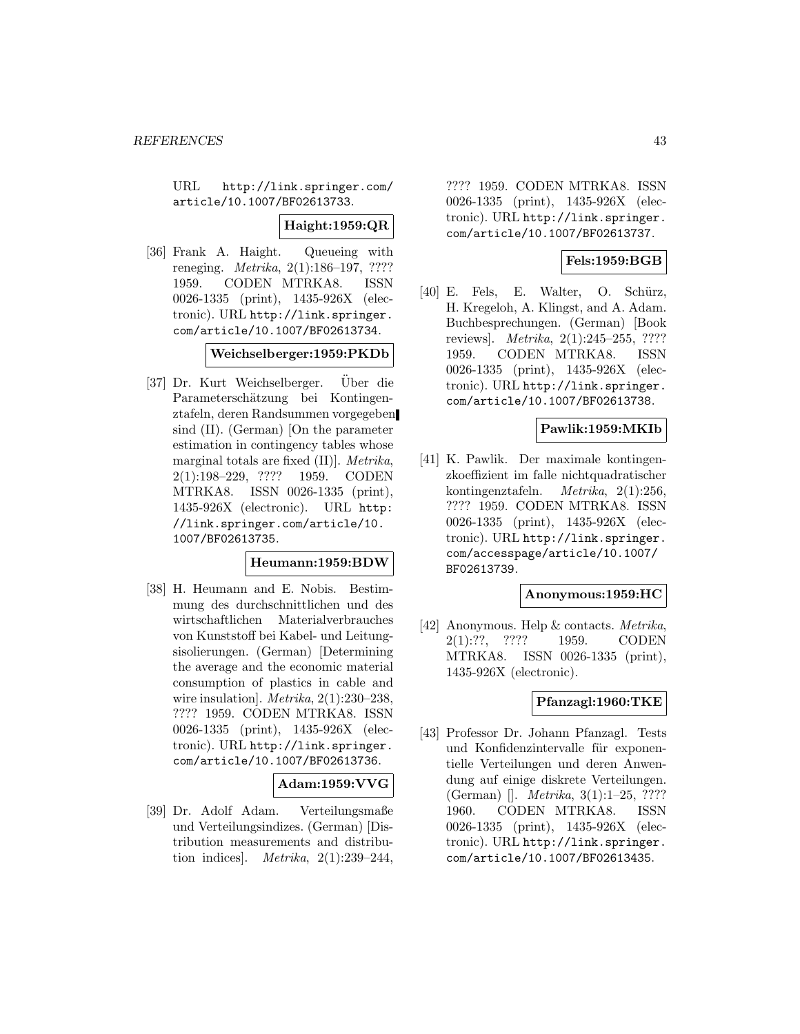URL http://link.springer.com/ article/10.1007/BF02613733.

**Haight:1959:QR**

[36] Frank A. Haight. Queueing with reneging. Metrika, 2(1):186–197, ???? 1959. CODEN MTRKA8. ISSN 0026-1335 (print), 1435-926X (electronic). URL http://link.springer. com/article/10.1007/BF02613734.

**Weichselberger:1959:PKDb**

[37] Dr. Kurt Weichselberger. Uber die Parameterschätzung bei Kontingenztafeln, deren Randsummen vorgegeben sind (II). (German) [On the parameter estimation in contingency tables whose marginal totals are fixed (II)]. Metrika, 2(1):198–229, ???? 1959. CODEN MTRKA8. ISSN 0026-1335 (print), 1435-926X (electronic). URL http: //link.springer.com/article/10. 1007/BF02613735.

#### **Heumann:1959:BDW**

[38] H. Heumann and E. Nobis. Bestimmung des durchschnittlichen und des wirtschaftlichen Materialverbrauches von Kunststoff bei Kabel- und Leitungsisolierungen. (German) [Determining the average and the economic material consumption of plastics in cable and wire insulation].  $Metrika$ ,  $2(1):230-238$ , ???? 1959. CODEN MTRKA8. ISSN 0026-1335 (print), 1435-926X (electronic). URL http://link.springer. com/article/10.1007/BF02613736.

### **Adam:1959:VVG**

[39] Dr. Adolf Adam. Verteilungsmaße und Verteilungsindizes. (German) [Distribution measurements and distribution indices. *Metrika*,  $2(1):239-244$ ,

???? 1959. CODEN MTRKA8. ISSN 0026-1335 (print), 1435-926X (electronic). URL http://link.springer. com/article/10.1007/BF02613737.

### **Fels:1959:BGB**

[40] E. Fels, E. Walter, O. Schürz, H. Kregeloh, A. Klingst, and A. Adam. Buchbesprechungen. (German) [Book reviews]. Metrika, 2(1):245–255, ???? 1959. CODEN MTRKA8. ISSN 0026-1335 (print), 1435-926X (electronic). URL http://link.springer. com/article/10.1007/BF02613738.

## **Pawlik:1959:MKIb**

[41] K. Pawlik. Der maximale kontingenzkoeffizient im falle nichtquadratischer kontingenztafeln. Metrika, 2(1):256, ???? 1959. CODEN MTRKA8. ISSN 0026-1335 (print), 1435-926X (electronic). URL http://link.springer. com/accesspage/article/10.1007/ BF02613739.

#### **Anonymous:1959:HC**

[42] Anonymous. Help & contacts. Metrika, 2(1):??, ???? 1959. CODEN MTRKA8. ISSN 0026-1335 (print), 1435-926X (electronic).

#### **Pfanzagl:1960:TKE**

[43] Professor Dr. Johann Pfanzagl. Tests und Konfidenzintervalle für exponentielle Verteilungen und deren Anwendung auf einige diskrete Verteilungen. (German) []. Metrika, 3(1):1–25, ???? 1960. CODEN MTRKA8. ISSN 0026-1335 (print), 1435-926X (electronic). URL http://link.springer. com/article/10.1007/BF02613435.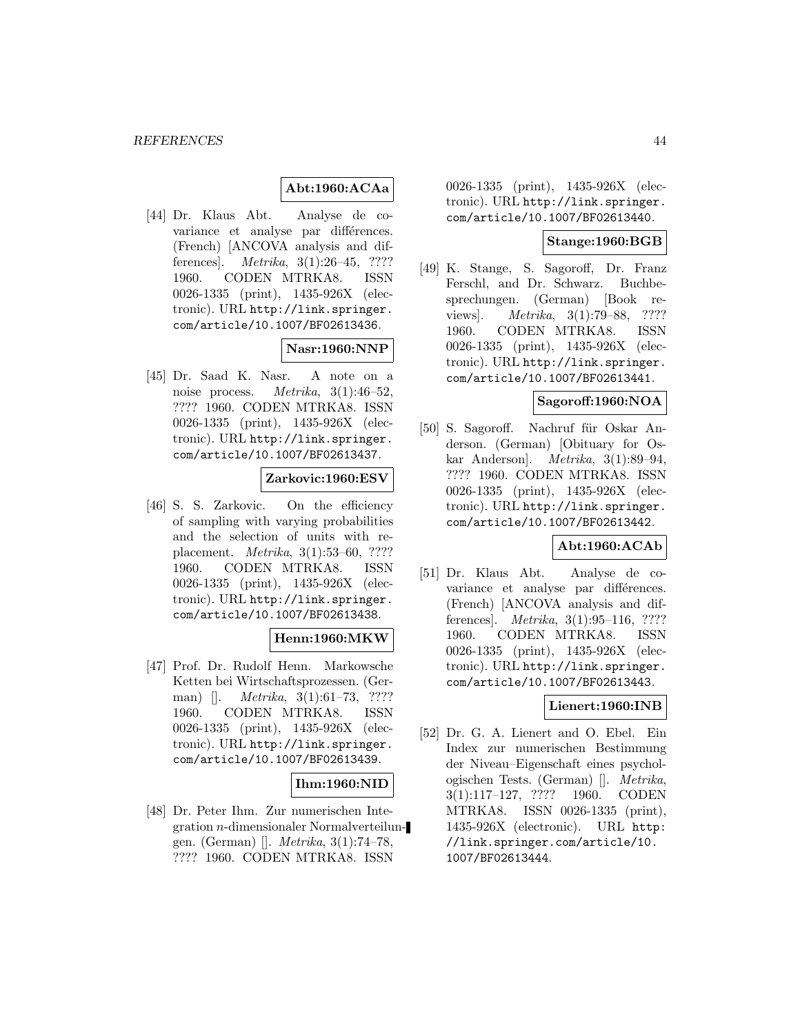### **Abt:1960:ACAa**

[44] Dr. Klaus Abt. Analyse de covariance et analyse par différences. (French) [ANCOVA analysis and differences]. Metrika, 3(1):26–45, ???? 1960. CODEN MTRKA8. ISSN 0026-1335 (print), 1435-926X (electronic). URL http://link.springer. com/article/10.1007/BF02613436.

### **Nasr:1960:NNP**

[45] Dr. Saad K. Nasr. A note on a noise process. Metrika, 3(1):46–52, ???? 1960. CODEN MTRKA8. ISSN 0026-1335 (print), 1435-926X (electronic). URL http://link.springer. com/article/10.1007/BF02613437.

### **Zarkovic:1960:ESV**

[46] S. S. Zarkovic. On the efficiency of sampling with varying probabilities and the selection of units with replacement. Metrika, 3(1):53–60, ???? 1960. CODEN MTRKA8. ISSN 0026-1335 (print), 1435-926X (electronic). URL http://link.springer. com/article/10.1007/BF02613438.

### **Henn:1960:MKW**

[47] Prof. Dr. Rudolf Henn. Markowsche Ketten bei Wirtschaftsprozessen. (German) []. *Metrika*, 3(1):61–73, ???? 1960. CODEN MTRKA8. ISSN 0026-1335 (print), 1435-926X (electronic). URL http://link.springer. com/article/10.1007/BF02613439.

## **Ihm:1960:NID**

[48] Dr. Peter Ihm. Zur numerischen Integration n-dimensionaler Normalverteilungen. (German) []. Metrika, 3(1):74–78, ???? 1960. CODEN MTRKA8. ISSN

0026-1335 (print), 1435-926X (electronic). URL http://link.springer. com/article/10.1007/BF02613440.

## **Stange:1960:BGB**

[49] K. Stange, S. Sagoroff, Dr. Franz Ferschl, and Dr. Schwarz. Buchbesprechungen. (German) [Book reviews]. Metrika, 3(1):79–88, ???? 1960. CODEN MTRKA8. ISSN 0026-1335 (print), 1435-926X (electronic). URL http://link.springer. com/article/10.1007/BF02613441.

#### **Sagoroff:1960:NOA**

[50] S. Sagoroff. Nachruf für Oskar Anderson. (German) [Obituary for Oskar Anderson]. Metrika, 3(1):89–94, ???? 1960. CODEN MTRKA8. ISSN 0026-1335 (print), 1435-926X (electronic). URL http://link.springer. com/article/10.1007/BF02613442.

## **Abt:1960:ACAb**

[51] Dr. Klaus Abt. Analyse de covariance et analyse par différences. (French) [ANCOVA analysis and differences]. Metrika, 3(1):95–116, ???? 1960. CODEN MTRKA8. ISSN 0026-1335 (print), 1435-926X (electronic). URL http://link.springer. com/article/10.1007/BF02613443.

### **Lienert:1960:INB**

[52] Dr. G. A. Lienert and O. Ebel. Ein Index zur numerischen Bestimmung der Niveau–Eigenschaft eines psychologischen Tests. (German) []. Metrika, 3(1):117–127, ???? 1960. CODEN MTRKA8. ISSN 0026-1335 (print), 1435-926X (electronic). URL http: //link.springer.com/article/10. 1007/BF02613444.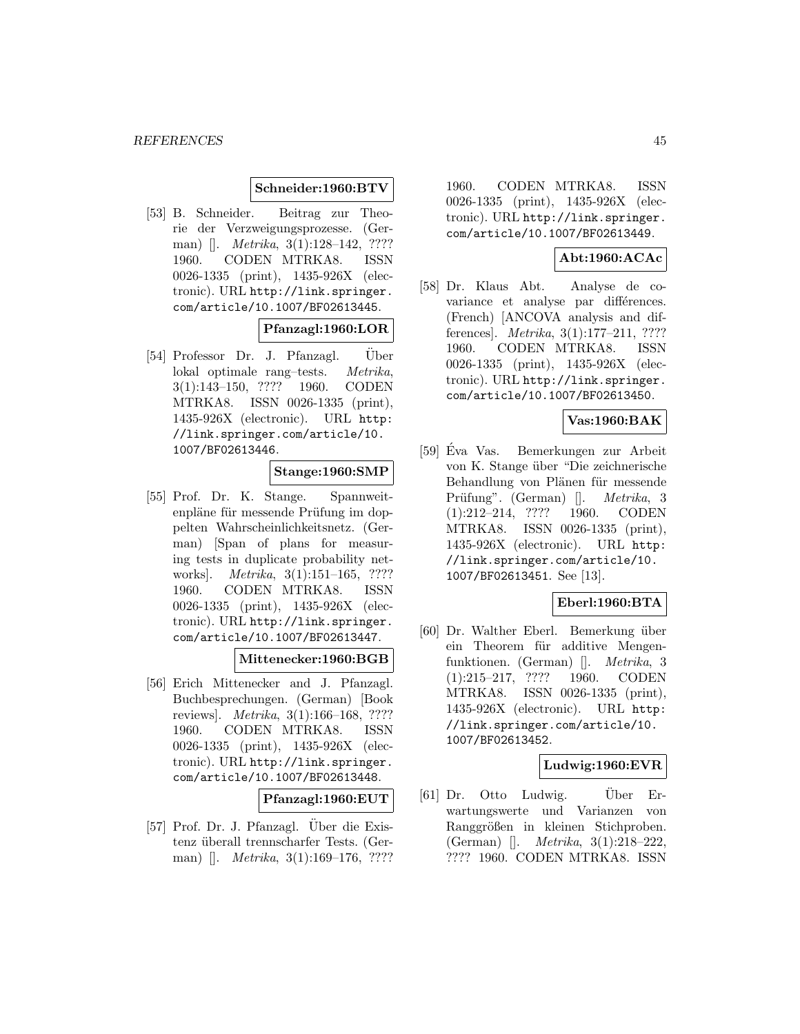#### **Schneider:1960:BTV**

[53] B. Schneider. Beitrag zur Theorie der Verzweigungsprozesse. (German) []. *Metrika*, 3(1):128–142, ???? 1960. CODEN MTRKA8. ISSN 0026-1335 (print), 1435-926X (electronic). URL http://link.springer. com/article/10.1007/BF02613445.

### **Pfanzagl:1960:LOR**

[54] Professor Dr. J. Pfanzagl. Uber lokal optimale rang–tests. Metrika, 3(1):143–150, ???? 1960. CODEN MTRKA8. ISSN 0026-1335 (print), 1435-926X (electronic). URL http: //link.springer.com/article/10. 1007/BF02613446.

## **Stange:1960:SMP**

[55] Prof. Dr. K. Stange. Spannweitenpläne für messende Prüfung im doppelten Wahrscheinlichkeitsnetz. (German) [Span of plans for measuring tests in duplicate probability networks. *Metrika*, 3(1):151-165, ???? 1960. CODEN MTRKA8. ISSN 0026-1335 (print), 1435-926X (electronic). URL http://link.springer. com/article/10.1007/BF02613447.

### **Mittenecker:1960:BGB**

[56] Erich Mittenecker and J. Pfanzagl. Buchbesprechungen. (German) [Book reviews]. Metrika, 3(1):166–168, ???? 1960. CODEN MTRKA8. ISSN 0026-1335 (print), 1435-926X (electronic). URL http://link.springer. com/article/10.1007/BF02613448.

#### **Pfanzagl:1960:EUT**

[57] Prof. Dr. J. Pfanzagl. Über die Existenz überall trennscharfer Tests. (German) []. *Metrika*, 3(1):169–176, ????

1960. CODEN MTRKA8. ISSN 0026-1335 (print), 1435-926X (electronic). URL http://link.springer. com/article/10.1007/BF02613449.

# **Abt:1960:ACAc**

[58] Dr. Klaus Abt. Analyse de covariance et analyse par différences. (French) [ANCOVA analysis and differences]. Metrika, 3(1):177–211, ???? 1960. CODEN MTRKA8. ISSN 0026-1335 (print), 1435-926X (electronic). URL http://link.springer. com/article/10.1007/BF02613450.

### **Vas:1960:BAK**

[59] Eva Vas. Bemerkungen zur Arbeit ´ von K. Stange über "Die zeichnerische Behandlung von Plänen für messende Prüfung". (German) []. *Metrika*, 3 (1):212–214, ???? 1960. CODEN MTRKA8. ISSN 0026-1335 (print), 1435-926X (electronic). URL http: //link.springer.com/article/10. 1007/BF02613451. See [13].

### **Eberl:1960:BTA**

[60] Dr. Walther Eberl. Bemerkung über ein Theorem für additive Mengenfunktionen. (German) []. Metrika, 3 (1):215–217, ???? 1960. CODEN MTRKA8. ISSN 0026-1335 (print), 1435-926X (electronic). URL http: //link.springer.com/article/10. 1007/BF02613452.

### **Ludwig:1960:EVR**

 $[61]$  Dr. Otto Ludwig. Uber Erwartungswerte und Varianzen von Ranggrößen in kleinen Stichproben. (German) []. Metrika, 3(1):218–222, ???? 1960. CODEN MTRKA8. ISSN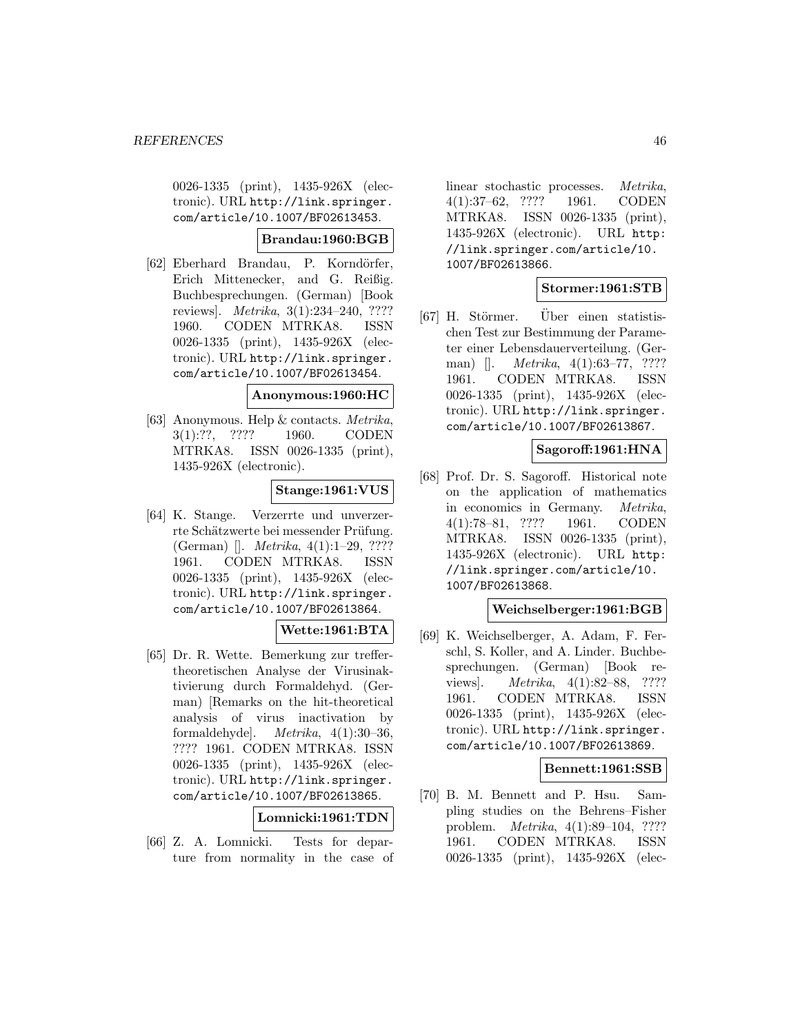0026-1335 (print), 1435-926X (electronic). URL http://link.springer. com/article/10.1007/BF02613453.

### **Brandau:1960:BGB**

[62] Eberhard Brandau, P. Korndörfer, Erich Mittenecker, and G. Reißig. Buchbesprechungen. (German) [Book reviews]. Metrika, 3(1):234–240, ???? 1960. CODEN MTRKA8. ISSN 0026-1335 (print), 1435-926X (electronic). URL http://link.springer. com/article/10.1007/BF02613454.

**Anonymous:1960:HC**

[63] Anonymous. Help & contacts. Metrika, 3(1):??, ???? 1960. CODEN MTRKA8. ISSN 0026-1335 (print), 1435-926X (electronic).

## **Stange:1961:VUS**

[64] K. Stange. Verzerrte und unverzerrte Schätzwerte bei messender Prüfung. (German) []. Metrika, 4(1):1–29, ???? 1961. CODEN MTRKA8. ISSN 0026-1335 (print), 1435-926X (electronic). URL http://link.springer. com/article/10.1007/BF02613864.

## **Wette:1961:BTA**

[65] Dr. R. Wette. Bemerkung zur treffertheoretischen Analyse der Virusinaktivierung durch Formaldehyd. (German) [Remarks on the hit-theoretical analysis of virus inactivation by formaldehyde]. Metrika, 4(1):30–36, ???? 1961. CODEN MTRKA8. ISSN 0026-1335 (print), 1435-926X (electronic). URL http://link.springer. com/article/10.1007/BF02613865.

**Lomnicki:1961:TDN**

[66] Z. A. Lomnicki. Tests for departure from normality in the case of

linear stochastic processes. Metrika, 4(1):37–62, ???? 1961. CODEN MTRKA8. ISSN 0026-1335 (print), 1435-926X (electronic). URL http: //link.springer.com/article/10. 1007/BF02613866.

# **Stormer:1961:STB**

[67] H. Störmer. Uber einen statistischen Test zur Bestimmung der Parameter einer Lebensdauerverteilung. (German) []. *Metrika*, 4(1):63–77, ???? 1961. CODEN MTRKA8. ISSN 0026-1335 (print), 1435-926X (electronic). URL http://link.springer. com/article/10.1007/BF02613867.

### **Sagoroff:1961:HNA**

[68] Prof. Dr. S. Sagoroff. Historical note on the application of mathematics in economics in Germany. Metrika, 4(1):78–81, ???? 1961. CODEN MTRKA8. ISSN 0026-1335 (print), 1435-926X (electronic). URL http: //link.springer.com/article/10. 1007/BF02613868.

### **Weichselberger:1961:BGB**

[69] K. Weichselberger, A. Adam, F. Ferschl, S. Koller, and A. Linder. Buchbesprechungen. (German) [Book reviews]. Metrika, 4(1):82–88, ???? 1961. CODEN MTRKA8. ISSN 0026-1335 (print), 1435-926X (electronic). URL http://link.springer. com/article/10.1007/BF02613869.

### **Bennett:1961:SSB**

[70] B. M. Bennett and P. Hsu. Sampling studies on the Behrens–Fisher problem. Metrika, 4(1):89–104, ???? 1961. CODEN MTRKA8. ISSN 0026-1335 (print), 1435-926X (elec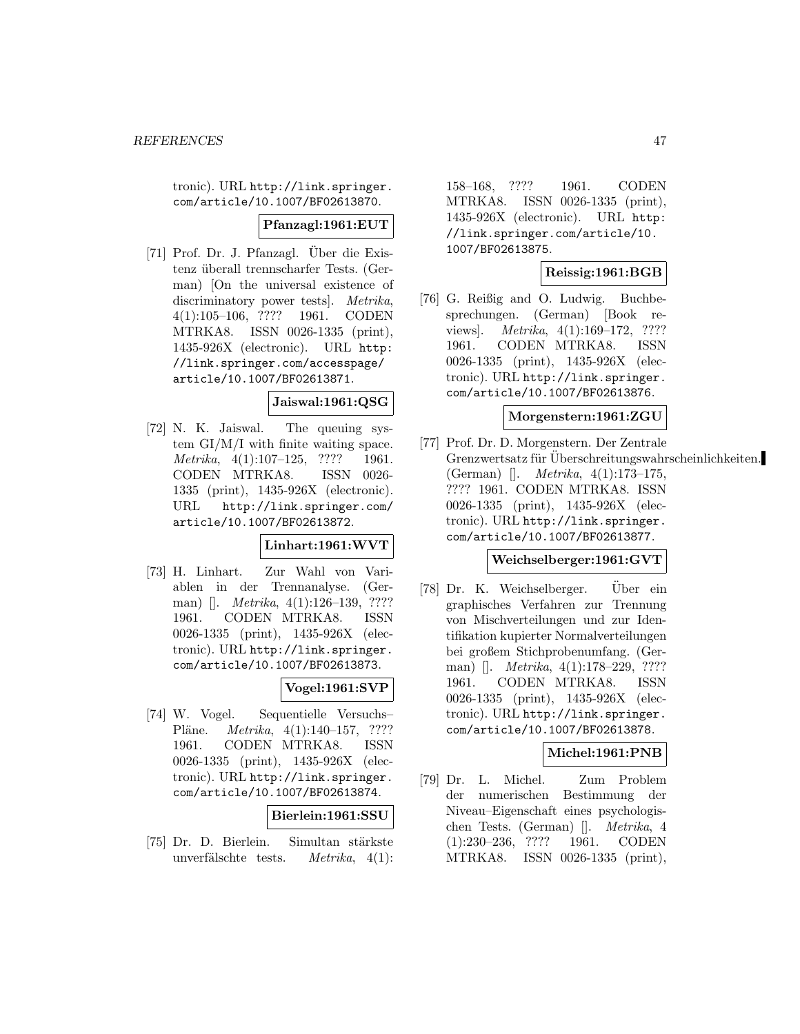tronic). URL http://link.springer. com/article/10.1007/BF02613870.

#### **Pfanzagl:1961:EUT**

[71] Prof. Dr. J. Pfanzagl. Über die Existenz überall trennscharfer Tests. (German) [On the universal existence of discriminatory power tests]. Metrika, 4(1):105–106, ???? 1961. CODEN MTRKA8. ISSN 0026-1335 (print), 1435-926X (electronic). URL http: //link.springer.com/accesspage/ article/10.1007/BF02613871.

## **Jaiswal:1961:QSG**

[72] N. K. Jaiswal. The queuing system GI/M/I with finite waiting space. Metrika, 4(1):107–125, ???? 1961. CODEN MTRKA8. ISSN 0026- 1335 (print), 1435-926X (electronic). URL http://link.springer.com/ article/10.1007/BF02613872.

### **Linhart:1961:WVT**

[73] H. Linhart. Zur Wahl von Variablen in der Trennanalyse. (German) []. Metrika, 4(1):126–139, ???? 1961. CODEN MTRKA8. ISSN 0026-1335 (print), 1435-926X (electronic). URL http://link.springer. com/article/10.1007/BF02613873.

# **Vogel:1961:SVP**

[74] W. Vogel. Sequentielle Versuchs– Pläne. *Metrika*, 4(1):140–157, ???? 1961. CODEN MTRKA8. ISSN 0026-1335 (print), 1435-926X (electronic). URL http://link.springer. com/article/10.1007/BF02613874.

### **Bierlein:1961:SSU**

[75] Dr. D. Bierlein. Simultan stärkste unverfälschte tests. Metrika,  $4(1)$ :

158–168, ???? 1961. CODEN MTRKA8. ISSN 0026-1335 (print), 1435-926X (electronic). URL http: //link.springer.com/article/10. 1007/BF02613875.

# **Reissig:1961:BGB**

[76] G. Reißig and O. Ludwig. Buchbesprechungen. (German) [Book reviews. *Metrika*, 4(1):169–172, ???? 1961. CODEN MTRKA8. ISSN 0026-1335 (print), 1435-926X (electronic). URL http://link.springer. com/article/10.1007/BF02613876.

#### **Morgenstern:1961:ZGU**

[77] Prof. Dr. D. Morgenstern. Der Zentrale Grenzwertsatz für Überschreitungswahrscheinlichkeiten. (German) []. Metrika, 4(1):173–175, ???? 1961. CODEN MTRKA8. ISSN 0026-1335 (print), 1435-926X (electronic). URL http://link.springer. com/article/10.1007/BF02613877.

# **Weichselberger:1961:GVT**

[78] Dr. K. Weichselberger. Uber ein graphisches Verfahren zur Trennung von Mischverteilungen und zur Identifikation kupierter Normalverteilungen bei großem Stichprobenumfang. (German) []. *Metrika*, 4(1):178-229, ???? 1961. CODEN MTRKA8. ISSN 0026-1335 (print), 1435-926X (electronic). URL http://link.springer. com/article/10.1007/BF02613878.

# **Michel:1961:PNB**

[79] Dr. L. Michel. Zum Problem der numerischen Bestimmung der Niveau–Eigenschaft eines psychologischen Tests. (German) []. Metrika, 4 (1):230–236, ???? 1961. CODEN MTRKA8. ISSN 0026-1335 (print),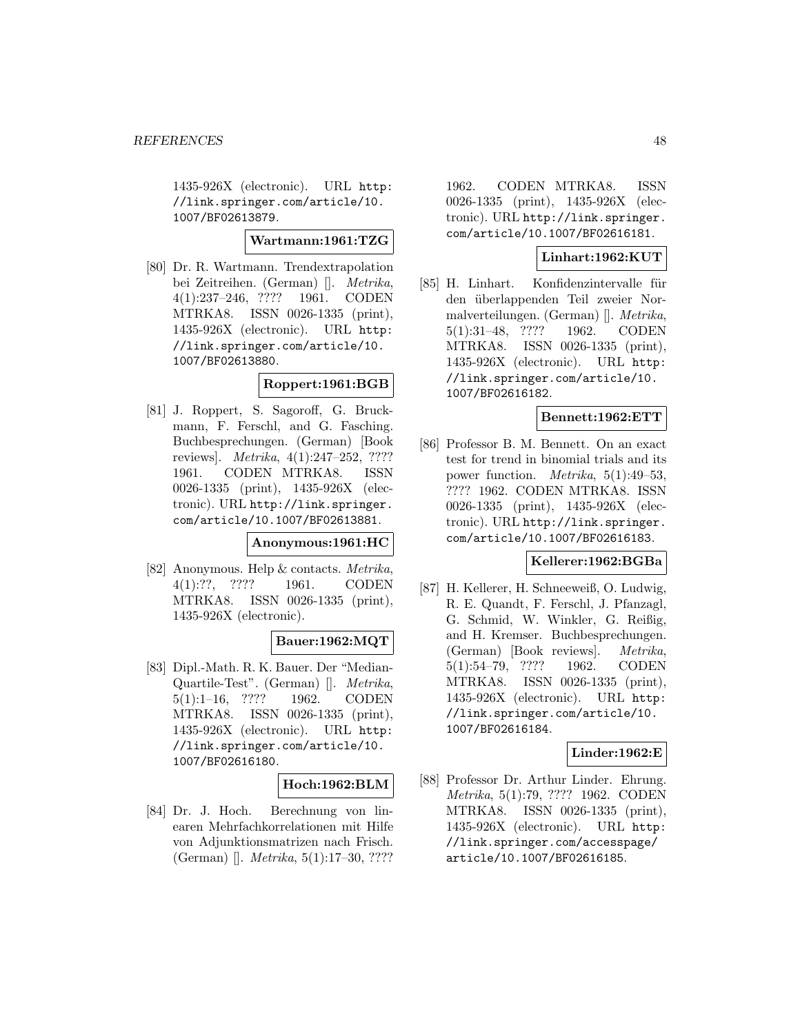1435-926X (electronic). URL http: //link.springer.com/article/10. 1007/BF02613879.

### **Wartmann:1961:TZG**

[80] Dr. R. Wartmann. Trendextrapolation bei Zeitreihen. (German) []. Metrika, 4(1):237–246, ???? 1961. CODEN MTRKA8. ISSN 0026-1335 (print), 1435-926X (electronic). URL http: //link.springer.com/article/10. 1007/BF02613880.

#### **Roppert:1961:BGB**

[81] J. Roppert, S. Sagoroff, G. Bruckmann, F. Ferschl, and G. Fasching. Buchbesprechungen. (German) [Book reviews]. Metrika, 4(1):247–252, ???? 1961. CODEN MTRKA8. ISSN 0026-1335 (print), 1435-926X (electronic). URL http://link.springer. com/article/10.1007/BF02613881.

#### **Anonymous:1961:HC**

[82] Anonymous. Help & contacts. Metrika, 4(1):??, ???? 1961. CODEN MTRKA8. ISSN 0026-1335 (print), 1435-926X (electronic).

## **Bauer:1962:MQT**

[83] Dipl.-Math. R. K. Bauer. Der "Median-Quartile-Test". (German) []. Metrika, 5(1):1–16, ???? 1962. CODEN MTRKA8. ISSN 0026-1335 (print), 1435-926X (electronic). URL http: //link.springer.com/article/10. 1007/BF02616180.

### **Hoch:1962:BLM**

[84] Dr. J. Hoch. Berechnung von linearen Mehrfachkorrelationen mit Hilfe von Adjunktionsmatrizen nach Frisch. (German) []. Metrika, 5(1):17–30, ????

1962. CODEN MTRKA8. ISSN 0026-1335 (print), 1435-926X (electronic). URL http://link.springer. com/article/10.1007/BF02616181.

## **Linhart:1962:KUT**

[85] H. Linhart. Konfidenzintervalle für den überlappenden Teil zweier Normalverteilungen. (German) []. Metrika, 5(1):31–48, ???? 1962. CODEN MTRKA8. ISSN 0026-1335 (print), 1435-926X (electronic). URL http: //link.springer.com/article/10. 1007/BF02616182.

## **Bennett:1962:ETT**

[86] Professor B. M. Bennett. On an exact test for trend in binomial trials and its power function. Metrika, 5(1):49–53, ???? 1962. CODEN MTRKA8. ISSN 0026-1335 (print), 1435-926X (electronic). URL http://link.springer. com/article/10.1007/BF02616183.

## **Kellerer:1962:BGBa**

[87] H. Kellerer, H. Schneeweiß, O. Ludwig, R. E. Quandt, F. Ferschl, J. Pfanzagl, G. Schmid, W. Winkler, G. Reißig, and H. Kremser. Buchbesprechungen. (German) [Book reviews]. Metrika, 5(1):54–79, ???? 1962. CODEN MTRKA8. ISSN 0026-1335 (print), 1435-926X (electronic). URL http: //link.springer.com/article/10. 1007/BF02616184.

### **Linder:1962:E**

[88] Professor Dr. Arthur Linder. Ehrung. Metrika, 5(1):79, ???? 1962. CODEN MTRKA8. ISSN 0026-1335 (print), 1435-926X (electronic). URL http: //link.springer.com/accesspage/ article/10.1007/BF02616185.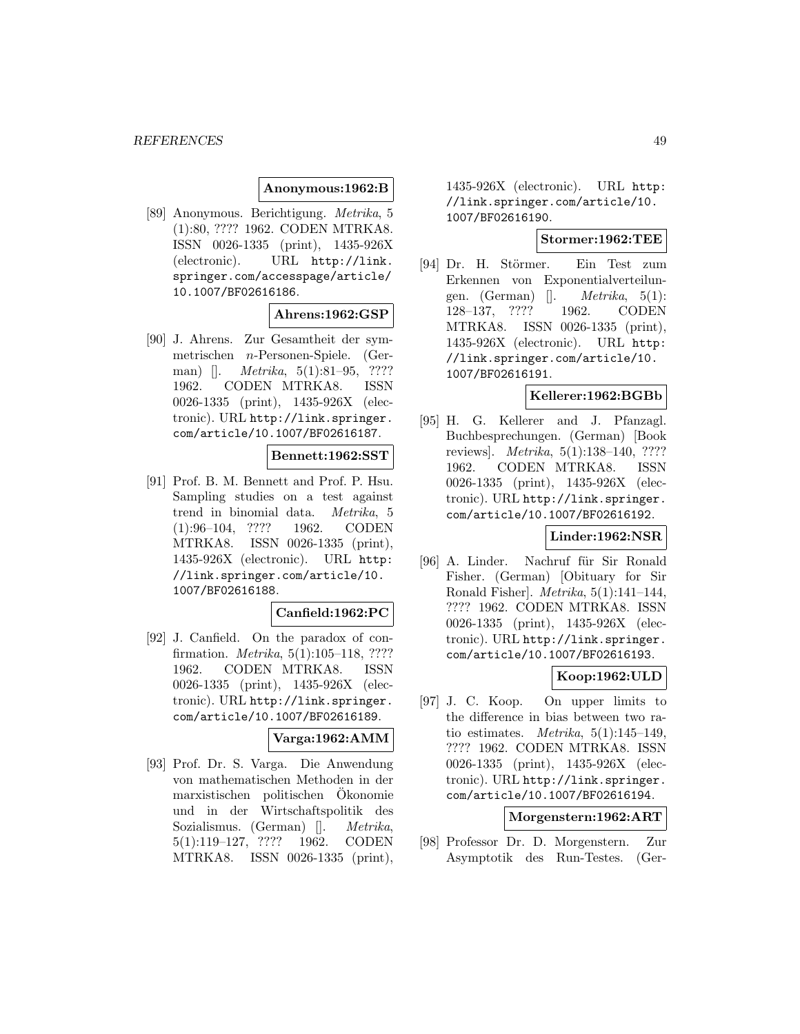## **Anonymous:1962:B**

[89] Anonymous. Berichtigung. Metrika, 5 (1):80, ???? 1962. CODEN MTRKA8. ISSN 0026-1335 (print), 1435-926X (electronic). URL http://link. springer.com/accesspage/article/ 10.1007/BF02616186.

## **Ahrens:1962:GSP**

[90] J. Ahrens. Zur Gesamtheit der symmetrischen n-Personen-Spiele. (German) []. *Metrika*, 5(1):81–95, ???? 1962. CODEN MTRKA8. ISSN 0026-1335 (print), 1435-926X (electronic). URL http://link.springer. com/article/10.1007/BF02616187.

#### **Bennett:1962:SST**

[91] Prof. B. M. Bennett and Prof. P. Hsu. Sampling studies on a test against trend in binomial data. Metrika, 5 (1):96–104, ???? 1962. CODEN MTRKA8. ISSN 0026-1335 (print), 1435-926X (electronic). URL http: //link.springer.com/article/10. 1007/BF02616188.

### **Canfield:1962:PC**

[92] J. Canfield. On the paradox of confirmation. Metrika, 5(1):105–118, ???? 1962. CODEN MTRKA8. ISSN 0026-1335 (print), 1435-926X (electronic). URL http://link.springer. com/article/10.1007/BF02616189.

## **Varga:1962:AMM**

[93] Prof. Dr. S. Varga. Die Anwendung von mathematischen Methoden in der marxistischen politischen Okonomie ¨ und in der Wirtschaftspolitik des Sozialismus. (German) []. *Metrika*, 5(1):119–127, ???? 1962. CODEN MTRKA8. ISSN 0026-1335 (print),

1435-926X (electronic). URL http: //link.springer.com/article/10. 1007/BF02616190.

### **Stormer:1962:TEE**

[94] Dr. H. Störmer. Ein Test zum Erkennen von Exponentialverteilungen. (German)  $\Box$  *Metrika*, 5(1): 128–137, ???? 1962. CODEN MTRKA8. ISSN 0026-1335 (print), 1435-926X (electronic). URL http: //link.springer.com/article/10. 1007/BF02616191.

#### **Kellerer:1962:BGBb**

[95] H. G. Kellerer and J. Pfanzagl. Buchbesprechungen. (German) [Book reviews]. Metrika, 5(1):138–140, ???? 1962. CODEN MTRKA8. ISSN 0026-1335 (print), 1435-926X (electronic). URL http://link.springer. com/article/10.1007/BF02616192.

## **Linder:1962:NSR**

[96] A. Linder. Nachruf für Sir Ronald Fisher. (German) [Obituary for Sir Ronald Fisher]. Metrika, 5(1):141–144, ???? 1962. CODEN MTRKA8. ISSN 0026-1335 (print), 1435-926X (electronic). URL http://link.springer. com/article/10.1007/BF02616193.

### **Koop:1962:ULD**

[97] J. C. Koop. On upper limits to the difference in bias between two ratio estimates. *Metrika*,  $5(1):145-149$ , ???? 1962. CODEN MTRKA8. ISSN 0026-1335 (print), 1435-926X (electronic). URL http://link.springer. com/article/10.1007/BF02616194.

### **Morgenstern:1962:ART**

[98] Professor Dr. D. Morgenstern. Zur Asymptotik des Run-Testes. (Ger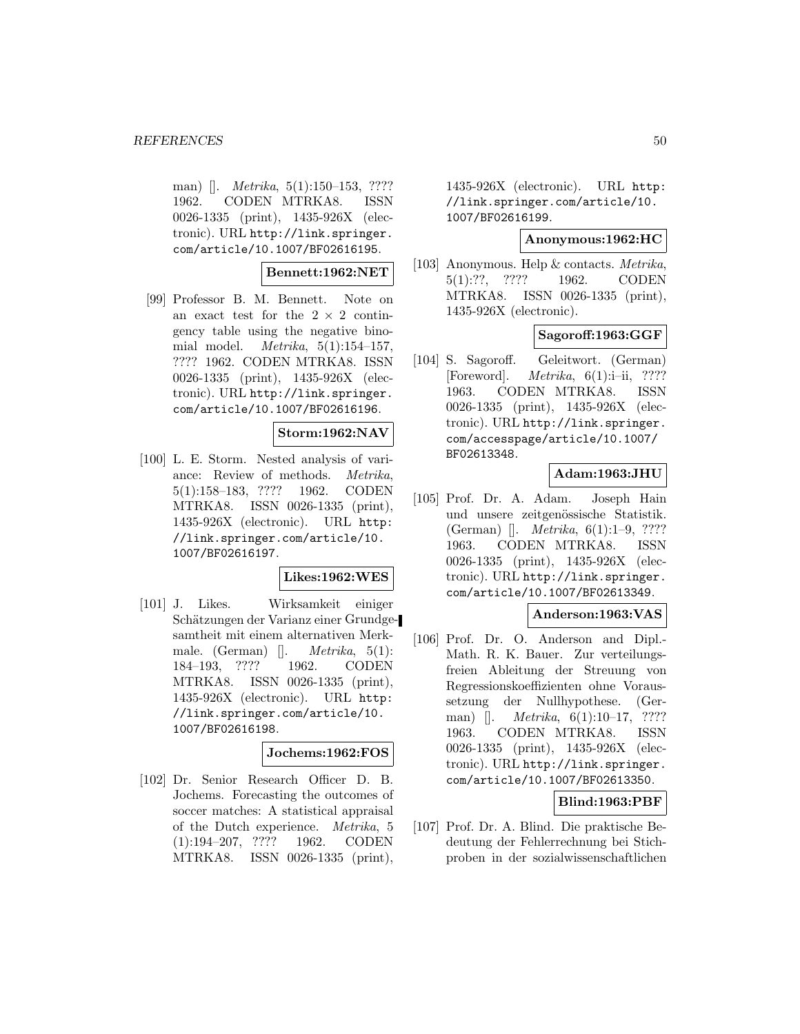man) []. *Metrika*, 5(1):150–153, ???? 1962. CODEN MTRKA8. ISSN 0026-1335 (print), 1435-926X (electronic). URL http://link.springer. com/article/10.1007/BF02616195.

## **Bennett:1962:NET**

[99] Professor B. M. Bennett. Note on an exact test for the  $2 \times 2$  contingency table using the negative binomial model. Metrika, 5(1):154–157, ???? 1962. CODEN MTRKA8. ISSN 0026-1335 (print), 1435-926X (electronic). URL http://link.springer. com/article/10.1007/BF02616196.

### **Storm:1962:NAV**

[100] L. E. Storm. Nested analysis of variance: Review of methods. Metrika, 5(1):158–183, ???? 1962. CODEN MTRKA8. ISSN 0026-1335 (print), 1435-926X (electronic). URL http: //link.springer.com/article/10. 1007/BF02616197.

#### **Likes:1962:WES**

[101] J. Likes. Wirksamkeit einiger Schätzungen der Varianz einer Grundgesamtheit mit einem alternativen Merkmale. (German)  $\Box$  *Metrika*, 5(1): 184–193, ???? 1962. CODEN MTRKA8. ISSN 0026-1335 (print), 1435-926X (electronic). URL http: //link.springer.com/article/10. 1007/BF02616198.

#### **Jochems:1962:FOS**

[102] Dr. Senior Research Officer D. B. Jochems. Forecasting the outcomes of soccer matches: A statistical appraisal of the Dutch experience. Metrika, 5 (1):194–207, ???? 1962. CODEN MTRKA8. ISSN 0026-1335 (print),

1435-926X (electronic). URL http: //link.springer.com/article/10. 1007/BF02616199.

### **Anonymous:1962:HC**

[103] Anonymous. Help & contacts. Metrika, 5(1):??, ???? 1962. CODEN MTRKA8. ISSN 0026-1335 (print), 1435-926X (electronic).

### **Sagoroff:1963:GGF**

[104] S. Sagoroff. Geleitwort. (German) [Foreword]. *Metrika*,  $6(1)$ :*i*-*ii*, ???? 1963. CODEN MTRKA8. ISSN 0026-1335 (print), 1435-926X (electronic). URL http://link.springer. com/accesspage/article/10.1007/ BF02613348.

## **Adam:1963:JHU**

[105] Prof. Dr. A. Adam. Joseph Hain und unsere zeitgenössische Statistik. (German) []. Metrika, 6(1):1–9, ???? 1963. CODEN MTRKA8. ISSN 0026-1335 (print), 1435-926X (electronic). URL http://link.springer. com/article/10.1007/BF02613349.

### **Anderson:1963:VAS**

[106] Prof. Dr. O. Anderson and Dipl.- Math. R. K. Bauer. Zur verteilungsfreien Ableitung der Streuung von Regressionskoeffizienten ohne Voraussetzung der Nullhypothese. (German) []. *Metrika*, 6(1):10–17, ???? 1963. CODEN MTRKA8. ISSN 0026-1335 (print), 1435-926X (electronic). URL http://link.springer. com/article/10.1007/BF02613350.

### **Blind:1963:PBF**

[107] Prof. Dr. A. Blind. Die praktische Bedeutung der Fehlerrechnung bei Stichproben in der sozialwissenschaftlichen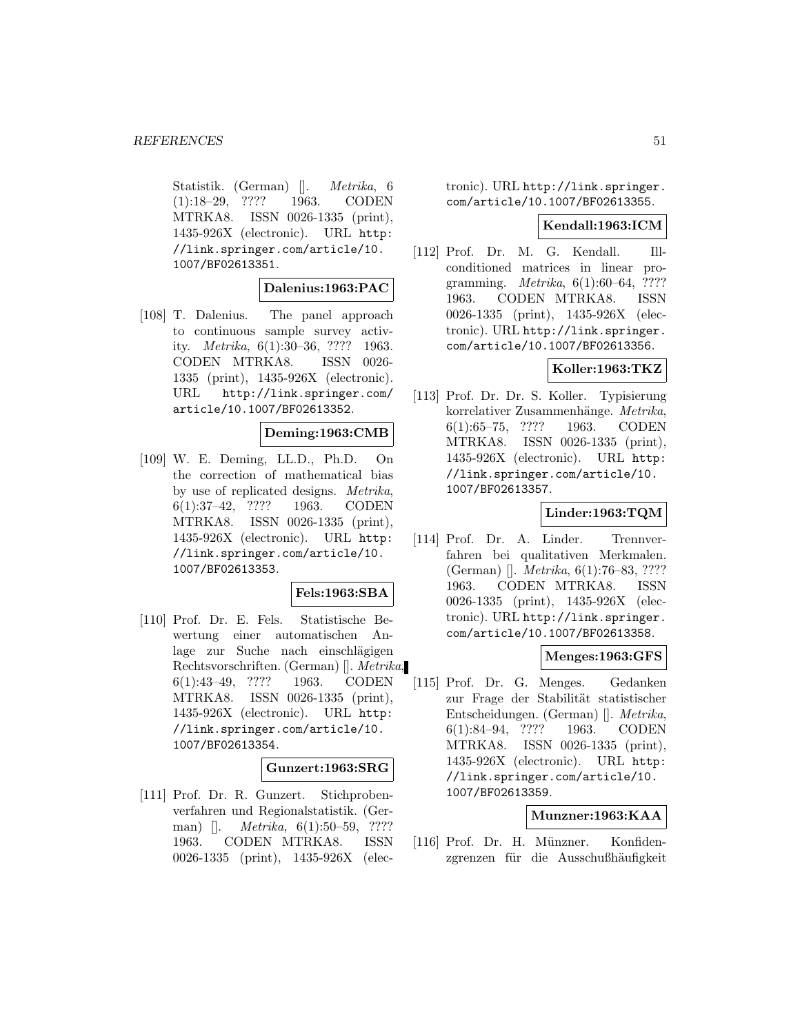Statistik. (German) []. Metrika, 6 (1):18–29, ???? 1963. CODEN MTRKA8. ISSN 0026-1335 (print), 1435-926X (electronic). URL http: //link.springer.com/article/10. 1007/BF02613351.

### **Dalenius:1963:PAC**

[108] T. Dalenius. The panel approach to continuous sample survey activity. Metrika, 6(1):30–36, ???? 1963. CODEN MTRKA8. ISSN 0026- 1335 (print), 1435-926X (electronic). URL http://link.springer.com/ article/10.1007/BF02613352.

#### **Deming:1963:CMB**

[109] W. E. Deming, LL.D., Ph.D. On the correction of mathematical bias by use of replicated designs. Metrika, 6(1):37–42, ???? 1963. CODEN MTRKA8. ISSN 0026-1335 (print), 1435-926X (electronic). URL http: //link.springer.com/article/10. 1007/BF02613353.

### **Fels:1963:SBA**

[110] Prof. Dr. E. Fels. Statistische Bewertung einer automatischen Anlage zur Suche nach einschlägigen Rechtsvorschriften. (German) []. Metrika, 6(1):43–49, ???? 1963. CODEN MTRKA8. ISSN 0026-1335 (print), 1435-926X (electronic). URL http: //link.springer.com/article/10. 1007/BF02613354.

#### **Gunzert:1963:SRG**

[111] Prof. Dr. R. Gunzert. Stichprobenverfahren und Regionalstatistik. (German) []. *Metrika*, 6(1):50–59, ???? 1963. CODEN MTRKA8. ISSN 0026-1335 (print), 1435-926X (electronic). URL http://link.springer. com/article/10.1007/BF02613355.

#### **Kendall:1963:ICM**

[112] Prof. Dr. M. G. Kendall. Illconditioned matrices in linear programming. Metrika, 6(1):60–64, ???? 1963. CODEN MTRKA8. ISSN 0026-1335 (print), 1435-926X (electronic). URL http://link.springer. com/article/10.1007/BF02613356.

## **Koller:1963:TKZ**

[113] Prof. Dr. Dr. S. Koller. Typisierung korrelativer Zusammenhänge. Metrika, 6(1):65–75, ???? 1963. CODEN MTRKA8. ISSN 0026-1335 (print), 1435-926X (electronic). URL http: //link.springer.com/article/10. 1007/BF02613357.

# **Linder:1963:TQM**

[114] Prof. Dr. A. Linder. Trennverfahren bei qualitativen Merkmalen. (German) []. Metrika, 6(1):76–83, ???? 1963. CODEN MTRKA8. ISSN 0026-1335 (print), 1435-926X (electronic). URL http://link.springer. com/article/10.1007/BF02613358.

#### **Menges:1963:GFS**

[115] Prof. Dr. G. Menges. Gedanken zur Frage der Stabilität statistischer Entscheidungen. (German) []. Metrika, 6(1):84–94, ???? 1963. CODEN MTRKA8. ISSN 0026-1335 (print), 1435-926X (electronic). URL http: //link.springer.com/article/10. 1007/BF02613359.

### **Munzner:1963:KAA**

[116] Prof. Dr. H. Münzner. Konfidenzgrenzen für die Ausschußhäufigkeit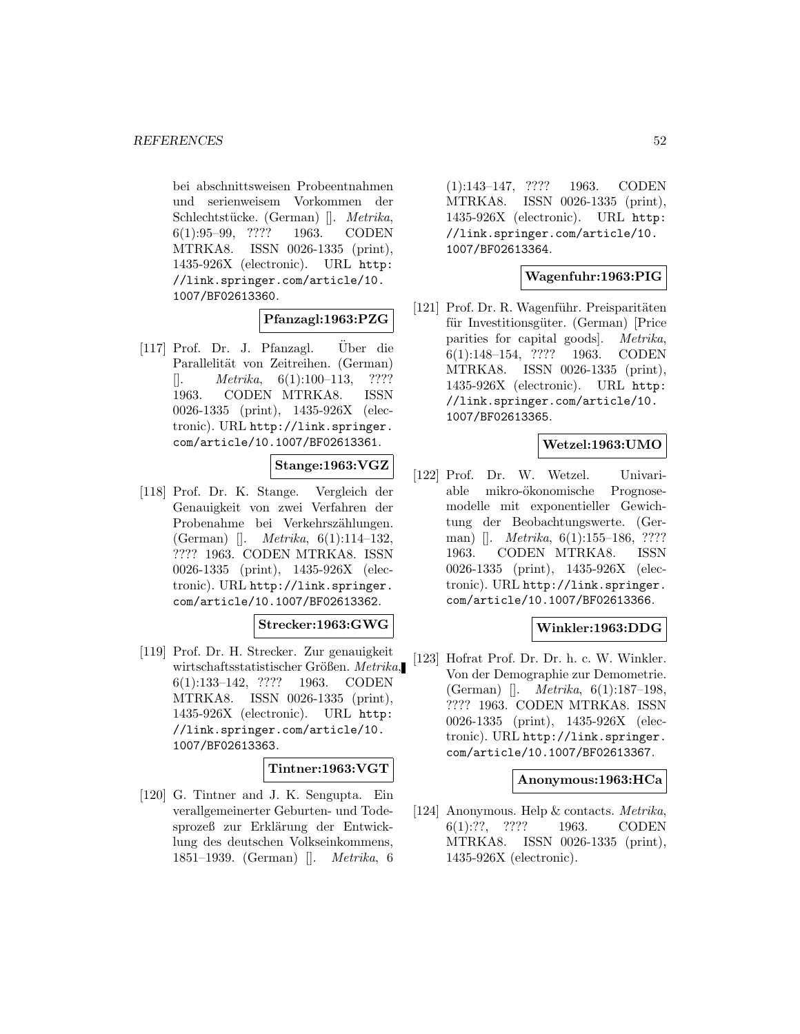bei abschnittsweisen Probeentnahmen und serienweisem Vorkommen der Schlechtstücke. (German) []. Metrika, 6(1):95–99, ???? 1963. CODEN MTRKA8. ISSN 0026-1335 (print), 1435-926X (electronic). URL http: //link.springer.com/article/10. 1007/BF02613360.

#### **Pfanzagl:1963:PZG**

 $[117]$  Prof. Dr. J. Pfanzagl. Uber die Parallelität von Zeitreihen. (German)  $[$ . *Metrika*, 6(1):100–113, ???? 1963. CODEN MTRKA8. ISSN 0026-1335 (print), 1435-926X (electronic). URL http://link.springer. com/article/10.1007/BF02613361.

**Stange:1963:VGZ**

[118] Prof. Dr. K. Stange. Vergleich der Genauigkeit von zwei Verfahren der Probenahme bei Verkehrszählungen. (German) []. Metrika, 6(1):114–132, ???? 1963. CODEN MTRKA8. ISSN 0026-1335 (print), 1435-926X (electronic). URL http://link.springer. com/article/10.1007/BF02613362.

## **Strecker:1963:GWG**

[119] Prof. Dr. H. Strecker. Zur genauigkeit wirtschaftsstatistischer Größen. Metrika, 6(1):133–142, ???? 1963. CODEN MTRKA8. ISSN 0026-1335 (print), 1435-926X (electronic). URL http: //link.springer.com/article/10. 1007/BF02613363.

### **Tintner:1963:VGT**

[120] G. Tintner and J. K. Sengupta. Ein verallgemeinerter Geburten- und Todesprozeß zur Erklärung der Entwicklung des deutschen Volkseinkommens, 1851–1939. (German) []. Metrika, 6

(1):143–147, ???? 1963. CODEN MTRKA8. ISSN 0026-1335 (print), 1435-926X (electronic). URL http: //link.springer.com/article/10. 1007/BF02613364.

### **Wagenfuhr:1963:PIG**

[121] Prof. Dr. R. Wagenführ. Preisparitäten für Investitionsgüter. (German) [Price parities for capital goods]. Metrika, 6(1):148–154, ???? 1963. CODEN MTRKA8. ISSN 0026-1335 (print), 1435-926X (electronic). URL http: //link.springer.com/article/10. 1007/BF02613365.

### **Wetzel:1963:UMO**

[122] Prof. Dr. W. Wetzel. Univariable mikro-ökonomische Prognosemodelle mit exponentieller Gewichtung der Beobachtungswerte. (German) []. *Metrika*, 6(1):155–186, ???? 1963. CODEN MTRKA8. ISSN 0026-1335 (print), 1435-926X (electronic). URL http://link.springer. com/article/10.1007/BF02613366.

#### **Winkler:1963:DDG**

[123] Hofrat Prof. Dr. Dr. h. c. W. Winkler. Von der Demographie zur Demometrie. (German) []. Metrika, 6(1):187–198, ???? 1963. CODEN MTRKA8. ISSN 0026-1335 (print), 1435-926X (electronic). URL http://link.springer. com/article/10.1007/BF02613367.

#### **Anonymous:1963:HCa**

[124] Anonymous. Help & contacts. Metrika, 6(1):??, ???? 1963. CODEN MTRKA8. ISSN 0026-1335 (print), 1435-926X (electronic).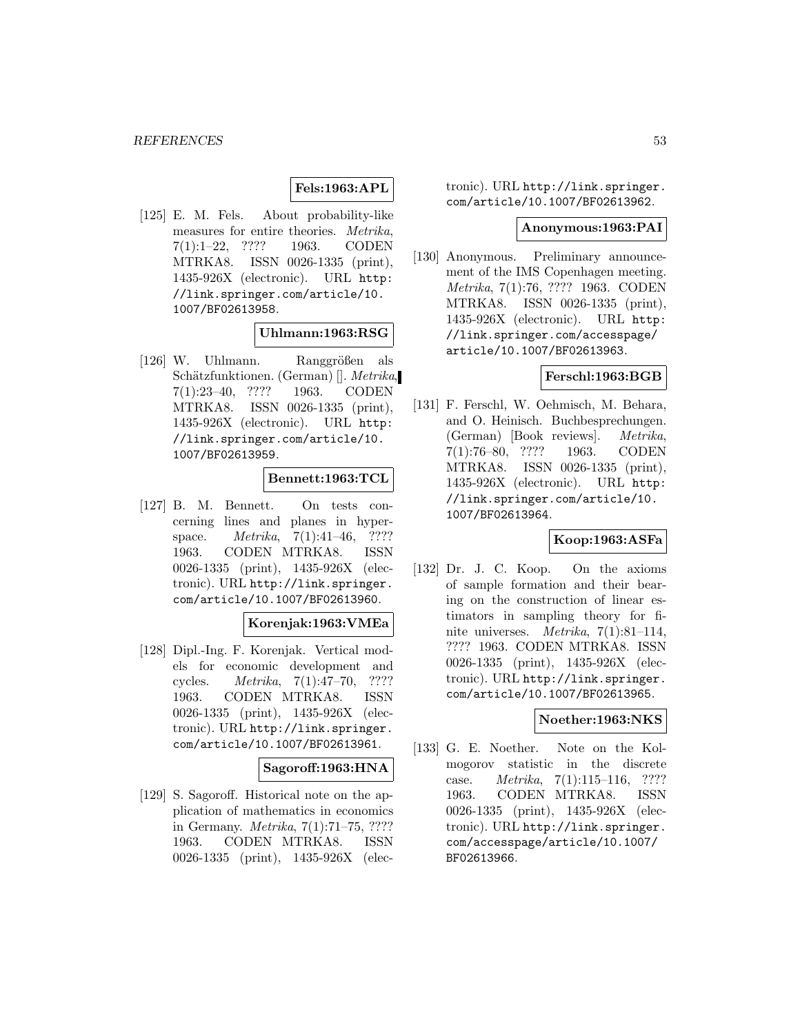## **Fels:1963:APL**

[125] E. M. Fels. About probability-like measures for entire theories. Metrika, 7(1):1–22, ???? 1963. CODEN MTRKA8. ISSN 0026-1335 (print), 1435-926X (electronic). URL http: //link.springer.com/article/10. 1007/BF02613958.

### **Uhlmann:1963:RSG**

 $[126]$  W. Uhlmann. Ranggrößen als Schätzfunktionen. (German) []. Metrika, 7(1):23–40, ???? 1963. CODEN MTRKA8. ISSN 0026-1335 (print), 1435-926X (electronic). URL http: //link.springer.com/article/10. 1007/BF02613959.

#### **Bennett:1963:TCL**

[127] B. M. Bennett. On tests concerning lines and planes in hyperspace. *Metrika*, 7(1):41–46, ???? 1963. CODEN MTRKA8. ISSN 0026-1335 (print), 1435-926X (electronic). URL http://link.springer. com/article/10.1007/BF02613960.

### **Korenjak:1963:VMEa**

[128] Dipl.-Ing. F. Korenjak. Vertical models for economic development and cycles. Metrika, 7(1):47–70, ???? 1963. CODEN MTRKA8. ISSN 0026-1335 (print), 1435-926X (electronic). URL http://link.springer. com/article/10.1007/BF02613961.

#### **Sagoroff:1963:HNA**

[129] S. Sagoroff. Historical note on the application of mathematics in economics in Germany. Metrika, 7(1):71–75, ???? 1963. CODEN MTRKA8. ISSN 0026-1335 (print), 1435-926X (electronic). URL http://link.springer. com/article/10.1007/BF02613962.

#### **Anonymous:1963:PAI**

[130] Anonymous. Preliminary announcement of the IMS Copenhagen meeting. Metrika, 7(1):76, ???? 1963. CODEN MTRKA8. ISSN 0026-1335 (print), 1435-926X (electronic). URL http: //link.springer.com/accesspage/ article/10.1007/BF02613963.

#### **Ferschl:1963:BGB**

[131] F. Ferschl, W. Oehmisch, M. Behara, and O. Heinisch. Buchbesprechungen. (German) [Book reviews]. Metrika, 7(1):76–80, ???? 1963. CODEN MTRKA8. ISSN 0026-1335 (print), 1435-926X (electronic). URL http: //link.springer.com/article/10. 1007/BF02613964.

## **Koop:1963:ASFa**

[132] Dr. J. C. Koop. On the axioms of sample formation and their bearing on the construction of linear estimators in sampling theory for finite universes. Metrika, 7(1):81–114, ???? 1963. CODEN MTRKA8. ISSN 0026-1335 (print), 1435-926X (electronic). URL http://link.springer. com/article/10.1007/BF02613965.

#### **Noether:1963:NKS**

[133] G. E. Noether. Note on the Kolmogorov statistic in the discrete case. Metrika, 7(1):115–116, ???? 1963. CODEN MTRKA8. ISSN 0026-1335 (print), 1435-926X (electronic). URL http://link.springer. com/accesspage/article/10.1007/ BF02613966.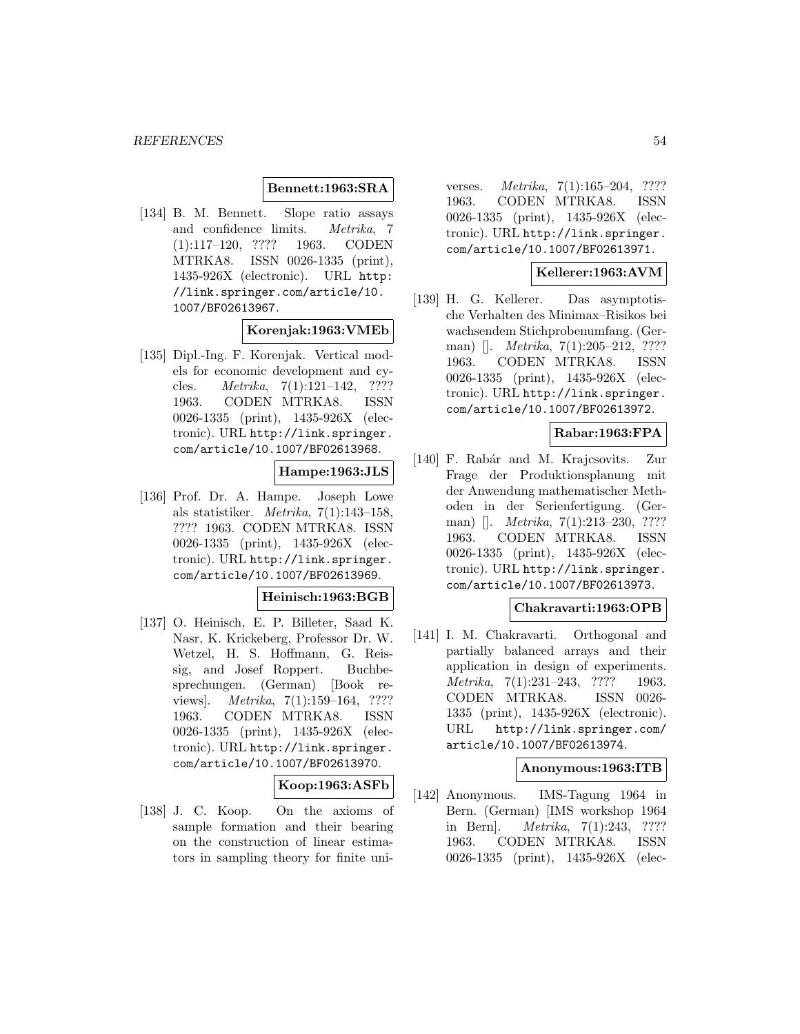#### **Bennett:1963:SRA**

[134] B. M. Bennett. Slope ratio assays and confidence limits. Metrika, 7 (1):117–120, ???? 1963. CODEN MTRKA8. ISSN 0026-1335 (print), 1435-926X (electronic). URL http: //link.springer.com/article/10. 1007/BF02613967.

#### **Korenjak:1963:VMEb**

[135] Dipl.-Ing. F. Korenjak. Vertical models for economic development and cycles. Metrika, 7(1):121–142, ???? 1963. CODEN MTRKA8. ISSN 0026-1335 (print), 1435-926X (electronic). URL http://link.springer. com/article/10.1007/BF02613968.

# **Hampe:1963:JLS**

[136] Prof. Dr. A. Hampe. Joseph Lowe als statistiker. Metrika, 7(1):143–158, ???? 1963. CODEN MTRKA8. ISSN 0026-1335 (print), 1435-926X (electronic). URL http://link.springer. com/article/10.1007/BF02613969.

#### **Heinisch:1963:BGB**

[137] O. Heinisch, E. P. Billeter, Saad K. Nasr, K. Krickeberg, Professor Dr. W. Wetzel, H. S. Hoffmann, G. Reissig, and Josef Roppert. Buchbesprechungen. (German) [Book reviews]. *Metrika*, 7(1):159–164, ???? 1963. CODEN MTRKA8. ISSN 0026-1335 (print), 1435-926X (electronic). URL http://link.springer. com/article/10.1007/BF02613970.

**Koop:1963:ASFb**

[138] J. C. Koop. On the axioms of sample formation and their bearing on the construction of linear estimators in sampling theory for finite uni-

verses. Metrika, 7(1):165–204, ???? 1963. CODEN MTRKA8. ISSN 0026-1335 (print), 1435-926X (electronic). URL http://link.springer. com/article/10.1007/BF02613971.

#### **Kellerer:1963:AVM**

[139] H. G. Kellerer. Das asymptotische Verhalten des Minimax–Risikos bei wachsendem Stichprobenumfang. (German) []. *Metrika*, 7(1):205–212, ???? 1963. CODEN MTRKA8. ISSN 0026-1335 (print), 1435-926X (electronic). URL http://link.springer. com/article/10.1007/BF02613972.

### **Rabar:1963:FPA**

[140] F. Rabár and M. Krajcsovits. Zur Frage der Produktionsplanung mit der Anwendung mathematischer Methoden in der Serienfertigung. (German) []. *Metrika*, 7(1):213–230, ???? 1963. CODEN MTRKA8. ISSN 0026-1335 (print), 1435-926X (electronic). URL http://link.springer. com/article/10.1007/BF02613973.

## **Chakravarti:1963:OPB**

[141] I. M. Chakravarti. Orthogonal and partially balanced arrays and their application in design of experiments. Metrika, 7(1):231–243, ???? 1963. CODEN MTRKA8. ISSN 0026- 1335 (print), 1435-926X (electronic). URL http://link.springer.com/ article/10.1007/BF02613974.

#### **Anonymous:1963:ITB**

[142] Anonymous. IMS-Tagung 1964 in Bern. (German) [IMS workshop 1964 in Bern]. Metrika, 7(1):243, ???? 1963. CODEN MTRKA8. ISSN 0026-1335 (print), 1435-926X (elec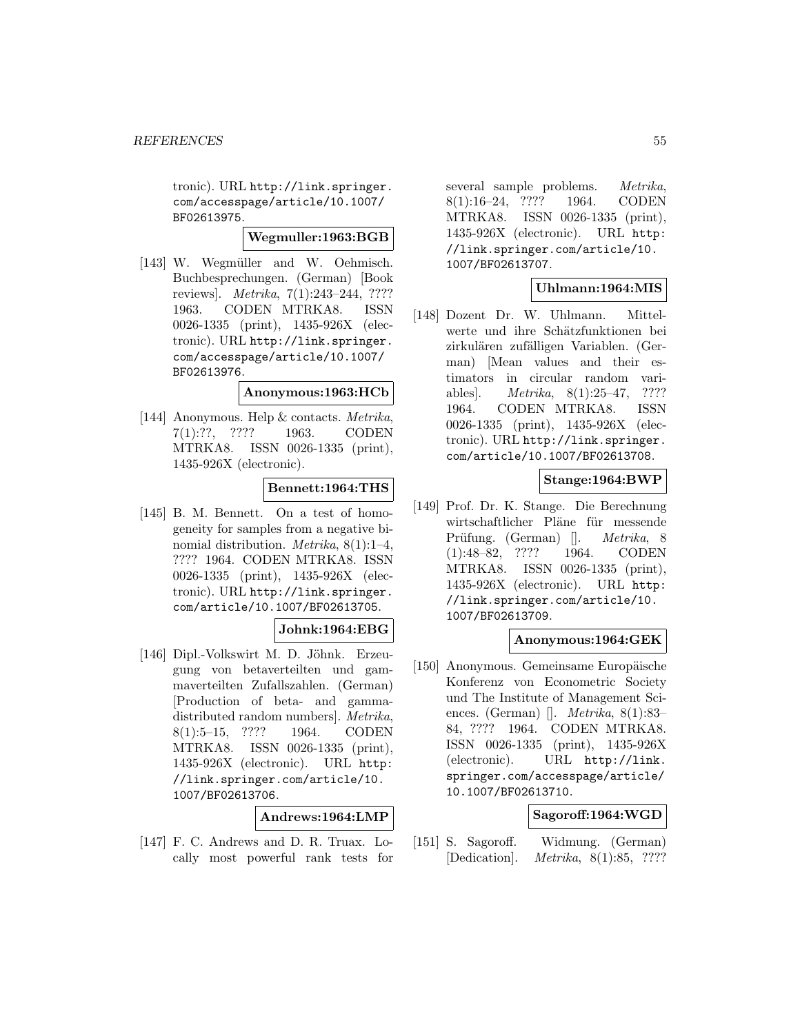tronic). URL http://link.springer. com/accesspage/article/10.1007/ BF02613975.

**Wegmuller:1963:BGB**

[143] W. Wegmüller and W. Oehmisch. Buchbesprechungen. (German) [Book reviews]. Metrika, 7(1):243–244, ???? 1963. CODEN MTRKA8. ISSN 0026-1335 (print), 1435-926X (electronic). URL http://link.springer. com/accesspage/article/10.1007/ BF02613976.

#### **Anonymous:1963:HCb**

[144] Anonymous. Help & contacts. Metrika, 7(1):??, ???? 1963. CODEN MTRKA8. ISSN 0026-1335 (print), 1435-926X (electronic).

### **Bennett:1964:THS**

[145] B. M. Bennett. On a test of homogeneity for samples from a negative binomial distribution. Metrika, 8(1):1–4, ???? 1964. CODEN MTRKA8. ISSN 0026-1335 (print), 1435-926X (electronic). URL http://link.springer. com/article/10.1007/BF02613705.

# **Johnk:1964:EBG**

[146] Dipl.-Volkswirt M. D. Jöhnk. Erzeugung von betaverteilten und gammaverteilten Zufallszahlen. (German) [Production of beta- and gammadistributed random numbers]. Metrika, 8(1):5–15, ???? 1964. CODEN MTRKA8. ISSN 0026-1335 (print), 1435-926X (electronic). URL http: //link.springer.com/article/10. 1007/BF02613706.

**Andrews:1964:LMP**

[147] F. C. Andrews and D. R. Truax. Locally most powerful rank tests for several sample problems. Metrika, 8(1):16–24, ???? 1964. CODEN MTRKA8. ISSN 0026-1335 (print), 1435-926X (electronic). URL http: //link.springer.com/article/10. 1007/BF02613707.

### **Uhlmann:1964:MIS**

[148] Dozent Dr. W. Uhlmann. Mittelwerte und ihre Schätzfunktionen bei zirkulären zufälligen Variablen. (German) [Mean values and their estimators in circular random variables]. Metrika, 8(1):25–47, ???? 1964. CODEN MTRKA8. ISSN 0026-1335 (print), 1435-926X (electronic). URL http://link.springer. com/article/10.1007/BF02613708.

# **Stange:1964:BWP**

[149] Prof. Dr. K. Stange. Die Berechnung wirtschaftlicher Pläne für messende Prüfung. (German) []. *Metrika*, 8 (1):48–82, ???? 1964. CODEN MTRKA8. ISSN 0026-1335 (print), 1435-926X (electronic). URL http: //link.springer.com/article/10. 1007/BF02613709.

### **Anonymous:1964:GEK**

[150] Anonymous. Gemeinsame Europäische Konferenz von Econometric Society und The Institute of Management Sciences. (German) []. Metrika, 8(1):83– 84, ???? 1964. CODEN MTRKA8. ISSN 0026-1335 (print), 1435-926X (electronic). URL http://link. springer.com/accesspage/article/ 10.1007/BF02613710.

### **Sagoroff:1964:WGD**

[151] S. Sagoroff. Widmung. (German) [Dedication]. Metrika, 8(1):85, ????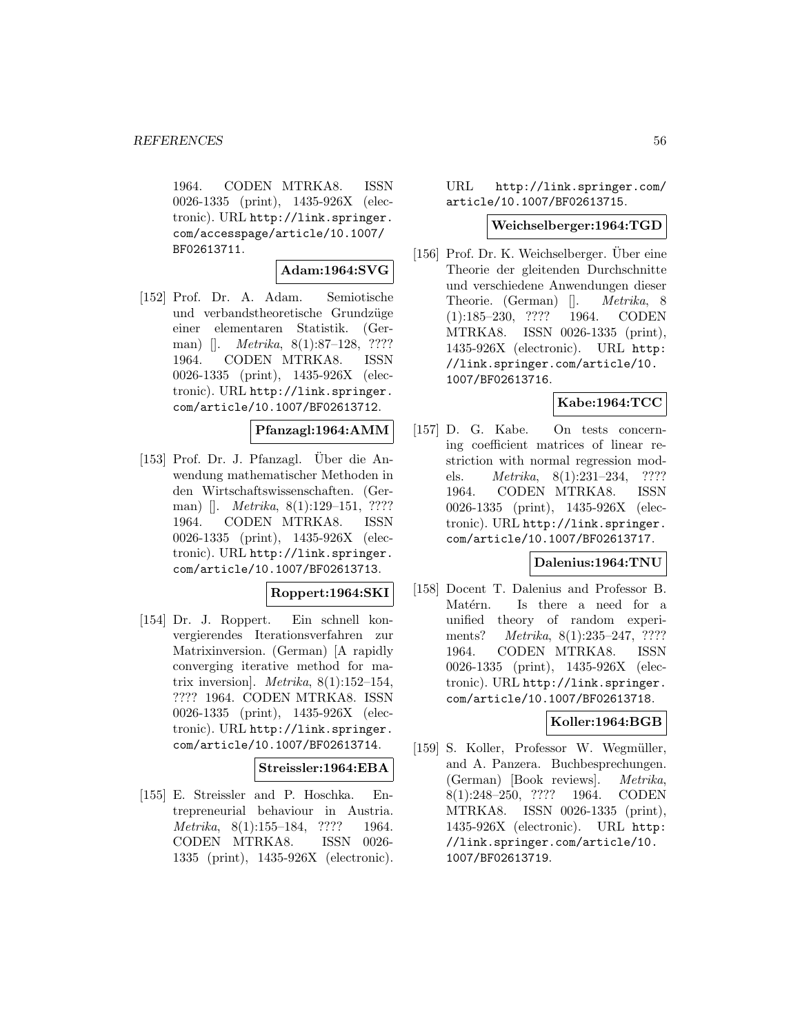1964. CODEN MTRKA8. ISSN 0026-1335 (print), 1435-926X (electronic). URL http://link.springer. com/accesspage/article/10.1007/ BF02613711.

### **Adam:1964:SVG**

[152] Prof. Dr. A. Adam. Semiotische und verbandstheoretische Grundzüge einer elementaren Statistik. (German) []. *Metrika*, 8(1):87–128, ???? 1964. CODEN MTRKA8. ISSN 0026-1335 (print), 1435-926X (electronic). URL http://link.springer. com/article/10.1007/BF02613712.

**Pfanzagl:1964:AMM**

 $[153]$  Prof. Dr. J. Pfanzagl. Über die Anwendung mathematischer Methoden in den Wirtschaftswissenschaften. (German) []. *Metrika*, 8(1):129–151, ???? 1964. CODEN MTRKA8. ISSN 0026-1335 (print), 1435-926X (electronic). URL http://link.springer. com/article/10.1007/BF02613713.

### **Roppert:1964:SKI**

[154] Dr. J. Roppert. Ein schnell konvergierendes Iterationsverfahren zur Matrixinversion. (German) [A rapidly converging iterative method for matrix inversion]. *Metrika*,  $8(1):152-154$ , ???? 1964. CODEN MTRKA8. ISSN 0026-1335 (print), 1435-926X (electronic). URL http://link.springer. com/article/10.1007/BF02613714.

**Streissler:1964:EBA**

[155] E. Streissler and P. Hoschka. Entrepreneurial behaviour in Austria. Metrika, 8(1):155–184, ???? 1964. CODEN MTRKA8. ISSN 0026- 1335 (print), 1435-926X (electronic).

URL http://link.springer.com/ article/10.1007/BF02613715.

#### **Weichselberger:1964:TGD**

[156] Prof. Dr. K. Weichselberger. Uber eine Theorie der gleitenden Durchschnitte und verschiedene Anwendungen dieser Theorie. (German) []. Metrika, 8 (1):185–230, ???? 1964. CODEN MTRKA8. ISSN 0026-1335 (print), 1435-926X (electronic). URL http: //link.springer.com/article/10. 1007/BF02613716.

# **Kabe:1964:TCC**

[157] D. G. Kabe. On tests concerning coefficient matrices of linear restriction with normal regression models. Metrika, 8(1):231–234, ???? 1964. CODEN MTRKA8. ISSN 0026-1335 (print), 1435-926X (electronic). URL http://link.springer. com/article/10.1007/BF02613717.

#### **Dalenius:1964:TNU**

[158] Docent T. Dalenius and Professor B. Matérn. Is there a need for a unified theory of random experiments? Metrika, 8(1):235–247, ???? 1964. CODEN MTRKA8. ISSN 0026-1335 (print), 1435-926X (electronic). URL http://link.springer. com/article/10.1007/BF02613718.

### **Koller:1964:BGB**

[159] S. Koller, Professor W. Wegmüller, and A. Panzera. Buchbesprechungen. (German) [Book reviews]. Metrika, 8(1):248–250, ???? 1964. CODEN MTRKA8. ISSN 0026-1335 (print), 1435-926X (electronic). URL http: //link.springer.com/article/10. 1007/BF02613719.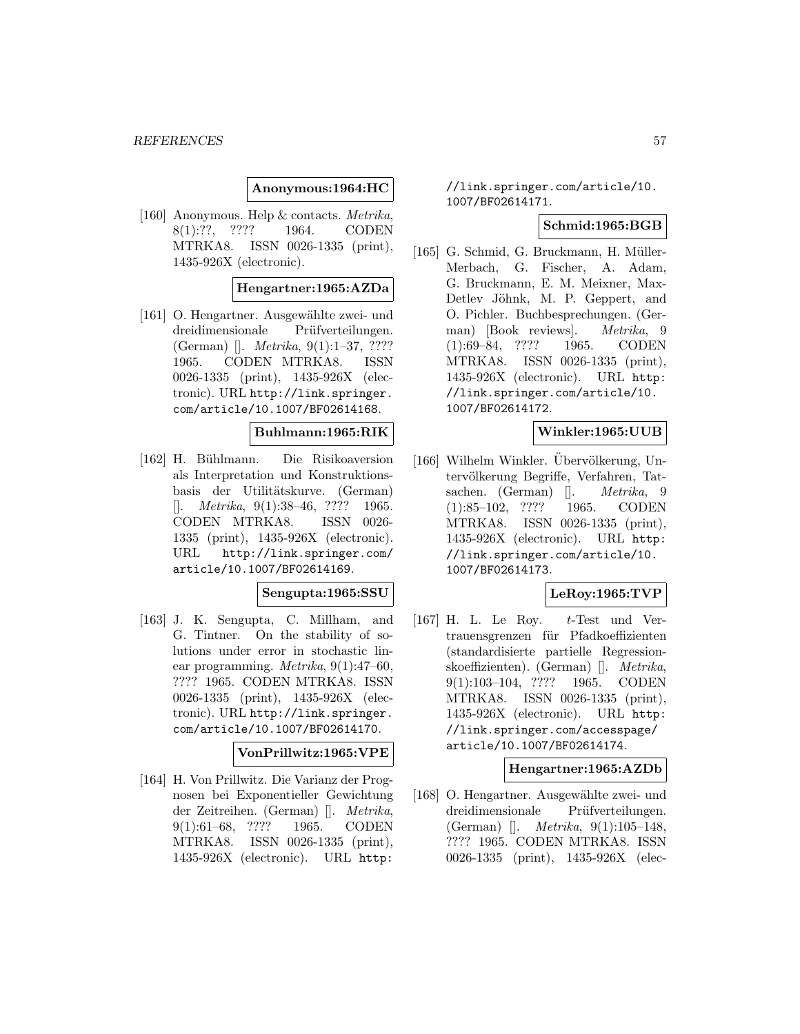#### **Anonymous:1964:HC**

[160] Anonymous. Help & contacts. Metrika, 8(1):??, ???? 1964. CODEN MTRKA8. ISSN 0026-1335 (print), 1435-926X (electronic).

#### **Hengartner:1965:AZDa**

[161] O. Hengartner. Ausgewählte zwei- und dreidimensionale Prüfverteilungen. (German) []. Metrika, 9(1):1–37, ???? 1965. CODEN MTRKA8. ISSN 0026-1335 (print), 1435-926X (electronic). URL http://link.springer. com/article/10.1007/BF02614168.

#### **Buhlmann:1965:RIK**

[162] H. Bühlmann. Die Risikoaversion als Interpretation und Konstruktionsbasis der Utilitätskurve. (German)  $[$ . *Metrika*, 9(1):38–46, ???? 1965. CODEN MTRKA8. ISSN 0026- 1335 (print), 1435-926X (electronic). URL http://link.springer.com/ article/10.1007/BF02614169.

#### **Sengupta:1965:SSU**

[163] J. K. Sengupta, C. Millham, and G. Tintner. On the stability of solutions under error in stochastic linear programming. Metrika, 9(1):47–60, ???? 1965. CODEN MTRKA8. ISSN 0026-1335 (print), 1435-926X (electronic). URL http://link.springer. com/article/10.1007/BF02614170.

# **VonPrillwitz:1965:VPE**

[164] H. Von Prillwitz. Die Varianz der Prognosen bei Exponentieller Gewichtung der Zeitreihen. (German) []. Metrika, 9(1):61–68, ???? 1965. CODEN MTRKA8. ISSN 0026-1335 (print), 1435-926X (electronic). URL http:

//link.springer.com/article/10. 1007/BF02614171.

#### **Schmid:1965:BGB**

[165] G. Schmid, G. Bruckmann, H. Müller-Merbach, G. Fischer, A. Adam, G. Bruckmann, E. M. Meixner, Max-Detlev Jöhnk, M. P. Geppert, and O. Pichler. Buchbesprechungen. (German) [Book reviews]. Metrika, 9 (1):69–84, ???? 1965. CODEN MTRKA8. ISSN 0026-1335 (print), 1435-926X (electronic). URL http: //link.springer.com/article/10. 1007/BF02614172.

# **Winkler:1965:UUB**

[166] Wilhelm Winkler. Ubervölkerung, Untervölkerung Begriffe, Verfahren, Tatsachen. (German) []. *Metrika*, 9 (1):85–102, ???? 1965. CODEN MTRKA8. ISSN 0026-1335 (print), 1435-926X (electronic). URL http: //link.springer.com/article/10. 1007/BF02614173.

## **LeRoy:1965:TVP**

[167] H. L. Le Roy.  $t$ -Test und Vertrauensgrenzen für Pfadkoeffizienten (standardisierte partielle Regressionskoeffizienten). (German) []. Metrika, 9(1):103–104, ???? 1965. CODEN MTRKA8. ISSN 0026-1335 (print), 1435-926X (electronic). URL http: //link.springer.com/accesspage/ article/10.1007/BF02614174.

#### **Hengartner:1965:AZDb**

[168] O. Hengartner. Ausgewählte zwei- und dreidimensionale Prüfverteilungen. (German) []. Metrika, 9(1):105–148, ???? 1965. CODEN MTRKA8. ISSN 0026-1335 (print), 1435-926X (elec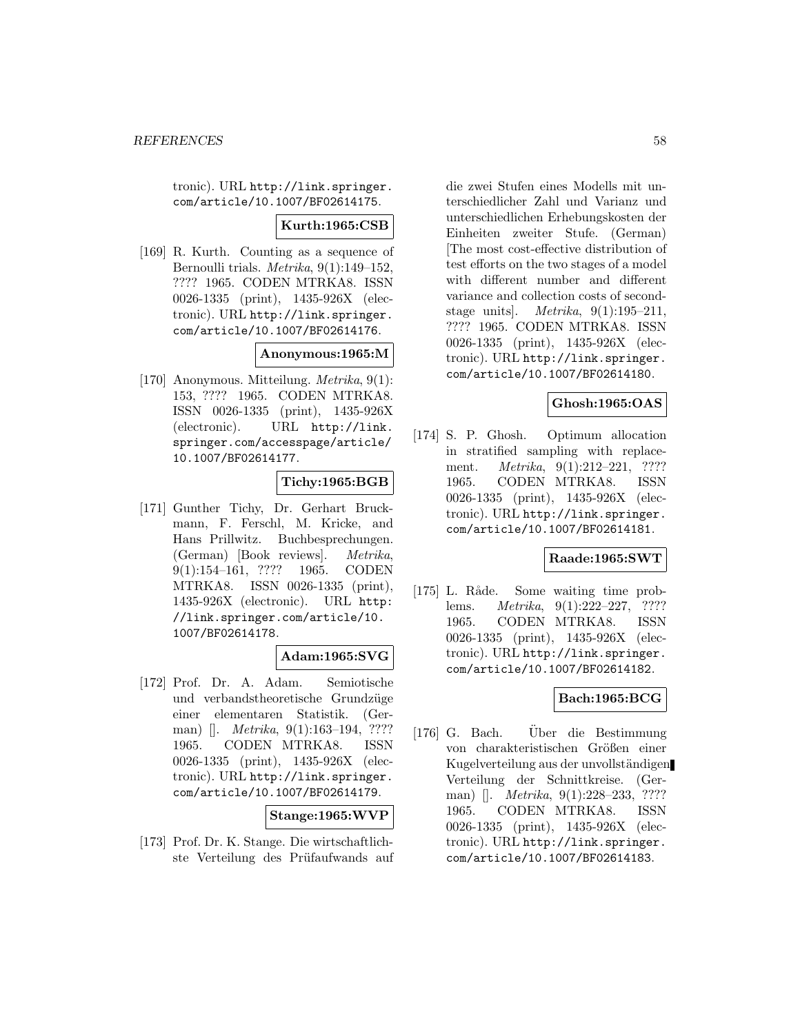tronic). URL http://link.springer. com/article/10.1007/BF02614175.

## **Kurth:1965:CSB**

[169] R. Kurth. Counting as a sequence of Bernoulli trials. Metrika, 9(1):149–152, ???? 1965. CODEN MTRKA8. ISSN 0026-1335 (print), 1435-926X (electronic). URL http://link.springer. com/article/10.1007/BF02614176.

### **Anonymous:1965:M**

[170] Anonymous. Mitteilung. Metrika, 9(1): 153, ???? 1965. CODEN MTRKA8. ISSN 0026-1335 (print), 1435-926X (electronic). URL http://link. springer.com/accesspage/article/ 10.1007/BF02614177.

## **Tichy:1965:BGB**

[171] Gunther Tichy, Dr. Gerhart Bruckmann, F. Ferschl, M. Kricke, and Hans Prillwitz. Buchbesprechungen. (German) [Book reviews]. Metrika, 9(1):154–161, ???? 1965. CODEN MTRKA8. ISSN 0026-1335 (print), 1435-926X (electronic). URL http: //link.springer.com/article/10. 1007/BF02614178.

### **Adam:1965:SVG**

[172] Prof. Dr. A. Adam. Semiotische und verbandstheoretische Grundzüge einer elementaren Statistik. (German) []. *Metrika*, 9(1):163–194, ???? 1965. CODEN MTRKA8. ISSN 0026-1335 (print), 1435-926X (electronic). URL http://link.springer. com/article/10.1007/BF02614179.

#### **Stange:1965:WVP**

[173] Prof. Dr. K. Stange. Die wirtschaftlichste Verteilung des Prüfaufwands auf

die zwei Stufen eines Modells mit unterschiedlicher Zahl und Varianz und unterschiedlichen Erhebungskosten der Einheiten zweiter Stufe. (German) [The most cost-effective distribution of test efforts on the two stages of a model with different number and different variance and collection costs of secondstage units. *Metrika*,  $9(1):195-211$ , ???? 1965. CODEN MTRKA8. ISSN 0026-1335 (print), 1435-926X (electronic). URL http://link.springer. com/article/10.1007/BF02614180.

### **Ghosh:1965:OAS**

[174] S. P. Ghosh. Optimum allocation in stratified sampling with replacement. *Metrika*, 9(1):212-221, ???? 1965. CODEN MTRKA8. ISSN 0026-1335 (print), 1435-926X (electronic). URL http://link.springer. com/article/10.1007/BF02614181.

#### **Raade:1965:SWT**

[175] L. Råde. Some waiting time problems. Metrika, 9(1):222–227, ???? 1965. CODEN MTRKA8. ISSN 0026-1335 (print), 1435-926X (electronic). URL http://link.springer. com/article/10.1007/BF02614182.

### **Bach:1965:BCG**

[176] G. Bach. Über die Bestimmung von charakteristischen Größen einer Kugelverteilung aus der unvollständigen Verteilung der Schnittkreise. (German) []. *Metrika*, 9(1):228–233, ???? 1965. CODEN MTRKA8. ISSN 0026-1335 (print), 1435-926X (electronic). URL http://link.springer. com/article/10.1007/BF02614183.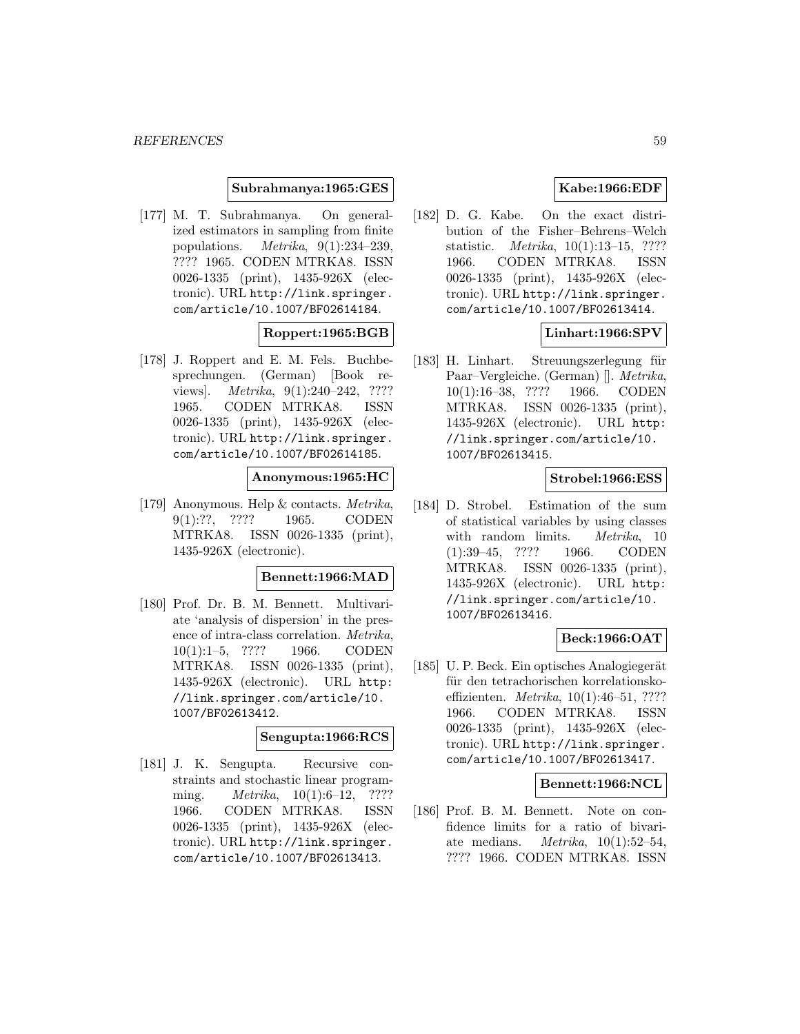#### **Subrahmanya:1965:GES**

[177] M. T. Subrahmanya. On generalized estimators in sampling from finite populations. Metrika, 9(1):234–239, ???? 1965. CODEN MTRKA8. ISSN 0026-1335 (print), 1435-926X (electronic). URL http://link.springer. com/article/10.1007/BF02614184.

## **Roppert:1965:BGB**

[178] J. Roppert and E. M. Fels. Buchbesprechungen. (German) [Book reviews. *Metrika*, 9(1):240–242, ???? 1965. CODEN MTRKA8. ISSN 0026-1335 (print), 1435-926X (electronic). URL http://link.springer. com/article/10.1007/BF02614185.

### **Anonymous:1965:HC**

[179] Anonymous. Help & contacts. Metrika, 9(1):??, ???? 1965. CODEN MTRKA8. ISSN 0026-1335 (print), 1435-926X (electronic).

#### **Bennett:1966:MAD**

[180] Prof. Dr. B. M. Bennett. Multivariate 'analysis of dispersion' in the presence of intra-class correlation. Metrika, 10(1):1–5, ???? 1966. CODEN MTRKA8. ISSN 0026-1335 (print), 1435-926X (electronic). URL http: //link.springer.com/article/10. 1007/BF02613412.

#### **Sengupta:1966:RCS**

[181] J. K. Sengupta. Recursive constraints and stochastic linear programming. *Metrika*, 10(1):6–12, ???? 1966. CODEN MTRKA8. ISSN 0026-1335 (print), 1435-926X (electronic). URL http://link.springer. com/article/10.1007/BF02613413.

# **Kabe:1966:EDF**

[182] D. G. Kabe. On the exact distribution of the Fisher–Behrens–Welch statistic. Metrika, 10(1):13–15, ???? 1966. CODEN MTRKA8. ISSN 0026-1335 (print), 1435-926X (electronic). URL http://link.springer. com/article/10.1007/BF02613414.

### **Linhart:1966:SPV**

[183] H. Linhart. Streuungszerlegung für Paar–Vergleiche. (German) []. Metrika, 10(1):16–38, ???? 1966. CODEN MTRKA8. ISSN 0026-1335 (print), 1435-926X (electronic). URL http: //link.springer.com/article/10. 1007/BF02613415.

## **Strobel:1966:ESS**

[184] D. Strobel. Estimation of the sum of statistical variables by using classes with random limits. *Metrika*, 10 (1):39–45, ???? 1966. CODEN MTRKA8. ISSN 0026-1335 (print), 1435-926X (electronic). URL http: //link.springer.com/article/10. 1007/BF02613416.

### **Beck:1966:OAT**

[185] U. P. Beck. Ein optisches Analogiegerät für den tetrachorischen korrelationskoeffizienten. Metrika, 10(1):46–51, ???? 1966. CODEN MTRKA8. ISSN 0026-1335 (print), 1435-926X (electronic). URL http://link.springer. com/article/10.1007/BF02613417.

# **Bennett:1966:NCL**

[186] Prof. B. M. Bennett. Note on confidence limits for a ratio of bivariate medians. *Metrika*,  $10(1):52-54$ , ???? 1966. CODEN MTRKA8. ISSN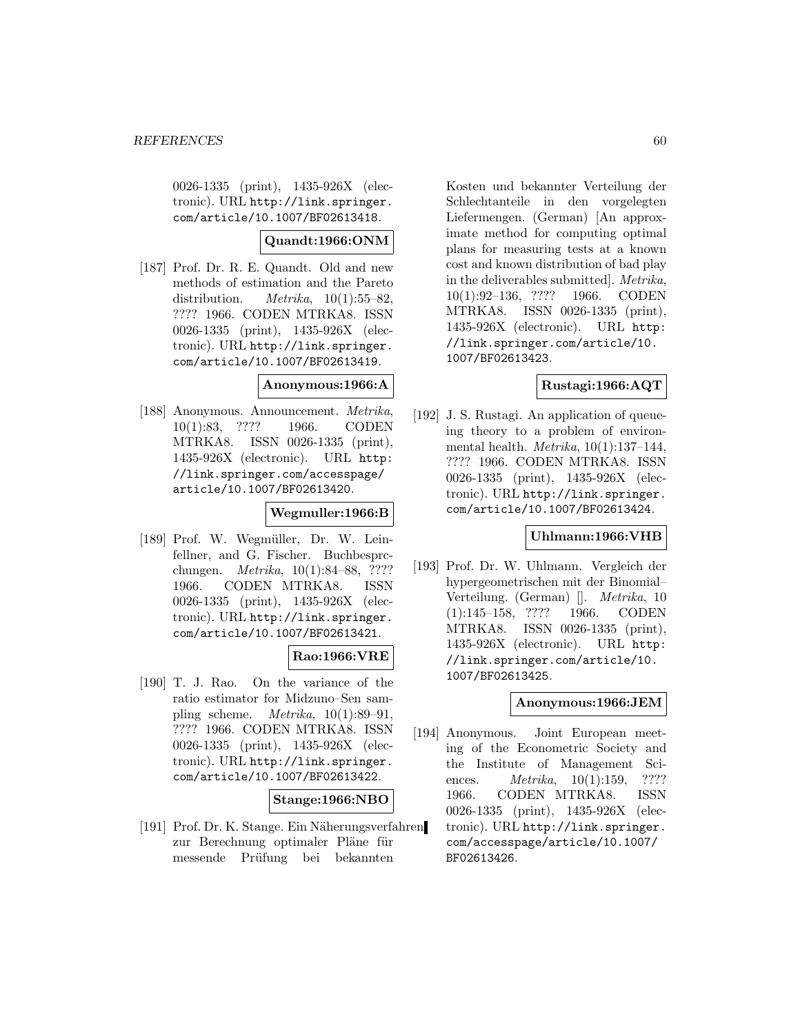0026-1335 (print), 1435-926X (electronic). URL http://link.springer. com/article/10.1007/BF02613418.

# **Quandt:1966:ONM**

[187] Prof. Dr. R. E. Quandt. Old and new methods of estimation and the Pareto distribution. *Metrika*,  $10(1):55-82$ , ???? 1966. CODEN MTRKA8. ISSN 0026-1335 (print), 1435-926X (electronic). URL http://link.springer. com/article/10.1007/BF02613419.

#### **Anonymous:1966:A**

[188] Anonymous. Announcement. Metrika, 10(1):83, ???? 1966. CODEN MTRKA8. ISSN 0026-1335 (print), 1435-926X (electronic). URL http: //link.springer.com/accesspage/ article/10.1007/BF02613420.

#### **Wegmuller:1966:B**

[189] Prof. W. Wegmüller, Dr. W. Leinfellner, and G. Fischer. Buchbesprcchungen. Metrika, 10(1):84–88, ???? 1966. CODEN MTRKA8. ISSN 0026-1335 (print), 1435-926X (electronic). URL http://link.springer. com/article/10.1007/BF02613421.

### **Rao:1966:VRE**

[190] T. J. Rao. On the variance of the ratio estimator for Midzuno–Sen sampling scheme.  $Metrika$ ,  $10(1):89-91$ , ???? 1966. CODEN MTRKA8. ISSN 0026-1335 (print), 1435-926X (electronic). URL http://link.springer. com/article/10.1007/BF02613422.

### **Stange:1966:NBO**

[191] Prof. Dr. K. Stange. Ein Näherungsverfahren zur Berechnung optimaler Pläne für messende Prüfung bei bekannten

Kosten und bekannter Verteilung der Schlechtanteile in den vorgelegten Liefermengen. (German) [An approximate method for computing optimal plans for measuring tests at a known cost and known distribution of bad play in the deliverables submitted]. Metrika, 10(1):92–136, ???? 1966. CODEN MTRKA8. ISSN 0026-1335 (print), 1435-926X (electronic). URL http: //link.springer.com/article/10. 1007/BF02613423.

## **Rustagi:1966:AQT**

[192] J. S. Rustagi. An application of queueing theory to a problem of environmental health. Metrika, 10(1):137–144, ???? 1966. CODEN MTRKA8. ISSN 0026-1335 (print), 1435-926X (electronic). URL http://link.springer. com/article/10.1007/BF02613424.

### **Uhlmann:1966:VHB**

[193] Prof. Dr. W. Uhlmann. Vergleich der hypergeometrischen mit der Binomial– Verteilung. (German) []. Metrika, 10 (1):145–158, ???? 1966. CODEN MTRKA8. ISSN 0026-1335 (print), 1435-926X (electronic). URL http: //link.springer.com/article/10. 1007/BF02613425.

#### **Anonymous:1966:JEM**

[194] Anonymous. Joint European meeting of the Econometric Society and the Institute of Management Sciences. *Metrika*, 10(1):159, ???? 1966. CODEN MTRKA8. ISSN 0026-1335 (print), 1435-926X (electronic). URL http://link.springer. com/accesspage/article/10.1007/ BF02613426.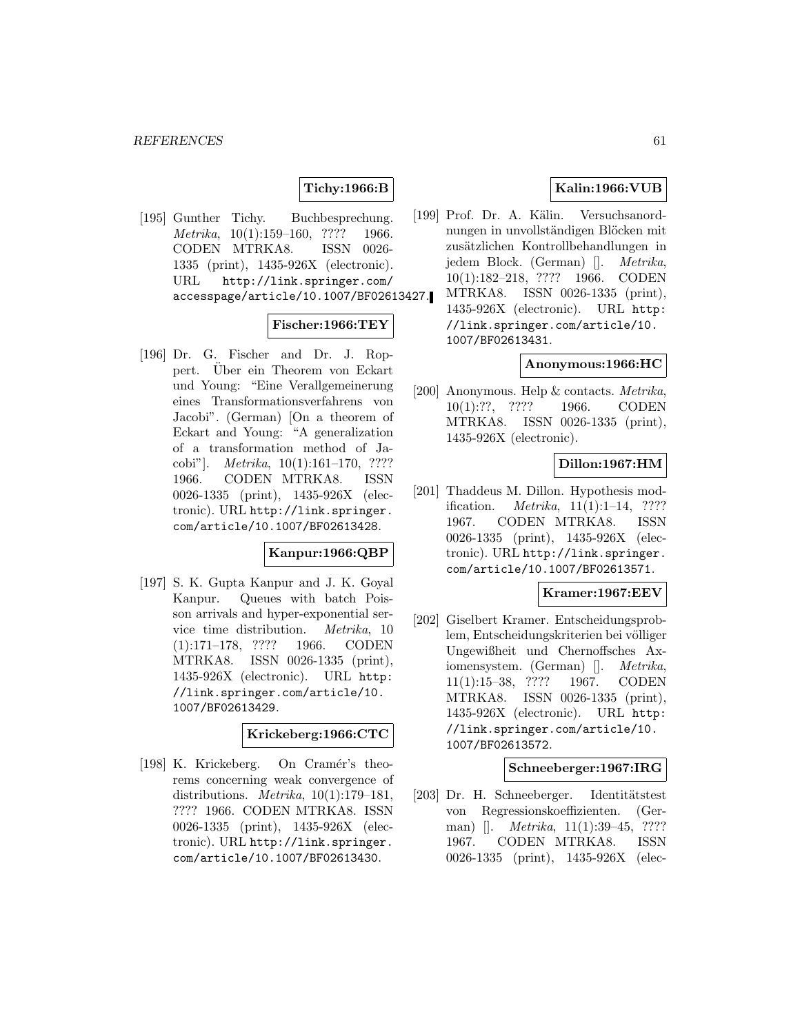# **Tichy:1966:B**

[195] Gunther Tichy. Buchbesprechung. Metrika, 10(1):159-160, ???? 1966. CODEN MTRKA8. ISSN 0026- 1335 (print), 1435-926X (electronic). URL http://link.springer.com/ accesspage/article/10.1007/BF02613427.

### **Fischer:1966:TEY**

[196] Dr. G. Fischer and Dr. J. Roppert. Über ein Theorem von Eckart und Young: "Eine Verallgemeinerung eines Transformationsverfahrens von Jacobi". (German) [On a theorem of Eckart and Young: "A generalization of a transformation method of Jacobi"]. Metrika, 10(1):161–170, ???? 1966. CODEN MTRKA8. ISSN 0026-1335 (print), 1435-926X (electronic). URL http://link.springer. com/article/10.1007/BF02613428.

#### **Kanpur:1966:QBP**

[197] S. K. Gupta Kanpur and J. K. Goyal Kanpur. Queues with batch Poisson arrivals and hyper-exponential service time distribution. Metrika, 10 (1):171–178, ???? 1966. CODEN MTRKA8. ISSN 0026-1335 (print), 1435-926X (electronic). URL http: //link.springer.com/article/10. 1007/BF02613429.

#### **Krickeberg:1966:CTC**

[198] K. Krickeberg. On Cramér's theorems concerning weak convergence of distributions. Metrika, 10(1):179–181, ???? 1966. CODEN MTRKA8. ISSN 0026-1335 (print), 1435-926X (electronic). URL http://link.springer. com/article/10.1007/BF02613430.

# **Kalin:1966:VUB**

[199] Prof. Dr. A. Kälin. Versuchsanordnungen in unvollständigen Blöcken mit zusätzlichen Kontrollbehandlungen in jedem Block. (German) []. Metrika, 10(1):182–218, ???? 1966. CODEN MTRKA8. ISSN 0026-1335 (print), 1435-926X (electronic). URL http: //link.springer.com/article/10. 1007/BF02613431.

#### **Anonymous:1966:HC**

[200] Anonymous. Help & contacts. Metrika, 10(1):??, ???? 1966. CODEN MTRKA8. ISSN 0026-1335 (print), 1435-926X (electronic).

#### **Dillon:1967:HM**

[201] Thaddeus M. Dillon. Hypothesis modification. Metrika, 11(1):1–14, ???? 1967. CODEN MTRKA8. ISSN 0026-1335 (print), 1435-926X (electronic). URL http://link.springer. com/article/10.1007/BF02613571.

#### **Kramer:1967:EEV**

[202] Giselbert Kramer. Entscheidungsproblem, Entscheidungskriterien bei völliger Ungewißheit und Chernoffsches Axiomensystem. (German) []. Metrika, 11(1):15–38, ???? 1967. CODEN MTRKA8. ISSN 0026-1335 (print), 1435-926X (electronic). URL http: //link.springer.com/article/10. 1007/BF02613572.

#### **Schneeberger:1967:IRG**

[203] Dr. H. Schneeberger. Identitätstest von Regressionskoeffizienten. (German) []. *Metrika*, 11(1):39–45, ???? 1967. CODEN MTRKA8. ISSN 0026-1335 (print), 1435-926X (elec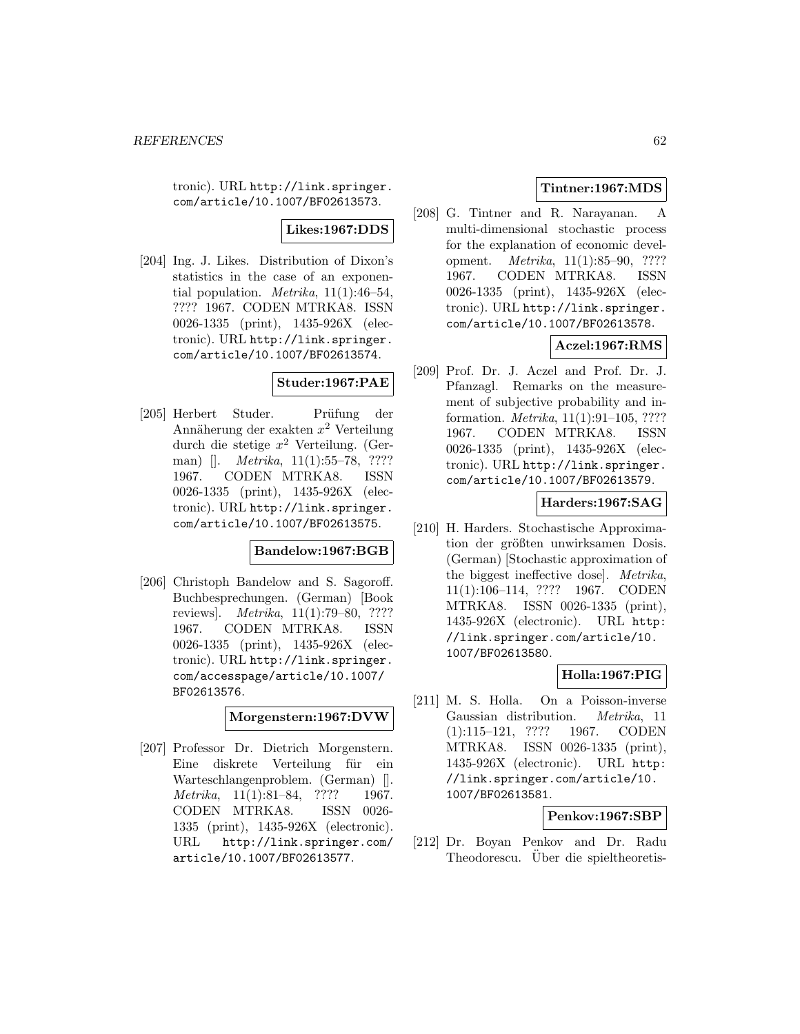tronic). URL http://link.springer. com/article/10.1007/BF02613573.

**Likes:1967:DDS**

[204] Ing. J. Likes. Distribution of Dixon's statistics in the case of an exponential population. *Metrika*,  $11(1):46-54$ , ???? 1967. CODEN MTRKA8. ISSN 0026-1335 (print), 1435-926X (electronic). URL http://link.springer. com/article/10.1007/BF02613574.

## **Studer:1967:PAE**

[205] Herbert Studer. Prüfung der Annäherung der exakten  $x^2$  Verteilung durch die stetige  $x^2$  Verteilung. (German) []. *Metrika*, 11(1):55–78, ???? 1967. CODEN MTRKA8. ISSN 0026-1335 (print), 1435-926X (electronic). URL http://link.springer. com/article/10.1007/BF02613575.

### **Bandelow:1967:BGB**

[206] Christoph Bandelow and S. Sagoroff. Buchbesprechungen. (German) [Book reviews]. Metrika, 11(1):79–80, ???? 1967. CODEN MTRKA8. ISSN 0026-1335 (print), 1435-926X (electronic). URL http://link.springer. com/accesspage/article/10.1007/ BF02613576.

### **Morgenstern:1967:DVW**

[207] Professor Dr. Dietrich Morgenstern. Eine diskrete Verteilung für ein Warteschlangenproblem. (German) []. Metrika, 11(1):81–84, ???? 1967. CODEN MTRKA8. ISSN 0026- 1335 (print), 1435-926X (electronic). URL http://link.springer.com/ article/10.1007/BF02613577.

# **Tintner:1967:MDS**

[208] G. Tintner and R. Narayanan. A multi-dimensional stochastic process for the explanation of economic development. Metrika, 11(1):85–90, ???? 1967. CODEN MTRKA8. ISSN 0026-1335 (print), 1435-926X (electronic). URL http://link.springer. com/article/10.1007/BF02613578.

# **Aczel:1967:RMS**

[209] Prof. Dr. J. Aczel and Prof. Dr. J. Pfanzagl. Remarks on the measurement of subjective probability and information. Metrika, 11(1):91–105, ???? 1967. CODEN MTRKA8. ISSN 0026-1335 (print), 1435-926X (electronic). URL http://link.springer. com/article/10.1007/BF02613579.

## **Harders:1967:SAG**

[210] H. Harders. Stochastische Approximation der größten unwirksamen Dosis. (German) [Stochastic approximation of the biggest ineffective dose]. Metrika, 11(1):106–114, ???? 1967. CODEN MTRKA8. ISSN 0026-1335 (print), 1435-926X (electronic). URL http: //link.springer.com/article/10. 1007/BF02613580.

# **Holla:1967:PIG**

[211] M. S. Holla. On a Poisson-inverse Gaussian distribution. Metrika, 11 (1):115–121, ???? 1967. CODEN MTRKA8. ISSN 0026-1335 (print), 1435-926X (electronic). URL http: //link.springer.com/article/10. 1007/BF02613581.

# **Penkov:1967:SBP**

[212] Dr. Boyan Penkov and Dr. Radu Theodorescu. Über die spieltheoretis-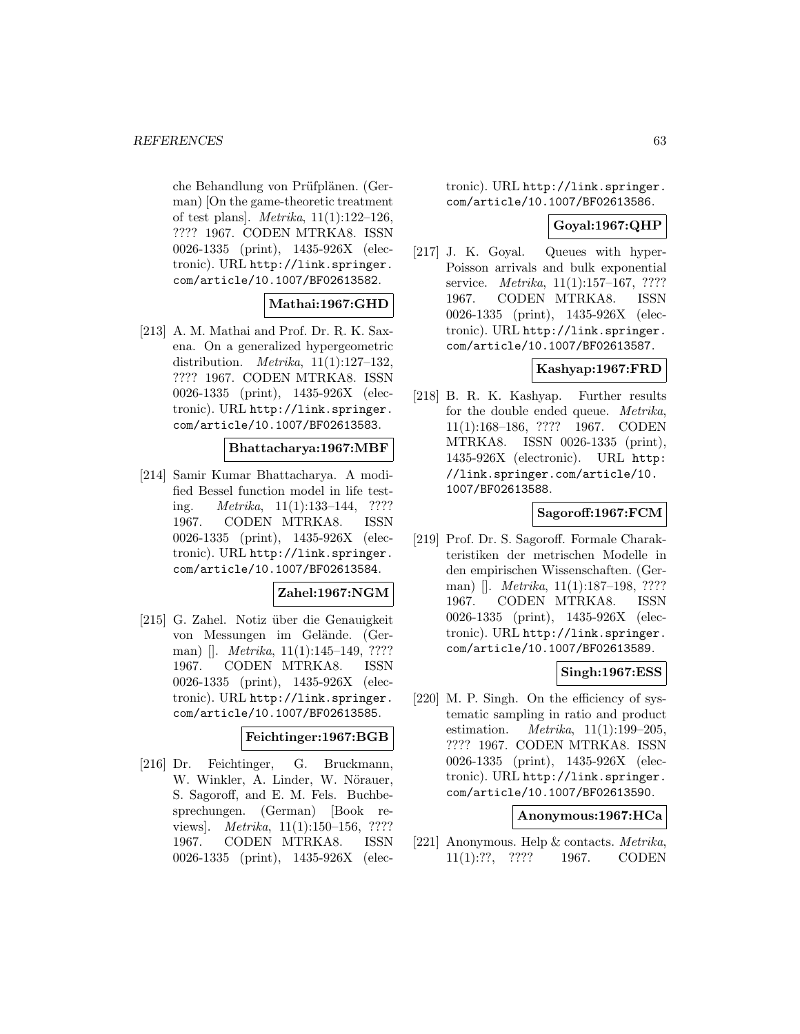che Behandlung von Prüfplänen. (German) [On the game-theoretic treatment of test plans]. Metrika, 11(1):122–126, ???? 1967. CODEN MTRKA8. ISSN 0026-1335 (print), 1435-926X (electronic). URL http://link.springer. com/article/10.1007/BF02613582.

### **Mathai:1967:GHD**

[213] A. M. Mathai and Prof. Dr. R. K. Saxena. On a generalized hypergeometric distribution. Metrika, 11(1):127–132, ???? 1967. CODEN MTRKA8. ISSN 0026-1335 (print), 1435-926X (electronic). URL http://link.springer. com/article/10.1007/BF02613583.

## **Bhattacharya:1967:MBF**

[214] Samir Kumar Bhattacharya. A modified Bessel function model in life testing. *Metrika*,  $11(1):133-144$ , ???? 1967. CODEN MTRKA8. ISSN 0026-1335 (print), 1435-926X (electronic). URL http://link.springer. com/article/10.1007/BF02613584.

### **Zahel:1967:NGM**

[215] G. Zahel. Notiz über die Genauigkeit von Messungen im Gelände. (German) []. *Metrika*, 11(1):145–149, ???? 1967. CODEN MTRKA8. ISSN 0026-1335 (print), 1435-926X (electronic). URL http://link.springer. com/article/10.1007/BF02613585.

#### **Feichtinger:1967:BGB**

[216] Dr. Feichtinger, G. Bruckmann, W. Winkler, A. Linder, W. Nörauer, S. Sagoroff, and E. M. Fels. Buchbesprechungen. (German) [Book reviews]. Metrika, 11(1):150–156, ???? 1967. CODEN MTRKA8. ISSN 0026-1335 (print), 1435-926X (electronic). URL http://link.springer. com/article/10.1007/BF02613586.

#### **Goyal:1967:QHP**

[217] J. K. Goyal. Queues with hyper-Poisson arrivals and bulk exponential service. *Metrika*, 11(1):157–167, ???? 1967. CODEN MTRKA8. ISSN 0026-1335 (print), 1435-926X (electronic). URL http://link.springer. com/article/10.1007/BF02613587.

## **Kashyap:1967:FRD**

[218] B. R. K. Kashyap. Further results for the double ended queue. Metrika, 11(1):168–186, ???? 1967. CODEN MTRKA8. ISSN 0026-1335 (print), 1435-926X (electronic). URL http: //link.springer.com/article/10. 1007/BF02613588.

#### **Sagoroff:1967:FCM**

[219] Prof. Dr. S. Sagoroff. Formale Charakteristiken der metrischen Modelle in den empirischen Wissenschaften. (German) []. *Metrika*, 11(1):187–198, ???? 1967. CODEN MTRKA8. ISSN 0026-1335 (print), 1435-926X (electronic). URL http://link.springer. com/article/10.1007/BF02613589.

### **Singh:1967:ESS**

[220] M. P. Singh. On the efficiency of systematic sampling in ratio and product estimation.  $Metrika$ ,  $11(1):199-205$ , ???? 1967. CODEN MTRKA8. ISSN 0026-1335 (print), 1435-926X (electronic). URL http://link.springer. com/article/10.1007/BF02613590.

#### **Anonymous:1967:HCa**

[221] Anonymous. Help & contacts. Metrika, 11(1):??, ???? 1967. CODEN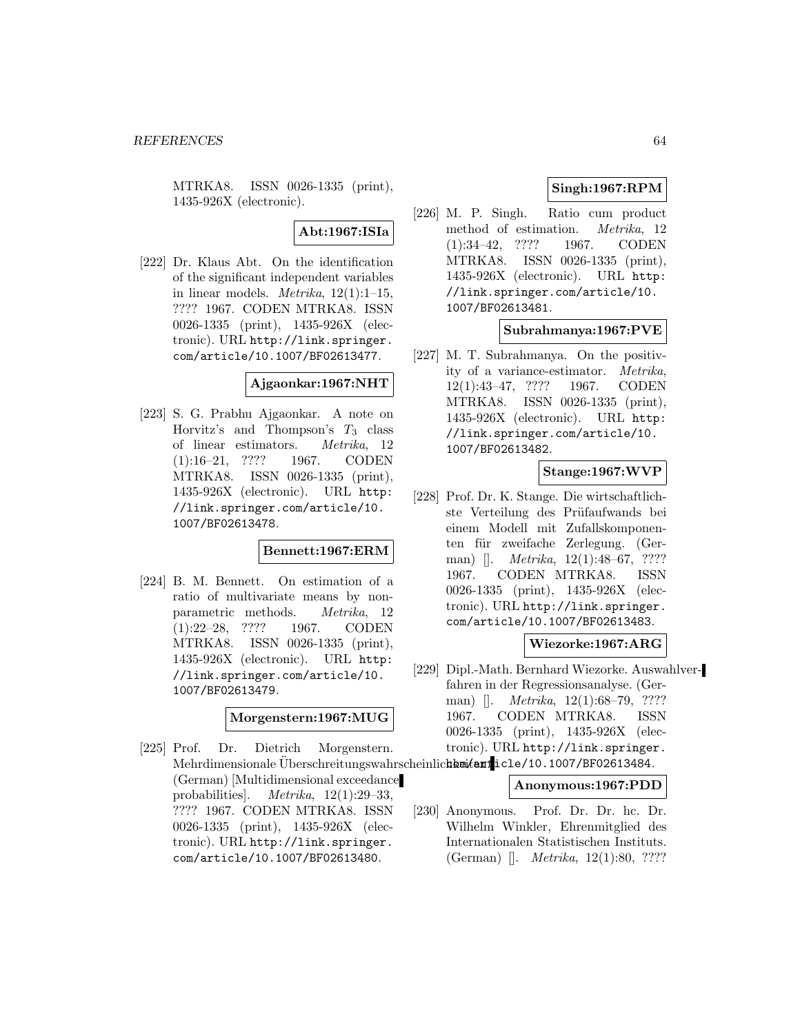MTRKA8. ISSN 0026-1335 (print), 1435-926X (electronic).

**Abt:1967:ISIa**

[222] Dr. Klaus Abt. On the identification of the significant independent variables in linear models. *Metrika*,  $12(1):1-15$ , ???? 1967. CODEN MTRKA8. ISSN 0026-1335 (print), 1435-926X (electronic). URL http://link.springer. com/article/10.1007/BF02613477.

### **Ajgaonkar:1967:NHT**

[223] S. G. Prabhu Ajgaonkar. A note on Horvitz's and Thompson's  $T_3$  class of linear estimators. Metrika, 12 (1):16–21, ???? 1967. CODEN MTRKA8. ISSN 0026-1335 (print), 1435-926X (electronic). URL http: //link.springer.com/article/10. 1007/BF02613478.

### **Bennett:1967:ERM**

[224] B. M. Bennett. On estimation of a ratio of multivariate means by nonparametric methods. Metrika, 12 (1):22–28, ???? 1967. CODEN MTRKA8. ISSN 0026-1335 (print), 1435-926X (electronic). URL http: //link.springer.com/article/10. 1007/BF02613479.

**Morgenstern:1967:MUG**

[225] Prof. Dr. Dietrich Morgenstern. Mehrdimensionale Überschreitungswahrscheinlic**hk wient**icle/10.1007/BF02613484. (German) [Multidimensional exceedance probabilities]. Metrika, 12(1):29–33, ???? 1967. CODEN MTRKA8. ISSN 0026-1335 (print), 1435-926X (electronic). URL http://link.springer. com/article/10.1007/BF02613480.

# **Singh:1967:RPM**

[226] M. P. Singh. Ratio cum product method of estimation. Metrika, 12 (1):34–42, ???? 1967. CODEN MTRKA8. ISSN 0026-1335 (print), 1435-926X (electronic). URL http: //link.springer.com/article/10. 1007/BF02613481.

## **Subrahmanya:1967:PVE**

[227] M. T. Subrahmanya. On the positivity of a variance-estimator. Metrika, 12(1):43–47, ???? 1967. CODEN MTRKA8. ISSN 0026-1335 (print), 1435-926X (electronic). URL http: //link.springer.com/article/10. 1007/BF02613482.

## **Stange:1967:WVP**

[228] Prof. Dr. K. Stange. Die wirtschaftlichste Verteilung des Prüfaufwands bei einem Modell mit Zufallskomponenten für zweifache Zerlegung. (German) []. *Metrika*, 12(1):48–67, ???? 1967. CODEN MTRKA8. ISSN 0026-1335 (print), 1435-926X (electronic). URL http://link.springer. com/article/10.1007/BF02613483.

**Wiezorke:1967:ARG**

[229] Dipl.-Math. Bernhard Wiezorke. Auswahlverfahren in der Regressionsanalyse. (German) []. *Metrika*, 12(1):68–79, ???? 1967. CODEN MTRKA8. ISSN 0026-1335 (print), 1435-926X (electronic). URL http://link.springer.

### **Anonymous:1967:PDD**

[230] Anonymous. Prof. Dr. Dr. hc. Dr. Wilhelm Winkler, Ehrenmitglied des Internationalen Statistischen Instituts. (German) []. Metrika, 12(1):80, ????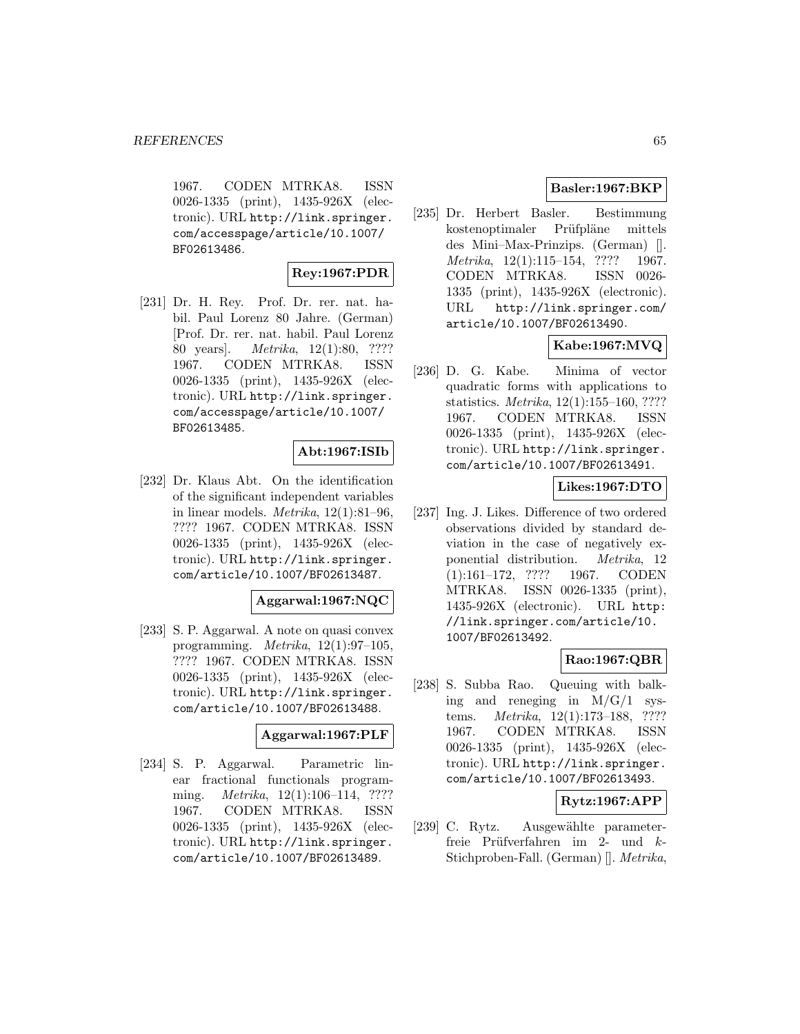1967. CODEN MTRKA8. ISSN 0026-1335 (print), 1435-926X (electronic). URL http://link.springer. com/accesspage/article/10.1007/ BF02613486.

### **Rey:1967:PDR**

[231] Dr. H. Rey. Prof. Dr. rer. nat. habil. Paul Lorenz 80 Jahre. (German) [Prof. Dr. rer. nat. habil. Paul Lorenz 80 years]. Metrika, 12(1):80, ???? 1967. CODEN MTRKA8. ISSN 0026-1335 (print), 1435-926X (electronic). URL http://link.springer. com/accesspage/article/10.1007/ BF02613485.

## **Abt:1967:ISIb**

[232] Dr. Klaus Abt. On the identification of the significant independent variables in linear models. *Metrika*,  $12(1):81-96$ , ???? 1967. CODEN MTRKA8. ISSN 0026-1335 (print), 1435-926X (electronic). URL http://link.springer. com/article/10.1007/BF02613487.

#### **Aggarwal:1967:NQC**

[233] S. P. Aggarwal. A note on quasi convex programming. Metrika, 12(1):97–105, ???? 1967. CODEN MTRKA8. ISSN 0026-1335 (print), 1435-926X (electronic). URL http://link.springer. com/article/10.1007/BF02613488.

#### **Aggarwal:1967:PLF**

[234] S. P. Aggarwal. Parametric linear fractional functionals programming. *Metrika*, 12(1):106–114, ???? 1967. CODEN MTRKA8. ISSN 0026-1335 (print), 1435-926X (electronic). URL http://link.springer. com/article/10.1007/BF02613489.

## **Basler:1967:BKP**

[235] Dr. Herbert Basler. Bestimmung kostenoptimaler Prüfpläne mittels des Mini–Max-Prinzips. (German) []. Metrika, 12(1):115–154, ???? 1967. CODEN MTRKA8. ISSN 0026- 1335 (print), 1435-926X (electronic). URL http://link.springer.com/ article/10.1007/BF02613490.

# **Kabe:1967:MVQ**

[236] D. G. Kabe. Minima of vector quadratic forms with applications to statistics. Metrika, 12(1):155–160, ???? 1967. CODEN MTRKA8. ISSN 0026-1335 (print), 1435-926X (electronic). URL http://link.springer. com/article/10.1007/BF02613491.

# **Likes:1967:DTO**

[237] Ing. J. Likes. Difference of two ordered observations divided by standard deviation in the case of negatively exponential distribution. Metrika, 12 (1):161–172, ???? 1967. CODEN MTRKA8. ISSN 0026-1335 (print), 1435-926X (electronic). URL http: //link.springer.com/article/10. 1007/BF02613492.

# **Rao:1967:QBR**

[238] S. Subba Rao. Queuing with balking and reneging in  $M/G/1$  systems. Metrika, 12(1):173–188, ???? 1967. CODEN MTRKA8. ISSN 0026-1335 (print), 1435-926X (electronic). URL http://link.springer. com/article/10.1007/BF02613493.

# **Rytz:1967:APP**

[239] C. Rytz. Ausgewählte parameterfreie Prüfverfahren im 2- und  $k$ -Stichproben-Fall. (German) []. Metrika,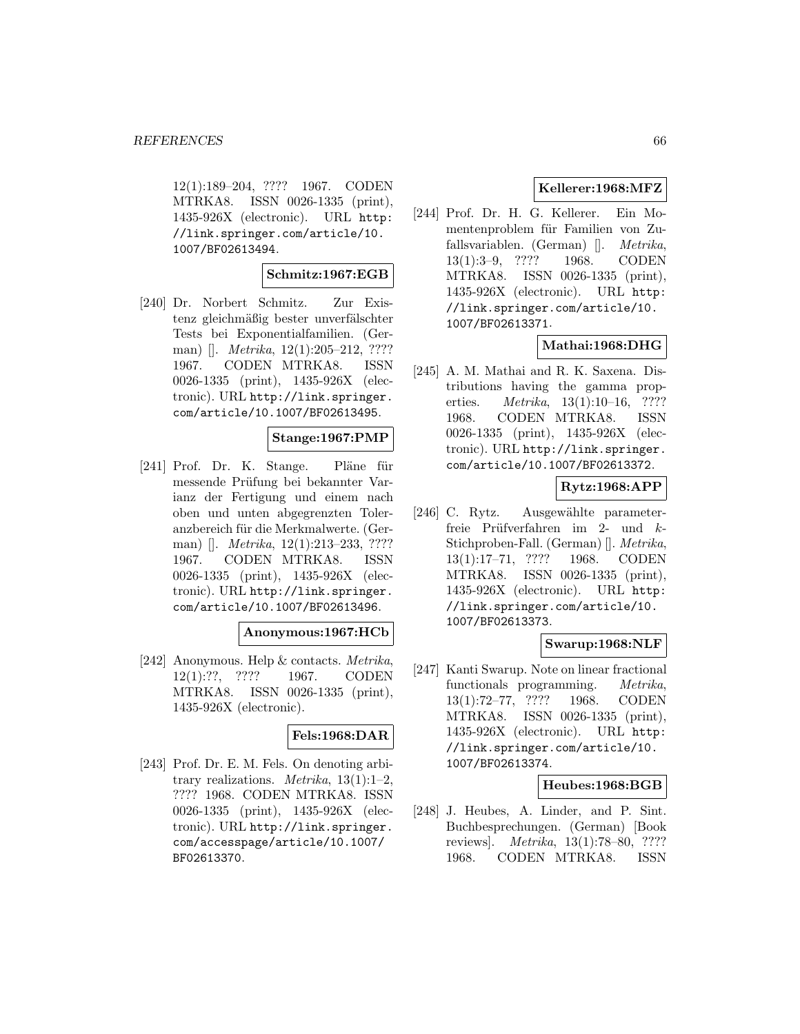12(1):189–204, ???? 1967. CODEN MTRKA8. ISSN 0026-1335 (print), 1435-926X (electronic). URL http: //link.springer.com/article/10. 1007/BF02613494.

### **Schmitz:1967:EGB**

[240] Dr. Norbert Schmitz. Zur Existenz gleichmäßig bester unverfälschter Tests bei Exponentialfamilien. (German) []. *Metrika*, 12(1):205-212, ???? 1967. CODEN MTRKA8. ISSN 0026-1335 (print), 1435-926X (electronic). URL http://link.springer. com/article/10.1007/BF02613495.

### **Stange:1967:PMP**

[241] Prof. Dr. K. Stange. Pläne für messende Prüfung bei bekannter Varianz der Fertigung und einem nach oben und unten abgegrenzten Toleranzbereich für die Merkmalwerte. (German) []. *Metrika*, 12(1):213–233, ???? 1967. CODEN MTRKA8. ISSN 0026-1335 (print), 1435-926X (electronic). URL http://link.springer. com/article/10.1007/BF02613496.

#### **Anonymous:1967:HCb**

[242] Anonymous. Help & contacts. Metrika, 12(1):??, ???? 1967. CODEN MTRKA8. ISSN 0026-1335 (print), 1435-926X (electronic).

#### **Fels:1968:DAR**

[243] Prof. Dr. E. M. Fels. On denoting arbitrary realizations. *Metrika*,  $13(1):1-2$ , ???? 1968. CODEN MTRKA8. ISSN 0026-1335 (print), 1435-926X (electronic). URL http://link.springer. com/accesspage/article/10.1007/ BF02613370.

# **Kellerer:1968:MFZ**

[244] Prof. Dr. H. G. Kellerer. Ein Momentenproblem für Familien von Zufallsvariablen. (German) []. Metrika, 13(1):3–9, ???? 1968. CODEN MTRKA8. ISSN 0026-1335 (print), 1435-926X (electronic). URL http: //link.springer.com/article/10. 1007/BF02613371.

# **Mathai:1968:DHG**

[245] A. M. Mathai and R. K. Saxena. Distributions having the gamma properties. *Metrika*, 13(1):10–16, ???? 1968. CODEN MTRKA8. ISSN 0026-1335 (print), 1435-926X (electronic). URL http://link.springer. com/article/10.1007/BF02613372.

# **Rytz:1968:APP**

[246] C. Rytz. Ausgewählte parameterfreie Prüfverfahren im 2- und  $k$ -Stichproben-Fall. (German) []. Metrika, 13(1):17–71, ???? 1968. CODEN MTRKA8. ISSN 0026-1335 (print), 1435-926X (electronic). URL http: //link.springer.com/article/10. 1007/BF02613373.

# **Swarup:1968:NLF**

[247] Kanti Swarup. Note on linear fractional functionals programming. Metrika, 13(1):72–77, ???? 1968. CODEN MTRKA8. ISSN 0026-1335 (print), 1435-926X (electronic). URL http: //link.springer.com/article/10. 1007/BF02613374.

## **Heubes:1968:BGB**

[248] J. Heubes, A. Linder, and P. Sint. Buchbesprechungen. (German) [Book reviews]. Metrika, 13(1):78–80, ???? 1968. CODEN MTRKA8. ISSN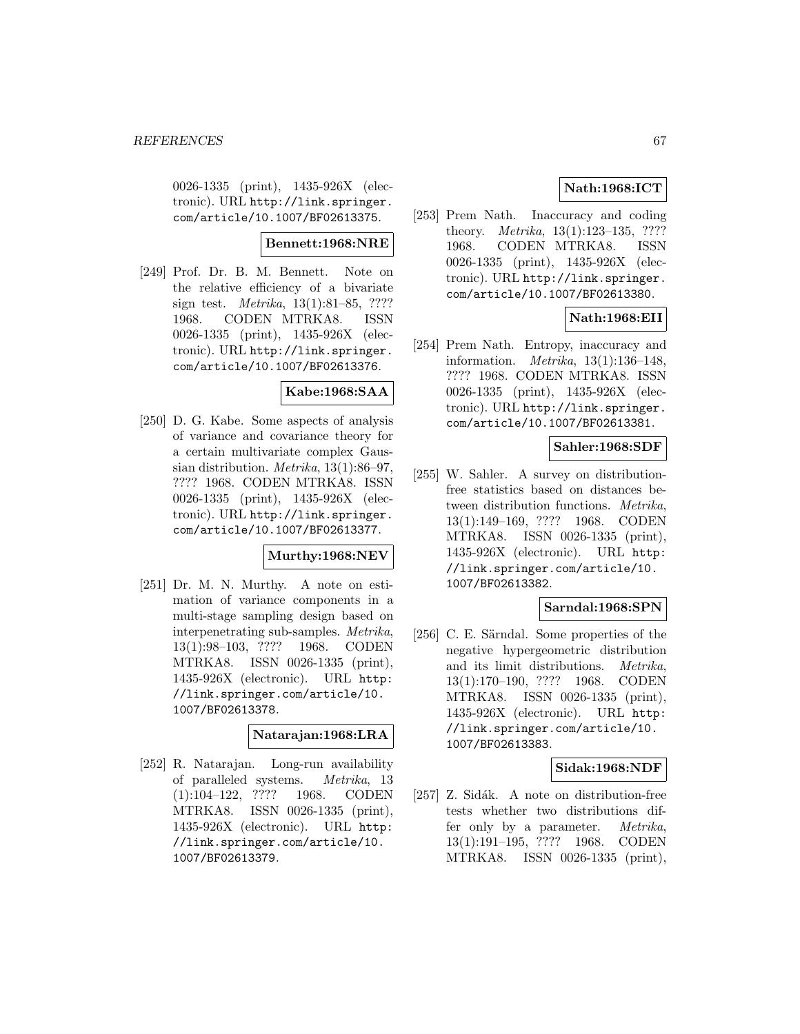0026-1335 (print), 1435-926X (electronic). URL http://link.springer. com/article/10.1007/BF02613375.

#### **Bennett:1968:NRE**

[249] Prof. Dr. B. M. Bennett. Note on the relative efficiency of a bivariate sign test. Metrika, 13(1):81–85, ???? 1968. CODEN MTRKA8. ISSN 0026-1335 (print), 1435-926X (electronic). URL http://link.springer. com/article/10.1007/BF02613376.

## **Kabe:1968:SAA**

[250] D. G. Kabe. Some aspects of analysis of variance and covariance theory for a certain multivariate complex Gaussian distribution. Metrika, 13(1):86–97, ???? 1968. CODEN MTRKA8. ISSN 0026-1335 (print), 1435-926X (electronic). URL http://link.springer. com/article/10.1007/BF02613377.

### **Murthy:1968:NEV**

[251] Dr. M. N. Murthy. A note on estimation of variance components in a multi-stage sampling design based on interpenetrating sub-samples. Metrika, 13(1):98–103, ???? 1968. CODEN MTRKA8. ISSN 0026-1335 (print), 1435-926X (electronic). URL http: //link.springer.com/article/10. 1007/BF02613378.

#### **Natarajan:1968:LRA**

[252] R. Natarajan. Long-run availability of paralleled systems. Metrika, 13 (1):104–122, ???? 1968. CODEN MTRKA8. ISSN 0026-1335 (print), 1435-926X (electronic). URL http: //link.springer.com/article/10. 1007/BF02613379.

# **Nath:1968:ICT**

[253] Prem Nath. Inaccuracy and coding theory. Metrika, 13(1):123–135, ???? 1968. CODEN MTRKA8. ISSN 0026-1335 (print), 1435-926X (electronic). URL http://link.springer. com/article/10.1007/BF02613380.

# **Nath:1968:EII**

[254] Prem Nath. Entropy, inaccuracy and information. Metrika, 13(1):136–148, ???? 1968. CODEN MTRKA8. ISSN 0026-1335 (print), 1435-926X (electronic). URL http://link.springer. com/article/10.1007/BF02613381.

#### **Sahler:1968:SDF**

[255] W. Sahler. A survey on distributionfree statistics based on distances between distribution functions. Metrika, 13(1):149–169, ???? 1968. CODEN MTRKA8. ISSN 0026-1335 (print), 1435-926X (electronic). URL http: //link.springer.com/article/10. 1007/BF02613382.

### **Sarndal:1968:SPN**

[256] C. E. Särndal. Some properties of the negative hypergeometric distribution and its limit distributions. Metrika, 13(1):170–190, ???? 1968. CODEN MTRKA8. ISSN 0026-1335 (print), 1435-926X (electronic). URL http: //link.springer.com/article/10. 1007/BF02613383.

### **Sidak:1968:NDF**

[257] Z. Sidák. A note on distribution-free tests whether two distributions differ only by a parameter. Metrika, 13(1):191–195, ???? 1968. CODEN MTRKA8. ISSN 0026-1335 (print),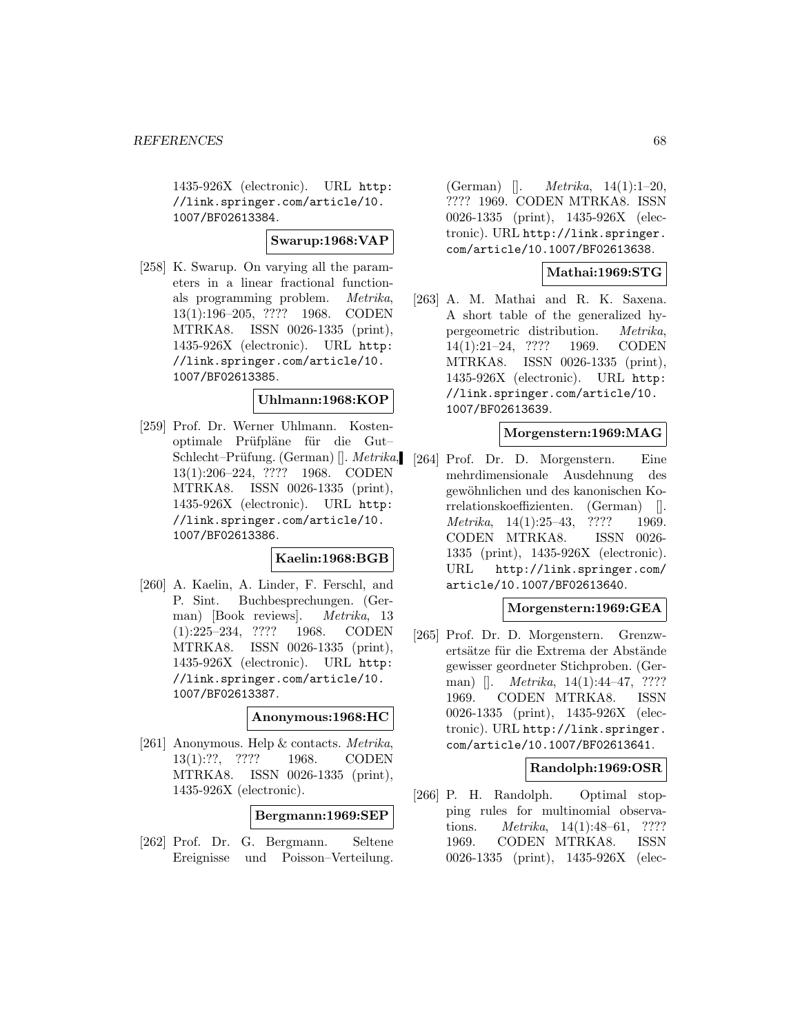1435-926X (electronic). URL http: //link.springer.com/article/10. 1007/BF02613384.

## **Swarup:1968:VAP**

[258] K. Swarup. On varying all the parameters in a linear fractional functionals programming problem. Metrika, 13(1):196–205, ???? 1968. CODEN MTRKA8. ISSN 0026-1335 (print), 1435-926X (electronic). URL http: //link.springer.com/article/10. 1007/BF02613385.

#### **Uhlmann:1968:KOP**

[259] Prof. Dr. Werner Uhlmann. Kostenoptimale Prüfpläne für die Gut-Schlecht–Prüfung. (German) []. *Metrika*, 13(1):206–224, ???? 1968. CODEN MTRKA8. ISSN 0026-1335 (print), 1435-926X (electronic). URL http: //link.springer.com/article/10. 1007/BF02613386.

### **Kaelin:1968:BGB**

[260] A. Kaelin, A. Linder, F. Ferschl, and P. Sint. Buchbesprechungen. (German) [Book reviews]. Metrika, 13 (1):225–234, ???? 1968. CODEN MTRKA8. ISSN 0026-1335 (print), 1435-926X (electronic). URL http: //link.springer.com/article/10. 1007/BF02613387.

#### **Anonymous:1968:HC**

[261] Anonymous. Help & contacts. Metrika, 13(1):??, ???? 1968. CODEN MTRKA8. ISSN 0026-1335 (print), 1435-926X (electronic).

**Bergmann:1969:SEP**

[262] Prof. Dr. G. Bergmann. Seltene Ereignisse und Poisson–Verteilung.

(German)  $[1. \, Metrika, 14(1):1-20, 14(1):1-20]$ ???? 1969. CODEN MTRKA8. ISSN 0026-1335 (print), 1435-926X (electronic). URL http://link.springer. com/article/10.1007/BF02613638.

### **Mathai:1969:STG**

[263] A. M. Mathai and R. K. Saxena. A short table of the generalized hypergeometric distribution. Metrika, 14(1):21–24, ???? 1969. CODEN MTRKA8. ISSN 0026-1335 (print), 1435-926X (electronic). URL http: //link.springer.com/article/10. 1007/BF02613639.

## **Morgenstern:1969:MAG**

[264] Prof. Dr. D. Morgenstern. Eine mehrdimensionale Ausdehnung des gewöhnlichen und des kanonischen Korrelationskoeffizienten. (German) []. Metrika, 14(1):25–43, ???? 1969. CODEN MTRKA8. ISSN 0026- 1335 (print), 1435-926X (electronic). URL http://link.springer.com/ article/10.1007/BF02613640.

#### **Morgenstern:1969:GEA**

[265] Prof. Dr. D. Morgenstern. Grenzwertsätze für die Extrema der Abstände gewisser geordneter Stichproben. (German) []. *Metrika*, 14(1):44–47, ???? 1969. CODEN MTRKA8. ISSN 0026-1335 (print), 1435-926X (electronic). URL http://link.springer. com/article/10.1007/BF02613641.

### **Randolph:1969:OSR**

[266] P. H. Randolph. Optimal stopping rules for multinomial observations. Metrika, 14(1):48–61, ???? 1969. CODEN MTRKA8. ISSN 0026-1335 (print), 1435-926X (elec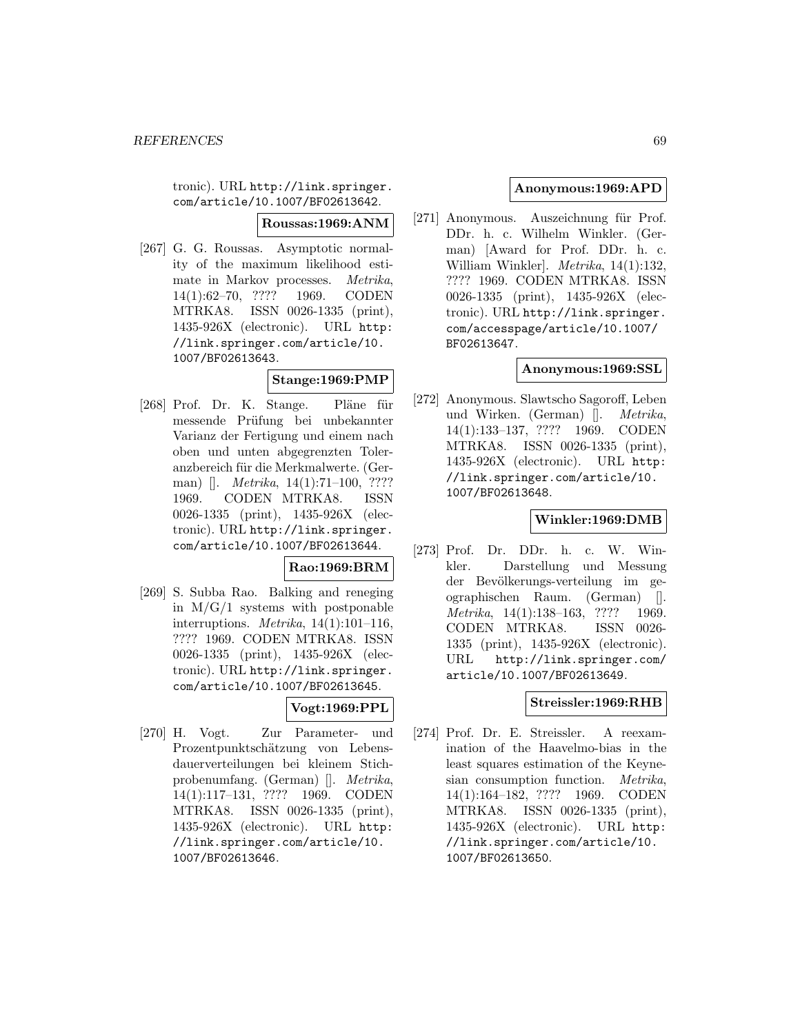tronic). URL http://link.springer. com/article/10.1007/BF02613642.

**Roussas:1969:ANM**

[267] G. G. Roussas. Asymptotic normality of the maximum likelihood estimate in Markov processes. Metrika, 14(1):62–70, ???? 1969. CODEN MTRKA8. ISSN 0026-1335 (print), 1435-926X (electronic). URL http: //link.springer.com/article/10. 1007/BF02613643.

# **Stange:1969:PMP**

[268] Prof. Dr. K. Stange. Pläne für messende Prüfung bei unbekannter Varianz der Fertigung und einem nach oben und unten abgegrenzten Toleranzbereich für die Merkmalwerte. (German) []. *Metrika*, 14(1):71–100, ???? 1969. CODEN MTRKA8. ISSN 0026-1335 (print), 1435-926X (electronic). URL http://link.springer. com/article/10.1007/BF02613644.

## **Rao:1969:BRM**

[269] S. Subba Rao. Balking and reneging in  $M/G/1$  systems with postponable interruptions. Metrika, 14(1):101–116, ???? 1969. CODEN MTRKA8. ISSN 0026-1335 (print), 1435-926X (electronic). URL http://link.springer. com/article/10.1007/BF02613645.

## **Vogt:1969:PPL**

[270] H. Vogt. Zur Parameter- und Prozentpunktschätzung von Lebensdauerverteilungen bei kleinem Stichprobenumfang. (German) []. Metrika, 14(1):117–131, ???? 1969. CODEN MTRKA8. ISSN 0026-1335 (print), 1435-926X (electronic). URL http: //link.springer.com/article/10. 1007/BF02613646.

## **Anonymous:1969:APD**

[271] Anonymous. Auszeichnung für Prof. DDr. h. c. Wilhelm Winkler. (German) [Award for Prof. DDr. h. c. William Winkler]. Metrika, 14(1):132, ???? 1969. CODEN MTRKA8. ISSN 0026-1335 (print), 1435-926X (electronic). URL http://link.springer. com/accesspage/article/10.1007/ BF02613647.

### **Anonymous:1969:SSL**

[272] Anonymous. Slawtscho Sagoroff, Leben und Wirken. (German) []. Metrika, 14(1):133–137, ???? 1969. CODEN MTRKA8. ISSN 0026-1335 (print), 1435-926X (electronic). URL http: //link.springer.com/article/10. 1007/BF02613648.

### **Winkler:1969:DMB**

[273] Prof. Dr. DDr. h. c. W. Winkler. Darstellung und Messung der Bevölkerungs-verteilung im geographischen Raum. (German) []. Metrika, 14(1):138–163, ???? 1969. CODEN MTRKA8. ISSN 0026- 1335 (print), 1435-926X (electronic). URL http://link.springer.com/ article/10.1007/BF02613649.

### **Streissler:1969:RHB**

[274] Prof. Dr. E. Streissler. A reexamination of the Haavelmo-bias in the least squares estimation of the Keynesian consumption function. Metrika, 14(1):164–182, ???? 1969. CODEN MTRKA8. ISSN 0026-1335 (print), 1435-926X (electronic). URL http: //link.springer.com/article/10. 1007/BF02613650.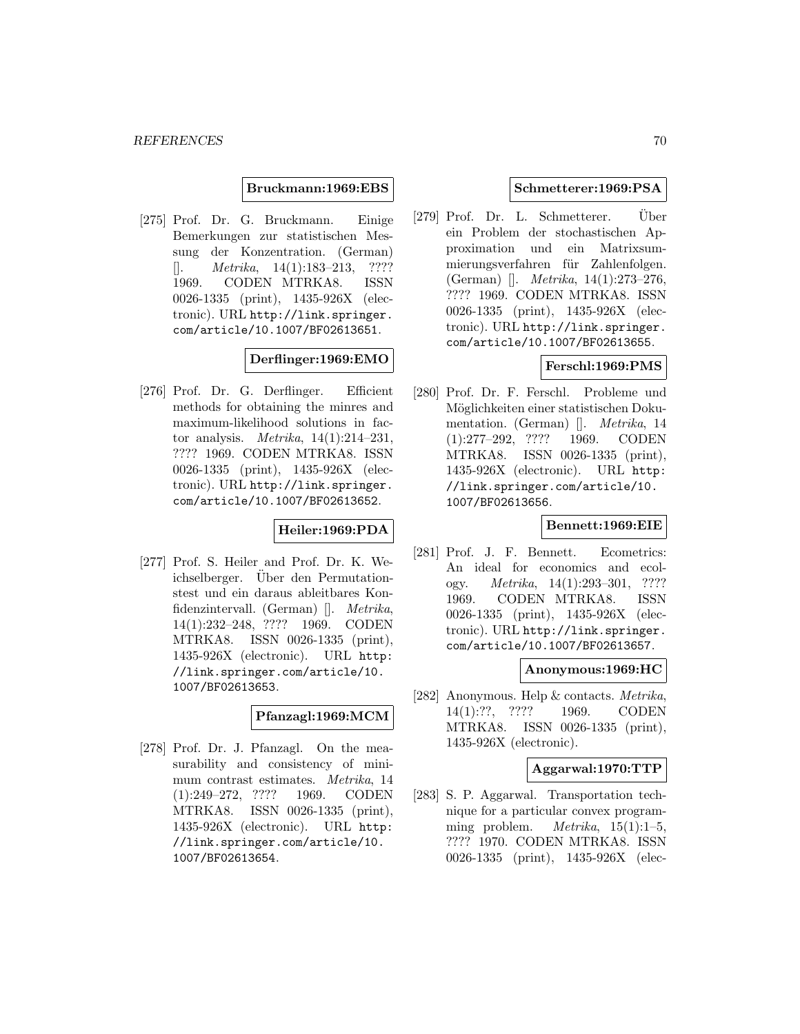#### **Bruckmann:1969:EBS**

[275] Prof. Dr. G. Bruckmann. Einige Bemerkungen zur statistischen Messung der Konzentration. (German)  $[$ . *Metrika*, 14(1):183–213, ???? 1969. CODEN MTRKA8. ISSN 0026-1335 (print), 1435-926X (electronic). URL http://link.springer. com/article/10.1007/BF02613651.

### **Derflinger:1969:EMO**

[276] Prof. Dr. G. Derflinger. Efficient methods for obtaining the minres and maximum-likelihood solutions in factor analysis. *Metrika*,  $14(1):214-231$ , ???? 1969. CODEN MTRKA8. ISSN 0026-1335 (print), 1435-926X (electronic). URL http://link.springer. com/article/10.1007/BF02613652.

### **Heiler:1969:PDA**

[277] Prof. S. Heiler and Prof. Dr. K. Weichselberger. Über den Permutationstest und ein daraus ableitbares Konfidenzintervall. (German) []. Metrika, 14(1):232–248, ???? 1969. CODEN MTRKA8. ISSN 0026-1335 (print), 1435-926X (electronic). URL http: //link.springer.com/article/10. 1007/BF02613653.

#### **Pfanzagl:1969:MCM**

[278] Prof. Dr. J. Pfanzagl. On the measurability and consistency of minimum contrast estimates. Metrika, 14 (1):249–272, ???? 1969. CODEN MTRKA8. ISSN 0026-1335 (print), 1435-926X (electronic). URL http: //link.springer.com/article/10. 1007/BF02613654.

#### **Schmetterer:1969:PSA**

[279] Prof. Dr. L. Schmetterer. Uber ein Problem der stochastischen Approximation und ein Matrixsummierungsverfahren für Zahlenfolgen. (German) []. Metrika, 14(1):273–276, ???? 1969. CODEN MTRKA8. ISSN 0026-1335 (print), 1435-926X (electronic). URL http://link.springer. com/article/10.1007/BF02613655.

# **Ferschl:1969:PMS**

[280] Prof. Dr. F. Ferschl. Probleme und Möglichkeiten einer statistischen Dokumentation. (German) []. Metrika, 14 (1):277–292, ???? 1969. CODEN MTRKA8. ISSN 0026-1335 (print), 1435-926X (electronic). URL http: //link.springer.com/article/10. 1007/BF02613656.

### **Bennett:1969:EIE**

[281] Prof. J. F. Bennett. Ecometrics: An ideal for economics and ecology. Metrika, 14(1):293–301, ???? 1969. CODEN MTRKA8. ISSN 0026-1335 (print), 1435-926X (electronic). URL http://link.springer. com/article/10.1007/BF02613657.

#### **Anonymous:1969:HC**

[282] Anonymous. Help & contacts. Metrika, 14(1):??, ???? 1969. CODEN MTRKA8. ISSN 0026-1335 (print), 1435-926X (electronic).

#### **Aggarwal:1970:TTP**

[283] S. P. Aggarwal. Transportation technique for a particular convex programming problem. *Metrika*,  $15(1):1-5$ , ???? 1970. CODEN MTRKA8. ISSN 0026-1335 (print), 1435-926X (elec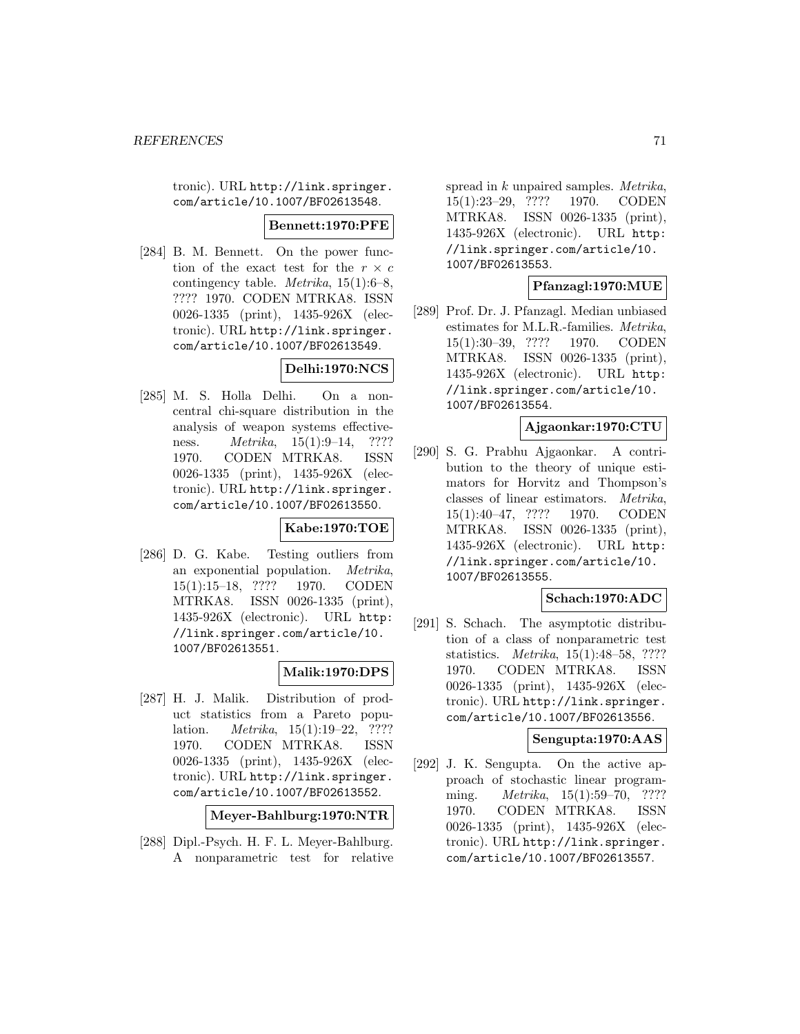tronic). URL http://link.springer. com/article/10.1007/BF02613548.

#### **Bennett:1970:PFE**

[284] B. M. Bennett. On the power function of the exact test for the  $r \times c$ contingency table. Metrika, 15(1):6–8, ???? 1970. CODEN MTRKA8. ISSN 0026-1335 (print), 1435-926X (electronic). URL http://link.springer. com/article/10.1007/BF02613549.

## **Delhi:1970:NCS**

[285] M. S. Holla Delhi. On a noncentral chi-square distribution in the analysis of weapon systems effectiveness. *Metrika*, 15(1):9–14, ???? 1970. CODEN MTRKA8. ISSN 0026-1335 (print), 1435-926X (electronic). URL http://link.springer. com/article/10.1007/BF02613550.

### **Kabe:1970:TOE**

[286] D. G. Kabe. Testing outliers from an exponential population. Metrika, 15(1):15–18, ???? 1970. CODEN MTRKA8. ISSN 0026-1335 (print), 1435-926X (electronic). URL http: //link.springer.com/article/10. 1007/BF02613551.

# **Malik:1970:DPS**

[287] H. J. Malik. Distribution of product statistics from a Pareto population. Metrika, 15(1):19–22, ???? 1970. CODEN MTRKA8. ISSN 0026-1335 (print), 1435-926X (electronic). URL http://link.springer. com/article/10.1007/BF02613552.

**Meyer-Bahlburg:1970:NTR**

[288] Dipl.-Psych. H. F. L. Meyer-Bahlburg. A nonparametric test for relative

spread in k unpaired samples. Metrika, 15(1):23–29, ???? 1970. CODEN MTRKA8. ISSN 0026-1335 (print), 1435-926X (electronic). URL http: //link.springer.com/article/10. 1007/BF02613553.

### **Pfanzagl:1970:MUE**

[289] Prof. Dr. J. Pfanzagl. Median unbiased estimates for M.L.R.-families. Metrika, 15(1):30–39, ???? 1970. CODEN MTRKA8. ISSN 0026-1335 (print), 1435-926X (electronic). URL http: //link.springer.com/article/10. 1007/BF02613554.

## **Ajgaonkar:1970:CTU**

[290] S. G. Prabhu Ajgaonkar. A contribution to the theory of unique estimators for Horvitz and Thompson's classes of linear estimators. Metrika, 15(1):40–47, ???? 1970. CODEN MTRKA8. ISSN 0026-1335 (print), 1435-926X (electronic). URL http: //link.springer.com/article/10. 1007/BF02613555.

# **Schach:1970:ADC**

[291] S. Schach. The asymptotic distribution of a class of nonparametric test statistics. Metrika, 15(1):48–58, ???? 1970. CODEN MTRKA8. ISSN 0026-1335 (print), 1435-926X (electronic). URL http://link.springer. com/article/10.1007/BF02613556.

### **Sengupta:1970:AAS**

[292] J. K. Sengupta. On the active approach of stochastic linear programming. *Metrika*, 15(1):59–70, ???? 1970. CODEN MTRKA8. ISSN 0026-1335 (print), 1435-926X (electronic). URL http://link.springer. com/article/10.1007/BF02613557.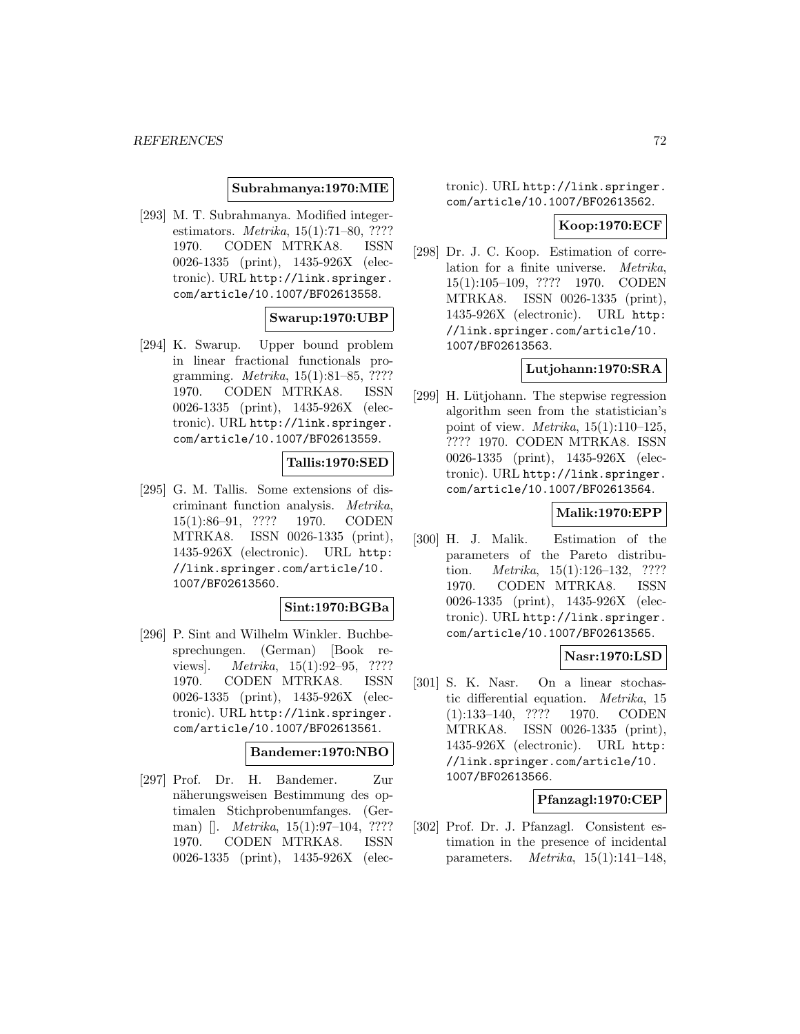#### **Subrahmanya:1970:MIE**

[293] M. T. Subrahmanya. Modified integerestimators. Metrika, 15(1):71–80, ???? 1970. CODEN MTRKA8. ISSN 0026-1335 (print), 1435-926X (electronic). URL http://link.springer. com/article/10.1007/BF02613558.

#### **Swarup:1970:UBP**

[294] K. Swarup. Upper bound problem in linear fractional functionals programming. Metrika, 15(1):81–85, ???? 1970. CODEN MTRKA8. ISSN 0026-1335 (print), 1435-926X (electronic). URL http://link.springer. com/article/10.1007/BF02613559.

### **Tallis:1970:SED**

[295] G. M. Tallis. Some extensions of discriminant function analysis. Metrika, 15(1):86–91, ???? 1970. CODEN MTRKA8. ISSN 0026-1335 (print), 1435-926X (electronic). URL http: //link.springer.com/article/10. 1007/BF02613560.

#### **Sint:1970:BGBa**

[296] P. Sint and Wilhelm Winkler. Buchbesprechungen. (German) [Book reviews]. Metrika, 15(1):92–95, ???? 1970. CODEN MTRKA8. ISSN 0026-1335 (print), 1435-926X (electronic). URL http://link.springer. com/article/10.1007/BF02613561.

## **Bandemer:1970:NBO**

[297] Prof. Dr. H. Bandemer. Zur näherungsweisen Bestimmung des optimalen Stichprobenumfanges. (German) []. *Metrika*, 15(1):97–104, ???? 1970. CODEN MTRKA8. ISSN 0026-1335 (print), 1435-926X (electronic). URL http://link.springer. com/article/10.1007/BF02613562.

#### **Koop:1970:ECF**

[298] Dr. J. C. Koop. Estimation of correlation for a finite universe. Metrika, 15(1):105–109, ???? 1970. CODEN MTRKA8. ISSN 0026-1335 (print), 1435-926X (electronic). URL http: //link.springer.com/article/10. 1007/BF02613563.

## **Lutjohann:1970:SRA**

[299] H. Lütjohann. The stepwise regression algorithm seen from the statistician's point of view. *Metrika*,  $15(1):110-125$ . ???? 1970. CODEN MTRKA8. ISSN 0026-1335 (print), 1435-926X (electronic). URL http://link.springer. com/article/10.1007/BF02613564.

#### **Malik:1970:EPP**

[300] H. J. Malik. Estimation of the parameters of the Pareto distribution. Metrika, 15(1):126–132, ???? 1970. CODEN MTRKA8. ISSN 0026-1335 (print), 1435-926X (electronic). URL http://link.springer. com/article/10.1007/BF02613565.

### **Nasr:1970:LSD**

[301] S. K. Nasr. On a linear stochastic differential equation. Metrika, 15 (1):133–140, ???? 1970. CODEN MTRKA8. ISSN 0026-1335 (print), 1435-926X (electronic). URL http: //link.springer.com/article/10. 1007/BF02613566.

### **Pfanzagl:1970:CEP**

[302] Prof. Dr. J. Pfanzagl. Consistent estimation in the presence of incidental parameters. Metrika, 15(1):141–148,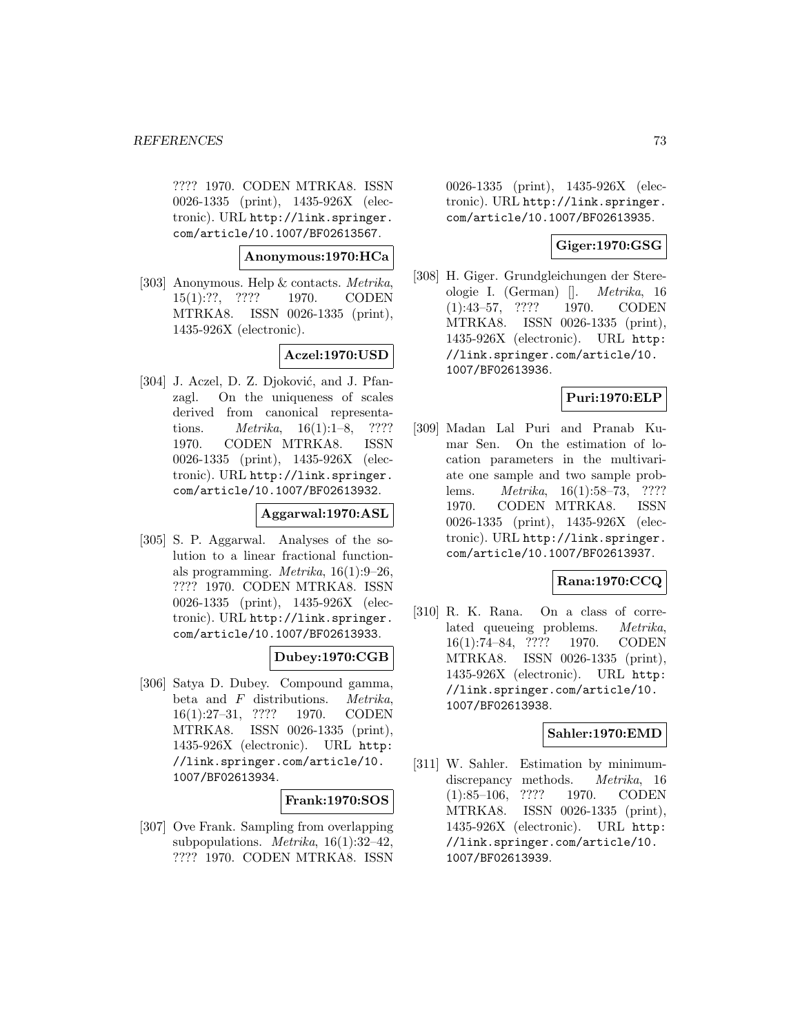???? 1970. CODEN MTRKA8. ISSN 0026-1335 (print), 1435-926X (electronic). URL http://link.springer. com/article/10.1007/BF02613567.

**Anonymous:1970:HCa**

[303] Anonymous. Help & contacts. Metrika, 15(1):??, ???? 1970. CODEN MTRKA8. ISSN 0026-1335 (print), 1435-926X (electronic).

# **Aczel:1970:USD**

[304] J. Aczel, D. Z. Djoković, and J. Pfanzagl. On the uniqueness of scales derived from canonical representations. Metrika, 16(1):1–8, ???? 1970. CODEN MTRKA8. ISSN 0026-1335 (print), 1435-926X (electronic). URL http://link.springer. com/article/10.1007/BF02613932.

# **Aggarwal:1970:ASL**

[305] S. P. Aggarwal. Analyses of the solution to a linear fractional functionals programming. *Metrika*,  $16(1):9-26$ , ???? 1970. CODEN MTRKA8. ISSN 0026-1335 (print), 1435-926X (electronic). URL http://link.springer. com/article/10.1007/BF02613933.

# **Dubey:1970:CGB**

[306] Satya D. Dubey. Compound gamma, beta and  $F$  distributions. *Metrika*, 16(1):27–31, ???? 1970. CODEN MTRKA8. ISSN 0026-1335 (print), 1435-926X (electronic). URL http: //link.springer.com/article/10. 1007/BF02613934.

## **Frank:1970:SOS**

[307] Ove Frank. Sampling from overlapping subpopulations. *Metrika*,  $16(1):32-42$ , ???? 1970. CODEN MTRKA8. ISSN

0026-1335 (print), 1435-926X (electronic). URL http://link.springer. com/article/10.1007/BF02613935.

# **Giger:1970:GSG**

[308] H. Giger. Grundgleichungen der Stereologie I. (German) []. Metrika, 16 (1):43–57, ???? 1970. CODEN MTRKA8. ISSN 0026-1335 (print), 1435-926X (electronic). URL http: //link.springer.com/article/10. 1007/BF02613936.

# **Puri:1970:ELP**

[309] Madan Lal Puri and Pranab Kumar Sen. On the estimation of location parameters in the multivariate one sample and two sample problems. Metrika, 16(1):58–73, ???? 1970. CODEN MTRKA8. ISSN 0026-1335 (print), 1435-926X (electronic). URL http://link.springer. com/article/10.1007/BF02613937.

## **Rana:1970:CCQ**

[310] R. K. Rana. On a class of correlated queueing problems. Metrika, 16(1):74–84, ???? 1970. CODEN MTRKA8. ISSN 0026-1335 (print), 1435-926X (electronic). URL http: //link.springer.com/article/10. 1007/BF02613938.

# **Sahler:1970:EMD**

[311] W. Sahler. Estimation by minimumdiscrepancy methods. *Metrika*, 16 (1):85–106, ???? 1970. CODEN MTRKA8. ISSN 0026-1335 (print), 1435-926X (electronic). URL http: //link.springer.com/article/10. 1007/BF02613939.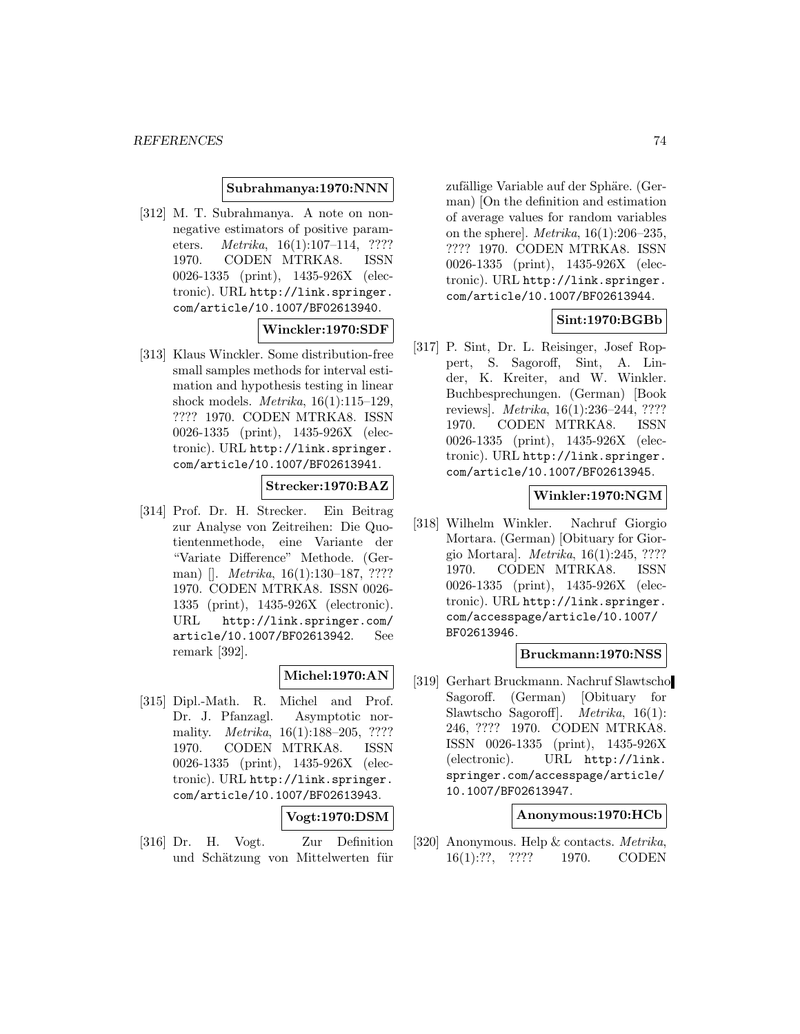#### **Subrahmanya:1970:NNN**

[312] M. T. Subrahmanya. A note on nonnegative estimators of positive parameters. Metrika, 16(1):107–114, ???? 1970. CODEN MTRKA8. ISSN 0026-1335 (print), 1435-926X (electronic). URL http://link.springer. com/article/10.1007/BF02613940.

# **Winckler:1970:SDF**

[313] Klaus Winckler. Some distribution-free small samples methods for interval estimation and hypothesis testing in linear shock models. Metrika, 16(1):115–129, ???? 1970. CODEN MTRKA8. ISSN 0026-1335 (print), 1435-926X (electronic). URL http://link.springer. com/article/10.1007/BF02613941.

# **Strecker:1970:BAZ**

[314] Prof. Dr. H. Strecker. Ein Beitrag zur Analyse von Zeitreihen: Die Quotientenmethode, eine Variante der "Variate Difference" Methode. (German) []. *Metrika*, 16(1):130-187, ???? 1970. CODEN MTRKA8. ISSN 0026- 1335 (print), 1435-926X (electronic). URL http://link.springer.com/ article/10.1007/BF02613942. See remark [392].

#### **Michel:1970:AN**

[315] Dipl.-Math. R. Michel and Prof. Dr. J. Pfanzagl. Asymptotic normality. *Metrika*, 16(1):188-205, ???? 1970. CODEN MTRKA8. ISSN 0026-1335 (print), 1435-926X (electronic). URL http://link.springer. com/article/10.1007/BF02613943.

#### **Vogt:1970:DSM**

[316] Dr. H. Vogt. Zur Definition und Schätzung von Mittelwerten für zufällige Variable auf der Sphäre. (German) [On the definition and estimation of average values for random variables on the sphere]. Metrika,  $16(1):206-235$ , ???? 1970. CODEN MTRKA8. ISSN 0026-1335 (print), 1435-926X (electronic). URL http://link.springer. com/article/10.1007/BF02613944.

# **Sint:1970:BGBb**

[317] P. Sint, Dr. L. Reisinger, Josef Roppert, S. Sagoroff, Sint, A. Linder, K. Kreiter, and W. Winkler. Buchbesprechungen. (German) [Book reviews]. Metrika, 16(1):236–244, ???? 1970. CODEN MTRKA8. ISSN 0026-1335 (print), 1435-926X (electronic). URL http://link.springer. com/article/10.1007/BF02613945.

## **Winkler:1970:NGM**

[318] Wilhelm Winkler. Nachruf Giorgio Mortara. (German) [Obituary for Giorgio Mortara]. Metrika, 16(1):245, ???? 1970. CODEN MTRKA8. ISSN 0026-1335 (print), 1435-926X (electronic). URL http://link.springer. com/accesspage/article/10.1007/ BF02613946.

#### **Bruckmann:1970:NSS**

[319] Gerhart Bruckmann. Nachruf Slawtscho Sagoroff. (German) [Obituary for Slawtscho Sagoroff]. Metrika, 16(1): 246, ???? 1970. CODEN MTRKA8. ISSN 0026-1335 (print), 1435-926X (electronic). URL http://link. springer.com/accesspage/article/ 10.1007/BF02613947.

#### **Anonymous:1970:HCb**

[320] Anonymous. Help & contacts. Metrika, 16(1):??, ???? 1970. CODEN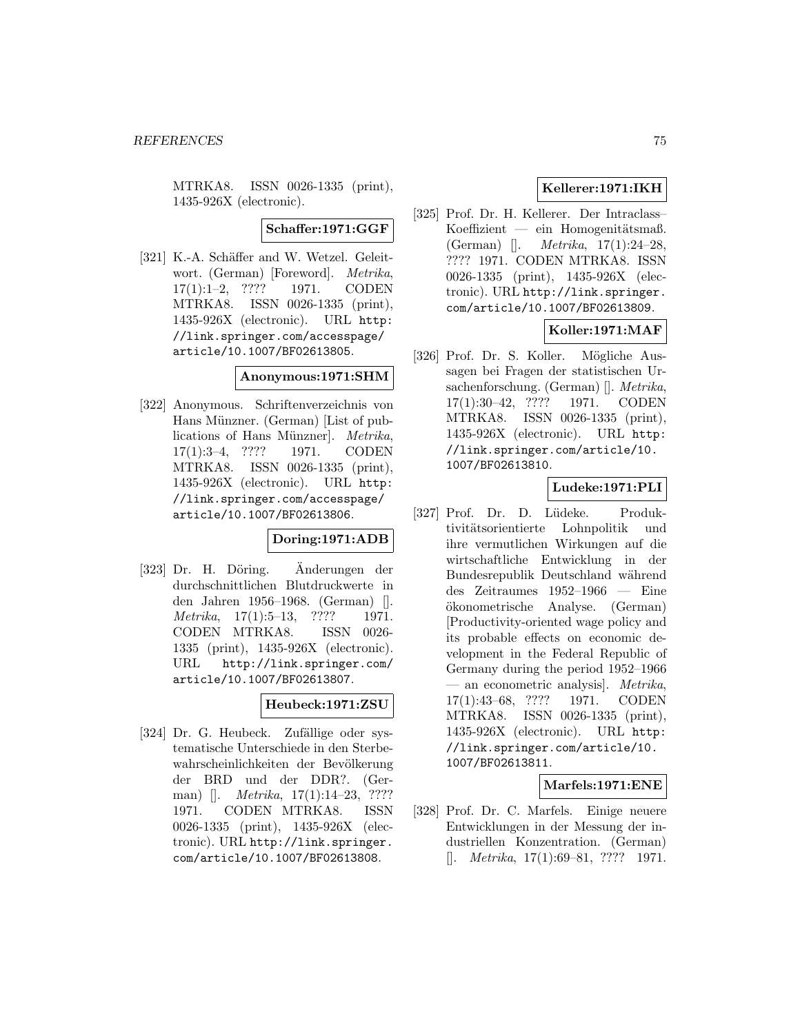MTRKA8. ISSN 0026-1335 (print), 1435-926X (electronic).

# **Schaffer:1971:GGF**

[321] K.-A. Schäffer and W. Wetzel. Geleitwort. (German) [Foreword]. Metrika, 17(1):1–2, ???? 1971. CODEN MTRKA8. ISSN 0026-1335 (print), 1435-926X (electronic). URL http: //link.springer.com/accesspage/ article/10.1007/BF02613805.

# **Anonymous:1971:SHM**

[322] Anonymous. Schriftenverzeichnis von Hans Münzner. (German) [List of publications of Hans Münzner]. Metrika, 17(1):3–4, ???? 1971. CODEN MTRKA8. ISSN 0026-1335 (print), 1435-926X (electronic). URL http: //link.springer.com/accesspage/ article/10.1007/BF02613806.

# **Doring:1971:ADB**

[323] Dr. H. Döring. Anderungen der durchschnittlichen Blutdruckwerte in den Jahren 1956–1968. (German) [].  $Metrika, 17(1):5-13, ???? 1971.$ CODEN MTRKA8. ISSN 0026- 1335 (print), 1435-926X (electronic). URL http://link.springer.com/ article/10.1007/BF02613807.

## **Heubeck:1971:ZSU**

[324] Dr. G. Heubeck. Zufällige oder systematische Unterschiede in den Sterbewahrscheinlichkeiten der Bevölkerung der BRD und der DDR?. (German) []. *Metrika*, 17(1):14–23, ???? 1971. CODEN MTRKA8. ISSN 0026-1335 (print), 1435-926X (electronic). URL http://link.springer. com/article/10.1007/BF02613808.

# **Kellerer:1971:IKH**

[325] Prof. Dr. H. Kellerer. Der Intraclass–  $K$ oeffizient — ein Homogenitätsmaß. (German) []. Metrika, 17(1):24–28, ???? 1971. CODEN MTRKA8. ISSN 0026-1335 (print), 1435-926X (electronic). URL http://link.springer. com/article/10.1007/BF02613809.

# **Koller:1971:MAF**

[326] Prof. Dr. S. Koller. Mögliche Aussagen bei Fragen der statistischen Ursachenforschung. (German) []. Metrika, 17(1):30–42, ???? 1971. CODEN MTRKA8. ISSN 0026-1335 (print), 1435-926X (electronic). URL http: //link.springer.com/article/10. 1007/BF02613810.

# **Ludeke:1971:PLI**

[327] Prof. Dr. D. Lüdeke. Produktivitätsorientierte Lohnpolitik und ihre vermutlichen Wirkungen auf die wirtschaftliche Entwicklung in der Bundesrepublik Deutschland während des Zeitraumes 1952–1966 — Eine okonometrische Analyse. (German) ¨ [Productivity-oriented wage policy and its probable effects on economic development in the Federal Republic of Germany during the period 1952–1966 — an econometric analysis]. Metrika, 17(1):43–68, ???? 1971. CODEN MTRKA8. ISSN 0026-1335 (print), 1435-926X (electronic). URL http: //link.springer.com/article/10. 1007/BF02613811.

## **Marfels:1971:ENE**

[328] Prof. Dr. C. Marfels. Einige neuere Entwicklungen in der Messung der industriellen Konzentration. (German)  $[$ . *Metrika*, 17(1):69–81, ???? 1971.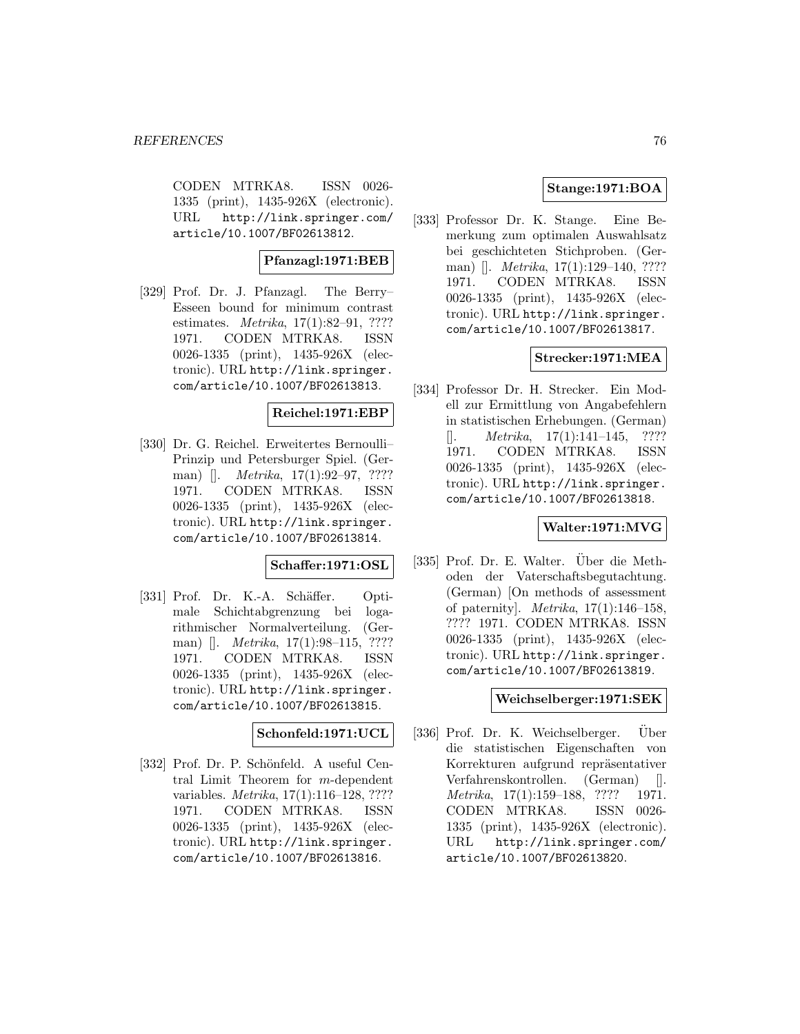CODEN MTRKA8. ISSN 0026- 1335 (print), 1435-926X (electronic). URL http://link.springer.com/ article/10.1007/BF02613812.

# **Pfanzagl:1971:BEB**

[329] Prof. Dr. J. Pfanzagl. The Berry– Esseen bound for minimum contrast estimates. *Metrika*, 17(1):82–91, ???? 1971. CODEN MTRKA8. ISSN 0026-1335 (print), 1435-926X (electronic). URL http://link.springer. com/article/10.1007/BF02613813.

# **Reichel:1971:EBP**

[330] Dr. G. Reichel. Erweitertes Bernoulli– Prinzip und Petersburger Spiel. (German) []. *Metrika*, 17(1):92–97, ???? 1971. CODEN MTRKA8. ISSN 0026-1335 (print), 1435-926X (electronic). URL http://link.springer. com/article/10.1007/BF02613814.

#### **Schaffer:1971:OSL**

[331] Prof. Dr. K.-A. Schäffer. Optimale Schichtabgrenzung bei logarithmischer Normalverteilung. (German) []. *Metrika*, 17(1):98–115, ???? 1971. CODEN MTRKA8. ISSN 0026-1335 (print), 1435-926X (electronic). URL http://link.springer. com/article/10.1007/BF02613815.

#### **Schonfeld:1971:UCL**

[332] Prof. Dr. P. Schönfeld. A useful Central Limit Theorem for m-dependent variables. Metrika, 17(1):116–128, ???? 1971. CODEN MTRKA8. ISSN 0026-1335 (print), 1435-926X (electronic). URL http://link.springer. com/article/10.1007/BF02613816.

# **Stange:1971:BOA**

[333] Professor Dr. K. Stange. Eine Bemerkung zum optimalen Auswahlsatz bei geschichteten Stichproben. (German) []. *Metrika*, 17(1):129–140, ???? 1971. CODEN MTRKA8. ISSN 0026-1335 (print), 1435-926X (electronic). URL http://link.springer. com/article/10.1007/BF02613817.

## **Strecker:1971:MEA**

[334] Professor Dr. H. Strecker. Ein Modell zur Ermittlung von Angabefehlern in statistischen Erhebungen. (German)  $[$ . *Metrika*, 17(1):141–145, ???? 1971. CODEN MTRKA8. ISSN 0026-1335 (print), 1435-926X (electronic). URL http://link.springer. com/article/10.1007/BF02613818.

# **Walter:1971:MVG**

[335] Prof. Dr. E. Walter. Über die Methoden der Vaterschaftsbegutachtung. (German) [On methods of assessment of paternity]. Metrika, 17(1):146–158, ???? 1971. CODEN MTRKA8. ISSN 0026-1335 (print), 1435-926X (electronic). URL http://link.springer. com/article/10.1007/BF02613819.

## **Weichselberger:1971:SEK**

[336] Prof. Dr. K. Weichselberger. Uber die statistischen Eigenschaften von Korrekturen aufgrund repräsentativer Verfahrenskontrollen. (German) []. Metrika, 17(1):159–188, ???? 1971. CODEN MTRKA8. ISSN 0026- 1335 (print), 1435-926X (electronic). URL http://link.springer.com/ article/10.1007/BF02613820.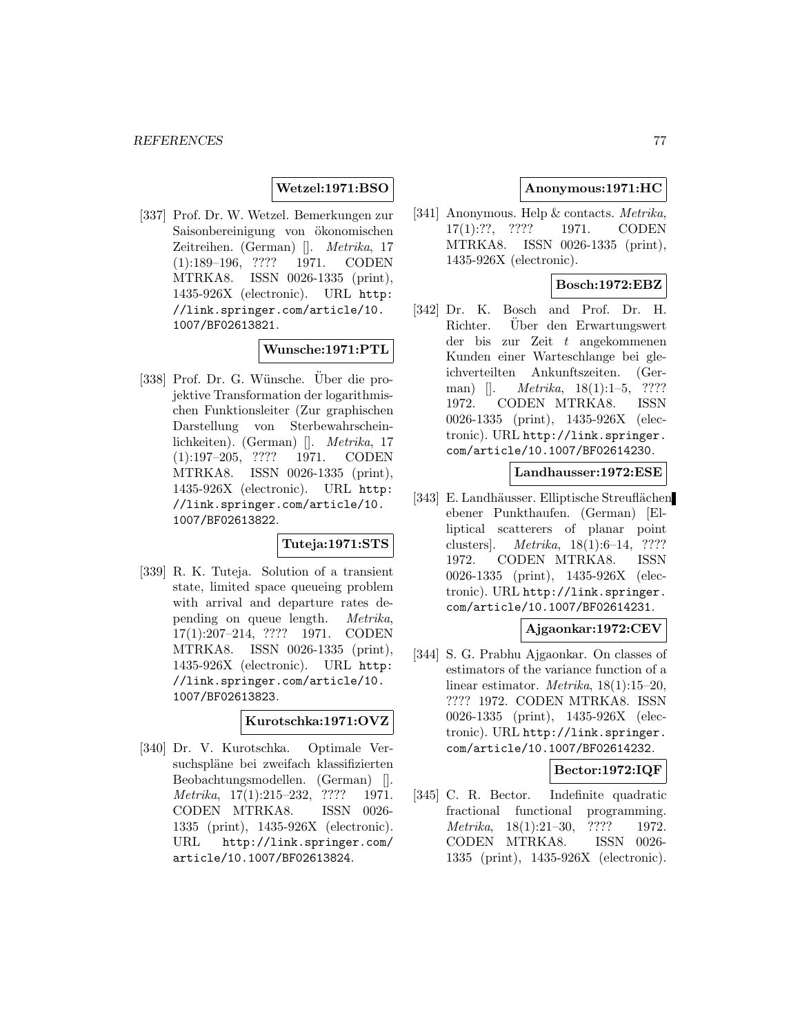## **Wetzel:1971:BSO**

[337] Prof. Dr. W. Wetzel. Bemerkungen zur Saisonbereinigung von ökonomischen Zeitreihen. (German) []. Metrika, 17 (1):189–196, ???? 1971. CODEN MTRKA8. ISSN 0026-1335 (print), 1435-926X (electronic). URL http: //link.springer.com/article/10. 1007/BF02613821.

## **Wunsche:1971:PTL**

[338] Prof. Dr. G. Wünsche. Über die projektive Transformation der logarithmischen Funktionsleiter (Zur graphischen Darstellung von Sterbewahrscheinlichkeiten). (German) []. Metrika, 17 (1):197–205, ???? 1971. CODEN MTRKA8. ISSN 0026-1335 (print), 1435-926X (electronic). URL http: //link.springer.com/article/10. 1007/BF02613822.

# **Tuteja:1971:STS**

[339] R. K. Tuteja. Solution of a transient state, limited space queueing problem with arrival and departure rates depending on queue length. Metrika, 17(1):207–214, ???? 1971. CODEN MTRKA8. ISSN 0026-1335 (print), 1435-926X (electronic). URL http: //link.springer.com/article/10. 1007/BF02613823.

#### **Kurotschka:1971:OVZ**

[340] Dr. V. Kurotschka. Optimale Versuchspläne bei zweifach klassifizierten Beobachtungsmodellen. (German) []. Metrika, 17(1):215–232, ???? 1971. CODEN MTRKA8. ISSN 0026- 1335 (print), 1435-926X (electronic). URL http://link.springer.com/ article/10.1007/BF02613824.

## **Anonymous:1971:HC**

[341] Anonymous. Help & contacts. *Metrika*, 17(1):??, ???? 1971. CODEN MTRKA8. ISSN 0026-1335 (print), 1435-926X (electronic).

# **Bosch:1972:EBZ**

[342] Dr. K. Bosch and Prof. Dr. H. Richter. Uber den Erwartungswert der bis zur Zeit t angekommenen Kunden einer Warteschlange bei gleichverteilten Ankunftszeiten. (German)  $\Box$  *Metrika*, 18(1):1–5, ???? 1972. CODEN MTRKA8. ISSN 0026-1335 (print), 1435-926X (electronic). URL http://link.springer. com/article/10.1007/BF02614230.

# **Landhausser:1972:ESE**

[343] E. Landhäusser. Elliptische Streuflächen ebener Punkthaufen. (German) [Elliptical scatterers of planar point clusters]. Metrika, 18(1):6–14, ???? 1972. CODEN MTRKA8. ISSN 0026-1335 (print), 1435-926X (electronic). URL http://link.springer. com/article/10.1007/BF02614231.

## **Ajgaonkar:1972:CEV**

[344] S. G. Prabhu Ajgaonkar. On classes of estimators of the variance function of a linear estimator. Metrika, 18(1):15–20, ???? 1972. CODEN MTRKA8. ISSN 0026-1335 (print), 1435-926X (electronic). URL http://link.springer. com/article/10.1007/BF02614232.

## **Bector:1972:IQF**

[345] C. R. Bector. Indefinite quadratic fractional functional programming. Metrika, 18(1):21–30, ???? 1972. CODEN MTRKA8. ISSN 0026- 1335 (print), 1435-926X (electronic).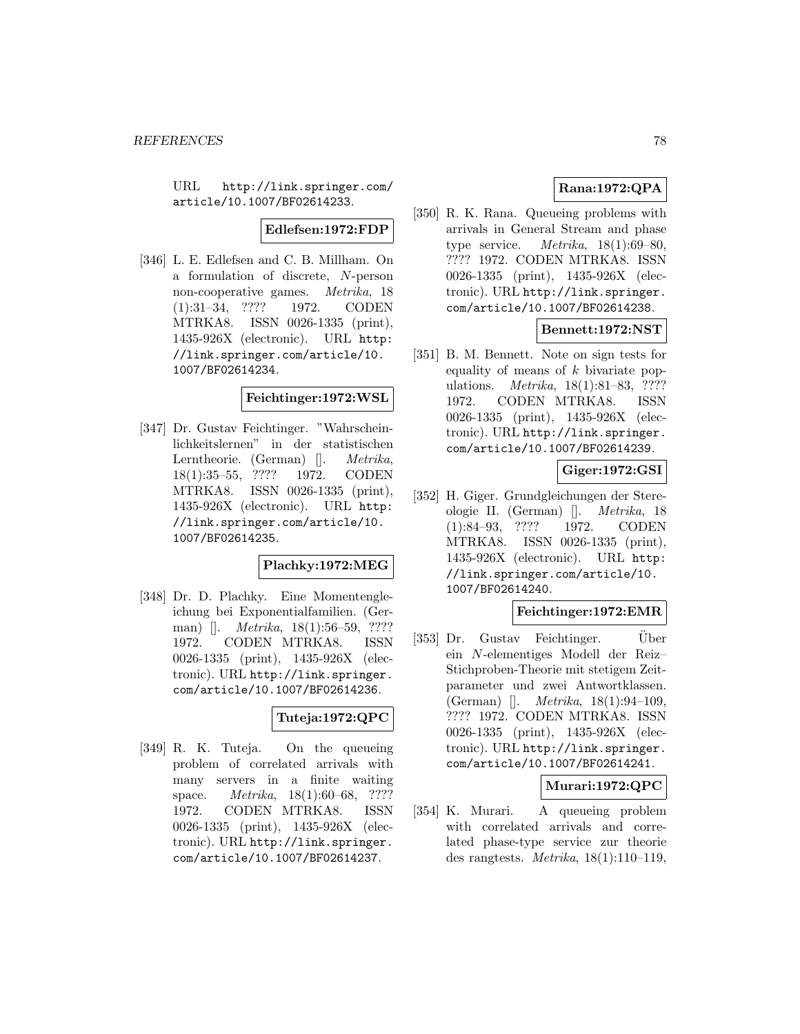URL http://link.springer.com/ article/10.1007/BF02614233.

# **Edlefsen:1972:FDP**

[346] L. E. Edlefsen and C. B. Millham. On a formulation of discrete, N-person non-cooperative games. Metrika, 18 (1):31–34, ???? 1972. CODEN MTRKA8. ISSN 0026-1335 (print), 1435-926X (electronic). URL http: //link.springer.com/article/10. 1007/BF02614234.

#### **Feichtinger:1972:WSL**

[347] Dr. Gustav Feichtinger. "Wahrscheinlichkeitslernen" in der statistischen Lerntheorie. (German) []. Metrika, 18(1):35–55, ???? 1972. CODEN MTRKA8. ISSN 0026-1335 (print), 1435-926X (electronic). URL http: //link.springer.com/article/10. 1007/BF02614235.

#### **Plachky:1972:MEG**

[348] Dr. D. Plachky. Eine Momentengleichung bei Exponentialfamilien. (German) []. *Metrika*, 18(1):56–59, ???? 1972. CODEN MTRKA8. ISSN 0026-1335 (print), 1435-926X (electronic). URL http://link.springer. com/article/10.1007/BF02614236.

# **Tuteja:1972:QPC**

[349] R. K. Tuteja. On the queueing problem of correlated arrivals with many servers in a finite waiting space. *Metrika*, 18(1):60–68, ???? 1972. CODEN MTRKA8. ISSN 0026-1335 (print), 1435-926X (electronic). URL http://link.springer. com/article/10.1007/BF02614237.

# **Rana:1972:QPA**

[350] R. K. Rana. Queueing problems with arrivals in General Stream and phase type service.  $Metrika$ ,  $18(1):69-80$ , ???? 1972. CODEN MTRKA8. ISSN 0026-1335 (print), 1435-926X (electronic). URL http://link.springer. com/article/10.1007/BF02614238.

## **Bennett:1972:NST**

[351] B. M. Bennett. Note on sign tests for equality of means of  $k$  bivariate populations. *Metrika*, 18(1):81–83, ???? 1972. CODEN MTRKA8. ISSN 0026-1335 (print), 1435-926X (electronic). URL http://link.springer. com/article/10.1007/BF02614239.

# **Giger:1972:GSI**

[352] H. Giger. Grundgleichungen der Stereologie II. (German) []. Metrika, 18 (1):84–93, ???? 1972. CODEN MTRKA8. ISSN 0026-1335 (print), 1435-926X (electronic). URL http: //link.springer.com/article/10. 1007/BF02614240.

#### **Feichtinger:1972:EMR**

[353] Dr. Gustav Feichtinger. Über ein N-elementiges Modell der Reiz– Stichproben-Theorie mit stetigem Zeitparameter und zwei Antwortklassen. (German) []. Metrika, 18(1):94–109, ???? 1972. CODEN MTRKA8. ISSN 0026-1335 (print), 1435-926X (electronic). URL http://link.springer. com/article/10.1007/BF02614241.

## **Murari:1972:QPC**

[354] K. Murari. A queueing problem with correlated arrivals and correlated phase-type service zur theorie des rangtests. *Metrika*,  $18(1):110-119$ ,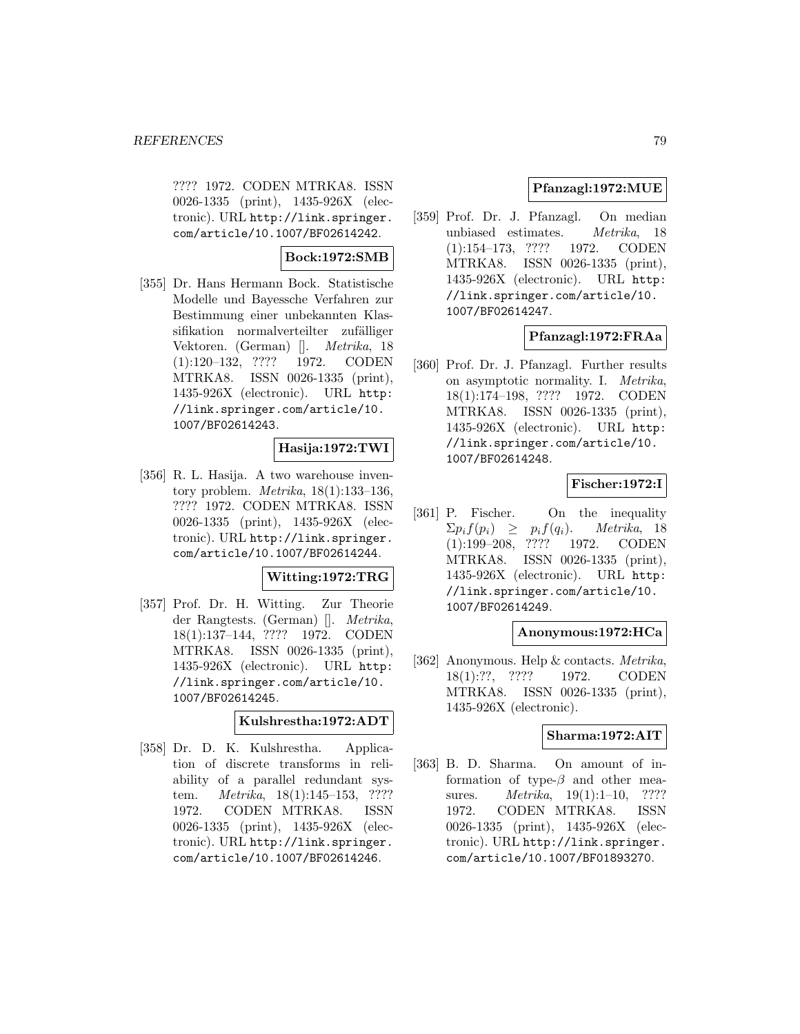???? 1972. CODEN MTRKA8. ISSN 0026-1335 (print), 1435-926X (electronic). URL http://link.springer. com/article/10.1007/BF02614242.

# **Bock:1972:SMB**

[355] Dr. Hans Hermann Bock. Statistische Modelle und Bayessche Verfahren zur Bestimmung einer unbekannten Klassifikation normalverteilter zufälliger Vektoren. (German) []. Metrika, 18 (1):120–132, ???? 1972. CODEN MTRKA8. ISSN 0026-1335 (print), 1435-926X (electronic). URL http: //link.springer.com/article/10. 1007/BF02614243.

# **Hasija:1972:TWI**

[356] R. L. Hasija. A two warehouse inventory problem. *Metrika*,  $18(1):133-136$ , ???? 1972. CODEN MTRKA8. ISSN 0026-1335 (print), 1435-926X (electronic). URL http://link.springer. com/article/10.1007/BF02614244.

# **Witting:1972:TRG**

[357] Prof. Dr. H. Witting. Zur Theorie der Rangtests. (German) []. Metrika, 18(1):137–144, ???? 1972. CODEN MTRKA8. ISSN 0026-1335 (print), 1435-926X (electronic). URL http: //link.springer.com/article/10. 1007/BF02614245.

## **Kulshrestha:1972:ADT**

[358] Dr. D. K. Kulshrestha. Application of discrete transforms in reliability of a parallel redundant system. Metrika, 18(1):145–153, ???? 1972. CODEN MTRKA8. ISSN 0026-1335 (print), 1435-926X (electronic). URL http://link.springer. com/article/10.1007/BF02614246.

# **Pfanzagl:1972:MUE**

[359] Prof. Dr. J. Pfanzagl. On median unbiased estimates. Metrika, 18 (1):154–173, ???? 1972. CODEN MTRKA8. ISSN 0026-1335 (print), 1435-926X (electronic). URL http: //link.springer.com/article/10. 1007/BF02614247.

# **Pfanzagl:1972:FRAa**

[360] Prof. Dr. J. Pfanzagl. Further results on asymptotic normality. I. Metrika, 18(1):174–198, ???? 1972. CODEN MTRKA8. ISSN 0026-1335 (print), 1435-926X (electronic). URL http: //link.springer.com/article/10. 1007/BF02614248.

# **Fischer:1972:I**

[361] P. Fischer. On the inequality  $\sum p_i f(p_i) \geq p_i f(q_i)$ . Metrika, 18 (1):199–208, ???? 1972. CODEN MTRKA8. ISSN 0026-1335 (print), 1435-926X (electronic). URL http: //link.springer.com/article/10. 1007/BF02614249.

## **Anonymous:1972:HCa**

[362] Anonymous. Help & contacts. Metrika, 18(1):??, ???? 1972. CODEN MTRKA8. ISSN 0026-1335 (print), 1435-926X (electronic).

## **Sharma:1972:AIT**

[363] B. D. Sharma. On amount of information of type- $\beta$  and other measures. *Metrika*, 19(1):1–10, ???? 1972. CODEN MTRKA8. ISSN 0026-1335 (print), 1435-926X (electronic). URL http://link.springer. com/article/10.1007/BF01893270.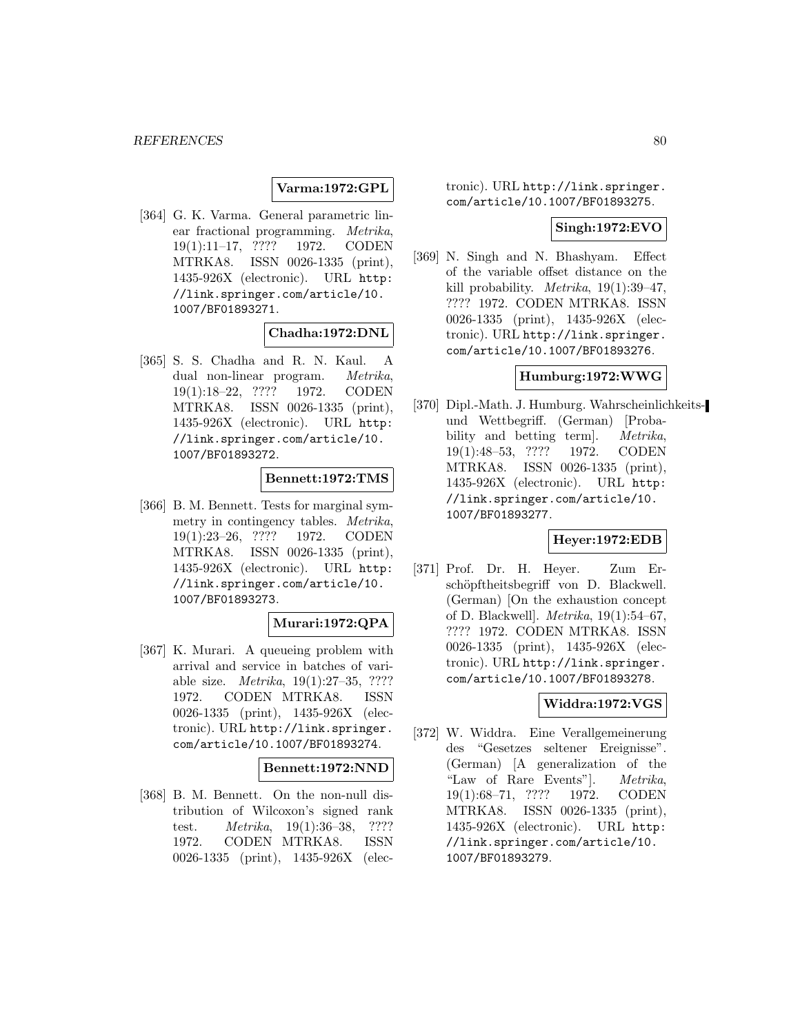# **Varma:1972:GPL**

[364] G. K. Varma. General parametric linear fractional programming. Metrika, 19(1):11–17, ???? 1972. CODEN MTRKA8. ISSN 0026-1335 (print), 1435-926X (electronic). URL http: //link.springer.com/article/10. 1007/BF01893271.

## **Chadha:1972:DNL**

[365] S. S. Chadha and R. N. Kaul. A dual non-linear program. Metrika, 19(1):18–22, ???? 1972. CODEN MTRKA8. ISSN 0026-1335 (print), 1435-926X (electronic). URL http: //link.springer.com/article/10. 1007/BF01893272.

## **Bennett:1972:TMS**

[366] B. M. Bennett. Tests for marginal symmetry in contingency tables. Metrika, 19(1):23–26, ???? 1972. CODEN MTRKA8. ISSN 0026-1335 (print), 1435-926X (electronic). URL http: //link.springer.com/article/10. 1007/BF01893273.

## **Murari:1972:QPA**

[367] K. Murari. A queueing problem with arrival and service in batches of variable size. Metrika, 19(1):27–35, ???? 1972. CODEN MTRKA8. ISSN 0026-1335 (print), 1435-926X (electronic). URL http://link.springer. com/article/10.1007/BF01893274.

#### **Bennett:1972:NND**

[368] B. M. Bennett. On the non-null distribution of Wilcoxon's signed rank test. Metrika, 19(1):36–38, ???? 1972. CODEN MTRKA8. ISSN 0026-1335 (print), 1435-926X (electronic). URL http://link.springer. com/article/10.1007/BF01893275.

#### **Singh:1972:EVO**

[369] N. Singh and N. Bhashyam. Effect of the variable offset distance on the kill probability. Metrika, 19(1):39–47, ???? 1972. CODEN MTRKA8. ISSN 0026-1335 (print), 1435-926X (electronic). URL http://link.springer. com/article/10.1007/BF01893276.

#### **Humburg:1972:WWG**

[370] Dipl.-Math. J. Humburg. Wahrscheinlichkeitsund Wettbegriff. (German) [Probability and betting term. Metrika, 19(1):48–53, ???? 1972. CODEN MTRKA8. ISSN 0026-1335 (print), 1435-926X (electronic). URL http: //link.springer.com/article/10. 1007/BF01893277.

## **Heyer:1972:EDB**

[371] Prof. Dr. H. Heyer. Zum Erschöpftheitsbegriff von D. Blackwell. (German) [On the exhaustion concept of D. Blackwell]. Metrika, 19(1):54–67, ???? 1972. CODEN MTRKA8. ISSN 0026-1335 (print), 1435-926X (electronic). URL http://link.springer. com/article/10.1007/BF01893278.

# **Widdra:1972:VGS**

[372] W. Widdra. Eine Verallgemeinerung des "Gesetzes seltener Ereignisse". (German) [A generalization of the "Law of Rare Events"]. Metrika, 19(1):68–71, ???? 1972. CODEN MTRKA8. ISSN 0026-1335 (print), 1435-926X (electronic). URL http: //link.springer.com/article/10. 1007/BF01893279.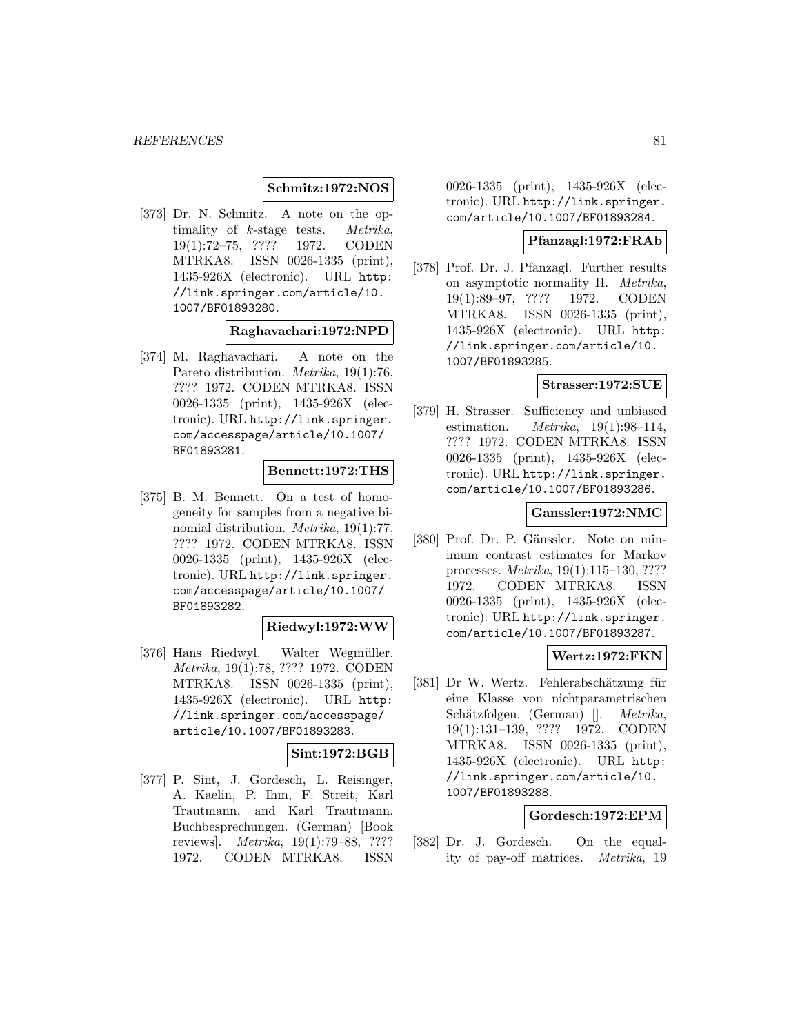#### **Schmitz:1972:NOS**

[373] Dr. N. Schmitz. A note on the optimality of k-stage tests. Metrika, 19(1):72–75, ???? 1972. CODEN MTRKA8. ISSN 0026-1335 (print), 1435-926X (electronic). URL http: //link.springer.com/article/10. 1007/BF01893280.

#### **Raghavachari:1972:NPD**

[374] M. Raghavachari. A note on the Pareto distribution. Metrika, 19(1):76, ???? 1972. CODEN MTRKA8. ISSN 0026-1335 (print), 1435-926X (electronic). URL http://link.springer. com/accesspage/article/10.1007/ BF01893281.

#### **Bennett:1972:THS**

[375] B. M. Bennett. On a test of homogeneity for samples from a negative binomial distribution. Metrika, 19(1):77, ???? 1972. CODEN MTRKA8. ISSN 0026-1335 (print), 1435-926X (electronic). URL http://link.springer. com/accesspage/article/10.1007/ BF01893282.

#### **Riedwyl:1972:WW**

[376] Hans Riedwyl. Walter Wegmüller. Metrika, 19(1):78, ???? 1972. CODEN MTRKA8. ISSN 0026-1335 (print), 1435-926X (electronic). URL http: //link.springer.com/accesspage/ article/10.1007/BF01893283.

# **Sint:1972:BGB**

[377] P. Sint, J. Gordesch, L. Reisinger, A. Kaelin, P. Ihm, F. Streit, Karl Trautmann, and Karl Trautmann. Buchbesprechungen. (German) [Book reviews]. Metrika, 19(1):79–88, ???? 1972. CODEN MTRKA8. ISSN

0026-1335 (print), 1435-926X (electronic). URL http://link.springer. com/article/10.1007/BF01893284.

## **Pfanzagl:1972:FRAb**

[378] Prof. Dr. J. Pfanzagl. Further results on asymptotic normality II. Metrika, 19(1):89–97, ???? 1972. CODEN MTRKA8. ISSN 0026-1335 (print), 1435-926X (electronic). URL http: //link.springer.com/article/10. 1007/BF01893285.

#### **Strasser:1972:SUE**

[379] H. Strasser. Sufficiency and unbiased estimation.  $Metrika$ , 19(1):98-114, ???? 1972. CODEN MTRKA8. ISSN 0026-1335 (print), 1435-926X (electronic). URL http://link.springer. com/article/10.1007/BF01893286.

#### **Ganssler:1972:NMC**

[380] Prof. Dr. P. Gänssler. Note on minimum contrast estimates for Markov processes. Metrika, 19(1):115–130, ???? 1972. CODEN MTRKA8. ISSN 0026-1335 (print), 1435-926X (electronic). URL http://link.springer. com/article/10.1007/BF01893287.

#### **Wertz:1972:FKN**

[381] Dr W. Wertz. Fehlerabschätzung für eine Klasse von nichtparametrischen Schätzfolgen. (German) []. *Metrika*, 19(1):131–139, ???? 1972. CODEN MTRKA8. ISSN 0026-1335 (print), 1435-926X (electronic). URL http: //link.springer.com/article/10. 1007/BF01893288.

#### **Gordesch:1972:EPM**

[382] Dr. J. Gordesch. On the equality of pay-off matrices. Metrika, 19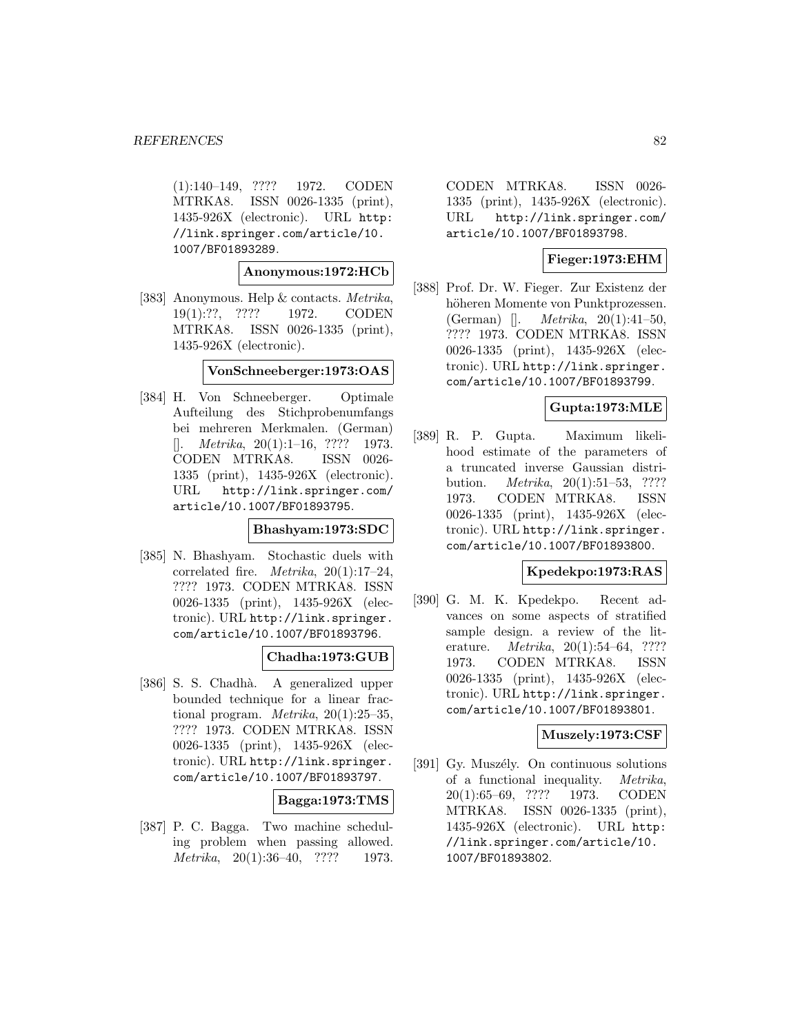(1):140–149, ???? 1972. CODEN MTRKA8. ISSN 0026-1335 (print), 1435-926X (electronic). URL http: //link.springer.com/article/10. 1007/BF01893289.

#### **Anonymous:1972:HCb**

[383] Anonymous. Help & contacts. Metrika, 19(1):??, ???? 1972. CODEN MTRKA8. ISSN 0026-1335 (print), 1435-926X (electronic).

#### **VonSchneeberger:1973:OAS**

[384] H. Von Schneeberger. Optimale Aufteilung des Stichprobenumfangs bei mehreren Merkmalen. (German)  $[$ . *Metrika*, 20(1):1–16, ???? 1973. CODEN MTRKA8. ISSN 0026- 1335 (print), 1435-926X (electronic). URL http://link.springer.com/ article/10.1007/BF01893795.

## **Bhashyam:1973:SDC**

[385] N. Bhashyam. Stochastic duels with correlated fire. *Metrika*,  $20(1):17-24$ , ???? 1973. CODEN MTRKA8. ISSN 0026-1335 (print), 1435-926X (electronic). URL http://link.springer. com/article/10.1007/BF01893796.

## **Chadha:1973:GUB**

[386] S. S. Chadhà. A generalized upper bounded technique for a linear fractional program. *Metrika*,  $20(1):25-35$ , ???? 1973. CODEN MTRKA8. ISSN 0026-1335 (print), 1435-926X (electronic). URL http://link.springer. com/article/10.1007/BF01893797.

## **Bagga:1973:TMS**

[387] P. C. Bagga. Two machine scheduling problem when passing allowed. Metrika, 20(1):36–40, ???? 1973.

CODEN MTRKA8. ISSN 0026- 1335 (print), 1435-926X (electronic). URL http://link.springer.com/ article/10.1007/BF01893798.

# **Fieger:1973:EHM**

[388] Prof. Dr. W. Fieger. Zur Existenz der höheren Momente von Punktprozessen. (German) []. Metrika, 20(1):41–50, ???? 1973. CODEN MTRKA8. ISSN 0026-1335 (print), 1435-926X (electronic). URL http://link.springer. com/article/10.1007/BF01893799.

## **Gupta:1973:MLE**

[389] R. P. Gupta. Maximum likelihood estimate of the parameters of a truncated inverse Gaussian distribution. Metrika, 20(1):51–53, ???? 1973. CODEN MTRKA8. ISSN 0026-1335 (print), 1435-926X (electronic). URL http://link.springer. com/article/10.1007/BF01893800.

## **Kpedekpo:1973:RAS**

[390] G. M. K. Kpedekpo. Recent advances on some aspects of stratified sample design. a review of the literature. Metrika, 20(1):54–64, ???? 1973. CODEN MTRKA8. ISSN 0026-1335 (print), 1435-926X (electronic). URL http://link.springer. com/article/10.1007/BF01893801.

## **Muszely:1973:CSF**

[391] Gy. Muszély. On continuous solutions of a functional inequality. Metrika, 20(1):65–69, ???? 1973. CODEN MTRKA8. ISSN 0026-1335 (print), 1435-926X (electronic). URL http: //link.springer.com/article/10. 1007/BF01893802.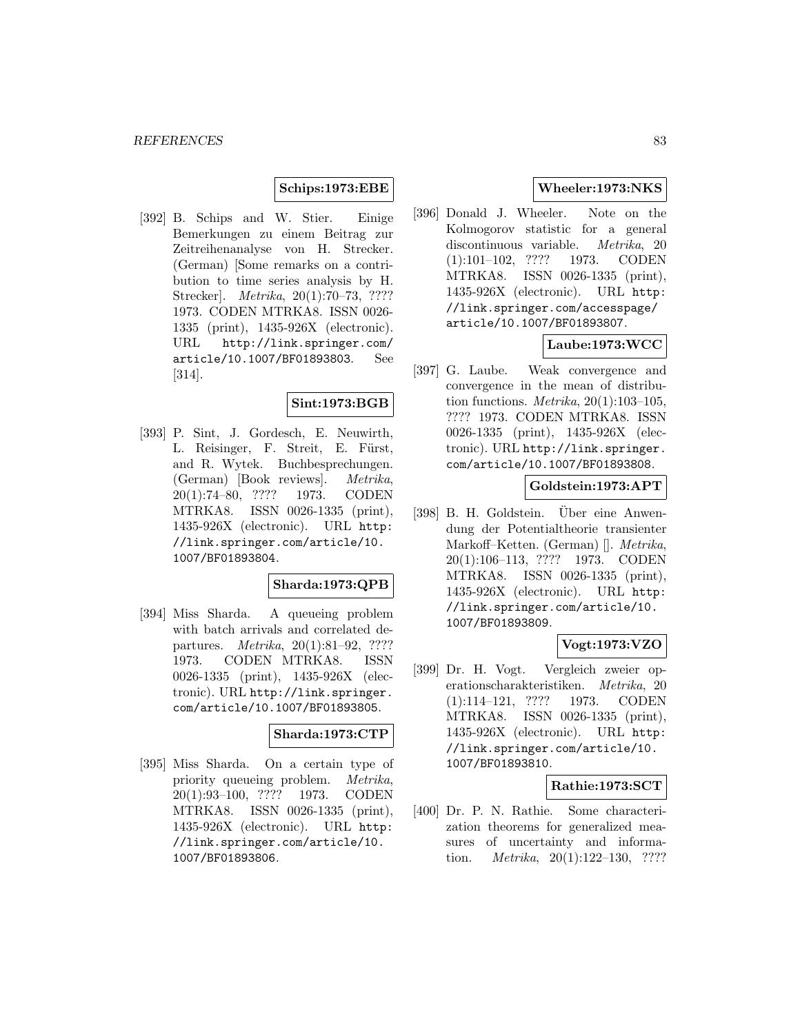# **Schips:1973:EBE**

[392] B. Schips and W. Stier. Einige Bemerkungen zu einem Beitrag zur Zeitreihenanalyse von H. Strecker. (German) [Some remarks on a contribution to time series analysis by H. Strecker]. Metrika, 20(1):70–73, ???? 1973. CODEN MTRKA8. ISSN 0026- 1335 (print), 1435-926X (electronic). URL http://link.springer.com/ article/10.1007/BF01893803. See [314].

# **Sint:1973:BGB**

[393] P. Sint, J. Gordesch, E. Neuwirth, L. Reisinger, F. Streit, E. Fürst, and R. Wytek. Buchbesprechungen. (German) [Book reviews]. Metrika, 20(1):74–80, ???? 1973. CODEN MTRKA8. ISSN 0026-1335 (print), 1435-926X (electronic). URL http: //link.springer.com/article/10. 1007/BF01893804.

# **Sharda:1973:QPB**

[394] Miss Sharda. A queueing problem with batch arrivals and correlated departures. Metrika, 20(1):81–92, ???? 1973. CODEN MTRKA8. ISSN 0026-1335 (print), 1435-926X (electronic). URL http://link.springer. com/article/10.1007/BF01893805.

#### **Sharda:1973:CTP**

[395] Miss Sharda. On a certain type of priority queueing problem. Metrika, 20(1):93–100, ???? 1973. CODEN MTRKA8. ISSN 0026-1335 (print), 1435-926X (electronic). URL http: //link.springer.com/article/10. 1007/BF01893806.

# **Wheeler:1973:NKS**

[396] Donald J. Wheeler. Note on the Kolmogorov statistic for a general discontinuous variable. Metrika, 20 (1):101–102, ???? 1973. CODEN MTRKA8. ISSN 0026-1335 (print), 1435-926X (electronic). URL http: //link.springer.com/accesspage/ article/10.1007/BF01893807.

# **Laube:1973:WCC**

[397] G. Laube. Weak convergence and convergence in the mean of distribution functions.  $Metrika$ , 20(1):103-105, ???? 1973. CODEN MTRKA8. ISSN 0026-1335 (print), 1435-926X (electronic). URL http://link.springer. com/article/10.1007/BF01893808.

#### **Goldstein:1973:APT**

[398] B. H. Goldstein. Uber eine Anwendung der Potentialtheorie transienter Markoff–Ketten. (German) []. Metrika, 20(1):106–113, ???? 1973. CODEN MTRKA8. ISSN 0026-1335 (print), 1435-926X (electronic). URL http: //link.springer.com/article/10. 1007/BF01893809.

# **Vogt:1973:VZO**

[399] Dr. H. Vogt. Vergleich zweier operationscharakteristiken. Metrika, 20 (1):114–121, ???? 1973. CODEN MTRKA8. ISSN 0026-1335 (print), 1435-926X (electronic). URL http: //link.springer.com/article/10. 1007/BF01893810.

#### **Rathie:1973:SCT**

[400] Dr. P. N. Rathie. Some characterization theorems for generalized measures of uncertainty and information. Metrika, 20(1):122–130, ????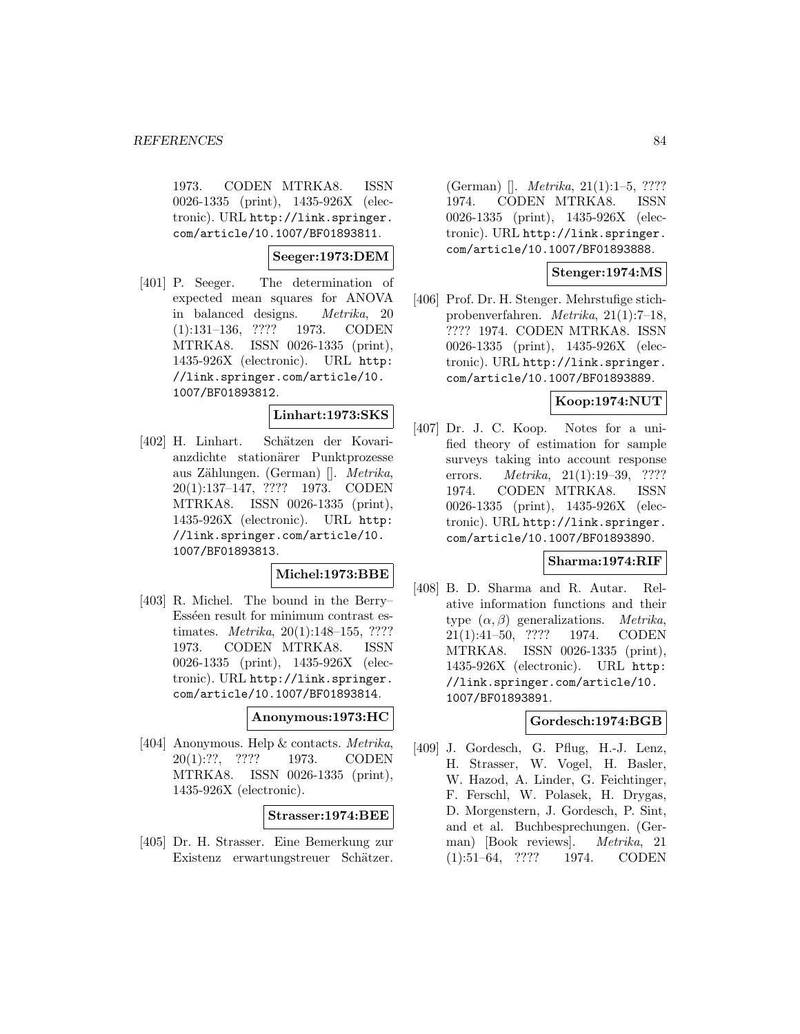1973. CODEN MTRKA8. ISSN 0026-1335 (print), 1435-926X (electronic). URL http://link.springer. com/article/10.1007/BF01893811.

**Seeger:1973:DEM**

[401] P. Seeger. The determination of expected mean squares for ANOVA in balanced designs. Metrika, 20 (1):131–136, ???? 1973. CODEN MTRKA8. ISSN 0026-1335 (print), 1435-926X (electronic). URL http: //link.springer.com/article/10. 1007/BF01893812.

# **Linhart:1973:SKS**

[402] H. Linhart. Schätzen der Kovarianzdichte stationärer Punktprozesse aus Zählungen. (German) []. Metrika, 20(1):137–147, ???? 1973. CODEN MTRKA8. ISSN 0026-1335 (print), 1435-926X (electronic). URL http: //link.springer.com/article/10. 1007/BF01893813.

## **Michel:1973:BBE**

[403] R. Michel. The bound in the Berry– Esséen result for minimum contrast estimates. Metrika, 20(1):148–155, ???? 1973. CODEN MTRKA8. ISSN 0026-1335 (print), 1435-926X (electronic). URL http://link.springer. com/article/10.1007/BF01893814.

#### **Anonymous:1973:HC**

[404] Anonymous. Help & contacts. Metrika, 20(1):??, ???? 1973. CODEN MTRKA8. ISSN 0026-1335 (print), 1435-926X (electronic).

## **Strasser:1974:BEE**

[405] Dr. H. Strasser. Eine Bemerkung zur Existenz erwartungstreuer Schätzer.

(German) []. Metrika, 21(1):1–5, ???? 1974. CODEN MTRKA8. ISSN 0026-1335 (print), 1435-926X (electronic). URL http://link.springer. com/article/10.1007/BF01893888.

# **Stenger:1974:MS**

[406] Prof. Dr. H. Stenger. Mehrstufige stichprobenverfahren. Metrika, 21(1):7–18, ???? 1974. CODEN MTRKA8. ISSN 0026-1335 (print), 1435-926X (electronic). URL http://link.springer. com/article/10.1007/BF01893889.

# **Koop:1974:NUT**

[407] Dr. J. C. Koop. Notes for a unified theory of estimation for sample surveys taking into account response errors. *Metrika*, 21(1):19–39, ???? 1974. CODEN MTRKA8. ISSN 0026-1335 (print), 1435-926X (electronic). URL http://link.springer. com/article/10.1007/BF01893890.

## **Sharma:1974:RIF**

[408] B. D. Sharma and R. Autar. Relative information functions and their type  $(\alpha, \beta)$  generalizations. *Metrika*, 21(1):41–50, ???? 1974. CODEN MTRKA8. ISSN 0026-1335 (print), 1435-926X (electronic). URL http: //link.springer.com/article/10. 1007/BF01893891.

## **Gordesch:1974:BGB**

[409] J. Gordesch, G. Pflug, H.-J. Lenz, H. Strasser, W. Vogel, H. Basler, W. Hazod, A. Linder, G. Feichtinger, F. Ferschl, W. Polasek, H. Drygas, D. Morgenstern, J. Gordesch, P. Sint, and et al. Buchbesprechungen. (German) [Book reviews]. Metrika, 21 (1):51–64, ???? 1974. CODEN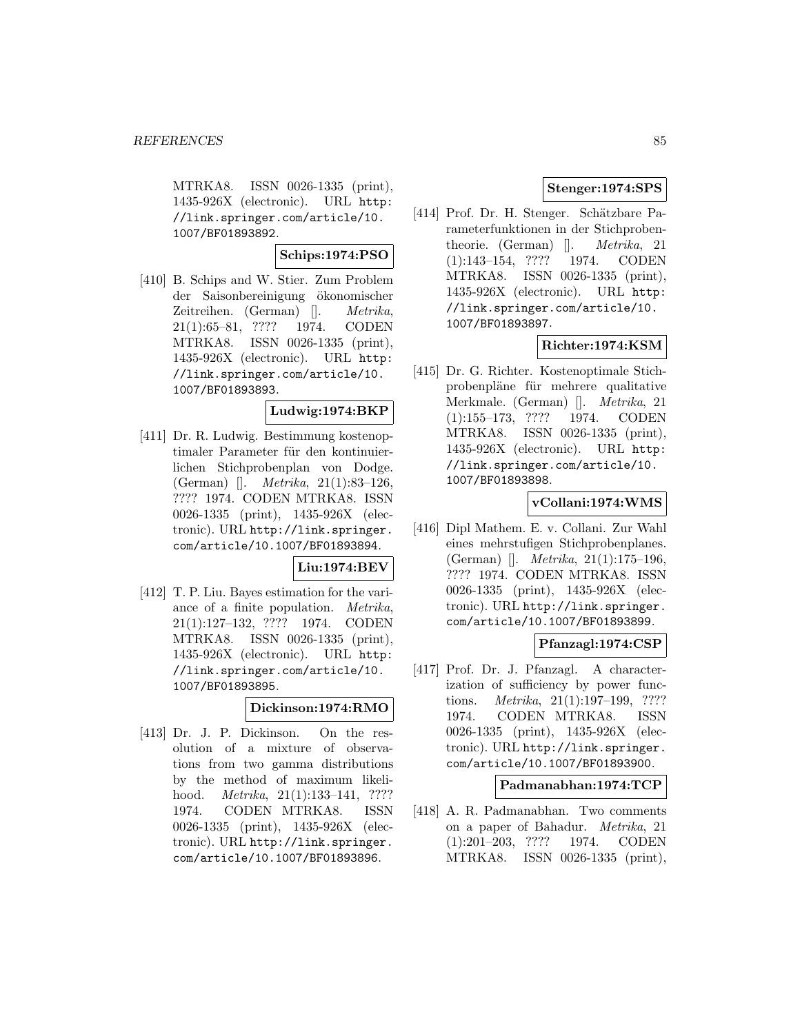MTRKA8. ISSN 0026-1335 (print), 1435-926X (electronic). URL http: //link.springer.com/article/10. 1007/BF01893892.

**Schips:1974:PSO**

[410] B. Schips and W. Stier. Zum Problem der Saisonbereinigung ¨okonomischer Zeitreihen. (German) []. Metrika, 21(1):65–81, ???? 1974. CODEN MTRKA8. ISSN 0026-1335 (print), 1435-926X (electronic). URL http: //link.springer.com/article/10. 1007/BF01893893.

# **Ludwig:1974:BKP**

[411] Dr. R. Ludwig. Bestimmung kostenoptimaler Parameter für den kontinuierlichen Stichprobenplan von Dodge. (German) []. Metrika, 21(1):83–126, ???? 1974. CODEN MTRKA8. ISSN 0026-1335 (print), 1435-926X (electronic). URL http://link.springer. com/article/10.1007/BF01893894.

## **Liu:1974:BEV**

[412] T. P. Liu. Bayes estimation for the variance of a finite population. Metrika, 21(1):127–132, ???? 1974. CODEN MTRKA8. ISSN 0026-1335 (print), 1435-926X (electronic). URL http: //link.springer.com/article/10. 1007/BF01893895.

#### **Dickinson:1974:RMO**

[413] Dr. J. P. Dickinson. On the resolution of a mixture of observations from two gamma distributions by the method of maximum likelihood. *Metrika*, 21(1):133-141, ???? 1974. CODEN MTRKA8. ISSN 0026-1335 (print), 1435-926X (electronic). URL http://link.springer. com/article/10.1007/BF01893896.

# **Stenger:1974:SPS**

[414] Prof. Dr. H. Stenger. Schätzbare Parameterfunktionen in der Stichprobentheorie. (German) []. Metrika, 21 (1):143–154, ???? 1974. CODEN MTRKA8. ISSN 0026-1335 (print), 1435-926X (electronic). URL http: //link.springer.com/article/10. 1007/BF01893897.

# **Richter:1974:KSM**

[415] Dr. G. Richter. Kostenoptimale Stichprobenpläne für mehrere qualitative Merkmale. (German) []. Metrika, 21 (1):155–173, ???? 1974. CODEN MTRKA8. ISSN 0026-1335 (print), 1435-926X (electronic). URL http: //link.springer.com/article/10. 1007/BF01893898.

#### **vCollani:1974:WMS**

[416] Dipl Mathem. E. v. Collani. Zur Wahl eines mehrstufigen Stichprobenplanes. (German) []. Metrika, 21(1):175–196, ???? 1974. CODEN MTRKA8. ISSN 0026-1335 (print), 1435-926X (electronic). URL http://link.springer. com/article/10.1007/BF01893899.

# **Pfanzagl:1974:CSP**

[417] Prof. Dr. J. Pfanzagl. A characterization of sufficiency by power functions. Metrika, 21(1):197–199, ???? 1974. CODEN MTRKA8. ISSN 0026-1335 (print), 1435-926X (electronic). URL http://link.springer. com/article/10.1007/BF01893900.

#### **Padmanabhan:1974:TCP**

[418] A. R. Padmanabhan. Two comments on a paper of Bahadur. Metrika, 21 (1):201–203, ???? 1974. CODEN MTRKA8. ISSN 0026-1335 (print),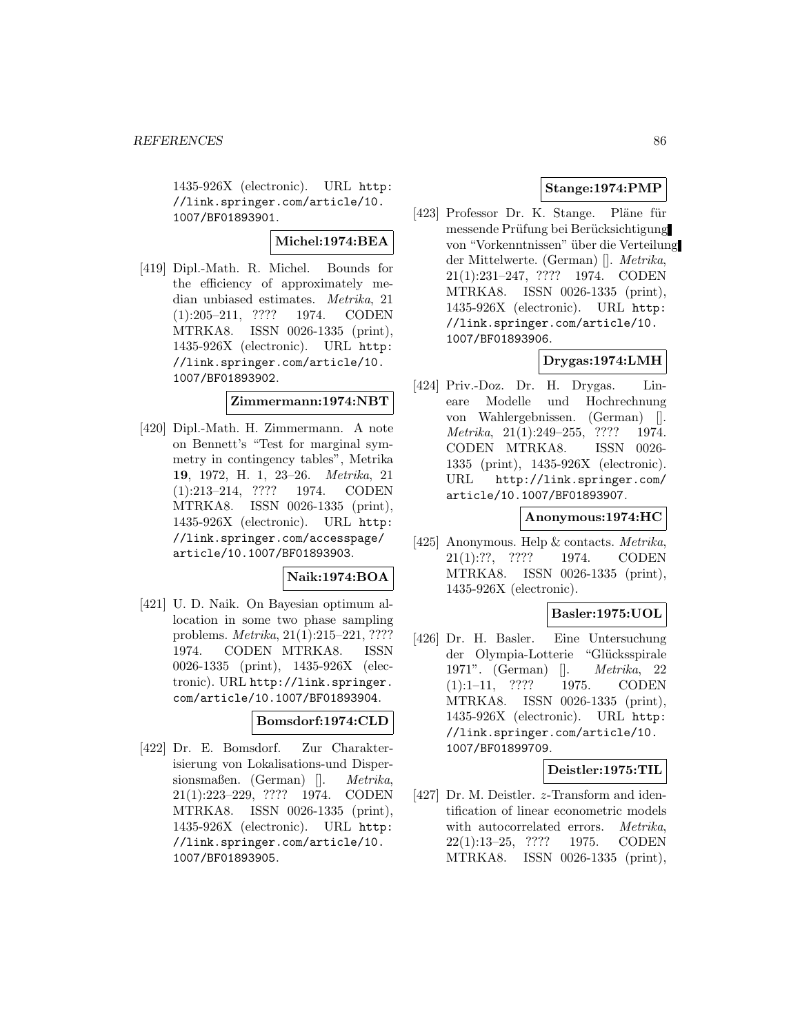1435-926X (electronic). URL http: //link.springer.com/article/10. 1007/BF01893901.

**Michel:1974:BEA**

[419] Dipl.-Math. R. Michel. Bounds for the efficiency of approximately median unbiased estimates. Metrika, 21 (1):205–211, ???? 1974. CODEN MTRKA8. ISSN 0026-1335 (print), 1435-926X (electronic). URL http: //link.springer.com/article/10. 1007/BF01893902.

# **Zimmermann:1974:NBT**

[420] Dipl.-Math. H. Zimmermann. A note on Bennett's "Test for marginal symmetry in contingency tables", Metrika **19**, 1972, H. 1, 23–26. Metrika, 21 (1):213–214, ???? 1974. CODEN MTRKA8. ISSN 0026-1335 (print), 1435-926X (electronic). URL http: //link.springer.com/accesspage/ article/10.1007/BF01893903.

## **Naik:1974:BOA**

[421] U. D. Naik. On Bayesian optimum allocation in some two phase sampling problems. Metrika, 21(1):215–221, ???? 1974. CODEN MTRKA8. ISSN 0026-1335 (print), 1435-926X (electronic). URL http://link.springer. com/article/10.1007/BF01893904.

## **Bomsdorf:1974:CLD**

[422] Dr. E. Bomsdorf. Zur Charakterisierung von Lokalisations-und Dispersionsmaßen. (German) []. Metrika, 21(1):223–229, ???? 1974. CODEN MTRKA8. ISSN 0026-1335 (print), 1435-926X (electronic). URL http: //link.springer.com/article/10. 1007/BF01893905.

# **Stange:1974:PMP**

[423] Professor Dr. K. Stange. Pläne für messende Prüfung bei Berücksichtigung von "Vorkenntnissen" über die Verteilung der Mittelwerte. (German) []. Metrika, 21(1):231–247, ???? 1974. CODEN MTRKA8. ISSN 0026-1335 (print), 1435-926X (electronic). URL http: //link.springer.com/article/10. 1007/BF01893906.

# **Drygas:1974:LMH**

[424] Priv.-Doz. Dr. H. Drygas. Lineare Modelle und Hochrechnung von Wahlergebnissen. (German) []. Metrika, 21(1):249–255, ???? 1974. CODEN MTRKA8. ISSN 0026- 1335 (print), 1435-926X (electronic). URL http://link.springer.com/ article/10.1007/BF01893907.

# **Anonymous:1974:HC**

[425] Anonymous. Help & contacts. Metrika, 21(1):??, ???? 1974. CODEN MTRKA8. ISSN 0026-1335 (print), 1435-926X (electronic).

# **Basler:1975:UOL**

[426] Dr. H. Basler. Eine Untersuchung der Olympia-Lotterie "Glücksspirale 1971". (German) []. Metrika, 22 (1):1–11, ???? 1975. CODEN MTRKA8. ISSN 0026-1335 (print), 1435-926X (electronic). URL http: //link.springer.com/article/10. 1007/BF01899709.

# **Deistler:1975:TIL**

[427] Dr. M. Deistler. *z*-Transform and identification of linear econometric models with autocorrelated errors. Metrika, 22(1):13–25, ???? 1975. CODEN MTRKA8. ISSN 0026-1335 (print),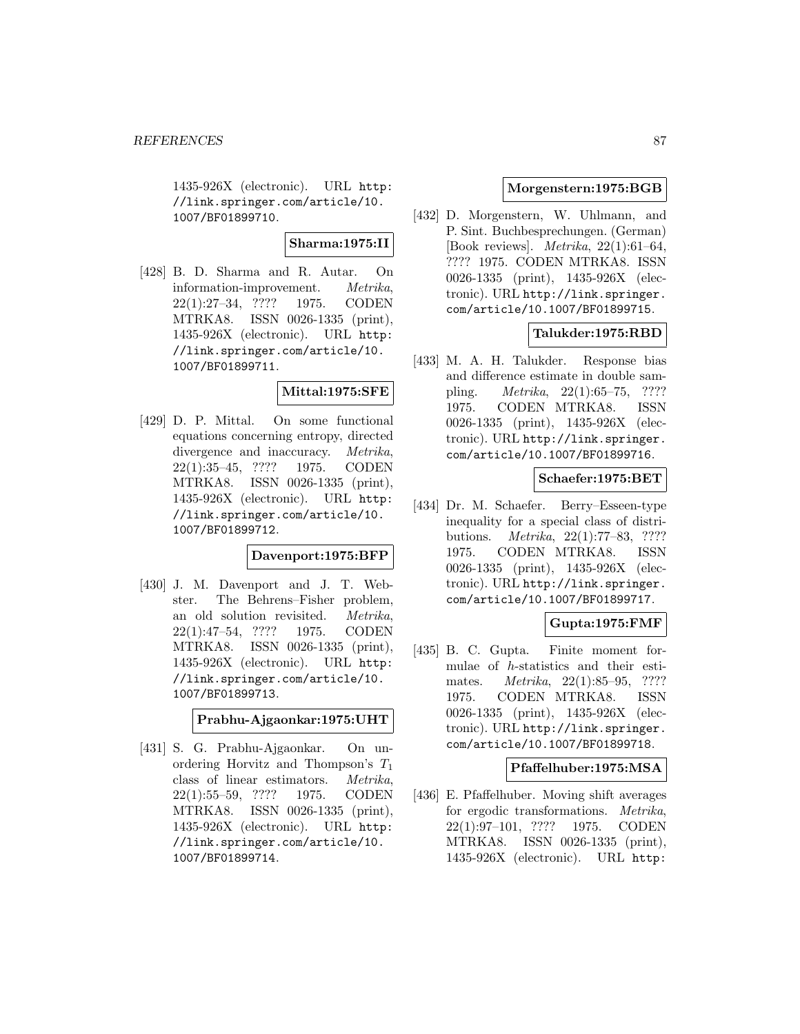1435-926X (electronic). URL http: //link.springer.com/article/10. 1007/BF01899710.

**Sharma:1975:II**

[428] B. D. Sharma and R. Autar. On information-improvement. Metrika, 22(1):27–34, ???? 1975. CODEN MTRKA8. ISSN 0026-1335 (print), 1435-926X (electronic). URL http: //link.springer.com/article/10. 1007/BF01899711.

## **Mittal:1975:SFE**

[429] D. P. Mittal. On some functional equations concerning entropy, directed divergence and inaccuracy. *Metrika*, 22(1):35–45, ???? 1975. CODEN MTRKA8. ISSN 0026-1335 (print), 1435-926X (electronic). URL http: //link.springer.com/article/10. 1007/BF01899712.

# **Davenport:1975:BFP**

[430] J. M. Davenport and J. T. Webster. The Behrens–Fisher problem, an old solution revisited. Metrika, 22(1):47–54, ???? 1975. CODEN MTRKA8. ISSN 0026-1335 (print), 1435-926X (electronic). URL http: //link.springer.com/article/10. 1007/BF01899713.

**Prabhu-Ajgaonkar:1975:UHT**

[431] S. G. Prabhu-Ajgaonkar. On unordering Horvitz and Thompson's  $T_1$ class of linear estimators. Metrika, 22(1):55–59, ???? 1975. CODEN MTRKA8. ISSN 0026-1335 (print), 1435-926X (electronic). URL http: //link.springer.com/article/10. 1007/BF01899714.

# **Morgenstern:1975:BGB**

[432] D. Morgenstern, W. Uhlmann, and P. Sint. Buchbesprechungen. (German) [Book reviews]. Metrika, 22(1):61–64, ???? 1975. CODEN MTRKA8. ISSN 0026-1335 (print), 1435-926X (electronic). URL http://link.springer. com/article/10.1007/BF01899715.

# **Talukder:1975:RBD**

[433] M. A. H. Talukder. Response bias and difference estimate in double sampling. Metrika, 22(1):65–75, ???? 1975. CODEN MTRKA8. ISSN 0026-1335 (print), 1435-926X (electronic). URL http://link.springer. com/article/10.1007/BF01899716.

# **Schaefer:1975:BET**

[434] Dr. M. Schaefer. Berry–Esseen-type inequality for a special class of distributions. Metrika, 22(1):77–83, ???? 1975. CODEN MTRKA8. ISSN 0026-1335 (print), 1435-926X (electronic). URL http://link.springer. com/article/10.1007/BF01899717.

## **Gupta:1975:FMF**

[435] B. C. Gupta. Finite moment formulae of h-statistics and their estimates. Metrika, 22(1):85–95, ???? 1975. CODEN MTRKA8. ISSN 0026-1335 (print), 1435-926X (electronic). URL http://link.springer. com/article/10.1007/BF01899718.

## **Pfaffelhuber:1975:MSA**

[436] E. Pfaffelhuber. Moving shift averages for ergodic transformations. Metrika, 22(1):97–101, ???? 1975. CODEN MTRKA8. ISSN 0026-1335 (print), 1435-926X (electronic). URL http: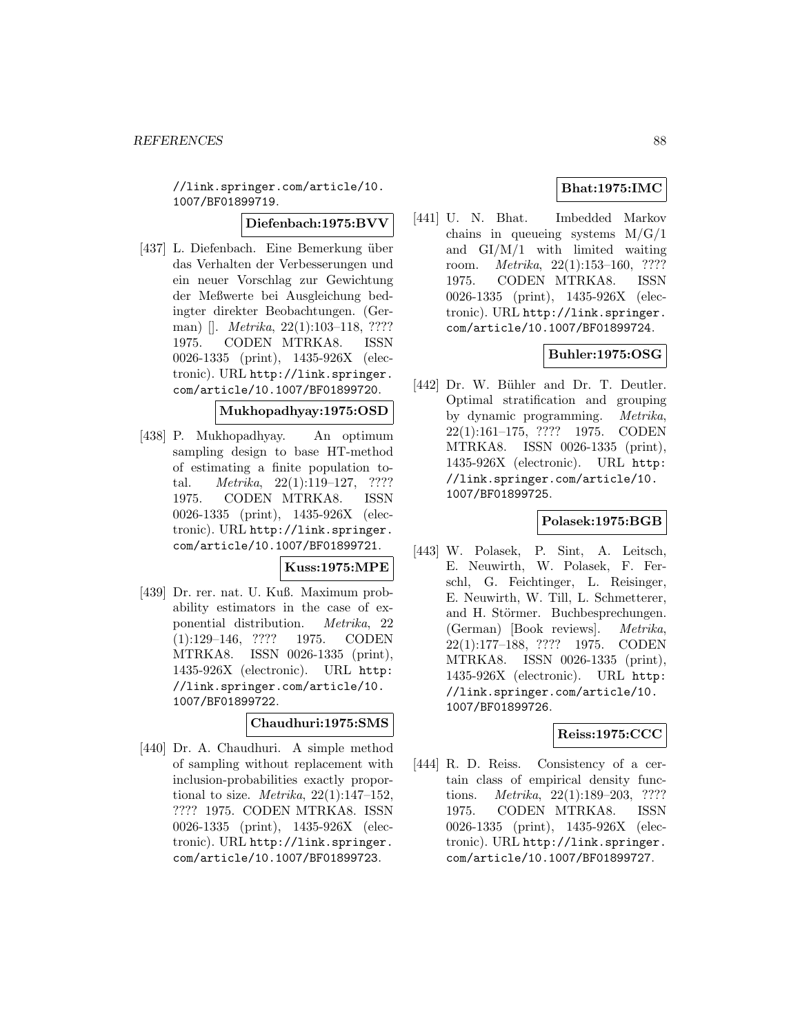//link.springer.com/article/10. 1007/BF01899719.

#### **Diefenbach:1975:BVV**

[437] L. Diefenbach. Eine Bemerkung über das Verhalten der Verbesserungen und ein neuer Vorschlag zur Gewichtung der Meßwerte bei Ausgleichung bedingter direkter Beobachtungen. (German) []. Metrika, 22(1):103–118, ???? 1975. CODEN MTRKA8. ISSN 0026-1335 (print), 1435-926X (electronic). URL http://link.springer. com/article/10.1007/BF01899720.

## **Mukhopadhyay:1975:OSD**

[438] P. Mukhopadhyay. An optimum sampling design to base HT-method of estimating a finite population total. Metrika, 22(1):119–127, ???? 1975. CODEN MTRKA8. ISSN 0026-1335 (print), 1435-926X (electronic). URL http://link.springer. com/article/10.1007/BF01899721.

## **Kuss:1975:MPE**

[439] Dr. rer. nat. U. Kuß. Maximum probability estimators in the case of exponential distribution. Metrika, 22 (1):129–146, ???? 1975. CODEN MTRKA8. ISSN 0026-1335 (print), 1435-926X (electronic). URL http: //link.springer.com/article/10. 1007/BF01899722.

## **Chaudhuri:1975:SMS**

[440] Dr. A. Chaudhuri. A simple method of sampling without replacement with inclusion-probabilities exactly proportional to size. *Metrika*,  $22(1):147-152$ , ???? 1975. CODEN MTRKA8. ISSN 0026-1335 (print), 1435-926X (electronic). URL http://link.springer. com/article/10.1007/BF01899723.

# **Bhat:1975:IMC**

[441] U. N. Bhat. Imbedded Markov chains in queueing systems  $M/G/1$ and GI/M/1 with limited waiting room. Metrika, 22(1):153–160, ???? 1975. CODEN MTRKA8. ISSN 0026-1335 (print), 1435-926X (electronic). URL http://link.springer. com/article/10.1007/BF01899724.

# **Buhler:1975:OSG**

[442] Dr. W. Bühler and Dr. T. Deutler. Optimal stratification and grouping by dynamic programming. Metrika, 22(1):161–175, ???? 1975. CODEN MTRKA8. ISSN 0026-1335 (print), 1435-926X (electronic). URL http: //link.springer.com/article/10. 1007/BF01899725.

# **Polasek:1975:BGB**

[443] W. Polasek, P. Sint, A. Leitsch, E. Neuwirth, W. Polasek, F. Ferschl, G. Feichtinger, L. Reisinger, E. Neuwirth, W. Till, L. Schmetterer, and H. Störmer. Buchbesprechungen. (German) [Book reviews]. Metrika, 22(1):177–188, ???? 1975. CODEN MTRKA8. ISSN 0026-1335 (print), 1435-926X (electronic). URL http: //link.springer.com/article/10. 1007/BF01899726.

## **Reiss:1975:CCC**

[444] R. D. Reiss. Consistency of a certain class of empirical density functions. Metrika, 22(1):189–203, ???? 1975. CODEN MTRKA8. ISSN 0026-1335 (print), 1435-926X (electronic). URL http://link.springer. com/article/10.1007/BF01899727.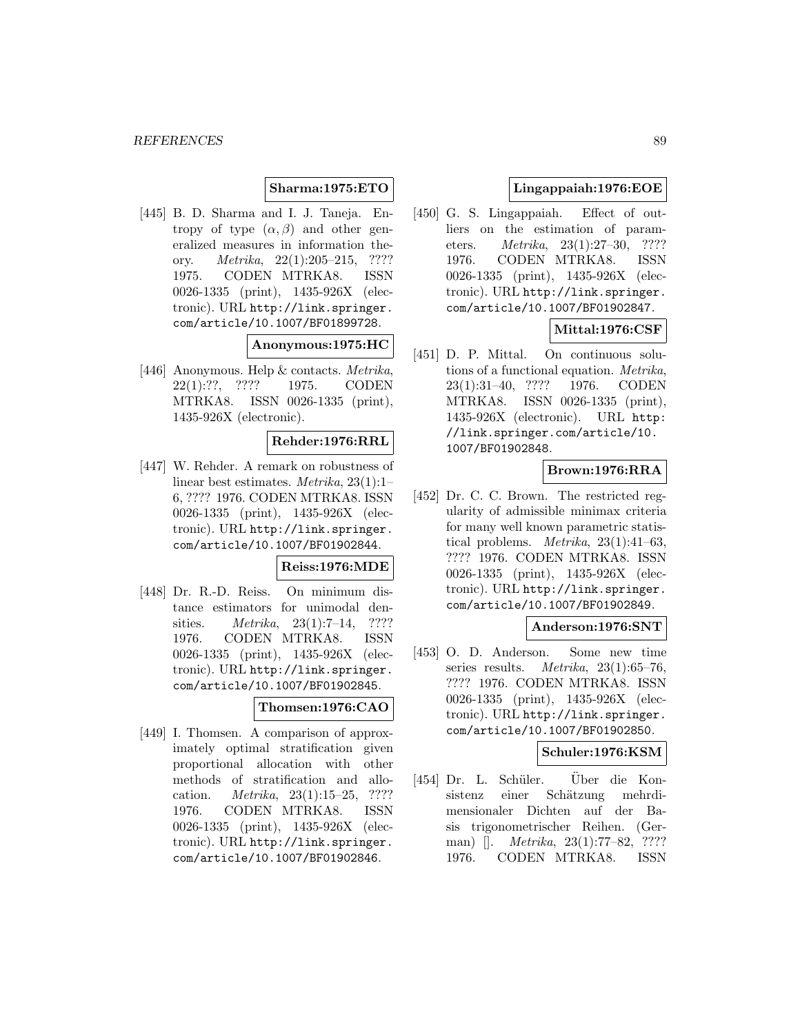## **Sharma:1975:ETO**

[445] B. D. Sharma and I. J. Taneja. Entropy of type  $(\alpha, \beta)$  and other generalized measures in information theory. Metrika, 22(1):205–215, ???? 1975. CODEN MTRKA8. ISSN 0026-1335 (print), 1435-926X (electronic). URL http://link.springer. com/article/10.1007/BF01899728.

#### **Anonymous:1975:HC**

[446] Anonymous. Help & contacts. Metrika, 22(1):??, ???? 1975. CODEN MTRKA8. ISSN 0026-1335 (print), 1435-926X (electronic).

#### **Rehder:1976:RRL**

[447] W. Rehder. A remark on robustness of linear best estimates. Metrika, 23(1):1– 6, ???? 1976. CODEN MTRKA8. ISSN 0026-1335 (print), 1435-926X (electronic). URL http://link.springer. com/article/10.1007/BF01902844.

#### **Reiss:1976:MDE**

[448] Dr. R.-D. Reiss. On minimum distance estimators for unimodal densities. *Metrika*, 23(1):7–14, ???? 1976. CODEN MTRKA8. ISSN 0026-1335 (print), 1435-926X (electronic). URL http://link.springer. com/article/10.1007/BF01902845.

## **Thomsen:1976:CAO**

[449] I. Thomsen. A comparison of approximately optimal stratification given proportional allocation with other methods of stratification and allocation. Metrika, 23(1):15–25, ???? 1976. CODEN MTRKA8. ISSN 0026-1335 (print), 1435-926X (electronic). URL http://link.springer. com/article/10.1007/BF01902846.

## **Lingappaiah:1976:EOE**

[450] G. S. Lingappaiah. Effect of outliers on the estimation of parameters. Metrika, 23(1):27–30, ???? 1976. CODEN MTRKA8. ISSN 0026-1335 (print), 1435-926X (electronic). URL http://link.springer. com/article/10.1007/BF01902847.

## **Mittal:1976:CSF**

[451] D. P. Mittal. On continuous solutions of a functional equation. Metrika, 23(1):31–40, ???? 1976. CODEN MTRKA8. ISSN 0026-1335 (print), 1435-926X (electronic). URL http: //link.springer.com/article/10. 1007/BF01902848.

# **Brown:1976:RRA**

[452] Dr. C. C. Brown. The restricted regularity of admissible minimax criteria for many well known parametric statistical problems. Metrika, 23(1):41–63, ???? 1976. CODEN MTRKA8. ISSN 0026-1335 (print), 1435-926X (electronic). URL http://link.springer. com/article/10.1007/BF01902849.

#### **Anderson:1976:SNT**

[453] O. D. Anderson. Some new time series results. *Metrika*,  $23(1):65-76$ , ???? 1976. CODEN MTRKA8. ISSN 0026-1335 (print), 1435-926X (electronic). URL http://link.springer. com/article/10.1007/BF01902850.

# **Schuler:1976:KSM**

[454] Dr. L. Schüler. Über die Konsistenz einer Schätzung mehrdimensionaler Dichten auf der Basis trigonometrischer Reihen. (German) []. Metrika, 23(1):77–82, ???? 1976. CODEN MTRKA8. ISSN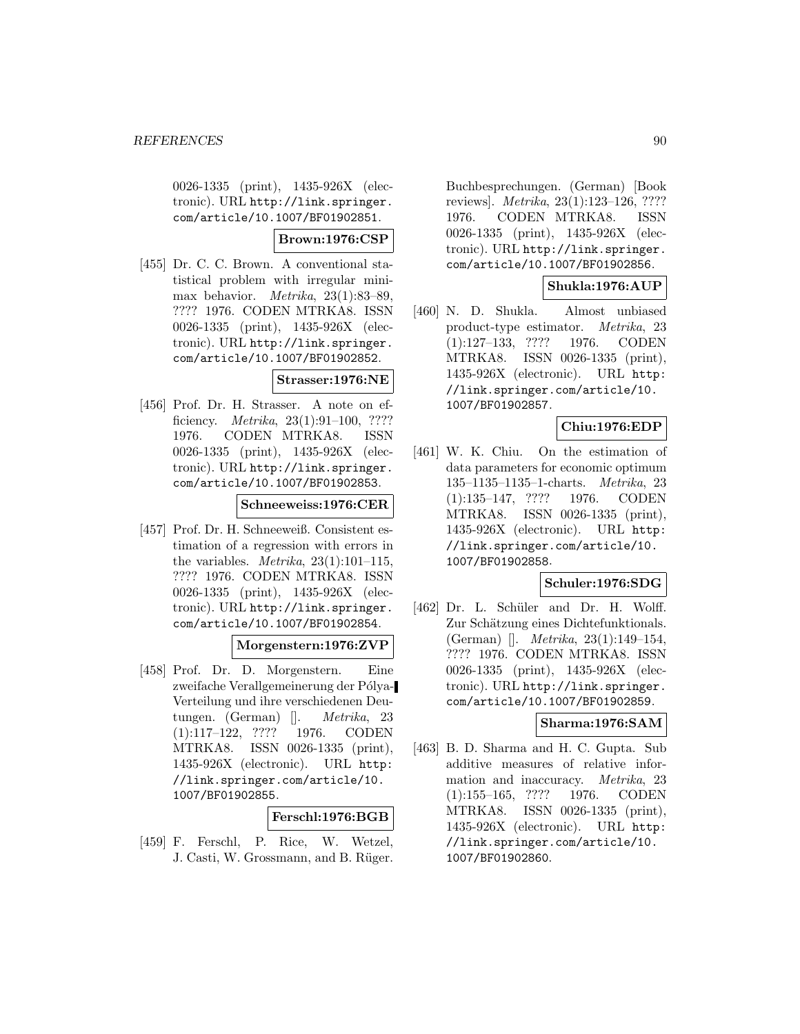0026-1335 (print), 1435-926X (electronic). URL http://link.springer. com/article/10.1007/BF01902851.

## **Brown:1976:CSP**

[455] Dr. C. C. Brown. A conventional statistical problem with irregular minimax behavior. Metrika, 23(1):83–89, ???? 1976. CODEN MTRKA8. ISSN 0026-1335 (print), 1435-926X (electronic). URL http://link.springer. com/article/10.1007/BF01902852.

# **Strasser:1976:NE**

[456] Prof. Dr. H. Strasser. A note on efficiency.  $Metrika$ ,  $23(1):91-100$ , ???? 1976. CODEN MTRKA8. ISSN 0026-1335 (print), 1435-926X (electronic). URL http://link.springer. com/article/10.1007/BF01902853.

## **Schneeweiss:1976:CER**

[457] Prof. Dr. H. Schneeweiß. Consistent estimation of a regression with errors in the variables. *Metrika*,  $23(1):101-115$ , ???? 1976. CODEN MTRKA8. ISSN 0026-1335 (print), 1435-926X (electronic). URL http://link.springer. com/article/10.1007/BF01902854.

## **Morgenstern:1976:ZVP**

[458] Prof. Dr. D. Morgenstern. Eine zweifache Verallgemeinerung der Pólya-Verteilung und ihre verschiedenen Deutungen. (German) []. Metrika, 23 (1):117–122, ???? 1976. CODEN MTRKA8. ISSN 0026-1335 (print), 1435-926X (electronic). URL http: //link.springer.com/article/10. 1007/BF01902855.

# **Ferschl:1976:BGB**

[459] F. Ferschl, P. Rice, W. Wetzel, J. Casti, W. Grossmann, and B. Rüger.

Buchbesprechungen. (German) [Book reviews]. Metrika, 23(1):123–126, ???? 1976. CODEN MTRKA8. ISSN 0026-1335 (print), 1435-926X (electronic). URL http://link.springer. com/article/10.1007/BF01902856.

# **Shukla:1976:AUP**

[460] N. D. Shukla. Almost unbiased product-type estimator. Metrika, 23 (1):127–133, ???? 1976. CODEN MTRKA8. ISSN 0026-1335 (print), 1435-926X (electronic). URL http: //link.springer.com/article/10. 1007/BF01902857.

# **Chiu:1976:EDP**

[461] W. K. Chiu. On the estimation of data parameters for economic optimum 135–1135–1135–1-charts. Metrika, 23 (1):135–147, ???? 1976. CODEN MTRKA8. ISSN 0026-1335 (print), 1435-926X (electronic). URL http: //link.springer.com/article/10. 1007/BF01902858.

# **Schuler:1976:SDG**

[462] Dr. L. Schüler and Dr. H. Wolff. Zur Schätzung eines Dichtefunktionals. (German) []. Metrika, 23(1):149–154, ???? 1976. CODEN MTRKA8. ISSN 0026-1335 (print), 1435-926X (electronic). URL http://link.springer. com/article/10.1007/BF01902859.

# **Sharma:1976:SAM**

[463] B. D. Sharma and H. C. Gupta. Sub additive measures of relative information and inaccuracy. Metrika, 23 (1):155–165, ???? 1976. CODEN MTRKA8. ISSN 0026-1335 (print), 1435-926X (electronic). URL http: //link.springer.com/article/10. 1007/BF01902860.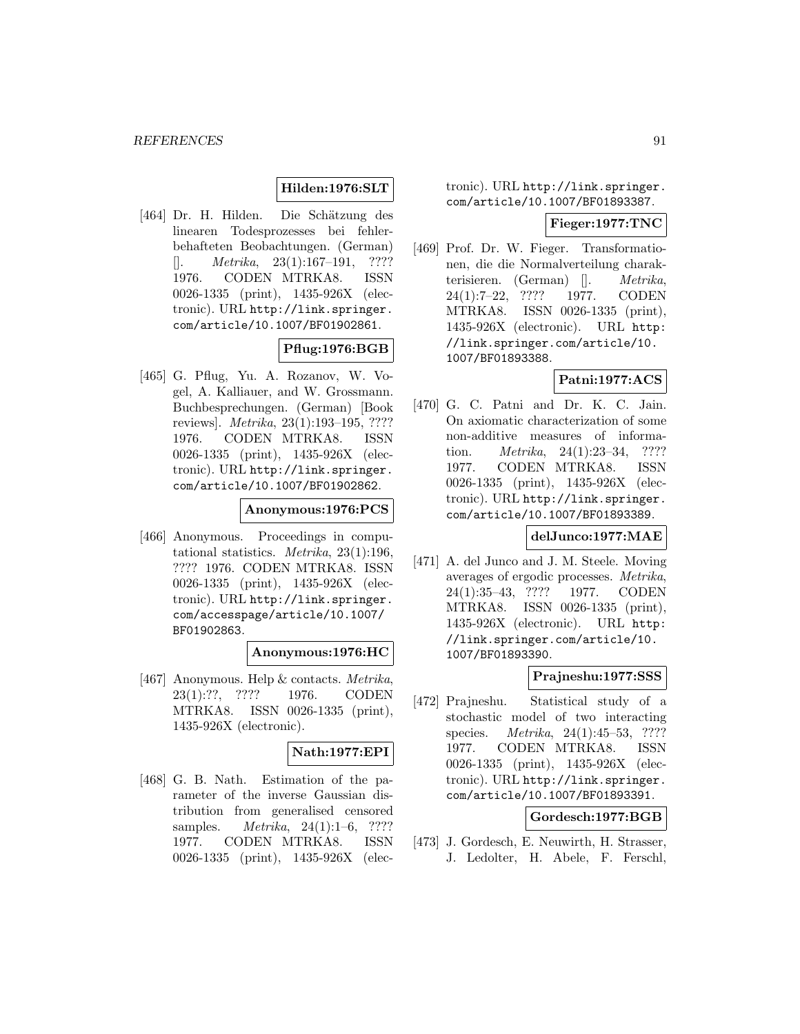## **Hilden:1976:SLT**

[464] Dr. H. Hilden. Die Schätzung des linearen Todesprozesses bei fehlerbehafteten Beobachtungen. (German)  $[$ . *Metrika*, 23(1):167–191, ???? 1976. CODEN MTRKA8. ISSN 0026-1335 (print), 1435-926X (electronic). URL http://link.springer. com/article/10.1007/BF01902861.

# **Pflug:1976:BGB**

[465] G. Pflug, Yu. A. Rozanov, W. Vogel, A. Kalliauer, and W. Grossmann. Buchbesprechungen. (German) [Book reviews]. Metrika, 23(1):193–195, ???? 1976. CODEN MTRKA8. ISSN 0026-1335 (print), 1435-926X (electronic). URL http://link.springer. com/article/10.1007/BF01902862.

# **Anonymous:1976:PCS**

[466] Anonymous. Proceedings in computational statistics. Metrika, 23(1):196, ???? 1976. CODEN MTRKA8. ISSN 0026-1335 (print), 1435-926X (electronic). URL http://link.springer. com/accesspage/article/10.1007/ BF01902863.

## **Anonymous:1976:HC**

[467] Anonymous. Help & contacts. Metrika, 23(1):??, ???? 1976. CODEN MTRKA8. ISSN 0026-1335 (print), 1435-926X (electronic).

# **Nath:1977:EPI**

[468] G. B. Nath. Estimation of the parameter of the inverse Gaussian distribution from generalised censored samples. *Metrika*, 24(1):1–6, ???? 1977. CODEN MTRKA8. ISSN 0026-1335 (print), 1435-926X (electronic). URL http://link.springer. com/article/10.1007/BF01893387.

#### **Fieger:1977:TNC**

[469] Prof. Dr. W. Fieger. Transformationen, die die Normalverteilung charakterisieren. (German) []. Metrika, 24(1):7–22, ???? 1977. CODEN MTRKA8. ISSN 0026-1335 (print), 1435-926X (electronic). URL http: //link.springer.com/article/10. 1007/BF01893388.

# **Patni:1977:ACS**

[470] G. C. Patni and Dr. K. C. Jain. On axiomatic characterization of some non-additive measures of information. *Metrika*, 24(1):23–34, ???? 1977. CODEN MTRKA8. ISSN 0026-1335 (print), 1435-926X (electronic). URL http://link.springer. com/article/10.1007/BF01893389.

# **delJunco:1977:MAE**

[471] A. del Junco and J. M. Steele. Moving averages of ergodic processes. Metrika, 24(1):35–43, ???? 1977. CODEN MTRKA8. ISSN 0026-1335 (print), 1435-926X (electronic). URL http: //link.springer.com/article/10. 1007/BF01893390.

## **Prajneshu:1977:SSS**

[472] Prajneshu. Statistical study of a stochastic model of two interacting species. Metrika, 24(1):45–53, ???? 1977. CODEN MTRKA8. ISSN 0026-1335 (print), 1435-926X (electronic). URL http://link.springer. com/article/10.1007/BF01893391.

# **Gordesch:1977:BGB**

[473] J. Gordesch, E. Neuwirth, H. Strasser, J. Ledolter, H. Abele, F. Ferschl,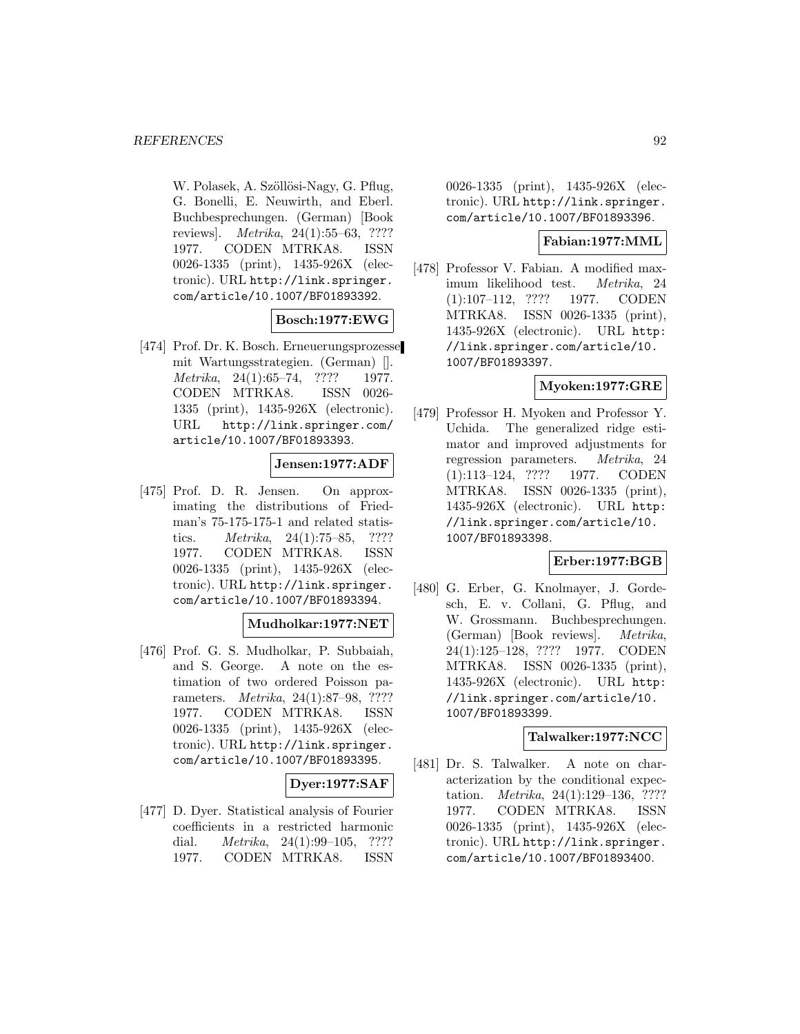W. Polasek, A. Szöllösi-Nagy, G. Pflug, G. Bonelli, E. Neuwirth, and Eberl. Buchbesprechungen. (German) [Book reviews]. Metrika, 24(1):55–63, ???? 1977. CODEN MTRKA8. ISSN 0026-1335 (print), 1435-926X (electronic). URL http://link.springer. com/article/10.1007/BF01893392.

## **Bosch:1977:EWG**

[474] Prof. Dr. K. Bosch. Erneuerungsprozesse mit Wartungsstrategien. (German) []. Metrika, 24(1):65–74, ???? 1977. CODEN MTRKA8. ISSN 0026- 1335 (print), 1435-926X (electronic). URL http://link.springer.com/ article/10.1007/BF01893393.

# **Jensen:1977:ADF**

[475] Prof. D. R. Jensen. On approximating the distributions of Friedman's 75-175-175-1 and related statistics. Metrika, 24(1):75–85, ???? 1977. CODEN MTRKA8. ISSN 0026-1335 (print), 1435-926X (electronic). URL http://link.springer. com/article/10.1007/BF01893394.

## **Mudholkar:1977:NET**

[476] Prof. G. S. Mudholkar, P. Subbaiah, and S. George. A note on the estimation of two ordered Poisson parameters. Metrika, 24(1):87–98, ???? 1977. CODEN MTRKA8. ISSN 0026-1335 (print), 1435-926X (electronic). URL http://link.springer. com/article/10.1007/BF01893395.

**Dyer:1977:SAF**

[477] D. Dyer. Statistical analysis of Fourier coefficients in a restricted harmonic dial. *Metrika*, 24(1):99–105, ???? 1977. CODEN MTRKA8. ISSN

0026-1335 (print), 1435-926X (electronic). URL http://link.springer. com/article/10.1007/BF01893396.

# **Fabian:1977:MML**

[478] Professor V. Fabian. A modified maximum likelihood test. Metrika, 24 (1):107–112, ???? 1977. CODEN MTRKA8. ISSN 0026-1335 (print), 1435-926X (electronic). URL http: //link.springer.com/article/10. 1007/BF01893397.

# **Myoken:1977:GRE**

[479] Professor H. Myoken and Professor Y. Uchida. The generalized ridge estimator and improved adjustments for regression parameters. Metrika, 24 (1):113–124, ???? 1977. CODEN MTRKA8. ISSN 0026-1335 (print), 1435-926X (electronic). URL http: //link.springer.com/article/10. 1007/BF01893398.

## **Erber:1977:BGB**

[480] G. Erber, G. Knolmayer, J. Gordesch, E. v. Collani, G. Pflug, and W. Grossmann. Buchbesprechungen. (German) [Book reviews]. Metrika, 24(1):125–128, ???? 1977. CODEN MTRKA8. ISSN 0026-1335 (print), 1435-926X (electronic). URL http: //link.springer.com/article/10. 1007/BF01893399.

## **Talwalker:1977:NCC**

[481] Dr. S. Talwalker. A note on characterization by the conditional expectation. Metrika, 24(1):129–136, ???? 1977. CODEN MTRKA8. ISSN 0026-1335 (print), 1435-926X (electronic). URL http://link.springer. com/article/10.1007/BF01893400.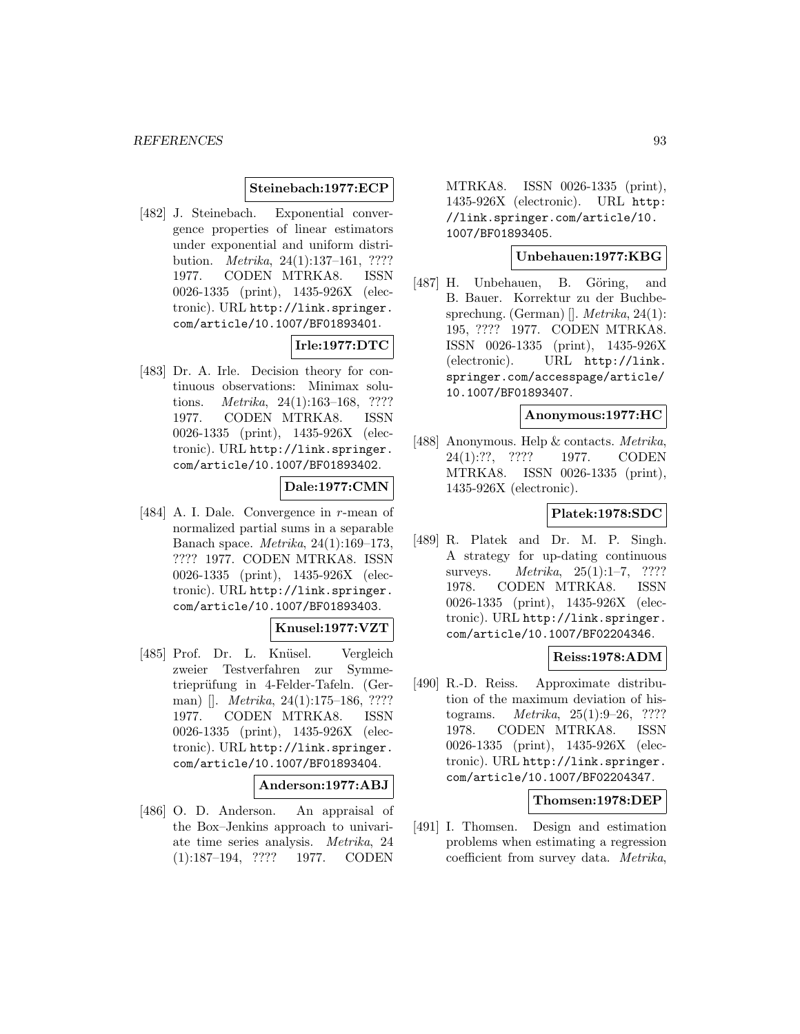#### **Steinebach:1977:ECP**

[482] J. Steinebach. Exponential convergence properties of linear estimators under exponential and uniform distribution. Metrika, 24(1):137–161, ???? 1977. CODEN MTRKA8. ISSN 0026-1335 (print), 1435-926X (electronic). URL http://link.springer. com/article/10.1007/BF01893401.

# **Irle:1977:DTC**

[483] Dr. A. Irle. Decision theory for continuous observations: Minimax solutions. Metrika, 24(1):163–168, ???? 1977. CODEN MTRKA8. ISSN 0026-1335 (print), 1435-926X (electronic). URL http://link.springer. com/article/10.1007/BF01893402.

# **Dale:1977:CMN**

[484] A. I. Dale. Convergence in r-mean of normalized partial sums in a separable Banach space. Metrika, 24(1):169–173, ???? 1977. CODEN MTRKA8. ISSN 0026-1335 (print), 1435-926X (electronic). URL http://link.springer. com/article/10.1007/BF01893403.

## **Knusel:1977:VZT**

[485] Prof. Dr. L. Knüsel. Vergleich zweier Testverfahren zur Symmetrieprüfung in 4-Felder-Tafeln. (German) []. Metrika, 24(1):175–186, ???? 1977. CODEN MTRKA8. ISSN 0026-1335 (print), 1435-926X (electronic). URL http://link.springer. com/article/10.1007/BF01893404.

#### **Anderson:1977:ABJ**

[486] O. D. Anderson. An appraisal of the Box–Jenkins approach to univariate time series analysis. Metrika, 24 (1):187–194, ???? 1977. CODEN

MTRKA8. ISSN 0026-1335 (print), 1435-926X (electronic). URL http: //link.springer.com/article/10. 1007/BF01893405.

# **Unbehauen:1977:KBG**

[487] H. Unbehauen, B. Göring, and B. Bauer. Korrektur zu der Buchbesprechung. (German) []. Metrika, 24(1): 195, ???? 1977. CODEN MTRKA8. ISSN 0026-1335 (print), 1435-926X (electronic). URL http://link. springer.com/accesspage/article/ 10.1007/BF01893407.

#### **Anonymous:1977:HC**

[488] Anonymous. Help & contacts. Metrika, 24(1):??, ???? 1977. CODEN MTRKA8. ISSN 0026-1335 (print), 1435-926X (electronic).

#### **Platek:1978:SDC**

[489] R. Platek and Dr. M. P. Singh. A strategy for up-dating continuous surveys. *Metrika*, 25(1):1–7, ???? 1978. CODEN MTRKA8. ISSN 0026-1335 (print), 1435-926X (electronic). URL http://link.springer. com/article/10.1007/BF02204346.

#### **Reiss:1978:ADM**

[490] R.-D. Reiss. Approximate distribution of the maximum deviation of histograms. Metrika, 25(1):9–26, ???? 1978. CODEN MTRKA8. ISSN 0026-1335 (print), 1435-926X (electronic). URL http://link.springer. com/article/10.1007/BF02204347.

## **Thomsen:1978:DEP**

[491] I. Thomsen. Design and estimation problems when estimating a regression coefficient from survey data. Metrika,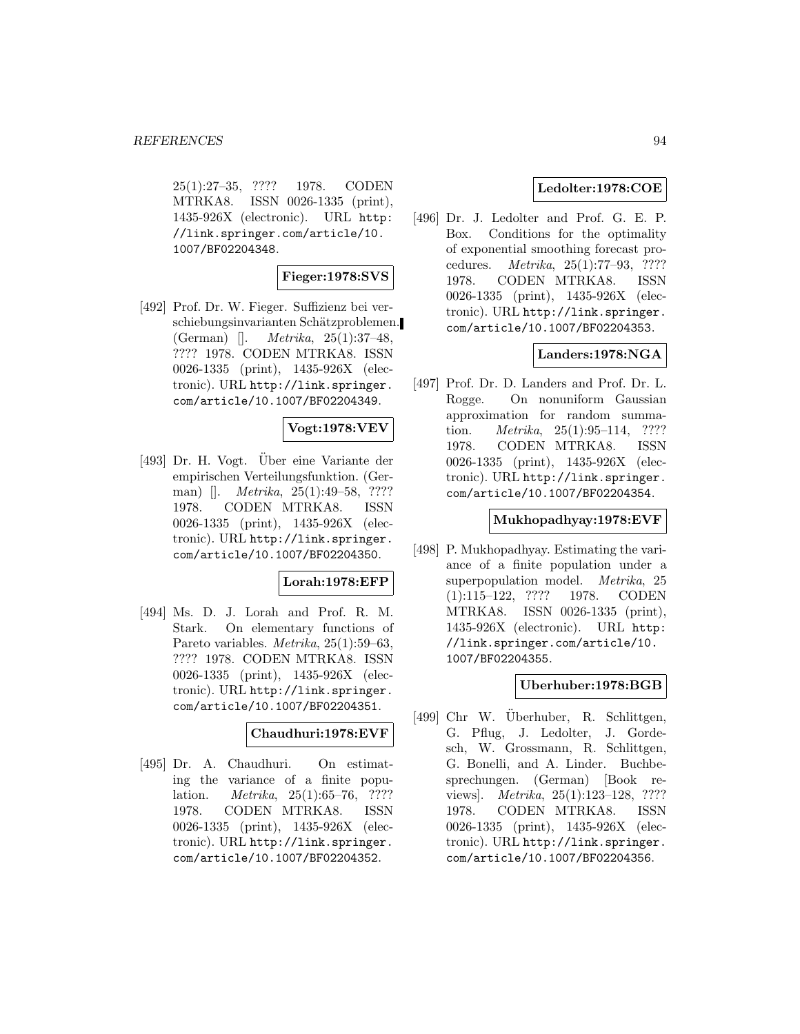25(1):27–35, ???? 1978. CODEN MTRKA8. ISSN 0026-1335 (print), 1435-926X (electronic). URL http: //link.springer.com/article/10. 1007/BF02204348.

# **Fieger:1978:SVS**

[492] Prof. Dr. W. Fieger. Suffizienz bei verschiebungsinvarianten Schätzproblemen. (German) []. Metrika, 25(1):37–48, ???? 1978. CODEN MTRKA8. ISSN 0026-1335 (print), 1435-926X (electronic). URL http://link.springer. com/article/10.1007/BF02204349.

# **Vogt:1978:VEV**

[493] Dr. H. Vogt. Uber eine Variante der empirischen Verteilungsfunktion. (German) []. Metrika, 25(1):49–58, ???? 1978. CODEN MTRKA8. ISSN 0026-1335 (print), 1435-926X (electronic). URL http://link.springer. com/article/10.1007/BF02204350.

# **Lorah:1978:EFP**

[494] Ms. D. J. Lorah and Prof. R. M. Stark. On elementary functions of Pareto variables. Metrika, 25(1):59–63, ???? 1978. CODEN MTRKA8. ISSN 0026-1335 (print), 1435-926X (electronic). URL http://link.springer. com/article/10.1007/BF02204351.

# **Chaudhuri:1978:EVF**

[495] Dr. A. Chaudhuri. On estimating the variance of a finite population. *Metrika*, 25(1):65–76, ???? 1978. CODEN MTRKA8. ISSN 0026-1335 (print), 1435-926X (electronic). URL http://link.springer. com/article/10.1007/BF02204352.

# **Ledolter:1978:COE**

[496] Dr. J. Ledolter and Prof. G. E. P. Box. Conditions for the optimality of exponential smoothing forecast procedures. Metrika, 25(1):77–93, ???? 1978. CODEN MTRKA8. ISSN 0026-1335 (print), 1435-926X (electronic). URL http://link.springer. com/article/10.1007/BF02204353.

## **Landers:1978:NGA**

[497] Prof. Dr. D. Landers and Prof. Dr. L. Rogge. On nonuniform Gaussian approximation for random summation. *Metrika*, 25(1):95–114, ???? 1978. CODEN MTRKA8. ISSN 0026-1335 (print), 1435-926X (electronic). URL http://link.springer. com/article/10.1007/BF02204354.

# **Mukhopadhyay:1978:EVF**

[498] P. Mukhopadhyay. Estimating the variance of a finite population under a superpopulation model. Metrika, 25 (1):115–122, ???? 1978. CODEN MTRKA8. ISSN 0026-1335 (print), 1435-926X (electronic). URL http: //link.springer.com/article/10. 1007/BF02204355.

## **Uberhuber:1978:BGB**

 $[499]$  Chr W. Überhuber, R. Schlittgen, G. Pflug, J. Ledolter, J. Gordesch, W. Grossmann, R. Schlittgen, G. Bonelli, and A. Linder. Buchbesprechungen. (German) [Book reviews]. Metrika, 25(1):123–128, ???? 1978. CODEN MTRKA8. ISSN 0026-1335 (print), 1435-926X (electronic). URL http://link.springer. com/article/10.1007/BF02204356.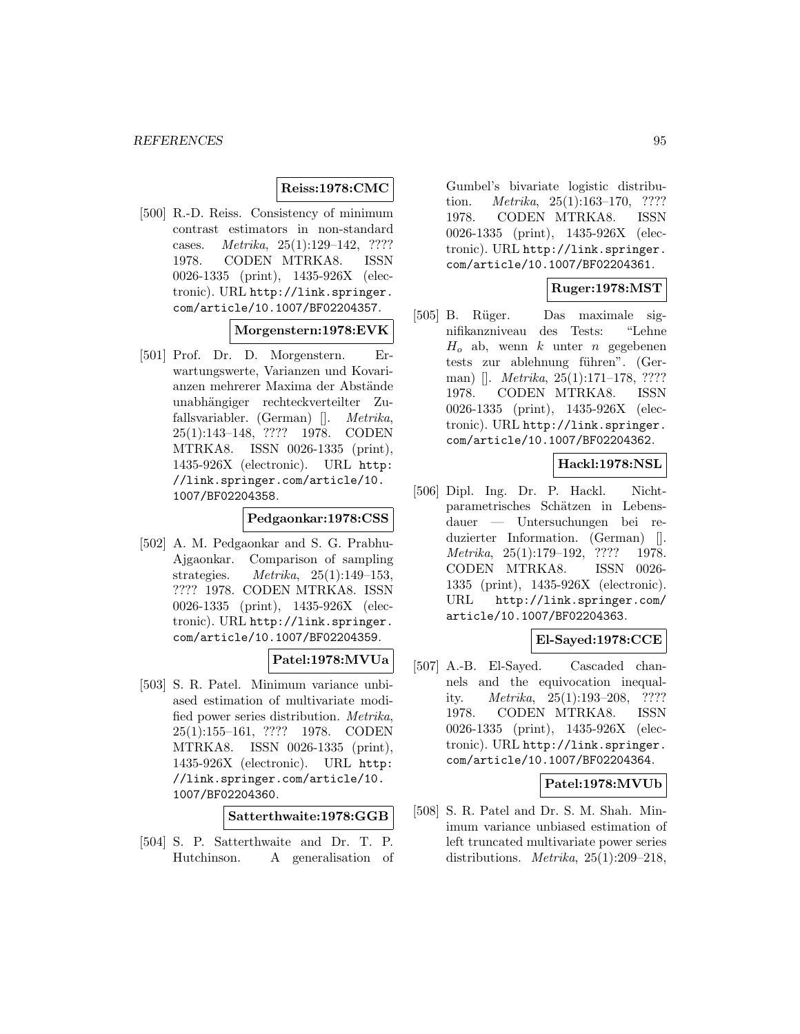## **Reiss:1978:CMC**

[500] R.-D. Reiss. Consistency of minimum contrast estimators in non-standard cases. Metrika, 25(1):129–142, ???? 1978. CODEN MTRKA8. ISSN 0026-1335 (print), 1435-926X (electronic). URL http://link.springer. com/article/10.1007/BF02204357.

# **Morgenstern:1978:EVK**

[501] Prof. Dr. D. Morgenstern. Erwartungswerte, Varianzen und Kovarianzen mehrerer Maxima der Abstände unabh¨angiger rechteckverteilter Zufallsvariabler. (German) []. Metrika, 25(1):143–148, ???? 1978. CODEN MTRKA8. ISSN 0026-1335 (print), 1435-926X (electronic). URL http: //link.springer.com/article/10. 1007/BF02204358.

#### **Pedgaonkar:1978:CSS**

[502] A. M. Pedgaonkar and S. G. Prabhu-Ajgaonkar. Comparison of sampling strategies. Metrika, 25(1):149–153, ???? 1978. CODEN MTRKA8. ISSN 0026-1335 (print), 1435-926X (electronic). URL http://link.springer. com/article/10.1007/BF02204359.

## **Patel:1978:MVUa**

[503] S. R. Patel. Minimum variance unbiased estimation of multivariate modified power series distribution. Metrika, 25(1):155–161, ???? 1978. CODEN MTRKA8. ISSN 0026-1335 (print), 1435-926X (electronic). URL http: //link.springer.com/article/10. 1007/BF02204360.

**Satterthwaite:1978:GGB**

[504] S. P. Satterthwaite and Dr. T. P. Hutchinson. A generalisation of

Gumbel's bivariate logistic distribution. Metrika, 25(1):163–170, ???? 1978. CODEN MTRKA8. ISSN 0026-1335 (print), 1435-926X (electronic). URL http://link.springer. com/article/10.1007/BF02204361.

# **Ruger:1978:MST**

[505] B. R¨uger. Das maximale signifikanzniveau des Tests: "Lehne  $H_0$  ab, wenn k unter n gegebenen tests zur ablehnung führen". (German) []. *Metrika*, 25(1):171–178, ???? 1978. CODEN MTRKA8. ISSN 0026-1335 (print), 1435-926X (electronic). URL http://link.springer. com/article/10.1007/BF02204362.

## **Hackl:1978:NSL**

[506] Dipl. Ing. Dr. P. Hackl. Nichtparametrisches Schätzen in Lebensdauer — Untersuchungen bei reduzierter Information. (German) []. Metrika, 25(1):179–192, ???? 1978. CODEN MTRKA8. ISSN 0026- 1335 (print), 1435-926X (electronic). URL http://link.springer.com/ article/10.1007/BF02204363.

## **El-Sayed:1978:CCE**

[507] A.-B. El-Sayed. Cascaded channels and the equivocation inequality. Metrika, 25(1):193–208, ???? 1978. CODEN MTRKA8. ISSN 0026-1335 (print), 1435-926X (electronic). URL http://link.springer. com/article/10.1007/BF02204364.

# **Patel:1978:MVUb**

[508] S. R. Patel and Dr. S. M. Shah. Minimum variance unbiased estimation of left truncated multivariate power series distributions. Metrika, 25(1):209–218,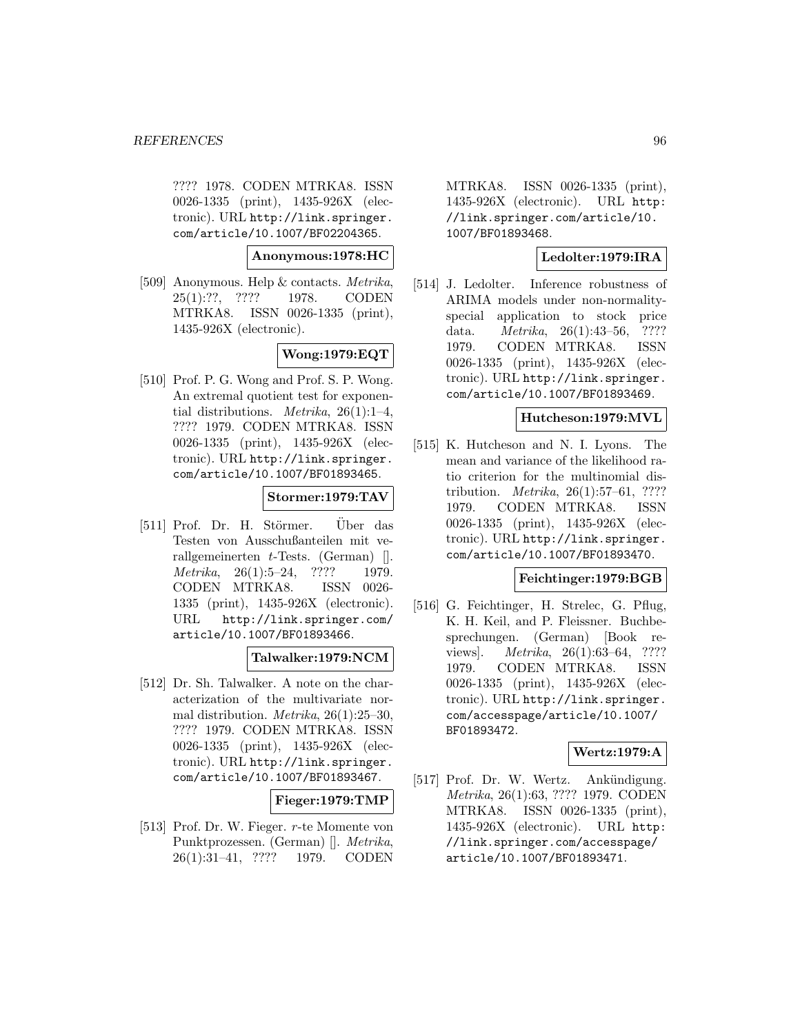#### *REFERENCES* 96

???? 1978. CODEN MTRKA8. ISSN 0026-1335 (print), 1435-926X (electronic). URL http://link.springer. com/article/10.1007/BF02204365.

#### **Anonymous:1978:HC**

[509] Anonymous. Help & contacts. Metrika, 25(1):??, ???? 1978. CODEN MTRKA8. ISSN 0026-1335 (print), 1435-926X (electronic).

**Wong:1979:EQT**

[510] Prof. P. G. Wong and Prof. S. P. Wong. An extremal quotient test for exponential distributions. *Metrika*,  $26(1):1-4$ , ???? 1979. CODEN MTRKA8. ISSN 0026-1335 (print), 1435-926X (electronic). URL http://link.springer. com/article/10.1007/BF01893465.

## **Stormer:1979:TAV**

 $[511]$  Prof. Dr. H. Störmer. Über das Testen von Ausschußanteilen mit verallgemeinerten  $t$ -Tests. (German) [].  $Metrika, 26(1):5-24, ???? 1979.$ CODEN MTRKA8. ISSN 0026- 1335 (print), 1435-926X (electronic). URL http://link.springer.com/ article/10.1007/BF01893466.

## **Talwalker:1979:NCM**

[512] Dr. Sh. Talwalker. A note on the characterization of the multivariate normal distribution. Metrika, 26(1):25–30, ???? 1979. CODEN MTRKA8. ISSN 0026-1335 (print), 1435-926X (electronic). URL http://link.springer. com/article/10.1007/BF01893467.

## **Fieger:1979:TMP**

[513] Prof. Dr. W. Fieger. r-te Momente von Punktprozessen. (German) []. Metrika, 26(1):31–41, ???? 1979. CODEN

MTRKA8. ISSN 0026-1335 (print), 1435-926X (electronic). URL http: //link.springer.com/article/10. 1007/BF01893468.

# **Ledolter:1979:IRA**

[514] J. Ledolter. Inference robustness of ARIMA models under non-normalityspecial application to stock price data. Metrika, 26(1):43–56, ???? 1979. CODEN MTRKA8. ISSN 0026-1335 (print), 1435-926X (electronic). URL http://link.springer. com/article/10.1007/BF01893469.

#### **Hutcheson:1979:MVL**

[515] K. Hutcheson and N. I. Lyons. The mean and variance of the likelihood ratio criterion for the multinomial distribution. *Metrika*,  $26(1):57-61$ , ???? 1979. CODEN MTRKA8. ISSN 0026-1335 (print), 1435-926X (electronic). URL http://link.springer. com/article/10.1007/BF01893470.

#### **Feichtinger:1979:BGB**

[516] G. Feichtinger, H. Strelec, G. Pflug, K. H. Keil, and P. Fleissner. Buchbesprechungen. (German) [Book reviews]. *Metrika*, 26(1):63–64, ???? 1979. CODEN MTRKA8. ISSN 0026-1335 (print), 1435-926X (electronic). URL http://link.springer. com/accesspage/article/10.1007/ BF01893472.

# **Wertz:1979:A**

[517] Prof. Dr. W. Wertz. Ankündigung. Metrika, 26(1):63, ???? 1979. CODEN MTRKA8. ISSN 0026-1335 (print), 1435-926X (electronic). URL http: //link.springer.com/accesspage/ article/10.1007/BF01893471.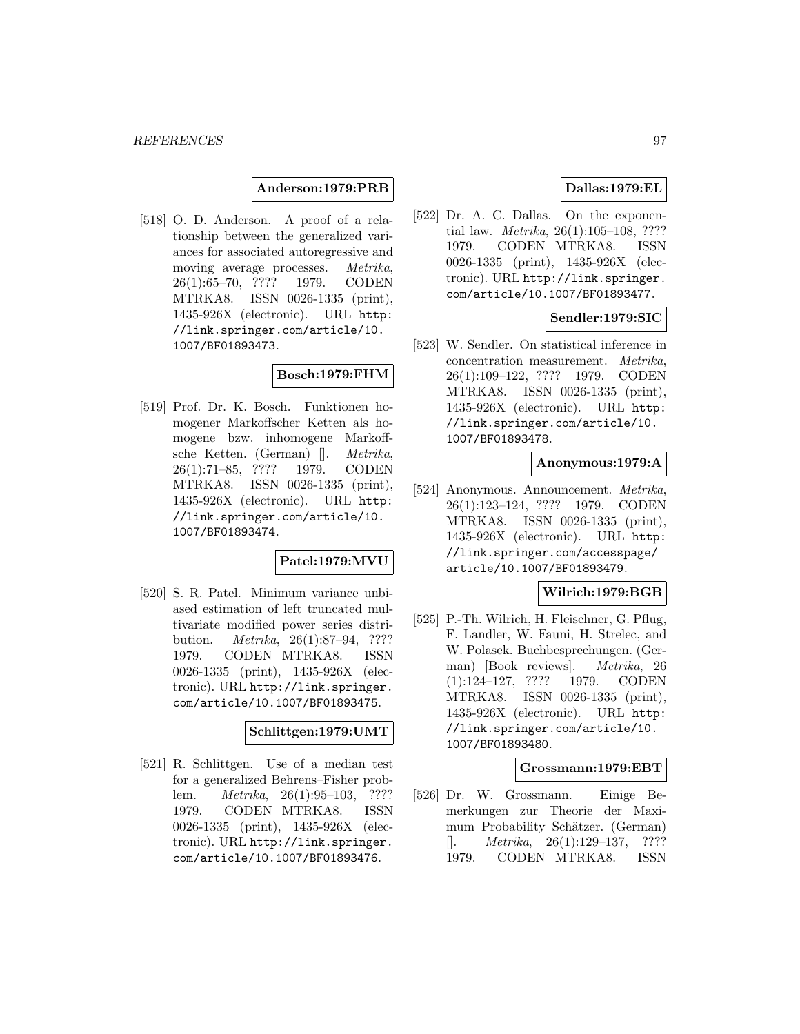**Anderson:1979:PRB**

[518] O. D. Anderson. A proof of a relationship between the generalized variances for associated autoregressive and moving average processes. Metrika, 26(1):65–70, ???? 1979. CODEN MTRKA8. ISSN 0026-1335 (print), 1435-926X (electronic). URL http: //link.springer.com/article/10. 1007/BF01893473.

## **Bosch:1979:FHM**

[519] Prof. Dr. K. Bosch. Funktionen homogener Markoffscher Ketten als homogene bzw. inhomogene Markoffsche Ketten. (German) []. Metrika, 26(1):71–85, ???? 1979. CODEN MTRKA8. ISSN 0026-1335 (print), 1435-926X (electronic). URL http: //link.springer.com/article/10. 1007/BF01893474.

## **Patel:1979:MVU**

[520] S. R. Patel. Minimum variance unbiased estimation of left truncated multivariate modified power series distribution. Metrika, 26(1):87–94, ???? 1979. CODEN MTRKA8. ISSN 0026-1335 (print), 1435-926X (electronic). URL http://link.springer. com/article/10.1007/BF01893475.

# **Schlittgen:1979:UMT**

[521] R. Schlittgen. Use of a median test for a generalized Behrens–Fisher problem. Metrika, 26(1):95–103, ???? 1979. CODEN MTRKA8. ISSN 0026-1335 (print), 1435-926X (electronic). URL http://link.springer. com/article/10.1007/BF01893476.

# **Dallas:1979:EL**

[522] Dr. A. C. Dallas. On the exponential law. Metrika, 26(1):105–108, ???? 1979. CODEN MTRKA8. ISSN 0026-1335 (print), 1435-926X (electronic). URL http://link.springer. com/article/10.1007/BF01893477.

## **Sendler:1979:SIC**

[523] W. Sendler. On statistical inference in concentration measurement. Metrika, 26(1):109–122, ???? 1979. CODEN MTRKA8. ISSN 0026-1335 (print), 1435-926X (electronic). URL http: //link.springer.com/article/10. 1007/BF01893478.

## **Anonymous:1979:A**

[524] Anonymous. Announcement. Metrika, 26(1):123–124, ???? 1979. CODEN MTRKA8. ISSN 0026-1335 (print), 1435-926X (electronic). URL http: //link.springer.com/accesspage/ article/10.1007/BF01893479.

## **Wilrich:1979:BGB**

[525] P.-Th. Wilrich, H. Fleischner, G. Pflug, F. Landler, W. Fauni, H. Strelec, and W. Polasek. Buchbesprechungen. (German) [Book reviews]. Metrika, 26 (1):124–127, ???? 1979. CODEN MTRKA8. ISSN 0026-1335 (print), 1435-926X (electronic). URL http: //link.springer.com/article/10. 1007/BF01893480.

#### **Grossmann:1979:EBT**

[526] Dr. W. Grossmann. Einige Bemerkungen zur Theorie der Maximum Probability Schätzer. (German)  $[$ . *Metrika*, 26(1):129–137, ???? 1979. CODEN MTRKA8. ISSN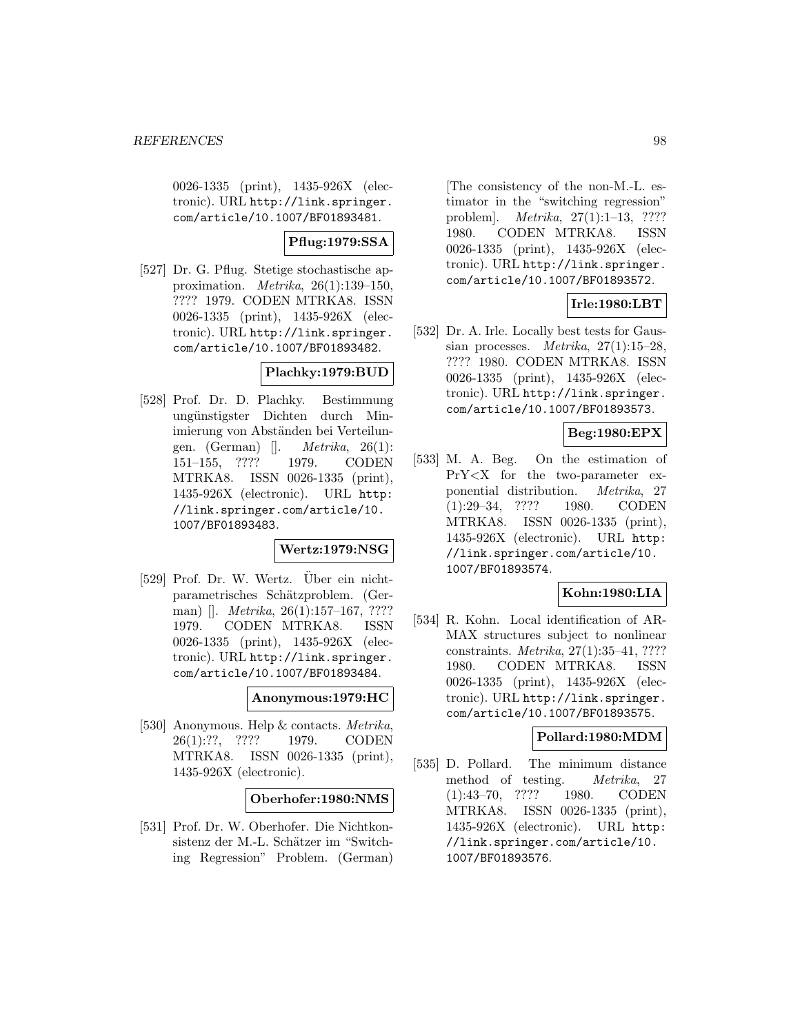0026-1335 (print), 1435-926X (electronic). URL http://link.springer. com/article/10.1007/BF01893481.

# **Pflug:1979:SSA**

[527] Dr. G. Pflug. Stetige stochastische approximation. Metrika, 26(1):139–150, ???? 1979. CODEN MTRKA8. ISSN 0026-1335 (print), 1435-926X (electronic). URL http://link.springer. com/article/10.1007/BF01893482.

# **Plachky:1979:BUD**

[528] Prof. Dr. D. Plachky. Bestimmung ungünstigster Dichten durch Minimierung von Abständen bei Verteilungen. (German)  $\Box$  *Metrika*, 26(1): 151–155, ???? 1979. CODEN MTRKA8. ISSN 0026-1335 (print), 1435-926X (electronic). URL http: //link.springer.com/article/10. 1007/BF01893483.

# **Wertz:1979:NSG**

[529] Prof. Dr. W. Wertz. Uber ein nichtparametrisches Schätzproblem. (German) []. *Metrika*, 26(1):157–167, ???? 1979. CODEN MTRKA8. ISSN 0026-1335 (print), 1435-926X (electronic). URL http://link.springer. com/article/10.1007/BF01893484.

#### **Anonymous:1979:HC**

[530] Anonymous. Help & contacts. Metrika, 26(1):??, ???? 1979. CODEN MTRKA8. ISSN 0026-1335 (print), 1435-926X (electronic).

## **Oberhofer:1980:NMS**

[531] Prof. Dr. W. Oberhofer. Die Nichtkonsistenz der M.-L. Schätzer im "Switching Regression" Problem. (German)

[The consistency of the non-M.-L. estimator in the "switching regression" problem]. Metrika, 27(1):1–13, ???? 1980. CODEN MTRKA8. ISSN 0026-1335 (print), 1435-926X (electronic). URL http://link.springer. com/article/10.1007/BF01893572.

# **Irle:1980:LBT**

[532] Dr. A. Irle. Locally best tests for Gaussian processes. *Metrika*,  $27(1):15-28$ , ???? 1980. CODEN MTRKA8. ISSN 0026-1335 (print), 1435-926X (electronic). URL http://link.springer. com/article/10.1007/BF01893573.

# **Beg:1980:EPX**

[533] M. A. Beg. On the estimation of PrY<X for the two-parameter exponential distribution. Metrika, 27 (1):29–34, ???? 1980. CODEN MTRKA8. ISSN 0026-1335 (print), 1435-926X (electronic). URL http: //link.springer.com/article/10. 1007/BF01893574.

## **Kohn:1980:LIA**

[534] R. Kohn. Local identification of AR-MAX structures subject to nonlinear constraints. Metrika, 27(1):35–41, ???? 1980. CODEN MTRKA8. ISSN 0026-1335 (print), 1435-926X (electronic). URL http://link.springer. com/article/10.1007/BF01893575.

#### **Pollard:1980:MDM**

[535] D. Pollard. The minimum distance method of testing. Metrika, 27 (1):43–70, ???? 1980. CODEN MTRKA8. ISSN 0026-1335 (print), 1435-926X (electronic). URL http: //link.springer.com/article/10. 1007/BF01893576.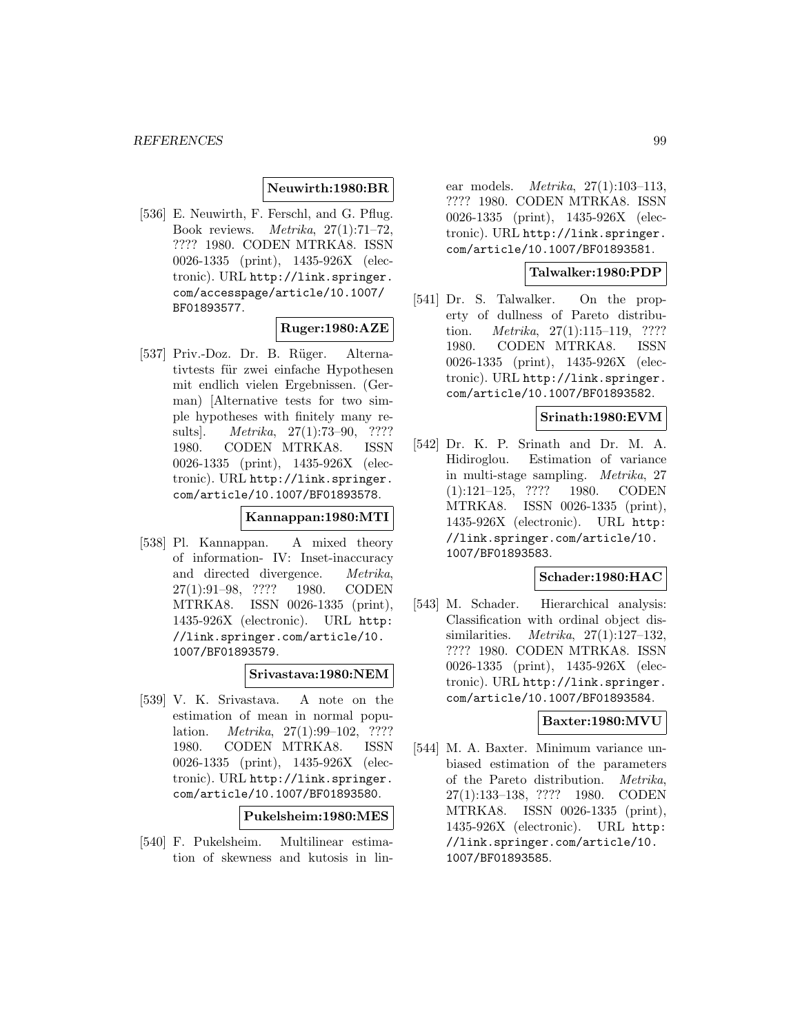#### **Neuwirth:1980:BR**

[536] E. Neuwirth, F. Ferschl, and G. Pflug. Book reviews. Metrika, 27(1):71–72, ???? 1980. CODEN MTRKA8. ISSN 0026-1335 (print), 1435-926X (electronic). URL http://link.springer. com/accesspage/article/10.1007/ BF01893577.

## **Ruger:1980:AZE**

[537] Priv.-Doz. Dr. B. Rüger. Alternativtests für zwei einfache Hypothesen mit endlich vielen Ergebnissen. (German) [Alternative tests for two simple hypotheses with finitely many results]. Metrika, 27(1):73–90, ???? 1980. CODEN MTRKA8. ISSN 0026-1335 (print), 1435-926X (electronic). URL http://link.springer. com/article/10.1007/BF01893578.

# **Kannappan:1980:MTI**

[538] Pl. Kannappan. A mixed theory of information- IV: Inset-inaccuracy and directed divergence. Metrika, 27(1):91–98, ???? 1980. CODEN MTRKA8. ISSN 0026-1335 (print), 1435-926X (electronic). URL http: //link.springer.com/article/10. 1007/BF01893579.

#### **Srivastava:1980:NEM**

[539] V. K. Srivastava. A note on the estimation of mean in normal population. *Metrika*, 27(1):99–102, ???? 1980. CODEN MTRKA8. ISSN 0026-1335 (print), 1435-926X (electronic). URL http://link.springer. com/article/10.1007/BF01893580.

**Pukelsheim:1980:MES**

[540] F. Pukelsheim. Multilinear estimation of skewness and kutosis in lin-

ear models. Metrika, 27(1):103–113, ???? 1980. CODEN MTRKA8. ISSN 0026-1335 (print), 1435-926X (electronic). URL http://link.springer. com/article/10.1007/BF01893581.

## **Talwalker:1980:PDP**

[541] Dr. S. Talwalker. On the property of dullness of Pareto distribution. Metrika, 27(1):115–119, ???? 1980. CODEN MTRKA8. ISSN 0026-1335 (print), 1435-926X (electronic). URL http://link.springer. com/article/10.1007/BF01893582.

#### **Srinath:1980:EVM**

[542] Dr. K. P. Srinath and Dr. M. A. Hidiroglou. Estimation of variance in multi-stage sampling. Metrika, 27 (1):121–125, ???? 1980. CODEN MTRKA8. ISSN 0026-1335 (print), 1435-926X (electronic). URL http: //link.springer.com/article/10. 1007/BF01893583.

## **Schader:1980:HAC**

[543] M. Schader. Hierarchical analysis: Classification with ordinal object dissimilarities. *Metrika*,  $27(1):127-132$ , ???? 1980. CODEN MTRKA8. ISSN 0026-1335 (print), 1435-926X (electronic). URL http://link.springer. com/article/10.1007/BF01893584.

## **Baxter:1980:MVU**

[544] M. A. Baxter. Minimum variance unbiased estimation of the parameters of the Pareto distribution. Metrika, 27(1):133–138, ???? 1980. CODEN MTRKA8. ISSN 0026-1335 (print), 1435-926X (electronic). URL http: //link.springer.com/article/10. 1007/BF01893585.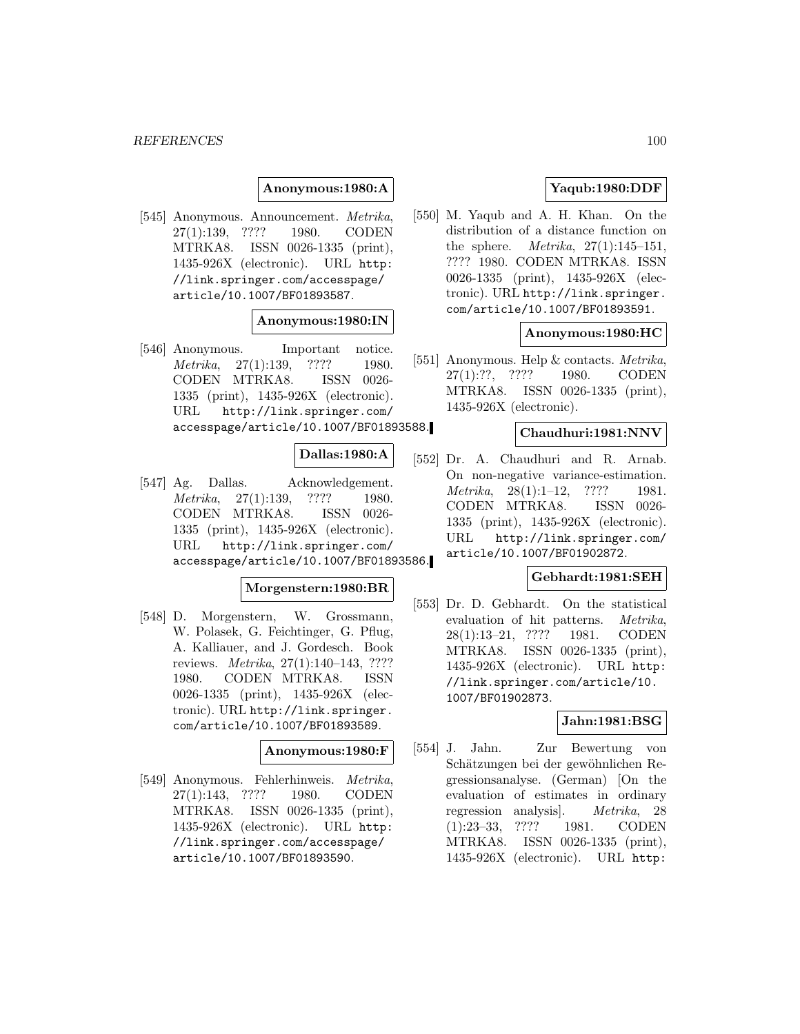#### **Anonymous:1980:A**

[545] Anonymous. Announcement. Metrika, 27(1):139, ???? 1980. CODEN MTRKA8. ISSN 0026-1335 (print), 1435-926X (electronic). URL http: //link.springer.com/accesspage/ article/10.1007/BF01893587.

#### **Anonymous:1980:IN**

[546] Anonymous. Important notice. Metrika, 27(1):139, ???? 1980. CODEN MTRKA8. ISSN 0026- 1335 (print), 1435-926X (electronic). URL http://link.springer.com/ accesspage/article/10.1007/BF01893588.

#### **Dallas:1980:A**

[547] Ag. Dallas. Acknowledgement. Metrika, 27(1):139, ???? 1980. CODEN MTRKA8. ISSN 0026- 1335 (print), 1435-926X (electronic). URL http://link.springer.com/ accesspage/article/10.1007/BF01893586.

#### **Morgenstern:1980:BR**

[548] D. Morgenstern, W. Grossmann, W. Polasek, G. Feichtinger, G. Pflug, A. Kalliauer, and J. Gordesch. Book reviews. Metrika, 27(1):140–143, ???? 1980. CODEN MTRKA8. ISSN 0026-1335 (print), 1435-926X (electronic). URL http://link.springer. com/article/10.1007/BF01893589.

#### **Anonymous:1980:F**

[549] Anonymous. Fehlerhinweis. Metrika, 27(1):143, ???? 1980. CODEN MTRKA8. ISSN 0026-1335 (print), 1435-926X (electronic). URL http: //link.springer.com/accesspage/ article/10.1007/BF01893590.

# **Yaqub:1980:DDF**

[550] M. Yaqub and A. H. Khan. On the distribution of a distance function on the sphere. *Metrika*,  $27(1):145-151$ , ???? 1980. CODEN MTRKA8. ISSN 0026-1335 (print), 1435-926X (electronic). URL http://link.springer. com/article/10.1007/BF01893591.

#### **Anonymous:1980:HC**

[551] Anonymous. Help & contacts. Metrika, 27(1):??, ???? 1980. CODEN MTRKA8. ISSN 0026-1335 (print), 1435-926X (electronic).

# **Chaudhuri:1981:NNV**

[552] Dr. A. Chaudhuri and R. Arnab. On non-negative variance-estimation. Metrika, 28(1):1–12, ???? 1981. CODEN MTRKA8. ISSN 0026- 1335 (print), 1435-926X (electronic). URL http://link.springer.com/ article/10.1007/BF01902872.

#### **Gebhardt:1981:SEH**

[553] Dr. D. Gebhardt. On the statistical evaluation of hit patterns. Metrika, 28(1):13–21, ???? 1981. CODEN MTRKA8. ISSN 0026-1335 (print), 1435-926X (electronic). URL http: //link.springer.com/article/10. 1007/BF01902873.

# **Jahn:1981:BSG**

[554] J. Jahn. Zur Bewertung von Schätzungen bei der gewöhnlichen Regressionsanalyse. (German) [On the evaluation of estimates in ordinary regression analysis]. Metrika, 28 (1):23–33, ???? 1981. CODEN MTRKA8. ISSN 0026-1335 (print), 1435-926X (electronic). URL http: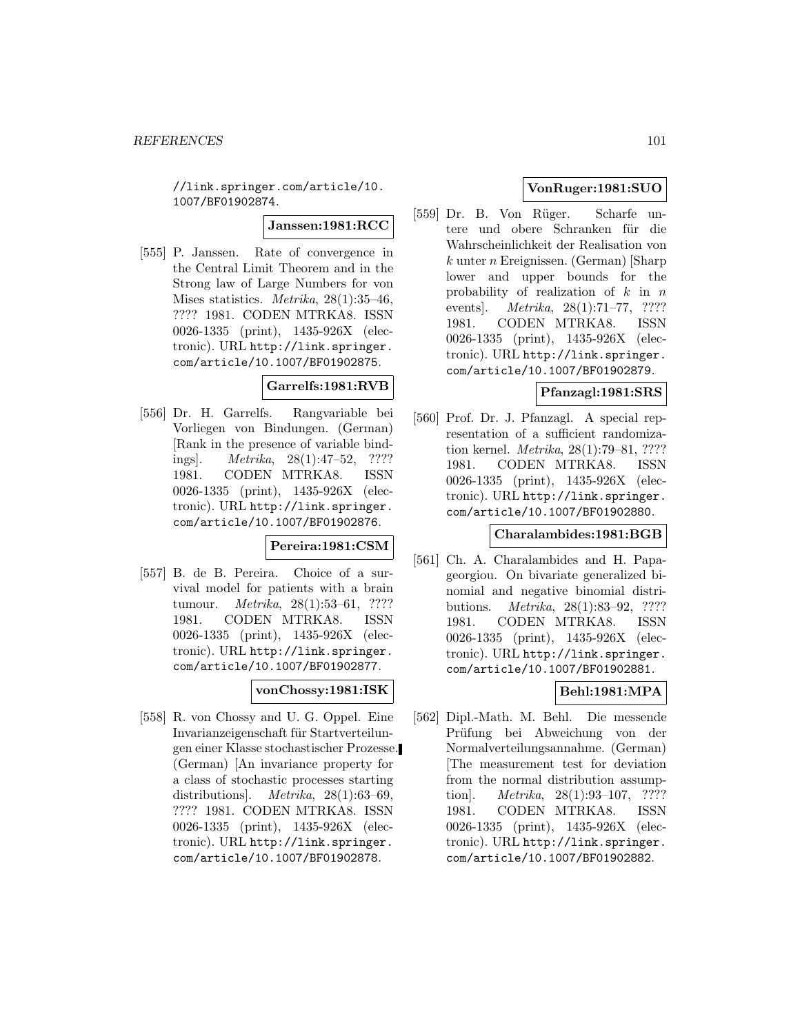//link.springer.com/article/10. 1007/BF01902874.

**Janssen:1981:RCC**

[555] P. Janssen. Rate of convergence in the Central Limit Theorem and in the Strong law of Large Numbers for von Mises statistics. Metrika, 28(1):35–46, ???? 1981. CODEN MTRKA8. ISSN 0026-1335 (print), 1435-926X (electronic). URL http://link.springer. com/article/10.1007/BF01902875.

## **Garrelfs:1981:RVB**

[556] Dr. H. Garrelfs. Rangvariable bei Vorliegen von Bindungen. (German) [Rank in the presence of variable bindings]. Metrika, 28(1):47–52, ???? 1981. CODEN MTRKA8. ISSN 0026-1335 (print), 1435-926X (electronic). URL http://link.springer. com/article/10.1007/BF01902876.

## **Pereira:1981:CSM**

[557] B. de B. Pereira. Choice of a survival model for patients with a brain tumour. Metrika, 28(1):53–61, ???? 1981. CODEN MTRKA8. ISSN 0026-1335 (print), 1435-926X (electronic). URL http://link.springer. com/article/10.1007/BF01902877.

## **vonChossy:1981:ISK**

[558] R. von Chossy and U. G. Oppel. Eine Invarianzeigenschaft für Startverteilungen einer Klasse stochastischer Prozesse. (German) [An invariance property for a class of stochastic processes starting distributions]. Metrika, 28(1):63-69, ???? 1981. CODEN MTRKA8. ISSN 0026-1335 (print), 1435-926X (electronic). URL http://link.springer. com/article/10.1007/BF01902878.

# **VonRuger:1981:SUO**

[559] Dr. B. Von Rüger. Scharfe untere und obere Schranken für die Wahrscheinlichkeit der Realisation von  $k$  unter *n* Ereignissen. (German) [Sharp lower and upper bounds for the probability of realization of  $k$  in  $n$ events]. Metrika, 28(1):71–77, ???? 1981. CODEN MTRKA8. ISSN 0026-1335 (print), 1435-926X (electronic). URL http://link.springer. com/article/10.1007/BF01902879.

# **Pfanzagl:1981:SRS**

[560] Prof. Dr. J. Pfanzagl. A special representation of a sufficient randomization kernel. Metrika, 28(1):79–81, ???? 1981. CODEN MTRKA8. ISSN 0026-1335 (print), 1435-926X (electronic). URL http://link.springer. com/article/10.1007/BF01902880.

## **Charalambides:1981:BGB**

[561] Ch. A. Charalambides and H. Papageorgiou. On bivariate generalized binomial and negative binomial distributions. Metrika, 28(1):83–92, ???? 1981. CODEN MTRKA8. ISSN 0026-1335 (print), 1435-926X (electronic). URL http://link.springer. com/article/10.1007/BF01902881.

# **Behl:1981:MPA**

[562] Dipl.-Math. M. Behl. Die messende Prüfung bei Abweichung von der Normalverteilungsannahme. (German) [The measurement test for deviation from the normal distribution assumption]. Metrika, 28(1):93–107, ???? 1981. CODEN MTRKA8. ISSN 0026-1335 (print), 1435-926X (electronic). URL http://link.springer. com/article/10.1007/BF01902882.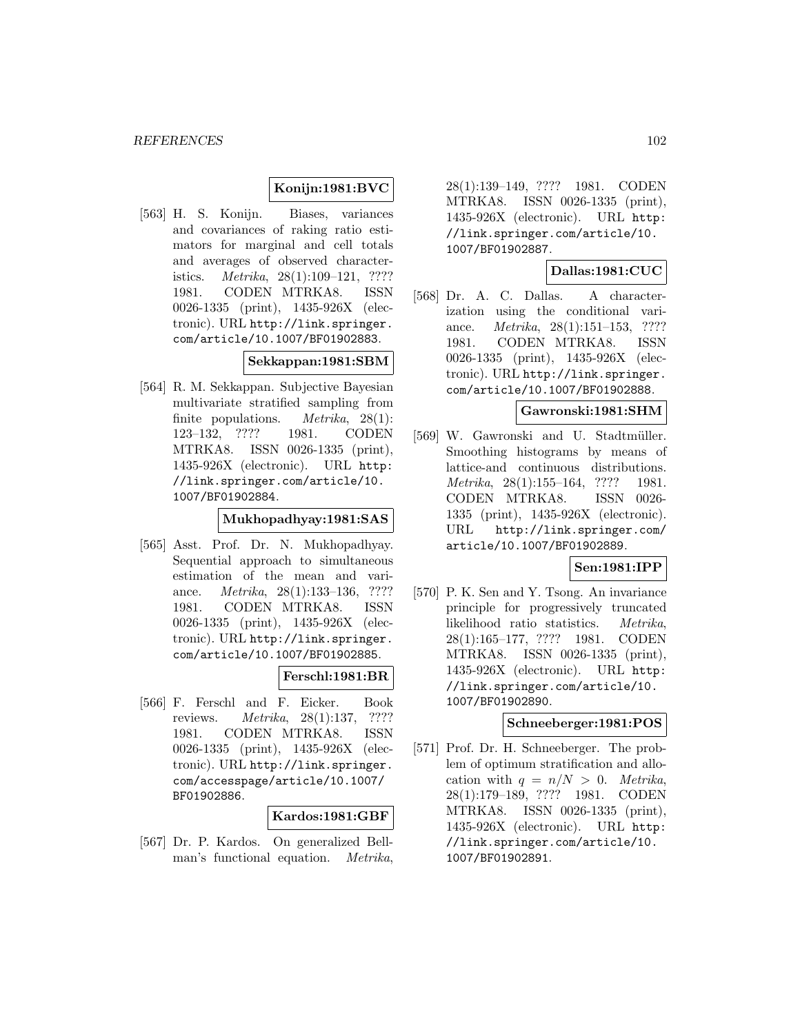## **Konijn:1981:BVC**

[563] H. S. Konijn. Biases, variances and covariances of raking ratio estimators for marginal and cell totals and averages of observed characteristics. Metrika, 28(1):109–121, ???? 1981. CODEN MTRKA8. ISSN 0026-1335 (print), 1435-926X (electronic). URL http://link.springer. com/article/10.1007/BF01902883.

**Sekkappan:1981:SBM**

[564] R. M. Sekkappan. Subjective Bayesian multivariate stratified sampling from finite populations. *Metrika*,  $28(1)$ : 123–132, ???? 1981. CODEN MTRKA8. ISSN 0026-1335 (print), 1435-926X (electronic). URL http: //link.springer.com/article/10. 1007/BF01902884.

# **Mukhopadhyay:1981:SAS**

[565] Asst. Prof. Dr. N. Mukhopadhyay. Sequential approach to simultaneous estimation of the mean and variance. Metrika, 28(1):133–136, ???? 1981. CODEN MTRKA8. ISSN 0026-1335 (print), 1435-926X (electronic). URL http://link.springer. com/article/10.1007/BF01902885.

## **Ferschl:1981:BR**

[566] F. Ferschl and F. Eicker. Book reviews. Metrika, 28(1):137, ???? 1981. CODEN MTRKA8. ISSN 0026-1335 (print), 1435-926X (electronic). URL http://link.springer. com/accesspage/article/10.1007/ BF01902886.

## **Kardos:1981:GBF**

[567] Dr. P. Kardos. On generalized Bellman's functional equation. Metrika,

28(1):139–149, ???? 1981. CODEN MTRKA8. ISSN 0026-1335 (print), 1435-926X (electronic). URL http: //link.springer.com/article/10. 1007/BF01902887.

# **Dallas:1981:CUC**

[568] Dr. A. C. Dallas. A characterization using the conditional variance. Metrika, 28(1):151–153, ???? 1981. CODEN MTRKA8. ISSN 0026-1335 (print), 1435-926X (electronic). URL http://link.springer. com/article/10.1007/BF01902888.

# **Gawronski:1981:SHM**

[569] W. Gawronski and U. Stadtmüller. Smoothing histograms by means of lattice-and continuous distributions. Metrika, 28(1):155–164, ???? 1981. CODEN MTRKA8. ISSN 0026- 1335 (print), 1435-926X (electronic). URL http://link.springer.com/ article/10.1007/BF01902889.

## **Sen:1981:IPP**

[570] P. K. Sen and Y. Tsong. An invariance principle for progressively truncated likelihood ratio statistics. Metrika, 28(1):165–177, ???? 1981. CODEN MTRKA8. ISSN 0026-1335 (print), 1435-926X (electronic). URL http: //link.springer.com/article/10. 1007/BF01902890.

#### **Schneeberger:1981:POS**

[571] Prof. Dr. H. Schneeberger. The problem of optimum stratification and allocation with  $q = n/N > 0$ . Metrika, 28(1):179–189, ???? 1981. CODEN MTRKA8. ISSN 0026-1335 (print), 1435-926X (electronic). URL http: //link.springer.com/article/10. 1007/BF01902891.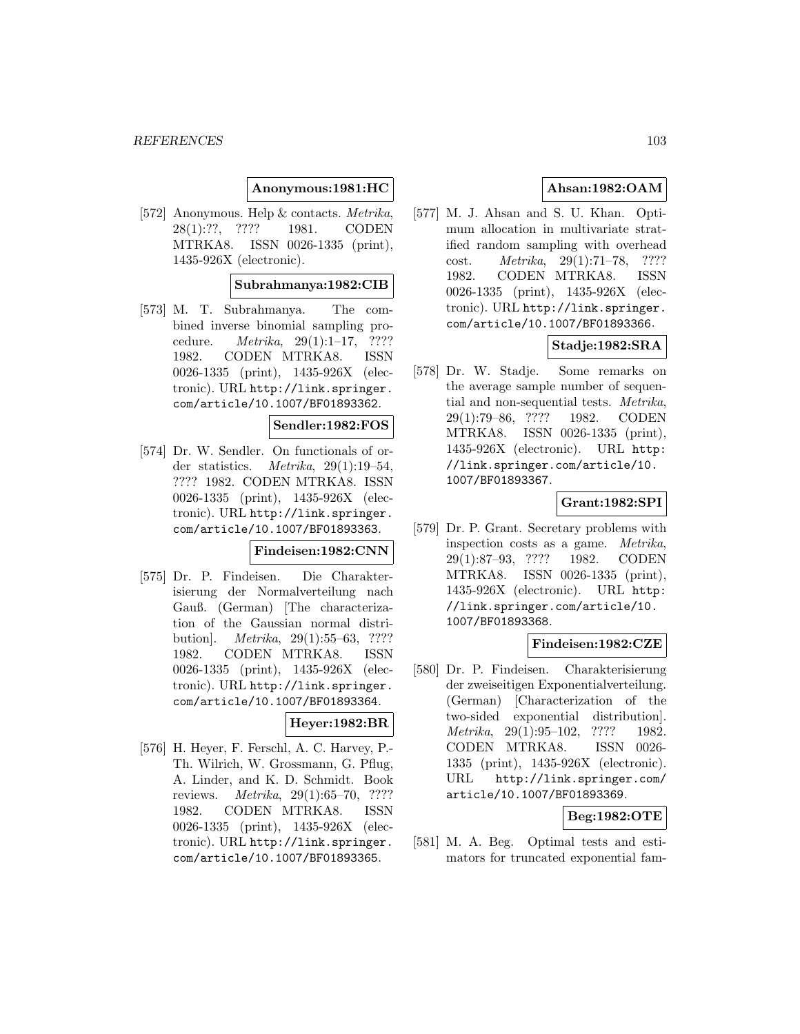#### **Anonymous:1981:HC**

[572] Anonymous. Help & contacts. Metrika, 28(1):??, ???? 1981. CODEN MTRKA8. ISSN 0026-1335 (print), 1435-926X (electronic).

#### **Subrahmanya:1982:CIB**

[573] M. T. Subrahmanya. The combined inverse binomial sampling procedure. Metrika, 29(1):1–17, ???? 1982. CODEN MTRKA8. ISSN 0026-1335 (print), 1435-926X (electronic). URL http://link.springer. com/article/10.1007/BF01893362.

#### **Sendler:1982:FOS**

[574] Dr. W. Sendler. On functionals of order statistics. Metrika, 29(1):19–54, ???? 1982. CODEN MTRKA8. ISSN 0026-1335 (print), 1435-926X (electronic). URL http://link.springer. com/article/10.1007/BF01893363.

#### **Findeisen:1982:CNN**

[575] Dr. P. Findeisen. Die Charakterisierung der Normalverteilung nach Gauß. (German) [The characterization of the Gaussian normal distribution]. Metrika, 29(1):55–63, ???? 1982. CODEN MTRKA8. ISSN 0026-1335 (print), 1435-926X (electronic). URL http://link.springer. com/article/10.1007/BF01893364.

## **Heyer:1982:BR**

[576] H. Heyer, F. Ferschl, A. C. Harvey, P.- Th. Wilrich, W. Grossmann, G. Pflug, A. Linder, and K. D. Schmidt. Book reviews. Metrika, 29(1):65–70, ???? 1982. CODEN MTRKA8. ISSN 0026-1335 (print), 1435-926X (electronic). URL http://link.springer. com/article/10.1007/BF01893365.

# **Ahsan:1982:OAM**

[577] M. J. Ahsan and S. U. Khan. Optimum allocation in multivariate stratified random sampling with overhead cost. Metrika, 29(1):71–78, ???? 1982. CODEN MTRKA8. ISSN 0026-1335 (print), 1435-926X (electronic). URL http://link.springer. com/article/10.1007/BF01893366.

# **Stadje:1982:SRA**

[578] Dr. W. Stadje. Some remarks on the average sample number of sequential and non-sequential tests. Metrika, 29(1):79–86, ???? 1982. CODEN MTRKA8. ISSN 0026-1335 (print), 1435-926X (electronic). URL http: //link.springer.com/article/10. 1007/BF01893367.

## **Grant:1982:SPI**

[579] Dr. P. Grant. Secretary problems with inspection costs as a game. Metrika, 29(1):87–93, ???? 1982. CODEN MTRKA8. ISSN 0026-1335 (print), 1435-926X (electronic). URL http: //link.springer.com/article/10. 1007/BF01893368.

#### **Findeisen:1982:CZE**

[580] Dr. P. Findeisen. Charakterisierung der zweiseitigen Exponentialverteilung. (German) [Characterization of the two-sided exponential distribution]. Metrika, 29(1):95–102, ???? 1982. CODEN MTRKA8. ISSN 0026- 1335 (print), 1435-926X (electronic). URL http://link.springer.com/ article/10.1007/BF01893369.

#### **Beg:1982:OTE**

[581] M. A. Beg. Optimal tests and estimators for truncated exponential fam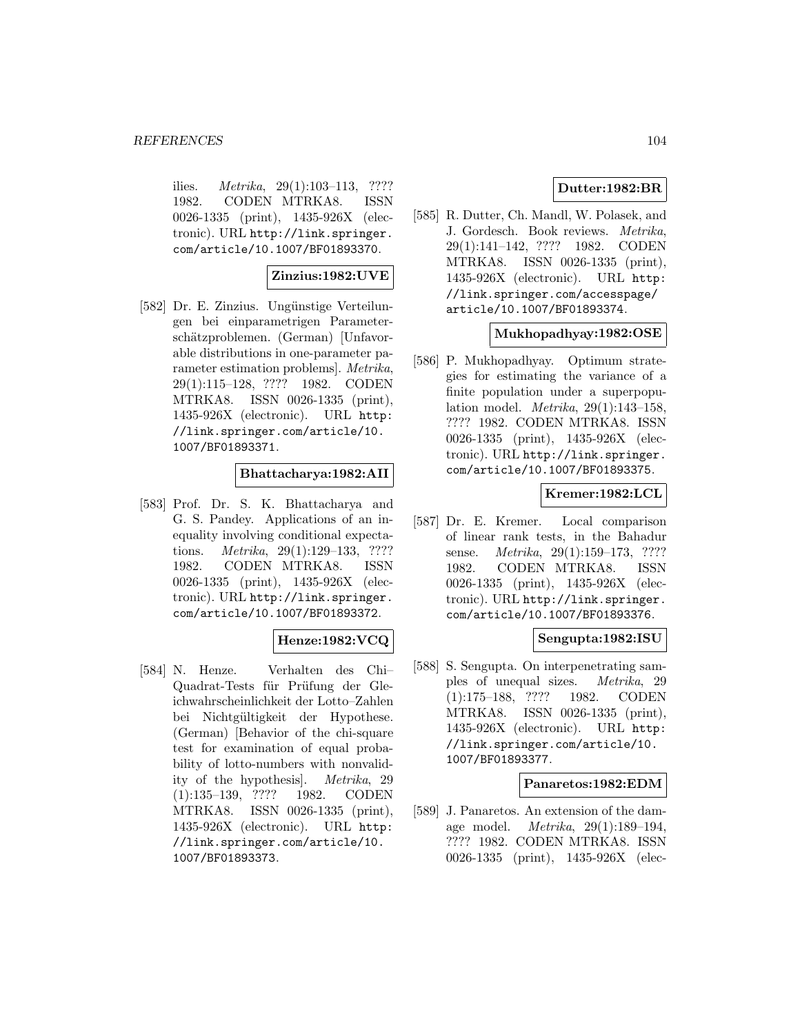ilies.  $Metrika$ ,  $29(1):103-113$ , ???? 1982. CODEN MTRKA8. ISSN 0026-1335 (print), 1435-926X (electronic). URL http://link.springer. com/article/10.1007/BF01893370.

## **Zinzius:1982:UVE**

[582] Dr. E. Zinzius. Ungünstige Verteilungen bei einparametrigen Parameterschätzproblemen. (German) [Unfavorable distributions in one-parameter parameter estimation problems]. Metrika, 29(1):115–128, ???? 1982. CODEN MTRKA8. ISSN 0026-1335 (print), 1435-926X (electronic). URL http: //link.springer.com/article/10. 1007/BF01893371.

## **Bhattacharya:1982:AII**

[583] Prof. Dr. S. K. Bhattacharya and G. S. Pandey. Applications of an inequality involving conditional expectations. *Metrika*, 29(1):129–133, ???? 1982. CODEN MTRKA8. ISSN 0026-1335 (print), 1435-926X (electronic). URL http://link.springer. com/article/10.1007/BF01893372.

# **Henze:1982:VCQ**

[584] N. Henze. Verhalten des Chi– Quadrat-Tests für Prüfung der Gleichwahrscheinlichkeit der Lotto–Zahlen bei Nichtgültigkeit der Hypothese. (German) [Behavior of the chi-square test for examination of equal probability of lotto-numbers with nonvalidity of the hypothesis]. Metrika, 29 (1):135–139, ???? 1982. CODEN MTRKA8. ISSN 0026-1335 (print), 1435-926X (electronic). URL http: //link.springer.com/article/10. 1007/BF01893373.

## **Dutter:1982:BR**

[585] R. Dutter, Ch. Mandl, W. Polasek, and J. Gordesch. Book reviews. Metrika, 29(1):141–142, ???? 1982. CODEN MTRKA8. ISSN 0026-1335 (print), 1435-926X (electronic). URL http: //link.springer.com/accesspage/ article/10.1007/BF01893374.

## **Mukhopadhyay:1982:OSE**

[586] P. Mukhopadhyay. Optimum strategies for estimating the variance of a finite population under a superpopulation model. Metrika, 29(1):143–158, ???? 1982. CODEN MTRKA8. ISSN 0026-1335 (print), 1435-926X (electronic). URL http://link.springer. com/article/10.1007/BF01893375.

# **Kremer:1982:LCL**

[587] Dr. E. Kremer. Local comparison of linear rank tests, in the Bahadur sense. Metrika, 29(1):159–173, ???? 1982. CODEN MTRKA8. ISSN 0026-1335 (print), 1435-926X (electronic). URL http://link.springer. com/article/10.1007/BF01893376.

## **Sengupta:1982:ISU**

[588] S. Sengupta. On interpenetrating samples of unequal sizes. Metrika, 29 (1):175–188, ???? 1982. CODEN MTRKA8. ISSN 0026-1335 (print), 1435-926X (electronic). URL http: //link.springer.com/article/10. 1007/BF01893377.

#### **Panaretos:1982:EDM**

[589] J. Panaretos. An extension of the damage model. Metrika, 29(1):189–194, ???? 1982. CODEN MTRKA8. ISSN 0026-1335 (print), 1435-926X (elec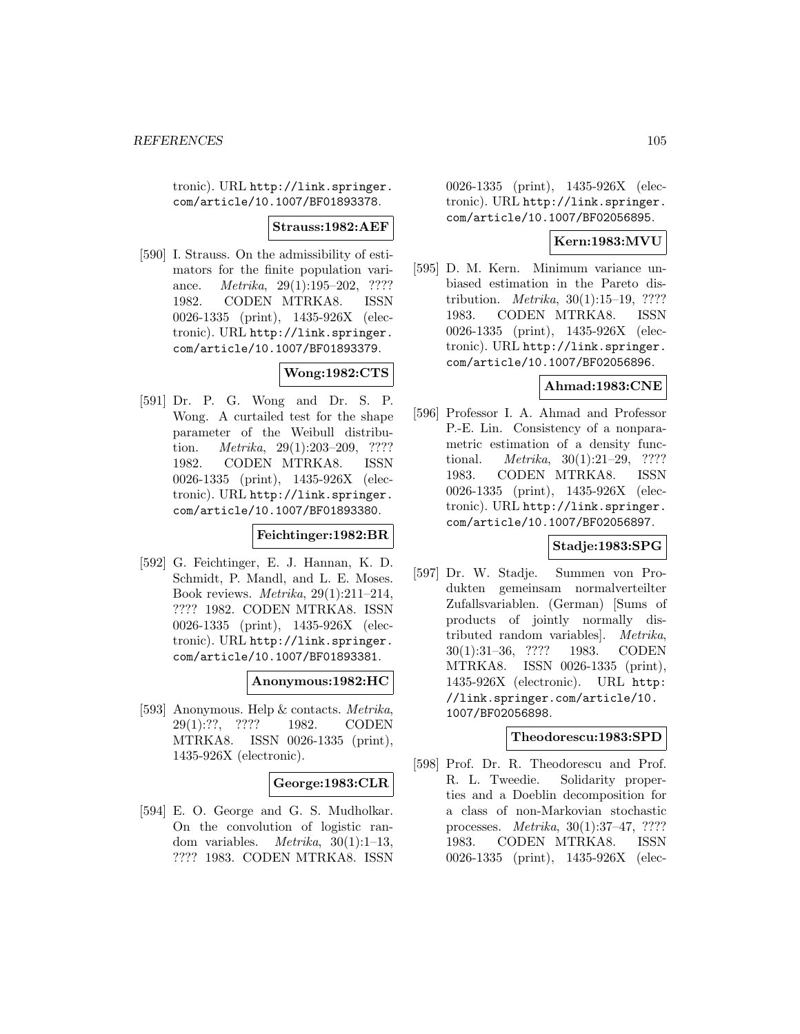tronic). URL http://link.springer. com/article/10.1007/BF01893378.

**Strauss:1982:AEF**

[590] I. Strauss. On the admissibility of estimators for the finite population variance. Metrika, 29(1):195–202, ???? 1982. CODEN MTRKA8. ISSN 0026-1335 (print), 1435-926X (electronic). URL http://link.springer. com/article/10.1007/BF01893379.

**Wong:1982:CTS**

[591] Dr. P. G. Wong and Dr. S. P. Wong. A curtailed test for the shape parameter of the Weibull distribution. Metrika, 29(1):203–209, ???? 1982. CODEN MTRKA8. ISSN 0026-1335 (print), 1435-926X (electronic). URL http://link.springer. com/article/10.1007/BF01893380.

**Feichtinger:1982:BR**

[592] G. Feichtinger, E. J. Hannan, K. D. Schmidt, P. Mandl, and L. E. Moses. Book reviews. Metrika, 29(1):211–214, ???? 1982. CODEN MTRKA8. ISSN 0026-1335 (print), 1435-926X (electronic). URL http://link.springer. com/article/10.1007/BF01893381.

## **Anonymous:1982:HC**

[593] Anonymous. Help & contacts. Metrika, 29(1):??, ???? 1982. CODEN MTRKA8. ISSN 0026-1335 (print), 1435-926X (electronic).

## **George:1983:CLR**

[594] E. O. George and G. S. Mudholkar. On the convolution of logistic random variables.  $Metrika$ ,  $30(1):1-13$ , ???? 1983. CODEN MTRKA8. ISSN

0026-1335 (print), 1435-926X (electronic). URL http://link.springer. com/article/10.1007/BF02056895.

## **Kern:1983:MVU**

[595] D. M. Kern. Minimum variance unbiased estimation in the Pareto distribution. Metrika, 30(1):15–19, ???? 1983. CODEN MTRKA8. ISSN 0026-1335 (print), 1435-926X (electronic). URL http://link.springer. com/article/10.1007/BF02056896.

## **Ahmad:1983:CNE**

[596] Professor I. A. Ahmad and Professor P.-E. Lin. Consistency of a nonparametric estimation of a density functional. Metrika, 30(1):21–29, ???? 1983. CODEN MTRKA8. ISSN 0026-1335 (print), 1435-926X (electronic). URL http://link.springer. com/article/10.1007/BF02056897.

## **Stadje:1983:SPG**

[597] Dr. W. Stadje. Summen von Produkten gemeinsam normalverteilter Zufallsvariablen. (German) [Sums of products of jointly normally distributed random variables]. Metrika, 30(1):31–36, ???? 1983. CODEN MTRKA8. ISSN 0026-1335 (print), 1435-926X (electronic). URL http: //link.springer.com/article/10. 1007/BF02056898.

#### **Theodorescu:1983:SPD**

[598] Prof. Dr. R. Theodorescu and Prof. R. L. Tweedie. Solidarity properties and a Doeblin decomposition for a class of non-Markovian stochastic processes. Metrika, 30(1):37–47, ???? 1983. CODEN MTRKA8. ISSN 0026-1335 (print), 1435-926X (elec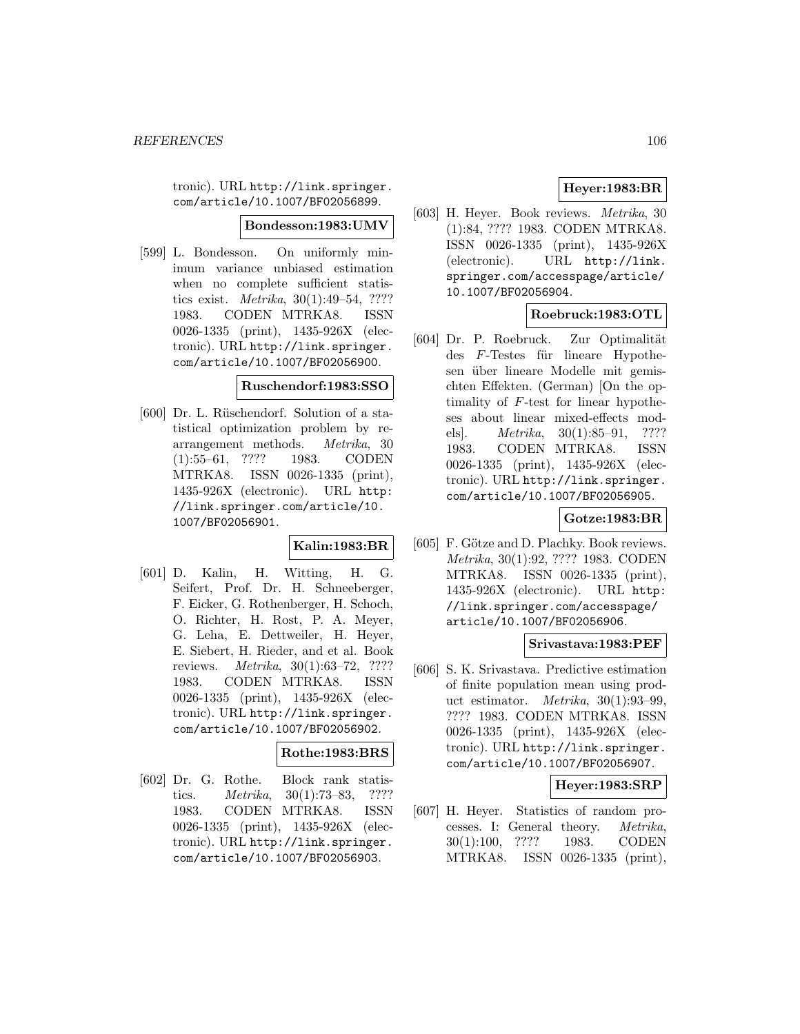tronic). URL http://link.springer. com/article/10.1007/BF02056899.

#### **Bondesson:1983:UMV**

[599] L. Bondesson. On uniformly minimum variance unbiased estimation when no complete sufficient statistics exist. Metrika, 30(1):49–54, ???? 1983. CODEN MTRKA8. ISSN 0026-1335 (print), 1435-926X (electronic). URL http://link.springer. com/article/10.1007/BF02056900.

# **Ruschendorf:1983:SSO**

[600] Dr. L. Rüschendorf. Solution of a statistical optimization problem by rearrangement methods. Metrika, 30 (1):55–61, ???? 1983. CODEN MTRKA8. ISSN 0026-1335 (print), 1435-926X (electronic). URL http: //link.springer.com/article/10. 1007/BF02056901.

## **Kalin:1983:BR**

[601] D. Kalin, H. Witting, H. G. Seifert, Prof. Dr. H. Schneeberger, F. Eicker, G. Rothenberger, H. Schoch, O. Richter, H. Rost, P. A. Meyer, G. Leha, E. Dettweiler, H. Heyer, E. Siebert, H. Rieder, and et al. Book reviews. Metrika, 30(1):63–72, ???? 1983. CODEN MTRKA8. ISSN 0026-1335 (print), 1435-926X (electronic). URL http://link.springer. com/article/10.1007/BF02056902.

# **Rothe:1983:BRS**

[602] Dr. G. Rothe. Block rank statistics. Metrika, 30(1):73–83, ???? 1983. CODEN MTRKA8. ISSN 0026-1335 (print), 1435-926X (electronic). URL http://link.springer. com/article/10.1007/BF02056903.

# **Heyer:1983:BR**

[603] H. Heyer. Book reviews. Metrika, 30 (1):84, ???? 1983. CODEN MTRKA8. ISSN 0026-1335 (print), 1435-926X (electronic). URL http://link. springer.com/accesspage/article/ 10.1007/BF02056904.

# **Roebruck:1983:OTL**

[604] Dr. P. Roebruck. Zur Optimalität  $des$   $F$ -Testes für lineare Hypothesen über lineare Modelle mit gemischten Effekten. (German) [On the optimality of F-test for linear hypotheses about linear mixed-effects models. *Metrika*, 30(1):85–91, ???? 1983. CODEN MTRKA8. ISSN 0026-1335 (print), 1435-926X (electronic). URL http://link.springer. com/article/10.1007/BF02056905.

# **Gotze:1983:BR**

[605] F. Götze and D. Plachky. Book reviews. Metrika, 30(1):92, ???? 1983. CODEN MTRKA8. ISSN 0026-1335 (print), 1435-926X (electronic). URL http: //link.springer.com/accesspage/ article/10.1007/BF02056906.

## **Srivastava:1983:PEF**

[606] S. K. Srivastava. Predictive estimation of finite population mean using product estimator. Metrika, 30(1):93–99, ???? 1983. CODEN MTRKA8. ISSN 0026-1335 (print), 1435-926X (electronic). URL http://link.springer. com/article/10.1007/BF02056907.

#### **Heyer:1983:SRP**

[607] H. Heyer. Statistics of random processes. I: General theory. Metrika, 30(1):100, ???? 1983. CODEN MTRKA8. ISSN 0026-1335 (print),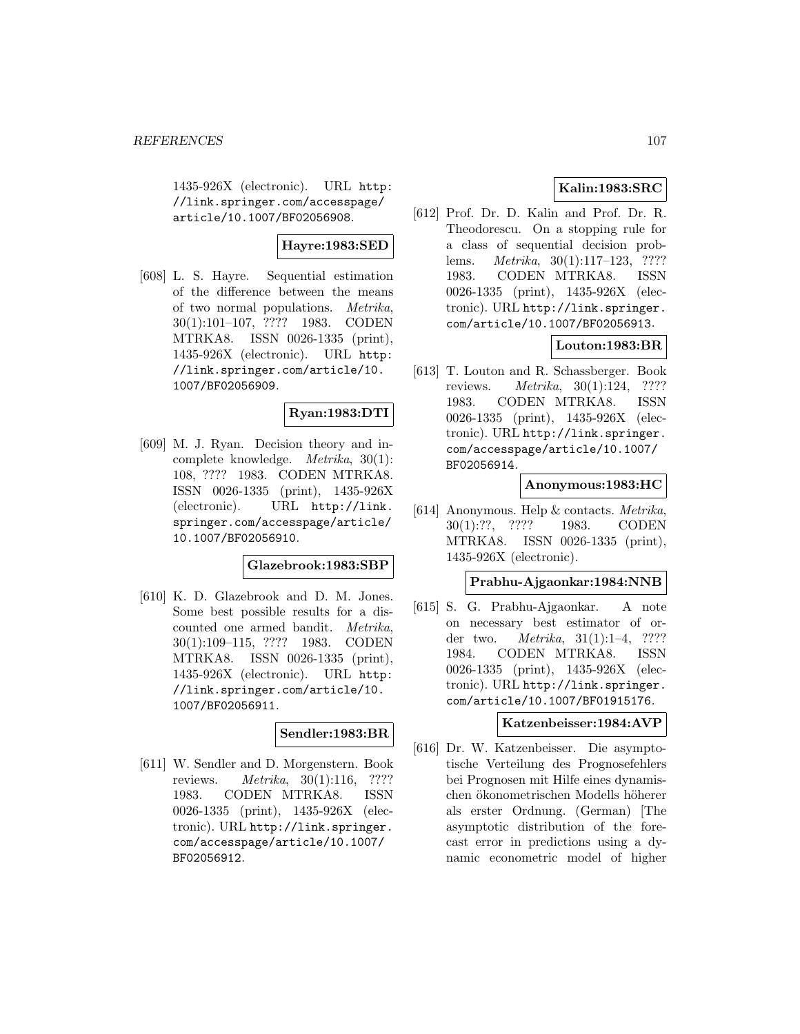1435-926X (electronic). URL http: //link.springer.com/accesspage/ article/10.1007/BF02056908.

# **Hayre:1983:SED**

[608] L. S. Hayre. Sequential estimation of the difference between the means of two normal populations. Metrika, 30(1):101–107, ???? 1983. CODEN MTRKA8. ISSN 0026-1335 (print), 1435-926X (electronic). URL http: //link.springer.com/article/10. 1007/BF02056909.

# **Ryan:1983:DTI**

[609] M. J. Ryan. Decision theory and incomplete knowledge. Metrika, 30(1): 108, ???? 1983. CODEN MTRKA8. ISSN 0026-1335 (print), 1435-926X (electronic). URL http://link. springer.com/accesspage/article/ 10.1007/BF02056910.

#### **Glazebrook:1983:SBP**

[610] K. D. Glazebrook and D. M. Jones. Some best possible results for a discounted one armed bandit. Metrika, 30(1):109–115, ???? 1983. CODEN MTRKA8. ISSN 0026-1335 (print), 1435-926X (electronic). URL http: //link.springer.com/article/10. 1007/BF02056911.

## **Sendler:1983:BR**

[611] W. Sendler and D. Morgenstern. Book reviews. *Metrika*,  $30(1):116$ , ???? 1983. CODEN MTRKA8. ISSN 0026-1335 (print), 1435-926X (electronic). URL http://link.springer. com/accesspage/article/10.1007/ BF02056912.

# **Kalin:1983:SRC**

[612] Prof. Dr. D. Kalin and Prof. Dr. R. Theodorescu. On a stopping rule for a class of sequential decision problems. Metrika, 30(1):117–123, ???? 1983. CODEN MTRKA8. ISSN 0026-1335 (print), 1435-926X (electronic). URL http://link.springer. com/article/10.1007/BF02056913.

# **Louton:1983:BR**

[613] T. Louton and R. Schassberger. Book reviews. Metrika, 30(1):124, ???? 1983. CODEN MTRKA8. ISSN 0026-1335 (print), 1435-926X (electronic). URL http://link.springer. com/accesspage/article/10.1007/ BF02056914.

#### **Anonymous:1983:HC**

[614] Anonymous. Help & contacts. Metrika, 30(1):??, ???? 1983. CODEN MTRKA8. ISSN 0026-1335 (print), 1435-926X (electronic).

## **Prabhu-Ajgaonkar:1984:NNB**

[615] S. G. Prabhu-Ajgaonkar. A note on necessary best estimator of order two. Metrika, 31(1):1–4, ???? 1984. CODEN MTRKA8. ISSN 0026-1335 (print), 1435-926X (electronic). URL http://link.springer. com/article/10.1007/BF01915176.

## **Katzenbeisser:1984:AVP**

[616] Dr. W. Katzenbeisser. Die asymptotische Verteilung des Prognosefehlers bei Prognosen mit Hilfe eines dynamischen ökonometrischen Modells höherer als erster Ordnung. (German) [The asymptotic distribution of the forecast error in predictions using a dynamic econometric model of higher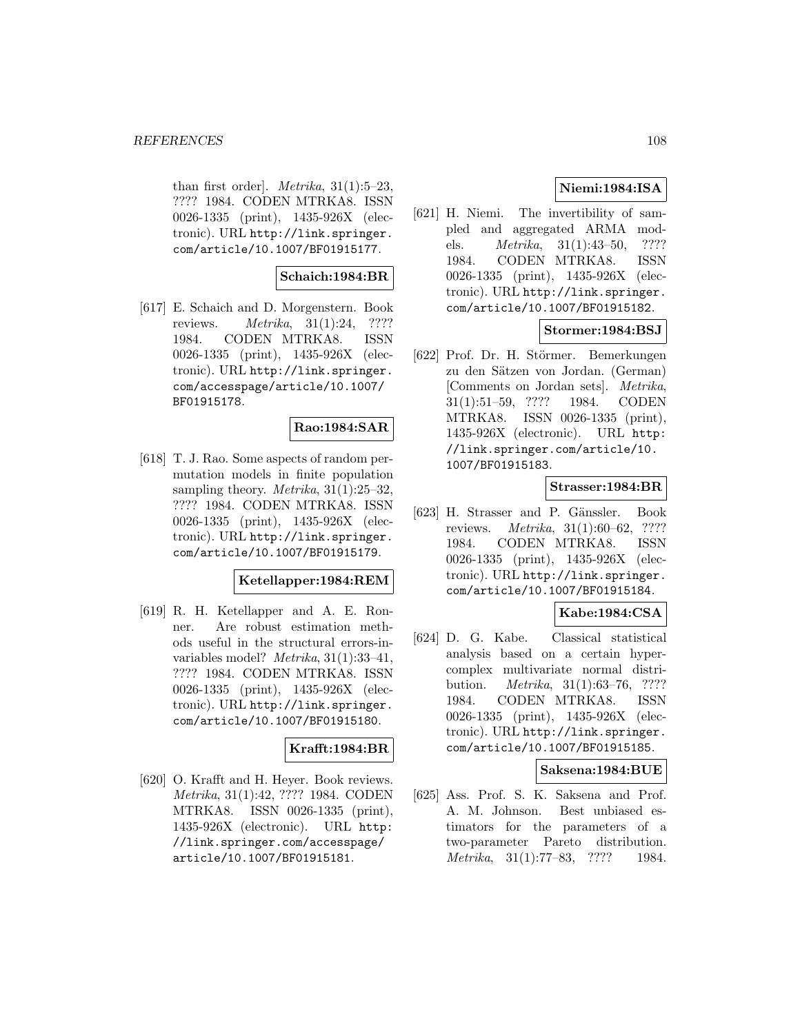than first order]. *Metrika*,  $31(1):5-23$ , ???? 1984. CODEN MTRKA8. ISSN 0026-1335 (print), 1435-926X (electronic). URL http://link.springer. com/article/10.1007/BF01915177.

# **Schaich:1984:BR**

[617] E. Schaich and D. Morgenstern. Book reviews. Metrika, 31(1):24, ???? 1984. CODEN MTRKA8. ISSN 0026-1335 (print), 1435-926X (electronic). URL http://link.springer. com/accesspage/article/10.1007/ BF01915178.

## **Rao:1984:SAR**

[618] T. J. Rao. Some aspects of random permutation models in finite population sampling theory. *Metrika*,  $31(1):25-32$ , ???? 1984. CODEN MTRKA8. ISSN 0026-1335 (print), 1435-926X (electronic). URL http://link.springer. com/article/10.1007/BF01915179.

## **Ketellapper:1984:REM**

[619] R. H. Ketellapper and A. E. Ronner. Are robust estimation methods useful in the structural errors-invariables model? Metrika, 31(1):33–41, ???? 1984. CODEN MTRKA8. ISSN 0026-1335 (print), 1435-926X (electronic). URL http://link.springer. com/article/10.1007/BF01915180.

## **Krafft:1984:BR**

[620] O. Krafft and H. Heyer. Book reviews. Metrika, 31(1):42, ???? 1984. CODEN MTRKA8. ISSN 0026-1335 (print), 1435-926X (electronic). URL http: //link.springer.com/accesspage/ article/10.1007/BF01915181.

# **Niemi:1984:ISA**

[621] H. Niemi. The invertibility of sampled and aggregated ARMA models. Metrika, 31(1):43–50, ???? 1984. CODEN MTRKA8. ISSN 0026-1335 (print), 1435-926X (electronic). URL http://link.springer. com/article/10.1007/BF01915182.

# **Stormer:1984:BSJ**

[622] Prof. Dr. H. Störmer. Bemerkungen zu den Sätzen von Jordan. (German) [Comments on Jordan sets]. Metrika, 31(1):51–59, ???? 1984. CODEN MTRKA8. ISSN 0026-1335 (print), 1435-926X (electronic). URL http: //link.springer.com/article/10. 1007/BF01915183.

# **Strasser:1984:BR**

[623] H. Strasser and P. Gänssler. Book reviews. Metrika, 31(1):60–62, ???? 1984. CODEN MTRKA8. ISSN 0026-1335 (print), 1435-926X (electronic). URL http://link.springer. com/article/10.1007/BF01915184.

## **Kabe:1984:CSA**

[624] D. G. Kabe. Classical statistical analysis based on a certain hypercomplex multivariate normal distribution. Metrika, 31(1):63–76, ???? 1984. CODEN MTRKA8. ISSN 0026-1335 (print), 1435-926X (electronic). URL http://link.springer. com/article/10.1007/BF01915185.

## **Saksena:1984:BUE**

[625] Ass. Prof. S. K. Saksena and Prof. A. M. Johnson. Best unbiased estimators for the parameters of a two-parameter Pareto distribution. Metrika, 31(1):77–83, ???? 1984.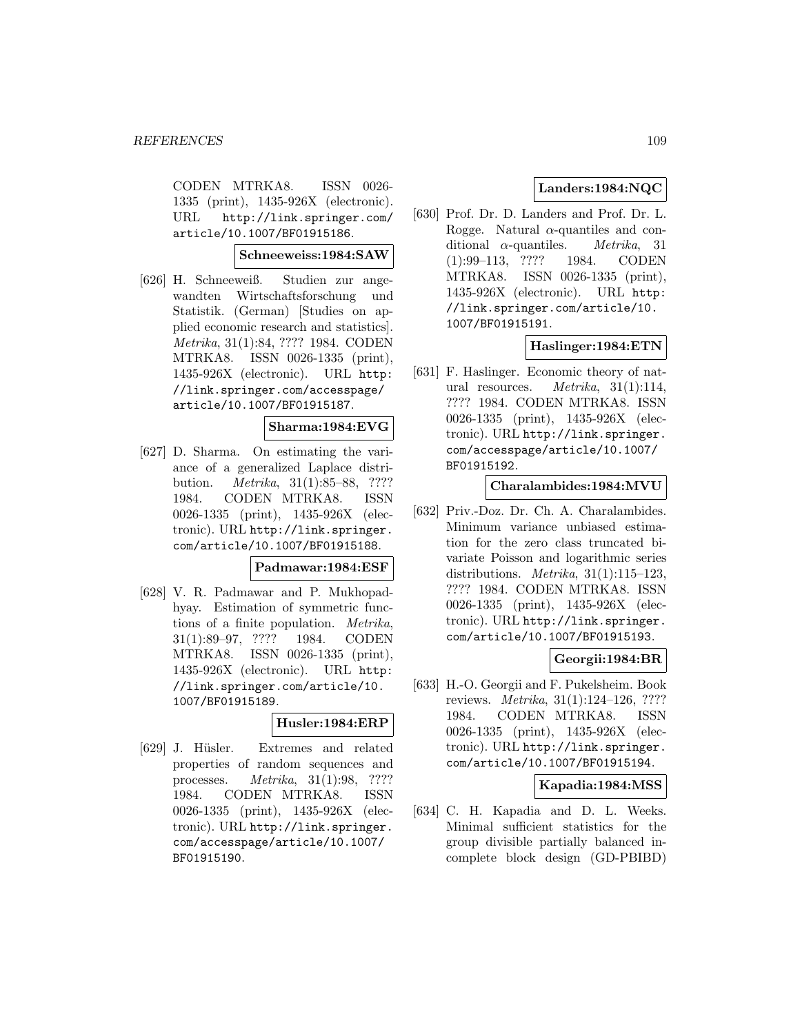CODEN MTRKA8. ISSN 0026- 1335 (print), 1435-926X (electronic). URL http://link.springer.com/ article/10.1007/BF01915186.

#### **Schneeweiss:1984:SAW**

[626] H. Schneeweiß. Studien zur angewandten Wirtschaftsforschung und Statistik. (German) [Studies on applied economic research and statistics]. Metrika, 31(1):84, ???? 1984. CODEN MTRKA8. ISSN 0026-1335 (print), 1435-926X (electronic). URL http: //link.springer.com/accesspage/ article/10.1007/BF01915187.

#### **Sharma:1984:EVG**

[627] D. Sharma. On estimating the variance of a generalized Laplace distribution. Metrika, 31(1):85–88, ???? 1984. CODEN MTRKA8. ISSN 0026-1335 (print), 1435-926X (electronic). URL http://link.springer. com/article/10.1007/BF01915188.

#### **Padmawar:1984:ESF**

[628] V. R. Padmawar and P. Mukhopadhyay. Estimation of symmetric functions of a finite population. Metrika, 31(1):89–97, ???? 1984. CODEN MTRKA8. ISSN 0026-1335 (print), 1435-926X (electronic). URL http: //link.springer.com/article/10. 1007/BF01915189.

## **Husler:1984:ERP**

[629] J. Hüsler. Extremes and related properties of random sequences and processes. Metrika, 31(1):98, ???? 1984. CODEN MTRKA8. ISSN 0026-1335 (print), 1435-926X (electronic). URL http://link.springer. com/accesspage/article/10.1007/ BF01915190.

# **Landers:1984:NQC**

[630] Prof. Dr. D. Landers and Prof. Dr. L. Rogge. Natural  $\alpha$ -quantiles and conditional  $\alpha$ -quantiles. *Metrika*, 31 (1):99–113, ???? 1984. CODEN MTRKA8. ISSN 0026-1335 (print), 1435-926X (electronic). URL http: //link.springer.com/article/10. 1007/BF01915191.

## **Haslinger:1984:ETN**

[631] F. Haslinger. Economic theory of natural resources. Metrika, 31(1):114, ???? 1984. CODEN MTRKA8. ISSN 0026-1335 (print), 1435-926X (electronic). URL http://link.springer. com/accesspage/article/10.1007/ BF01915192.

#### **Charalambides:1984:MVU**

[632] Priv.-Doz. Dr. Ch. A. Charalambides. Minimum variance unbiased estimation for the zero class truncated bivariate Poisson and logarithmic series distributions. *Metrika*,  $31(1):115-123$ , ???? 1984. CODEN MTRKA8. ISSN 0026-1335 (print), 1435-926X (electronic). URL http://link.springer. com/article/10.1007/BF01915193.

#### **Georgii:1984:BR**

[633] H.-O. Georgii and F. Pukelsheim. Book reviews. Metrika, 31(1):124–126, ???? 1984. CODEN MTRKA8. ISSN 0026-1335 (print), 1435-926X (electronic). URL http://link.springer. com/article/10.1007/BF01915194.

#### **Kapadia:1984:MSS**

[634] C. H. Kapadia and D. L. Weeks. Minimal sufficient statistics for the group divisible partially balanced incomplete block design (GD-PBIBD)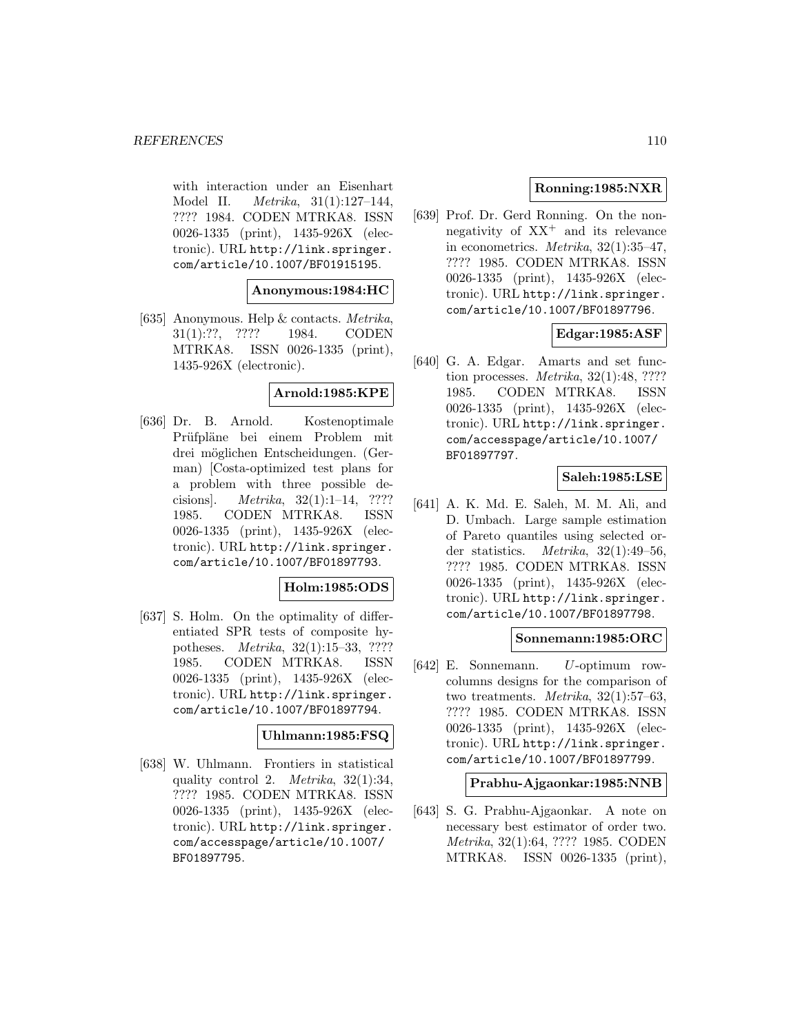with interaction under an Eisenhart Model II. Metrika, 31(1):127–144, ???? 1984. CODEN MTRKA8. ISSN 0026-1335 (print), 1435-926X (electronic). URL http://link.springer. com/article/10.1007/BF01915195.

#### **Anonymous:1984:HC**

[635] Anonymous. Help & contacts. Metrika, 31(1):??, ???? 1984. CODEN MTRKA8. ISSN 0026-1335 (print), 1435-926X (electronic).

# **Arnold:1985:KPE**

[636] Dr. B. Arnold. Kostenoptimale Prüfpläne bei einem Problem mit drei möglichen Entscheidungen. (German) [Costa-optimized test plans for a problem with three possible decisions]. Metrika, 32(1):1–14, ???? 1985. CODEN MTRKA8. ISSN 0026-1335 (print), 1435-926X (electronic). URL http://link.springer. com/article/10.1007/BF01897793.

## **Holm:1985:ODS**

[637] S. Holm. On the optimality of differentiated SPR tests of composite hypotheses. Metrika, 32(1):15–33, ???? 1985. CODEN MTRKA8. ISSN 0026-1335 (print), 1435-926X (electronic). URL http://link.springer. com/article/10.1007/BF01897794.

#### **Uhlmann:1985:FSQ**

[638] W. Uhlmann. Frontiers in statistical quality control 2. Metrika, 32(1):34, ???? 1985. CODEN MTRKA8. ISSN 0026-1335 (print), 1435-926X (electronic). URL http://link.springer. com/accesspage/article/10.1007/ BF01897795.

## **Ronning:1985:NXR**

[639] Prof. Dr. Gerd Ronning. On the nonnegativity of  $XX^+$  and its relevance in econometrics. Metrika, 32(1):35–47, ???? 1985. CODEN MTRKA8. ISSN 0026-1335 (print), 1435-926X (electronic). URL http://link.springer. com/article/10.1007/BF01897796.

## **Edgar:1985:ASF**

[640] G. A. Edgar. Amarts and set function processes. Metrika, 32(1):48, ???? 1985. CODEN MTRKA8. ISSN 0026-1335 (print), 1435-926X (electronic). URL http://link.springer. com/accesspage/article/10.1007/ BF01897797.

# **Saleh:1985:LSE**

[641] A. K. Md. E. Saleh, M. M. Ali, and D. Umbach. Large sample estimation of Pareto quantiles using selected order statistics. Metrika, 32(1):49–56, ???? 1985. CODEN MTRKA8. ISSN 0026-1335 (print), 1435-926X (electronic). URL http://link.springer. com/article/10.1007/BF01897798.

#### **Sonnemann:1985:ORC**

[642] E. Sonnemann. U-optimum rowcolumns designs for the comparison of two treatments. Metrika, 32(1):57–63, ???? 1985. CODEN MTRKA8. ISSN 0026-1335 (print), 1435-926X (electronic). URL http://link.springer. com/article/10.1007/BF01897799.

#### **Prabhu-Ajgaonkar:1985:NNB**

[643] S. G. Prabhu-Ajgaonkar. A note on necessary best estimator of order two. Metrika, 32(1):64, ???? 1985. CODEN MTRKA8. ISSN 0026-1335 (print),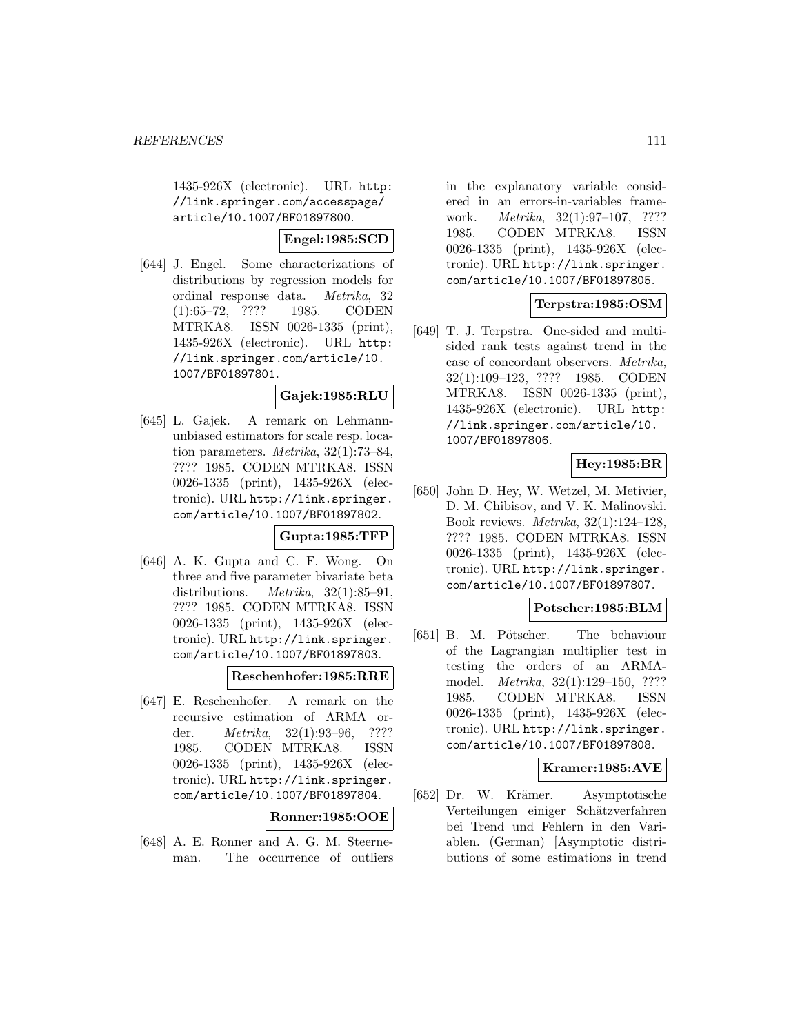1435-926X (electronic). URL http: //link.springer.com/accesspage/ article/10.1007/BF01897800.

**Engel:1985:SCD**

[644] J. Engel. Some characterizations of distributions by regression models for ordinal response data. Metrika, 32 (1):65–72, ???? 1985. CODEN MTRKA8. ISSN 0026-1335 (print), 1435-926X (electronic). URL http: //link.springer.com/article/10. 1007/BF01897801.

## **Gajek:1985:RLU**

[645] L. Gajek. A remark on Lehmannunbiased estimators for scale resp. location parameters. Metrika, 32(1):73–84, ???? 1985. CODEN MTRKA8. ISSN 0026-1335 (print), 1435-926X (electronic). URL http://link.springer. com/article/10.1007/BF01897802.

**Gupta:1985:TFP**

[646] A. K. Gupta and C. F. Wong. On three and five parameter bivariate beta distributions. *Metrika*, 32(1):85–91, ???? 1985. CODEN MTRKA8. ISSN 0026-1335 (print), 1435-926X (electronic). URL http://link.springer. com/article/10.1007/BF01897803.

**Reschenhofer:1985:RRE**

[647] E. Reschenhofer. A remark on the recursive estimation of ARMA order. Metrika, 32(1):93–96, ???? 1985. CODEN MTRKA8. ISSN 0026-1335 (print), 1435-926X (electronic). URL http://link.springer. com/article/10.1007/BF01897804.

**Ronner:1985:OOE**

[648] A. E. Ronner and A. G. M. Steerneman. The occurrence of outliers in the explanatory variable considered in an errors-in-variables framework. Metrika, 32(1):97–107, ???? 1985. CODEN MTRKA8. ISSN 0026-1335 (print), 1435-926X (electronic). URL http://link.springer. com/article/10.1007/BF01897805.

# **Terpstra:1985:OSM**

[649] T. J. Terpstra. One-sided and multisided rank tests against trend in the case of concordant observers. Metrika, 32(1):109–123, ???? 1985. CODEN MTRKA8. ISSN 0026-1335 (print), 1435-926X (electronic). URL http: //link.springer.com/article/10. 1007/BF01897806.

# **Hey:1985:BR**

[650] John D. Hey, W. Wetzel, M. Metivier, D. M. Chibisov, and V. K. Malinovski. Book reviews. Metrika, 32(1):124–128, ???? 1985. CODEN MTRKA8. ISSN 0026-1335 (print), 1435-926X (electronic). URL http://link.springer. com/article/10.1007/BF01897807.

## **Potscher:1985:BLM**

[651] B. M. Pötscher. The behaviour of the Lagrangian multiplier test in testing the orders of an ARMAmodel. Metrika, 32(1):129–150, ???? 1985. CODEN MTRKA8. ISSN 0026-1335 (print), 1435-926X (electronic). URL http://link.springer. com/article/10.1007/BF01897808.

# **Kramer:1985:AVE**

[652] Dr. W. Krämer. Asymptotische Verteilungen einiger Schätzverfahren bei Trend und Fehlern in den Variablen. (German) [Asymptotic distributions of some estimations in trend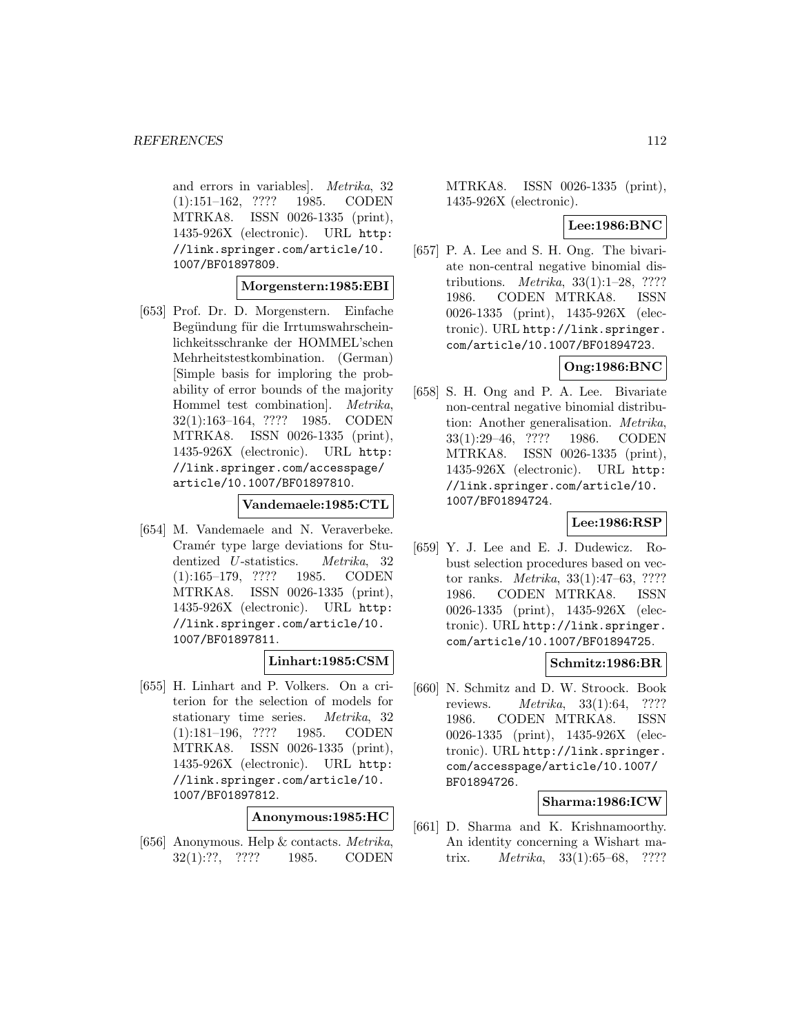and errors in variables]. Metrika, 32 (1):151–162, ???? 1985. CODEN MTRKA8. ISSN 0026-1335 (print), 1435-926X (electronic). URL http: //link.springer.com/article/10. 1007/BF01897809.

#### **Morgenstern:1985:EBI**

[653] Prof. Dr. D. Morgenstern. Einfache Begündung für die Irrtumswahrscheinlichkeitsschranke der HOMMEL'schen Mehrheitstestkombination. (German) [Simple basis for imploring the probability of error bounds of the majority Hommel test combination]. Metrika, 32(1):163–164, ???? 1985. CODEN MTRKA8. ISSN 0026-1335 (print), 1435-926X (electronic). URL http: //link.springer.com/accesspage/ article/10.1007/BF01897810.

#### **Vandemaele:1985:CTL**

[654] M. Vandemaele and N. Veraverbeke. Cramér type large deviations for Studentized U-statistics. Metrika, 32 (1):165–179, ???? 1985. CODEN MTRKA8. ISSN 0026-1335 (print), 1435-926X (electronic). URL http: //link.springer.com/article/10. 1007/BF01897811.

## **Linhart:1985:CSM**

[655] H. Linhart and P. Volkers. On a criterion for the selection of models for stationary time series. Metrika, 32 (1):181–196, ???? 1985. CODEN MTRKA8. ISSN 0026-1335 (print), 1435-926X (electronic). URL http: //link.springer.com/article/10. 1007/BF01897812.

#### **Anonymous:1985:HC**

[656] Anonymous. Help & contacts. Metrika, 32(1):??, ???? 1985. CODEN MTRKA8. ISSN 0026-1335 (print), 1435-926X (electronic).

#### **Lee:1986:BNC**

[657] P. A. Lee and S. H. Ong. The bivariate non-central negative binomial distributions. Metrika, 33(1):1–28, ???? 1986. CODEN MTRKA8. ISSN 0026-1335 (print), 1435-926X (electronic). URL http://link.springer. com/article/10.1007/BF01894723.

# **Ong:1986:BNC**

[658] S. H. Ong and P. A. Lee. Bivariate non-central negative binomial distribution: Another generalisation. Metrika, 33(1):29–46, ???? 1986. CODEN MTRKA8. ISSN 0026-1335 (print), 1435-926X (electronic). URL http: //link.springer.com/article/10. 1007/BF01894724.

## **Lee:1986:RSP**

[659] Y. J. Lee and E. J. Dudewicz. Robust selection procedures based on vector ranks. Metrika, 33(1):47–63, ???? 1986. CODEN MTRKA8. ISSN 0026-1335 (print), 1435-926X (electronic). URL http://link.springer. com/article/10.1007/BF01894725.

## **Schmitz:1986:BR**

[660] N. Schmitz and D. W. Stroock. Book reviews. Metrika, 33(1):64, ???? 1986. CODEN MTRKA8. ISSN 0026-1335 (print), 1435-926X (electronic). URL http://link.springer. com/accesspage/article/10.1007/ BF01894726.

# **Sharma:1986:ICW**

[661] D. Sharma and K. Krishnamoorthy. An identity concerning a Wishart matrix. Metrika, 33(1):65–68, ????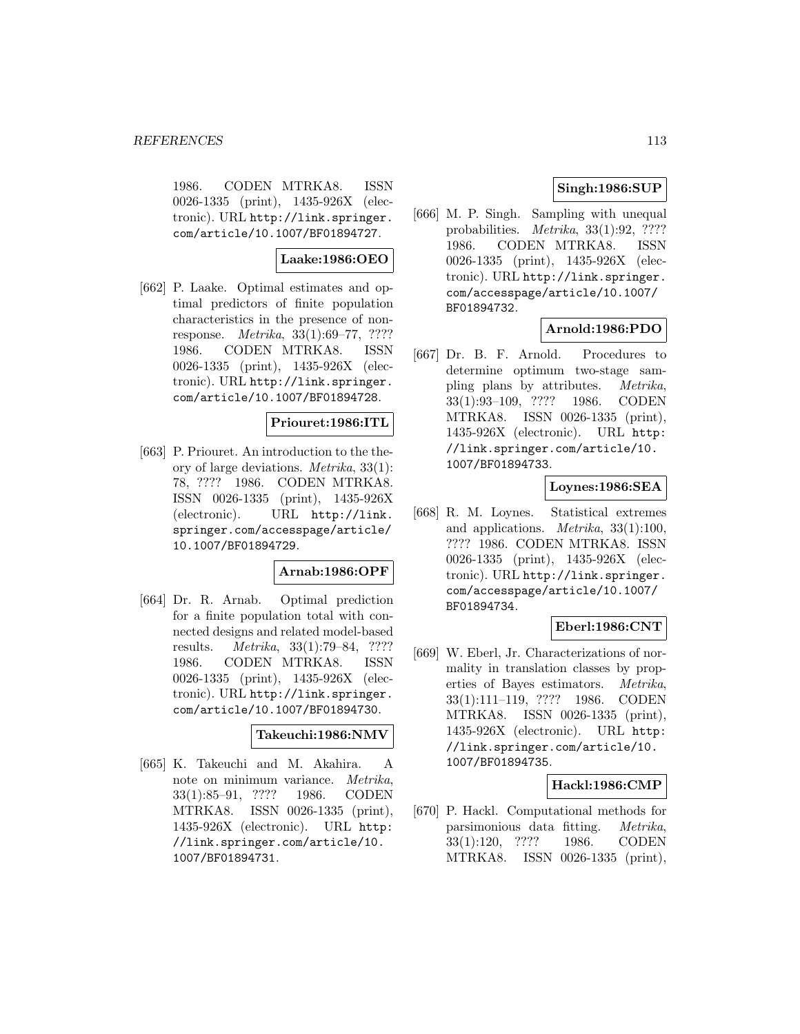1986. CODEN MTRKA8. ISSN 0026-1335 (print), 1435-926X (electronic). URL http://link.springer. com/article/10.1007/BF01894727.

# **Laake:1986:OEO**

[662] P. Laake. Optimal estimates and optimal predictors of finite population characteristics in the presence of nonresponse. Metrika, 33(1):69–77, ???? 1986. CODEN MTRKA8. ISSN 0026-1335 (print), 1435-926X (electronic). URL http://link.springer. com/article/10.1007/BF01894728.

#### **Priouret:1986:ITL**

[663] P. Priouret. An introduction to the theory of large deviations. Metrika, 33(1): 78, ???? 1986. CODEN MTRKA8. ISSN 0026-1335 (print), 1435-926X (electronic). URL http://link. springer.com/accesspage/article/ 10.1007/BF01894729.

## **Arnab:1986:OPF**

[664] Dr. R. Arnab. Optimal prediction for a finite population total with connected designs and related model-based results. Metrika, 33(1):79–84, ???? 1986. CODEN MTRKA8. ISSN 0026-1335 (print), 1435-926X (electronic). URL http://link.springer. com/article/10.1007/BF01894730.

#### **Takeuchi:1986:NMV**

[665] K. Takeuchi and M. Akahira. A note on minimum variance. Metrika, 33(1):85–91, ???? 1986. CODEN MTRKA8. ISSN 0026-1335 (print), 1435-926X (electronic). URL http: //link.springer.com/article/10. 1007/BF01894731.

# **Singh:1986:SUP**

[666] M. P. Singh. Sampling with unequal probabilities. Metrika, 33(1):92, ???? 1986. CODEN MTRKA8. ISSN 0026-1335 (print), 1435-926X (electronic). URL http://link.springer. com/accesspage/article/10.1007/ BF01894732.

# **Arnold:1986:PDO**

[667] Dr. B. F. Arnold. Procedures to determine optimum two-stage sampling plans by attributes. Metrika, 33(1):93–109, ???? 1986. CODEN MTRKA8. ISSN 0026-1335 (print), 1435-926X (electronic). URL http: //link.springer.com/article/10. 1007/BF01894733.

## **Loynes:1986:SEA**

[668] R. M. Loynes. Statistical extremes and applications. Metrika, 33(1):100, ???? 1986. CODEN MTRKA8. ISSN 0026-1335 (print), 1435-926X (electronic). URL http://link.springer. com/accesspage/article/10.1007/ BF01894734.

## **Eberl:1986:CNT**

[669] W. Eberl, Jr. Characterizations of normality in translation classes by properties of Bayes estimators. Metrika, 33(1):111–119, ???? 1986. CODEN MTRKA8. ISSN 0026-1335 (print), 1435-926X (electronic). URL http: //link.springer.com/article/10. 1007/BF01894735.

#### **Hackl:1986:CMP**

[670] P. Hackl. Computational methods for parsimonious data fitting. Metrika, 33(1):120, ???? 1986. CODEN MTRKA8. ISSN 0026-1335 (print),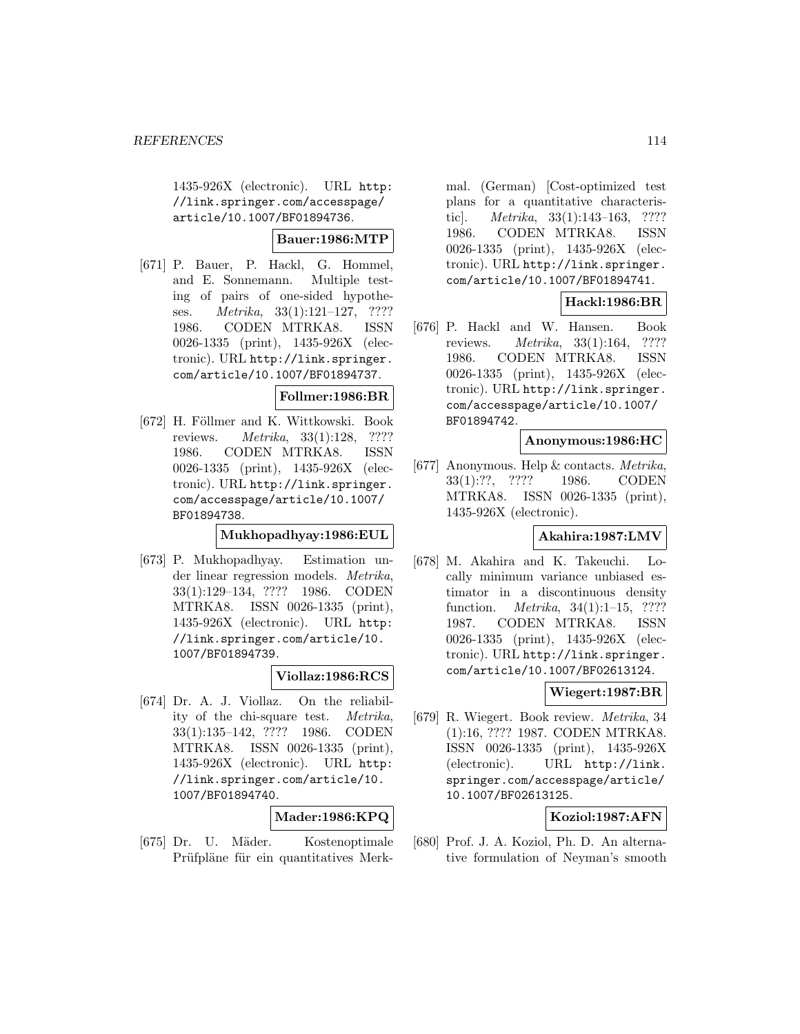1435-926X (electronic). URL http: //link.springer.com/accesspage/ article/10.1007/BF01894736.

## **Bauer:1986:MTP**

[671] P. Bauer, P. Hackl, G. Hommel, and E. Sonnemann. Multiple testing of pairs of one-sided hypotheses. Metrika, 33(1):121–127, ???? 1986. CODEN MTRKA8. ISSN 0026-1335 (print), 1435-926X (electronic). URL http://link.springer. com/article/10.1007/BF01894737.

#### **Follmer:1986:BR**

[672] H. Föllmer and K. Wittkowski. Book reviews. Metrika, 33(1):128, ???? 1986. CODEN MTRKA8. ISSN 0026-1335 (print), 1435-926X (electronic). URL http://link.springer. com/accesspage/article/10.1007/ BF01894738.

# **Mukhopadhyay:1986:EUL**

[673] P. Mukhopadhyay. Estimation under linear regression models. Metrika, 33(1):129–134, ???? 1986. CODEN MTRKA8. ISSN 0026-1335 (print), 1435-926X (electronic). URL http: //link.springer.com/article/10. 1007/BF01894739.

# **Viollaz:1986:RCS**

[674] Dr. A. J. Viollaz. On the reliability of the chi-square test. Metrika, 33(1):135–142, ???? 1986. CODEN MTRKA8. ISSN 0026-1335 (print), 1435-926X (electronic). URL http: //link.springer.com/article/10. 1007/BF01894740.

## **Mader:1986:KPQ**

[675] Dr. U. M¨ader. Kostenoptimale Prüfpläne für ein quantitatives Merk-

mal. (German) [Cost-optimized test plans for a quantitative characteristic]. Metrika, 33(1):143–163, ???? 1986. CODEN MTRKA8. ISSN 0026-1335 (print), 1435-926X (electronic). URL http://link.springer. com/article/10.1007/BF01894741.

# **Hackl:1986:BR**

[676] P. Hackl and W. Hansen. Book reviews. Metrika, 33(1):164, ???? 1986. CODEN MTRKA8. ISSN 0026-1335 (print), 1435-926X (electronic). URL http://link.springer. com/accesspage/article/10.1007/ BF01894742.

#### **Anonymous:1986:HC**

[677] Anonymous. Help & contacts. Metrika, 33(1):??, ???? 1986. CODEN MTRKA8. ISSN 0026-1335 (print), 1435-926X (electronic).

# **Akahira:1987:LMV**

[678] M. Akahira and K. Takeuchi. Locally minimum variance unbiased estimator in a discontinuous density function. Metrika, 34(1):1–15, ???? 1987. CODEN MTRKA8. ISSN 0026-1335 (print), 1435-926X (electronic). URL http://link.springer. com/article/10.1007/BF02613124.

## **Wiegert:1987:BR**

[679] R. Wiegert. Book review. Metrika, 34 (1):16, ???? 1987. CODEN MTRKA8. ISSN 0026-1335 (print), 1435-926X (electronic). URL http://link. springer.com/accesspage/article/ 10.1007/BF02613125.

# **Koziol:1987:AFN**

[680] Prof. J. A. Koziol, Ph. D. An alternative formulation of Neyman's smooth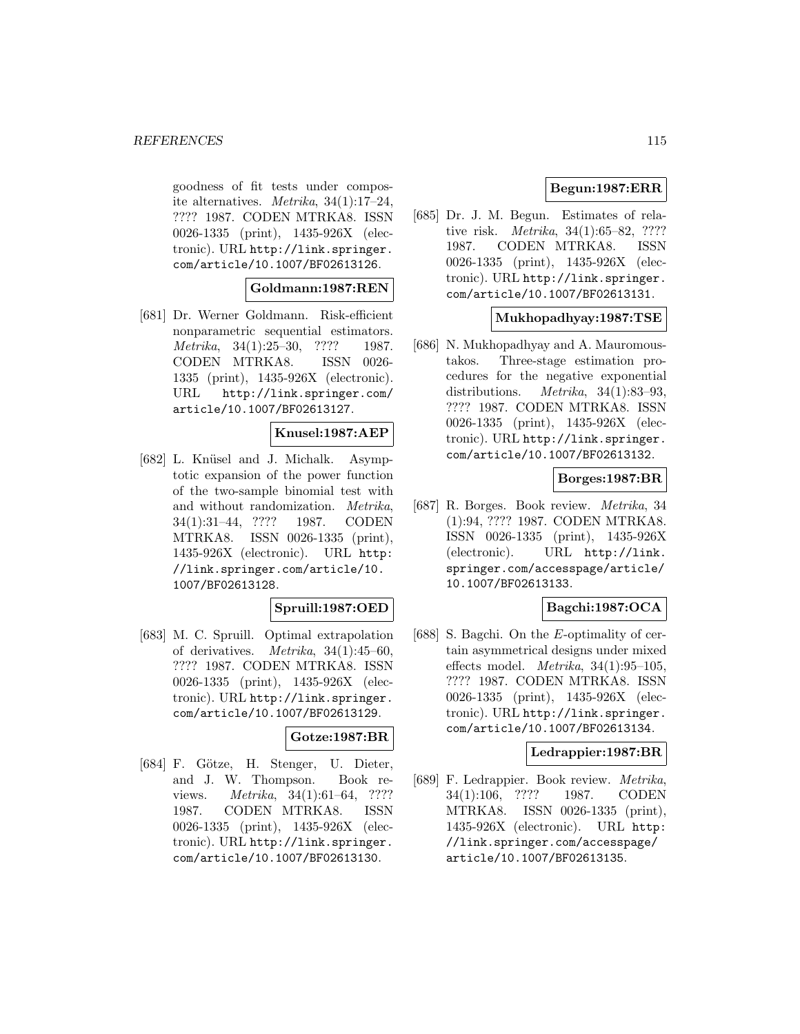goodness of fit tests under composite alternatives. Metrika, 34(1):17–24, ???? 1987. CODEN MTRKA8. ISSN 0026-1335 (print), 1435-926X (electronic). URL http://link.springer. com/article/10.1007/BF02613126.

## **Goldmann:1987:REN**

[681] Dr. Werner Goldmann. Risk-efficient nonparametric sequential estimators. Metrika, 34(1):25–30, ???? 1987. CODEN MTRKA8. ISSN 0026- 1335 (print), 1435-926X (electronic). URL http://link.springer.com/ article/10.1007/BF02613127.

## **Knusel:1987:AEP**

[682] L. Knüsel and J. Michalk. Asymptotic expansion of the power function of the two-sample binomial test with and without randomization. Metrika, 34(1):31–44, ???? 1987. CODEN MTRKA8. ISSN 0026-1335 (print), 1435-926X (electronic). URL http: //link.springer.com/article/10. 1007/BF02613128.

## **Spruill:1987:OED**

[683] M. C. Spruill. Optimal extrapolation of derivatives. Metrika, 34(1):45–60, ???? 1987. CODEN MTRKA8. ISSN 0026-1335 (print), 1435-926X (electronic). URL http://link.springer. com/article/10.1007/BF02613129.

#### **Gotze:1987:BR**

[684] F. Götze, H. Stenger, U. Dieter, and J. W. Thompson. Book reviews. Metrika, 34(1):61–64, ???? 1987. CODEN MTRKA8. ISSN 0026-1335 (print), 1435-926X (electronic). URL http://link.springer. com/article/10.1007/BF02613130.

# **Begun:1987:ERR**

[685] Dr. J. M. Begun. Estimates of relative risk. Metrika, 34(1):65–82, ???? 1987. CODEN MTRKA8. ISSN 0026-1335 (print), 1435-926X (electronic). URL http://link.springer. com/article/10.1007/BF02613131.

# **Mukhopadhyay:1987:TSE**

[686] N. Mukhopadhyay and A. Mauromoustakos. Three-stage estimation procedures for the negative exponential distributions. Metrika, 34(1):83–93, ???? 1987. CODEN MTRKA8. ISSN 0026-1335 (print), 1435-926X (electronic). URL http://link.springer. com/article/10.1007/BF02613132.

## **Borges:1987:BR**

[687] R. Borges. Book review. Metrika, 34 (1):94, ???? 1987. CODEN MTRKA8. ISSN 0026-1335 (print), 1435-926X (electronic). URL http://link. springer.com/accesspage/article/ 10.1007/BF02613133.

# **Bagchi:1987:OCA**

[688] S. Bagchi. On the E-optimality of certain asymmetrical designs under mixed effects model. Metrika, 34(1):95–105, ???? 1987. CODEN MTRKA8. ISSN 0026-1335 (print), 1435-926X (electronic). URL http://link.springer. com/article/10.1007/BF02613134.

#### **Ledrappier:1987:BR**

[689] F. Ledrappier. Book review. Metrika, 34(1):106, ???? 1987. CODEN MTRKA8. ISSN 0026-1335 (print), 1435-926X (electronic). URL http: //link.springer.com/accesspage/ article/10.1007/BF02613135.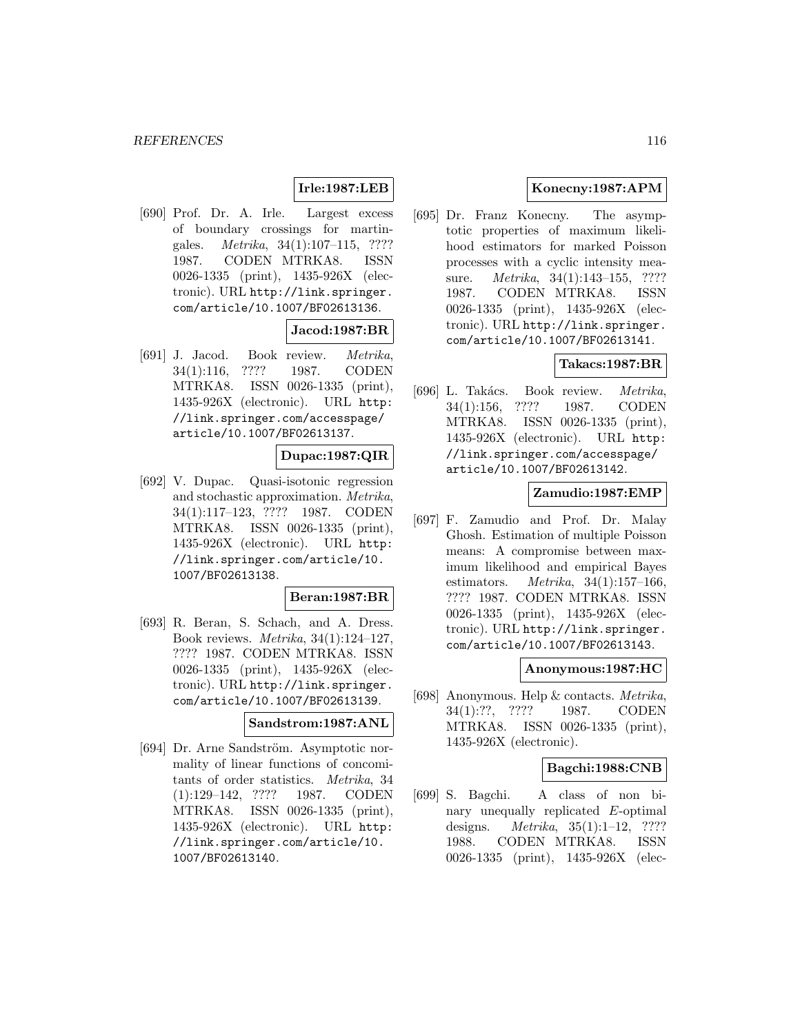# **Irle:1987:LEB**

[690] Prof. Dr. A. Irle. Largest excess of boundary crossings for martingales. Metrika, 34(1):107–115, ???? 1987. CODEN MTRKA8. ISSN 0026-1335 (print), 1435-926X (electronic). URL http://link.springer. com/article/10.1007/BF02613136.

## **Jacod:1987:BR**

[691] J. Jacod. Book review. Metrika, 34(1):116, ???? 1987. CODEN MTRKA8. ISSN 0026-1335 (print), 1435-926X (electronic). URL http: //link.springer.com/accesspage/ article/10.1007/BF02613137.

# **Dupac:1987:QIR**

[692] V. Dupac. Quasi-isotonic regression and stochastic approximation. Metrika, 34(1):117–123, ???? 1987. CODEN MTRKA8. ISSN 0026-1335 (print), 1435-926X (electronic). URL http: //link.springer.com/article/10. 1007/BF02613138.

## **Beran:1987:BR**

[693] R. Beran, S. Schach, and A. Dress. Book reviews. Metrika, 34(1):124–127, ???? 1987. CODEN MTRKA8. ISSN 0026-1335 (print), 1435-926X (electronic). URL http://link.springer. com/article/10.1007/BF02613139.

#### **Sandstrom:1987:ANL**

[694] Dr. Arne Sandström. Asymptotic normality of linear functions of concomitants of order statistics. Metrika, 34 (1):129–142, ???? 1987. CODEN MTRKA8. ISSN 0026-1335 (print), 1435-926X (electronic). URL http: //link.springer.com/article/10. 1007/BF02613140.

# **Konecny:1987:APM**

[695] Dr. Franz Konecny. The asymptotic properties of maximum likelihood estimators for marked Poisson processes with a cyclic intensity measure. *Metrika*, 34(1):143-155, ???? 1987. CODEN MTRKA8. ISSN 0026-1335 (print), 1435-926X (electronic). URL http://link.springer. com/article/10.1007/BF02613141.

# **Takacs:1987:BR**

[696] L. Takács. Book review. Metrika, 34(1):156, ???? 1987. CODEN MTRKA8. ISSN 0026-1335 (print), 1435-926X (electronic). URL http: //link.springer.com/accesspage/ article/10.1007/BF02613142.

#### **Zamudio:1987:EMP**

[697] F. Zamudio and Prof. Dr. Malay Ghosh. Estimation of multiple Poisson means: A compromise between maximum likelihood and empirical Bayes estimators. Metrika, 34(1):157–166, ???? 1987. CODEN MTRKA8. ISSN 0026-1335 (print), 1435-926X (electronic). URL http://link.springer. com/article/10.1007/BF02613143.

#### **Anonymous:1987:HC**

[698] Anonymous. Help & contacts. Metrika, 34(1):??, ???? 1987. CODEN MTRKA8. ISSN 0026-1335 (print), 1435-926X (electronic).

## **Bagchi:1988:CNB**

[699] S. Bagchi. A class of non binary unequally replicated E-optimal designs. Metrika, 35(1):1–12, ???? 1988. CODEN MTRKA8. ISSN 0026-1335 (print), 1435-926X (elec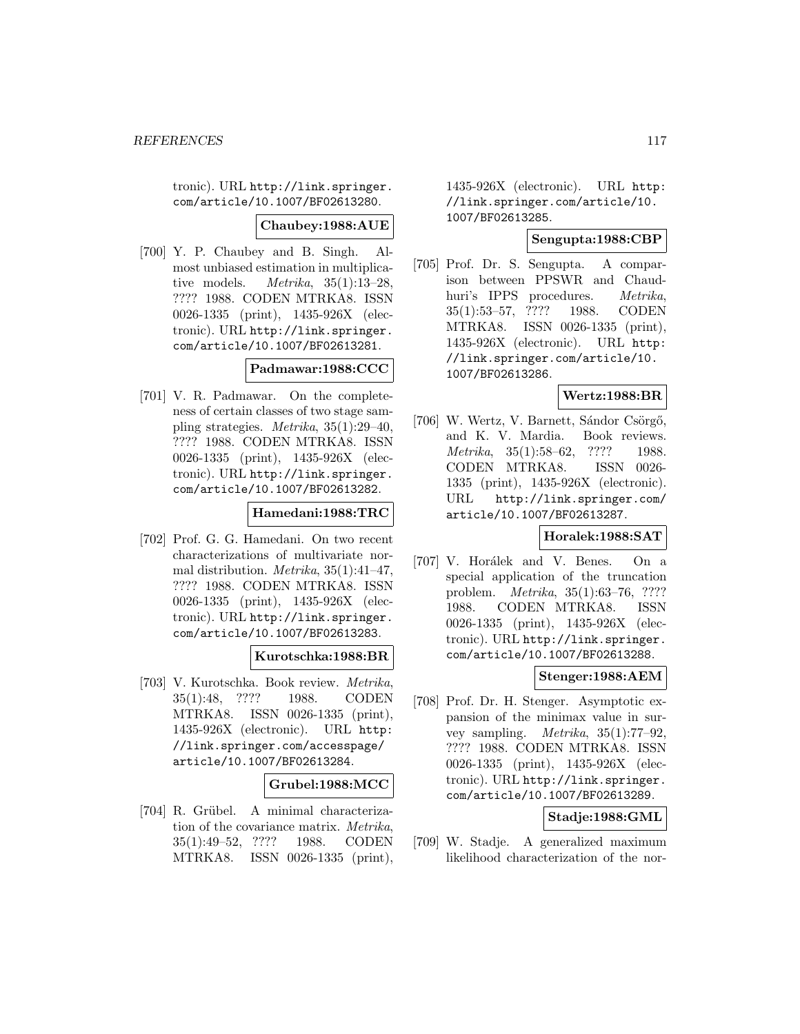tronic). URL http://link.springer. com/article/10.1007/BF02613280.

#### **Chaubey:1988:AUE**

[700] Y. P. Chaubey and B. Singh. Almost unbiased estimation in multiplicative models. Metrika, 35(1):13–28, ???? 1988. CODEN MTRKA8. ISSN 0026-1335 (print), 1435-926X (electronic). URL http://link.springer. com/article/10.1007/BF02613281.

## **Padmawar:1988:CCC**

[701] V. R. Padmawar. On the completeness of certain classes of two stage sampling strategies. Metrika, 35(1):29–40, ???? 1988. CODEN MTRKA8. ISSN 0026-1335 (print), 1435-926X (electronic). URL http://link.springer. com/article/10.1007/BF02613282.

#### **Hamedani:1988:TRC**

[702] Prof. G. G. Hamedani. On two recent characterizations of multivariate normal distribution. Metrika, 35(1):41–47, ???? 1988. CODEN MTRKA8. ISSN 0026-1335 (print), 1435-926X (electronic). URL http://link.springer. com/article/10.1007/BF02613283.

## **Kurotschka:1988:BR**

[703] V. Kurotschka. Book review. Metrika, 35(1):48, ???? 1988. CODEN MTRKA8. ISSN 0026-1335 (print), 1435-926X (electronic). URL http: //link.springer.com/accesspage/ article/10.1007/BF02613284.

## **Grubel:1988:MCC**

[704] R. Grübel. A minimal characterization of the covariance matrix. Metrika, 35(1):49–52, ???? 1988. CODEN MTRKA8. ISSN 0026-1335 (print), 1435-926X (electronic). URL http: //link.springer.com/article/10. 1007/BF02613285.

## **Sengupta:1988:CBP**

[705] Prof. Dr. S. Sengupta. A comparison between PPSWR and Chaudhuri's IPPS procedures. Metrika, 35(1):53–57, ???? 1988. CODEN MTRKA8. ISSN 0026-1335 (print), 1435-926X (electronic). URL http: //link.springer.com/article/10. 1007/BF02613286.

## **Wertz:1988:BR**

[706] W. Wertz, V. Barnett, Sándor Csörgő, and K. V. Mardia. Book reviews. Metrika, 35(1):58–62, ???? 1988. CODEN MTRKA8. ISSN 0026- 1335 (print), 1435-926X (electronic). URL http://link.springer.com/ article/10.1007/BF02613287.

# **Horalek:1988:SAT**

[707] V. Horálek and V. Benes. On a special application of the truncation problem. Metrika, 35(1):63–76, ???? 1988. CODEN MTRKA8. ISSN 0026-1335 (print), 1435-926X (electronic). URL http://link.springer. com/article/10.1007/BF02613288.

# **Stenger:1988:AEM**

[708] Prof. Dr. H. Stenger. Asymptotic expansion of the minimax value in survey sampling. Metrika, 35(1):77–92, ???? 1988. CODEN MTRKA8. ISSN 0026-1335 (print), 1435-926X (electronic). URL http://link.springer. com/article/10.1007/BF02613289.

# **Stadje:1988:GML**

[709] W. Stadje. A generalized maximum likelihood characterization of the nor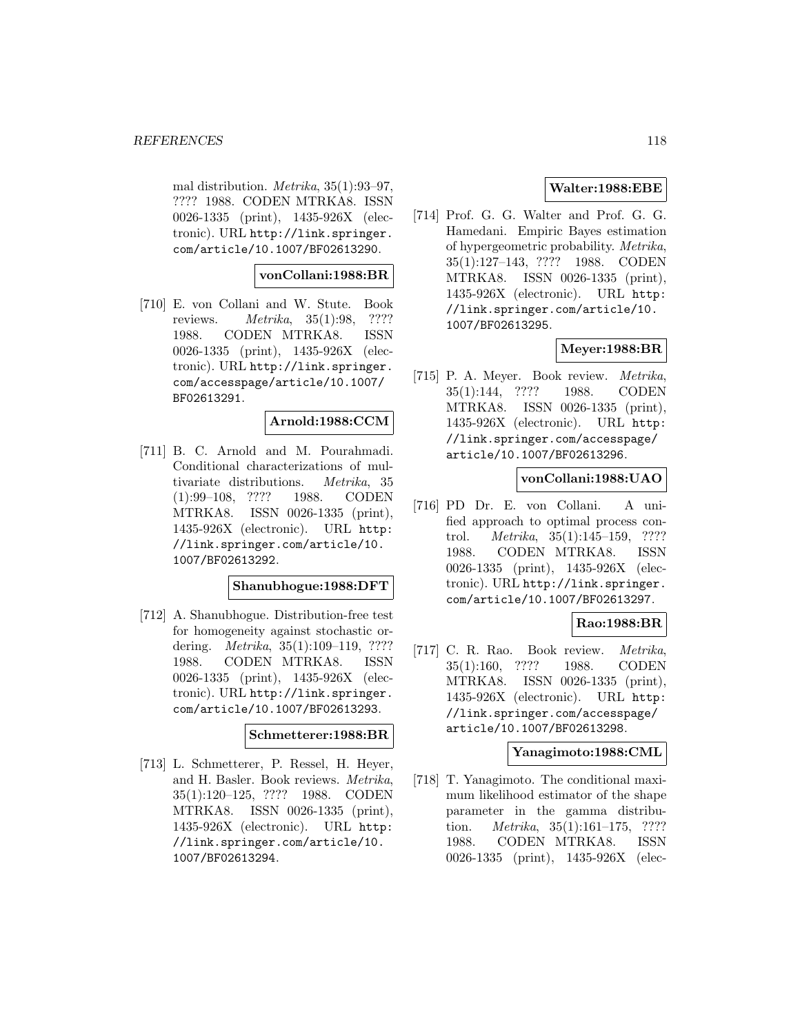mal distribution. *Metrika*, 35(1):93-97, ???? 1988. CODEN MTRKA8. ISSN 0026-1335 (print), 1435-926X (electronic). URL http://link.springer. com/article/10.1007/BF02613290.

**vonCollani:1988:BR**

[710] E. von Collani and W. Stute. Book reviews. Metrika, 35(1):98, ???? 1988. CODEN MTRKA8. ISSN 0026-1335 (print), 1435-926X (electronic). URL http://link.springer. com/accesspage/article/10.1007/ BF02613291.

#### **Arnold:1988:CCM**

[711] B. C. Arnold and M. Pourahmadi. Conditional characterizations of multivariate distributions. Metrika, 35 (1):99–108, ???? 1988. CODEN MTRKA8. ISSN 0026-1335 (print), 1435-926X (electronic). URL http: //link.springer.com/article/10. 1007/BF02613292.

# **Shanubhogue:1988:DFT**

[712] A. Shanubhogue. Distribution-free test for homogeneity against stochastic ordering. Metrika, 35(1):109–119, ???? 1988. CODEN MTRKA8. ISSN 0026-1335 (print), 1435-926X (electronic). URL http://link.springer. com/article/10.1007/BF02613293.

#### **Schmetterer:1988:BR**

[713] L. Schmetterer, P. Ressel, H. Heyer, and H. Basler. Book reviews. Metrika, 35(1):120–125, ???? 1988. CODEN MTRKA8. ISSN 0026-1335 (print), 1435-926X (electronic). URL http: //link.springer.com/article/10. 1007/BF02613294.

## **Walter:1988:EBE**

[714] Prof. G. G. Walter and Prof. G. G. Hamedani. Empiric Bayes estimation of hypergeometric probability. Metrika, 35(1):127–143, ???? 1988. CODEN MTRKA8. ISSN 0026-1335 (print), 1435-926X (electronic). URL http: //link.springer.com/article/10. 1007/BF02613295.

# **Meyer:1988:BR**

[715] P. A. Meyer. Book review. Metrika, 35(1):144, ???? 1988. CODEN MTRKA8. ISSN 0026-1335 (print), 1435-926X (electronic). URL http: //link.springer.com/accesspage/ article/10.1007/BF02613296.

# **vonCollani:1988:UAO**

[716] PD Dr. E. von Collani. A unified approach to optimal process control. Metrika, 35(1):145–159, ???? 1988. CODEN MTRKA8. ISSN 0026-1335 (print), 1435-926X (electronic). URL http://link.springer. com/article/10.1007/BF02613297.

## **Rao:1988:BR**

[717] C. R. Rao. Book review. Metrika, 35(1):160, ???? 1988. CODEN MTRKA8. ISSN 0026-1335 (print), 1435-926X (electronic). URL http: //link.springer.com/accesspage/ article/10.1007/BF02613298.

#### **Yanagimoto:1988:CML**

[718] T. Yanagimoto. The conditional maximum likelihood estimator of the shape parameter in the gamma distribution. Metrika, 35(1):161–175, ???? 1988. CODEN MTRKA8. ISSN 0026-1335 (print), 1435-926X (elec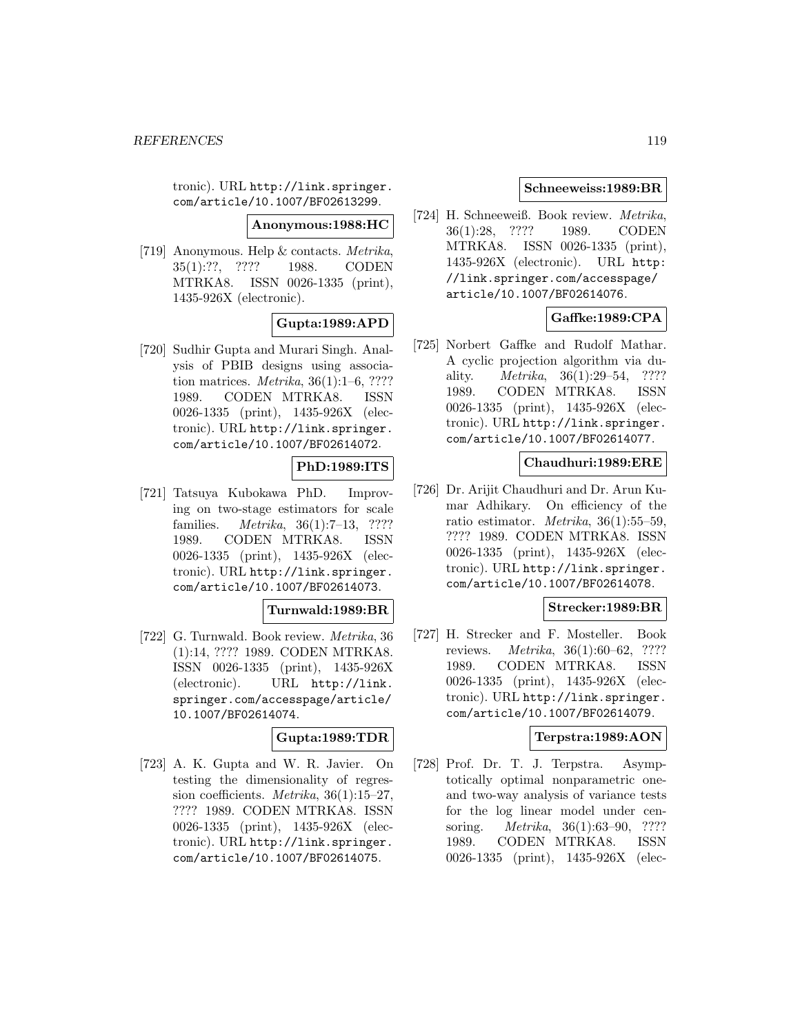tronic). URL http://link.springer. com/article/10.1007/BF02613299.

**Anonymous:1988:HC**

[719] Anonymous. Help & contacts. Metrika, 35(1):??, ???? 1988. CODEN MTRKA8. ISSN 0026-1335 (print), 1435-926X (electronic).

# **Gupta:1989:APD**

[720] Sudhir Gupta and Murari Singh. Analysis of PBIB designs using association matrices. Metrika, 36(1):1–6, ???? 1989. CODEN MTRKA8. ISSN 0026-1335 (print), 1435-926X (electronic). URL http://link.springer. com/article/10.1007/BF02614072.

# **PhD:1989:ITS**

[721] Tatsuya Kubokawa PhD. Improving on two-stage estimators for scale families. Metrika, 36(1):7–13, ???? 1989. CODEN MTRKA8. ISSN 0026-1335 (print), 1435-926X (electronic). URL http://link.springer. com/article/10.1007/BF02614073.

## **Turnwald:1989:BR**

[722] G. Turnwald. Book review. Metrika, 36 (1):14, ???? 1989. CODEN MTRKA8. ISSN 0026-1335 (print), 1435-926X (electronic). URL http://link. springer.com/accesspage/article/ 10.1007/BF02614074.

# **Gupta:1989:TDR**

[723] A. K. Gupta and W. R. Javier. On testing the dimensionality of regression coefficients. Metrika, 36(1):15–27, ???? 1989. CODEN MTRKA8. ISSN 0026-1335 (print), 1435-926X (electronic). URL http://link.springer. com/article/10.1007/BF02614075.

## **Schneeweiss:1989:BR**

[724] H. Schneeweiß. Book review. Metrika, 36(1):28, ???? 1989. CODEN MTRKA8. ISSN 0026-1335 (print), 1435-926X (electronic). URL http: //link.springer.com/accesspage/ article/10.1007/BF02614076.

# **Gaffke:1989:CPA**

[725] Norbert Gaffke and Rudolf Mathar. A cyclic projection algorithm via duality. Metrika, 36(1):29–54, ???? 1989. CODEN MTRKA8. ISSN 0026-1335 (print), 1435-926X (electronic). URL http://link.springer. com/article/10.1007/BF02614077.

## **Chaudhuri:1989:ERE**

[726] Dr. Arijit Chaudhuri and Dr. Arun Kumar Adhikary. On efficiency of the ratio estimator. Metrika, 36(1):55–59, ???? 1989. CODEN MTRKA8. ISSN 0026-1335 (print), 1435-926X (electronic). URL http://link.springer. com/article/10.1007/BF02614078.

## **Strecker:1989:BR**

[727] H. Strecker and F. Mosteller. Book reviews. Metrika, 36(1):60–62, ???? 1989. CODEN MTRKA8. ISSN 0026-1335 (print), 1435-926X (electronic). URL http://link.springer. com/article/10.1007/BF02614079.

## **Terpstra:1989:AON**

[728] Prof. Dr. T. J. Terpstra. Asymptotically optimal nonparametric oneand two-way analysis of variance tests for the log linear model under censoring. Metrika, 36(1):63–90, ???? 1989. CODEN MTRKA8. ISSN 0026-1335 (print), 1435-926X (elec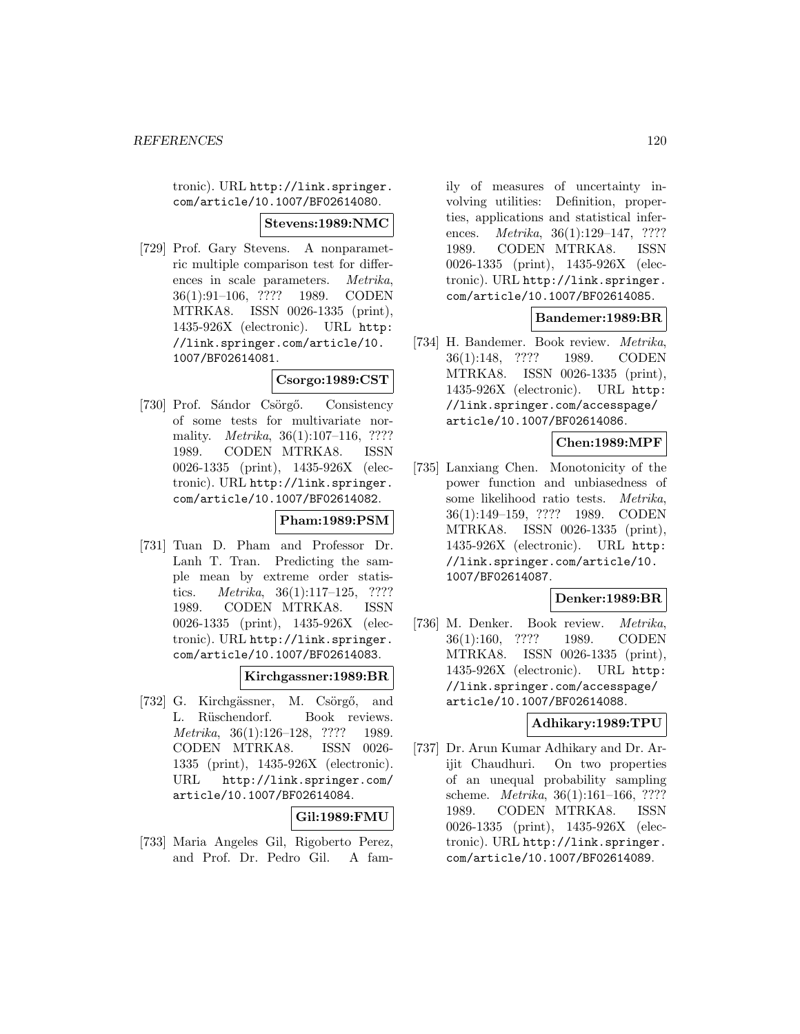tronic). URL http://link.springer. com/article/10.1007/BF02614080.

#### **Stevens:1989:NMC**

[729] Prof. Gary Stevens. A nonparametric multiple comparison test for differences in scale parameters. Metrika, 36(1):91–106, ???? 1989. CODEN MTRKA8. ISSN 0026-1335 (print), 1435-926X (electronic). URL http: //link.springer.com/article/10. 1007/BF02614081.

## **Csorgo:1989:CST**

[730] Prof. Sándor Csörgő. Consistency of some tests for multivariate normality. *Metrika*, 36(1):107–116, ???? 1989. CODEN MTRKA8. ISSN 0026-1335 (print), 1435-926X (electronic). URL http://link.springer. com/article/10.1007/BF02614082.

## **Pham:1989:PSM**

[731] Tuan D. Pham and Professor Dr. Lanh T. Tran. Predicting the sample mean by extreme order statistics. Metrika, 36(1):117–125, ???? 1989. CODEN MTRKA8. ISSN 0026-1335 (print), 1435-926X (electronic). URL http://link.springer. com/article/10.1007/BF02614083.

#### **Kirchgassner:1989:BR**

[732] G. Kirchgässner, M. Csörgő, and L. Rüschendorf. Book reviews. Metrika, 36(1):126–128, ???? 1989. CODEN MTRKA8. ISSN 0026- 1335 (print), 1435-926X (electronic). URL http://link.springer.com/ article/10.1007/BF02614084.

#### **Gil:1989:FMU**

[733] Maria Angeles Gil, Rigoberto Perez, and Prof. Dr. Pedro Gil. A family of measures of uncertainty involving utilities: Definition, properties, applications and statistical inferences. *Metrika*, 36(1):129–147, ???? 1989. CODEN MTRKA8. ISSN 0026-1335 (print), 1435-926X (electronic). URL http://link.springer. com/article/10.1007/BF02614085.

#### **Bandemer:1989:BR**

[734] H. Bandemer. Book review. Metrika, 36(1):148, ???? 1989. CODEN MTRKA8. ISSN 0026-1335 (print), 1435-926X (electronic). URL http: //link.springer.com/accesspage/ article/10.1007/BF02614086.

#### **Chen:1989:MPF**

[735] Lanxiang Chen. Monotonicity of the power function and unbiasedness of some likelihood ratio tests. Metrika, 36(1):149–159, ???? 1989. CODEN MTRKA8. ISSN 0026-1335 (print), 1435-926X (electronic). URL http: //link.springer.com/article/10. 1007/BF02614087.

#### **Denker:1989:BR**

[736] M. Denker. Book review. Metrika, 36(1):160, ???? 1989. CODEN MTRKA8. ISSN 0026-1335 (print), 1435-926X (electronic). URL http: //link.springer.com/accesspage/ article/10.1007/BF02614088.

## **Adhikary:1989:TPU**

[737] Dr. Arun Kumar Adhikary and Dr. Arijit Chaudhuri. On two properties of an unequal probability sampling scheme. Metrika, 36(1):161–166, ???? 1989. CODEN MTRKA8. ISSN 0026-1335 (print), 1435-926X (electronic). URL http://link.springer. com/article/10.1007/BF02614089.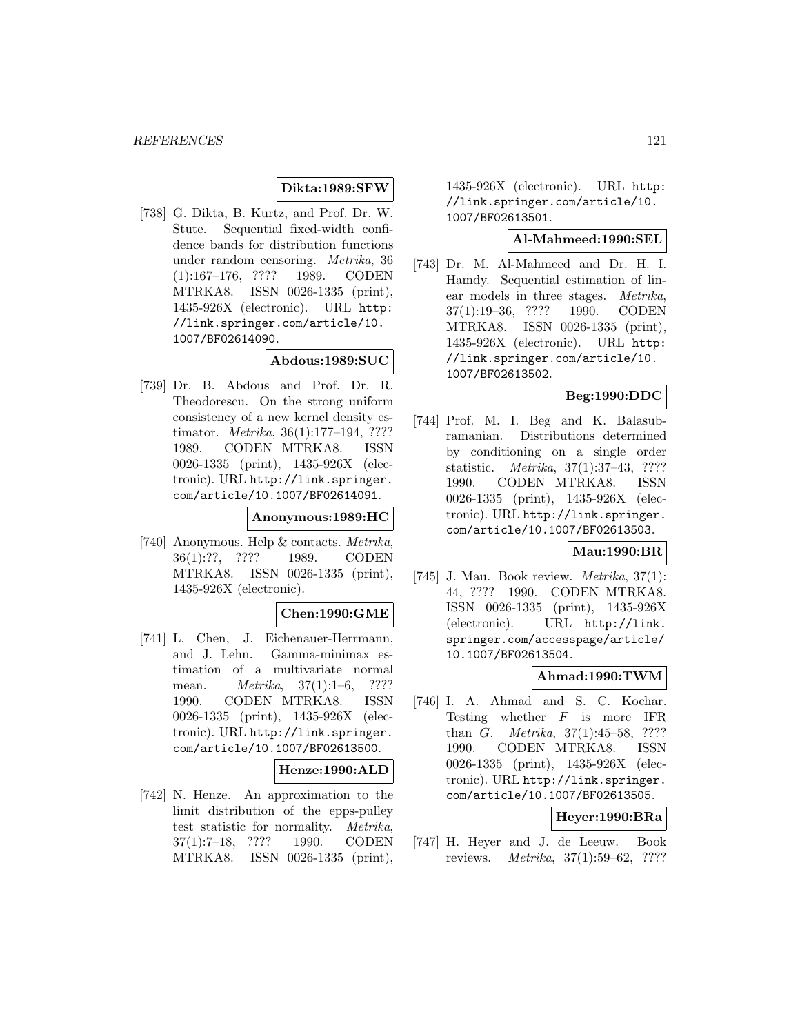# **Dikta:1989:SFW**

[738] G. Dikta, B. Kurtz, and Prof. Dr. W. Stute. Sequential fixed-width confidence bands for distribution functions under random censoring. Metrika, 36 (1):167–176, ???? 1989. CODEN MTRKA8. ISSN 0026-1335 (print), 1435-926X (electronic). URL http: //link.springer.com/article/10. 1007/BF02614090.

#### **Abdous:1989:SUC**

[739] Dr. B. Abdous and Prof. Dr. R. Theodorescu. On the strong uniform consistency of a new kernel density estimator. Metrika, 36(1):177–194, ???? 1989. CODEN MTRKA8. ISSN 0026-1335 (print), 1435-926X (electronic). URL http://link.springer. com/article/10.1007/BF02614091.

#### **Anonymous:1989:HC**

[740] Anonymous. Help & contacts. Metrika, 36(1):??, ???? 1989. CODEN MTRKA8. ISSN 0026-1335 (print), 1435-926X (electronic).

#### **Chen:1990:GME**

[741] L. Chen, J. Eichenauer-Herrmann, and J. Lehn. Gamma-minimax estimation of a multivariate normal mean. Metrika, 37(1):1–6, ???? 1990. CODEN MTRKA8. ISSN 0026-1335 (print), 1435-926X (electronic). URL http://link.springer. com/article/10.1007/BF02613500.

## **Henze:1990:ALD**

[742] N. Henze. An approximation to the limit distribution of the epps-pulley test statistic for normality. Metrika, 37(1):7–18, ???? 1990. CODEN MTRKA8. ISSN 0026-1335 (print),

1435-926X (electronic). URL http: //link.springer.com/article/10. 1007/BF02613501.

#### **Al-Mahmeed:1990:SEL**

[743] Dr. M. Al-Mahmeed and Dr. H. I. Hamdy. Sequential estimation of linear models in three stages. Metrika, 37(1):19–36, ???? 1990. CODEN MTRKA8. ISSN 0026-1335 (print), 1435-926X (electronic). URL http: //link.springer.com/article/10. 1007/BF02613502.

# **Beg:1990:DDC**

[744] Prof. M. I. Beg and K. Balasubramanian. Distributions determined by conditioning on a single order statistic. Metrika, 37(1):37–43, ???? 1990. CODEN MTRKA8. ISSN 0026-1335 (print), 1435-926X (electronic). URL http://link.springer. com/article/10.1007/BF02613503.

## **Mau:1990:BR**

[745] J. Mau. Book review.  $Metrika$ , 37(1): 44, ???? 1990. CODEN MTRKA8. ISSN 0026-1335 (print), 1435-926X (electronic). URL http://link. springer.com/accesspage/article/ 10.1007/BF02613504.

#### **Ahmad:1990:TWM**

[746] I. A. Ahmad and S. C. Kochar. Testing whether  $F$  is more IFR than *G. Metrika*, 37(1):45–58, ???? 1990. CODEN MTRKA8. ISSN 0026-1335 (print), 1435-926X (electronic). URL http://link.springer. com/article/10.1007/BF02613505.

#### **Heyer:1990:BRa**

[747] H. Heyer and J. de Leeuw. Book reviews. Metrika, 37(1):59–62, ????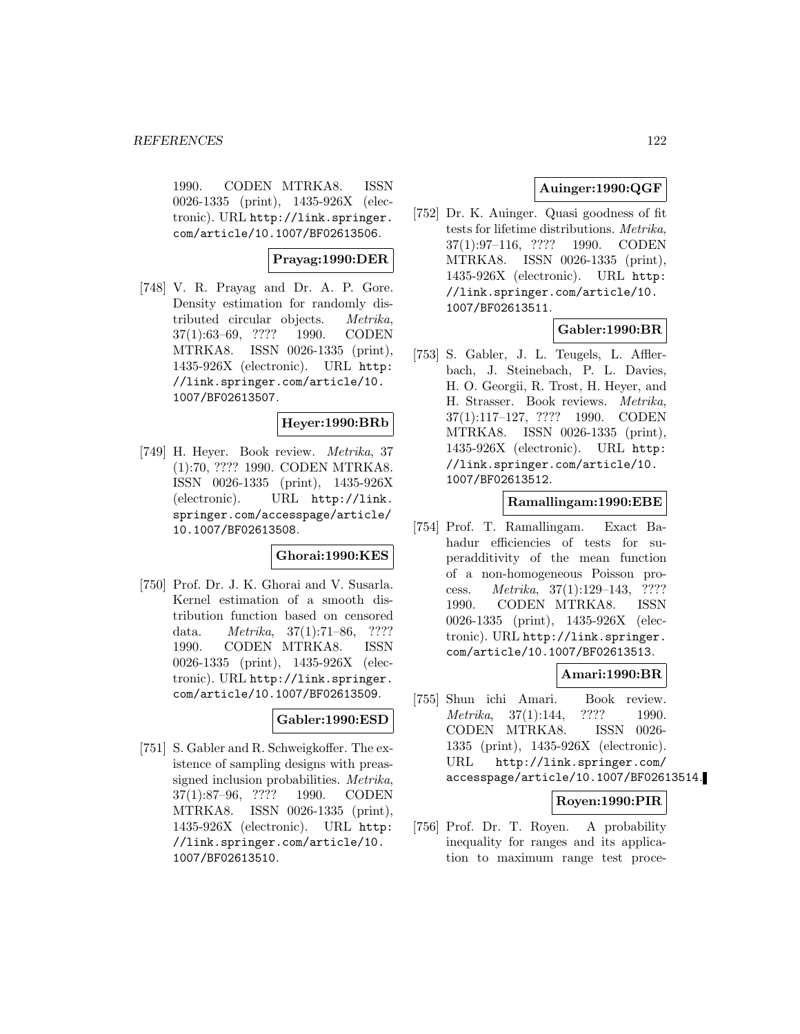1990. CODEN MTRKA8. ISSN 0026-1335 (print), 1435-926X (electronic). URL http://link.springer. com/article/10.1007/BF02613506.

# **Prayag:1990:DER**

[748] V. R. Prayag and Dr. A. P. Gore. Density estimation for randomly distributed circular objects. Metrika, 37(1):63–69, ???? 1990. CODEN MTRKA8. ISSN 0026-1335 (print), 1435-926X (electronic). URL http: //link.springer.com/article/10. 1007/BF02613507.

## **Heyer:1990:BRb**

[749] H. Heyer. Book review. Metrika, 37 (1):70, ???? 1990. CODEN MTRKA8. ISSN 0026-1335 (print), 1435-926X (electronic). URL http://link. springer.com/accesspage/article/ 10.1007/BF02613508.

#### **Ghorai:1990:KES**

[750] Prof. Dr. J. K. Ghorai and V. Susarla. Kernel estimation of a smooth distribution function based on censored data. Metrika, 37(1):71–86, ???? 1990. CODEN MTRKA8. ISSN 0026-1335 (print), 1435-926X (electronic). URL http://link.springer. com/article/10.1007/BF02613509.

#### **Gabler:1990:ESD**

[751] S. Gabler and R. Schweigkoffer. The existence of sampling designs with preassigned inclusion probabilities. Metrika, 37(1):87–96, ???? 1990. CODEN MTRKA8. ISSN 0026-1335 (print), 1435-926X (electronic). URL http: //link.springer.com/article/10. 1007/BF02613510.

# **Auinger:1990:QGF**

[752] Dr. K. Auinger. Quasi goodness of fit tests for lifetime distributions. Metrika, 37(1):97–116, ???? 1990. CODEN MTRKA8. ISSN 0026-1335 (print), 1435-926X (electronic). URL http: //link.springer.com/article/10. 1007/BF02613511.

# **Gabler:1990:BR**

[753] S. Gabler, J. L. Teugels, L. Afflerbach, J. Steinebach, P. L. Davies, H. O. Georgii, R. Trost, H. Heyer, and H. Strasser. Book reviews. Metrika, 37(1):117–127, ???? 1990. CODEN MTRKA8. ISSN 0026-1335 (print), 1435-926X (electronic). URL http: //link.springer.com/article/10. 1007/BF02613512.

#### **Ramallingam:1990:EBE**

[754] Prof. T. Ramallingam. Exact Bahadur efficiencies of tests for superadditivity of the mean function of a non-homogeneous Poisson process. Metrika, 37(1):129–143, ???? 1990. CODEN MTRKA8. ISSN 0026-1335 (print), 1435-926X (electronic). URL http://link.springer. com/article/10.1007/BF02613513.

## **Amari:1990:BR**

[755] Shun ichi Amari. Book review. Metrika, 37(1):144, ???? 1990. CODEN MTRKA8. ISSN 0026- 1335 (print), 1435-926X (electronic). URL http://link.springer.com/ accesspage/article/10.1007/BF02613514.

# **Royen:1990:PIR**

[756] Prof. Dr. T. Royen. A probability inequality for ranges and its application to maximum range test proce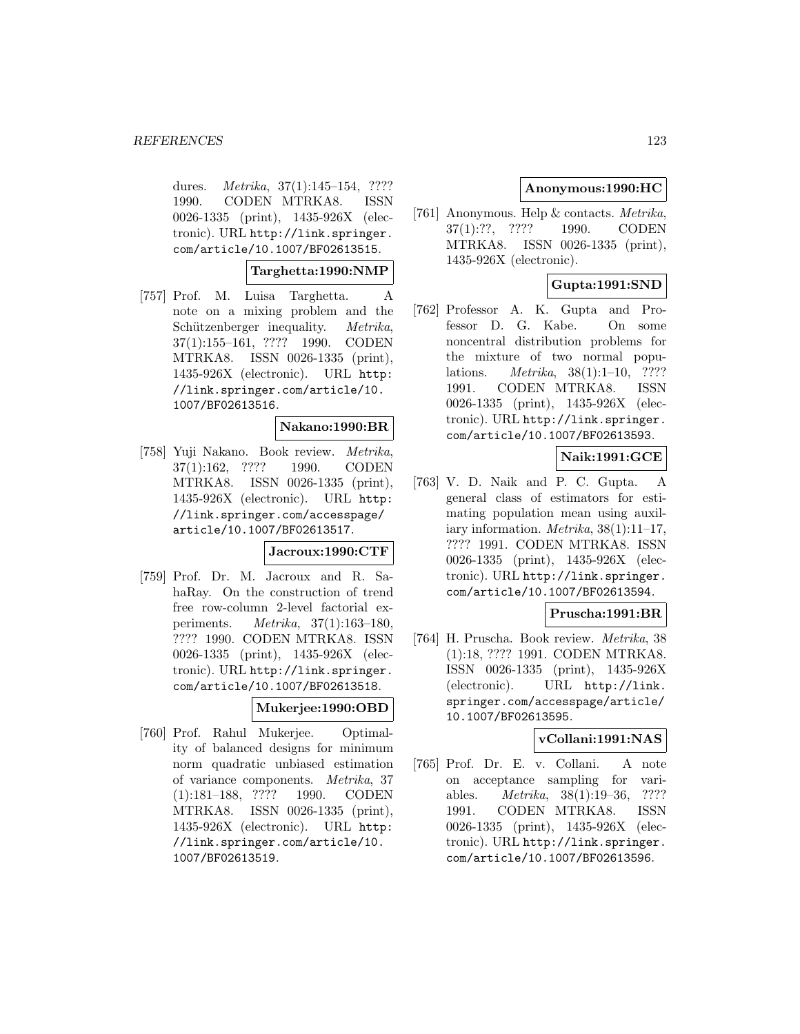dures. *Metrika*, 37(1):145–154, ???? 1990. CODEN MTRKA8. ISSN 0026-1335 (print), 1435-926X (electronic). URL http://link.springer. com/article/10.1007/BF02613515.

## **Targhetta:1990:NMP**

[757] Prof. M. Luisa Targhetta. A note on a mixing problem and the Schützenberger inequality. *Metrika*, 37(1):155–161, ???? 1990. CODEN MTRKA8. ISSN 0026-1335 (print), 1435-926X (electronic). URL http: //link.springer.com/article/10. 1007/BF02613516.

#### **Nakano:1990:BR**

[758] Yuji Nakano. Book review. Metrika, 37(1):162, ???? 1990. CODEN MTRKA8. ISSN 0026-1335 (print), 1435-926X (electronic). URL http: //link.springer.com/accesspage/ article/10.1007/BF02613517.

#### **Jacroux:1990:CTF**

[759] Prof. Dr. M. Jacroux and R. SahaRay. On the construction of trend free row-column 2-level factorial experiments. Metrika, 37(1):163–180, ???? 1990. CODEN MTRKA8. ISSN 0026-1335 (print), 1435-926X (electronic). URL http://link.springer. com/article/10.1007/BF02613518.

#### **Mukerjee:1990:OBD**

[760] Prof. Rahul Mukerjee. Optimality of balanced designs for minimum norm quadratic unbiased estimation of variance components. Metrika, 37 (1):181–188, ???? 1990. CODEN MTRKA8. ISSN 0026-1335 (print), 1435-926X (electronic). URL http: //link.springer.com/article/10. 1007/BF02613519.

## **Anonymous:1990:HC**

[761] Anonymous. Help & contacts. Metrika, 37(1):??, ???? 1990. CODEN MTRKA8. ISSN 0026-1335 (print), 1435-926X (electronic).

# **Gupta:1991:SND**

[762] Professor A. K. Gupta and Professor D. G. Kabe. On some noncentral distribution problems for the mixture of two normal populations. Metrika, 38(1):1–10, ???? 1991. CODEN MTRKA8. ISSN 0026-1335 (print), 1435-926X (electronic). URL http://link.springer. com/article/10.1007/BF02613593.

# **Naik:1991:GCE**

[763] V. D. Naik and P. C. Gupta. A general class of estimators for estimating population mean using auxiliary information.  $Metrika$ ,  $38(1):11-17$ , ???? 1991. CODEN MTRKA8. ISSN 0026-1335 (print), 1435-926X (electronic). URL http://link.springer. com/article/10.1007/BF02613594.

#### **Pruscha:1991:BR**

[764] H. Pruscha. Book review. Metrika, 38 (1):18, ???? 1991. CODEN MTRKA8. ISSN 0026-1335 (print), 1435-926X (electronic). URL http://link. springer.com/accesspage/article/ 10.1007/BF02613595.

# **vCollani:1991:NAS**

[765] Prof. Dr. E. v. Collani. A note on acceptance sampling for variables. Metrika, 38(1):19–36, ???? 1991. CODEN MTRKA8. ISSN 0026-1335 (print), 1435-926X (electronic). URL http://link.springer. com/article/10.1007/BF02613596.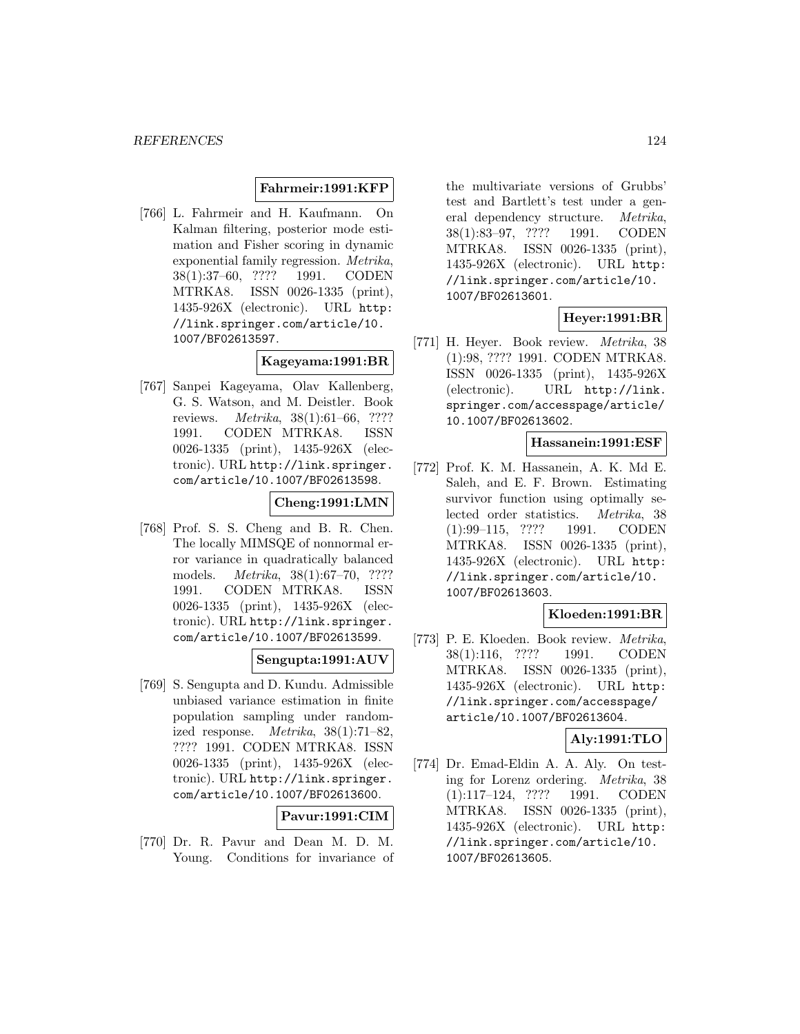#### **Fahrmeir:1991:KFP**

[766] L. Fahrmeir and H. Kaufmann. On Kalman filtering, posterior mode estimation and Fisher scoring in dynamic exponential family regression. Metrika, 38(1):37–60, ???? 1991. CODEN MTRKA8. ISSN 0026-1335 (print), 1435-926X (electronic). URL http: //link.springer.com/article/10. 1007/BF02613597.

# **Kageyama:1991:BR**

[767] Sanpei Kageyama, Olav Kallenberg, G. S. Watson, and M. Deistler. Book reviews. Metrika, 38(1):61–66, ???? 1991. CODEN MTRKA8. ISSN 0026-1335 (print), 1435-926X (electronic). URL http://link.springer. com/article/10.1007/BF02613598.

#### **Cheng:1991:LMN**

[768] Prof. S. S. Cheng and B. R. Chen. The locally MIMSQE of nonnormal error variance in quadratically balanced models. Metrika, 38(1):67–70, ???? 1991. CODEN MTRKA8. ISSN 0026-1335 (print), 1435-926X (electronic). URL http://link.springer. com/article/10.1007/BF02613599.

# **Sengupta:1991:AUV**

[769] S. Sengupta and D. Kundu. Admissible unbiased variance estimation in finite population sampling under randomized response.  $Metrika$ ,  $38(1):71-82$ , ???? 1991. CODEN MTRKA8. ISSN 0026-1335 (print), 1435-926X (electronic). URL http://link.springer. com/article/10.1007/BF02613600.

**Pavur:1991:CIM**

[770] Dr. R. Pavur and Dean M. D. M. Young. Conditions for invariance of

the multivariate versions of Grubbs' test and Bartlett's test under a general dependency structure. Metrika, 38(1):83–97, ???? 1991. CODEN MTRKA8. ISSN 0026-1335 (print), 1435-926X (electronic). URL http: //link.springer.com/article/10. 1007/BF02613601.

# **Heyer:1991:BR**

[771] H. Heyer. Book review. Metrika, 38 (1):98, ???? 1991. CODEN MTRKA8. ISSN 0026-1335 (print), 1435-926X (electronic). URL http://link. springer.com/accesspage/article/ 10.1007/BF02613602.

#### **Hassanein:1991:ESF**

[772] Prof. K. M. Hassanein, A. K. Md E. Saleh, and E. F. Brown. Estimating survivor function using optimally selected order statistics. Metrika, 38 (1):99–115, ???? 1991. CODEN MTRKA8. ISSN 0026-1335 (print), 1435-926X (electronic). URL http: //link.springer.com/article/10. 1007/BF02613603.

## **Kloeden:1991:BR**

[773] P. E. Kloeden. Book review. Metrika, 38(1):116, ???? 1991. CODEN MTRKA8. ISSN 0026-1335 (print), 1435-926X (electronic). URL http: //link.springer.com/accesspage/ article/10.1007/BF02613604.

#### **Aly:1991:TLO**

[774] Dr. Emad-Eldin A. A. Aly. On testing for Lorenz ordering. Metrika, 38 (1):117–124, ???? 1991. CODEN MTRKA8. ISSN 0026-1335 (print), 1435-926X (electronic). URL http: //link.springer.com/article/10. 1007/BF02613605.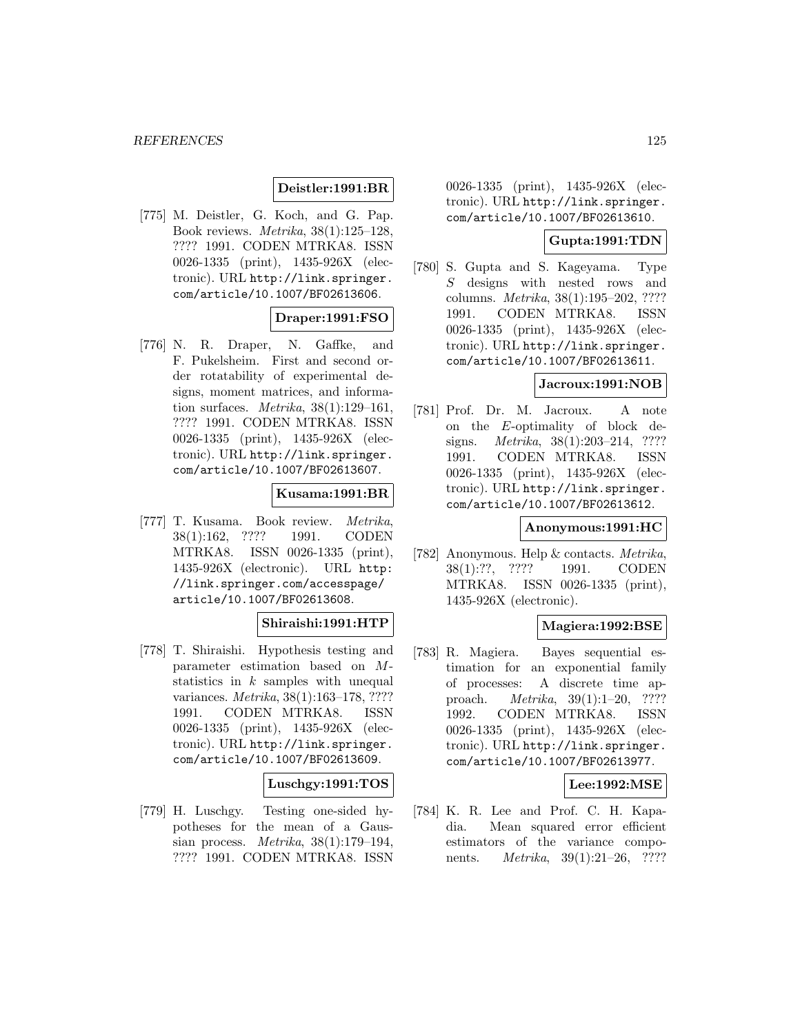## **Deistler:1991:BR**

[775] M. Deistler, G. Koch, and G. Pap. Book reviews. Metrika, 38(1):125–128, ???? 1991. CODEN MTRKA8. ISSN 0026-1335 (print), 1435-926X (electronic). URL http://link.springer. com/article/10.1007/BF02613606.

# **Draper:1991:FSO**

[776] N. R. Draper, N. Gaffke, and F. Pukelsheim. First and second order rotatability of experimental designs, moment matrices, and information surfaces. Metrika, 38(1):129–161, ???? 1991. CODEN MTRKA8. ISSN 0026-1335 (print), 1435-926X (electronic). URL http://link.springer. com/article/10.1007/BF02613607.

# **Kusama:1991:BR**

[777] T. Kusama. Book review. Metrika, 38(1):162, ???? 1991. CODEN MTRKA8. ISSN 0026-1335 (print), 1435-926X (electronic). URL http: //link.springer.com/accesspage/ article/10.1007/BF02613608.

# **Shiraishi:1991:HTP**

[778] T. Shiraishi. Hypothesis testing and parameter estimation based on Mstatistics in  $k$  samples with unequal variances. Metrika, 38(1):163–178, ???? 1991. CODEN MTRKA8. ISSN 0026-1335 (print), 1435-926X (electronic). URL http://link.springer. com/article/10.1007/BF02613609.

#### **Luschgy:1991:TOS**

[779] H. Luschgy. Testing one-sided hypotheses for the mean of a Gaussian process. Metrika, 38(1):179–194, ???? 1991. CODEN MTRKA8. ISSN 0026-1335 (print), 1435-926X (electronic). URL http://link.springer. com/article/10.1007/BF02613610.

#### **Gupta:1991:TDN**

[780] S. Gupta and S. Kageyama. Type S designs with nested rows and columns. Metrika, 38(1):195–202, ???? 1991. CODEN MTRKA8. ISSN 0026-1335 (print), 1435-926X (electronic). URL http://link.springer. com/article/10.1007/BF02613611.

## **Jacroux:1991:NOB**

[781] Prof. Dr. M. Jacroux. A note on the E-optimality of block designs. *Metrika*, 38(1):203-214, ???? 1991. CODEN MTRKA8. ISSN 0026-1335 (print), 1435-926X (electronic). URL http://link.springer. com/article/10.1007/BF02613612.

#### **Anonymous:1991:HC**

[782] Anonymous. Help & contacts. Metrika, 38(1):??, ???? 1991. CODEN MTRKA8. ISSN 0026-1335 (print), 1435-926X (electronic).

#### **Magiera:1992:BSE**

[783] R. Magiera. Bayes sequential estimation for an exponential family of processes: A discrete time approach. Metrika, 39(1):1–20, ???? 1992. CODEN MTRKA8. ISSN 0026-1335 (print), 1435-926X (electronic). URL http://link.springer. com/article/10.1007/BF02613977.

#### **Lee:1992:MSE**

[784] K. R. Lee and Prof. C. H. Kapadia. Mean squared error efficient estimators of the variance components. *Metrika*, 39(1):21–26, ????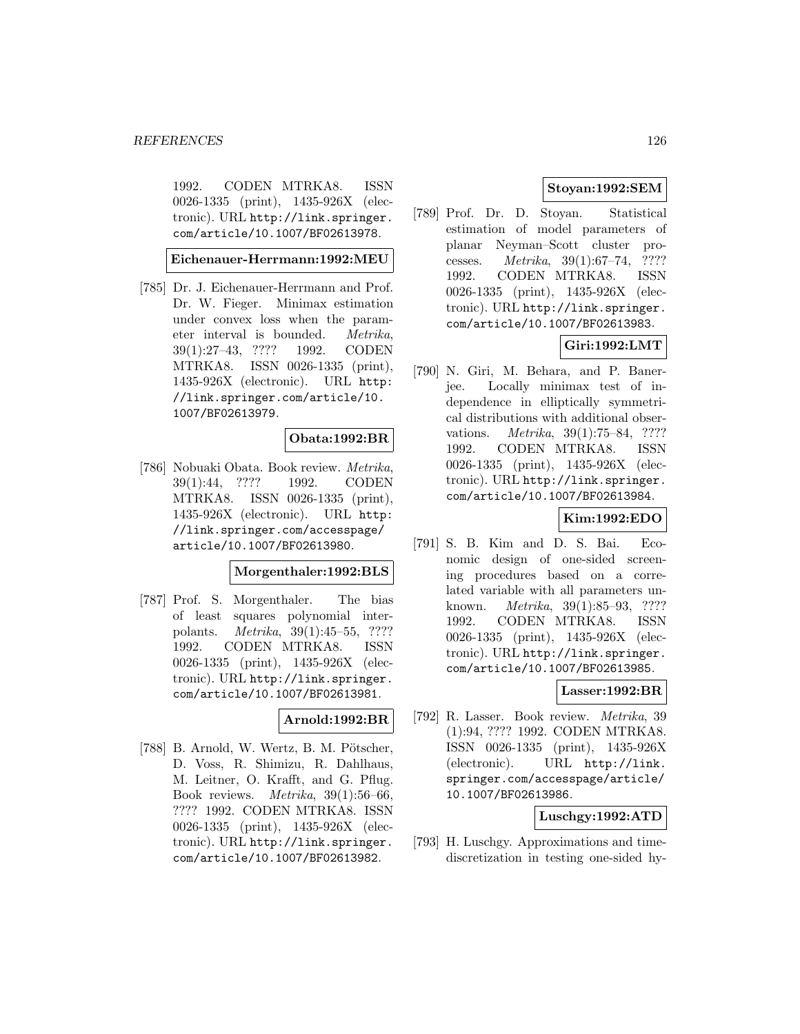1992. CODEN MTRKA8. ISSN 0026-1335 (print), 1435-926X (electronic). URL http://link.springer. com/article/10.1007/BF02613978.

## **Eichenauer-Herrmann:1992:MEU**

[785] Dr. J. Eichenauer-Herrmann and Prof. Dr. W. Fieger. Minimax estimation under convex loss when the parameter interval is bounded. Metrika, 39(1):27–43, ???? 1992. CODEN MTRKA8. ISSN 0026-1335 (print), 1435-926X (electronic). URL http: //link.springer.com/article/10. 1007/BF02613979.

## **Obata:1992:BR**

[786] Nobuaki Obata. Book review. Metrika, 39(1):44, ???? 1992. CODEN MTRKA8. ISSN 0026-1335 (print), 1435-926X (electronic). URL http: //link.springer.com/accesspage/ article/10.1007/BF02613980.

## **Morgenthaler:1992:BLS**

[787] Prof. S. Morgenthaler. The bias of least squares polynomial interpolants. Metrika, 39(1):45–55, ???? 1992. CODEN MTRKA8. ISSN 0026-1335 (print), 1435-926X (electronic). URL http://link.springer. com/article/10.1007/BF02613981.

## **Arnold:1992:BR**

[788] B. Arnold, W. Wertz, B. M. Pötscher, D. Voss, R. Shimizu, R. Dahlhaus, M. Leitner, O. Krafft, and G. Pflug. Book reviews. Metrika, 39(1):56–66, ???? 1992. CODEN MTRKA8. ISSN 0026-1335 (print), 1435-926X (electronic). URL http://link.springer. com/article/10.1007/BF02613982.

# **Stoyan:1992:SEM**

[789] Prof. Dr. D. Stoyan. Statistical estimation of model parameters of planar Neyman–Scott cluster processes. Metrika, 39(1):67–74, ???? 1992. CODEN MTRKA8. ISSN 0026-1335 (print), 1435-926X (electronic). URL http://link.springer. com/article/10.1007/BF02613983.

# **Giri:1992:LMT**

[790] N. Giri, M. Behara, and P. Banerjee. Locally minimax test of independence in elliptically symmetrical distributions with additional observations. Metrika, 39(1):75–84, ???? 1992. CODEN MTRKA8. ISSN 0026-1335 (print), 1435-926X (electronic). URL http://link.springer. com/article/10.1007/BF02613984.

# **Kim:1992:EDO**

[791] S. B. Kim and D. S. Bai. Economic design of one-sided screening procedures based on a correlated variable with all parameters unknown. Metrika, 39(1):85–93, ???? 1992. CODEN MTRKA8. ISSN 0026-1335 (print), 1435-926X (electronic). URL http://link.springer. com/article/10.1007/BF02613985.

## **Lasser:1992:BR**

[792] R. Lasser. Book review. Metrika, 39 (1):94, ???? 1992. CODEN MTRKA8. ISSN 0026-1335 (print), 1435-926X (electronic). URL http://link. springer.com/accesspage/article/ 10.1007/BF02613986.

## **Luschgy:1992:ATD**

[793] H. Luschgy. Approximations and timediscretization in testing one-sided hy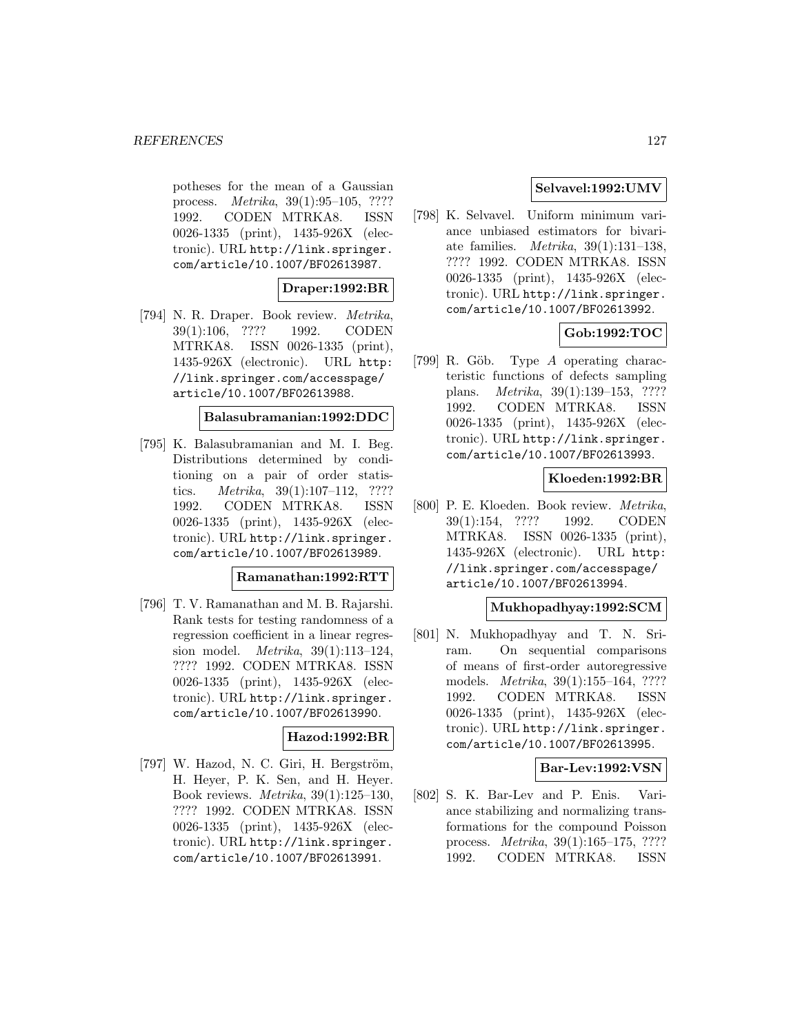potheses for the mean of a Gaussian process. Metrika, 39(1):95–105, ???? 1992. CODEN MTRKA8. ISSN 0026-1335 (print), 1435-926X (electronic). URL http://link.springer. com/article/10.1007/BF02613987.

## **Draper:1992:BR**

[794] N. R. Draper. Book review. Metrika, 39(1):106, ???? 1992. CODEN MTRKA8. ISSN 0026-1335 (print), 1435-926X (electronic). URL http: //link.springer.com/accesspage/ article/10.1007/BF02613988.

#### **Balasubramanian:1992:DDC**

[795] K. Balasubramanian and M. I. Beg. Distributions determined by conditioning on a pair of order statistics. Metrika, 39(1):107–112, ???? 1992. CODEN MTRKA8. ISSN 0026-1335 (print), 1435-926X (electronic). URL http://link.springer. com/article/10.1007/BF02613989.

#### **Ramanathan:1992:RTT**

[796] T. V. Ramanathan and M. B. Rajarshi. Rank tests for testing randomness of a regression coefficient in a linear regression model. Metrika, 39(1):113–124, ???? 1992. CODEN MTRKA8. ISSN 0026-1335 (print), 1435-926X (electronic). URL http://link.springer. com/article/10.1007/BF02613990.

#### **Hazod:1992:BR**

 $[797]$  W. Hazod, N. C. Giri, H. Bergström, H. Heyer, P. K. Sen, and H. Heyer. Book reviews. Metrika, 39(1):125–130, ???? 1992. CODEN MTRKA8. ISSN 0026-1335 (print), 1435-926X (electronic). URL http://link.springer. com/article/10.1007/BF02613991.

# **Selvavel:1992:UMV**

[798] K. Selvavel. Uniform minimum variance unbiased estimators for bivariate families. Metrika, 39(1):131–138, ???? 1992. CODEN MTRKA8. ISSN 0026-1335 (print), 1435-926X (electronic). URL http://link.springer. com/article/10.1007/BF02613992.

# **Gob:1992:TOC**

[799] R. Göb. Type  $A$  operating characteristic functions of defects sampling plans. Metrika, 39(1):139–153, ???? 1992. CODEN MTRKA8. ISSN 0026-1335 (print), 1435-926X (electronic). URL http://link.springer. com/article/10.1007/BF02613993.

# **Kloeden:1992:BR**

[800] P. E. Kloeden. Book review. Metrika, 39(1):154, ???? 1992. CODEN MTRKA8. ISSN 0026-1335 (print), 1435-926X (electronic). URL http: //link.springer.com/accesspage/ article/10.1007/BF02613994.

## **Mukhopadhyay:1992:SCM**

[801] N. Mukhopadhyay and T. N. Sriram. On sequential comparisons of means of first-order autoregressive models. Metrika, 39(1):155–164, ???? 1992. CODEN MTRKA8. ISSN 0026-1335 (print), 1435-926X (electronic). URL http://link.springer. com/article/10.1007/BF02613995.

## **Bar-Lev:1992:VSN**

[802] S. K. Bar-Lev and P. Enis. Variance stabilizing and normalizing transformations for the compound Poisson process. Metrika, 39(1):165–175, ???? 1992. CODEN MTRKA8. ISSN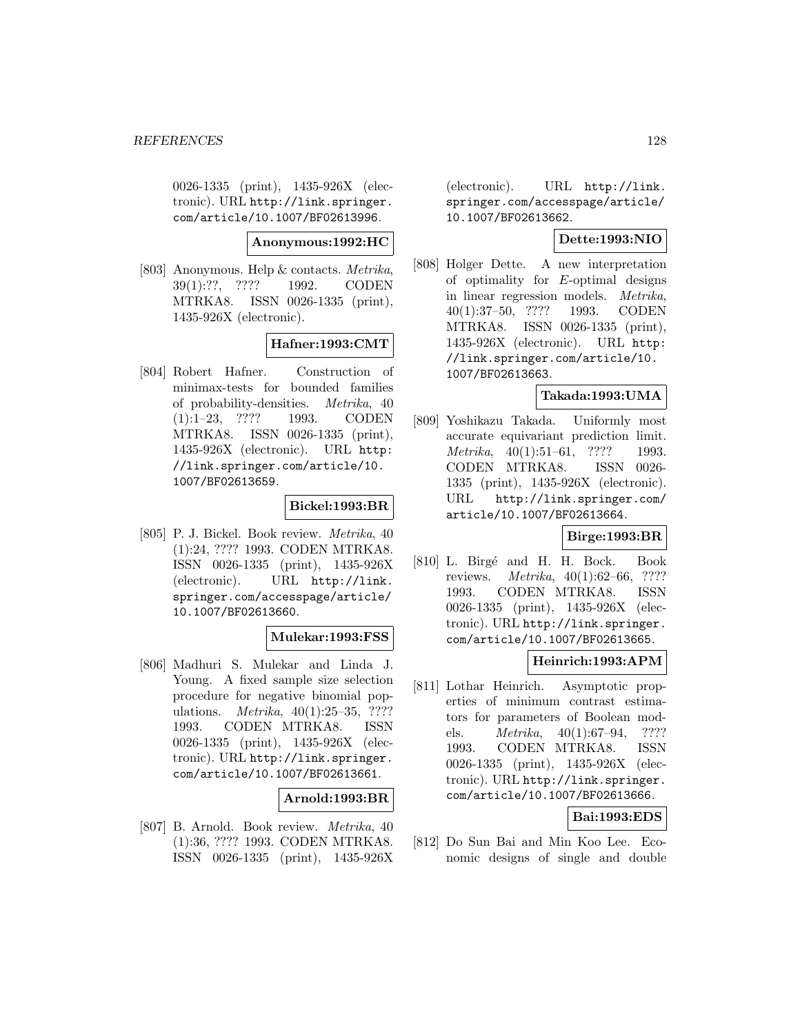0026-1335 (print), 1435-926X (electronic). URL http://link.springer. com/article/10.1007/BF02613996.

#### **Anonymous:1992:HC**

[803] Anonymous. Help & contacts. Metrika, 39(1):??, ???? 1992. CODEN MTRKA8. ISSN 0026-1335 (print), 1435-926X (electronic).

## **Hafner:1993:CMT**

[804] Robert Hafner. Construction of minimax-tests for bounded families of probability-densities. Metrika, 40 (1):1–23, ???? 1993. CODEN MTRKA8. ISSN 0026-1335 (print), 1435-926X (electronic). URL http: //link.springer.com/article/10. 1007/BF02613659.

# **Bickel:1993:BR**

[805] P. J. Bickel. Book review. Metrika, 40 (1):24, ???? 1993. CODEN MTRKA8. ISSN 0026-1335 (print), 1435-926X (electronic). URL http://link. springer.com/accesspage/article/ 10.1007/BF02613660.

#### **Mulekar:1993:FSS**

[806] Madhuri S. Mulekar and Linda J. Young. A fixed sample size selection procedure for negative binomial populations. *Metrika*, 40(1):25–35, ???? 1993. CODEN MTRKA8. ISSN 0026-1335 (print), 1435-926X (electronic). URL http://link.springer. com/article/10.1007/BF02613661.

## **Arnold:1993:BR**

[807] B. Arnold. Book review. Metrika, 40 (1):36, ???? 1993. CODEN MTRKA8. ISSN 0026-1335 (print), 1435-926X (electronic). URL http://link. springer.com/accesspage/article/ 10.1007/BF02613662.

# **Dette:1993:NIO**

[808] Holger Dette. A new interpretation of optimality for E-optimal designs in linear regression models. Metrika, 40(1):37–50, ???? 1993. CODEN MTRKA8. ISSN 0026-1335 (print), 1435-926X (electronic). URL http: //link.springer.com/article/10. 1007/BF02613663.

#### **Takada:1993:UMA**

[809] Yoshikazu Takada. Uniformly most accurate equivariant prediction limit. Metrika,  $40(1):51-61$ , ???? 1993. CODEN MTRKA8. ISSN 0026- 1335 (print), 1435-926X (electronic). URL http://link.springer.com/ article/10.1007/BF02613664.

## **Birge:1993:BR**

[810] L. Birgé and H. H. Bock. Book reviews. Metrika, 40(1):62–66, ???? 1993. CODEN MTRKA8. ISSN 0026-1335 (print), 1435-926X (electronic). URL http://link.springer. com/article/10.1007/BF02613665.

## **Heinrich:1993:APM**

[811] Lothar Heinrich. Asymptotic properties of minimum contrast estimators for parameters of Boolean models. Metrika, 40(1):67–94, ???? 1993. CODEN MTRKA8. ISSN 0026-1335 (print), 1435-926X (electronic). URL http://link.springer. com/article/10.1007/BF02613666.

# **Bai:1993:EDS**

[812] Do Sun Bai and Min Koo Lee. Economic designs of single and double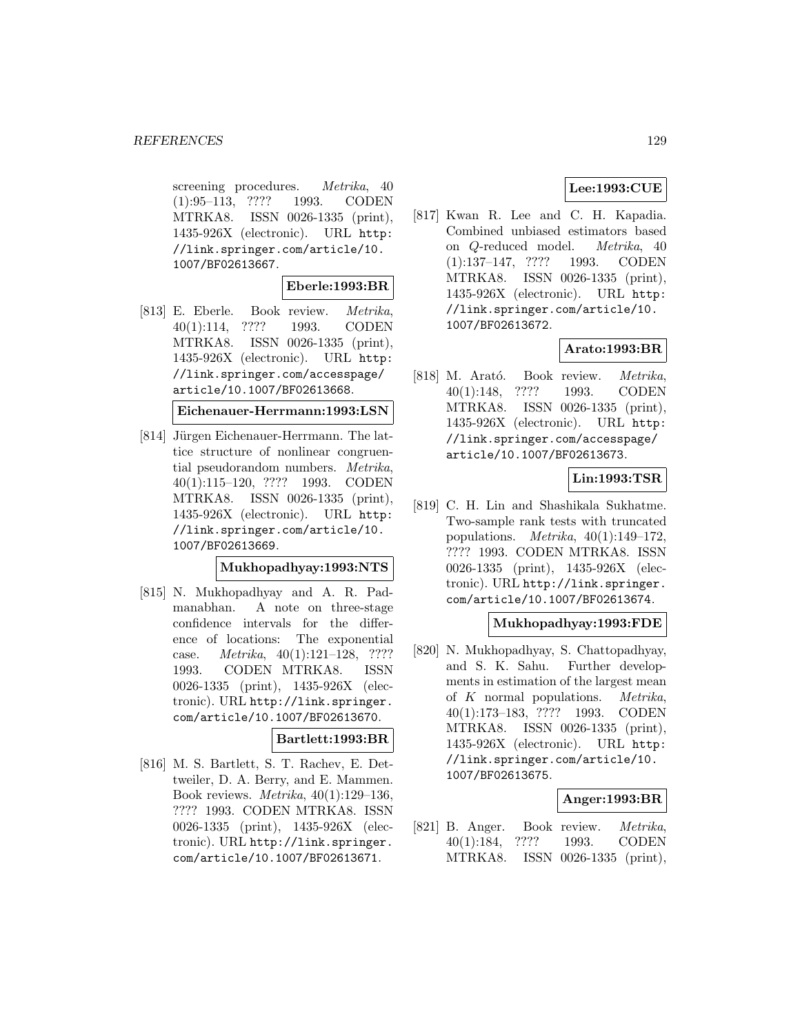screening procedures. Metrika, 40 (1):95–113, ???? 1993. CODEN MTRKA8. ISSN 0026-1335 (print), 1435-926X (electronic). URL http: //link.springer.com/article/10. 1007/BF02613667.

#### **Eberle:1993:BR**

[813] E. Eberle. Book review. Metrika, 40(1):114, ???? 1993. CODEN MTRKA8. ISSN 0026-1335 (print), 1435-926X (electronic). URL http: //link.springer.com/accesspage/ article/10.1007/BF02613668.

```
Eichenauer-Herrmann:1993:LSN
```
[814] Jürgen Eichenauer-Herrmann. The lattice structure of nonlinear congruential pseudorandom numbers. Metrika, 40(1):115–120, ???? 1993. CODEN MTRKA8. ISSN 0026-1335 (print), 1435-926X (electronic). URL http: //link.springer.com/article/10. 1007/BF02613669.

#### **Mukhopadhyay:1993:NTS**

[815] N. Mukhopadhyay and A. R. Padmanabhan. A note on three-stage confidence intervals for the difference of locations: The exponential case. *Metrika*,  $40(1):121-128$ , ???? 1993. CODEN MTRKA8. ISSN 0026-1335 (print), 1435-926X (electronic). URL http://link.springer. com/article/10.1007/BF02613670.

#### **Bartlett:1993:BR**

[816] M. S. Bartlett, S. T. Rachev, E. Dettweiler, D. A. Berry, and E. Mammen. Book reviews. Metrika, 40(1):129–136, ???? 1993. CODEN MTRKA8. ISSN 0026-1335 (print), 1435-926X (electronic). URL http://link.springer. com/article/10.1007/BF02613671.

# **Lee:1993:CUE**

[817] Kwan R. Lee and C. H. Kapadia. Combined unbiased estimators based on Q-reduced model. Metrika, 40 (1):137–147, ???? 1993. CODEN MTRKA8. ISSN 0026-1335 (print), 1435-926X (electronic). URL http: //link.springer.com/article/10. 1007/BF02613672.

# **Arato:1993:BR**

[818] M. Arató. Book review. Metrika, 40(1):148, ???? 1993. CODEN MTRKA8. ISSN 0026-1335 (print), 1435-926X (electronic). URL http: //link.springer.com/accesspage/ article/10.1007/BF02613673.

# **Lin:1993:TSR**

[819] C. H. Lin and Shashikala Sukhatme. Two-sample rank tests with truncated populations. *Metrika*,  $40(1):149-172$ , ???? 1993. CODEN MTRKA8. ISSN 0026-1335 (print), 1435-926X (electronic). URL http://link.springer. com/article/10.1007/BF02613674.

#### **Mukhopadhyay:1993:FDE**

[820] N. Mukhopadhyay, S. Chattopadhyay, and S. K. Sahu. Further developments in estimation of the largest mean of  $K$  normal populations. *Metrika*, 40(1):173–183, ???? 1993. CODEN MTRKA8. ISSN 0026-1335 (print), 1435-926X (electronic). URL http: //link.springer.com/article/10. 1007/BF02613675.

# **Anger:1993:BR**

[821] B. Anger. Book review. Metrika, 40(1):184, ???? 1993. CODEN MTRKA8. ISSN 0026-1335 (print),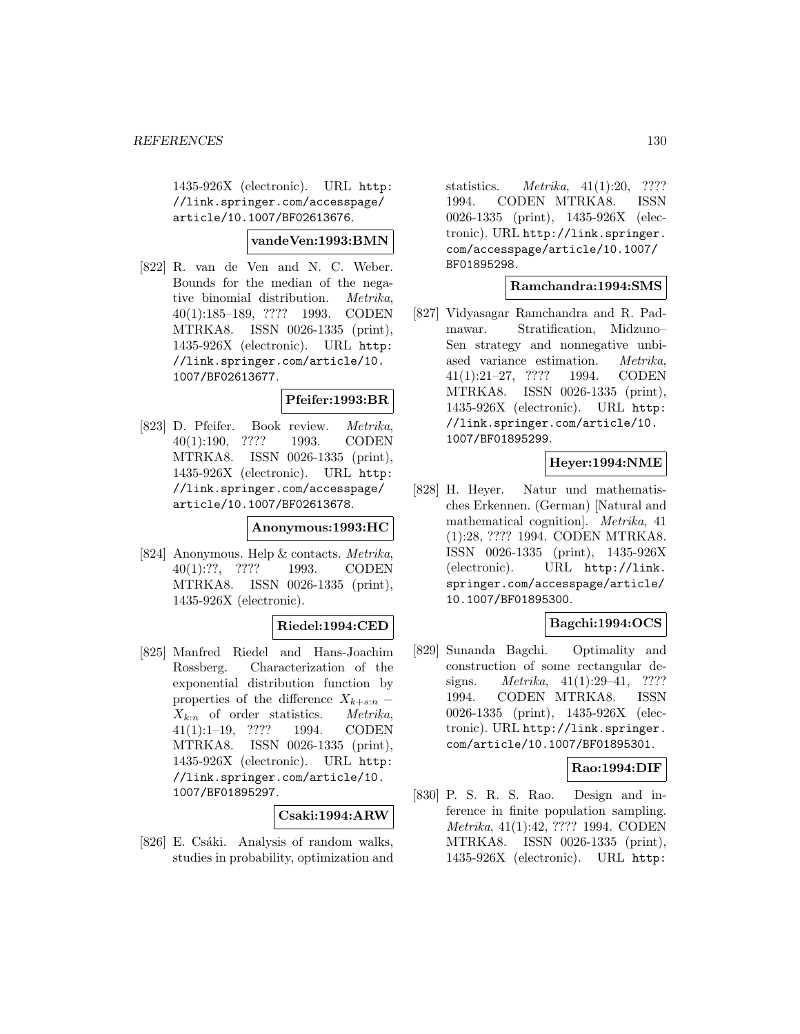1435-926X (electronic). URL http: //link.springer.com/accesspage/ article/10.1007/BF02613676.

#### **vandeVen:1993:BMN**

[822] R. van de Ven and N. C. Weber. Bounds for the median of the negative binomial distribution. Metrika, 40(1):185–189, ???? 1993. CODEN MTRKA8. ISSN 0026-1335 (print), 1435-926X (electronic). URL http: //link.springer.com/article/10. 1007/BF02613677.

# **Pfeifer:1993:BR**

[823] D. Pfeifer. Book review. Metrika, 40(1):190, ???? 1993. CODEN MTRKA8. ISSN 0026-1335 (print), 1435-926X (electronic). URL http: //link.springer.com/accesspage/ article/10.1007/BF02613678.

#### **Anonymous:1993:HC**

[824] Anonymous. Help & contacts. Metrika, 40(1):??, ???? 1993. CODEN MTRKA8. ISSN 0026-1335 (print), 1435-926X (electronic).

## **Riedel:1994:CED**

[825] Manfred Riedel and Hans-Joachim Rossberg. Characterization of the exponential distribution function by properties of the difference  $X_{k+s:n}$  –  $X_{k:n}$  of order statistics. Metrika, 41(1):1–19, ???? 1994. CODEN MTRKA8. ISSN 0026-1335 (print), 1435-926X (electronic). URL http: //link.springer.com/article/10. 1007/BF01895297.

#### **Csaki:1994:ARW**

[826] E. Csáki. Analysis of random walks, studies in probability, optimization and

statistics. Metrika, 41(1):20, ???? 1994. CODEN MTRKA8. ISSN 0026-1335 (print), 1435-926X (electronic). URL http://link.springer. com/accesspage/article/10.1007/ BF01895298.

## **Ramchandra:1994:SMS**

[827] Vidyasagar Ramchandra and R. Padmawar. Stratification, Midzuno– Sen strategy and nonnegative unbiased variance estimation. Metrika, 41(1):21–27, ???? 1994. CODEN MTRKA8. ISSN 0026-1335 (print), 1435-926X (electronic). URL http: //link.springer.com/article/10. 1007/BF01895299.

# **Heyer:1994:NME**

[828] H. Heyer. Natur und mathematisches Erkennen. (German) [Natural and mathematical cognition]. Metrika, 41 (1):28, ???? 1994. CODEN MTRKA8. ISSN 0026-1335 (print), 1435-926X (electronic). URL http://link. springer.com/accesspage/article/ 10.1007/BF01895300.

## **Bagchi:1994:OCS**

[829] Sunanda Bagchi. Optimality and construction of some rectangular designs. *Metrika*, 41(1):29–41, ???? 1994. CODEN MTRKA8. ISSN 0026-1335 (print), 1435-926X (electronic). URL http://link.springer. com/article/10.1007/BF01895301.

## **Rao:1994:DIF**

[830] P. S. R. S. Rao. Design and inference in finite population sampling. Metrika, 41(1):42, ???? 1994. CODEN MTRKA8. ISSN 0026-1335 (print), 1435-926X (electronic). URL http: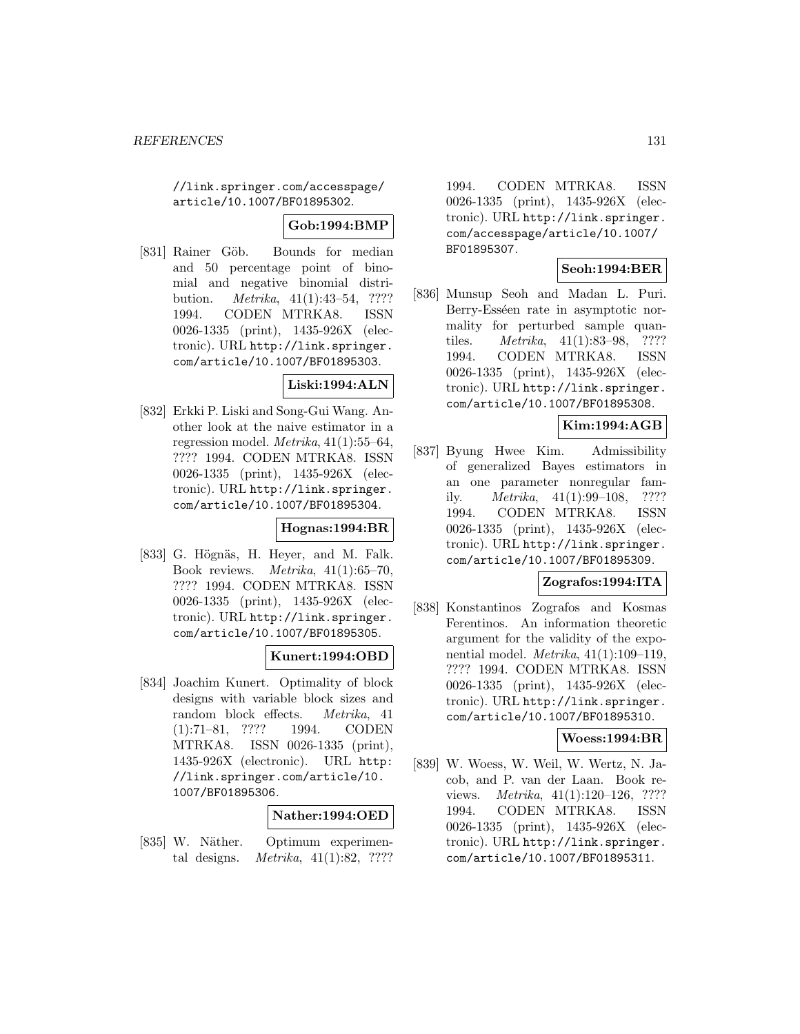//link.springer.com/accesspage/ article/10.1007/BF01895302.

## **Gob:1994:BMP**

[831] Rainer Göb. Bounds for median and 50 percentage point of binomial and negative binomial distribution. Metrika, 41(1):43–54, ???? 1994. CODEN MTRKA8. ISSN 0026-1335 (print), 1435-926X (electronic). URL http://link.springer. com/article/10.1007/BF01895303.

## **Liski:1994:ALN**

[832] Erkki P. Liski and Song-Gui Wang. Another look at the naive estimator in a regression model. Metrika, 41(1):55–64, ???? 1994. CODEN MTRKA8. ISSN 0026-1335 (print), 1435-926X (electronic). URL http://link.springer. com/article/10.1007/BF01895304.

# **Hognas:1994:BR**

[833] G. Högnäs, H. Heyer, and M. Falk. Book reviews. *Metrika*,  $41(1):65-70$ , ???? 1994. CODEN MTRKA8. ISSN 0026-1335 (print), 1435-926X (electronic). URL http://link.springer. com/article/10.1007/BF01895305.

## **Kunert:1994:OBD**

[834] Joachim Kunert. Optimality of block designs with variable block sizes and random block effects. Metrika, 41 (1):71–81, ???? 1994. CODEN MTRKA8. ISSN 0026-1335 (print), 1435-926X (electronic). URL http: //link.springer.com/article/10. 1007/BF01895306.

## **Nather:1994:OED**

[835] W. Näther. Optimum experimental designs. Metrika, 41(1):82, ????

1994. CODEN MTRKA8. ISSN 0026-1335 (print), 1435-926X (electronic). URL http://link.springer. com/accesspage/article/10.1007/ BF01895307.

## **Seoh:1994:BER**

[836] Munsup Seoh and Madan L. Puri. Berry-Esséen rate in asymptotic normality for perturbed sample quantiles. Metrika, 41(1):83–98, ???? 1994. CODEN MTRKA8. ISSN 0026-1335 (print), 1435-926X (electronic). URL http://link.springer. com/article/10.1007/BF01895308.

# **Kim:1994:AGB**

[837] Byung Hwee Kim. Admissibility of generalized Bayes estimators in an one parameter nonregular family. Metrika, 41(1):99–108, ???? 1994. CODEN MTRKA8. ISSN 0026-1335 (print), 1435-926X (electronic). URL http://link.springer. com/article/10.1007/BF01895309.

# **Zografos:1994:ITA**

[838] Konstantinos Zografos and Kosmas Ferentinos. An information theoretic argument for the validity of the exponential model. Metrika, 41(1):109–119, ???? 1994. CODEN MTRKA8. ISSN 0026-1335 (print), 1435-926X (electronic). URL http://link.springer. com/article/10.1007/BF01895310.

## **Woess:1994:BR**

[839] W. Woess, W. Weil, W. Wertz, N. Jacob, and P. van der Laan. Book reviews. Metrika, 41(1):120–126, ???? 1994. CODEN MTRKA8. ISSN 0026-1335 (print), 1435-926X (electronic). URL http://link.springer. com/article/10.1007/BF01895311.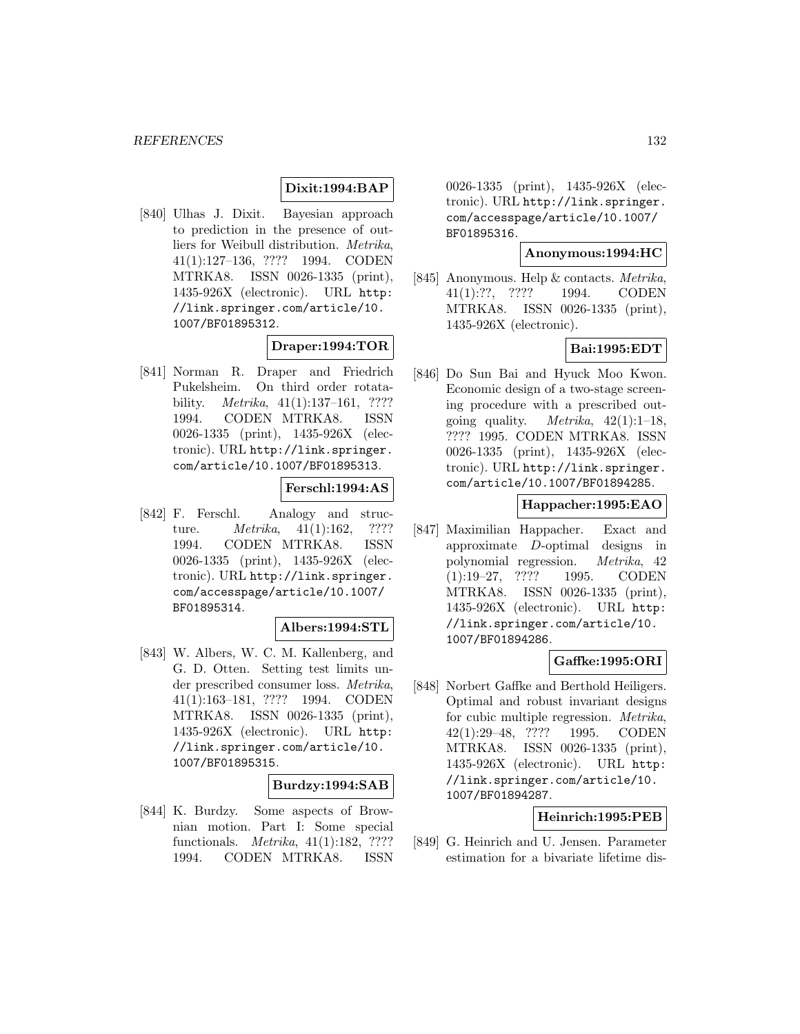#### **Dixit:1994:BAP**

[840] Ulhas J. Dixit. Bayesian approach to prediction in the presence of outliers for Weibull distribution. Metrika, 41(1):127–136, ???? 1994. CODEN MTRKA8. ISSN 0026-1335 (print), 1435-926X (electronic). URL http: //link.springer.com/article/10. 1007/BF01895312.

#### **Draper:1994:TOR**

[841] Norman R. Draper and Friedrich Pukelsheim. On third order rotatability. *Metrika*,  $41(1):137-161$ , ???? 1994. CODEN MTRKA8. ISSN 0026-1335 (print), 1435-926X (electronic). URL http://link.springer. com/article/10.1007/BF01895313.

## **Ferschl:1994:AS**

[842] F. Ferschl. Analogy and structure. *Metrika*, 41(1):162, ???? 1994. CODEN MTRKA8. ISSN 0026-1335 (print), 1435-926X (electronic). URL http://link.springer. com/accesspage/article/10.1007/ BF01895314.

#### **Albers:1994:STL**

[843] W. Albers, W. C. M. Kallenberg, and G. D. Otten. Setting test limits under prescribed consumer loss. Metrika, 41(1):163–181, ???? 1994. CODEN MTRKA8. ISSN 0026-1335 (print), 1435-926X (electronic). URL http: //link.springer.com/article/10. 1007/BF01895315.

#### **Burdzy:1994:SAB**

[844] K. Burdzy. Some aspects of Brownian motion. Part I: Some special functionals. Metrika, 41(1):182, ???? 1994. CODEN MTRKA8. ISSN

0026-1335 (print), 1435-926X (electronic). URL http://link.springer. com/accesspage/article/10.1007/ BF01895316.

#### **Anonymous:1994:HC**

[845] Anonymous. Help & contacts. Metrika, 41(1):??, ???? 1994. CODEN MTRKA8. ISSN 0026-1335 (print), 1435-926X (electronic).

# **Bai:1995:EDT**

[846] Do Sun Bai and Hyuck Moo Kwon. Economic design of a two-stage screening procedure with a prescribed outgoing quality. *Metrika*,  $42(1):1-18$ , ???? 1995. CODEN MTRKA8. ISSN 0026-1335 (print), 1435-926X (electronic). URL http://link.springer. com/article/10.1007/BF01894285.

#### **Happacher:1995:EAO**

[847] Maximilian Happacher. Exact and approximate D-optimal designs in polynomial regression. Metrika, 42 (1):19–27, ???? 1995. CODEN MTRKA8. ISSN 0026-1335 (print), 1435-926X (electronic). URL http: //link.springer.com/article/10. 1007/BF01894286.

## **Gaffke:1995:ORI**

[848] Norbert Gaffke and Berthold Heiligers. Optimal and robust invariant designs for cubic multiple regression. Metrika, 42(1):29–48, ???? 1995. CODEN MTRKA8. ISSN 0026-1335 (print), 1435-926X (electronic). URL http: //link.springer.com/article/10. 1007/BF01894287.

## **Heinrich:1995:PEB**

[849] G. Heinrich and U. Jensen. Parameter estimation for a bivariate lifetime dis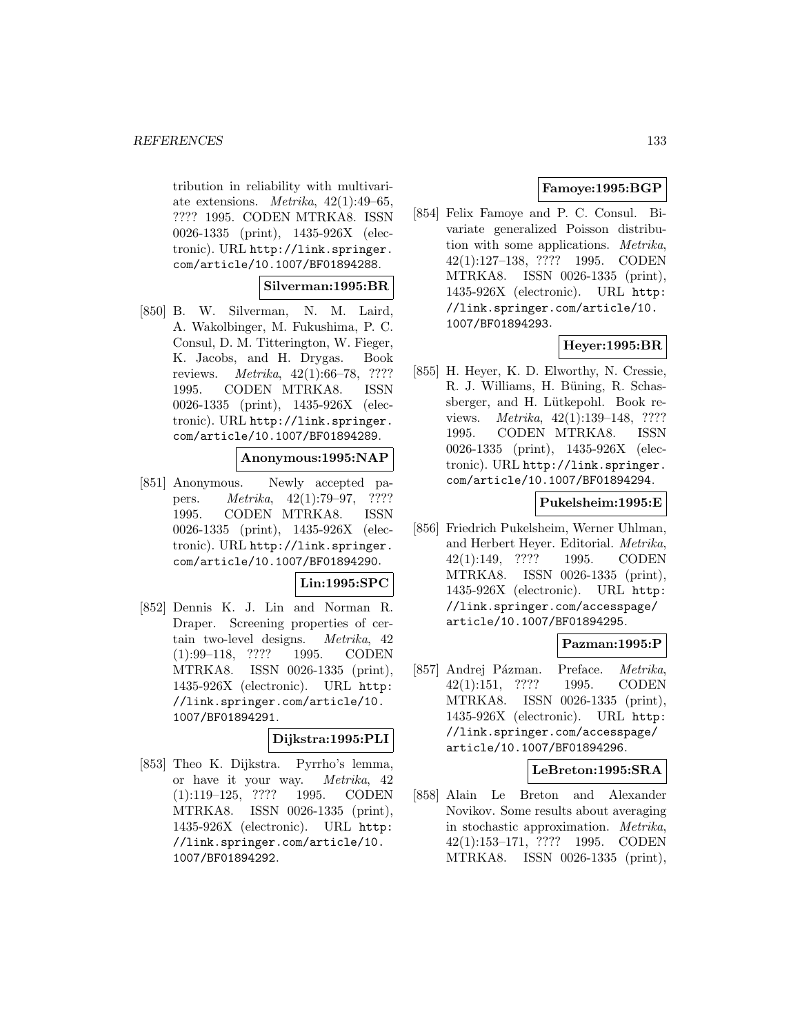tribution in reliability with multivariate extensions. *Metrika*,  $42(1):49-65$ , ???? 1995. CODEN MTRKA8. ISSN 0026-1335 (print), 1435-926X (electronic). URL http://link.springer. com/article/10.1007/BF01894288.

#### **Silverman:1995:BR**

[850] B. W. Silverman, N. M. Laird, A. Wakolbinger, M. Fukushima, P. C. Consul, D. M. Titterington, W. Fieger, K. Jacobs, and H. Drygas. Book reviews. Metrika, 42(1):66–78, ???? 1995. CODEN MTRKA8. ISSN 0026-1335 (print), 1435-926X (electronic). URL http://link.springer. com/article/10.1007/BF01894289.

#### **Anonymous:1995:NAP**

[851] Anonymous. Newly accepted papers. Metrika, 42(1):79–97, ???? 1995. CODEN MTRKA8. ISSN 0026-1335 (print), 1435-926X (electronic). URL http://link.springer. com/article/10.1007/BF01894290.

## **Lin:1995:SPC**

[852] Dennis K. J. Lin and Norman R. Draper. Screening properties of certain two-level designs. Metrika, 42 (1):99–118, ???? 1995. CODEN MTRKA8. ISSN 0026-1335 (print), 1435-926X (electronic). URL http: //link.springer.com/article/10. 1007/BF01894291.

# **Dijkstra:1995:PLI**

[853] Theo K. Dijkstra. Pyrrho's lemma, or have it your way. Metrika, 42 (1):119–125, ???? 1995. CODEN MTRKA8. ISSN 0026-1335 (print), 1435-926X (electronic). URL http: //link.springer.com/article/10. 1007/BF01894292.

# **Famoye:1995:BGP**

[854] Felix Famoye and P. C. Consul. Bivariate generalized Poisson distribution with some applications. Metrika, 42(1):127–138, ???? 1995. CODEN MTRKA8. ISSN 0026-1335 (print), 1435-926X (electronic). URL http: //link.springer.com/article/10. 1007/BF01894293.

# **Heyer:1995:BR**

[855] H. Heyer, K. D. Elworthy, N. Cressie, R. J. Williams, H. Büning, R. Schassberger, and H. Lütkepohl. Book reviews. Metrika, 42(1):139–148, ???? 1995. CODEN MTRKA8. ISSN 0026-1335 (print), 1435-926X (electronic). URL http://link.springer. com/article/10.1007/BF01894294.

## **Pukelsheim:1995:E**

[856] Friedrich Pukelsheim, Werner Uhlman, and Herbert Heyer. Editorial. Metrika, 42(1):149, ???? 1995. CODEN MTRKA8. ISSN 0026-1335 (print), 1435-926X (electronic). URL http: //link.springer.com/accesspage/ article/10.1007/BF01894295.

## **Pazman:1995:P**

[857] Andrej Pázman. Preface. Metrika, 42(1):151, ???? 1995. CODEN MTRKA8. ISSN 0026-1335 (print), 1435-926X (electronic). URL http: //link.springer.com/accesspage/ article/10.1007/BF01894296.

## **LeBreton:1995:SRA**

[858] Alain Le Breton and Alexander Novikov. Some results about averaging in stochastic approximation. Metrika, 42(1):153–171, ???? 1995. CODEN MTRKA8. ISSN 0026-1335 (print),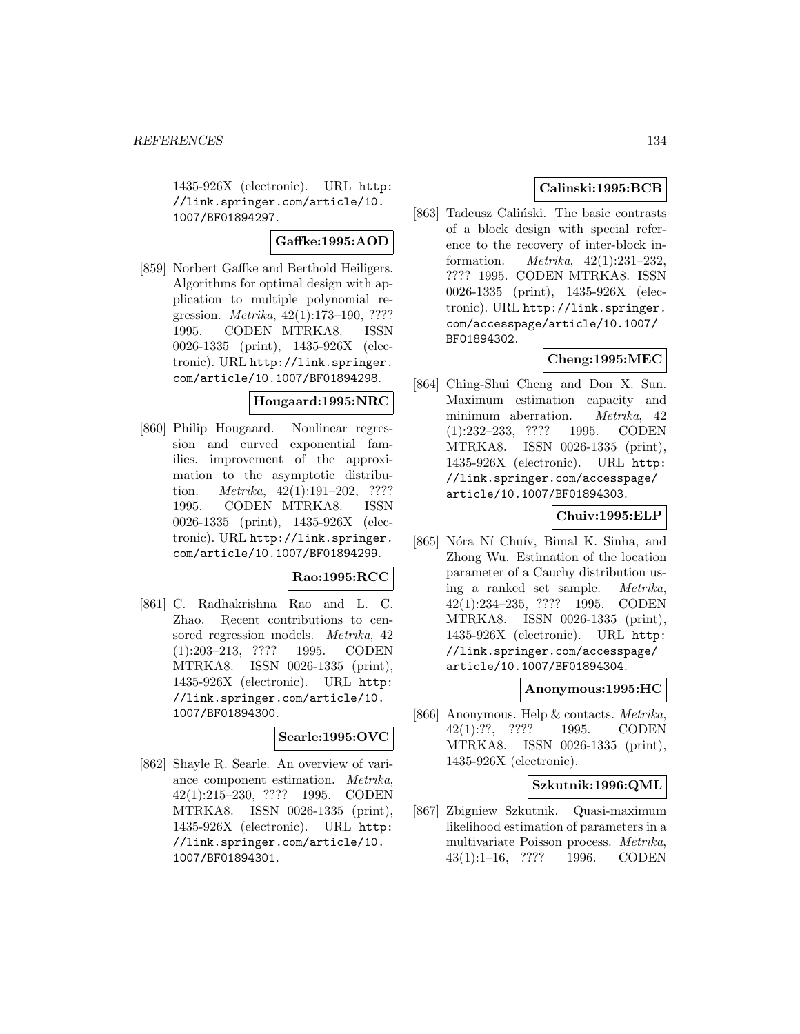1435-926X (electronic). URL http: //link.springer.com/article/10. 1007/BF01894297.

**Gaffke:1995:AOD**

[859] Norbert Gaffke and Berthold Heiligers. Algorithms for optimal design with application to multiple polynomial regression. Metrika, 42(1):173–190, ???? 1995. CODEN MTRKA8. ISSN 0026-1335 (print), 1435-926X (electronic). URL http://link.springer. com/article/10.1007/BF01894298.

#### **Hougaard:1995:NRC**

[860] Philip Hougaard. Nonlinear regression and curved exponential families. improvement of the approximation to the asymptotic distribution. Metrika, 42(1):191–202, ???? 1995. CODEN MTRKA8. ISSN 0026-1335 (print), 1435-926X (electronic). URL http://link.springer. com/article/10.1007/BF01894299.

## **Rao:1995:RCC**

[861] C. Radhakrishna Rao and L. C. Zhao. Recent contributions to censored regression models. Metrika, 42 (1):203–213, ???? 1995. CODEN MTRKA8. ISSN 0026-1335 (print), 1435-926X (electronic). URL http: //link.springer.com/article/10. 1007/BF01894300.

## **Searle:1995:OVC**

[862] Shayle R. Searle. An overview of variance component estimation. Metrika, 42(1):215–230, ???? 1995. CODEN MTRKA8. ISSN 0026-1335 (print), 1435-926X (electronic). URL http: //link.springer.com/article/10. 1007/BF01894301.

# **Calinski:1995:BCB**

[863] Tadeusz Caliński. The basic contrasts of a block design with special reference to the recovery of inter-block information. Metrika, 42(1):231–232, ???? 1995. CODEN MTRKA8. ISSN 0026-1335 (print), 1435-926X (electronic). URL http://link.springer. com/accesspage/article/10.1007/ BF01894302.

# **Cheng:1995:MEC**

[864] Ching-Shui Cheng and Don X. Sun. Maximum estimation capacity and minimum aberration. Metrika, 42 (1):232–233, ???? 1995. CODEN MTRKA8. ISSN 0026-1335 (print), 1435-926X (electronic). URL http: //link.springer.com/accesspage/ article/10.1007/BF01894303.

# **Chuiv:1995:ELP**

[865] Nóra Ní Chuív, Bimal K. Sinha, and Zhong Wu. Estimation of the location parameter of a Cauchy distribution using a ranked set sample. Metrika, 42(1):234–235, ???? 1995. CODEN MTRKA8. ISSN 0026-1335 (print), 1435-926X (electronic). URL http: //link.springer.com/accesspage/ article/10.1007/BF01894304.

## **Anonymous:1995:HC**

[866] Anonymous. Help & contacts. Metrika, 42(1):??, ???? 1995. CODEN MTRKA8. ISSN 0026-1335 (print), 1435-926X (electronic).

#### **Szkutnik:1996:QML**

[867] Zbigniew Szkutnik. Quasi-maximum likelihood estimation of parameters in a multivariate Poisson process. Metrika, 43(1):1–16, ???? 1996. CODEN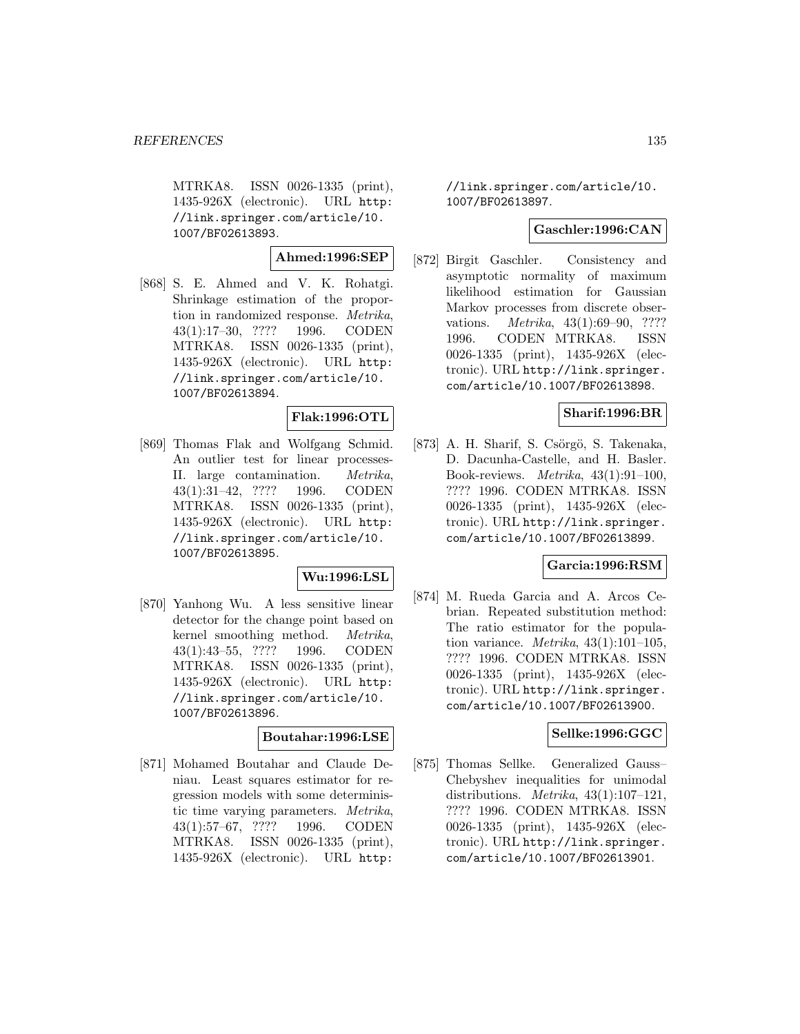MTRKA8. ISSN 0026-1335 (print), 1435-926X (electronic). URL http: //link.springer.com/article/10. 1007/BF02613893.

**Ahmed:1996:SEP**

[868] S. E. Ahmed and V. K. Rohatgi. Shrinkage estimation of the proportion in randomized response. Metrika, 43(1):17–30, ???? 1996. CODEN MTRKA8. ISSN 0026-1335 (print), 1435-926X (electronic). URL http: //link.springer.com/article/10. 1007/BF02613894.

# **Flak:1996:OTL**

[869] Thomas Flak and Wolfgang Schmid. An outlier test for linear processes-II. large contamination. Metrika, 43(1):31–42, ???? 1996. CODEN MTRKA8. ISSN 0026-1335 (print), 1435-926X (electronic). URL http: //link.springer.com/article/10. 1007/BF02613895.

## **Wu:1996:LSL**

[870] Yanhong Wu. A less sensitive linear detector for the change point based on kernel smoothing method. Metrika, 43(1):43–55, ???? 1996. CODEN MTRKA8. ISSN 0026-1335 (print), 1435-926X (electronic). URL http: //link.springer.com/article/10. 1007/BF02613896.

#### **Boutahar:1996:LSE**

[871] Mohamed Boutahar and Claude Deniau. Least squares estimator for regression models with some deterministic time varying parameters. Metrika, 43(1):57–67, ???? 1996. CODEN MTRKA8. ISSN 0026-1335 (print), 1435-926X (electronic). URL http:

//link.springer.com/article/10. 1007/BF02613897.

## **Gaschler:1996:CAN**

[872] Birgit Gaschler. Consistency and asymptotic normality of maximum likelihood estimation for Gaussian Markov processes from discrete observations. Metrika, 43(1):69–90, ???? 1996. CODEN MTRKA8. ISSN 0026-1335 (print), 1435-926X (electronic). URL http://link.springer. com/article/10.1007/BF02613898.

## **Sharif:1996:BR**

[873] A. H. Sharif, S. Csörgö, S. Takenaka, D. Dacunha-Castelle, and H. Basler. Book-reviews. Metrika, 43(1):91–100, ???? 1996. CODEN MTRKA8. ISSN 0026-1335 (print), 1435-926X (electronic). URL http://link.springer. com/article/10.1007/BF02613899.

#### **Garcia:1996:RSM**

[874] M. Rueda Garcia and A. Arcos Cebrian. Repeated substitution method: The ratio estimator for the population variance. *Metrika*,  $43(1):101-105$ , ???? 1996. CODEN MTRKA8. ISSN 0026-1335 (print), 1435-926X (electronic). URL http://link.springer. com/article/10.1007/BF02613900.

## **Sellke:1996:GGC**

[875] Thomas Sellke. Generalized Gauss– Chebyshev inequalities for unimodal distributions. *Metrika*,  $43(1):107-121$ , ???? 1996. CODEN MTRKA8. ISSN 0026-1335 (print), 1435-926X (electronic). URL http://link.springer. com/article/10.1007/BF02613901.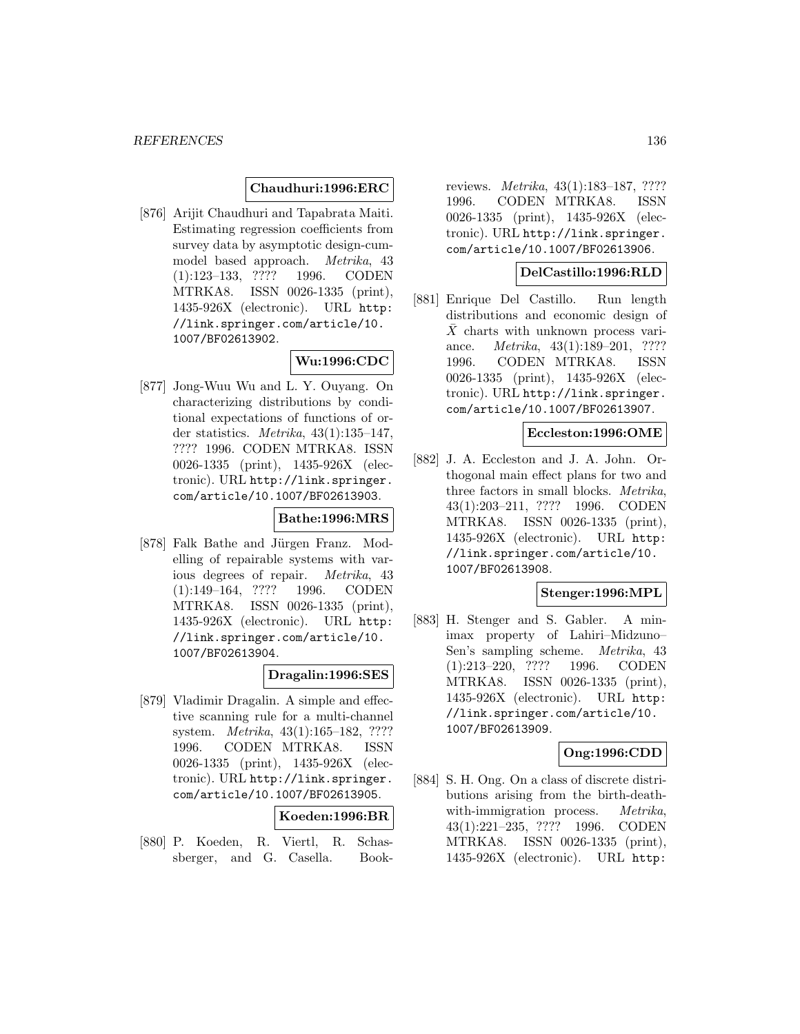## **Chaudhuri:1996:ERC**

[876] Arijit Chaudhuri and Tapabrata Maiti. Estimating regression coefficients from survey data by asymptotic design-cummodel based approach. Metrika, 43 (1):123–133, ???? 1996. CODEN MTRKA8. ISSN 0026-1335 (print), 1435-926X (electronic). URL http: //link.springer.com/article/10. 1007/BF02613902.

# **Wu:1996:CDC**

[877] Jong-Wuu Wu and L. Y. Ouyang. On characterizing distributions by conditional expectations of functions of order statistics. *Metrika*,  $43(1):135-147$ , ???? 1996. CODEN MTRKA8. ISSN 0026-1335 (print), 1435-926X (electronic). URL http://link.springer. com/article/10.1007/BF02613903.

#### **Bathe:1996:MRS**

[878] Falk Bathe and Jürgen Franz. Modelling of repairable systems with various degrees of repair. Metrika, 43 (1):149–164, ???? 1996. CODEN MTRKA8. ISSN 0026-1335 (print), 1435-926X (electronic). URL http: //link.springer.com/article/10. 1007/BF02613904.

#### **Dragalin:1996:SES**

[879] Vladimir Dragalin. A simple and effective scanning rule for a multi-channel system. Metrika, 43(1):165–182, ???? 1996. CODEN MTRKA8. ISSN 0026-1335 (print), 1435-926X (electronic). URL http://link.springer. com/article/10.1007/BF02613905.

## **Koeden:1996:BR**

[880] P. Koeden, R. Viertl, R. Schassberger, and G. Casella. Book-

reviews. Metrika, 43(1):183–187, ???? 1996. CODEN MTRKA8. ISSN 0026-1335 (print), 1435-926X (electronic). URL http://link.springer. com/article/10.1007/BF02613906.

#### **DelCastillo:1996:RLD**

[881] Enrique Del Castillo. Run length distributions and economic design of  $\bar{X}$  charts with unknown process variance. Metrika, 43(1):189–201, ???? 1996. CODEN MTRKA8. ISSN 0026-1335 (print), 1435-926X (electronic). URL http://link.springer. com/article/10.1007/BF02613907.

#### **Eccleston:1996:OME**

[882] J. A. Eccleston and J. A. John. Orthogonal main effect plans for two and three factors in small blocks. Metrika, 43(1):203–211, ???? 1996. CODEN MTRKA8. ISSN 0026-1335 (print), 1435-926X (electronic). URL http: //link.springer.com/article/10. 1007/BF02613908.

# **Stenger:1996:MPL**

[883] H. Stenger and S. Gabler. A minimax property of Lahiri–Midzuno– Sen's sampling scheme. Metrika, 43 (1):213–220, ???? 1996. CODEN MTRKA8. ISSN 0026-1335 (print), 1435-926X (electronic). URL http: //link.springer.com/article/10. 1007/BF02613909.

# **Ong:1996:CDD**

[884] S. H. Ong. On a class of discrete distributions arising from the birth-deathwith-immigration process. *Metrika*, 43(1):221–235, ???? 1996. CODEN MTRKA8. ISSN 0026-1335 (print), 1435-926X (electronic). URL http: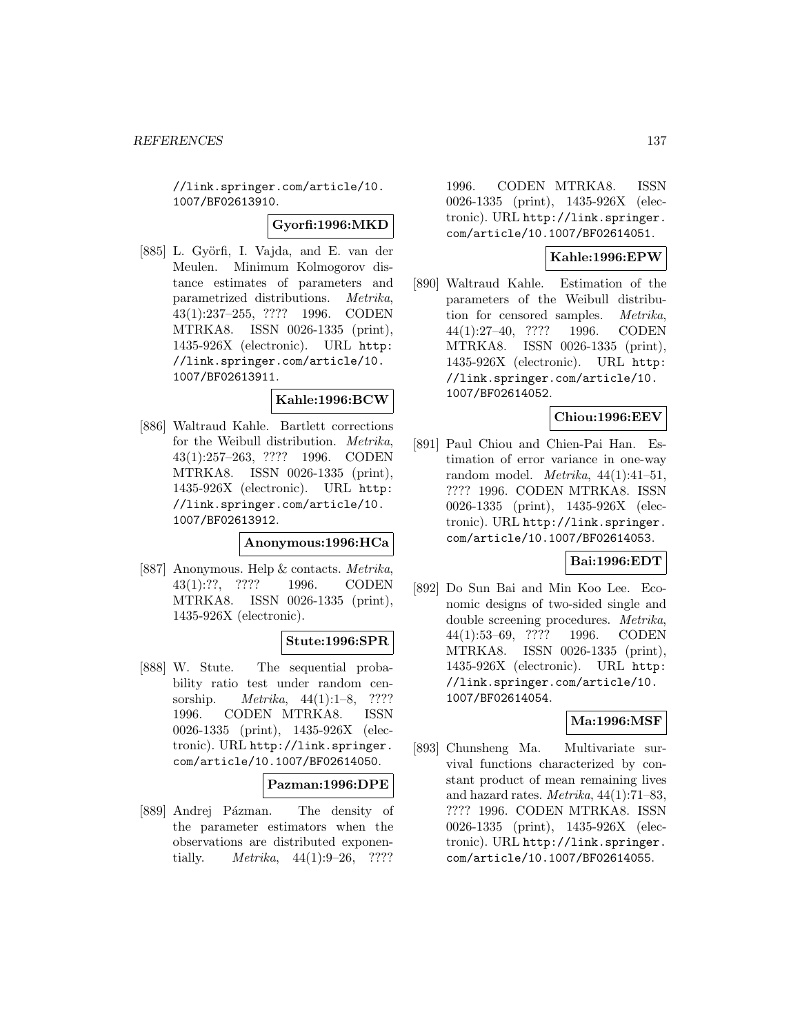//link.springer.com/article/10. 1007/BF02613910.

**Gyorfi:1996:MKD**

[885] L. Györfi, I. Vajda, and E. van der Meulen. Minimum Kolmogorov distance estimates of parameters and parametrized distributions. Metrika, 43(1):237–255, ???? 1996. CODEN MTRKA8. ISSN 0026-1335 (print), 1435-926X (electronic). URL http: //link.springer.com/article/10. 1007/BF02613911.

## **Kahle:1996:BCW**

[886] Waltraud Kahle. Bartlett corrections for the Weibull distribution. *Metrika*, 43(1):257–263, ???? 1996. CODEN MTRKA8. ISSN 0026-1335 (print), 1435-926X (electronic). URL http: //link.springer.com/article/10. 1007/BF02613912.

**Anonymous:1996:HCa**

[887] Anonymous. Help & contacts. Metrika, 43(1):??, ???? 1996. CODEN MTRKA8. ISSN 0026-1335 (print), 1435-926X (electronic).

## **Stute:1996:SPR**

[888] W. Stute. The sequential probability ratio test under random censorship. Metrika, 44(1):1–8, ???? 1996. CODEN MTRKA8. ISSN 0026-1335 (print), 1435-926X (electronic). URL http://link.springer. com/article/10.1007/BF02614050.

#### **Pazman:1996:DPE**

[889] Andrej Pázman. The density of the parameter estimators when the observations are distributed exponentially. *Metrika*,  $44(1):9-26$ , ????

1996. CODEN MTRKA8. ISSN 0026-1335 (print), 1435-926X (electronic). URL http://link.springer. com/article/10.1007/BF02614051.

# **Kahle:1996:EPW**

[890] Waltraud Kahle. Estimation of the parameters of the Weibull distribution for censored samples. Metrika, 44(1):27–40, ???? 1996. CODEN MTRKA8. ISSN 0026-1335 (print), 1435-926X (electronic). URL http: //link.springer.com/article/10. 1007/BF02614052.

# **Chiou:1996:EEV**

[891] Paul Chiou and Chien-Pai Han. Estimation of error variance in one-way random model. Metrika,  $44(1):41-51$ , ???? 1996. CODEN MTRKA8. ISSN 0026-1335 (print), 1435-926X (electronic). URL http://link.springer. com/article/10.1007/BF02614053.

#### **Bai:1996:EDT**

[892] Do Sun Bai and Min Koo Lee. Economic designs of two-sided single and double screening procedures. Metrika, 44(1):53–69, ???? 1996. CODEN MTRKA8. ISSN 0026-1335 (print), 1435-926X (electronic). URL http: //link.springer.com/article/10. 1007/BF02614054.

# **Ma:1996:MSF**

[893] Chunsheng Ma. Multivariate survival functions characterized by constant product of mean remaining lives and hazard rates. Metrika, 44(1):71–83, ???? 1996. CODEN MTRKA8. ISSN 0026-1335 (print), 1435-926X (electronic). URL http://link.springer. com/article/10.1007/BF02614055.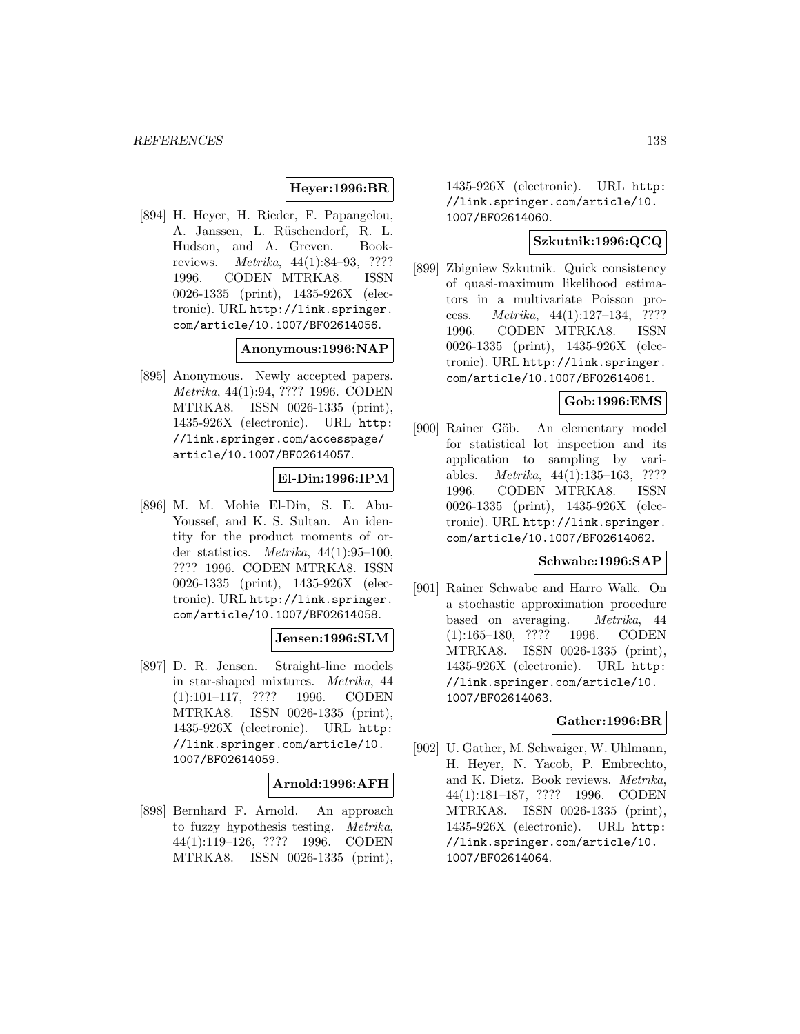# **Heyer:1996:BR**

[894] H. Heyer, H. Rieder, F. Papangelou, A. Janssen, L. Rüschendorf, R. L. Hudson, and A. Greven. Bookreviews. Metrika, 44(1):84–93, ???? 1996. CODEN MTRKA8. ISSN 0026-1335 (print), 1435-926X (electronic). URL http://link.springer. com/article/10.1007/BF02614056.

#### **Anonymous:1996:NAP**

[895] Anonymous. Newly accepted papers. Metrika, 44(1):94, ???? 1996. CODEN MTRKA8. ISSN 0026-1335 (print), 1435-926X (electronic). URL http: //link.springer.com/accesspage/ article/10.1007/BF02614057.

## **El-Din:1996:IPM**

[896] M. M. Mohie El-Din, S. E. Abu-Youssef, and K. S. Sultan. An identity for the product moments of order statistics. *Metrika*,  $44(1):95-100$ , ???? 1996. CODEN MTRKA8. ISSN 0026-1335 (print), 1435-926X (electronic). URL http://link.springer. com/article/10.1007/BF02614058.

# **Jensen:1996:SLM**

[897] D. R. Jensen. Straight-line models in star-shaped mixtures. Metrika, 44 (1):101–117, ???? 1996. CODEN MTRKA8. ISSN 0026-1335 (print), 1435-926X (electronic). URL http: //link.springer.com/article/10. 1007/BF02614059.

#### **Arnold:1996:AFH**

[898] Bernhard F. Arnold. An approach to fuzzy hypothesis testing. Metrika, 44(1):119–126, ???? 1996. CODEN MTRKA8. ISSN 0026-1335 (print),

1435-926X (electronic). URL http: //link.springer.com/article/10. 1007/BF02614060.

## **Szkutnik:1996:QCQ**

[899] Zbigniew Szkutnik. Quick consistency of quasi-maximum likelihood estimators in a multivariate Poisson process. Metrika, 44(1):127–134, ???? 1996. CODEN MTRKA8. ISSN 0026-1335 (print), 1435-926X (electronic). URL http://link.springer. com/article/10.1007/BF02614061.

# **Gob:1996:EMS**

[900] Rainer Göb. An elementary model for statistical lot inspection and its application to sampling by variables. Metrika, 44(1):135–163, ???? 1996. CODEN MTRKA8. ISSN 0026-1335 (print), 1435-926X (electronic). URL http://link.springer. com/article/10.1007/BF02614062.

#### **Schwabe:1996:SAP**

[901] Rainer Schwabe and Harro Walk. On a stochastic approximation procedure based on averaging. Metrika, 44 (1):165–180, ???? 1996. CODEN MTRKA8. ISSN 0026-1335 (print), 1435-926X (electronic). URL http: //link.springer.com/article/10. 1007/BF02614063.

#### **Gather:1996:BR**

[902] U. Gather, M. Schwaiger, W. Uhlmann, H. Heyer, N. Yacob, P. Embrechto, and K. Dietz. Book reviews. Metrika, 44(1):181–187, ???? 1996. CODEN MTRKA8. ISSN 0026-1335 (print), 1435-926X (electronic). URL http: //link.springer.com/article/10. 1007/BF02614064.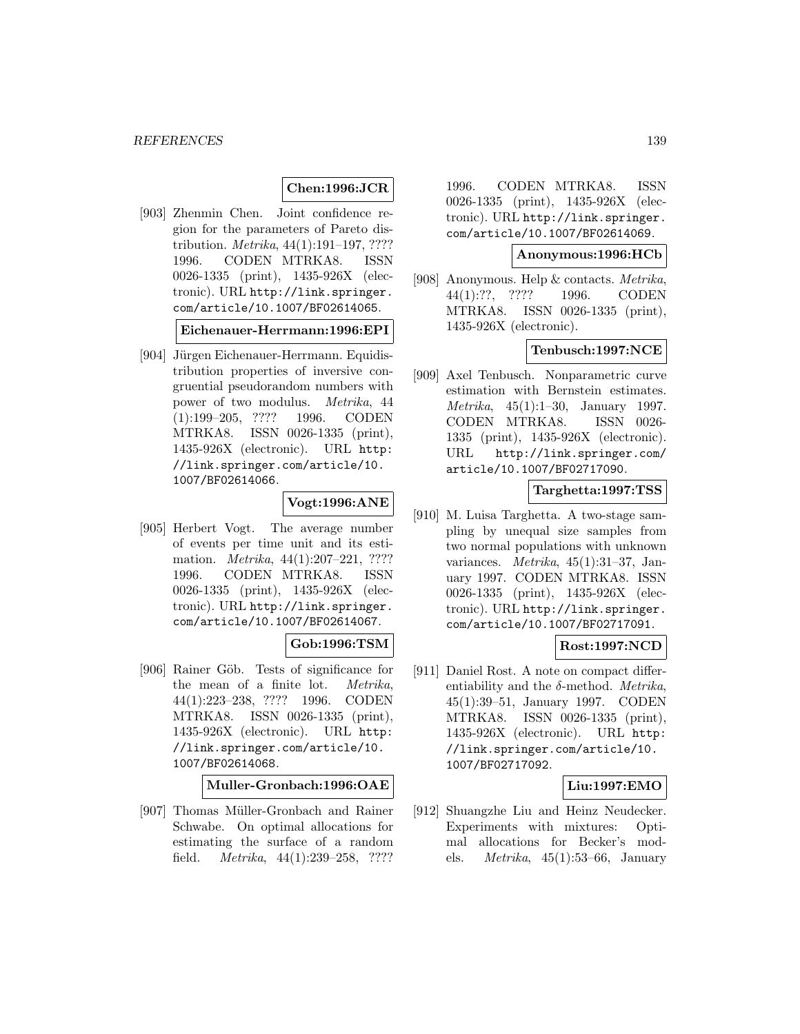## **Chen:1996:JCR**

[903] Zhenmin Chen. Joint confidence region for the parameters of Pareto distribution. *Metrika*, 44(1):191–197, ???? 1996. CODEN MTRKA8. ISSN 0026-1335 (print), 1435-926X (electronic). URL http://link.springer. com/article/10.1007/BF02614065.

**Eichenauer-Herrmann:1996:EPI**

[904] Jürgen Eichenauer-Herrmann. Equidistribution properties of inversive congruential pseudorandom numbers with power of two modulus. Metrika, 44 (1):199–205, ???? 1996. CODEN MTRKA8. ISSN 0026-1335 (print), 1435-926X (electronic). URL http: //link.springer.com/article/10. 1007/BF02614066.

# **Vogt:1996:ANE**

[905] Herbert Vogt. The average number of events per time unit and its estimation. *Metrika*, 44(1):207-221, ???? 1996. CODEN MTRKA8. ISSN 0026-1335 (print), 1435-926X (electronic). URL http://link.springer. com/article/10.1007/BF02614067.

## **Gob:1996:TSM**

[906] Rainer Göb. Tests of significance for the mean of a finite lot. Metrika, 44(1):223–238, ???? 1996. CODEN MTRKA8. ISSN 0026-1335 (print), 1435-926X (electronic). URL http: //link.springer.com/article/10. 1007/BF02614068.

#### **Muller-Gronbach:1996:OAE**

[907] Thomas Müller-Gronbach and Rainer Schwabe. On optimal allocations for estimating the surface of a random field. Metrika, 44(1):239–258, ????

1996. CODEN MTRKA8. ISSN 0026-1335 (print), 1435-926X (electronic). URL http://link.springer. com/article/10.1007/BF02614069.

#### **Anonymous:1996:HCb**

[908] Anonymous. Help & contacts. Metrika, 44(1):??, ???? 1996. CODEN MTRKA8. ISSN 0026-1335 (print), 1435-926X (electronic).

# **Tenbusch:1997:NCE**

[909] Axel Tenbusch. Nonparametric curve estimation with Bernstein estimates. Metrika, 45(1):1–30, January 1997. CODEN MTRKA8. ISSN 0026- 1335 (print), 1435-926X (electronic). URL http://link.springer.com/ article/10.1007/BF02717090.

#### **Targhetta:1997:TSS**

[910] M. Luisa Targhetta. A two-stage sampling by unequal size samples from two normal populations with unknown variances. Metrika, 45(1):31–37, January 1997. CODEN MTRKA8. ISSN 0026-1335 (print), 1435-926X (electronic). URL http://link.springer. com/article/10.1007/BF02717091.

# **Rost:1997:NCD**

[911] Daniel Rost. A note on compact differentiability and the  $\delta$ -method. *Metrika*, 45(1):39–51, January 1997. CODEN MTRKA8. ISSN 0026-1335 (print), 1435-926X (electronic). URL http: //link.springer.com/article/10. 1007/BF02717092.

#### **Liu:1997:EMO**

[912] Shuangzhe Liu and Heinz Neudecker. Experiments with mixtures: Optimal allocations for Becker's models. Metrika, 45(1):53–66, January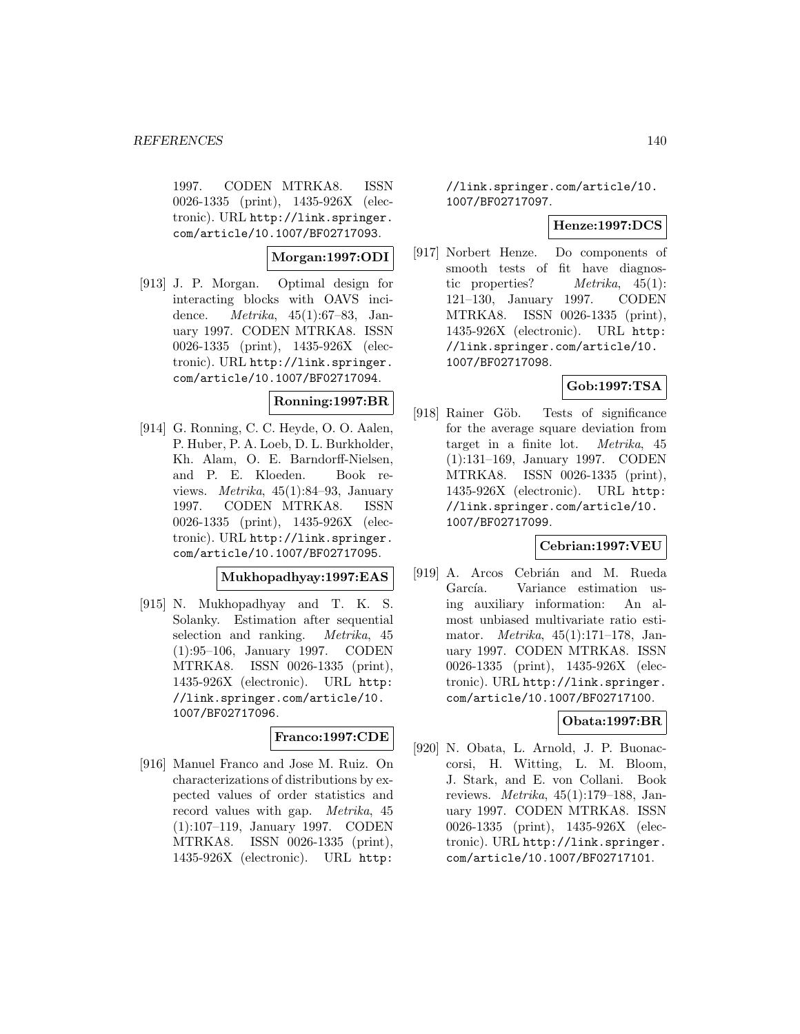1997. CODEN MTRKA8. ISSN 0026-1335 (print), 1435-926X (electronic). URL http://link.springer. com/article/10.1007/BF02717093.

**Morgan:1997:ODI**

[913] J. P. Morgan. Optimal design for interacting blocks with OAVS incidence. Metrika, 45(1):67–83, January 1997. CODEN MTRKA8. ISSN 0026-1335 (print), 1435-926X (electronic). URL http://link.springer. com/article/10.1007/BF02717094.

## **Ronning:1997:BR**

[914] G. Ronning, C. C. Heyde, O. O. Aalen, P. Huber, P. A. Loeb, D. L. Burkholder, Kh. Alam, O. E. Barndorff-Nielsen, and P. E. Kloeden. Book reviews. Metrika, 45(1):84–93, January 1997. CODEN MTRKA8. ISSN 0026-1335 (print), 1435-926X (electronic). URL http://link.springer. com/article/10.1007/BF02717095.

## **Mukhopadhyay:1997:EAS**

[915] N. Mukhopadhyay and T. K. S. Solanky. Estimation after sequential selection and ranking. Metrika, 45 (1):95–106, January 1997. CODEN MTRKA8. ISSN 0026-1335 (print), 1435-926X (electronic). URL http: //link.springer.com/article/10. 1007/BF02717096.

## **Franco:1997:CDE**

[916] Manuel Franco and Jose M. Ruiz. On characterizations of distributions by expected values of order statistics and record values with gap. Metrika, 45 (1):107–119, January 1997. CODEN MTRKA8. ISSN 0026-1335 (print), 1435-926X (electronic). URL http:

//link.springer.com/article/10. 1007/BF02717097.

#### **Henze:1997:DCS**

[917] Norbert Henze. Do components of smooth tests of fit have diagnostic properties? Metrika, 45(1): 121–130, January 1997. CODEN MTRKA8. ISSN 0026-1335 (print), 1435-926X (electronic). URL http: //link.springer.com/article/10. 1007/BF02717098.

# **Gob:1997:TSA**

[918] Rainer Göb. Tests of significance for the average square deviation from target in a finite lot. Metrika, 45 (1):131–169, January 1997. CODEN MTRKA8. ISSN 0026-1335 (print), 1435-926X (electronic). URL http: //link.springer.com/article/10. 1007/BF02717099.

## **Cebrian:1997:VEU**

[919] A. Arcos Cebrián and M. Rueda García. Variance estimation using auxiliary information: An almost unbiased multivariate ratio estimator. Metrika, 45(1):171–178, January 1997. CODEN MTRKA8. ISSN 0026-1335 (print), 1435-926X (electronic). URL http://link.springer. com/article/10.1007/BF02717100.

# **Obata:1997:BR**

[920] N. Obata, L. Arnold, J. P. Buonaccorsi, H. Witting, L. M. Bloom, J. Stark, and E. von Collani. Book reviews. Metrika, 45(1):179–188, January 1997. CODEN MTRKA8. ISSN 0026-1335 (print), 1435-926X (electronic). URL http://link.springer. com/article/10.1007/BF02717101.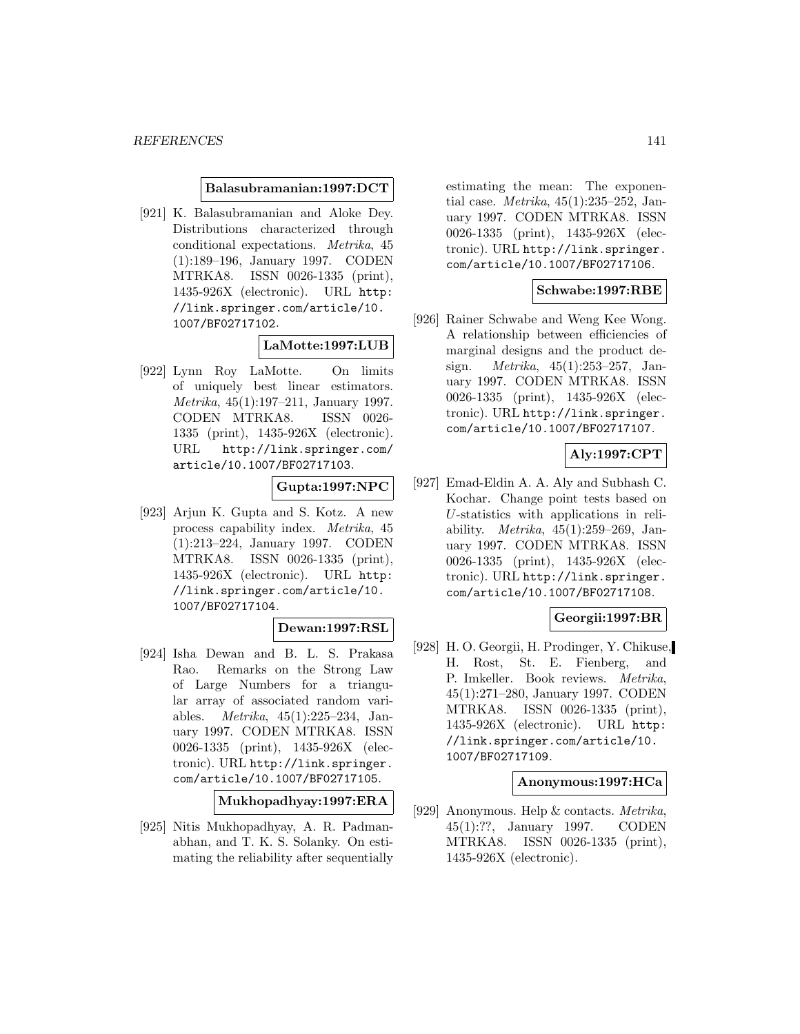#### **Balasubramanian:1997:DCT**

[921] K. Balasubramanian and Aloke Dey. Distributions characterized through conditional expectations. Metrika, 45 (1):189–196, January 1997. CODEN MTRKA8. ISSN 0026-1335 (print), 1435-926X (electronic). URL http: //link.springer.com/article/10. 1007/BF02717102.

#### **LaMotte:1997:LUB**

[922] Lynn Roy LaMotte. On limits of uniquely best linear estimators. Metrika, 45(1):197–211, January 1997. CODEN MTRKA8. ISSN 0026- 1335 (print), 1435-926X (electronic). URL http://link.springer.com/ article/10.1007/BF02717103.

#### **Gupta:1997:NPC**

[923] Arjun K. Gupta and S. Kotz. A new process capability index. Metrika, 45 (1):213–224, January 1997. CODEN MTRKA8. ISSN 0026-1335 (print), 1435-926X (electronic). URL http: //link.springer.com/article/10. 1007/BF02717104.

# **Dewan:1997:RSL**

[924] Isha Dewan and B. L. S. Prakasa Rao. Remarks on the Strong Law of Large Numbers for a triangular array of associated random variables. Metrika, 45(1):225–234, January 1997. CODEN MTRKA8. ISSN 0026-1335 (print), 1435-926X (electronic). URL http://link.springer. com/article/10.1007/BF02717105.

**Mukhopadhyay:1997:ERA**

[925] Nitis Mukhopadhyay, A. R. Padmanabhan, and T. K. S. Solanky. On estimating the reliability after sequentially

estimating the mean: The exponential case. Metrika, 45(1):235–252, January 1997. CODEN MTRKA8. ISSN 0026-1335 (print), 1435-926X (electronic). URL http://link.springer. com/article/10.1007/BF02717106.

#### **Schwabe:1997:RBE**

[926] Rainer Schwabe and Weng Kee Wong. A relationship between efficiencies of marginal designs and the product design. Metrika, 45(1):253–257, January 1997. CODEN MTRKA8. ISSN 0026-1335 (print), 1435-926X (electronic). URL http://link.springer. com/article/10.1007/BF02717107.

# **Aly:1997:CPT**

[927] Emad-Eldin A. A. Aly and Subhash C. Kochar. Change point tests based on U-statistics with applications in reliability. *Metrika*,  $45(1):259-269$ , January 1997. CODEN MTRKA8. ISSN 0026-1335 (print), 1435-926X (electronic). URL http://link.springer. com/article/10.1007/BF02717108.

#### **Georgii:1997:BR**

[928] H. O. Georgii, H. Prodinger, Y. Chikuse, H. Rost, St. E. Fienberg, and P. Imkeller. Book reviews. Metrika, 45(1):271–280, January 1997. CODEN MTRKA8. ISSN 0026-1335 (print), 1435-926X (electronic). URL http: //link.springer.com/article/10. 1007/BF02717109.

#### **Anonymous:1997:HCa**

[929] Anonymous. Help & contacts. Metrika, 45(1):??, January 1997. CODEN MTRKA8. ISSN 0026-1335 (print), 1435-926X (electronic).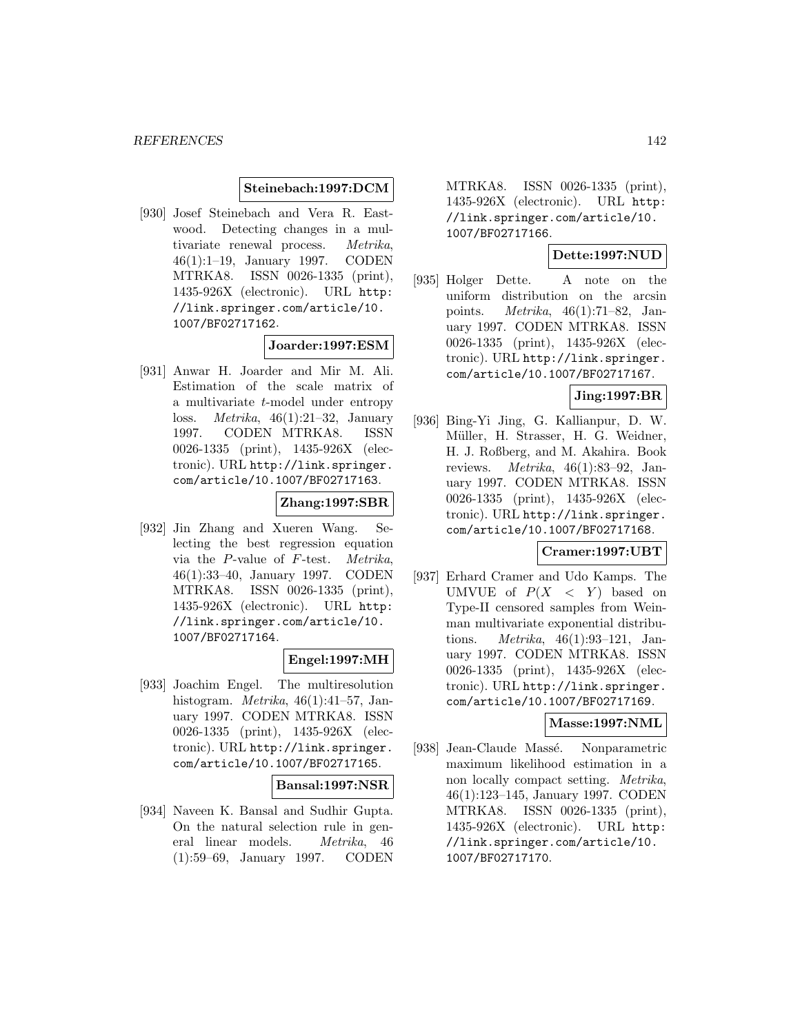#### **Steinebach:1997:DCM**

[930] Josef Steinebach and Vera R. Eastwood. Detecting changes in a multivariate renewal process. Metrika, 46(1):1–19, January 1997. CODEN MTRKA8. ISSN 0026-1335 (print), 1435-926X (electronic). URL http: //link.springer.com/article/10. 1007/BF02717162.

#### **Joarder:1997:ESM**

[931] Anwar H. Joarder and Mir M. Ali. Estimation of the scale matrix of a multivariate t-model under entropy loss. Metrika, 46(1):21–32, January 1997. CODEN MTRKA8. ISSN 0026-1335 (print), 1435-926X (electronic). URL http://link.springer. com/article/10.1007/BF02717163.

## **Zhang:1997:SBR**

[932] Jin Zhang and Xueren Wang. Selecting the best regression equation via the P-value of F-test. Metrika, 46(1):33–40, January 1997. CODEN MTRKA8. ISSN 0026-1335 (print), 1435-926X (electronic). URL http: //link.springer.com/article/10. 1007/BF02717164.

## **Engel:1997:MH**

[933] Joachim Engel. The multiresolution histogram. Metrika, 46(1):41–57, January 1997. CODEN MTRKA8. ISSN 0026-1335 (print), 1435-926X (electronic). URL http://link.springer. com/article/10.1007/BF02717165.

#### **Bansal:1997:NSR**

[934] Naveen K. Bansal and Sudhir Gupta. On the natural selection rule in general linear models. Metrika, 46 (1):59–69, January 1997. CODEN

MTRKA8. ISSN 0026-1335 (print), 1435-926X (electronic). URL http: //link.springer.com/article/10. 1007/BF02717166.

# **Dette:1997:NUD**

[935] Holger Dette. A note on the uniform distribution on the arcsin points. Metrika, 46(1):71–82, January 1997. CODEN MTRKA8. ISSN 0026-1335 (print), 1435-926X (electronic). URL http://link.springer. com/article/10.1007/BF02717167.

#### **Jing:1997:BR**

[936] Bing-Yi Jing, G. Kallianpur, D. W. Müller, H. Strasser, H. G. Weidner, H. J. Roßberg, and M. Akahira. Book reviews. Metrika, 46(1):83–92, January 1997. CODEN MTRKA8. ISSN 0026-1335 (print), 1435-926X (electronic). URL http://link.springer. com/article/10.1007/BF02717168.

## **Cramer:1997:UBT**

[937] Erhard Cramer and Udo Kamps. The UMVUE of  $P(X \leq Y)$  based on Type-II censored samples from Weinman multivariate exponential distributions. Metrika, 46(1):93–121, January 1997. CODEN MTRKA8. ISSN 0026-1335 (print), 1435-926X (electronic). URL http://link.springer. com/article/10.1007/BF02717169.

## **Masse:1997:NML**

[938] Jean-Claude Massé. Nonparametric maximum likelihood estimation in a non locally compact setting. Metrika, 46(1):123–145, January 1997. CODEN MTRKA8. ISSN 0026-1335 (print), 1435-926X (electronic). URL http: //link.springer.com/article/10. 1007/BF02717170.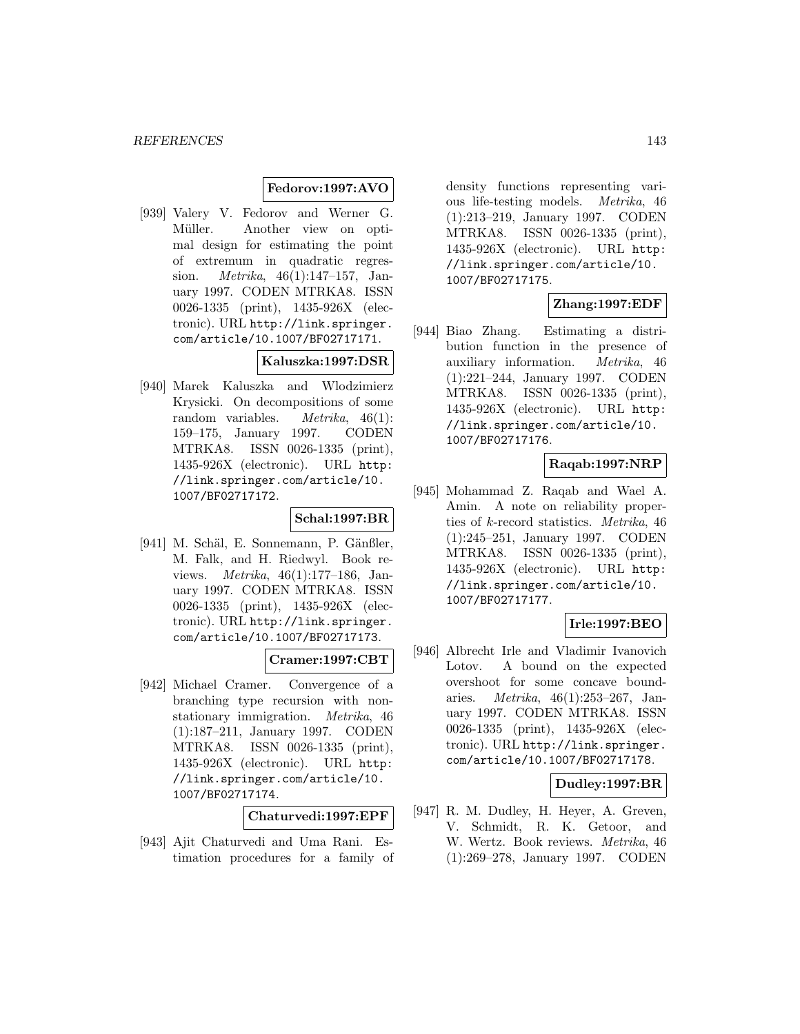## **Fedorov:1997:AVO**

[939] Valery V. Fedorov and Werner G. Müller. Another view on optimal design for estimating the point of extremum in quadratic regression. Metrika, 46(1):147–157, January 1997. CODEN MTRKA8. ISSN 0026-1335 (print), 1435-926X (electronic). URL http://link.springer. com/article/10.1007/BF02717171.

## **Kaluszka:1997:DSR**

[940] Marek Kaluszka and Wlodzimierz Krysicki. On decompositions of some random variables. Metrika, 46(1): 159–175, January 1997. CODEN MTRKA8. ISSN 0026-1335 (print), 1435-926X (electronic). URL http: //link.springer.com/article/10. 1007/BF02717172.

#### **Schal:1997:BR**

[941] M. Schäl, E. Sonnemann, P. Gänßler, M. Falk, and H. Riedwyl. Book reviews. Metrika, 46(1):177–186, January 1997. CODEN MTRKA8. ISSN 0026-1335 (print), 1435-926X (electronic). URL http://link.springer. com/article/10.1007/BF02717173.

# **Cramer:1997:CBT**

[942] Michael Cramer. Convergence of a branching type recursion with nonstationary immigration. Metrika, 46 (1):187–211, January 1997. CODEN MTRKA8. ISSN 0026-1335 (print), 1435-926X (electronic). URL http: //link.springer.com/article/10. 1007/BF02717174.

**Chaturvedi:1997:EPF**

[943] Ajit Chaturvedi and Uma Rani. Estimation procedures for a family of density functions representing various life-testing models. Metrika, 46 (1):213–219, January 1997. CODEN MTRKA8. ISSN 0026-1335 (print), 1435-926X (electronic). URL http: //link.springer.com/article/10. 1007/BF02717175.

## **Zhang:1997:EDF**

[944] Biao Zhang. Estimating a distribution function in the presence of auxiliary information. Metrika, 46 (1):221–244, January 1997. CODEN MTRKA8. ISSN 0026-1335 (print), 1435-926X (electronic). URL http: //link.springer.com/article/10. 1007/BF02717176.

## **Raqab:1997:NRP**

[945] Mohammad Z. Raqab and Wael A. Amin. A note on reliability properties of k-record statistics. Metrika, 46 (1):245–251, January 1997. CODEN MTRKA8. ISSN 0026-1335 (print), 1435-926X (electronic). URL http: //link.springer.com/article/10. 1007/BF02717177.

# **Irle:1997:BEO**

[946] Albrecht Irle and Vladimir Ivanovich Lotov. A bound on the expected overshoot for some concave boundaries. Metrika, 46(1):253–267, January 1997. CODEN MTRKA8. ISSN 0026-1335 (print), 1435-926X (electronic). URL http://link.springer. com/article/10.1007/BF02717178.

#### **Dudley:1997:BR**

[947] R. M. Dudley, H. Heyer, A. Greven, V. Schmidt, R. K. Getoor, and W. Wertz. Book reviews. Metrika, 46 (1):269–278, January 1997. CODEN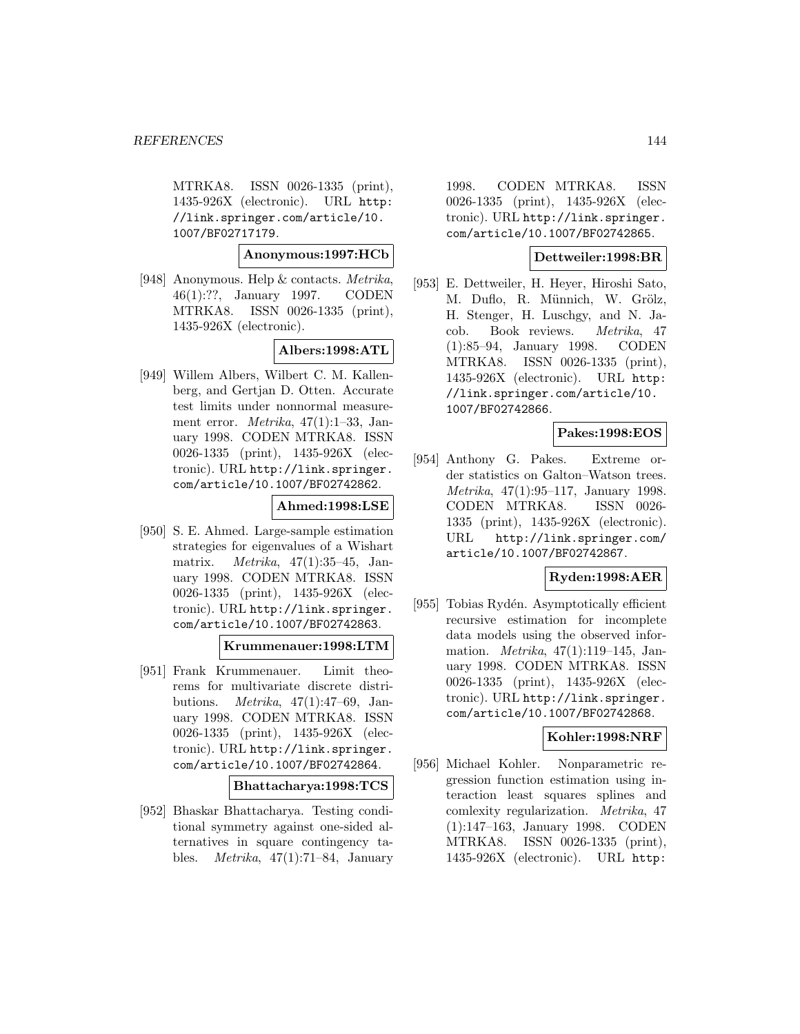MTRKA8. ISSN 0026-1335 (print), 1435-926X (electronic). URL http: //link.springer.com/article/10. 1007/BF02717179.

**Anonymous:1997:HCb**

[948] Anonymous. Help & contacts. Metrika, 46(1):??, January 1997. CODEN MTRKA8. ISSN 0026-1335 (print), 1435-926X (electronic).

## **Albers:1998:ATL**

[949] Willem Albers, Wilbert C. M. Kallenberg, and Gertjan D. Otten. Accurate test limits under nonnormal measurement error. Metrika, 47(1):1–33, January 1998. CODEN MTRKA8. ISSN 0026-1335 (print), 1435-926X (electronic). URL http://link.springer. com/article/10.1007/BF02742862.

# **Ahmed:1998:LSE**

[950] S. E. Ahmed. Large-sample estimation strategies for eigenvalues of a Wishart matrix. Metrika, 47(1):35–45, January 1998. CODEN MTRKA8. ISSN 0026-1335 (print), 1435-926X (electronic). URL http://link.springer. com/article/10.1007/BF02742863.

## **Krummenauer:1998:LTM**

[951] Frank Krummenauer. Limit theorems for multivariate discrete distributions. Metrika, 47(1):47–69, January 1998. CODEN MTRKA8. ISSN 0026-1335 (print), 1435-926X (electronic). URL http://link.springer. com/article/10.1007/BF02742864.

**Bhattacharya:1998:TCS**

[952] Bhaskar Bhattacharya. Testing conditional symmetry against one-sided alternatives in square contingency tables. *Metrika*,  $47(1):71-84$ , January

1998. CODEN MTRKA8. ISSN 0026-1335 (print), 1435-926X (electronic). URL http://link.springer. com/article/10.1007/BF02742865.

## **Dettweiler:1998:BR**

[953] E. Dettweiler, H. Heyer, Hiroshi Sato, M. Duflo, R. Münnich, W. Grölz, H. Stenger, H. Luschgy, and N. Jacob. Book reviews. Metrika, 47 (1):85–94, January 1998. CODEN MTRKA8. ISSN 0026-1335 (print), 1435-926X (electronic). URL http: //link.springer.com/article/10. 1007/BF02742866.

# **Pakes:1998:EOS**

[954] Anthony G. Pakes. Extreme order statistics on Galton–Watson trees. Metrika, 47(1):95–117, January 1998. CODEN MTRKA8. ISSN 0026- 1335 (print), 1435-926X (electronic). URL http://link.springer.com/ article/10.1007/BF02742867.

# **Ryden:1998:AER**

[955] Tobias Rydén. Asymptotically efficient recursive estimation for incomplete data models using the observed information. Metrika, 47(1):119–145, January 1998. CODEN MTRKA8. ISSN 0026-1335 (print), 1435-926X (electronic). URL http://link.springer. com/article/10.1007/BF02742868.

# **Kohler:1998:NRF**

[956] Michael Kohler. Nonparametric regression function estimation using interaction least squares splines and comlexity regularization. Metrika, 47 (1):147–163, January 1998. CODEN MTRKA8. ISSN 0026-1335 (print), 1435-926X (electronic). URL http: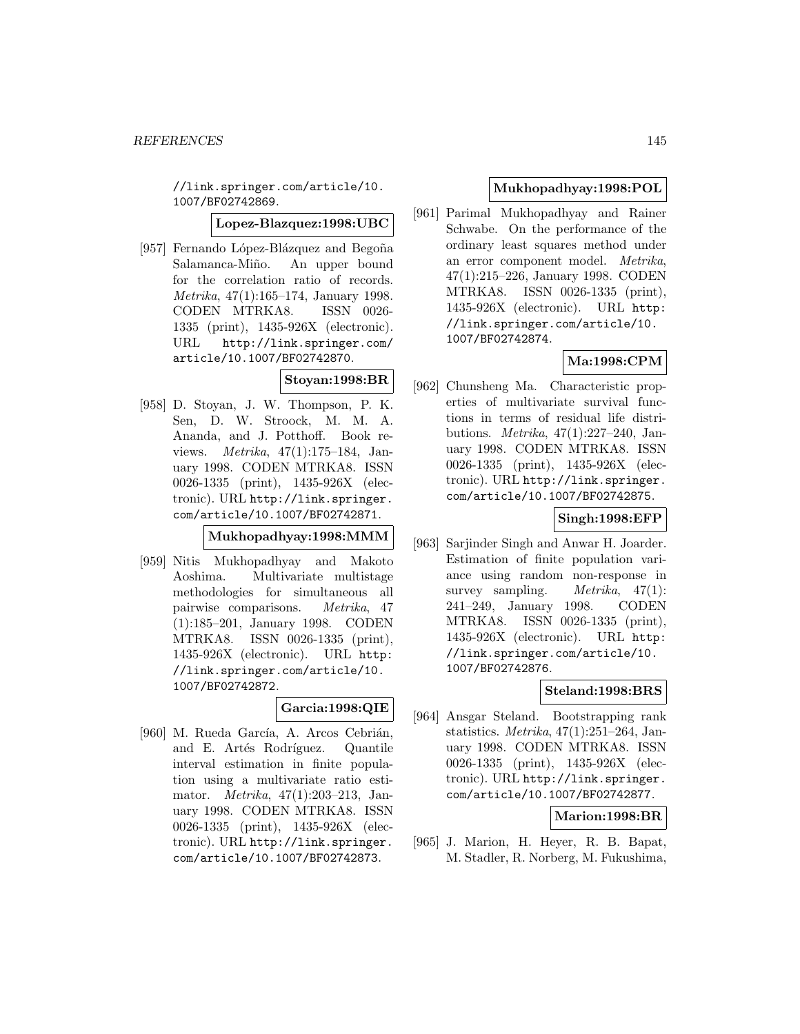//link.springer.com/article/10. 1007/BF02742869.

**Lopez-Blazquez:1998:UBC**

[957] Fernando López-Blázquez and Begoña Salamanca-Miño. An upper bound for the correlation ratio of records. Metrika, 47(1):165–174, January 1998. CODEN MTRKA8. ISSN 0026- 1335 (print), 1435-926X (electronic). URL http://link.springer.com/ article/10.1007/BF02742870.

## **Stoyan:1998:BR**

[958] D. Stoyan, J. W. Thompson, P. K. Sen, D. W. Stroock, M. M. A. Ananda, and J. Potthoff. Book reviews. Metrika, 47(1):175–184, January 1998. CODEN MTRKA8. ISSN 0026-1335 (print), 1435-926X (electronic). URL http://link.springer. com/article/10.1007/BF02742871.

## **Mukhopadhyay:1998:MMM**

[959] Nitis Mukhopadhyay and Makoto Aoshima. Multivariate multistage methodologies for simultaneous all pairwise comparisons. Metrika, 47 (1):185–201, January 1998. CODEN MTRKA8. ISSN 0026-1335 (print), 1435-926X (electronic). URL http: //link.springer.com/article/10. 1007/BF02742872.

# **Garcia:1998:QIE**

[960] M. Rueda García, A. Arcos Cebrián, and E. Artés Rodríguez. Quantile interval estimation in finite population using a multivariate ratio estimator. Metrika, 47(1):203–213, January 1998. CODEN MTRKA8. ISSN 0026-1335 (print), 1435-926X (electronic). URL http://link.springer. com/article/10.1007/BF02742873.

## **Mukhopadhyay:1998:POL**

[961] Parimal Mukhopadhyay and Rainer Schwabe. On the performance of the ordinary least squares method under an error component model. Metrika, 47(1):215–226, January 1998. CODEN MTRKA8. ISSN 0026-1335 (print), 1435-926X (electronic). URL http: //link.springer.com/article/10. 1007/BF02742874.

# **Ma:1998:CPM**

[962] Chunsheng Ma. Characteristic properties of multivariate survival functions in terms of residual life distributions. Metrika, 47(1):227–240, January 1998. CODEN MTRKA8. ISSN 0026-1335 (print), 1435-926X (electronic). URL http://link.springer. com/article/10.1007/BF02742875.

# **Singh:1998:EFP**

[963] Sarjinder Singh and Anwar H. Joarder. Estimation of finite population variance using random non-response in survey sampling. *Metrika*,  $47(1)$ : 241–249, January 1998. CODEN MTRKA8. ISSN 0026-1335 (print), 1435-926X (electronic). URL http: //link.springer.com/article/10. 1007/BF02742876.

# **Steland:1998:BRS**

[964] Ansgar Steland. Bootstrapping rank statistics. Metrika, 47(1):251–264, January 1998. CODEN MTRKA8. ISSN 0026-1335 (print), 1435-926X (electronic). URL http://link.springer. com/article/10.1007/BF02742877.

## **Marion:1998:BR**

[965] J. Marion, H. Heyer, R. B. Bapat, M. Stadler, R. Norberg, M. Fukushima,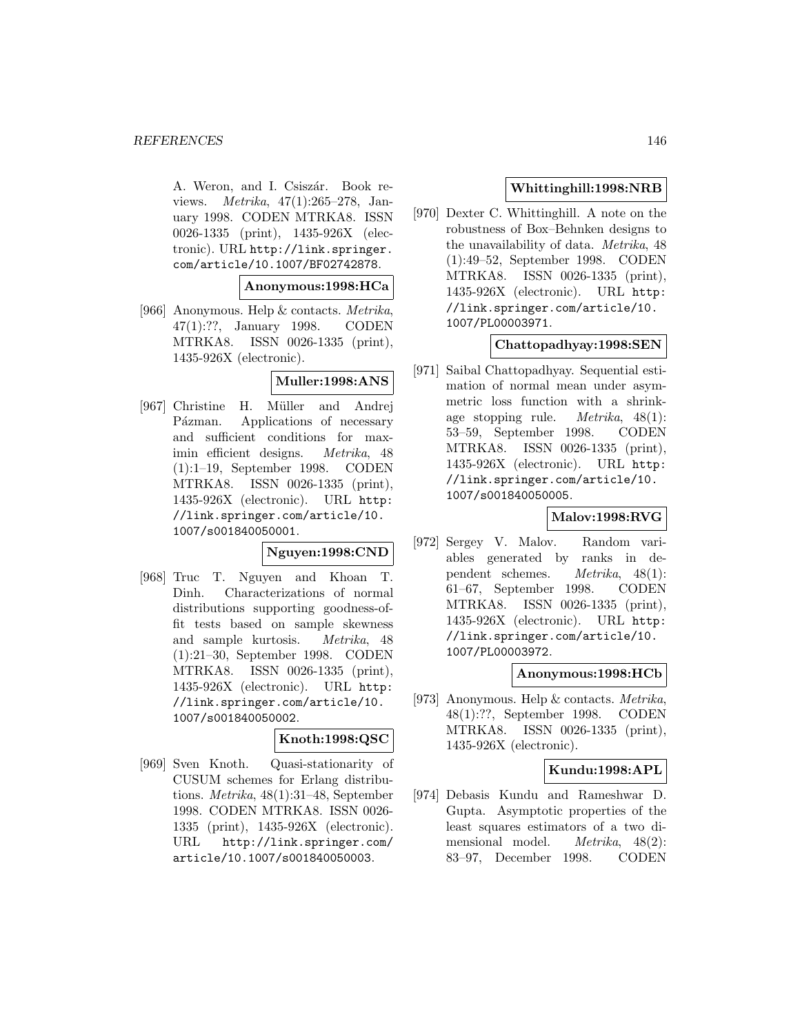#### *REFERENCES* 146

A. Weron, and I. Csiszár. Book reviews. Metrika, 47(1):265–278, January 1998. CODEN MTRKA8. ISSN 0026-1335 (print), 1435-926X (electronic). URL http://link.springer. com/article/10.1007/BF02742878.

### **Anonymous:1998:HCa**

[966] Anonymous. Help & contacts. Metrika, 47(1):??, January 1998. CODEN MTRKA8. ISSN 0026-1335 (print), 1435-926X (electronic).

## **Muller:1998:ANS**

[967] Christine H. Müller and Andrej Pázman. Applications of necessary and sufficient conditions for maximin efficient designs. Metrika, 48 (1):1–19, September 1998. CODEN MTRKA8. ISSN 0026-1335 (print), 1435-926X (electronic). URL http: //link.springer.com/article/10. 1007/s001840050001.

## **Nguyen:1998:CND**

[968] Truc T. Nguyen and Khoan T. Dinh. Characterizations of normal distributions supporting goodness-offit tests based on sample skewness and sample kurtosis. Metrika, 48 (1):21–30, September 1998. CODEN MTRKA8. ISSN 0026-1335 (print), 1435-926X (electronic). URL http: //link.springer.com/article/10. 1007/s001840050002.

## **Knoth:1998:QSC**

[969] Sven Knoth. Quasi-stationarity of CUSUM schemes for Erlang distributions. Metrika, 48(1):31–48, September 1998. CODEN MTRKA8. ISSN 0026- 1335 (print), 1435-926X (electronic). URL http://link.springer.com/ article/10.1007/s001840050003.

## **Whittinghill:1998:NRB**

[970] Dexter C. Whittinghill. A note on the robustness of Box–Behnken designs to the unavailability of data. Metrika, 48 (1):49–52, September 1998. CODEN MTRKA8. ISSN 0026-1335 (print), 1435-926X (electronic). URL http: //link.springer.com/article/10. 1007/PL00003971.

# **Chattopadhyay:1998:SEN**

[971] Saibal Chattopadhyay. Sequential estimation of normal mean under asymmetric loss function with a shrinkage stopping rule. Metrika, 48(1): 53–59, September 1998. CODEN MTRKA8. ISSN 0026-1335 (print), 1435-926X (electronic). URL http: //link.springer.com/article/10. 1007/s001840050005.

## **Malov:1998:RVG**

[972] Sergey V. Malov. Random variables generated by ranks in dependent schemes. Metrika, 48(1): 61–67, September 1998. CODEN MTRKA8. ISSN 0026-1335 (print), 1435-926X (electronic). URL http: //link.springer.com/article/10. 1007/PL00003972.

## **Anonymous:1998:HCb**

[973] Anonymous. Help & contacts. Metrika, 48(1):??, September 1998. CODEN MTRKA8. ISSN 0026-1335 (print), 1435-926X (electronic).

#### **Kundu:1998:APL**

[974] Debasis Kundu and Rameshwar D. Gupta. Asymptotic properties of the least squares estimators of a two dimensional model. Metrika, 48(2): 83–97, December 1998. CODEN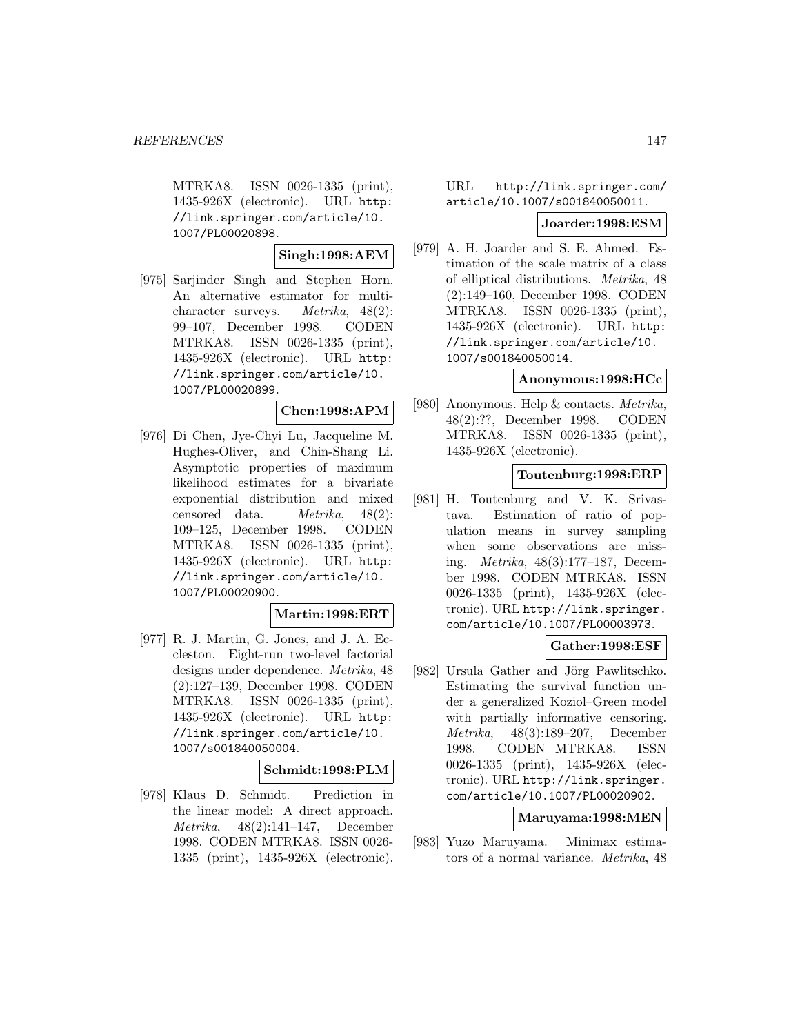MTRKA8. ISSN 0026-1335 (print), 1435-926X (electronic). URL http: //link.springer.com/article/10. 1007/PL00020898.

**Singh:1998:AEM**

[975] Sarjinder Singh and Stephen Horn. An alternative estimator for multicharacter surveys. Metrika, 48(2): 99–107, December 1998. CODEN MTRKA8. ISSN 0026-1335 (print), 1435-926X (electronic). URL http: //link.springer.com/article/10. 1007/PL00020899.

## **Chen:1998:APM**

[976] Di Chen, Jye-Chyi Lu, Jacqueline M. Hughes-Oliver, and Chin-Shang Li. Asymptotic properties of maximum likelihood estimates for a bivariate exponential distribution and mixed censored data. Metrika, 48(2): 109–125, December 1998. CODEN MTRKA8. ISSN 0026-1335 (print), 1435-926X (electronic). URL http: //link.springer.com/article/10. 1007/PL00020900.

## **Martin:1998:ERT**

[977] R. J. Martin, G. Jones, and J. A. Eccleston. Eight-run two-level factorial designs under dependence. Metrika, 48 (2):127–139, December 1998. CODEN MTRKA8. ISSN 0026-1335 (print), 1435-926X (electronic). URL http: //link.springer.com/article/10. 1007/s001840050004.

## **Schmidt:1998:PLM**

[978] Klaus D. Schmidt. Prediction in the linear model: A direct approach. Metrika, 48(2):141–147, December 1998. CODEN MTRKA8. ISSN 0026- 1335 (print), 1435-926X (electronic).

## URL http://link.springer.com/ article/10.1007/s001840050011.

### **Joarder:1998:ESM**

[979] A. H. Joarder and S. E. Ahmed. Estimation of the scale matrix of a class of elliptical distributions. Metrika, 48 (2):149–160, December 1998. CODEN MTRKA8. ISSN 0026-1335 (print), 1435-926X (electronic). URL http: //link.springer.com/article/10. 1007/s001840050014.

## **Anonymous:1998:HCc**

[980] Anonymous. Help & contacts. Metrika, 48(2):??, December 1998. CODEN MTRKA8. ISSN 0026-1335 (print), 1435-926X (electronic).

# **Toutenburg:1998:ERP**

[981] H. Toutenburg and V. K. Srivastava. Estimation of ratio of population means in survey sampling when some observations are missing. Metrika, 48(3):177–187, December 1998. CODEN MTRKA8. ISSN 0026-1335 (print), 1435-926X (electronic). URL http://link.springer. com/article/10.1007/PL00003973.

# **Gather:1998:ESF**

[982] Ursula Gather and Jörg Pawlitschko. Estimating the survival function under a generalized Koziol–Green model with partially informative censoring. Metrika, 48(3):189–207, December 1998. CODEN MTRKA8. ISSN 0026-1335 (print), 1435-926X (electronic). URL http://link.springer. com/article/10.1007/PL00020902.

# **Maruyama:1998:MEN**

[983] Yuzo Maruyama. Minimax estimators of a normal variance. Metrika, 48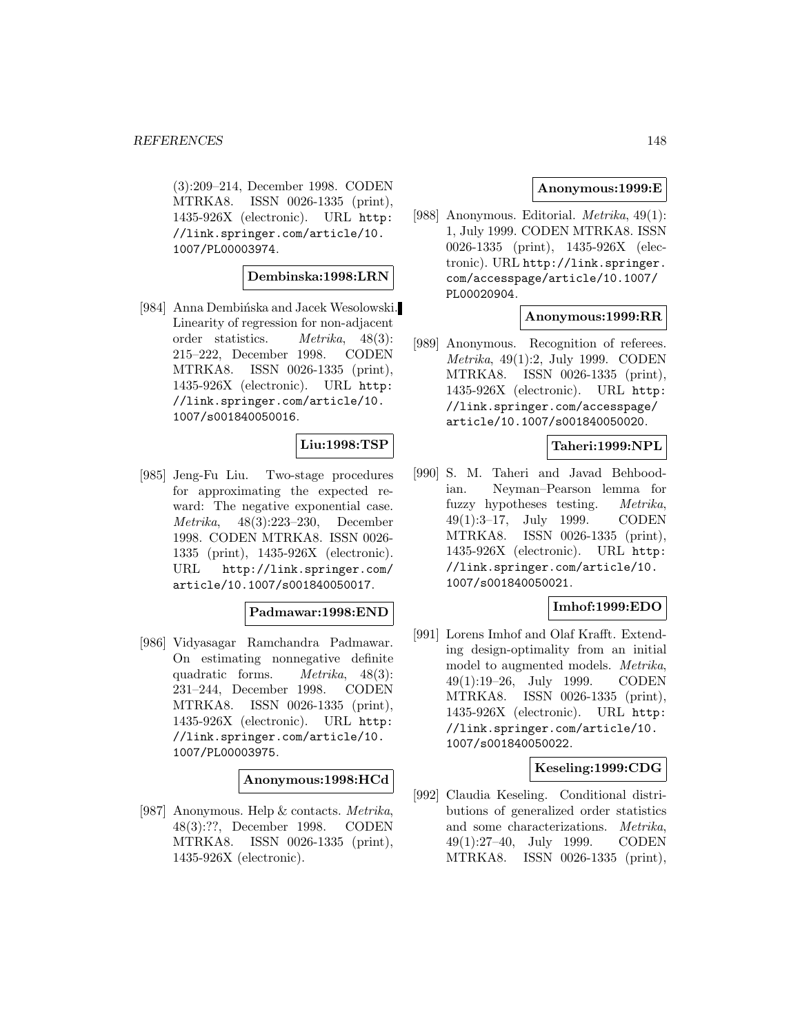(3):209–214, December 1998. CODEN MTRKA8. ISSN 0026-1335 (print), 1435-926X (electronic). URL http: //link.springer.com/article/10. 1007/PL00003974.

## **Dembinska:1998:LRN**

[984] Anna Dembińska and Jacek Wesolowski. Linearity of regression for non-adjacent order statistics. Metrika, 48(3): 215–222, December 1998. CODEN MTRKA8. ISSN 0026-1335 (print), 1435-926X (electronic). URL http: //link.springer.com/article/10. 1007/s001840050016.

### **Liu:1998:TSP**

[985] Jeng-Fu Liu. Two-stage procedures for approximating the expected reward: The negative exponential case. Metrika, 48(3):223–230, December 1998. CODEN MTRKA8. ISSN 0026- 1335 (print), 1435-926X (electronic). URL http://link.springer.com/ article/10.1007/s001840050017.

#### **Padmawar:1998:END**

[986] Vidyasagar Ramchandra Padmawar. On estimating nonnegative definite quadratic forms.  $Metrika$ ,  $48(3)$ : 231–244, December 1998. CODEN MTRKA8. ISSN 0026-1335 (print), 1435-926X (electronic). URL http: //link.springer.com/article/10. 1007/PL00003975.

#### **Anonymous:1998:HCd**

[987] Anonymous. Help & contacts. Metrika, 48(3):??, December 1998. CODEN MTRKA8. ISSN 0026-1335 (print), 1435-926X (electronic).

### **Anonymous:1999:E**

[988] Anonymous. Editorial. Metrika, 49(1): 1, July 1999. CODEN MTRKA8. ISSN 0026-1335 (print), 1435-926X (electronic). URL http://link.springer. com/accesspage/article/10.1007/ PL00020904.

## **Anonymous:1999:RR**

[989] Anonymous. Recognition of referees. Metrika, 49(1):2, July 1999. CODEN MTRKA8. ISSN 0026-1335 (print), 1435-926X (electronic). URL http: //link.springer.com/accesspage/ article/10.1007/s001840050020.

### **Taheri:1999:NPL**

[990] S. M. Taheri and Javad Behboodian. Neyman–Pearson lemma for fuzzy hypotheses testing. Metrika, 49(1):3–17, July 1999. CODEN MTRKA8. ISSN 0026-1335 (print), 1435-926X (electronic). URL http: //link.springer.com/article/10. 1007/s001840050021.

### **Imhof:1999:EDO**

[991] Lorens Imhof and Olaf Krafft. Extending design-optimality from an initial model to augmented models. Metrika, 49(1):19–26, July 1999. CODEN MTRKA8. ISSN 0026-1335 (print), 1435-926X (electronic). URL http: //link.springer.com/article/10. 1007/s001840050022.

## **Keseling:1999:CDG**

[992] Claudia Keseling. Conditional distributions of generalized order statistics and some characterizations. Metrika, 49(1):27–40, July 1999. CODEN MTRKA8. ISSN 0026-1335 (print),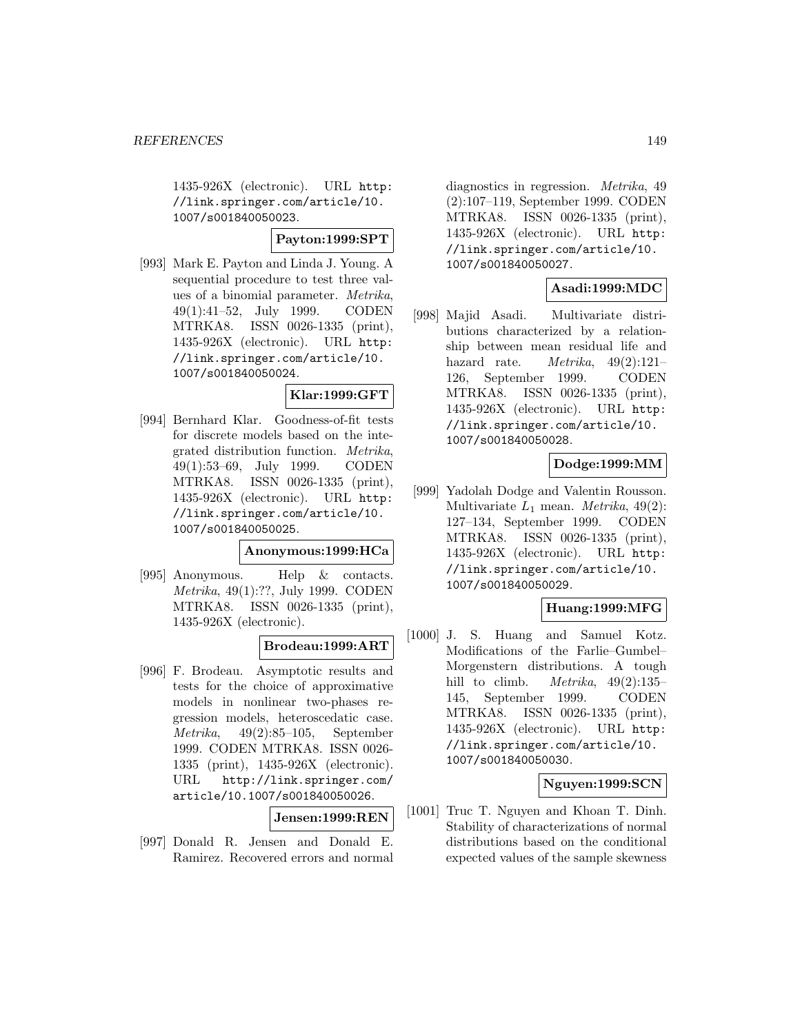1435-926X (electronic). URL http: //link.springer.com/article/10. 1007/s001840050023.

## **Payton:1999:SPT**

[993] Mark E. Payton and Linda J. Young. A sequential procedure to test three values of a binomial parameter. Metrika, 49(1):41–52, July 1999. CODEN MTRKA8. ISSN 0026-1335 (print), 1435-926X (electronic). URL http: //link.springer.com/article/10. 1007/s001840050024.

### **Klar:1999:GFT**

[994] Bernhard Klar. Goodness-of-fit tests for discrete models based on the integrated distribution function. Metrika, 49(1):53–69, July 1999. CODEN MTRKA8. ISSN 0026-1335 (print), 1435-926X (electronic). URL http: //link.springer.com/article/10. 1007/s001840050025.

#### **Anonymous:1999:HCa**

[995] Anonymous. Help & contacts. Metrika, 49(1):??, July 1999. CODEN MTRKA8. ISSN 0026-1335 (print), 1435-926X (electronic).

## **Brodeau:1999:ART**

[996] F. Brodeau. Asymptotic results and tests for the choice of approximative models in nonlinear two-phases regression models, heteroscedatic case. Metrika, 49(2):85–105, September 1999. CODEN MTRKA8. ISSN 0026- 1335 (print), 1435-926X (electronic). URL http://link.springer.com/ article/10.1007/s001840050026.

# **Jensen:1999:REN**

[997] Donald R. Jensen and Donald E. Ramirez. Recovered errors and normal

diagnostics in regression. Metrika, 49 (2):107–119, September 1999. CODEN MTRKA8. ISSN 0026-1335 (print), 1435-926X (electronic). URL http: //link.springer.com/article/10. 1007/s001840050027.

## **Asadi:1999:MDC**

[998] Majid Asadi. Multivariate distributions characterized by a relationship between mean residual life and hazard rate.  $Metrika$ ,  $49(2):121-$ 126, September 1999. CODEN MTRKA8. ISSN 0026-1335 (print), 1435-926X (electronic). URL http: //link.springer.com/article/10. 1007/s001840050028.

## **Dodge:1999:MM**

[999] Yadolah Dodge and Valentin Rousson. Multivariate  $L_1$  mean. *Metrika*, 49(2): 127–134, September 1999. CODEN MTRKA8. ISSN 0026-1335 (print), 1435-926X (electronic). URL http: //link.springer.com/article/10. 1007/s001840050029.

## **Huang:1999:MFG**

[1000] J. S. Huang and Samuel Kotz. Modifications of the Farlie–Gumbel– Morgenstern distributions. A tough hill to climb. *Metrika*,  $49(2):135-$ 145, September 1999. CODEN MTRKA8. ISSN 0026-1335 (print), 1435-926X (electronic). URL http: //link.springer.com/article/10. 1007/s001840050030.

## **Nguyen:1999:SCN**

[1001] Truc T. Nguyen and Khoan T. Dinh. Stability of characterizations of normal distributions based on the conditional expected values of the sample skewness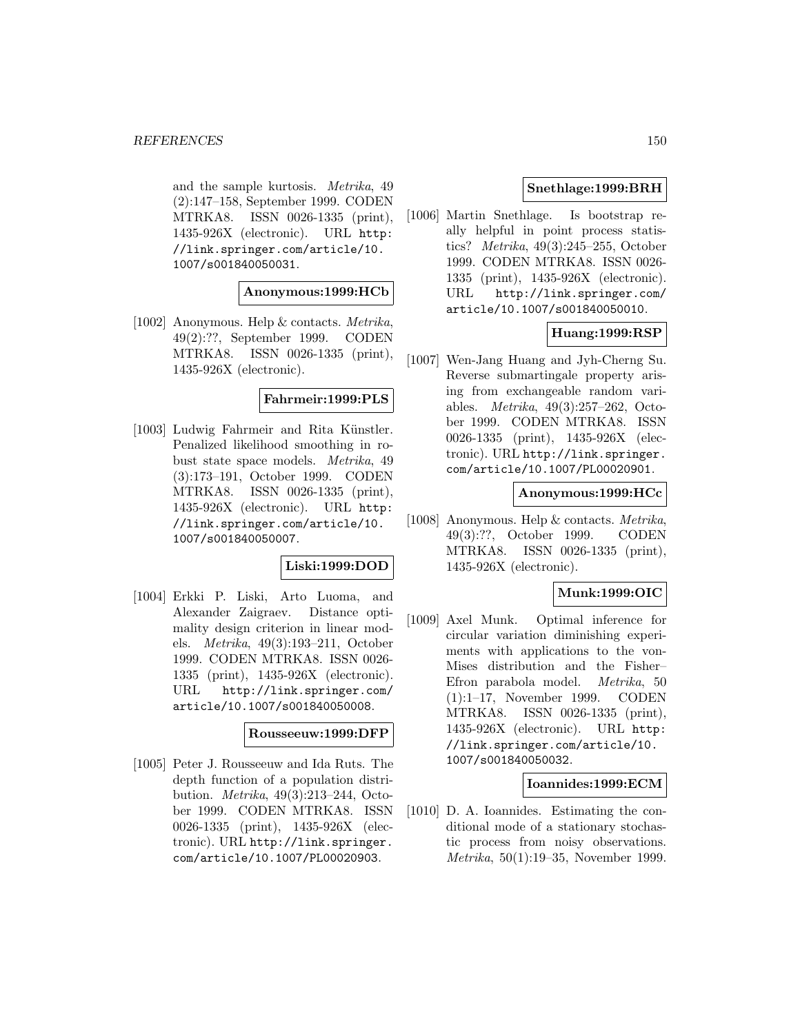and the sample kurtosis. Metrika, 49 (2):147–158, September 1999. CODEN MTRKA8. ISSN 0026-1335 (print), 1435-926X (electronic). URL http: //link.springer.com/article/10. 1007/s001840050031.

### **Anonymous:1999:HCb**

[1002] Anonymous. Help & contacts. Metrika, 49(2):??, September 1999. CODEN MTRKA8. ISSN 0026-1335 (print), 1435-926X (electronic).

### **Fahrmeir:1999:PLS**

[1003] Ludwig Fahrmeir and Rita Künstler. Penalized likelihood smoothing in robust state space models. Metrika, 49 (3):173–191, October 1999. CODEN MTRKA8. ISSN 0026-1335 (print), 1435-926X (electronic). URL http: //link.springer.com/article/10. 1007/s001840050007.

#### **Liski:1999:DOD**

[1004] Erkki P. Liski, Arto Luoma, and Alexander Zaigraev. Distance optimality design criterion in linear models. Metrika, 49(3):193–211, October 1999. CODEN MTRKA8. ISSN 0026- 1335 (print), 1435-926X (electronic). URL http://link.springer.com/ article/10.1007/s001840050008.

## **Rousseeuw:1999:DFP**

[1005] Peter J. Rousseeuw and Ida Ruts. The depth function of a population distribution. Metrika, 49(3):213–244, October 1999. CODEN MTRKA8. ISSN 0026-1335 (print), 1435-926X (electronic). URL http://link.springer. com/article/10.1007/PL00020903.

## **Snethlage:1999:BRH**

[1006] Martin Snethlage. Is bootstrap really helpful in point process statistics? Metrika, 49(3):245–255, October 1999. CODEN MTRKA8. ISSN 0026- 1335 (print), 1435-926X (electronic). URL http://link.springer.com/ article/10.1007/s001840050010.

## **Huang:1999:RSP**

[1007] Wen-Jang Huang and Jyh-Cherng Su. Reverse submartingale property arising from exchangeable random variables. Metrika, 49(3):257–262, October 1999. CODEN MTRKA8. ISSN 0026-1335 (print), 1435-926X (electronic). URL http://link.springer. com/article/10.1007/PL00020901.

#### **Anonymous:1999:HCc**

[1008] Anonymous. Help & contacts. Metrika, 49(3):??, October 1999. CODEN MTRKA8. ISSN 0026-1335 (print), 1435-926X (electronic).

## **Munk:1999:OIC**

[1009] Axel Munk. Optimal inference for circular variation diminishing experiments with applications to the von-Mises distribution and the Fisher– Efron parabola model. Metrika, 50 (1):1–17, November 1999. CODEN MTRKA8. ISSN 0026-1335 (print), 1435-926X (electronic). URL http: //link.springer.com/article/10. 1007/s001840050032.

### **Ioannides:1999:ECM**

[1010] D. A. Ioannides. Estimating the conditional mode of a stationary stochastic process from noisy observations. Metrika, 50(1):19–35, November 1999.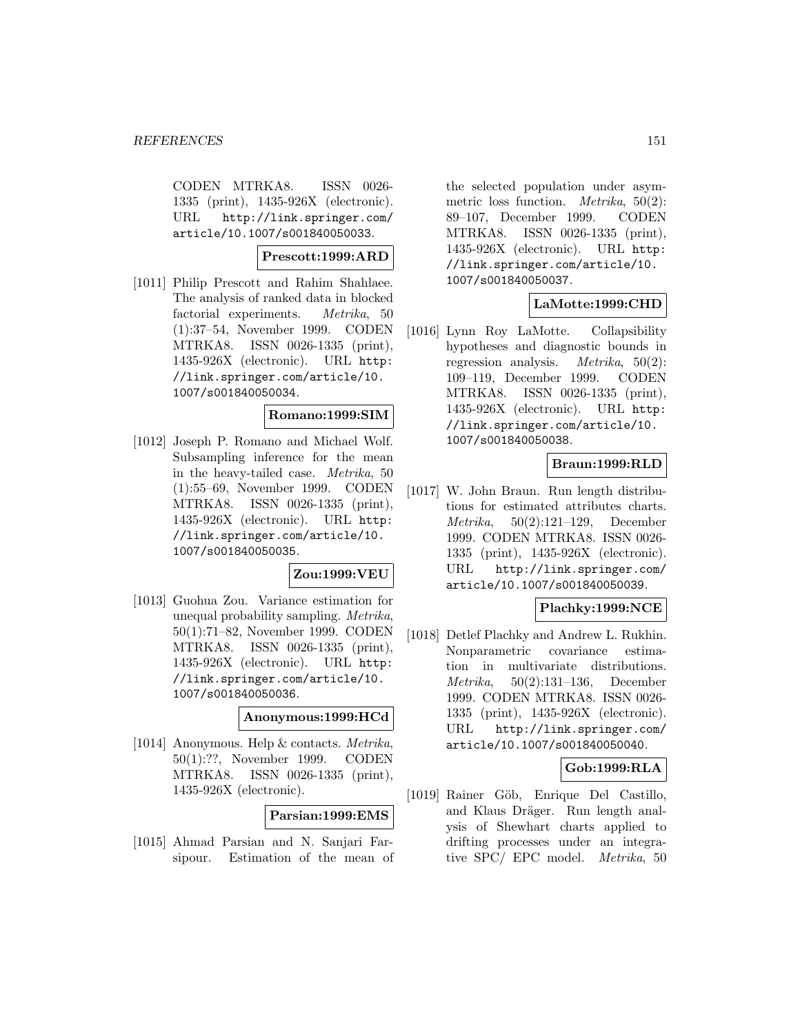CODEN MTRKA8. ISSN 0026- 1335 (print), 1435-926X (electronic). URL http://link.springer.com/ article/10.1007/s001840050033.

### **Prescott:1999:ARD**

[1011] Philip Prescott and Rahim Shahlaee. The analysis of ranked data in blocked factorial experiments. Metrika, 50 (1):37–54, November 1999. CODEN MTRKA8. ISSN 0026-1335 (print), 1435-926X (electronic). URL http: //link.springer.com/article/10. 1007/s001840050034.

#### **Romano:1999:SIM**

[1012] Joseph P. Romano and Michael Wolf. Subsampling inference for the mean in the heavy-tailed case. Metrika, 50 (1):55–69, November 1999. CODEN MTRKA8. ISSN 0026-1335 (print), 1435-926X (electronic). URL http: //link.springer.com/article/10. 1007/s001840050035.

## **Zou:1999:VEU**

[1013] Guohua Zou. Variance estimation for unequal probability sampling. Metrika, 50(1):71–82, November 1999. CODEN MTRKA8. ISSN 0026-1335 (print), 1435-926X (electronic). URL http: //link.springer.com/article/10. 1007/s001840050036.

### **Anonymous:1999:HCd**

[1014] Anonymous. Help & contacts. Metrika, 50(1):??, November 1999. CODEN MTRKA8. ISSN 0026-1335 (print), 1435-926X (electronic).

#### **Parsian:1999:EMS**

[1015] Ahmad Parsian and N. Sanjari Farsipour. Estimation of the mean of

the selected population under asymmetric loss function. Metrika, 50(2): 89–107, December 1999. CODEN MTRKA8. ISSN 0026-1335 (print), 1435-926X (electronic). URL http: //link.springer.com/article/10. 1007/s001840050037.

## **LaMotte:1999:CHD**

[1016] Lynn Roy LaMotte. Collapsibility hypotheses and diagnostic bounds in regression analysis. Metrika, 50(2): 109–119, December 1999. CODEN MTRKA8. ISSN 0026-1335 (print), 1435-926X (electronic). URL http: //link.springer.com/article/10. 1007/s001840050038.

## **Braun:1999:RLD**

[1017] W. John Braun. Run length distributions for estimated attributes charts. Metrika, 50(2):121–129, December 1999. CODEN MTRKA8. ISSN 0026- 1335 (print), 1435-926X (electronic). URL http://link.springer.com/ article/10.1007/s001840050039.

## **Plachky:1999:NCE**

[1018] Detlef Plachky and Andrew L. Rukhin. Nonparametric covariance estimation in multivariate distributions. Metrika, 50(2):131–136, December 1999. CODEN MTRKA8. ISSN 0026- 1335 (print), 1435-926X (electronic). URL http://link.springer.com/ article/10.1007/s001840050040.

# **Gob:1999:RLA**

[1019] Rainer Göb, Enrique Del Castillo, and Klaus Dräger. Run length analysis of Shewhart charts applied to drifting processes under an integrative SPC/ EPC model. Metrika, 50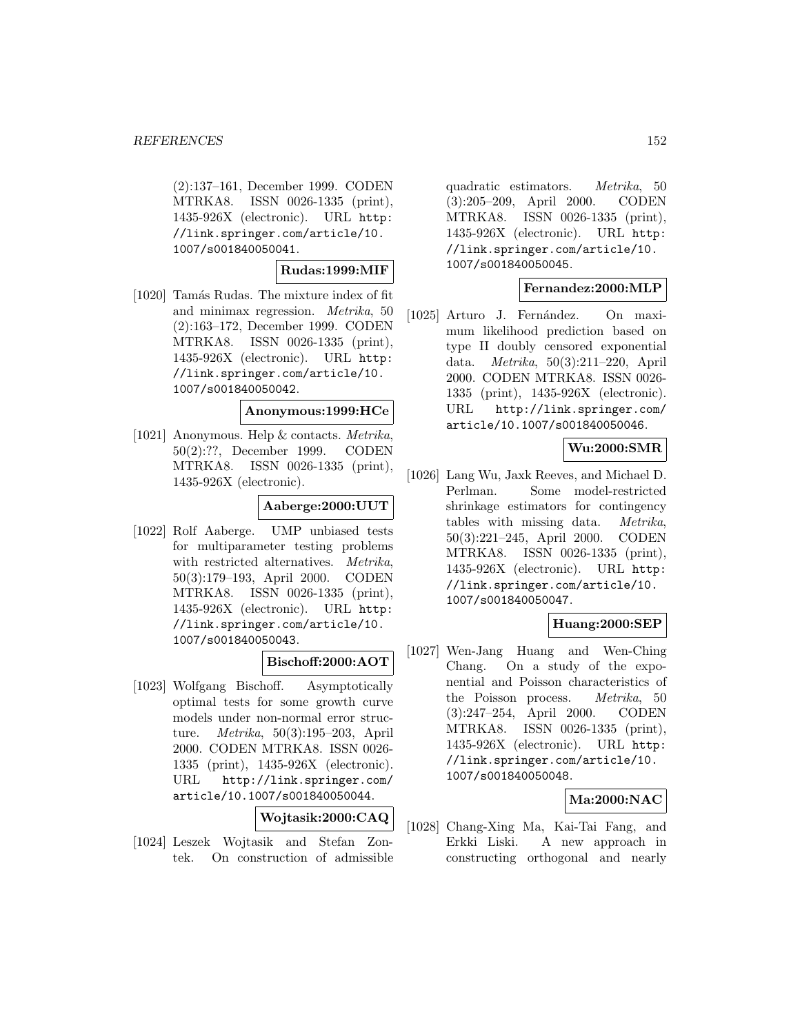(2):137–161, December 1999. CODEN MTRKA8. ISSN 0026-1335 (print), 1435-926X (electronic). URL http: //link.springer.com/article/10. 1007/s001840050041.

**Rudas:1999:MIF**

[1020] Tamás Rudas. The mixture index of fit and minimax regression. Metrika, 50 (2):163–172, December 1999. CODEN MTRKA8. ISSN 0026-1335 (print), 1435-926X (electronic). URL http: //link.springer.com/article/10. 1007/s001840050042.

# **Anonymous:1999:HCe**

[1021] Anonymous. Help & contacts. Metrika, 50(2):??, December 1999. CODEN MTRKA8. ISSN 0026-1335 (print), 1435-926X (electronic).

### **Aaberge:2000:UUT**

[1022] Rolf Aaberge. UMP unbiased tests for multiparameter testing problems with restricted alternatives. Metrika, 50(3):179–193, April 2000. CODEN MTRKA8. ISSN 0026-1335 (print), 1435-926X (electronic). URL http: //link.springer.com/article/10. 1007/s001840050043.

## **Bischoff:2000:AOT**

[1023] Wolfgang Bischoff. Asymptotically optimal tests for some growth curve models under non-normal error structure. Metrika, 50(3):195–203, April 2000. CODEN MTRKA8. ISSN 0026- 1335 (print), 1435-926X (electronic). URL http://link.springer.com/ article/10.1007/s001840050044.

**Wojtasik:2000:CAQ**

[1024] Leszek Wojtasik and Stefan Zontek. On construction of admissible

quadratic estimators. Metrika, 50 (3):205–209, April 2000. CODEN MTRKA8. ISSN 0026-1335 (print), 1435-926X (electronic). URL http: //link.springer.com/article/10. 1007/s001840050045.

### **Fernandez:2000:MLP**

[1025] Arturo J. Fernández. On maximum likelihood prediction based on type II doubly censored exponential data. Metrika, 50(3):211–220, April 2000. CODEN MTRKA8. ISSN 0026- 1335 (print), 1435-926X (electronic). URL http://link.springer.com/ article/10.1007/s001840050046.

## **Wu:2000:SMR**

[1026] Lang Wu, Jaxk Reeves, and Michael D. Perlman. Some model-restricted shrinkage estimators for contingency tables with missing data. Metrika, 50(3):221–245, April 2000. CODEN MTRKA8. ISSN 0026-1335 (print), 1435-926X (electronic). URL http: //link.springer.com/article/10. 1007/s001840050047.

# **Huang:2000:SEP**

[1027] Wen-Jang Huang and Wen-Ching Chang. On a study of the exponential and Poisson characteristics of the Poisson process. Metrika, 50 (3):247–254, April 2000. CODEN MTRKA8. ISSN 0026-1335 (print), 1435-926X (electronic). URL http: //link.springer.com/article/10. 1007/s001840050048.

## **Ma:2000:NAC**

[1028] Chang-Xing Ma, Kai-Tai Fang, and Erkki Liski. A new approach in constructing orthogonal and nearly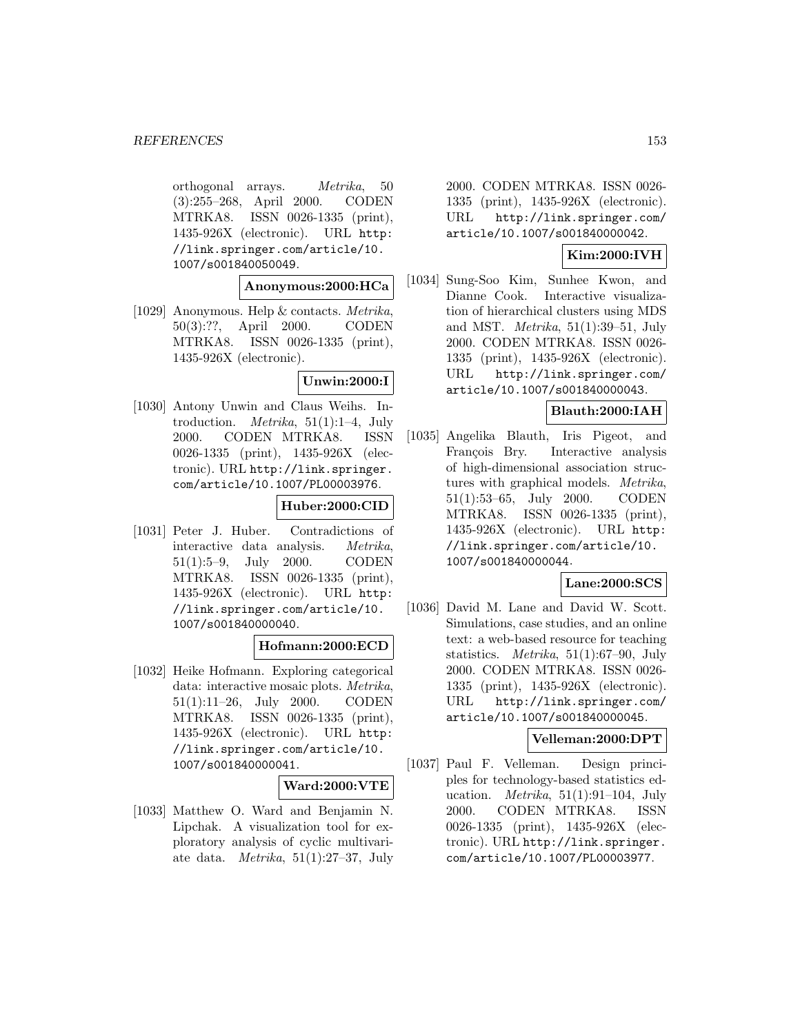orthogonal arrays. Metrika, 50 (3):255–268, April 2000. CODEN MTRKA8. ISSN 0026-1335 (print), 1435-926X (electronic). URL http: //link.springer.com/article/10. 1007/s001840050049.

## **Anonymous:2000:HCa**

[1029] Anonymous. Help & contacts. Metrika, 50(3):??, April 2000. CODEN MTRKA8. ISSN 0026-1335 (print), 1435-926X (electronic).

## **Unwin:2000:I**

[1030] Antony Unwin and Claus Weihs. Introduction. *Metrika*,  $51(1):1-4$ , July 2000. CODEN MTRKA8. ISSN 0026-1335 (print), 1435-926X (electronic). URL http://link.springer. com/article/10.1007/PL00003976.

## **Huber:2000:CID**

[1031] Peter J. Huber. Contradictions of interactive data analysis. Metrika, 51(1):5–9, July 2000. CODEN MTRKA8. ISSN 0026-1335 (print), 1435-926X (electronic). URL http: //link.springer.com/article/10. 1007/s001840000040.

# **Hofmann:2000:ECD**

[1032] Heike Hofmann. Exploring categorical data: interactive mosaic plots. Metrika, 51(1):11–26, July 2000. CODEN MTRKA8. ISSN 0026-1335 (print), 1435-926X (electronic). URL http: //link.springer.com/article/10. 1007/s001840000041.

#### **Ward:2000:VTE**

[1033] Matthew O. Ward and Benjamin N. Lipchak. A visualization tool for exploratory analysis of cyclic multivariate data. *Metrika*,  $51(1):27-37$ , July

2000. CODEN MTRKA8. ISSN 0026- 1335 (print), 1435-926X (electronic). URL http://link.springer.com/ article/10.1007/s001840000042.

### **Kim:2000:IVH**

[1034] Sung-Soo Kim, Sunhee Kwon, and Dianne Cook. Interactive visualization of hierarchical clusters using MDS and MST. *Metrika*,  $51(1):39-51$ , July 2000. CODEN MTRKA8. ISSN 0026- 1335 (print), 1435-926X (electronic). URL http://link.springer.com/ article/10.1007/s001840000043.

## **Blauth:2000:IAH**

[1035] Angelika Blauth, Iris Pigeot, and François Bry. Interactive analysis of high-dimensional association structures with graphical models. Metrika, 51(1):53–65, July 2000. CODEN MTRKA8. ISSN 0026-1335 (print), 1435-926X (electronic). URL http: //link.springer.com/article/10. 1007/s001840000044.

# **Lane:2000:SCS**

[1036] David M. Lane and David W. Scott. Simulations, case studies, and an online text: a web-based resource for teaching statistics. Metrika, 51(1):67–90, July 2000. CODEN MTRKA8. ISSN 0026- 1335 (print), 1435-926X (electronic). URL http://link.springer.com/ article/10.1007/s001840000045.

## **Velleman:2000:DPT**

[1037] Paul F. Velleman. Design principles for technology-based statistics education. *Metrika*,  $51(1):91-104$ , July 2000. CODEN MTRKA8. ISSN 0026-1335 (print), 1435-926X (electronic). URL http://link.springer. com/article/10.1007/PL00003977.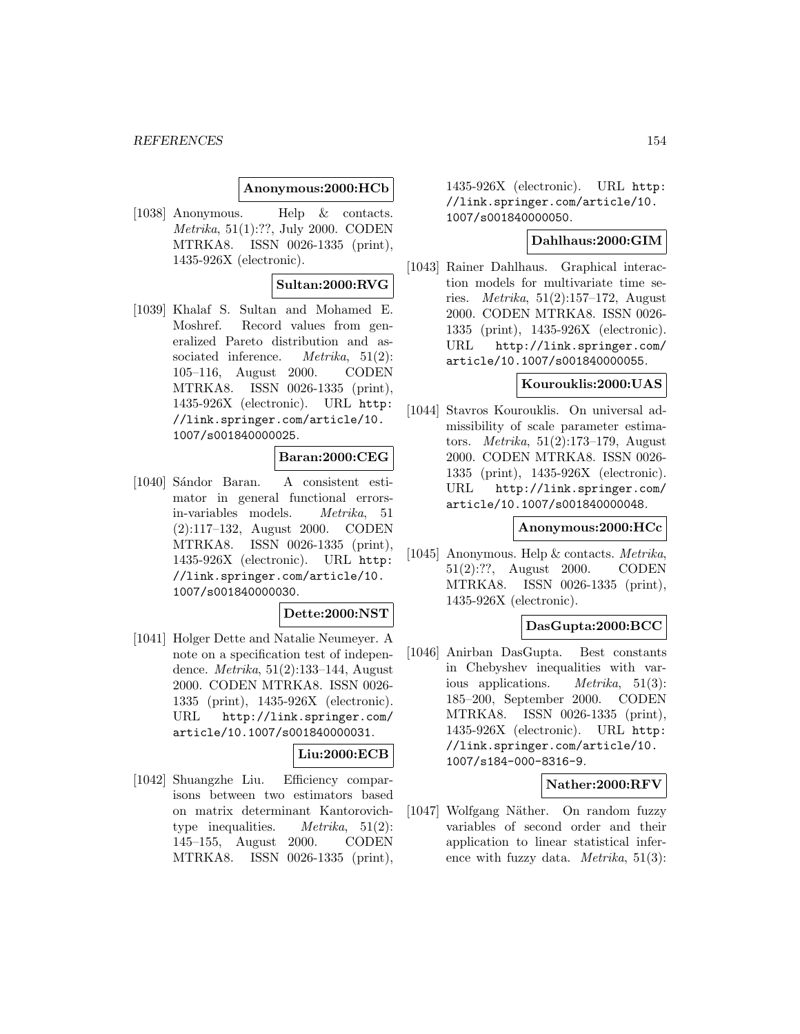### **Anonymous:2000:HCb**

[1038] Anonymous. Help & contacts. Metrika, 51(1):??, July 2000. CODEN MTRKA8. ISSN 0026-1335 (print), 1435-926X (electronic).

## **Sultan:2000:RVG**

[1039] Khalaf S. Sultan and Mohamed E. Moshref. Record values from generalized Pareto distribution and associated inference. *Metrika*, 51(2): 105–116, August 2000. CODEN MTRKA8. ISSN 0026-1335 (print), 1435-926X (electronic). URL http: //link.springer.com/article/10. 1007/s001840000025.

## **Baran:2000:CEG**

[1040] Sándor Baran. A consistent estimator in general functional errorsin-variables models. Metrika, 51 (2):117–132, August 2000. CODEN MTRKA8. ISSN 0026-1335 (print), 1435-926X (electronic). URL http: //link.springer.com/article/10. 1007/s001840000030.

#### **Dette:2000:NST**

[1041] Holger Dette and Natalie Neumeyer. A note on a specification test of independence. Metrika, 51(2):133–144, August 2000. CODEN MTRKA8. ISSN 0026- 1335 (print), 1435-926X (electronic). URL http://link.springer.com/ article/10.1007/s001840000031.

# **Liu:2000:ECB**

[1042] Shuangzhe Liu. Efficiency comparisons between two estimators based on matrix determinant Kantorovichtype inequalities. *Metrika*,  $51(2)$ : 145–155, August 2000. CODEN MTRKA8. ISSN 0026-1335 (print),

1435-926X (electronic). URL http: //link.springer.com/article/10. 1007/s001840000050.

#### **Dahlhaus:2000:GIM**

[1043] Rainer Dahlhaus. Graphical interaction models for multivariate time series. Metrika, 51(2):157–172, August 2000. CODEN MTRKA8. ISSN 0026- 1335 (print), 1435-926X (electronic). URL http://link.springer.com/ article/10.1007/s001840000055.

#### **Kourouklis:2000:UAS**

[1044] Stavros Kourouklis. On universal admissibility of scale parameter estimators. Metrika, 51(2):173–179, August 2000. CODEN MTRKA8. ISSN 0026- 1335 (print), 1435-926X (electronic). URL http://link.springer.com/ article/10.1007/s001840000048.

#### **Anonymous:2000:HCc**

[1045] Anonymous. Help & contacts. Metrika, 51(2):??, August 2000. CODEN MTRKA8. ISSN 0026-1335 (print), 1435-926X (electronic).

#### **DasGupta:2000:BCC**

[1046] Anirban DasGupta. Best constants in Chebyshev inequalities with various applications. Metrika, 51(3): 185–200, September 2000. CODEN MTRKA8. ISSN 0026-1335 (print), 1435-926X (electronic). URL http: //link.springer.com/article/10. 1007/s184-000-8316-9.

#### **Nather:2000:RFV**

[1047] Wolfgang Näther. On random fuzzy variables of second order and their application to linear statistical inference with fuzzy data. *Metrika*,  $51(3)$ :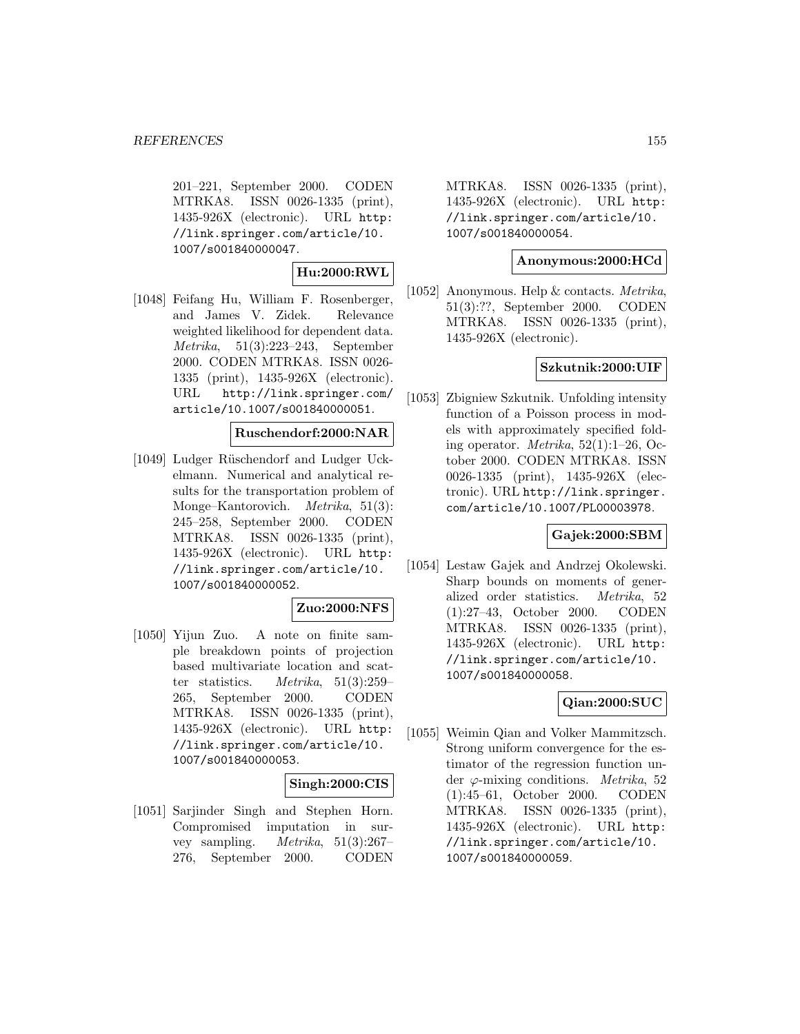201–221, September 2000. CODEN MTRKA8. ISSN 0026-1335 (print), 1435-926X (electronic). URL http: //link.springer.com/article/10. 1007/s001840000047.

# **Hu:2000:RWL**

[1048] Feifang Hu, William F. Rosenberger, and James V. Zidek. Relevance weighted likelihood for dependent data. Metrika, 51(3):223–243, September 2000. CODEN MTRKA8. ISSN 0026- 1335 (print), 1435-926X (electronic). URL http://link.springer.com/ article/10.1007/s001840000051.

### **Ruschendorf:2000:NAR**

[1049] Ludger Rüschendorf and Ludger Uckelmann. Numerical and analytical results for the transportation problem of Monge–Kantorovich. *Metrika*, 51(3): 245–258, September 2000. CODEN MTRKA8. ISSN 0026-1335 (print), 1435-926X (electronic). URL http: //link.springer.com/article/10. 1007/s001840000052.

## **Zuo:2000:NFS**

[1050] Yijun Zuo. A note on finite sample breakdown points of projection based multivariate location and scatter statistics. Metrika, 51(3):259– 265, September 2000. CODEN MTRKA8. ISSN 0026-1335 (print), 1435-926X (electronic). URL http: //link.springer.com/article/10. 1007/s001840000053.

## **Singh:2000:CIS**

[1051] Sarjinder Singh and Stephen Horn. Compromised imputation in survey sampling.  $Metrika$ ,  $51(3):267-$ 276, September 2000. CODEN

MTRKA8. ISSN 0026-1335 (print), 1435-926X (electronic). URL http: //link.springer.com/article/10. 1007/s001840000054.

### **Anonymous:2000:HCd**

[1052] Anonymous. Help & contacts. Metrika, 51(3):??, September 2000. CODEN MTRKA8. ISSN 0026-1335 (print), 1435-926X (electronic).

## **Szkutnik:2000:UIF**

[1053] Zbigniew Szkutnik. Unfolding intensity function of a Poisson process in models with approximately specified folding operator. Metrika, 52(1):1–26, October 2000. CODEN MTRKA8. ISSN 0026-1335 (print), 1435-926X (electronic). URL http://link.springer. com/article/10.1007/PL00003978.

## **Gajek:2000:SBM**

[1054] Lestaw Gajek and Andrzej Okolewski. Sharp bounds on moments of generalized order statistics. Metrika, 52 (1):27–43, October 2000. CODEN MTRKA8. ISSN 0026-1335 (print), 1435-926X (electronic). URL http: //link.springer.com/article/10. 1007/s001840000058.

## **Qian:2000:SUC**

[1055] Weimin Qian and Volker Mammitzsch. Strong uniform convergence for the estimator of the regression function under  $\varphi$ -mixing conditions. *Metrika*, 52 (1):45–61, October 2000. CODEN MTRKA8. ISSN 0026-1335 (print), 1435-926X (electronic). URL http: //link.springer.com/article/10. 1007/s001840000059.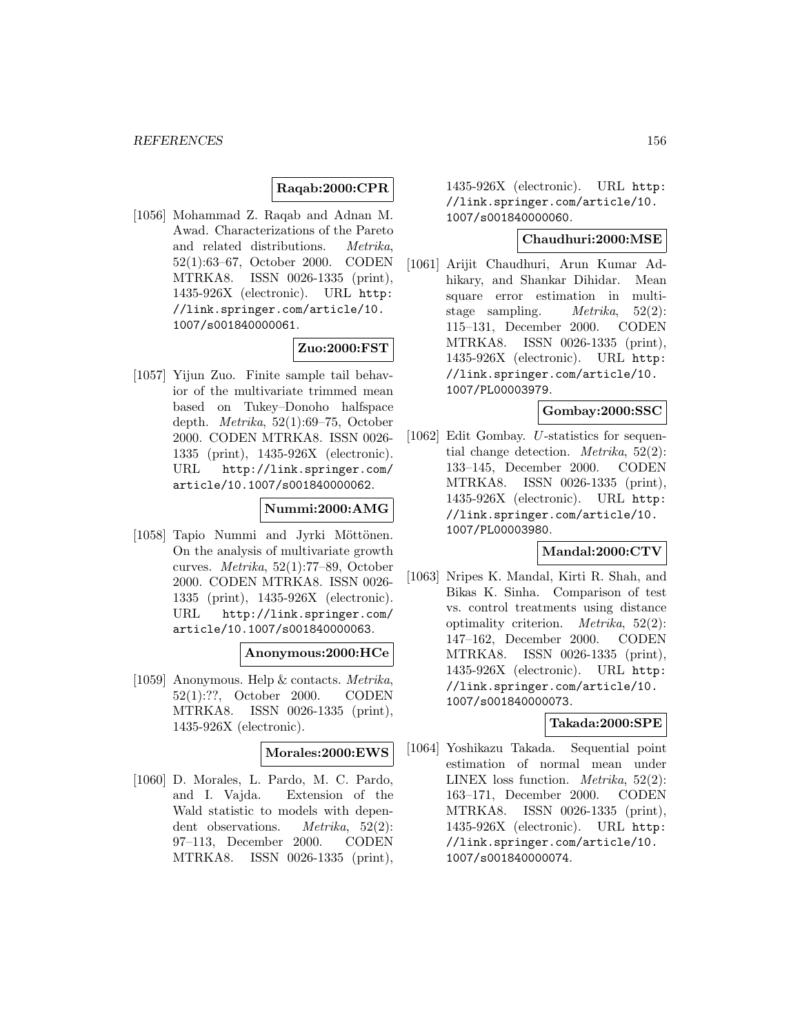# **Raqab:2000:CPR**

[1056] Mohammad Z. Raqab and Adnan M. Awad. Characterizations of the Pareto and related distributions. Metrika, 52(1):63–67, October 2000. CODEN MTRKA8. ISSN 0026-1335 (print), 1435-926X (electronic). URL http: //link.springer.com/article/10. 1007/s001840000061.

# **Zuo:2000:FST**

[1057] Yijun Zuo. Finite sample tail behavior of the multivariate trimmed mean based on Tukey–Donoho halfspace depth. Metrika, 52(1):69–75, October 2000. CODEN MTRKA8. ISSN 0026- 1335 (print), 1435-926X (electronic). URL http://link.springer.com/ article/10.1007/s001840000062.

## **Nummi:2000:AMG**

[1058] Tapio Nummi and Jyrki Möttönen. On the analysis of multivariate growth curves. Metrika, 52(1):77–89, October 2000. CODEN MTRKA8. ISSN 0026- 1335 (print), 1435-926X (electronic). URL http://link.springer.com/ article/10.1007/s001840000063.

## **Anonymous:2000:HCe**

[1059] Anonymous. Help & contacts. Metrika, 52(1):??, October 2000. CODEN MTRKA8. ISSN 0026-1335 (print), 1435-926X (electronic).

## **Morales:2000:EWS**

[1060] D. Morales, L. Pardo, M. C. Pardo, and I. Vajda. Extension of the Wald statistic to models with dependent observations. *Metrika*, 52(2): 97–113, December 2000. CODEN MTRKA8. ISSN 0026-1335 (print),

1435-926X (electronic). URL http: //link.springer.com/article/10. 1007/s001840000060.

# **Chaudhuri:2000:MSE**

[1061] Arijit Chaudhuri, Arun Kumar Adhikary, and Shankar Dihidar. Mean square error estimation in multistage sampling. *Metrika*, 52(2): 115–131, December 2000. CODEN MTRKA8. ISSN 0026-1335 (print), 1435-926X (electronic). URL http: //link.springer.com/article/10. 1007/PL00003979.

## **Gombay:2000:SSC**

[1062] Edit Gombay. U-statistics for sequential change detection. Metrika, 52(2): 133–145, December 2000. CODEN MTRKA8. ISSN 0026-1335 (print), 1435-926X (electronic). URL http: //link.springer.com/article/10. 1007/PL00003980.

## **Mandal:2000:CTV**

[1063] Nripes K. Mandal, Kirti R. Shah, and Bikas K. Sinha. Comparison of test vs. control treatments using distance optimality criterion. Metrika, 52(2): 147–162, December 2000. CODEN MTRKA8. ISSN 0026-1335 (print), 1435-926X (electronic). URL http: //link.springer.com/article/10. 1007/s001840000073.

## **Takada:2000:SPE**

[1064] Yoshikazu Takada. Sequential point estimation of normal mean under LINEX loss function. Metrika, 52(2): 163–171, December 2000. CODEN MTRKA8. ISSN 0026-1335 (print), 1435-926X (electronic). URL http: //link.springer.com/article/10. 1007/s001840000074.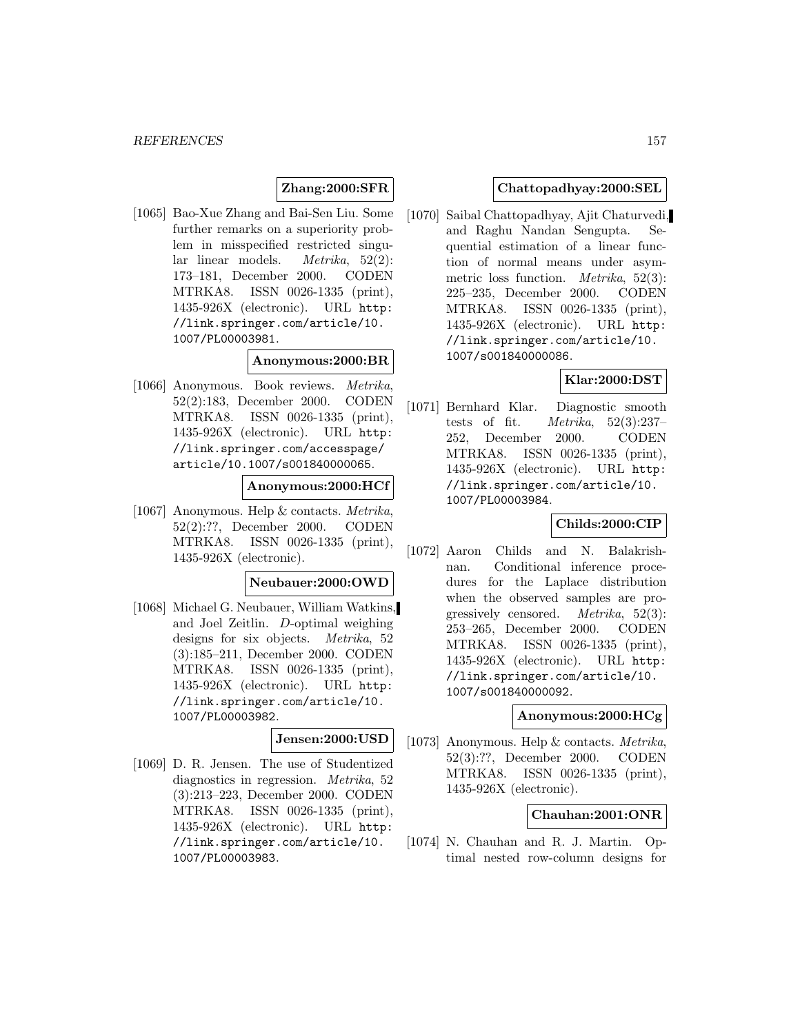# **Zhang:2000:SFR**

[1065] Bao-Xue Zhang and Bai-Sen Liu. Some further remarks on a superiority problem in misspecified restricted singular linear models. Metrika, 52(2): 173–181, December 2000. CODEN MTRKA8. ISSN 0026-1335 (print), 1435-926X (electronic). URL http: //link.springer.com/article/10. 1007/PL00003981.

### **Anonymous:2000:BR**

[1066] Anonymous. Book reviews. Metrika, 52(2):183, December 2000. CODEN MTRKA8. ISSN 0026-1335 (print), 1435-926X (electronic). URL http: //link.springer.com/accesspage/ article/10.1007/s001840000065.

## **Anonymous:2000:HCf**

[1067] Anonymous. Help & contacts. Metrika, 52(2):??, December 2000. CODEN MTRKA8. ISSN 0026-1335 (print), 1435-926X (electronic).

# **Neubauer:2000:OWD**

[1068] Michael G. Neubauer, William Watkins, and Joel Zeitlin. D-optimal weighing designs for six objects. Metrika, 52 (3):185–211, December 2000. CODEN MTRKA8. ISSN 0026-1335 (print), 1435-926X (electronic). URL http: //link.springer.com/article/10. 1007/PL00003982.

# **Jensen:2000:USD**

[1069] D. R. Jensen. The use of Studentized diagnostics in regression. Metrika, 52 (3):213–223, December 2000. CODEN MTRKA8. ISSN 0026-1335 (print), 1435-926X (electronic). URL http: //link.springer.com/article/10. 1007/PL00003983.

## **Chattopadhyay:2000:SEL**

[1070] Saibal Chattopadhyay, Ajit Chaturvedi, and Raghu Nandan Sengupta. Sequential estimation of a linear function of normal means under asymmetric loss function. Metrika, 52(3): 225–235, December 2000. CODEN MTRKA8. ISSN 0026-1335 (print), 1435-926X (electronic). URL http: //link.springer.com/article/10. 1007/s001840000086.

# **Klar:2000:DST**

[1071] Bernhard Klar. Diagnostic smooth tests of fit.  $Metrika$ ,  $52(3):237-$ 252, December 2000. CODEN MTRKA8. ISSN 0026-1335 (print), 1435-926X (electronic). URL http: //link.springer.com/article/10. 1007/PL00003984.

## **Childs:2000:CIP**

[1072] Aaron Childs and N. Balakrishnan. Conditional inference procedures for the Laplace distribution when the observed samples are progressively censored. Metrika, 52(3): 253–265, December 2000. CODEN MTRKA8. ISSN 0026-1335 (print), 1435-926X (electronic). URL http: //link.springer.com/article/10. 1007/s001840000092.

#### **Anonymous:2000:HCg**

[1073] Anonymous. Help & contacts. Metrika, 52(3):??, December 2000. CODEN MTRKA8. ISSN 0026-1335 (print), 1435-926X (electronic).

#### **Chauhan:2001:ONR**

[1074] N. Chauhan and R. J. Martin. Optimal nested row-column designs for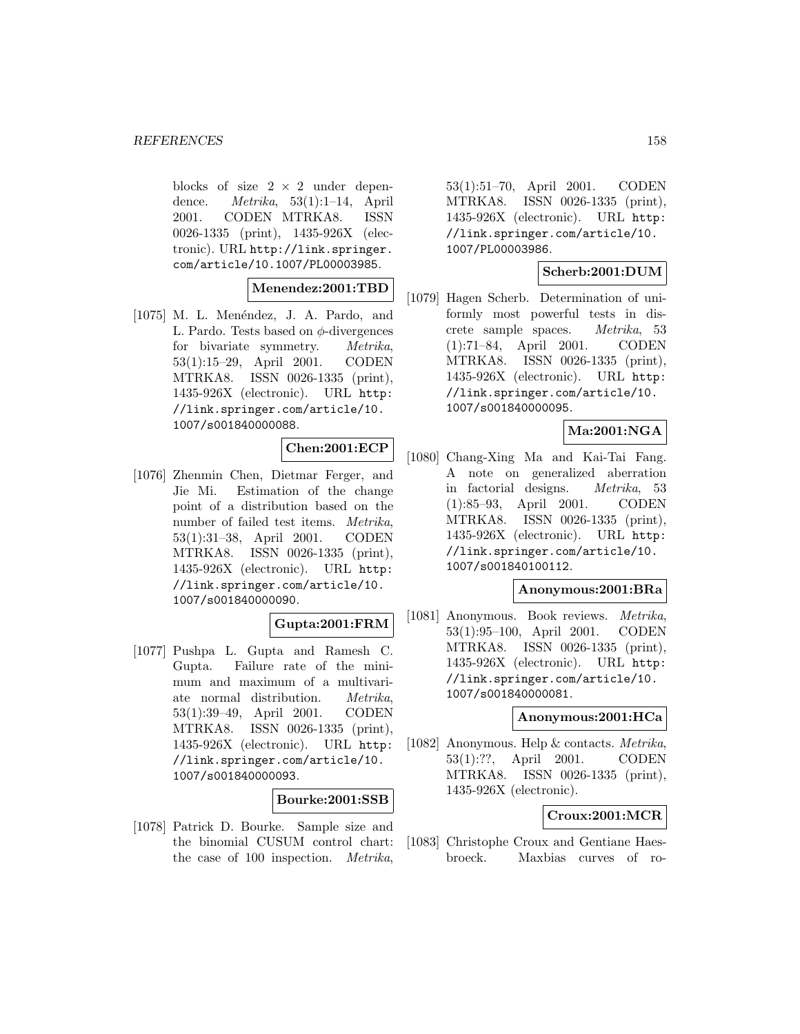blocks of size  $2 \times 2$  under dependence.  $Metrika$ , 53(1):1-14, April 2001. CODEN MTRKA8. ISSN 0026-1335 (print), 1435-926X (electronic). URL http://link.springer. com/article/10.1007/PL00003985.

**Menendez:2001:TBD**

[1075] M. L. Menéndez, J. A. Pardo, and L. Pardo. Tests based on  $\phi$ -divergences for bivariate symmetry. Metrika, 53(1):15–29, April 2001. CODEN MTRKA8. ISSN 0026-1335 (print), 1435-926X (electronic). URL http: //link.springer.com/article/10. 1007/s001840000088.

### **Chen:2001:ECP**

[1076] Zhenmin Chen, Dietmar Ferger, and Jie Mi. Estimation of the change point of a distribution based on the number of failed test items. Metrika, 53(1):31–38, April 2001. CODEN MTRKA8. ISSN 0026-1335 (print), 1435-926X (electronic). URL http: //link.springer.com/article/10. 1007/s001840000090.

## **Gupta:2001:FRM**

[1077] Pushpa L. Gupta and Ramesh C. Gupta. Failure rate of the minimum and maximum of a multivariate normal distribution. Metrika, 53(1):39–49, April 2001. CODEN MTRKA8. ISSN 0026-1335 (print), 1435-926X (electronic). URL http: //link.springer.com/article/10. 1007/s001840000093.

#### **Bourke:2001:SSB**

[1078] Patrick D. Bourke. Sample size and the binomial CUSUM control chart: the case of 100 inspection. Metrika,

53(1):51–70, April 2001. CODEN MTRKA8. ISSN 0026-1335 (print), 1435-926X (electronic). URL http: //link.springer.com/article/10. 1007/PL00003986.

## **Scherb:2001:DUM**

[1079] Hagen Scherb. Determination of uniformly most powerful tests in discrete sample spaces. Metrika, 53 (1):71–84, April 2001. CODEN MTRKA8. ISSN 0026-1335 (print), 1435-926X (electronic). URL http: //link.springer.com/article/10. 1007/s001840000095.

# **Ma:2001:NGA**

[1080] Chang-Xing Ma and Kai-Tai Fang. A note on generalized aberration in factorial designs. Metrika, 53 (1):85–93, April 2001. CODEN MTRKA8. ISSN 0026-1335 (print), 1435-926X (electronic). URL http: //link.springer.com/article/10. 1007/s001840100112.

### **Anonymous:2001:BRa**

[1081] Anonymous. Book reviews. Metrika, 53(1):95–100, April 2001. CODEN MTRKA8. ISSN 0026-1335 (print), 1435-926X (electronic). URL http: //link.springer.com/article/10. 1007/s001840000081.

## **Anonymous:2001:HCa**

[1082] Anonymous. Help & contacts. Metrika, 53(1):??, April 2001. CODEN MTRKA8. ISSN 0026-1335 (print), 1435-926X (electronic).

## **Croux:2001:MCR**

[1083] Christophe Croux and Gentiane Haesbroeck. Maxbias curves of ro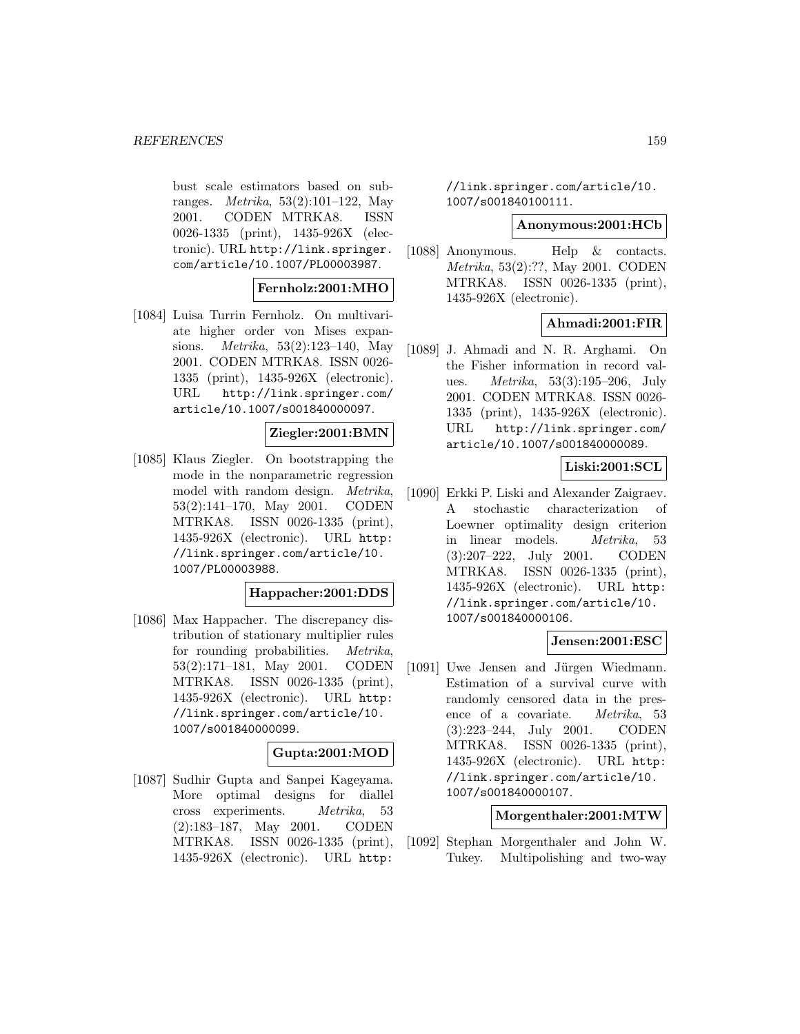bust scale estimators based on subranges. Metrika, 53(2):101–122, May 2001. CODEN MTRKA8. ISSN 0026-1335 (print), 1435-926X (electronic). URL http://link.springer. com/article/10.1007/PL00003987.

### **Fernholz:2001:MHO**

[1084] Luisa Turrin Fernholz. On multivariate higher order von Mises expansions. Metrika, 53(2):123–140, May 2001. CODEN MTRKA8. ISSN 0026- 1335 (print), 1435-926X (electronic). URL http://link.springer.com/ article/10.1007/s001840000097.

### **Ziegler:2001:BMN**

[1085] Klaus Ziegler. On bootstrapping the mode in the nonparametric regression model with random design. Metrika, 53(2):141–170, May 2001. CODEN MTRKA8. ISSN 0026-1335 (print), 1435-926X (electronic). URL http: //link.springer.com/article/10. 1007/PL00003988.

#### **Happacher:2001:DDS**

[1086] Max Happacher. The discrepancy distribution of stationary multiplier rules for rounding probabilities. Metrika, 53(2):171–181, May 2001. CODEN MTRKA8. ISSN 0026-1335 (print), 1435-926X (electronic). URL http: //link.springer.com/article/10. 1007/s001840000099.

# **Gupta:2001:MOD**

[1087] Sudhir Gupta and Sanpei Kageyama. More optimal designs for diallel cross experiments. Metrika, 53 (2):183–187, May 2001. CODEN MTRKA8. ISSN 0026-1335 (print), 1435-926X (electronic). URL http:

//link.springer.com/article/10. 1007/s001840100111.

## **Anonymous:2001:HCb**

[1088] Anonymous. Help & contacts. Metrika, 53(2):??, May 2001. CODEN MTRKA8. ISSN 0026-1335 (print), 1435-926X (electronic).

# **Ahmadi:2001:FIR**

[1089] J. Ahmadi and N. R. Arghami. On the Fisher information in record values. Metrika, 53(3):195–206, July 2001. CODEN MTRKA8. ISSN 0026- 1335 (print), 1435-926X (electronic). URL http://link.springer.com/ article/10.1007/s001840000089.

## **Liski:2001:SCL**

[1090] Erkki P. Liski and Alexander Zaigraev. A stochastic characterization of Loewner optimality design criterion in linear models. Metrika, 53 (3):207–222, July 2001. CODEN MTRKA8. ISSN 0026-1335 (print), 1435-926X (electronic). URL http: //link.springer.com/article/10. 1007/s001840000106.

#### **Jensen:2001:ESC**

[1091] Uwe Jensen and Jürgen Wiedmann. Estimation of a survival curve with randomly censored data in the presence of a covariate. Metrika, 53 (3):223–244, July 2001. CODEN MTRKA8. ISSN 0026-1335 (print), 1435-926X (electronic). URL http: //link.springer.com/article/10. 1007/s001840000107.

### **Morgenthaler:2001:MTW**

[1092] Stephan Morgenthaler and John W. Tukey. Multipolishing and two-way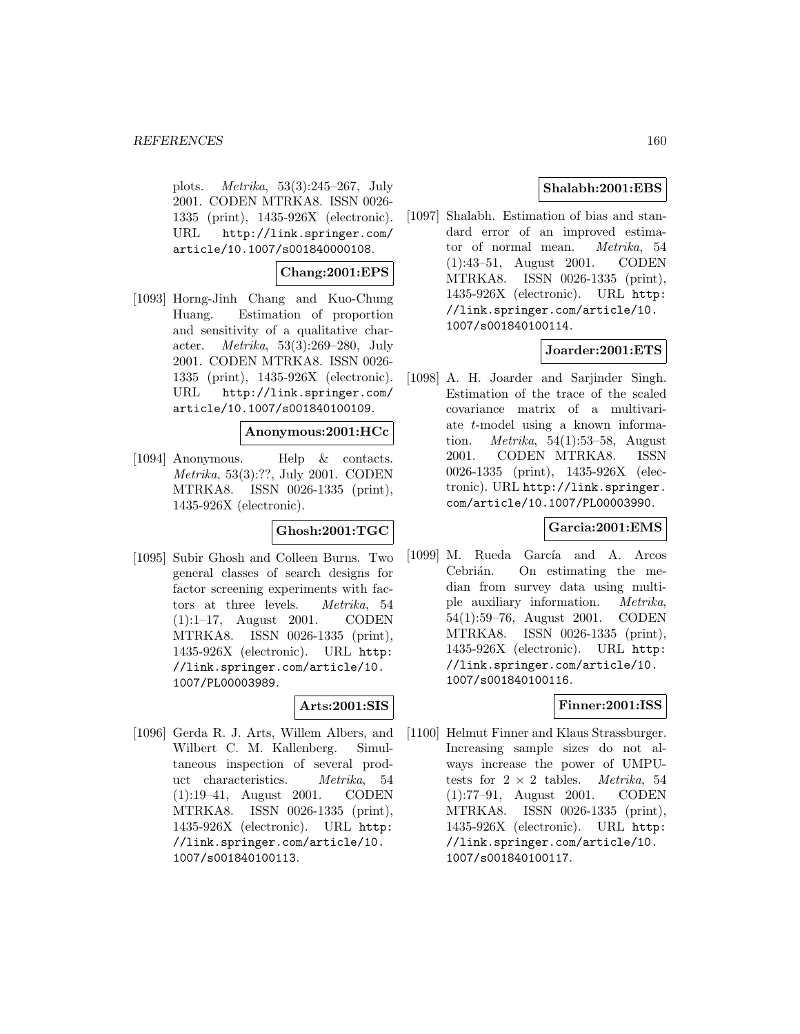plots. Metrika, 53(3):245–267, July 2001. CODEN MTRKA8. ISSN 0026- 1335 (print), 1435-926X (electronic). URL http://link.springer.com/ article/10.1007/s001840000108.

# **Chang:2001:EPS**

[1093] Horng-Jinh Chang and Kuo-Chung Huang. Estimation of proportion and sensitivity of a qualitative character. Metrika, 53(3):269–280, July 2001. CODEN MTRKA8. ISSN 0026- 1335 (print), 1435-926X (electronic). URL http://link.springer.com/ article/10.1007/s001840100109.

## **Anonymous:2001:HCc**

[1094] Anonymous. Help & contacts. Metrika, 53(3):??, July 2001. CODEN MTRKA8. ISSN 0026-1335 (print), 1435-926X (electronic).

# **Ghosh:2001:TGC**

[1095] Subir Ghosh and Colleen Burns. Two general classes of search designs for factor screening experiments with factors at three levels. Metrika, 54 (1):1–17, August 2001. CODEN MTRKA8. ISSN 0026-1335 (print), 1435-926X (electronic). URL http: //link.springer.com/article/10. 1007/PL00003989.

# **Arts:2001:SIS**

[1096] Gerda R. J. Arts, Willem Albers, and Wilbert C. M. Kallenberg. Simultaneous inspection of several product characteristics. Metrika, 54 (1):19–41, August 2001. CODEN MTRKA8. ISSN 0026-1335 (print), 1435-926X (electronic). URL http: //link.springer.com/article/10. 1007/s001840100113.

# **Shalabh:2001:EBS**

[1097] Shalabh. Estimation of bias and standard error of an improved estimator of normal mean. Metrika, 54 (1):43–51, August 2001. CODEN MTRKA8. ISSN 0026-1335 (print), 1435-926X (electronic). URL http: //link.springer.com/article/10. 1007/s001840100114.

## **Joarder:2001:ETS**

[1098] A. H. Joarder and Sarjinder Singh. Estimation of the trace of the scaled covariance matrix of a multivariate t-model using a known information. Metrika, 54(1):53–58, August 2001. CODEN MTRKA8. ISSN 0026-1335 (print), 1435-926X (electronic). URL http://link.springer. com/article/10.1007/PL00003990.

## **Garcia:2001:EMS**

[1099] M. Rueda García and A. Arcos Cebrián. On estimating the median from survey data using multiple auxiliary information. Metrika, 54(1):59–76, August 2001. CODEN MTRKA8. ISSN 0026-1335 (print), 1435-926X (electronic). URL http: //link.springer.com/article/10. 1007/s001840100116.

## **Finner:2001:ISS**

[1100] Helmut Finner and Klaus Strassburger. Increasing sample sizes do not always increase the power of UMPUtests for  $2 \times 2$  tables. *Metrika*, 54 (1):77–91, August 2001. CODEN MTRKA8. ISSN 0026-1335 (print), 1435-926X (electronic). URL http: //link.springer.com/article/10. 1007/s001840100117.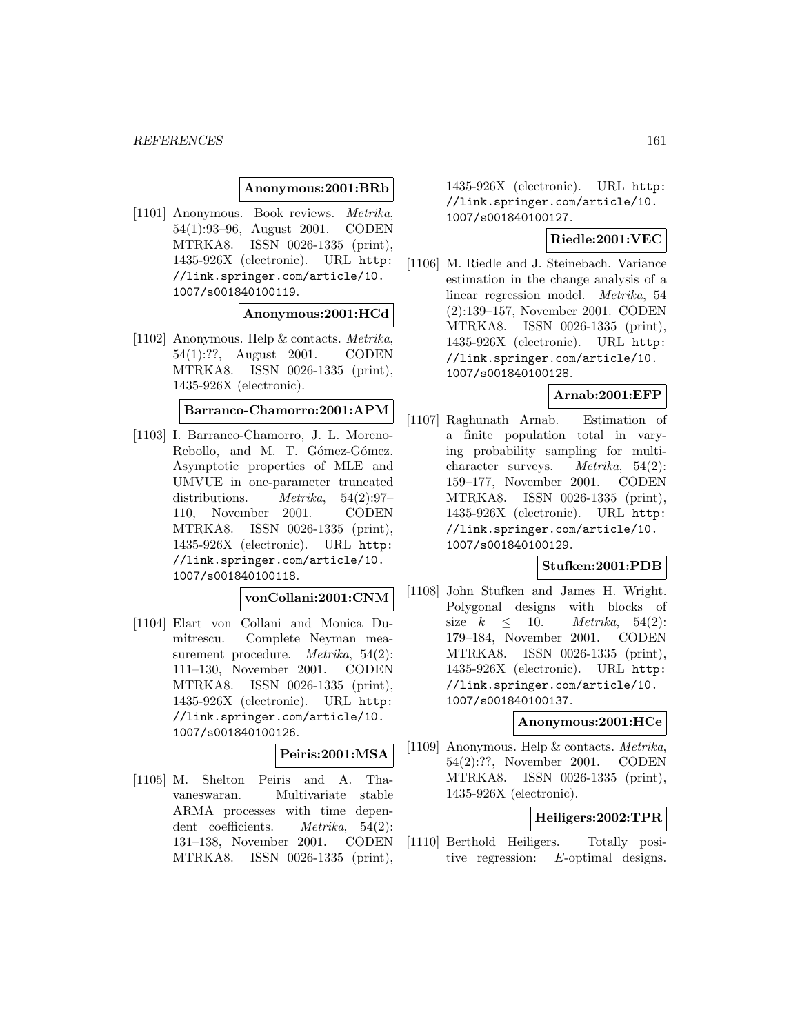### **Anonymous:2001:BRb**

[1101] Anonymous. Book reviews. Metrika, 54(1):93–96, August 2001. CODEN MTRKA8. ISSN 0026-1335 (print), 1435-926X (electronic). URL http: //link.springer.com/article/10. 1007/s001840100119.

### **Anonymous:2001:HCd**

[1102] Anonymous. Help & contacts. Metrika, 54(1):??, August 2001. CODEN MTRKA8. ISSN 0026-1335 (print), 1435-926X (electronic).

# **Barranco-Chamorro:2001:APM**

[1103] I. Barranco-Chamorro, J. L. Moreno-Rebollo, and M. T. Gómez-Gómez. Asymptotic properties of MLE and UMVUE in one-parameter truncated distributions. Metrika, 54(2):97– 110, November 2001. CODEN MTRKA8. ISSN 0026-1335 (print), 1435-926X (electronic). URL http: //link.springer.com/article/10. 1007/s001840100118.

### **vonCollani:2001:CNM**

[1104] Elart von Collani and Monica Dumitrescu. Complete Neyman measurement procedure. Metrika, 54(2): 111–130, November 2001. CODEN MTRKA8. ISSN 0026-1335 (print), 1435-926X (electronic). URL http: //link.springer.com/article/10. 1007/s001840100126.

#### **Peiris:2001:MSA**

[1105] M. Shelton Peiris and A. Thavaneswaran. Multivariate stable ARMA processes with time dependent coefficients. *Metrika*, 54(2): 131–138, November 2001. CODEN MTRKA8. ISSN 0026-1335 (print),

1435-926X (electronic). URL http: //link.springer.com/article/10. 1007/s001840100127.

## **Riedle:2001:VEC**

[1106] M. Riedle and J. Steinebach. Variance estimation in the change analysis of a linear regression model. Metrika, 54 (2):139–157, November 2001. CODEN MTRKA8. ISSN 0026-1335 (print), 1435-926X (electronic). URL http: //link.springer.com/article/10. 1007/s001840100128.

### **Arnab:2001:EFP**

[1107] Raghunath Arnab. Estimation of a finite population total in varying probability sampling for multicharacter surveys. Metrika, 54(2): 159–177, November 2001. CODEN MTRKA8. ISSN 0026-1335 (print), 1435-926X (electronic). URL http: //link.springer.com/article/10. 1007/s001840100129.

# **Stufken:2001:PDB**

[1108] John Stufken and James H. Wright. Polygonal designs with blocks of size  $k \leq 10$ . Metrika, 54(2): 179–184, November 2001. CODEN MTRKA8. ISSN 0026-1335 (print), 1435-926X (electronic). URL http: //link.springer.com/article/10. 1007/s001840100137.

#### **Anonymous:2001:HCe**

[1109] Anonymous. Help & contacts. Metrika, 54(2):??, November 2001. CODEN MTRKA8. ISSN 0026-1335 (print), 1435-926X (electronic).

# **Heiligers:2002:TPR**

[1110] Berthold Heiligers. Totally positive regression: E-optimal designs.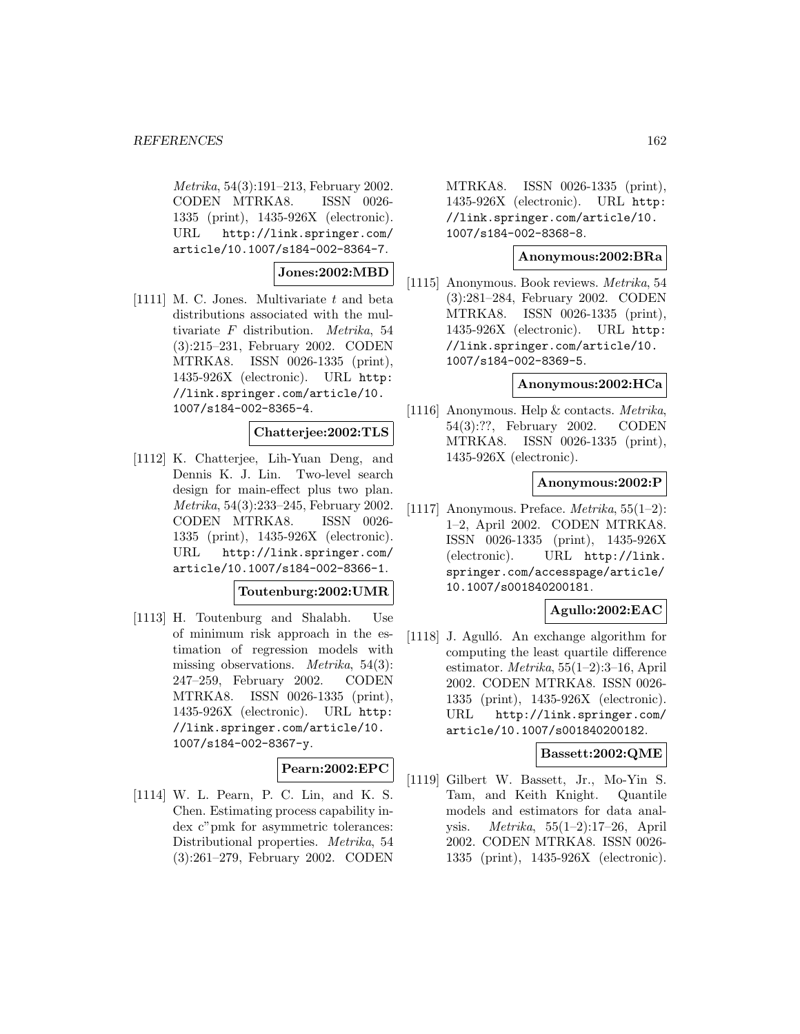Metrika, 54(3):191–213, February 2002. CODEN MTRKA8. ISSN 0026- 1335 (print), 1435-926X (electronic). URL http://link.springer.com/ article/10.1007/s184-002-8364-7.

**Jones:2002:MBD**

[1111] M. C. Jones. Multivariate t and beta distributions associated with the multivariate F distribution. Metrika, 54 (3):215–231, February 2002. CODEN MTRKA8. ISSN 0026-1335 (print), 1435-926X (electronic). URL http: //link.springer.com/article/10. 1007/s184-002-8365-4.

## **Chatterjee:2002:TLS**

[1112] K. Chatterjee, Lih-Yuan Deng, and Dennis K. J. Lin. Two-level search design for main-effect plus two plan. Metrika, 54(3):233–245, February 2002. CODEN MTRKA8. ISSN 0026- 1335 (print), 1435-926X (electronic). URL http://link.springer.com/ article/10.1007/s184-002-8366-1.

**Toutenburg:2002:UMR**

[1113] H. Toutenburg and Shalabh. Use of minimum risk approach in the estimation of regression models with missing observations. Metrika, 54(3): 247–259, February 2002. CODEN MTRKA8. ISSN 0026-1335 (print), 1435-926X (electronic). URL http: //link.springer.com/article/10. 1007/s184-002-8367-y.

## **Pearn:2002:EPC**

[1114] W. L. Pearn, P. C. Lin, and K. S. Chen. Estimating process capability index c"pmk for asymmetric tolerances: Distributional properties. Metrika, 54 (3):261–279, February 2002. CODEN MTRKA8. ISSN 0026-1335 (print), 1435-926X (electronic). URL http: //link.springer.com/article/10. 1007/s184-002-8368-8.

### **Anonymous:2002:BRa**

[1115] Anonymous. Book reviews. Metrika, 54 (3):281–284, February 2002. CODEN MTRKA8. ISSN 0026-1335 (print), 1435-926X (electronic). URL http: //link.springer.com/article/10. 1007/s184-002-8369-5.

#### **Anonymous:2002:HCa**

[1116] Anonymous. Help & contacts. Metrika, 54(3):??, February 2002. CODEN MTRKA8. ISSN 0026-1335 (print), 1435-926X (electronic).

#### **Anonymous:2002:P**

[1117] Anonymous. Preface.  $Metrika$ , 55(1-2): 1–2, April 2002. CODEN MTRKA8. ISSN 0026-1335 (print), 1435-926X (electronic). URL http://link. springer.com/accesspage/article/ 10.1007/s001840200181.

## **Agullo:2002:EAC**

[1118] J. Agulló. An exchange algorithm for computing the least quartile difference estimator. Metrika, 55(1–2):3–16, April 2002. CODEN MTRKA8. ISSN 0026- 1335 (print), 1435-926X (electronic). URL http://link.springer.com/ article/10.1007/s001840200182.

# **Bassett:2002:QME**

[1119] Gilbert W. Bassett, Jr., Mo-Yin S. Tam, and Keith Knight. Quantile models and estimators for data analysis. Metrika, 55(1–2):17–26, April 2002. CODEN MTRKA8. ISSN 0026- 1335 (print), 1435-926X (electronic).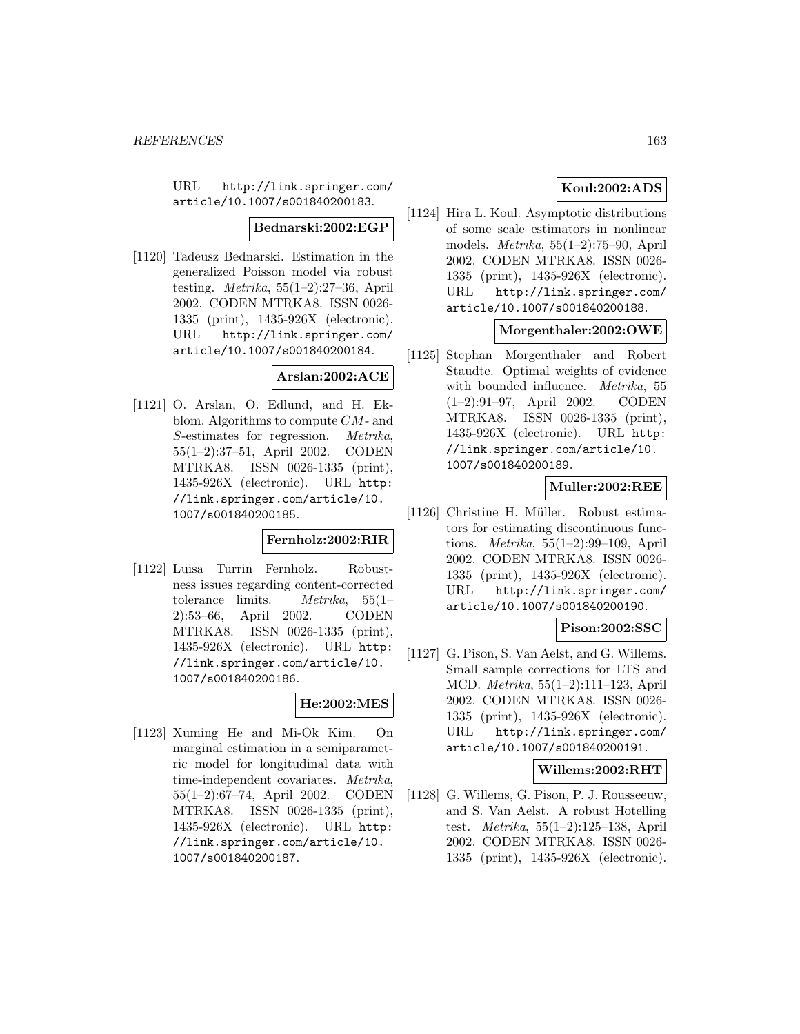URL http://link.springer.com/ article/10.1007/s001840200183.

#### **Bednarski:2002:EGP**

[1120] Tadeusz Bednarski. Estimation in the generalized Poisson model via robust testing. Metrika, 55(1–2):27–36, April 2002. CODEN MTRKA8. ISSN 0026- 1335 (print), 1435-926X (electronic). URL http://link.springer.com/ article/10.1007/s001840200184.

## **Arslan:2002:ACE**

[1121] O. Arslan, O. Edlund, and H. Ekblom. Algorithms to compute CM- and S-estimates for regression. Metrika, 55(1–2):37–51, April 2002. CODEN MTRKA8. ISSN 0026-1335 (print), 1435-926X (electronic). URL http: //link.springer.com/article/10. 1007/s001840200185.

## **Fernholz:2002:RIR**

[1122] Luisa Turrin Fernholz. Robustness issues regarding content-corrected tolerance limits. Metrika, 55(1– 2):53–66, April 2002. CODEN MTRKA8. ISSN 0026-1335 (print), 1435-926X (electronic). URL http: //link.springer.com/article/10. 1007/s001840200186.

## **He:2002:MES**

[1123] Xuming He and Mi-Ok Kim. On marginal estimation in a semiparametric model for longitudinal data with time-independent covariates. Metrika, 55(1–2):67–74, April 2002. CODEN MTRKA8. ISSN 0026-1335 (print), 1435-926X (electronic). URL http: //link.springer.com/article/10. 1007/s001840200187.

# **Koul:2002:ADS**

[1124] Hira L. Koul. Asymptotic distributions of some scale estimators in nonlinear models. Metrika, 55(1–2):75–90, April 2002. CODEN MTRKA8. ISSN 0026- 1335 (print), 1435-926X (electronic). URL http://link.springer.com/ article/10.1007/s001840200188.

## **Morgenthaler:2002:OWE**

[1125] Stephan Morgenthaler and Robert Staudte. Optimal weights of evidence with bounded influence. Metrika, 55 (1–2):91–97, April 2002. CODEN MTRKA8. ISSN 0026-1335 (print), 1435-926X (electronic). URL http: //link.springer.com/article/10. 1007/s001840200189.

## **Muller:2002:REE**

[1126] Christine H. Müller. Robust estimators for estimating discontinuous functions. Metrika, 55(1–2):99–109, April 2002. CODEN MTRKA8. ISSN 0026- 1335 (print), 1435-926X (electronic). URL http://link.springer.com/ article/10.1007/s001840200190.

# **Pison:2002:SSC**

[1127] G. Pison, S. Van Aelst, and G. Willems. Small sample corrections for LTS and MCD. Metrika, 55(1–2):111–123, April 2002. CODEN MTRKA8. ISSN 0026- 1335 (print), 1435-926X (electronic). URL http://link.springer.com/ article/10.1007/s001840200191.

## **Willems:2002:RHT**

[1128] G. Willems, G. Pison, P. J. Rousseeuw, and S. Van Aelst. A robust Hotelling test. Metrika, 55(1–2):125–138, April 2002. CODEN MTRKA8. ISSN 0026- 1335 (print), 1435-926X (electronic).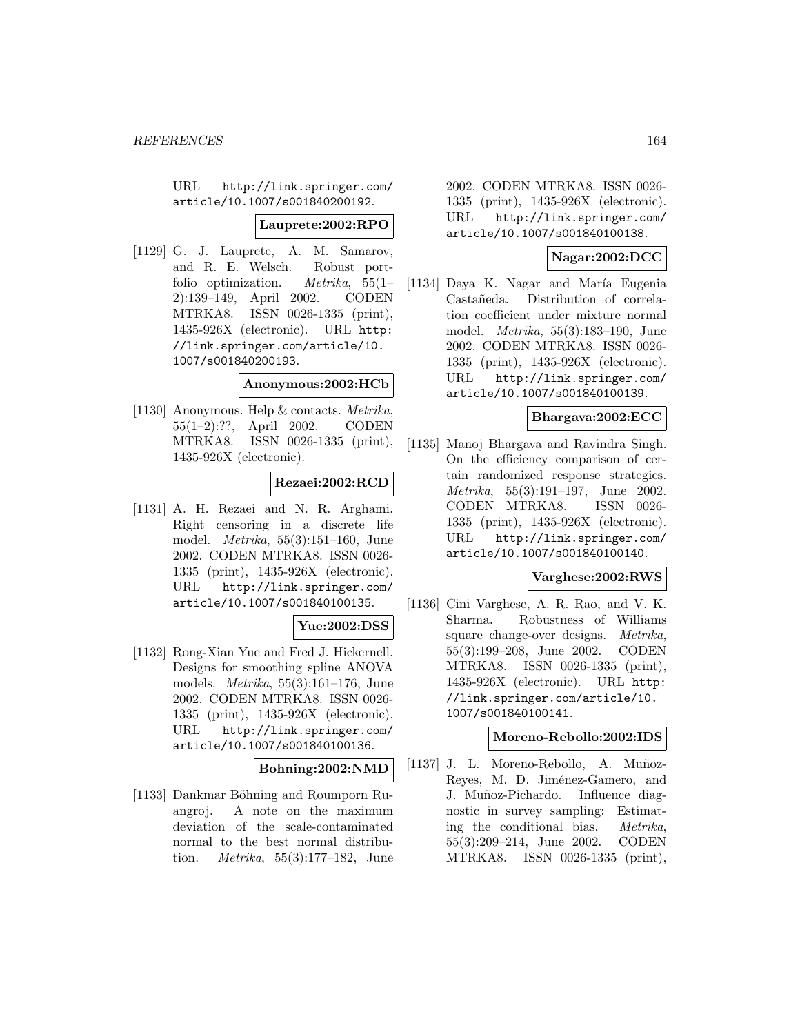URL http://link.springer.com/ article/10.1007/s001840200192.

#### **Lauprete:2002:RPO**

[1129] G. J. Lauprete, A. M. Samarov, and R. E. Welsch. Robust portfolio optimization. Metrika, 55(1– 2):139–149, April 2002. CODEN MTRKA8. ISSN 0026-1335 (print), 1435-926X (electronic). URL http: //link.springer.com/article/10. 1007/s001840200193.

#### **Anonymous:2002:HCb**

[1130] Anonymous. Help & contacts. Metrika, 55(1–2):??, April 2002. CODEN MTRKA8. ISSN 0026-1335 (print), 1435-926X (electronic).

### **Rezaei:2002:RCD**

[1131] A. H. Rezaei and N. R. Arghami. Right censoring in a discrete life model. Metrika, 55(3):151–160, June 2002. CODEN MTRKA8. ISSN 0026- 1335 (print), 1435-926X (electronic). URL http://link.springer.com/ article/10.1007/s001840100135.

## **Yue:2002:DSS**

[1132] Rong-Xian Yue and Fred J. Hickernell. Designs for smoothing spline ANOVA models. Metrika, 55(3):161–176, June 2002. CODEN MTRKA8. ISSN 0026- 1335 (print), 1435-926X (electronic). URL http://link.springer.com/ article/10.1007/s001840100136.

#### **Bohning:2002:NMD**

[1133] Dankmar Böhning and Roumporn Ruangroj. A note on the maximum deviation of the scale-contaminated normal to the best normal distribution. Metrika, 55(3):177–182, June 2002. CODEN MTRKA8. ISSN 0026- 1335 (print), 1435-926X (electronic). URL http://link.springer.com/ article/10.1007/s001840100138.

## **Nagar:2002:DCC**

[1134] Daya K. Nagar and María Eugenia Castañeda. Distribution of correlation coefficient under mixture normal model. Metrika, 55(3):183–190, June 2002. CODEN MTRKA8. ISSN 0026- 1335 (print), 1435-926X (electronic). URL http://link.springer.com/ article/10.1007/s001840100139.

### **Bhargava:2002:ECC**

[1135] Manoj Bhargava and Ravindra Singh. On the efficiency comparison of certain randomized response strategies. Metrika, 55(3):191–197, June 2002. CODEN MTRKA8. ISSN 0026- 1335 (print), 1435-926X (electronic). URL http://link.springer.com/ article/10.1007/s001840100140.

## **Varghese:2002:RWS**

[1136] Cini Varghese, A. R. Rao, and V. K. Sharma. Robustness of Williams square change-over designs. Metrika, 55(3):199–208, June 2002. CODEN MTRKA8. ISSN 0026-1335 (print), 1435-926X (electronic). URL http: //link.springer.com/article/10. 1007/s001840100141.

# **Moreno-Rebollo:2002:IDS**

[1137] J. L. Moreno-Rebollo, A. Muñoz-Reyes, M. D. Jiménez-Gamero, and J. Muñoz-Pichardo. Influence diagnostic in survey sampling: Estimating the conditional bias. Metrika, 55(3):209–214, June 2002. CODEN MTRKA8. ISSN 0026-1335 (print),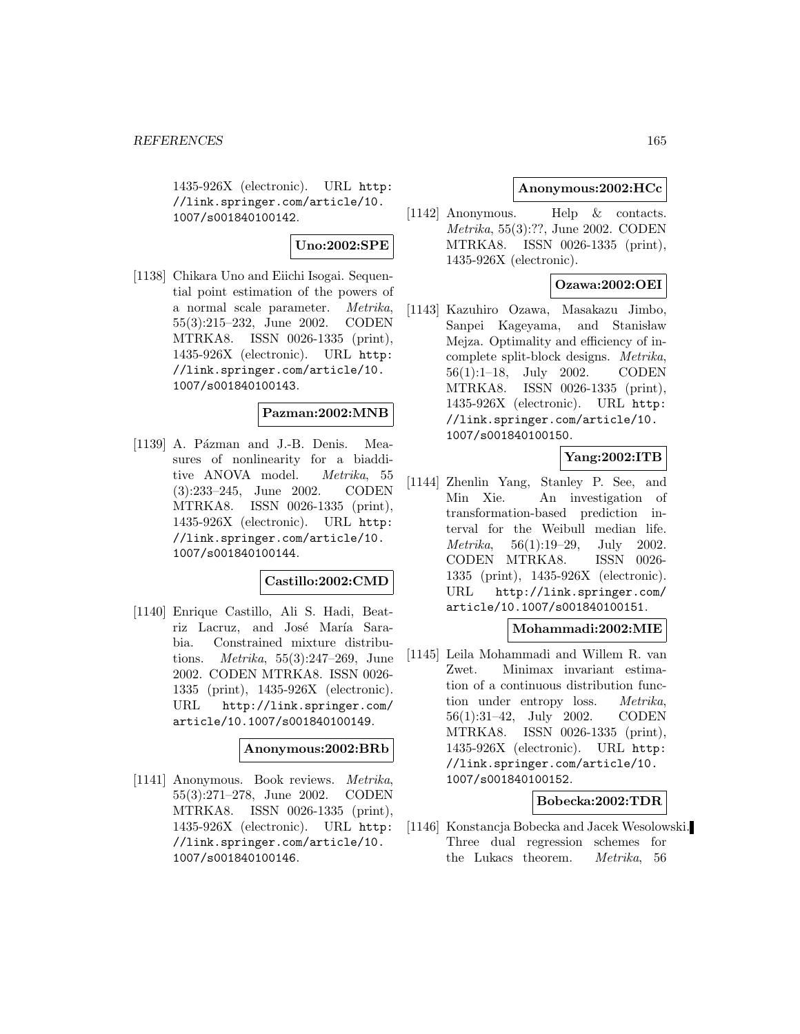1435-926X (electronic). URL http: //link.springer.com/article/10. 1007/s001840100142.

### **Uno:2002:SPE**

[1138] Chikara Uno and Eiichi Isogai. Sequential point estimation of the powers of a normal scale parameter. Metrika, 55(3):215–232, June 2002. CODEN MTRKA8. ISSN 0026-1335 (print), 1435-926X (electronic). URL http: //link.springer.com/article/10. 1007/s001840100143.

## **Pazman:2002:MNB**

[1139] A. Pázman and J.-B. Denis. Measures of nonlinearity for a biadditive ANOVA model. Metrika, 55 (3):233–245, June 2002. CODEN MTRKA8. ISSN 0026-1335 (print), 1435-926X (electronic). URL http: //link.springer.com/article/10. 1007/s001840100144.

## **Castillo:2002:CMD**

[1140] Enrique Castillo, Ali S. Hadi, Beatriz Lacruz, and José María Sarabia. Constrained mixture distributions. Metrika, 55(3):247–269, June 2002. CODEN MTRKA8. ISSN 0026- 1335 (print), 1435-926X (electronic). URL http://link.springer.com/ article/10.1007/s001840100149.

#### **Anonymous:2002:BRb**

[1141] Anonymous. Book reviews. Metrika, 55(3):271–278, June 2002. CODEN MTRKA8. ISSN 0026-1335 (print), 1435-926X (electronic). URL http: //link.springer.com/article/10. 1007/s001840100146.

## **Anonymous:2002:HCc**

[1142] Anonymous. Help & contacts. Metrika, 55(3):??, June 2002. CODEN MTRKA8. ISSN 0026-1335 (print), 1435-926X (electronic).

## **Ozawa:2002:OEI**

[1143] Kazuhiro Ozawa, Masakazu Jimbo, Sanpei Kageyama, and Stanisław Mejza. Optimality and efficiency of incomplete split-block designs. Metrika, 56(1):1–18, July 2002. CODEN MTRKA8. ISSN 0026-1335 (print), 1435-926X (electronic). URL http: //link.springer.com/article/10. 1007/s001840100150.

# **Yang:2002:ITB**

[1144] Zhenlin Yang, Stanley P. See, and Min Xie. An investigation of transformation-based prediction interval for the Weibull median life. Metrika, 56(1):19–29, July 2002. CODEN MTRKA8. ISSN 0026- 1335 (print), 1435-926X (electronic). URL http://link.springer.com/ article/10.1007/s001840100151.

## **Mohammadi:2002:MIE**

[1145] Leila Mohammadi and Willem R. van Zwet. Minimax invariant estimation of a continuous distribution function under entropy loss. Metrika, 56(1):31–42, July 2002. CODEN MTRKA8. ISSN 0026-1335 (print), 1435-926X (electronic). URL http: //link.springer.com/article/10. 1007/s001840100152.

# **Bobecka:2002:TDR**

[1146] Konstancja Bobecka and Jacek Wesolowski. Three dual regression schemes for the Lukacs theorem. Metrika, 56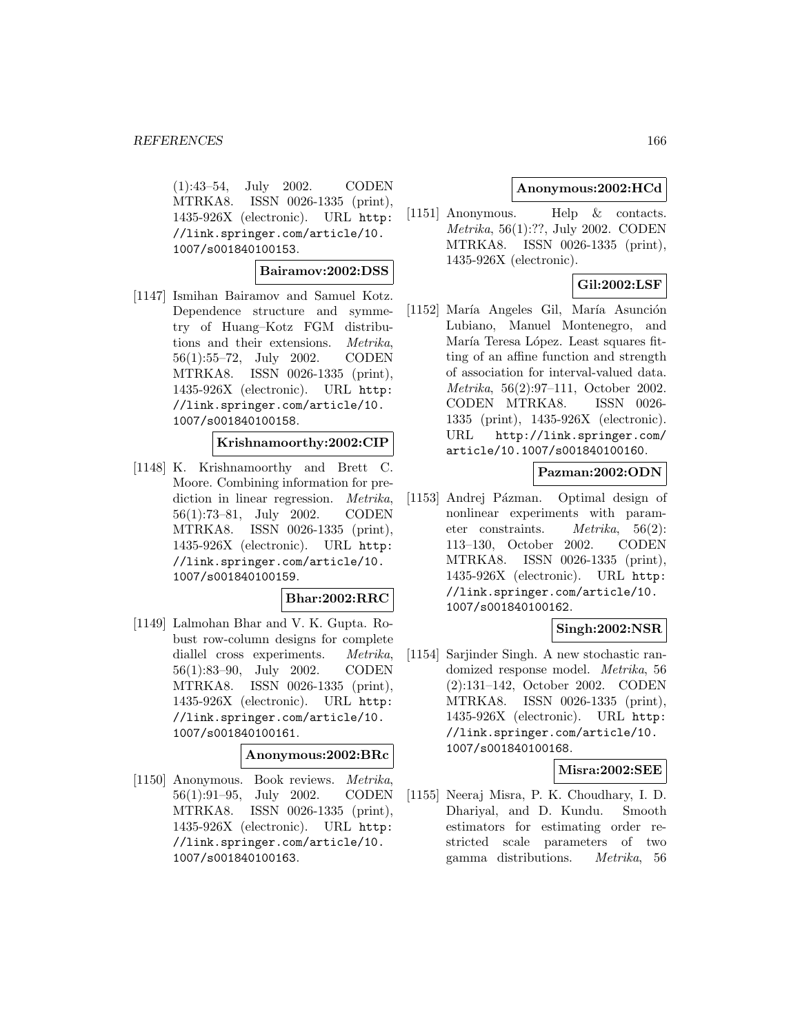(1):43–54, July 2002. CODEN MTRKA8. ISSN 0026-1335 (print), 1435-926X (electronic). URL http: //link.springer.com/article/10. 1007/s001840100153.

**Bairamov:2002:DSS**

[1147] Ismihan Bairamov and Samuel Kotz. Dependence structure and symmetry of Huang–Kotz FGM distributions and their extensions. Metrika, 56(1):55–72, July 2002. CODEN MTRKA8. ISSN 0026-1335 (print), 1435-926X (electronic). URL http: //link.springer.com/article/10. 1007/s001840100158.

### **Krishnamoorthy:2002:CIP**

[1148] K. Krishnamoorthy and Brett C. Moore. Combining information for prediction in linear regression. *Metrika*, 56(1):73–81, July 2002. CODEN MTRKA8. ISSN 0026-1335 (print), 1435-926X (electronic). URL http: //link.springer.com/article/10. 1007/s001840100159.

#### **Bhar:2002:RRC**

[1149] Lalmohan Bhar and V. K. Gupta. Robust row-column designs for complete diallel cross experiments. Metrika, 56(1):83–90, July 2002. CODEN MTRKA8. ISSN 0026-1335 (print), 1435-926X (electronic). URL http: //link.springer.com/article/10. 1007/s001840100161.

# **Anonymous:2002:BRc**

[1150] Anonymous. Book reviews. Metrika, 56(1):91–95, July 2002. CODEN MTRKA8. ISSN 0026-1335 (print), 1435-926X (electronic). URL http: //link.springer.com/article/10. 1007/s001840100163.

## **Anonymous:2002:HCd**

[1151] Anonymous. Help & contacts. Metrika, 56(1):??, July 2002. CODEN MTRKA8. ISSN 0026-1335 (print), 1435-926X (electronic).

# **Gil:2002:LSF**

[1152] María Angeles Gil, María Asunción Lubiano, Manuel Montenegro, and María Teresa López. Least squares fitting of an affine function and strength of association for interval-valued data. Metrika, 56(2):97–111, October 2002. CODEN MTRKA8. ISSN 0026- 1335 (print), 1435-926X (electronic). URL http://link.springer.com/ article/10.1007/s001840100160.

# **Pazman:2002:ODN**

[1153] Andrej Pázman. Optimal design of nonlinear experiments with parameter constraints. Metrika, 56(2): 113–130, October 2002. CODEN MTRKA8. ISSN 0026-1335 (print), 1435-926X (electronic). URL http: //link.springer.com/article/10. 1007/s001840100162.

## **Singh:2002:NSR**

[1154] Sarjinder Singh. A new stochastic randomized response model. Metrika, 56 (2):131–142, October 2002. CODEN MTRKA8. ISSN 0026-1335 (print), 1435-926X (electronic). URL http: //link.springer.com/article/10. 1007/s001840100168.

## **Misra:2002:SEE**

[1155] Neeraj Misra, P. K. Choudhary, I. D. Dhariyal, and D. Kundu. Smooth estimators for estimating order restricted scale parameters of two gamma distributions. Metrika, 56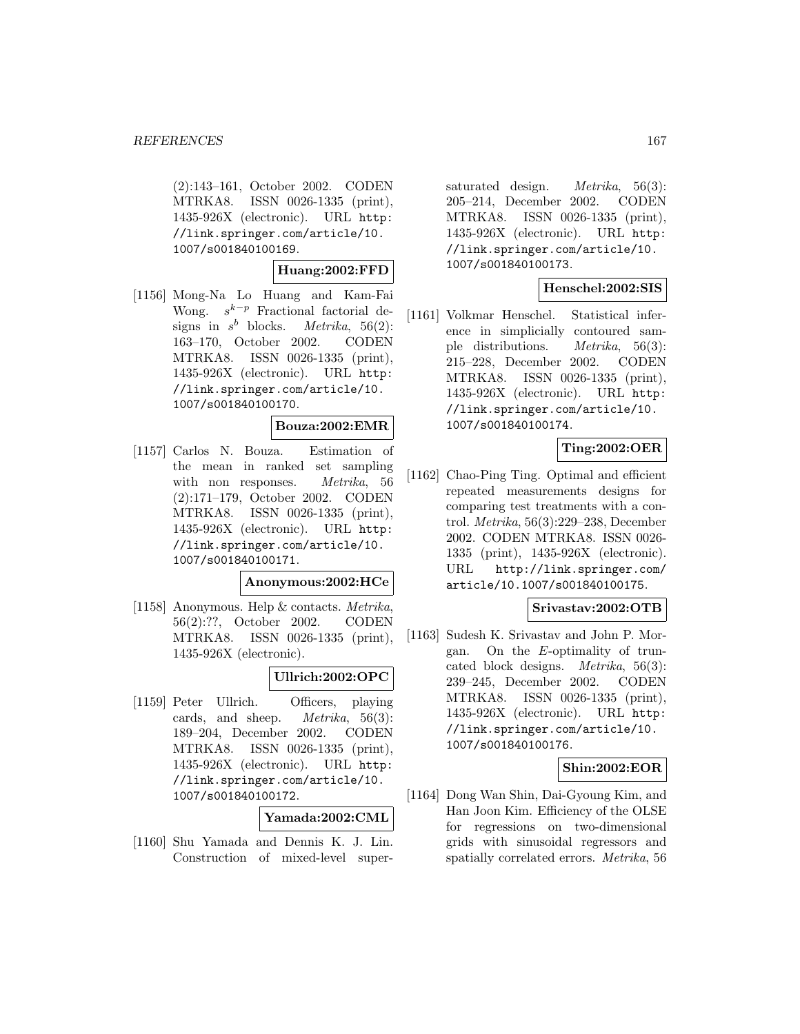(2):143–161, October 2002. CODEN MTRKA8. ISSN 0026-1335 (print), 1435-926X (electronic). URL http: //link.springer.com/article/10. 1007/s001840100169.

**Huang:2002:FFD**

[1156] Mong-Na Lo Huang and Kam-Fai Wong.  $s^{k-p}$  Fractional factorial designs in  $s^b$  blocks. *Metrika*, 56(2): 163–170, October 2002. CODEN MTRKA8. ISSN 0026-1335 (print), 1435-926X (electronic). URL http: //link.springer.com/article/10. 1007/s001840100170.

### **Bouza:2002:EMR**

[1157] Carlos N. Bouza. Estimation of the mean in ranked set sampling with non responses. *Metrika*, 56 (2):171–179, October 2002. CODEN MTRKA8. ISSN 0026-1335 (print), 1435-926X (electronic). URL http: //link.springer.com/article/10. 1007/s001840100171.

## **Anonymous:2002:HCe**

[1158] Anonymous. Help & contacts. Metrika, 56(2):??, October 2002. CODEN MTRKA8. ISSN 0026-1335 (print), 1435-926X (electronic).

### **Ullrich:2002:OPC**

[1159] Peter Ullrich. Officers, playing cards, and sheep. Metrika, 56(3): 189–204, December 2002. CODEN MTRKA8. ISSN 0026-1335 (print), 1435-926X (electronic). URL http: //link.springer.com/article/10. 1007/s001840100172.

## **Yamada:2002:CML**

[1160] Shu Yamada and Dennis K. J. Lin. Construction of mixed-level super-

saturated design. *Metrika*, 56(3): 205–214, December 2002. CODEN MTRKA8. ISSN 0026-1335 (print), 1435-926X (electronic). URL http: //link.springer.com/article/10. 1007/s001840100173.

## **Henschel:2002:SIS**

[1161] Volkmar Henschel. Statistical inference in simplicially contoured sample distributions. Metrika, 56(3): 215–228, December 2002. CODEN MTRKA8. ISSN 0026-1335 (print), 1435-926X (electronic). URL http: //link.springer.com/article/10. 1007/s001840100174.

## **Ting:2002:OER**

[1162] Chao-Ping Ting. Optimal and efficient repeated measurements designs for comparing test treatments with a control. Metrika, 56(3):229–238, December 2002. CODEN MTRKA8. ISSN 0026- 1335 (print), 1435-926X (electronic). URL http://link.springer.com/ article/10.1007/s001840100175.

### **Srivastav:2002:OTB**

[1163] Sudesh K. Srivastav and John P. Morgan. On the E-optimality of truncated block designs. Metrika, 56(3): 239–245, December 2002. CODEN MTRKA8. ISSN 0026-1335 (print), 1435-926X (electronic). URL http: //link.springer.com/article/10. 1007/s001840100176.

## **Shin:2002:EOR**

[1164] Dong Wan Shin, Dai-Gyoung Kim, and Han Joon Kim. Efficiency of the OLSE for regressions on two-dimensional grids with sinusoidal regressors and spatially correlated errors. Metrika, 56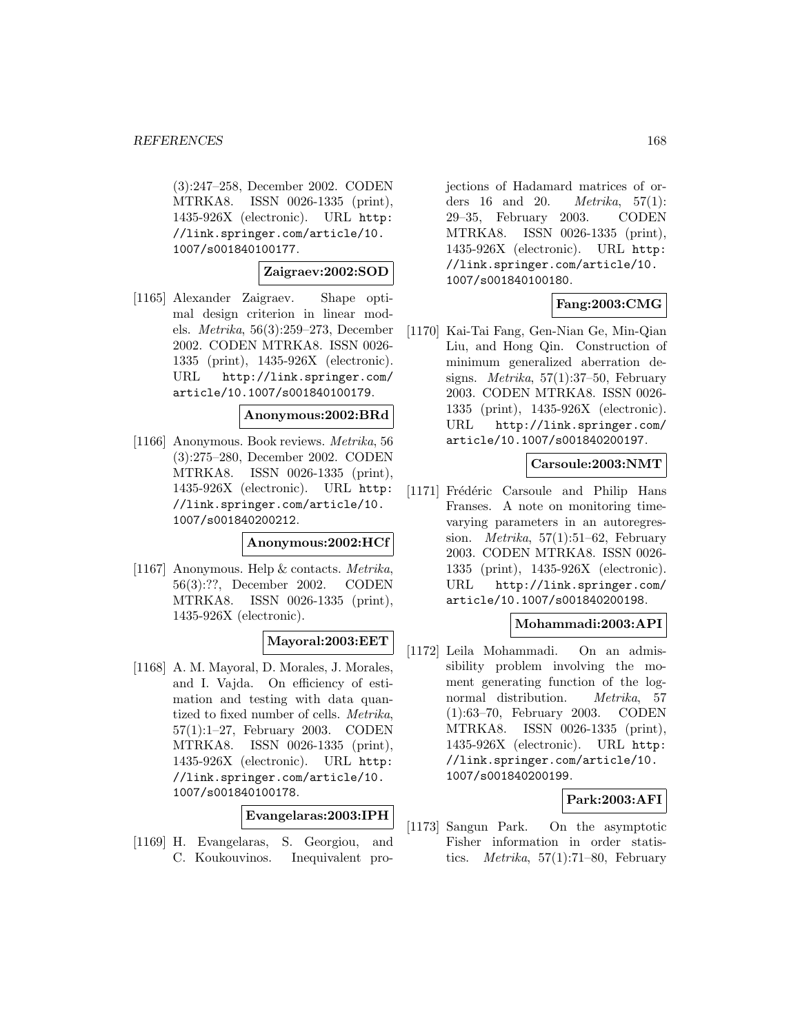(3):247–258, December 2002. CODEN MTRKA8. ISSN 0026-1335 (print), 1435-926X (electronic). URL http: //link.springer.com/article/10. 1007/s001840100177.

## **Zaigraev:2002:SOD**

[1165] Alexander Zaigraev. Shape optimal design criterion in linear models. Metrika, 56(3):259–273, December 2002. CODEN MTRKA8. ISSN 0026- 1335 (print), 1435-926X (electronic). URL http://link.springer.com/ article/10.1007/s001840100179.

#### **Anonymous:2002:BRd**

[1166] Anonymous. Book reviews. Metrika, 56 (3):275–280, December 2002. CODEN MTRKA8. ISSN 0026-1335 (print), 1435-926X (electronic). URL http: //link.springer.com/article/10. 1007/s001840200212.

#### **Anonymous:2002:HCf**

[1167] Anonymous. Help & contacts. Metrika, 56(3):??, December 2002. CODEN MTRKA8. ISSN 0026-1335 (print), 1435-926X (electronic).

#### **Mayoral:2003:EET**

[1168] A. M. Mayoral, D. Morales, J. Morales, and I. Vajda. On efficiency of estimation and testing with data quantized to fixed number of cells. Metrika, 57(1):1–27, February 2003. CODEN MTRKA8. ISSN 0026-1335 (print), 1435-926X (electronic). URL http: //link.springer.com/article/10. 1007/s001840100178.

**Evangelaras:2003:IPH**

[1169] H. Evangelaras, S. Georgiou, and C. Koukouvinos. Inequivalent projections of Hadamard matrices of orders 16 and 20. Metrika, 57(1): 29–35, February 2003. CODEN MTRKA8. ISSN 0026-1335 (print), 1435-926X (electronic). URL http: //link.springer.com/article/10. 1007/s001840100180.

## **Fang:2003:CMG**

[1170] Kai-Tai Fang, Gen-Nian Ge, Min-Qian Liu, and Hong Qin. Construction of minimum generalized aberration designs. *Metrika*,  $57(1):37-50$ , February 2003. CODEN MTRKA8. ISSN 0026- 1335 (print), 1435-926X (electronic). URL http://link.springer.com/ article/10.1007/s001840200197.

### **Carsoule:2003:NMT**

[1171] Frédéric Carsoule and Philip Hans Franses. A note on monitoring timevarying parameters in an autoregression. *Metrika*,  $57(1):51-62$ , February 2003. CODEN MTRKA8. ISSN 0026- 1335 (print), 1435-926X (electronic). URL http://link.springer.com/ article/10.1007/s001840200198.

### **Mohammadi:2003:API**

[1172] Leila Mohammadi. On an admissibility problem involving the moment generating function of the lognormal distribution. Metrika, 57 (1):63–70, February 2003. CODEN MTRKA8. ISSN 0026-1335 (print), 1435-926X (electronic). URL http: //link.springer.com/article/10. 1007/s001840200199.

## **Park:2003:AFI**

[1173] Sangun Park. On the asymptotic Fisher information in order statistics. Metrika, 57(1):71–80, February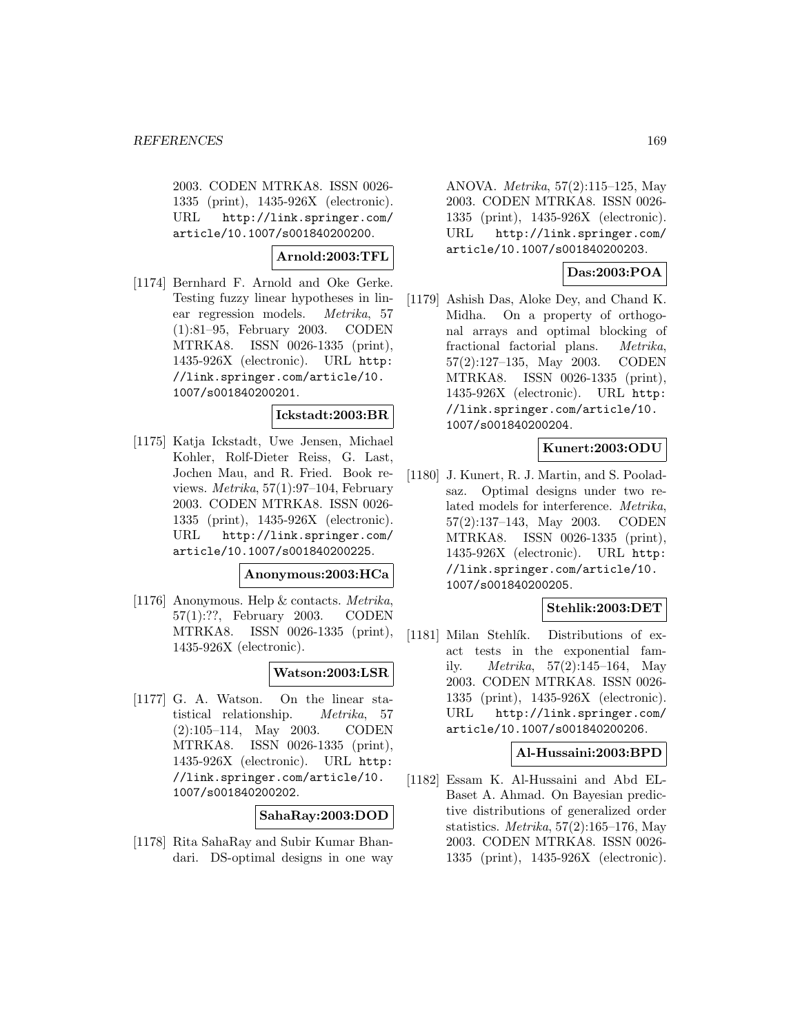2003. CODEN MTRKA8. ISSN 0026- 1335 (print), 1435-926X (electronic). URL http://link.springer.com/ article/10.1007/s001840200200.

**Arnold:2003:TFL**

[1174] Bernhard F. Arnold and Oke Gerke. Testing fuzzy linear hypotheses in linear regression models. Metrika, 57 (1):81–95, February 2003. CODEN MTRKA8. ISSN 0026-1335 (print), 1435-926X (electronic). URL http: //link.springer.com/article/10. 1007/s001840200201.

### **Ickstadt:2003:BR**

[1175] Katja Ickstadt, Uwe Jensen, Michael Kohler, Rolf-Dieter Reiss, G. Last, Jochen Mau, and R. Fried. Book reviews.  $Metrika$ , 57(1):97–104, February 2003. CODEN MTRKA8. ISSN 0026- 1335 (print), 1435-926X (electronic). URL http://link.springer.com/ article/10.1007/s001840200225.

### **Anonymous:2003:HCa**

[1176] Anonymous. Help & contacts. Metrika, 57(1):??, February 2003. CODEN MTRKA8. ISSN 0026-1335 (print), 1435-926X (electronic).

## **Watson:2003:LSR**

[1177] G. A. Watson. On the linear statistical relationship. Metrika, 57 (2):105–114, May 2003. CODEN MTRKA8. ISSN 0026-1335 (print), 1435-926X (electronic). URL http: //link.springer.com/article/10. 1007/s001840200202.

## **SahaRay:2003:DOD**

[1178] Rita SahaRay and Subir Kumar Bhandari. DS-optimal designs in one way

ANOVA. Metrika, 57(2):115–125, May 2003. CODEN MTRKA8. ISSN 0026- 1335 (print), 1435-926X (electronic). URL http://link.springer.com/ article/10.1007/s001840200203.

# **Das:2003:POA**

[1179] Ashish Das, Aloke Dey, and Chand K. Midha. On a property of orthogonal arrays and optimal blocking of fractional factorial plans. Metrika, 57(2):127–135, May 2003. CODEN MTRKA8. ISSN 0026-1335 (print), 1435-926X (electronic). URL http: //link.springer.com/article/10. 1007/s001840200204.

# **Kunert:2003:ODU**

[1180] J. Kunert, R. J. Martin, and S. Pooladsaz. Optimal designs under two related models for interference. Metrika, 57(2):137–143, May 2003. CODEN MTRKA8. ISSN 0026-1335 (print), 1435-926X (electronic). URL http: //link.springer.com/article/10. 1007/s001840200205.

## **Stehlik:2003:DET**

[1181] Milan Stehlík. Distributions of exact tests in the exponential family. Metrika, 57(2):145–164, May 2003. CODEN MTRKA8. ISSN 0026- 1335 (print), 1435-926X (electronic). URL http://link.springer.com/ article/10.1007/s001840200206.

## **Al-Hussaini:2003:BPD**

[1182] Essam K. Al-Hussaini and Abd EL-Baset A. Ahmad. On Bayesian predictive distributions of generalized order statistics. Metrika, 57(2):165–176, May 2003. CODEN MTRKA8. ISSN 0026- 1335 (print), 1435-926X (electronic).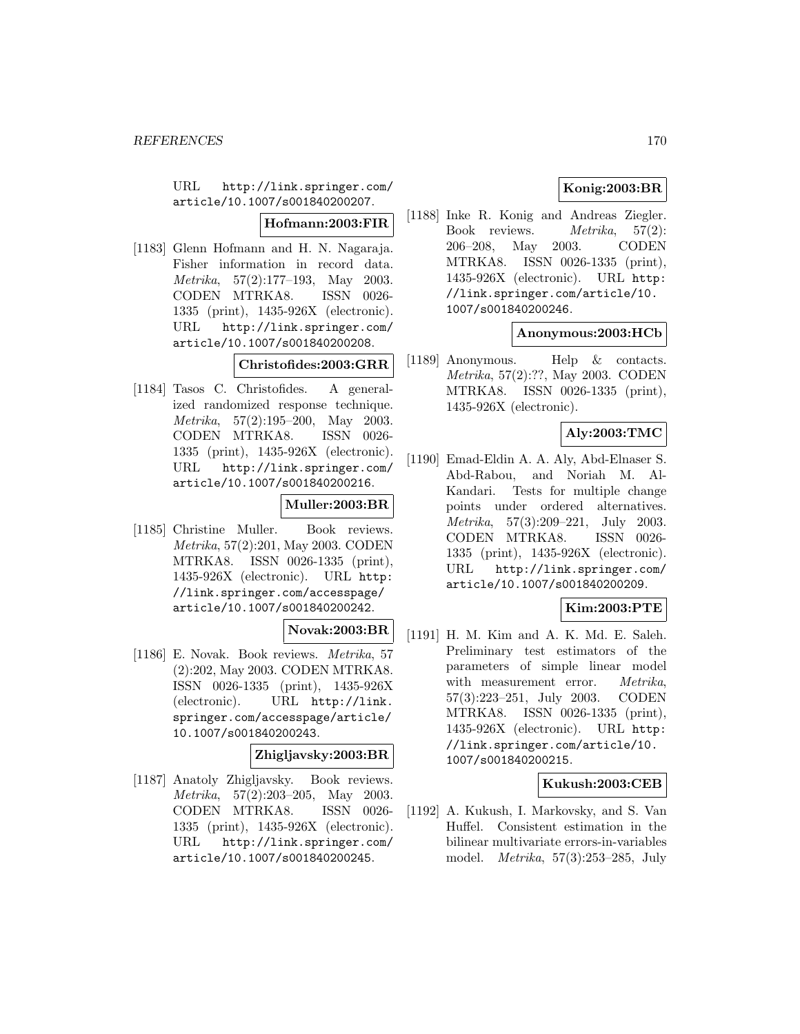URL http://link.springer.com/ article/10.1007/s001840200207.

## **Hofmann:2003:FIR**

[1183] Glenn Hofmann and H. N. Nagaraja. Fisher information in record data. Metrika, 57(2):177–193, May 2003. CODEN MTRKA8. ISSN 0026- 1335 (print), 1435-926X (electronic). URL http://link.springer.com/ article/10.1007/s001840200208.

# **Christofides:2003:GRR**

[1184] Tasos C. Christofides. A generalized randomized response technique. Metrika, 57(2):195–200, May 2003. CODEN MTRKA8. ISSN 0026- 1335 (print), 1435-926X (electronic). URL http://link.springer.com/ article/10.1007/s001840200216.

## **Muller:2003:BR**

[1185] Christine Muller. Book reviews. Metrika, 57(2):201, May 2003. CODEN MTRKA8. ISSN 0026-1335 (print), 1435-926X (electronic). URL http: //link.springer.com/accesspage/ article/10.1007/s001840200242.

# **Novak:2003:BR**

[1186] E. Novak. Book reviews. Metrika, 57 (2):202, May 2003. CODEN MTRKA8. ISSN 0026-1335 (print), 1435-926X (electronic). URL http://link. springer.com/accesspage/article/ 10.1007/s001840200243.

# **Zhigljavsky:2003:BR**

[1187] Anatoly Zhigljavsky. Book reviews. Metrika, 57(2):203–205, May 2003. CODEN MTRKA8. ISSN 0026- 1335 (print), 1435-926X (electronic). URL http://link.springer.com/ article/10.1007/s001840200245.

# **Konig:2003:BR**

[1188] Inke R. Konig and Andreas Ziegler. Book reviews. Metrika, 57(2): 206–208, May 2003. CODEN MTRKA8. ISSN 0026-1335 (print), 1435-926X (electronic). URL http: //link.springer.com/article/10. 1007/s001840200246.

# **Anonymous:2003:HCb**

[1189] Anonymous. Help & contacts. Metrika, 57(2):??, May 2003. CODEN MTRKA8. ISSN 0026-1335 (print), 1435-926X (electronic).

# **Aly:2003:TMC**

[1190] Emad-Eldin A. A. Aly, Abd-Elnaser S. Abd-Rabou, and Noriah M. Al-Kandari. Tests for multiple change points under ordered alternatives. Metrika, 57(3):209–221, July 2003. CODEN MTRKA8. ISSN 0026- 1335 (print), 1435-926X (electronic). URL http://link.springer.com/ article/10.1007/s001840200209.

## **Kim:2003:PTE**

[1191] H. M. Kim and A. K. Md. E. Saleh. Preliminary test estimators of the parameters of simple linear model with measurement error. Metrika, 57(3):223–251, July 2003. CODEN MTRKA8. ISSN 0026-1335 (print), 1435-926X (electronic). URL http: //link.springer.com/article/10. 1007/s001840200215.

## **Kukush:2003:CEB**

[1192] A. Kukush, I. Markovsky, and S. Van Huffel. Consistent estimation in the bilinear multivariate errors-in-variables model. Metrika, 57(3):253–285, July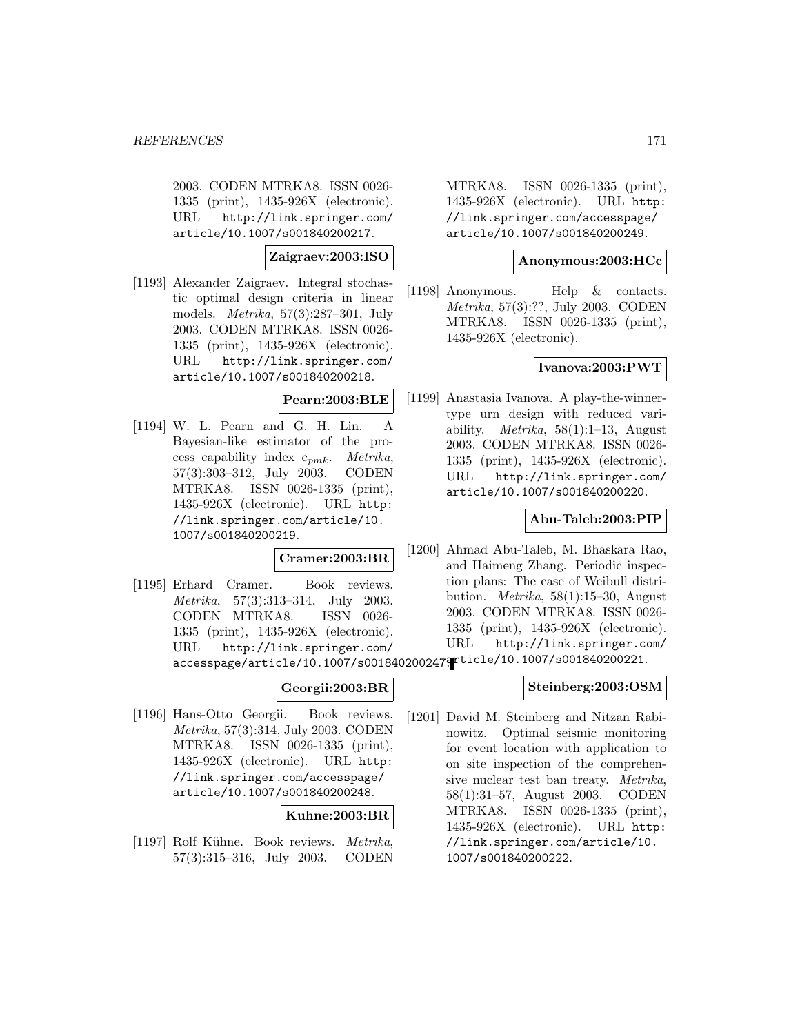2003. CODEN MTRKA8. ISSN 0026- 1335 (print), 1435-926X (electronic). URL http://link.springer.com/ article/10.1007/s001840200217.

### **Zaigraev:2003:ISO**

[1193] Alexander Zaigraev. Integral stochastic optimal design criteria in linear models. Metrika, 57(3):287–301, July 2003. CODEN MTRKA8. ISSN 0026- 1335 (print), 1435-926X (electronic). URL http://link.springer.com/ article/10.1007/s001840200218.

## **Pearn:2003:BLE**

[1194] W. L. Pearn and G. H. Lin. A Bayesian-like estimator of the process capability index  $c_{nmk}$ . Metrika, 57(3):303–312, July 2003. CODEN MTRKA8. ISSN 0026-1335 (print), 1435-926X (electronic). URL http: //link.springer.com/article/10. 1007/s001840200219.

# **Cramer:2003:BR**

[1195] Erhard Cramer. Book reviews. Metrika, 57(3):313–314, July 2003. CODEN MTRKA8. ISSN 0026- 1335 (print), 1435-926X (electronic). URL http://link.springer.com/ accesspage/article/10.1007/s001840200247article/10.1007/s001840200221.

## **Georgii:2003:BR**

[1196] Hans-Otto Georgii. Book reviews. Metrika, 57(3):314, July 2003. CODEN MTRKA8. ISSN 0026-1335 (print), 1435-926X (electronic). URL http: //link.springer.com/accesspage/ article/10.1007/s001840200248.

## **Kuhne:2003:BR**

[1197] Rolf Kühne. Book reviews. Metrika, 57(3):315–316, July 2003. CODEN MTRKA8. ISSN 0026-1335 (print), 1435-926X (electronic). URL http: //link.springer.com/accesspage/ article/10.1007/s001840200249.

### **Anonymous:2003:HCc**

[1198] Anonymous. Help & contacts. Metrika, 57(3):??, July 2003. CODEN MTRKA8. ISSN 0026-1335 (print), 1435-926X (electronic).

## **Ivanova:2003:PWT**

[1199] Anastasia Ivanova. A play-the-winnertype urn design with reduced variability. *Metrika*,  $58(1):1-13$ , August 2003. CODEN MTRKA8. ISSN 0026- 1335 (print), 1435-926X (electronic). URL http://link.springer.com/ article/10.1007/s001840200220.

## **Abu-Taleb:2003:PIP**

[1200] Ahmad Abu-Taleb, M. Bhaskara Rao, and Haimeng Zhang. Periodic inspection plans: The case of Weibull distribution. Metrika, 58(1):15–30, August 2003. CODEN MTRKA8. ISSN 0026- 1335 (print), 1435-926X (electronic). URL http://link.springer.com/

#### **Steinberg:2003:OSM**

[1201] David M. Steinberg and Nitzan Rabinowitz. Optimal seismic monitoring for event location with application to on site inspection of the comprehensive nuclear test ban treaty. Metrika, 58(1):31–57, August 2003. CODEN MTRKA8. ISSN 0026-1335 (print), 1435-926X (electronic). URL http: //link.springer.com/article/10. 1007/s001840200222.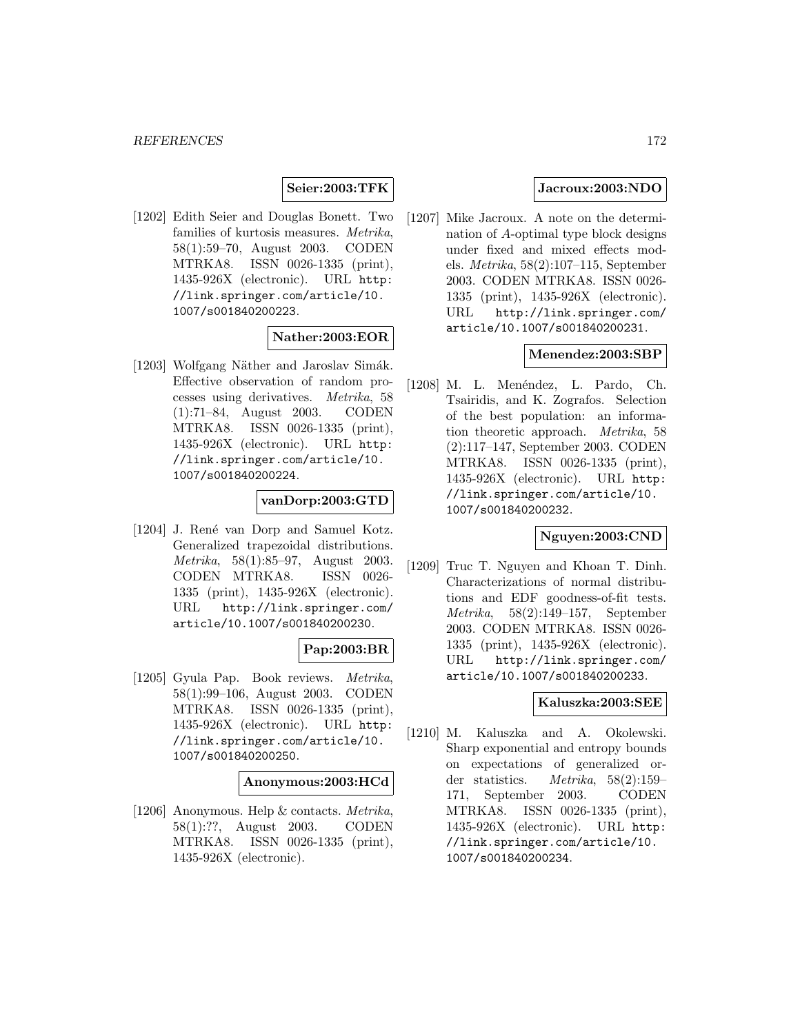### **Seier:2003:TFK**

[1202] Edith Seier and Douglas Bonett. Two families of kurtosis measures. Metrika, 58(1):59–70, August 2003. CODEN MTRKA8. ISSN 0026-1335 (print), 1435-926X (electronic). URL http: //link.springer.com/article/10. 1007/s001840200223.

### **Nather:2003:EOR**

[1203] Wolfgang Näther and Jaroslav Simák. Effective observation of random processes using derivatives. Metrika, 58 (1):71–84, August 2003. CODEN MTRKA8. ISSN 0026-1335 (print), 1435-926X (electronic). URL http: //link.springer.com/article/10. 1007/s001840200224.

### **vanDorp:2003:GTD**

[1204] J. René van Dorp and Samuel Kotz. Generalized trapezoidal distributions. Metrika, 58(1):85–97, August 2003. CODEN MTRKA8. ISSN 0026- 1335 (print), 1435-926X (electronic). URL http://link.springer.com/ article/10.1007/s001840200230.

#### **Pap:2003:BR**

[1205] Gyula Pap. Book reviews. Metrika, 58(1):99–106, August 2003. CODEN MTRKA8. ISSN 0026-1335 (print), 1435-926X (electronic). URL http: //link.springer.com/article/10. 1007/s001840200250.

#### **Anonymous:2003:HCd**

[1206] Anonymous. Help & contacts. Metrika, 58(1):??, August 2003. CODEN MTRKA8. ISSN 0026-1335 (print), 1435-926X (electronic).

## **Jacroux:2003:NDO**

[1207] Mike Jacroux. A note on the determination of A-optimal type block designs under fixed and mixed effects models. Metrika, 58(2):107–115, September 2003. CODEN MTRKA8. ISSN 0026- 1335 (print), 1435-926X (electronic). URL http://link.springer.com/ article/10.1007/s001840200231.

#### **Menendez:2003:SBP**

[1208] M. L. Menéndez, L. Pardo, Ch. Tsairidis, and K. Zografos. Selection of the best population: an information theoretic approach. Metrika, 58 (2):117–147, September 2003. CODEN MTRKA8. ISSN 0026-1335 (print), 1435-926X (electronic). URL http: //link.springer.com/article/10. 1007/s001840200232.

## **Nguyen:2003:CND**

[1209] Truc T. Nguyen and Khoan T. Dinh. Characterizations of normal distributions and EDF goodness-of-fit tests. Metrika, 58(2):149–157, September 2003. CODEN MTRKA8. ISSN 0026- 1335 (print), 1435-926X (electronic). URL http://link.springer.com/ article/10.1007/s001840200233.

## **Kaluszka:2003:SEE**

[1210] M. Kaluszka and A. Okolewski. Sharp exponential and entropy bounds on expectations of generalized order statistics. Metrika, 58(2):159– 171, September 2003. CODEN MTRKA8. ISSN 0026-1335 (print), 1435-926X (electronic). URL http: //link.springer.com/article/10. 1007/s001840200234.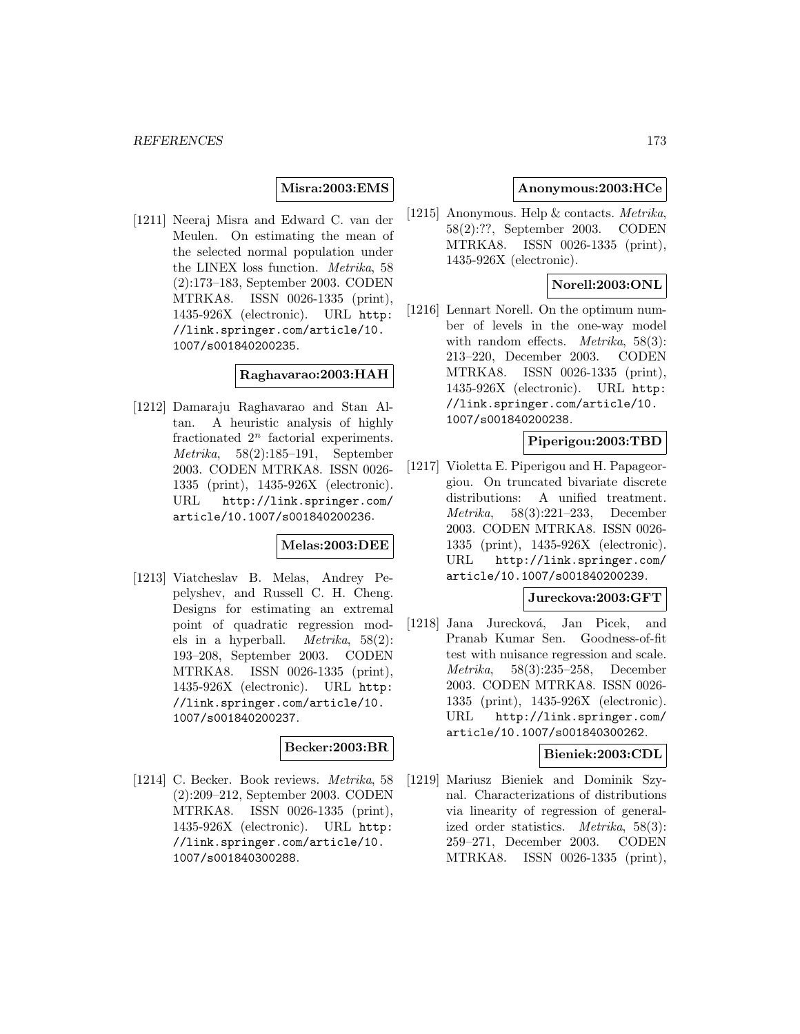## **Misra:2003:EMS**

[1211] Neeraj Misra and Edward C. van der Meulen. On estimating the mean of the selected normal population under the LINEX loss function. Metrika, 58 (2):173–183, September 2003. CODEN MTRKA8. ISSN 0026-1335 (print), 1435-926X (electronic). URL http: //link.springer.com/article/10. 1007/s001840200235.

### **Raghavarao:2003:HAH**

[1212] Damaraju Raghavarao and Stan Altan. A heuristic analysis of highly fractionated  $2^n$  factorial experiments. Metrika, 58(2):185–191, September 2003. CODEN MTRKA8. ISSN 0026- 1335 (print), 1435-926X (electronic). URL http://link.springer.com/ article/10.1007/s001840200236.

## **Melas:2003:DEE**

[1213] Viatcheslav B. Melas, Andrey Pepelyshev, and Russell C. H. Cheng. Designs for estimating an extremal point of quadratic regression models in a hyperball. Metrika, 58(2): 193–208, September 2003. CODEN MTRKA8. ISSN 0026-1335 (print), 1435-926X (electronic). URL http: //link.springer.com/article/10. 1007/s001840200237.

#### **Becker:2003:BR**

[1214] C. Becker. Book reviews. Metrika, 58 (2):209–212, September 2003. CODEN MTRKA8. ISSN 0026-1335 (print), 1435-926X (electronic). URL http: //link.springer.com/article/10. 1007/s001840300288.

### **Anonymous:2003:HCe**

[1215] Anonymous. Help & contacts. Metrika, 58(2):??, September 2003. CODEN MTRKA8. ISSN 0026-1335 (print), 1435-926X (electronic).

# **Norell:2003:ONL**

[1216] Lennart Norell. On the optimum number of levels in the one-way model with random effects. *Metrika*, 58(3): 213–220, December 2003. CODEN MTRKA8. ISSN 0026-1335 (print), 1435-926X (electronic). URL http: //link.springer.com/article/10. 1007/s001840200238.

### **Piperigou:2003:TBD**

[1217] Violetta E. Piperigou and H. Papageorgiou. On truncated bivariate discrete distributions: A unified treatment. Metrika, 58(3):221–233, December 2003. CODEN MTRKA8. ISSN 0026- 1335 (print), 1435-926X (electronic). URL http://link.springer.com/ article/10.1007/s001840200239.

### **Jureckova:2003:GFT**

[1218] Jana Jurecková, Jan Picek, and Pranab Kumar Sen. Goodness-of-fit test with nuisance regression and scale. Metrika, 58(3):235–258, December 2003. CODEN MTRKA8. ISSN 0026- 1335 (print), 1435-926X (electronic). URL http://link.springer.com/ article/10.1007/s001840300262.

## **Bieniek:2003:CDL**

[1219] Mariusz Bieniek and Dominik Szynal. Characterizations of distributions via linearity of regression of generalized order statistics. Metrika, 58(3): 259–271, December 2003. CODEN MTRKA8. ISSN 0026-1335 (print),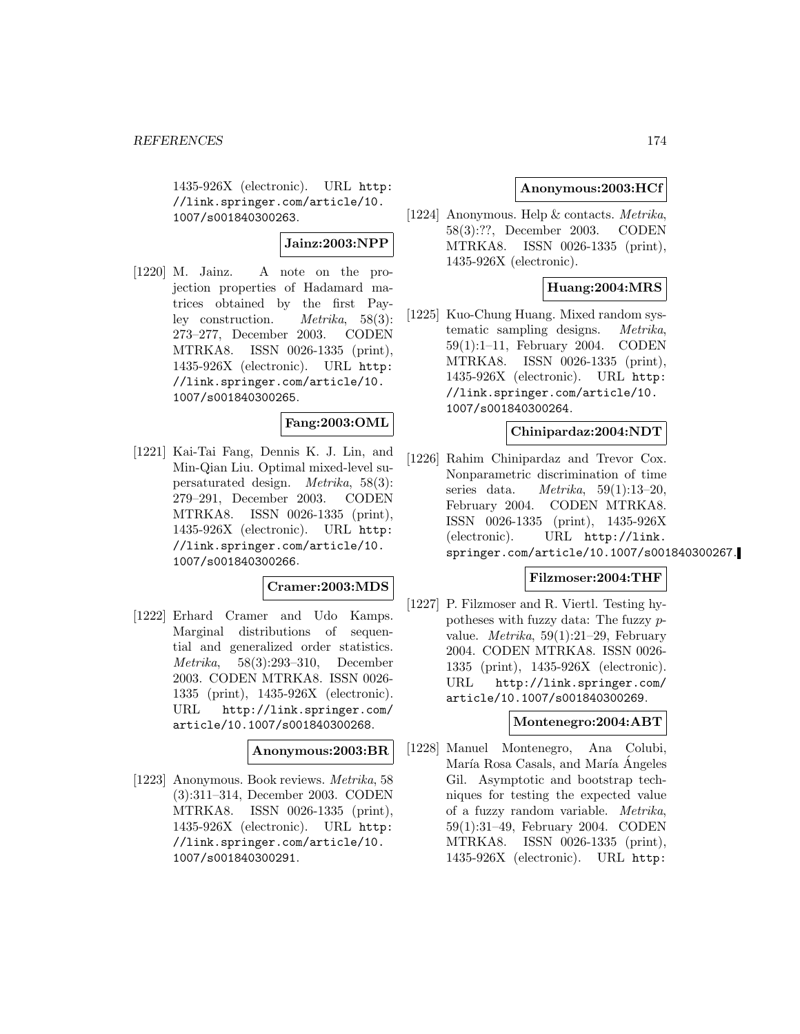1435-926X (electronic). URL http: //link.springer.com/article/10. 1007/s001840300263.

## **Jainz:2003:NPP**

[1220] M. Jainz. A note on the projection properties of Hadamard matrices obtained by the first Payley construction. Metrika, 58(3): 273–277, December 2003. CODEN MTRKA8. ISSN 0026-1335 (print), 1435-926X (electronic). URL http: //link.springer.com/article/10. 1007/s001840300265.

## **Fang:2003:OML**

[1221] Kai-Tai Fang, Dennis K. J. Lin, and Min-Qian Liu. Optimal mixed-level supersaturated design. Metrika, 58(3): 279–291, December 2003. CODEN MTRKA8. ISSN 0026-1335 (print), 1435-926X (electronic). URL http: //link.springer.com/article/10. 1007/s001840300266.

# **Cramer:2003:MDS**

[1222] Erhard Cramer and Udo Kamps. Marginal distributions of sequential and generalized order statistics. Metrika, 58(3):293–310, December 2003. CODEN MTRKA8. ISSN 0026- 1335 (print), 1435-926X (electronic). URL http://link.springer.com/ article/10.1007/s001840300268.

#### **Anonymous:2003:BR**

[1223] Anonymous. Book reviews. Metrika, 58 (3):311–314, December 2003. CODEN MTRKA8. ISSN 0026-1335 (print), 1435-926X (electronic). URL http: //link.springer.com/article/10. 1007/s001840300291.

### **Anonymous:2003:HCf**

[1224] Anonymous. Help & contacts. Metrika, 58(3):??, December 2003. CODEN MTRKA8. ISSN 0026-1335 (print), 1435-926X (electronic).

## **Huang:2004:MRS**

[1225] Kuo-Chung Huang. Mixed random systematic sampling designs. Metrika, 59(1):1–11, February 2004. CODEN MTRKA8. ISSN 0026-1335 (print), 1435-926X (electronic). URL http: //link.springer.com/article/10. 1007/s001840300264.

# **Chinipardaz:2004:NDT**

[1226] Rahim Chinipardaz and Trevor Cox. Nonparametric discrimination of time series data. Metrika, 59(1):13–20, February 2004. CODEN MTRKA8. ISSN 0026-1335 (print), 1435-926X (electronic). URL http://link. springer.com/article/10.1007/s001840300267.

#### **Filzmoser:2004:THF**

[1227] P. Filzmoser and R. Viertl. Testing hypotheses with fuzzy data: The fuzzy pvalue. Metrika, 59(1):21–29, February 2004. CODEN MTRKA8. ISSN 0026- 1335 (print), 1435-926X (electronic). URL http://link.springer.com/ article/10.1007/s001840300269.

#### **Montenegro:2004:ABT**

[1228] Manuel Montenegro, Ana Colubi, María Rosa Casals, and María Ángeles Gil. Asymptotic and bootstrap techniques for testing the expected value of a fuzzy random variable. Metrika, 59(1):31–49, February 2004. CODEN MTRKA8. ISSN 0026-1335 (print), 1435-926X (electronic). URL http: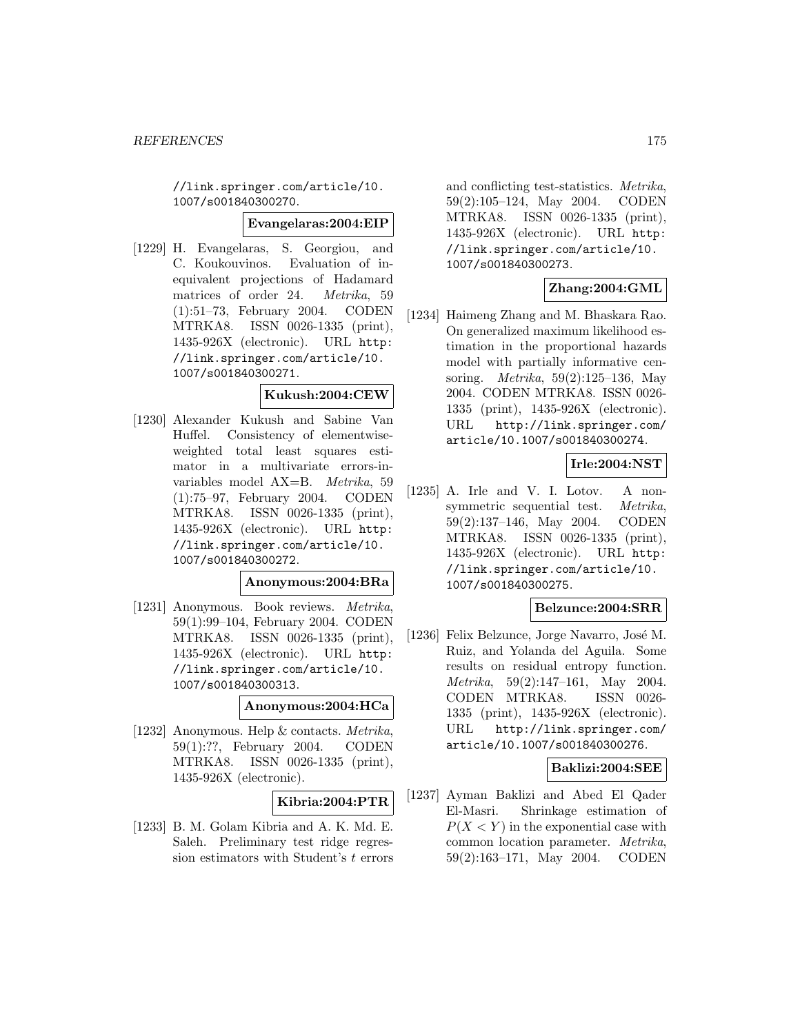//link.springer.com/article/10. 1007/s001840300270.

#### **Evangelaras:2004:EIP**

[1229] H. Evangelaras, S. Georgiou, and C. Koukouvinos. Evaluation of inequivalent projections of Hadamard matrices of order 24. Metrika, 59 (1):51–73, February 2004. CODEN MTRKA8. ISSN 0026-1335 (print), 1435-926X (electronic). URL http: //link.springer.com/article/10. 1007/s001840300271.

#### **Kukush:2004:CEW**

[1230] Alexander Kukush and Sabine Van Huffel. Consistency of elementwiseweighted total least squares estimator in a multivariate errors-invariables model AX=B. Metrika, 59 (1):75–97, February 2004. CODEN MTRKA8. ISSN 0026-1335 (print), 1435-926X (electronic). URL http: //link.springer.com/article/10. 1007/s001840300272.

## **Anonymous:2004:BRa**

[1231] Anonymous. Book reviews. Metrika, 59(1):99–104, February 2004. CODEN MTRKA8. ISSN 0026-1335 (print), 1435-926X (electronic). URL http: //link.springer.com/article/10. 1007/s001840300313.

## **Anonymous:2004:HCa**

[1232] Anonymous. Help & contacts. Metrika, 59(1):??, February 2004. CODEN MTRKA8. ISSN 0026-1335 (print), 1435-926X (electronic).

#### **Kibria:2004:PTR**

[1233] B. M. Golam Kibria and A. K. Md. E. Saleh. Preliminary test ridge regression estimators with Student's  $t$  errors

and conflicting test-statistics. Metrika, 59(2):105–124, May 2004. CODEN MTRKA8. ISSN 0026-1335 (print), 1435-926X (electronic). URL http: //link.springer.com/article/10. 1007/s001840300273.

## **Zhang:2004:GML**

[1234] Haimeng Zhang and M. Bhaskara Rao. On generalized maximum likelihood estimation in the proportional hazards model with partially informative censoring. Metrika, 59(2):125–136, May 2004. CODEN MTRKA8. ISSN 0026- 1335 (print), 1435-926X (electronic). URL http://link.springer.com/ article/10.1007/s001840300274.

## **Irle:2004:NST**

[1235] A. Irle and V. I. Lotov. A nonsymmetric sequential test. Metrika, 59(2):137–146, May 2004. CODEN MTRKA8. ISSN 0026-1335 (print), 1435-926X (electronic). URL http: //link.springer.com/article/10. 1007/s001840300275.

### **Belzunce:2004:SRR**

[1236] Felix Belzunce, Jorge Navarro, José M. Ruiz, and Yolanda del Aguila. Some results on residual entropy function. Metrika, 59(2):147–161, May 2004. CODEN MTRKA8. ISSN 0026- 1335 (print), 1435-926X (electronic). URL http://link.springer.com/ article/10.1007/s001840300276.

## **Baklizi:2004:SEE**

[1237] Ayman Baklizi and Abed El Qader El-Masri. Shrinkage estimation of  $P(X \leq Y)$  in the exponential case with common location parameter. Metrika, 59(2):163–171, May 2004. CODEN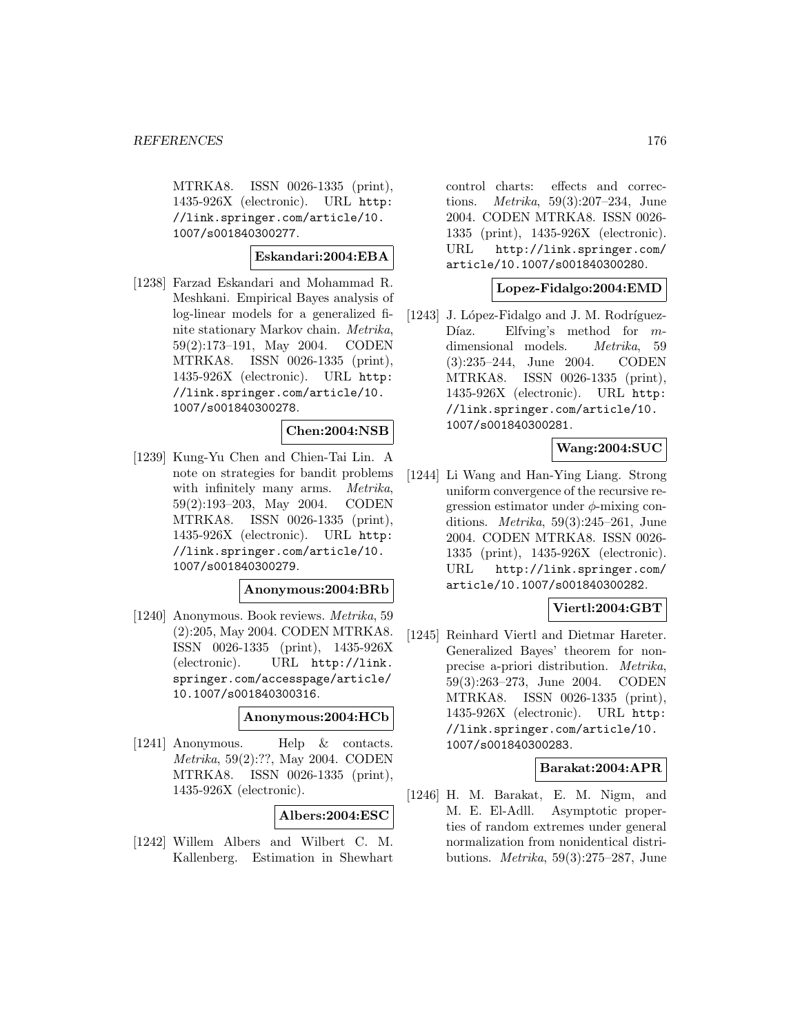MTRKA8. ISSN 0026-1335 (print), 1435-926X (electronic). URL http: //link.springer.com/article/10. 1007/s001840300277.

## **Eskandari:2004:EBA**

[1238] Farzad Eskandari and Mohammad R. Meshkani. Empirical Bayes analysis of log-linear models for a generalized finite stationary Markov chain. Metrika, 59(2):173–191, May 2004. CODEN MTRKA8. ISSN 0026-1335 (print), 1435-926X (electronic). URL http: //link.springer.com/article/10. 1007/s001840300278.

# **Chen:2004:NSB**

[1239] Kung-Yu Chen and Chien-Tai Lin. A note on strategies for bandit problems with infinitely many arms. Metrika, 59(2):193–203, May 2004. CODEN MTRKA8. ISSN 0026-1335 (print), 1435-926X (electronic). URL http: //link.springer.com/article/10. 1007/s001840300279.

### **Anonymous:2004:BRb**

[1240] Anonymous. Book reviews. Metrika, 59 (2):205, May 2004. CODEN MTRKA8. ISSN 0026-1335 (print), 1435-926X (electronic). URL http://link. springer.com/accesspage/article/ 10.1007/s001840300316.

### **Anonymous:2004:HCb**

[1241] Anonymous. Help & contacts. Metrika, 59(2):??, May 2004. CODEN MTRKA8. ISSN 0026-1335 (print), 1435-926X (electronic).

#### **Albers:2004:ESC**

[1242] Willem Albers and Wilbert C. M. Kallenberg. Estimation in Shewhart control charts: effects and corrections. Metrika, 59(3):207–234, June 2004. CODEN MTRKA8. ISSN 0026- 1335 (print), 1435-926X (electronic). URL http://link.springer.com/ article/10.1007/s001840300280.

### **Lopez-Fidalgo:2004:EMD**

[1243] J. López-Fidalgo and J. M. Rodríguez-Díaz. Elfving's method for  $m$ dimensional models. Metrika, 59 (3):235–244, June 2004. CODEN MTRKA8. ISSN 0026-1335 (print), 1435-926X (electronic). URL http: //link.springer.com/article/10. 1007/s001840300281.

## **Wang:2004:SUC**

[1244] Li Wang and Han-Ying Liang. Strong uniform convergence of the recursive regression estimator under  $\phi$ -mixing conditions. Metrika, 59(3):245–261, June 2004. CODEN MTRKA8. ISSN 0026- 1335 (print), 1435-926X (electronic). URL http://link.springer.com/ article/10.1007/s001840300282.

## **Viertl:2004:GBT**

[1245] Reinhard Viertl and Dietmar Hareter. Generalized Bayes' theorem for nonprecise a-priori distribution. Metrika, 59(3):263–273, June 2004. CODEN MTRKA8. ISSN 0026-1335 (print), 1435-926X (electronic). URL http: //link.springer.com/article/10. 1007/s001840300283.

## **Barakat:2004:APR**

[1246] H. M. Barakat, E. M. Nigm, and M. E. El-Adll. Asymptotic properties of random extremes under general normalization from nonidentical distributions. Metrika, 59(3):275–287, June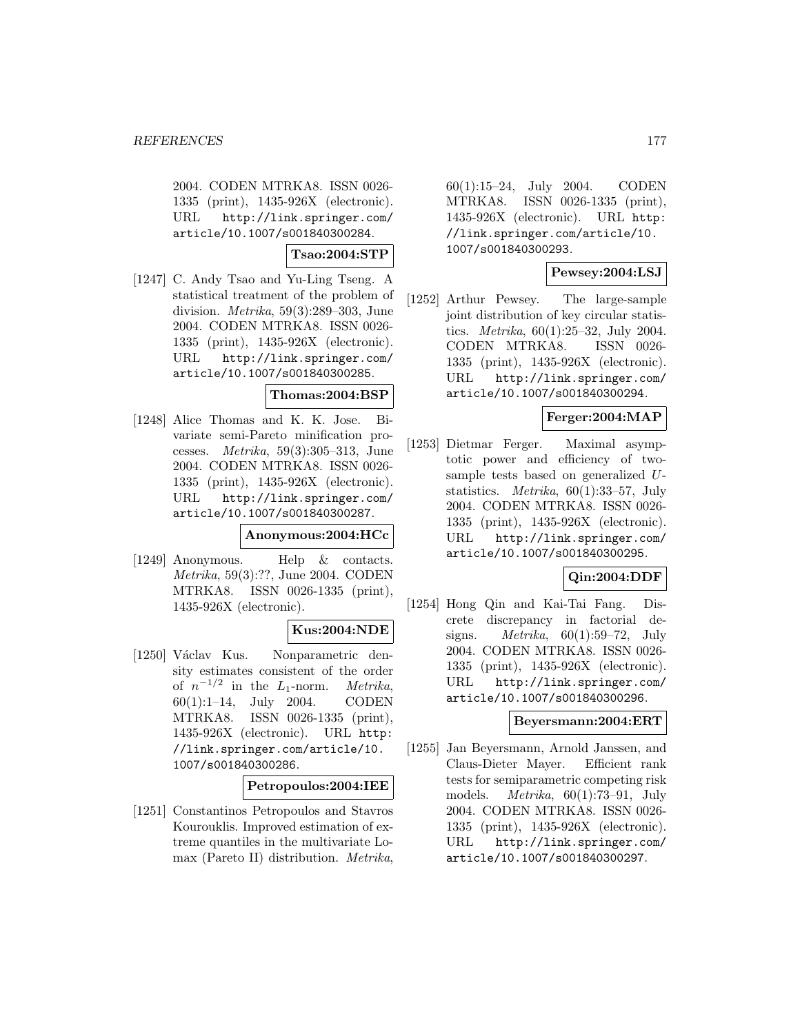2004. CODEN MTRKA8. ISSN 0026- 1335 (print), 1435-926X (electronic). URL http://link.springer.com/ article/10.1007/s001840300284.

**Tsao:2004:STP**

[1247] C. Andy Tsao and Yu-Ling Tseng. A statistical treatment of the problem of division. Metrika, 59(3):289–303, June 2004. CODEN MTRKA8. ISSN 0026- 1335 (print), 1435-926X (electronic). URL http://link.springer.com/ article/10.1007/s001840300285.

#### **Thomas:2004:BSP**

[1248] Alice Thomas and K. K. Jose. Bivariate semi-Pareto minification processes. Metrika, 59(3):305–313, June 2004. CODEN MTRKA8. ISSN 0026- 1335 (print), 1435-926X (electronic). URL http://link.springer.com/ article/10.1007/s001840300287.

#### **Anonymous:2004:HCc**

[1249] Anonymous. Help & contacts. Metrika, 59(3):??, June 2004. CODEN MTRKA8. ISSN 0026-1335 (print), 1435-926X (electronic).

## **Kus:2004:NDE**

[1250] Václav Kus. Nonparametric density estimates consistent of the order of  $n^{-1/2}$  in the L<sub>1</sub>-norm. Metrika, 60(1):1–14, July 2004. CODEN MTRKA8. ISSN 0026-1335 (print), 1435-926X (electronic). URL http: //link.springer.com/article/10. 1007/s001840300286.

## **Petropoulos:2004:IEE**

[1251] Constantinos Petropoulos and Stavros Kourouklis. Improved estimation of extreme quantiles in the multivariate Lomax (Pareto II) distribution. Metrika,

60(1):15–24, July 2004. CODEN MTRKA8. ISSN 0026-1335 (print), 1435-926X (electronic). URL http: //link.springer.com/article/10. 1007/s001840300293.

## **Pewsey:2004:LSJ**

[1252] Arthur Pewsey. The large-sample joint distribution of key circular statistics. Metrika, 60(1):25–32, July 2004. CODEN MTRKA8. ISSN 0026- 1335 (print), 1435-926X (electronic). URL http://link.springer.com/ article/10.1007/s001840300294.

## **Ferger:2004:MAP**

[1253] Dietmar Ferger. Maximal asymptotic power and efficiency of twosample tests based on generalized Ustatistics. Metrika, 60(1):33–57, July 2004. CODEN MTRKA8. ISSN 0026- 1335 (print), 1435-926X (electronic). URL http://link.springer.com/ article/10.1007/s001840300295.

## **Qin:2004:DDF**

[1254] Hong Qin and Kai-Tai Fang. Discrete discrepancy in factorial designs. *Metrika*,  $60(1):59-72$ , July 2004. CODEN MTRKA8. ISSN 0026- 1335 (print), 1435-926X (electronic). URL http://link.springer.com/ article/10.1007/s001840300296.

## **Beyersmann:2004:ERT**

[1255] Jan Beyersmann, Arnold Janssen, and Claus-Dieter Mayer. Efficient rank tests for semiparametric competing risk models. Metrika, 60(1):73–91, July 2004. CODEN MTRKA8. ISSN 0026- 1335 (print), 1435-926X (electronic). URL http://link.springer.com/ article/10.1007/s001840300297.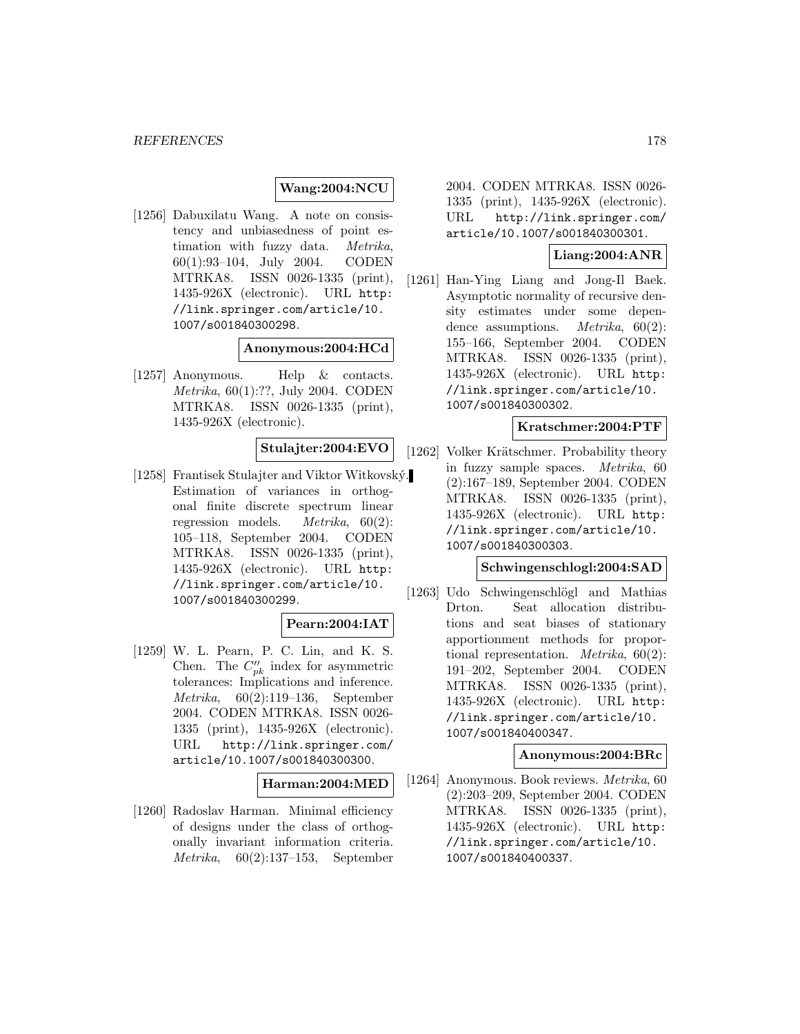# **Wang:2004:NCU**

[1256] Dabuxilatu Wang. A note on consistency and unbiasedness of point estimation with fuzzy data. Metrika, 60(1):93–104, July 2004. CODEN MTRKA8. ISSN 0026-1335 (print), 1435-926X (electronic). URL http: //link.springer.com/article/10. 1007/s001840300298.

#### **Anonymous:2004:HCd**

[1257] Anonymous. Help & contacts. Metrika, 60(1):??, July 2004. CODEN MTRKA8. ISSN 0026-1335 (print), 1435-926X (electronic).

## **Stulajter:2004:EVO**

[1258] Frantisek Stulajter and Viktor Witkovský. Estimation of variances in orthogonal finite discrete spectrum linear regression models. Metrika, 60(2): 105–118, September 2004. CODEN MTRKA8. ISSN 0026-1335 (print), 1435-926X (electronic). URL http: //link.springer.com/article/10. 1007/s001840300299.

# **Pearn:2004:IAT**

[1259] W. L. Pearn, P. C. Lin, and K. S. Chen. The  $C_{pk}''$  index for asymmetric tolerances: Implications and inference. Metrika, 60(2):119–136, September 2004. CODEN MTRKA8. ISSN 0026- 1335 (print), 1435-926X (electronic). URL http://link.springer.com/ article/10.1007/s001840300300.

#### **Harman:2004:MED**

[1260] Radoslav Harman. Minimal efficiency of designs under the class of orthogonally invariant information criteria. Metrika, 60(2):137–153, September 2004. CODEN MTRKA8. ISSN 0026- 1335 (print), 1435-926X (electronic). URL http://link.springer.com/ article/10.1007/s001840300301.

### **Liang:2004:ANR**

[1261] Han-Ying Liang and Jong-Il Baek. Asymptotic normality of recursive density estimates under some dependence assumptions. Metrika, 60(2): 155–166, September 2004. CODEN MTRKA8. ISSN 0026-1335 (print), 1435-926X (electronic). URL http: //link.springer.com/article/10. 1007/s001840300302.

### **Kratschmer:2004:PTF**

[1262] Volker Krätschmer. Probability theory in fuzzy sample spaces. Metrika, 60 (2):167–189, September 2004. CODEN MTRKA8. ISSN 0026-1335 (print), 1435-926X (electronic). URL http: //link.springer.com/article/10. 1007/s001840300303.

## **Schwingenschlogl:2004:SAD**

[1263] Udo Schwingenschlögl and Mathias Drton. Seat allocation distributions and seat biases of stationary apportionment methods for proportional representation. *Metrika*,  $60(2)$ : 191–202, September 2004. CODEN MTRKA8. ISSN 0026-1335 (print), 1435-926X (electronic). URL http: //link.springer.com/article/10. 1007/s001840400347.

## **Anonymous:2004:BRc**

[1264] Anonymous. Book reviews. Metrika, 60 (2):203–209, September 2004. CODEN MTRKA8. ISSN 0026-1335 (print), 1435-926X (electronic). URL http: //link.springer.com/article/10. 1007/s001840400337.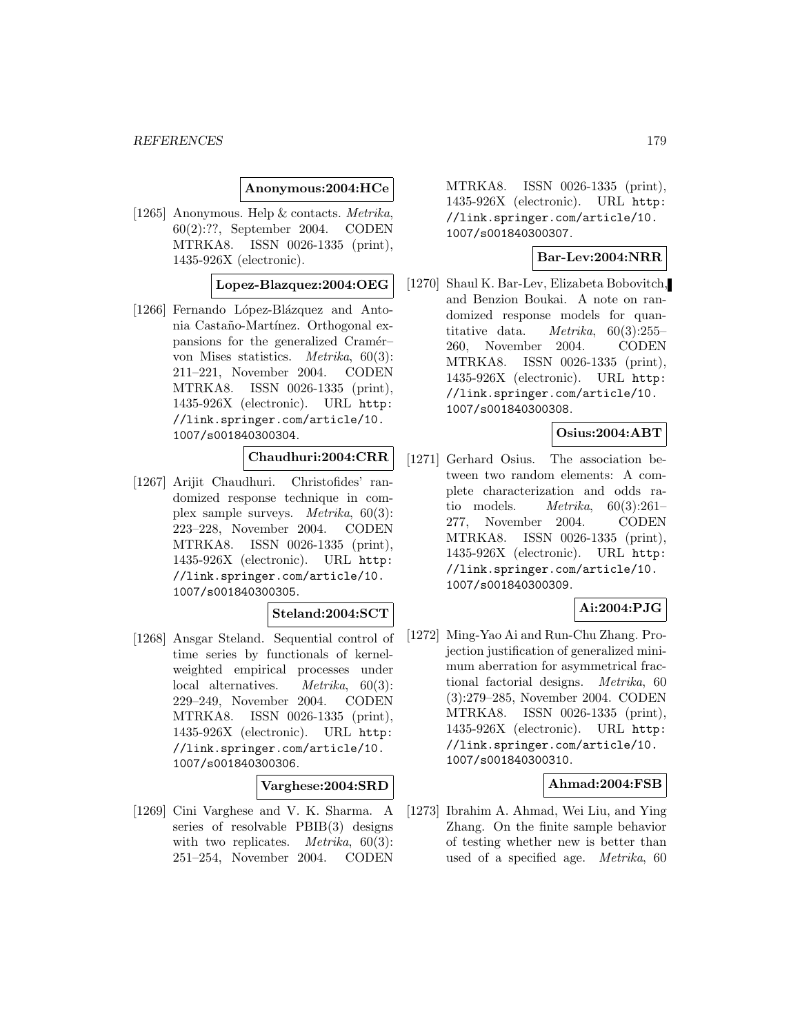### **Anonymous:2004:HCe**

[1265] Anonymous. Help & contacts. Metrika, 60(2):??, September 2004. CODEN MTRKA8. ISSN 0026-1335 (print), 1435-926X (electronic).

## **Lopez-Blazquez:2004:OEG**

[1266] Fernando López-Blázquez and Antonia Castaño-Martínez. Orthogonal expansions for the generalized Cramér– von Mises statistics. Metrika, 60(3): 211–221, November 2004. CODEN MTRKA8. ISSN 0026-1335 (print), 1435-926X (electronic). URL http: //link.springer.com/article/10. 1007/s001840300304.

# **Chaudhuri:2004:CRR**

[1267] Arijit Chaudhuri. Christofides' randomized response technique in complex sample surveys. Metrika, 60(3): 223–228, November 2004. CODEN MTRKA8. ISSN 0026-1335 (print), 1435-926X (electronic). URL http: //link.springer.com/article/10. 1007/s001840300305.

### **Steland:2004:SCT**

[1268] Ansgar Steland. Sequential control of time series by functionals of kernelweighted empirical processes under local alternatives. Metrika, 60(3): 229–249, November 2004. CODEN MTRKA8. ISSN 0026-1335 (print), 1435-926X (electronic). URL http: //link.springer.com/article/10. 1007/s001840300306.

## **Varghese:2004:SRD**

[1269] Cini Varghese and V. K. Sharma. A series of resolvable PBIB(3) designs with two replicates. *Metrika*,  $60(3)$ : 251–254, November 2004. CODEN

MTRKA8. ISSN 0026-1335 (print), 1435-926X (electronic). URL http: //link.springer.com/article/10. 1007/s001840300307.

#### **Bar-Lev:2004:NRR**

[1270] Shaul K. Bar-Lev, Elizabeta Bobovitch, and Benzion Boukai. A note on randomized response models for quantitative data. Metrika, 60(3):255– 260, November 2004. CODEN MTRKA8. ISSN 0026-1335 (print), 1435-926X (electronic). URL http: //link.springer.com/article/10. 1007/s001840300308.

# **Osius:2004:ABT**

[1271] Gerhard Osius. The association between two random elements: A complete characterization and odds ratio models. Metrika, 60(3):261– 277, November 2004. CODEN MTRKA8. ISSN 0026-1335 (print), 1435-926X (electronic). URL http: //link.springer.com/article/10. 1007/s001840300309.

## **Ai:2004:PJG**

[1272] Ming-Yao Ai and Run-Chu Zhang. Projection justification of generalized minimum aberration for asymmetrical fractional factorial designs. Metrika, 60 (3):279–285, November 2004. CODEN MTRKA8. ISSN 0026-1335 (print), 1435-926X (electronic). URL http: //link.springer.com/article/10. 1007/s001840300310.

### **Ahmad:2004:FSB**

[1273] Ibrahim A. Ahmad, Wei Liu, and Ying Zhang. On the finite sample behavior of testing whether new is better than used of a specified age. Metrika, 60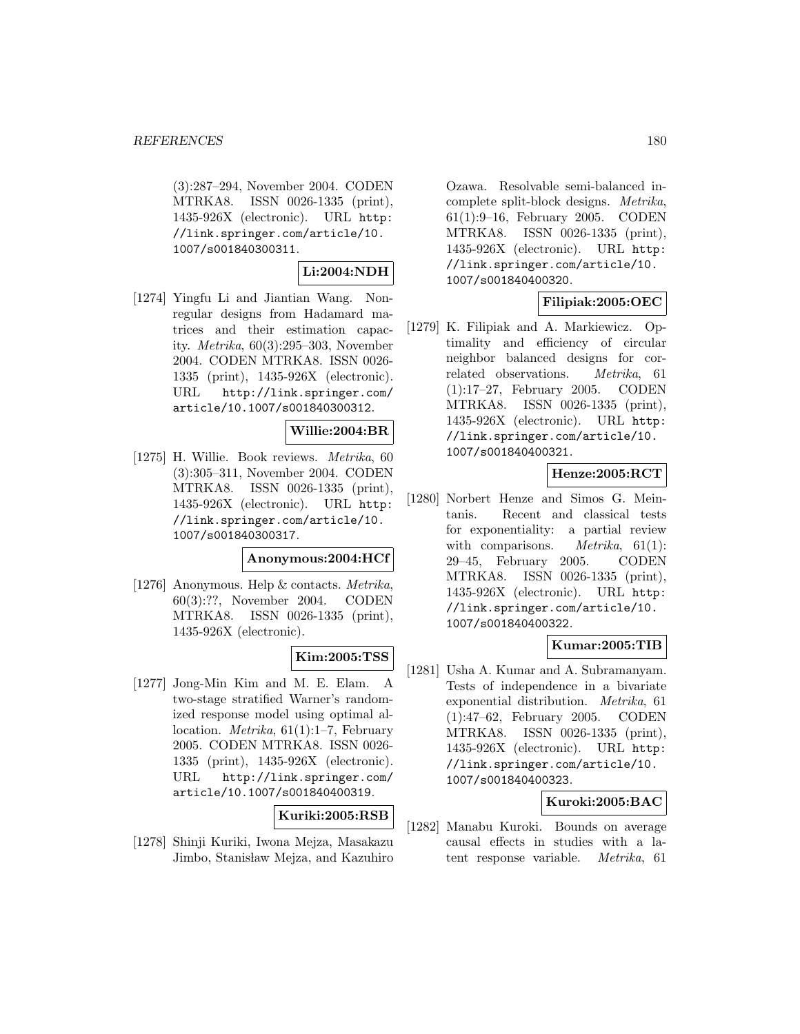(3):287–294, November 2004. CODEN MTRKA8. ISSN 0026-1335 (print), 1435-926X (electronic). URL http: //link.springer.com/article/10. 1007/s001840300311.

## **Li:2004:NDH**

[1274] Yingfu Li and Jiantian Wang. Nonregular designs from Hadamard matrices and their estimation capacity. Metrika, 60(3):295–303, November 2004. CODEN MTRKA8. ISSN 0026- 1335 (print), 1435-926X (electronic). URL http://link.springer.com/ article/10.1007/s001840300312.

## **Willie:2004:BR**

[1275] H. Willie. Book reviews. Metrika, 60 (3):305–311, November 2004. CODEN MTRKA8. ISSN 0026-1335 (print), 1435-926X (electronic). URL http: //link.springer.com/article/10. 1007/s001840300317.

### **Anonymous:2004:HCf**

[1276] Anonymous. Help & contacts. Metrika, 60(3):??, November 2004. CODEN MTRKA8. ISSN 0026-1335 (print), 1435-926X (electronic).

# **Kim:2005:TSS**

[1277] Jong-Min Kim and M. E. Elam. A two-stage stratified Warner's randomized response model using optimal allocation. Metrika, 61(1):1–7, February 2005. CODEN MTRKA8. ISSN 0026- 1335 (print), 1435-926X (electronic). URL http://link.springer.com/ article/10.1007/s001840400319.

## **Kuriki:2005:RSB**

[1278] Shinji Kuriki, Iwona Mejza, Masakazu Jimbo, Stanisław Mejza, and Kazuhiro

Ozawa. Resolvable semi-balanced incomplete split-block designs. Metrika, 61(1):9–16, February 2005. CODEN MTRKA8. ISSN 0026-1335 (print), 1435-926X (electronic). URL http: //link.springer.com/article/10. 1007/s001840400320.

# **Filipiak:2005:OEC**

[1279] K. Filipiak and A. Markiewicz. Optimality and efficiency of circular neighbor balanced designs for correlated observations. Metrika, 61 (1):17–27, February 2005. CODEN MTRKA8. ISSN 0026-1335 (print), 1435-926X (electronic). URL http: //link.springer.com/article/10. 1007/s001840400321.

# **Henze:2005:RCT**

[1280] Norbert Henze and Simos G. Meintanis. Recent and classical tests for exponentiality: a partial review with comparisons. *Metrika*,  $61(1)$ : 29–45, February 2005. CODEN MTRKA8. ISSN 0026-1335 (print), 1435-926X (electronic). URL http: //link.springer.com/article/10. 1007/s001840400322.

# **Kumar:2005:TIB**

[1281] Usha A. Kumar and A. Subramanyam. Tests of independence in a bivariate exponential distribution. Metrika, 61 (1):47–62, February 2005. CODEN MTRKA8. ISSN 0026-1335 (print), 1435-926X (electronic). URL http: //link.springer.com/article/10. 1007/s001840400323.

## **Kuroki:2005:BAC**

[1282] Manabu Kuroki. Bounds on average causal effects in studies with a latent response variable. Metrika, 61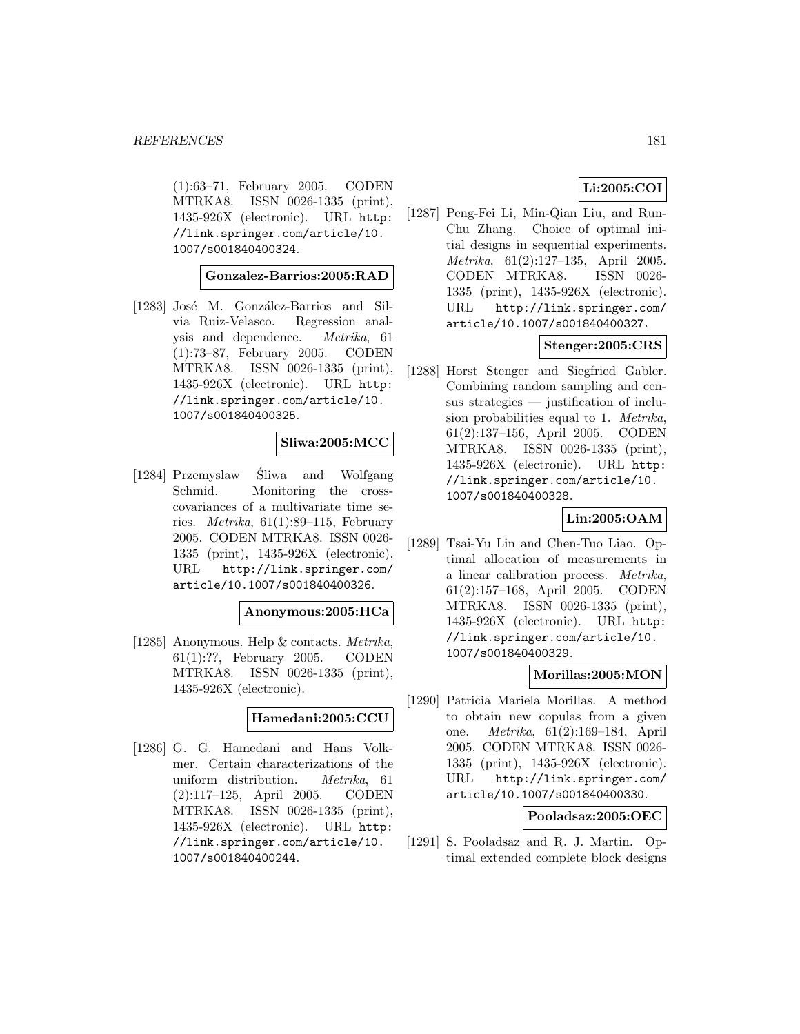(1):63–71, February 2005. CODEN MTRKA8. ISSN 0026-1335 (print), 1435-926X (electronic). URL http: //link.springer.com/article/10. 1007/s001840400324.

#### **Gonzalez-Barrios:2005:RAD**

[1283] José M. González-Barrios and Silvia Ruiz-Velasco. Regression analysis and dependence. Metrika, 61 (1):73–87, February 2005. CODEN MTRKA8. ISSN 0026-1335 (print), 1435-926X (electronic). URL http: //link.springer.com/article/10. 1007/s001840400325.

# **Sliwa:2005:MCC**

[1284] Przemyslaw Sliwa and Wolfgang ´ Schmid. Monitoring the crosscovariances of a multivariate time series. *Metrika*,  $61(1):89-115$ , February 2005. CODEN MTRKA8. ISSN 0026- 1335 (print), 1435-926X (electronic). URL http://link.springer.com/ article/10.1007/s001840400326.

#### **Anonymous:2005:HCa**

[1285] Anonymous. Help & contacts. Metrika, 61(1):??, February 2005. CODEN MTRKA8. ISSN 0026-1335 (print), 1435-926X (electronic).

## **Hamedani:2005:CCU**

[1286] G. G. Hamedani and Hans Volkmer. Certain characterizations of the uniform distribution. Metrika, 61 (2):117–125, April 2005. CODEN MTRKA8. ISSN 0026-1335 (print), 1435-926X (electronic). URL http: //link.springer.com/article/10. 1007/s001840400244.

# **Li:2005:COI**

[1287] Peng-Fei Li, Min-Qian Liu, and Run-Chu Zhang. Choice of optimal initial designs in sequential experiments. Metrika, 61(2):127–135, April 2005. CODEN MTRKA8. ISSN 0026- 1335 (print), 1435-926X (electronic). URL http://link.springer.com/ article/10.1007/s001840400327.

# **Stenger:2005:CRS**

[1288] Horst Stenger and Siegfried Gabler. Combining random sampling and census strategies — justification of inclusion probabilities equal to 1. Metrika, 61(2):137–156, April 2005. CODEN MTRKA8. ISSN 0026-1335 (print), 1435-926X (electronic). URL http: //link.springer.com/article/10. 1007/s001840400328.

# **Lin:2005:OAM**

[1289] Tsai-Yu Lin and Chen-Tuo Liao. Optimal allocation of measurements in a linear calibration process. Metrika, 61(2):157–168, April 2005. CODEN MTRKA8. ISSN 0026-1335 (print), 1435-926X (electronic). URL http: //link.springer.com/article/10. 1007/s001840400329.

## **Morillas:2005:MON**

[1290] Patricia Mariela Morillas. A method to obtain new copulas from a given one. Metrika, 61(2):169–184, April 2005. CODEN MTRKA8. ISSN 0026- 1335 (print), 1435-926X (electronic). URL http://link.springer.com/ article/10.1007/s001840400330.

#### **Pooladsaz:2005:OEC**

[1291] S. Pooladsaz and R. J. Martin. Optimal extended complete block designs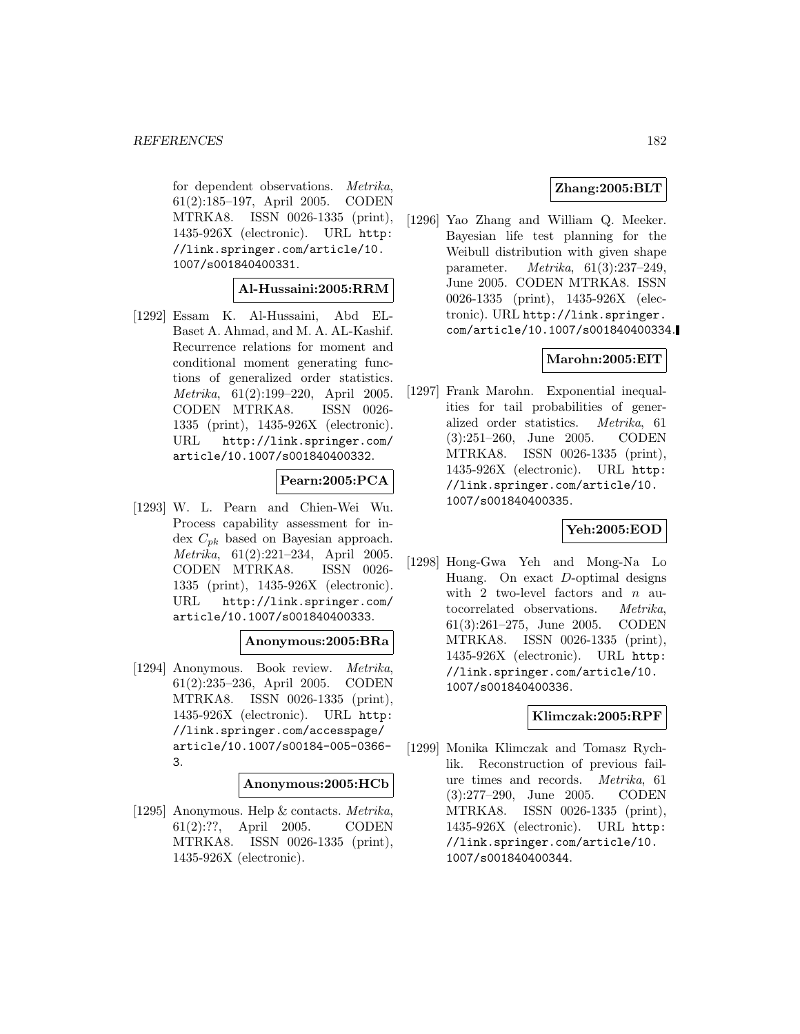for dependent observations. Metrika, 61(2):185–197, April 2005. CODEN MTRKA8. ISSN 0026-1335 (print), 1435-926X (electronic). URL http: //link.springer.com/article/10. 1007/s001840400331.

#### **Al-Hussaini:2005:RRM**

[1292] Essam K. Al-Hussaini, Abd EL-Baset A. Ahmad, and M. A. AL-Kashif. Recurrence relations for moment and conditional moment generating functions of generalized order statistics. Metrika, 61(2):199–220, April 2005. CODEN MTRKA8. ISSN 0026- 1335 (print), 1435-926X (electronic). URL http://link.springer.com/ article/10.1007/s001840400332.

## **Pearn:2005:PCA**

[1293] W. L. Pearn and Chien-Wei Wu. Process capability assessment for index  $C_{pk}$  based on Bayesian approach. Metrika, 61(2):221–234, April 2005. CODEN MTRKA8. ISSN 0026- 1335 (print), 1435-926X (electronic). URL http://link.springer.com/ article/10.1007/s001840400333.

#### **Anonymous:2005:BRa**

[1294] Anonymous. Book review. Metrika, 61(2):235–236, April 2005. CODEN MTRKA8. ISSN 0026-1335 (print), 1435-926X (electronic). URL http: //link.springer.com/accesspage/ article/10.1007/s00184-005-0366- 3.

#### **Anonymous:2005:HCb**

[1295] Anonymous. Help & contacts. Metrika, 61(2):??, April 2005. CODEN MTRKA8. ISSN 0026-1335 (print), 1435-926X (electronic).

## **Zhang:2005:BLT**

[1296] Yao Zhang and William Q. Meeker. Bayesian life test planning for the Weibull distribution with given shape parameter. Metrika, 61(3):237–249, June 2005. CODEN MTRKA8. ISSN 0026-1335 (print), 1435-926X (electronic). URL http://link.springer. com/article/10.1007/s001840400334.

# **Marohn:2005:EIT**

[1297] Frank Marohn. Exponential inequalities for tail probabilities of generalized order statistics. Metrika, 61 (3):251–260, June 2005. CODEN MTRKA8. ISSN 0026-1335 (print), 1435-926X (electronic). URL http: //link.springer.com/article/10. 1007/s001840400335.

## **Yeh:2005:EOD**

[1298] Hong-Gwa Yeh and Mong-Na Lo Huang. On exact D-optimal designs with 2 two-level factors and  $n$  autocorrelated observations. Metrika, 61(3):261–275, June 2005. CODEN MTRKA8. ISSN 0026-1335 (print), 1435-926X (electronic). URL http: //link.springer.com/article/10. 1007/s001840400336.

#### **Klimczak:2005:RPF**

[1299] Monika Klimczak and Tomasz Rychlik. Reconstruction of previous failure times and records. Metrika, 61 (3):277–290, June 2005. CODEN MTRKA8. ISSN 0026-1335 (print), 1435-926X (electronic). URL http: //link.springer.com/article/10. 1007/s001840400344.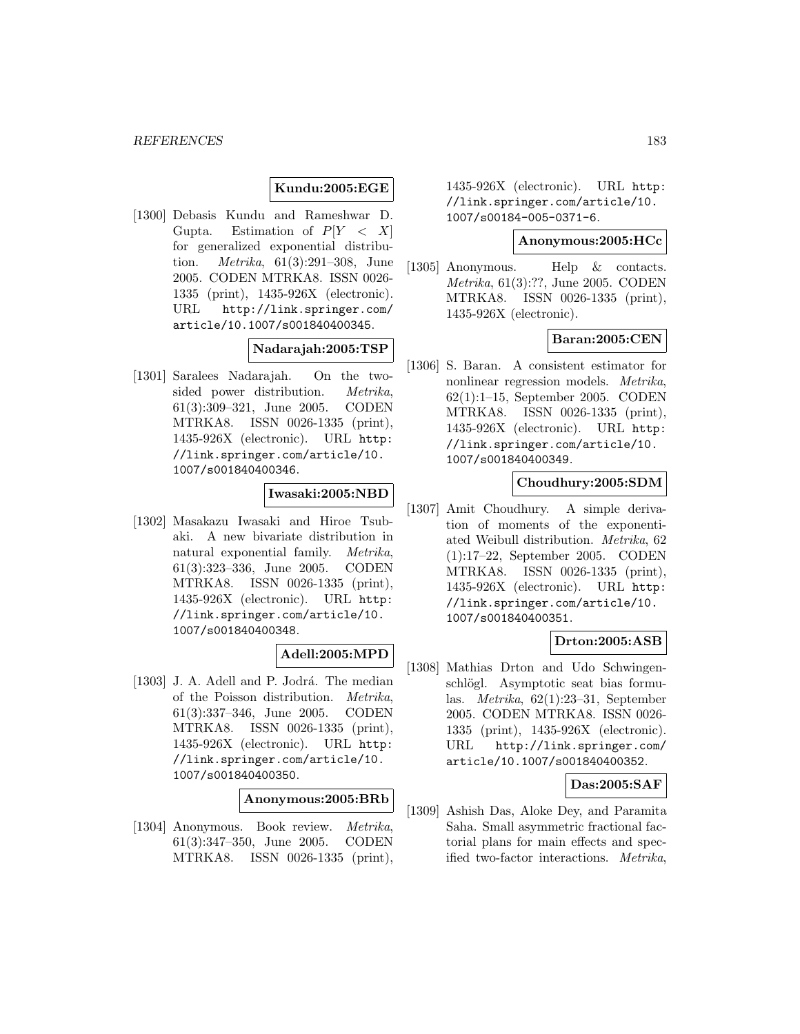## **Kundu:2005:EGE**

[1300] Debasis Kundu and Rameshwar D. Gupta. Estimation of  $P[Y \leq X]$ for generalized exponential distribution. Metrika, 61(3):291–308, June 2005. CODEN MTRKA8. ISSN 0026- 1335 (print), 1435-926X (electronic). URL http://link.springer.com/ article/10.1007/s001840400345.

## **Nadarajah:2005:TSP**

[1301] Saralees Nadarajah. On the twosided power distribution. Metrika, 61(3):309–321, June 2005. CODEN MTRKA8. ISSN 0026-1335 (print), 1435-926X (electronic). URL http: //link.springer.com/article/10. 1007/s001840400346.

## **Iwasaki:2005:NBD**

[1302] Masakazu Iwasaki and Hiroe Tsubaki. A new bivariate distribution in natural exponential family. Metrika, 61(3):323–336, June 2005. CODEN MTRKA8. ISSN 0026-1335 (print), 1435-926X (electronic). URL http: //link.springer.com/article/10. 1007/s001840400348.

## **Adell:2005:MPD**

[1303] J. A. Adell and P. Jodrá. The median of the Poisson distribution. Metrika, 61(3):337–346, June 2005. CODEN MTRKA8. ISSN 0026-1335 (print), 1435-926X (electronic). URL http: //link.springer.com/article/10. 1007/s001840400350.

# **Anonymous:2005:BRb**

[1304] Anonymous. Book review. Metrika, 61(3):347–350, June 2005. CODEN MTRKA8. ISSN 0026-1335 (print),

1435-926X (electronic). URL http: //link.springer.com/article/10. 1007/s00184-005-0371-6.

#### **Anonymous:2005:HCc**

[1305] Anonymous. Help & contacts. Metrika, 61(3):??, June 2005. CODEN MTRKA8. ISSN 0026-1335 (print), 1435-926X (electronic).

#### **Baran:2005:CEN**

[1306] S. Baran. A consistent estimator for nonlinear regression models. Metrika, 62(1):1–15, September 2005. CODEN MTRKA8. ISSN 0026-1335 (print), 1435-926X (electronic). URL http: //link.springer.com/article/10. 1007/s001840400349.

#### **Choudhury:2005:SDM**

[1307] Amit Choudhury. A simple derivation of moments of the exponentiated Weibull distribution. Metrika, 62 (1):17–22, September 2005. CODEN MTRKA8. ISSN 0026-1335 (print), 1435-926X (electronic). URL http: //link.springer.com/article/10. 1007/s001840400351.

## **Drton:2005:ASB**

[1308] Mathias Drton and Udo Schwingenschlögl. Asymptotic seat bias formulas. Metrika, 62(1):23–31, September 2005. CODEN MTRKA8. ISSN 0026- 1335 (print), 1435-926X (electronic). URL http://link.springer.com/ article/10.1007/s001840400352.

#### **Das:2005:SAF**

[1309] Ashish Das, Aloke Dey, and Paramita Saha. Small asymmetric fractional factorial plans for main effects and specified two-factor interactions. Metrika,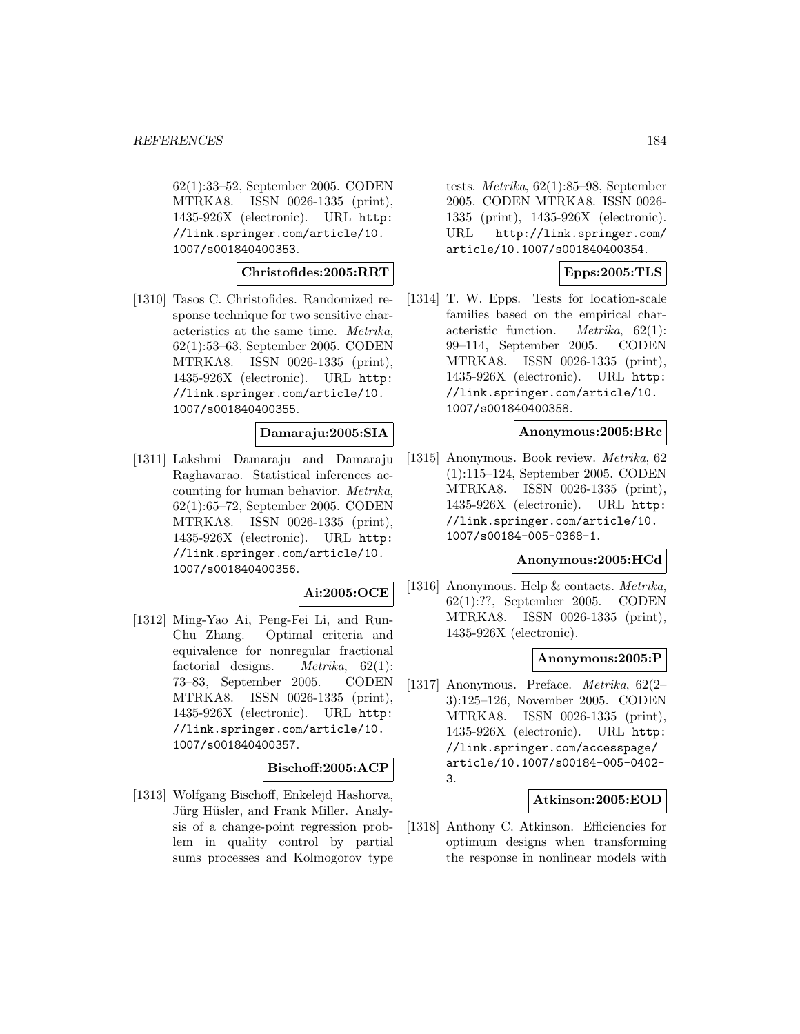62(1):33–52, September 2005. CODEN MTRKA8. ISSN 0026-1335 (print), 1435-926X (electronic). URL http: //link.springer.com/article/10. 1007/s001840400353.

## **Christofides:2005:RRT**

[1310] Tasos C. Christofides. Randomized response technique for two sensitive characteristics at the same time. Metrika, 62(1):53–63, September 2005. CODEN MTRKA8. ISSN 0026-1335 (print), 1435-926X (electronic). URL http: //link.springer.com/article/10. 1007/s001840400355.

# **Damaraju:2005:SIA**

[1311] Lakshmi Damaraju and Damaraju Raghavarao. Statistical inferences accounting for human behavior. Metrika, 62(1):65–72, September 2005. CODEN MTRKA8. ISSN 0026-1335 (print), 1435-926X (electronic). URL http: //link.springer.com/article/10. 1007/s001840400356.

#### **Ai:2005:OCE**

[1312] Ming-Yao Ai, Peng-Fei Li, and Run-Chu Zhang. Optimal criteria and equivalence for nonregular fractional factorial designs.  $Metrika$ ,  $62(1)$ : 73–83, September 2005. CODEN MTRKA8. ISSN 0026-1335 (print), 1435-926X (electronic). URL http: //link.springer.com/article/10. 1007/s001840400357.

#### **Bischoff:2005:ACP**

[1313] Wolfgang Bischoff, Enkelejd Hashorva, Jürg Hüsler, and Frank Miller. Analysis of a change-point regression problem in quality control by partial sums processes and Kolmogorov type tests. Metrika, 62(1):85–98, September 2005. CODEN MTRKA8. ISSN 0026- 1335 (print), 1435-926X (electronic). URL http://link.springer.com/ article/10.1007/s001840400354.

# **Epps:2005:TLS**

[1314] T. W. Epps. Tests for location-scale families based on the empirical characteristic function. Metrika, 62(1): 99–114, September 2005. CODEN MTRKA8. ISSN 0026-1335 (print), 1435-926X (electronic). URL http: //link.springer.com/article/10. 1007/s001840400358.

# **Anonymous:2005:BRc**

[1315] Anonymous. Book review. Metrika, 62 (1):115–124, September 2005. CODEN MTRKA8. ISSN 0026-1335 (print), 1435-926X (electronic). URL http: //link.springer.com/article/10. 1007/s00184-005-0368-1.

## **Anonymous:2005:HCd**

[1316] Anonymous. Help & contacts. Metrika, 62(1):??, September 2005. CODEN MTRKA8. ISSN 0026-1335 (print), 1435-926X (electronic).

#### **Anonymous:2005:P**

[1317] Anonymous. Preface. Metrika, 62(2– 3):125–126, November 2005. CODEN MTRKA8. ISSN 0026-1335 (print), 1435-926X (electronic). URL http: //link.springer.com/accesspage/ article/10.1007/s00184-005-0402- 3.

#### **Atkinson:2005:EOD**

[1318] Anthony C. Atkinson. Efficiencies for optimum designs when transforming the response in nonlinear models with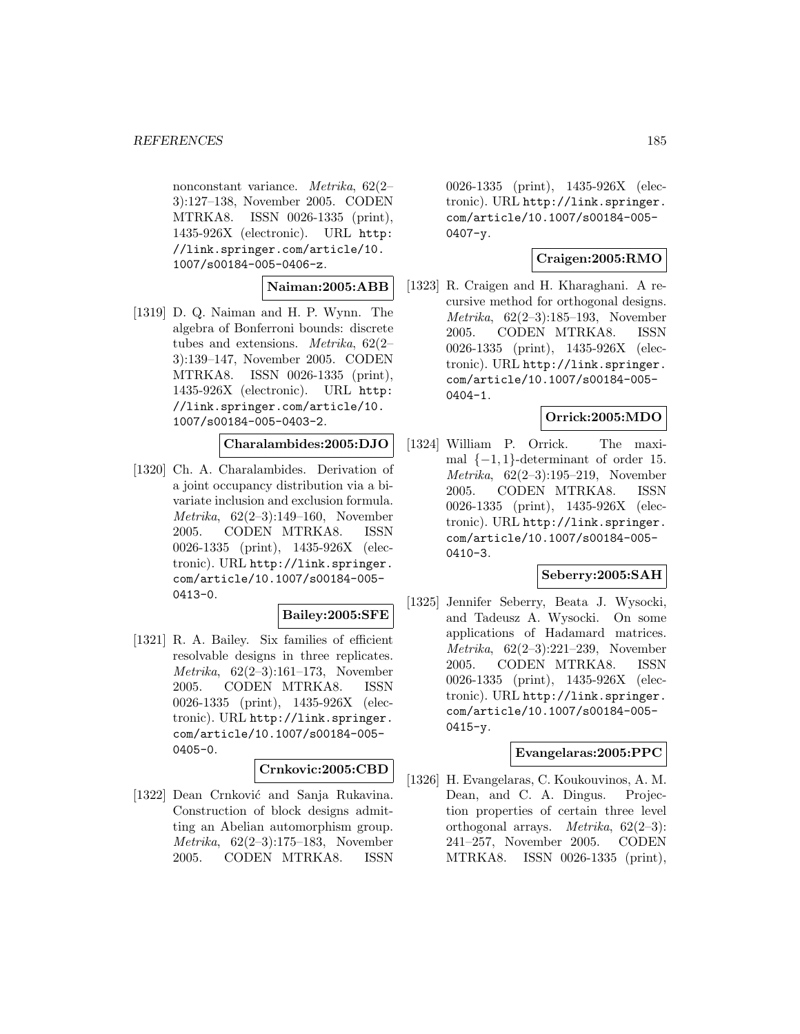nonconstant variance. Metrika, 62(2– 3):127–138, November 2005. CODEN MTRKA8. ISSN 0026-1335 (print), 1435-926X (electronic). URL http: //link.springer.com/article/10. 1007/s00184-005-0406-z.

#### **Naiman:2005:ABB**

[1319] D. Q. Naiman and H. P. Wynn. The algebra of Bonferroni bounds: discrete tubes and extensions. Metrika, 62(2– 3):139–147, November 2005. CODEN MTRKA8. ISSN 0026-1335 (print), 1435-926X (electronic). URL http: //link.springer.com/article/10. 1007/s00184-005-0403-2.

## **Charalambides:2005:DJO**

[1320] Ch. A. Charalambides. Derivation of a joint occupancy distribution via a bivariate inclusion and exclusion formula. Metrika, 62(2–3):149–160, November 2005. CODEN MTRKA8. ISSN 0026-1335 (print), 1435-926X (electronic). URL http://link.springer. com/article/10.1007/s00184-005- 0413-0.

## **Bailey:2005:SFE**

[1321] R. A. Bailey. Six families of efficient resolvable designs in three replicates. Metrika, 62(2–3):161–173, November 2005. CODEN MTRKA8. ISSN 0026-1335 (print), 1435-926X (electronic). URL http://link.springer. com/article/10.1007/s00184-005- 0405-0.

## **Crnkovic:2005:CBD**

[1322] Dean Crnković and Sanja Rukavina. Construction of block designs admitting an Abelian automorphism group. Metrika, 62(2–3):175–183, November 2005. CODEN MTRKA8. ISSN

0026-1335 (print), 1435-926X (electronic). URL http://link.springer. com/article/10.1007/s00184-005- 0407-y.

## **Craigen:2005:RMO**

[1323] R. Craigen and H. Kharaghani. A recursive method for orthogonal designs. Metrika, 62(2–3):185–193, November 2005. CODEN MTRKA8. ISSN 0026-1335 (print), 1435-926X (electronic). URL http://link.springer. com/article/10.1007/s00184-005- 0404-1.

# **Orrick:2005:MDO**

[1324] William P. Orrick. The maximal  $\{-1, 1\}$ -determinant of order 15. Metrika, 62(2–3):195–219, November 2005. CODEN MTRKA8. ISSN 0026-1335 (print), 1435-926X (electronic). URL http://link.springer. com/article/10.1007/s00184-005- 0410-3.

## **Seberry:2005:SAH**

[1325] Jennifer Seberry, Beata J. Wysocki, and Tadeusz A. Wysocki. On some applications of Hadamard matrices. Metrika, 62(2–3):221–239, November 2005. CODEN MTRKA8. ISSN 0026-1335 (print), 1435-926X (electronic). URL http://link.springer. com/article/10.1007/s00184-005-  $0415 - y.$ 

#### **Evangelaras:2005:PPC**

[1326] H. Evangelaras, C. Koukouvinos, A. M. Dean, and C. A. Dingus. Projection properties of certain three level orthogonal arrays. Metrika, 62(2–3): 241–257, November 2005. CODEN MTRKA8. ISSN 0026-1335 (print),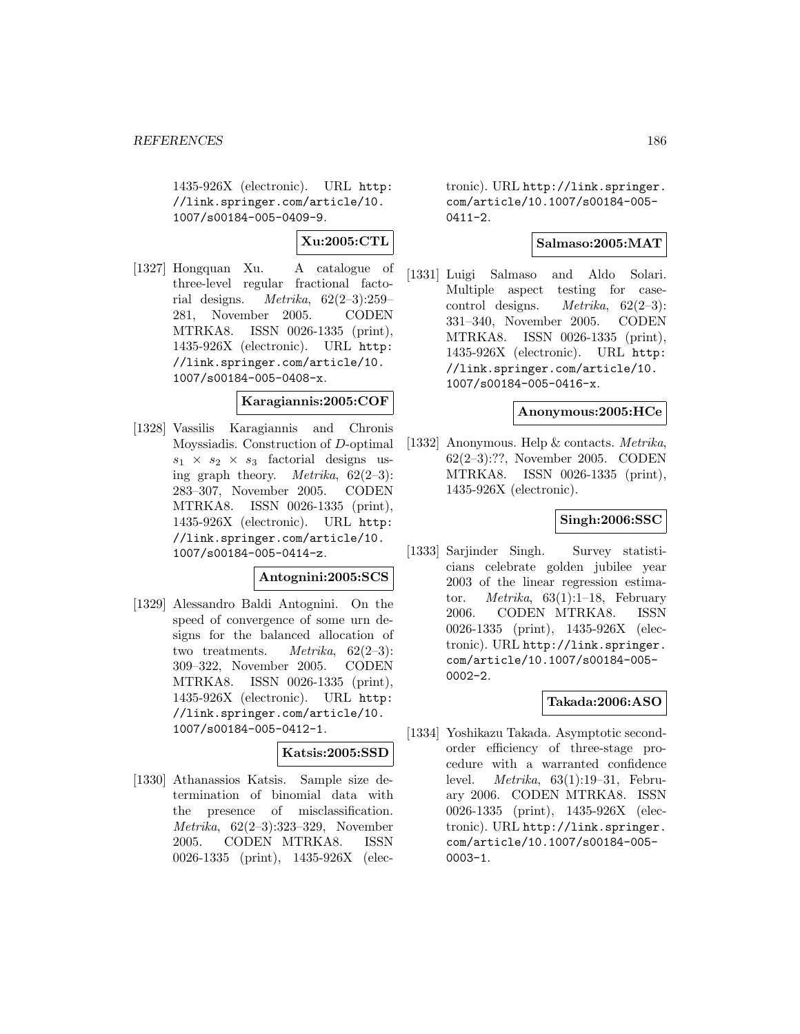1435-926X (electronic). URL http: //link.springer.com/article/10. 1007/s00184-005-0409-9.

**Xu:2005:CTL**

[1327] Hongquan Xu. A catalogue of three-level regular fractional factorial designs. *Metrika*,  $62(2-3):259-$ 281, November 2005. CODEN MTRKA8. ISSN 0026-1335 (print), 1435-926X (electronic). URL http: //link.springer.com/article/10. 1007/s00184-005-0408-x.

## **Karagiannis:2005:COF**

[1328] Vassilis Karagiannis and Chronis Moyssiadis. Construction of D-optimal  $s_1 \times s_2 \times s_3$  factorial designs using graph theory. *Metrika*,  $62(2-3)$ : 283–307, November 2005. CODEN MTRKA8. ISSN 0026-1335 (print), 1435-926X (electronic). URL http: //link.springer.com/article/10. 1007/s00184-005-0414-z.

## **Antognini:2005:SCS**

[1329] Alessandro Baldi Antognini. On the speed of convergence of some urn designs for the balanced allocation of two treatments. *Metrika*,  $62(2-3)$ : 309–322, November 2005. CODEN MTRKA8. ISSN 0026-1335 (print), 1435-926X (electronic). URL http: //link.springer.com/article/10. 1007/s00184-005-0412-1.

# **Katsis:2005:SSD**

[1330] Athanassios Katsis. Sample size determination of binomial data with the presence of misclassification. Metrika, 62(2–3):323–329, November 2005. CODEN MTRKA8. ISSN 0026-1335 (print), 1435-926X (electronic). URL http://link.springer. com/article/10.1007/s00184-005-  $0411 - 2.$ 

#### **Salmaso:2005:MAT**

[1331] Luigi Salmaso and Aldo Solari. Multiple aspect testing for casecontrol designs. Metrika, 62(2–3): 331–340, November 2005. CODEN MTRKA8. ISSN 0026-1335 (print), 1435-926X (electronic). URL http: //link.springer.com/article/10. 1007/s00184-005-0416-x.

## **Anonymous:2005:HCe**

[1332] Anonymous. Help & contacts. Metrika, 62(2–3):??, November 2005. CODEN MTRKA8. ISSN 0026-1335 (print), 1435-926X (electronic).

## **Singh:2006:SSC**

[1333] Sarjinder Singh. Survey statisticians celebrate golden jubilee year 2003 of the linear regression estimator. Metrika, 63(1):1–18, February 2006. CODEN MTRKA8. ISSN 0026-1335 (print), 1435-926X (electronic). URL http://link.springer. com/article/10.1007/s00184-005- 0002-2.

## **Takada:2006:ASO**

[1334] Yoshikazu Takada. Asymptotic secondorder efficiency of three-stage procedure with a warranted confidence level. Metrika, 63(1):19–31, February 2006. CODEN MTRKA8. ISSN 0026-1335 (print), 1435-926X (electronic). URL http://link.springer. com/article/10.1007/s00184-005- 0003-1.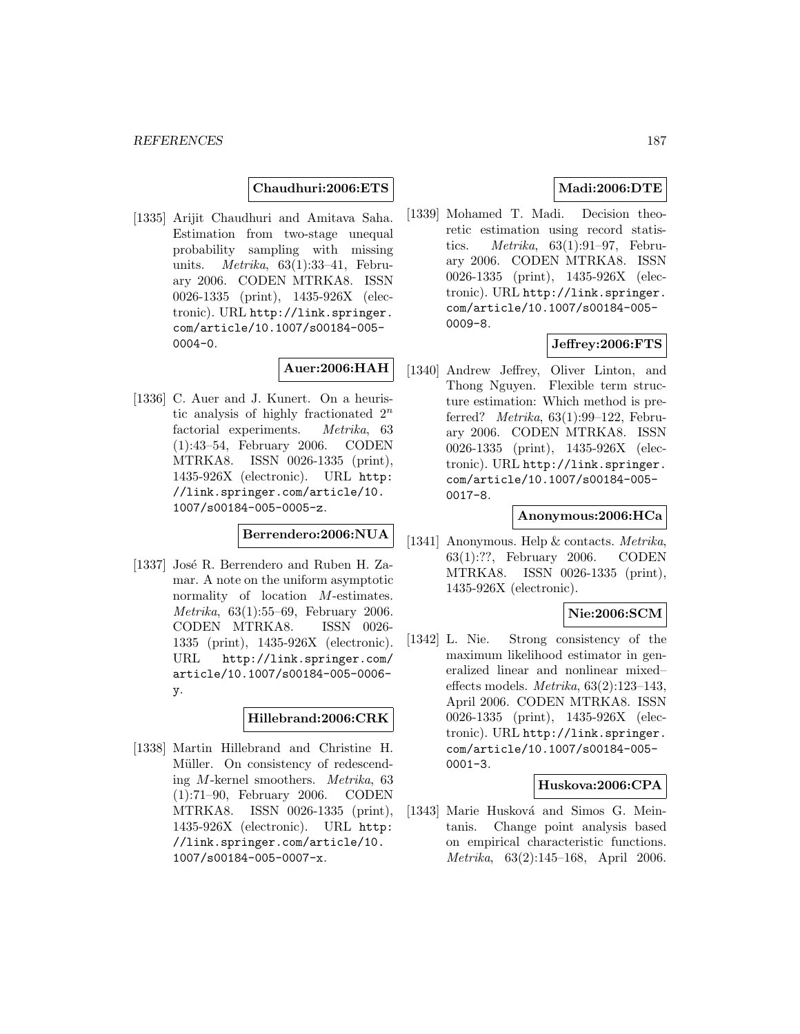**Chaudhuri:2006:ETS**

[1335] Arijit Chaudhuri and Amitava Saha. Estimation from two-stage unequal probability sampling with missing units. *Metrika*,  $63(1):33-41$ , February 2006. CODEN MTRKA8. ISSN 0026-1335 (print), 1435-926X (electronic). URL http://link.springer. com/article/10.1007/s00184-005- 0004-0.

# **Auer:2006:HAH**

[1336] C. Auer and J. Kunert. On a heuristic analysis of highly fractionated  $2^n$ factorial experiments. Metrika, 63 (1):43–54, February 2006. CODEN MTRKA8. ISSN 0026-1335 (print), 1435-926X (electronic). URL http: //link.springer.com/article/10. 1007/s00184-005-0005-z.

**Berrendero:2006:NUA**

[1337] José R. Berrendero and Ruben H. Zamar. A note on the uniform asymptotic normality of location M-estimates. Metrika, 63(1):55–69, February 2006. CODEN MTRKA8. ISSN 0026- 1335 (print), 1435-926X (electronic). URL http://link.springer.com/ article/10.1007/s00184-005-0006 y.

# **Hillebrand:2006:CRK**

[1338] Martin Hillebrand and Christine H. Müller. On consistency of redescending M-kernel smoothers. Metrika, 63 (1):71–90, February 2006. CODEN MTRKA8. ISSN 0026-1335 (print), 1435-926X (electronic). URL http: //link.springer.com/article/10. 1007/s00184-005-0007-x.

# **Madi:2006:DTE**

[1339] Mohamed T. Madi. Decision theoretic estimation using record statistics. Metrika, 63(1):91–97, February 2006. CODEN MTRKA8. ISSN 0026-1335 (print), 1435-926X (electronic). URL http://link.springer. com/article/10.1007/s00184-005- 0009-8.

# **Jeffrey:2006:FTS**

[1340] Andrew Jeffrey, Oliver Linton, and Thong Nguyen. Flexible term structure estimation: Which method is preferred? Metrika, 63(1):99–122, February 2006. CODEN MTRKA8. ISSN 0026-1335 (print), 1435-926X (electronic). URL http://link.springer. com/article/10.1007/s00184-005- 0017-8.

## **Anonymous:2006:HCa**

[1341] Anonymous. Help & contacts. *Metrika*, 63(1):??, February 2006. CODEN MTRKA8. ISSN 0026-1335 (print), 1435-926X (electronic).

## **Nie:2006:SCM**

[1342] L. Nie. Strong consistency of the maximum likelihood estimator in generalized linear and nonlinear mixed– effects models. Metrika, 63(2):123–143, April 2006. CODEN MTRKA8. ISSN 0026-1335 (print), 1435-926X (electronic). URL http://link.springer. com/article/10.1007/s00184-005- 0001-3.

## **Huskova:2006:CPA**

[1343] Marie Husková and Simos G. Meintanis. Change point analysis based on empirical characteristic functions. Metrika, 63(2):145–168, April 2006.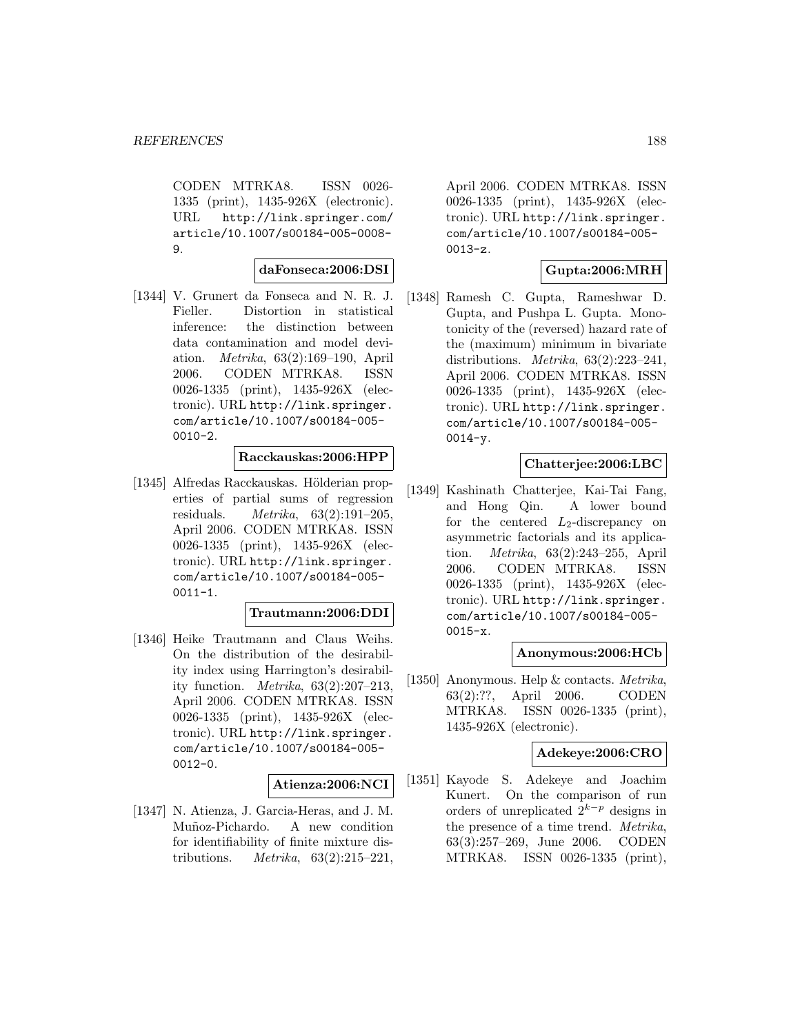CODEN MTRKA8. ISSN 0026- 1335 (print), 1435-926X (electronic). URL http://link.springer.com/ article/10.1007/s00184-005-0008- 9.

#### **daFonseca:2006:DSI**

[1344] V. Grunert da Fonseca and N. R. J. Fieller. Distortion in statistical inference: the distinction between data contamination and model deviation. Metrika, 63(2):169–190, April 2006. CODEN MTRKA8. ISSN 0026-1335 (print), 1435-926X (electronic). URL http://link.springer. com/article/10.1007/s00184-005- 0010-2.

# **Racckauskas:2006:HPP**

[1345] Alfredas Racckauskas. Hölderian properties of partial sums of regression residuals.  $Metrika$ ,  $63(2):191-205$ , April 2006. CODEN MTRKA8. ISSN 0026-1335 (print), 1435-926X (electronic). URL http://link.springer. com/article/10.1007/s00184-005-  $0011 - 1.$ 

#### **Trautmann:2006:DDI**

[1346] Heike Trautmann and Claus Weihs. On the distribution of the desirability index using Harrington's desirability function. Metrika, 63(2):207–213, April 2006. CODEN MTRKA8. ISSN 0026-1335 (print), 1435-926X (electronic). URL http://link.springer. com/article/10.1007/s00184-005- 0012-0.

#### **Atienza:2006:NCI**

[1347] N. Atienza, J. Garcia-Heras, and J. M. Muñoz-Pichardo. A new condition for identifiability of finite mixture distributions. *Metrika*,  $63(2):215-221$ ,

April 2006. CODEN MTRKA8. ISSN 0026-1335 (print), 1435-926X (electronic). URL http://link.springer. com/article/10.1007/s00184-005- 0013-z.

# **Gupta:2006:MRH**

[1348] Ramesh C. Gupta, Rameshwar D. Gupta, and Pushpa L. Gupta. Monotonicity of the (reversed) hazard rate of the (maximum) minimum in bivariate distributions. Metrika, 63(2):223–241, April 2006. CODEN MTRKA8. ISSN 0026-1335 (print), 1435-926X (electronic). URL http://link.springer. com/article/10.1007/s00184-005- 0014-y.

## **Chatterjee:2006:LBC**

[1349] Kashinath Chatterjee, Kai-Tai Fang, and Hong Qin. A lower bound for the centered  $L_2$ -discrepancy on asymmetric factorials and its application. Metrika, 63(2):243–255, April 2006. CODEN MTRKA8. ISSN 0026-1335 (print), 1435-926X (electronic). URL http://link.springer. com/article/10.1007/s00184-005- 0015-x.

## **Anonymous:2006:HCb**

[1350] Anonymous. Help & contacts. Metrika, 63(2):??, April 2006. CODEN MTRKA8. ISSN 0026-1335 (print), 1435-926X (electronic).

# **Adekeye:2006:CRO**

[1351] Kayode S. Adekeye and Joachim Kunert. On the comparison of run orders of unreplicated  $2^{k-p}$  designs in the presence of a time trend.  $Metrika$ , 63(3):257-269, June 2006. CODEN  $63(3):257-269$ , June 2006. MTRKA8. ISSN 0026-1335 (print),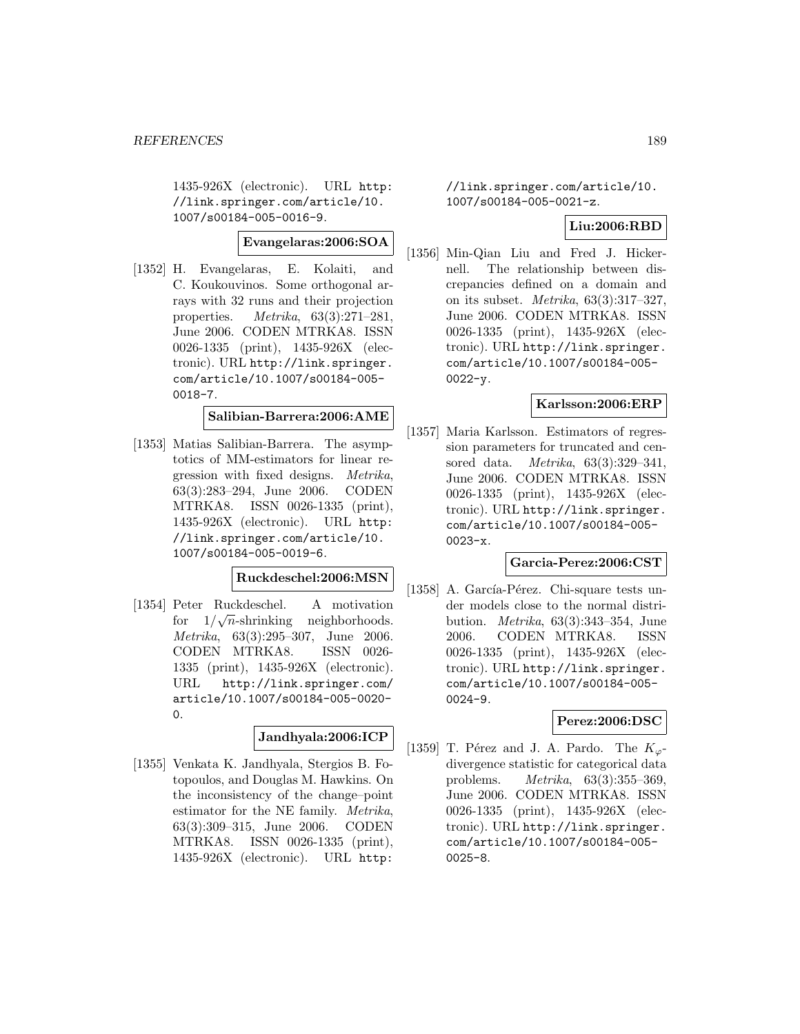1435-926X (electronic). URL http: //link.springer.com/article/10. 1007/s00184-005-0016-9.

# **Evangelaras:2006:SOA**

[1352] H. Evangelaras, E. Kolaiti, and C. Koukouvinos. Some orthogonal arrays with 32 runs and their projection properties. Metrika, 63(3):271–281, June 2006. CODEN MTRKA8. ISSN 0026-1335 (print), 1435-926X (electronic). URL http://link.springer. com/article/10.1007/s00184-005- 0018-7.

# **Salibian-Barrera:2006:AME**

[1353] Matias Salibian-Barrera. The asymptotics of MM-estimators for linear regression with fixed designs. Metrika, 63(3):283–294, June 2006. CODEN MTRKA8. ISSN 0026-1335 (print), 1435-926X (electronic). URL http: //link.springer.com/article/10. 1007/s00184-005-0019-6.

## **Ruckdeschel:2006:MSN**

[1354] Peter Ruckdeschel. A motivation Free Ruckdescher. A motivation<br>for  $1/\sqrt{n}$ -shrinking neighborhoods. Metrika, 63(3):295–307, June 2006. CODEN MTRKA8. ISSN 0026- 1335 (print), 1435-926X (electronic). URL http://link.springer.com/ article/10.1007/s00184-005-0020-  $\Omega$ .

## **Jandhyala:2006:ICP**

[1355] Venkata K. Jandhyala, Stergios B. Fotopoulos, and Douglas M. Hawkins. On the inconsistency of the change–point estimator for the NE family. Metrika, 63(3):309–315, June 2006. CODEN MTRKA8. ISSN 0026-1335 (print), 1435-926X (electronic). URL http:

//link.springer.com/article/10. 1007/s00184-005-0021-z.

## **Liu:2006:RBD**

[1356] Min-Qian Liu and Fred J. Hickernell. The relationship between discrepancies defined on a domain and on its subset. Metrika, 63(3):317–327, June 2006. CODEN MTRKA8. ISSN 0026-1335 (print), 1435-926X (electronic). URL http://link.springer. com/article/10.1007/s00184-005-  $0022 - y.$ 

## **Karlsson:2006:ERP**

[1357] Maria Karlsson. Estimators of regression parameters for truncated and censored data. Metrika, 63(3):329–341, June 2006. CODEN MTRKA8. ISSN 0026-1335 (print), 1435-926X (electronic). URL http://link.springer. com/article/10.1007/s00184-005- 0023-x.

## **Garcia-Perez:2006:CST**

[1358] A. García-Pérez. Chi-square tests under models close to the normal distribution. Metrika, 63(3):343–354, June 2006. CODEN MTRKA8. ISSN 0026-1335 (print), 1435-926X (electronic). URL http://link.springer. com/article/10.1007/s00184-005- 0024-9.

## **Perez:2006:DSC**

[1359] T. Pérez and J. A. Pardo. The  $K_{\varphi}$ divergence statistic for categorical data problems. Metrika, 63(3):355–369, June 2006. CODEN MTRKA8. ISSN 0026-1335 (print), 1435-926X (electronic). URL http://link.springer. com/article/10.1007/s00184-005- 0025-8.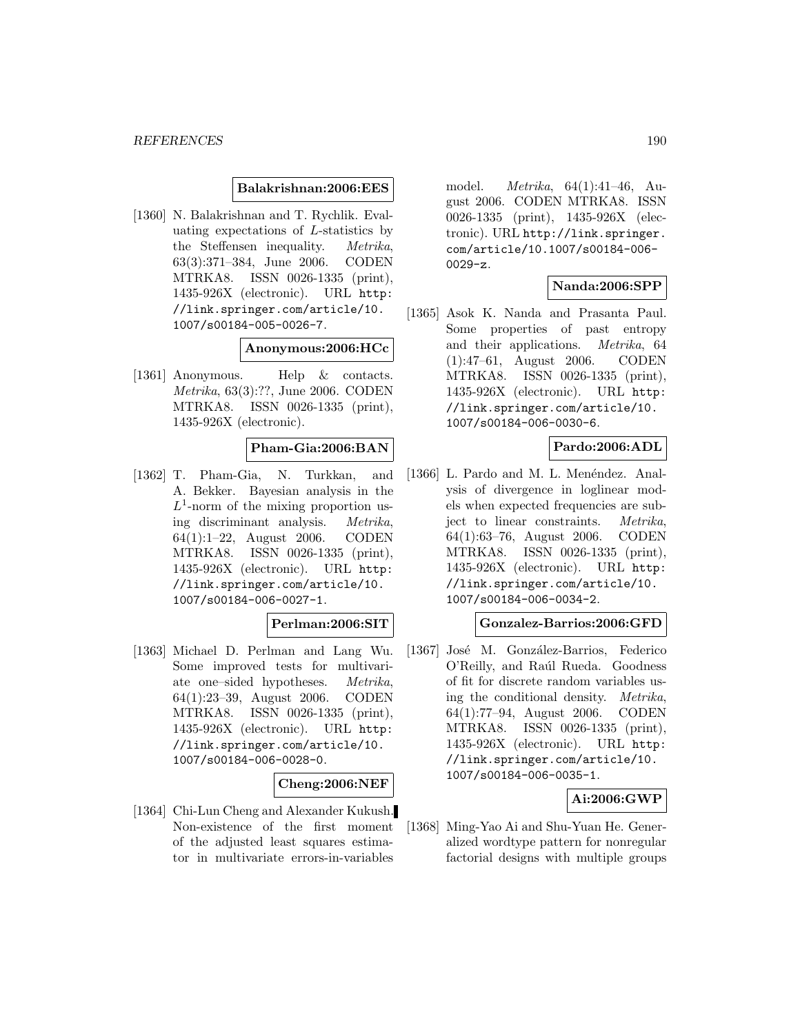#### **Balakrishnan:2006:EES**

[1360] N. Balakrishnan and T. Rychlik. Evaluating expectations of L-statistics by the Steffensen inequality. Metrika, 63(3):371–384, June 2006. CODEN MTRKA8. ISSN 0026-1335 (print), 1435-926X (electronic). URL http: //link.springer.com/article/10. 1007/s00184-005-0026-7.

#### **Anonymous:2006:HCc**

[1361] Anonymous. Help & contacts. Metrika, 63(3):??, June 2006. CODEN MTRKA8. ISSN 0026-1335 (print), 1435-926X (electronic).

#### **Pham-Gia:2006:BAN**

[1362] T. Pham-Gia, N. Turkkan, and A. Bekker. Bayesian analysis in the  $L^1$ -norm of the mixing proportion using discriminant analysis. Metrika, 64(1):1–22, August 2006. CODEN MTRKA8. ISSN 0026-1335 (print), 1435-926X (electronic). URL http: //link.springer.com/article/10. 1007/s00184-006-0027-1.

# **Perlman:2006:SIT**

[1363] Michael D. Perlman and Lang Wu. Some improved tests for multivariate one–sided hypotheses. Metrika, 64(1):23–39, August 2006. CODEN MTRKA8. ISSN 0026-1335 (print), 1435-926X (electronic). URL http: //link.springer.com/article/10. 1007/s00184-006-0028-0.

#### **Cheng:2006:NEF**

[1364] Chi-Lun Cheng and Alexander Kukush. Non-existence of the first moment of the adjusted least squares estimator in multivariate errors-in-variables

model. Metrika, 64(1):41–46, August 2006. CODEN MTRKA8. ISSN 0026-1335 (print), 1435-926X (electronic). URL http://link.springer. com/article/10.1007/s00184-006- 0029-z.

# **Nanda:2006:SPP**

[1365] Asok K. Nanda and Prasanta Paul. Some properties of past entropy and their applications. Metrika, 64 (1):47–61, August 2006. CODEN MTRKA8. ISSN 0026-1335 (print), 1435-926X (electronic). URL http: //link.springer.com/article/10. 1007/s00184-006-0030-6.

#### **Pardo:2006:ADL**

[1366] L. Pardo and M. L. Menéndez. Analysis of divergence in loglinear models when expected frequencies are subject to linear constraints. Metrika, 64(1):63–76, August 2006. CODEN MTRKA8. ISSN 0026-1335 (print), 1435-926X (electronic). URL http: //link.springer.com/article/10. 1007/s00184-006-0034-2.

#### **Gonzalez-Barrios:2006:GFD**

[1367] José M. González-Barrios, Federico O'Reilly, and Raúl Rueda. Goodness of fit for discrete random variables using the conditional density. Metrika, 64(1):77–94, August 2006. CODEN MTRKA8. ISSN 0026-1335 (print), 1435-926X (electronic). URL http: //link.springer.com/article/10. 1007/s00184-006-0035-1.

#### **Ai:2006:GWP**

[1368] Ming-Yao Ai and Shu-Yuan He. Generalized wordtype pattern for nonregular factorial designs with multiple groups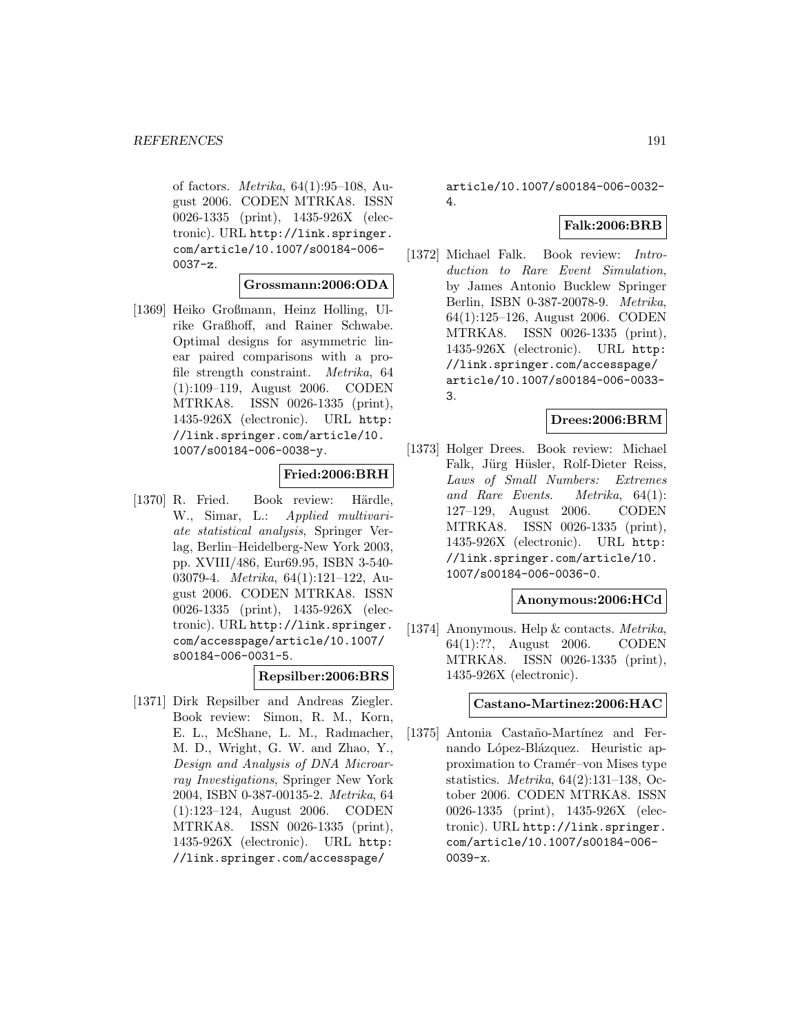of factors. Metrika, 64(1):95–108, August 2006. CODEN MTRKA8. ISSN 0026-1335 (print), 1435-926X (electronic). URL http://link.springer. com/article/10.1007/s00184-006-  $0037-z.$ 

#### **Grossmann:2006:ODA**

[1369] Heiko Großmann, Heinz Holling, Ulrike Graßhoff, and Rainer Schwabe. Optimal designs for asymmetric linear paired comparisons with a profile strength constraint. Metrika, 64 (1):109–119, August 2006. CODEN MTRKA8. ISSN 0026-1335 (print), 1435-926X (electronic). URL http: //link.springer.com/article/10. 1007/s00184-006-0038-y.

# **Fried:2006:BRH**

[1370] R. Fried. Book review: Härdle, W., Simar, L.: Applied multivariate statistical analysis, Springer Verlag, Berlin–Heidelberg-New York 2003, pp. XVIII/486, Eur69.95, ISBN 3-540- 03079-4. Metrika, 64(1):121–122, August 2006. CODEN MTRKA8. ISSN 0026-1335 (print), 1435-926X (electronic). URL http://link.springer. com/accesspage/article/10.1007/ s00184-006-0031-5.

#### **Repsilber:2006:BRS**

[1371] Dirk Repsilber and Andreas Ziegler. Book review: Simon, R. M., Korn, E. L., McShane, L. M., Radmacher, M. D., Wright, G. W. and Zhao, Y., Design and Analysis of DNA Microarray Investigations, Springer New York 2004, ISBN 0-387-00135-2. Metrika, 64 (1):123–124, August 2006. CODEN MTRKA8. ISSN 0026-1335 (print), 1435-926X (electronic). URL http: //link.springer.com/accesspage/

article/10.1007/s00184-006-0032- 4.

## **Falk:2006:BRB**

[1372] Michael Falk. Book review: Introduction to Rare Event Simulation, by James Antonio Bucklew Springer Berlin, ISBN 0-387-20078-9. Metrika, 64(1):125–126, August 2006. CODEN MTRKA8. ISSN 0026-1335 (print), 1435-926X (electronic). URL http: //link.springer.com/accesspage/ article/10.1007/s00184-006-0033- 3.

#### **Drees:2006:BRM**

[1373] Holger Drees. Book review: Michael Falk, Jürg Hüsler, Rolf-Dieter Reiss, Laws of Small Numbers: Extremes and Rare Events. Metrika, 64(1): 127–129, August 2006. CODEN MTRKA8. ISSN 0026-1335 (print), 1435-926X (electronic). URL http: //link.springer.com/article/10. 1007/s00184-006-0036-0.

#### **Anonymous:2006:HCd**

[1374] Anonymous. Help & contacts. Metrika, 64(1):??, August 2006. CODEN MTRKA8. ISSN 0026-1335 (print), 1435-926X (electronic).

#### **Castano-Martinez:2006:HAC**

[1375] Antonia Castaño-Martínez and Fernando López-Blázquez. Heuristic approximation to Cramér–von Mises type statistics. Metrika, 64(2):131–138, October 2006. CODEN MTRKA8. ISSN 0026-1335 (print), 1435-926X (electronic). URL http://link.springer. com/article/10.1007/s00184-006- 0039-x.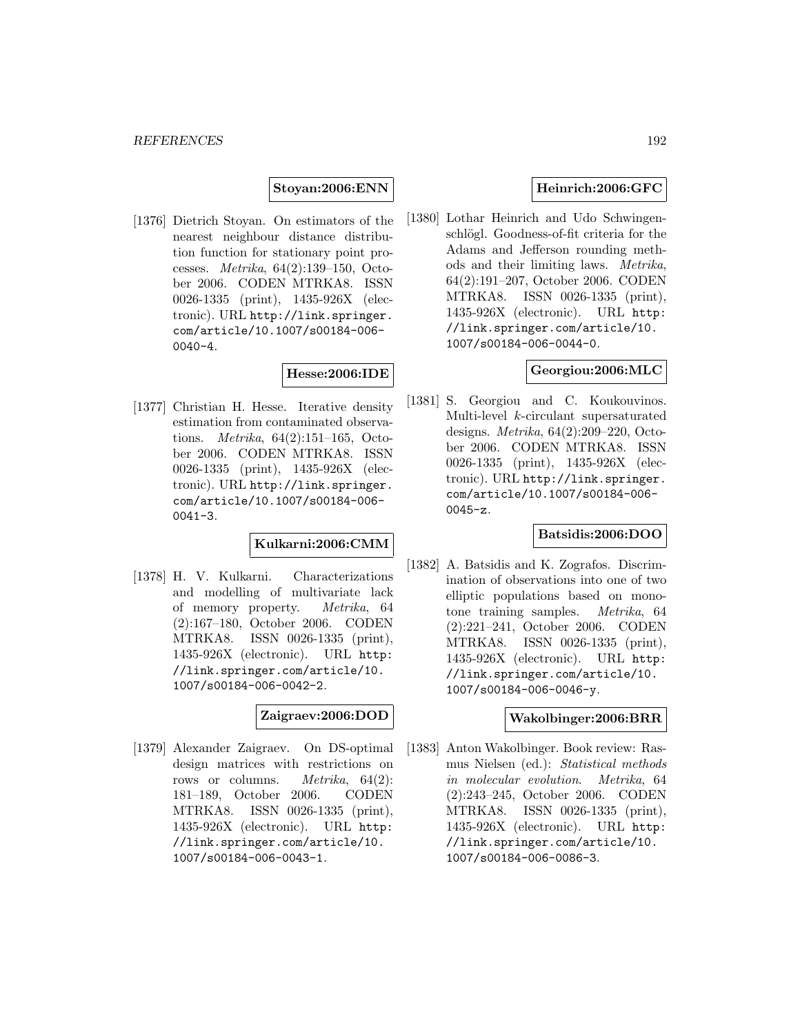**Stoyan:2006:ENN**

[1376] Dietrich Stoyan. On estimators of the nearest neighbour distance distribution function for stationary point processes. Metrika, 64(2):139–150, October 2006. CODEN MTRKA8. ISSN 0026-1335 (print), 1435-926X (electronic). URL http://link.springer. com/article/10.1007/s00184-006- 0040-4.

# **Hesse:2006:IDE**

[1377] Christian H. Hesse. Iterative density estimation from contaminated observations. Metrika, 64(2):151–165, October 2006. CODEN MTRKA8. ISSN 0026-1335 (print), 1435-926X (electronic). URL http://link.springer. com/article/10.1007/s00184-006- 0041-3.

#### **Kulkarni:2006:CMM**

[1378] H. V. Kulkarni. Characterizations and modelling of multivariate lack of memory property. Metrika, 64 (2):167–180, October 2006. CODEN MTRKA8. ISSN 0026-1335 (print), 1435-926X (electronic). URL http: //link.springer.com/article/10. 1007/s00184-006-0042-2.

# **Zaigraev:2006:DOD**

[1379] Alexander Zaigraev. On DS-optimal design matrices with restrictions on rows or columns. *Metrika*, 64(2): 181–189, October 2006. CODEN MTRKA8. ISSN 0026-1335 (print), 1435-926X (electronic). URL http: //link.springer.com/article/10. 1007/s00184-006-0043-1.

#### **Heinrich:2006:GFC**

[1380] Lothar Heinrich and Udo Schwingenschlögl. Goodness-of-fit criteria for the Adams and Jefferson rounding methods and their limiting laws. Metrika, 64(2):191–207, October 2006. CODEN MTRKA8. ISSN 0026-1335 (print), 1435-926X (electronic). URL http: //link.springer.com/article/10. 1007/s00184-006-0044-0.

## **Georgiou:2006:MLC**

[1381] S. Georgiou and C. Koukouvinos. Multi-level k-circulant supersaturated designs. Metrika, 64(2):209–220, October 2006. CODEN MTRKA8. ISSN 0026-1335 (print), 1435-926X (electronic). URL http://link.springer. com/article/10.1007/s00184-006- 0045-z.

#### **Batsidis:2006:DOO**

[1382] A. Batsidis and K. Zografos. Discrimination of observations into one of two elliptic populations based on monotone training samples. Metrika, 64 (2):221–241, October 2006. CODEN MTRKA8. ISSN 0026-1335 (print), 1435-926X (electronic). URL http: //link.springer.com/article/10. 1007/s00184-006-0046-y.

#### **Wakolbinger:2006:BRR**

[1383] Anton Wakolbinger. Book review: Rasmus Nielsen (ed.): Statistical methods in molecular evolution. Metrika, 64 (2):243–245, October 2006. CODEN MTRKA8. ISSN 0026-1335 (print), 1435-926X (electronic). URL http: //link.springer.com/article/10. 1007/s00184-006-0086-3.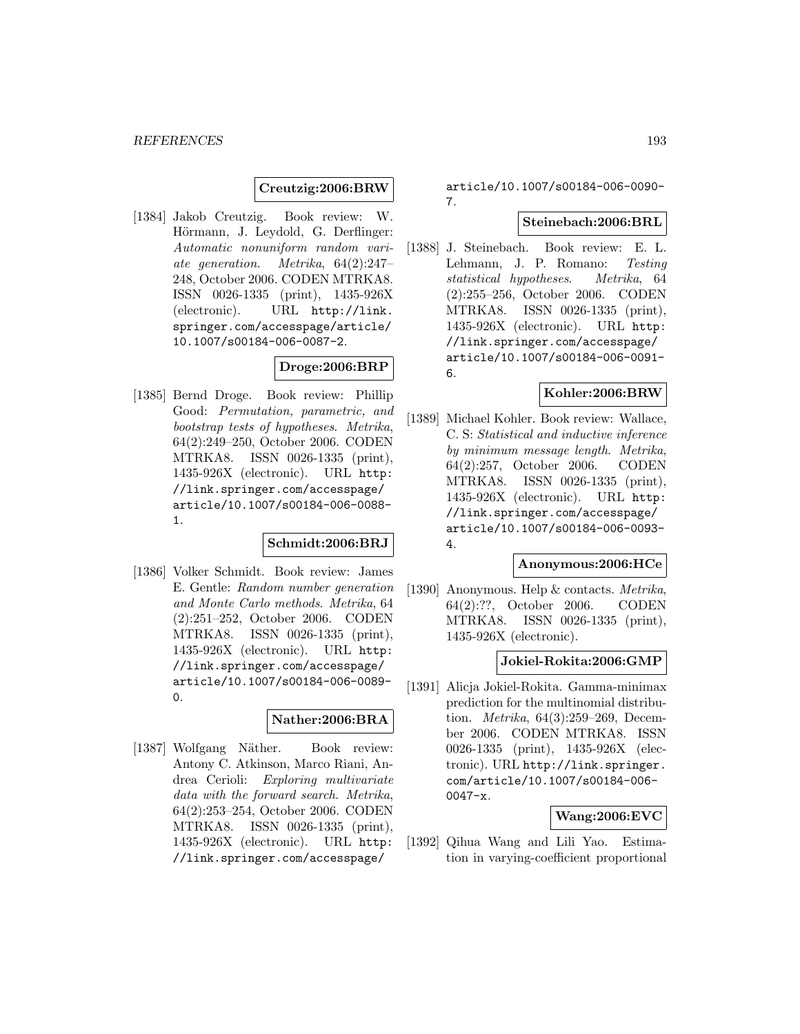**Creutzig:2006:BRW**

[1384] Jakob Creutzig. Book review: W. Hörmann, J. Leydold, G. Derflinger: Automatic nonuniform random variate generation. Metrika, 64(2):247– 248, October 2006. CODEN MTRKA8. ISSN 0026-1335 (print), 1435-926X (electronic). URL http://link. springer.com/accesspage/article/ 10.1007/s00184-006-0087-2.

# **Droge:2006:BRP**

[1385] Bernd Droge. Book review: Phillip Good: Permutation, parametric, and bootstrap tests of hypotheses. Metrika, 64(2):249–250, October 2006. CODEN MTRKA8. ISSN 0026-1335 (print), 1435-926X (electronic). URL http: //link.springer.com/accesspage/ article/10.1007/s00184-006-0088- 1.

#### **Schmidt:2006:BRJ**

[1386] Volker Schmidt. Book review: James E. Gentle: Random number generation and Monte Carlo methods. Metrika, 64 (2):251–252, October 2006. CODEN MTRKA8. ISSN 0026-1335 (print), 1435-926X (electronic). URL http: //link.springer.com/accesspage/ article/10.1007/s00184-006-0089- 0.

## **Nather:2006:BRA**

[1387] Wolfgang Näther. Book review: Antony C. Atkinson, Marco Riani, Andrea Cerioli: Exploring multivariate data with the forward search. Metrika, 64(2):253–254, October 2006. CODEN MTRKA8. ISSN 0026-1335 (print), 1435-926X (electronic). URL http: //link.springer.com/accesspage/

article/10.1007/s00184-006-0090- 7.

# **Steinebach:2006:BRL**

[1388] J. Steinebach. Book review: E. L. Lehmann, J. P. Romano: Testing statistical hypotheses. Metrika, 64 (2):255–256, October 2006. CODEN MTRKA8. ISSN 0026-1335 (print), 1435-926X (electronic). URL http: //link.springer.com/accesspage/ article/10.1007/s00184-006-0091- 6.

## **Kohler:2006:BRW**

[1389] Michael Kohler. Book review: Wallace, C. S: Statistical and inductive inference by minimum message length. Metrika, 64(2):257, October 2006. CODEN MTRKA8. ISSN 0026-1335 (print), 1435-926X (electronic). URL http: //link.springer.com/accesspage/ article/10.1007/s00184-006-0093- 4.

#### **Anonymous:2006:HCe**

[1390] Anonymous. Help & contacts. Metrika, 64(2):??, October 2006. CODEN MTRKA8. ISSN 0026-1335 (print), 1435-926X (electronic).

#### **Jokiel-Rokita:2006:GMP**

[1391] Alicja Jokiel-Rokita. Gamma-minimax prediction for the multinomial distribution. Metrika, 64(3):259–269, December 2006. CODEN MTRKA8. ISSN 0026-1335 (print), 1435-926X (electronic). URL http://link.springer. com/article/10.1007/s00184-006- 0047-x.

## **Wang:2006:EVC**

[1392] Qihua Wang and Lili Yao. Estimation in varying-coefficient proportional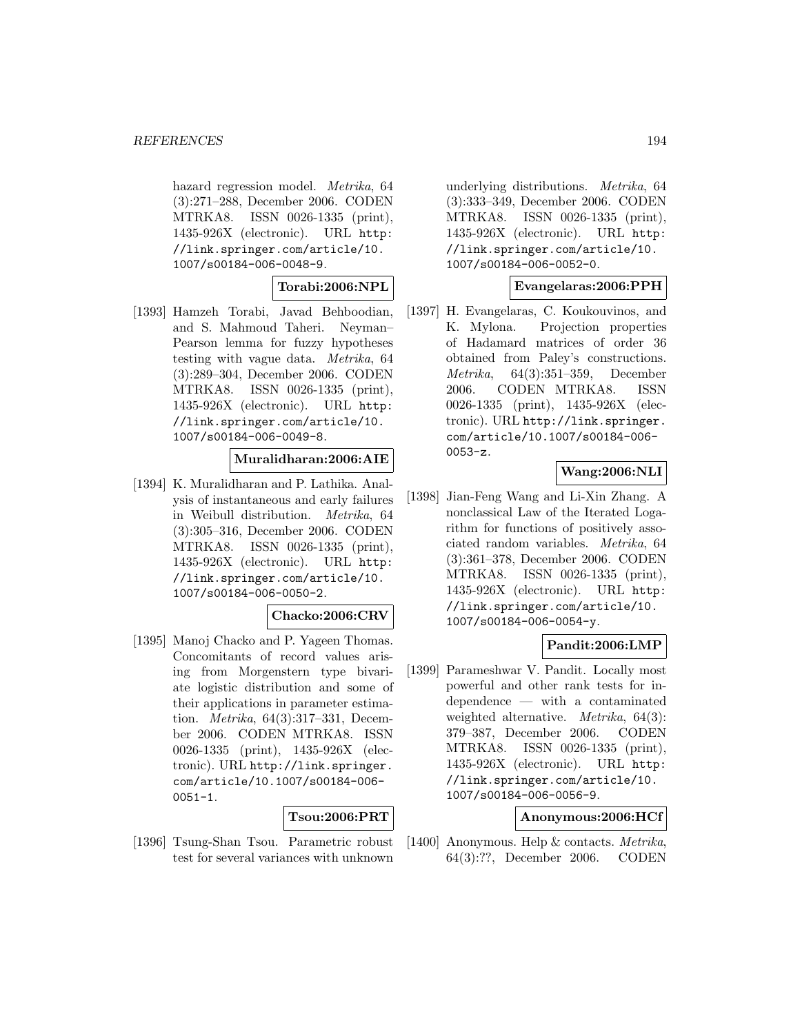hazard regression model. *Metrika*, 64 (3):271–288, December 2006. CODEN MTRKA8. ISSN 0026-1335 (print), 1435-926X (electronic). URL http: //link.springer.com/article/10. 1007/s00184-006-0048-9.

**Torabi:2006:NPL**

[1393] Hamzeh Torabi, Javad Behboodian, and S. Mahmoud Taheri. Neyman– Pearson lemma for fuzzy hypotheses testing with vague data. Metrika, 64 (3):289–304, December 2006. CODEN MTRKA8. ISSN 0026-1335 (print), 1435-926X (electronic). URL http: //link.springer.com/article/10. 1007/s00184-006-0049-8.

## **Muralidharan:2006:AIE**

[1394] K. Muralidharan and P. Lathika. Analysis of instantaneous and early failures in Weibull distribution. Metrika, 64 (3):305–316, December 2006. CODEN MTRKA8. ISSN 0026-1335 (print), 1435-926X (electronic). URL http: //link.springer.com/article/10. 1007/s00184-006-0050-2.

#### **Chacko:2006:CRV**

[1395] Manoj Chacko and P. Yageen Thomas. Concomitants of record values arising from Morgenstern type bivariate logistic distribution and some of their applications in parameter estimation. Metrika, 64(3):317–331, December 2006. CODEN MTRKA8. ISSN 0026-1335 (print), 1435-926X (electronic). URL http://link.springer. com/article/10.1007/s00184-006-  $0051 - 1.$ 

#### **Tsou:2006:PRT**

[1396] Tsung-Shan Tsou. Parametric robust test for several variances with unknown

underlying distributions. Metrika, 64 (3):333–349, December 2006. CODEN MTRKA8. ISSN 0026-1335 (print), 1435-926X (electronic). URL http: //link.springer.com/article/10. 1007/s00184-006-0052-0.

# **Evangelaras:2006:PPH**

[1397] H. Evangelaras, C. Koukouvinos, and K. Mylona. Projection properties of Hadamard matrices of order 36 obtained from Paley's constructions. Metrika, 64(3):351–359, December 2006. CODEN MTRKA8. ISSN 0026-1335 (print), 1435-926X (electronic). URL http://link.springer. com/article/10.1007/s00184-006- 0053-z.

# **Wang:2006:NLI**

[1398] Jian-Feng Wang and Li-Xin Zhang. A nonclassical Law of the Iterated Logarithm for functions of positively associated random variables. Metrika, 64 (3):361–378, December 2006. CODEN MTRKA8. ISSN 0026-1335 (print), 1435-926X (electronic). URL http: //link.springer.com/article/10. 1007/s00184-006-0054-y.

## **Pandit:2006:LMP**

[1399] Parameshwar V. Pandit. Locally most powerful and other rank tests for independence — with a contaminated weighted alternative. Metrika, 64(3): 379–387, December 2006. CODEN MTRKA8. ISSN 0026-1335 (print), 1435-926X (electronic). URL http: //link.springer.com/article/10. 1007/s00184-006-0056-9.

# **Anonymous:2006:HCf**

[1400] Anonymous. Help & contacts. Metrika, 64(3):??, December 2006. CODEN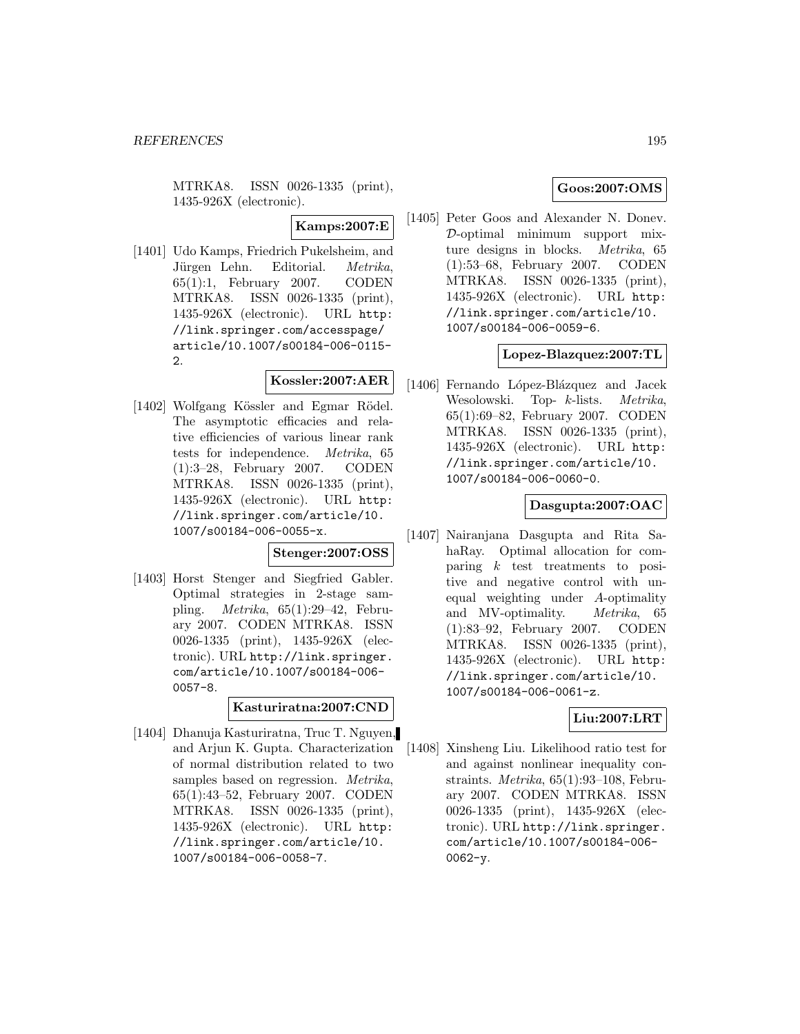MTRKA8. ISSN 0026-1335 (print), 1435-926X (electronic).

**Kamps:2007:E**

[1401] Udo Kamps, Friedrich Pukelsheim, and Jürgen Lehn. Editorial. Metrika, 65(1):1, February 2007. CODEN MTRKA8. ISSN 0026-1335 (print), 1435-926X (electronic). URL http: //link.springer.com/accesspage/ article/10.1007/s00184-006-0115- 2.

# **Kossler:2007:AER**

[1402] Wolfgang Kössler and Egmar Rödel. The asymptotic efficacies and relative efficiencies of various linear rank tests for independence. Metrika, 65 (1):3–28, February 2007. CODEN MTRKA8. ISSN 0026-1335 (print), 1435-926X (electronic). URL http: //link.springer.com/article/10. 1007/s00184-006-0055-x.

# **Stenger:2007:OSS**

[1403] Horst Stenger and Siegfried Gabler. Optimal strategies in 2-stage sampling. Metrika, 65(1):29–42, February 2007. CODEN MTRKA8. ISSN 0026-1335 (print), 1435-926X (electronic). URL http://link.springer. com/article/10.1007/s00184-006- 0057-8.

**Kasturiratna:2007:CND**

[1404] Dhanuja Kasturiratna, Truc T. Nguyen, and Arjun K. Gupta. Characterization of normal distribution related to two samples based on regression. *Metrika*, 65(1):43–52, February 2007. CODEN MTRKA8. ISSN 0026-1335 (print), 1435-926X (electronic). URL http: //link.springer.com/article/10. 1007/s00184-006-0058-7.

# **Goos:2007:OMS**

[1405] Peter Goos and Alexander N. Donev. D-optimal minimum support mixture designs in blocks. Metrika, 65 (1):53–68, February 2007. CODEN MTRKA8. ISSN 0026-1335 (print), 1435-926X (electronic). URL http: //link.springer.com/article/10. 1007/s00184-006-0059-6.

## **Lopez-Blazquez:2007:TL**

[1406] Fernando López-Blázquez and Jacek Wesolowski. Top- k-lists. Metrika, 65(1):69–82, February 2007. CODEN MTRKA8. ISSN 0026-1335 (print), 1435-926X (electronic). URL http: //link.springer.com/article/10. 1007/s00184-006-0060-0.

#### **Dasgupta:2007:OAC**

[1407] Nairanjana Dasgupta and Rita SahaRay. Optimal allocation for comparing  $k$  test treatments to positive and negative control with unequal weighting under A-optimality and MV-optimality. Metrika, 65 (1):83–92, February 2007. CODEN MTRKA8. ISSN 0026-1335 (print), 1435-926X (electronic). URL http: //link.springer.com/article/10. 1007/s00184-006-0061-z.

# **Liu:2007:LRT**

[1408] Xinsheng Liu. Likelihood ratio test for and against nonlinear inequality constraints. Metrika, 65(1):93–108, February 2007. CODEN MTRKA8. ISSN 0026-1335 (print), 1435-926X (electronic). URL http://link.springer. com/article/10.1007/s00184-006-  $0062 - y.$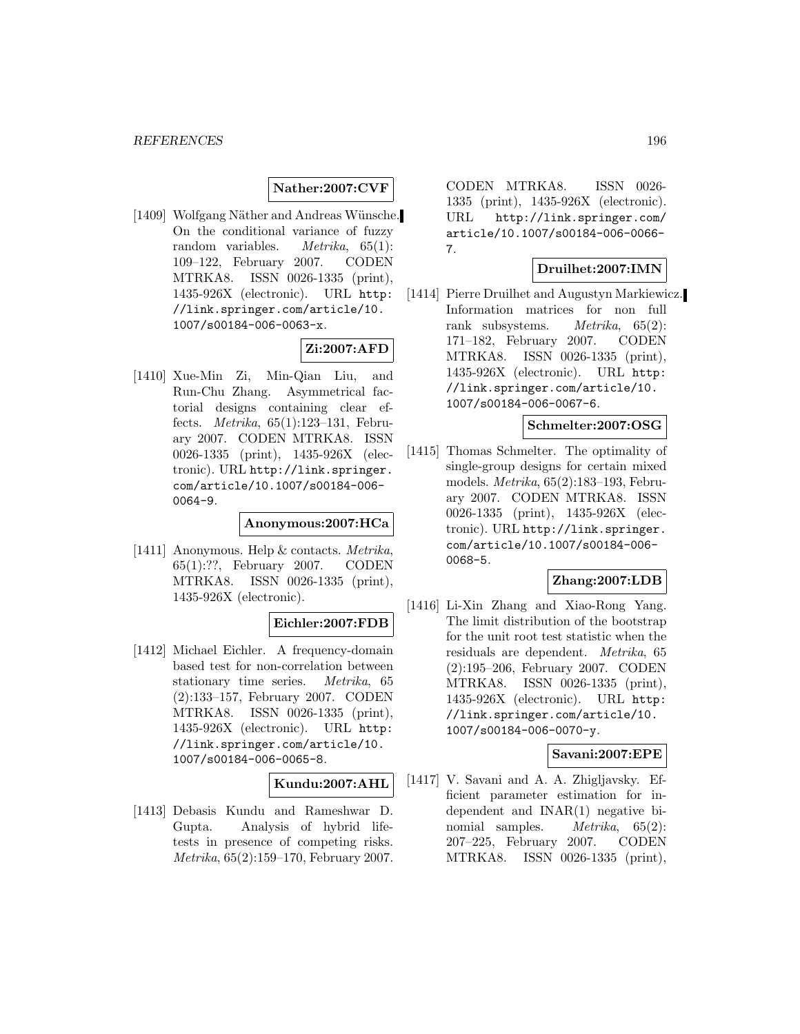# **Nather:2007:CVF**

[1409] Wolfgang Näther and Andreas Wünsche. On the conditional variance of fuzzy random variables. Metrika, 65(1): 109–122, February 2007. CODEN MTRKA8. ISSN 0026-1335 (print), 1435-926X (electronic). URL http: //link.springer.com/article/10. 1007/s00184-006-0063-x.

# **Zi:2007:AFD**

[1410] Xue-Min Zi, Min-Qian Liu, and Run-Chu Zhang. Asymmetrical factorial designs containing clear effects. Metrika, 65(1):123–131, February 2007. CODEN MTRKA8. ISSN 0026-1335 (print), 1435-926X (electronic). URL http://link.springer. com/article/10.1007/s00184-006- 0064-9.

#### **Anonymous:2007:HCa**

[1411] Anonymous. Help & contacts. Metrika, 65(1):??, February 2007. CODEN MTRKA8. ISSN 0026-1335 (print), 1435-926X (electronic).

## **Eichler:2007:FDB**

[1412] Michael Eichler. A frequency-domain based test for non-correlation between stationary time series. Metrika, 65 (2):133–157, February 2007. CODEN MTRKA8. ISSN 0026-1335 (print), 1435-926X (electronic). URL http: //link.springer.com/article/10. 1007/s00184-006-0065-8.

## **Kundu:2007:AHL**

[1413] Debasis Kundu and Rameshwar D. Gupta. Analysis of hybrid lifetests in presence of competing risks. Metrika, 65(2):159–170, February 2007.

CODEN MTRKA8. ISSN 0026- 1335 (print), 1435-926X (electronic). URL http://link.springer.com/ article/10.1007/s00184-006-0066- 7.

## **Druilhet:2007:IMN**

[1414] Pierre Druilhet and Augustyn Markiewicz. Information matrices for non full rank subsystems. Metrika, 65(2): 171–182, February 2007. CODEN MTRKA8. ISSN 0026-1335 (print), 1435-926X (electronic). URL http: //link.springer.com/article/10. 1007/s00184-006-0067-6.

#### **Schmelter:2007:OSG**

[1415] Thomas Schmelter. The optimality of single-group designs for certain mixed models. Metrika, 65(2):183–193, February 2007. CODEN MTRKA8. ISSN 0026-1335 (print), 1435-926X (electronic). URL http://link.springer. com/article/10.1007/s00184-006- 0068-5.

# **Zhang:2007:LDB**

[1416] Li-Xin Zhang and Xiao-Rong Yang. The limit distribution of the bootstrap for the unit root test statistic when the residuals are dependent. Metrika, 65 (2):195–206, February 2007. CODEN MTRKA8. ISSN 0026-1335 (print), 1435-926X (electronic). URL http: //link.springer.com/article/10. 1007/s00184-006-0070-y.

# **Savani:2007:EPE**

[1417] V. Savani and A. A. Zhigljavsky. Efficient parameter estimation for independent and INAR(1) negative binomial samples. *Metrika*, 65(2): 207–225, February 2007. CODEN MTRKA8. ISSN 0026-1335 (print),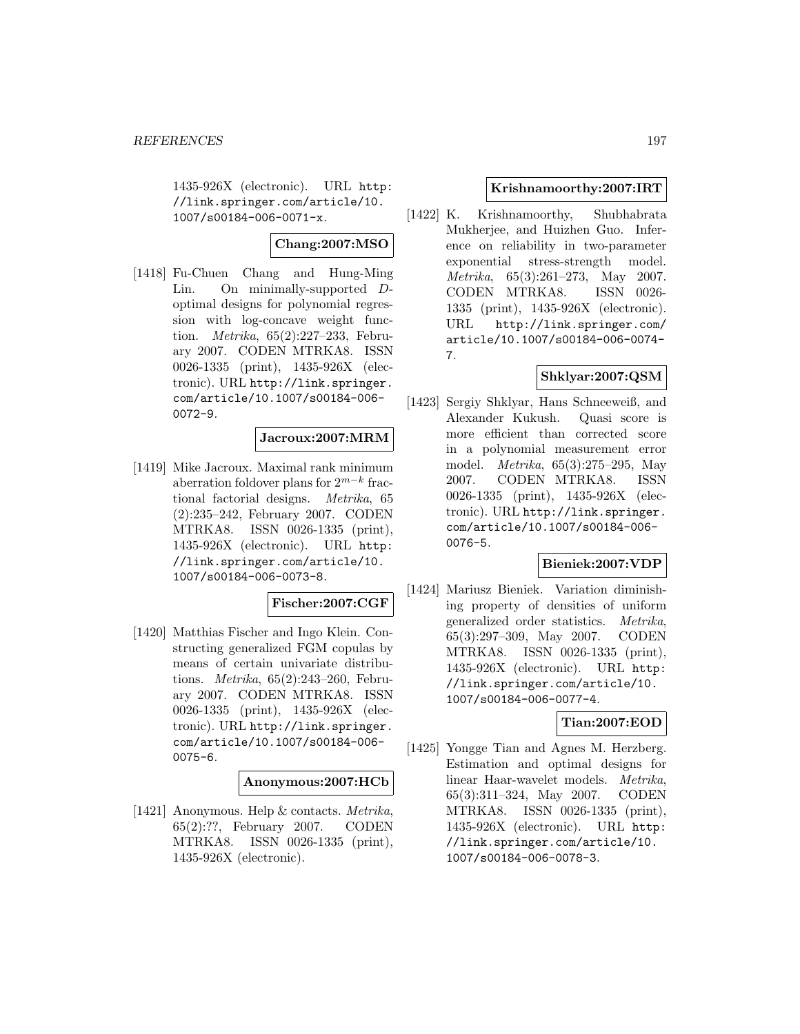1435-926X (electronic). URL http: //link.springer.com/article/10. 1007/s00184-006-0071-x.

# **Chang:2007:MSO**

[1418] Fu-Chuen Chang and Hung-Ming Lin. On minimally-supported Doptimal designs for polynomial regression with log-concave weight function. Metrika, 65(2):227–233, February 2007. CODEN MTRKA8. ISSN 0026-1335 (print), 1435-926X (electronic). URL http://link.springer. com/article/10.1007/s00184-006- 0072-9.

# **Jacroux:2007:MRM**

[1419] Mike Jacroux. Maximal rank minimum aberration foldover plans for  $2^{m-k}$  fractional factorial designs. Metrika, 65 (2):235–242, February 2007. CODEN MTRKA8. ISSN 0026-1335 (print), 1435-926X (electronic). URL http: //link.springer.com/article/10. 1007/s00184-006-0073-8.

## **Fischer:2007:CGF**

[1420] Matthias Fischer and Ingo Klein. Constructing generalized FGM copulas by means of certain univariate distributions. Metrika, 65(2):243–260, February 2007. CODEN MTRKA8. ISSN 0026-1335 (print), 1435-926X (electronic). URL http://link.springer. com/article/10.1007/s00184-006- 0075-6.

## **Anonymous:2007:HCb**

[1421] Anonymous. Help & contacts. Metrika, 65(2):??, February 2007. CODEN MTRKA8. ISSN 0026-1335 (print), 1435-926X (electronic).

## **Krishnamoorthy:2007:IRT**

[1422] K. Krishnamoorthy, Shubhabrata Mukherjee, and Huizhen Guo. Inference on reliability in two-parameter exponential stress-strength model. Metrika, 65(3):261–273, May 2007. CODEN MTRKA8. ISSN 0026- 1335 (print), 1435-926X (electronic). URL http://link.springer.com/ article/10.1007/s00184-006-0074- 7.

# **Shklyar:2007:QSM**

[1423] Sergiy Shklyar, Hans Schneeweiß, and Alexander Kukush. Quasi score is more efficient than corrected score in a polynomial measurement error model. Metrika, 65(3):275–295, May 2007. CODEN MTRKA8. ISSN 0026-1335 (print), 1435-926X (electronic). URL http://link.springer. com/article/10.1007/s00184-006- 0076-5.

## **Bieniek:2007:VDP**

[1424] Mariusz Bieniek. Variation diminishing property of densities of uniform generalized order statistics. Metrika, 65(3):297–309, May 2007. CODEN MTRKA8. ISSN 0026-1335 (print), 1435-926X (electronic). URL http: //link.springer.com/article/10. 1007/s00184-006-0077-4.

## **Tian:2007:EOD**

[1425] Yongge Tian and Agnes M. Herzberg. Estimation and optimal designs for linear Haar-wavelet models. Metrika, 65(3):311–324, May 2007. CODEN MTRKA8. ISSN 0026-1335 (print), 1435-926X (electronic). URL http: //link.springer.com/article/10. 1007/s00184-006-0078-3.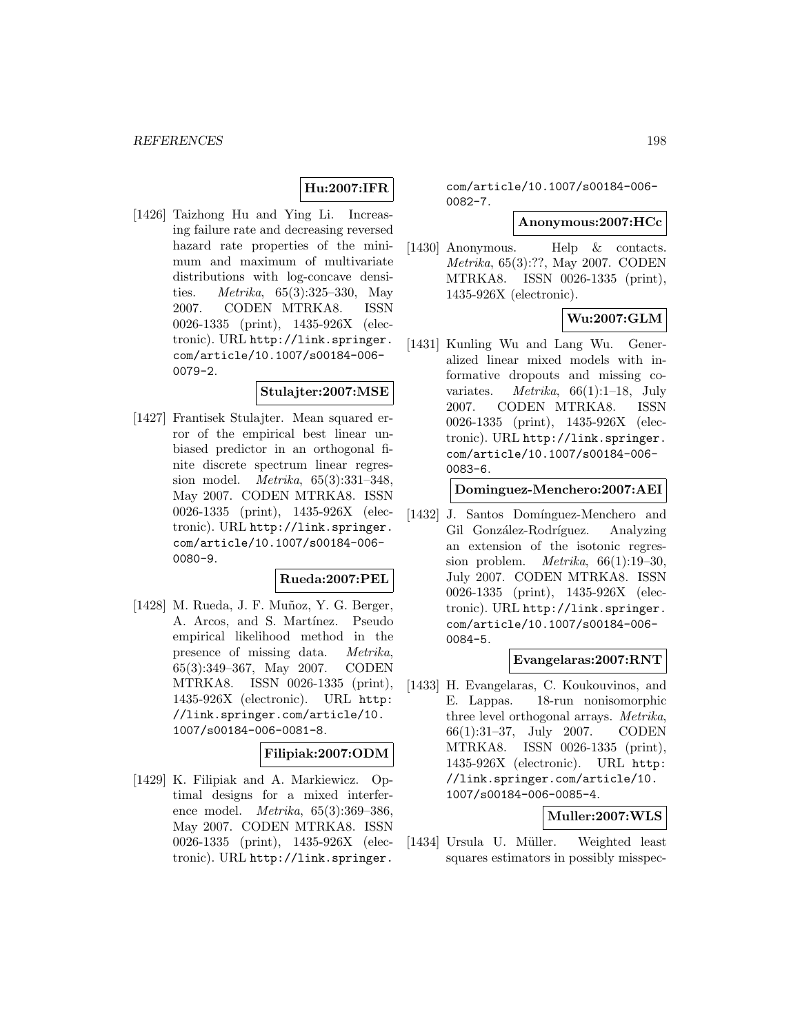# **Hu:2007:IFR**

[1426] Taizhong Hu and Ying Li. Increasing failure rate and decreasing reversed hazard rate properties of the minimum and maximum of multivariate distributions with log-concave densities. *Metrika*,  $65(3):325-330$ , May 2007. CODEN MTRKA8. ISSN 0026-1335 (print), 1435-926X (electronic). URL http://link.springer. com/article/10.1007/s00184-006- 0079-2.

#### **Stulajter:2007:MSE**

[1427] Frantisek Stulajter. Mean squared error of the empirical best linear unbiased predictor in an orthogonal finite discrete spectrum linear regression model. Metrika, 65(3):331–348, May 2007. CODEN MTRKA8. ISSN 0026-1335 (print), 1435-926X (electronic). URL http://link.springer. com/article/10.1007/s00184-006- 0080-9.

#### **Rueda:2007:PEL**

[1428] M. Rueda, J. F. Muñoz, Y. G. Berger, A. Arcos, and S. Martínez. Pseudo empirical likelihood method in the presence of missing data. Metrika, 65(3):349–367, May 2007. CODEN MTRKA8. ISSN 0026-1335 (print), 1435-926X (electronic). URL http: //link.springer.com/article/10. 1007/s00184-006-0081-8.

## **Filipiak:2007:ODM**

[1429] K. Filipiak and A. Markiewicz. Optimal designs for a mixed interference model. Metrika, 65(3):369–386, May 2007. CODEN MTRKA8. ISSN 0026-1335 (print), 1435-926X (electronic). URL http://link.springer.

com/article/10.1007/s00184-006- 0082-7.

#### **Anonymous:2007:HCc**

[1430] Anonymous. Help & contacts. Metrika, 65(3):??, May 2007. CODEN MTRKA8. ISSN 0026-1335 (print), 1435-926X (electronic).

# **Wu:2007:GLM**

[1431] Kunling Wu and Lang Wu. Generalized linear mixed models with informative dropouts and missing covariates. *Metrika*,  $66(1):1-18$ , July 2007. CODEN MTRKA8. ISSN 0026-1335 (print), 1435-926X (electronic). URL http://link.springer. com/article/10.1007/s00184-006- 0083-6.

#### **Dominguez-Menchero:2007:AEI**

[1432] J. Santos Domínguez-Menchero and Gil González-Rodríguez. Analyzing an extension of the isotonic regression problem. *Metrika*,  $66(1):19-30$ , July 2007. CODEN MTRKA8. ISSN 0026-1335 (print), 1435-926X (electronic). URL http://link.springer. com/article/10.1007/s00184-006- 0084-5.

#### **Evangelaras:2007:RNT**

[1433] H. Evangelaras, C. Koukouvinos, and E. Lappas. 18-run nonisomorphic three level orthogonal arrays. Metrika, 66(1):31–37, July 2007. CODEN MTRKA8. ISSN 0026-1335 (print), 1435-926X (electronic). URL http: //link.springer.com/article/10. 1007/s00184-006-0085-4.

# **Muller:2007:WLS**

[1434] Ursula U. Müller. Weighted least squares estimators in possibly misspec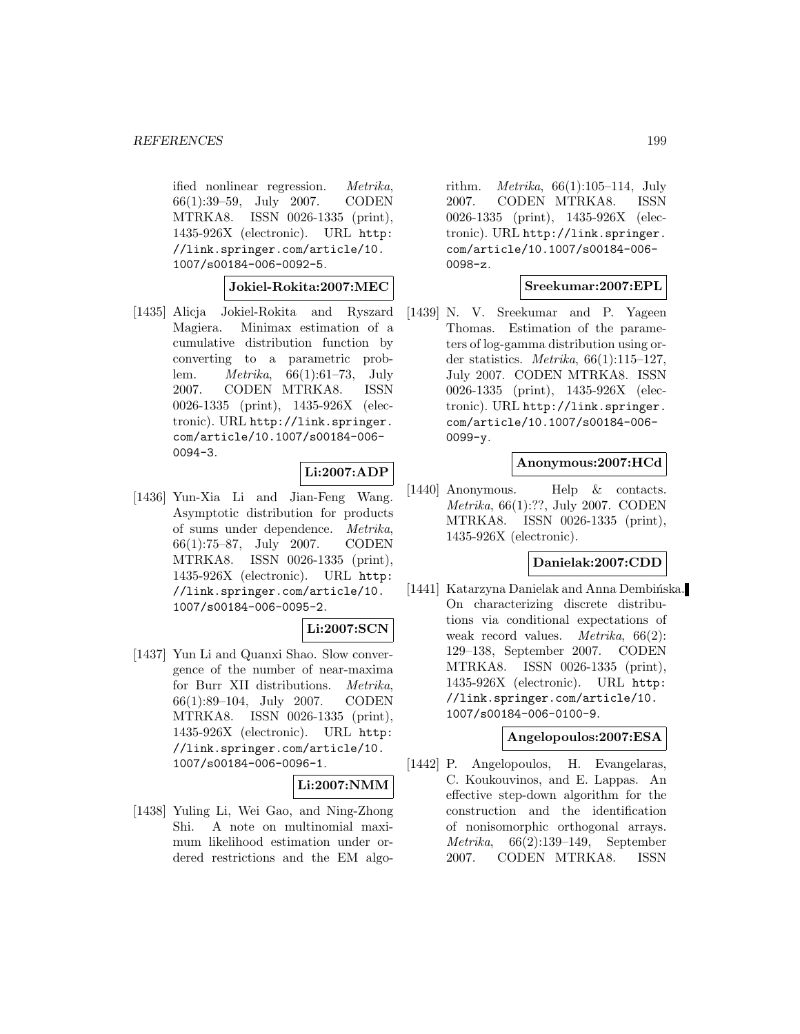ified nonlinear regression. Metrika, 66(1):39–59, July 2007. CODEN MTRKA8. ISSN 0026-1335 (print), 1435-926X (electronic). URL http: //link.springer.com/article/10. 1007/s00184-006-0092-5.

**Jokiel-Rokita:2007:MEC**

[1435] Alicja Jokiel-Rokita and Ryszard Magiera. Minimax estimation of a cumulative distribution function by converting to a parametric problem. Metrika, 66(1):61–73, July 2007. CODEN MTRKA8. ISSN 0026-1335 (print), 1435-926X (electronic). URL http://link.springer. com/article/10.1007/s00184-006- 0094-3.

# **Li:2007:ADP**

[1436] Yun-Xia Li and Jian-Feng Wang. Asymptotic distribution for products of sums under dependence. Metrika, 66(1):75–87, July 2007. CODEN MTRKA8. ISSN 0026-1335 (print), 1435-926X (electronic). URL http: //link.springer.com/article/10. 1007/s00184-006-0095-2.

# **Li:2007:SCN**

[1437] Yun Li and Quanxi Shao. Slow convergence of the number of near-maxima for Burr XII distributions. Metrika, 66(1):89–104, July 2007. CODEN MTRKA8. ISSN 0026-1335 (print), 1435-926X (electronic). URL http: //link.springer.com/article/10. 1007/s00184-006-0096-1.

## **Li:2007:NMM**

[1438] Yuling Li, Wei Gao, and Ning-Zhong Shi. A note on multinomial maximum likelihood estimation under ordered restrictions and the EM algo-

rithm. Metrika, 66(1):105–114, July 2007. CODEN MTRKA8. ISSN 0026-1335 (print), 1435-926X (electronic). URL http://link.springer. com/article/10.1007/s00184-006- 0098-z.

## **Sreekumar:2007:EPL**

[1439] N. V. Sreekumar and P. Yageen Thomas. Estimation of the parameters of log-gamma distribution using order statistics. *Metrika*,  $66(1):115-127$ , July 2007. CODEN MTRKA8. ISSN 0026-1335 (print), 1435-926X (electronic). URL http://link.springer. com/article/10.1007/s00184-006- 0099-y.

## **Anonymous:2007:HCd**

[1440] Anonymous. Help & contacts. Metrika, 66(1):??, July 2007. CODEN MTRKA8. ISSN 0026-1335 (print), 1435-926X (electronic).

#### **Danielak:2007:CDD**

[1441] Katarzyna Danielak and Anna Dembińska. On characterizing discrete distributions via conditional expectations of weak record values. Metrika, 66(2): 129–138, September 2007. CODEN MTRKA8. ISSN 0026-1335 (print), 1435-926X (electronic). URL http: //link.springer.com/article/10. 1007/s00184-006-0100-9.

## **Angelopoulos:2007:ESA**

[1442] P. Angelopoulos, H. Evangelaras, C. Koukouvinos, and E. Lappas. An effective step-down algorithm for the construction and the identification of nonisomorphic orthogonal arrays. Metrika, 66(2):139–149, September 2007. CODEN MTRKA8. ISSN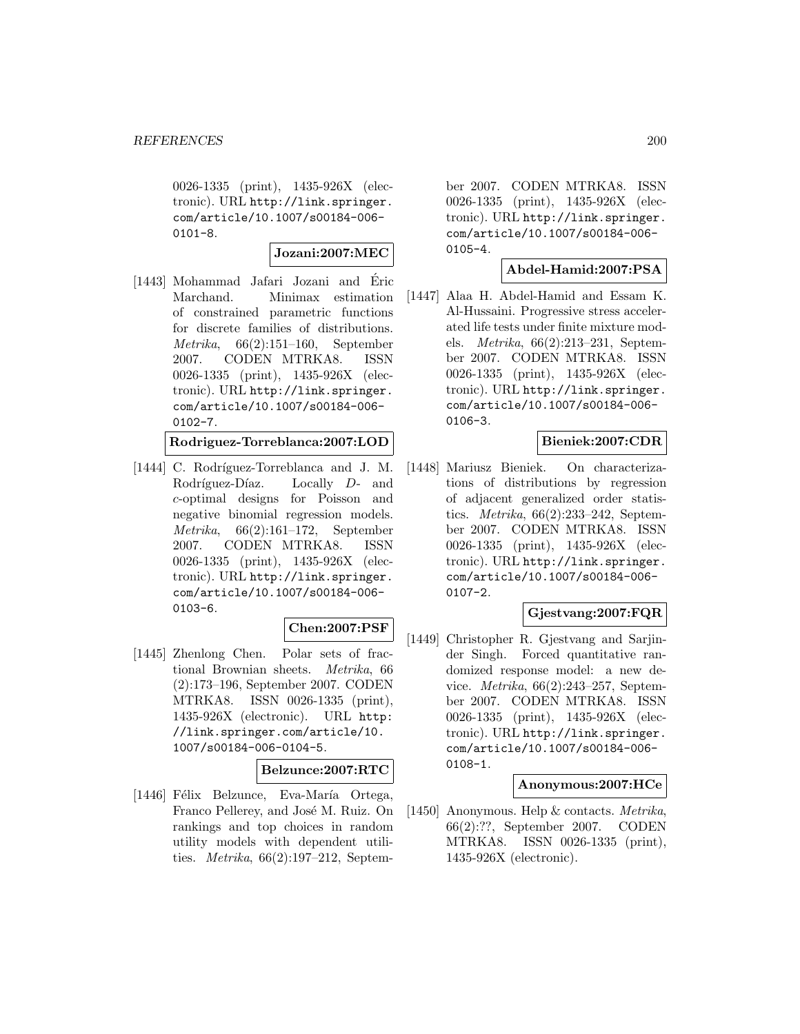0026-1335 (print), 1435-926X (electronic). URL http://link.springer. com/article/10.1007/s00184-006-  $0101 - 8.$ 

**Jozani:2007:MEC**

[1443] Mohammad Jafari Jozani and Eric ´ Marchand. Minimax estimation of constrained parametric functions for discrete families of distributions. Metrika, 66(2):151–160, September 2007. CODEN MTRKA8. ISSN 0026-1335 (print), 1435-926X (electronic). URL http://link.springer. com/article/10.1007/s00184-006-  $0102 - 7.$ 

**Rodriguez-Torreblanca:2007:LOD**

[1444] C. Rodríguez-Torreblanca and J. M. Rodríguez-Díaz. Locally D- and c-optimal designs for Poisson and negative binomial regression models. Metrika, 66(2):161–172, September 2007. CODEN MTRKA8. ISSN 0026-1335 (print), 1435-926X (electronic). URL http://link.springer. com/article/10.1007/s00184-006- 0103-6.

# **Chen:2007:PSF**

[1445] Zhenlong Chen. Polar sets of fractional Brownian sheets. Metrika, 66 (2):173–196, September 2007. CODEN MTRKA8. ISSN 0026-1335 (print), 1435-926X (electronic). URL http: //link.springer.com/article/10. 1007/s00184-006-0104-5.

#### **Belzunce:2007:RTC**

[1446] Félix Belzunce, Eva-María Ortega, Franco Pellerey, and José M. Ruiz. On rankings and top choices in random utility models with dependent utilities. Metrika, 66(2):197–212, Septem-

ber 2007. CODEN MTRKA8. ISSN 0026-1335 (print), 1435-926X (electronic). URL http://link.springer. com/article/10.1007/s00184-006- 0105-4.

#### **Abdel-Hamid:2007:PSA**

[1447] Alaa H. Abdel-Hamid and Essam K. Al-Hussaini. Progressive stress accelerated life tests under finite mixture models. Metrika, 66(2):213–231, September 2007. CODEN MTRKA8. ISSN 0026-1335 (print), 1435-926X (electronic). URL http://link.springer. com/article/10.1007/s00184-006- 0106-3.

#### **Bieniek:2007:CDR**

[1448] Mariusz Bieniek. On characterizations of distributions by regression of adjacent generalized order statistics. Metrika, 66(2):233–242, September 2007. CODEN MTRKA8. ISSN 0026-1335 (print), 1435-926X (electronic). URL http://link.springer. com/article/10.1007/s00184-006- 0107-2.

## **Gjestvang:2007:FQR**

[1449] Christopher R. Gjestvang and Sarjinder Singh. Forced quantitative randomized response model: a new device. Metrika, 66(2):243–257, September 2007. CODEN MTRKA8. ISSN 0026-1335 (print), 1435-926X (electronic). URL http://link.springer. com/article/10.1007/s00184-006- 0108-1.

#### **Anonymous:2007:HCe**

[1450] Anonymous. Help & contacts. Metrika, 66(2):??, September 2007. CODEN MTRKA8. ISSN 0026-1335 (print), 1435-926X (electronic).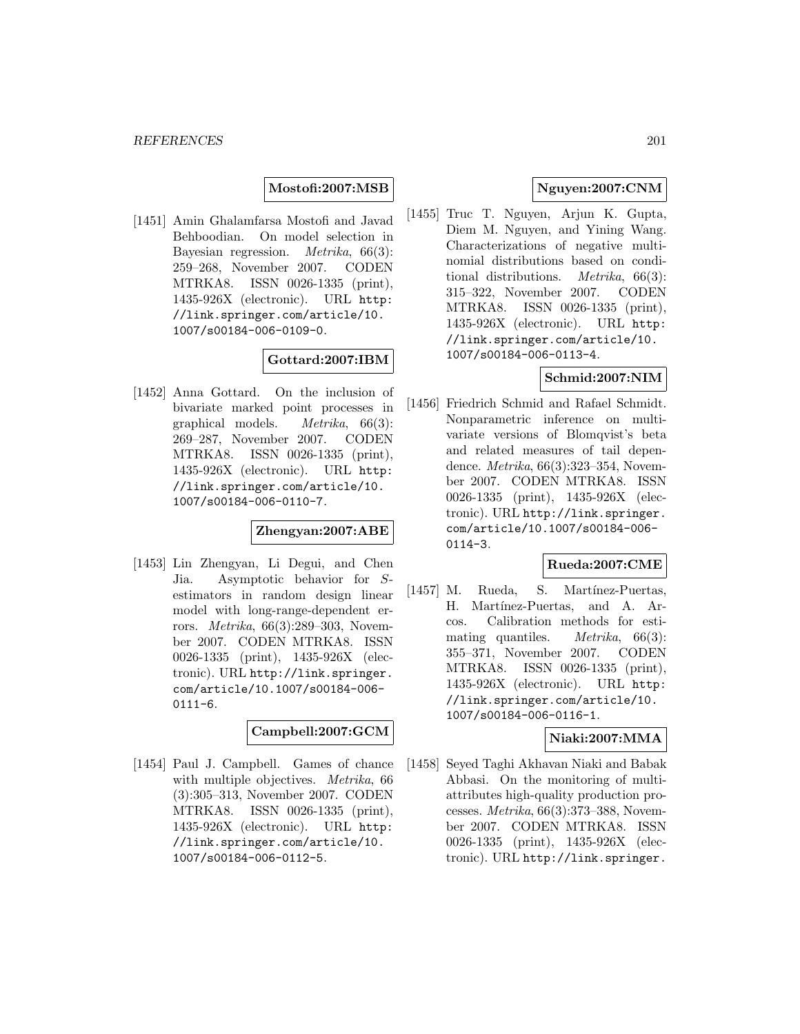#### **Mostofi:2007:MSB**

[1451] Amin Ghalamfarsa Mostofi and Javad Behboodian. On model selection in Bayesian regression. Metrika, 66(3): 259–268, November 2007. CODEN MTRKA8. ISSN 0026-1335 (print), 1435-926X (electronic). URL http: //link.springer.com/article/10. 1007/s00184-006-0109-0.

# **Gottard:2007:IBM**

[1452] Anna Gottard. On the inclusion of bivariate marked point processes in graphical models. Metrika, 66(3): 269–287, November 2007. CODEN MTRKA8. ISSN 0026-1335 (print), 1435-926X (electronic). URL http: //link.springer.com/article/10. 1007/s00184-006-0110-7.

#### **Zhengyan:2007:ABE**

[1453] Lin Zhengyan, Li Degui, and Chen Jia. Asymptotic behavior for Sestimators in random design linear model with long-range-dependent errors. Metrika, 66(3):289–303, November 2007. CODEN MTRKA8. ISSN 0026-1335 (print), 1435-926X (electronic). URL http://link.springer. com/article/10.1007/s00184-006-  $0111-6.$ 

# **Campbell:2007:GCM**

[1454] Paul J. Campbell. Games of chance with multiple objectives. *Metrika*, 66 (3):305–313, November 2007. CODEN MTRKA8. ISSN 0026-1335 (print), 1435-926X (electronic). URL http: //link.springer.com/article/10. 1007/s00184-006-0112-5.

## **Nguyen:2007:CNM**

[1455] Truc T. Nguyen, Arjun K. Gupta, Diem M. Nguyen, and Yining Wang. Characterizations of negative multinomial distributions based on conditional distributions. Metrika, 66(3): 315–322, November 2007. CODEN MTRKA8. ISSN 0026-1335 (print), 1435-926X (electronic). URL http: //link.springer.com/article/10. 1007/s00184-006-0113-4.

## **Schmid:2007:NIM**

[1456] Friedrich Schmid and Rafael Schmidt. Nonparametric inference on multivariate versions of Blomqvist's beta and related measures of tail dependence. Metrika, 66(3):323–354, November 2007. CODEN MTRKA8. ISSN 0026-1335 (print), 1435-926X (electronic). URL http://link.springer. com/article/10.1007/s00184-006- 0114-3.

## **Rueda:2007:CME**

[1457] M. Rueda, S. Martínez-Puertas, H. Martínez-Puertas, and A. Arcos. Calibration methods for estimating quantiles. *Metrika*,  $66(3)$ : 355–371, November 2007. CODEN MTRKA8. ISSN 0026-1335 (print), 1435-926X (electronic). URL http: //link.springer.com/article/10. 1007/s00184-006-0116-1.

## **Niaki:2007:MMA**

[1458] Seyed Taghi Akhavan Niaki and Babak Abbasi. On the monitoring of multiattributes high-quality production processes. Metrika, 66(3):373–388, November 2007. CODEN MTRKA8. ISSN 0026-1335 (print), 1435-926X (electronic). URL http://link.springer.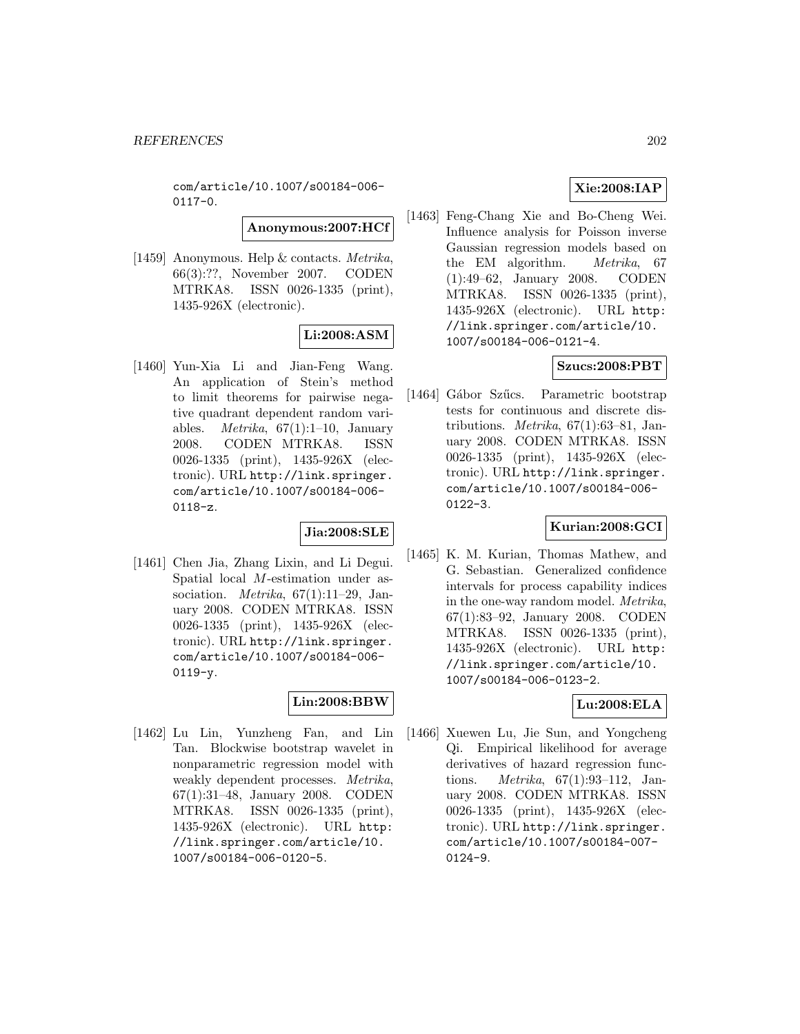com/article/10.1007/s00184-006- 0117-0.

**Anonymous:2007:HCf**

[1459] Anonymous. Help & contacts. Metrika, 66(3):??, November 2007. CODEN MTRKA8. ISSN 0026-1335 (print), 1435-926X (electronic).

# **Li:2008:ASM**

[1460] Yun-Xia Li and Jian-Feng Wang. An application of Stein's method to limit theorems for pairwise negative quadrant dependent random variables. *Metrika*,  $67(1):1-10$ , January 2008. CODEN MTRKA8. ISSN 0026-1335 (print), 1435-926X (electronic). URL http://link.springer. com/article/10.1007/s00184-006- 0118-z.

# **Jia:2008:SLE**

[1461] Chen Jia, Zhang Lixin, and Li Degui. Spatial local M-estimation under association. *Metrika*,  $67(1):11-29$ , January 2008. CODEN MTRKA8. ISSN 0026-1335 (print), 1435-926X (electronic). URL http://link.springer. com/article/10.1007/s00184-006-  $0119-y.$ 

## **Lin:2008:BBW**

[1462] Lu Lin, Yunzheng Fan, and Lin Tan. Blockwise bootstrap wavelet in nonparametric regression model with weakly dependent processes. Metrika, 67(1):31–48, January 2008. CODEN MTRKA8. ISSN 0026-1335 (print), 1435-926X (electronic). URL http: //link.springer.com/article/10. 1007/s00184-006-0120-5.

# **Xie:2008:IAP**

[1463] Feng-Chang Xie and Bo-Cheng Wei. Influence analysis for Poisson inverse Gaussian regression models based on the EM algorithm. Metrika, 67 (1):49–62, January 2008. CODEN MTRKA8. ISSN 0026-1335 (print), 1435-926X (electronic). URL http: //link.springer.com/article/10. 1007/s00184-006-0121-4.

# **Szucs:2008:PBT**

[1464] Gábor Szűcs. Parametric bootstrap tests for continuous and discrete distributions. Metrika, 67(1):63–81, January 2008. CODEN MTRKA8. ISSN 0026-1335 (print), 1435-926X (electronic). URL http://link.springer. com/article/10.1007/s00184-006- 0122-3.

## **Kurian:2008:GCI**

[1465] K. M. Kurian, Thomas Mathew, and G. Sebastian. Generalized confidence intervals for process capability indices in the one-way random model. Metrika, 67(1):83–92, January 2008. CODEN MTRKA8. ISSN 0026-1335 (print), 1435-926X (electronic). URL http: //link.springer.com/article/10. 1007/s00184-006-0123-2.

# **Lu:2008:ELA**

[1466] Xuewen Lu, Jie Sun, and Yongcheng Qi. Empirical likelihood for average derivatives of hazard regression functions. Metrika, 67(1):93–112, January 2008. CODEN MTRKA8. ISSN 0026-1335 (print), 1435-926X (electronic). URL http://link.springer. com/article/10.1007/s00184-007- 0124-9.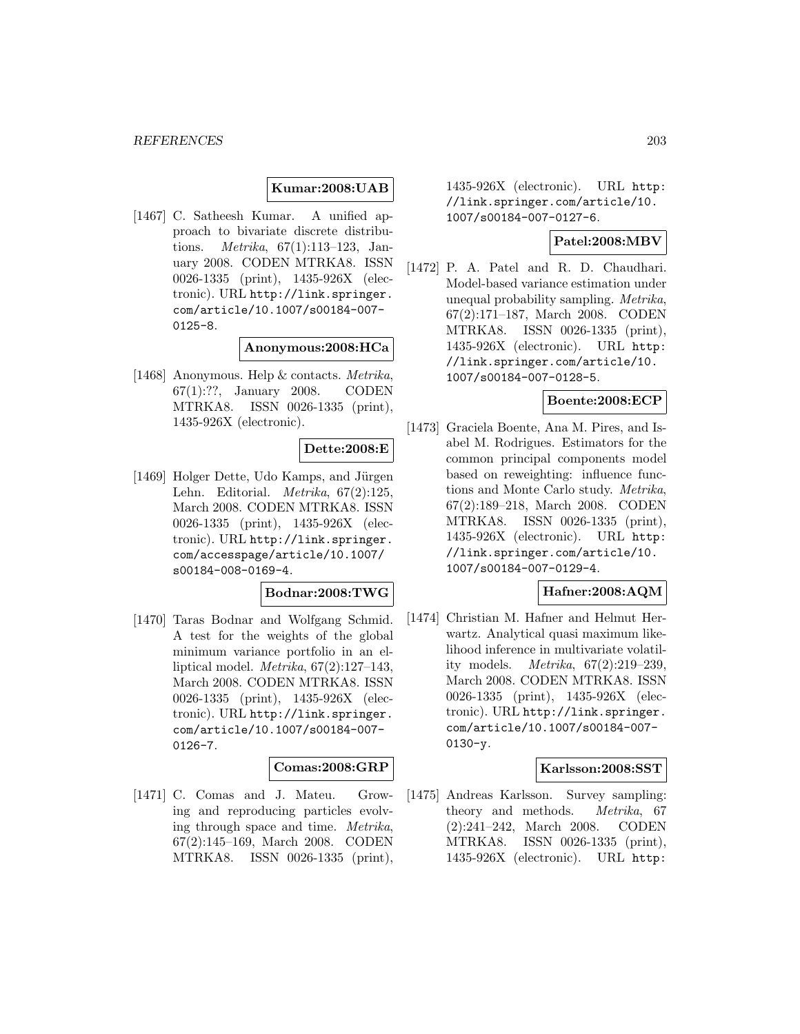## **Kumar:2008:UAB**

[1467] C. Satheesh Kumar. A unified approach to bivariate discrete distributions. Metrika, 67(1):113–123, January 2008. CODEN MTRKA8. ISSN 0026-1335 (print), 1435-926X (electronic). URL http://link.springer. com/article/10.1007/s00184-007- 0125-8.

#### **Anonymous:2008:HCa**

[1468] Anonymous. Help & contacts. Metrika, 67(1):??, January 2008. CODEN MTRKA8. ISSN 0026-1335 (print), 1435-926X (electronic).

# **Dette:2008:E**

[1469] Holger Dette, Udo Kamps, and Jürgen Lehn. Editorial. Metrika, 67(2):125, March 2008. CODEN MTRKA8. ISSN 0026-1335 (print), 1435-926X (electronic). URL http://link.springer. com/accesspage/article/10.1007/ s00184-008-0169-4.

#### **Bodnar:2008:TWG**

[1470] Taras Bodnar and Wolfgang Schmid. A test for the weights of the global minimum variance portfolio in an elliptical model.  $Metrika$ ,  $67(2):127-143$ , March 2008. CODEN MTRKA8. ISSN 0026-1335 (print), 1435-926X (electronic). URL http://link.springer. com/article/10.1007/s00184-007- 0126-7.

#### **Comas:2008:GRP**

[1471] C. Comas and J. Mateu. Growing and reproducing particles evolving through space and time. Metrika, 67(2):145–169, March 2008. CODEN MTRKA8. ISSN 0026-1335 (print),

1435-926X (electronic). URL http: //link.springer.com/article/10. 1007/s00184-007-0127-6.

# **Patel:2008:MBV**

[1472] P. A. Patel and R. D. Chaudhari. Model-based variance estimation under unequal probability sampling. Metrika, 67(2):171–187, March 2008. CODEN MTRKA8. ISSN 0026-1335 (print), 1435-926X (electronic). URL http: //link.springer.com/article/10. 1007/s00184-007-0128-5.

# **Boente:2008:ECP**

[1473] Graciela Boente, Ana M. Pires, and Isabel M. Rodrigues. Estimators for the common principal components model based on reweighting: influence functions and Monte Carlo study. Metrika, 67(2):189–218, March 2008. CODEN MTRKA8. ISSN 0026-1335 (print), 1435-926X (electronic). URL http: //link.springer.com/article/10. 1007/s00184-007-0129-4.

#### **Hafner:2008:AQM**

[1474] Christian M. Hafner and Helmut Herwartz. Analytical quasi maximum likelihood inference in multivariate volatility models. Metrika, 67(2):219–239, March 2008. CODEN MTRKA8. ISSN 0026-1335 (print), 1435-926X (electronic). URL http://link.springer. com/article/10.1007/s00184-007- 0130-y.

## **Karlsson:2008:SST**

[1475] Andreas Karlsson. Survey sampling: theory and methods. Metrika, 67 (2):241–242, March 2008. CODEN MTRKA8. ISSN 0026-1335 (print), 1435-926X (electronic). URL http: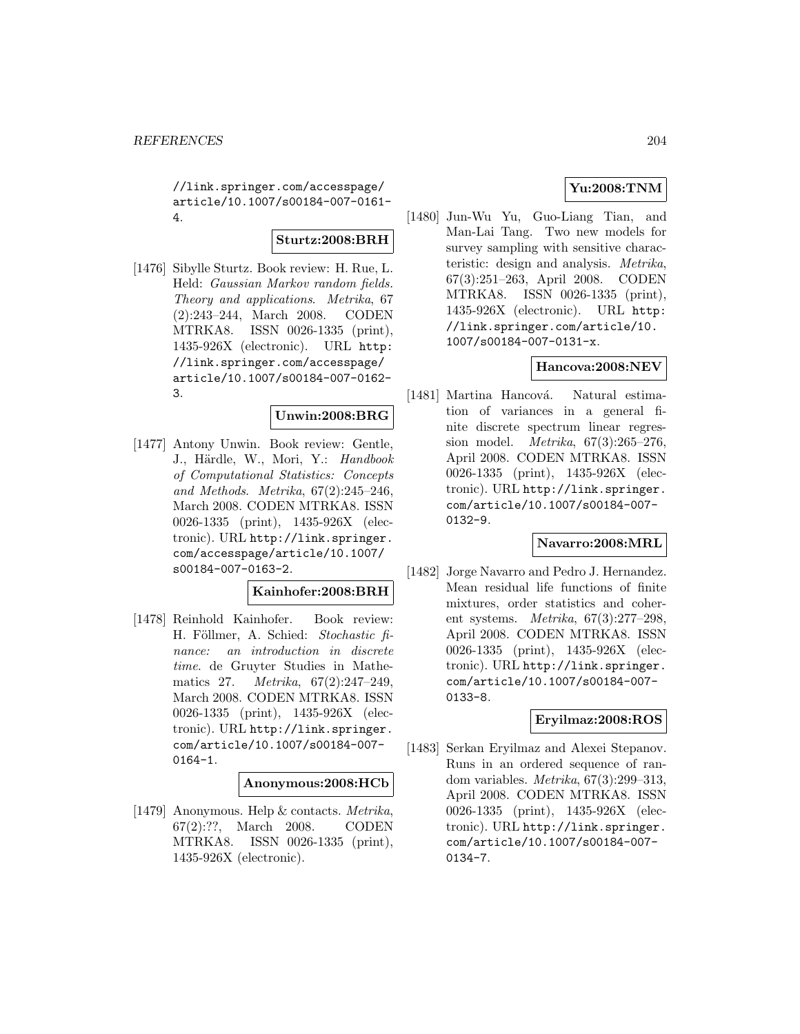//link.springer.com/accesspage/ article/10.1007/s00184-007-0161- 4.

## **Sturtz:2008:BRH**

[1476] Sibylle Sturtz. Book review: H. Rue, L. Held: Gaussian Markov random fields. Theory and applications. Metrika, 67 (2):243–244, March 2008. CODEN MTRKA8. ISSN 0026-1335 (print), 1435-926X (electronic). URL http: //link.springer.com/accesspage/ article/10.1007/s00184-007-0162- 3.

## **Unwin:2008:BRG**

[1477] Antony Unwin. Book review: Gentle, J., Härdle, W., Mori, Y.: Handbook of Computational Statistics: Concepts and Methods. Metrika, 67(2):245–246, March 2008. CODEN MTRKA8. ISSN 0026-1335 (print), 1435-926X (electronic). URL http://link.springer. com/accesspage/article/10.1007/ s00184-007-0163-2.

## **Kainhofer:2008:BRH**

[1478] Reinhold Kainhofer. Book review: H. Föllmer, A. Schied: Stochastic finance: an introduction in discrete time. de Gruyter Studies in Mathematics 27. Metrika, 67(2):247–249, March 2008. CODEN MTRKA8. ISSN 0026-1335 (print), 1435-926X (electronic). URL http://link.springer. com/article/10.1007/s00184-007- 0164-1.

#### **Anonymous:2008:HCb**

[1479] Anonymous. Help & contacts. Metrika, 67(2):??, March 2008. CODEN MTRKA8. ISSN 0026-1335 (print), 1435-926X (electronic).

# **Yu:2008:TNM**

[1480] Jun-Wu Yu, Guo-Liang Tian, and Man-Lai Tang. Two new models for survey sampling with sensitive characteristic: design and analysis. Metrika, 67(3):251–263, April 2008. CODEN MTRKA8. ISSN 0026-1335 (print), 1435-926X (electronic). URL http: //link.springer.com/article/10. 1007/s00184-007-0131-x.

# **Hancova:2008:NEV**

[1481] Martina Hancová. Natural estimation of variances in a general finite discrete spectrum linear regression model. Metrika, 67(3):265–276, April 2008. CODEN MTRKA8. ISSN 0026-1335 (print), 1435-926X (electronic). URL http://link.springer. com/article/10.1007/s00184-007- 0132-9.

#### **Navarro:2008:MRL**

[1482] Jorge Navarro and Pedro J. Hernandez. Mean residual life functions of finite mixtures, order statistics and coherent systems. Metrika, 67(3):277–298, April 2008. CODEN MTRKA8. ISSN 0026-1335 (print), 1435-926X (electronic). URL http://link.springer. com/article/10.1007/s00184-007- 0133-8.

## **Eryilmaz:2008:ROS**

[1483] Serkan Eryilmaz and Alexei Stepanov. Runs in an ordered sequence of random variables. Metrika, 67(3):299–313, April 2008. CODEN MTRKA8. ISSN 0026-1335 (print), 1435-926X (electronic). URL http://link.springer. com/article/10.1007/s00184-007- 0134-7.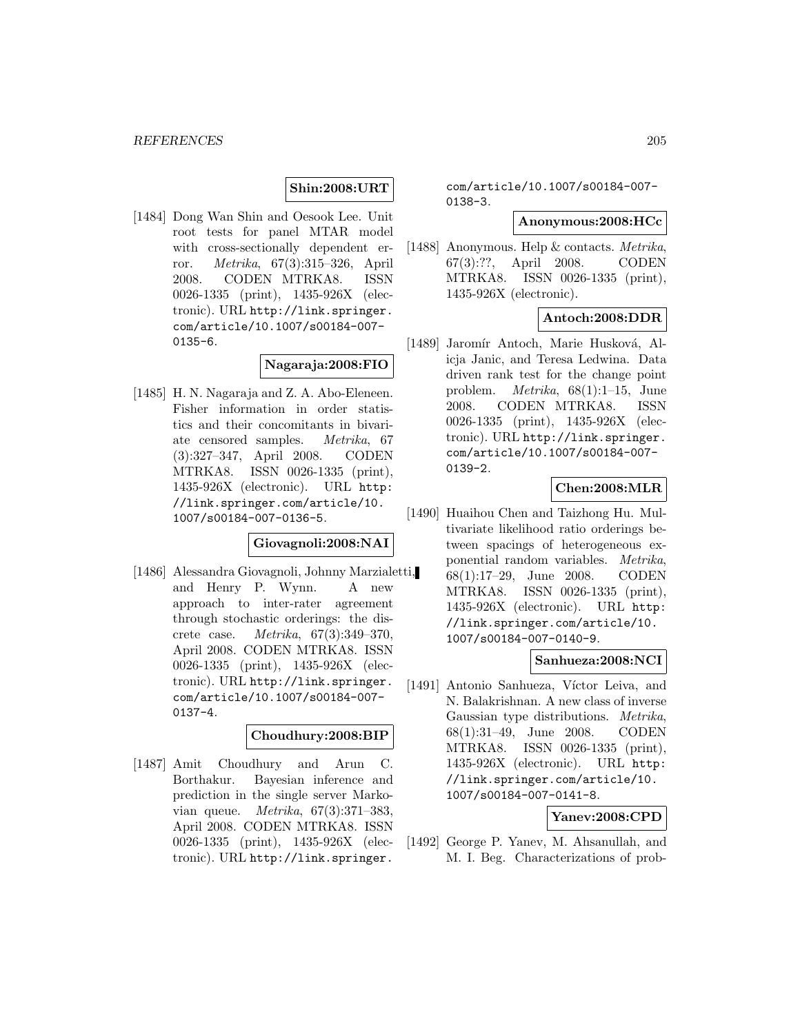# **Shin:2008:URT**

[1484] Dong Wan Shin and Oesook Lee. Unit root tests for panel MTAR model with cross-sectionally dependent error. Metrika, 67(3):315–326, April 2008. CODEN MTRKA8. ISSN 0026-1335 (print), 1435-926X (electronic). URL http://link.springer. com/article/10.1007/s00184-007-  $0135 - 6.$ 

#### **Nagaraja:2008:FIO**

[1485] H. N. Nagaraja and Z. A. Abo-Eleneen. Fisher information in order statistics and their concomitants in bivariate censored samples. Metrika, 67 (3):327–347, April 2008. CODEN MTRKA8. ISSN 0026-1335 (print), 1435-926X (electronic). URL http: //link.springer.com/article/10. 1007/s00184-007-0136-5.

# **Giovagnoli:2008:NAI**

[1486] Alessandra Giovagnoli, Johnny Marzialetti, and Henry P. Wynn. A new approach to inter-rater agreement through stochastic orderings: the discrete case. Metrika, 67(3):349–370, April 2008. CODEN MTRKA8. ISSN 0026-1335 (print), 1435-926X (electronic). URL http://link.springer. com/article/10.1007/s00184-007- 0137-4.

#### **Choudhury:2008:BIP**

[1487] Amit Choudhury and Arun C. Borthakur. Bayesian inference and prediction in the single server Markovian queue. Metrika, 67(3):371–383, April 2008. CODEN MTRKA8. ISSN 0026-1335 (print), 1435-926X (electronic). URL http://link.springer.

com/article/10.1007/s00184-007- 0138-3.

## **Anonymous:2008:HCc**

[1488] Anonymous. Help & contacts. Metrika, 67(3):??, April 2008. CODEN MTRKA8. ISSN 0026-1335 (print), 1435-926X (electronic).

# **Antoch:2008:DDR**

[1489] Jaromír Antoch, Marie Husková, Alicja Janic, and Teresa Ledwina. Data driven rank test for the change point problem. Metrika, 68(1):1–15, June 2008. CODEN MTRKA8. ISSN 0026-1335 (print), 1435-926X (electronic). URL http://link.springer. com/article/10.1007/s00184-007- 0139-2.

## **Chen:2008:MLR**

[1490] Huaihou Chen and Taizhong Hu. Multivariate likelihood ratio orderings between spacings of heterogeneous exponential random variables. Metrika, 68(1):17–29, June 2008. CODEN MTRKA8. ISSN 0026-1335 (print), 1435-926X (electronic). URL http: //link.springer.com/article/10. 1007/s00184-007-0140-9.

#### **Sanhueza:2008:NCI**

[1491] Antonio Sanhueza, Víctor Leiva, and N. Balakrishnan. A new class of inverse Gaussian type distributions. Metrika, 68(1):31–49, June 2008. CODEN MTRKA8. ISSN 0026-1335 (print), 1435-926X (electronic). URL http: //link.springer.com/article/10. 1007/s00184-007-0141-8.

## **Yanev:2008:CPD**

[1492] George P. Yanev, M. Ahsanullah, and M. I. Beg. Characterizations of prob-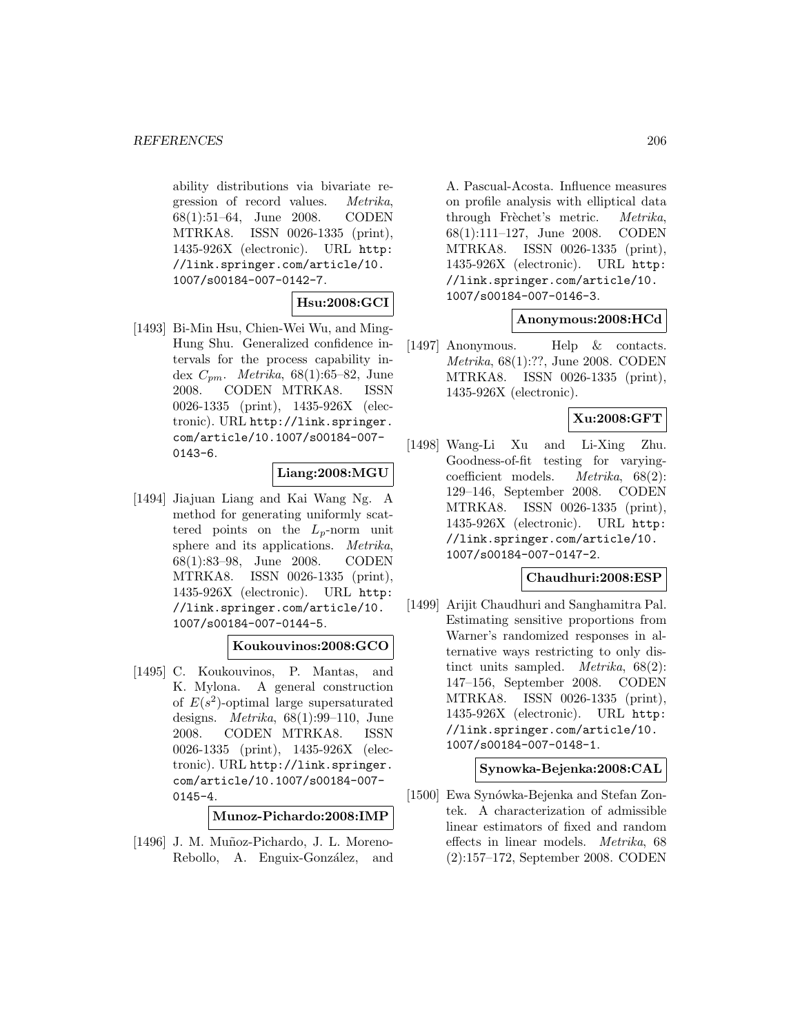#### *REFERENCES* 206

ability distributions via bivariate regression of record values. Metrika, 68(1):51–64, June 2008. CODEN MTRKA8. ISSN 0026-1335 (print), 1435-926X (electronic). URL http: //link.springer.com/article/10. 1007/s00184-007-0142-7.

# **Hsu:2008:GCI**

[1493] Bi-Min Hsu, Chien-Wei Wu, and Ming-Hung Shu. Generalized confidence intervals for the process capability index  $C_{pm}$ . *Metrika*, 68(1):65–82, June 2008. CODEN MTRKA8. ISSN 0026-1335 (print), 1435-926X (electronic). URL http://link.springer. com/article/10.1007/s00184-007- 0143-6.

# **Liang:2008:MGU**

[1494] Jiajuan Liang and Kai Wang Ng. A method for generating uniformly scattered points on the  $L_p$ -norm unit sphere and its applications. Metrika, 68(1):83–98, June 2008. CODEN MTRKA8. ISSN 0026-1335 (print), 1435-926X (electronic). URL http: //link.springer.com/article/10. 1007/s00184-007-0144-5.

# **Koukouvinos:2008:GCO**

[1495] C. Koukouvinos, P. Mantas, and K. Mylona. A general construction of  $E(s^2)$ -optimal large supersaturated designs.  $Metrika$ ,  $68(1):99-110$ , June 2008. CODEN MTRKA8. ISSN 0026-1335 (print), 1435-926X (electronic). URL http://link.springer. com/article/10.1007/s00184-007- 0145-4.

**Munoz-Pichardo:2008:IMP**

[1496] J. M. Muñoz-Pichardo, J. L. Moreno-Rebollo, A. Enguix-González, and

A. Pascual-Acosta. Influence measures on profile analysis with elliptical data through Frèchet's metric. Metrika, 68(1):111–127, June 2008. CODEN MTRKA8. ISSN 0026-1335 (print), 1435-926X (electronic). URL http: //link.springer.com/article/10. 1007/s00184-007-0146-3.

# **Anonymous:2008:HCd**

[1497] Anonymous. Help & contacts. Metrika, 68(1):??, June 2008. CODEN MTRKA8. ISSN 0026-1335 (print), 1435-926X (electronic).

# **Xu:2008:GFT**

[1498] Wang-Li Xu and Li-Xing Zhu. Goodness-of-fit testing for varyingcoefficient models. Metrika, 68(2): 129–146, September 2008. CODEN MTRKA8. ISSN 0026-1335 (print), 1435-926X (electronic). URL http: //link.springer.com/article/10. 1007/s00184-007-0147-2.

## **Chaudhuri:2008:ESP**

[1499] Arijit Chaudhuri and Sanghamitra Pal. Estimating sensitive proportions from Warner's randomized responses in alternative ways restricting to only distinct units sampled. Metrika, 68(2): 147–156, September 2008. CODEN MTRKA8. ISSN 0026-1335 (print), 1435-926X (electronic). URL http: //link.springer.com/article/10. 1007/s00184-007-0148-1.

## **Synowka-Bejenka:2008:CAL**

[1500] Ewa Synówka-Bejenka and Stefan Zontek. A characterization of admissible linear estimators of fixed and random effects in linear models. Metrika, 68 (2):157–172, September 2008. CODEN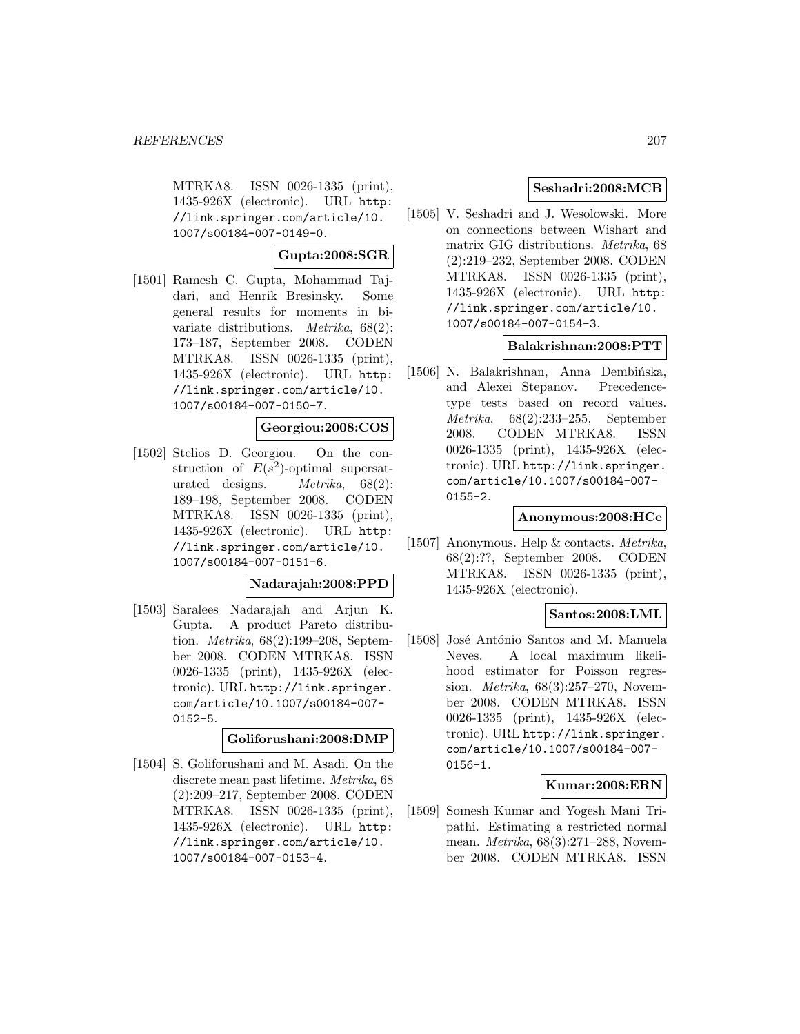MTRKA8. ISSN 0026-1335 (print), 1435-926X (electronic). URL http: //link.springer.com/article/10. 1007/s00184-007-0149-0.

# **Gupta:2008:SGR**

[1501] Ramesh C. Gupta, Mohammad Tajdari, and Henrik Bresinsky. Some general results for moments in bivariate distributions. Metrika, 68(2): 173–187, September 2008. CODEN MTRKA8. ISSN 0026-1335 (print), 1435-926X (electronic). URL http: //link.springer.com/article/10. 1007/s00184-007-0150-7.

## **Georgiou:2008:COS**

[1502] Stelios D. Georgiou. On the construction of  $E(s^2)$ -optimal supersaturated designs. Metrika, 68(2): 189–198, September 2008. CODEN MTRKA8. ISSN 0026-1335 (print), 1435-926X (electronic). URL http: //link.springer.com/article/10. 1007/s00184-007-0151-6.

## **Nadarajah:2008:PPD**

[1503] Saralees Nadarajah and Arjun K. Gupta. A product Pareto distribution. Metrika, 68(2):199–208, September 2008. CODEN MTRKA8. ISSN 0026-1335 (print), 1435-926X (electronic). URL http://link.springer. com/article/10.1007/s00184-007- 0152-5.

#### **Goliforushani:2008:DMP**

[1504] S. Goliforushani and M. Asadi. On the discrete mean past lifetime. Metrika, 68 (2):209–217, September 2008. CODEN MTRKA8. ISSN 0026-1335 (print), 1435-926X (electronic). URL http: //link.springer.com/article/10. 1007/s00184-007-0153-4.

## **Seshadri:2008:MCB**

[1505] V. Seshadri and J. Wesolowski. More on connections between Wishart and matrix GIG distributions. Metrika, 68 (2):219–232, September 2008. CODEN MTRKA8. ISSN 0026-1335 (print), 1435-926X (electronic). URL http: //link.springer.com/article/10. 1007/s00184-007-0154-3.

# **Balakrishnan:2008:PTT**

[1506] N. Balakrishnan, Anna Dembińska, and Alexei Stepanov. Precedencetype tests based on record values. Metrika, 68(2):233–255, September 2008. CODEN MTRKA8. ISSN 0026-1335 (print), 1435-926X (electronic). URL http://link.springer. com/article/10.1007/s00184-007- 0155-2.

#### **Anonymous:2008:HCe**

[1507] Anonymous. Help & contacts. Metrika, 68(2):??, September 2008. CODEN MTRKA8. ISSN 0026-1335 (print), 1435-926X (electronic).

## **Santos:2008:LML**

[1508] José António Santos and M. Manuela Neves. A local maximum likelihood estimator for Poisson regression. Metrika, 68(3):257–270, November 2008. CODEN MTRKA8. ISSN 0026-1335 (print), 1435-926X (electronic). URL http://link.springer. com/article/10.1007/s00184-007- 0156-1.

#### **Kumar:2008:ERN**

[1509] Somesh Kumar and Yogesh Mani Tripathi. Estimating a restricted normal mean. Metrika, 68(3):271–288, November 2008. CODEN MTRKA8. ISSN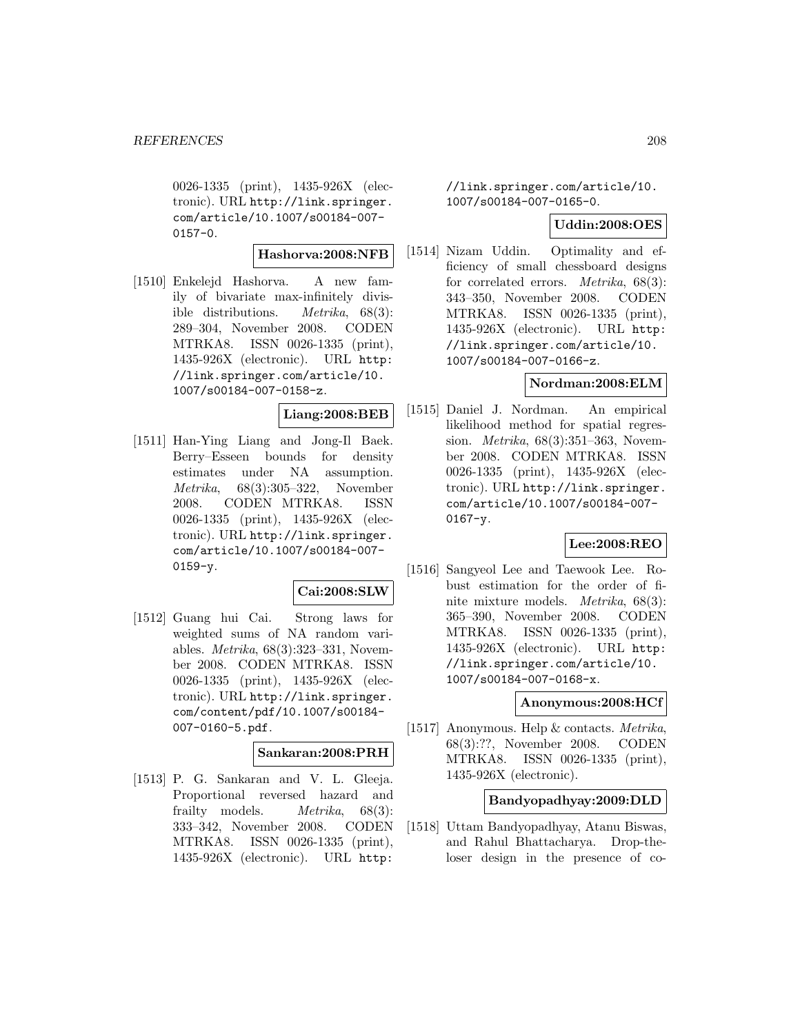0026-1335 (print), 1435-926X (electronic). URL http://link.springer. com/article/10.1007/s00184-007- 0157-0.

#### **Hashorva:2008:NFB**

[1510] Enkelejd Hashorva. A new family of bivariate max-infinitely divisible distributions. Metrika, 68(3): 289–304, November 2008. CODEN MTRKA8. ISSN 0026-1335 (print), 1435-926X (electronic). URL http: //link.springer.com/article/10. 1007/s00184-007-0158-z.

#### **Liang:2008:BEB**

[1511] Han-Ying Liang and Jong-Il Baek. Berry–Esseen bounds for density estimates under NA assumption. Metrika, 68(3):305–322, November 2008. CODEN MTRKA8. ISSN 0026-1335 (print), 1435-926X (electronic). URL http://link.springer. com/article/10.1007/s00184-007-  $0159 - v.$ 

#### **Cai:2008:SLW**

[1512] Guang hui Cai. Strong laws for weighted sums of NA random variables. Metrika, 68(3):323–331, November 2008. CODEN MTRKA8. ISSN 0026-1335 (print), 1435-926X (electronic). URL http://link.springer. com/content/pdf/10.1007/s00184- 007-0160-5.pdf.

# **Sankaran:2008:PRH**

[1513] P. G. Sankaran and V. L. Gleeja. Proportional reversed hazard and frailty models. *Metrika*, 68(3): 333–342, November 2008. CODEN MTRKA8. ISSN 0026-1335 (print), 1435-926X (electronic). URL http:

//link.springer.com/article/10. 1007/s00184-007-0165-0.

#### **Uddin:2008:OES**

[1514] Nizam Uddin. Optimality and efficiency of small chessboard designs for correlated errors. Metrika, 68(3): 343–350, November 2008. CODEN MTRKA8. ISSN 0026-1335 (print), 1435-926X (electronic). URL http: //link.springer.com/article/10. 1007/s00184-007-0166-z.

#### **Nordman:2008:ELM**

[1515] Daniel J. Nordman. An empirical likelihood method for spatial regression. Metrika, 68(3):351–363, November 2008. CODEN MTRKA8. ISSN 0026-1335 (print), 1435-926X (electronic). URL http://link.springer. com/article/10.1007/s00184-007- 0167-y.

#### **Lee:2008:REO**

[1516] Sangyeol Lee and Taewook Lee. Robust estimation for the order of finite mixture models. Metrika, 68(3): 365–390, November 2008. CODEN MTRKA8. ISSN 0026-1335 (print), 1435-926X (electronic). URL http: //link.springer.com/article/10. 1007/s00184-007-0168-x.

#### **Anonymous:2008:HCf**

[1517] Anonymous. Help & contacts. Metrika, 68(3):??, November 2008. CODEN MTRKA8. ISSN 0026-1335 (print), 1435-926X (electronic).

#### **Bandyopadhyay:2009:DLD**

[1518] Uttam Bandyopadhyay, Atanu Biswas, and Rahul Bhattacharya. Drop-theloser design in the presence of co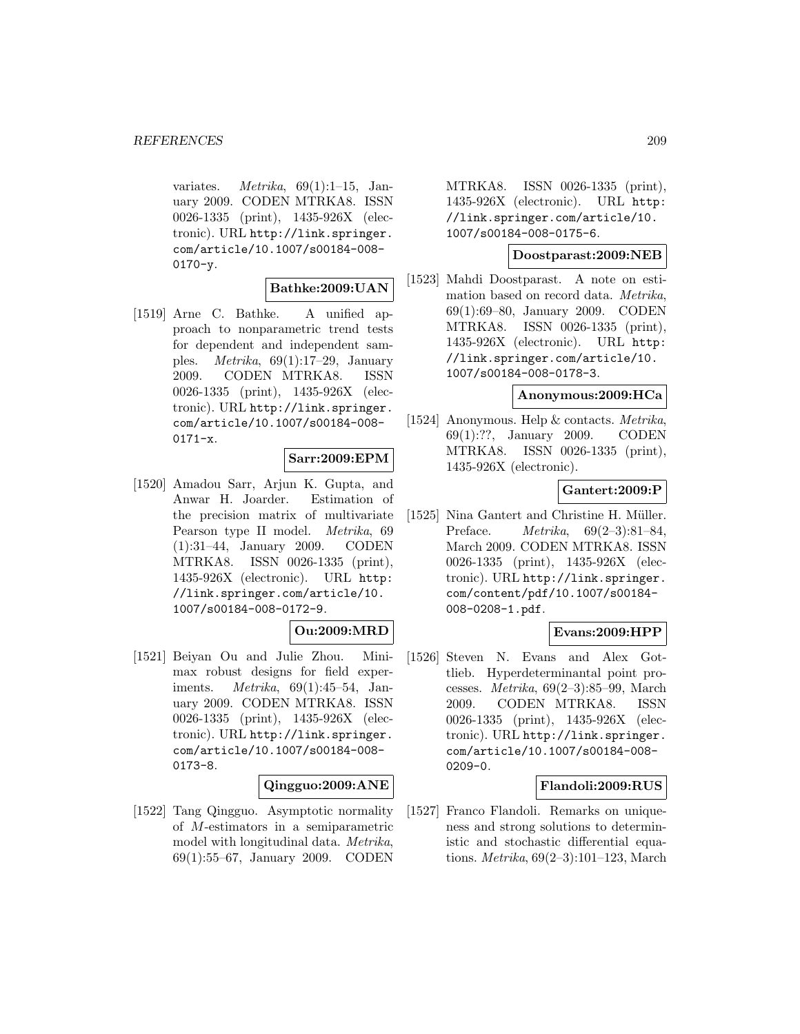variates.  $Metrika$ , 69(1):1-15, January 2009. CODEN MTRKA8. ISSN 0026-1335 (print), 1435-926X (electronic). URL http://link.springer. com/article/10.1007/s00184-008- 0170-y.

## **Bathke:2009:UAN**

[1519] Arne C. Bathke. A unified approach to nonparametric trend tests for dependent and independent samples. *Metrika*,  $69(1):17-29$ , January 2009. CODEN MTRKA8. ISSN 0026-1335 (print), 1435-926X (electronic). URL http://link.springer. com/article/10.1007/s00184-008-  $0171-x.$ 

#### **Sarr:2009:EPM**

[1520] Amadou Sarr, Arjun K. Gupta, and Anwar H. Joarder. Estimation of the precision matrix of multivariate Pearson type II model. Metrika, 69 (1):31–44, January 2009. CODEN MTRKA8. ISSN 0026-1335 (print), 1435-926X (electronic). URL http: //link.springer.com/article/10. 1007/s00184-008-0172-9.

## **Ou:2009:MRD**

[1521] Beiyan Ou and Julie Zhou. Minimax robust designs for field experiments. Metrika, 69(1):45–54, January 2009. CODEN MTRKA8. ISSN 0026-1335 (print), 1435-926X (electronic). URL http://link.springer. com/article/10.1007/s00184-008- 0173-8.

#### **Qingguo:2009:ANE**

[1522] Tang Qingguo. Asymptotic normality of M-estimators in a semiparametric model with longitudinal data. Metrika, 69(1):55–67, January 2009. CODEN

MTRKA8. ISSN 0026-1335 (print), 1435-926X (electronic). URL http: //link.springer.com/article/10. 1007/s00184-008-0175-6.

# **Doostparast:2009:NEB**

[1523] Mahdi Doostparast. A note on estimation based on record data. Metrika, 69(1):69–80, January 2009. CODEN MTRKA8. ISSN 0026-1335 (print), 1435-926X (electronic). URL http: //link.springer.com/article/10. 1007/s00184-008-0178-3.

## **Anonymous:2009:HCa**

[1524] Anonymous. Help & contacts. Metrika, 69(1):??, January 2009. CODEN MTRKA8. ISSN 0026-1335 (print), 1435-926X (electronic).

# **Gantert:2009:P**

[1525] Nina Gantert and Christine H. Müller. Preface. Metrika, 69(2–3):81–84, March 2009. CODEN MTRKA8. ISSN 0026-1335 (print), 1435-926X (electronic). URL http://link.springer. com/content/pdf/10.1007/s00184- 008-0208-1.pdf.

#### **Evans:2009:HPP**

[1526] Steven N. Evans and Alex Gottlieb. Hyperdeterminantal point processes. Metrika, 69(2–3):85–99, March 2009. CODEN MTRKA8. ISSN 0026-1335 (print), 1435-926X (electronic). URL http://link.springer. com/article/10.1007/s00184-008- 0209-0.

#### **Flandoli:2009:RUS**

[1527] Franco Flandoli. Remarks on uniqueness and strong solutions to deterministic and stochastic differential equations. Metrika, 69(2–3):101–123, March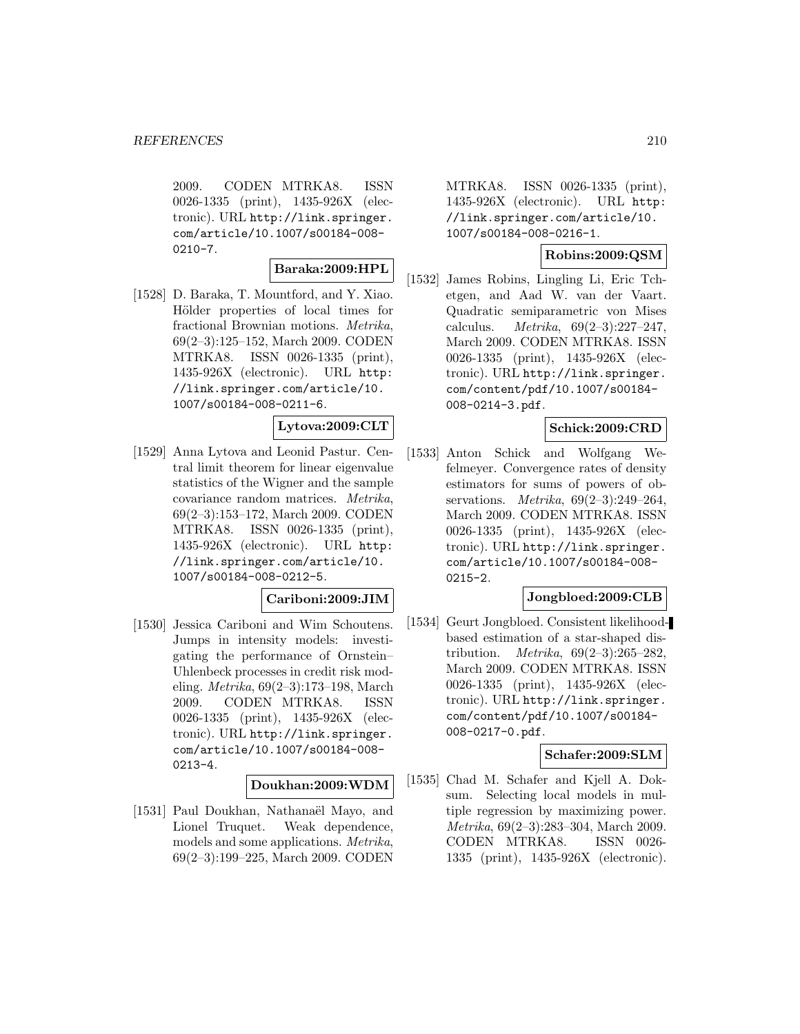2009. CODEN MTRKA8. ISSN 0026-1335 (print), 1435-926X (electronic). URL http://link.springer. com/article/10.1007/s00184-008-  $0210 - 7.$ 

## **Baraka:2009:HPL**

[1528] D. Baraka, T. Mountford, and Y. Xiao. Hölder properties of local times for fractional Brownian motions. Metrika, 69(2–3):125–152, March 2009. CODEN MTRKA8. ISSN 0026-1335 (print), 1435-926X (electronic). URL http: //link.springer.com/article/10. 1007/s00184-008-0211-6.

#### **Lytova:2009:CLT**

[1529] Anna Lytova and Leonid Pastur. Central limit theorem for linear eigenvalue statistics of the Wigner and the sample covariance random matrices. Metrika, 69(2–3):153–172, March 2009. CODEN MTRKA8. ISSN 0026-1335 (print), 1435-926X (electronic). URL http: //link.springer.com/article/10. 1007/s00184-008-0212-5.

#### **Cariboni:2009:JIM**

[1530] Jessica Cariboni and Wim Schoutens. Jumps in intensity models: investigating the performance of Ornstein– Uhlenbeck processes in credit risk modeling. Metrika, 69(2–3):173–198, March 2009. CODEN MTRKA8. ISSN 0026-1335 (print), 1435-926X (electronic). URL http://link.springer. com/article/10.1007/s00184-008- 0213-4.

#### **Doukhan:2009:WDM**

[1531] Paul Doukhan, Nathanaël Mayo, and Lionel Truquet. Weak dependence, models and some applications. Metrika, 69(2–3):199–225, March 2009. CODEN

MTRKA8. ISSN 0026-1335 (print), 1435-926X (electronic). URL http: //link.springer.com/article/10. 1007/s00184-008-0216-1.

## **Robins:2009:QSM**

[1532] James Robins, Lingling Li, Eric Tchetgen, and Aad W. van der Vaart. Quadratic semiparametric von Mises calculus. *Metrika*,  $69(2-3):227-247$ , March 2009. CODEN MTRKA8. ISSN 0026-1335 (print), 1435-926X (electronic). URL http://link.springer. com/content/pdf/10.1007/s00184- 008-0214-3.pdf.

## **Schick:2009:CRD**

[1533] Anton Schick and Wolfgang Wefelmeyer. Convergence rates of density estimators for sums of powers of observations. Metrika, 69(2–3):249–264, March 2009. CODEN MTRKA8. ISSN 0026-1335 (print), 1435-926X (electronic). URL http://link.springer. com/article/10.1007/s00184-008- 0215-2.

#### **Jongbloed:2009:CLB**

[1534] Geurt Jongbloed. Consistent likelihoodbased estimation of a star-shaped distribution. *Metrika*,  $69(2-3):265-282$ , March 2009. CODEN MTRKA8. ISSN 0026-1335 (print), 1435-926X (electronic). URL http://link.springer. com/content/pdf/10.1007/s00184- 008-0217-0.pdf.

#### **Schafer:2009:SLM**

[1535] Chad M. Schafer and Kjell A. Doksum. Selecting local models in multiple regression by maximizing power. Metrika, 69(2–3):283–304, March 2009. CODEN MTRKA8. ISSN 0026- 1335 (print), 1435-926X (electronic).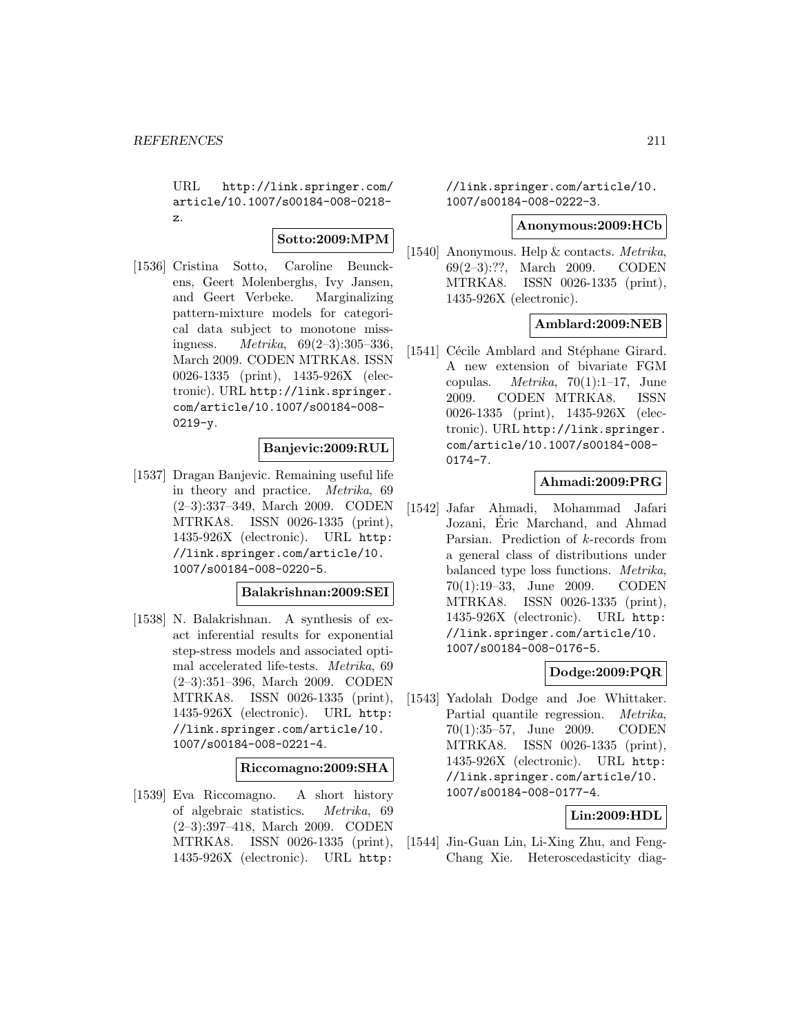URL http://link.springer.com/ article/10.1007/s00184-008-0218 z.

# **Sotto:2009:MPM**

[1536] Cristina Sotto, Caroline Beunckens, Geert Molenberghs, Ivy Jansen, and Geert Verbeke. Marginalizing pattern-mixture models for categorical data subject to monotone missingness.  $Metrika, 69(2-3):305-336,$ March 2009. CODEN MTRKA8. ISSN 0026-1335 (print), 1435-926X (electronic). URL http://link.springer. com/article/10.1007/s00184-008-  $0219 - y.$ 

## **Banjevic:2009:RUL**

[1537] Dragan Banjevic. Remaining useful life in theory and practice. Metrika, 69 (2–3):337–349, March 2009. CODEN MTRKA8. ISSN 0026-1335 (print), 1435-926X (electronic). URL http: //link.springer.com/article/10. 1007/s00184-008-0220-5.

#### **Balakrishnan:2009:SEI**

[1538] N. Balakrishnan. A synthesis of exact inferential results for exponential step-stress models and associated optimal accelerated life-tests. Metrika, 69 (2–3):351–396, March 2009. CODEN MTRKA8. ISSN 0026-1335 (print), 1435-926X (electronic). URL http: //link.springer.com/article/10. 1007/s00184-008-0221-4.

#### **Riccomagno:2009:SHA**

[1539] Eva Riccomagno. A short history of algebraic statistics. Metrika, 69 (2–3):397–418, March 2009. CODEN MTRKA8. ISSN 0026-1335 (print), 1435-926X (electronic). URL http:

//link.springer.com/article/10. 1007/s00184-008-0222-3.

#### **Anonymous:2009:HCb**

[1540] Anonymous. Help & contacts. Metrika, 69(2–3):??, March 2009. CODEN MTRKA8. ISSN 0026-1335 (print), 1435-926X (electronic).

## **Amblard:2009:NEB**

[1541] Cécile Amblard and Stéphane Girard. A new extension of bivariate FGM copulas. *Metrika*,  $70(1):1-17$ , June 2009. CODEN MTRKA8. ISSN 0026-1335 (print), 1435-926X (electronic). URL http://link.springer. com/article/10.1007/s00184-008- 0174-7.

# **Ahmadi:2009:PRG**

[1542] Jafar Ahmadi, Mohammad Jafari Jozani, Eric Marchand, and Ahmad ´ Parsian. Prediction of k-records from a general class of distributions under balanced type loss functions. Metrika, 70(1):19–33, June 2009. CODEN MTRKA8. ISSN 0026-1335 (print), 1435-926X (electronic). URL http: //link.springer.com/article/10. 1007/s00184-008-0176-5.

## **Dodge:2009:PQR**

[1543] Yadolah Dodge and Joe Whittaker. Partial quantile regression. Metrika, 70(1):35–57, June 2009. CODEN MTRKA8. ISSN 0026-1335 (print), 1435-926X (electronic). URL http: //link.springer.com/article/10. 1007/s00184-008-0177-4.

## **Lin:2009:HDL**

[1544] Jin-Guan Lin, Li-Xing Zhu, and Feng-Chang Xie. Heteroscedasticity diag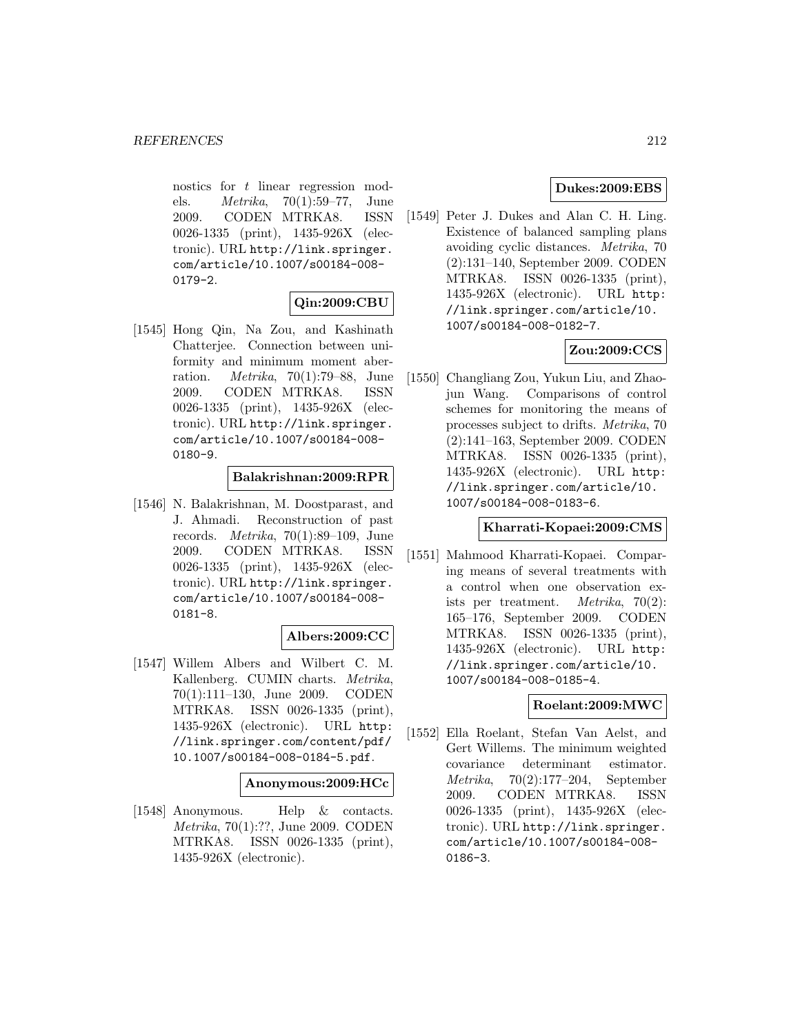nostics for t linear regression models. Metrika, 70(1):59–77, June 2009. CODEN MTRKA8. ISSN 0026-1335 (print), 1435-926X (electronic). URL http://link.springer. com/article/10.1007/s00184-008- 0179-2.

# **Qin:2009:CBU**

[1545] Hong Qin, Na Zou, and Kashinath Chatterjee. Connection between uniformity and minimum moment aberration. Metrika, 70(1):79–88, June 2009. CODEN MTRKA8. ISSN 0026-1335 (print), 1435-926X (electronic). URL http://link.springer. com/article/10.1007/s00184-008- 0180-9.

# **Balakrishnan:2009:RPR**

[1546] N. Balakrishnan, M. Doostparast, and J. Ahmadi. Reconstruction of past records. *Metrika*,  $70(1):89-109$ , June 2009. CODEN MTRKA8. ISSN 0026-1335 (print), 1435-926X (electronic). URL http://link.springer. com/article/10.1007/s00184-008- 0181-8.

## **Albers:2009:CC**

[1547] Willem Albers and Wilbert C. M. Kallenberg. CUMIN charts. Metrika, 70(1):111–130, June 2009. CODEN MTRKA8. ISSN 0026-1335 (print), 1435-926X (electronic). URL http: //link.springer.com/content/pdf/ 10.1007/s00184-008-0184-5.pdf.

#### **Anonymous:2009:HCc**

[1548] Anonymous. Help & contacts. Metrika, 70(1):??, June 2009. CODEN MTRKA8. ISSN 0026-1335 (print), 1435-926X (electronic).

# **Dukes:2009:EBS**

[1549] Peter J. Dukes and Alan C. H. Ling. Existence of balanced sampling plans avoiding cyclic distances. Metrika, 70 (2):131–140, September 2009. CODEN MTRKA8. ISSN 0026-1335 (print), 1435-926X (electronic). URL http: //link.springer.com/article/10. 1007/s00184-008-0182-7.

# **Zou:2009:CCS**

[1550] Changliang Zou, Yukun Liu, and Zhaojun Wang. Comparisons of control schemes for monitoring the means of processes subject to drifts. Metrika, 70 (2):141–163, September 2009. CODEN MTRKA8. ISSN 0026-1335 (print), 1435-926X (electronic). URL http: //link.springer.com/article/10. 1007/s00184-008-0183-6.

#### **Kharrati-Kopaei:2009:CMS**

[1551] Mahmood Kharrati-Kopaei. Comparing means of several treatments with a control when one observation exists per treatment. Metrika, 70(2): 165–176, September 2009. CODEN MTRKA8. ISSN 0026-1335 (print), 1435-926X (electronic). URL http: //link.springer.com/article/10. 1007/s00184-008-0185-4.

## **Roelant:2009:MWC**

[1552] Ella Roelant, Stefan Van Aelst, and Gert Willems. The minimum weighted covariance determinant estimator. Metrika, 70(2):177–204, September 2009. CODEN MTRKA8. ISSN 0026-1335 (print), 1435-926X (electronic). URL http://link.springer. com/article/10.1007/s00184-008- 0186-3.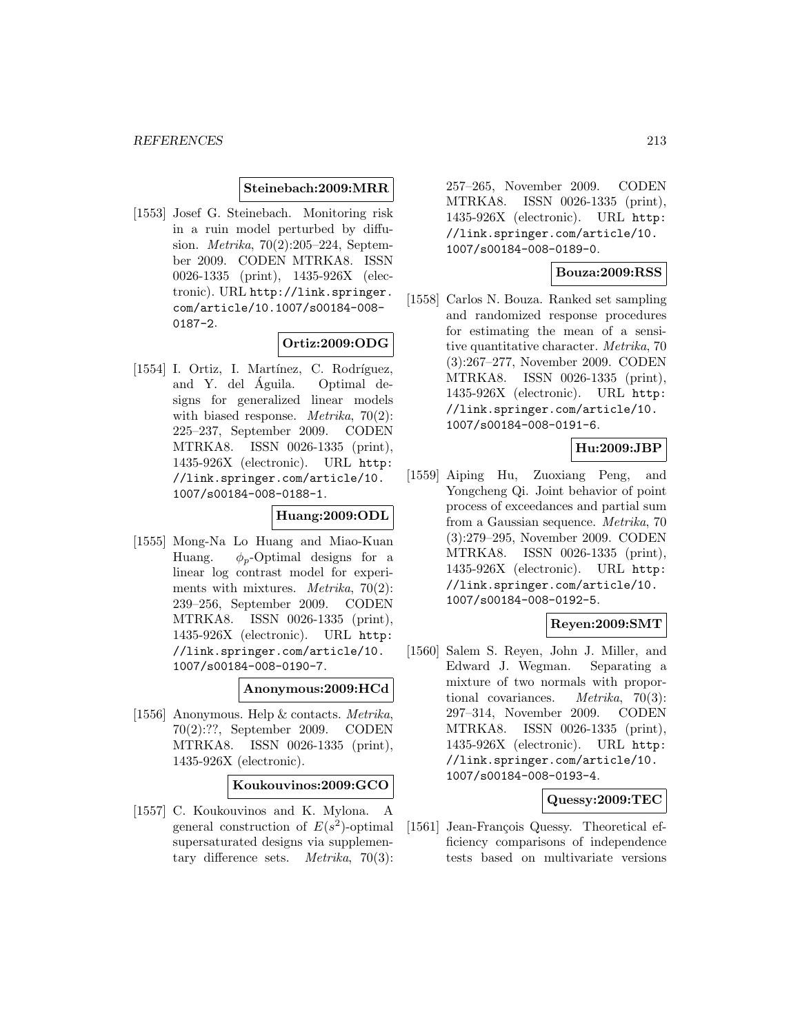#### **Steinebach:2009:MRR**

[1553] Josef G. Steinebach. Monitoring risk in a ruin model perturbed by diffusion. Metrika, 70(2):205–224, September 2009. CODEN MTRKA8. ISSN 0026-1335 (print), 1435-926X (electronic). URL http://link.springer. com/article/10.1007/s00184-008- 0187-2.

## **Ortiz:2009:ODG**

[1554] I. Ortiz, I. Martínez, C. Rodríguez, and Y. del Águila. Optimal designs for generalized linear models with biased response. *Metrika*,  $70(2)$ : 225–237, September 2009. CODEN MTRKA8. ISSN 0026-1335 (print), 1435-926X (electronic). URL http: //link.springer.com/article/10. 1007/s00184-008-0188-1.

## **Huang:2009:ODL**

[1555] Mong-Na Lo Huang and Miao-Kuan Huang.  $\phi_p$ -Optimal designs for a linear log contrast model for experiments with mixtures. *Metrika*,  $70(2)$ : 239–256, September 2009. CODEN MTRKA8. ISSN 0026-1335 (print), 1435-926X (electronic). URL http: //link.springer.com/article/10. 1007/s00184-008-0190-7.

#### **Anonymous:2009:HCd**

[1556] Anonymous. Help & contacts. Metrika, 70(2):??, September 2009. CODEN MTRKA8. ISSN 0026-1335 (print), 1435-926X (electronic).

#### **Koukouvinos:2009:GCO**

[1557] C. Koukouvinos and K. Mylona. A general construction of  $E(s^2)$ -optimal supersaturated designs via supplementary difference sets. Metrika, 70(3):

257–265, November 2009. CODEN MTRKA8. ISSN 0026-1335 (print), 1435-926X (electronic). URL http: //link.springer.com/article/10. 1007/s00184-008-0189-0.

## **Bouza:2009:RSS**

[1558] Carlos N. Bouza. Ranked set sampling and randomized response procedures for estimating the mean of a sensitive quantitative character. Metrika, 70 (3):267–277, November 2009. CODEN MTRKA8. ISSN 0026-1335 (print), 1435-926X (electronic). URL http: //link.springer.com/article/10. 1007/s00184-008-0191-6.

#### **Hu:2009:JBP**

[1559] Aiping Hu, Zuoxiang Peng, and Yongcheng Qi. Joint behavior of point process of exceedances and partial sum from a Gaussian sequence. Metrika, 70 (3):279–295, November 2009. CODEN MTRKA8. ISSN 0026-1335 (print), 1435-926X (electronic). URL http: //link.springer.com/article/10. 1007/s00184-008-0192-5.

# **Reyen:2009:SMT**

[1560] Salem S. Reyen, John J. Miller, and Edward J. Wegman. Separating a mixture of two normals with proportional covariances. Metrika, 70(3): 297–314, November 2009. CODEN MTRKA8. ISSN 0026-1335 (print), 1435-926X (electronic). URL http: //link.springer.com/article/10. 1007/s00184-008-0193-4.

#### **Quessy:2009:TEC**

[1561] Jean-François Quessy. Theoretical efficiency comparisons of independence tests based on multivariate versions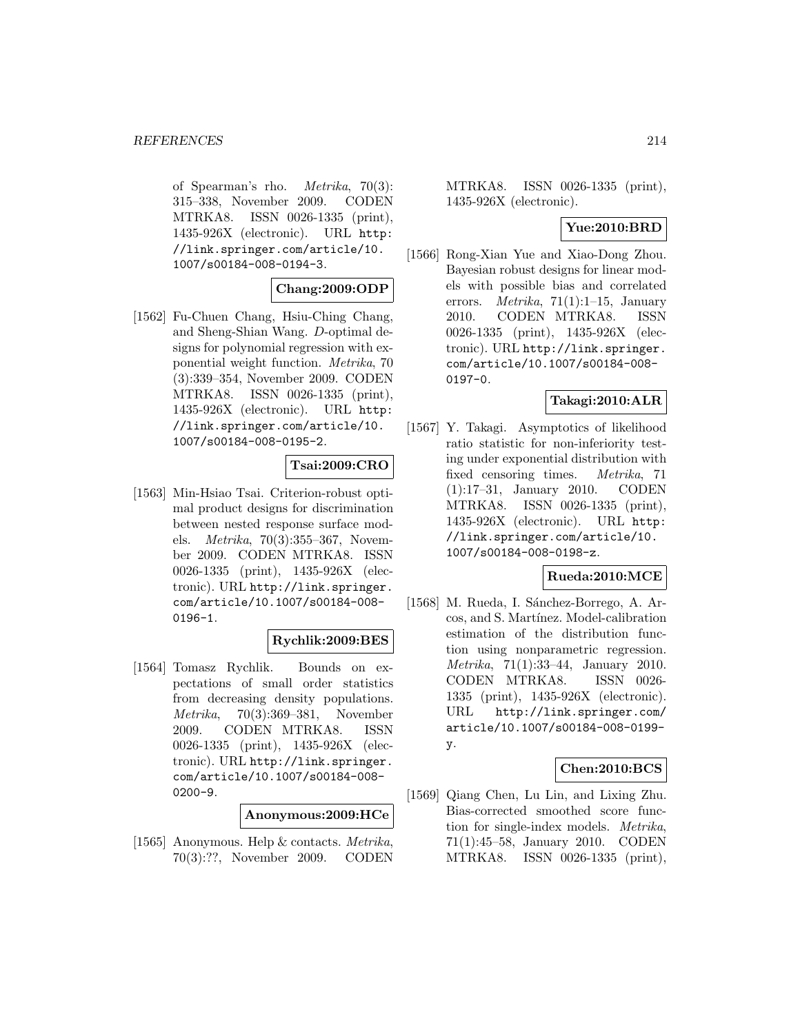of Spearman's rho. Metrika, 70(3): 315–338, November 2009. CODEN MTRKA8. ISSN 0026-1335 (print), 1435-926X (electronic). URL http: //link.springer.com/article/10. 1007/s00184-008-0194-3.

## **Chang:2009:ODP**

[1562] Fu-Chuen Chang, Hsiu-Ching Chang, and Sheng-Shian Wang. D-optimal designs for polynomial regression with exponential weight function. Metrika, 70 (3):339–354, November 2009. CODEN MTRKA8. ISSN 0026-1335 (print), 1435-926X (electronic). URL http: //link.springer.com/article/10. 1007/s00184-008-0195-2.

# **Tsai:2009:CRO**

[1563] Min-Hsiao Tsai. Criterion-robust optimal product designs for discrimination between nested response surface models. Metrika, 70(3):355–367, November 2009. CODEN MTRKA8. ISSN 0026-1335 (print), 1435-926X (electronic). URL http://link.springer. com/article/10.1007/s00184-008- 0196-1.

# **Rychlik:2009:BES**

[1564] Tomasz Rychlik. Bounds on expectations of small order statistics from decreasing density populations. Metrika, 70(3):369–381, November 2009. CODEN MTRKA8. ISSN 0026-1335 (print), 1435-926X (electronic). URL http://link.springer. com/article/10.1007/s00184-008- 0200-9.

#### **Anonymous:2009:HCe**

[1565] Anonymous. Help & contacts. Metrika, 70(3):??, November 2009. CODEN

MTRKA8. ISSN 0026-1335 (print), 1435-926X (electronic).

## **Yue:2010:BRD**

[1566] Rong-Xian Yue and Xiao-Dong Zhou. Bayesian robust designs for linear models with possible bias and correlated errors. Metrika, 71(1):1–15, January 2010. CODEN MTRKA8. ISSN 0026-1335 (print), 1435-926X (electronic). URL http://link.springer. com/article/10.1007/s00184-008- 0197-0.

#### **Takagi:2010:ALR**

[1567] Y. Takagi. Asymptotics of likelihood ratio statistic for non-inferiority testing under exponential distribution with fixed censoring times. Metrika, 71 (1):17–31, January 2010. CODEN MTRKA8. ISSN 0026-1335 (print), 1435-926X (electronic). URL http: //link.springer.com/article/10. 1007/s00184-008-0198-z.

## **Rueda:2010:MCE**

[1568] M. Rueda, I. Sánchez-Borrego, A. Arcos, and S. Martínez. Model-calibration estimation of the distribution function using nonparametric regression. Metrika, 71(1):33–44, January 2010. CODEN MTRKA8. ISSN 0026- 1335 (print), 1435-926X (electronic). URL http://link.springer.com/ article/10.1007/s00184-008-0199 y.

## **Chen:2010:BCS**

[1569] Qiang Chen, Lu Lin, and Lixing Zhu. Bias-corrected smoothed score function for single-index models. Metrika, 71(1):45–58, January 2010. CODEN MTRKA8. ISSN 0026-1335 (print),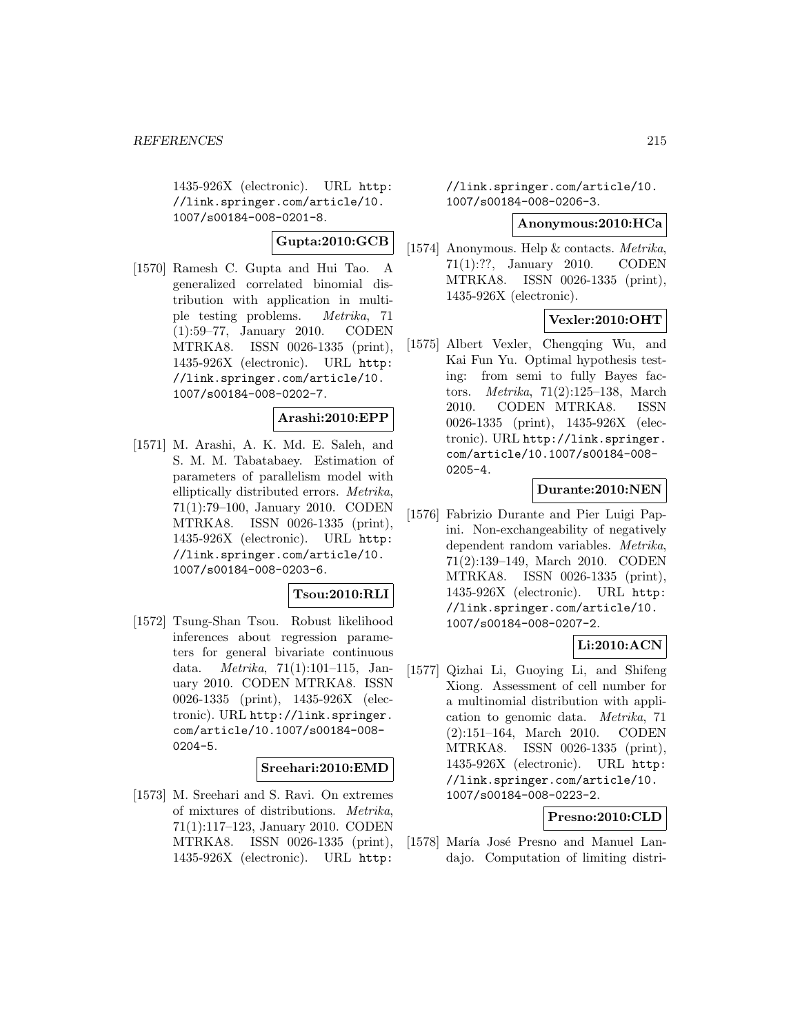1435-926X (electronic). URL http: //link.springer.com/article/10. 1007/s00184-008-0201-8.

# **Gupta:2010:GCB**

[1570] Ramesh C. Gupta and Hui Tao. A generalized correlated binomial distribution with application in multiple testing problems. Metrika, 71 (1):59–77, January 2010. CODEN MTRKA8. ISSN 0026-1335 (print), 1435-926X (electronic). URL http: //link.springer.com/article/10. 1007/s00184-008-0202-7.

# **Arashi:2010:EPP**

[1571] M. Arashi, A. K. Md. E. Saleh, and S. M. M. Tabatabaey. Estimation of parameters of parallelism model with elliptically distributed errors. Metrika, 71(1):79–100, January 2010. CODEN MTRKA8. ISSN 0026-1335 (print), 1435-926X (electronic). URL http: //link.springer.com/article/10. 1007/s00184-008-0203-6.

## **Tsou:2010:RLI**

[1572] Tsung-Shan Tsou. Robust likelihood inferences about regression parameters for general bivariate continuous data. Metrika, 71(1):101–115, January 2010. CODEN MTRKA8. ISSN 0026-1335 (print), 1435-926X (electronic). URL http://link.springer. com/article/10.1007/s00184-008- 0204-5.

#### **Sreehari:2010:EMD**

[1573] M. Sreehari and S. Ravi. On extremes of mixtures of distributions. Metrika, 71(1):117–123, January 2010. CODEN MTRKA8. ISSN 0026-1335 (print), 1435-926X (electronic). URL http:

//link.springer.com/article/10. 1007/s00184-008-0206-3.

#### **Anonymous:2010:HCa**

[1574] Anonymous. Help & contacts. *Metrika*, 71(1):??, January 2010. CODEN MTRKA8. ISSN 0026-1335 (print), 1435-926X (electronic).

# **Vexler:2010:OHT**

[1575] Albert Vexler, Chengqing Wu, and Kai Fun Yu. Optimal hypothesis testing: from semi to fully Bayes factors. Metrika, 71(2):125–138, March 2010. CODEN MTRKA8. ISSN 0026-1335 (print), 1435-926X (electronic). URL http://link.springer. com/article/10.1007/s00184-008- 0205-4.

#### **Durante:2010:NEN**

[1576] Fabrizio Durante and Pier Luigi Papini. Non-exchangeability of negatively dependent random variables. Metrika, 71(2):139–149, March 2010. CODEN MTRKA8. ISSN 0026-1335 (print), 1435-926X (electronic). URL http: //link.springer.com/article/10. 1007/s00184-008-0207-2.

# **Li:2010:ACN**

[1577] Qizhai Li, Guoying Li, and Shifeng Xiong. Assessment of cell number for a multinomial distribution with application to genomic data. Metrika, 71 (2):151–164, March 2010. CODEN MTRKA8. ISSN 0026-1335 (print), 1435-926X (electronic). URL http: //link.springer.com/article/10. 1007/s00184-008-0223-2.

# **Presno:2010:CLD**

[1578] María José Presno and Manuel Landajo. Computation of limiting distri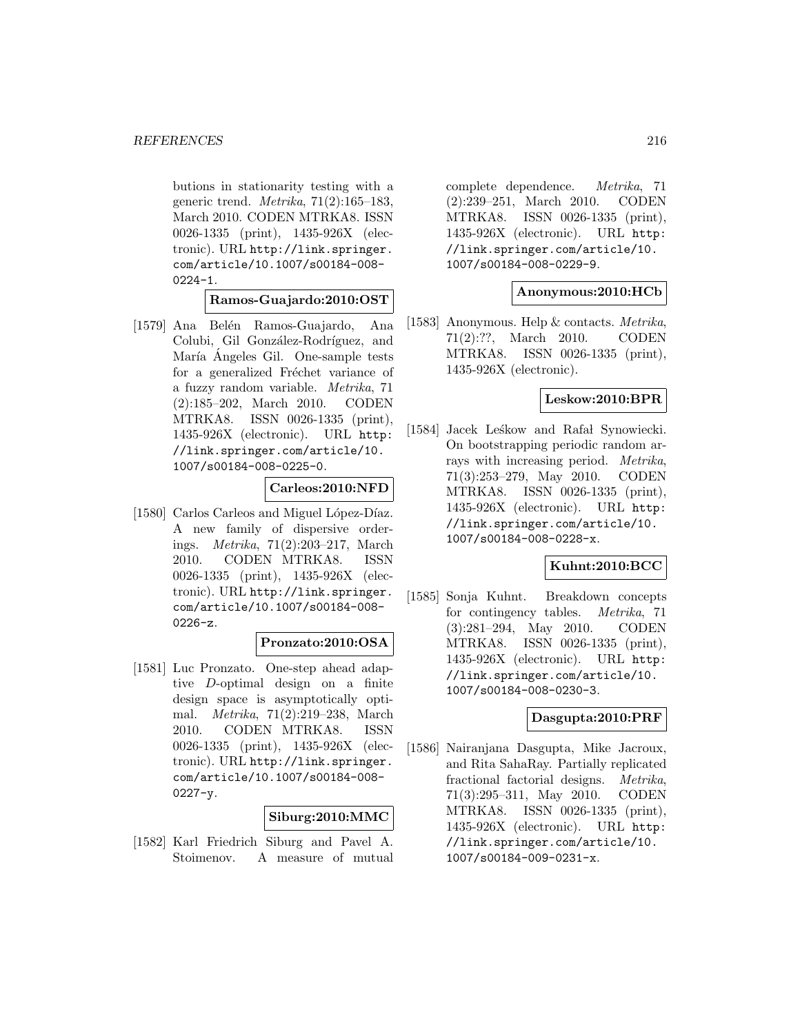butions in stationarity testing with a generic trend.  $Metrika$ ,  $71(2):165-183$ , March 2010. CODEN MTRKA8. ISSN 0026-1335 (print), 1435-926X (electronic). URL http://link.springer. com/article/10.1007/s00184-008-  $0224 - 1.$ 

**Ramos-Guajardo:2010:OST**

[1579] Ana Belén Ramos-Guajardo, Ana Colubi, Gil González-Rodríguez, and María Ángeles Gil. One-sample tests for a generalized Fréchet variance of a fuzzy random variable. Metrika, 71 (2):185–202, March 2010. CODEN MTRKA8. ISSN 0026-1335 (print), 1435-926X (electronic). URL http: //link.springer.com/article/10. 1007/s00184-008-0225-0.

## **Carleos:2010:NFD**

[1580] Carlos Carleos and Miguel López-Díaz. A new family of dispersive orderings. Metrika, 71(2):203–217, March 2010. CODEN MTRKA8. ISSN 0026-1335 (print), 1435-926X (electronic). URL http://link.springer. com/article/10.1007/s00184-008- 0226-z.

## **Pronzato:2010:OSA**

[1581] Luc Pronzato. One-step ahead adaptive D-optimal design on a finite design space is asymptotically optimal. Metrika, 71(2):219–238, March 2010. CODEN MTRKA8. ISSN 0026-1335 (print), 1435-926X (electronic). URL http://link.springer. com/article/10.1007/s00184-008-  $0227 - y.$ 

# **Siburg:2010:MMC**

[1582] Karl Friedrich Siburg and Pavel A. Stoimenov. A measure of mutual

complete dependence. Metrika, 71 (2):239–251, March 2010. CODEN MTRKA8. ISSN 0026-1335 (print), 1435-926X (electronic). URL http: //link.springer.com/article/10. 1007/s00184-008-0229-9.

## **Anonymous:2010:HCb**

[1583] Anonymous. Help & contacts. Metrika, 71(2):??, March 2010. CODEN MTRKA8. ISSN 0026-1335 (print), 1435-926X (electronic).

## **Leskow:2010:BPR**

[1584] Jacek Leśkow and Rafał Synowiecki. On bootstrapping periodic random arrays with increasing period. Metrika, 71(3):253–279, May 2010. CODEN MTRKA8. ISSN 0026-1335 (print), 1435-926X (electronic). URL http: //link.springer.com/article/10. 1007/s00184-008-0228-x.

## **Kuhnt:2010:BCC**

[1585] Sonja Kuhnt. Breakdown concepts for contingency tables. Metrika, 71 (3):281–294, May 2010. CODEN MTRKA8. ISSN 0026-1335 (print), 1435-926X (electronic). URL http: //link.springer.com/article/10. 1007/s00184-008-0230-3.

## **Dasgupta:2010:PRF**

[1586] Nairanjana Dasgupta, Mike Jacroux, and Rita SahaRay. Partially replicated fractional factorial designs. Metrika, 71(3):295–311, May 2010. CODEN MTRKA8. ISSN 0026-1335 (print), 1435-926X (electronic). URL http: //link.springer.com/article/10. 1007/s00184-009-0231-x.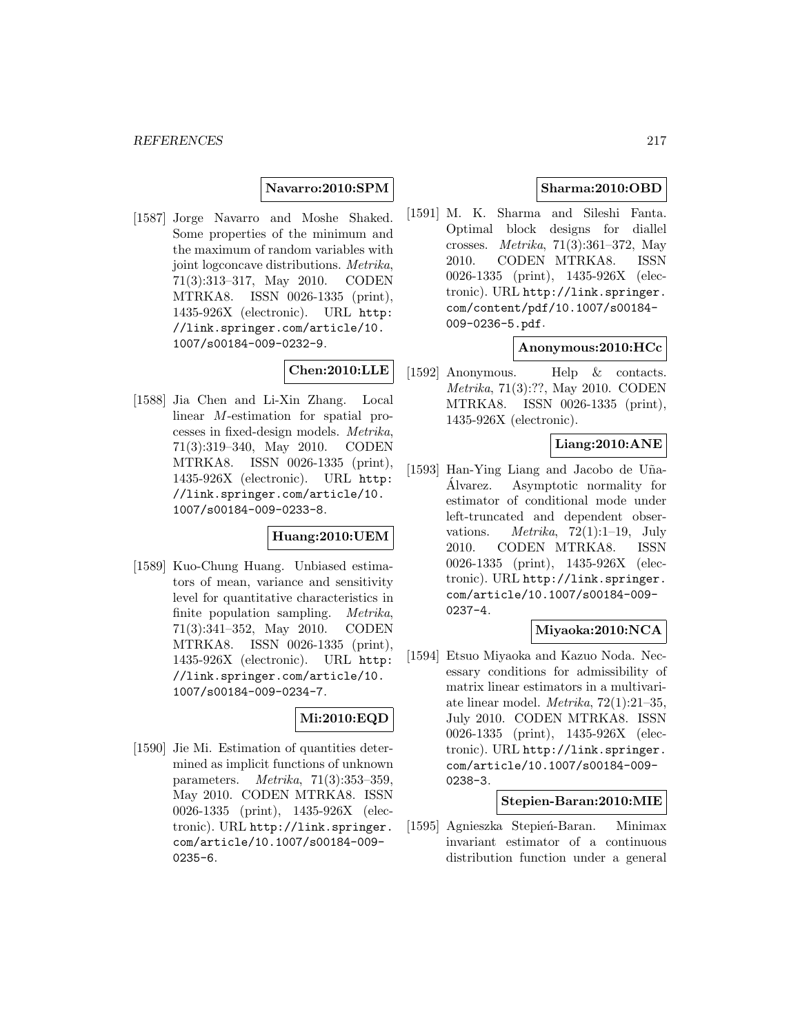### **Navarro:2010:SPM**

[1587] Jorge Navarro and Moshe Shaked. Some properties of the minimum and the maximum of random variables with joint logconcave distributions. Metrika, 71(3):313–317, May 2010. CODEN MTRKA8. ISSN 0026-1335 (print), 1435-926X (electronic). URL http: //link.springer.com/article/10. 1007/s00184-009-0232-9.

# **Chen:2010:LLE**

[1588] Jia Chen and Li-Xin Zhang. Local linear M-estimation for spatial processes in fixed-design models. Metrika, 71(3):319–340, May 2010. CODEN MTRKA8. ISSN 0026-1335 (print), 1435-926X (electronic). URL http: //link.springer.com/article/10. 1007/s00184-009-0233-8.

# **Huang:2010:UEM**

[1589] Kuo-Chung Huang. Unbiased estimators of mean, variance and sensitivity level for quantitative characteristics in finite population sampling. Metrika, 71(3):341–352, May 2010. CODEN MTRKA8. ISSN 0026-1335 (print), 1435-926X (electronic). URL http: //link.springer.com/article/10. 1007/s00184-009-0234-7.

# **Mi:2010:EQD**

[1590] Jie Mi. Estimation of quantities determined as implicit functions of unknown parameters.  $Metrika$ ,  $71(3):353-359$ , May 2010. CODEN MTRKA8. ISSN 0026-1335 (print), 1435-926X (electronic). URL http://link.springer. com/article/10.1007/s00184-009- 0235-6.

# **Sharma:2010:OBD**

[1591] M. K. Sharma and Sileshi Fanta. Optimal block designs for diallel crosses. Metrika, 71(3):361–372, May 2010. CODEN MTRKA8. ISSN 0026-1335 (print), 1435-926X (electronic). URL http://link.springer. com/content/pdf/10.1007/s00184- 009-0236-5.pdf.

### **Anonymous:2010:HCc**

[1592] Anonymous. Help & contacts. Metrika, 71(3):??, May 2010. CODEN MTRKA8. ISSN 0026-1335 (print), 1435-926X (electronic).

### **Liang:2010:ANE**

[1593] Han-Ying Liang and Jacobo de Uña-Alvarez. Asymptotic normality for ´ estimator of conditional mode under left-truncated and dependent observations. *Metrika*,  $72(1):1-19$ , July 2010. CODEN MTRKA8. ISSN 0026-1335 (print), 1435-926X (electronic). URL http://link.springer. com/article/10.1007/s00184-009- 0237-4.

## **Miyaoka:2010:NCA**

[1594] Etsuo Miyaoka and Kazuo Noda. Necessary conditions for admissibility of matrix linear estimators in a multivariate linear model. Metrika, 72(1):21–35, July 2010. CODEN MTRKA8. ISSN 0026-1335 (print), 1435-926X (electronic). URL http://link.springer. com/article/10.1007/s00184-009- 0238-3.

### **Stepien-Baran:2010:MIE**

[1595] Agnieszka Stepień-Baran. Minimax invariant estimator of a continuous distribution function under a general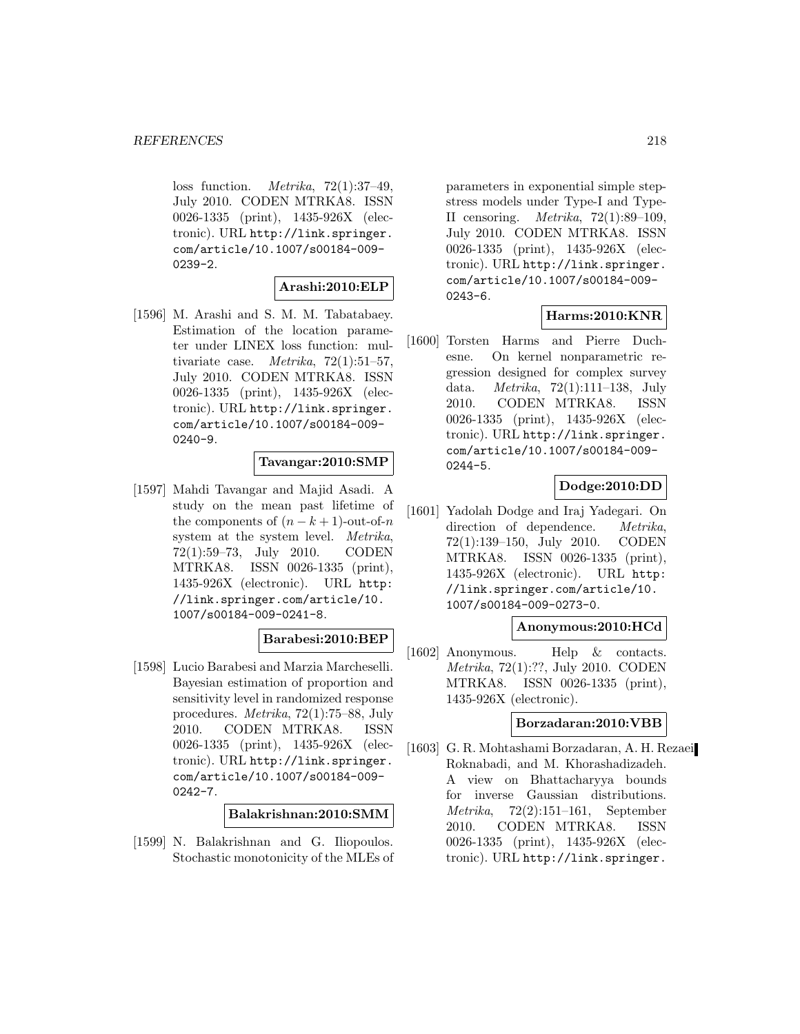loss function. *Metrika*,  $72(1):37-49$ , July 2010. CODEN MTRKA8. ISSN 0026-1335 (print), 1435-926X (electronic). URL http://link.springer. com/article/10.1007/s00184-009- 0239-2.

### **Arashi:2010:ELP**

[1596] M. Arashi and S. M. M. Tabatabaey. Estimation of the location parameter under LINEX loss function: multivariate case. *Metrika*,  $72(1):51-57$ , July 2010. CODEN MTRKA8. ISSN 0026-1335 (print), 1435-926X (electronic). URL http://link.springer. com/article/10.1007/s00184-009- 0240-9.

### **Tavangar:2010:SMP**

[1597] Mahdi Tavangar and Majid Asadi. A study on the mean past lifetime of the components of  $(n - k + 1)$ -out-of-n system at the system level. Metrika, 72(1):59–73, July 2010. CODEN MTRKA8. ISSN 0026-1335 (print), 1435-926X (electronic). URL http: //link.springer.com/article/10. 1007/s00184-009-0241-8.

## **Barabesi:2010:BEP**

[1598] Lucio Barabesi and Marzia Marcheselli. Bayesian estimation of proportion and sensitivity level in randomized response procedures. Metrika, 72(1):75–88, July 2010. CODEN MTRKA8. ISSN 0026-1335 (print), 1435-926X (electronic). URL http://link.springer. com/article/10.1007/s00184-009- 0242-7.

#### **Balakrishnan:2010:SMM**

[1599] N. Balakrishnan and G. Iliopoulos. Stochastic monotonicity of the MLEs of

parameters in exponential simple stepstress models under Type-I and Type-II censoring. Metrika, 72(1):89–109, July 2010. CODEN MTRKA8. ISSN 0026-1335 (print), 1435-926X (electronic). URL http://link.springer. com/article/10.1007/s00184-009- 0243-6.

## **Harms:2010:KNR**

[1600] Torsten Harms and Pierre Duchesne. On kernel nonparametric regression designed for complex survey data. Metrika, 72(1):111–138, July 2010. CODEN MTRKA8. ISSN 0026-1335 (print), 1435-926X (electronic). URL http://link.springer. com/article/10.1007/s00184-009- 0244-5.

## **Dodge:2010:DD**

[1601] Yadolah Dodge and Iraj Yadegari. On direction of dependence. *Metrika*, 72(1):139–150, July 2010. CODEN MTRKA8. ISSN 0026-1335 (print), 1435-926X (electronic). URL http: //link.springer.com/article/10. 1007/s00184-009-0273-0.

## **Anonymous:2010:HCd**

[1602] Anonymous. Help & contacts. Metrika, 72(1):??, July 2010. CODEN MTRKA8. ISSN 0026-1335 (print), 1435-926X (electronic).

#### **Borzadaran:2010:VBB**

[1603] G. R. Mohtashami Borzadaran, A. H. Rezaei Roknabadi, and M. Khorashadizadeh. A view on Bhattacharyya bounds for inverse Gaussian distributions. Metrika, 72(2):151–161, September 2010. CODEN MTRKA8. ISSN 0026-1335 (print), 1435-926X (electronic). URL http://link.springer.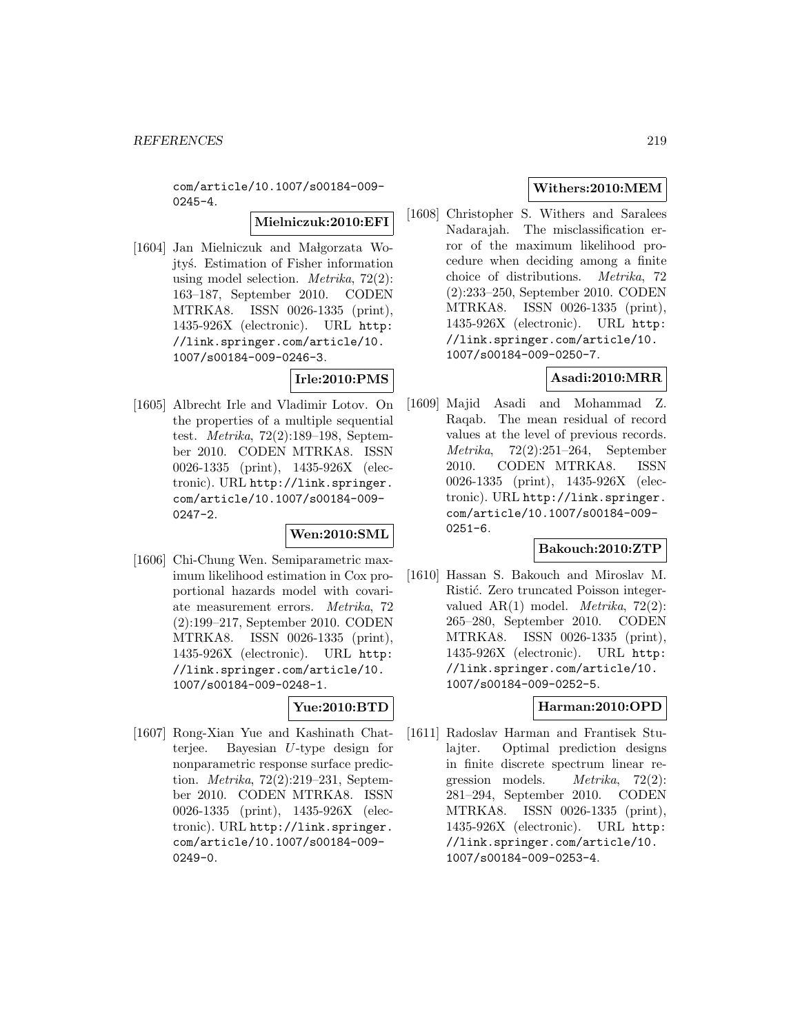com/article/10.1007/s00184-009-  $0245 - 4.$ 

**Mielniczuk:2010:EFI**

[1604] Jan Mielniczuk and Małgorzata Wojtyś. Estimation of Fisher information using model selection. *Metrika*,  $72(2)$ : 163–187, September 2010. CODEN MTRKA8. ISSN 0026-1335 (print), 1435-926X (electronic). URL http: //link.springer.com/article/10. 1007/s00184-009-0246-3.

# **Irle:2010:PMS**

[1605] Albrecht Irle and Vladimir Lotov. On the properties of a multiple sequential test. Metrika, 72(2):189–198, September 2010. CODEN MTRKA8. ISSN 0026-1335 (print), 1435-926X (electronic). URL http://link.springer. com/article/10.1007/s00184-009- 0247-2.

### **Wen:2010:SML**

[1606] Chi-Chung Wen. Semiparametric maximum likelihood estimation in Cox proportional hazards model with covariate measurement errors. Metrika, 72 (2):199–217, September 2010. CODEN MTRKA8. ISSN 0026-1335 (print), 1435-926X (electronic). URL http: //link.springer.com/article/10. 1007/s00184-009-0248-1.

# **Yue:2010:BTD**

[1607] Rong-Xian Yue and Kashinath Chatterjee. Bayesian U-type design for nonparametric response surface prediction. Metrika, 72(2):219–231, September 2010. CODEN MTRKA8. ISSN 0026-1335 (print), 1435-926X (electronic). URL http://link.springer. com/article/10.1007/s00184-009- 0249-0.

# **Withers:2010:MEM**

[1608] Christopher S. Withers and Saralees Nadarajah. The misclassification error of the maximum likelihood procedure when deciding among a finite choice of distributions. Metrika, 72 (2):233–250, September 2010. CODEN MTRKA8. ISSN 0026-1335 (print), 1435-926X (electronic). URL http: //link.springer.com/article/10. 1007/s00184-009-0250-7.

## **Asadi:2010:MRR**

[1609] Majid Asadi and Mohammad Z. Raqab. The mean residual of record values at the level of previous records. Metrika, 72(2):251–264, September 2010. CODEN MTRKA8. ISSN 0026-1335 (print), 1435-926X (electronic). URL http://link.springer. com/article/10.1007/s00184-009-  $0251 - 6$ .

### **Bakouch:2010:ZTP**

[1610] Hassan S. Bakouch and Miroslav M. Ristić. Zero truncated Poisson integervalued  $AR(1)$  model. *Metrika*, 72(2): 265–280, September 2010. CODEN MTRKA8. ISSN 0026-1335 (print), 1435-926X (electronic). URL http: //link.springer.com/article/10. 1007/s00184-009-0252-5.

# **Harman:2010:OPD**

[1611] Radoslav Harman and Frantisek Stulajter. Optimal prediction designs in finite discrete spectrum linear regression models. Metrika, 72(2): 281–294, September 2010. CODEN MTRKA8. ISSN 0026-1335 (print), 1435-926X (electronic). URL http: //link.springer.com/article/10. 1007/s00184-009-0253-4.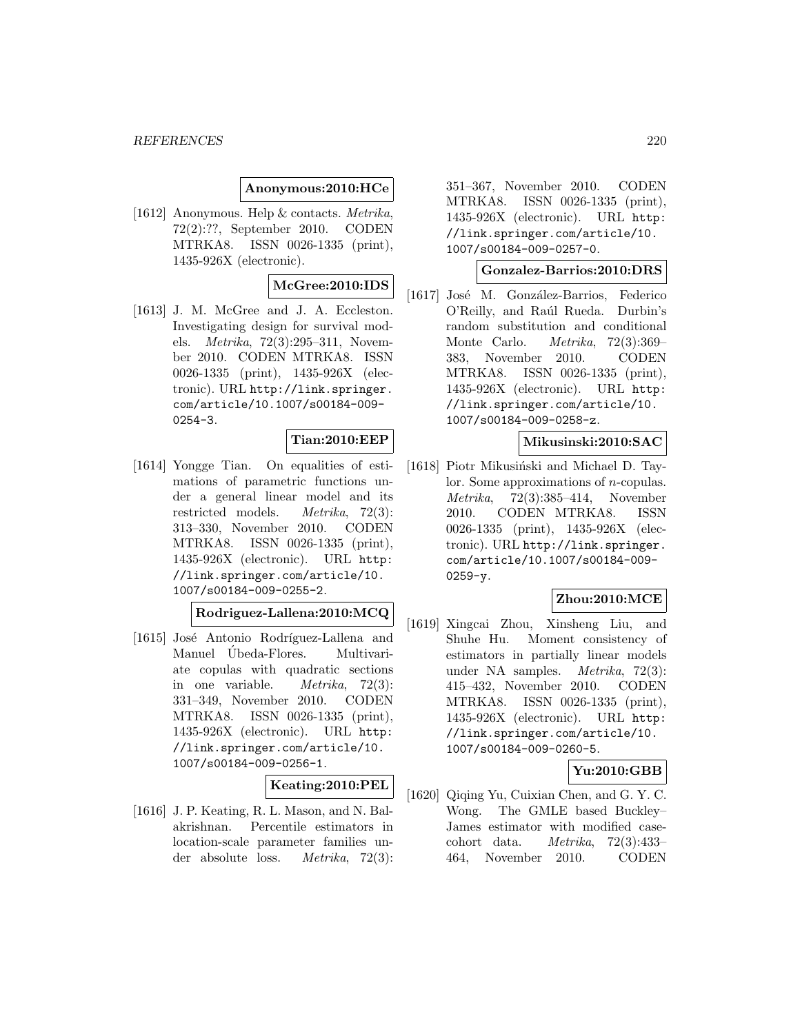### **Anonymous:2010:HCe**

[1612] Anonymous. Help & contacts. Metrika, 72(2):??, September 2010. CODEN MTRKA8. ISSN 0026-1335 (print), 1435-926X (electronic).

# **McGree:2010:IDS**

[1613] J. M. McGree and J. A. Eccleston. Investigating design for survival models. Metrika, 72(3):295–311, November 2010. CODEN MTRKA8. ISSN 0026-1335 (print), 1435-926X (electronic). URL http://link.springer. com/article/10.1007/s00184-009- 0254-3.

#### **Tian:2010:EEP**

[1614] Yongge Tian. On equalities of estimations of parametric functions under a general linear model and its restricted models. Metrika, 72(3): 313–330, November 2010. CODEN MTRKA8. ISSN 0026-1335 (print), 1435-926X (electronic). URL http: //link.springer.com/article/10. 1007/s00184-009-0255-2.

#### **Rodriguez-Lallena:2010:MCQ**

[1615] José Antonio Rodríguez-Lallena and Manuel Ubeda-Flores. Multivariate copulas with quadratic sections in one variable. Metrika, 72(3): 331–349, November 2010. CODEN MTRKA8. ISSN 0026-1335 (print), 1435-926X (electronic). URL http: //link.springer.com/article/10. 1007/s00184-009-0256-1.

# **Keating:2010:PEL**

[1616] J. P. Keating, R. L. Mason, and N. Balakrishnan. Percentile estimators in location-scale parameter families under absolute loss. Metrika, 72(3):

351–367, November 2010. CODEN MTRKA8. ISSN 0026-1335 (print), 1435-926X (electronic). URL http: //link.springer.com/article/10. 1007/s00184-009-0257-0.

### **Gonzalez-Barrios:2010:DRS**

[1617] José M. González-Barrios, Federico O'Reilly, and Raúl Rueda. Durbin's random substitution and conditional Monte Carlo. Metrika, 72(3):369– 383, November 2010. CODEN MTRKA8. ISSN 0026-1335 (print), 1435-926X (electronic). URL http: //link.springer.com/article/10. 1007/s00184-009-0258-z.

### **Mikusinski:2010:SAC**

[1618] Piotr Mikusiński and Michael D. Taylor. Some approximations of n-copulas. Metrika, 72(3):385–414, November 2010. CODEN MTRKA8. ISSN 0026-1335 (print), 1435-926X (electronic). URL http://link.springer. com/article/10.1007/s00184-009-  $0259 - y.$ 

#### **Zhou:2010:MCE**

[1619] Xingcai Zhou, Xinsheng Liu, and Shuhe Hu. Moment consistency of estimators in partially linear models under NA samples. Metrika, 72(3): 415–432, November 2010. CODEN MTRKA8. ISSN 0026-1335 (print), 1435-926X (electronic). URL http: //link.springer.com/article/10. 1007/s00184-009-0260-5.

### **Yu:2010:GBB**

[1620] Qiqing Yu, Cuixian Chen, and G. Y. C. Wong. The GMLE based Buckley– James estimator with modified casecohort data. Metrika, 72(3):433– 464, November 2010. CODEN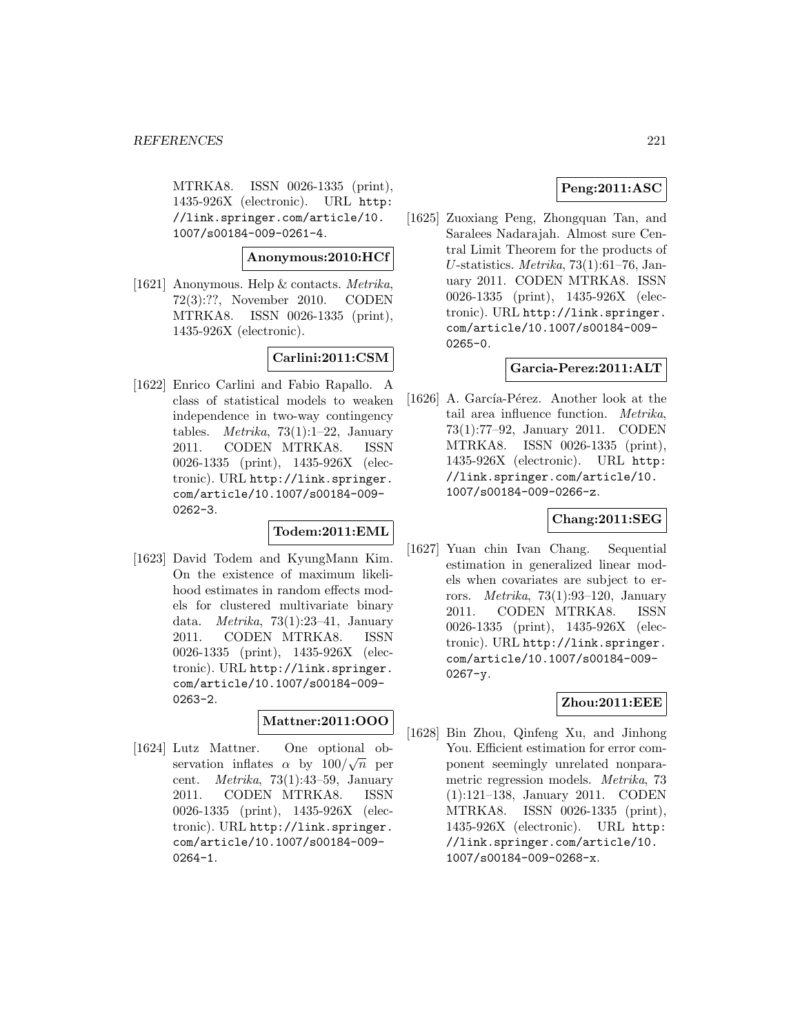MTRKA8. ISSN 0026-1335 (print), 1435-926X (electronic). URL http: //link.springer.com/article/10. 1007/s00184-009-0261-4.

**Anonymous:2010:HCf**

[1621] Anonymous. Help & contacts. Metrika, 72(3):??, November 2010. CODEN MTRKA8. ISSN 0026-1335 (print), 1435-926X (electronic).

**Carlini:2011:CSM**

[1622] Enrico Carlini and Fabio Rapallo. A class of statistical models to weaken independence in two-way contingency tables. *Metrika*,  $73(1):1-22$ , January 2011. CODEN MTRKA8. ISSN 0026-1335 (print), 1435-926X (electronic). URL http://link.springer. com/article/10.1007/s00184-009- 0262-3.

# **Todem:2011:EML**

[1623] David Todem and KyungMann Kim. On the existence of maximum likelihood estimates in random effects models for clustered multivariate binary data. Metrika, 73(1):23–41, January 2011. CODEN MTRKA8. ISSN 0026-1335 (print), 1435-926X (electronic). URL http://link.springer. com/article/10.1007/s00184-009- 0263-2.

# **Mattner:2011:OOO**

[1624] Lutz Mattner. One optional ob-Lutz Matther. One optional ob-<br>servation inflates  $\alpha$  by  $100/\sqrt{n}$  per cent. Metrika, 73(1):43–59, January 2011. CODEN MTRKA8. ISSN 0026-1335 (print), 1435-926X (electronic). URL http://link.springer. com/article/10.1007/s00184-009- 0264-1.

## **Peng:2011:ASC**

[1625] Zuoxiang Peng, Zhongquan Tan, and Saralees Nadarajah. Almost sure Central Limit Theorem for the products of U-statistics. Metrika, 73(1):61–76, January 2011. CODEN MTRKA8. ISSN 0026-1335 (print), 1435-926X (electronic). URL http://link.springer. com/article/10.1007/s00184-009- 0265-0.

### **Garcia-Perez:2011:ALT**

[1626] A. García-Pérez. Another look at the tail area influence function. Metrika, 73(1):77–92, January 2011. CODEN MTRKA8. ISSN 0026-1335 (print), 1435-926X (electronic). URL http: //link.springer.com/article/10. 1007/s00184-009-0266-z.

### **Chang:2011:SEG**

[1627] Yuan chin Ivan Chang. Sequential estimation in generalized linear models when covariates are subject to errors. Metrika, 73(1):93–120, January 2011. CODEN MTRKA8. ISSN 0026-1335 (print), 1435-926X (electronic). URL http://link.springer. com/article/10.1007/s00184-009-  $0267 - y$ .

### **Zhou:2011:EEE**

[1628] Bin Zhou, Qinfeng Xu, and Jinhong You. Efficient estimation for error component seemingly unrelated nonparametric regression models. Metrika, 73 (1):121–138, January 2011. CODEN MTRKA8. ISSN 0026-1335 (print), 1435-926X (electronic). URL http: //link.springer.com/article/10. 1007/s00184-009-0268-x.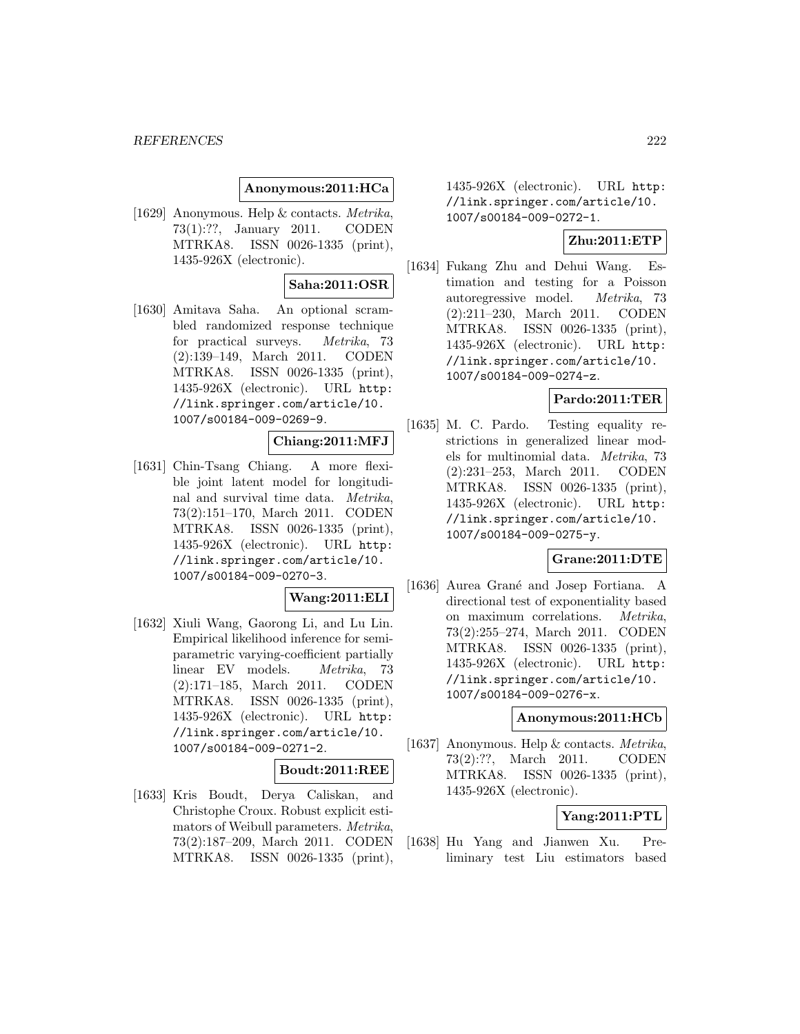### **Anonymous:2011:HCa**

[1629] Anonymous. Help & contacts. Metrika, 73(1):??, January 2011. CODEN MTRKA8. ISSN 0026-1335 (print), 1435-926X (electronic).

## **Saha:2011:OSR**

[1630] Amitava Saha. An optional scrambled randomized response technique for practical surveys. Metrika, 73 (2):139–149, March 2011. CODEN MTRKA8. ISSN 0026-1335 (print), 1435-926X (electronic). URL http: //link.springer.com/article/10. 1007/s00184-009-0269-9.

### **Chiang:2011:MFJ**

[1631] Chin-Tsang Chiang. A more flexible joint latent model for longitudinal and survival time data. Metrika, 73(2):151–170, March 2011. CODEN MTRKA8. ISSN 0026-1335 (print), 1435-926X (electronic). URL http: //link.springer.com/article/10. 1007/s00184-009-0270-3.

#### **Wang:2011:ELI**

[1632] Xiuli Wang, Gaorong Li, and Lu Lin. Empirical likelihood inference for semiparametric varying-coefficient partially linear EV models. Metrika, 73 (2):171–185, March 2011. CODEN MTRKA8. ISSN 0026-1335 (print), 1435-926X (electronic). URL http: //link.springer.com/article/10. 1007/s00184-009-0271-2.

### **Boudt:2011:REE**

[1633] Kris Boudt, Derya Caliskan, and Christophe Croux. Robust explicit estimators of Weibull parameters. Metrika, 73(2):187–209, March 2011. CODEN MTRKA8. ISSN 0026-1335 (print), 1435-926X (electronic). URL http: //link.springer.com/article/10. 1007/s00184-009-0272-1.

## **Zhu:2011:ETP**

[1634] Fukang Zhu and Dehui Wang. Estimation and testing for a Poisson autoregressive model. Metrika, 73 (2):211–230, March 2011. CODEN MTRKA8. ISSN 0026-1335 (print), 1435-926X (electronic). URL http: //link.springer.com/article/10. 1007/s00184-009-0274-z.

## **Pardo:2011:TER**

[1635] M. C. Pardo. Testing equality restrictions in generalized linear models for multinomial data. Metrika, 73 (2):231–253, March 2011. CODEN MTRKA8. ISSN 0026-1335 (print), 1435-926X (electronic). URL http: //link.springer.com/article/10. 1007/s00184-009-0275-y.

## **Grane:2011:DTE**

[1636] Aurea Grané and Josep Fortiana. A directional test of exponentiality based on maximum correlations. Metrika, 73(2):255–274, March 2011. CODEN MTRKA8. ISSN 0026-1335 (print), 1435-926X (electronic). URL http: //link.springer.com/article/10. 1007/s00184-009-0276-x.

### **Anonymous:2011:HCb**

[1637] Anonymous. Help & contacts. Metrika, 73(2):??, March 2011. CODEN MTRKA8. ISSN 0026-1335 (print), 1435-926X (electronic).

### **Yang:2011:PTL**

[1638] Hu Yang and Jianwen Xu. Preliminary test Liu estimators based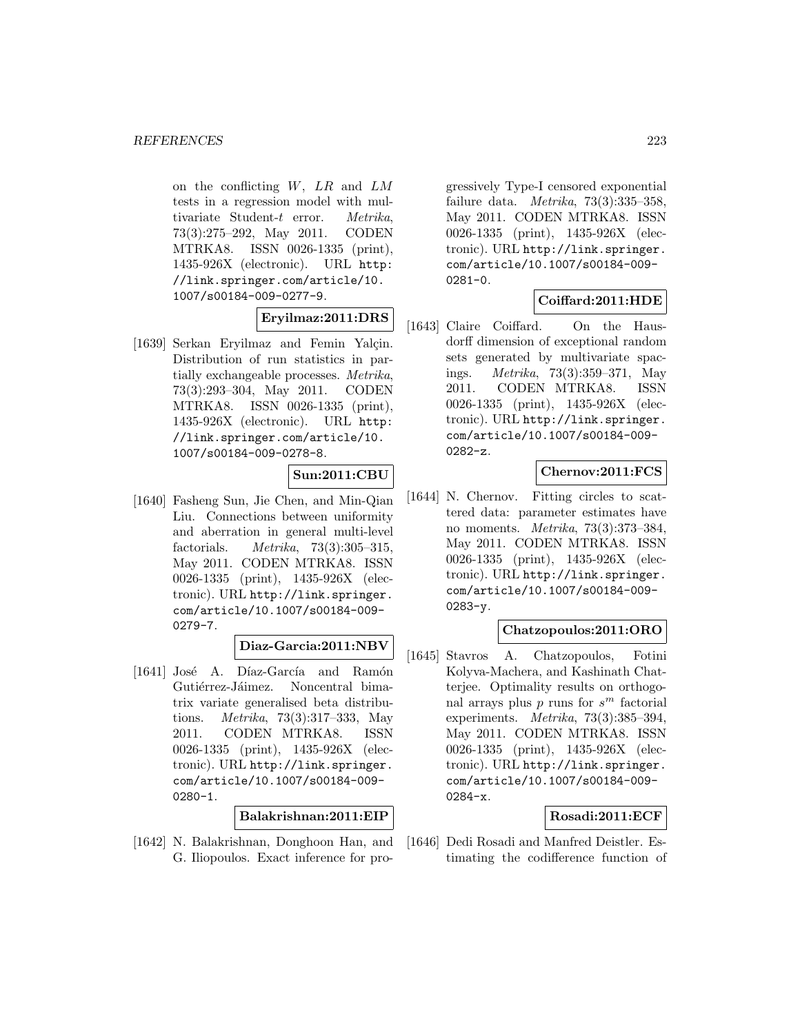on the conflicting  $W$ ,  $LR$  and  $LM$ tests in a regression model with multivariate Student-t error. Metrika, 73(3):275–292, May 2011. CODEN MTRKA8. ISSN 0026-1335 (print), 1435-926X (electronic). URL http: //link.springer.com/article/10. 1007/s00184-009-0277-9.

### **Eryilmaz:2011:DRS**

[1639] Serkan Eryilmaz and Femin Yalçin. Distribution of run statistics in partially exchangeable processes. Metrika, 73(3):293–304, May 2011. CODEN MTRKA8. ISSN 0026-1335 (print), 1435-926X (electronic). URL http: //link.springer.com/article/10. 1007/s00184-009-0278-8.

## **Sun:2011:CBU**

[1640] Fasheng Sun, Jie Chen, and Min-Qian Liu. Connections between uniformity and aberration in general multi-level factorials. Metrika,  $73(3):305-315$ , May 2011. CODEN MTRKA8. ISSN 0026-1335 (print), 1435-926X (electronic). URL http://link.springer. com/article/10.1007/s00184-009- 0279-7.

# **Diaz-Garcia:2011:NBV**

[1641] José A. Díaz-García and Ramón Gutiérrez-Jáimez. Noncentral bimatrix variate generalised beta distributions. Metrika, 73(3):317–333, May 2011. CODEN MTRKA8. ISSN 0026-1335 (print), 1435-926X (electronic). URL http://link.springer. com/article/10.1007/s00184-009- 0280-1.

### **Balakrishnan:2011:EIP**

[1642] N. Balakrishnan, Donghoon Han, and G. Iliopoulos. Exact inference for pro-

gressively Type-I censored exponential failure data. Metrika, 73(3):335–358, May 2011. CODEN MTRKA8. ISSN 0026-1335 (print), 1435-926X (electronic). URL http://link.springer. com/article/10.1007/s00184-009-  $0281 - 0.$ 

## **Coiffard:2011:HDE**

[1643] Claire Coiffard. On the Hausdorff dimension of exceptional random sets generated by multivariate spacings. Metrika, 73(3):359–371, May 2011. CODEN MTRKA8. ISSN 0026-1335 (print), 1435-926X (electronic). URL http://link.springer. com/article/10.1007/s00184-009- 0282-z.

## **Chernov:2011:FCS**

[1644] N. Chernov. Fitting circles to scattered data: parameter estimates have no moments. Metrika, 73(3):373–384, May 2011. CODEN MTRKA8. ISSN 0026-1335 (print), 1435-926X (electronic). URL http://link.springer. com/article/10.1007/s00184-009- 0283-y.

## **Chatzopoulos:2011:ORO**

[1645] Stavros A. Chatzopoulos, Fotini Kolyva-Machera, and Kashinath Chatterjee. Optimality results on orthogonal arrays plus  $p$  runs for  $s^m$  factorial experiments. Metrika, 73(3):385–394, May 2011. CODEN MTRKA8. ISSN 0026-1335 (print), 1435-926X (electronic). URL http://link.springer. com/article/10.1007/s00184-009- 0284-x.

### **Rosadi:2011:ECF**

[1646] Dedi Rosadi and Manfred Deistler. Estimating the codifference function of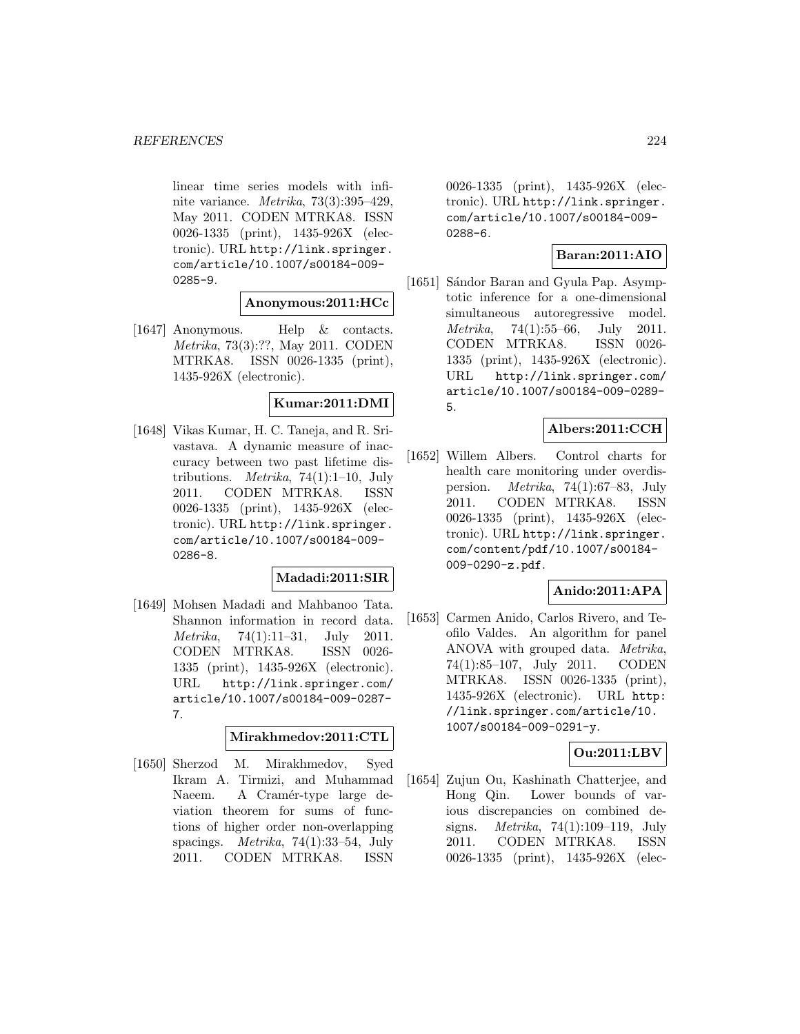linear time series models with infinite variance. Metrika, 73(3):395–429, May 2011. CODEN MTRKA8. ISSN 0026-1335 (print), 1435-926X (electronic). URL http://link.springer. com/article/10.1007/s00184-009- 0285-9.

# **Anonymous:2011:HCc**

[1647] Anonymous. Help & contacts. Metrika, 73(3):??, May 2011. CODEN MTRKA8. ISSN 0026-1335 (print), 1435-926X (electronic).

## **Kumar:2011:DMI**

[1648] Vikas Kumar, H. C. Taneja, and R. Srivastava. A dynamic measure of inaccuracy between two past lifetime distributions. *Metrika*, 74(1):1–10, July 2011. CODEN MTRKA8. ISSN 0026-1335 (print), 1435-926X (electronic). URL http://link.springer. com/article/10.1007/s00184-009- 0286-8.

### **Madadi:2011:SIR**

[1649] Mohsen Madadi and Mahbanoo Tata. Shannon information in record data. *Metrika*, 74(1):11–31, July 2011. CODEN MTRKA8. ISSN 0026- 1335 (print), 1435-926X (electronic). URL http://link.springer.com/ article/10.1007/s00184-009-0287- 7.

#### **Mirakhmedov:2011:CTL**

[1650] Sherzod M. Mirakhmedov, Syed Ikram A. Tirmizi, and Muhammad Naeem. A Cramér-type large deviation theorem for sums of functions of higher order non-overlapping spacings. Metrika, 74(1):33–54, July 2011. CODEN MTRKA8. ISSN

0026-1335 (print), 1435-926X (electronic). URL http://link.springer. com/article/10.1007/s00184-009- 0288-6.

### **Baran:2011:AIO**

[1651] Sándor Baran and Gyula Pap. Asymptotic inference for a one-dimensional simultaneous autoregressive model. Metrika, 74(1):55–66, July 2011. CODEN MTRKA8. ISSN 0026- 1335 (print), 1435-926X (electronic). URL http://link.springer.com/ article/10.1007/s00184-009-0289- 5.

### **Albers:2011:CCH**

[1652] Willem Albers. Control charts for health care monitoring under overdispersion. Metrika, 74(1):67–83, July 2011. CODEN MTRKA8. ISSN 0026-1335 (print), 1435-926X (electronic). URL http://link.springer. com/content/pdf/10.1007/s00184- 009-0290-z.pdf.

### **Anido:2011:APA**

[1653] Carmen Anido, Carlos Rivero, and Teofilo Valdes. An algorithm for panel ANOVA with grouped data. Metrika, 74(1):85–107, July 2011. CODEN MTRKA8. ISSN 0026-1335 (print), 1435-926X (electronic). URL http: //link.springer.com/article/10. 1007/s00184-009-0291-y.

# **Ou:2011:LBV**

[1654] Zujun Ou, Kashinath Chatterjee, and Hong Qin. Lower bounds of various discrepancies on combined designs. Metrika, 74(1):109–119, July 2011. CODEN MTRKA8. ISSN 0026-1335 (print), 1435-926X (elec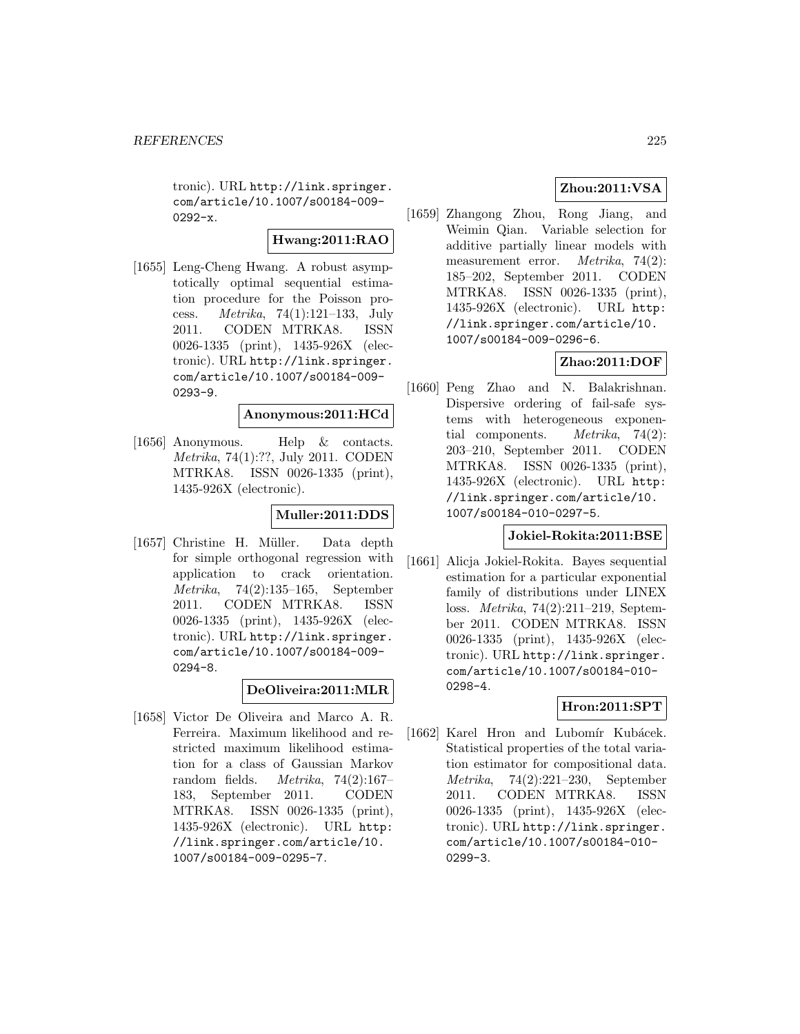tronic). URL http://link.springer. com/article/10.1007/s00184-009-  $0292-x.$ 

**Hwang:2011:RAO**

[1655] Leng-Cheng Hwang. A robust asymptotically optimal sequential estimation procedure for the Poisson process. Metrika, 74(1):121–133, July 2011. CODEN MTRKA8. ISSN 0026-1335 (print), 1435-926X (electronic). URL http://link.springer. com/article/10.1007/s00184-009- 0293-9.

## **Anonymous:2011:HCd**

[1656] Anonymous. Help & contacts. Metrika, 74(1):??, July 2011. CODEN MTRKA8. ISSN 0026-1335 (print), 1435-926X (electronic).

## **Muller:2011:DDS**

[1657] Christine H. Müller. Data depth for simple orthogonal regression with application to crack orientation. Metrika, 74(2):135–165, September 2011. CODEN MTRKA8. ISSN 0026-1335 (print), 1435-926X (electronic). URL http://link.springer. com/article/10.1007/s00184-009- 0294-8.

# **DeOliveira:2011:MLR**

[1658] Victor De Oliveira and Marco A. R. Ferreira. Maximum likelihood and restricted maximum likelihood estimation for a class of Gaussian Markov random fields.  $Metrika$ , 74(2):167– 183, September 2011. CODEN MTRKA8. ISSN 0026-1335 (print), 1435-926X (electronic). URL http: //link.springer.com/article/10. 1007/s00184-009-0295-7.

# **Zhou:2011:VSA**

[1659] Zhangong Zhou, Rong Jiang, and Weimin Qian. Variable selection for additive partially linear models with measurement error. Metrika, 74(2): 185–202, September 2011. CODEN MTRKA8. ISSN 0026-1335 (print), 1435-926X (electronic). URL http: //link.springer.com/article/10. 1007/s00184-009-0296-6.

# **Zhao:2011:DOF**

[1660] Peng Zhao and N. Balakrishnan. Dispersive ordering of fail-safe systems with heterogeneous exponential components. Metrika, 74(2): 203–210, September 2011. CODEN MTRKA8. ISSN 0026-1335 (print), 1435-926X (electronic). URL http: //link.springer.com/article/10. 1007/s00184-010-0297-5.

### **Jokiel-Rokita:2011:BSE**

[1661] Alicja Jokiel-Rokita. Bayes sequential estimation for a particular exponential family of distributions under LINEX loss. Metrika, 74(2):211–219, September 2011. CODEN MTRKA8. ISSN 0026-1335 (print), 1435-926X (electronic). URL http://link.springer. com/article/10.1007/s00184-010- 0298-4.

### **Hron:2011:SPT**

[1662] Karel Hron and Lubomír Kubácek. Statistical properties of the total variation estimator for compositional data. Metrika, 74(2):221–230, September 2011. CODEN MTRKA8. ISSN 0026-1335 (print), 1435-926X (electronic). URL http://link.springer. com/article/10.1007/s00184-010- 0299-3.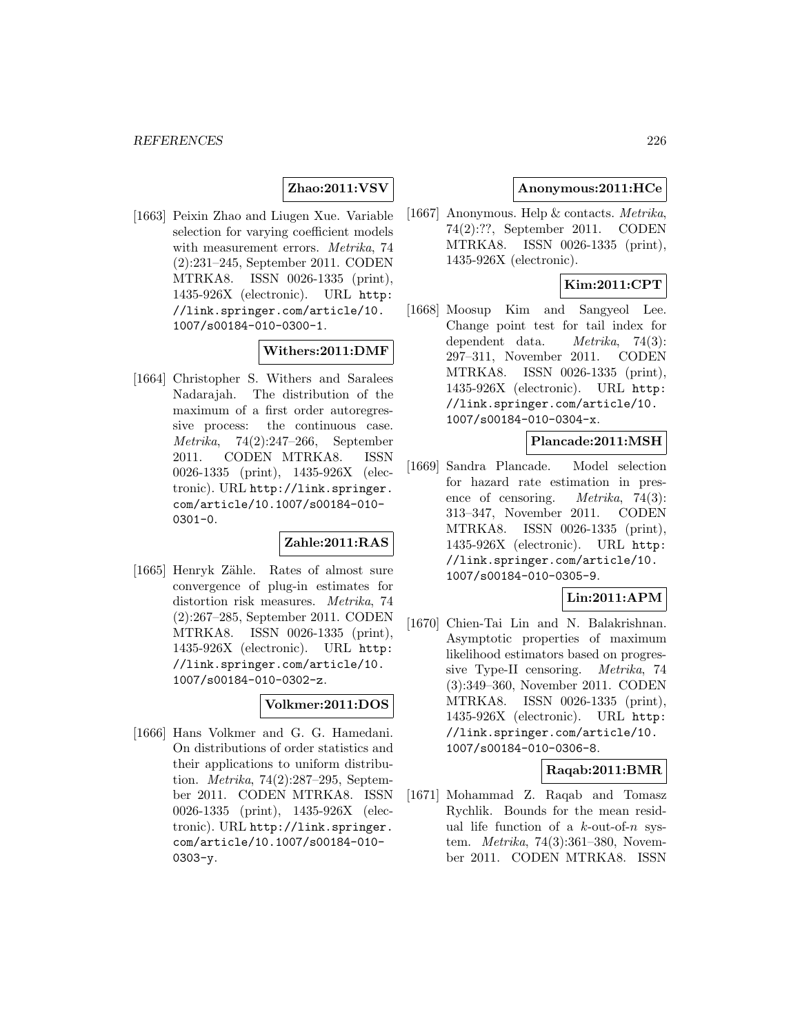## **Zhao:2011:VSV**

[1663] Peixin Zhao and Liugen Xue. Variable selection for varying coefficient models with measurement errors. *Metrika*, 74 (2):231–245, September 2011. CODEN MTRKA8. ISSN 0026-1335 (print), 1435-926X (electronic). URL http: //link.springer.com/article/10. 1007/s00184-010-0300-1.

### **Withers:2011:DMF**

[1664] Christopher S. Withers and Saralees Nadarajah. The distribution of the maximum of a first order autoregressive process: the continuous case. Metrika, 74(2):247–266, September 2011. CODEN MTRKA8. ISSN 0026-1335 (print), 1435-926X (electronic). URL http://link.springer. com/article/10.1007/s00184-010- 0301-0.

## **Zahle:2011:RAS**

[1665] Henryk Zähle. Rates of almost sure convergence of plug-in estimates for distortion risk measures. Metrika, 74 (2):267–285, September 2011. CODEN MTRKA8. ISSN 0026-1335 (print), 1435-926X (electronic). URL http: //link.springer.com/article/10. 1007/s00184-010-0302-z.

# **Volkmer:2011:DOS**

[1666] Hans Volkmer and G. G. Hamedani. On distributions of order statistics and their applications to uniform distribution. Metrika, 74(2):287–295, September 2011. CODEN MTRKA8. ISSN 0026-1335 (print), 1435-926X (electronic). URL http://link.springer. com/article/10.1007/s00184-010- 0303-y.

### **Anonymous:2011:HCe**

[1667] Anonymous. Help & contacts. Metrika, 74(2):??, September 2011. CODEN MTRKA8. ISSN 0026-1335 (print), 1435-926X (electronic).

# **Kim:2011:CPT**

[1668] Moosup Kim and Sangyeol Lee. Change point test for tail index for dependent data. Metrika, 74(3): 297–311, November 2011. CODEN MTRKA8. ISSN 0026-1335 (print), 1435-926X (electronic). URL http: //link.springer.com/article/10. 1007/s00184-010-0304-x.

### **Plancade:2011:MSH**

[1669] Sandra Plancade. Model selection for hazard rate estimation in presence of censoring. Metrika, 74(3): 313–347, November 2011. CODEN MTRKA8. ISSN 0026-1335 (print), 1435-926X (electronic). URL http: //link.springer.com/article/10. 1007/s00184-010-0305-9.

# **Lin:2011:APM**

[1670] Chien-Tai Lin and N. Balakrishnan. Asymptotic properties of maximum likelihood estimators based on progressive Type-II censoring. Metrika, 74 (3):349–360, November 2011. CODEN MTRKA8. ISSN 0026-1335 (print), 1435-926X (electronic). URL http: //link.springer.com/article/10. 1007/s00184-010-0306-8.

### **Raqab:2011:BMR**

[1671] Mohammad Z. Raqab and Tomasz Rychlik. Bounds for the mean residual life function of a  $k$ -out-of- $n$  system. Metrika, 74(3):361–380, November 2011. CODEN MTRKA8. ISSN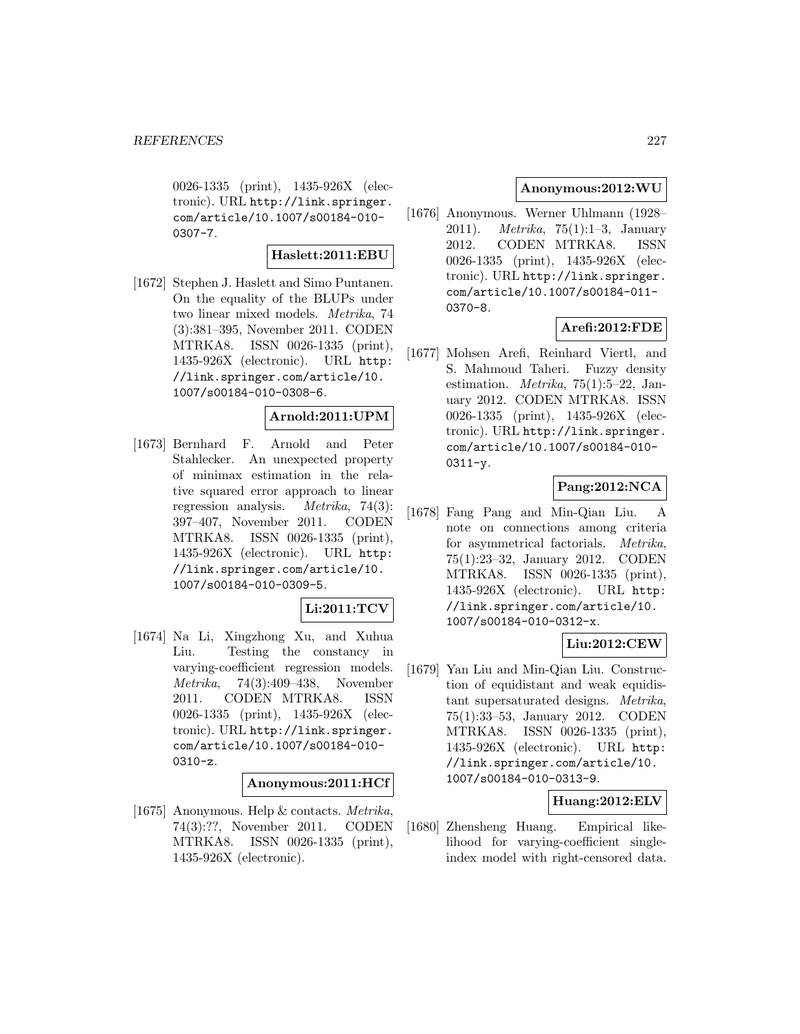0026-1335 (print), 1435-926X (electronic). URL http://link.springer. com/article/10.1007/s00184-010- 0307-7.

### **Haslett:2011:EBU**

[1672] Stephen J. Haslett and Simo Puntanen. On the equality of the BLUPs under two linear mixed models. Metrika, 74 (3):381–395, November 2011. CODEN MTRKA8. ISSN 0026-1335 (print), 1435-926X (electronic). URL http: //link.springer.com/article/10. 1007/s00184-010-0308-6.

### **Arnold:2011:UPM**

[1673] Bernhard F. Arnold and Peter Stahlecker. An unexpected property of minimax estimation in the relative squared error approach to linear regression analysis. Metrika, 74(3): 397–407, November 2011. CODEN MTRKA8. ISSN 0026-1335 (print), 1435-926X (electronic). URL http: //link.springer.com/article/10. 1007/s00184-010-0309-5.

### **Li:2011:TCV**

[1674] Na Li, Xingzhong Xu, and Xuhua Liu. Testing the constancy in varying-coefficient regression models. Metrika, 74(3):409–438, November 2011. CODEN MTRKA8. ISSN 0026-1335 (print), 1435-926X (electronic). URL http://link.springer. com/article/10.1007/s00184-010- 0310-z.

#### **Anonymous:2011:HCf**

[1675] Anonymous. Help & contacts. Metrika, 74(3):??, November 2011. CODEN MTRKA8. ISSN 0026-1335 (print), 1435-926X (electronic).

### **Anonymous:2012:WU**

[1676] Anonymous. Werner Uhlmann (1928– 2011). Metrika, 75(1):1–3, January 2012. CODEN MTRKA8. ISSN 0026-1335 (print), 1435-926X (electronic). URL http://link.springer. com/article/10.1007/s00184-011- 0370-8.

# **Arefi:2012:FDE**

[1677] Mohsen Arefi, Reinhard Viertl, and S. Mahmoud Taheri. Fuzzy density estimation. Metrika, 75(1):5–22, January 2012. CODEN MTRKA8. ISSN 0026-1335 (print), 1435-926X (electronic). URL http://link.springer. com/article/10.1007/s00184-010- 0311-y.

## **Pang:2012:NCA**

[1678] Fang Pang and Min-Qian Liu. A note on connections among criteria for asymmetrical factorials. Metrika, 75(1):23–32, January 2012. CODEN MTRKA8. ISSN 0026-1335 (print), 1435-926X (electronic). URL http: //link.springer.com/article/10. 1007/s00184-010-0312-x.

# **Liu:2012:CEW**

[1679] Yan Liu and Min-Qian Liu. Construction of equidistant and weak equidistant supersaturated designs. Metrika, 75(1):33–53, January 2012. CODEN MTRKA8. ISSN 0026-1335 (print), 1435-926X (electronic). URL http: //link.springer.com/article/10. 1007/s00184-010-0313-9.

### **Huang:2012:ELV**

[1680] Zhensheng Huang. Empirical likelihood for varying-coefficient singleindex model with right-censored data.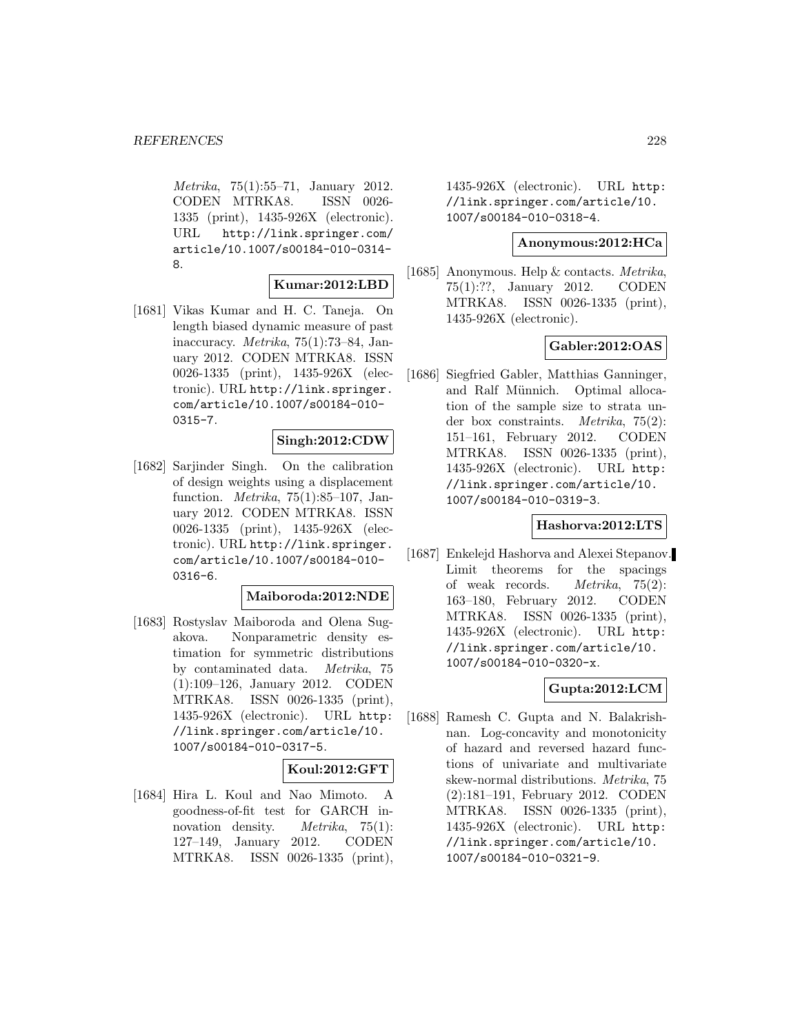Metrika, 75(1):55–71, January 2012. CODEN MTRKA8. ISSN 0026- 1335 (print), 1435-926X (electronic). URL http://link.springer.com/ article/10.1007/s00184-010-0314- 8.

#### **Kumar:2012:LBD**

[1681] Vikas Kumar and H. C. Taneja. On length biased dynamic measure of past inaccuracy. Metrika, 75(1):73–84, January 2012. CODEN MTRKA8. ISSN 0026-1335 (print), 1435-926X (electronic). URL http://link.springer. com/article/10.1007/s00184-010- 0315-7.

#### **Singh:2012:CDW**

[1682] Sarjinder Singh. On the calibration of design weights using a displacement function. Metrika, 75(1):85–107, January 2012. CODEN MTRKA8. ISSN 0026-1335 (print), 1435-926X (electronic). URL http://link.springer. com/article/10.1007/s00184-010- 0316-6.

#### **Maiboroda:2012:NDE**

[1683] Rostyslav Maiboroda and Olena Sugakova. Nonparametric density estimation for symmetric distributions by contaminated data. Metrika, 75 (1):109–126, January 2012. CODEN MTRKA8. ISSN 0026-1335 (print), 1435-926X (electronic). URL http: //link.springer.com/article/10. 1007/s00184-010-0317-5.

### **Koul:2012:GFT**

[1684] Hira L. Koul and Nao Mimoto. A goodness-of-fit test for GARCH innovation density. *Metrika*, 75(1): 127–149, January 2012. CODEN MTRKA8. ISSN 0026-1335 (print), 1435-926X (electronic). URL http: //link.springer.com/article/10. 1007/s00184-010-0318-4.

### **Anonymous:2012:HCa**

[1685] Anonymous. Help & contacts. Metrika, 75(1):??, January 2012. CODEN MTRKA8. ISSN 0026-1335 (print), 1435-926X (electronic).

# **Gabler:2012:OAS**

[1686] Siegfried Gabler, Matthias Ganninger, and Ralf Münnich. Optimal allocation of the sample size to strata under box constraints. Metrika, 75(2): 151–161, February 2012. CODEN MTRKA8. ISSN 0026-1335 (print), 1435-926X (electronic). URL http: //link.springer.com/article/10. 1007/s00184-010-0319-3.

#### **Hashorva:2012:LTS**

[1687] Enkelejd Hashorva and Alexei Stepanov. Limit theorems for the spacings of weak records. Metrika, 75(2): 163–180, February 2012. CODEN MTRKA8. ISSN 0026-1335 (print), 1435-926X (electronic). URL http: //link.springer.com/article/10. 1007/s00184-010-0320-x.

# **Gupta:2012:LCM**

[1688] Ramesh C. Gupta and N. Balakrishnan. Log-concavity and monotonicity of hazard and reversed hazard functions of univariate and multivariate skew-normal distributions. Metrika, 75 (2):181–191, February 2012. CODEN MTRKA8. ISSN 0026-1335 (print), 1435-926X (electronic). URL http: //link.springer.com/article/10. 1007/s00184-010-0321-9.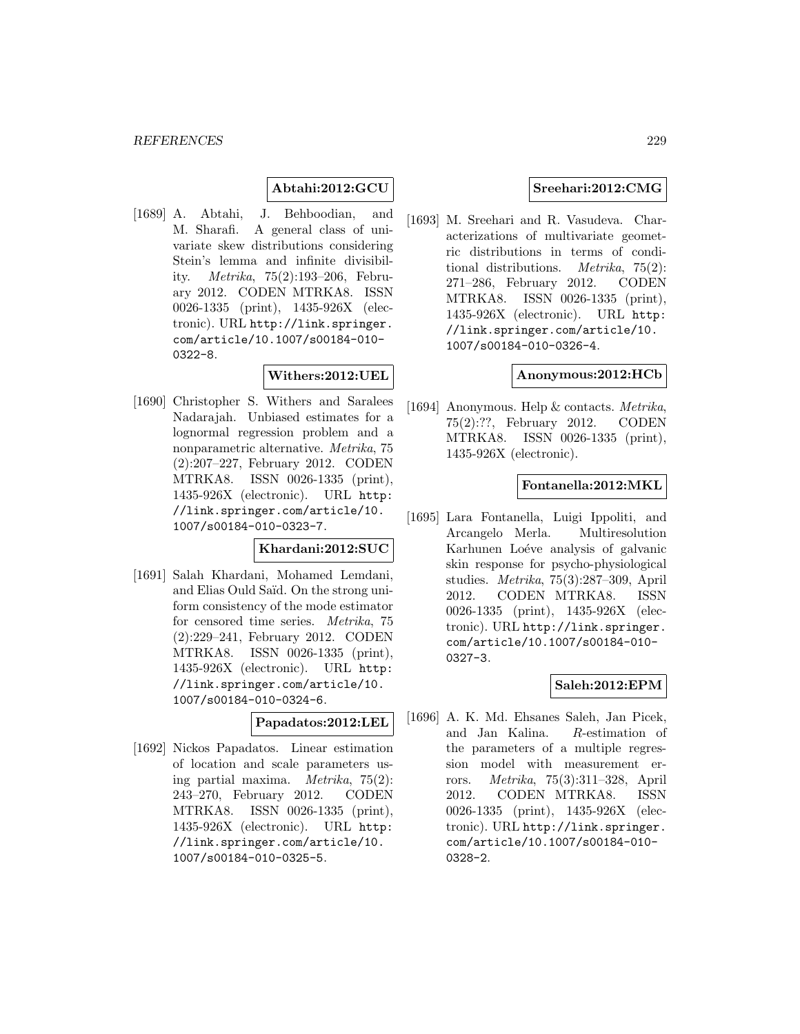## **Abtahi:2012:GCU**

[1689] A. Abtahi, J. Behboodian, and M. Sharafi. A general class of univariate skew distributions considering Stein's lemma and infinite divisibility. Metrika, 75(2):193–206, February 2012. CODEN MTRKA8. ISSN 0026-1335 (print), 1435-926X (electronic). URL http://link.springer. com/article/10.1007/s00184-010- 0322-8.

### **Withers:2012:UEL**

[1690] Christopher S. Withers and Saralees Nadarajah. Unbiased estimates for a lognormal regression problem and a nonparametric alternative. Metrika, 75 (2):207–227, February 2012. CODEN MTRKA8. ISSN 0026-1335 (print), 1435-926X (electronic). URL http: //link.springer.com/article/10. 1007/s00184-010-0323-7.

### **Khardani:2012:SUC**

[1691] Salah Khardani, Mohamed Lemdani, and Elias Ould Saïd. On the strong uniform consistency of the mode estimator for censored time series. Metrika, 75 (2):229–241, February 2012. CODEN MTRKA8. ISSN 0026-1335 (print), 1435-926X (electronic). URL http: //link.springer.com/article/10. 1007/s00184-010-0324-6.

#### **Papadatos:2012:LEL**

[1692] Nickos Papadatos. Linear estimation of location and scale parameters using partial maxima. Metrika, 75(2): 243–270, February 2012. CODEN MTRKA8. ISSN 0026-1335 (print), 1435-926X (electronic). URL http: //link.springer.com/article/10. 1007/s00184-010-0325-5.

### **Sreehari:2012:CMG**

[1693] M. Sreehari and R. Vasudeva. Characterizations of multivariate geometric distributions in terms of conditional distributions. Metrika, 75(2): 271–286, February 2012. CODEN MTRKA8. ISSN 0026-1335 (print), 1435-926X (electronic). URL http: //link.springer.com/article/10. 1007/s00184-010-0326-4.

### **Anonymous:2012:HCb**

[1694] Anonymous. Help & contacts. Metrika, 75(2):??, February 2012. CODEN MTRKA8. ISSN 0026-1335 (print), 1435-926X (electronic).

### **Fontanella:2012:MKL**

[1695] Lara Fontanella, Luigi Ippoliti, and Arcangelo Merla. Multiresolution Karhunen Loéve analysis of galvanic skin response for psycho-physiological studies. Metrika, 75(3):287–309, April 2012. CODEN MTRKA8. ISSN 0026-1335 (print), 1435-926X (electronic). URL http://link.springer. com/article/10.1007/s00184-010- 0327-3.

### **Saleh:2012:EPM**

[1696] A. K. Md. Ehsanes Saleh, Jan Picek, and Jan Kalina. R-estimation of the parameters of a multiple regression model with measurement errors. Metrika, 75(3):311–328, April 2012. CODEN MTRKA8. ISSN 0026-1335 (print), 1435-926X (electronic). URL http://link.springer. com/article/10.1007/s00184-010- 0328-2.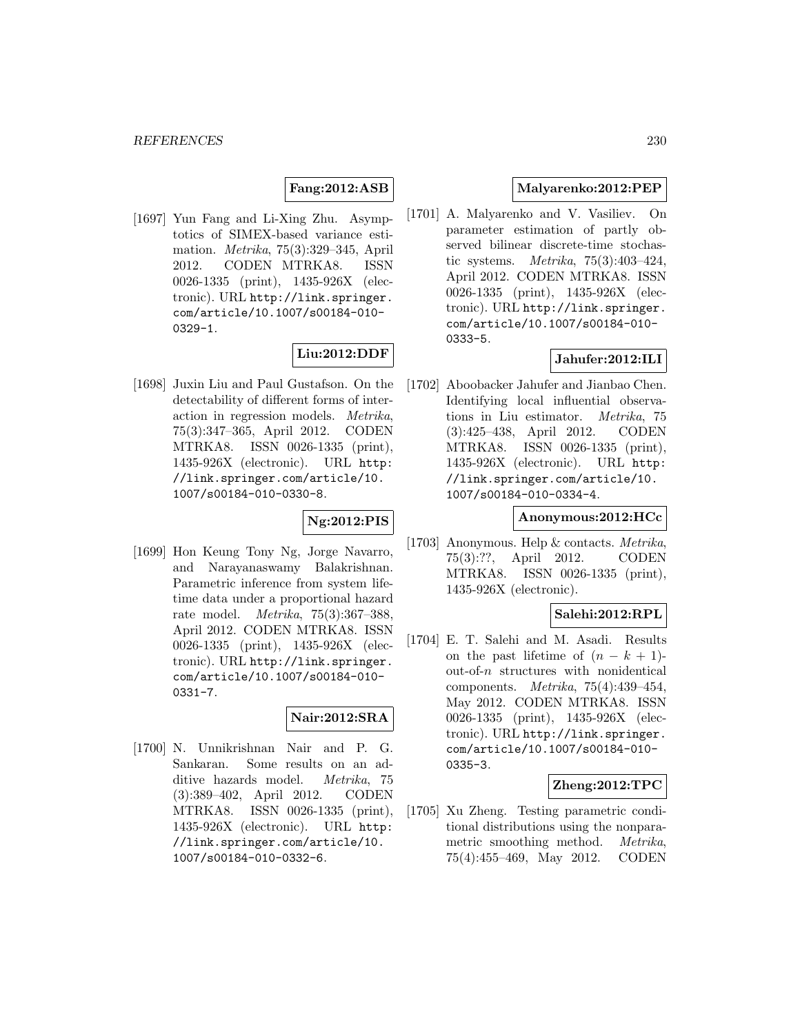### **Fang:2012:ASB**

[1697] Yun Fang and Li-Xing Zhu. Asymptotics of SIMEX-based variance estimation. Metrika, 75(3):329–345, April 2012. CODEN MTRKA8. ISSN 0026-1335 (print), 1435-926X (electronic). URL http://link.springer. com/article/10.1007/s00184-010- 0329-1.

# **Liu:2012:DDF**

[1698] Juxin Liu and Paul Gustafson. On the detectability of different forms of interaction in regression models. Metrika, 75(3):347–365, April 2012. CODEN MTRKA8. ISSN 0026-1335 (print), 1435-926X (electronic). URL http: //link.springer.com/article/10. 1007/s00184-010-0330-8.

### **Ng:2012:PIS**

[1699] Hon Keung Tony Ng, Jorge Navarro, and Narayanaswamy Balakrishnan. Parametric inference from system lifetime data under a proportional hazard rate model. Metrika, 75(3):367–388, April 2012. CODEN MTRKA8. ISSN 0026-1335 (print), 1435-926X (electronic). URL http://link.springer. com/article/10.1007/s00184-010- 0331-7.

# **Nair:2012:SRA**

[1700] N. Unnikrishnan Nair and P. G. Sankaran. Some results on an additive hazards model. *Metrika*, 75 (3):389–402, April 2012. CODEN MTRKA8. ISSN 0026-1335 (print), 1435-926X (electronic). URL http: //link.springer.com/article/10. 1007/s00184-010-0332-6.

### **Malyarenko:2012:PEP**

[1701] A. Malyarenko and V. Vasiliev. On parameter estimation of partly observed bilinear discrete-time stochastic systems. *Metrika*,  $75(3):403-424$ , April 2012. CODEN MTRKA8. ISSN 0026-1335 (print), 1435-926X (electronic). URL http://link.springer. com/article/10.1007/s00184-010- 0333-5.

## **Jahufer:2012:ILI**

[1702] Aboobacker Jahufer and Jianbao Chen. Identifying local influential observations in Liu estimator. Metrika, 75 (3):425–438, April 2012. CODEN MTRKA8. ISSN 0026-1335 (print), 1435-926X (electronic). URL http: //link.springer.com/article/10. 1007/s00184-010-0334-4.

#### **Anonymous:2012:HCc**

[1703] Anonymous. Help & contacts. Metrika, 75(3):??, April 2012. CODEN MTRKA8. ISSN 0026-1335 (print), 1435-926X (electronic).

#### **Salehi:2012:RPL**

[1704] E. T. Salehi and M. Asadi. Results on the past lifetime of  $(n - k + 1)$  $out-of-n$  structures with nonidentical components. Metrika, 75(4):439–454, May 2012. CODEN MTRKA8. ISSN 0026-1335 (print), 1435-926X (electronic). URL http://link.springer. com/article/10.1007/s00184-010- 0335-3.

#### **Zheng:2012:TPC**

[1705] Xu Zheng. Testing parametric conditional distributions using the nonparametric smoothing method. Metrika, 75(4):455–469, May 2012. CODEN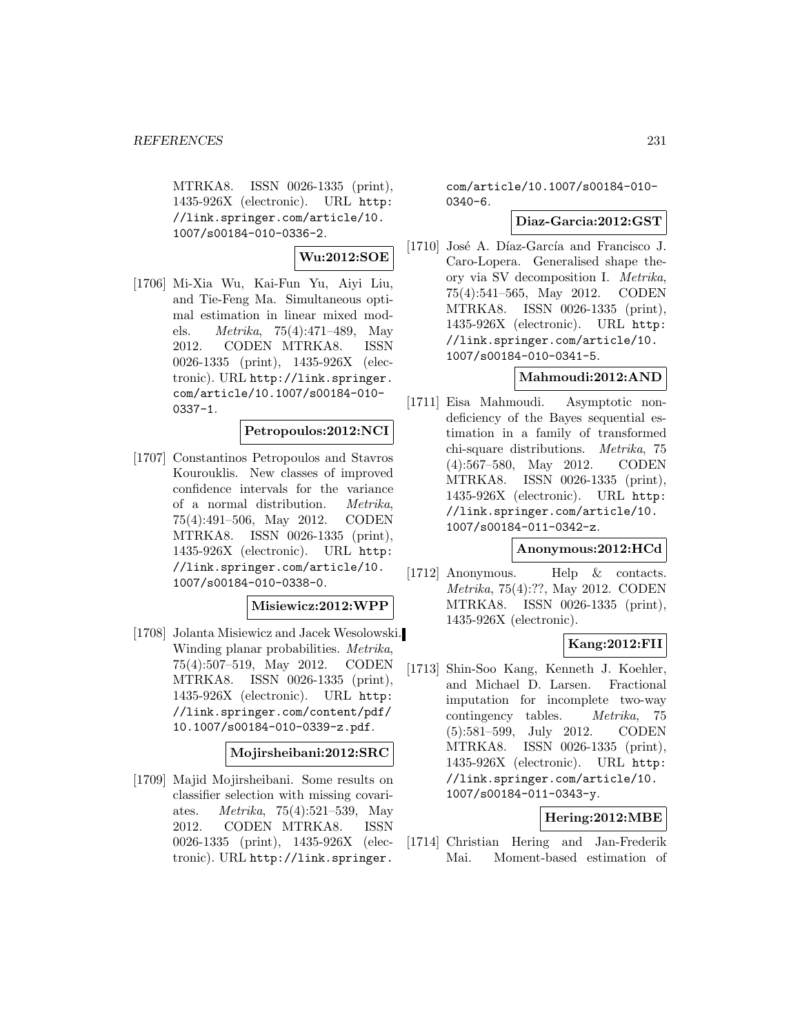MTRKA8. ISSN 0026-1335 (print), 1435-926X (electronic). URL http: //link.springer.com/article/10. 1007/s00184-010-0336-2.

**Wu:2012:SOE**

[1706] Mi-Xia Wu, Kai-Fun Yu, Aiyi Liu, and Tie-Feng Ma. Simultaneous optimal estimation in linear mixed models. Metrika, 75(4):471–489, May 2012. CODEN MTRKA8. ISSN 0026-1335 (print), 1435-926X (electronic). URL http://link.springer. com/article/10.1007/s00184-010- 0337-1.

# **Petropoulos:2012:NCI**

[1707] Constantinos Petropoulos and Stavros Kourouklis. New classes of improved confidence intervals for the variance of a normal distribution. Metrika, 75(4):491–506, May 2012. CODEN MTRKA8. ISSN 0026-1335 (print), 1435-926X (electronic). URL http: //link.springer.com/article/10. 1007/s00184-010-0338-0.

### **Misiewicz:2012:WPP**

[1708] Jolanta Misiewicz and Jacek Wesolowski. Winding planar probabilities. Metrika, 75(4):507–519, May 2012. CODEN MTRKA8. ISSN 0026-1335 (print), 1435-926X (electronic). URL http: //link.springer.com/content/pdf/ 10.1007/s00184-010-0339-z.pdf.

### **Mojirsheibani:2012:SRC**

[1709] Majid Mojirsheibani. Some results on classifier selection with missing covariates. Metrika, 75(4):521–539, May 2012. CODEN MTRKA8. ISSN 0026-1335 (print), 1435-926X (electronic). URL http://link.springer.

com/article/10.1007/s00184-010- 0340-6.

## **Diaz-Garcia:2012:GST**

[1710] José A. Díaz-García and Francisco J. Caro-Lopera. Generalised shape theory via SV decomposition I. Metrika, 75(4):541–565, May 2012. CODEN MTRKA8. ISSN 0026-1335 (print), 1435-926X (electronic). URL http: //link.springer.com/article/10. 1007/s00184-010-0341-5.

### **Mahmoudi:2012:AND**

[1711] Eisa Mahmoudi. Asymptotic nondeficiency of the Bayes sequential estimation in a family of transformed chi-square distributions. Metrika, 75 (4):567–580, May 2012. CODEN MTRKA8. ISSN 0026-1335 (print), 1435-926X (electronic). URL http: //link.springer.com/article/10. 1007/s00184-011-0342-z.

### **Anonymous:2012:HCd**

[1712] Anonymous. Help & contacts. Metrika, 75(4):??, May 2012. CODEN MTRKA8. ISSN 0026-1335 (print), 1435-926X (electronic).

# **Kang:2012:FII**

[1713] Shin-Soo Kang, Kenneth J. Koehler, and Michael D. Larsen. Fractional imputation for incomplete two-way contingency tables. Metrika, 75 (5):581–599, July 2012. CODEN MTRKA8. ISSN 0026-1335 (print), 1435-926X (electronic). URL http: //link.springer.com/article/10. 1007/s00184-011-0343-y.

## **Hering:2012:MBE**

[1714] Christian Hering and Jan-Frederik Mai. Moment-based estimation of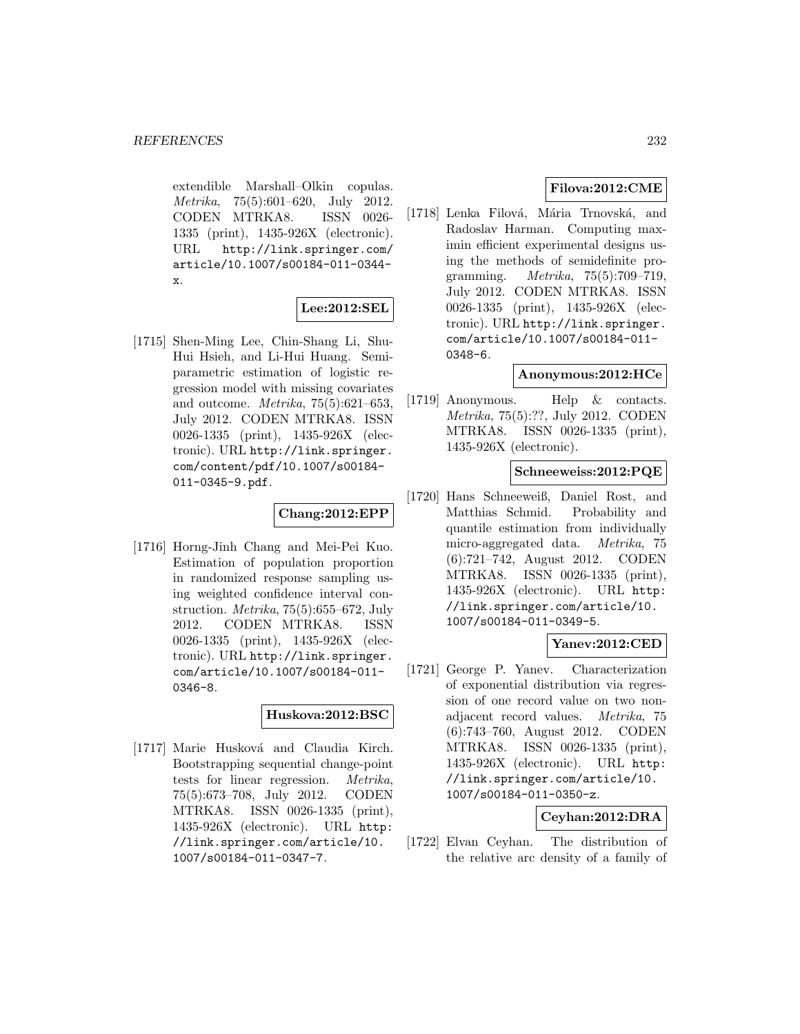extendible Marshall–Olkin copulas. Metrika, 75(5):601–620, July 2012. CODEN MTRKA8. ISSN 0026- 1335 (print), 1435-926X (electronic). URL http://link.springer.com/ article/10.1007/s00184-011-0344 x.

### **Lee:2012:SEL**

[1715] Shen-Ming Lee, Chin-Shang Li, Shu-Hui Hsieh, and Li-Hui Huang. Semiparametric estimation of logistic regression model with missing covariates and outcome. Metrika, 75(5):621–653, July 2012. CODEN MTRKA8. ISSN 0026-1335 (print), 1435-926X (electronic). URL http://link.springer. com/content/pdf/10.1007/s00184- 011-0345-9.pdf.

### **Chang:2012:EPP**

[1716] Horng-Jinh Chang and Mei-Pei Kuo. Estimation of population proportion in randomized response sampling using weighted confidence interval construction. *Metrika*,  $75(5):655-672$ , July 2012. CODEN MTRKA8. ISSN 0026-1335 (print), 1435-926X (electronic). URL http://link.springer. com/article/10.1007/s00184-011- 0346-8.

## **Huskova:2012:BSC**

[1717] Marie Husková and Claudia Kirch. Bootstrapping sequential change-point tests for linear regression. Metrika, 75(5):673–708, July 2012. CODEN MTRKA8. ISSN 0026-1335 (print), 1435-926X (electronic). URL http: //link.springer.com/article/10. 1007/s00184-011-0347-7.

# **Filova:2012:CME**

[1718] Lenka Filová, Mária Trnovská, and Radoslav Harman. Computing maximin efficient experimental designs using the methods of semidefinite programming. Metrika, 75(5):709–719, July 2012. CODEN MTRKA8. ISSN 0026-1335 (print), 1435-926X (electronic). URL http://link.springer. com/article/10.1007/s00184-011- 0348-6.

### **Anonymous:2012:HCe**

[1719] Anonymous. Help & contacts. Metrika, 75(5):??, July 2012. CODEN MTRKA8. ISSN 0026-1335 (print), 1435-926X (electronic).

### **Schneeweiss:2012:PQE**

[1720] Hans Schneeweiß, Daniel Rost, and Matthias Schmid. Probability and quantile estimation from individually micro-aggregated data. Metrika, 75 (6):721–742, August 2012. CODEN MTRKA8. ISSN 0026-1335 (print), 1435-926X (electronic). URL http: //link.springer.com/article/10. 1007/s00184-011-0349-5.

### **Yanev:2012:CED**

[1721] George P. Yanev. Characterization of exponential distribution via regression of one record value on two nonadjacent record values. Metrika, 75 (6):743–760, August 2012. CODEN MTRKA8. ISSN 0026-1335 (print), 1435-926X (electronic). URL http: //link.springer.com/article/10. 1007/s00184-011-0350-z.

# **Ceyhan:2012:DRA**

[1722] Elvan Ceyhan. The distribution of the relative arc density of a family of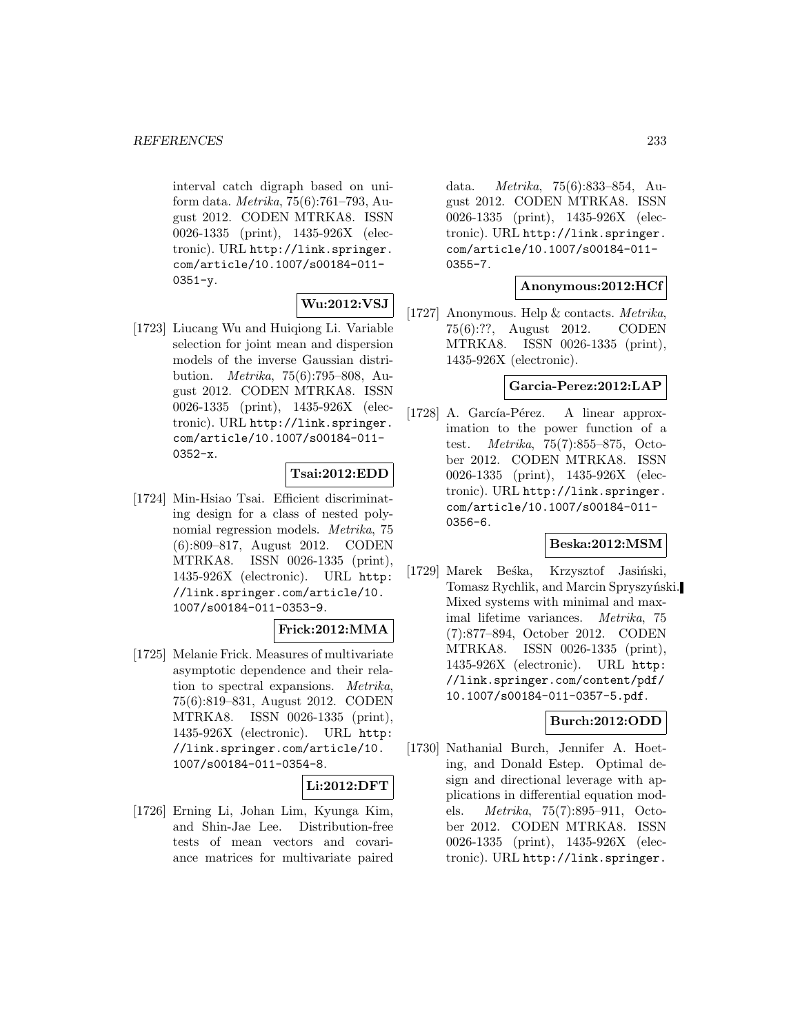interval catch digraph based on uniform data. Metrika, 75(6):761–793, August 2012. CODEN MTRKA8. ISSN 0026-1335 (print), 1435-926X (electronic). URL http://link.springer. com/article/10.1007/s00184-011-  $0351 - v.$ 

# **Wu:2012:VSJ**

[1723] Liucang Wu and Huiqiong Li. Variable selection for joint mean and dispersion models of the inverse Gaussian distribution. Metrika, 75(6):795–808, August 2012. CODEN MTRKA8. ISSN 0026-1335 (print), 1435-926X (electronic). URL http://link.springer. com/article/10.1007/s00184-011- 0352-x.

## **Tsai:2012:EDD**

[1724] Min-Hsiao Tsai. Efficient discriminating design for a class of nested polynomial regression models. Metrika, 75 (6):809–817, August 2012. CODEN MTRKA8. ISSN 0026-1335 (print), 1435-926X (electronic). URL http: //link.springer.com/article/10. 1007/s00184-011-0353-9.

### **Frick:2012:MMA**

[1725] Melanie Frick. Measures of multivariate asymptotic dependence and their relation to spectral expansions. Metrika, 75(6):819–831, August 2012. CODEN MTRKA8. ISSN 0026-1335 (print), 1435-926X (electronic). URL http: //link.springer.com/article/10. 1007/s00184-011-0354-8.

### **Li:2012:DFT**

[1726] Erning Li, Johan Lim, Kyunga Kim, and Shin-Jae Lee. Distribution-free tests of mean vectors and covariance matrices for multivariate paired

data. Metrika, 75(6):833–854, August 2012. CODEN MTRKA8. ISSN 0026-1335 (print), 1435-926X (electronic). URL http://link.springer. com/article/10.1007/s00184-011- 0355-7.

### **Anonymous:2012:HCf**

[1727] Anonymous. Help & contacts. Metrika, 75(6):??, August 2012. CODEN MTRKA8. ISSN 0026-1335 (print), 1435-926X (electronic).

## **Garcia-Perez:2012:LAP**

[1728] A. García-Pérez. A linear approximation to the power function of a test. Metrika, 75(7):855–875, October 2012. CODEN MTRKA8. ISSN 0026-1335 (print), 1435-926X (electronic). URL http://link.springer. com/article/10.1007/s00184-011- 0356-6.

### **Beska:2012:MSM**

[1729] Marek Beska, Krzysztof Jasiński, Tomasz Rychlik, and Marcin Spryszyński. Mixed systems with minimal and maximal lifetime variances. Metrika, 75 (7):877–894, October 2012. CODEN MTRKA8. ISSN 0026-1335 (print), 1435-926X (electronic). URL http: //link.springer.com/content/pdf/ 10.1007/s00184-011-0357-5.pdf.

### **Burch:2012:ODD**

[1730] Nathanial Burch, Jennifer A. Hoeting, and Donald Estep. Optimal design and directional leverage with applications in differential equation models. Metrika, 75(7):895–911, October 2012. CODEN MTRKA8. ISSN 0026-1335 (print), 1435-926X (electronic). URL http://link.springer.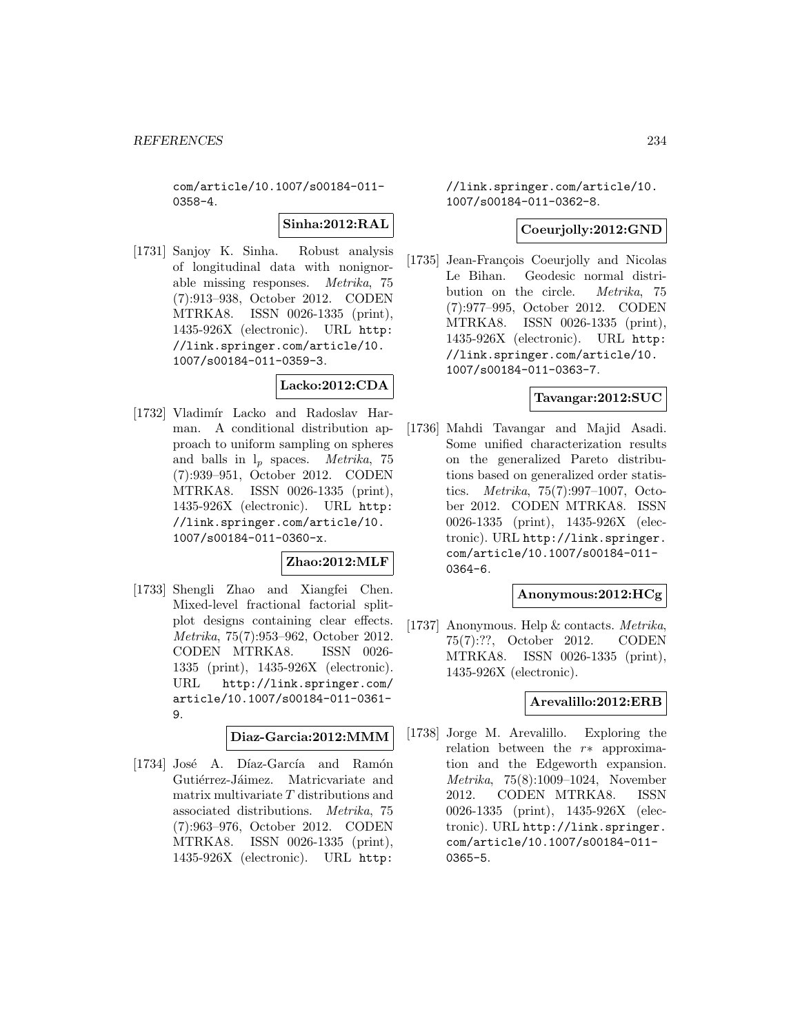com/article/10.1007/s00184-011- 0358-4.

### **Sinha:2012:RAL**

[1731] Sanjoy K. Sinha. Robust analysis of longitudinal data with nonignorable missing responses. Metrika, 75 (7):913–938, October 2012. CODEN MTRKA8. ISSN 0026-1335 (print), 1435-926X (electronic). URL http: //link.springer.com/article/10. 1007/s00184-011-0359-3.

## **Lacko:2012:CDA**

[1732] Vladimír Lacko and Radoslav Harman. A conditional distribution approach to uniform sampling on spheres and balls in  $l_p$  spaces. *Metrika*, 75 (7):939–951, October 2012. CODEN MTRKA8. ISSN 0026-1335 (print), 1435-926X (electronic). URL http: //link.springer.com/article/10. 1007/s00184-011-0360-x.

#### **Zhao:2012:MLF**

[1733] Shengli Zhao and Xiangfei Chen. Mixed-level fractional factorial splitplot designs containing clear effects. Metrika, 75(7):953–962, October 2012. CODEN MTRKA8. ISSN 0026- 1335 (print), 1435-926X (electronic). URL http://link.springer.com/ article/10.1007/s00184-011-0361- 9.

### **Diaz-Garcia:2012:MMM**

[1734] José A. Díaz-García and Ramón Gutiérrez-Jáimez. Matricvariate and matrix multivariate  $T$  distributions and associated distributions. Metrika, 75 (7):963–976, October 2012. CODEN MTRKA8. ISSN 0026-1335 (print), 1435-926X (electronic). URL http:

//link.springer.com/article/10. 1007/s00184-011-0362-8.

### **Coeurjolly:2012:GND**

[1735] Jean-François Coeurjolly and Nicolas Le Bihan. Geodesic normal distribution on the circle. Metrika, 75 (7):977–995, October 2012. CODEN MTRKA8. ISSN 0026-1335 (print), 1435-926X (electronic). URL http: //link.springer.com/article/10. 1007/s00184-011-0363-7.

### **Tavangar:2012:SUC**

[1736] Mahdi Tavangar and Majid Asadi. Some unified characterization results on the generalized Pareto distributions based on generalized order statistics. Metrika, 75(7):997–1007, October 2012. CODEN MTRKA8. ISSN 0026-1335 (print), 1435-926X (electronic). URL http://link.springer. com/article/10.1007/s00184-011- 0364-6.

## **Anonymous:2012:HCg**

[1737] Anonymous. Help & contacts. Metrika, 75(7):??, October 2012. CODEN MTRKA8. ISSN 0026-1335 (print), 1435-926X (electronic).

### **Arevalillo:2012:ERB**

[1738] Jorge M. Arevalillo. Exploring the relation between the r∗ approximation and the Edgeworth expansion. Metrika, 75(8):1009–1024, November 2012. CODEN MTRKA8. ISSN 0026-1335 (print), 1435-926X (electronic). URL http://link.springer. com/article/10.1007/s00184-011- 0365-5.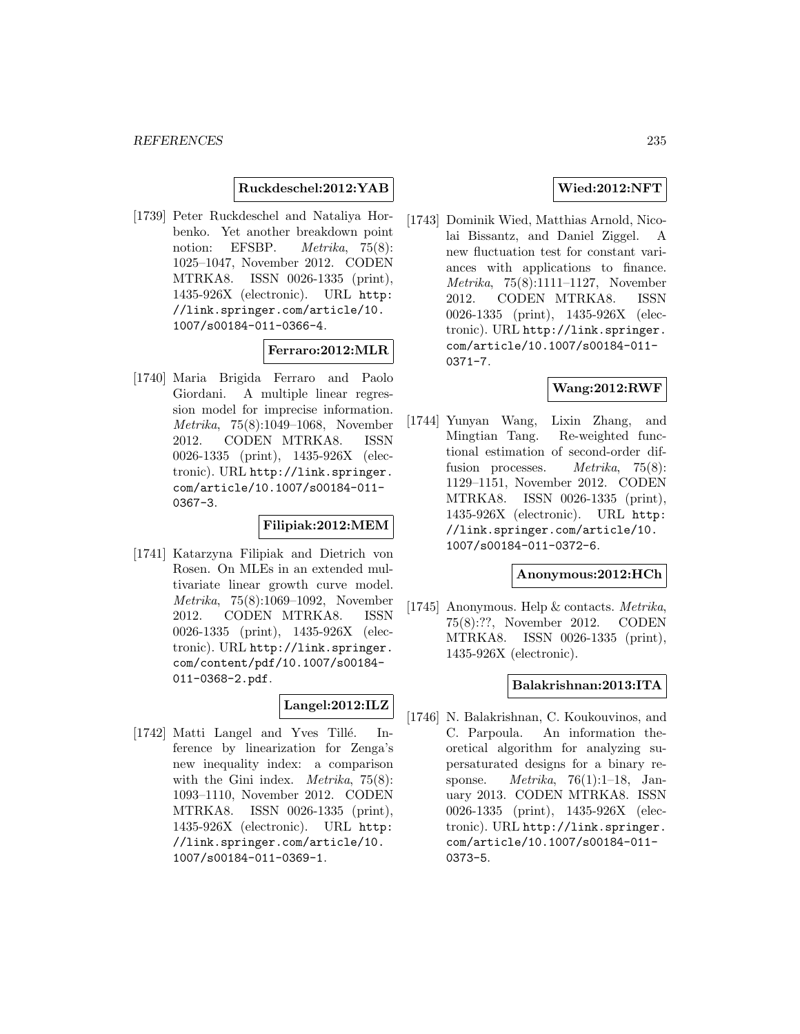### **Ruckdeschel:2012:YAB**

[1739] Peter Ruckdeschel and Nataliya Horbenko. Yet another breakdown point notion: EFSBP. *Metrika*, 75(8): 1025–1047, November 2012. CODEN MTRKA8. ISSN 0026-1335 (print), 1435-926X (electronic). URL http: //link.springer.com/article/10. 1007/s00184-011-0366-4.

#### **Ferraro:2012:MLR**

[1740] Maria Brigida Ferraro and Paolo Giordani. A multiple linear regression model for imprecise information. Metrika, 75(8):1049–1068, November 2012. CODEN MTRKA8. ISSN 0026-1335 (print), 1435-926X (electronic). URL http://link.springer. com/article/10.1007/s00184-011- 0367-3.

### **Filipiak:2012:MEM**

[1741] Katarzyna Filipiak and Dietrich von Rosen. On MLEs in an extended multivariate linear growth curve model. Metrika, 75(8):1069–1092, November 2012. CODEN MTRKA8. ISSN 0026-1335 (print), 1435-926X (electronic). URL http://link.springer. com/content/pdf/10.1007/s00184- 011-0368-2.pdf.

### **Langel:2012:ILZ**

[1742] Matti Langel and Yves Tillé. Inference by linearization for Zenga's new inequality index: a comparison with the Gini index. *Metrika*,  $75(8)$ : 1093–1110, November 2012. CODEN MTRKA8. ISSN 0026-1335 (print), 1435-926X (electronic). URL http: //link.springer.com/article/10. 1007/s00184-011-0369-1.

### **Wied:2012:NFT**

[1743] Dominik Wied, Matthias Arnold, Nicolai Bissantz, and Daniel Ziggel. A new fluctuation test for constant variances with applications to finance. Metrika, 75(8):1111–1127, November 2012. CODEN MTRKA8. ISSN 0026-1335 (print), 1435-926X (electronic). URL http://link.springer. com/article/10.1007/s00184-011- 0371-7.

### **Wang:2012:RWF**

[1744] Yunyan Wang, Lixin Zhang, and Mingtian Tang. Re-weighted functional estimation of second-order diffusion processes. *Metrika*, 75(8): 1129–1151, November 2012. CODEN MTRKA8. ISSN 0026-1335 (print), 1435-926X (electronic). URL http: //link.springer.com/article/10. 1007/s00184-011-0372-6.

### **Anonymous:2012:HCh**

[1745] Anonymous. Help & contacts. Metrika, 75(8):??, November 2012. CODEN MTRKA8. ISSN 0026-1335 (print), 1435-926X (electronic).

### **Balakrishnan:2013:ITA**

[1746] N. Balakrishnan, C. Koukouvinos, and C. Parpoula. An information theoretical algorithm for analyzing supersaturated designs for a binary response. Metrika, 76(1):1–18, January 2013. CODEN MTRKA8. ISSN 0026-1335 (print), 1435-926X (electronic). URL http://link.springer. com/article/10.1007/s00184-011- 0373-5.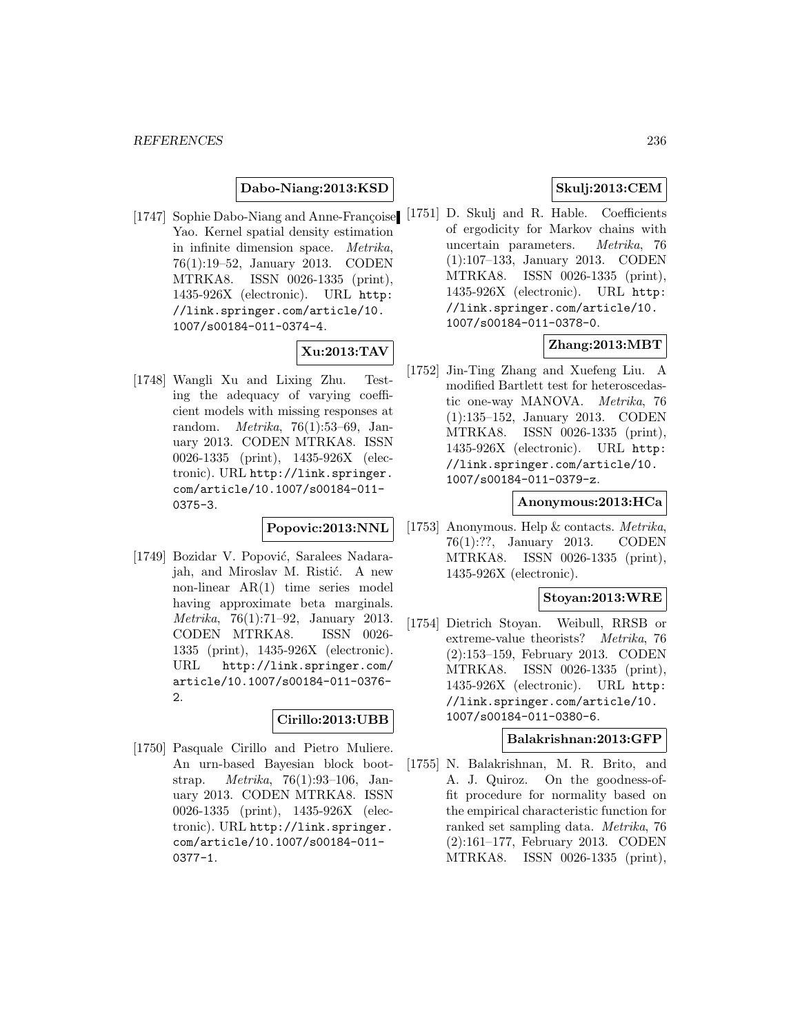## **Dabo-Niang:2013:KSD**

[1747] Sophie Dabo-Niang and Anne-Françoise Yao. Kernel spatial density estimation in infinite dimension space. Metrika, 76(1):19–52, January 2013. CODEN MTRKA8. ISSN 0026-1335 (print), 1435-926X (electronic). URL http: //link.springer.com/article/10. 1007/s00184-011-0374-4.

# **Xu:2013:TAV**

[1748] Wangli Xu and Lixing Zhu. Testing the adequacy of varying coefficient models with missing responses at random. Metrika, 76(1):53–69, January 2013. CODEN MTRKA8. ISSN 0026-1335 (print), 1435-926X (electronic). URL http://link.springer. com/article/10.1007/s00184-011- 0375-3.

### **Popovic:2013:NNL**

[1749] Bozidar V. Popović, Saralees Nadarajah, and Miroslav M. Ristić. A new non-linear AR(1) time series model having approximate beta marginals. Metrika, 76(1):71–92, January 2013. CODEN MTRKA8. ISSN 0026- 1335 (print), 1435-926X (electronic). URL http://link.springer.com/ article/10.1007/s00184-011-0376- 2.

### **Cirillo:2013:UBB**

[1750] Pasquale Cirillo and Pietro Muliere. An urn-based Bayesian block bootstrap. Metrika, 76(1):93–106, January 2013. CODEN MTRKA8. ISSN 0026-1335 (print), 1435-926X (electronic). URL http://link.springer. com/article/10.1007/s00184-011- 0377-1.

# **Skulj:2013:CEM**

[1751] D. Skulj and R. Hable. Coefficients of ergodicity for Markov chains with uncertain parameters. Metrika, 76 (1):107–133, January 2013. CODEN MTRKA8. ISSN 0026-1335 (print), 1435-926X (electronic). URL http: //link.springer.com/article/10. 1007/s00184-011-0378-0.

# **Zhang:2013:MBT**

[1752] Jin-Ting Zhang and Xuefeng Liu. A modified Bartlett test for heteroscedastic one-way MANOVA. Metrika, 76 (1):135–152, January 2013. CODEN MTRKA8. ISSN 0026-1335 (print), 1435-926X (electronic). URL http: //link.springer.com/article/10. 1007/s00184-011-0379-z.

#### **Anonymous:2013:HCa**

[1753] Anonymous. Help & contacts. Metrika, 76(1):??, January 2013. CODEN MTRKA8. ISSN 0026-1335 (print), 1435-926X (electronic).

### **Stoyan:2013:WRE**

[1754] Dietrich Stoyan. Weibull, RRSB or extreme-value theorists? Metrika, 76 (2):153–159, February 2013. CODEN MTRKA8. ISSN 0026-1335 (print), 1435-926X (electronic). URL http: //link.springer.com/article/10. 1007/s00184-011-0380-6.

### **Balakrishnan:2013:GFP**

[1755] N. Balakrishnan, M. R. Brito, and A. J. Quiroz. On the goodness-offit procedure for normality based on the empirical characteristic function for ranked set sampling data. Metrika, 76 (2):161–177, February 2013. CODEN MTRKA8. ISSN 0026-1335 (print),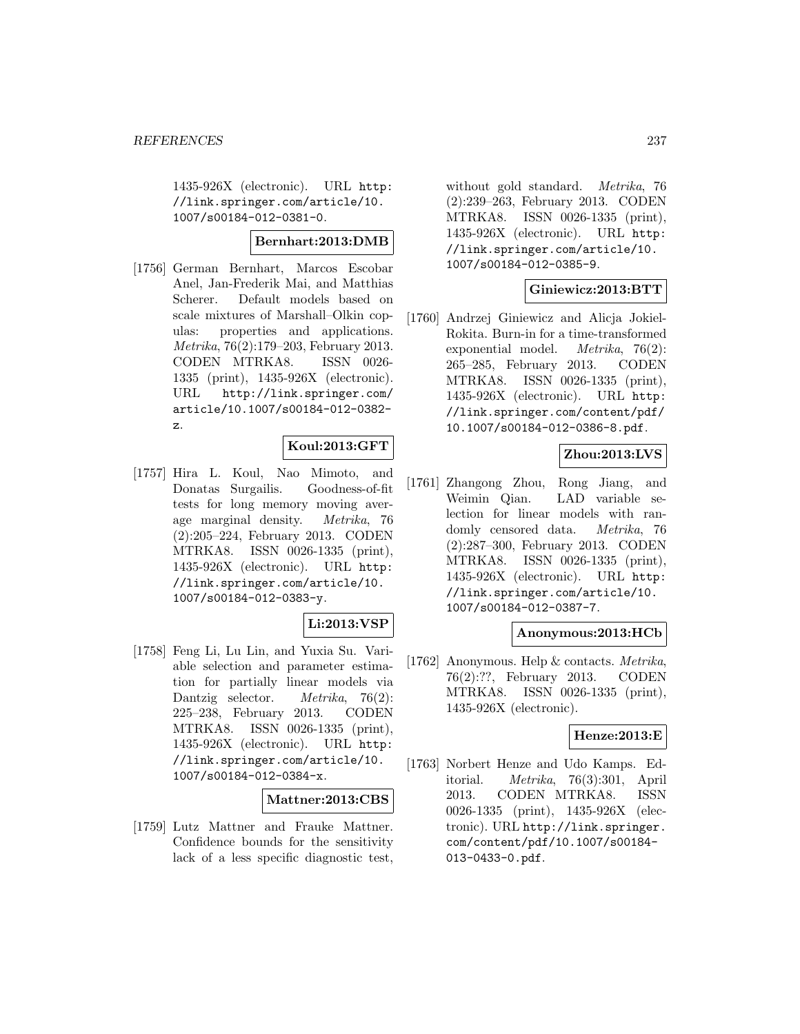1435-926X (electronic). URL http: //link.springer.com/article/10. 1007/s00184-012-0381-0.

## **Bernhart:2013:DMB**

[1756] German Bernhart, Marcos Escobar Anel, Jan-Frederik Mai, and Matthias Scherer. Default models based on scale mixtures of Marshall–Olkin copulas: properties and applications. Metrika, 76(2):179–203, February 2013. CODEN MTRKA8. ISSN 0026- 1335 (print), 1435-926X (electronic). URL http://link.springer.com/ article/10.1007/s00184-012-0382 z.

### **Koul:2013:GFT**

[1757] Hira L. Koul, Nao Mimoto, and Donatas Surgailis. Goodness-of-fit tests for long memory moving average marginal density. Metrika, 76 (2):205–224, February 2013. CODEN MTRKA8. ISSN 0026-1335 (print), 1435-926X (electronic). URL http: //link.springer.com/article/10. 1007/s00184-012-0383-y.

# **Li:2013:VSP**

[1758] Feng Li, Lu Lin, and Yuxia Su. Variable selection and parameter estimation for partially linear models via Dantzig selector. *Metrika*, 76(2): 225–238, February 2013. CODEN MTRKA8. ISSN 0026-1335 (print), 1435-926X (electronic). URL http: //link.springer.com/article/10. 1007/s00184-012-0384-x.

### **Mattner:2013:CBS**

[1759] Lutz Mattner and Frauke Mattner. Confidence bounds for the sensitivity lack of a less specific diagnostic test,

without gold standard. Metrika, 76 (2):239–263, February 2013. CODEN MTRKA8. ISSN 0026-1335 (print), 1435-926X (electronic). URL http: //link.springer.com/article/10. 1007/s00184-012-0385-9.

### **Giniewicz:2013:BTT**

[1760] Andrzej Giniewicz and Alicja Jokiel-Rokita. Burn-in for a time-transformed exponential model. Metrika, 76(2): 265–285, February 2013. CODEN MTRKA8. ISSN 0026-1335 (print), 1435-926X (electronic). URL http: //link.springer.com/content/pdf/ 10.1007/s00184-012-0386-8.pdf.

# **Zhou:2013:LVS**

[1761] Zhangong Zhou, Rong Jiang, and Weimin Qian. LAD variable selection for linear models with randomly censored data. Metrika, 76 (2):287–300, February 2013. CODEN MTRKA8. ISSN 0026-1335 (print), 1435-926X (electronic). URL http: //link.springer.com/article/10. 1007/s00184-012-0387-7.

#### **Anonymous:2013:HCb**

[1762] Anonymous. Help & contacts. Metrika, 76(2):??, February 2013. CODEN MTRKA8. ISSN 0026-1335 (print), 1435-926X (electronic).

#### **Henze:2013:E**

[1763] Norbert Henze and Udo Kamps. Editorial. Metrika, 76(3):301, April 2013. CODEN MTRKA8. ISSN 0026-1335 (print), 1435-926X (electronic). URL http://link.springer. com/content/pdf/10.1007/s00184- 013-0433-0.pdf.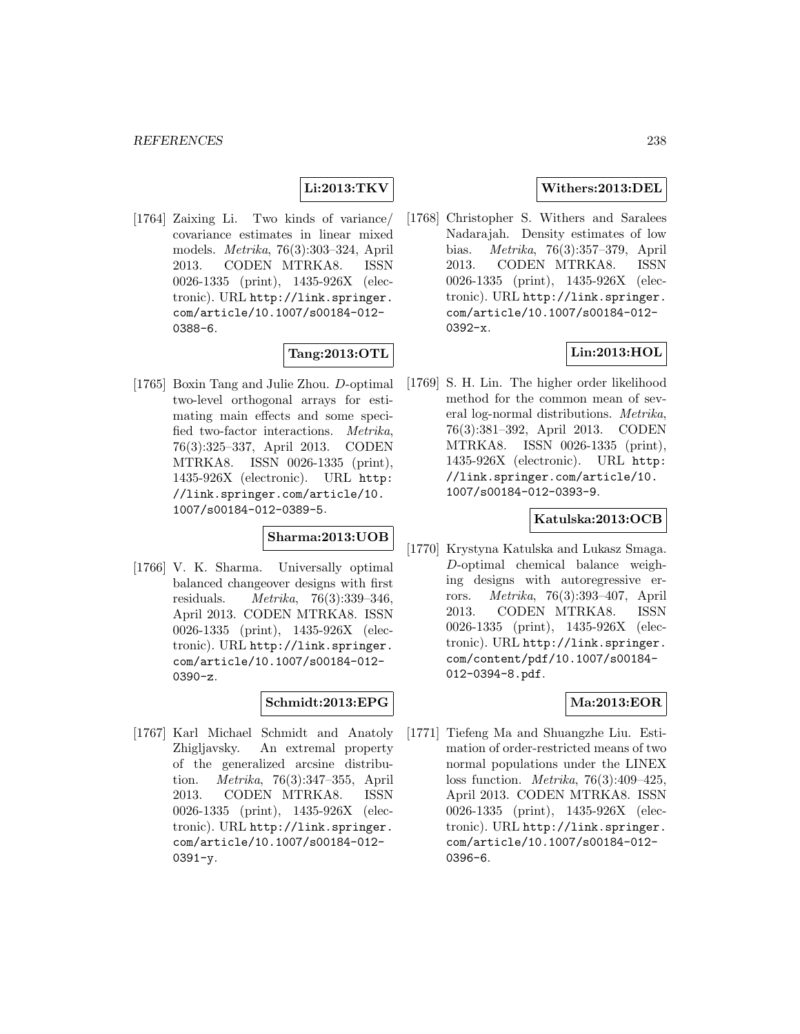# **Li:2013:TKV**

[1764] Zaixing Li. Two kinds of variance/ covariance estimates in linear mixed models. Metrika, 76(3):303–324, April 2013. CODEN MTRKA8. ISSN 0026-1335 (print), 1435-926X (electronic). URL http://link.springer. com/article/10.1007/s00184-012- 0388-6.

## **Tang:2013:OTL**

[1765] Boxin Tang and Julie Zhou. D-optimal two-level orthogonal arrays for estimating main effects and some specified two-factor interactions. Metrika, 76(3):325–337, April 2013. CODEN MTRKA8. ISSN 0026-1335 (print), 1435-926X (electronic). URL http: //link.springer.com/article/10. 1007/s00184-012-0389-5.

# **Sharma:2013:UOB**

[1766] V. K. Sharma. Universally optimal balanced changeover designs with first residuals. Metrika, 76(3):339–346, April 2013. CODEN MTRKA8. ISSN 0026-1335 (print), 1435-926X (electronic). URL http://link.springer. com/article/10.1007/s00184-012- 0390-z.

### **Schmidt:2013:EPG**

[1767] Karl Michael Schmidt and Anatoly Zhigljavsky. An extremal property of the generalized arcsine distribution. Metrika, 76(3):347–355, April 2013. CODEN MTRKA8. ISSN 0026-1335 (print), 1435-926X (electronic). URL http://link.springer. com/article/10.1007/s00184-012- 0391-y.

# **Withers:2013:DEL**

[1768] Christopher S. Withers and Saralees Nadarajah. Density estimates of low bias. Metrika, 76(3):357–379, April 2013. CODEN MTRKA8. ISSN 0026-1335 (print), 1435-926X (electronic). URL http://link.springer. com/article/10.1007/s00184-012- 0392-x.

# **Lin:2013:HOL**

[1769] S. H. Lin. The higher order likelihood method for the common mean of several log-normal distributions. Metrika, 76(3):381–392, April 2013. CODEN MTRKA8. ISSN 0026-1335 (print), 1435-926X (electronic). URL http: //link.springer.com/article/10. 1007/s00184-012-0393-9.

## **Katulska:2013:OCB**

[1770] Krystyna Katulska and Lukasz Smaga. D-optimal chemical balance weighing designs with autoregressive errors. Metrika, 76(3):393–407, April 2013. CODEN MTRKA8. ISSN 0026-1335 (print), 1435-926X (electronic). URL http://link.springer. com/content/pdf/10.1007/s00184- 012-0394-8.pdf.

#### **Ma:2013:EOR**

[1771] Tiefeng Ma and Shuangzhe Liu. Estimation of order-restricted means of two normal populations under the LINEX loss function. Metrika, 76(3):409–425, April 2013. CODEN MTRKA8. ISSN 0026-1335 (print), 1435-926X (electronic). URL http://link.springer. com/article/10.1007/s00184-012- 0396-6.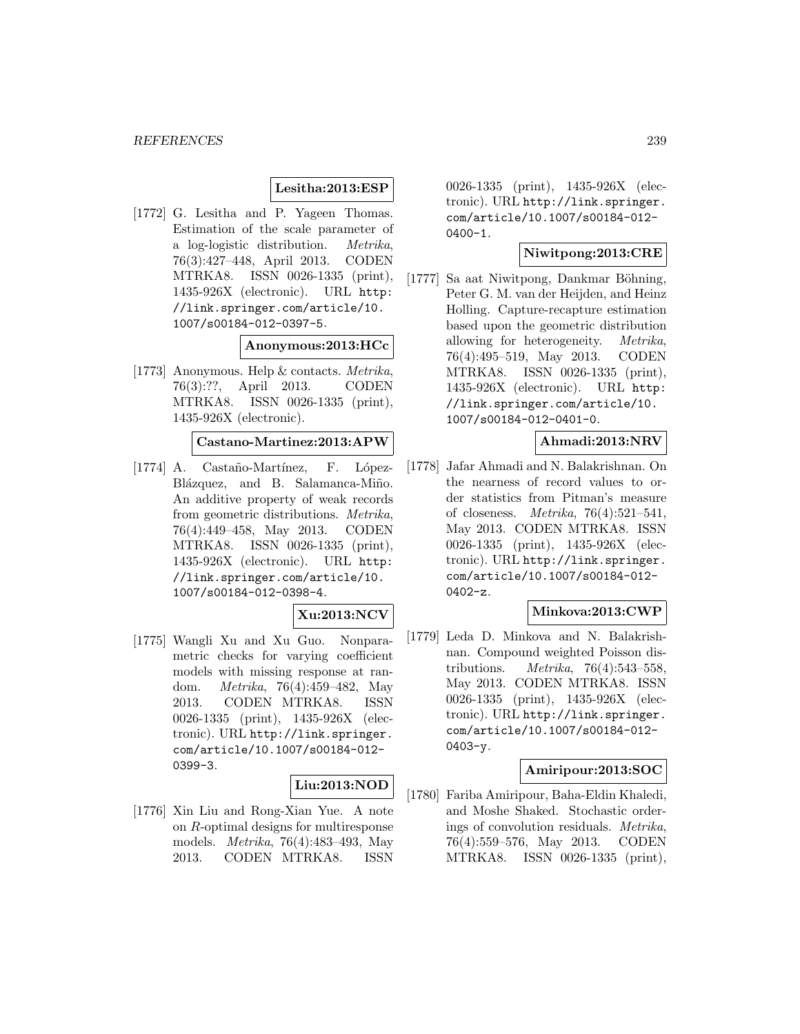## **Lesitha:2013:ESP**

[1772] G. Lesitha and P. Yageen Thomas. Estimation of the scale parameter of a log-logistic distribution. Metrika, 76(3):427–448, April 2013. CODEN MTRKA8. ISSN 0026-1335 (print), 1435-926X (electronic). URL http: //link.springer.com/article/10. 1007/s00184-012-0397-5.

**Anonymous:2013:HCc**

[1773] Anonymous. Help & contacts. Metrika, 76(3):??, April 2013. CODEN MTRKA8. ISSN 0026-1335 (print), 1435-926X (electronic).

### **Castano-Martinez:2013:APW**

[1774] A. Castaño-Martínez, F. López-Blázquez, and B. Salamanca-Miño. An additive property of weak records from geometric distributions. Metrika, 76(4):449–458, May 2013. CODEN MTRKA8. ISSN 0026-1335 (print), 1435-926X (electronic). URL http: //link.springer.com/article/10. 1007/s00184-012-0398-4.

#### **Xu:2013:NCV**

[1775] Wangli Xu and Xu Guo. Nonparametric checks for varying coefficient models with missing response at random. Metrika, 76(4):459–482, May 2013. CODEN MTRKA8. ISSN 0026-1335 (print), 1435-926X (electronic). URL http://link.springer. com/article/10.1007/s00184-012- 0399-3.

## **Liu:2013:NOD**

[1776] Xin Liu and Rong-Xian Yue. A note on R-optimal designs for multiresponse models. Metrika, 76(4):483–493, May 2013. CODEN MTRKA8. ISSN

0026-1335 (print), 1435-926X (electronic). URL http://link.springer. com/article/10.1007/s00184-012- 0400-1.

### **Niwitpong:2013:CRE**

[1777] Sa aat Niwitpong, Dankmar Böhning, Peter G. M. van der Heijden, and Heinz Holling. Capture-recapture estimation based upon the geometric distribution allowing for heterogeneity. Metrika, 76(4):495–519, May 2013. CODEN MTRKA8. ISSN 0026-1335 (print), 1435-926X (electronic). URL http: //link.springer.com/article/10. 1007/s00184-012-0401-0.

### **Ahmadi:2013:NRV**

[1778] Jafar Ahmadi and N. Balakrishnan. On the nearness of record values to order statistics from Pitman's measure of closeness. Metrika, 76(4):521–541, May 2013. CODEN MTRKA8. ISSN 0026-1335 (print), 1435-926X (electronic). URL http://link.springer. com/article/10.1007/s00184-012- 0402-z.

### **Minkova:2013:CWP**

[1779] Leda D. Minkova and N. Balakrishnan. Compound weighted Poisson distributions. Metrika, 76(4):543–558, May 2013. CODEN MTRKA8. ISSN 0026-1335 (print), 1435-926X (electronic). URL http://link.springer. com/article/10.1007/s00184-012- 0403-y.

# **Amiripour:2013:SOC**

[1780] Fariba Amiripour, Baha-Eldin Khaledi, and Moshe Shaked. Stochastic orderings of convolution residuals.  $Metrika$ ,  $76(4):559-576$ , May 2013. CODEN  $76(4):559-576$ , May 2013. MTRKA8. ISSN 0026-1335 (print),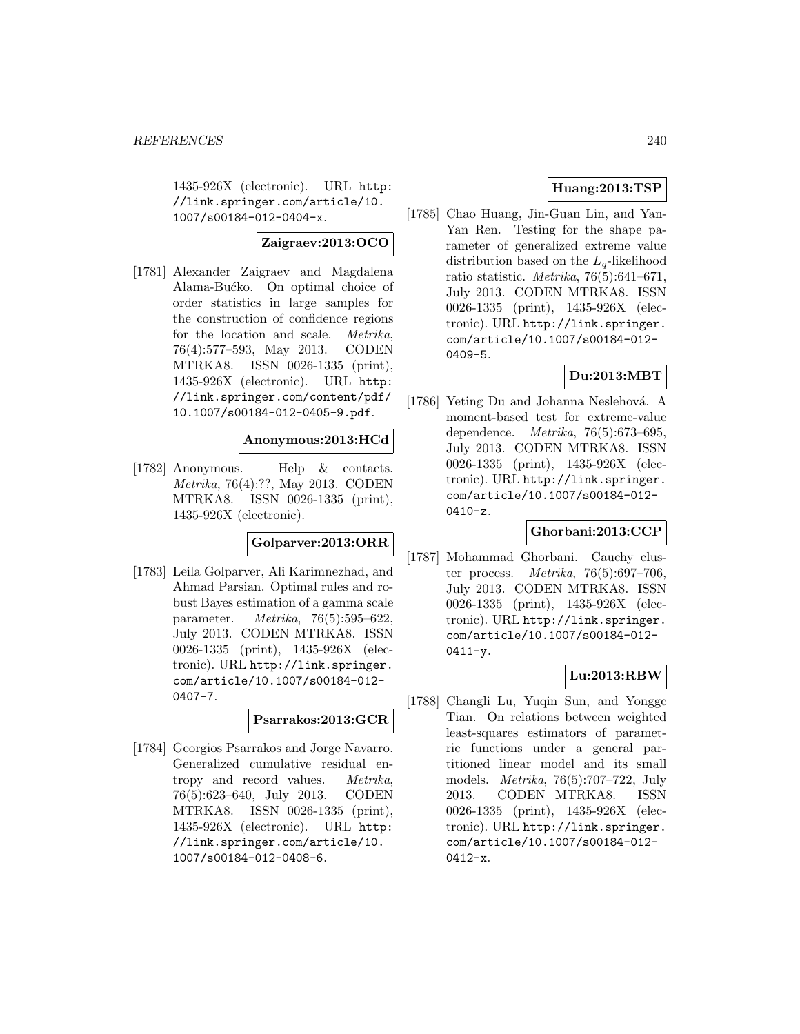1435-926X (electronic). URL http: //link.springer.com/article/10. 1007/s00184-012-0404-x.

### **Zaigraev:2013:OCO**

[1781] Alexander Zaigraev and Magdalena Alama-Bućko. On optimal choice of order statistics in large samples for the construction of confidence regions for the location and scale. Metrika, 76(4):577–593, May 2013. CODEN MTRKA8. ISSN 0026-1335 (print), 1435-926X (electronic). URL http: //link.springer.com/content/pdf/ 10.1007/s00184-012-0405-9.pdf.

### **Anonymous:2013:HCd**

[1782] Anonymous. Help & contacts. Metrika, 76(4):??, May 2013. CODEN MTRKA8. ISSN 0026-1335 (print), 1435-926X (electronic).

# **Golparver:2013:ORR**

[1783] Leila Golparver, Ali Karimnezhad, and Ahmad Parsian. Optimal rules and robust Bayes estimation of a gamma scale parameter. Metrika, 76(5):595–622, July 2013. CODEN MTRKA8. ISSN 0026-1335 (print), 1435-926X (electronic). URL http://link.springer. com/article/10.1007/s00184-012- 0407-7.

### **Psarrakos:2013:GCR**

[1784] Georgios Psarrakos and Jorge Navarro. Generalized cumulative residual entropy and record values. Metrika, 76(5):623–640, July 2013. CODEN MTRKA8. ISSN 0026-1335 (print), 1435-926X (electronic). URL http: //link.springer.com/article/10. 1007/s00184-012-0408-6.

# **Huang:2013:TSP**

[1785] Chao Huang, Jin-Guan Lin, and Yan-Yan Ren. Testing for the shape parameter of generalized extreme value distribution based on the  $L_q$ -likelihood ratio statistic. Metrika, 76(5):641–671, July 2013. CODEN MTRKA8. ISSN 0026-1335 (print), 1435-926X (electronic). URL http://link.springer. com/article/10.1007/s00184-012- 0409-5.

## **Du:2013:MBT**

[1786] Yeting Du and Johanna Neslehová. A moment-based test for extreme-value dependence. Metrika, 76(5):673–695, July 2013. CODEN MTRKA8. ISSN 0026-1335 (print), 1435-926X (electronic). URL http://link.springer. com/article/10.1007/s00184-012- 0410-z.

# **Ghorbani:2013:CCP**

[1787] Mohammad Ghorbani. Cauchy cluster process.  $Metrika$ , 76(5):697-706, July 2013. CODEN MTRKA8. ISSN 0026-1335 (print), 1435-926X (electronic). URL http://link.springer. com/article/10.1007/s00184-012-  $0411 - y$ .

### **Lu:2013:RBW**

[1788] Changli Lu, Yuqin Sun, and Yongge Tian. On relations between weighted least-squares estimators of parametric functions under a general partitioned linear model and its small models. Metrika, 76(5):707–722, July 2013. CODEN MTRKA8. ISSN 0026-1335 (print), 1435-926X (electronic). URL http://link.springer. com/article/10.1007/s00184-012- 0412-x.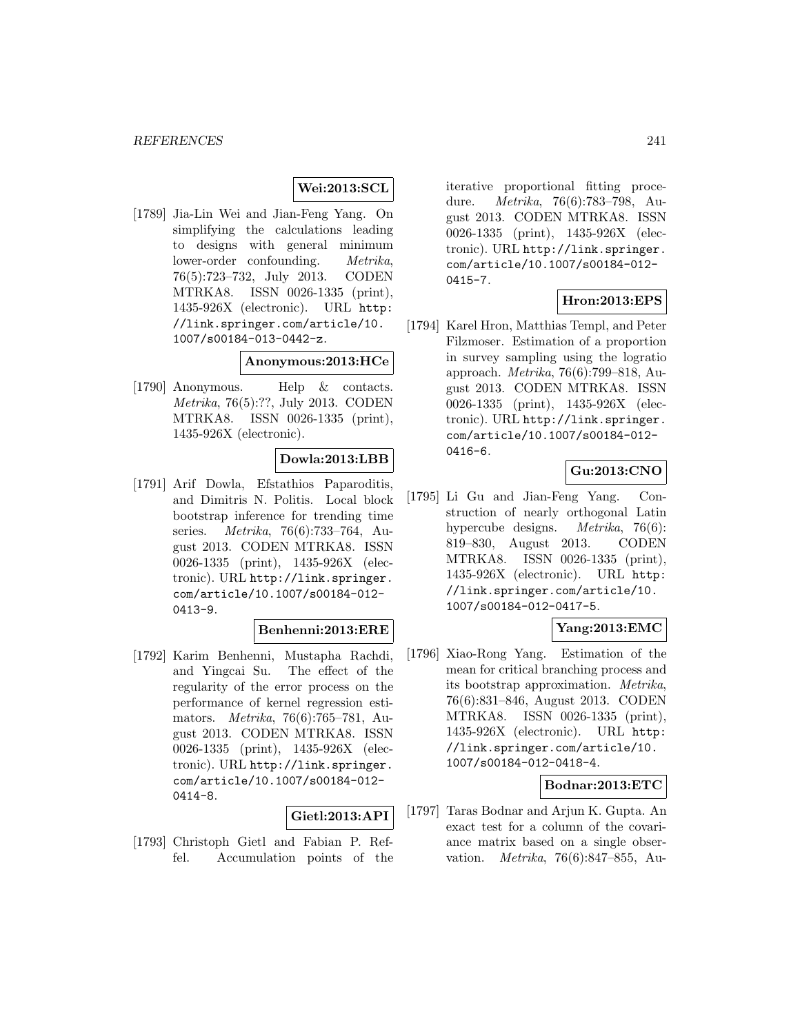### **Wei:2013:SCL**

[1789] Jia-Lin Wei and Jian-Feng Yang. On simplifying the calculations leading to designs with general minimum lower-order confounding. Metrika, 76(5):723–732, July 2013. CODEN MTRKA8. ISSN 0026-1335 (print), 1435-926X (electronic). URL http: //link.springer.com/article/10. 1007/s00184-013-0442-z.

## **Anonymous:2013:HCe**

[1790] Anonymous. Help & contacts. Metrika, 76(5):??, July 2013. CODEN MTRKA8. ISSN 0026-1335 (print), 1435-926X (electronic).

### **Dowla:2013:LBB**

[1791] Arif Dowla, Efstathios Paparoditis, and Dimitris N. Politis. Local block bootstrap inference for trending time series. Metrika, 76(6):733–764, August 2013. CODEN MTRKA8. ISSN 0026-1335 (print), 1435-926X (electronic). URL http://link.springer. com/article/10.1007/s00184-012- 0413-9.

### **Benhenni:2013:ERE**

[1792] Karim Benhenni, Mustapha Rachdi, and Yingcai Su. The effect of the regularity of the error process on the performance of kernel regression estimators. Metrika, 76(6):765–781, August 2013. CODEN MTRKA8. ISSN 0026-1335 (print), 1435-926X (electronic). URL http://link.springer. com/article/10.1007/s00184-012- 0414-8.

#### **Gietl:2013:API**

[1793] Christoph Gietl and Fabian P. Reffel. Accumulation points of the iterative proportional fitting procedure. Metrika, 76(6):783–798, August 2013. CODEN MTRKA8. ISSN 0026-1335 (print), 1435-926X (electronic). URL http://link.springer. com/article/10.1007/s00184-012- 0415-7.

### **Hron:2013:EPS**

[1794] Karel Hron, Matthias Templ, and Peter Filzmoser. Estimation of a proportion in survey sampling using the logratio approach. Metrika, 76(6):799–818, August 2013. CODEN MTRKA8. ISSN 0026-1335 (print), 1435-926X (electronic). URL http://link.springer. com/article/10.1007/s00184-012- 0416-6.

### **Gu:2013:CNO**

[1795] Li Gu and Jian-Feng Yang. Construction of nearly orthogonal Latin hypercube designs. Metrika, 76(6): 819–830, August 2013. CODEN MTRKA8. ISSN 0026-1335 (print), 1435-926X (electronic). URL http: //link.springer.com/article/10. 1007/s00184-012-0417-5.

## **Yang:2013:EMC**

[1796] Xiao-Rong Yang. Estimation of the mean for critical branching process and its bootstrap approximation. Metrika, 76(6):831–846, August 2013. CODEN MTRKA8. ISSN 0026-1335 (print), 1435-926X (electronic). URL http: //link.springer.com/article/10. 1007/s00184-012-0418-4.

### **Bodnar:2013:ETC**

[1797] Taras Bodnar and Arjun K. Gupta. An exact test for a column of the covariance matrix based on a single observation. Metrika, 76(6):847–855, Au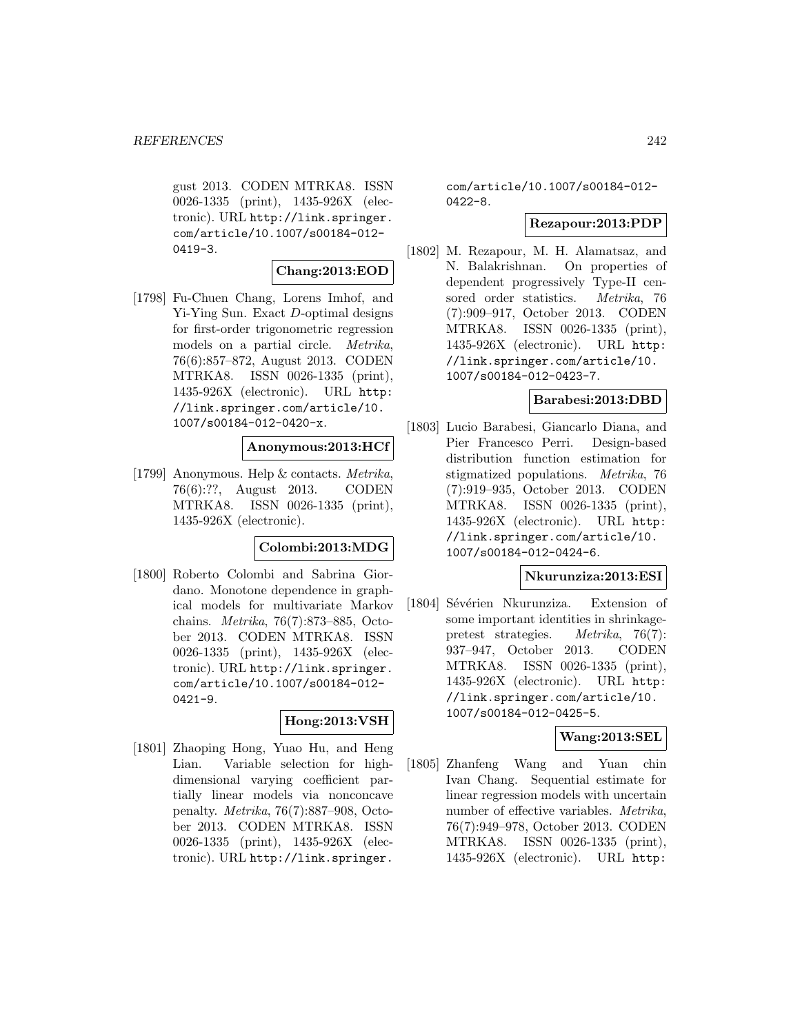gust 2013. CODEN MTRKA8. ISSN 0026-1335 (print), 1435-926X (electronic). URL http://link.springer. com/article/10.1007/s00184-012- 0419-3.

### **Chang:2013:EOD**

[1798] Fu-Chuen Chang, Lorens Imhof, and Yi-Ying Sun. Exact D-optimal designs for first-order trigonometric regression models on a partial circle. Metrika, 76(6):857–872, August 2013. CODEN MTRKA8. ISSN 0026-1335 (print), 1435-926X (electronic). URL http: //link.springer.com/article/10. 1007/s00184-012-0420-x.

### **Anonymous:2013:HCf**

[1799] Anonymous. Help & contacts. Metrika, 76(6):??, August 2013. CODEN MTRKA8. ISSN 0026-1335 (print), 1435-926X (electronic).

#### **Colombi:2013:MDG**

[1800] Roberto Colombi and Sabrina Giordano. Monotone dependence in graphical models for multivariate Markov chains. Metrika, 76(7):873–885, October 2013. CODEN MTRKA8. ISSN 0026-1335 (print), 1435-926X (electronic). URL http://link.springer. com/article/10.1007/s00184-012- 0421-9.

# **Hong:2013:VSH**

[1801] Zhaoping Hong, Yuao Hu, and Heng Lian. Variable selection for highdimensional varying coefficient partially linear models via nonconcave penalty. Metrika, 76(7):887–908, October 2013. CODEN MTRKA8. ISSN 0026-1335 (print), 1435-926X (electronic). URL http://link.springer.

com/article/10.1007/s00184-012- 0422-8.

### **Rezapour:2013:PDP**

[1802] M. Rezapour, M. H. Alamatsaz, and N. Balakrishnan. On properties of dependent progressively Type-II censored order statistics. Metrika, 76 (7):909–917, October 2013. CODEN MTRKA8. ISSN 0026-1335 (print), 1435-926X (electronic). URL http: //link.springer.com/article/10. 1007/s00184-012-0423-7.

### **Barabesi:2013:DBD**

[1803] Lucio Barabesi, Giancarlo Diana, and Pier Francesco Perri. Design-based distribution function estimation for stigmatized populations. Metrika, 76 (7):919–935, October 2013. CODEN MTRKA8. ISSN 0026-1335 (print), 1435-926X (electronic). URL http: //link.springer.com/article/10. 1007/s00184-012-0424-6.

### **Nkurunziza:2013:ESI**

[1804] Sévérien Nkurunziza. Extension of some important identities in shrinkagepretest strategies. Metrika, 76(7): 937–947, October 2013. CODEN MTRKA8. ISSN 0026-1335 (print), 1435-926X (electronic). URL http: //link.springer.com/article/10. 1007/s00184-012-0425-5.

### **Wang:2013:SEL**

[1805] Zhanfeng Wang and Yuan chin Ivan Chang. Sequential estimate for linear regression models with uncertain number of effective variables. Metrika, 76(7):949–978, October 2013. CODEN MTRKA8. ISSN 0026-1335 (print), 1435-926X (electronic). URL http: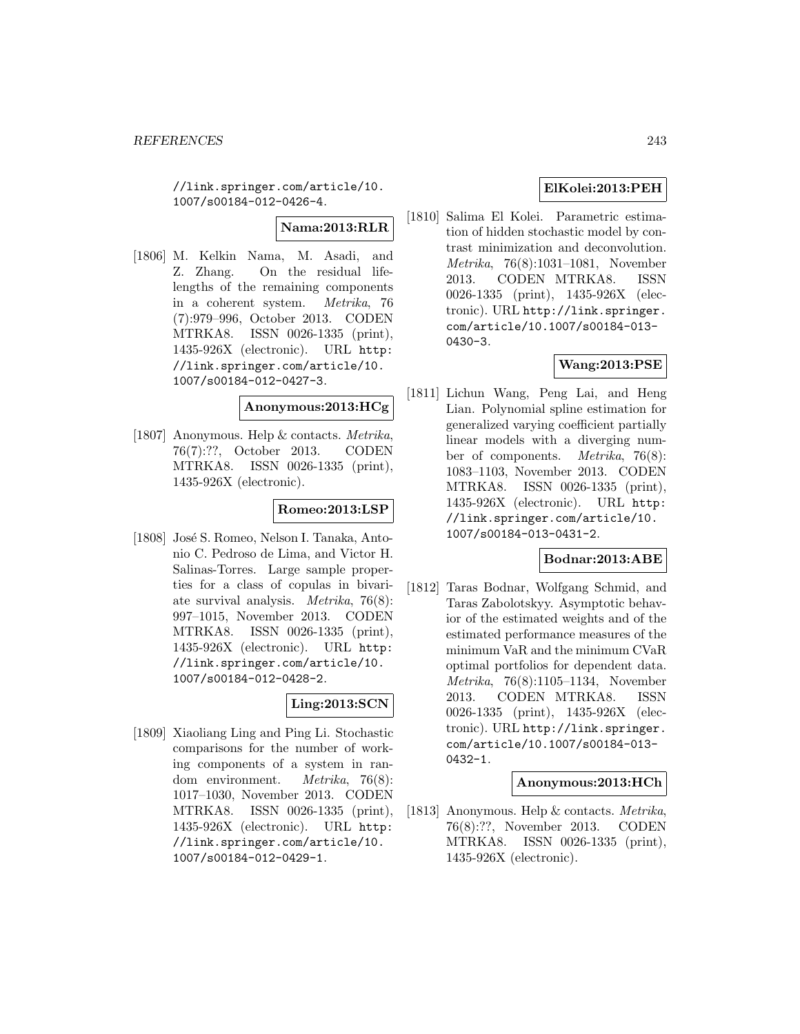//link.springer.com/article/10. 1007/s00184-012-0426-4.

# **Nama:2013:RLR**

[1806] M. Kelkin Nama, M. Asadi, and Z. Zhang. On the residual lifelengths of the remaining components in a coherent system. Metrika, 76 (7):979–996, October 2013. CODEN MTRKA8. ISSN 0026-1335 (print), 1435-926X (electronic). URL http: //link.springer.com/article/10. 1007/s00184-012-0427-3.

### **Anonymous:2013:HCg**

[1807] Anonymous. Help & contacts. Metrika, 76(7):??, October 2013. CODEN MTRKA8. ISSN 0026-1335 (print), 1435-926X (electronic).

## **Romeo:2013:LSP**

[1808] José S. Romeo, Nelson I. Tanaka, Antonio C. Pedroso de Lima, and Victor H. Salinas-Torres. Large sample properties for a class of copulas in bivariate survival analysis. Metrika, 76(8): 997–1015, November 2013. CODEN MTRKA8. ISSN 0026-1335 (print), 1435-926X (electronic). URL http: //link.springer.com/article/10. 1007/s00184-012-0428-2.

# **Ling:2013:SCN**

[1809] Xiaoliang Ling and Ping Li. Stochastic comparisons for the number of working components of a system in random environment. Metrika, 76(8): 1017–1030, November 2013. CODEN MTRKA8. ISSN 0026-1335 (print), 1435-926X (electronic). URL http: //link.springer.com/article/10. 1007/s00184-012-0429-1.

# **ElKolei:2013:PEH**

[1810] Salima El Kolei. Parametric estimation of hidden stochastic model by contrast minimization and deconvolution. Metrika, 76(8):1031–1081, November 2013. CODEN MTRKA8. ISSN 0026-1335 (print), 1435-926X (electronic). URL http://link.springer. com/article/10.1007/s00184-013- 0430-3.

# **Wang:2013:PSE**

[1811] Lichun Wang, Peng Lai, and Heng Lian. Polynomial spline estimation for generalized varying coefficient partially linear models with a diverging number of components. Metrika, 76(8): 1083–1103, November 2013. CODEN MTRKA8. ISSN 0026-1335 (print), 1435-926X (electronic). URL http: //link.springer.com/article/10. 1007/s00184-013-0431-2.

### **Bodnar:2013:ABE**

[1812] Taras Bodnar, Wolfgang Schmid, and Taras Zabolotskyy. Asymptotic behavior of the estimated weights and of the estimated performance measures of the minimum VaR and the minimum CVaR optimal portfolios for dependent data. Metrika, 76(8):1105–1134, November 2013. CODEN MTRKA8. ISSN 0026-1335 (print), 1435-926X (electronic). URL http://link.springer. com/article/10.1007/s00184-013- 0432-1.

### **Anonymous:2013:HCh**

[1813] Anonymous. Help & contacts. Metrika, 76(8):??, November 2013. CODEN MTRKA8. ISSN 0026-1335 (print), 1435-926X (electronic).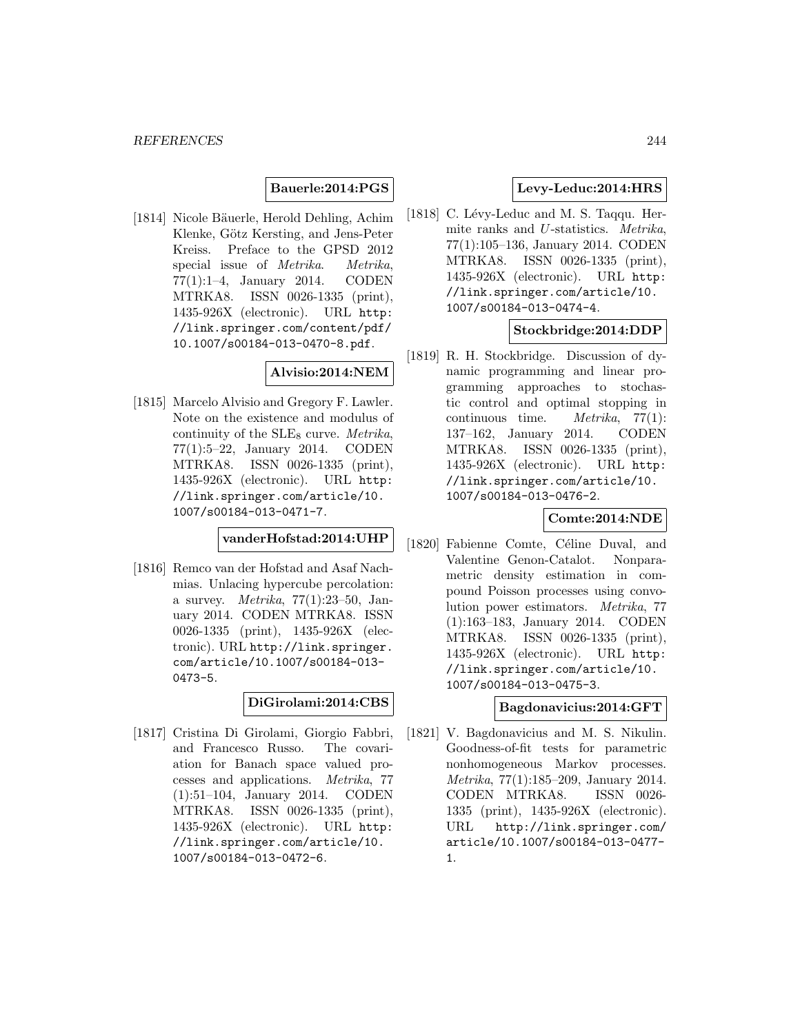### **Bauerle:2014:PGS**

[1814] Nicole Bäuerle, Herold Dehling, Achim Klenke, Götz Kersting, and Jens-Peter Kreiss. Preface to the GPSD 2012 special issue of *Metrika*. *Metrika*, 77(1):1–4, January 2014. CODEN MTRKA8. ISSN 0026-1335 (print), 1435-926X (electronic). URL http: //link.springer.com/content/pdf/ 10.1007/s00184-013-0470-8.pdf.

### **Alvisio:2014:NEM**

[1815] Marcelo Alvisio and Gregory F. Lawler. Note on the existence and modulus of continuity of the  $SLE_8$  curve. *Metrika*, 77(1):5–22, January 2014. CODEN MTRKA8. ISSN 0026-1335 (print), 1435-926X (electronic). URL http: //link.springer.com/article/10. 1007/s00184-013-0471-7.

**vanderHofstad:2014:UHP**

[1816] Remco van der Hofstad and Asaf Nachmias. Unlacing hypercube percolation: a survey.  $Metrika$ , 77(1):23-50, January 2014. CODEN MTRKA8. ISSN 0026-1335 (print), 1435-926X (electronic). URL http://link.springer. com/article/10.1007/s00184-013- 0473-5.

**DiGirolami:2014:CBS**

[1817] Cristina Di Girolami, Giorgio Fabbri, and Francesco Russo. The covariation for Banach space valued processes and applications. Metrika, 77 (1):51–104, January 2014. CODEN MTRKA8. ISSN 0026-1335 (print), 1435-926X (electronic). URL http: //link.springer.com/article/10. 1007/s00184-013-0472-6.

## **Levy-Leduc:2014:HRS**

[1818] C. Lévy-Leduc and M. S. Taqqu. Hermite ranks and U-statistics. Metrika, 77(1):105–136, January 2014. CODEN MTRKA8. ISSN 0026-1335 (print), 1435-926X (electronic). URL http: //link.springer.com/article/10. 1007/s00184-013-0474-4.

### **Stockbridge:2014:DDP**

[1819] R. H. Stockbridge. Discussion of dynamic programming and linear programming approaches to stochastic control and optimal stopping in continuous time. Metrika, 77(1): 137–162, January 2014. CODEN MTRKA8. ISSN 0026-1335 (print), 1435-926X (electronic). URL http: //link.springer.com/article/10. 1007/s00184-013-0476-2.

## **Comte:2014:NDE**

[1820] Fabienne Comte, Céline Duval, and Valentine Genon-Catalot. Nonparametric density estimation in compound Poisson processes using convolution power estimators. Metrika, 77 (1):163–183, January 2014. CODEN MTRKA8. ISSN 0026-1335 (print), 1435-926X (electronic). URL http: //link.springer.com/article/10. 1007/s00184-013-0475-3.

### **Bagdonavicius:2014:GFT**

[1821] V. Bagdonavicius and M. S. Nikulin. Goodness-of-fit tests for parametric nonhomogeneous Markov processes. Metrika, 77(1):185–209, January 2014. CODEN MTRKA8. ISSN 0026- 1335 (print), 1435-926X (electronic). URL http://link.springer.com/ article/10.1007/s00184-013-0477- 1.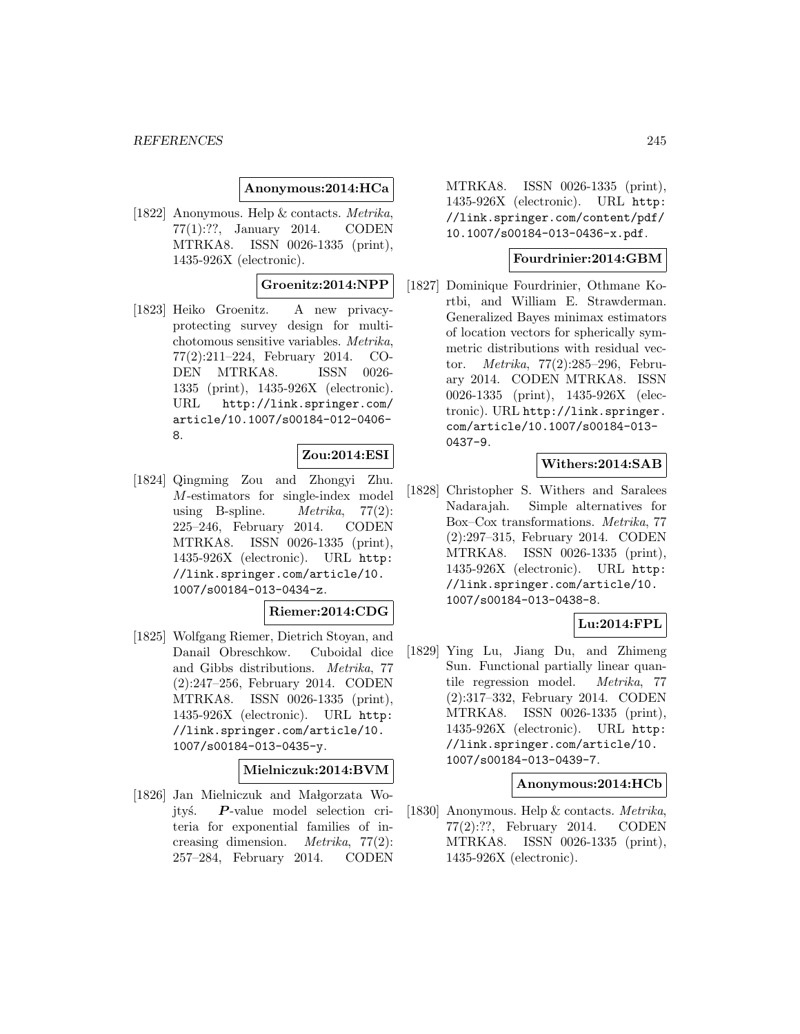### **Anonymous:2014:HCa**

[1822] Anonymous. Help & contacts. Metrika, 77(1):??, January 2014. CODEN MTRKA8. ISSN 0026-1335 (print), 1435-926X (electronic).

### **Groenitz:2014:NPP**

[1823] Heiko Groenitz. A new privacyprotecting survey design for multichotomous sensitive variables. Metrika, 77(2):211–224, February 2014. CO-DEN MTRKA8. ISSN 0026- 1335 (print), 1435-926X (electronic). URL http://link.springer.com/ article/10.1007/s00184-012-0406- 8.

### **Zou:2014:ESI**

[1824] Qingming Zou and Zhongyi Zhu. M-estimators for single-index model using B-spline. *Metrika*,  $77(2)$ : 225–246, February 2014. CODEN MTRKA8. ISSN 0026-1335 (print), 1435-926X (electronic). URL http: //link.springer.com/article/10. 1007/s00184-013-0434-z.

#### **Riemer:2014:CDG**

[1825] Wolfgang Riemer, Dietrich Stoyan, and Danail Obreschkow. Cuboidal dice and Gibbs distributions. Metrika, 77 (2):247–256, February 2014. CODEN MTRKA8. ISSN 0026-1335 (print), 1435-926X (electronic). URL http: //link.springer.com/article/10. 1007/s00184-013-0435-y.

#### **Mielniczuk:2014:BVM**

[1826] Jan Mielniczuk and Małgorzata Wojtyś. **P**-value model selection criteria for exponential families of increasing dimension. Metrika, 77(2): 257–284, February 2014. CODEN

MTRKA8. ISSN 0026-1335 (print), 1435-926X (electronic). URL http: //link.springer.com/content/pdf/ 10.1007/s00184-013-0436-x.pdf.

### **Fourdrinier:2014:GBM**

[1827] Dominique Fourdrinier, Othmane Kortbi, and William E. Strawderman. Generalized Bayes minimax estimators of location vectors for spherically symmetric distributions with residual vector. Metrika, 77(2):285–296, February 2014. CODEN MTRKA8. ISSN 0026-1335 (print), 1435-926X (electronic). URL http://link.springer. com/article/10.1007/s00184-013- 0437-9.

### **Withers:2014:SAB**

[1828] Christopher S. Withers and Saralees Nadarajah. Simple alternatives for Box–Cox transformations. Metrika, 77 (2):297–315, February 2014. CODEN MTRKA8. ISSN 0026-1335 (print), 1435-926X (electronic). URL http: //link.springer.com/article/10. 1007/s00184-013-0438-8.

### **Lu:2014:FPL**

[1829] Ying Lu, Jiang Du, and Zhimeng Sun. Functional partially linear quantile regression model. Metrika, 77 (2):317–332, February 2014. CODEN MTRKA8. ISSN 0026-1335 (print), 1435-926X (electronic). URL http: //link.springer.com/article/10. 1007/s00184-013-0439-7.

### **Anonymous:2014:HCb**

[1830] Anonymous. Help & contacts. Metrika, 77(2):??, February 2014. CODEN MTRKA8. ISSN 0026-1335 (print), 1435-926X (electronic).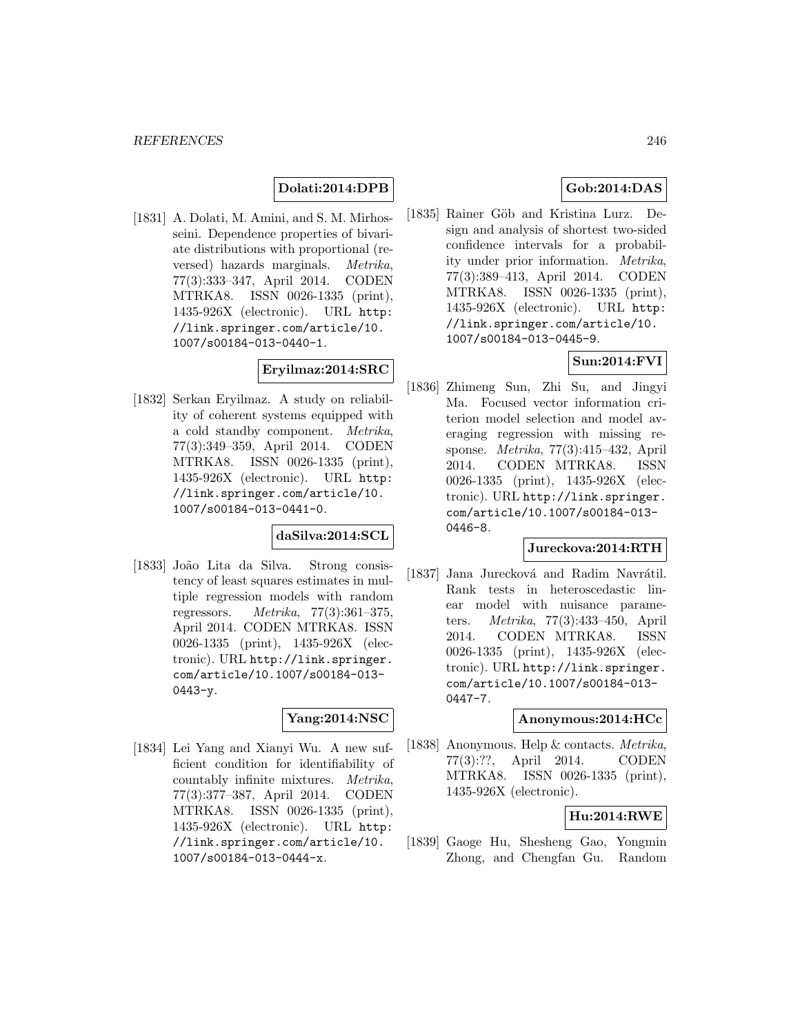## **Dolati:2014:DPB**

[1831] A. Dolati, M. Amini, and S. M. Mirhosseini. Dependence properties of bivariate distributions with proportional (reversed) hazards marginals. Metrika, 77(3):333–347, April 2014. CODEN MTRKA8. ISSN 0026-1335 (print), 1435-926X (electronic). URL http: //link.springer.com/article/10. 1007/s00184-013-0440-1.

# **Eryilmaz:2014:SRC**

[1832] Serkan Eryilmaz. A study on reliability of coherent systems equipped with a cold standby component. Metrika, 77(3):349–359, April 2014. CODEN MTRKA8. ISSN 0026-1335 (print), 1435-926X (electronic). URL http: //link.springer.com/article/10. 1007/s00184-013-0441-0.

## **daSilva:2014:SCL**

[1833] João Lita da Silva. Strong consistency of least squares estimates in multiple regression models with random regressors.  $Metrika$ , 77(3):361-375, April 2014. CODEN MTRKA8. ISSN 0026-1335 (print), 1435-926X (electronic). URL http://link.springer. com/article/10.1007/s00184-013- 0443-y.

### **Yang:2014:NSC**

[1834] Lei Yang and Xianyi Wu. A new sufficient condition for identifiability of countably infinite mixtures. Metrika, 77(3):377–387, April 2014. CODEN MTRKA8. ISSN 0026-1335 (print), 1435-926X (electronic). URL http: //link.springer.com/article/10. 1007/s00184-013-0444-x.

# **Gob:2014:DAS**

[1835] Rainer Göb and Kristina Lurz. Design and analysis of shortest two-sided confidence intervals for a probability under prior information. Metrika, 77(3):389–413, April 2014. CODEN MTRKA8. ISSN 0026-1335 (print), 1435-926X (electronic). URL http: //link.springer.com/article/10. 1007/s00184-013-0445-9.

# **Sun:2014:FVI**

[1836] Zhimeng Sun, Zhi Su, and Jingyi Ma. Focused vector information criterion model selection and model averaging regression with missing response. Metrika, 77(3):415–432, April 2014. CODEN MTRKA8. ISSN 0026-1335 (print), 1435-926X (electronic). URL http://link.springer. com/article/10.1007/s00184-013- 0446-8.

## **Jureckova:2014:RTH**

[1837] Jana Jurecková and Radim Navrátil. Rank tests in heteroscedastic linear model with nuisance parameters. Metrika, 77(3):433–450, April 2014. CODEN MTRKA8. ISSN 0026-1335 (print), 1435-926X (electronic). URL http://link.springer. com/article/10.1007/s00184-013- 0447-7.

### **Anonymous:2014:HCc**

[1838] Anonymous. Help & contacts. Metrika, 77(3):??, April 2014. CODEN MTRKA8. ISSN 0026-1335 (print), 1435-926X (electronic).

# **Hu:2014:RWE**

[1839] Gaoge Hu, Shesheng Gao, Yongmin Zhong, and Chengfan Gu. Random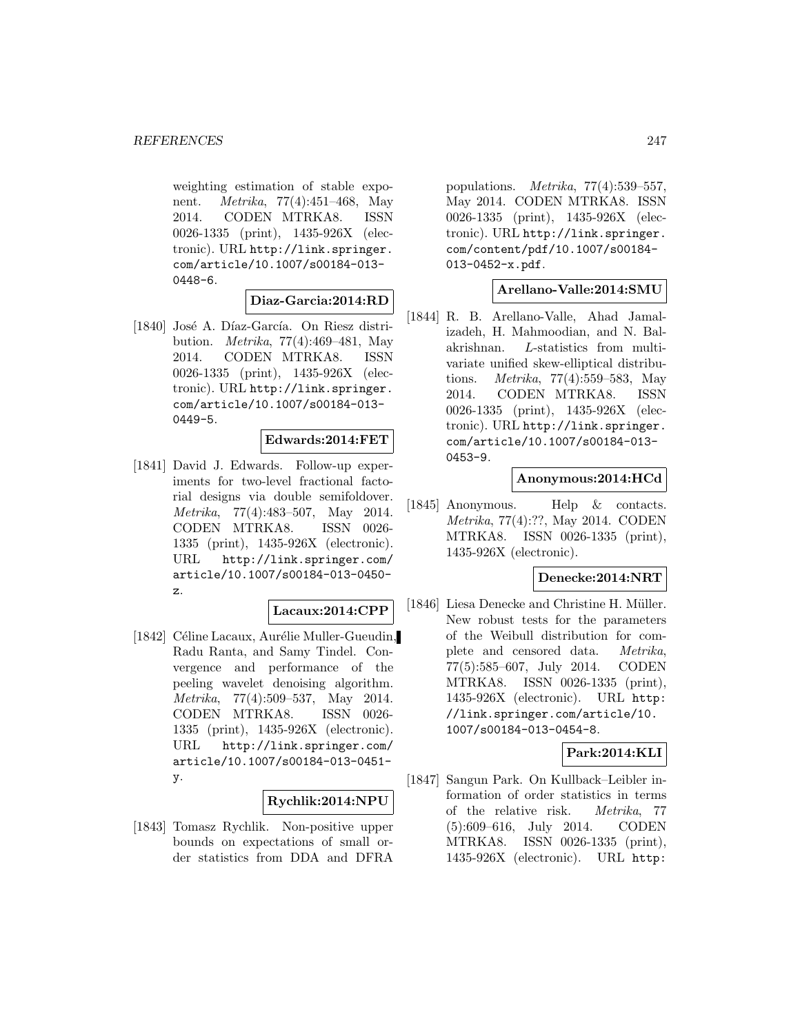weighting estimation of stable exponent. Metrika, 77(4):451–468, May 2014. CODEN MTRKA8. ISSN 0026-1335 (print), 1435-926X (electronic). URL http://link.springer. com/article/10.1007/s00184-013- 0448-6.

**Diaz-Garcia:2014:RD**

[1840] José A. Díaz-García. On Riesz distribution. Metrika, 77(4):469–481, May 2014. CODEN MTRKA8. ISSN 0026-1335 (print), 1435-926X (electronic). URL http://link.springer. com/article/10.1007/s00184-013- 0449-5.

### **Edwards:2014:FET**

[1841] David J. Edwards. Follow-up experiments for two-level fractional factorial designs via double semifoldover. Metrika, 77(4):483–507, May 2014. CODEN MTRKA8. ISSN 0026- 1335 (print), 1435-926X (electronic). URL http://link.springer.com/ article/10.1007/s00184-013-0450 z.

### **Lacaux:2014:CPP**

[1842] Céline Lacaux, Aurélie Muller-Gueudin, Radu Ranta, and Samy Tindel. Convergence and performance of the peeling wavelet denoising algorithm. Metrika, 77(4):509–537, May 2014. CODEN MTRKA8. ISSN 0026- 1335 (print), 1435-926X (electronic). URL http://link.springer.com/ article/10.1007/s00184-013-0451 y.

### **Rychlik:2014:NPU**

[1843] Tomasz Rychlik. Non-positive upper bounds on expectations of small order statistics from DDA and DFRA

populations. Metrika, 77(4):539–557, May 2014. CODEN MTRKA8. ISSN 0026-1335 (print), 1435-926X (electronic). URL http://link.springer. com/content/pdf/10.1007/s00184- 013-0452-x.pdf.

### **Arellano-Valle:2014:SMU**

[1844] R. B. Arellano-Valle, Ahad Jamalizadeh, H. Mahmoodian, and N. Balakrishnan. L-statistics from multivariate unified skew-elliptical distributions. Metrika, 77(4):559–583, May 2014. CODEN MTRKA8. ISSN 0026-1335 (print), 1435-926X (electronic). URL http://link.springer. com/article/10.1007/s00184-013- 0453-9.

### **Anonymous:2014:HCd**

[1845] Anonymous. Help & contacts. Metrika, 77(4):??, May 2014. CODEN MTRKA8. ISSN 0026-1335 (print), 1435-926X (electronic).

### **Denecke:2014:NRT**

[1846] Liesa Denecke and Christine H. Müller. New robust tests for the parameters of the Weibull distribution for complete and censored data. Metrika, 77(5):585–607, July 2014. CODEN MTRKA8. ISSN 0026-1335 (print), 1435-926X (electronic). URL http: //link.springer.com/article/10. 1007/s00184-013-0454-8.

## **Park:2014:KLI**

[1847] Sangun Park. On Kullback–Leibler information of order statistics in terms of the relative risk. Metrika, 77 (5):609–616, July 2014. CODEN MTRKA8. ISSN 0026-1335 (print), 1435-926X (electronic). URL http: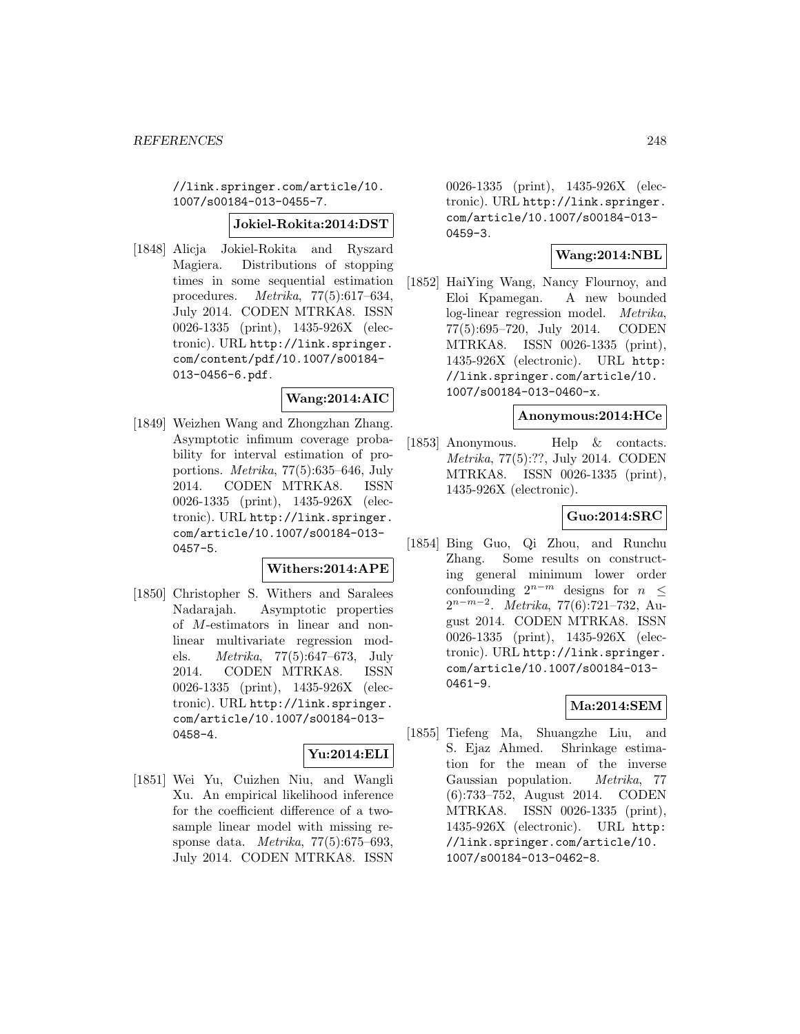//link.springer.com/article/10. 1007/s00184-013-0455-7.

#### **Jokiel-Rokita:2014:DST**

[1848] Alicja Jokiel-Rokita and Ryszard Magiera. Distributions of stopping times in some sequential estimation procedures.  $Metrika$ , 77(5):617–634, July 2014. CODEN MTRKA8. ISSN 0026-1335 (print), 1435-926X (electronic). URL http://link.springer. com/content/pdf/10.1007/s00184- 013-0456-6.pdf.

## **Wang:2014:AIC**

[1849] Weizhen Wang and Zhongzhan Zhang. Asymptotic infimum coverage probability for interval estimation of proportions. Metrika, 77(5):635–646, July 2014. CODEN MTRKA8. ISSN 0026-1335 (print), 1435-926X (electronic). URL http://link.springer. com/article/10.1007/s00184-013- 0457-5.

#### **Withers:2014:APE**

[1850] Christopher S. Withers and Saralees Nadarajah. Asymptotic properties of M-estimators in linear and nonlinear multivariate regression models. Metrika, 77(5):647–673, July 2014. CODEN MTRKA8. ISSN 0026-1335 (print), 1435-926X (electronic). URL http://link.springer. com/article/10.1007/s00184-013- 0458-4.

# **Yu:2014:ELI**

[1851] Wei Yu, Cuizhen Niu, and Wangli Xu. An empirical likelihood inference for the coefficient difference of a twosample linear model with missing response data. Metrika, 77(5):675–693, July 2014. CODEN MTRKA8. ISSN

0026-1335 (print), 1435-926X (electronic). URL http://link.springer. com/article/10.1007/s00184-013- 0459-3.

### **Wang:2014:NBL**

[1852] HaiYing Wang, Nancy Flournoy, and Eloi Kpamegan. A new bounded log-linear regression model. Metrika, 77(5):695–720, July 2014. CODEN MTRKA8. ISSN 0026-1335 (print), 1435-926X (electronic). URL http: //link.springer.com/article/10. 1007/s00184-013-0460-x.

### **Anonymous:2014:HCe**

[1853] Anonymous. Help & contacts. Metrika, 77(5):??, July 2014. CODEN MTRKA8. ISSN 0026-1335 (print), 1435-926X (electronic).

# **Guo:2014:SRC**

[1854] Bing Guo, Qi Zhou, and Runchu Zhang. Some results on constructing general minimum lower order confounding  $2^{n-m}$  designs for  $n <$  $2^{n-m-2}$ . *Metrika*, 77(6):721–732, August 2014. CODEN MTRKA8. ISSN 0026-1335 (print), 1435-926X (electronic). URL http://link.springer. com/article/10.1007/s00184-013- 0461-9.

### **Ma:2014:SEM**

[1855] Tiefeng Ma, Shuangzhe Liu, and S. Ejaz Ahmed. Shrinkage estimation for the mean of the inverse Gaussian population. Metrika, 77 (6):733–752, August 2014. CODEN MTRKA8. ISSN 0026-1335 (print), 1435-926X (electronic). URL http: //link.springer.com/article/10. 1007/s00184-013-0462-8.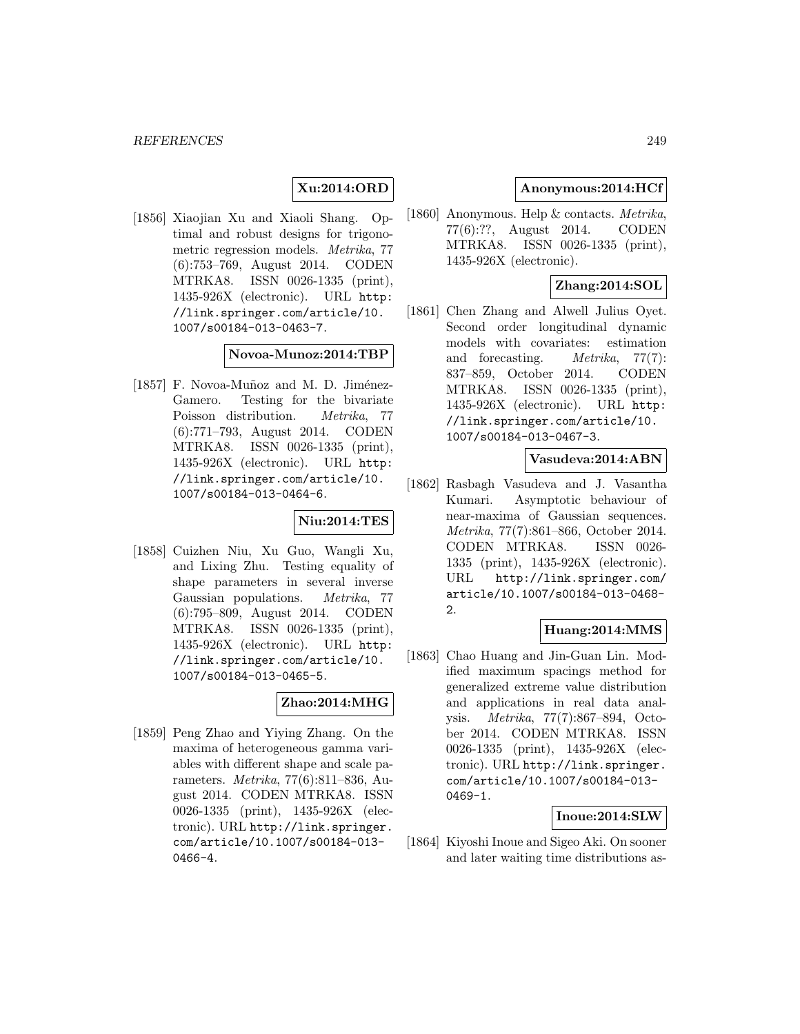# **Xu:2014:ORD**

[1856] Xiaojian Xu and Xiaoli Shang. Optimal and robust designs for trigonometric regression models. Metrika, 77 (6):753–769, August 2014. CODEN MTRKA8. ISSN 0026-1335 (print), 1435-926X (electronic). URL http: //link.springer.com/article/10. 1007/s00184-013-0463-7.

#### **Novoa-Munoz:2014:TBP**

[ $1857$ ] F. Novoa-Muñoz and M. D. Jiménez-Gamero. Testing for the bivariate Poisson distribution. Metrika, 77 (6):771–793, August 2014. CODEN MTRKA8. ISSN 0026-1335 (print), 1435-926X (electronic). URL http: //link.springer.com/article/10. 1007/s00184-013-0464-6.

# **Niu:2014:TES**

[1858] Cuizhen Niu, Xu Guo, Wangli Xu, and Lixing Zhu. Testing equality of shape parameters in several inverse Gaussian populations. Metrika, 77 (6):795–809, August 2014. CODEN MTRKA8. ISSN 0026-1335 (print), 1435-926X (electronic). URL http: //link.springer.com/article/10. 1007/s00184-013-0465-5.

## **Zhao:2014:MHG**

[1859] Peng Zhao and Yiying Zhang. On the maxima of heterogeneous gamma variables with different shape and scale parameters. Metrika, 77(6):811–836, August 2014. CODEN MTRKA8. ISSN 0026-1335 (print), 1435-926X (electronic). URL http://link.springer. com/article/10.1007/s00184-013- 0466-4.

### **Anonymous:2014:HCf**

[1860] Anonymous. Help & contacts. Metrika, 77(6):??, August 2014. CODEN MTRKA8. ISSN 0026-1335 (print), 1435-926X (electronic).

## **Zhang:2014:SOL**

[1861] Chen Zhang and Alwell Julius Oyet. Second order longitudinal dynamic models with covariates: estimation and forecasting. Metrika, 77(7): 837–859, October 2014. CODEN MTRKA8. ISSN 0026-1335 (print), 1435-926X (electronic). URL http: //link.springer.com/article/10. 1007/s00184-013-0467-3.

## **Vasudeva:2014:ABN**

[1862] Rasbagh Vasudeva and J. Vasantha Kumari. Asymptotic behaviour of near-maxima of Gaussian sequences. Metrika, 77(7):861–866, October 2014. CODEN MTRKA8. ISSN 0026- 1335 (print), 1435-926X (electronic). URL http://link.springer.com/ article/10.1007/s00184-013-0468- 2.

### **Huang:2014:MMS**

[1863] Chao Huang and Jin-Guan Lin. Modified maximum spacings method for generalized extreme value distribution and applications in real data analysis. Metrika, 77(7):867–894, October 2014. CODEN MTRKA8. ISSN 0026-1335 (print), 1435-926X (electronic). URL http://link.springer. com/article/10.1007/s00184-013- 0469-1.

### **Inoue:2014:SLW**

[1864] Kiyoshi Inoue and Sigeo Aki. On sooner and later waiting time distributions as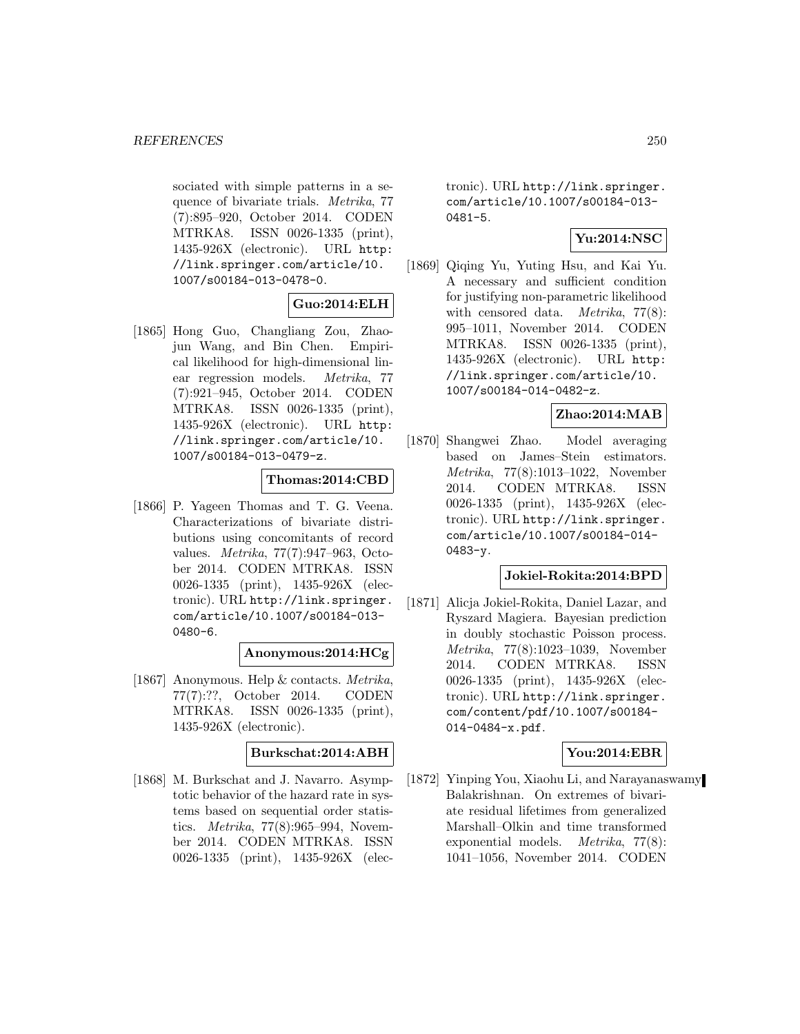sociated with simple patterns in a sequence of bivariate trials. Metrika, 77 (7):895–920, October 2014. CODEN MTRKA8. ISSN 0026-1335 (print), 1435-926X (electronic). URL http: //link.springer.com/article/10. 1007/s00184-013-0478-0.

## **Guo:2014:ELH**

[1865] Hong Guo, Changliang Zou, Zhaojun Wang, and Bin Chen. Empirical likelihood for high-dimensional linear regression models. Metrika, 77 (7):921–945, October 2014. CODEN MTRKA8. ISSN 0026-1335 (print), 1435-926X (electronic). URL http: //link.springer.com/article/10. 1007/s00184-013-0479-z.

### **Thomas:2014:CBD**

[1866] P. Yageen Thomas and T. G. Veena. Characterizations of bivariate distributions using concomitants of record values. Metrika, 77(7):947–963, October 2014. CODEN MTRKA8. ISSN 0026-1335 (print), 1435-926X (electronic). URL http://link.springer. com/article/10.1007/s00184-013- 0480-6.

### **Anonymous:2014:HCg**

[1867] Anonymous. Help & contacts. Metrika, 77(7):??, October 2014. CODEN MTRKA8. ISSN 0026-1335 (print), 1435-926X (electronic).

# **Burkschat:2014:ABH**

[1868] M. Burkschat and J. Navarro. Asymptotic behavior of the hazard rate in systems based on sequential order statistics. Metrika, 77(8):965–994, November 2014. CODEN MTRKA8. ISSN 0026-1335 (print), 1435-926X (electronic). URL http://link.springer. com/article/10.1007/s00184-013- 0481-5.

# **Yu:2014:NSC**

[1869] Qiqing Yu, Yuting Hsu, and Kai Yu. A necessary and sufficient condition for justifying non-parametric likelihood with censored data. *Metrika*, 77(8): 995–1011, November 2014. CODEN MTRKA8. ISSN 0026-1335 (print), 1435-926X (electronic). URL http: //link.springer.com/article/10. 1007/s00184-014-0482-z.

# **Zhao:2014:MAB**

[1870] Shangwei Zhao. Model averaging based on James–Stein estimators. Metrika, 77(8):1013–1022, November 2014. CODEN MTRKA8. ISSN 0026-1335 (print), 1435-926X (electronic). URL http://link.springer. com/article/10.1007/s00184-014- 0483-y.

### **Jokiel-Rokita:2014:BPD**

[1871] Alicja Jokiel-Rokita, Daniel Lazar, and Ryszard Magiera. Bayesian prediction in doubly stochastic Poisson process. Metrika, 77(8):1023–1039, November 2014. CODEN MTRKA8. ISSN 0026-1335 (print), 1435-926X (electronic). URL http://link.springer. com/content/pdf/10.1007/s00184- 014-0484-x.pdf.

# **You:2014:EBR**

[1872] Yinping You, Xiaohu Li, and Narayanaswamy Balakrishnan. On extremes of bivariate residual lifetimes from generalized Marshall–Olkin and time transformed exponential models. Metrika, 77(8): 1041–1056, November 2014. CODEN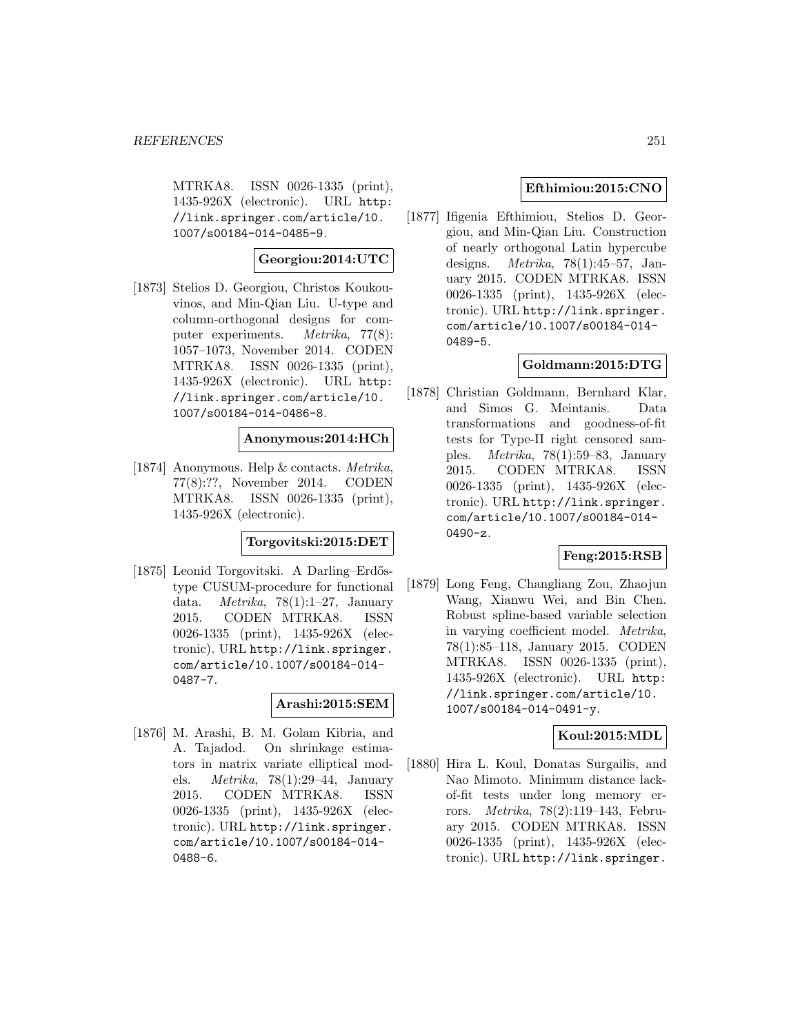MTRKA8. ISSN 0026-1335 (print), 1435-926X (electronic). URL http: //link.springer.com/article/10. 1007/s00184-014-0485-9.

## **Georgiou:2014:UTC**

[1873] Stelios D. Georgiou, Christos Koukouvinos, and Min-Qian Liu. U-type and column-orthogonal designs for computer experiments. Metrika, 77(8): 1057–1073, November 2014. CODEN MTRKA8. ISSN 0026-1335 (print), 1435-926X (electronic). URL http: //link.springer.com/article/10. 1007/s00184-014-0486-8.

### **Anonymous:2014:HCh**

[1874] Anonymous. Help & contacts. Metrika, 77(8):??, November 2014. CODEN MTRKA8. ISSN 0026-1335 (print), 1435-926X (electronic).

# **Torgovitski:2015:DET**

[1875] Leonid Torgovitski. A Darling–Erdőstype CUSUM-procedure for functional data. *Metrika*, 78(1):1–27, January 2015. CODEN MTRKA8. ISSN 0026-1335 (print), 1435-926X (electronic). URL http://link.springer. com/article/10.1007/s00184-014- 0487-7.

# **Arashi:2015:SEM**

[1876] M. Arashi, B. M. Golam Kibria, and A. Tajadod. On shrinkage estimators in matrix variate elliptical models. Metrika, 78(1):29–44, January 2015. CODEN MTRKA8. ISSN 0026-1335 (print), 1435-926X (electronic). URL http://link.springer. com/article/10.1007/s00184-014- 0488-6.

## **Efthimiou:2015:CNO**

[1877] Ifigenia Efthimiou, Stelios D. Georgiou, and Min-Qian Liu. Construction of nearly orthogonal Latin hypercube designs. Metrika, 78(1):45–57, January 2015. CODEN MTRKA8. ISSN 0026-1335 (print), 1435-926X (electronic). URL http://link.springer. com/article/10.1007/s00184-014- 0489-5.

# **Goldmann:2015:DTG**

[1878] Christian Goldmann, Bernhard Klar, and Simos G. Meintanis. Data transformations and goodness-of-fit tests for Type-II right censored samples. Metrika, 78(1):59–83, January 2015. CODEN MTRKA8. ISSN 0026-1335 (print), 1435-926X (electronic). URL http://link.springer. com/article/10.1007/s00184-014- 0490-z.

### **Feng:2015:RSB**

[1879] Long Feng, Changliang Zou, Zhaojun Wang, Xianwu Wei, and Bin Chen. Robust spline-based variable selection in varying coefficient model. Metrika, 78(1):85–118, January 2015. CODEN MTRKA8. ISSN 0026-1335 (print), 1435-926X (electronic). URL http: //link.springer.com/article/10. 1007/s00184-014-0491-y.

### **Koul:2015:MDL**

[1880] Hira L. Koul, Donatas Surgailis, and Nao Mimoto. Minimum distance lackof-fit tests under long memory errors. Metrika, 78(2):119–143, February 2015. CODEN MTRKA8. ISSN 0026-1335 (print), 1435-926X (electronic). URL http://link.springer.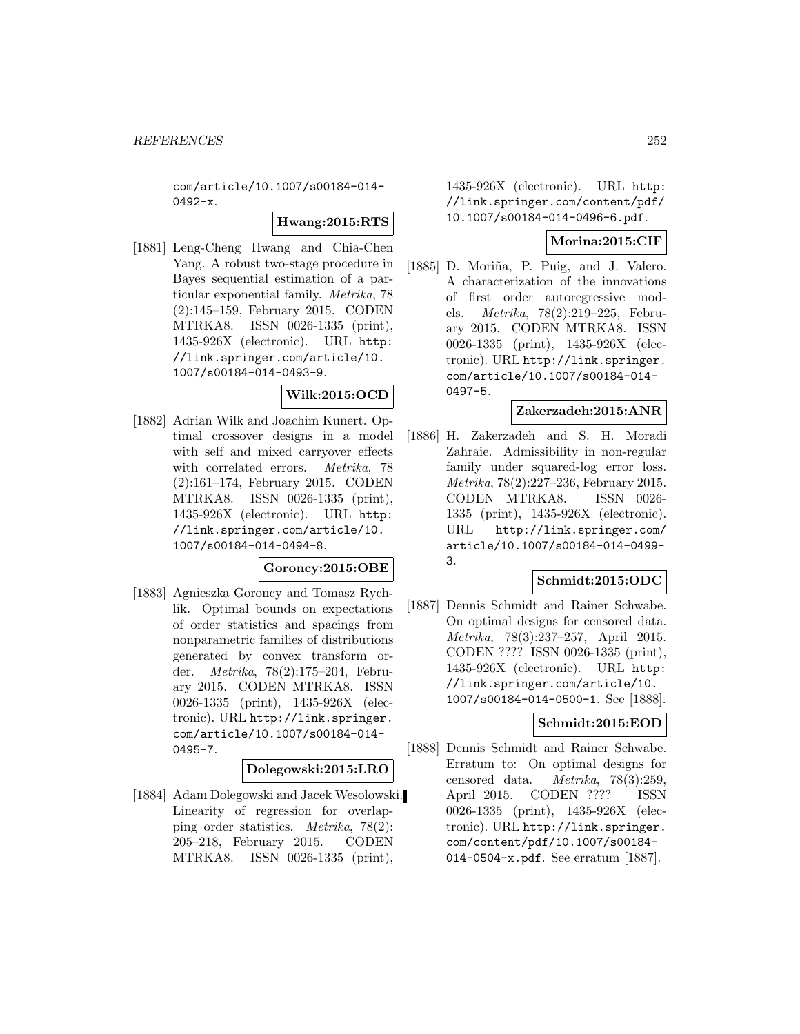com/article/10.1007/s00184-014-  $0492-x.$ 

### **Hwang:2015:RTS**

[1881] Leng-Cheng Hwang and Chia-Chen Yang. A robust two-stage procedure in Bayes sequential estimation of a particular exponential family. Metrika, 78 (2):145–159, February 2015. CODEN MTRKA8. ISSN 0026-1335 (print), 1435-926X (electronic). URL http: //link.springer.com/article/10. 1007/s00184-014-0493-9.

# **Wilk:2015:OCD**

[1882] Adrian Wilk and Joachim Kunert. Optimal crossover designs in a model with self and mixed carryover effects with correlated errors. Metrika, 78 (2):161–174, February 2015. CODEN MTRKA8. ISSN 0026-1335 (print), 1435-926X (electronic). URL http: //link.springer.com/article/10. 1007/s00184-014-0494-8.

### **Goroncy:2015:OBE**

[1883] Agnieszka Goroncy and Tomasz Rychlik. Optimal bounds on expectations of order statistics and spacings from nonparametric families of distributions generated by convex transform order. Metrika, 78(2):175–204, February 2015. CODEN MTRKA8. ISSN 0026-1335 (print), 1435-926X (electronic). URL http://link.springer. com/article/10.1007/s00184-014- 0495-7.

### **Dolegowski:2015:LRO**

[1884] Adam Dolegowski and Jacek Wesolowski. Linearity of regression for overlapping order statistics. Metrika, 78(2): 205–218, February 2015. CODEN MTRKA8. ISSN 0026-1335 (print),

1435-926X (electronic). URL http: //link.springer.com/content/pdf/ 10.1007/s00184-014-0496-6.pdf.

# **Morina:2015:CIF**

[1885] D. Moriña, P. Puig, and J. Valero. A characterization of the innovations of first order autoregressive models. Metrika, 78(2):219–225, February 2015. CODEN MTRKA8. ISSN 0026-1335 (print), 1435-926X (electronic). URL http://link.springer. com/article/10.1007/s00184-014- 0497-5.

## **Zakerzadeh:2015:ANR**

[1886] H. Zakerzadeh and S. H. Moradi Zahraie. Admissibility in non-regular family under squared-log error loss. Metrika, 78(2):227–236, February 2015. CODEN MTRKA8. ISSN 0026- 1335 (print), 1435-926X (electronic). URL http://link.springer.com/ article/10.1007/s00184-014-0499- 3.

## **Schmidt:2015:ODC**

[1887] Dennis Schmidt and Rainer Schwabe. On optimal designs for censored data. Metrika, 78(3):237–257, April 2015. CODEN ???? ISSN 0026-1335 (print), 1435-926X (electronic). URL http: //link.springer.com/article/10. 1007/s00184-014-0500-1. See [1888].

### **Schmidt:2015:EOD**

[1888] Dennis Schmidt and Rainer Schwabe. Erratum to: On optimal designs for censored data. Metrika, 78(3):259, April 2015. CODEN ???? ISSN 0026-1335 (print), 1435-926X (electronic). URL http://link.springer. com/content/pdf/10.1007/s00184- 014-0504-x.pdf. See erratum [1887].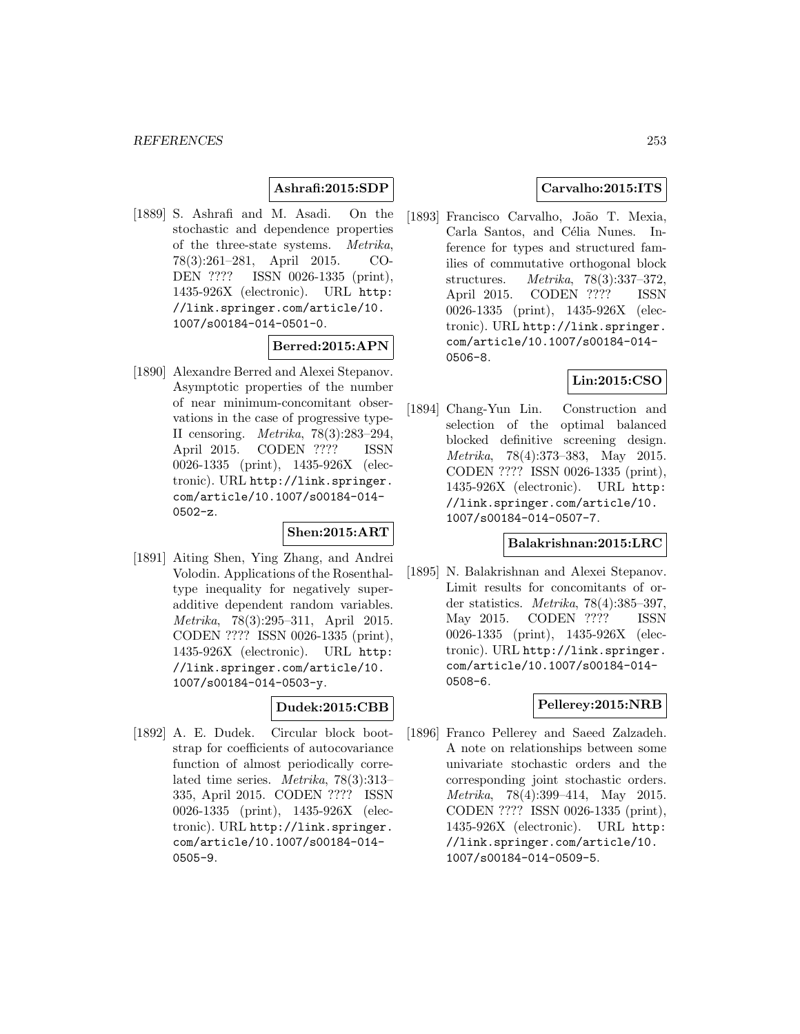## **Ashrafi:2015:SDP**

[1889] S. Ashrafi and M. Asadi. On the stochastic and dependence properties of the three-state systems. Metrika, 78(3):261–281, April 2015. CO-DEN ???? ISSN 0026-1335 (print), 1435-926X (electronic). URL http: //link.springer.com/article/10. 1007/s00184-014-0501-0.

### **Berred:2015:APN**

[1890] Alexandre Berred and Alexei Stepanov. Asymptotic properties of the number of near minimum-concomitant observations in the case of progressive type-II censoring. Metrika, 78(3):283–294, April 2015. CODEN ???? ISSN 0026-1335 (print), 1435-926X (electronic). URL http://link.springer. com/article/10.1007/s00184-014- 0502-z.

#### **Shen:2015:ART**

[1891] Aiting Shen, Ying Zhang, and Andrei Volodin. Applications of the Rosenthaltype inequality for negatively superadditive dependent random variables. Metrika, 78(3):295–311, April 2015. CODEN ???? ISSN 0026-1335 (print), 1435-926X (electronic). URL http: //link.springer.com/article/10. 1007/s00184-014-0503-y.

## **Dudek:2015:CBB**

[1892] A. E. Dudek. Circular block bootstrap for coefficients of autocovariance function of almost periodically correlated time series. Metrika, 78(3):313– 335, April 2015. CODEN ???? ISSN 0026-1335 (print), 1435-926X (electronic). URL http://link.springer. com/article/10.1007/s00184-014- 0505-9.

## **Carvalho:2015:ITS**

[1893] Francisco Carvalho, João T. Mexia, Carla Santos, and Célia Nunes. Inference for types and structured families of commutative orthogonal block structures. Metrika, 78(3):337–372, April 2015. CODEN ???? ISSN 0026-1335 (print), 1435-926X (electronic). URL http://link.springer. com/article/10.1007/s00184-014- 0506-8.

## **Lin:2015:CSO**

[1894] Chang-Yun Lin. Construction and selection of the optimal balanced blocked definitive screening design. Metrika, 78(4):373–383, May 2015. CODEN ???? ISSN 0026-1335 (print), 1435-926X (electronic). URL http: //link.springer.com/article/10. 1007/s00184-014-0507-7.

#### **Balakrishnan:2015:LRC**

[1895] N. Balakrishnan and Alexei Stepanov. Limit results for concomitants of order statistics. Metrika, 78(4):385–397, May 2015. CODEN ???? ISSN 0026-1335 (print), 1435-926X (electronic). URL http://link.springer. com/article/10.1007/s00184-014- 0508-6.

### **Pellerey:2015:NRB**

[1896] Franco Pellerey and Saeed Zalzadeh. A note on relationships between some univariate stochastic orders and the corresponding joint stochastic orders. Metrika, 78(4):399–414, May 2015. CODEN ???? ISSN 0026-1335 (print), 1435-926X (electronic). URL http: //link.springer.com/article/10. 1007/s00184-014-0509-5.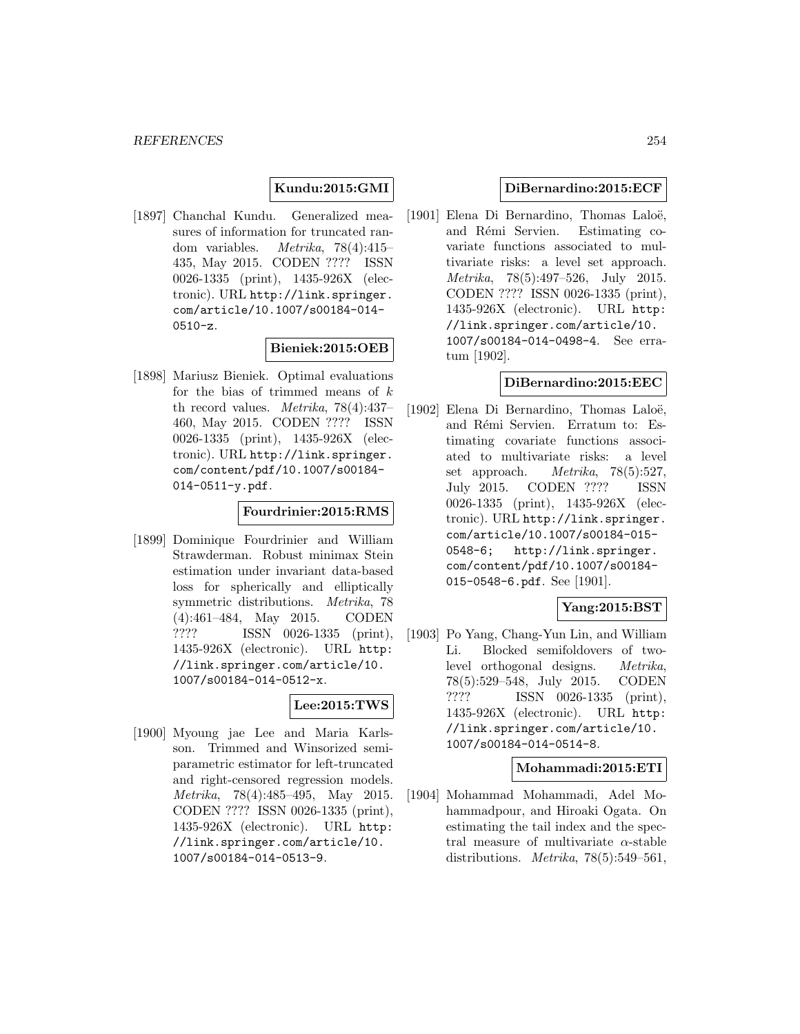### **Kundu:2015:GMI**

[1897] Chanchal Kundu. Generalized measures of information for truncated random variables. Metrika, 78(4):415– 435, May 2015. CODEN ???? ISSN 0026-1335 (print), 1435-926X (electronic). URL http://link.springer. com/article/10.1007/s00184-014- 0510-z.

### **Bieniek:2015:OEB**

[1898] Mariusz Bieniek. Optimal evaluations for the bias of trimmed means of  $k$ th record values. *Metrika*,  $78(4):437-$ 460, May 2015. CODEN ???? ISSN 0026-1335 (print), 1435-926X (electronic). URL http://link.springer. com/content/pdf/10.1007/s00184- 014-0511-y.pdf.

#### **Fourdrinier:2015:RMS**

[1899] Dominique Fourdrinier and William Strawderman. Robust minimax Stein estimation under invariant data-based loss for spherically and elliptically symmetric distributions. Metrika, 78 (4):461–484, May 2015. CODEN ???? ISSN 0026-1335 (print), 1435-926X (electronic). URL http: //link.springer.com/article/10. 1007/s00184-014-0512-x.

## **Lee:2015:TWS**

[1900] Myoung jae Lee and Maria Karlsson. Trimmed and Winsorized semiparametric estimator for left-truncated and right-censored regression models. Metrika, 78(4):485–495, May 2015. CODEN ???? ISSN 0026-1335 (print), 1435-926X (electronic). URL http: //link.springer.com/article/10. 1007/s00184-014-0513-9.

### **DiBernardino:2015:ECF**

[1901] Elena Di Bernardino, Thomas Laloë, and Rémi Servien. Estimating covariate functions associated to multivariate risks: a level set approach. Metrika, 78(5):497–526, July 2015. CODEN ???? ISSN 0026-1335 (print), 1435-926X (electronic). URL http: //link.springer.com/article/10. 1007/s00184-014-0498-4. See erratum [1902].

#### **DiBernardino:2015:EEC**

[1902] Elena Di Bernardino, Thomas Laloë, and Rémi Servien. Erratum to: Estimating covariate functions associated to multivariate risks: a level set approach. Metrika, 78(5):527, July 2015. CODEN ???? ISSN 0026-1335 (print), 1435-926X (electronic). URL http://link.springer. com/article/10.1007/s00184-015- 0548-6; http://link.springer. com/content/pdf/10.1007/s00184- 015-0548-6.pdf. See [1901].

## **Yang:2015:BST**

[1903] Po Yang, Chang-Yun Lin, and William Li. Blocked semifoldovers of twolevel orthogonal designs. Metrika, 78(5):529–548, July 2015. CODEN ???? ISSN 0026-1335 (print), 1435-926X (electronic). URL http: //link.springer.com/article/10. 1007/s00184-014-0514-8.

#### **Mohammadi:2015:ETI**

[1904] Mohammad Mohammadi, Adel Mohammadpour, and Hiroaki Ogata. On estimating the tail index and the spectral measure of multivariate  $\alpha$ -stable distributions. Metrika, 78(5):549–561,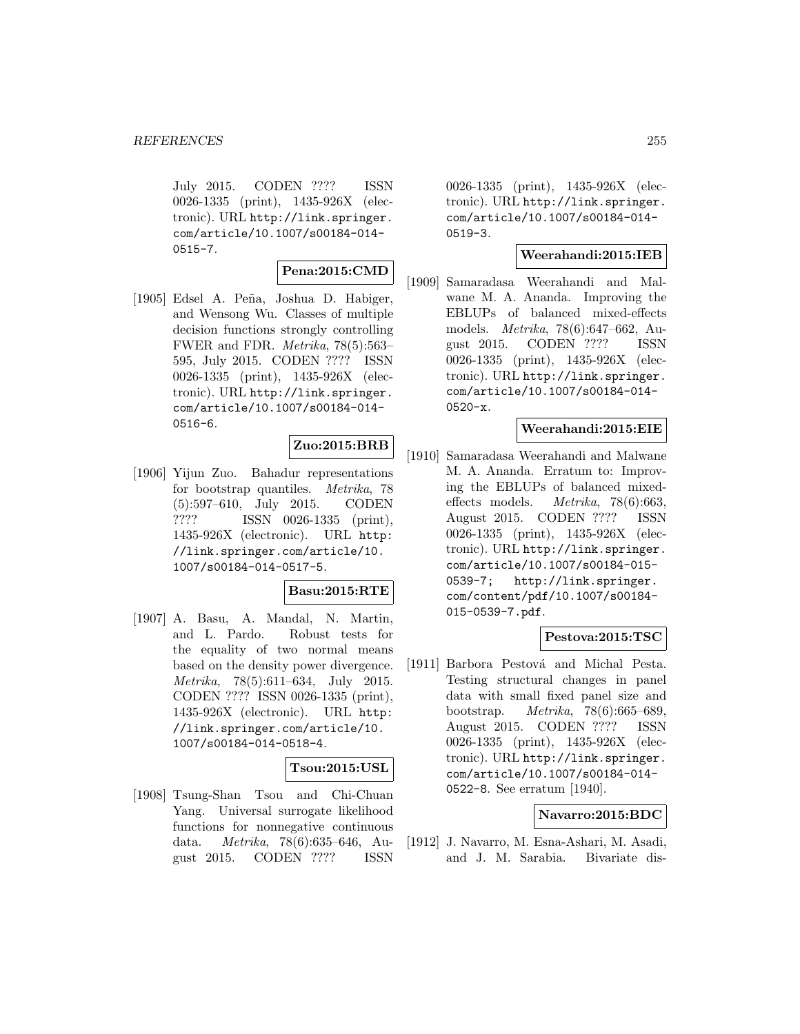July 2015. CODEN ???? ISSN 0026-1335 (print), 1435-926X (electronic). URL http://link.springer. com/article/10.1007/s00184-014-  $0515 - 7.$ 

#### **Pena:2015:CMD**

[1905] Edsel A. Peña, Joshua D. Habiger, and Wensong Wu. Classes of multiple decision functions strongly controlling FWER and FDR. Metrika, 78(5):563– 595, July 2015. CODEN ???? ISSN 0026-1335 (print), 1435-926X (electronic). URL http://link.springer. com/article/10.1007/s00184-014- 0516-6.

## **Zuo:2015:BRB**

[1906] Yijun Zuo. Bahadur representations for bootstrap quantiles. Metrika, 78 (5):597–610, July 2015. CODEN ???? ISSN 0026-1335 (print), 1435-926X (electronic). URL http: //link.springer.com/article/10. 1007/s00184-014-0517-5.

#### **Basu:2015:RTE**

[1907] A. Basu, A. Mandal, N. Martin, and L. Pardo. Robust tests for the equality of two normal means based on the density power divergence. Metrika, 78(5):611–634, July 2015. CODEN ???? ISSN 0026-1335 (print), 1435-926X (electronic). URL http: //link.springer.com/article/10. 1007/s00184-014-0518-4.

### **Tsou:2015:USL**

[1908] Tsung-Shan Tsou and Chi-Chuan Yang. Universal surrogate likelihood functions for nonnegative continuous data. Metrika, 78(6):635–646, August 2015. CODEN ???? ISSN

0026-1335 (print), 1435-926X (electronic). URL http://link.springer. com/article/10.1007/s00184-014- 0519-3.

#### **Weerahandi:2015:IEB**

[1909] Samaradasa Weerahandi and Malwane M. A. Ananda. Improving the EBLUPs of balanced mixed-effects models. Metrika, 78(6):647–662, August 2015. CODEN ???? ISSN 0026-1335 (print), 1435-926X (electronic). URL http://link.springer. com/article/10.1007/s00184-014- 0520-x.

#### **Weerahandi:2015:EIE**

[1910] Samaradasa Weerahandi and Malwane M. A. Ananda. Erratum to: Improving the EBLUPs of balanced mixedeffects models. Metrika, 78(6):663, August 2015. CODEN ???? ISSN 0026-1335 (print), 1435-926X (electronic). URL http://link.springer. com/article/10.1007/s00184-015- 0539-7; http://link.springer. com/content/pdf/10.1007/s00184- 015-0539-7.pdf.

### **Pestova:2015:TSC**

[1911] Barbora Pestová and Michal Pesta. Testing structural changes in panel data with small fixed panel size and bootstrap. Metrika, 78(6):665–689, August 2015. CODEN ???? ISSN 0026-1335 (print), 1435-926X (electronic). URL http://link.springer. com/article/10.1007/s00184-014- 0522-8. See erratum [1940].

### **Navarro:2015:BDC**

[1912] J. Navarro, M. Esna-Ashari, M. Asadi, and J. M. Sarabia. Bivariate dis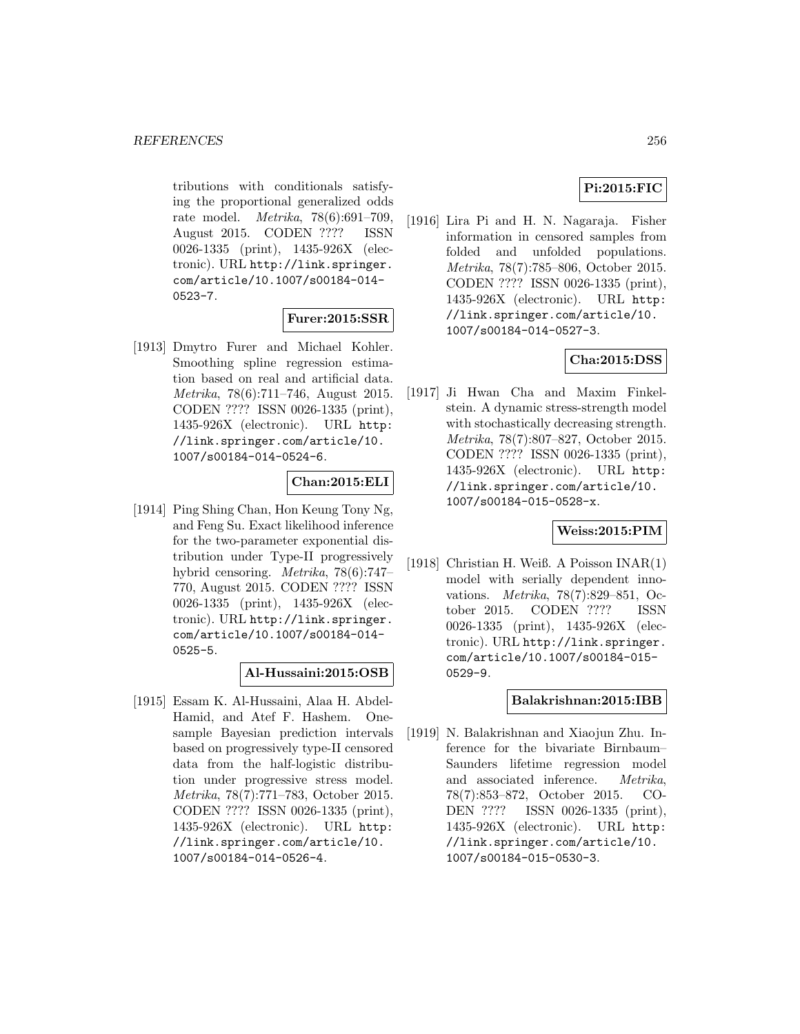tributions with conditionals satisfying the proportional generalized odds rate model. Metrika, 78(6):691–709, August 2015. CODEN ???? ISSN 0026-1335 (print), 1435-926X (electronic). URL http://link.springer. com/article/10.1007/s00184-014- 0523-7.

#### **Furer:2015:SSR**

[1913] Dmytro Furer and Michael Kohler. Smoothing spline regression estimation based on real and artificial data. Metrika, 78(6):711–746, August 2015. CODEN ???? ISSN 0026-1335 (print), 1435-926X (electronic). URL http: //link.springer.com/article/10. 1007/s00184-014-0524-6.

### **Chan:2015:ELI**

[1914] Ping Shing Chan, Hon Keung Tony Ng, and Feng Su. Exact likelihood inference for the two-parameter exponential distribution under Type-II progressively hybrid censoring. Metrika, 78(6):747– 770, August 2015. CODEN ???? ISSN 0026-1335 (print), 1435-926X (electronic). URL http://link.springer. com/article/10.1007/s00184-014- 0525-5.

#### **Al-Hussaini:2015:OSB**

[1915] Essam K. Al-Hussaini, Alaa H. Abdel-Hamid, and Atef F. Hashem. Onesample Bayesian prediction intervals based on progressively type-II censored data from the half-logistic distribution under progressive stress model. Metrika, 78(7):771–783, October 2015. CODEN ???? ISSN 0026-1335 (print), 1435-926X (electronic). URL http: //link.springer.com/article/10. 1007/s00184-014-0526-4.

## **Pi:2015:FIC**

[1916] Lira Pi and H. N. Nagaraja. Fisher information in censored samples from folded and unfolded populations. Metrika, 78(7):785–806, October 2015. CODEN ???? ISSN 0026-1335 (print), 1435-926X (electronic). URL http: //link.springer.com/article/10. 1007/s00184-014-0527-3.

#### **Cha:2015:DSS**

[1917] Ji Hwan Cha and Maxim Finkelstein. A dynamic stress-strength model with stochastically decreasing strength. Metrika, 78(7):807–827, October 2015. CODEN ???? ISSN 0026-1335 (print), 1435-926X (electronic). URL http: //link.springer.com/article/10. 1007/s00184-015-0528-x.

#### **Weiss:2015:PIM**

[1918] Christian H. Weiß. A Poisson INAR(1) model with serially dependent innovations. Metrika, 78(7):829–851, October 2015. CODEN ???? ISSN 0026-1335 (print), 1435-926X (electronic). URL http://link.springer. com/article/10.1007/s00184-015- 0529-9.

#### **Balakrishnan:2015:IBB**

[1919] N. Balakrishnan and Xiaojun Zhu. Inference for the bivariate Birnbaum– Saunders lifetime regression model and associated inference. Metrika, 78(7):853–872, October 2015. CO-DEN ???? ISSN 0026-1335 (print), 1435-926X (electronic). URL http: //link.springer.com/article/10. 1007/s00184-015-0530-3.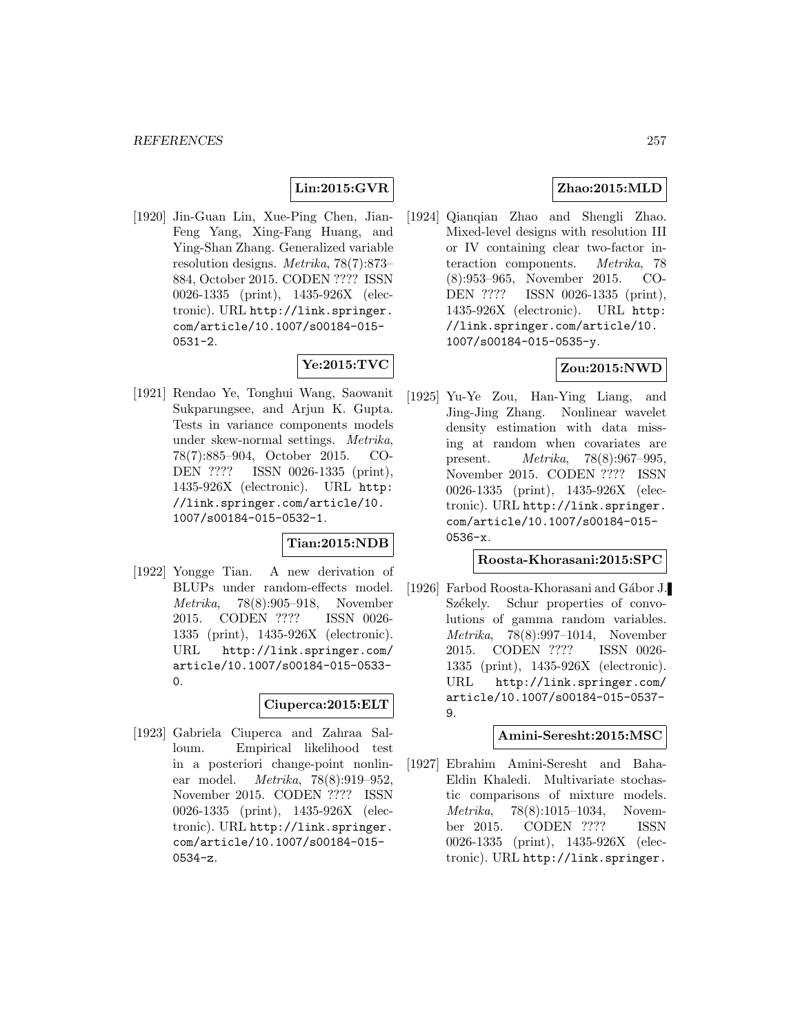## **Lin:2015:GVR**

[1920] Jin-Guan Lin, Xue-Ping Chen, Jian-Feng Yang, Xing-Fang Huang, and Ying-Shan Zhang. Generalized variable resolution designs. Metrika, 78(7):873– 884, October 2015. CODEN ???? ISSN 0026-1335 (print), 1435-926X (electronic). URL http://link.springer. com/article/10.1007/s00184-015-  $0531 - 2.$ 

# **Ye:2015:TVC**

[1921] Rendao Ye, Tonghui Wang, Saowanit Sukparungsee, and Arjun K. Gupta. Tests in variance components models under skew-normal settings. Metrika, 78(7):885–904, October 2015. CO-DEN ???? ISSN 0026-1335 (print), 1435-926X (electronic). URL http: //link.springer.com/article/10. 1007/s00184-015-0532-1.

#### **Tian:2015:NDB**

[1922] Yongge Tian. A new derivation of BLUPs under random-effects model. Metrika, 78(8):905–918, November 2015. CODEN ???? ISSN 0026- 1335 (print), 1435-926X (electronic). URL http://link.springer.com/ article/10.1007/s00184-015-0533-  $\Omega$ .

### **Ciuperca:2015:ELT**

[1923] Gabriela Ciuperca and Zahraa Salloum. Empirical likelihood test in a posteriori change-point nonlinear model. Metrika, 78(8):919–952, November 2015. CODEN ???? ISSN 0026-1335 (print), 1435-926X (electronic). URL http://link.springer. com/article/10.1007/s00184-015- 0534-z.

## **Zhao:2015:MLD**

[1924] Qianqian Zhao and Shengli Zhao. Mixed-level designs with resolution III or IV containing clear two-factor interaction components. Metrika, 78 (8):953–965, November 2015. CO-DEN ???? ISSN 0026-1335 (print), 1435-926X (electronic). URL http: //link.springer.com/article/10. 1007/s00184-015-0535-y.

### **Zou:2015:NWD**

[1925] Yu-Ye Zou, Han-Ying Liang, and Jing-Jing Zhang. Nonlinear wavelet density estimation with data missing at random when covariates are present. Metrika, 78(8):967–995, November 2015. CODEN ???? ISSN 0026-1335 (print), 1435-926X (electronic). URL http://link.springer. com/article/10.1007/s00184-015- 0536-x.

### **Roosta-Khorasani:2015:SPC**

[1926] Farbod Roosta-Khorasani and Gábor J. Székely. Schur properties of convolutions of gamma random variables. Metrika, 78(8):997–1014, November 2015. CODEN ???? ISSN 0026- 1335 (print), 1435-926X (electronic). URL http://link.springer.com/ article/10.1007/s00184-015-0537- 9.

### **Amini-Seresht:2015:MSC**

[1927] Ebrahim Amini-Seresht and Baha-Eldin Khaledi. Multivariate stochastic comparisons of mixture models. Metrika, 78(8):1015–1034, November 2015. CODEN ???? ISSN 0026-1335 (print), 1435-926X (electronic). URL http://link.springer.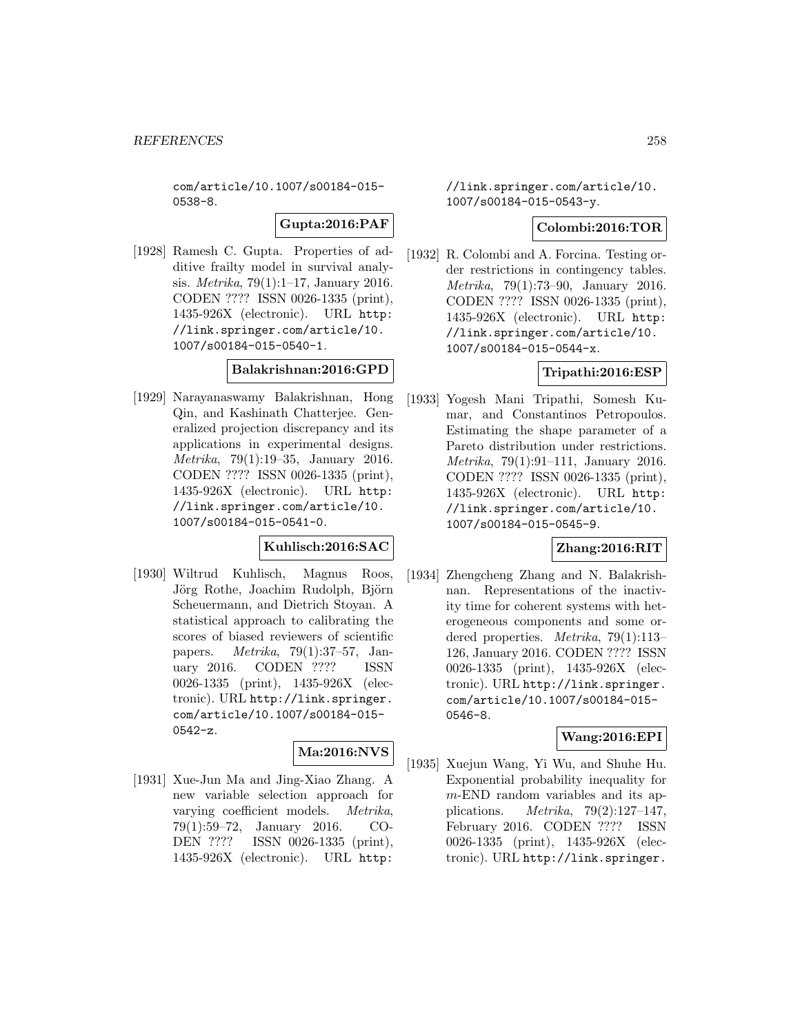com/article/10.1007/s00184-015- 0538-8.

**Gupta:2016:PAF**

[1928] Ramesh C. Gupta. Properties of additive frailty model in survival analysis. Metrika, 79(1):1–17, January 2016. CODEN ???? ISSN 0026-1335 (print), 1435-926X (electronic). URL http: //link.springer.com/article/10. 1007/s00184-015-0540-1.

## **Balakrishnan:2016:GPD**

[1929] Narayanaswamy Balakrishnan, Hong Qin, and Kashinath Chatterjee. Generalized projection discrepancy and its applications in experimental designs. Metrika, 79(1):19–35, January 2016. CODEN ???? ISSN 0026-1335 (print), 1435-926X (electronic). URL http: //link.springer.com/article/10. 1007/s00184-015-0541-0.

### **Kuhlisch:2016:SAC**

[1930] Wiltrud Kuhlisch, Magnus Roos, Jörg Rothe, Joachim Rudolph, Björn Scheuermann, and Dietrich Stoyan. A statistical approach to calibrating the scores of biased reviewers of scientific papers. *Metrika*, 79(1):37–57, Jan-<br>uarv 2016. CODEN ???? ISSN uary 2016. CODEN ???? 0026-1335 (print), 1435-926X (electronic). URL http://link.springer. com/article/10.1007/s00184-015- 0542-z.

# **Ma:2016:NVS**

[1931] Xue-Jun Ma and Jing-Xiao Zhang. A new variable selection approach for varying coefficient models. Metrika, 79(1):59–72, January 2016. CO-DEN ???? ISSN 0026-1335 (print), 1435-926X (electronic). URL http:

//link.springer.com/article/10. 1007/s00184-015-0543-y.

#### **Colombi:2016:TOR**

[1932] R. Colombi and A. Forcina. Testing order restrictions in contingency tables. Metrika, 79(1):73–90, January 2016. CODEN ???? ISSN 0026-1335 (print), 1435-926X (electronic). URL http: //link.springer.com/article/10. 1007/s00184-015-0544-x.

## **Tripathi:2016:ESP**

[1933] Yogesh Mani Tripathi, Somesh Kumar, and Constantinos Petropoulos. Estimating the shape parameter of a Pareto distribution under restrictions. Metrika, 79(1):91–111, January 2016. CODEN ???? ISSN 0026-1335 (print), 1435-926X (electronic). URL http: //link.springer.com/article/10. 1007/s00184-015-0545-9.

### **Zhang:2016:RIT**

[1934] Zhengcheng Zhang and N. Balakrishnan. Representations of the inactivity time for coherent systems with heterogeneous components and some ordered properties. Metrika, 79(1):113– 126, January 2016. CODEN ???? ISSN 0026-1335 (print), 1435-926X (electronic). URL http://link.springer. com/article/10.1007/s00184-015- 0546-8.

### **Wang:2016:EPI**

[1935] Xuejun Wang, Yi Wu, and Shuhe Hu. Exponential probability inequality for m-END random variables and its applications. Metrika, 79(2):127–147, February 2016. CODEN ???? ISSN 0026-1335 (print), 1435-926X (electronic). URL http://link.springer.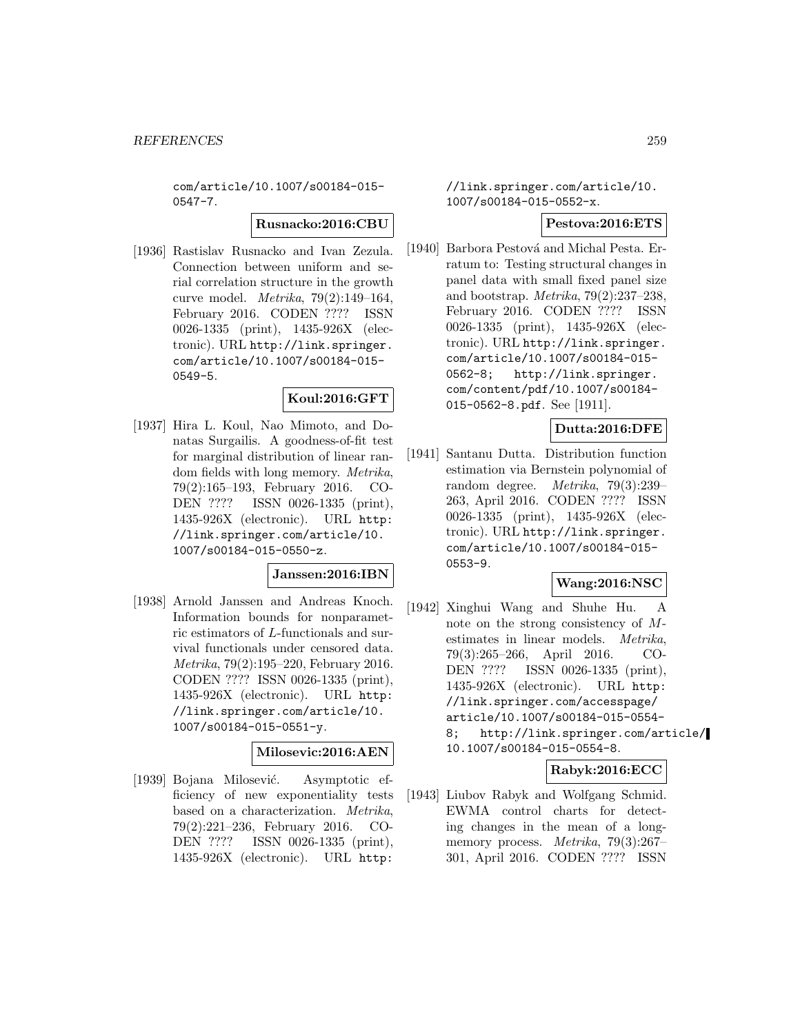com/article/10.1007/s00184-015- 0547-7.

#### **Rusnacko:2016:CBU**

[1936] Rastislav Rusnacko and Ivan Zezula. Connection between uniform and serial correlation structure in the growth curve model. Metrika, 79(2):149–164, February 2016. CODEN ???? ISSN 0026-1335 (print), 1435-926X (electronic). URL http://link.springer. com/article/10.1007/s00184-015- 0549-5.

### **Koul:2016:GFT**

[1937] Hira L. Koul, Nao Mimoto, and Donatas Surgailis. A goodness-of-fit test for marginal distribution of linear random fields with long memory. Metrika, 79(2):165–193, February 2016. CO-DEN ???? ISSN 0026-1335 (print), 1435-926X (electronic). URL http: //link.springer.com/article/10. 1007/s00184-015-0550-z.

### **Janssen:2016:IBN**

[1938] Arnold Janssen and Andreas Knoch. Information bounds for nonparametric estimators of L-functionals and survival functionals under censored data. Metrika, 79(2):195–220, February 2016. CODEN ???? ISSN 0026-1335 (print), 1435-926X (electronic). URL http: //link.springer.com/article/10. 1007/s00184-015-0551-y.

# **Milosevic:2016:AEN**

[1939] Bojana Milosević. Asymptotic efficiency of new exponentiality tests based on a characterization. Metrika, 79(2):221–236, February 2016. CO-DEN ???? ISSN 0026-1335 (print), 1435-926X (electronic). URL http:

### //link.springer.com/article/10. 1007/s00184-015-0552-x.

### **Pestova:2016:ETS**

[1940] Barbora Pestová and Michal Pesta. Erratum to: Testing structural changes in panel data with small fixed panel size and bootstrap. Metrika, 79(2):237–238, February 2016. CODEN ???? ISSN 0026-1335 (print), 1435-926X (electronic). URL http://link.springer. com/article/10.1007/s00184-015- 0562-8; http://link.springer. com/content/pdf/10.1007/s00184- 015-0562-8.pdf. See [1911].

## **Dutta:2016:DFE**

[1941] Santanu Dutta. Distribution function estimation via Bernstein polynomial of random degree. Metrika, 79(3):239– 263, April 2016. CODEN ???? ISSN 0026-1335 (print), 1435-926X (electronic). URL http://link.springer. com/article/10.1007/s00184-015- 0553-9.

### **Wang:2016:NSC**

[1942] Xinghui Wang and Shuhe Hu. A note on the strong consistency of Mestimates in linear models. Metrika, 79(3):265–266, April 2016. CO-DEN ???? ISSN 0026-1335 (print), 1435-926X (electronic). URL http: //link.springer.com/accesspage/ article/10.1007/s00184-015-0554- 8; http://link.springer.com/article/ 10.1007/s00184-015-0554-8.

### **Rabyk:2016:ECC**

[1943] Liubov Rabyk and Wolfgang Schmid. EWMA control charts for detecting changes in the mean of a longmemory process. Metrika, 79(3):267– 301, April 2016. CODEN ???? ISSN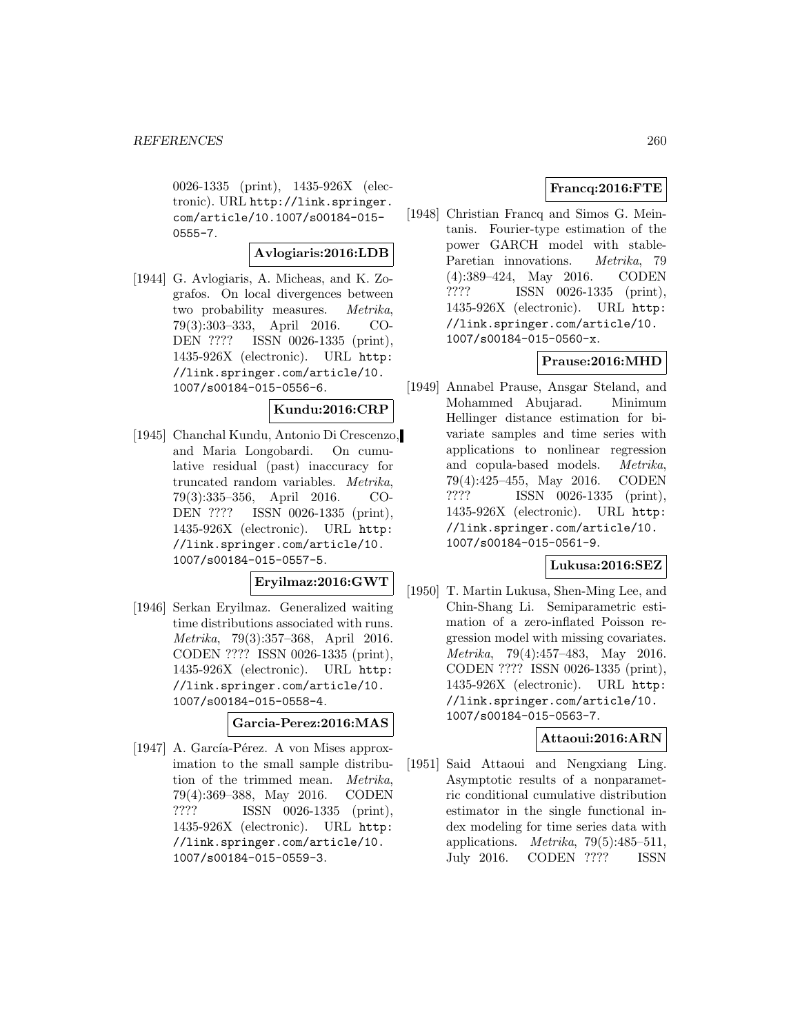0026-1335 (print), 1435-926X (electronic). URL http://link.springer. com/article/10.1007/s00184-015- 0555-7.

## **Avlogiaris:2016:LDB**

[1944] G. Avlogiaris, A. Micheas, and K. Zografos. On local divergences between two probability measures. Metrika, 79(3):303–333, April 2016. CO-DEN ???? ISSN 0026-1335 (print), 1435-926X (electronic). URL http: //link.springer.com/article/10. 1007/s00184-015-0556-6.

### **Kundu:2016:CRP**

[1945] Chanchal Kundu, Antonio Di Crescenzo, and Maria Longobardi. On cumulative residual (past) inaccuracy for truncated random variables. Metrika, 79(3):335–356, April 2016. CO-DEN ???? ISSN 0026-1335 (print), 1435-926X (electronic). URL http: //link.springer.com/article/10. 1007/s00184-015-0557-5.

# **Eryilmaz:2016:GWT**

[1946] Serkan Eryilmaz. Generalized waiting time distributions associated with runs. Metrika, 79(3):357–368, April 2016. CODEN ???? ISSN 0026-1335 (print), 1435-926X (electronic). URL http: //link.springer.com/article/10. 1007/s00184-015-0558-4.

#### **Garcia-Perez:2016:MAS**

[1947] A. García-Pérez. A von Mises approximation to the small sample distribution of the trimmed mean. Metrika, 79(4):369–388, May 2016. CODEN ???? ISSN 0026-1335 (print), 1435-926X (electronic). URL http: //link.springer.com/article/10. 1007/s00184-015-0559-3.

### **Francq:2016:FTE**

[1948] Christian Francq and Simos G. Meintanis. Fourier-type estimation of the power GARCH model with stable-Paretian innovations. *Metrika*, 79 (4):389–424, May 2016. CODEN ???? ISSN 0026-1335 (print), 1435-926X (electronic). URL http: //link.springer.com/article/10. 1007/s00184-015-0560-x.

## **Prause:2016:MHD**

[1949] Annabel Prause, Ansgar Steland, and Mohammed Abujarad. Minimum Hellinger distance estimation for bivariate samples and time series with applications to nonlinear regression and copula-based models. Metrika, 79(4):425–455, May 2016. CODEN ???? ISSN 0026-1335 (print), 1435-926X (electronic). URL http: //link.springer.com/article/10. 1007/s00184-015-0561-9.

#### **Lukusa:2016:SEZ**

[1950] T. Martin Lukusa, Shen-Ming Lee, and Chin-Shang Li. Semiparametric estimation of a zero-inflated Poisson regression model with missing covariates. Metrika, 79(4):457–483, May 2016. CODEN ???? ISSN 0026-1335 (print), 1435-926X (electronic). URL http: //link.springer.com/article/10. 1007/s00184-015-0563-7.

### **Attaoui:2016:ARN**

[1951] Said Attaoui and Nengxiang Ling. Asymptotic results of a nonparametric conditional cumulative distribution estimator in the single functional index modeling for time series data with applications. *Metrika*,  $79(5):485-511$ , July 2016. CODEN ???? ISSN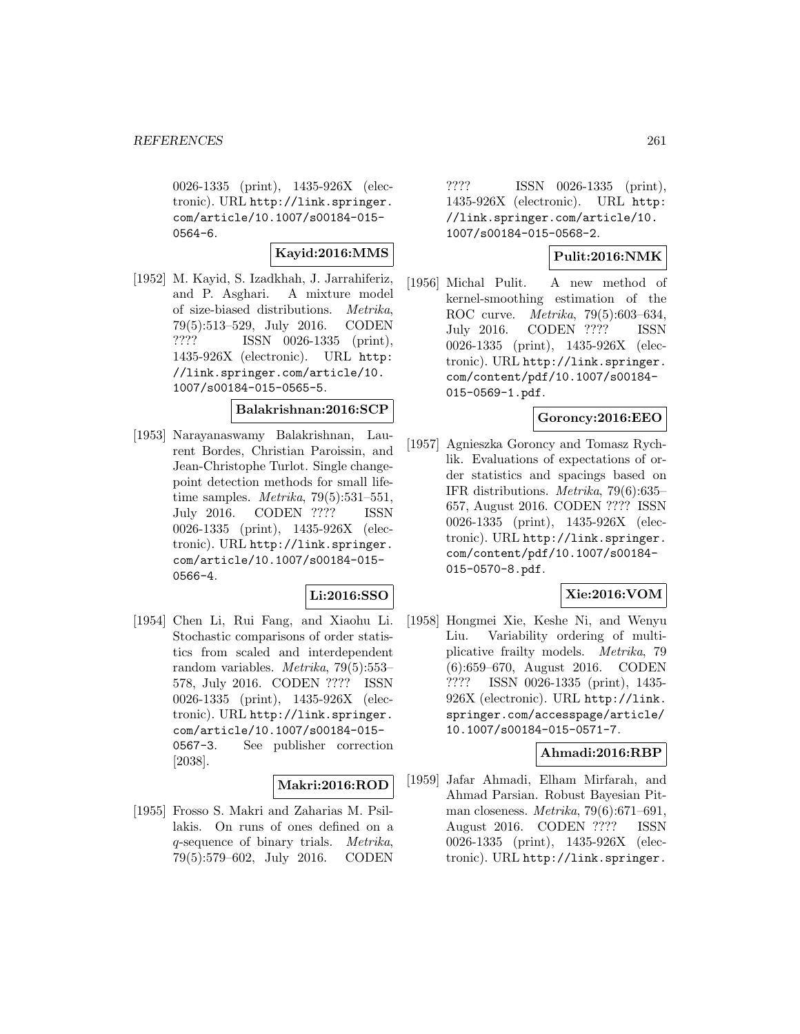0026-1335 (print), 1435-926X (electronic). URL http://link.springer. com/article/10.1007/s00184-015- 0564-6.

### **Kayid:2016:MMS**

[1952] M. Kayid, S. Izadkhah, J. Jarrahiferiz, and P. Asghari. A mixture model of size-biased distributions. Metrika, 79(5):513–529, July 2016. CODEN ???? ISSN 0026-1335 (print), 1435-926X (electronic). URL http: //link.springer.com/article/10. 1007/s00184-015-0565-5.

## **Balakrishnan:2016:SCP**

[1953] Narayanaswamy Balakrishnan, Laurent Bordes, Christian Paroissin, and Jean-Christophe Turlot. Single changepoint detection methods for small lifetime samples. Metrika, 79(5):531–551, July 2016. CODEN ???? ISSN 0026-1335 (print), 1435-926X (electronic). URL http://link.springer. com/article/10.1007/s00184-015- 0566-4.

## **Li:2016:SSO**

[1954] Chen Li, Rui Fang, and Xiaohu Li. Stochastic comparisons of order statistics from scaled and interdependent random variables. Metrika, 79(5):553– 578, July 2016. CODEN ???? ISSN 0026-1335 (print), 1435-926X (electronic). URL http://link.springer. com/article/10.1007/s00184-015- 0567-3. See publisher correction [2038].

#### **Makri:2016:ROD**

[1955] Frosso S. Makri and Zaharias M. Psillakis. On runs of ones defined on a q-sequence of binary trials. Metrika, 79(5):579–602, July 2016. CODEN

???? ISSN 0026-1335 (print), 1435-926X (electronic). URL http: //link.springer.com/article/10. 1007/s00184-015-0568-2.

### **Pulit:2016:NMK**

[1956] Michal Pulit. A new method of kernel-smoothing estimation of the ROC curve. Metrika, 79(5):603–634, July 2016. CODEN ???? ISSN 0026-1335 (print), 1435-926X (electronic). URL http://link.springer. com/content/pdf/10.1007/s00184- 015-0569-1.pdf.

#### **Goroncy:2016:EEO**

[1957] Agnieszka Goroncy and Tomasz Rychlik. Evaluations of expectations of order statistics and spacings based on IFR distributions. Metrika, 79(6):635– 657, August 2016. CODEN ???? ISSN 0026-1335 (print), 1435-926X (electronic). URL http://link.springer. com/content/pdf/10.1007/s00184- 015-0570-8.pdf.

### **Xie:2016:VOM**

[1958] Hongmei Xie, Keshe Ni, and Wenyu Liu. Variability ordering of multiplicative frailty models. Metrika, 79 (6):659–670, August 2016. CODEN ???? ISSN 0026-1335 (print), 1435- 926X (electronic). URL http://link. springer.com/accesspage/article/ 10.1007/s00184-015-0571-7.

### **Ahmadi:2016:RBP**

[1959] Jafar Ahmadi, Elham Mirfarah, and Ahmad Parsian. Robust Bayesian Pitman closeness. Metrika, 79(6):671–691, August 2016. CODEN ???? ISSN 0026-1335 (print), 1435-926X (electronic). URL http://link.springer.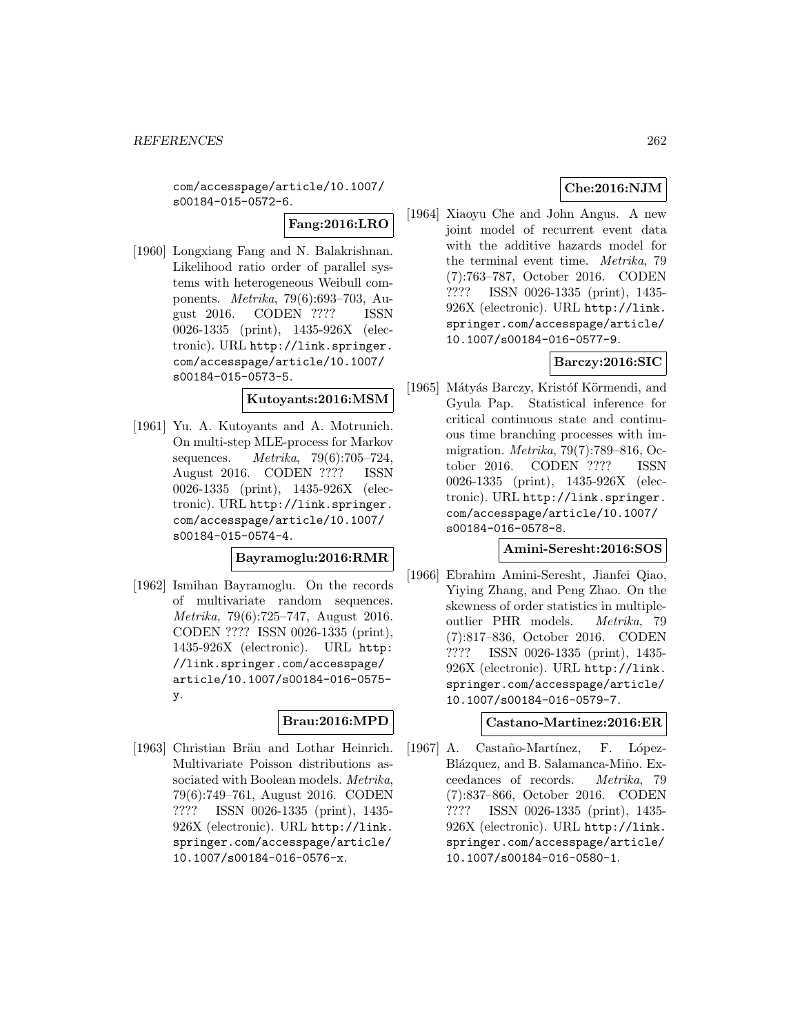com/accesspage/article/10.1007/ s00184-015-0572-6.

**Fang:2016:LRO**

[1960] Longxiang Fang and N. Balakrishnan. Likelihood ratio order of parallel systems with heterogeneous Weibull components. Metrika, 79(6):693–703, August 2016. CODEN ???? ISSN 0026-1335 (print), 1435-926X (electronic). URL http://link.springer. com/accesspage/article/10.1007/ s00184-015-0573-5.

### **Kutoyants:2016:MSM**

[1961] Yu. A. Kutoyants and A. Motrunich. On multi-step MLE-process for Markov sequences. Metrika, 79(6):705–724, August 2016. CODEN ???? ISSN 0026-1335 (print), 1435-926X (electronic). URL http://link.springer. com/accesspage/article/10.1007/ s00184-015-0574-4.

### **Bayramoglu:2016:RMR**

[1962] Ismihan Bayramoglu. On the records of multivariate random sequences. Metrika, 79(6):725–747, August 2016. CODEN ???? ISSN 0026-1335 (print), 1435-926X (electronic). URL http: //link.springer.com/accesspage/ article/10.1007/s00184-016-0575 y.

## **Brau:2016:MPD**

[1963] Christian Bräu and Lothar Heinrich. Multivariate Poisson distributions associated with Boolean models. *Metrika*, 79(6):749–761, August 2016. CODEN ???? ISSN 0026-1335 (print), 1435- 926X (electronic). URL http://link. springer.com/accesspage/article/ 10.1007/s00184-016-0576-x.

## **Che:2016:NJM**

[1964] Xiaoyu Che and John Angus. A new joint model of recurrent event data with the additive hazards model for the terminal event time. Metrika, 79 (7):763–787, October 2016. CODEN ???? ISSN 0026-1335 (print), 1435- 926X (electronic). URL http://link. springer.com/accesspage/article/ 10.1007/s00184-016-0577-9.

## **Barczy:2016:SIC**

[1965] Mátyás Barczy, Kristóf Körmendi, and Gyula Pap. Statistical inference for critical continuous state and continuous time branching processes with immigration. Metrika, 79(7):789–816, October 2016. CODEN ???? ISSN 0026-1335 (print), 1435-926X (electronic). URL http://link.springer. com/accesspage/article/10.1007/ s00184-016-0578-8.

### **Amini-Seresht:2016:SOS**

[1966] Ebrahim Amini-Seresht, Jianfei Qiao, Yiying Zhang, and Peng Zhao. On the skewness of order statistics in multipleoutlier PHR models. Metrika, 79 (7):817–836, October 2016. CODEN ???? ISSN 0026-1335 (print), 1435- 926X (electronic). URL http://link. springer.com/accesspage/article/ 10.1007/s00184-016-0579-7.

### **Castano-Martinez:2016:ER**

[1967] A. Castaño-Martínez, F. López-Blázquez, and B. Salamanca-Miño. Exceedances of records. Metrika, 79 (7):837–866, October 2016. CODEN ???? ISSN 0026-1335 (print), 1435- 926X (electronic). URL http://link. springer.com/accesspage/article/ 10.1007/s00184-016-0580-1.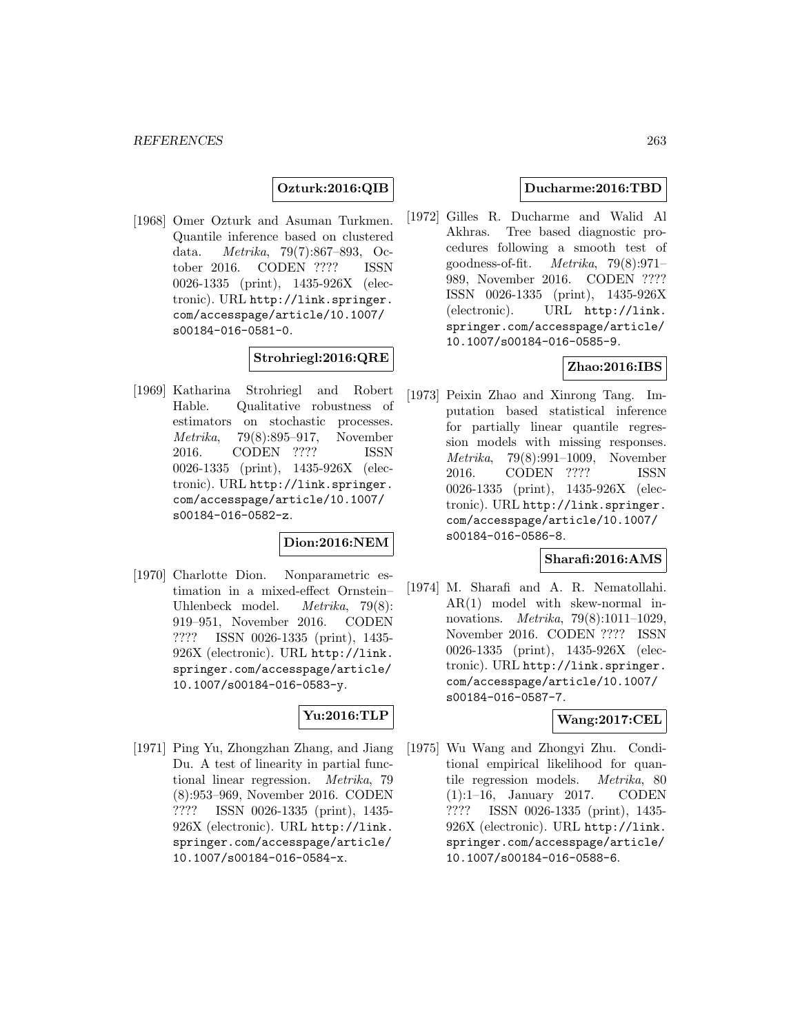### **Ozturk:2016:QIB**

[1968] Omer Ozturk and Asuman Turkmen. Quantile inference based on clustered data. Metrika, 79(7):867–893, October 2016. CODEN ???? ISSN 0026-1335 (print), 1435-926X (electronic). URL http://link.springer. com/accesspage/article/10.1007/ s00184-016-0581-0.

#### **Strohriegl:2016:QRE**

[1969] Katharina Strohriegl and Robert Hable. Qualitative robustness of estimators on stochastic processes. Metrika, 79(8):895–917, November 2016. CODEN ???? ISSN 0026-1335 (print), 1435-926X (electronic). URL http://link.springer. com/accesspage/article/10.1007/ s00184-016-0582-z.

### **Dion:2016:NEM**

[1970] Charlotte Dion. Nonparametric estimation in a mixed-effect Ornstein– Uhlenbeck model. *Metrika*, 79(8): 919–951, November 2016. CODEN ???? ISSN 0026-1335 (print), 1435- 926X (electronic). URL http://link. springer.com/accesspage/article/ 10.1007/s00184-016-0583-y.

### **Yu:2016:TLP**

[1971] Ping Yu, Zhongzhan Zhang, and Jiang Du. A test of linearity in partial functional linear regression. Metrika, 79 (8):953–969, November 2016. CODEN ???? ISSN 0026-1335 (print), 1435- 926X (electronic). URL http://link. springer.com/accesspage/article/ 10.1007/s00184-016-0584-x.

#### **Ducharme:2016:TBD**

[1972] Gilles R. Ducharme and Walid Al Akhras. Tree based diagnostic procedures following a smooth test of goodness-of-fit. Metrika, 79(8):971– 989, November 2016. CODEN ???? ISSN 0026-1335 (print), 1435-926X (electronic). URL http://link. springer.com/accesspage/article/ 10.1007/s00184-016-0585-9.

## **Zhao:2016:IBS**

[1973] Peixin Zhao and Xinrong Tang. Imputation based statistical inference for partially linear quantile regression models with missing responses. Metrika, 79(8):991–1009, November 2016. CODEN ???? ISSN 0026-1335 (print), 1435-926X (electronic). URL http://link.springer. com/accesspage/article/10.1007/ s00184-016-0586-8.

#### **Sharafi:2016:AMS**

[1974] M. Sharafi and A. R. Nematollahi. AR(1) model with skew-normal innovations. Metrika, 79(8):1011–1029, November 2016. CODEN ???? ISSN 0026-1335 (print), 1435-926X (electronic). URL http://link.springer. com/accesspage/article/10.1007/ s00184-016-0587-7.

### **Wang:2017:CEL**

[1975] Wu Wang and Zhongyi Zhu. Conditional empirical likelihood for quantile regression models. Metrika, 80 (1):1–16, January 2017. CODEN ???? ISSN 0026-1335 (print), 1435- 926X (electronic). URL http://link. springer.com/accesspage/article/ 10.1007/s00184-016-0588-6.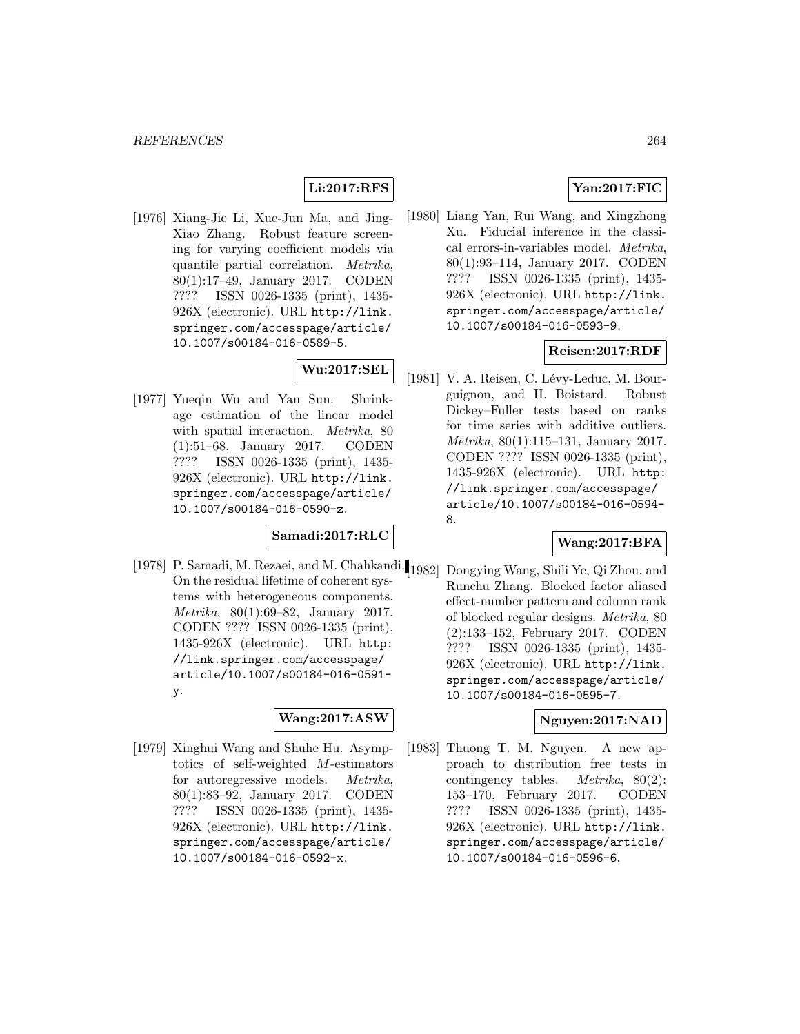## **Li:2017:RFS**

[1976] Xiang-Jie Li, Xue-Jun Ma, and Jing-Xiao Zhang. Robust feature screening for varying coefficient models via quantile partial correlation. Metrika, 80(1):17–49, January 2017. CODEN ???? ISSN 0026-1335 (print), 1435- 926X (electronic). URL http://link. springer.com/accesspage/article/ 10.1007/s00184-016-0589-5.

# **Wu:2017:SEL**

[1977] Yueqin Wu and Yan Sun. Shrinkage estimation of the linear model with spatial interaction. *Metrika*, 80 (1):51–68, January 2017. CODEN ???? ISSN 0026-1335 (print), 1435- 926X (electronic). URL http://link. springer.com/accesspage/article/ 10.1007/s00184-016-0590-z.

## **Samadi:2017:RLC**

[1978] P. Samadi, M. Rezaei, and M. Chahkandi. [1982] Dongying Wang, Shili Ye, Qi Zhou, and On the residual lifetime of coherent systems with heterogeneous components. Metrika, 80(1):69–82, January 2017. CODEN ???? ISSN 0026-1335 (print), 1435-926X (electronic). URL http: //link.springer.com/accesspage/ article/10.1007/s00184-016-0591 y.

## **Wang:2017:ASW**

[1979] Xinghui Wang and Shuhe Hu. Asymptotics of self-weighted M-estimators for autoregressive models. Metrika, 80(1):83–92, January 2017. CODEN ???? ISSN 0026-1335 (print), 1435- 926X (electronic). URL http://link. springer.com/accesspage/article/ 10.1007/s00184-016-0592-x.

## **Yan:2017:FIC**

[1980] Liang Yan, Rui Wang, and Xingzhong Xu. Fiducial inference in the classical errors-in-variables model. Metrika, 80(1):93–114, January 2017. CODEN ???? ISSN 0026-1335 (print), 1435- 926X (electronic). URL http://link. springer.com/accesspage/article/ 10.1007/s00184-016-0593-9.

### **Reisen:2017:RDF**

[1981] V. A. Reisen, C. Lévy-Leduc, M. Bourguignon, and H. Boistard. Robust Dickey–Fuller tests based on ranks for time series with additive outliers. Metrika, 80(1):115–131, January 2017. CODEN ???? ISSN 0026-1335 (print), 1435-926X (electronic). URL http: //link.springer.com/accesspage/ article/10.1007/s00184-016-0594- 8.

### **Wang:2017:BFA**

Runchu Zhang. Blocked factor aliased effect-number pattern and column rank of blocked regular designs. Metrika, 80 (2):133–152, February 2017. CODEN ???? ISSN 0026-1335 (print), 1435- 926X (electronic). URL http://link. springer.com/accesspage/article/ 10.1007/s00184-016-0595-7.

### **Nguyen:2017:NAD**

[1983] Thuong T. M. Nguyen. A new approach to distribution free tests in contingency tables. Metrika, 80(2): 153–170, February 2017. CODEN ???? ISSN 0026-1335 (print), 1435- 926X (electronic). URL http://link. springer.com/accesspage/article/ 10.1007/s00184-016-0596-6.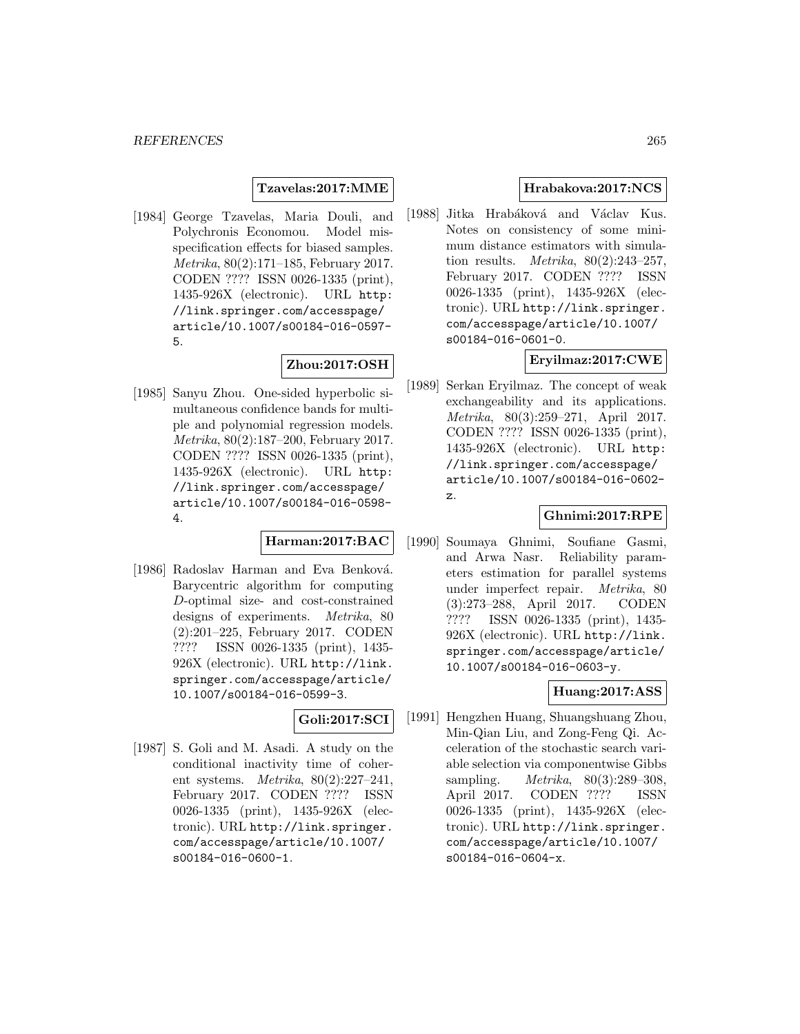**Tzavelas:2017:MME**

[1984] George Tzavelas, Maria Douli, and Polychronis Economou. Model misspecification effects for biased samples. Metrika, 80(2):171–185, February 2017. CODEN ???? ISSN 0026-1335 (print), 1435-926X (electronic). URL http: //link.springer.com/accesspage/ article/10.1007/s00184-016-0597- 5.

### **Zhou:2017:OSH**

[1985] Sanyu Zhou. One-sided hyperbolic simultaneous confidence bands for multiple and polynomial regression models. Metrika, 80(2):187–200, February 2017. CODEN ???? ISSN 0026-1335 (print), 1435-926X (electronic). URL http: //link.springer.com/accesspage/ article/10.1007/s00184-016-0598- 4.

### **Harman:2017:BAC**

[1986] Radoslav Harman and Eva Benková. Barycentric algorithm for computing D-optimal size- and cost-constrained designs of experiments. Metrika, 80 (2):201–225, February 2017. CODEN ???? ISSN 0026-1335 (print), 1435- 926X (electronic). URL http://link. springer.com/accesspage/article/ 10.1007/s00184-016-0599-3.

## **Goli:2017:SCI**

[1987] S. Goli and M. Asadi. A study on the conditional inactivity time of coherent systems. Metrika, 80(2):227–241, February 2017. CODEN ???? ISSN 0026-1335 (print), 1435-926X (electronic). URL http://link.springer. com/accesspage/article/10.1007/ s00184-016-0600-1.

### **Hrabakova:2017:NCS**

[1988] Jitka Hrabáková and Václav Kus. Notes on consistency of some minimum distance estimators with simulation results. *Metrika*,  $80(2):243-257$ , February 2017. CODEN ???? ISSN 0026-1335 (print), 1435-926X (electronic). URL http://link.springer. com/accesspage/article/10.1007/ s00184-016-0601-0.

### **Eryilmaz:2017:CWE**

[1989] Serkan Eryilmaz. The concept of weak exchangeability and its applications. Metrika, 80(3):259–271, April 2017. CODEN ???? ISSN 0026-1335 (print), 1435-926X (electronic). URL http: //link.springer.com/accesspage/ article/10.1007/s00184-016-0602 z.

# **Ghnimi:2017:RPE**

[1990] Soumaya Ghnimi, Soufiane Gasmi, and Arwa Nasr. Reliability parameters estimation for parallel systems under imperfect repair. Metrika, 80 (3):273–288, April 2017. CODEN ???? ISSN 0026-1335 (print), 1435- 926X (electronic). URL http://link. springer.com/accesspage/article/ 10.1007/s00184-016-0603-y.

## **Huang:2017:ASS**

[1991] Hengzhen Huang, Shuangshuang Zhou, Min-Qian Liu, and Zong-Feng Qi. Acceleration of the stochastic search variable selection via componentwise Gibbs sampling. Metrika, 80(3):289–308, April 2017. CODEN ???? ISSN 0026-1335 (print), 1435-926X (electronic). URL http://link.springer. com/accesspage/article/10.1007/ s00184-016-0604-x.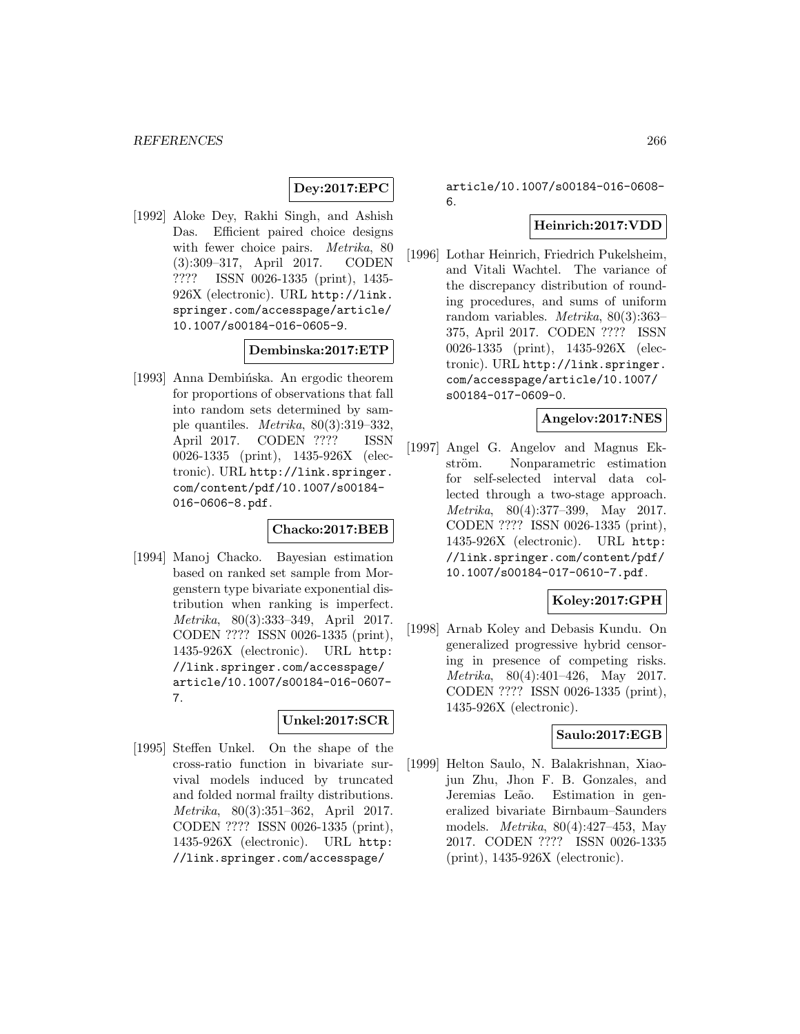## **Dey:2017:EPC**

[1992] Aloke Dey, Rakhi Singh, and Ashish Das. Efficient paired choice designs with fewer choice pairs. *Metrika*, 80 (3):309–317, April 2017. CODEN ???? ISSN 0026-1335 (print), 1435- 926X (electronic). URL http://link. springer.com/accesspage/article/ 10.1007/s00184-016-0605-9.

#### **Dembinska:2017:ETP**

[1993] Anna Dembinska. An ergodic theorem for proportions of observations that fall into random sets determined by sample quantiles. Metrika, 80(3):319–332, April 2017. CODEN ???? ISSN 0026-1335 (print), 1435-926X (electronic). URL http://link.springer. com/content/pdf/10.1007/s00184- 016-0606-8.pdf.

#### **Chacko:2017:BEB**

[1994] Manoj Chacko. Bayesian estimation based on ranked set sample from Morgenstern type bivariate exponential distribution when ranking is imperfect. Metrika, 80(3):333–349, April 2017. CODEN ???? ISSN 0026-1335 (print), 1435-926X (electronic). URL http: //link.springer.com/accesspage/ article/10.1007/s00184-016-0607- 7.

## **Unkel:2017:SCR**

[1995] Steffen Unkel. On the shape of the cross-ratio function in bivariate survival models induced by truncated and folded normal frailty distributions. Metrika, 80(3):351–362, April 2017. CODEN ???? ISSN 0026-1335 (print), 1435-926X (electronic). URL http: //link.springer.com/accesspage/

article/10.1007/s00184-016-0608- 6.

#### **Heinrich:2017:VDD**

[1996] Lothar Heinrich, Friedrich Pukelsheim, and Vitali Wachtel. The variance of the discrepancy distribution of rounding procedures, and sums of uniform random variables. Metrika, 80(3):363– 375, April 2017. CODEN ???? ISSN 0026-1335 (print), 1435-926X (electronic). URL http://link.springer. com/accesspage/article/10.1007/ s00184-017-0609-0.

### **Angelov:2017:NES**

[1997] Angel G. Angelov and Magnus Ekström. Nonparametric estimation for self-selected interval data collected through a two-stage approach. Metrika, 80(4):377–399, May 2017. CODEN ???? ISSN 0026-1335 (print), 1435-926X (electronic). URL http: //link.springer.com/content/pdf/ 10.1007/s00184-017-0610-7.pdf.

### **Koley:2017:GPH**

[1998] Arnab Koley and Debasis Kundu. On generalized progressive hybrid censoring in presence of competing risks. Metrika, 80(4):401–426, May 2017. CODEN ???? ISSN 0026-1335 (print), 1435-926X (electronic).

#### **Saulo:2017:EGB**

[1999] Helton Saulo, N. Balakrishnan, Xiaojun Zhu, Jhon F. B. Gonzales, and Jeremias Leão. Estimation in generalized bivariate Birnbaum–Saunders models. Metrika, 80(4):427–453, May 2017. CODEN ???? ISSN 0026-1335 (print), 1435-926X (electronic).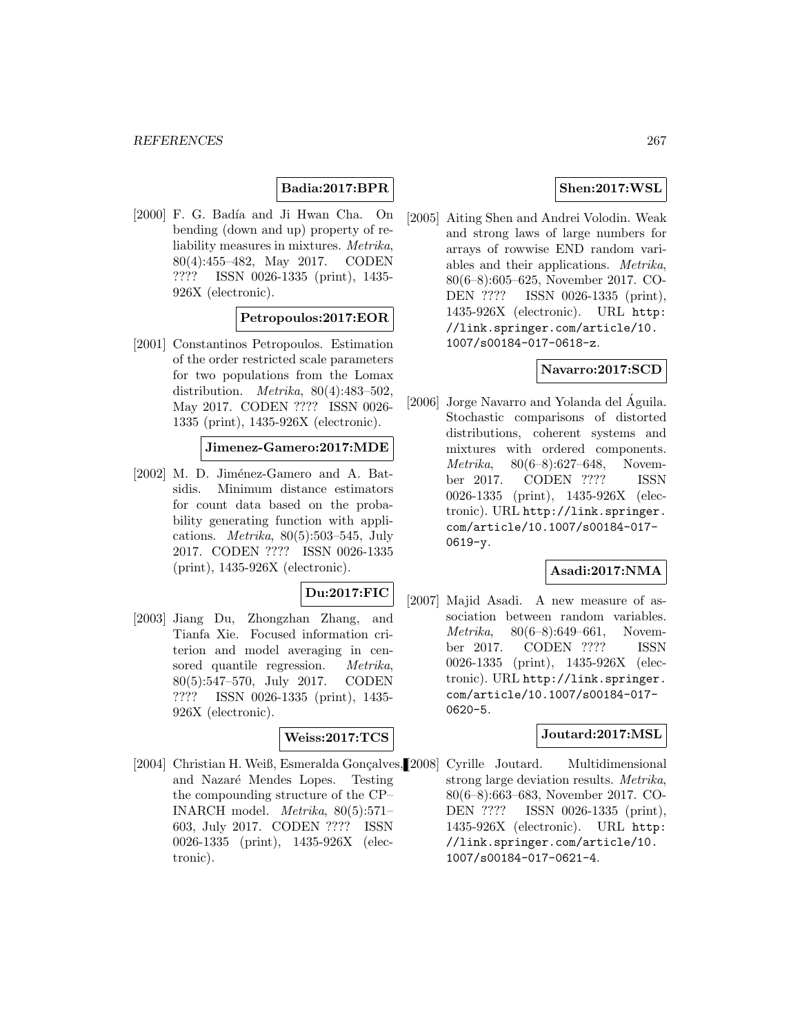# **Badia:2017:BPR**

[2000] F. G. Badía and Ji Hwan Cha. On bending (down and up) property of reliability measures in mixtures. Metrika, 80(4):455–482, May 2017. CODEN ???? ISSN 0026-1335 (print), 1435- 926X (electronic).

### **Petropoulos:2017:EOR**

[2001] Constantinos Petropoulos. Estimation of the order restricted scale parameters for two populations from the Lomax distribution. *Metrika*,  $80(4):483-502$ , May 2017. CODEN ???? ISSN 0026- 1335 (print), 1435-926X (electronic).

#### **Jimenez-Gamero:2017:MDE**

[2002] M. D. Jiménez-Gamero and A. Batsidis. Minimum distance estimators for count data based on the probability generating function with applications. *Metrika*,  $80(5):503-545$ , July 2017. CODEN ???? ISSN 0026-1335 (print), 1435-926X (electronic).

## **Du:2017:FIC**

[2003] Jiang Du, Zhongzhan Zhang, and Tianfa Xie. Focused information criterion and model averaging in censored quantile regression. *Metrika*, 80(5):547–570, July 2017. CODEN ???? ISSN 0026-1335 (print), 1435- 926X (electronic).

#### **Weiss:2017:TCS**

[2004] Christian H. Weiß, Esmeralda Gonçalves, [2008] Cyrille Joutard. Multidimensional and Nazaré Mendes Lopes. Testing the compounding structure of the CP– INARCH model. Metrika, 80(5):571– 603, July 2017. CODEN ???? ISSN 0026-1335 (print), 1435-926X (electronic).

### **Shen:2017:WSL**

[2005] Aiting Shen and Andrei Volodin. Weak and strong laws of large numbers for arrays of rowwise END random variables and their applications. Metrika, 80(6–8):605–625, November 2017. CO-DEN ???? ISSN 0026-1335 (print), 1435-926X (electronic). URL http: //link.springer.com/article/10. 1007/s00184-017-0618-z.

### **Navarro:2017:SCD**

[2006] Jorge Navarro and Yolanda del Águila. Stochastic comparisons of distorted distributions, coherent systems and mixtures with ordered components. Metrika, 80(6–8):627–648, November 2017. CODEN ???? ISSN 0026-1335 (print), 1435-926X (electronic). URL http://link.springer. com/article/10.1007/s00184-017- 0619-y.

### **Asadi:2017:NMA**

[2007] Majid Asadi. A new measure of association between random variables. Metrika, 80(6–8):649–661, November 2017. CODEN ???? ISSN 0026-1335 (print), 1435-926X (electronic). URL http://link.springer. com/article/10.1007/s00184-017- 0620-5.

#### **Joutard:2017:MSL**

strong large deviation results. Metrika, 80(6–8):663–683, November 2017. CO-DEN ???? ISSN 0026-1335 (print), 1435-926X (electronic). URL http: //link.springer.com/article/10. 1007/s00184-017-0621-4.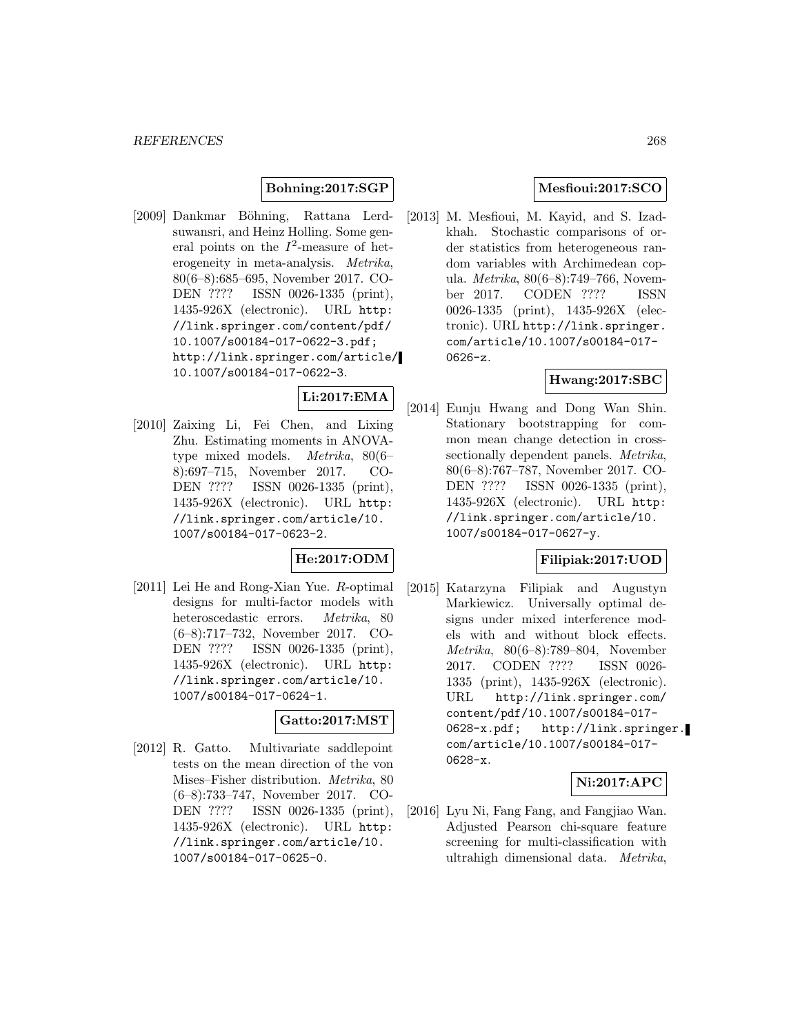### **Bohning:2017:SGP**

[2009] Dankmar Böhning, Rattana Lerdsuwansri, and Heinz Holling. Some general points on the  $I^2$ -measure of heterogeneity in meta-analysis. Metrika, 80(6–8):685–695, November 2017. CO-DEN ???? ISSN 0026-1335 (print), 1435-926X (electronic). URL http: //link.springer.com/content/pdf/ 10.1007/s00184-017-0622-3.pdf; http://link.springer.com/article/ 10.1007/s00184-017-0622-3.

# **Li:2017:EMA**

[2010] Zaixing Li, Fei Chen, and Lixing Zhu. Estimating moments in ANOVAtype mixed models. Metrika, 80(6– 8):697–715, November 2017. CO-DEN ???? ISSN 0026-1335 (print), 1435-926X (electronic). URL http: //link.springer.com/article/10. 1007/s00184-017-0623-2.

### **He:2017:ODM**

[2011] Lei He and Rong-Xian Yue. R-optimal designs for multi-factor models with heteroscedastic errors. Metrika, 80 (6–8):717–732, November 2017. CO-DEN ???? ISSN 0026-1335 (print), 1435-926X (electronic). URL http: //link.springer.com/article/10. 1007/s00184-017-0624-1.

### **Gatto:2017:MST**

[2012] R. Gatto. Multivariate saddlepoint tests on the mean direction of the von Mises–Fisher distribution. Metrika, 80 (6–8):733–747, November 2017. CO-DEN ???? ISSN 0026-1335 (print), 1435-926X (electronic). URL http: //link.springer.com/article/10. 1007/s00184-017-0625-0.

## **Mesfioui:2017:SCO**

[2013] M. Mesfioui, M. Kayid, and S. Izadkhah. Stochastic comparisons of order statistics from heterogeneous random variables with Archimedean copula. Metrika, 80(6–8):749–766, November 2017. CODEN ???? ISSN 0026-1335 (print), 1435-926X (electronic). URL http://link.springer. com/article/10.1007/s00184-017- 0626-z.

## **Hwang:2017:SBC**

[2014] Eunju Hwang and Dong Wan Shin. Stationary bootstrapping for common mean change detection in crosssectionally dependent panels. Metrika, 80(6–8):767–787, November 2017. CO-DEN ???? ISSN 0026-1335 (print), 1435-926X (electronic). URL http: //link.springer.com/article/10. 1007/s00184-017-0627-y.

### **Filipiak:2017:UOD**

[2015] Katarzyna Filipiak and Augustyn Markiewicz. Universally optimal designs under mixed interference models with and without block effects. Metrika, 80(6–8):789–804, November 2017. CODEN ???? ISSN 0026- 1335 (print), 1435-926X (electronic). URL http://link.springer.com/ content/pdf/10.1007/s00184-017- 0628-x.pdf; http://link.springer. com/article/10.1007/s00184-017- 0628-x.

### **Ni:2017:APC**

[2016] Lyu Ni, Fang Fang, and Fangjiao Wan. Adjusted Pearson chi-square feature screening for multi-classification with ultrahigh dimensional data. Metrika,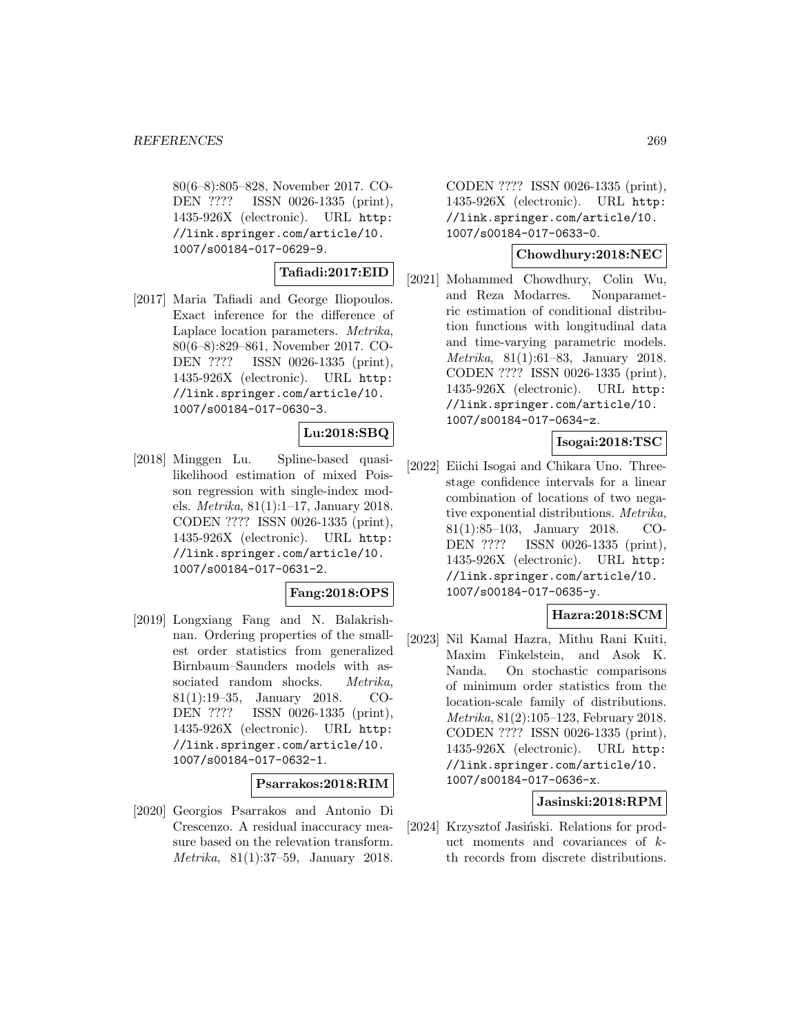80(6–8):805–828, November 2017. CO-DEN ???? ISSN 0026-1335 (print), 1435-926X (electronic). URL http: //link.springer.com/article/10. 1007/s00184-017-0629-9.

### **Tafiadi:2017:EID**

[2017] Maria Tafiadi and George Iliopoulos. Exact inference for the difference of Laplace location parameters. Metrika, 80(6–8):829–861, November 2017. CO-DEN ???? ISSN 0026-1335 (print), 1435-926X (electronic). URL http: //link.springer.com/article/10. 1007/s00184-017-0630-3.

### **Lu:2018:SBQ**

[2018] Minggen Lu. Spline-based quasilikelihood estimation of mixed Poisson regression with single-index models. Metrika, 81(1):1–17, January 2018. CODEN ???? ISSN 0026-1335 (print), 1435-926X (electronic). URL http: //link.springer.com/article/10. 1007/s00184-017-0631-2.

#### **Fang:2018:OPS**

[2019] Longxiang Fang and N. Balakrishnan. Ordering properties of the smallest order statistics from generalized Birnbaum–Saunders models with associated random shocks. Metrika, 81(1):19–35, January 2018. CO-DEN ???? ISSN 0026-1335 (print), 1435-926X (electronic). URL http: //link.springer.com/article/10. 1007/s00184-017-0632-1.

#### **Psarrakos:2018:RIM**

[2020] Georgios Psarrakos and Antonio Di Crescenzo. A residual inaccuracy measure based on the relevation transform. Metrika, 81(1):37–59, January 2018.

CODEN ???? ISSN 0026-1335 (print), 1435-926X (electronic). URL http: //link.springer.com/article/10. 1007/s00184-017-0633-0.

#### **Chowdhury:2018:NEC**

[2021] Mohammed Chowdhury, Colin Wu, and Reza Modarres. Nonparametric estimation of conditional distribution functions with longitudinal data and time-varying parametric models. Metrika, 81(1):61–83, January 2018. CODEN ???? ISSN 0026-1335 (print), 1435-926X (electronic). URL http: //link.springer.com/article/10. 1007/s00184-017-0634-z.

### **Isogai:2018:TSC**

[2022] Eiichi Isogai and Chikara Uno. Threestage confidence intervals for a linear combination of locations of two negative exponential distributions. Metrika, 81(1):85–103, January 2018. CO-DEN ???? ISSN 0026-1335 (print), 1435-926X (electronic). URL http: //link.springer.com/article/10. 1007/s00184-017-0635-y.

### **Hazra:2018:SCM**

[2023] Nil Kamal Hazra, Mithu Rani Kuiti, Maxim Finkelstein, and Asok K. Nanda. On stochastic comparisons of minimum order statistics from the location-scale family of distributions. Metrika, 81(2):105–123, February 2018. CODEN ???? ISSN 0026-1335 (print), 1435-926X (electronic). URL http: //link.springer.com/article/10. 1007/s00184-017-0636-x.

### **Jasinski:2018:RPM**

[2024] Krzysztof Jasiński. Relations for product moments and covariances of  $k$ th records from discrete distributions.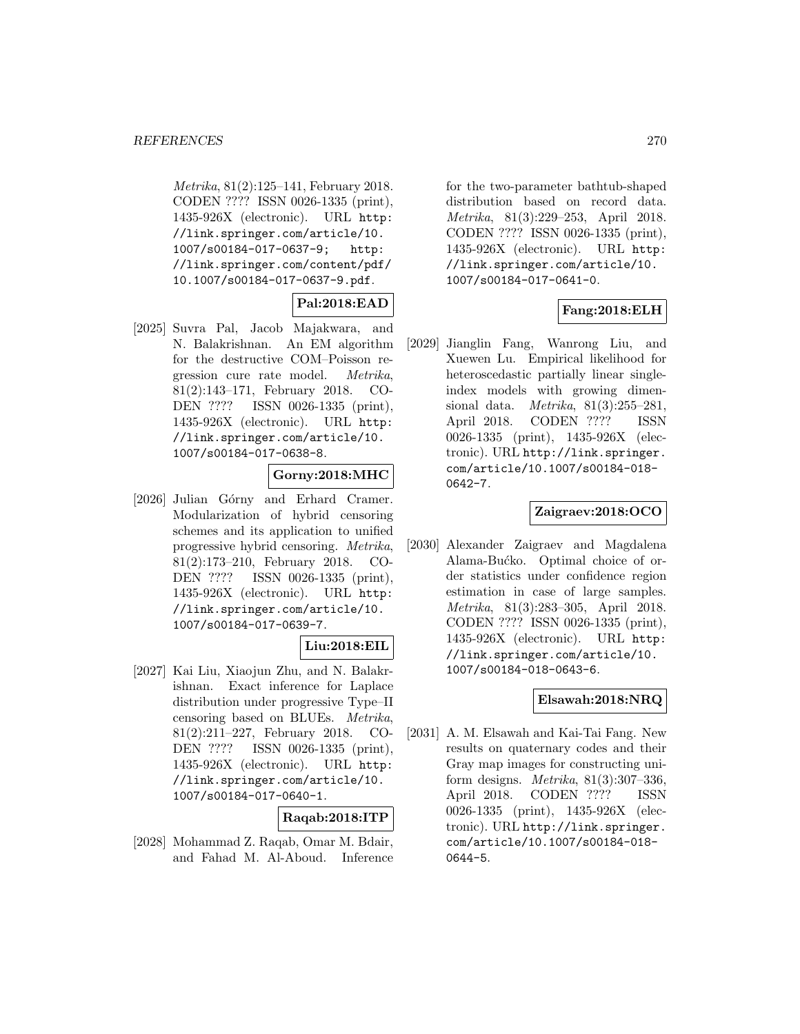Metrika, 81(2):125–141, February 2018. CODEN ???? ISSN 0026-1335 (print), 1435-926X (electronic). URL http: //link.springer.com/article/10. 1007/s00184-017-0637-9; http: //link.springer.com/content/pdf/ 10.1007/s00184-017-0637-9.pdf.

## **Pal:2018:EAD**

[2025] Suvra Pal, Jacob Majakwara, and N. Balakrishnan. An EM algorithm for the destructive COM–Poisson regression cure rate model. Metrika, 81(2):143–171, February 2018. CO-DEN ???? ISSN 0026-1335 (print), 1435-926X (electronic). URL http: //link.springer.com/article/10. 1007/s00184-017-0638-8.

### **Gorny:2018:MHC**

[2026] Julian Górny and Erhard Cramer. Modularization of hybrid censoring schemes and its application to unified progressive hybrid censoring. Metrika, 81(2):173–210, February 2018. CO-DEN ???? ISSN 0026-1335 (print), 1435-926X (electronic). URL http: //link.springer.com/article/10. 1007/s00184-017-0639-7.

### **Liu:2018:EIL**

[2027] Kai Liu, Xiaojun Zhu, and N. Balakrishnan. Exact inference for Laplace distribution under progressive Type–II censoring based on BLUEs. Metrika, 81(2):211–227, February 2018. CO-DEN ???? ISSN 0026-1335 (print), 1435-926X (electronic). URL http: //link.springer.com/article/10. 1007/s00184-017-0640-1.

### **Raqab:2018:ITP**

[2028] Mohammad Z. Raqab, Omar M. Bdair, and Fahad M. Al-Aboud. Inference for the two-parameter bathtub-shaped distribution based on record data. Metrika, 81(3):229–253, April 2018. CODEN ???? ISSN 0026-1335 (print), 1435-926X (electronic). URL http: //link.springer.com/article/10. 1007/s00184-017-0641-0.

## **Fang:2018:ELH**

[2029] Jianglin Fang, Wanrong Liu, and Xuewen Lu. Empirical likelihood for heteroscedastic partially linear singleindex models with growing dimensional data. Metrika, 81(3):255–281, April 2018. CODEN ???? ISSN 0026-1335 (print), 1435-926X (electronic). URL http://link.springer. com/article/10.1007/s00184-018- 0642-7.

### **Zaigraev:2018:OCO**

[2030] Alexander Zaigraev and Magdalena Alama-Bućko. Optimal choice of order statistics under confidence region estimation in case of large samples. Metrika, 81(3):283–305, April 2018. CODEN ???? ISSN 0026-1335 (print), 1435-926X (electronic). URL http: //link.springer.com/article/10. 1007/s00184-018-0643-6.

### **Elsawah:2018:NRQ**

[2031] A. M. Elsawah and Kai-Tai Fang. New results on quaternary codes and their Gray map images for constructing uniform designs. Metrika, 81(3):307–336, April 2018. CODEN ???? ISSN 0026-1335 (print), 1435-926X (electronic). URL http://link.springer. com/article/10.1007/s00184-018- 0644-5.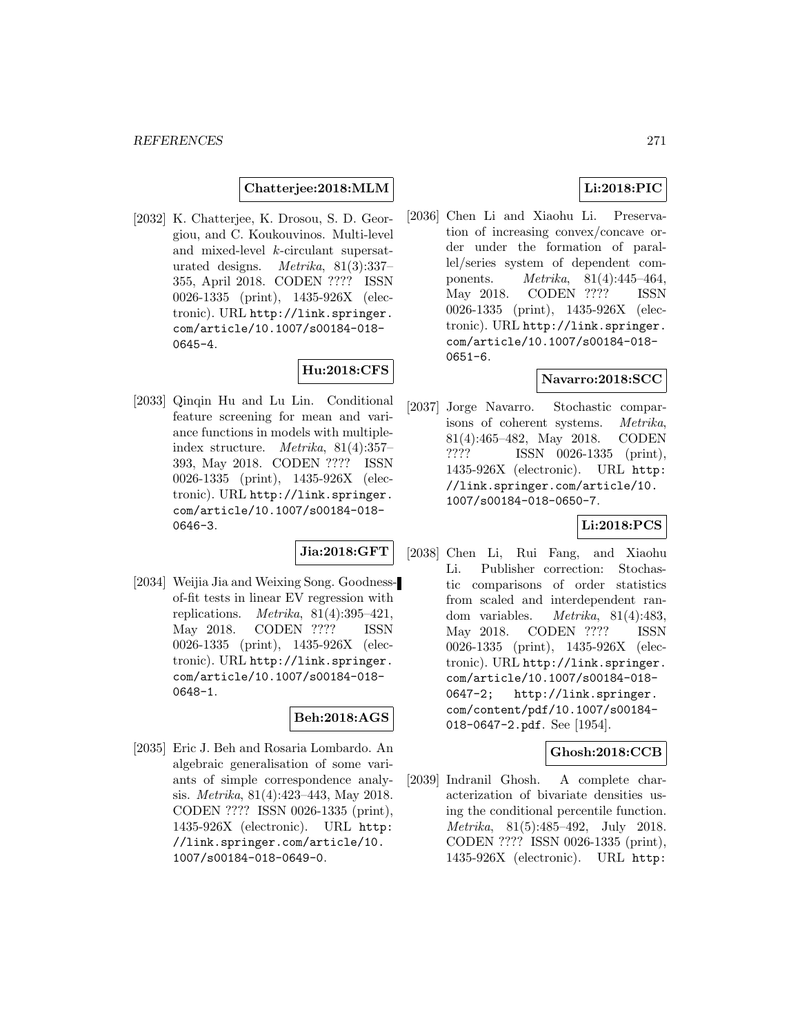**Chatterjee:2018:MLM**

[2032] K. Chatterjee, K. Drosou, S. D. Georgiou, and C. Koukouvinos. Multi-level and mixed-level k-circulant supersaturated designs. Metrika, 81(3):337– 355, April 2018. CODEN ???? ISSN 0026-1335 (print), 1435-926X (electronic). URL http://link.springer. com/article/10.1007/s00184-018- 0645-4.

## **Hu:2018:CFS**

[2033] Qinqin Hu and Lu Lin. Conditional feature screening for mean and variance functions in models with multipleindex structure. Metrika, 81(4):357– 393, May 2018. CODEN ???? ISSN 0026-1335 (print), 1435-926X (electronic). URL http://link.springer. com/article/10.1007/s00184-018- 0646-3.

## **Jia:2018:GFT**

[2034] Weijia Jia and Weixing Song. Goodnessof-fit tests in linear EV regression with replications. *Metrika*,  $81(4):395-421$ , May 2018. CODEN ???? ISSN 0026-1335 (print), 1435-926X (electronic). URL http://link.springer. com/article/10.1007/s00184-018- 0648-1.

## **Beh:2018:AGS**

[2035] Eric J. Beh and Rosaria Lombardo. An algebraic generalisation of some variants of simple correspondence analysis. Metrika, 81(4):423–443, May 2018. CODEN ???? ISSN 0026-1335 (print), 1435-926X (electronic). URL http: //link.springer.com/article/10. 1007/s00184-018-0649-0.

## **Li:2018:PIC**

[2036] Chen Li and Xiaohu Li. Preservation of increasing convex/concave order under the formation of parallel/series system of dependent components. Metrika, 81(4):445–464, May 2018. CODEN ???? ISSN 0026-1335 (print), 1435-926X (electronic). URL http://link.springer. com/article/10.1007/s00184-018- 0651-6.

### **Navarro:2018:SCC**

[2037] Jorge Navarro. Stochastic comparisons of coherent systems. Metrika, 81(4):465–482, May 2018. CODEN ???? ISSN 0026-1335 (print), 1435-926X (electronic). URL http: //link.springer.com/article/10. 1007/s00184-018-0650-7.

### **Li:2018:PCS**

[2038] Chen Li, Rui Fang, and Xiaohu Li. Publisher correction: Stochastic comparisons of order statistics from scaled and interdependent random variables. Metrika, 81(4):483, May 2018. CODEN ???? ISSN 0026-1335 (print), 1435-926X (electronic). URL http://link.springer. com/article/10.1007/s00184-018- 0647-2; http://link.springer. com/content/pdf/10.1007/s00184- 018-0647-2.pdf. See [1954].

#### **Ghosh:2018:CCB**

[2039] Indranil Ghosh. A complete characterization of bivariate densities using the conditional percentile function. Metrika, 81(5):485–492, July 2018. CODEN ???? ISSN 0026-1335 (print), 1435-926X (electronic). URL http: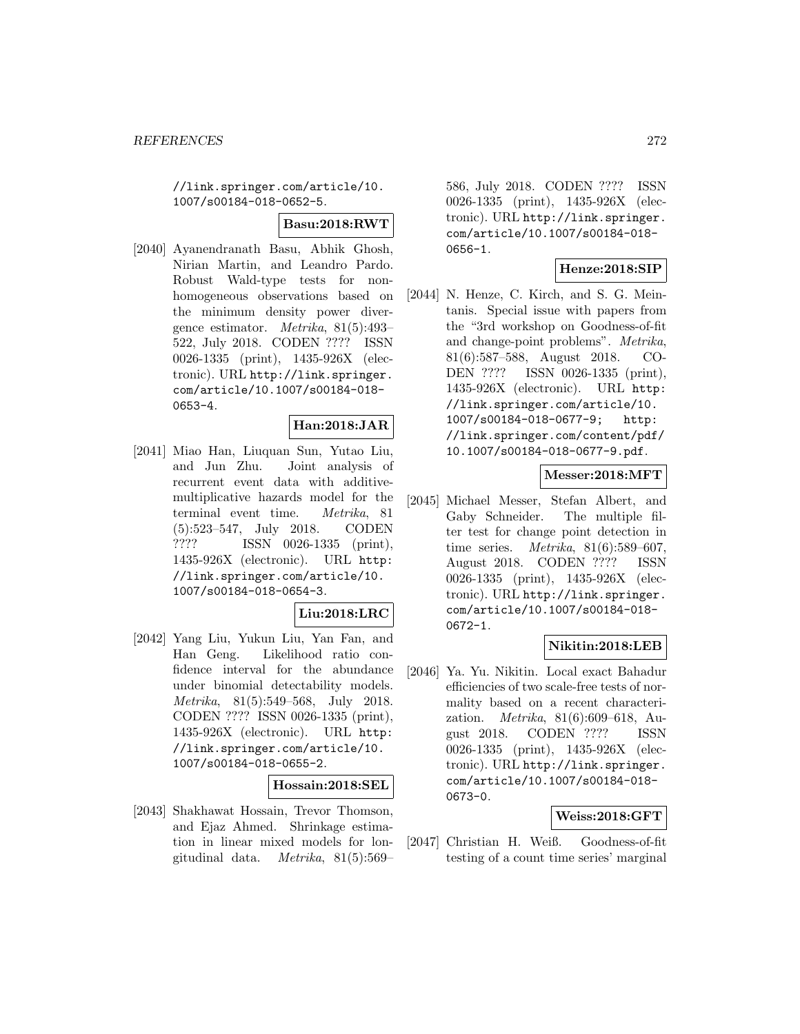//link.springer.com/article/10. 1007/s00184-018-0652-5.

#### **Basu:2018:RWT**

[2040] Ayanendranath Basu, Abhik Ghosh, Nirian Martin, and Leandro Pardo. Robust Wald-type tests for nonhomogeneous observations based on the minimum density power divergence estimator. Metrika, 81(5):493– 522, July 2018. CODEN ???? ISSN 0026-1335 (print), 1435-926X (electronic). URL http://link.springer. com/article/10.1007/s00184-018- 0653-4.

### **Han:2018:JAR**

[2041] Miao Han, Liuquan Sun, Yutao Liu, and Jun Zhu. Joint analysis of recurrent event data with additivemultiplicative hazards model for the terminal event time. Metrika, 81 (5):523–547, July 2018. CODEN ???? ISSN 0026-1335 (print), 1435-926X (electronic). URL http: //link.springer.com/article/10. 1007/s00184-018-0654-3.

### **Liu:2018:LRC**

[2042] Yang Liu, Yukun Liu, Yan Fan, and Han Geng. Likelihood ratio confidence interval for the abundance under binomial detectability models. Metrika, 81(5):549–568, July 2018. CODEN ???? ISSN 0026-1335 (print), 1435-926X (electronic). URL http: //link.springer.com/article/10. 1007/s00184-018-0655-2.

#### **Hossain:2018:SEL**

[2043] Shakhawat Hossain, Trevor Thomson, and Ejaz Ahmed. Shrinkage estimation in linear mixed models for longitudinal data. Metrika, 81(5):569–

586, July 2018. CODEN ???? ISSN 0026-1335 (print), 1435-926X (electronic). URL http://link.springer. com/article/10.1007/s00184-018- 0656-1.

### **Henze:2018:SIP**

[2044] N. Henze, C. Kirch, and S. G. Meintanis. Special issue with papers from the "3rd workshop on Goodness-of-fit and change-point problems". Metrika, 81(6):587–588, August 2018. CO-DEN ???? ISSN 0026-1335 (print), 1435-926X (electronic). URL http: //link.springer.com/article/10. 1007/s00184-018-0677-9; http: //link.springer.com/content/pdf/ 10.1007/s00184-018-0677-9.pdf.

### **Messer:2018:MFT**

[2045] Michael Messer, Stefan Albert, and Gaby Schneider. The multiple filter test for change point detection in time series. Metrika, 81(6):589–607, August 2018. CODEN ???? ISSN 0026-1335 (print), 1435-926X (electronic). URL http://link.springer. com/article/10.1007/s00184-018- 0672-1.

## **Nikitin:2018:LEB**

[2046] Ya. Yu. Nikitin. Local exact Bahadur efficiencies of two scale-free tests of normality based on a recent characterization. Metrika, 81(6):609–618, August 2018. CODEN ???? ISSN 0026-1335 (print), 1435-926X (electronic). URL http://link.springer. com/article/10.1007/s00184-018- 0673-0.

### **Weiss:2018:GFT**

[2047] Christian H. Weiß. Goodness-of-fit testing of a count time series' marginal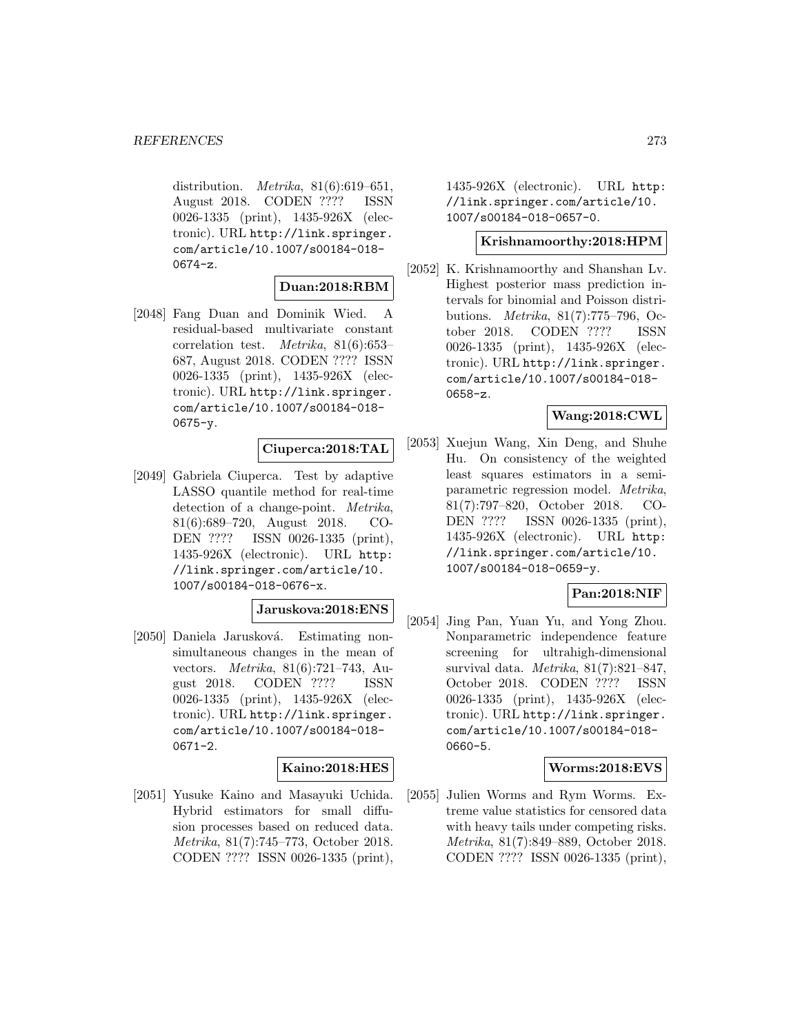distribution. *Metrika*,  $81(6):619-651$ , August 2018. CODEN ???? ISSN 0026-1335 (print), 1435-926X (electronic). URL http://link.springer. com/article/10.1007/s00184-018-  $0674 - z.$ 

### **Duan:2018:RBM**

[2048] Fang Duan and Dominik Wied. A residual-based multivariate constant correlation test. Metrika, 81(6):653– 687, August 2018. CODEN ???? ISSN 0026-1335 (print), 1435-926X (electronic). URL http://link.springer. com/article/10.1007/s00184-018- 0675-y.

### **Ciuperca:2018:TAL**

[2049] Gabriela Ciuperca. Test by adaptive LASSO quantile method for real-time detection of a change-point. Metrika, 81(6):689–720, August 2018. CO-DEN ???? ISSN 0026-1335 (print), 1435-926X (electronic). URL http: //link.springer.com/article/10. 1007/s00184-018-0676-x.

## **Jaruskova:2018:ENS**

[2050] Daniela Jarusková. Estimating nonsimultaneous changes in the mean of vectors. Metrika, 81(6):721–743, August 2018. CODEN ???? ISSN 0026-1335 (print), 1435-926X (electronic). URL http://link.springer. com/article/10.1007/s00184-018- 0671-2.

### **Kaino:2018:HES**

[2051] Yusuke Kaino and Masayuki Uchida. Hybrid estimators for small diffusion processes based on reduced data. Metrika, 81(7):745–773, October 2018. CODEN ???? ISSN 0026-1335 (print), 1435-926X (electronic). URL http: //link.springer.com/article/10. 1007/s00184-018-0657-0.

### **Krishnamoorthy:2018:HPM**

[2052] K. Krishnamoorthy and Shanshan Lv. Highest posterior mass prediction intervals for binomial and Poisson distributions. Metrika, 81(7):775–796, October 2018. CODEN ???? ISSN 0026-1335 (print), 1435-926X (electronic). URL http://link.springer. com/article/10.1007/s00184-018- 0658-z.

## **Wang:2018:CWL**

[2053] Xuejun Wang, Xin Deng, and Shuhe Hu. On consistency of the weighted least squares estimators in a semiparametric regression model. Metrika, 81(7):797–820, October 2018. CO-DEN ???? ISSN 0026-1335 (print), 1435-926X (electronic). URL http: //link.springer.com/article/10. 1007/s00184-018-0659-y.

### **Pan:2018:NIF**

[2054] Jing Pan, Yuan Yu, and Yong Zhou. Nonparametric independence feature screening for ultrahigh-dimensional survival data. Metrika, 81(7):821–847, October 2018. CODEN ???? ISSN 0026-1335 (print), 1435-926X (electronic). URL http://link.springer. com/article/10.1007/s00184-018- 0660-5.

### **Worms:2018:EVS**

[2055] Julien Worms and Rym Worms. Extreme value statistics for censored data with heavy tails under competing risks. Metrika, 81(7):849–889, October 2018. CODEN ???? ISSN 0026-1335 (print),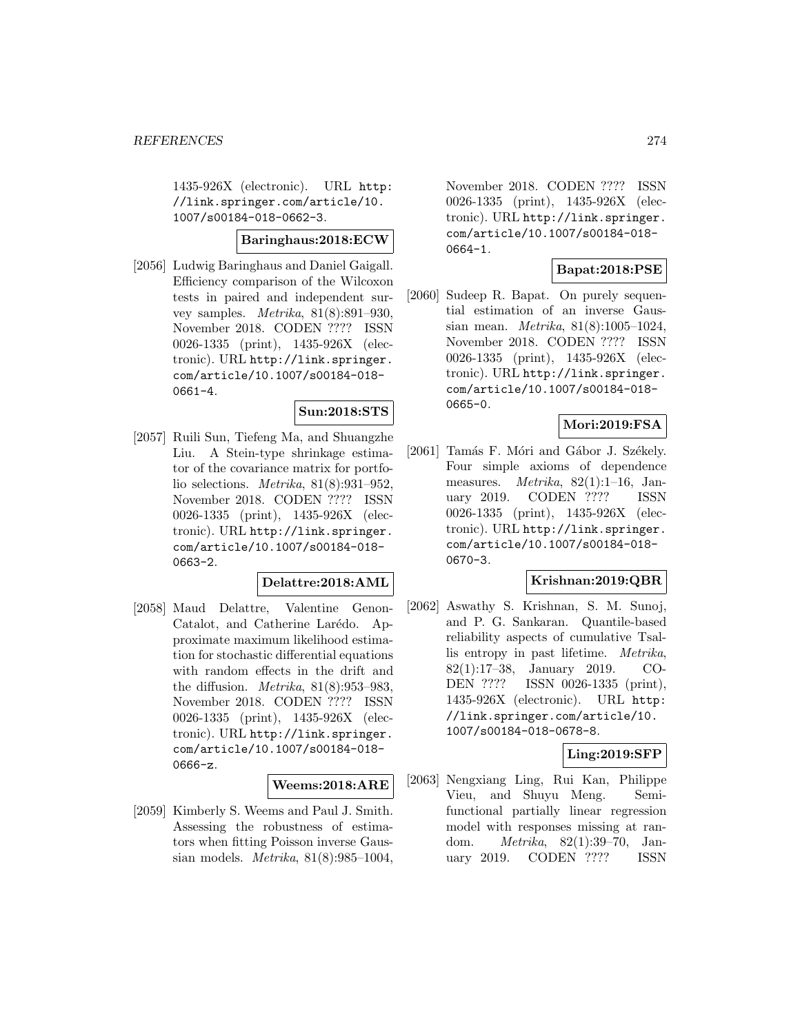1435-926X (electronic). URL http: //link.springer.com/article/10. 1007/s00184-018-0662-3.

#### **Baringhaus:2018:ECW**

[2056] Ludwig Baringhaus and Daniel Gaigall. Efficiency comparison of the Wilcoxon tests in paired and independent survey samples. *Metrika*,  $81(8):891-930$ , November 2018. CODEN ???? ISSN 0026-1335 (print), 1435-926X (electronic). URL http://link.springer. com/article/10.1007/s00184-018- 0661-4.

### **Sun:2018:STS**

[2057] Ruili Sun, Tiefeng Ma, and Shuangzhe Liu. A Stein-type shrinkage estimator of the covariance matrix for portfolio selections. Metrika, 81(8):931–952, November 2018. CODEN ???? ISSN 0026-1335 (print), 1435-926X (electronic). URL http://link.springer. com/article/10.1007/s00184-018- 0663-2.

## **Delattre:2018:AML**

[2058] Maud Delattre, Valentine Genon-Catalot, and Catherine Larédo. Approximate maximum likelihood estimation for stochastic differential equations with random effects in the drift and the diffusion. *Metrika*,  $81(8):953-983$ , November 2018. CODEN ???? ISSN 0026-1335 (print), 1435-926X (electronic). URL http://link.springer. com/article/10.1007/s00184-018- 0666-z.

#### **Weems:2018:ARE**

[2059] Kimberly S. Weems and Paul J. Smith. Assessing the robustness of estimators when fitting Poisson inverse Gaussian models. Metrika, 81(8):985–1004,

November 2018. CODEN ???? ISSN 0026-1335 (print), 1435-926X (electronic). URL http://link.springer. com/article/10.1007/s00184-018- 0664-1.

### **Bapat:2018:PSE**

[2060] Sudeep R. Bapat. On purely sequential estimation of an inverse Gaussian mean. Metrika, 81(8):1005–1024, November 2018. CODEN ???? ISSN 0026-1335 (print), 1435-926X (electronic). URL http://link.springer. com/article/10.1007/s00184-018- 0665-0.

## **Mori:2019:FSA**

[2061] Tamás F. Móri and Gábor J. Székely. Four simple axioms of dependence measures. Metrika, 82(1):1–16, January 2019. CODEN ???? ISSN 0026-1335 (print), 1435-926X (electronic). URL http://link.springer. com/article/10.1007/s00184-018- 0670-3.

## **Krishnan:2019:QBR**

[2062] Aswathy S. Krishnan, S. M. Sunoj, and P. G. Sankaran. Quantile-based reliability aspects of cumulative Tsallis entropy in past lifetime. Metrika, 82(1):17–38, January 2019. CO-DEN ???? ISSN 0026-1335 (print), 1435-926X (electronic). URL http: //link.springer.com/article/10. 1007/s00184-018-0678-8.

### **Ling:2019:SFP**

[2063] Nengxiang Ling, Rui Kan, Philippe Vieu, and Shuyu Meng. Semifunctional partially linear regression model with responses missing at random. Metrika, 82(1):39–70, January 2019. CODEN ???? ISSN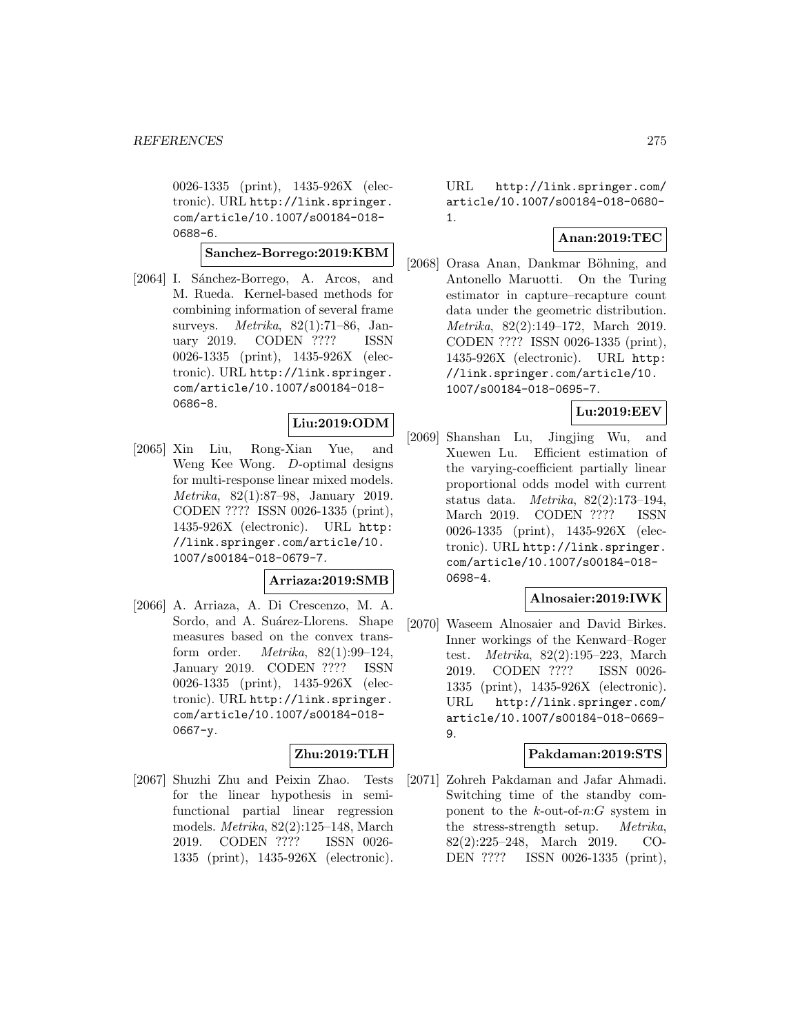0026-1335 (print), 1435-926X (electronic). URL http://link.springer. com/article/10.1007/s00184-018- 0688-6.

#### **Sanchez-Borrego:2019:KBM**

[2064] I. Sánchez-Borrego, A. Arcos, and M. Rueda. Kernel-based methods for combining information of several frame surveys. Metrika, 82(1):71–86, January 2019. CODEN ???? ISSN 0026-1335 (print), 1435-926X (electronic). URL http://link.springer. com/article/10.1007/s00184-018- 0686-8.

### **Liu:2019:ODM**

[2065] Xin Liu, Rong-Xian Yue, and Weng Kee Wong. D-optimal designs for multi-response linear mixed models. Metrika, 82(1):87–98, January 2019. CODEN ???? ISSN 0026-1335 (print), 1435-926X (electronic). URL http: //link.springer.com/article/10. 1007/s00184-018-0679-7.

## **Arriaza:2019:SMB**

[2066] A. Arriaza, A. Di Crescenzo, M. A. Sordo, and A. Suárez-Llorens. Shape measures based on the convex transform order. Metrika, 82(1):99–124, January 2019. CODEN ???? ISSN 0026-1335 (print), 1435-926X (electronic). URL http://link.springer. com/article/10.1007/s00184-018- 0667-y.

# **Zhu:2019:TLH**

[2067] Shuzhi Zhu and Peixin Zhao. Tests for the linear hypothesis in semifunctional partial linear regression models. Metrika, 82(2):125–148, March 2019. CODEN ???? ISSN 0026- 1335 (print), 1435-926X (electronic).

URL http://link.springer.com/ article/10.1007/s00184-018-0680- 1.

## **Anan:2019:TEC**

[2068] Orasa Anan, Dankmar Böhning, and Antonello Maruotti. On the Turing estimator in capture–recapture count data under the geometric distribution. Metrika, 82(2):149–172, March 2019. CODEN ???? ISSN 0026-1335 (print), 1435-926X (electronic). URL http: //link.springer.com/article/10. 1007/s00184-018-0695-7.

### **Lu:2019:EEV**

[2069] Shanshan Lu, Jingjing Wu, and Xuewen Lu. Efficient estimation of the varying-coefficient partially linear proportional odds model with current status data. Metrika, 82(2):173–194, March 2019. CODEN ???? ISSN 0026-1335 (print), 1435-926X (electronic). URL http://link.springer. com/article/10.1007/s00184-018- 0698-4.

#### **Alnosaier:2019:IWK**

[2070] Waseem Alnosaier and David Birkes. Inner workings of the Kenward–Roger test. Metrika, 82(2):195–223, March 2019. CODEN ???? ISSN 0026- 1335 (print), 1435-926X (electronic). URL http://link.springer.com/ article/10.1007/s00184-018-0669- 9.

#### **Pakdaman:2019:STS**

[2071] Zohreh Pakdaman and Jafar Ahmadi. Switching time of the standby component to the  $k$ -out-of- $n:G$  system in the stress-strength setup. Metrika, 82(2):225–248, March 2019. CO-DEN ???? ISSN 0026-1335 (print),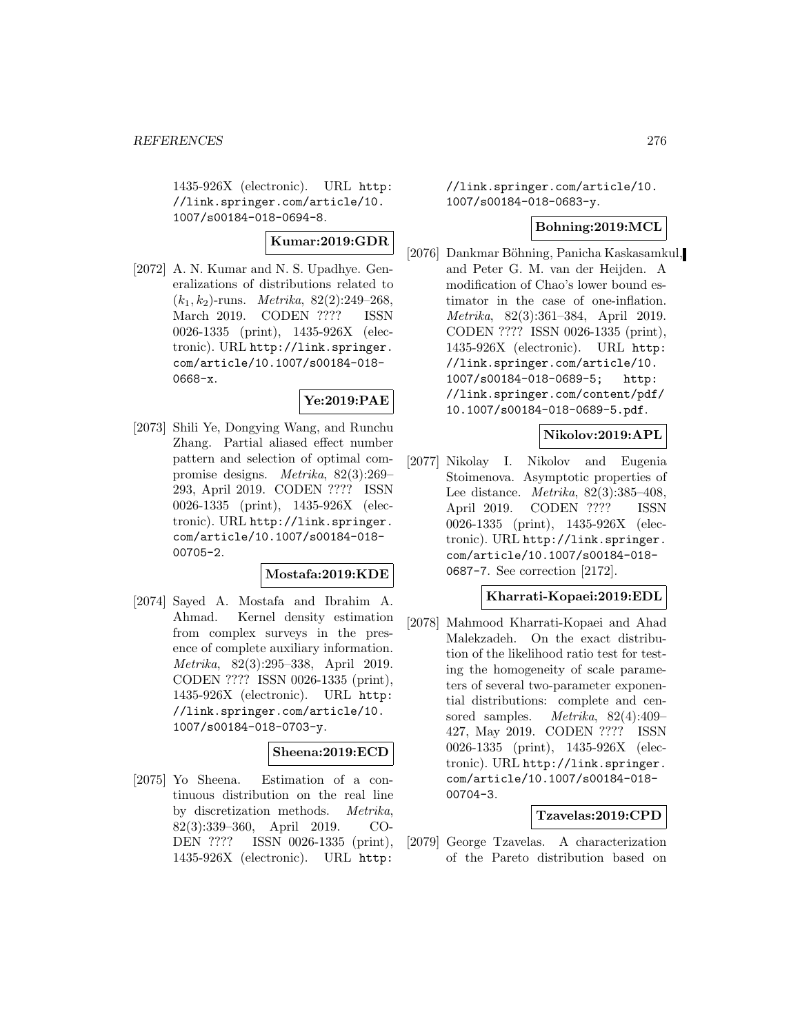1435-926X (electronic). URL http: //link.springer.com/article/10. 1007/s00184-018-0694-8.

# **Kumar:2019:GDR**

[2072] A. N. Kumar and N. S. Upadhye. Generalizations of distributions related to  $(k_1, k_2)$ -runs. *Metrika*, 82(2):249–268, March 2019. CODEN ???? ISSN 0026-1335 (print), 1435-926X (electronic). URL http://link.springer. com/article/10.1007/s00184-018- 0668-x.

### **Ye:2019:PAE**

[2073] Shili Ye, Dongying Wang, and Runchu Zhang. Partial aliased effect number pattern and selection of optimal compromise designs. Metrika, 82(3):269– 293, April 2019. CODEN ???? ISSN 0026-1335 (print), 1435-926X (electronic). URL http://link.springer. com/article/10.1007/s00184-018- 00705-2.

### **Mostafa:2019:KDE**

[2074] Sayed A. Mostafa and Ibrahim A. Ahmad. Kernel density estimation from complex surveys in the presence of complete auxiliary information. Metrika, 82(3):295–338, April 2019. CODEN ???? ISSN 0026-1335 (print), 1435-926X (electronic). URL http: //link.springer.com/article/10. 1007/s00184-018-0703-y.

## **Sheena:2019:ECD**

[2075] Yo Sheena. Estimation of a continuous distribution on the real line by discretization methods. Metrika, 82(3):339–360, April 2019. CO-DEN ???? ISSN 0026-1335 (print), 1435-926X (electronic). URL http:

//link.springer.com/article/10. 1007/s00184-018-0683-y.

### **Bohning:2019:MCL**

[2076] Dankmar Böhning, Panicha Kaskasamkul, and Peter G. M. van der Heijden. A modification of Chao's lower bound estimator in the case of one-inflation. Metrika, 82(3):361–384, April 2019. CODEN ???? ISSN 0026-1335 (print), 1435-926X (electronic). URL http: //link.springer.com/article/10. 1007/s00184-018-0689-5; http: //link.springer.com/content/pdf/ 10.1007/s00184-018-0689-5.pdf.

## **Nikolov:2019:APL**

[2077] Nikolay I. Nikolov and Eugenia Stoimenova. Asymptotic properties of Lee distance. Metrika, 82(3):385–408, April 2019. CODEN ???? ISSN 0026-1335 (print), 1435-926X (electronic). URL http://link.springer. com/article/10.1007/s00184-018- 0687-7. See correction [2172].

### **Kharrati-Kopaei:2019:EDL**

[2078] Mahmood Kharrati-Kopaei and Ahad Malekzadeh. On the exact distribution of the likelihood ratio test for testing the homogeneity of scale parameters of several two-parameter exponential distributions: complete and censored samples. Metrika, 82(4):409– 427, May 2019. CODEN ???? ISSN 0026-1335 (print), 1435-926X (electronic). URL http://link.springer. com/article/10.1007/s00184-018- 00704-3.

### **Tzavelas:2019:CPD**

[2079] George Tzavelas. A characterization of the Pareto distribution based on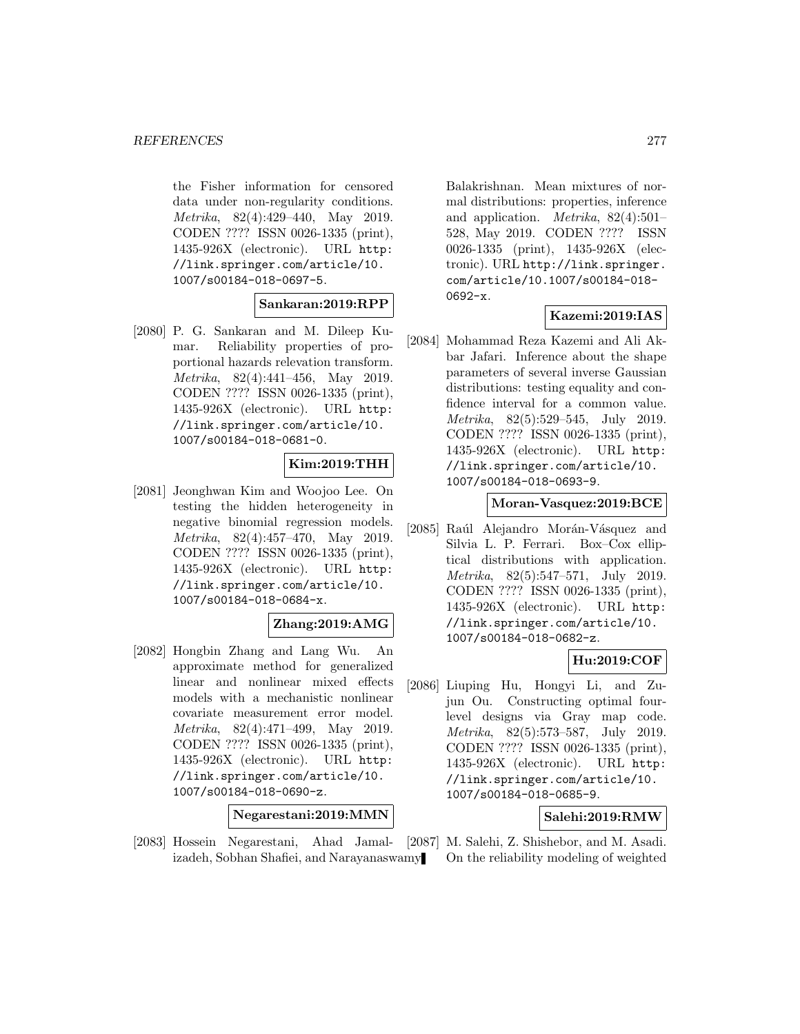the Fisher information for censored data under non-regularity conditions. Metrika, 82(4):429–440, May 2019. CODEN ???? ISSN 0026-1335 (print), 1435-926X (electronic). URL http: //link.springer.com/article/10. 1007/s00184-018-0697-5.

### **Sankaran:2019:RPP**

[2080] P. G. Sankaran and M. Dileep Kumar. Reliability properties of proportional hazards relevation transform. Metrika, 82(4):441–456, May 2019. CODEN ???? ISSN 0026-1335 (print), 1435-926X (electronic). URL http: //link.springer.com/article/10. 1007/s00184-018-0681-0.

## **Kim:2019:THH**

[2081] Jeonghwan Kim and Woojoo Lee. On testing the hidden heterogeneity in negative binomial regression models. Metrika, 82(4):457–470, May 2019. CODEN ???? ISSN 0026-1335 (print), 1435-926X (electronic). URL http: //link.springer.com/article/10. 1007/s00184-018-0684-x.

## **Zhang:2019:AMG**

[2082] Hongbin Zhang and Lang Wu. An approximate method for generalized linear and nonlinear mixed effects models with a mechanistic nonlinear covariate measurement error model. Metrika, 82(4):471–499, May 2019. CODEN ???? ISSN 0026-1335 (print), 1435-926X (electronic). URL http: //link.springer.com/article/10. 1007/s00184-018-0690-z.

**Negarestani:2019:MMN**

[2083] Hossein Negarestani, Ahad Jamal-[2087] M. Salehi, Z. Shishebor, and M. Asadi. izadeh, Sobhan Shafiei, and Narayanaswamy

Balakrishnan. Mean mixtures of normal distributions: properties, inference and application. Metrika, 82(4):501– 528, May 2019. CODEN ???? ISSN 0026-1335 (print), 1435-926X (electronic). URL http://link.springer. com/article/10.1007/s00184-018- 0692-x.

### **Kazemi:2019:IAS**

[2084] Mohammad Reza Kazemi and Ali Akbar Jafari. Inference about the shape parameters of several inverse Gaussian distributions: testing equality and confidence interval for a common value. Metrika, 82(5):529–545, July 2019. CODEN ???? ISSN 0026-1335 (print), 1435-926X (electronic). URL http: //link.springer.com/article/10. 1007/s00184-018-0693-9.

#### **Moran-Vasquez:2019:BCE**

[2085] Raúl Alejandro Morán-Vásquez and Silvia L. P. Ferrari. Box–Cox elliptical distributions with application. Metrika, 82(5):547–571, July 2019. CODEN ???? ISSN 0026-1335 (print), 1435-926X (electronic). URL http: //link.springer.com/article/10. 1007/s00184-018-0682-z.

## **Hu:2019:COF**

[2086] Liuping Hu, Hongyi Li, and Zujun Ou. Constructing optimal fourlevel designs via Gray map code. Metrika, 82(5):573–587, July 2019. CODEN ???? ISSN 0026-1335 (print), 1435-926X (electronic). URL http: //link.springer.com/article/10. 1007/s00184-018-0685-9.

### **Salehi:2019:RMW**

On the reliability modeling of weighted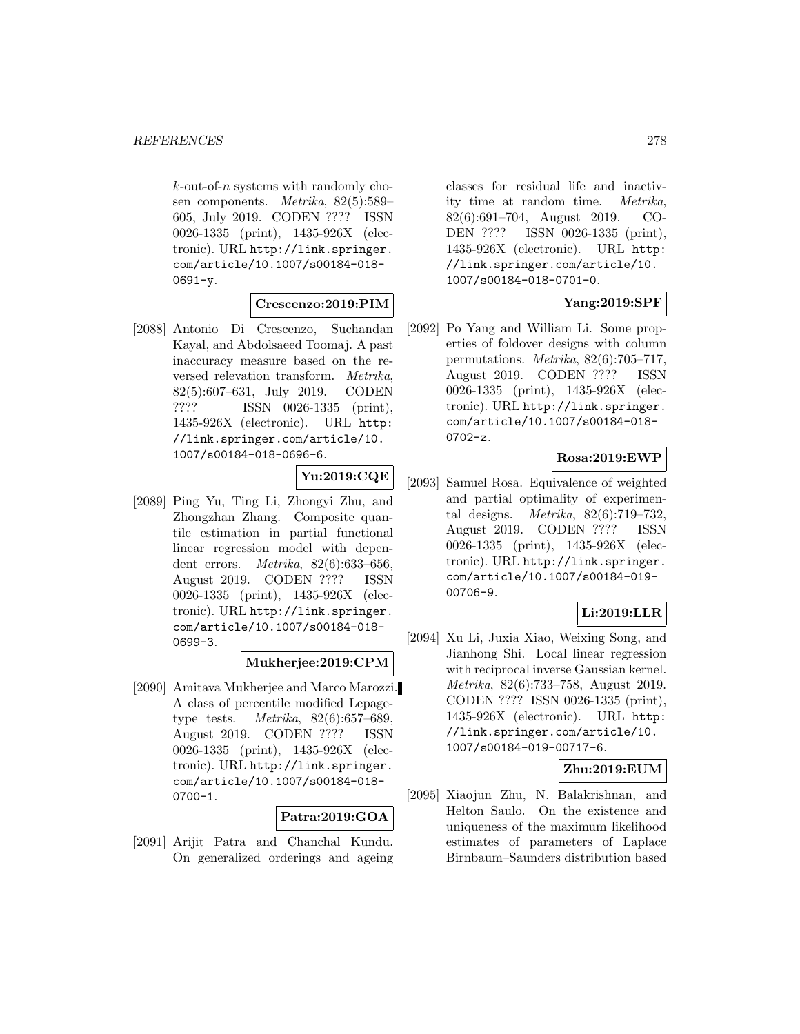$k$ -out-of-n systems with randomly chosen components. Metrika, 82(5):589– 605, July 2019. CODEN ???? ISSN 0026-1335 (print), 1435-926X (electronic). URL http://link.springer. com/article/10.1007/s00184-018-  $0691 - v.$ 

### **Crescenzo:2019:PIM**

[2088] Antonio Di Crescenzo, Suchandan Kayal, and Abdolsaeed Toomaj. A past inaccuracy measure based on the reversed relevation transform. Metrika, 82(5):607–631, July 2019. CODEN ???? ISSN 0026-1335 (print), 1435-926X (electronic). URL http: //link.springer.com/article/10. 1007/s00184-018-0696-6.

## **Yu:2019:CQE**

[2089] Ping Yu, Ting Li, Zhongyi Zhu, and Zhongzhan Zhang. Composite quantile estimation in partial functional linear regression model with dependent errors. Metrika, 82(6):633–656, August 2019. CODEN ???? ISSN 0026-1335 (print), 1435-926X (electronic). URL http://link.springer. com/article/10.1007/s00184-018- 0699-3.

### **Mukherjee:2019:CPM**

[2090] Amitava Mukherjee and Marco Marozzi. A class of percentile modified Lepagetype tests.  $Metrika$ ,  $82(6):657-689$ , August 2019. CODEN ???? ISSN 0026-1335 (print), 1435-926X (electronic). URL http://link.springer. com/article/10.1007/s00184-018- 0700-1.

## **Patra:2019:GOA**

[2091] Arijit Patra and Chanchal Kundu. On generalized orderings and ageing

classes for residual life and inactivity time at random time. Metrika, 82(6):691–704, August 2019. CO-DEN ???? ISSN 0026-1335 (print), 1435-926X (electronic). URL http: //link.springer.com/article/10. 1007/s00184-018-0701-0.

## **Yang:2019:SPF**

[2092] Po Yang and William Li. Some properties of foldover designs with column permutations. Metrika, 82(6):705–717, August 2019. CODEN ???? ISSN 0026-1335 (print), 1435-926X (electronic). URL http://link.springer. com/article/10.1007/s00184-018- 0702-z.

### **Rosa:2019:EWP**

[2093] Samuel Rosa. Equivalence of weighted and partial optimality of experimental designs. Metrika, 82(6):719–732, August 2019. CODEN ???? ISSN 0026-1335 (print), 1435-926X (electronic). URL http://link.springer. com/article/10.1007/s00184-019- 00706-9.

### **Li:2019:LLR**

[2094] Xu Li, Juxia Xiao, Weixing Song, and Jianhong Shi. Local linear regression with reciprocal inverse Gaussian kernel. Metrika, 82(6):733–758, August 2019. CODEN ???? ISSN 0026-1335 (print), 1435-926X (electronic). URL http: //link.springer.com/article/10. 1007/s00184-019-00717-6.

## **Zhu:2019:EUM**

[2095] Xiaojun Zhu, N. Balakrishnan, and Helton Saulo. On the existence and uniqueness of the maximum likelihood estimates of parameters of Laplace Birnbaum–Saunders distribution based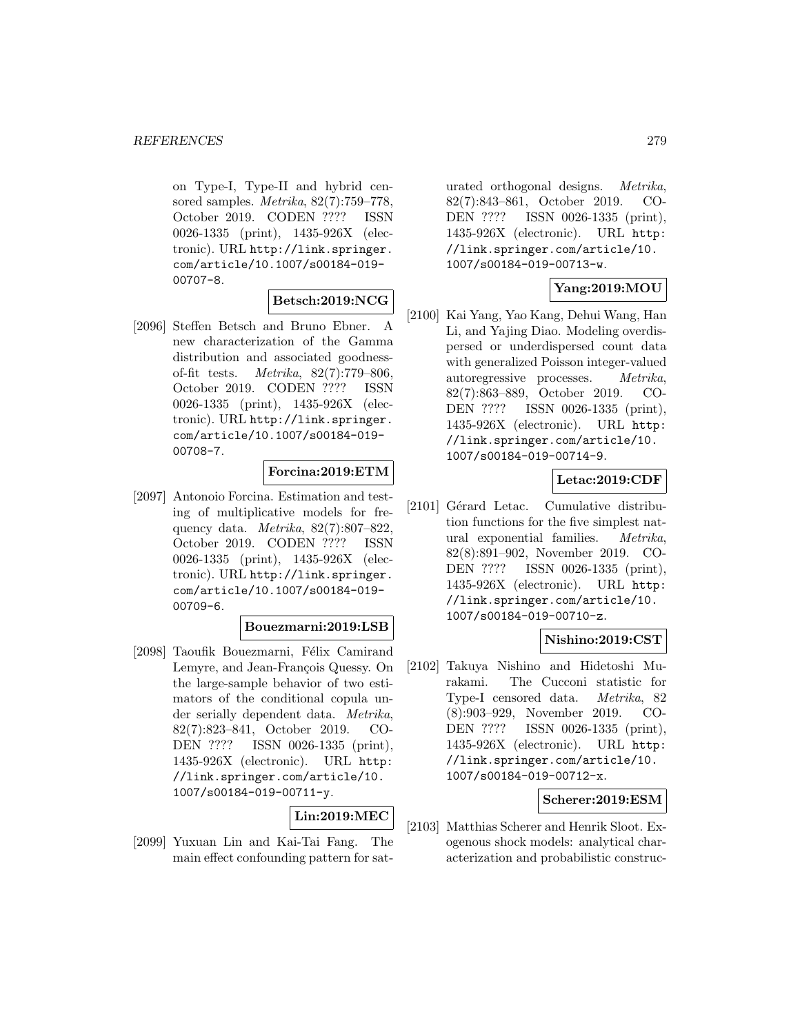on Type-I, Type-II and hybrid censored samples. Metrika, 82(7):759–778, October 2019. CODEN ???? ISSN 0026-1335 (print), 1435-926X (electronic). URL http://link.springer. com/article/10.1007/s00184-019- 00707-8.

# **Betsch:2019:NCG**

[2096] Steffen Betsch and Bruno Ebner. A new characterization of the Gamma distribution and associated goodnessof-fit tests. Metrika, 82(7):779–806, October 2019. CODEN ???? ISSN 0026-1335 (print), 1435-926X (electronic). URL http://link.springer. com/article/10.1007/s00184-019- 00708-7.

### **Forcina:2019:ETM**

[2097] Antonoio Forcina. Estimation and testing of multiplicative models for frequency data. *Metrika*, 82(7):807–822, October 2019. CODEN ???? ISSN 0026-1335 (print), 1435-926X (electronic). URL http://link.springer. com/article/10.1007/s00184-019- 00709-6.

### **Bouezmarni:2019:LSB**

[2098] Taoufik Bouezmarni, Félix Camirand Lemyre, and Jean-François Quessy. On the large-sample behavior of two estimators of the conditional copula under serially dependent data. Metrika, 82(7):823–841, October 2019. CO-DEN ???? ISSN 0026-1335 (print), 1435-926X (electronic). URL http: //link.springer.com/article/10. 1007/s00184-019-00711-y.

## **Lin:2019:MEC**

[2099] Yuxuan Lin and Kai-Tai Fang. The main effect confounding pattern for saturated orthogonal designs. Metrika, 82(7):843–861, October 2019. CO-DEN ???? ISSN 0026-1335 (print), 1435-926X (electronic). URL http: //link.springer.com/article/10. 1007/s00184-019-00713-w.

### **Yang:2019:MOU**

[2100] Kai Yang, Yao Kang, Dehui Wang, Han Li, and Yajing Diao. Modeling overdispersed or underdispersed count data with generalized Poisson integer-valued autoregressive processes. Metrika, 82(7):863–889, October 2019. CO-DEN ???? ISSN 0026-1335 (print), 1435-926X (electronic). URL http: //link.springer.com/article/10. 1007/s00184-019-00714-9.

### **Letac:2019:CDF**

[2101] Gérard Letac. Cumulative distribution functions for the five simplest natural exponential families. Metrika, 82(8):891–902, November 2019. CO-DEN ???? ISSN 0026-1335 (print), 1435-926X (electronic). URL http: //link.springer.com/article/10. 1007/s00184-019-00710-z.

### **Nishino:2019:CST**

[2102] Takuya Nishino and Hidetoshi Murakami. The Cucconi statistic for Type-I censored data. Metrika, 82 (8):903–929, November 2019. CO-DEN ???? ISSN 0026-1335 (print), 1435-926X (electronic). URL http: //link.springer.com/article/10. 1007/s00184-019-00712-x.

### **Scherer:2019:ESM**

[2103] Matthias Scherer and Henrik Sloot. Exogenous shock models: analytical characterization and probabilistic construc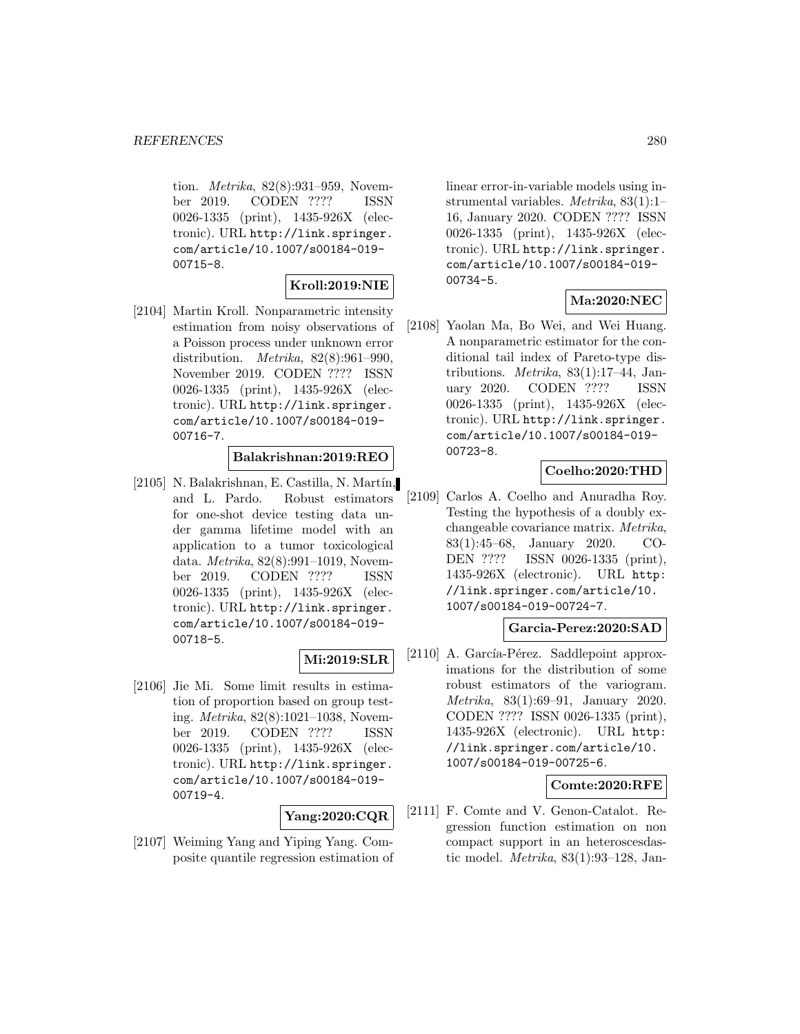tion. *Metrika*, 82(8):931–959, November 2019. CODEN ???? ISSN 0026-1335 (print), 1435-926X (electronic). URL http://link.springer. com/article/10.1007/s00184-019- 00715-8.

### **Kroll:2019:NIE**

[2104] Martin Kroll. Nonparametric intensity estimation from noisy observations of a Poisson process under unknown error distribution. *Metrika*,  $82(8):961-990$ , November 2019. CODEN ???? ISSN 0026-1335 (print), 1435-926X (electronic). URL http://link.springer. com/article/10.1007/s00184-019- 00716-7.

#### **Balakrishnan:2019:REO**

 $[2105]$  N. Balakrishnan, E. Castilla, N. Martín, and L. Pardo. Robust estimators for one-shot device testing data under gamma lifetime model with an application to a tumor toxicological data. Metrika, 82(8):991–1019, November 2019. CODEN ???? ISSN 0026-1335 (print), 1435-926X (electronic). URL http://link.springer. com/article/10.1007/s00184-019- 00718-5.

## **Mi:2019:SLR**

[2106] Jie Mi. Some limit results in estimation of proportion based on group testing. Metrika, 82(8):1021–1038, November 2019. CODEN ???? ISSN 0026-1335 (print), 1435-926X (electronic). URL http://link.springer. com/article/10.1007/s00184-019- 00719-4.

### **Yang:2020:CQR**

[2107] Weiming Yang and Yiping Yang. Composite quantile regression estimation of

linear error-in-variable models using instrumental variables. Metrika, 83(1):1– 16, January 2020. CODEN ???? ISSN 0026-1335 (print), 1435-926X (electronic). URL http://link.springer. com/article/10.1007/s00184-019- 00734-5.

### **Ma:2020:NEC**

[2108] Yaolan Ma, Bo Wei, and Wei Huang. A nonparametric estimator for the conditional tail index of Pareto-type distributions. Metrika, 83(1):17–44, January 2020. CODEN ???? ISSN 0026-1335 (print), 1435-926X (electronic). URL http://link.springer. com/article/10.1007/s00184-019- 00723-8.

### **Coelho:2020:THD**

[2109] Carlos A. Coelho and Anuradha Roy. Testing the hypothesis of a doubly exchangeable covariance matrix. Metrika, 83(1):45–68, January 2020. CO-DEN ???? ISSN 0026-1335 (print), 1435-926X (electronic). URL http: //link.springer.com/article/10. 1007/s00184-019-00724-7.

## **Garcia-Perez:2020:SAD**

[2110] A. García-Pérez. Saddlepoint approximations for the distribution of some robust estimators of the variogram. Metrika, 83(1):69–91, January 2020. CODEN ???? ISSN 0026-1335 (print), 1435-926X (electronic). URL http: //link.springer.com/article/10. 1007/s00184-019-00725-6.

#### **Comte:2020:RFE**

[2111] F. Comte and V. Genon-Catalot. Regression function estimation on non compact support in an heteroscesdastic model. Metrika, 83(1):93–128, Jan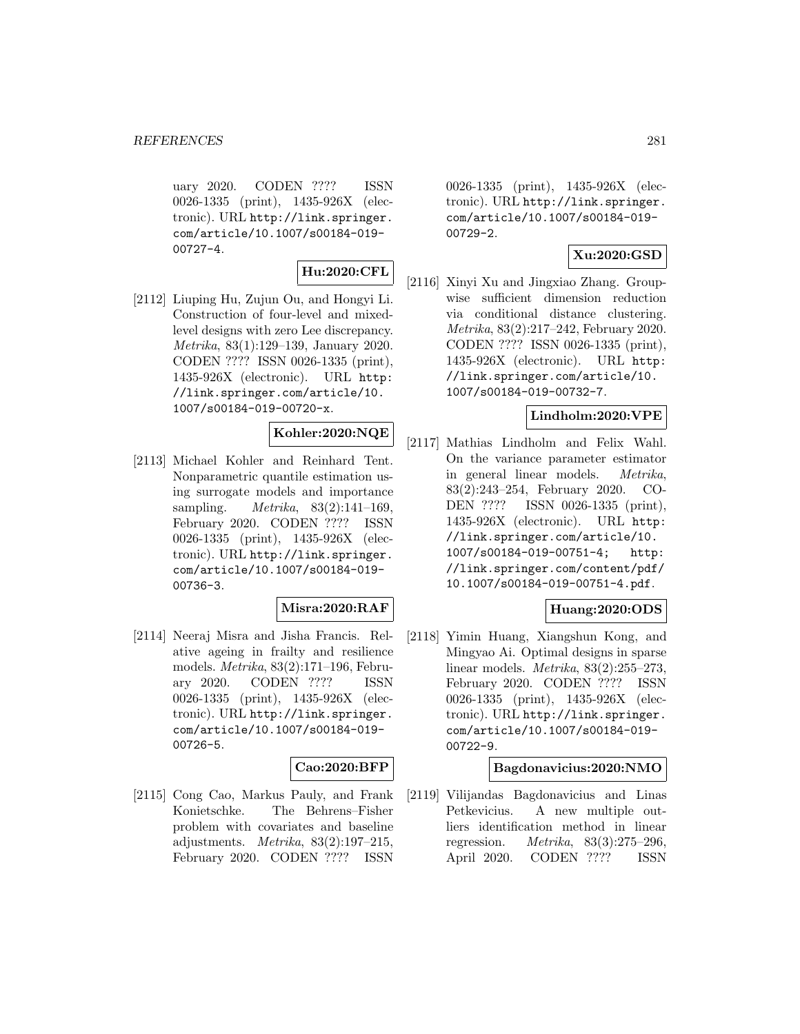uary 2020. CODEN ???? ISSN 0026-1335 (print), 1435-926X (electronic). URL http://link.springer. com/article/10.1007/s00184-019- 00727-4.

**Hu:2020:CFL**

[2112] Liuping Hu, Zujun Ou, and Hongyi Li. Construction of four-level and mixedlevel designs with zero Lee discrepancy. Metrika, 83(1):129–139, January 2020. CODEN ???? ISSN 0026-1335 (print), 1435-926X (electronic). URL http: //link.springer.com/article/10. 1007/s00184-019-00720-x.

## **Kohler:2020:NQE**

[2113] Michael Kohler and Reinhard Tent. Nonparametric quantile estimation using surrogate models and importance sampling. *Metrika*, 83(2):141-169, February 2020. CODEN ???? ISSN 0026-1335 (print), 1435-926X (electronic). URL http://link.springer. com/article/10.1007/s00184-019- 00736-3.

### **Misra:2020:RAF**

[2114] Neeraj Misra and Jisha Francis. Relative ageing in frailty and resilience models. Metrika, 83(2):171–196, February 2020. CODEN ???? ISSN 0026-1335 (print), 1435-926X (electronic). URL http://link.springer. com/article/10.1007/s00184-019- 00726-5.

### **Cao:2020:BFP**

[2115] Cong Cao, Markus Pauly, and Frank Konietschke. The Behrens–Fisher problem with covariates and baseline adjustments. Metrika, 83(2):197–215, February 2020. CODEN ???? ISSN

0026-1335 (print), 1435-926X (electronic). URL http://link.springer. com/article/10.1007/s00184-019- 00729-2.

### **Xu:2020:GSD**

[2116] Xinyi Xu and Jingxiao Zhang. Groupwise sufficient dimension reduction via conditional distance clustering. Metrika, 83(2):217–242, February 2020. CODEN ???? ISSN 0026-1335 (print), 1435-926X (electronic). URL http: //link.springer.com/article/10. 1007/s00184-019-00732-7.

#### **Lindholm:2020:VPE**

[2117] Mathias Lindholm and Felix Wahl. On the variance parameter estimator in general linear models. Metrika, 83(2):243–254, February 2020. CO-DEN ???? ISSN 0026-1335 (print), 1435-926X (electronic). URL http: //link.springer.com/article/10. 1007/s00184-019-00751-4; http: //link.springer.com/content/pdf/ 10.1007/s00184-019-00751-4.pdf.

### **Huang:2020:ODS**

[2118] Yimin Huang, Xiangshun Kong, and Mingyao Ai. Optimal designs in sparse linear models. Metrika, 83(2):255–273, February 2020. CODEN ???? ISSN 0026-1335 (print), 1435-926X (electronic). URL http://link.springer. com/article/10.1007/s00184-019- 00722-9.

### **Bagdonavicius:2020:NMO**

[2119] Vilijandas Bagdonavicius and Linas Petkevicius. A new multiple outliers identification method in linear regression. Metrika, 83(3):275–296, April 2020. CODEN ???? ISSN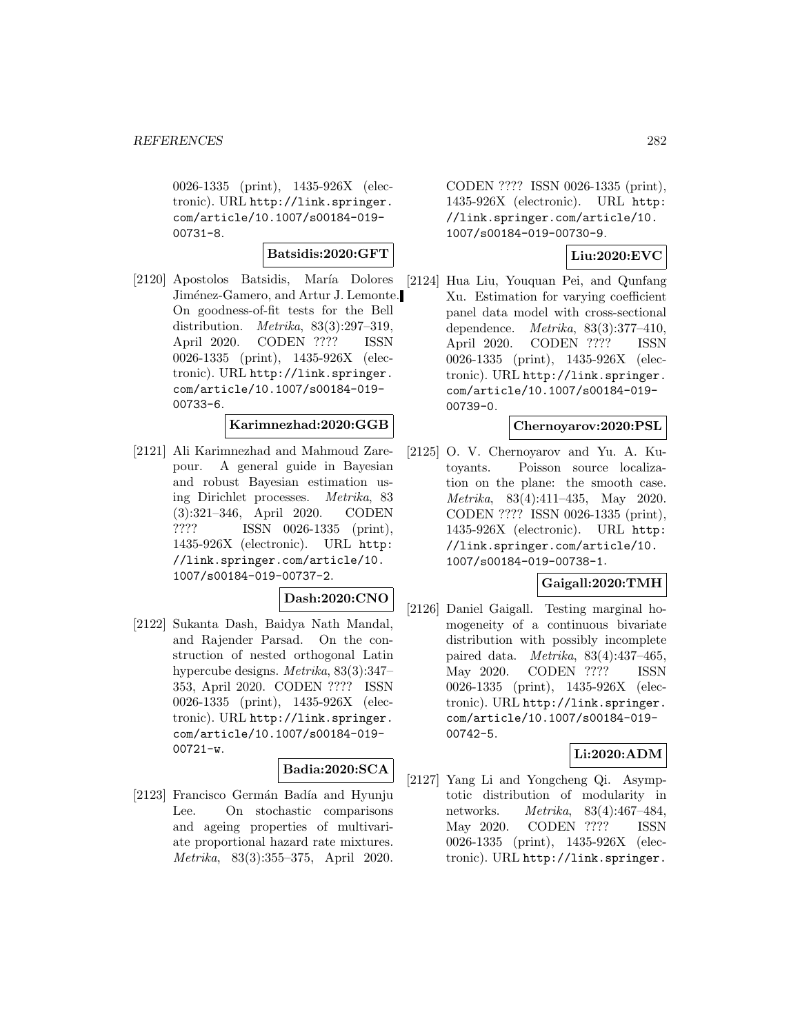0026-1335 (print), 1435-926X (electronic). URL http://link.springer. com/article/10.1007/s00184-019- 00731-8.

#### **Batsidis:2020:GFT**

[2120] Apostolos Batsidis, María Dolores Jiménez-Gamero, and Artur J. Lemonte. On goodness-of-fit tests for the Bell distribution. *Metrika*,  $83(3):297-319$ , April 2020. CODEN ???? ISSN 0026-1335 (print), 1435-926X (electronic). URL http://link.springer. com/article/10.1007/s00184-019- 00733-6.

#### **Karimnezhad:2020:GGB**

[2121] Ali Karimnezhad and Mahmoud Zarepour. A general guide in Bayesian and robust Bayesian estimation using Dirichlet processes. Metrika, 83 (3):321–346, April 2020. CODEN ???? ISSN 0026-1335 (print), 1435-926X (electronic). URL http: //link.springer.com/article/10. 1007/s00184-019-00737-2.

#### **Dash:2020:CNO**

[2122] Sukanta Dash, Baidya Nath Mandal, and Rajender Parsad. On the construction of nested orthogonal Latin hypercube designs. Metrika, 83(3):347– 353, April 2020. CODEN ???? ISSN 0026-1335 (print), 1435-926X (electronic). URL http://link.springer. com/article/10.1007/s00184-019- 00721-w.

### **Badia:2020:SCA**

[2123] Francisco Germán Badía and Hyunju Lee. On stochastic comparisons and ageing properties of multivariate proportional hazard rate mixtures. Metrika, 83(3):355–375, April 2020.

CODEN ???? ISSN 0026-1335 (print), 1435-926X (electronic). URL http: //link.springer.com/article/10. 1007/s00184-019-00730-9.

## **Liu:2020:EVC**

[2124] Hua Liu, Youquan Pei, and Qunfang Xu. Estimation for varying coefficient panel data model with cross-sectional dependence. Metrika, 83(3):377–410, April 2020. CODEN ???? ISSN 0026-1335 (print), 1435-926X (electronic). URL http://link.springer. com/article/10.1007/s00184-019- 00739-0.

#### **Chernoyarov:2020:PSL**

[2125] O. V. Chernoyarov and Yu. A. Kutoyants. Poisson source localization on the plane: the smooth case. Metrika, 83(4):411–435, May 2020. CODEN ???? ISSN 0026-1335 (print), 1435-926X (electronic). URL http: //link.springer.com/article/10. 1007/s00184-019-00738-1.

### **Gaigall:2020:TMH**

[2126] Daniel Gaigall. Testing marginal homogeneity of a continuous bivariate distribution with possibly incomplete paired data. Metrika, 83(4):437–465, May 2020. CODEN ???? ISSN 0026-1335 (print), 1435-926X (electronic). URL http://link.springer. com/article/10.1007/s00184-019- 00742-5.

### **Li:2020:ADM**

[2127] Yang Li and Yongcheng Qi. Asymptotic distribution of modularity in networks. Metrika, 83(4):467–484, May 2020. CODEN ???? ISSN 0026-1335 (print), 1435-926X (electronic). URL http://link.springer.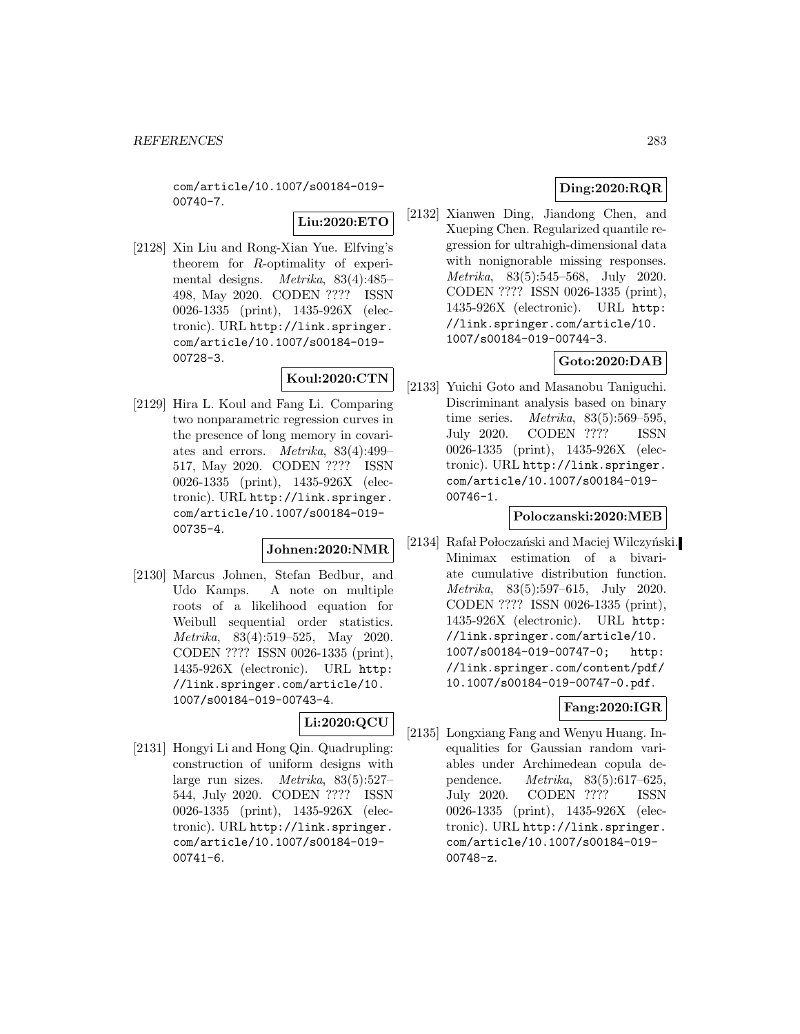com/article/10.1007/s00184-019- 00740-7.

**Liu:2020:ETO**

[2128] Xin Liu and Rong-Xian Yue. Elfving's theorem for R-optimality of experimental designs. Metrika, 83(4):485– 498, May 2020. CODEN ???? ISSN 0026-1335 (print), 1435-926X (electronic). URL http://link.springer. com/article/10.1007/s00184-019- 00728-3.

## **Koul:2020:CTN**

[2129] Hira L. Koul and Fang Li. Comparing two nonparametric regression curves in the presence of long memory in covariates and errors. Metrika, 83(4):499– 517, May 2020. CODEN ???? ISSN 0026-1335 (print), 1435-926X (electronic). URL http://link.springer. com/article/10.1007/s00184-019- 00735-4.

### **Johnen:2020:NMR**

[2130] Marcus Johnen, Stefan Bedbur, and Udo Kamps. A note on multiple roots of a likelihood equation for Weibull sequential order statistics. Metrika, 83(4):519–525, May 2020. CODEN ???? ISSN 0026-1335 (print), 1435-926X (electronic). URL http: //link.springer.com/article/10. 1007/s00184-019-00743-4.

## **Li:2020:QCU**

[2131] Hongyi Li and Hong Qin. Quadrupling: construction of uniform designs with large run sizes. Metrika, 83(5):527– 544, July 2020. CODEN ???? ISSN 0026-1335 (print), 1435-926X (electronic). URL http://link.springer. com/article/10.1007/s00184-019- 00741-6.

# **Ding:2020:RQR**

[2132] Xianwen Ding, Jiandong Chen, and Xueping Chen. Regularized quantile regression for ultrahigh-dimensional data with nonignorable missing responses. Metrika, 83(5):545–568, July 2020. CODEN ???? ISSN 0026-1335 (print), 1435-926X (electronic). URL http: //link.springer.com/article/10. 1007/s00184-019-00744-3.

## **Goto:2020:DAB**

[2133] Yuichi Goto and Masanobu Taniguchi. Discriminant analysis based on binary time series. Metrika, 83(5):569–595, July 2020. CODEN ???? ISSN 0026-1335 (print), 1435-926X (electronic). URL http://link.springer. com/article/10.1007/s00184-019- 00746-1.

### **Poloczanski:2020:MEB**

[2134] Rafał Połoczański and Maciej Wilczyński. Minimax estimation of a bivariate cumulative distribution function. Metrika, 83(5):597–615, July 2020. CODEN ???? ISSN 0026-1335 (print), 1435-926X (electronic). URL http: //link.springer.com/article/10. 1007/s00184-019-00747-0; http: //link.springer.com/content/pdf/ 10.1007/s00184-019-00747-0.pdf.

# **Fang:2020:IGR**

[2135] Longxiang Fang and Wenyu Huang. Inequalities for Gaussian random variables under Archimedean copula dependence. Metrika, 83(5):617–625, July 2020. CODEN ???? ISSN 0026-1335 (print), 1435-926X (electronic). URL http://link.springer. com/article/10.1007/s00184-019- 00748-z.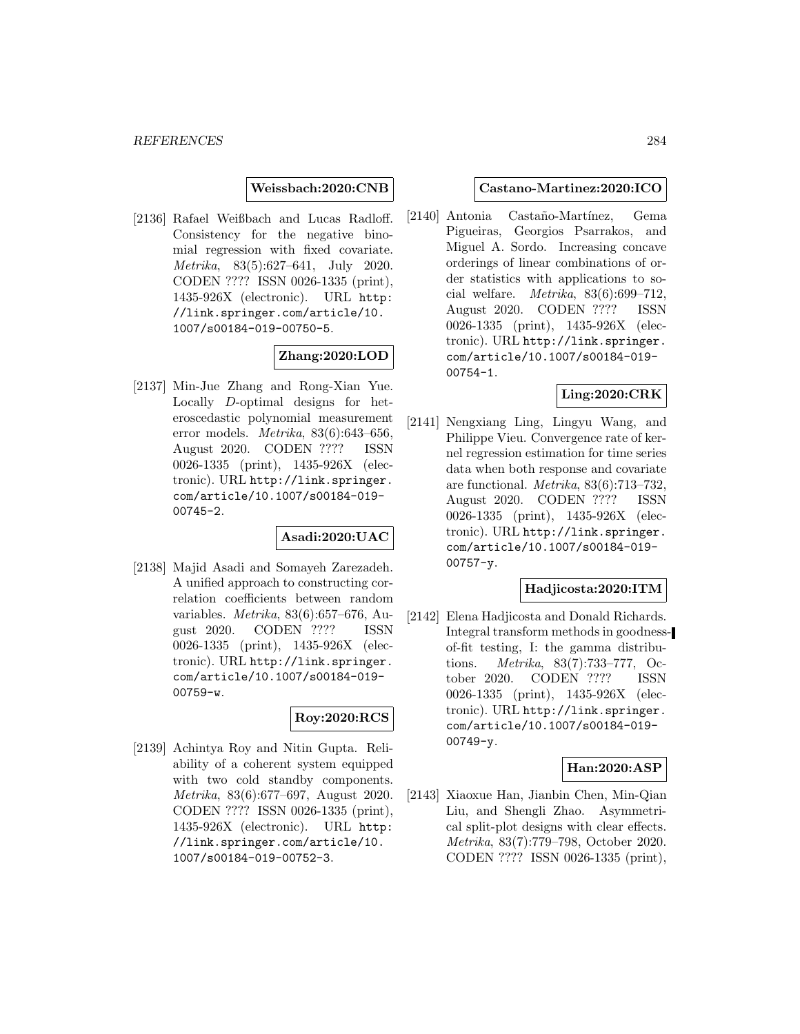**Weissbach:2020:CNB**

[2136] Rafael Weißbach and Lucas Radloff. Consistency for the negative binomial regression with fixed covariate. Metrika, 83(5):627–641, July 2020. CODEN ???? ISSN 0026-1335 (print), 1435-926X (electronic). URL http: //link.springer.com/article/10. 1007/s00184-019-00750-5.

## **Zhang:2020:LOD**

[2137] Min-Jue Zhang and Rong-Xian Yue. Locally D-optimal designs for heteroscedastic polynomial measurement error models. Metrika, 83(6):643–656, August 2020. CODEN ???? ISSN 0026-1335 (print), 1435-926X (electronic). URL http://link.springer. com/article/10.1007/s00184-019- 00745-2.

### **Asadi:2020:UAC**

[2138] Majid Asadi and Somayeh Zarezadeh. A unified approach to constructing correlation coefficients between random variables. Metrika, 83(6):657–676, August 2020. CODEN ???? ISSN 0026-1335 (print), 1435-926X (electronic). URL http://link.springer. com/article/10.1007/s00184-019- 00759-w.

## **Roy:2020:RCS**

[2139] Achintya Roy and Nitin Gupta. Reliability of a coherent system equipped with two cold standby components. Metrika, 83(6):677–697, August 2020. CODEN ???? ISSN 0026-1335 (print), 1435-926X (electronic). URL http: //link.springer.com/article/10. 1007/s00184-019-00752-3.

#### **Castano-Martinez:2020:ICO**

[2140] Antonia Castaño-Martínez, Gema Pigueiras, Georgios Psarrakos, and Miguel A. Sordo. Increasing concave orderings of linear combinations of order statistics with applications to social welfare. Metrika, 83(6):699–712, August 2020. CODEN ???? ISSN 0026-1335 (print), 1435-926X (electronic). URL http://link.springer. com/article/10.1007/s00184-019- 00754-1.

### **Ling:2020:CRK**

[2141] Nengxiang Ling, Lingyu Wang, and Philippe Vieu. Convergence rate of kernel regression estimation for time series data when both response and covariate are functional. Metrika, 83(6):713–732, August 2020. CODEN ???? ISSN 0026-1335 (print), 1435-926X (electronic). URL http://link.springer. com/article/10.1007/s00184-019- 00757-y.

### **Hadjicosta:2020:ITM**

[2142] Elena Hadjicosta and Donald Richards. Integral transform methods in goodnessof-fit testing, I: the gamma distributions. Metrika, 83(7):733–777, October 2020. CODEN ???? ISSN 0026-1335 (print), 1435-926X (electronic). URL http://link.springer. com/article/10.1007/s00184-019- 00749-y.

#### **Han:2020:ASP**

[2143] Xiaoxue Han, Jianbin Chen, Min-Qian Liu, and Shengli Zhao. Asymmetrical split-plot designs with clear effects. Metrika, 83(7):779–798, October 2020. CODEN ???? ISSN 0026-1335 (print),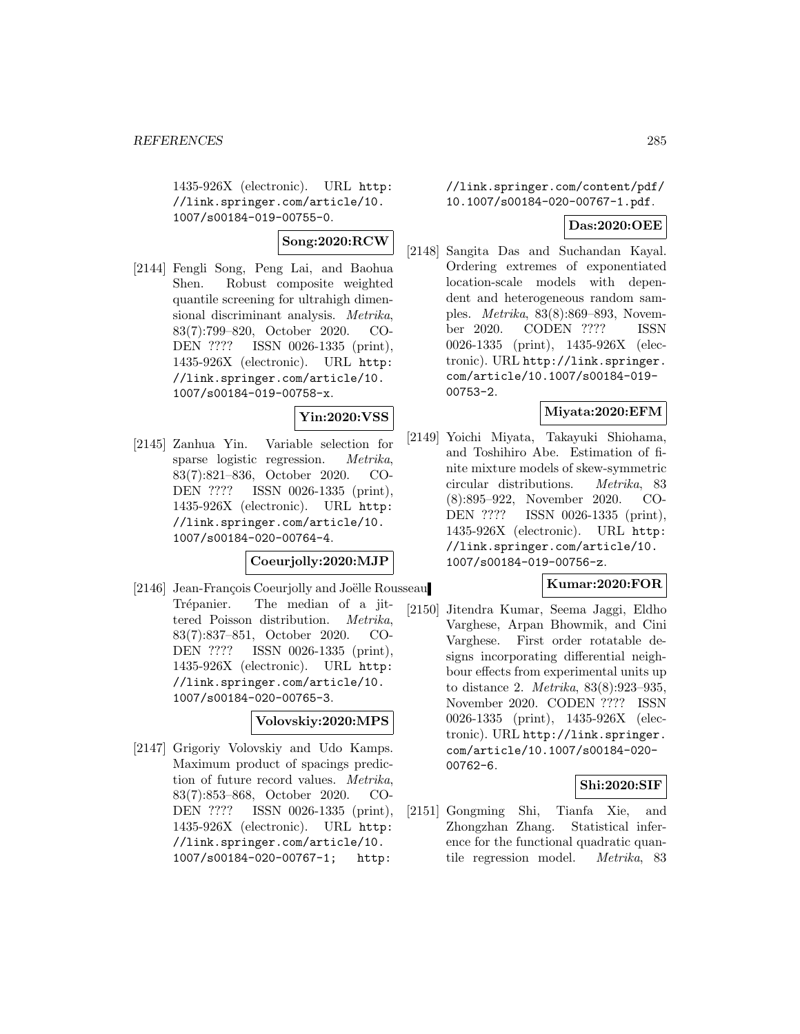1435-926X (electronic). URL http: //link.springer.com/article/10. 1007/s00184-019-00755-0.

# **Song:2020:RCW**

[2144] Fengli Song, Peng Lai, and Baohua Shen. Robust composite weighted quantile screening for ultrahigh dimensional discriminant analysis. Metrika, 83(7):799–820, October 2020. CO-DEN ???? ISSN 0026-1335 (print), 1435-926X (electronic). URL http: //link.springer.com/article/10. 1007/s00184-019-00758-x.

## **Yin:2020:VSS**

[2145] Zanhua Yin. Variable selection for sparse logistic regression. Metrika, 83(7):821–836, October 2020. CO-DEN ???? ISSN 0026-1335 (print), 1435-926X (electronic). URL http: //link.springer.com/article/10. 1007/s00184-020-00764-4.

### **Coeurjolly:2020:MJP**

[2146] Jean-François Coeurjolly and Joëlle Rousseau Trépanier. The median of a jittered Poisson distribution. Metrika, 83(7):837–851, October 2020. CO-DEN ???? ISSN 0026-1335 (print), 1435-926X (electronic). URL http: //link.springer.com/article/10. 1007/s00184-020-00765-3.

### **Volovskiy:2020:MPS**

[2147] Grigoriy Volovskiy and Udo Kamps. Maximum product of spacings prediction of future record values. Metrika, 83(7):853–868, October 2020. CO-DEN ???? ISSN 0026-1335 (print), 1435-926X (electronic). URL http: //link.springer.com/article/10. 1007/s00184-020-00767-1; http:

//link.springer.com/content/pdf/ 10.1007/s00184-020-00767-1.pdf.

### **Das:2020:OEE**

[2148] Sangita Das and Suchandan Kayal. Ordering extremes of exponentiated location-scale models with dependent and heterogeneous random samples. Metrika, 83(8):869–893, November 2020. CODEN ???? ISSN 0026-1335 (print), 1435-926X (electronic). URL http://link.springer. com/article/10.1007/s00184-019- 00753-2.

#### **Miyata:2020:EFM**

[2149] Yoichi Miyata, Takayuki Shiohama, and Toshihiro Abe. Estimation of finite mixture models of skew-symmetric circular distributions. Metrika, 83 (8):895–922, November 2020. CO-DEN ???? ISSN 0026-1335 (print), 1435-926X (electronic). URL http: //link.springer.com/article/10. 1007/s00184-019-00756-z.

### **Kumar:2020:FOR**

[2150] Jitendra Kumar, Seema Jaggi, Eldho Varghese, Arpan Bhowmik, and Cini Varghese. First order rotatable designs incorporating differential neighbour effects from experimental units up to distance 2. Metrika, 83(8):923–935, November 2020. CODEN ???? ISSN 0026-1335 (print), 1435-926X (electronic). URL http://link.springer. com/article/10.1007/s00184-020- 00762-6.

#### **Shi:2020:SIF**

[2151] Gongming Shi, Tianfa Xie, and Zhongzhan Zhang. Statistical inference for the functional quadratic quantile regression model. Metrika, 83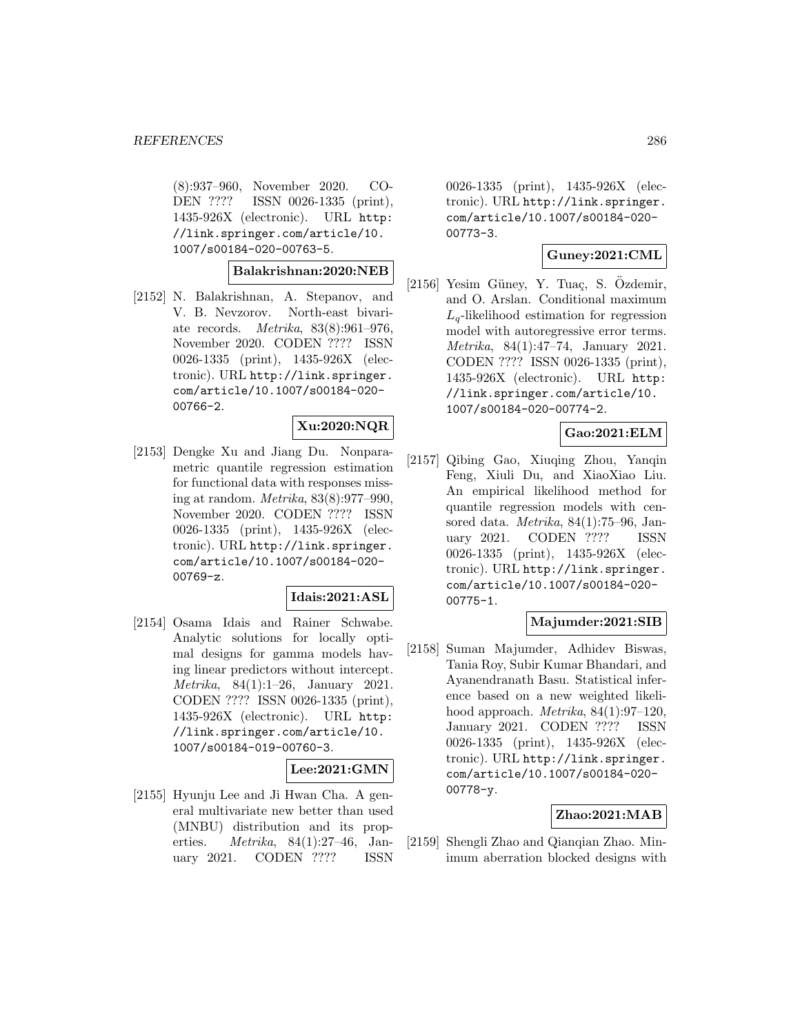(8):937–960, November 2020. CO-DEN ???? ISSN 0026-1335 (print), 1435-926X (electronic). URL http: //link.springer.com/article/10. 1007/s00184-020-00763-5.

#### **Balakrishnan:2020:NEB**

[2152] N. Balakrishnan, A. Stepanov, and V. B. Nevzorov. North-east bivariate records. Metrika, 83(8):961–976, November 2020. CODEN ???? ISSN 0026-1335 (print), 1435-926X (electronic). URL http://link.springer. com/article/10.1007/s00184-020- 00766-2.

### **Xu:2020:NQR**

[2153] Dengke Xu and Jiang Du. Nonparametric quantile regression estimation for functional data with responses missing at random. Metrika, 83(8):977–990, November 2020. CODEN ???? ISSN 0026-1335 (print), 1435-926X (electronic). URL http://link.springer. com/article/10.1007/s00184-020- 00769-z.

#### **Idais:2021:ASL**

[2154] Osama Idais and Rainer Schwabe. Analytic solutions for locally optimal designs for gamma models having linear predictors without intercept. Metrika, 84(1):1–26, January 2021. CODEN ???? ISSN 0026-1335 (print), 1435-926X (electronic). URL http: //link.springer.com/article/10. 1007/s00184-019-00760-3.

### **Lee:2021:GMN**

[2155] Hyunju Lee and Ji Hwan Cha. A general multivariate new better than used (MNBU) distribution and its properties. Metrika, 84(1):27–46, January 2021. CODEN ???? ISSN

0026-1335 (print), 1435-926X (electronic). URL http://link.springer. com/article/10.1007/s00184-020- 00773-3.

### **Guney:2021:CML**

 $[2156]$  Yesim Güney, Y. Tuaç, S. Özdemir, and O. Arslan. Conditional maximum  $L_q$ -likelihood estimation for regression model with autoregressive error terms. Metrika, 84(1):47–74, January 2021. CODEN ???? ISSN 0026-1335 (print), 1435-926X (electronic). URL http: //link.springer.com/article/10. 1007/s00184-020-00774-2.

#### **Gao:2021:ELM**

[2157] Qibing Gao, Xiuqing Zhou, Yanqin Feng, Xiuli Du, and XiaoXiao Liu. An empirical likelihood method for quantile regression models with censored data. Metrika, 84(1):75–96, January 2021. CODEN ???? ISSN 0026-1335 (print), 1435-926X (electronic). URL http://link.springer. com/article/10.1007/s00184-020- 00775-1.

#### **Majumder:2021:SIB**

[2158] Suman Majumder, Adhidev Biswas, Tania Roy, Subir Kumar Bhandari, and Ayanendranath Basu. Statistical inference based on a new weighted likelihood approach. Metrika, 84(1):97–120, January 2021. CODEN ???? ISSN 0026-1335 (print), 1435-926X (electronic). URL http://link.springer. com/article/10.1007/s00184-020- 00778-y.

#### **Zhao:2021:MAB**

[2159] Shengli Zhao and Qianqian Zhao. Minimum aberration blocked designs with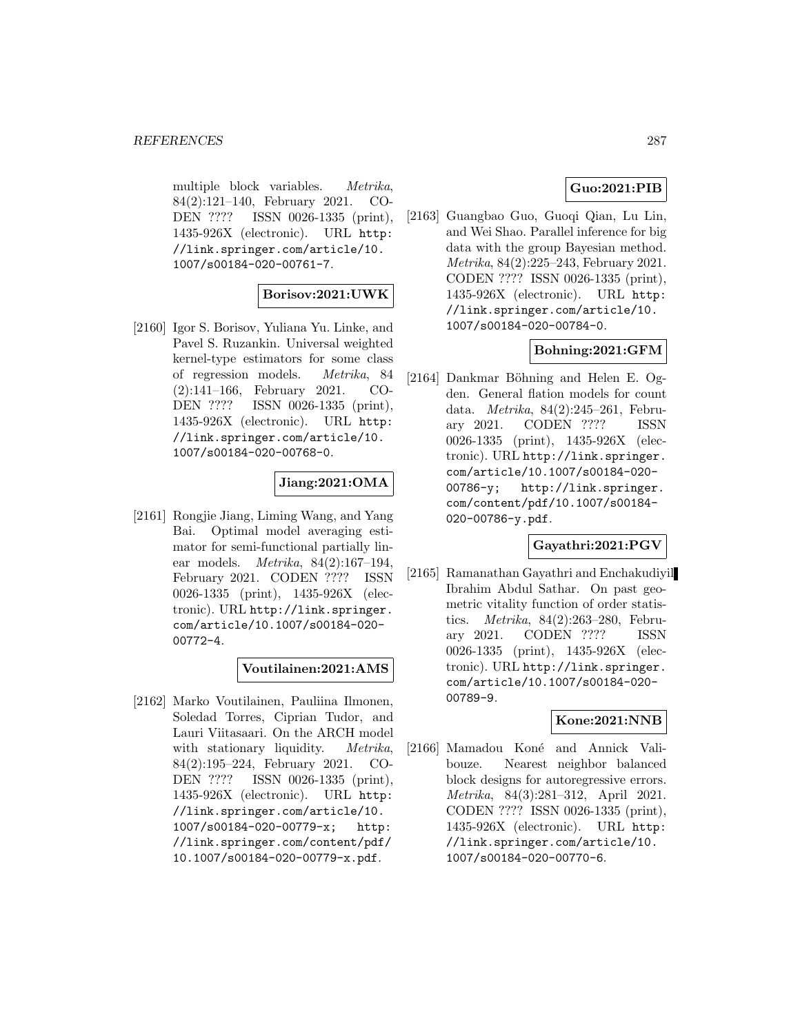multiple block variables. Metrika, 84(2):121–140, February 2021. CO-DEN ???? ISSN 0026-1335 (print), 1435-926X (electronic). URL http: //link.springer.com/article/10. 1007/s00184-020-00761-7.

### **Borisov:2021:UWK**

[2160] Igor S. Borisov, Yuliana Yu. Linke, and Pavel S. Ruzankin. Universal weighted kernel-type estimators for some class of regression models. Metrika, 84 (2):141–166, February 2021. CO-DEN ???? ISSN 0026-1335 (print), 1435-926X (electronic). URL http: //link.springer.com/article/10. 1007/s00184-020-00768-0.

### **Jiang:2021:OMA**

[2161] Rongjie Jiang, Liming Wang, and Yang Bai. Optimal model averaging estimator for semi-functional partially linear models. Metrika, 84(2):167–194, February 2021. CODEN ???? ISSN 0026-1335 (print), 1435-926X (electronic). URL http://link.springer. com/article/10.1007/s00184-020- 00772-4.

**Voutilainen:2021:AMS**

[2162] Marko Voutilainen, Pauliina Ilmonen, Soledad Torres, Ciprian Tudor, and Lauri Viitasaari. On the ARCH model with stationary liquidity. *Metrika*, 84(2):195–224, February 2021. CO-DEN ???? ISSN 0026-1335 (print), 1435-926X (electronic). URL http: //link.springer.com/article/10. 1007/s00184-020-00779-x; http: //link.springer.com/content/pdf/ 10.1007/s00184-020-00779-x.pdf.

### **Guo:2021:PIB**

[2163] Guangbao Guo, Guoqi Qian, Lu Lin, and Wei Shao. Parallel inference for big data with the group Bayesian method. Metrika, 84(2):225–243, February 2021. CODEN ???? ISSN 0026-1335 (print), 1435-926X (electronic). URL http: //link.springer.com/article/10. 1007/s00184-020-00784-0.

#### **Bohning:2021:GFM**

[2164] Dankmar Böhning and Helen E. Ogden. General flation models for count data. Metrika, 84(2):245–261, February 2021. CODEN ???? ISSN 0026-1335 (print), 1435-926X (electronic). URL http://link.springer. com/article/10.1007/s00184-020- 00786-y; http://link.springer. com/content/pdf/10.1007/s00184- 020-00786-y.pdf.

### **Gayathri:2021:PGV**

[2165] Ramanathan Gayathri and Enchakudiyil Ibrahim Abdul Sathar. On past geometric vitality function of order statistics. Metrika, 84(2):263–280, February 2021. CODEN ???? ISSN 0026-1335 (print), 1435-926X (electronic). URL http://link.springer. com/article/10.1007/s00184-020- 00789-9.

### **Kone:2021:NNB**

[2166] Mamadou Koné and Annick Valibouze. Nearest neighbor balanced block designs for autoregressive errors. Metrika, 84(3):281–312, April 2021. CODEN ???? ISSN 0026-1335 (print), 1435-926X (electronic). URL http: //link.springer.com/article/10. 1007/s00184-020-00770-6.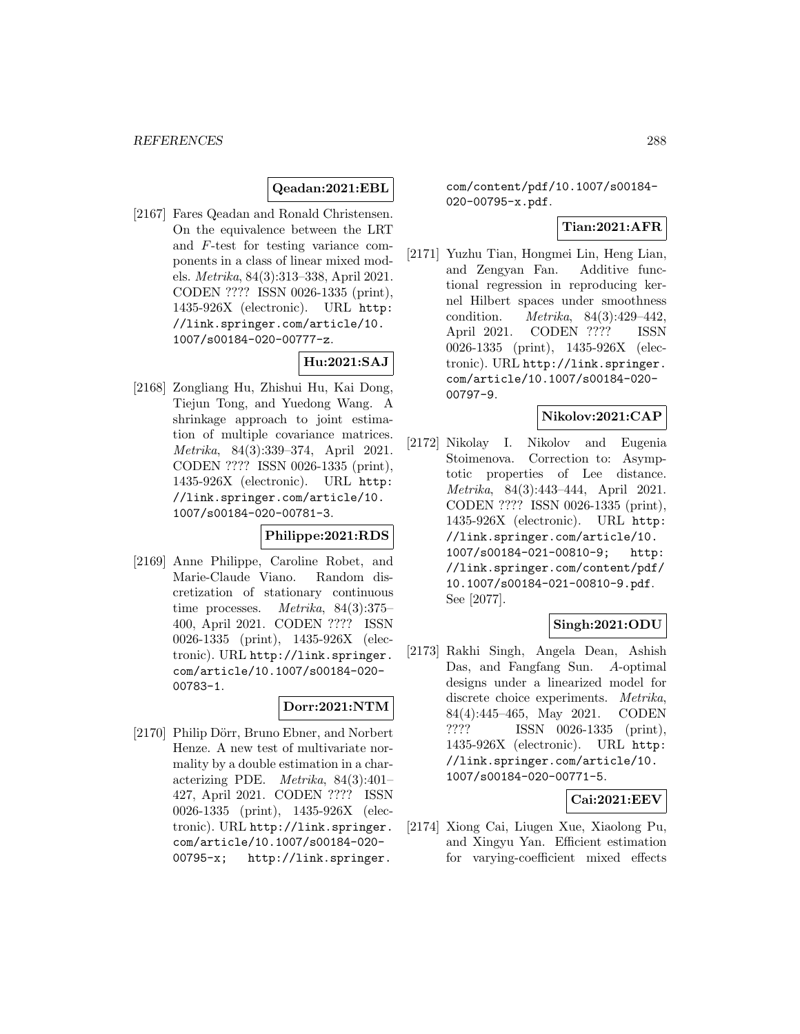## **Qeadan:2021:EBL**

[2167] Fares Qeadan and Ronald Christensen. On the equivalence between the LRT and F-test for testing variance components in a class of linear mixed models. Metrika, 84(3):313–338, April 2021. CODEN ???? ISSN 0026-1335 (print), 1435-926X (electronic). URL http: //link.springer.com/article/10. 1007/s00184-020-00777-z.

### **Hu:2021:SAJ**

[2168] Zongliang Hu, Zhishui Hu, Kai Dong, Tiejun Tong, and Yuedong Wang. A shrinkage approach to joint estimation of multiple covariance matrices. Metrika, 84(3):339–374, April 2021. CODEN ???? ISSN 0026-1335 (print), 1435-926X (electronic). URL http: //link.springer.com/article/10. 1007/s00184-020-00781-3.

#### **Philippe:2021:RDS**

[2169] Anne Philippe, Caroline Robet, and Marie-Claude Viano. Random discretization of stationary continuous time processes. Metrika, 84(3):375– 400, April 2021. CODEN ???? ISSN 0026-1335 (print), 1435-926X (electronic). URL http://link.springer. com/article/10.1007/s00184-020- 00783-1.

#### **Dorr:2021:NTM**

[2170] Philip Dörr, Bruno Ebner, and Norbert Henze. A new test of multivariate normality by a double estimation in a characterizing PDE. Metrika, 84(3):401– 427, April 2021. CODEN ???? ISSN 0026-1335 (print), 1435-926X (electronic). URL http://link.springer. com/article/10.1007/s00184-020- 00795-x; http://link.springer.

com/content/pdf/10.1007/s00184- 020-00795-x.pdf.

### **Tian:2021:AFR**

[2171] Yuzhu Tian, Hongmei Lin, Heng Lian, and Zengyan Fan. Additive functional regression in reproducing kernel Hilbert spaces under smoothness condition. Metrika, 84(3):429–442, April 2021. CODEN ???? ISSN 0026-1335 (print), 1435-926X (electronic). URL http://link.springer. com/article/10.1007/s00184-020- 00797-9.

### **Nikolov:2021:CAP**

[2172] Nikolay I. Nikolov and Eugenia Stoimenova. Correction to: Asymptotic properties of Lee distance. Metrika, 84(3):443–444, April 2021. CODEN ???? ISSN 0026-1335 (print), 1435-926X (electronic). URL http: //link.springer.com/article/10. 1007/s00184-021-00810-9; http: //link.springer.com/content/pdf/ 10.1007/s00184-021-00810-9.pdf. See [2077].

## **Singh:2021:ODU**

[2173] Rakhi Singh, Angela Dean, Ashish Das, and Fangfang Sun. A-optimal designs under a linearized model for discrete choice experiments. Metrika, 84(4):445–465, May 2021. CODEN ???? ISSN 0026-1335 (print), 1435-926X (electronic). URL http: //link.springer.com/article/10. 1007/s00184-020-00771-5.

#### **Cai:2021:EEV**

[2174] Xiong Cai, Liugen Xue, Xiaolong Pu, and Xingyu Yan. Efficient estimation for varying-coefficient mixed effects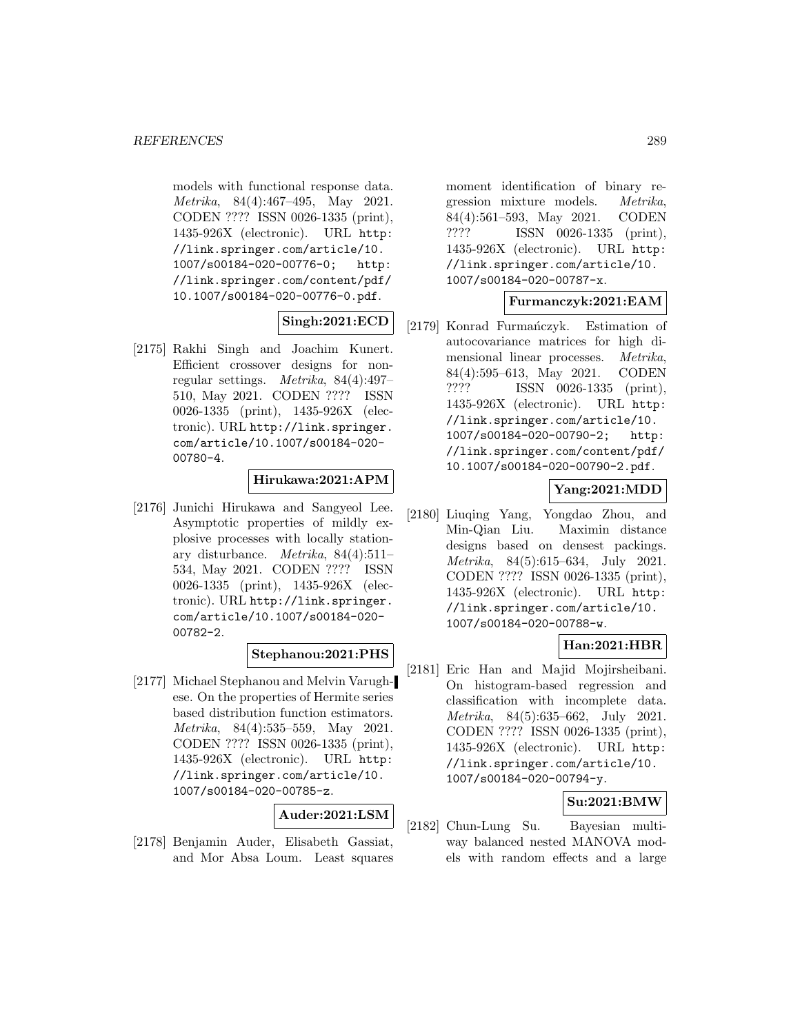models with functional response data. Metrika, 84(4):467–495, May 2021. CODEN ???? ISSN 0026-1335 (print), 1435-926X (electronic). URL http: //link.springer.com/article/10. 1007/s00184-020-00776-0; http: //link.springer.com/content/pdf/ 10.1007/s00184-020-00776-0.pdf.

# **Singh:2021:ECD**

[2175] Rakhi Singh and Joachim Kunert. Efficient crossover designs for nonregular settings. Metrika, 84(4):497– 510, May 2021. CODEN ???? ISSN 0026-1335 (print), 1435-926X (electronic). URL http://link.springer. com/article/10.1007/s00184-020- 00780-4.

#### **Hirukawa:2021:APM**

[2176] Junichi Hirukawa and Sangyeol Lee. Asymptotic properties of mildly explosive processes with locally stationary disturbance. Metrika, 84(4):511– 534, May 2021. CODEN ???? ISSN 0026-1335 (print), 1435-926X (electronic). URL http://link.springer. com/article/10.1007/s00184-020- 00782-2.

#### **Stephanou:2021:PHS**

[2177] Michael Stephanou and Melvin Varughese. On the properties of Hermite series based distribution function estimators. Metrika, 84(4):535–559, May 2021. CODEN ???? ISSN 0026-1335 (print), 1435-926X (electronic). URL http: //link.springer.com/article/10. 1007/s00184-020-00785-z.

#### **Auder:2021:LSM**

[2178] Benjamin Auder, Elisabeth Gassiat, and Mor Absa Loum. Least squares moment identification of binary regression mixture models. Metrika, 84(4):561–593, May 2021. CODEN ???? ISSN 0026-1335 (print), 1435-926X (electronic). URL http: //link.springer.com/article/10. 1007/s00184-020-00787-x.

### **Furmanczyk:2021:EAM**

[2179] Konrad Furmańczyk. Estimation of autocovariance matrices for high dimensional linear processes. Metrika, 84(4):595–613, May 2021. CODEN ???? ISSN 0026-1335 (print), 1435-926X (electronic). URL http: //link.springer.com/article/10. 1007/s00184-020-00790-2; http: //link.springer.com/content/pdf/ 10.1007/s00184-020-00790-2.pdf.

### **Yang:2021:MDD**

[2180] Liuqing Yang, Yongdao Zhou, and Min-Qian Liu. Maximin distance designs based on densest packings. Metrika, 84(5):615–634, July 2021. CODEN ???? ISSN 0026-1335 (print), 1435-926X (electronic). URL http: //link.springer.com/article/10. 1007/s00184-020-00788-w.

### **Han:2021:HBR**

[2181] Eric Han and Majid Mojirsheibani. On histogram-based regression and classification with incomplete data. Metrika, 84(5):635–662, July 2021. CODEN ???? ISSN 0026-1335 (print), 1435-926X (electronic). URL http: //link.springer.com/article/10. 1007/s00184-020-00794-y.

### **Su:2021:BMW**

[2182] Chun-Lung Su. Bayesian multiway balanced nested MANOVA models with random effects and a large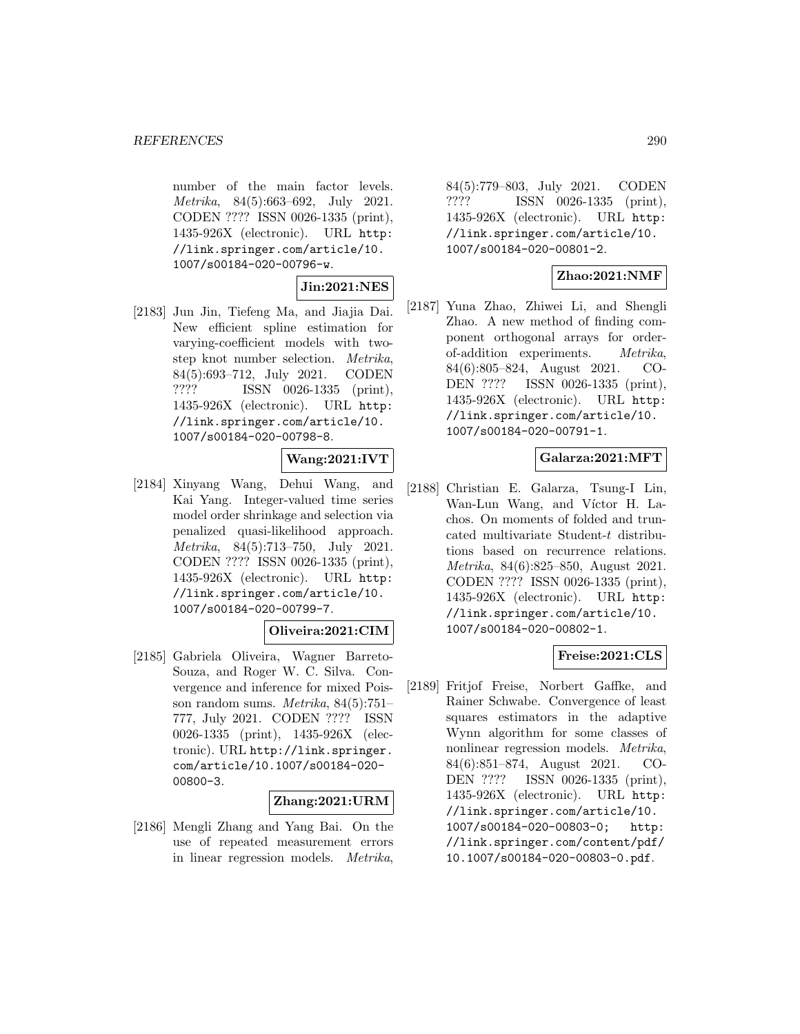number of the main factor levels. Metrika, 84(5):663–692, July 2021. CODEN ???? ISSN 0026-1335 (print), 1435-926X (electronic). URL http: //link.springer.com/article/10. 1007/s00184-020-00796-w.

**Jin:2021:NES**

[2183] Jun Jin, Tiefeng Ma, and Jiajia Dai. New efficient spline estimation for varying-coefficient models with twostep knot number selection. Metrika, 84(5):693–712, July 2021. CODEN ???? ISSN 0026-1335 (print), 1435-926X (electronic). URL http: //link.springer.com/article/10. 1007/s00184-020-00798-8.

### **Wang:2021:IVT**

[2184] Xinyang Wang, Dehui Wang, and Kai Yang. Integer-valued time series model order shrinkage and selection via penalized quasi-likelihood approach. Metrika, 84(5):713–750, July 2021. CODEN ???? ISSN 0026-1335 (print), 1435-926X (electronic). URL http: //link.springer.com/article/10. 1007/s00184-020-00799-7.

#### **Oliveira:2021:CIM**

[2185] Gabriela Oliveira, Wagner Barreto-Souza, and Roger W. C. Silva. Convergence and inference for mixed Poisson random sums.  $Metrika$ ,  $84(5):751-$ 777, July 2021. CODEN ???? ISSN 0026-1335 (print), 1435-926X (electronic). URL http://link.springer. com/article/10.1007/s00184-020- 00800-3.

#### **Zhang:2021:URM**

[2186] Mengli Zhang and Yang Bai. On the use of repeated measurement errors in linear regression models. Metrika,

84(5):779–803, July 2021. CODEN ???? ISSN 0026-1335 (print), 1435-926X (electronic). URL http: //link.springer.com/article/10. 1007/s00184-020-00801-2.

#### **Zhao:2021:NMF**

[2187] Yuna Zhao, Zhiwei Li, and Shengli Zhao. A new method of finding component orthogonal arrays for orderof-addition experiments. Metrika, 84(6):805–824, August 2021. CO-DEN ???? ISSN 0026-1335 (print), 1435-926X (electronic). URL http: //link.springer.com/article/10. 1007/s00184-020-00791-1.

#### **Galarza:2021:MFT**

[2188] Christian E. Galarza, Tsung-I Lin, Wan-Lun Wang, and Víctor H. Lachos. On moments of folded and truncated multivariate Student-t distributions based on recurrence relations. Metrika, 84(6):825–850, August 2021. CODEN ???? ISSN 0026-1335 (print), 1435-926X (electronic). URL http: //link.springer.com/article/10. 1007/s00184-020-00802-1.

#### **Freise:2021:CLS**

[2189] Fritjof Freise, Norbert Gaffke, and Rainer Schwabe. Convergence of least squares estimators in the adaptive Wynn algorithm for some classes of nonlinear regression models. Metrika, 84(6):851–874, August 2021. CO-DEN ???? ISSN 0026-1335 (print), 1435-926X (electronic). URL http: //link.springer.com/article/10. 1007/s00184-020-00803-0; http: //link.springer.com/content/pdf/ 10.1007/s00184-020-00803-0.pdf.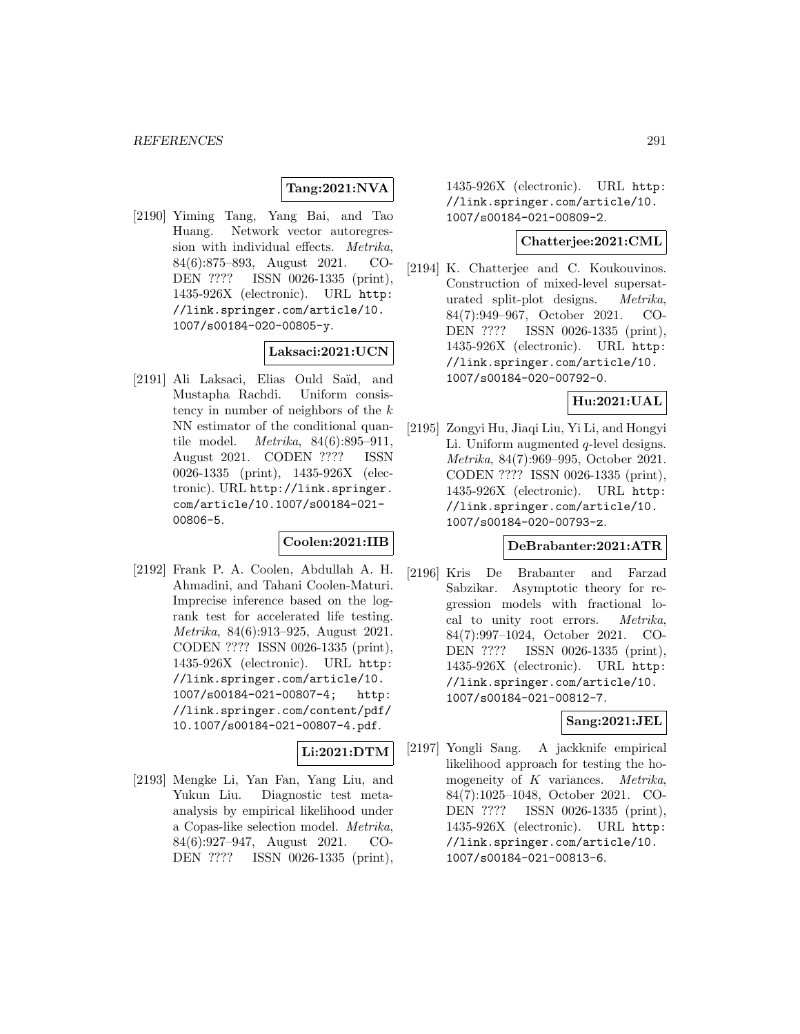### **Tang:2021:NVA**

[2190] Yiming Tang, Yang Bai, and Tao Huang. Network vector autoregression with individual effects. Metrika, 84(6):875–893, August 2021. CO-DEN ???? ISSN 0026-1335 (print), 1435-926X (electronic). URL http: //link.springer.com/article/10. 1007/s00184-020-00805-y.

#### **Laksaci:2021:UCN**

[2191] Ali Laksaci, Elias Ould Saïd, and Mustapha Rachdi. Uniform consistency in number of neighbors of the  $k$ NN estimator of the conditional quantile model. Metrika, 84(6):895–911, August 2021. CODEN ???? ISSN 0026-1335 (print), 1435-926X (electronic). URL http://link.springer. com/article/10.1007/s00184-021- 00806-5.

### **Coolen:2021:IIB**

[2192] Frank P. A. Coolen, Abdullah A. H. Ahmadini, and Tahani Coolen-Maturi. Imprecise inference based on the logrank test for accelerated life testing. Metrika, 84(6):913–925, August 2021. CODEN ???? ISSN 0026-1335 (print), 1435-926X (electronic). URL http: //link.springer.com/article/10. 1007/s00184-021-00807-4; http: //link.springer.com/content/pdf/ 10.1007/s00184-021-00807-4.pdf.

# **Li:2021:DTM**

[2193] Mengke Li, Yan Fan, Yang Liu, and Yukun Liu. Diagnostic test metaanalysis by empirical likelihood under a Copas-like selection model. Metrika, 84(6):927–947, August 2021. CO-DEN ???? ISSN 0026-1335 (print),

1435-926X (electronic). URL http: //link.springer.com/article/10. 1007/s00184-021-00809-2.

#### **Chatterjee:2021:CML**

[2194] K. Chatterjee and C. Koukouvinos. Construction of mixed-level supersaturated split-plot designs. Metrika, 84(7):949–967, October 2021. CO-DEN ???? ISSN 0026-1335 (print), 1435-926X (electronic). URL http: //link.springer.com/article/10. 1007/s00184-020-00792-0.

### **Hu:2021:UAL**

[2195] Zongyi Hu, Jiaqi Liu, Yi Li, and Hongyi Li. Uniform augmented *q*-level designs. Metrika, 84(7):969–995, October 2021. CODEN ???? ISSN 0026-1335 (print), 1435-926X (electronic). URL http: //link.springer.com/article/10. 1007/s00184-020-00793-z.

#### **DeBrabanter:2021:ATR**

[2196] Kris De Brabanter and Farzad Sabzikar. Asymptotic theory for regression models with fractional local to unity root errors. Metrika, 84(7):997–1024, October 2021. CO-DEN ???? ISSN 0026-1335 (print), 1435-926X (electronic). URL http: //link.springer.com/article/10. 1007/s00184-021-00812-7.

#### **Sang:2021:JEL**

[2197] Yongli Sang. A jackknife empirical likelihood approach for testing the homogeneity of  $K$  variances. *Metrika*, 84(7):1025–1048, October 2021. CO-DEN ???? ISSN 0026-1335 (print), 1435-926X (electronic). URL http: //link.springer.com/article/10. 1007/s00184-021-00813-6.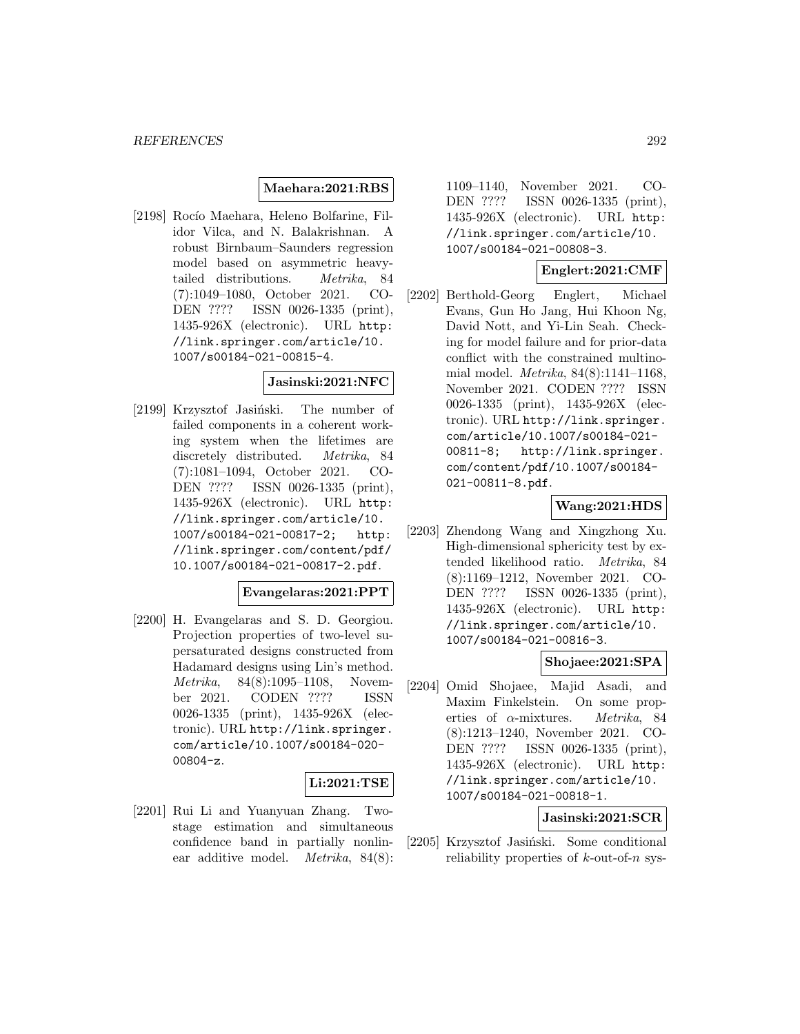#### **Maehara:2021:RBS**

[2198] Rocío Maehara, Heleno Bolfarine, Filidor Vilca, and N. Balakrishnan. A robust Birnbaum–Saunders regression model based on asymmetric heavytailed distributions. Metrika, 84 (7):1049–1080, October 2021. CO-DEN ???? ISSN 0026-1335 (print), 1435-926X (electronic). URL http: //link.springer.com/article/10. 1007/s00184-021-00815-4.

#### **Jasinski:2021:NFC**

[2199] Krzysztof Jasiński. The number of failed components in a coherent working system when the lifetimes are discretely distributed. Metrika, 84 (7):1081–1094, October 2021. CO-DEN ???? ISSN 0026-1335 (print), 1435-926X (electronic). URL http: //link.springer.com/article/10. 1007/s00184-021-00817-2; http: //link.springer.com/content/pdf/ 10.1007/s00184-021-00817-2.pdf.

#### **Evangelaras:2021:PPT**

[2200] H. Evangelaras and S. D. Georgiou. Projection properties of two-level supersaturated designs constructed from Hadamard designs using Lin's method. Metrika, 84(8):1095–1108, November 2021. CODEN ???? ISSN 0026-1335 (print), 1435-926X (electronic). URL http://link.springer. com/article/10.1007/s00184-020- 00804-z.

#### **Li:2021:TSE**

[2201] Rui Li and Yuanyuan Zhang. Twostage estimation and simultaneous confidence band in partially nonlinear additive model. Metrika, 84(8):

1109–1140, November 2021. CO-DEN ???? ISSN 0026-1335 (print), 1435-926X (electronic). URL http: //link.springer.com/article/10. 1007/s00184-021-00808-3.

#### **Englert:2021:CMF**

[2202] Berthold-Georg Englert, Michael Evans, Gun Ho Jang, Hui Khoon Ng, David Nott, and Yi-Lin Seah. Checking for model failure and for prior-data conflict with the constrained multinomial model. Metrika, 84(8):1141–1168, November 2021. CODEN ???? ISSN 0026-1335 (print), 1435-926X (electronic). URL http://link.springer. com/article/10.1007/s00184-021- 00811-8; http://link.springer. com/content/pdf/10.1007/s00184- 021-00811-8.pdf.

#### **Wang:2021:HDS**

[2203] Zhendong Wang and Xingzhong Xu. High-dimensional sphericity test by extended likelihood ratio. Metrika, 84 (8):1169–1212, November 2021. CO-DEN ???? ISSN 0026-1335 (print), 1435-926X (electronic). URL http: //link.springer.com/article/10. 1007/s00184-021-00816-3.

#### **Shojaee:2021:SPA**

[2204] Omid Shojaee, Majid Asadi, and Maxim Finkelstein. On some properties of  $\alpha$ -mixtures. *Metrika*, 84 (8):1213–1240, November 2021. CO-DEN ???? ISSN 0026-1335 (print), 1435-926X (electronic). URL http: //link.springer.com/article/10. 1007/s00184-021-00818-1.

### **Jasinski:2021:SCR**

[2205] Krzysztof Jasiński. Some conditional reliability properties of  $k$ -out-of-n sys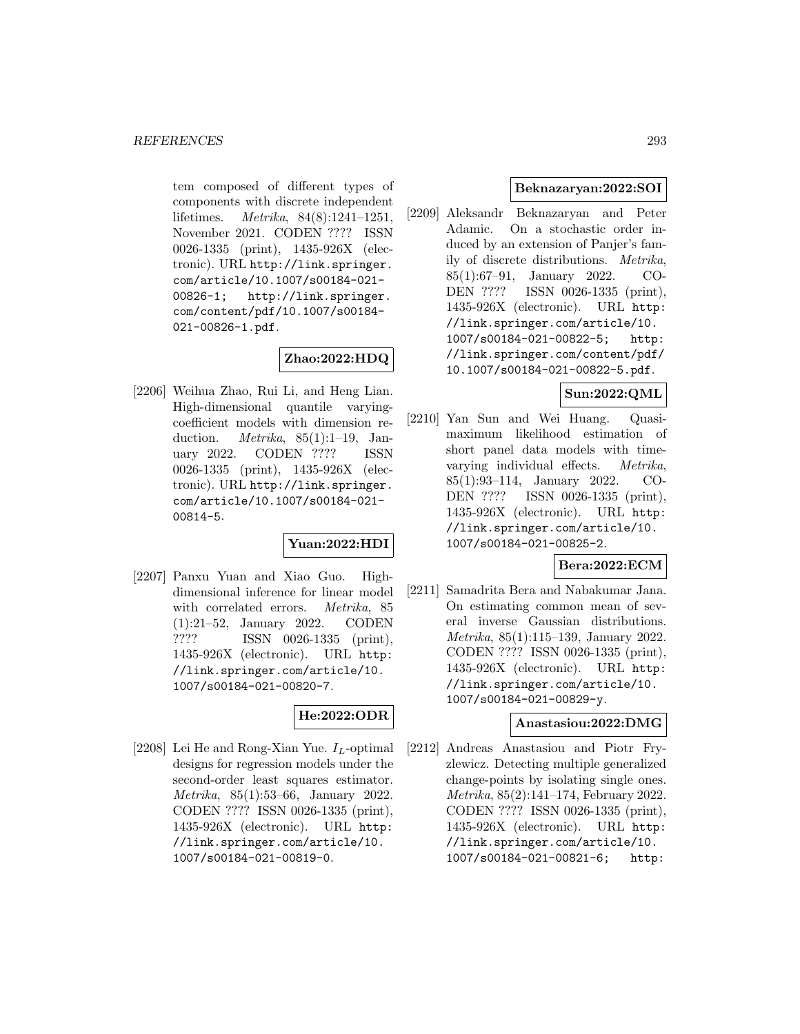tem composed of different types of components with discrete independent lifetimes. Metrika, 84(8):1241–1251, November 2021. CODEN ???? ISSN 0026-1335 (print), 1435-926X (electronic). URL http://link.springer. com/article/10.1007/s00184-021- 00826-1; http://link.springer. com/content/pdf/10.1007/s00184- 021-00826-1.pdf.

# **Zhao:2022:HDQ**

[2206] Weihua Zhao, Rui Li, and Heng Lian. High-dimensional quantile varyingcoefficient models with dimension reduction. *Metrika*,  $85(1):1-19$ , January 2022. CODEN ???? ISSN 0026-1335 (print), 1435-926X (electronic). URL http://link.springer. com/article/10.1007/s00184-021- 00814-5.

### **Yuan:2022:HDI**

[2207] Panxu Yuan and Xiao Guo. Highdimensional inference for linear model with correlated errors. *Metrika*, 85 (1):21–52, January 2022. CODEN ???? ISSN 0026-1335 (print), 1435-926X (electronic). URL http: //link.springer.com/article/10. 1007/s00184-021-00820-7.

# **He:2022:ODR**

[2208] Lei He and Rong-Xian Yue.  $I_L$ -optimal designs for regression models under the second-order least squares estimator. Metrika, 85(1):53–66, January 2022. CODEN ???? ISSN 0026-1335 (print), 1435-926X (electronic). URL http: //link.springer.com/article/10. 1007/s00184-021-00819-0.

#### **Beknazaryan:2022:SOI**

[2209] Aleksandr Beknazaryan and Peter Adamic. On a stochastic order induced by an extension of Panjer's family of discrete distributions. Metrika, 85(1):67–91, January 2022. CO-DEN ???? ISSN 0026-1335 (print), 1435-926X (electronic). URL http: //link.springer.com/article/10. 1007/s00184-021-00822-5; http: //link.springer.com/content/pdf/ 10.1007/s00184-021-00822-5.pdf.

### **Sun:2022:QML**

[2210] Yan Sun and Wei Huang. Quasimaximum likelihood estimation of short panel data models with timevarying individual effects. Metrika, 85(1):93–114, January 2022. CO-DEN ???? ISSN 0026-1335 (print), 1435-926X (electronic). URL http: //link.springer.com/article/10. 1007/s00184-021-00825-2.

#### **Bera:2022:ECM**

[2211] Samadrita Bera and Nabakumar Jana. On estimating common mean of several inverse Gaussian distributions. Metrika, 85(1):115–139, January 2022. CODEN ???? ISSN 0026-1335 (print), 1435-926X (electronic). URL http: //link.springer.com/article/10. 1007/s00184-021-00829-y.

#### **Anastasiou:2022:DMG**

[2212] Andreas Anastasiou and Piotr Fryzlewicz. Detecting multiple generalized change-points by isolating single ones. Metrika, 85(2):141–174, February 2022. CODEN ???? ISSN 0026-1335 (print), 1435-926X (electronic). URL http: //link.springer.com/article/10. 1007/s00184-021-00821-6; http: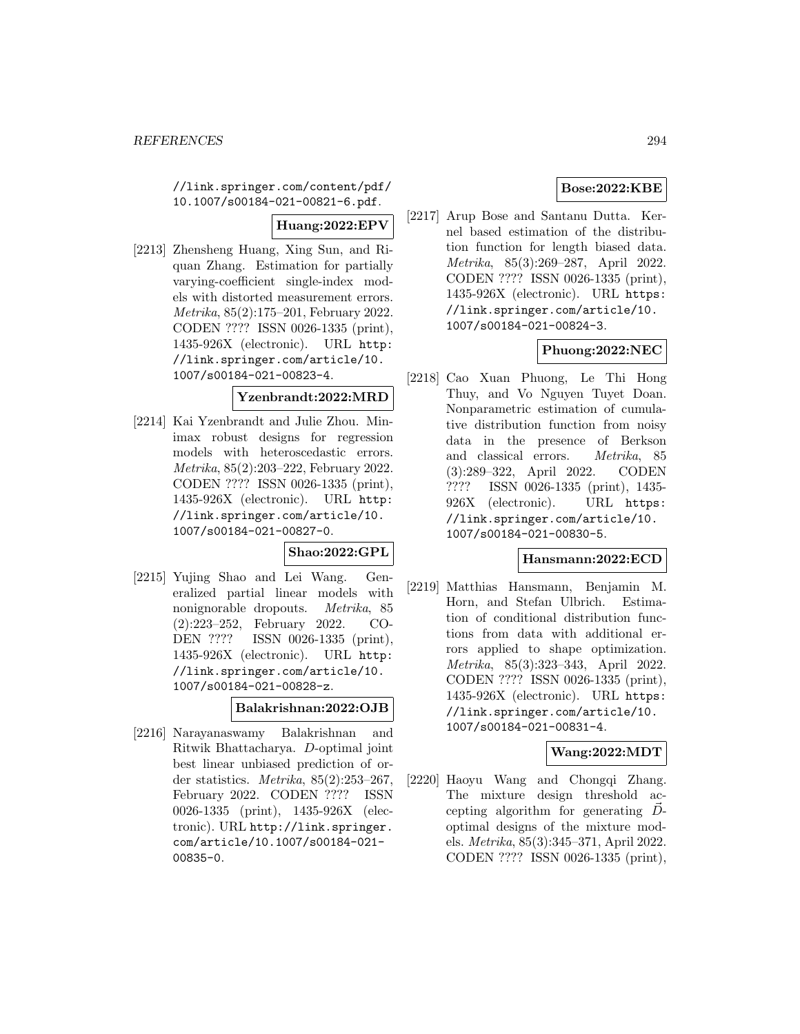//link.springer.com/content/pdf/ 10.1007/s00184-021-00821-6.pdf.

#### **Huang:2022:EPV**

[2213] Zhensheng Huang, Xing Sun, and Riquan Zhang. Estimation for partially varying-coefficient single-index models with distorted measurement errors. Metrika, 85(2):175–201, February 2022. CODEN ???? ISSN 0026-1335 (print), 1435-926X (electronic). URL http: //link.springer.com/article/10. 1007/s00184-021-00823-4.

#### **Yzenbrandt:2022:MRD**

[2214] Kai Yzenbrandt and Julie Zhou. Minimax robust designs for regression models with heteroscedastic errors. Metrika, 85(2):203–222, February 2022. CODEN ???? ISSN 0026-1335 (print), 1435-926X (electronic). URL http: //link.springer.com/article/10. 1007/s00184-021-00827-0.

### **Shao:2022:GPL**

[2215] Yujing Shao and Lei Wang. Generalized partial linear models with nonignorable dropouts. Metrika, 85 (2):223–252, February 2022. CO-DEN ???? ISSN 0026-1335 (print), 1435-926X (electronic). URL http: //link.springer.com/article/10. 1007/s00184-021-00828-z.

#### **Balakrishnan:2022:OJB**

[2216] Narayanaswamy Balakrishnan and Ritwik Bhattacharya. D-optimal joint best linear unbiased prediction of order statistics. Metrika, 85(2):253–267, February 2022. CODEN ???? ISSN 0026-1335 (print), 1435-926X (electronic). URL http://link.springer. com/article/10.1007/s00184-021- 00835-0.

### **Bose:2022:KBE**

[2217] Arup Bose and Santanu Dutta. Kernel based estimation of the distribution function for length biased data. Metrika, 85(3):269–287, April 2022. CODEN ???? ISSN 0026-1335 (print), 1435-926X (electronic). URL https: //link.springer.com/article/10. 1007/s00184-021-00824-3.

### **Phuong:2022:NEC**

[2218] Cao Xuan Phuong, Le Thi Hong Thuy, and Vo Nguyen Tuyet Doan. Nonparametric estimation of cumulative distribution function from noisy data in the presence of Berkson and classical errors. Metrika, 85 (3):289–322, April 2022. CODEN ???? ISSN 0026-1335 (print), 1435- 926X (electronic). URL https: //link.springer.com/article/10. 1007/s00184-021-00830-5.

#### **Hansmann:2022:ECD**

[2219] Matthias Hansmann, Benjamin M. Horn, and Stefan Ulbrich. Estimation of conditional distribution functions from data with additional errors applied to shape optimization. Metrika, 85(3):323–343, April 2022. CODEN ???? ISSN 0026-1335 (print), 1435-926X (electronic). URL https: //link.springer.com/article/10. 1007/s00184-021-00831-4.

#### **Wang:2022:MDT**

[2220] Haoyu Wang and Chongqi Zhang. The mixture design threshold accepting algorithm for generating  $\vec{D}$ optimal designs of the mixture models. Metrika, 85(3):345–371, April 2022. CODEN ???? ISSN 0026-1335 (print),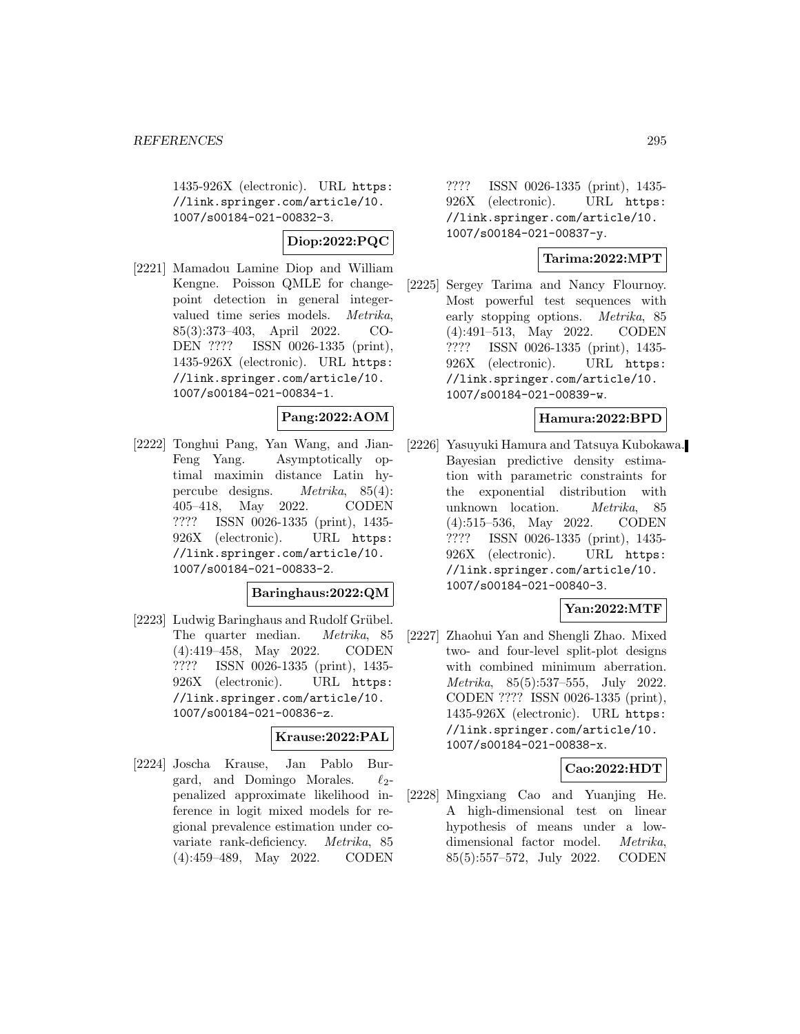1435-926X (electronic). URL https: //link.springer.com/article/10. 1007/s00184-021-00832-3.

#### **Diop:2022:PQC**

[2221] Mamadou Lamine Diop and William Kengne. Poisson QMLE for changepoint detection in general integervalued time series models. Metrika, 85(3):373–403, April 2022. CO-DEN ???? ISSN 0026-1335 (print), 1435-926X (electronic). URL https: //link.springer.com/article/10. 1007/s00184-021-00834-1.

#### **Pang:2022:AOM**

[2222] Tonghui Pang, Yan Wang, and Jian-Feng Yang. Asymptotically optimal maximin distance Latin hypercube designs. Metrika, 85(4): 405–418, May 2022. CODEN ???? ISSN 0026-1335 (print), 1435- 926X (electronic). URL https: //link.springer.com/article/10. 1007/s00184-021-00833-2.

#### **Baringhaus:2022:QM**

[2223] Ludwig Baringhaus and Rudolf Grübel. The quarter median. Metrika, 85 (4):419–458, May 2022. CODEN ???? ISSN 0026-1335 (print), 1435- 926X (electronic). URL https: //link.springer.com/article/10. 1007/s00184-021-00836-z.

#### **Krause:2022:PAL**

[2224] Joscha Krause, Jan Pablo Burgard, and Domingo Morales.  $\ell_2$ penalized approximate likelihood inference in logit mixed models for regional prevalence estimation under covariate rank-deficiency. Metrika, 85 (4):459–489, May 2022. CODEN

???? ISSN 0026-1335 (print), 1435- 926X (electronic). URL https: //link.springer.com/article/10. 1007/s00184-021-00837-y.

### **Tarima:2022:MPT**

[2225] Sergey Tarima and Nancy Flournoy. Most powerful test sequences with early stopping options. Metrika, 85 (4):491–513, May 2022. CODEN ???? ISSN 0026-1335 (print), 1435- 926X (electronic). URL https: //link.springer.com/article/10. 1007/s00184-021-00839-w.

#### **Hamura:2022:BPD**

[2226] Yasuyuki Hamura and Tatsuya Kubokawa. Bayesian predictive density estimation with parametric constraints for the exponential distribution with unknown location. Metrika, 85 (4):515–536, May 2022. CODEN ???? ISSN 0026-1335 (print), 1435- 926X (electronic). URL https: //link.springer.com/article/10. 1007/s00184-021-00840-3.

#### **Yan:2022:MTF**

[2227] Zhaohui Yan and Shengli Zhao. Mixed two- and four-level split-plot designs with combined minimum aberration. Metrika, 85(5):537–555, July 2022. CODEN ???? ISSN 0026-1335 (print), 1435-926X (electronic). URL https: //link.springer.com/article/10. 1007/s00184-021-00838-x.

#### **Cao:2022:HDT**

[2228] Mingxiang Cao and Yuanjing He. A high-dimensional test on linear hypothesis of means under a lowdimensional factor model. Metrika, 85(5):557–572, July 2022. CODEN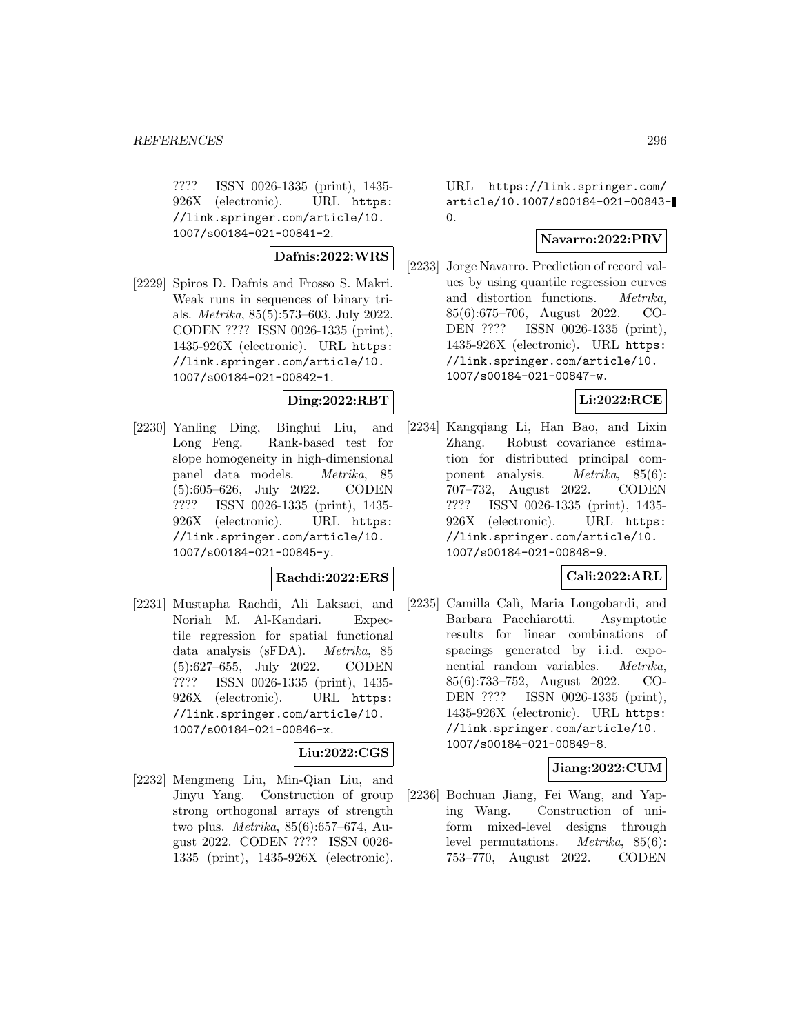???? ISSN 0026-1335 (print), 1435- 926X (electronic). URL https: //link.springer.com/article/10. 1007/s00184-021-00841-2.

# **Dafnis:2022:WRS**

[2229] Spiros D. Dafnis and Frosso S. Makri. Weak runs in sequences of binary trials. Metrika, 85(5):573–603, July 2022. CODEN ???? ISSN 0026-1335 (print), 1435-926X (electronic). URL https: //link.springer.com/article/10. 1007/s00184-021-00842-1.

### **Ding:2022:RBT**

[2230] Yanling Ding, Binghui Liu, and Long Feng. Rank-based test for slope homogeneity in high-dimensional panel data models. Metrika, 85 (5):605–626, July 2022. CODEN ???? ISSN 0026-1335 (print), 1435- 926X (electronic). URL https: //link.springer.com/article/10. 1007/s00184-021-00845-y.

### **Rachdi:2022:ERS**

[2231] Mustapha Rachdi, Ali Laksaci, and Noriah M. Al-Kandari. Expectile regression for spatial functional data analysis (sFDA). Metrika, 85 (5):627–655, July 2022. CODEN ???? ISSN 0026-1335 (print), 1435- 926X (electronic). URL https: //link.springer.com/article/10. 1007/s00184-021-00846-x.

# **Liu:2022:CGS**

[2232] Mengmeng Liu, Min-Qian Liu, and Jinyu Yang. Construction of group strong orthogonal arrays of strength two plus. Metrika, 85(6):657–674, August 2022. CODEN ???? ISSN 0026- 1335 (print), 1435-926X (electronic).

URL https://link.springer.com/ article/10.1007/s00184-021-00843-  $\Omega$ 

# **Navarro:2022:PRV**

[2233] Jorge Navarro. Prediction of record values by using quantile regression curves and distortion functions. Metrika, 85(6):675–706, August 2022. CO-DEN ???? ISSN 0026-1335 (print), 1435-926X (electronic). URL https: //link.springer.com/article/10. 1007/s00184-021-00847-w.

### **Li:2022:RCE**

[2234] Kangqiang Li, Han Bao, and Lixin Zhang. Robust covariance estimation for distributed principal component analysis. Metrika, 85(6): 707–732, August 2022. CODEN ???? ISSN 0026-1335 (print), 1435- 926X (electronic). URL https: //link.springer.com/article/10. 1007/s00184-021-00848-9.

#### **Cali:2022:ARL**

[2235] Camilla Calì, Maria Longobardi, and Barbara Pacchiarotti. Asymptotic results for linear combinations of spacings generated by i.i.d. exponential random variables. Metrika, 85(6):733–752, August 2022. CO-DEN ???? ISSN 0026-1335 (print), 1435-926X (electronic). URL https: //link.springer.com/article/10. 1007/s00184-021-00849-8.

#### **Jiang:2022:CUM**

[2236] Bochuan Jiang, Fei Wang, and Yaping Wang. Construction of uniform mixed-level designs through level permutations. Metrika, 85(6): 753–770, August 2022. CODEN